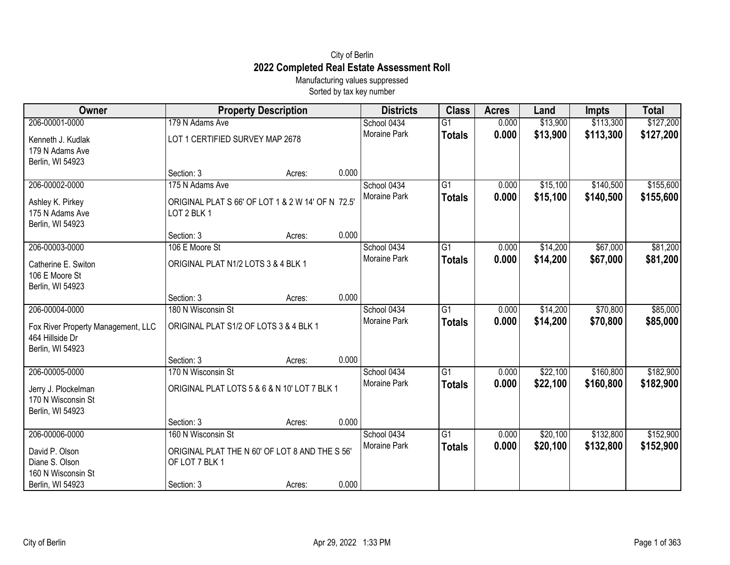## City of Berlin **2022 Completed Real Estate Assessment Roll**

Manufacturing values suppressed Sorted by tax key number

| Owner                              |                                                                  | <b>Property Description</b> |       | <b>Districts</b>    | <b>Class</b>    | <b>Acres</b> | Land     | <b>Impts</b> | <b>Total</b> |
|------------------------------------|------------------------------------------------------------------|-----------------------------|-------|---------------------|-----------------|--------------|----------|--------------|--------------|
| 206-00001-0000                     | 179 N Adams Ave                                                  |                             |       | School 0434         | G1              | 0.000        | \$13,900 | \$113,300    | \$127,200    |
| Kenneth J. Kudlak                  | LOT 1 CERTIFIED SURVEY MAP 2678                                  |                             |       | Moraine Park        | <b>Totals</b>   | 0.000        | \$13,900 | \$113,300    | \$127,200    |
| 179 N Adams Ave                    |                                                                  |                             |       |                     |                 |              |          |              |              |
| Berlin, WI 54923                   |                                                                  |                             |       |                     |                 |              |          |              |              |
|                                    | Section: 3                                                       | Acres:                      | 0.000 |                     |                 |              |          |              |              |
| 206-00002-0000                     | 175 N Adams Ave                                                  |                             |       | School 0434         | G1              | 0.000        | \$15,100 | \$140,500    | \$155,600    |
| Ashley K. Pirkey                   | ORIGINAL PLAT S 66' OF LOT 1 & 2 W 14' OF N 72.5'                |                             |       | <b>Moraine Park</b> | <b>Totals</b>   | 0.000        | \$15,100 | \$140,500    | \$155,600    |
| 175 N Adams Ave                    | LOT 2 BLK 1                                                      |                             |       |                     |                 |              |          |              |              |
| Berlin, WI 54923                   |                                                                  |                             |       |                     |                 |              |          |              |              |
|                                    | Section: 3                                                       | Acres:                      | 0.000 |                     |                 |              |          |              |              |
| 206-00003-0000                     | 106 E Moore St                                                   |                             |       | School 0434         | G1              | 0.000        | \$14,200 | \$67,000     | \$81,200     |
| Catherine E. Switon                | ORIGINAL PLAT N1/2 LOTS 3 & 4 BLK 1                              |                             |       | <b>Moraine Park</b> | <b>Totals</b>   | 0.000        | \$14,200 | \$67,000     | \$81,200     |
| 106 E Moore St                     |                                                                  |                             |       |                     |                 |              |          |              |              |
| Berlin, WI 54923                   |                                                                  |                             |       |                     |                 |              |          |              |              |
|                                    | Section: 3                                                       | Acres:                      | 0.000 |                     |                 |              |          |              |              |
| 206-00004-0000                     | 180 N Wisconsin St                                               |                             |       | School 0434         | G1              | 0.000        | \$14,200 | \$70,800     | \$85,000     |
| Fox River Property Management, LLC | ORIGINAL PLAT S1/2 OF LOTS 3 & 4 BLK 1                           |                             |       | Moraine Park        | <b>Totals</b>   | 0.000        | \$14,200 | \$70,800     | \$85,000     |
| 464 Hillside Dr                    |                                                                  |                             |       |                     |                 |              |          |              |              |
| Berlin, WI 54923                   |                                                                  |                             |       |                     |                 |              |          |              |              |
|                                    | Section: 3                                                       | Acres:                      | 0.000 |                     |                 |              |          |              |              |
| 206-00005-0000                     | 170 N Wisconsin St                                               |                             |       | School 0434         | $\overline{G1}$ | 0.000        | \$22,100 | \$160,800    | \$182,900    |
| Jerry J. Plockelman                | ORIGINAL PLAT LOTS 5 & 6 & N 10' LOT 7 BLK 1                     |                             |       | Moraine Park        | <b>Totals</b>   | 0.000        | \$22,100 | \$160,800    | \$182,900    |
| 170 N Wisconsin St                 |                                                                  |                             |       |                     |                 |              |          |              |              |
| Berlin, WI 54923                   |                                                                  |                             |       |                     |                 |              |          |              |              |
|                                    | Section: 3                                                       | Acres:                      | 0.000 |                     |                 |              |          |              |              |
| 206-00006-0000                     | 160 N Wisconsin St                                               |                             |       | School 0434         | $\overline{G1}$ | 0.000        | \$20,100 | \$132,800    | \$152,900    |
|                                    |                                                                  |                             |       | Moraine Park        | <b>Totals</b>   | 0.000        | \$20,100 | \$132,800    | \$152,900    |
| David P. Olson<br>Diane S. Olson   | ORIGINAL PLAT THE N 60' OF LOT 8 AND THE S 56'<br>OF LOT 7 BLK 1 |                             |       |                     |                 |              |          |              |              |
| 160 N Wisconsin St                 |                                                                  |                             |       |                     |                 |              |          |              |              |
| Berlin, WI 54923                   | Section: 3                                                       | Acres:                      | 0.000 |                     |                 |              |          |              |              |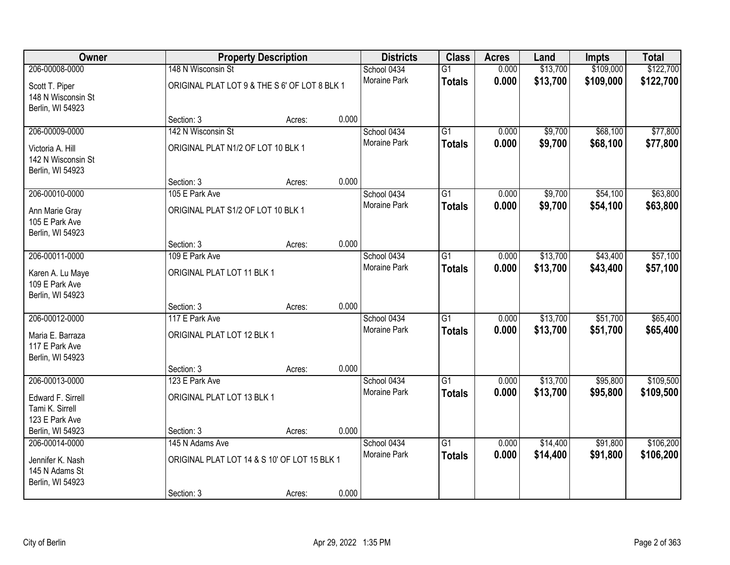| Owner                                                      |                                               | <b>Property Description</b> |       | <b>Districts</b>    | <b>Class</b>    | <b>Acres</b> | Land     | Impts     | <b>Total</b> |
|------------------------------------------------------------|-----------------------------------------------|-----------------------------|-------|---------------------|-----------------|--------------|----------|-----------|--------------|
| 206-00008-0000                                             | 148 N Wisconsin St                            |                             |       | School 0434         | $\overline{G1}$ | 0.000        | \$13,700 | \$109,000 | \$122,700    |
| Scott T. Piper<br>148 N Wisconsin St<br>Berlin, WI 54923   | ORIGINAL PLAT LOT 9 & THE S 6' OF LOT 8 BLK 1 |                             |       | <b>Moraine Park</b> | <b>Totals</b>   | 0.000        | \$13,700 | \$109,000 | \$122,700    |
|                                                            | Section: 3                                    | Acres:                      | 0.000 |                     |                 |              |          |           |              |
| 206-00009-0000                                             | 142 N Wisconsin St                            |                             |       | School 0434         | $\overline{G1}$ | 0.000        | \$9,700  | \$68,100  | \$77,800     |
| Victoria A. Hill<br>142 N Wisconsin St<br>Berlin, WI 54923 | ORIGINAL PLAT N1/2 OF LOT 10 BLK 1            |                             |       | Moraine Park        | <b>Totals</b>   | 0.000        | \$9,700  | \$68,100  | \$77,800     |
|                                                            | Section: 3                                    | Acres:                      | 0.000 |                     |                 |              |          |           |              |
| 206-00010-0000                                             | 105 E Park Ave                                |                             |       | School 0434         | $\overline{G1}$ | 0.000        | \$9,700  | \$54,100  | \$63,800     |
| Ann Marie Gray<br>105 E Park Ave<br>Berlin, WI 54923       | ORIGINAL PLAT S1/2 OF LOT 10 BLK 1            |                             |       | Moraine Park        | <b>Totals</b>   | 0.000        | \$9,700  | \$54,100  | \$63,800     |
|                                                            | Section: 3                                    | Acres:                      | 0.000 |                     |                 |              |          |           |              |
| 206-00011-0000                                             | 109 E Park Ave                                |                             |       | School 0434         | $\overline{G1}$ | 0.000        | \$13,700 | \$43,400  | \$57,100     |
| Karen A. Lu Maye<br>109 E Park Ave<br>Berlin, WI 54923     | ORIGINAL PLAT LOT 11 BLK 1                    |                             |       | Moraine Park        | <b>Totals</b>   | 0.000        | \$13,700 | \$43,400  | \$57,100     |
|                                                            | Section: 3                                    | Acres:                      | 0.000 |                     |                 |              |          |           |              |
| 206-00012-0000                                             | 117 E Park Ave                                |                             |       | School 0434         | $\overline{G1}$ | 0.000        | \$13,700 | \$51,700  | \$65,400     |
| Maria E. Barraza<br>117 E Park Ave<br>Berlin, WI 54923     | ORIGINAL PLAT LOT 12 BLK 1                    |                             |       | Moraine Park        | <b>Totals</b>   | 0.000        | \$13,700 | \$51,700  | \$65,400     |
|                                                            | Section: 3                                    | Acres:                      | 0.000 |                     |                 |              |          |           |              |
| 206-00013-0000                                             | 123 E Park Ave                                |                             |       | School 0434         | $\overline{G1}$ | 0.000        | \$13,700 | \$95,800  | \$109,500    |
| Edward F. Sirrell<br>Tami K. Sirrell<br>123 E Park Ave     | ORIGINAL PLAT LOT 13 BLK 1                    |                             |       | Moraine Park        | <b>Totals</b>   | 0.000        | \$13,700 | \$95,800  | \$109,500    |
| Berlin, WI 54923                                           | Section: 3                                    | Acres:                      | 0.000 |                     |                 |              |          |           |              |
| 206-00014-0000                                             | 145 N Adams Ave                               |                             |       | School 0434         | $\overline{G1}$ | 0.000        | \$14,400 | \$91,800  | \$106,200    |
| Jennifer K. Nash<br>145 N Adams St<br>Berlin, WI 54923     | ORIGINAL PLAT LOT 14 & S 10' OF LOT 15 BLK 1  |                             | 0.000 | <b>Moraine Park</b> | <b>Totals</b>   | 0.000        | \$14,400 | \$91,800  | \$106,200    |
|                                                            | Section: 3                                    | Acres:                      |       |                     |                 |              |          |           |              |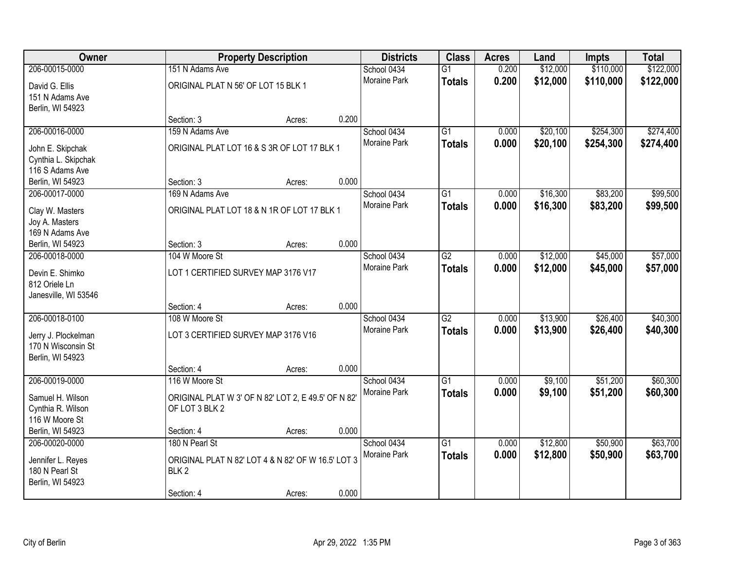| Owner                                     |                                                                       | <b>Property Description</b> |       | <b>Districts</b>    | <b>Class</b>    | <b>Acres</b> | Land     | <b>Impts</b> | <b>Total</b> |
|-------------------------------------------|-----------------------------------------------------------------------|-----------------------------|-------|---------------------|-----------------|--------------|----------|--------------|--------------|
| 206-00015-0000                            | 151 N Adams Ave                                                       |                             |       | School 0434         | $\overline{G1}$ | 0.200        | \$12,000 | \$110,000    | \$122,000    |
| David G. Ellis                            | ORIGINAL PLAT N 56' OF LOT 15 BLK 1                                   |                             |       | Moraine Park        | <b>Totals</b>   | 0.200        | \$12,000 | \$110,000    | \$122,000    |
| 151 N Adams Ave                           |                                                                       |                             |       |                     |                 |              |          |              |              |
| Berlin, WI 54923                          |                                                                       |                             |       |                     |                 |              |          |              |              |
|                                           | Section: 3                                                            | Acres:                      | 0.200 |                     |                 |              |          |              |              |
| 206-00016-0000                            | 159 N Adams Ave                                                       |                             |       | School 0434         | $\overline{G1}$ | 0.000        | \$20,100 | \$254,300    | \$274,400    |
| John E. Skipchak                          | ORIGINAL PLAT LOT 16 & S 3R OF LOT 17 BLK 1                           |                             |       | <b>Moraine Park</b> | <b>Totals</b>   | 0.000        | \$20,100 | \$254,300    | \$274,400    |
| Cynthia L. Skipchak                       |                                                                       |                             |       |                     |                 |              |          |              |              |
| 116 S Adams Ave                           |                                                                       |                             |       |                     |                 |              |          |              |              |
| Berlin, WI 54923                          | Section: 3                                                            | Acres:                      | 0.000 |                     |                 |              |          |              |              |
| 206-00017-0000                            | 169 N Adams Ave                                                       |                             |       | School 0434         | G1              | 0.000        | \$16,300 | \$83,200     | \$99,500     |
| Clay W. Masters                           | ORIGINAL PLAT LOT 18 & N 1R OF LOT 17 BLK 1                           |                             |       | Moraine Park        | <b>Totals</b>   | 0.000        | \$16,300 | \$83,200     | \$99,500     |
| Joy A. Masters                            |                                                                       |                             |       |                     |                 |              |          |              |              |
| 169 N Adams Ave                           |                                                                       |                             |       |                     |                 |              |          |              |              |
| Berlin, WI 54923                          | Section: 3                                                            | Acres:                      | 0.000 |                     |                 |              |          |              |              |
| 206-00018-0000                            | 104 W Moore St                                                        |                             |       | School 0434         | $\overline{G2}$ | 0.000        | \$12,000 | \$45,000     | \$57,000     |
| Devin E. Shimko                           | LOT 1 CERTIFIED SURVEY MAP 3176 V17                                   |                             |       | <b>Moraine Park</b> | <b>Totals</b>   | 0.000        | \$12,000 | \$45,000     | \$57,000     |
| 812 Oriele Ln                             |                                                                       |                             |       |                     |                 |              |          |              |              |
| Janesville, WI 53546                      |                                                                       |                             |       |                     |                 |              |          |              |              |
|                                           | Section: 4                                                            | Acres:                      | 0.000 |                     |                 |              |          |              |              |
| 206-00018-0100                            | 108 W Moore St                                                        |                             |       | School 0434         | $\overline{G2}$ | 0.000        | \$13,900 | \$26,400     | \$40,300     |
|                                           |                                                                       |                             |       | Moraine Park        | <b>Totals</b>   | 0.000        | \$13,900 | \$26,400     | \$40,300     |
| Jerry J. Plockelman<br>170 N Wisconsin St | LOT 3 CERTIFIED SURVEY MAP 3176 V16                                   |                             |       |                     |                 |              |          |              |              |
| Berlin, WI 54923                          |                                                                       |                             |       |                     |                 |              |          |              |              |
|                                           | Section: 4                                                            | Acres:                      | 0.000 |                     |                 |              |          |              |              |
| 206-00019-0000                            | 116 W Moore St                                                        |                             |       | School 0434         | $\overline{G1}$ | 0.000        | \$9,100  | \$51,200     | \$60,300     |
|                                           |                                                                       |                             |       | Moraine Park        | <b>Totals</b>   | 0.000        | \$9,100  | \$51,200     | \$60,300     |
| Samuel H. Wilson<br>Cynthia R. Wilson     | ORIGINAL PLAT W 3' OF N 82' LOT 2, E 49.5' OF N 82'<br>OF LOT 3 BLK 2 |                             |       |                     |                 |              |          |              |              |
| 116 W Moore St                            |                                                                       |                             |       |                     |                 |              |          |              |              |
| Berlin, WI 54923                          | Section: 4                                                            | Acres:                      | 0.000 |                     |                 |              |          |              |              |
| 206-00020-0000                            | 180 N Pearl St                                                        |                             |       | School 0434         | $\overline{G1}$ | 0.000        | \$12,800 | \$50,900     | \$63,700     |
|                                           |                                                                       |                             |       | Moraine Park        | <b>Totals</b>   | 0.000        | \$12,800 | \$50,900     | \$63,700     |
| Jennifer L. Reyes                         | ORIGINAL PLAT N 82' LOT 4 & N 82' OF W 16.5' LOT 3                    |                             |       |                     |                 |              |          |              |              |
| 180 N Pearl St<br>Berlin, WI 54923        | BLK <sub>2</sub>                                                      |                             |       |                     |                 |              |          |              |              |
|                                           | Section: 4                                                            | Acres:                      | 0.000 |                     |                 |              |          |              |              |
|                                           |                                                                       |                             |       |                     |                 |              |          |              |              |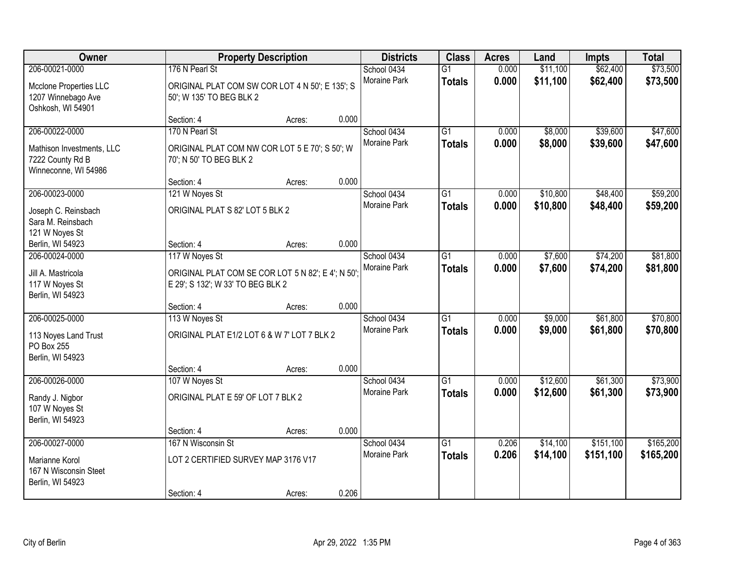| Owner                                                                                   |                                                                                                           | <b>Property Description</b> |       |                                    | <b>Class</b>                     | <b>Acres</b>   | Land                 | <b>Impts</b>           | <b>Total</b>           |
|-----------------------------------------------------------------------------------------|-----------------------------------------------------------------------------------------------------------|-----------------------------|-------|------------------------------------|----------------------------------|----------------|----------------------|------------------------|------------------------|
| 206-00021-0000<br>Mcclone Properties LLC<br>1207 Winnebago Ave<br>Oshkosh, WI 54901     | 176 N Pearl St<br>ORIGINAL PLAT COM SW COR LOT 4 N 50'; E 135'; S<br>50'; W 135' TO BEG BLK 2             |                             |       | School 0434<br>Moraine Park        | $\overline{G1}$<br><b>Totals</b> | 0.000<br>0.000 | \$11,100<br>\$11,100 | \$62,400<br>\$62,400   | \$73,500<br>\$73,500   |
|                                                                                         | Section: 4                                                                                                | Acres:                      | 0.000 |                                    |                                  |                |                      |                        |                        |
| 206-00022-0000<br>Mathison Investments, LLC<br>7222 County Rd B<br>Winneconne, WI 54986 | 170 N Pearl St<br>ORIGINAL PLAT COM NW COR LOT 5 E 70'; S 50'; W<br>70'; N 50' TO BEG BLK 2               |                             |       | School 0434<br><b>Moraine Park</b> | $\overline{G1}$<br><b>Totals</b> | 0.000<br>0.000 | \$8,000<br>\$8,000   | \$39,600<br>\$39,600   | \$47,600<br>\$47,600   |
|                                                                                         | Section: 4                                                                                                | Acres:                      | 0.000 |                                    |                                  |                |                      |                        |                        |
| 206-00023-0000<br>Joseph C. Reinsbach<br>Sara M. Reinsbach<br>121 W Noyes St            | 121 W Noyes St<br>ORIGINAL PLAT S 82' LOT 5 BLK 2                                                         |                             |       | School 0434<br>Moraine Park        | $\overline{G1}$<br><b>Totals</b> | 0.000<br>0.000 | \$10,800<br>\$10,800 | \$48,400<br>\$48,400   | \$59,200<br>\$59,200   |
| Berlin, WI 54923                                                                        | Section: 4                                                                                                | Acres:                      | 0.000 |                                    |                                  |                |                      |                        |                        |
| 206-00024-0000<br>Jill A. Mastricola<br>117 W Noyes St<br>Berlin, WI 54923              | 117 W Noyes St<br>ORIGINAL PLAT COM SE COR LOT 5 N 82'; E 4'; N 50';<br>E 29'; S 132'; W 33' TO BEG BLK 2 |                             |       | School 0434<br>Moraine Park        | G1<br><b>Totals</b>              | 0.000<br>0.000 | \$7,600<br>\$7,600   | \$74,200<br>\$74,200   | \$81,800<br>\$81,800   |
|                                                                                         | Section: 4                                                                                                | Acres:                      | 0.000 |                                    |                                  |                |                      |                        |                        |
| 206-00025-0000<br>113 Noyes Land Trust<br>PO Box 255<br>Berlin, WI 54923                | 113 W Noyes St<br>ORIGINAL PLAT E1/2 LOT 6 & W 7' LOT 7 BLK 2<br>Section: 4                               | Acres:                      | 0.000 | School 0434<br>Moraine Park        | $\overline{G1}$<br><b>Totals</b> | 0.000<br>0.000 | \$9,000<br>\$9,000   | \$61,800<br>\$61,800   | \$70,800<br>\$70,800   |
| 206-00026-0000                                                                          | 107 W Noyes St                                                                                            |                             |       | School 0434                        | $\overline{G1}$                  | 0.000          | \$12,600             | \$61,300               | \$73,900               |
| Randy J. Nigbor<br>107 W Noyes St<br>Berlin, WI 54923                                   | ORIGINAL PLAT E 59' OF LOT 7 BLK 2                                                                        |                             |       | Moraine Park                       | <b>Totals</b>                    | 0.000          | \$12,600             | \$61,300               | \$73,900               |
|                                                                                         | Section: 4                                                                                                | Acres:                      | 0.000 |                                    |                                  |                |                      |                        |                        |
| 206-00027-0000<br>Marianne Korol<br>167 N Wisconsin Steet                               | 167 N Wisconsin St<br>LOT 2 CERTIFIED SURVEY MAP 3176 V17                                                 |                             |       | School 0434<br><b>Moraine Park</b> | $\overline{G1}$<br><b>Totals</b> | 0.206<br>0.206 | \$14,100<br>\$14,100 | \$151,100<br>\$151,100 | \$165,200<br>\$165,200 |
| Berlin, WI 54923                                                                        | Section: 4                                                                                                | Acres:                      | 0.206 |                                    |                                  |                |                      |                        |                        |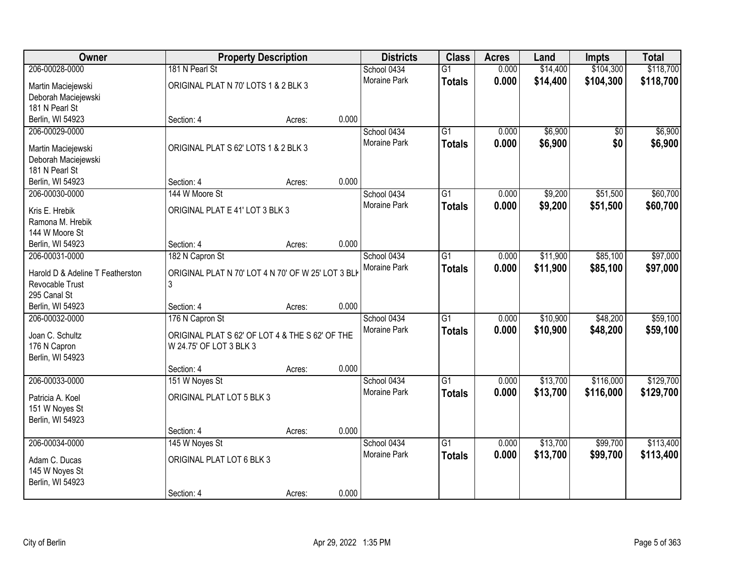| Owner                                     |                                                    | <b>Property Description</b> |       | <b>Districts</b>    | <b>Class</b>    | <b>Acres</b> | Land     | <b>Impts</b> | <b>Total</b> |
|-------------------------------------------|----------------------------------------------------|-----------------------------|-------|---------------------|-----------------|--------------|----------|--------------|--------------|
| 206-00028-0000                            | 181 N Pearl St                                     |                             |       | School 0434         | $\overline{G1}$ | 0.000        | \$14,400 | \$104,300    | \$118,700    |
| Martin Maciejewski                        | ORIGINAL PLAT N 70' LOTS 1 & 2 BLK 3               |                             |       | Moraine Park        | <b>Totals</b>   | 0.000        | \$14,400 | \$104,300    | \$118,700    |
| Deborah Maciejewski                       |                                                    |                             |       |                     |                 |              |          |              |              |
| 181 N Pearl St                            |                                                    |                             |       |                     |                 |              |          |              |              |
| Berlin, WI 54923                          | Section: 4                                         | Acres:                      | 0.000 |                     |                 |              |          |              |              |
| 206-00029-0000                            |                                                    |                             |       | School 0434         | $\overline{G1}$ | 0.000        | \$6,900  | \$0          | \$6,900      |
|                                           | ORIGINAL PLAT S 62' LOTS 1 & 2 BLK 3               |                             |       | Moraine Park        | <b>Totals</b>   | 0.000        | \$6,900  | \$0          | \$6,900      |
| Martin Maciejewski<br>Deborah Maciejewski |                                                    |                             |       |                     |                 |              |          |              |              |
| 181 N Pearl St                            |                                                    |                             |       |                     |                 |              |          |              |              |
| Berlin, WI 54923                          | Section: 4                                         | Acres:                      | 0.000 |                     |                 |              |          |              |              |
| 206-00030-0000                            | 144 W Moore St                                     |                             |       | School 0434         | $\overline{G1}$ | 0.000        | \$9,200  | \$51,500     | \$60,700     |
|                                           |                                                    |                             |       | Moraine Park        | <b>Totals</b>   | 0.000        | \$9,200  | \$51,500     | \$60,700     |
| Kris E. Hrebik                            | ORIGINAL PLAT E 41' LOT 3 BLK 3                    |                             |       |                     |                 |              |          |              |              |
| Ramona M. Hrebik                          |                                                    |                             |       |                     |                 |              |          |              |              |
| 144 W Moore St<br>Berlin, WI 54923        | Section: 4                                         | Acres:                      | 0.000 |                     |                 |              |          |              |              |
| 206-00031-0000                            | 182 N Capron St                                    |                             |       | School 0434         | $\overline{G1}$ | 0.000        | \$11,900 | \$85,100     | \$97,000     |
|                                           |                                                    |                             |       | Moraine Park        | <b>Totals</b>   | 0.000        | \$11,900 | \$85,100     | \$97,000     |
| Harold D & Adeline T Featherston          | ORIGINAL PLAT N 70' LOT 4 N 70' OF W 25' LOT 3 BLK |                             |       |                     |                 |              |          |              |              |
| Revocable Trust                           | 3                                                  |                             |       |                     |                 |              |          |              |              |
| 295 Canal St                              |                                                    |                             |       |                     |                 |              |          |              |              |
| Berlin, WI 54923                          | Section: 4                                         | Acres:                      | 0.000 |                     |                 |              |          |              |              |
| 206-00032-0000                            | 176 N Capron St                                    |                             |       | School 0434         | $\overline{G1}$ | 0.000        | \$10,900 | \$48,200     | \$59,100     |
| Joan C. Schultz                           | ORIGINAL PLAT S 62' OF LOT 4 & THE S 62' OF THE    |                             |       | Moraine Park        | <b>Totals</b>   | 0.000        | \$10,900 | \$48,200     | \$59,100     |
| 176 N Capron                              | W 24.75' OF LOT 3 BLK 3                            |                             |       |                     |                 |              |          |              |              |
| Berlin, WI 54923                          |                                                    |                             |       |                     |                 |              |          |              |              |
|                                           | Section: 4                                         | Acres:                      | 0.000 |                     |                 |              |          |              |              |
| 206-00033-0000                            | 151 W Noyes St                                     |                             |       | School 0434         | $\overline{G1}$ | 0.000        | \$13,700 | \$116,000    | \$129,700    |
| Patricia A. Koel                          | ORIGINAL PLAT LOT 5 BLK 3                          |                             |       | Moraine Park        | <b>Totals</b>   | 0.000        | \$13,700 | \$116,000    | \$129,700    |
| 151 W Noyes St                            |                                                    |                             |       |                     |                 |              |          |              |              |
| Berlin, WI 54923                          |                                                    |                             |       |                     |                 |              |          |              |              |
|                                           | Section: 4                                         | Acres:                      | 0.000 |                     |                 |              |          |              |              |
| 206-00034-0000                            | 145 W Noyes St                                     |                             |       | School 0434         | $\overline{G1}$ | 0.000        | \$13,700 | \$99,700     | \$113,400    |
| Adam C. Ducas                             | ORIGINAL PLAT LOT 6 BLK 3                          |                             |       | <b>Moraine Park</b> | <b>Totals</b>   | 0.000        | \$13,700 | \$99,700     | \$113,400    |
| 145 W Noyes St                            |                                                    |                             |       |                     |                 |              |          |              |              |
| Berlin, WI 54923                          |                                                    |                             |       |                     |                 |              |          |              |              |
|                                           | Section: 4                                         | Acres:                      | 0.000 |                     |                 |              |          |              |              |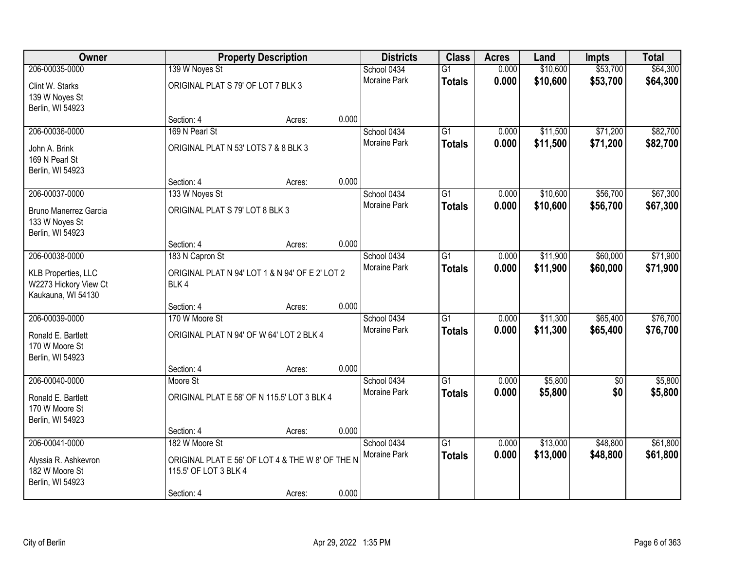| Owner                      |                                                  | <b>Property Description</b> |       | <b>Districts</b>    | <b>Class</b>    | <b>Acres</b> | Land     | <b>Impts</b> | <b>Total</b> |
|----------------------------|--------------------------------------------------|-----------------------------|-------|---------------------|-----------------|--------------|----------|--------------|--------------|
| 206-00035-0000             | 139 W Noyes St                                   |                             |       | School 0434         | $\overline{G1}$ | 0.000        | \$10,600 | \$53,700     | \$64,300     |
| Clint W. Starks            | ORIGINAL PLAT S 79' OF LOT 7 BLK 3               |                             |       | <b>Moraine Park</b> | <b>Totals</b>   | 0.000        | \$10,600 | \$53,700     | \$64,300     |
| 139 W Noyes St             |                                                  |                             |       |                     |                 |              |          |              |              |
| Berlin, WI 54923           |                                                  |                             |       |                     |                 |              |          |              |              |
|                            | Section: 4                                       | Acres:                      | 0.000 |                     |                 |              |          |              |              |
| 206-00036-0000             | 169 N Pearl St                                   |                             |       | School 0434         | $\overline{G1}$ | 0.000        | \$11,500 | \$71,200     | \$82,700     |
| John A. Brink              | ORIGINAL PLAT N 53' LOTS 7 & 8 BLK 3             |                             |       | <b>Moraine Park</b> | <b>Totals</b>   | 0.000        | \$11,500 | \$71,200     | \$82,700     |
| 169 N Pearl St             |                                                  |                             |       |                     |                 |              |          |              |              |
| Berlin, WI 54923           |                                                  |                             |       |                     |                 |              |          |              |              |
|                            | Section: 4                                       | Acres:                      | 0.000 |                     |                 |              |          |              |              |
| 206-00037-0000             | 133 W Noyes St                                   |                             |       | School 0434         | $\overline{G1}$ | 0.000        | \$10,600 | \$56,700     | \$67,300     |
| Bruno Manerrez Garcia      | ORIGINAL PLAT S 79' LOT 8 BLK 3                  |                             |       | Moraine Park        | <b>Totals</b>   | 0.000        | \$10,600 | \$56,700     | \$67,300     |
| 133 W Noyes St             |                                                  |                             |       |                     |                 |              |          |              |              |
| Berlin, WI 54923           |                                                  |                             |       |                     |                 |              |          |              |              |
|                            | Section: 4                                       | Acres:                      | 0.000 |                     |                 |              |          |              |              |
| 206-00038-0000             | 183 N Capron St                                  |                             |       | School 0434         | G1              | 0.000        | \$11,900 | \$60,000     | \$71,900     |
| <b>KLB Properties, LLC</b> | ORIGINAL PLAT N 94' LOT 1 & N 94' OF E 2' LOT 2  |                             |       | <b>Moraine Park</b> | <b>Totals</b>   | 0.000        | \$11,900 | \$60,000     | \$71,900     |
| W2273 Hickory View Ct      | BLK4                                             |                             |       |                     |                 |              |          |              |              |
| Kaukauna, WI 54130         |                                                  |                             |       |                     |                 |              |          |              |              |
|                            | Section: 4                                       | Acres:                      | 0.000 |                     |                 |              |          |              |              |
| 206-00039-0000             | 170 W Moore St                                   |                             |       | School 0434         | $\overline{G1}$ | 0.000        | \$11,300 | \$65,400     | \$76,700     |
| Ronald E. Bartlett         | ORIGINAL PLAT N 94' OF W 64' LOT 2 BLK 4         |                             |       | Moraine Park        | <b>Totals</b>   | 0.000        | \$11,300 | \$65,400     | \$76,700     |
| 170 W Moore St             |                                                  |                             |       |                     |                 |              |          |              |              |
| Berlin, WI 54923           |                                                  |                             |       |                     |                 |              |          |              |              |
|                            | Section: 4                                       | Acres:                      | 0.000 |                     |                 |              |          |              |              |
| 206-00040-0000             | Moore St                                         |                             |       | School 0434         | $\overline{G1}$ | 0.000        | \$5,800  | $\sqrt{6}$   | \$5,800      |
| Ronald E. Bartlett         | ORIGINAL PLAT E 58' OF N 115.5' LOT 3 BLK 4      |                             |       | Moraine Park        | <b>Totals</b>   | 0.000        | \$5,800  | \$0          | \$5,800      |
| 170 W Moore St             |                                                  |                             |       |                     |                 |              |          |              |              |
| Berlin, WI 54923           |                                                  |                             |       |                     |                 |              |          |              |              |
|                            | Section: 4                                       | Acres:                      | 0.000 |                     |                 |              |          |              |              |
| 206-00041-0000             | 182 W Moore St                                   |                             |       | School 0434         | $\overline{G1}$ | 0.000        | \$13,000 | \$48,800     | \$61,800     |
| Alyssia R. Ashkevron       | ORIGINAL PLAT E 56' OF LOT 4 & THE W 8' OF THE N |                             |       | Moraine Park        | <b>Totals</b>   | 0.000        | \$13,000 | \$48,800     | \$61,800     |
| 182 W Moore St             | 115.5' OF LOT 3 BLK 4                            |                             |       |                     |                 |              |          |              |              |
| Berlin, WI 54923           |                                                  |                             |       |                     |                 |              |          |              |              |
|                            | Section: 4                                       | Acres:                      | 0.000 |                     |                 |              |          |              |              |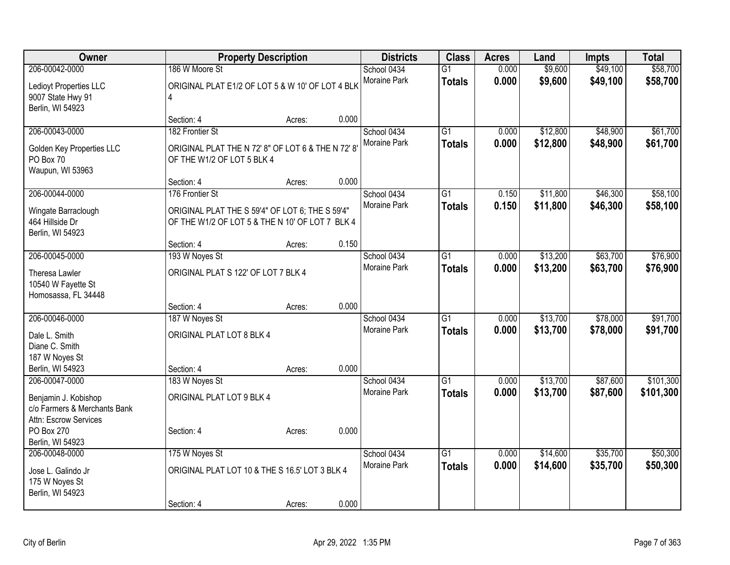| 0.000<br>\$9,600<br>206-00042-0000<br>186 W Moore St<br>School 0434<br>$\overline{G1}$<br>Moraine Park<br>0.000<br>\$9,600<br>\$49,100<br>\$58,700<br><b>Totals</b><br>ORIGINAL PLAT E1/2 OF LOT 5 & W 10' OF LOT 4 BLK<br>Ledioyt Properties LLC<br>9007 State Hwy 91<br>$\overline{4}$<br>Berlin, WI 54923<br>0.000<br>Section: 4<br>Acres:<br>182 Frontier St<br>\$12,800<br>\$48,900<br>206-00043-0000<br>School 0434<br>$\overline{G1}$<br>0.000<br>Moraine Park<br>0.000<br>\$12,800<br>\$48,900<br><b>Totals</b><br>ORIGINAL PLAT THE N 72' 8" OF LOT 6 & THE N 72' 8'<br>Golden Key Properties LLC<br>PO Box 70<br>OF THE W1/2 OF LOT 5 BLK 4<br>Waupun, WI 53963<br>0.000<br>Section: 4<br>Acres:<br>176 Frontier St<br>\$46,300<br>206-00044-0000<br>School 0434<br>$\overline{G1}$<br>0.150<br>\$11,800<br>Moraine Park<br>0.150<br>\$11,800<br>\$46,300<br><b>Totals</b><br>ORIGINAL PLAT THE S 59'4" OF LOT 6; THE S 59'4"<br>Wingate Barraclough<br>464 Hillside Dr<br>OF THE W1/2 OF LOT 5 & THE N 10' OF LOT 7 BLK 4<br>Berlin, WI 54923<br>0.150<br>Section: 4<br>Acres:<br>193 W Noyes St<br>$\overline{G1}$<br>\$13,200<br>\$63,700<br>206-00045-0000<br>School 0434<br>0.000<br>Moraine Park<br>0.000<br>\$13,200<br>\$63,700<br><b>Totals</b><br>ORIGINAL PLAT S 122' OF LOT 7 BLK 4<br>Theresa Lawler<br>10540 W Fayette St<br>Homosassa, FL 34448<br>0.000<br>Section: 4<br>Acres:<br>187 W Noyes St<br>\$78,000<br>206-00046-0000<br>$\overline{G1}$<br>0.000<br>\$13,700<br>School 0434<br>0.000<br>\$13,700<br>\$78,000<br>Moraine Park<br><b>Totals</b><br>ORIGINAL PLAT LOT 8 BLK 4<br>Dale L. Smith<br>Diane C. Smith<br>187 W Noyes St<br>0.000<br>Berlin, WI 54923<br>Section: 4<br>Acres:<br>\$13,700<br>\$87,600<br>206-00047-0000<br>183 W Noyes St<br>School 0434<br>$\overline{G1}$<br>0.000<br>0.000<br>\$13,700<br>\$87,600<br><b>Moraine Park</b><br><b>Totals</b><br>ORIGINAL PLAT LOT 9 BLK 4<br>Benjamin J. Kobishop<br>c/o Farmers & Merchants Bank<br>Attn: Escrow Services<br>0.000<br>PO Box 270<br>Section: 4<br>Acres:<br>Berlin, WI 54923<br>175 W Noyes St<br>206-00048-0000<br>School 0434<br>$\overline{G1}$<br>\$14,600<br>\$35,700<br>0.000<br>0.000<br>\$35,700<br>Moraine Park<br>\$14,600<br><b>Totals</b><br>ORIGINAL PLAT LOT 10 & THE S 16.5' LOT 3 BLK 4<br>Jose L. Galindo Jr<br>175 W Noyes St<br>Berlin, WI 54923 | Owner |            | <b>Property Description</b> |       | <b>Districts</b> | <b>Class</b> | <b>Acres</b> | Land | <b>Impts</b> | <b>Total</b> |
|-----------------------------------------------------------------------------------------------------------------------------------------------------------------------------------------------------------------------------------------------------------------------------------------------------------------------------------------------------------------------------------------------------------------------------------------------------------------------------------------------------------------------------------------------------------------------------------------------------------------------------------------------------------------------------------------------------------------------------------------------------------------------------------------------------------------------------------------------------------------------------------------------------------------------------------------------------------------------------------------------------------------------------------------------------------------------------------------------------------------------------------------------------------------------------------------------------------------------------------------------------------------------------------------------------------------------------------------------------------------------------------------------------------------------------------------------------------------------------------------------------------------------------------------------------------------------------------------------------------------------------------------------------------------------------------------------------------------------------------------------------------------------------------------------------------------------------------------------------------------------------------------------------------------------------------------------------------------------------------------------------------------------------------------------------------------------------------------------------------------------------------------------------------------------------------------------------------------------------------------------------------------------------------------------------------------------------------------------------------------------------------|-------|------------|-----------------------------|-------|------------------|--------------|--------------|------|--------------|--------------|
|                                                                                                                                                                                                                                                                                                                                                                                                                                                                                                                                                                                                                                                                                                                                                                                                                                                                                                                                                                                                                                                                                                                                                                                                                                                                                                                                                                                                                                                                                                                                                                                                                                                                                                                                                                                                                                                                                                                                                                                                                                                                                                                                                                                                                                                                                                                                                                                   |       |            |                             |       |                  |              |              |      | \$49,100     | \$58,700     |
|                                                                                                                                                                                                                                                                                                                                                                                                                                                                                                                                                                                                                                                                                                                                                                                                                                                                                                                                                                                                                                                                                                                                                                                                                                                                                                                                                                                                                                                                                                                                                                                                                                                                                                                                                                                                                                                                                                                                                                                                                                                                                                                                                                                                                                                                                                                                                                                   |       |            |                             |       |                  |              |              |      |              |              |
| \$61,700<br>\$61,700<br>\$58,100<br>\$58,100<br>\$76,900<br>\$76,900<br>\$91,700<br>\$91,700<br>\$101,300<br>\$101,300<br>\$50,300<br>\$50,300                                                                                                                                                                                                                                                                                                                                                                                                                                                                                                                                                                                                                                                                                                                                                                                                                                                                                                                                                                                                                                                                                                                                                                                                                                                                                                                                                                                                                                                                                                                                                                                                                                                                                                                                                                                                                                                                                                                                                                                                                                                                                                                                                                                                                                    |       |            |                             |       |                  |              |              |      |              |              |
|                                                                                                                                                                                                                                                                                                                                                                                                                                                                                                                                                                                                                                                                                                                                                                                                                                                                                                                                                                                                                                                                                                                                                                                                                                                                                                                                                                                                                                                                                                                                                                                                                                                                                                                                                                                                                                                                                                                                                                                                                                                                                                                                                                                                                                                                                                                                                                                   |       |            |                             |       |                  |              |              |      |              |              |
|                                                                                                                                                                                                                                                                                                                                                                                                                                                                                                                                                                                                                                                                                                                                                                                                                                                                                                                                                                                                                                                                                                                                                                                                                                                                                                                                                                                                                                                                                                                                                                                                                                                                                                                                                                                                                                                                                                                                                                                                                                                                                                                                                                                                                                                                                                                                                                                   |       |            |                             |       |                  |              |              |      |              |              |
|                                                                                                                                                                                                                                                                                                                                                                                                                                                                                                                                                                                                                                                                                                                                                                                                                                                                                                                                                                                                                                                                                                                                                                                                                                                                                                                                                                                                                                                                                                                                                                                                                                                                                                                                                                                                                                                                                                                                                                                                                                                                                                                                                                                                                                                                                                                                                                                   |       |            |                             |       |                  |              |              |      |              |              |
|                                                                                                                                                                                                                                                                                                                                                                                                                                                                                                                                                                                                                                                                                                                                                                                                                                                                                                                                                                                                                                                                                                                                                                                                                                                                                                                                                                                                                                                                                                                                                                                                                                                                                                                                                                                                                                                                                                                                                                                                                                                                                                                                                                                                                                                                                                                                                                                   |       |            |                             |       |                  |              |              |      |              |              |
|                                                                                                                                                                                                                                                                                                                                                                                                                                                                                                                                                                                                                                                                                                                                                                                                                                                                                                                                                                                                                                                                                                                                                                                                                                                                                                                                                                                                                                                                                                                                                                                                                                                                                                                                                                                                                                                                                                                                                                                                                                                                                                                                                                                                                                                                                                                                                                                   |       |            |                             |       |                  |              |              |      |              |              |
|                                                                                                                                                                                                                                                                                                                                                                                                                                                                                                                                                                                                                                                                                                                                                                                                                                                                                                                                                                                                                                                                                                                                                                                                                                                                                                                                                                                                                                                                                                                                                                                                                                                                                                                                                                                                                                                                                                                                                                                                                                                                                                                                                                                                                                                                                                                                                                                   |       |            |                             |       |                  |              |              |      |              |              |
|                                                                                                                                                                                                                                                                                                                                                                                                                                                                                                                                                                                                                                                                                                                                                                                                                                                                                                                                                                                                                                                                                                                                                                                                                                                                                                                                                                                                                                                                                                                                                                                                                                                                                                                                                                                                                                                                                                                                                                                                                                                                                                                                                                                                                                                                                                                                                                                   |       |            |                             |       |                  |              |              |      |              |              |
|                                                                                                                                                                                                                                                                                                                                                                                                                                                                                                                                                                                                                                                                                                                                                                                                                                                                                                                                                                                                                                                                                                                                                                                                                                                                                                                                                                                                                                                                                                                                                                                                                                                                                                                                                                                                                                                                                                                                                                                                                                                                                                                                                                                                                                                                                                                                                                                   |       |            |                             |       |                  |              |              |      |              |              |
|                                                                                                                                                                                                                                                                                                                                                                                                                                                                                                                                                                                                                                                                                                                                                                                                                                                                                                                                                                                                                                                                                                                                                                                                                                                                                                                                                                                                                                                                                                                                                                                                                                                                                                                                                                                                                                                                                                                                                                                                                                                                                                                                                                                                                                                                                                                                                                                   |       |            |                             |       |                  |              |              |      |              |              |
|                                                                                                                                                                                                                                                                                                                                                                                                                                                                                                                                                                                                                                                                                                                                                                                                                                                                                                                                                                                                                                                                                                                                                                                                                                                                                                                                                                                                                                                                                                                                                                                                                                                                                                                                                                                                                                                                                                                                                                                                                                                                                                                                                                                                                                                                                                                                                                                   |       |            |                             |       |                  |              |              |      |              |              |
|                                                                                                                                                                                                                                                                                                                                                                                                                                                                                                                                                                                                                                                                                                                                                                                                                                                                                                                                                                                                                                                                                                                                                                                                                                                                                                                                                                                                                                                                                                                                                                                                                                                                                                                                                                                                                                                                                                                                                                                                                                                                                                                                                                                                                                                                                                                                                                                   |       |            |                             |       |                  |              |              |      |              |              |
|                                                                                                                                                                                                                                                                                                                                                                                                                                                                                                                                                                                                                                                                                                                                                                                                                                                                                                                                                                                                                                                                                                                                                                                                                                                                                                                                                                                                                                                                                                                                                                                                                                                                                                                                                                                                                                                                                                                                                                                                                                                                                                                                                                                                                                                                                                                                                                                   |       |            |                             |       |                  |              |              |      |              |              |
|                                                                                                                                                                                                                                                                                                                                                                                                                                                                                                                                                                                                                                                                                                                                                                                                                                                                                                                                                                                                                                                                                                                                                                                                                                                                                                                                                                                                                                                                                                                                                                                                                                                                                                                                                                                                                                                                                                                                                                                                                                                                                                                                                                                                                                                                                                                                                                                   |       |            |                             |       |                  |              |              |      |              |              |
|                                                                                                                                                                                                                                                                                                                                                                                                                                                                                                                                                                                                                                                                                                                                                                                                                                                                                                                                                                                                                                                                                                                                                                                                                                                                                                                                                                                                                                                                                                                                                                                                                                                                                                                                                                                                                                                                                                                                                                                                                                                                                                                                                                                                                                                                                                                                                                                   |       |            |                             |       |                  |              |              |      |              |              |
|                                                                                                                                                                                                                                                                                                                                                                                                                                                                                                                                                                                                                                                                                                                                                                                                                                                                                                                                                                                                                                                                                                                                                                                                                                                                                                                                                                                                                                                                                                                                                                                                                                                                                                                                                                                                                                                                                                                                                                                                                                                                                                                                                                                                                                                                                                                                                                                   |       |            |                             |       |                  |              |              |      |              |              |
|                                                                                                                                                                                                                                                                                                                                                                                                                                                                                                                                                                                                                                                                                                                                                                                                                                                                                                                                                                                                                                                                                                                                                                                                                                                                                                                                                                                                                                                                                                                                                                                                                                                                                                                                                                                                                                                                                                                                                                                                                                                                                                                                                                                                                                                                                                                                                                                   |       |            |                             |       |                  |              |              |      |              |              |
|                                                                                                                                                                                                                                                                                                                                                                                                                                                                                                                                                                                                                                                                                                                                                                                                                                                                                                                                                                                                                                                                                                                                                                                                                                                                                                                                                                                                                                                                                                                                                                                                                                                                                                                                                                                                                                                                                                                                                                                                                                                                                                                                                                                                                                                                                                                                                                                   |       |            |                             |       |                  |              |              |      |              |              |
|                                                                                                                                                                                                                                                                                                                                                                                                                                                                                                                                                                                                                                                                                                                                                                                                                                                                                                                                                                                                                                                                                                                                                                                                                                                                                                                                                                                                                                                                                                                                                                                                                                                                                                                                                                                                                                                                                                                                                                                                                                                                                                                                                                                                                                                                                                                                                                                   |       |            |                             |       |                  |              |              |      |              |              |
|                                                                                                                                                                                                                                                                                                                                                                                                                                                                                                                                                                                                                                                                                                                                                                                                                                                                                                                                                                                                                                                                                                                                                                                                                                                                                                                                                                                                                                                                                                                                                                                                                                                                                                                                                                                                                                                                                                                                                                                                                                                                                                                                                                                                                                                                                                                                                                                   |       |            |                             |       |                  |              |              |      |              |              |
|                                                                                                                                                                                                                                                                                                                                                                                                                                                                                                                                                                                                                                                                                                                                                                                                                                                                                                                                                                                                                                                                                                                                                                                                                                                                                                                                                                                                                                                                                                                                                                                                                                                                                                                                                                                                                                                                                                                                                                                                                                                                                                                                                                                                                                                                                                                                                                                   |       |            |                             |       |                  |              |              |      |              |              |
|                                                                                                                                                                                                                                                                                                                                                                                                                                                                                                                                                                                                                                                                                                                                                                                                                                                                                                                                                                                                                                                                                                                                                                                                                                                                                                                                                                                                                                                                                                                                                                                                                                                                                                                                                                                                                                                                                                                                                                                                                                                                                                                                                                                                                                                                                                                                                                                   |       |            |                             |       |                  |              |              |      |              |              |
|                                                                                                                                                                                                                                                                                                                                                                                                                                                                                                                                                                                                                                                                                                                                                                                                                                                                                                                                                                                                                                                                                                                                                                                                                                                                                                                                                                                                                                                                                                                                                                                                                                                                                                                                                                                                                                                                                                                                                                                                                                                                                                                                                                                                                                                                                                                                                                                   |       |            |                             |       |                  |              |              |      |              |              |
|                                                                                                                                                                                                                                                                                                                                                                                                                                                                                                                                                                                                                                                                                                                                                                                                                                                                                                                                                                                                                                                                                                                                                                                                                                                                                                                                                                                                                                                                                                                                                                                                                                                                                                                                                                                                                                                                                                                                                                                                                                                                                                                                                                                                                                                                                                                                                                                   |       |            |                             |       |                  |              |              |      |              |              |
|                                                                                                                                                                                                                                                                                                                                                                                                                                                                                                                                                                                                                                                                                                                                                                                                                                                                                                                                                                                                                                                                                                                                                                                                                                                                                                                                                                                                                                                                                                                                                                                                                                                                                                                                                                                                                                                                                                                                                                                                                                                                                                                                                                                                                                                                                                                                                                                   |       |            |                             |       |                  |              |              |      |              |              |
|                                                                                                                                                                                                                                                                                                                                                                                                                                                                                                                                                                                                                                                                                                                                                                                                                                                                                                                                                                                                                                                                                                                                                                                                                                                                                                                                                                                                                                                                                                                                                                                                                                                                                                                                                                                                                                                                                                                                                                                                                                                                                                                                                                                                                                                                                                                                                                                   |       |            |                             |       |                  |              |              |      |              |              |
|                                                                                                                                                                                                                                                                                                                                                                                                                                                                                                                                                                                                                                                                                                                                                                                                                                                                                                                                                                                                                                                                                                                                                                                                                                                                                                                                                                                                                                                                                                                                                                                                                                                                                                                                                                                                                                                                                                                                                                                                                                                                                                                                                                                                                                                                                                                                                                                   |       |            |                             |       |                  |              |              |      |              |              |
|                                                                                                                                                                                                                                                                                                                                                                                                                                                                                                                                                                                                                                                                                                                                                                                                                                                                                                                                                                                                                                                                                                                                                                                                                                                                                                                                                                                                                                                                                                                                                                                                                                                                                                                                                                                                                                                                                                                                                                                                                                                                                                                                                                                                                                                                                                                                                                                   |       |            |                             |       |                  |              |              |      |              |              |
|                                                                                                                                                                                                                                                                                                                                                                                                                                                                                                                                                                                                                                                                                                                                                                                                                                                                                                                                                                                                                                                                                                                                                                                                                                                                                                                                                                                                                                                                                                                                                                                                                                                                                                                                                                                                                                                                                                                                                                                                                                                                                                                                                                                                                                                                                                                                                                                   |       |            |                             |       |                  |              |              |      |              |              |
|                                                                                                                                                                                                                                                                                                                                                                                                                                                                                                                                                                                                                                                                                                                                                                                                                                                                                                                                                                                                                                                                                                                                                                                                                                                                                                                                                                                                                                                                                                                                                                                                                                                                                                                                                                                                                                                                                                                                                                                                                                                                                                                                                                                                                                                                                                                                                                                   |       |            |                             |       |                  |              |              |      |              |              |
|                                                                                                                                                                                                                                                                                                                                                                                                                                                                                                                                                                                                                                                                                                                                                                                                                                                                                                                                                                                                                                                                                                                                                                                                                                                                                                                                                                                                                                                                                                                                                                                                                                                                                                                                                                                                                                                                                                                                                                                                                                                                                                                                                                                                                                                                                                                                                                                   |       |            |                             |       |                  |              |              |      |              |              |
|                                                                                                                                                                                                                                                                                                                                                                                                                                                                                                                                                                                                                                                                                                                                                                                                                                                                                                                                                                                                                                                                                                                                                                                                                                                                                                                                                                                                                                                                                                                                                                                                                                                                                                                                                                                                                                                                                                                                                                                                                                                                                                                                                                                                                                                                                                                                                                                   |       | Section: 4 | Acres:                      | 0.000 |                  |              |              |      |              |              |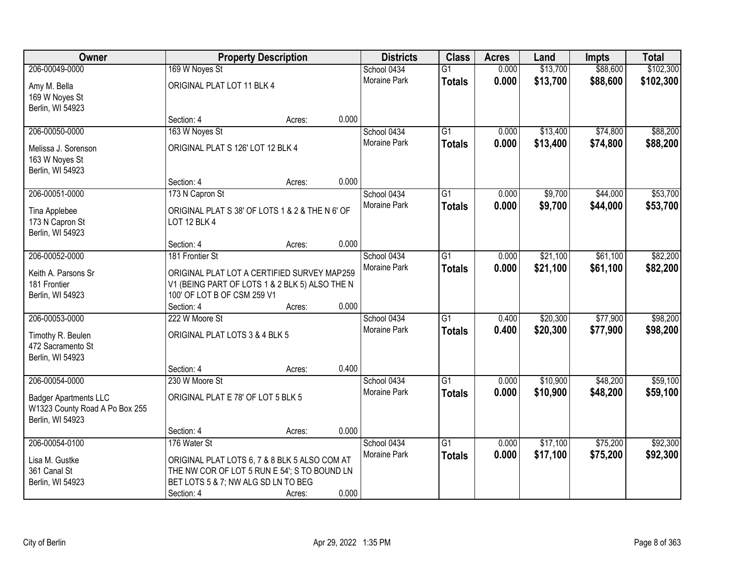| \$88,600<br>\$102,300<br>206-00049-0000<br>169 W Noyes St<br>0.000<br>\$13,700<br>School 0434<br>$\overline{G1}$<br>0.000<br>Moraine Park<br>\$13,700<br>\$88,600<br>\$102,300<br><b>Totals</b><br>ORIGINAL PLAT LOT 11 BLK 4<br>Amy M. Bella<br>169 W Noyes St<br>Berlin, WI 54923<br>0.000<br>Section: 4<br>Acres:<br>163 W Noyes St<br>$\overline{G1}$<br>\$13,400<br>\$74,800<br>206-00050-0000<br>School 0434<br>0.000<br>0.000<br>Moraine Park<br>\$13,400<br>\$74,800<br><b>Totals</b><br>ORIGINAL PLAT S 126' LOT 12 BLK 4<br>Melissa J. Sorenson<br>163 W Noyes St<br>Berlin, WI 54923<br>0.000<br>Section: 4<br>Acres:<br>\$9,700<br>\$44,000<br>206-00051-0000<br>173 N Capron St<br>School 0434<br>G1<br>0.000<br>Moraine Park<br>0.000<br>\$9,700<br>\$44,000<br><b>Totals</b><br>ORIGINAL PLAT S 38' OF LOTS 1 & 2 & THE N 6' OF<br>Tina Applebee<br><b>LOT 12 BLK 4</b><br>173 N Capron St<br>Berlin, WI 54923<br>0.000<br>Section: 4<br>Acres:<br>206-00052-0000<br>\$21,100<br>\$61,100<br>181 Frontier St<br>School 0434<br>G1<br>0.000<br>Moraine Park<br>0.000<br>\$21,100<br>\$61,100<br><b>Totals</b><br>Keith A. Parsons Sr<br>ORIGINAL PLAT LOT A CERTIFIED SURVEY MAP259<br>181 Frontier<br>V1 (BEING PART OF LOTS 1 & 2 BLK 5) ALSO THE N<br>Berlin, WI 54923<br>100' OF LOT B OF CSM 259 V1<br>0.000<br>Section: 4<br>Acres:<br>\$20,300<br>\$77,900<br>206-00053-0000<br>222 W Moore St<br>$\overline{G1}$<br>0.400<br>School 0434<br>Moraine Park<br>0.400<br>\$20,300<br>\$77,900<br><b>Totals</b><br>ORIGINAL PLAT LOTS 3 & 4 BLK 5<br>Timothy R. Beulen<br>472 Sacramento St<br>Berlin, WI 54923<br>0.400<br>Section: 4<br>Acres:<br>$\overline{G1}$<br>\$10,900<br>\$48,200<br>206-00054-0000<br>230 W Moore St<br>School 0434<br>0.000<br>Moraine Park<br>0.000<br>\$10,900<br>\$48,200<br><b>Totals</b><br>ORIGINAL PLAT E 78' OF LOT 5 BLK 5<br><b>Badger Apartments LLC</b><br>W1323 County Road A Po Box 255<br>Berlin, WI 54923<br>0.000<br>Section: 4<br>Acres:<br>206-00054-0100<br>176 Water St<br>$\overline{G1}$<br>\$17,100<br>\$75,200<br>School 0434<br>0.000<br>Moraine Park<br>0.000<br>\$17,100<br>\$75,200<br><b>Totals</b><br>ORIGINAL PLAT LOTS 6, 7 & 8 BLK 5 ALSO COM AT<br>Lisa M. Gustke<br>361 Canal St<br>THE NW COR OF LOT 5 RUN E 54'; S TO BOUND LN<br>Berlin, WI 54923<br>BET LOTS 5 & 7; NW ALG SD LN TO BEG | Owner |            | <b>Property Description</b> |       | <b>Districts</b> | <b>Class</b> | <b>Acres</b> | Land | <b>Impts</b> | <b>Total</b> |
|------------------------------------------------------------------------------------------------------------------------------------------------------------------------------------------------------------------------------------------------------------------------------------------------------------------------------------------------------------------------------------------------------------------------------------------------------------------------------------------------------------------------------------------------------------------------------------------------------------------------------------------------------------------------------------------------------------------------------------------------------------------------------------------------------------------------------------------------------------------------------------------------------------------------------------------------------------------------------------------------------------------------------------------------------------------------------------------------------------------------------------------------------------------------------------------------------------------------------------------------------------------------------------------------------------------------------------------------------------------------------------------------------------------------------------------------------------------------------------------------------------------------------------------------------------------------------------------------------------------------------------------------------------------------------------------------------------------------------------------------------------------------------------------------------------------------------------------------------------------------------------------------------------------------------------------------------------------------------------------------------------------------------------------------------------------------------------------------------------------------------------------------------------------------------------------------------------------------------------------------------------------------------------------------------------------------------------------------------------------------------|-------|------------|-----------------------------|-------|------------------|--------------|--------------|------|--------------|--------------|
|                                                                                                                                                                                                                                                                                                                                                                                                                                                                                                                                                                                                                                                                                                                                                                                                                                                                                                                                                                                                                                                                                                                                                                                                                                                                                                                                                                                                                                                                                                                                                                                                                                                                                                                                                                                                                                                                                                                                                                                                                                                                                                                                                                                                                                                                                                                                                                              |       |            |                             |       |                  |              |              |      |              |              |
|                                                                                                                                                                                                                                                                                                                                                                                                                                                                                                                                                                                                                                                                                                                                                                                                                                                                                                                                                                                                                                                                                                                                                                                                                                                                                                                                                                                                                                                                                                                                                                                                                                                                                                                                                                                                                                                                                                                                                                                                                                                                                                                                                                                                                                                                                                                                                                              |       |            |                             |       |                  |              |              |      |              |              |
|                                                                                                                                                                                                                                                                                                                                                                                                                                                                                                                                                                                                                                                                                                                                                                                                                                                                                                                                                                                                                                                                                                                                                                                                                                                                                                                                                                                                                                                                                                                                                                                                                                                                                                                                                                                                                                                                                                                                                                                                                                                                                                                                                                                                                                                                                                                                                                              |       |            |                             |       |                  |              |              |      |              |              |
|                                                                                                                                                                                                                                                                                                                                                                                                                                                                                                                                                                                                                                                                                                                                                                                                                                                                                                                                                                                                                                                                                                                                                                                                                                                                                                                                                                                                                                                                                                                                                                                                                                                                                                                                                                                                                                                                                                                                                                                                                                                                                                                                                                                                                                                                                                                                                                              |       |            |                             |       |                  |              |              |      |              |              |
| \$88,200<br>\$88,200<br>\$53,700<br>\$53,700                                                                                                                                                                                                                                                                                                                                                                                                                                                                                                                                                                                                                                                                                                                                                                                                                                                                                                                                                                                                                                                                                                                                                                                                                                                                                                                                                                                                                                                                                                                                                                                                                                                                                                                                                                                                                                                                                                                                                                                                                                                                                                                                                                                                                                                                                                                                 |       |            |                             |       |                  |              |              |      |              |              |
|                                                                                                                                                                                                                                                                                                                                                                                                                                                                                                                                                                                                                                                                                                                                                                                                                                                                                                                                                                                                                                                                                                                                                                                                                                                                                                                                                                                                                                                                                                                                                                                                                                                                                                                                                                                                                                                                                                                                                                                                                                                                                                                                                                                                                                                                                                                                                                              |       |            |                             |       |                  |              |              |      |              |              |
|                                                                                                                                                                                                                                                                                                                                                                                                                                                                                                                                                                                                                                                                                                                                                                                                                                                                                                                                                                                                                                                                                                                                                                                                                                                                                                                                                                                                                                                                                                                                                                                                                                                                                                                                                                                                                                                                                                                                                                                                                                                                                                                                                                                                                                                                                                                                                                              |       |            |                             |       |                  |              |              |      |              |              |
|                                                                                                                                                                                                                                                                                                                                                                                                                                                                                                                                                                                                                                                                                                                                                                                                                                                                                                                                                                                                                                                                                                                                                                                                                                                                                                                                                                                                                                                                                                                                                                                                                                                                                                                                                                                                                                                                                                                                                                                                                                                                                                                                                                                                                                                                                                                                                                              |       |            |                             |       |                  |              |              |      |              |              |
|                                                                                                                                                                                                                                                                                                                                                                                                                                                                                                                                                                                                                                                                                                                                                                                                                                                                                                                                                                                                                                                                                                                                                                                                                                                                                                                                                                                                                                                                                                                                                                                                                                                                                                                                                                                                                                                                                                                                                                                                                                                                                                                                                                                                                                                                                                                                                                              |       |            |                             |       |                  |              |              |      |              |              |
|                                                                                                                                                                                                                                                                                                                                                                                                                                                                                                                                                                                                                                                                                                                                                                                                                                                                                                                                                                                                                                                                                                                                                                                                                                                                                                                                                                                                                                                                                                                                                                                                                                                                                                                                                                                                                                                                                                                                                                                                                                                                                                                                                                                                                                                                                                                                                                              |       |            |                             |       |                  |              |              |      |              |              |
|                                                                                                                                                                                                                                                                                                                                                                                                                                                                                                                                                                                                                                                                                                                                                                                                                                                                                                                                                                                                                                                                                                                                                                                                                                                                                                                                                                                                                                                                                                                                                                                                                                                                                                                                                                                                                                                                                                                                                                                                                                                                                                                                                                                                                                                                                                                                                                              |       |            |                             |       |                  |              |              |      |              |              |
|                                                                                                                                                                                                                                                                                                                                                                                                                                                                                                                                                                                                                                                                                                                                                                                                                                                                                                                                                                                                                                                                                                                                                                                                                                                                                                                                                                                                                                                                                                                                                                                                                                                                                                                                                                                                                                                                                                                                                                                                                                                                                                                                                                                                                                                                                                                                                                              |       |            |                             |       |                  |              |              |      |              |              |
|                                                                                                                                                                                                                                                                                                                                                                                                                                                                                                                                                                                                                                                                                                                                                                                                                                                                                                                                                                                                                                                                                                                                                                                                                                                                                                                                                                                                                                                                                                                                                                                                                                                                                                                                                                                                                                                                                                                                                                                                                                                                                                                                                                                                                                                                                                                                                                              |       |            |                             |       |                  |              |              |      |              |              |
|                                                                                                                                                                                                                                                                                                                                                                                                                                                                                                                                                                                                                                                                                                                                                                                                                                                                                                                                                                                                                                                                                                                                                                                                                                                                                                                                                                                                                                                                                                                                                                                                                                                                                                                                                                                                                                                                                                                                                                                                                                                                                                                                                                                                                                                                                                                                                                              |       |            |                             |       |                  |              |              |      |              |              |
| \$82,200<br>\$82,200<br>\$98,200<br>\$98,200<br>\$59,100<br>\$59,100<br>\$92,300<br>\$92,300                                                                                                                                                                                                                                                                                                                                                                                                                                                                                                                                                                                                                                                                                                                                                                                                                                                                                                                                                                                                                                                                                                                                                                                                                                                                                                                                                                                                                                                                                                                                                                                                                                                                                                                                                                                                                                                                                                                                                                                                                                                                                                                                                                                                                                                                                 |       |            |                             |       |                  |              |              |      |              |              |
|                                                                                                                                                                                                                                                                                                                                                                                                                                                                                                                                                                                                                                                                                                                                                                                                                                                                                                                                                                                                                                                                                                                                                                                                                                                                                                                                                                                                                                                                                                                                                                                                                                                                                                                                                                                                                                                                                                                                                                                                                                                                                                                                                                                                                                                                                                                                                                              |       |            |                             |       |                  |              |              |      |              |              |
|                                                                                                                                                                                                                                                                                                                                                                                                                                                                                                                                                                                                                                                                                                                                                                                                                                                                                                                                                                                                                                                                                                                                                                                                                                                                                                                                                                                                                                                                                                                                                                                                                                                                                                                                                                                                                                                                                                                                                                                                                                                                                                                                                                                                                                                                                                                                                                              |       |            |                             |       |                  |              |              |      |              |              |
|                                                                                                                                                                                                                                                                                                                                                                                                                                                                                                                                                                                                                                                                                                                                                                                                                                                                                                                                                                                                                                                                                                                                                                                                                                                                                                                                                                                                                                                                                                                                                                                                                                                                                                                                                                                                                                                                                                                                                                                                                                                                                                                                                                                                                                                                                                                                                                              |       |            |                             |       |                  |              |              |      |              |              |
|                                                                                                                                                                                                                                                                                                                                                                                                                                                                                                                                                                                                                                                                                                                                                                                                                                                                                                                                                                                                                                                                                                                                                                                                                                                                                                                                                                                                                                                                                                                                                                                                                                                                                                                                                                                                                                                                                                                                                                                                                                                                                                                                                                                                                                                                                                                                                                              |       |            |                             |       |                  |              |              |      |              |              |
|                                                                                                                                                                                                                                                                                                                                                                                                                                                                                                                                                                                                                                                                                                                                                                                                                                                                                                                                                                                                                                                                                                                                                                                                                                                                                                                                                                                                                                                                                                                                                                                                                                                                                                                                                                                                                                                                                                                                                                                                                                                                                                                                                                                                                                                                                                                                                                              |       |            |                             |       |                  |              |              |      |              |              |
|                                                                                                                                                                                                                                                                                                                                                                                                                                                                                                                                                                                                                                                                                                                                                                                                                                                                                                                                                                                                                                                                                                                                                                                                                                                                                                                                                                                                                                                                                                                                                                                                                                                                                                                                                                                                                                                                                                                                                                                                                                                                                                                                                                                                                                                                                                                                                                              |       |            |                             |       |                  |              |              |      |              |              |
|                                                                                                                                                                                                                                                                                                                                                                                                                                                                                                                                                                                                                                                                                                                                                                                                                                                                                                                                                                                                                                                                                                                                                                                                                                                                                                                                                                                                                                                                                                                                                                                                                                                                                                                                                                                                                                                                                                                                                                                                                                                                                                                                                                                                                                                                                                                                                                              |       |            |                             |       |                  |              |              |      |              |              |
|                                                                                                                                                                                                                                                                                                                                                                                                                                                                                                                                                                                                                                                                                                                                                                                                                                                                                                                                                                                                                                                                                                                                                                                                                                                                                                                                                                                                                                                                                                                                                                                                                                                                                                                                                                                                                                                                                                                                                                                                                                                                                                                                                                                                                                                                                                                                                                              |       |            |                             |       |                  |              |              |      |              |              |
|                                                                                                                                                                                                                                                                                                                                                                                                                                                                                                                                                                                                                                                                                                                                                                                                                                                                                                                                                                                                                                                                                                                                                                                                                                                                                                                                                                                                                                                                                                                                                                                                                                                                                                                                                                                                                                                                                                                                                                                                                                                                                                                                                                                                                                                                                                                                                                              |       |            |                             |       |                  |              |              |      |              |              |
|                                                                                                                                                                                                                                                                                                                                                                                                                                                                                                                                                                                                                                                                                                                                                                                                                                                                                                                                                                                                                                                                                                                                                                                                                                                                                                                                                                                                                                                                                                                                                                                                                                                                                                                                                                                                                                                                                                                                                                                                                                                                                                                                                                                                                                                                                                                                                                              |       |            |                             |       |                  |              |              |      |              |              |
|                                                                                                                                                                                                                                                                                                                                                                                                                                                                                                                                                                                                                                                                                                                                                                                                                                                                                                                                                                                                                                                                                                                                                                                                                                                                                                                                                                                                                                                                                                                                                                                                                                                                                                                                                                                                                                                                                                                                                                                                                                                                                                                                                                                                                                                                                                                                                                              |       |            |                             |       |                  |              |              |      |              |              |
|                                                                                                                                                                                                                                                                                                                                                                                                                                                                                                                                                                                                                                                                                                                                                                                                                                                                                                                                                                                                                                                                                                                                                                                                                                                                                                                                                                                                                                                                                                                                                                                                                                                                                                                                                                                                                                                                                                                                                                                                                                                                                                                                                                                                                                                                                                                                                                              |       |            |                             |       |                  |              |              |      |              |              |
|                                                                                                                                                                                                                                                                                                                                                                                                                                                                                                                                                                                                                                                                                                                                                                                                                                                                                                                                                                                                                                                                                                                                                                                                                                                                                                                                                                                                                                                                                                                                                                                                                                                                                                                                                                                                                                                                                                                                                                                                                                                                                                                                                                                                                                                                                                                                                                              |       |            |                             |       |                  |              |              |      |              |              |
|                                                                                                                                                                                                                                                                                                                                                                                                                                                                                                                                                                                                                                                                                                                                                                                                                                                                                                                                                                                                                                                                                                                                                                                                                                                                                                                                                                                                                                                                                                                                                                                                                                                                                                                                                                                                                                                                                                                                                                                                                                                                                                                                                                                                                                                                                                                                                                              |       |            |                             |       |                  |              |              |      |              |              |
|                                                                                                                                                                                                                                                                                                                                                                                                                                                                                                                                                                                                                                                                                                                                                                                                                                                                                                                                                                                                                                                                                                                                                                                                                                                                                                                                                                                                                                                                                                                                                                                                                                                                                                                                                                                                                                                                                                                                                                                                                                                                                                                                                                                                                                                                                                                                                                              |       |            |                             |       |                  |              |              |      |              |              |
|                                                                                                                                                                                                                                                                                                                                                                                                                                                                                                                                                                                                                                                                                                                                                                                                                                                                                                                                                                                                                                                                                                                                                                                                                                                                                                                                                                                                                                                                                                                                                                                                                                                                                                                                                                                                                                                                                                                                                                                                                                                                                                                                                                                                                                                                                                                                                                              |       |            |                             |       |                  |              |              |      |              |              |
|                                                                                                                                                                                                                                                                                                                                                                                                                                                                                                                                                                                                                                                                                                                                                                                                                                                                                                                                                                                                                                                                                                                                                                                                                                                                                                                                                                                                                                                                                                                                                                                                                                                                                                                                                                                                                                                                                                                                                                                                                                                                                                                                                                                                                                                                                                                                                                              |       |            |                             |       |                  |              |              |      |              |              |
|                                                                                                                                                                                                                                                                                                                                                                                                                                                                                                                                                                                                                                                                                                                                                                                                                                                                                                                                                                                                                                                                                                                                                                                                                                                                                                                                                                                                                                                                                                                                                                                                                                                                                                                                                                                                                                                                                                                                                                                                                                                                                                                                                                                                                                                                                                                                                                              |       |            |                             |       |                  |              |              |      |              |              |
|                                                                                                                                                                                                                                                                                                                                                                                                                                                                                                                                                                                                                                                                                                                                                                                                                                                                                                                                                                                                                                                                                                                                                                                                                                                                                                                                                                                                                                                                                                                                                                                                                                                                                                                                                                                                                                                                                                                                                                                                                                                                                                                                                                                                                                                                                                                                                                              |       |            |                             |       |                  |              |              |      |              |              |
|                                                                                                                                                                                                                                                                                                                                                                                                                                                                                                                                                                                                                                                                                                                                                                                                                                                                                                                                                                                                                                                                                                                                                                                                                                                                                                                                                                                                                                                                                                                                                                                                                                                                                                                                                                                                                                                                                                                                                                                                                                                                                                                                                                                                                                                                                                                                                                              |       | Section: 4 | Acres:                      | 0.000 |                  |              |              |      |              |              |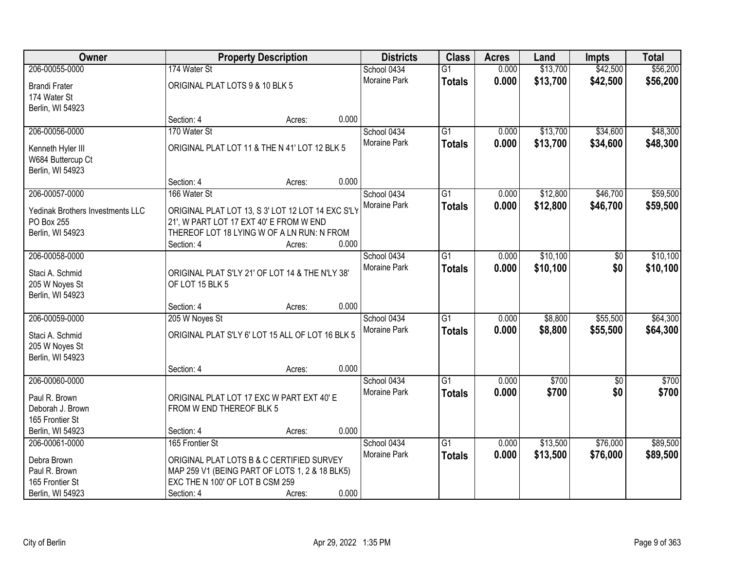| Owner                            |                                                   | <b>Property Description</b> |       | <b>Districts</b>    | <b>Class</b>    | <b>Acres</b> | Land     | <b>Impts</b>    | <b>Total</b> |
|----------------------------------|---------------------------------------------------|-----------------------------|-------|---------------------|-----------------|--------------|----------|-----------------|--------------|
| 206-00055-0000                   | 174 Water St                                      |                             |       | School 0434         | $\overline{G1}$ | 0.000        | \$13,700 | \$42,500        | \$56,200     |
| <b>Brandi Frater</b>             | ORIGINAL PLAT LOTS 9 & 10 BLK 5                   |                             |       | Moraine Park        | <b>Totals</b>   | 0.000        | \$13,700 | \$42,500        | \$56,200     |
| 174 Water St                     |                                                   |                             |       |                     |                 |              |          |                 |              |
| Berlin, WI 54923                 |                                                   |                             |       |                     |                 |              |          |                 |              |
|                                  | Section: 4                                        | Acres:                      | 0.000 |                     |                 |              |          |                 |              |
| 206-00056-0000                   | 170 Water St                                      |                             |       | School 0434         | $\overline{G1}$ | 0.000        | \$13,700 | \$34,600        | \$48,300     |
| Kenneth Hyler III                | ORIGINAL PLAT LOT 11 & THE N 41' LOT 12 BLK 5     |                             |       | Moraine Park        | Totals          | 0.000        | \$13,700 | \$34,600        | \$48,300     |
| W684 Buttercup Ct                |                                                   |                             |       |                     |                 |              |          |                 |              |
| Berlin, WI 54923                 |                                                   |                             |       |                     |                 |              |          |                 |              |
|                                  | Section: 4                                        | Acres:                      | 0.000 |                     |                 |              |          |                 |              |
| 206-00057-0000                   | 166 Water St                                      |                             |       | School 0434         | G1              | 0.000        | \$12,800 | \$46,700        | \$59,500     |
| Yedinak Brothers Investments LLC | ORIGINAL PLAT LOT 13, S 3' LOT 12 LOT 14 EXC S'LY |                             |       | <b>Moraine Park</b> | <b>Totals</b>   | 0.000        | \$12,800 | \$46,700        | \$59,500     |
| PO Box 255                       | 21', W PART LOT 17 EXT 40' E FROM W END           |                             |       |                     |                 |              |          |                 |              |
| Berlin, WI 54923                 | THEREOF LOT 18 LYING W OF A LN RUN: N FROM        |                             |       |                     |                 |              |          |                 |              |
|                                  | Section: 4                                        | Acres:                      | 0.000 |                     |                 |              |          |                 |              |
| 206-00058-0000                   |                                                   |                             |       | School 0434         | G1              | 0.000        | \$10,100 | \$0             | \$10,100     |
| Staci A. Schmid                  | ORIGINAL PLAT S'LY 21' OF LOT 14 & THE N'LY 38'   |                             |       | Moraine Park        | <b>Totals</b>   | 0.000        | \$10,100 | \$0             | \$10,100     |
| 205 W Noyes St                   | OF LOT 15 BLK 5                                   |                             |       |                     |                 |              |          |                 |              |
| Berlin, WI 54923                 |                                                   |                             |       |                     |                 |              |          |                 |              |
|                                  | Section: 4                                        | Acres:                      | 0.000 |                     |                 |              |          |                 |              |
| 206-00059-0000                   | 205 W Noyes St                                    |                             |       | School 0434         | $\overline{G1}$ | 0.000        | \$8,800  | \$55,500        | \$64,300     |
| Staci A. Schmid                  | ORIGINAL PLAT S'LY 6' LOT 15 ALL OF LOT 16 BLK 5  |                             |       | Moraine Park        | Totals          | 0.000        | \$8,800  | \$55,500        | \$64,300     |
| 205 W Noyes St                   |                                                   |                             |       |                     |                 |              |          |                 |              |
| Berlin, WI 54923                 |                                                   |                             |       |                     |                 |              |          |                 |              |
|                                  | Section: 4                                        | Acres:                      | 0.000 |                     |                 |              |          |                 |              |
| 206-00060-0000                   |                                                   |                             |       | School 0434         | $\overline{G1}$ | 0.000        | \$700    | $\overline{50}$ | \$700        |
| Paul R. Brown                    | ORIGINAL PLAT LOT 17 EXC W PART EXT 40' E         |                             |       | Moraine Park        | <b>Totals</b>   | 0.000        | \$700    | \$0             | \$700        |
| Deborah J. Brown                 | FROM W END THEREOF BLK 5                          |                             |       |                     |                 |              |          |                 |              |
| 165 Frontier St                  |                                                   |                             |       |                     |                 |              |          |                 |              |
| Berlin, WI 54923                 | Section: 4                                        | Acres:                      | 0.000 |                     |                 |              |          |                 |              |
| 206-00061-0000                   | 165 Frontier St                                   |                             |       | School 0434         | $\overline{G1}$ | 0.000        | \$13,500 | \$76,000        | \$89,500     |
| Debra Brown                      | ORIGINAL PLAT LOTS B & C CERTIFIED SURVEY         |                             |       | <b>Moraine Park</b> | <b>Totals</b>   | 0.000        | \$13,500 | \$76,000        | \$89,500     |
| Paul R. Brown                    | MAP 259 V1 (BEING PART OF LOTS 1, 2 & 18 BLK5)    |                             |       |                     |                 |              |          |                 |              |
| 165 Frontier St                  | EXC THE N 100' OF LOT B CSM 259                   |                             |       |                     |                 |              |          |                 |              |
| Berlin, WI 54923                 | Section: 4                                        | Acres:                      | 0.000 |                     |                 |              |          |                 |              |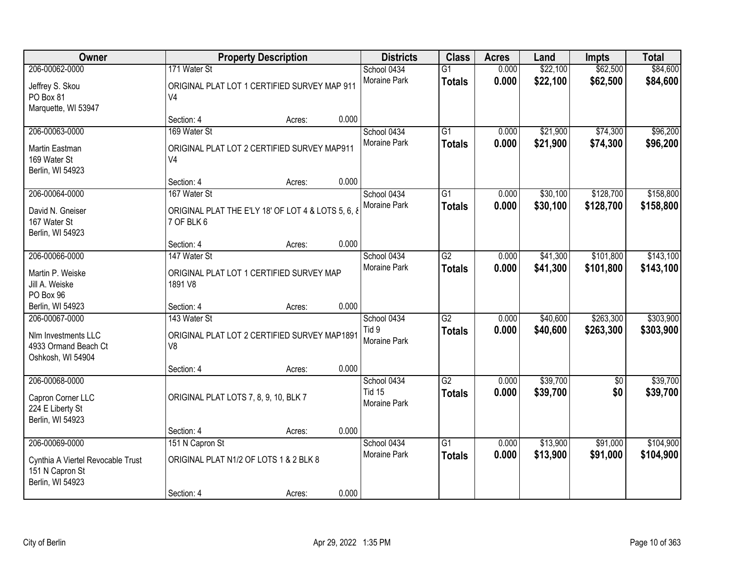| Owner                                                                                      |                                                                                  | <b>Property Description</b> |       | <b>Districts</b>                             | <b>Class</b>                     | <b>Acres</b>   | Land                 | <b>Impts</b>           | <b>Total</b>           |
|--------------------------------------------------------------------------------------------|----------------------------------------------------------------------------------|-----------------------------|-------|----------------------------------------------|----------------------------------|----------------|----------------------|------------------------|------------------------|
| 206-00062-0000<br>Jeffrey S. Skou<br>PO Box 81<br>Marquette, WI 53947                      | 171 Water St<br>ORIGINAL PLAT LOT 1 CERTIFIED SURVEY MAP 911<br>V <sub>4</sub>   |                             |       | School 0434<br>Moraine Park                  | $\overline{G1}$<br><b>Totals</b> | 0.000<br>0.000 | \$22,100<br>\$22,100 | \$62,500<br>\$62,500   | \$84,600<br>\$84,600   |
|                                                                                            | Section: 4                                                                       | Acres:                      | 0.000 |                                              |                                  |                |                      |                        |                        |
| 206-00063-0000<br>Martin Eastman<br>169 Water St<br>Berlin, WI 54923                       | 169 Water St<br>ORIGINAL PLAT LOT 2 CERTIFIED SURVEY MAP911<br>V <sub>4</sub>    |                             |       | School 0434<br>Moraine Park                  | $\overline{G1}$<br><b>Totals</b> | 0.000<br>0.000 | \$21,900<br>\$21,900 | \$74,300<br>\$74,300   | \$96,200<br>\$96,200   |
|                                                                                            | Section: 4                                                                       | Acres:                      | 0.000 |                                              |                                  |                |                      |                        |                        |
| 206-00064-0000<br>David N. Gneiser<br>167 Water St<br>Berlin, WI 54923                     | 167 Water St<br>ORIGINAL PLAT THE E'LY 18' OF LOT 4 & LOTS 5, 6, 8<br>7 OF BLK 6 |                             |       | School 0434<br>Moraine Park                  | $\overline{G1}$<br><b>Totals</b> | 0.000<br>0.000 | \$30,100<br>\$30,100 | \$128,700<br>\$128,700 | \$158,800<br>\$158,800 |
|                                                                                            | Section: 4                                                                       | Acres:                      | 0.000 |                                              |                                  |                |                      |                        |                        |
| 206-00066-0000<br>Martin P. Weiske<br>Jill A. Weiske                                       | 147 Water St<br>ORIGINAL PLAT LOT 1 CERTIFIED SURVEY MAP<br>1891 V8              |                             |       | School 0434<br><b>Moraine Park</b>           | $\overline{G2}$<br><b>Totals</b> | 0.000<br>0.000 | \$41,300<br>\$41,300 | \$101,800<br>\$101,800 | \$143,100<br>\$143,100 |
| PO Box 96<br>Berlin, WI 54923                                                              | Section: 4                                                                       | Acres:                      | 0.000 |                                              |                                  |                |                      |                        |                        |
| 206-00067-0000<br>Nlm Investments LLC<br>4933 Ormand Beach Ct<br>Oshkosh, WI 54904         | 143 Water St<br>ORIGINAL PLAT LOT 2 CERTIFIED SURVEY MAP1891<br>V <sub>8</sub>   |                             |       | School 0434<br>Tid 9<br>Moraine Park         | $\overline{G2}$<br><b>Totals</b> | 0.000<br>0.000 | \$40,600<br>\$40,600 | \$263,300<br>\$263,300 | \$303,900<br>\$303,900 |
|                                                                                            | Section: 4                                                                       | Acres:                      | 0.000 |                                              |                                  |                |                      |                        |                        |
| 206-00068-0000<br>Capron Corner LLC<br>224 E Liberty St<br>Berlin, WI 54923                | ORIGINAL PLAT LOTS 7, 8, 9, 10, BLK 7                                            |                             |       | School 0434<br><b>Tid 15</b><br>Moraine Park | $\overline{G2}$<br><b>Totals</b> | 0.000<br>0.000 | \$39,700<br>\$39,700 | $\sqrt{6}$<br>\$0      | \$39,700<br>\$39,700   |
|                                                                                            | Section: 4                                                                       | Acres:                      | 0.000 |                                              |                                  |                |                      |                        |                        |
| 206-00069-0000<br>Cynthia A Viertel Revocable Trust<br>151 N Capron St<br>Berlin, WI 54923 | 151 N Capron St<br>ORIGINAL PLAT N1/2 OF LOTS 1 & 2 BLK 8<br>Section: 4          | Acres:                      | 0.000 | School 0434<br><b>Moraine Park</b>           | $\overline{G1}$<br><b>Totals</b> | 0.000<br>0.000 | \$13,900<br>\$13,900 | \$91,000<br>\$91,000   | \$104,900<br>\$104,900 |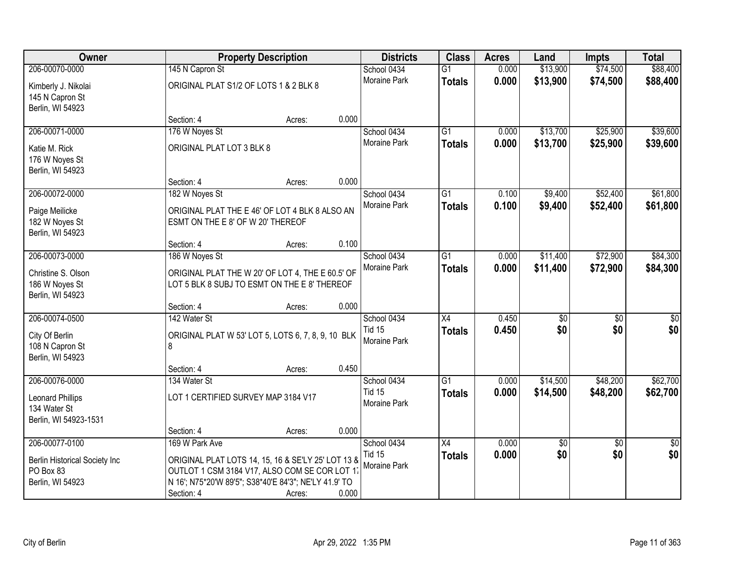| Owner                                                                            |                                                     | <b>Property Description</b>                                                                                                                                  | <b>Districts</b>                             | <b>Class</b>                     | <b>Acres</b>   | Land               | <b>Impts</b>           | <b>Total</b>           |
|----------------------------------------------------------------------------------|-----------------------------------------------------|--------------------------------------------------------------------------------------------------------------------------------------------------------------|----------------------------------------------|----------------------------------|----------------|--------------------|------------------------|------------------------|
| 206-00070-0000                                                                   | 145 N Capron St                                     |                                                                                                                                                              | School 0434                                  | $\overline{G1}$                  | 0.000          | \$13,900           | \$74,500               | \$88,400               |
| Kimberly J. Nikolai<br>145 N Capron St<br>Berlin, WI 54923                       | ORIGINAL PLAT S1/2 OF LOTS 1 & 2 BLK 8              |                                                                                                                                                              | Moraine Park                                 | <b>Totals</b>                    | 0.000          | \$13,900           | \$74,500               | \$88,400               |
|                                                                                  | Section: 4                                          | Acres:                                                                                                                                                       | 0.000                                        |                                  |                |                    |                        |                        |
| 206-00071-0000                                                                   | 176 W Noyes St                                      |                                                                                                                                                              | School 0434                                  | G1                               | 0.000          | \$13,700           | \$25,900               | \$39,600               |
| Katie M. Rick<br>176 W Noyes St<br>Berlin, WI 54923                              | ORIGINAL PLAT LOT 3 BLK 8                           |                                                                                                                                                              | Moraine Park                                 | <b>Totals</b>                    | 0.000          | \$13,700           | \$25,900               | \$39,600               |
|                                                                                  | Section: 4                                          | Acres:                                                                                                                                                       | 0.000                                        |                                  |                |                    |                        |                        |
| 206-00072-0000<br>Paige Meilicke<br>182 W Noyes St<br>Berlin, WI 54923           | 182 W Noyes St<br>ESMT ON THE E 8' OF W 20' THEREOF | ORIGINAL PLAT THE E 46' OF LOT 4 BLK 8 ALSO AN                                                                                                               | School 0434<br>Moraine Park                  | $\overline{G1}$<br><b>Totals</b> | 0.100<br>0.100 | \$9,400<br>\$9,400 | \$52,400<br>\$52,400   | \$61,800<br>\$61,800   |
|                                                                                  | Section: 4                                          | Acres:                                                                                                                                                       | 0.100                                        |                                  |                |                    |                        |                        |
| 206-00073-0000                                                                   | 186 W Noyes St                                      |                                                                                                                                                              | School 0434                                  | $\overline{G1}$                  | 0.000          | \$11,400           | \$72,900               | \$84,300               |
| Christine S. Olson<br>186 W Noyes St<br>Berlin, WI 54923                         |                                                     | ORIGINAL PLAT THE W 20' OF LOT 4, THE E 60.5' OF<br>LOT 5 BLK 8 SUBJ TO ESMT ON THE E 8' THEREOF                                                             | Moraine Park                                 | <b>Totals</b>                    | 0.000          | \$11,400           | \$72,900               | \$84,300               |
|                                                                                  | Section: 4                                          | Acres:                                                                                                                                                       | 0.000                                        |                                  |                |                    |                        |                        |
| 206-00074-0500                                                                   | 142 Water St                                        |                                                                                                                                                              | School 0434                                  | $\overline{X4}$                  | 0.450          | \$0                | $\overline{50}$        | \$0                    |
| City Of Berlin<br>108 N Capron St<br>Berlin, WI 54923                            | 8                                                   | ORIGINAL PLAT W 53' LOT 5, LOTS 6, 7, 8, 9, 10 BLK                                                                                                           | <b>Tid 15</b><br>Moraine Park                | <b>Totals</b>                    | 0.450          | \$0                | \$0                    | \$0                    |
|                                                                                  | Section: 4                                          | Acres:                                                                                                                                                       | 0.450                                        |                                  |                |                    |                        |                        |
| 206-00076-0000                                                                   | 134 Water St                                        |                                                                                                                                                              | School 0434                                  | $\overline{G1}$                  | 0.000          | \$14,500           | \$48,200               | \$62,700               |
| Leonard Phillips<br>134 Water St<br>Berlin, WI 54923-1531                        | LOT 1 CERTIFIED SURVEY MAP 3184 V17                 |                                                                                                                                                              | <b>Tid 15</b><br>Moraine Park                | <b>Totals</b>                    | 0.000          | \$14,500           | \$48,200               | \$62,700               |
|                                                                                  | Section: 4                                          | Acres:                                                                                                                                                       | 0.000                                        |                                  |                |                    |                        |                        |
| 206-00077-0100<br>Berlin Historical Society Inc<br>PO Box 83<br>Berlin, WI 54923 | 169 W Park Ave                                      | ORIGINAL PLAT LOTS 14, 15, 16 & SE'LY 25' LOT 13 &<br>OUTLOT 1 CSM 3184 V17, ALSO COM SE COR LOT 17<br>N 16'; N75*20'W 89'5"; S38*40'E 84'3"; NE'LY 41.9' TO | School 0434<br><b>Tid 15</b><br>Moraine Park | $\overline{X4}$<br><b>Totals</b> | 0.000<br>0.000 | \$0<br>\$0         | $\overline{30}$<br>\$0 | $\overline{50}$<br>\$0 |
|                                                                                  | Section: 4                                          | Acres:                                                                                                                                                       | 0.000                                        |                                  |                |                    |                        |                        |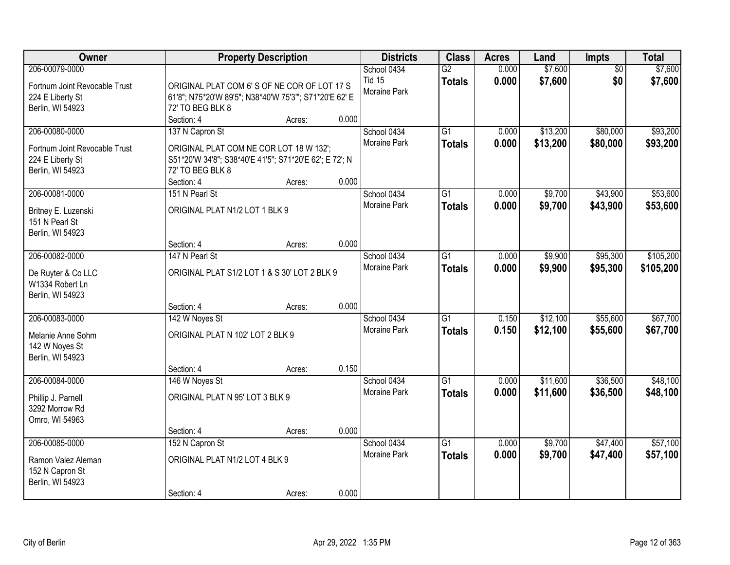| <b>Owner</b>                                                                                  |                                                                                                                                                        | <b>Property Description</b> |                | <b>Districts</b>                             | <b>Class</b>                     | <b>Acres</b>   | Land                 | Impts                  | <b>Total</b>           |
|-----------------------------------------------------------------------------------------------|--------------------------------------------------------------------------------------------------------------------------------------------------------|-----------------------------|----------------|----------------------------------------------|----------------------------------|----------------|----------------------|------------------------|------------------------|
| 206-00079-0000<br>Fortnum Joint Revocable Trust<br>224 E Liberty St<br>Berlin, WI 54923       | ORIGINAL PLAT COM 6'S OF NE COR OF LOT 17 S<br>61'8"; N75*20'W 89'5"; N38*40'W 75'3"'; S71*20'E 62' E<br>72' TO BEG BLK 8                              |                             |                | School 0434<br><b>Tid 15</b><br>Moraine Park | G2<br><b>Totals</b>              | 0.000<br>0.000 | \$7,600<br>\$7,600   | $\overline{50}$<br>\$0 | \$7,600<br>\$7,600     |
| 206-00080-0000<br>Fortnum Joint Revocable Trust<br>224 E Liberty St<br>Berlin, WI 54923       | Section: 4<br>137 N Capron St<br>ORIGINAL PLAT COM NE COR LOT 18 W 132';<br>S51*20'W 34'8"; S38*40'E 41'5"; S71*20'E 62'; E 72'; N<br>72' TO BEG BLK 8 | Acres:                      | 0.000          | School 0434<br><b>Moraine Park</b>           | $\overline{G1}$<br><b>Totals</b> | 0.000<br>0.000 | \$13,200<br>\$13,200 | \$80,000<br>\$80,000   | \$93,200<br>\$93,200   |
| 206-00081-0000<br>Britney E. Luzenski<br>151 N Pearl St<br>Berlin, WI 54923                   | Section: 4<br>151 N Pearl St<br>ORIGINAL PLAT N1/2 LOT 1 BLK 9                                                                                         | Acres:                      | 0.000          | School 0434<br>Moraine Park                  | $\overline{G1}$<br><b>Totals</b> | 0.000<br>0.000 | \$9,700<br>\$9,700   | \$43,900<br>\$43,900   | \$53,600<br>\$53,600   |
| 206-00082-0000<br>De Ruyter & Co LLC<br>W1334 Robert Ln                                       | Section: 4<br>147 N Pearl St<br>ORIGINAL PLAT S1/2 LOT 1 & S 30' LOT 2 BLK 9                                                                           | Acres:                      | 0.000          | School 0434<br>Moraine Park                  | G1<br><b>Totals</b>              | 0.000<br>0.000 | \$9,900<br>\$9,900   | \$95,300<br>\$95,300   | \$105,200<br>\$105,200 |
| Berlin, WI 54923<br>206-00083-0000<br>Melanie Anne Sohm<br>142 W Noyes St<br>Berlin, WI 54923 | Section: 4<br>142 W Noyes St<br>ORIGINAL PLAT N 102' LOT 2 BLK 9                                                                                       | Acres:                      | 0.000          | School 0434<br><b>Moraine Park</b>           | $\overline{G1}$<br><b>Totals</b> | 0.150<br>0.150 | \$12,100<br>\$12,100 | \$55,600<br>\$55,600   | \$67,700<br>\$67,700   |
| 206-00084-0000<br>Phillip J. Parnell<br>3292 Morrow Rd<br>Omro, WI 54963                      | Section: 4<br>146 W Noyes St<br>ORIGINAL PLAT N 95' LOT 3 BLK 9                                                                                        | Acres:                      | 0.150          | School 0434<br>Moraine Park                  | $\overline{G1}$<br><b>Totals</b> | 0.000<br>0.000 | \$11,600<br>\$11,600 | \$36,500<br>\$36,500   | \$48,100<br>\$48,100   |
| 206-00085-0000<br>Ramon Valez Aleman<br>152 N Capron St<br>Berlin, WI 54923                   | Section: 4<br>152 N Capron St<br>ORIGINAL PLAT N1/2 LOT 4 BLK 9<br>Section: 4                                                                          | Acres:<br>Acres:            | 0.000<br>0.000 | School 0434<br><b>Moraine Park</b>           | $\overline{G1}$<br><b>Totals</b> | 0.000<br>0.000 | \$9,700<br>\$9,700   | \$47,400<br>\$47,400   | \$57,100<br>\$57,100   |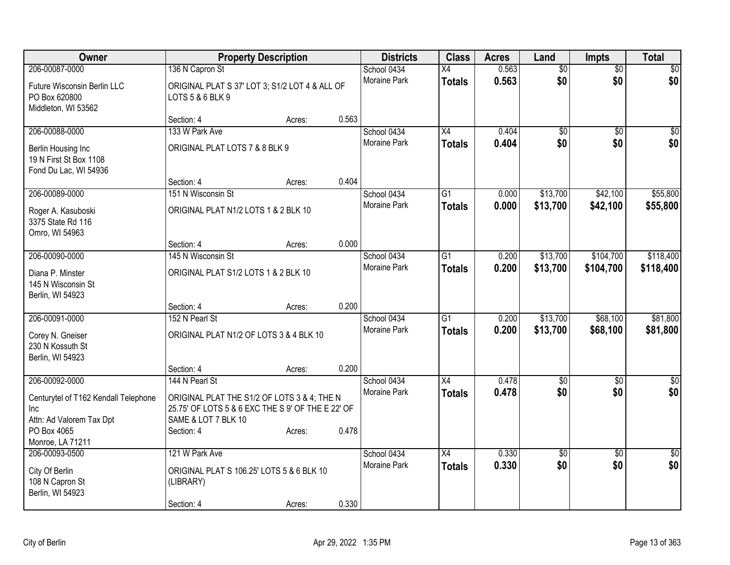| Owner                                                                    | <b>Property Description</b>                                                                                             |        |       | <b>Districts</b>    | <b>Class</b>    | <b>Acres</b> | Land            | Impts           | <b>Total</b>    |
|--------------------------------------------------------------------------|-------------------------------------------------------------------------------------------------------------------------|--------|-------|---------------------|-----------------|--------------|-----------------|-----------------|-----------------|
| 206-00087-0000                                                           | 136 N Capron St                                                                                                         |        |       | School 0434         | $\overline{X4}$ | 0.563        | $\overline{60}$ | $\overline{50}$ | \$0             |
| Future Wisconsin Berlin LLC<br>PO Box 620800<br>Middleton, WI 53562      | ORIGINAL PLAT S 37' LOT 3; S1/2 LOT 4 & ALL OF<br>LOTS 5 & 6 BLK 9                                                      |        |       | <b>Moraine Park</b> | <b>Totals</b>   | 0.563        | \$0             | \$0             | \$0             |
|                                                                          | Section: 4                                                                                                              | Acres: | 0.563 |                     |                 |              |                 |                 |                 |
| 206-00088-0000                                                           | 133 W Park Ave                                                                                                          |        |       | School 0434         | X4              | 0.404        | \$0             | \$0             | $\overline{50}$ |
| Berlin Housing Inc<br>19 N First St Box 1108<br>Fond Du Lac, WI 54936    | ORIGINAL PLAT LOTS 7 & 8 BLK 9                                                                                          |        |       | Moraine Park        | <b>Totals</b>   | 0.404        | \$0             | \$0             | \$0             |
|                                                                          | Section: 4                                                                                                              | Acres: | 0.404 |                     |                 |              |                 |                 |                 |
| 206-00089-0000                                                           | 151 N Wisconsin St                                                                                                      |        |       | School 0434         | $\overline{G1}$ | 0.000        | \$13,700        | \$42,100        | \$55,800        |
| Roger A. Kasuboski<br>3375 State Rd 116<br>Omro, WI 54963                | ORIGINAL PLAT N1/2 LOTS 1 & 2 BLK 10                                                                                    |        |       | Moraine Park        | <b>Totals</b>   | 0.000        | \$13,700        | \$42,100        | \$55,800        |
|                                                                          | Section: 4                                                                                                              | Acres: | 0.000 |                     |                 |              |                 |                 |                 |
| 206-00090-0000                                                           | 145 N Wisconsin St                                                                                                      |        |       | School 0434         | $\overline{G1}$ | 0.200        | \$13,700        | \$104,700       | \$118,400       |
| Diana P. Minster<br>145 N Wisconsin St<br>Berlin, WI 54923               | ORIGINAL PLAT S1/2 LOTS 1 & 2 BLK 10                                                                                    |        |       | <b>Moraine Park</b> | <b>Totals</b>   | 0.200        | \$13,700        | \$104,700       | \$118,400       |
|                                                                          | Section: 4                                                                                                              | Acres: | 0.200 |                     |                 |              |                 |                 |                 |
| 206-00091-0000                                                           | 152 N Pearl St                                                                                                          |        |       | School 0434         | $\overline{G1}$ | 0.200        | \$13,700        | \$68,100        | \$81,800        |
| Corey N. Gneiser<br>230 N Kossuth St<br>Berlin, WI 54923                 | ORIGINAL PLAT N1/2 OF LOTS 3 & 4 BLK 10                                                                                 |        |       | <b>Moraine Park</b> | <b>Totals</b>   | 0.200        | \$13,700        | \$68,100        | \$81,800        |
|                                                                          | Section: 4                                                                                                              | Acres: | 0.200 |                     |                 |              |                 |                 |                 |
| 206-00092-0000                                                           | 144 N Pearl St                                                                                                          |        |       | School 0434         | $\overline{X4}$ | 0.478        | $\sqrt{6}$      | $\overline{50}$ | $\overline{50}$ |
| Centurytel of T162 Kendall Telephone<br>Inc.<br>Attn: Ad Valorem Tax Dpt | ORIGINAL PLAT THE S1/2 OF LOTS 3 & 4; THE N<br>25.75' OF LOTS 5 & 6 EXC THE S 9' OF THE E 22' OF<br>SAME & LOT 7 BLK 10 |        |       | Moraine Park        | <b>Totals</b>   | 0.478        | \$0             | \$0             | \$0             |
| PO Box 4065                                                              | Section: 4                                                                                                              | Acres: | 0.478 |                     |                 |              |                 |                 |                 |
| Monroe, LA 71211                                                         |                                                                                                                         |        |       |                     |                 |              |                 |                 |                 |
| 206-00093-0500                                                           | 121 W Park Ave                                                                                                          |        |       | School 0434         | $\overline{X4}$ | 0.330        | $\overline{60}$ | $\overline{30}$ | $\overline{50}$ |
| City Of Berlin<br>108 N Capron St<br>Berlin, WI 54923                    | ORIGINAL PLAT S 106.25' LOTS 5 & 6 BLK 10<br>(LIBRARY)                                                                  |        |       | <b>Moraine Park</b> | <b>Totals</b>   | 0.330        | \$0             | \$0             | \$0             |
|                                                                          | Section: 4                                                                                                              | Acres: | 0.330 |                     |                 |              |                 |                 |                 |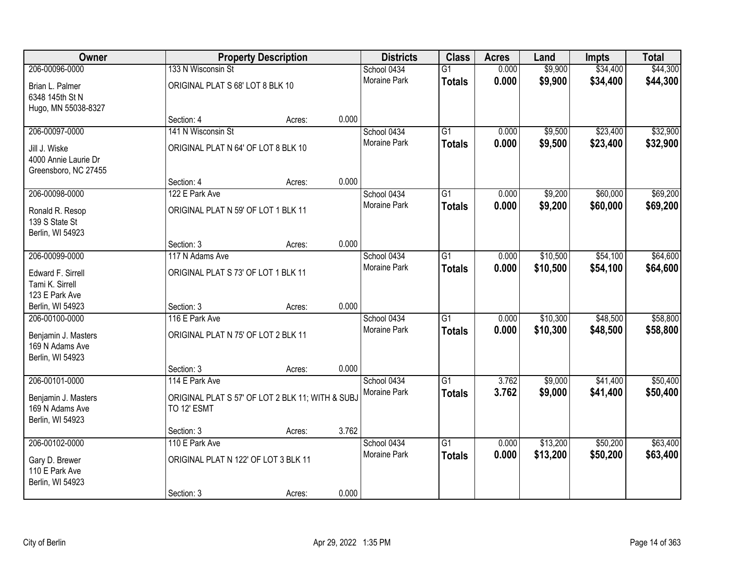| Owner                                                         |                                                                 | <b>Property Description</b> |       | <b>Districts</b>    | <b>Class</b>    | <b>Acres</b> | Land     | <b>Impts</b> | <b>Total</b> |
|---------------------------------------------------------------|-----------------------------------------------------------------|-----------------------------|-------|---------------------|-----------------|--------------|----------|--------------|--------------|
| 206-00096-0000                                                | 133 N Wisconsin St                                              |                             |       | School 0434         | $\overline{G1}$ | 0.000        | \$9,900  | \$34,400     | \$44,300     |
| Brian L. Palmer<br>6348 145th St N<br>Hugo, MN 55038-8327     | ORIGINAL PLAT S 68' LOT 8 BLK 10                                |                             |       | <b>Moraine Park</b> | <b>Totals</b>   | 0.000        | \$9,900  | \$34,400     | \$44,300     |
|                                                               | Section: 4                                                      | Acres:                      | 0.000 |                     |                 |              |          |              |              |
| 206-00097-0000                                                | 141 N Wisconsin St                                              |                             |       | School 0434         | $\overline{G1}$ | 0.000        | \$9,500  | \$23,400     | \$32,900     |
|                                                               |                                                                 |                             |       | Moraine Park        | <b>Totals</b>   | 0.000        | \$9,500  | \$23,400     | \$32,900     |
| Jill J. Wiske<br>4000 Annie Laurie Dr<br>Greensboro, NC 27455 | ORIGINAL PLAT N 64' OF LOT 8 BLK 10                             |                             |       |                     |                 |              |          |              |              |
|                                                               | Section: 4                                                      | Acres:                      | 0.000 |                     |                 |              |          |              |              |
| 206-00098-0000                                                | 122 E Park Ave                                                  |                             |       | School 0434         | $\overline{G1}$ | 0.000        | \$9,200  | \$60,000     | \$69,200     |
| Ronald R. Resop<br>139 S State St<br>Berlin, WI 54923         | ORIGINAL PLAT N 59' OF LOT 1 BLK 11                             |                             |       | Moraine Park        | <b>Totals</b>   | 0.000        | \$9,200  | \$60,000     | \$69,200     |
|                                                               | Section: 3                                                      | Acres:                      | 0.000 |                     |                 |              |          |              |              |
| 206-00099-0000                                                | 117 N Adams Ave                                                 |                             |       | School 0434         | $\overline{G1}$ | 0.000        | \$10,500 | \$54,100     | \$64,600     |
| Edward F. Sirrell<br>Tami K. Sirrell                          | ORIGINAL PLAT S 73' OF LOT 1 BLK 11                             |                             |       | Moraine Park        | Totals          | 0.000        | \$10,500 | \$54,100     | \$64,600     |
| 123 E Park Ave                                                |                                                                 |                             |       |                     |                 |              |          |              |              |
| Berlin, WI 54923                                              | Section: 3                                                      | Acres:                      | 0.000 |                     |                 |              |          |              |              |
| 206-00100-0000                                                | 116 E Park Ave                                                  |                             |       | School 0434         | $\overline{G1}$ | 0.000        | \$10,300 | \$48,500     | \$58,800     |
| Benjamin J. Masters<br>169 N Adams Ave<br>Berlin, WI 54923    | ORIGINAL PLAT N 75' OF LOT 2 BLK 11                             |                             |       | Moraine Park        | <b>Totals</b>   | 0.000        | \$10,300 | \$48,500     | \$58,800     |
|                                                               | Section: 3                                                      | Acres:                      | 0.000 |                     |                 |              |          |              |              |
| 206-00101-0000                                                | 114 E Park Ave                                                  |                             |       | School 0434         | $\overline{G1}$ | 3.762        | \$9,000  | \$41,400     | \$50,400     |
| Benjamin J. Masters<br>169 N Adams Ave<br>Berlin, WI 54923    | ORIGINAL PLAT S 57' OF LOT 2 BLK 11; WITH & SUBJ<br>TO 12' ESMT |                             |       | <b>Moraine Park</b> | <b>Totals</b>   | 3.762        | \$9,000  | \$41,400     | \$50,400     |
|                                                               | Section: 3                                                      | Acres:                      | 3.762 |                     |                 |              |          |              |              |
| 206-00102-0000                                                | 110 E Park Ave                                                  |                             |       | School 0434         | $\overline{G1}$ | 0.000        | \$13,200 | \$50,200     | \$63,400     |
| Gary D. Brewer<br>110 E Park Ave<br>Berlin, WI 54923          | ORIGINAL PLAT N 122' OF LOT 3 BLK 11                            |                             |       | <b>Moraine Park</b> | <b>Totals</b>   | 0.000        | \$13,200 | \$50,200     | \$63,400     |
|                                                               | Section: 3                                                      | Acres:                      | 0.000 |                     |                 |              |          |              |              |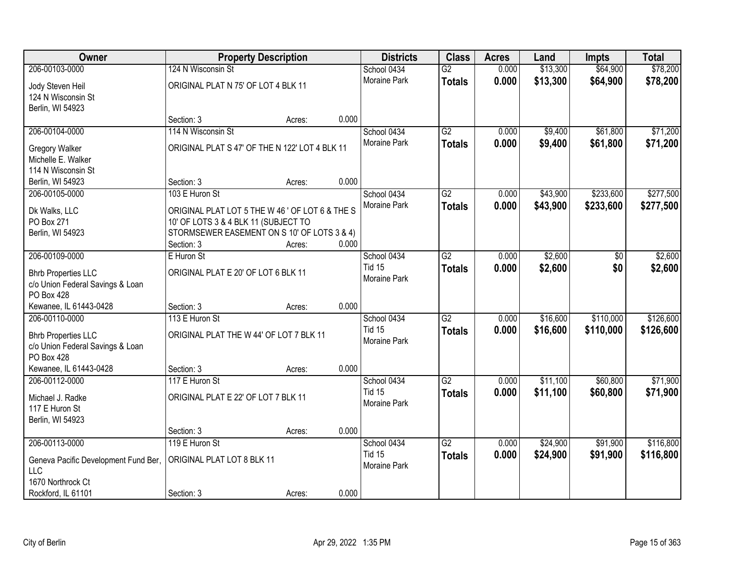| Owner                                                                                          |                                                                                                                                                     | <b>Property Description</b> |       | <b>Districts</b>                             | <b>Class</b>                     | <b>Acres</b>   | Land                 | <b>Impts</b>           | <b>Total</b>           |
|------------------------------------------------------------------------------------------------|-----------------------------------------------------------------------------------------------------------------------------------------------------|-----------------------------|-------|----------------------------------------------|----------------------------------|----------------|----------------------|------------------------|------------------------|
| 206-00103-0000                                                                                 | 124 N Wisconsin St                                                                                                                                  |                             |       | School 0434                                  | $\overline{G2}$                  | 0.000          | \$13,300             | \$64,900               | \$78,200               |
| Jody Steven Heil<br>124 N Wisconsin St<br>Berlin, WI 54923                                     | ORIGINAL PLAT N 75' OF LOT 4 BLK 11                                                                                                                 |                             |       | Moraine Park                                 | <b>Totals</b>                    | 0.000          | \$13,300             | \$64,900               | \$78,200               |
|                                                                                                | Section: 3                                                                                                                                          | Acres:                      | 0.000 |                                              |                                  |                |                      |                        |                        |
| 206-00104-0000                                                                                 | 114 N Wisconsin St                                                                                                                                  |                             |       | School 0434<br>Moraine Park                  | G2                               | 0.000          | \$9,400              | \$61,800               | \$71,200               |
| <b>Gregory Walker</b><br>Michelle E. Walker<br>114 N Wisconsin St                              | ORIGINAL PLAT S 47' OF THE N 122' LOT 4 BLK 11                                                                                                      |                             |       |                                              | <b>Totals</b>                    | 0.000          | \$9,400              | \$61,800               | \$71,200               |
| Berlin, WI 54923                                                                               | Section: 3                                                                                                                                          | Acres:                      | 0.000 |                                              |                                  |                |                      |                        |                        |
| 206-00105-0000                                                                                 | 103 E Huron St                                                                                                                                      |                             |       | School 0434                                  | $\overline{G2}$                  | 0.000          | \$43,900             | \$233,600              | \$277,500              |
| Dk Walks, LLC<br>PO Box 271<br>Berlin, WI 54923                                                | ORIGINAL PLAT LOT 5 THE W 46' OF LOT 6 & THE S<br>10' OF LOTS 3 & 4 BLK 11 (SUBJECT TO<br>STORMSEWER EASEMENT ON S 10' OF LOTS 3 & 4)<br>Section: 3 | Acres:                      | 0.000 | Moraine Park                                 | <b>Totals</b>                    | 0.000          | \$43,900             | \$233,600              | \$277,500              |
| 206-00109-0000                                                                                 | E Huron St                                                                                                                                          |                             |       | School 0434                                  | $\overline{G2}$                  | 0.000          | \$2,600              | \$0                    | \$2,600                |
| <b>Bhrb Properties LLC</b><br>c/o Union Federal Savings & Loan<br>PO Box 428                   | ORIGINAL PLAT E 20' OF LOT 6 BLK 11                                                                                                                 |                             |       | <b>Tid 15</b><br>Moraine Park                | <b>Totals</b>                    | 0.000          | \$2,600              | \$0                    | \$2,600                |
| Kewanee, IL 61443-0428                                                                         | Section: 3                                                                                                                                          | Acres:                      | 0.000 |                                              |                                  |                |                      |                        |                        |
| 206-00110-0000<br><b>Bhrb Properties LLC</b><br>c/o Union Federal Savings & Loan<br>PO Box 428 | 113 E Huron St<br>ORIGINAL PLAT THE W 44' OF LOT 7 BLK 11                                                                                           |                             |       | School 0434<br><b>Tid 15</b><br>Moraine Park | $\overline{G2}$<br><b>Totals</b> | 0.000<br>0.000 | \$16,600<br>\$16,600 | \$110,000<br>\$110,000 | \$126,600<br>\$126,600 |
| Kewanee, IL 61443-0428                                                                         | Section: 3                                                                                                                                          | Acres:                      | 0.000 |                                              |                                  |                |                      |                        |                        |
| 206-00112-0000                                                                                 | 117 E Huron St                                                                                                                                      |                             |       | School 0434                                  | $\overline{G2}$                  | 0.000          | \$11,100             | \$60,800               | \$71,900               |
| Michael J. Radke<br>117 E Huron St<br>Berlin, WI 54923                                         | ORIGINAL PLAT E 22' OF LOT 7 BLK 11                                                                                                                 |                             |       | <b>Tid 15</b><br>Moraine Park                | <b>Totals</b>                    | 0.000          | \$11,100             | \$60,800               | \$71,900               |
|                                                                                                | Section: 3                                                                                                                                          | Acres:                      | 0.000 |                                              |                                  |                |                      |                        |                        |
| 206-00113-0000                                                                                 | 119 E Huron St                                                                                                                                      |                             |       | School 0434                                  | $\overline{G2}$                  | 0.000          | \$24,900             | \$91,900               | \$116,800              |
| Geneva Pacific Development Fund Ber,<br>LLC                                                    | ORIGINAL PLAT LOT 8 BLK 11                                                                                                                          |                             |       | <b>Tid 15</b><br>Moraine Park                | <b>Totals</b>                    | 0.000          | \$24,900             | \$91,900               | \$116,800              |
| 1670 Northrock Ct<br>Rockford, IL 61101                                                        | Section: 3                                                                                                                                          | Acres:                      | 0.000 |                                              |                                  |                |                      |                        |                        |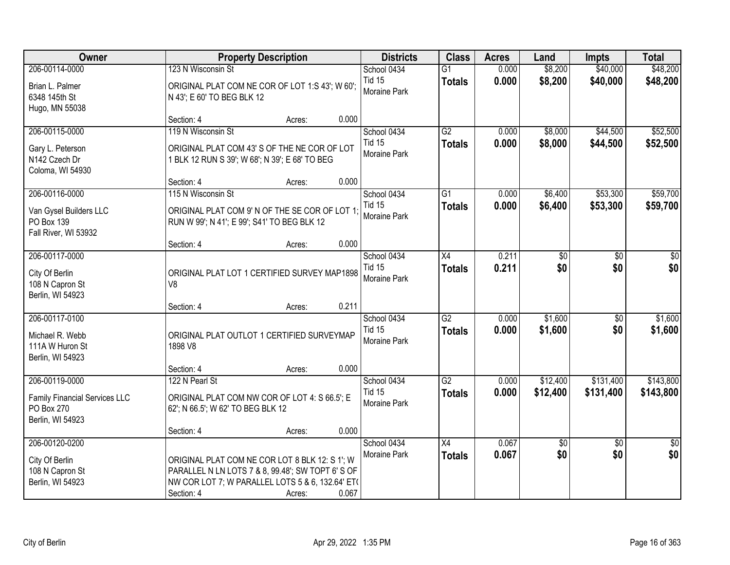| Owner                                                                                    |                                                                                                                                                                       | <b>Property Description</b> |       | <b>Districts</b>                             | <b>Class</b>                     | <b>Acres</b>   | Land                 | <b>Impts</b>           | <b>Total</b>           |
|------------------------------------------------------------------------------------------|-----------------------------------------------------------------------------------------------------------------------------------------------------------------------|-----------------------------|-------|----------------------------------------------|----------------------------------|----------------|----------------------|------------------------|------------------------|
| 206-00114-0000<br>Brian L. Palmer<br>6348 145th St                                       | 123 N Wisconsin St<br>ORIGINAL PLAT COM NE COR OF LOT 1:S 43'; W 60';<br>N 43'; E 60' TO BEG BLK 12                                                                   |                             |       | School 0434<br><b>Tid 15</b><br>Moraine Park | $\overline{G1}$<br><b>Totals</b> | 0.000<br>0.000 | \$8,200<br>\$8,200   | \$40,000<br>\$40,000   | \$48,200<br>\$48,200   |
| Hugo, MN 55038                                                                           | Section: 4                                                                                                                                                            | Acres:                      | 0.000 |                                              |                                  |                |                      |                        |                        |
| 206-00115-0000<br>Gary L. Peterson<br>N142 Czech Dr<br>Coloma, WI 54930                  | 119 N Wisconsin St<br>ORIGINAL PLAT COM 43' S OF THE NE COR OF LOT<br>1 BLK 12 RUN S 39'; W 68'; N 39'; E 68' TO BEG                                                  |                             |       | School 0434<br><b>Tid 15</b><br>Moraine Park | G2<br><b>Totals</b>              | 0.000<br>0.000 | \$8,000<br>\$8,000   | \$44,500<br>\$44,500   | \$52,500<br>\$52,500   |
| 206-00116-0000                                                                           | Section: 4<br>115 N Wisconsin St                                                                                                                                      | Acres:                      | 0.000 | School 0434                                  | G1                               | 0.000          | \$6,400              | \$53,300               | \$59,700               |
| Van Gysel Builders LLC<br>PO Box 139<br>Fall River, WI 53932                             | ORIGINAL PLAT COM 9' N OF THE SE COR OF LOT 1:<br>RUN W 99'; N 41'; E 99'; S41' TO BEG BLK 12                                                                         |                             |       | <b>Tid 15</b><br>Moraine Park                | <b>Totals</b>                    | 0.000          | \$6,400              | \$53,300               | \$59,700               |
|                                                                                          | Section: 4                                                                                                                                                            | Acres:                      | 0.000 |                                              |                                  |                |                      |                        |                        |
| 206-00117-0000<br>City Of Berlin<br>108 N Capron St<br>Berlin, WI 54923                  | ORIGINAL PLAT LOT 1 CERTIFIED SURVEY MAP1898<br>V <sub>8</sub>                                                                                                        |                             |       | School 0434<br><b>Tid 15</b><br>Moraine Park | X4<br><b>Totals</b>              | 0.211<br>0.211 | \$0<br>\$0           | \$0<br>\$0             | \$0<br>\$0             |
|                                                                                          | Section: 4                                                                                                                                                            | Acres:                      | 0.211 |                                              |                                  |                |                      |                        |                        |
| 206-00117-0100<br>Michael R. Webb<br>111A W Huron St<br>Berlin, WI 54923                 | ORIGINAL PLAT OUTLOT 1 CERTIFIED SURVEYMAP<br>1898 V8                                                                                                                 |                             |       | School 0434<br><b>Tid 15</b><br>Moraine Park | $\overline{G2}$<br><b>Totals</b> | 0.000<br>0.000 | \$1,600<br>\$1,600   | $\overline{50}$<br>\$0 | \$1,600<br>\$1,600     |
|                                                                                          | Section: 4                                                                                                                                                            | Acres:                      | 0.000 |                                              |                                  |                |                      |                        |                        |
| 206-00119-0000<br><b>Family Financial Services LLC</b><br>PO Box 270<br>Berlin, WI 54923 | 122 N Pearl St<br>ORIGINAL PLAT COM NW COR OF LOT 4: S 66.5'; E<br>62'; N 66.5'; W 62' TO BEG BLK 12                                                                  |                             |       | School 0434<br><b>Tid 15</b><br>Moraine Park | $\overline{G2}$<br><b>Totals</b> | 0.000<br>0.000 | \$12,400<br>\$12,400 | \$131,400<br>\$131,400 | \$143,800<br>\$143,800 |
|                                                                                          | Section: 4                                                                                                                                                            | Acres:                      | 0.000 |                                              |                                  |                |                      |                        |                        |
| 206-00120-0200<br>City Of Berlin<br>108 N Capron St<br>Berlin, WI 54923                  | ORIGINAL PLAT COM NE COR LOT 8 BLK 12: S 1': W<br>PARALLEL N LN LOTS 7 & 8, 99.48'; SW TOPT 6' S OF<br>NW COR LOT 7; W PARALLEL LOTS 5 & 6, 132.64' ET(<br>Section: 4 | Acres:                      | 0.067 | School 0434<br><b>Moraine Park</b>           | X4<br><b>Totals</b>              | 0.067<br>0.067 | \$0<br>\$0           | $\overline{50}$<br>\$0 | $\overline{50}$<br>\$0 |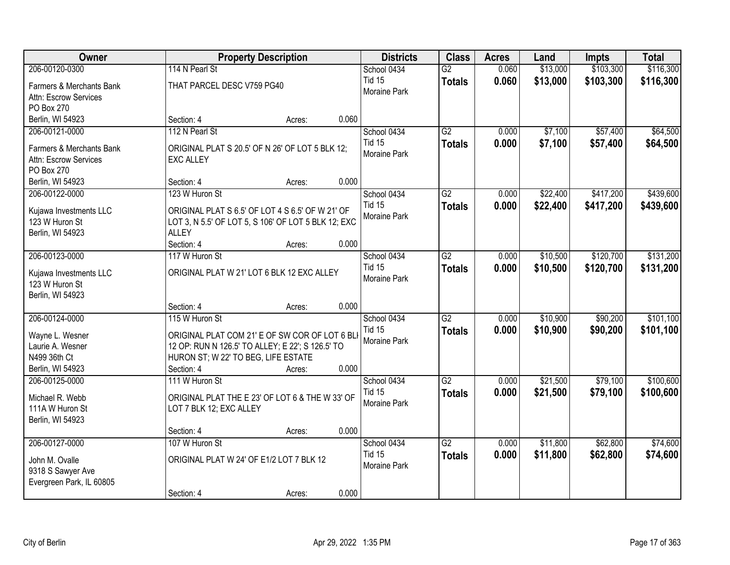| Owner                                    |                                                     | <b>Property Description</b> |       | <b>Districts</b>                     | <b>Class</b>    | <b>Acres</b> | Land     | <b>Impts</b> | <b>Total</b> |
|------------------------------------------|-----------------------------------------------------|-----------------------------|-------|--------------------------------------|-----------------|--------------|----------|--------------|--------------|
| 206-00120-0300                           | 114 N Pearl St                                      |                             |       | School 0434                          | $\overline{G2}$ | 0.060        | \$13,000 | \$103,300    | \$116,300    |
| Farmers & Merchants Bank                 | THAT PARCEL DESC V759 PG40                          |                             |       | <b>Tid 15</b>                        | <b>Totals</b>   | 0.060        | \$13,000 | \$103,300    | \$116,300    |
| Attn: Escrow Services                    |                                                     |                             |       | Moraine Park                         |                 |              |          |              |              |
| PO Box 270                               |                                                     |                             |       |                                      |                 |              |          |              |              |
| Berlin, WI 54923                         | Section: 4                                          | Acres:                      | 0.060 |                                      |                 |              |          |              |              |
| 206-00121-0000                           | 112 N Pearl St                                      |                             |       | School 0434                          | $\overline{G2}$ | 0.000        | \$7,100  | \$57,400     | \$64,500     |
| Farmers & Merchants Bank                 | ORIGINAL PLAT S 20.5' OF N 26' OF LOT 5 BLK 12;     |                             |       | <b>Tid 15</b>                        | <b>Totals</b>   | 0.000        | \$7,100  | \$57,400     | \$64,500     |
| Attn: Escrow Services                    | <b>EXC ALLEY</b>                                    |                             |       | Moraine Park                         |                 |              |          |              |              |
| PO Box 270                               |                                                     |                             |       |                                      |                 |              |          |              |              |
| Berlin, WI 54923                         | Section: 4                                          | Acres:                      | 0.000 |                                      |                 |              |          |              |              |
| 206-00122-0000                           | 123 W Huron St                                      |                             |       | School 0434                          | G2              | 0.000        | \$22,400 | \$417,200    | \$439,600    |
| Kujawa Investments LLC                   | ORIGINAL PLAT S 6.5' OF LOT 4 S 6.5' OF W 21' OF    |                             |       | <b>Tid 15</b>                        | <b>Totals</b>   | 0.000        | \$22,400 | \$417,200    | \$439,600    |
| 123 W Huron St                           | LOT 3, N 5.5' OF LOT 5, S 106' OF LOT 5 BLK 12; EXC |                             |       | Moraine Park                         |                 |              |          |              |              |
| Berlin, WI 54923                         | <b>ALLEY</b>                                        |                             |       |                                      |                 |              |          |              |              |
|                                          | Section: 4                                          | Acres:                      | 0.000 |                                      |                 |              |          |              |              |
| 206-00123-0000                           | 117 W Huron St                                      |                             |       | School 0434                          | G2              | 0.000        | \$10,500 | \$120,700    | \$131,200    |
|                                          |                                                     |                             |       | <b>Tid 15</b>                        | <b>Totals</b>   | 0.000        | \$10,500 | \$120,700    | \$131,200    |
| Kujawa Investments LLC<br>123 W Huron St | ORIGINAL PLAT W 21' LOT 6 BLK 12 EXC ALLEY          |                             |       | Moraine Park                         |                 |              |          |              |              |
| Berlin, WI 54923                         |                                                     |                             |       |                                      |                 |              |          |              |              |
|                                          | Section: 4                                          | Acres:                      | 0.000 |                                      |                 |              |          |              |              |
| 206-00124-0000                           | 115 W Huron St                                      |                             |       | School 0434                          | $\overline{G2}$ | 0.000        | \$10,900 | \$90,200     | \$101,100    |
|                                          |                                                     |                             |       | <b>Tid 15</b>                        | <b>Totals</b>   | 0.000        | \$10,900 | \$90,200     | \$101,100    |
| Wayne L. Wesner                          | ORIGINAL PLAT COM 21' E OF SW COR OF LOT 6 BLI      |                             |       | Moraine Park                         |                 |              |          |              |              |
| Laurie A. Wesner                         | 12 OP: RUN N 126.5' TO ALLEY; E 22'; S 126.5' TO    |                             |       |                                      |                 |              |          |              |              |
| N499 36th Ct<br>Berlin, WI 54923         | HURON ST; W 22' TO BEG, LIFE ESTATE<br>Section: 4   | Acres:                      | 0.000 |                                      |                 |              |          |              |              |
| 206-00125-0000                           | 111 W Huron St                                      |                             |       | School 0434                          | $\overline{G2}$ | 0.000        | \$21,500 | \$79,100     | \$100,600    |
|                                          |                                                     |                             |       | <b>Tid 15</b>                        |                 | 0.000        | \$21,500 | \$79,100     | \$100,600    |
| Michael R. Webb                          | ORIGINAL PLAT THE E 23' OF LOT 6 & THE W 33' OF     |                             |       | Moraine Park                         | <b>Totals</b>   |              |          |              |              |
| 111A W Huron St                          | LOT 7 BLK 12; EXC ALLEY                             |                             |       |                                      |                 |              |          |              |              |
| Berlin, WI 54923                         |                                                     |                             |       |                                      |                 |              |          |              |              |
|                                          | Section: 4                                          | Acres:                      | 0.000 |                                      |                 |              |          |              |              |
| 206-00127-0000                           | 107 W Huron St                                      |                             |       | School 0434                          | $\overline{G2}$ | 0.000        | \$11,800 | \$62,800     | \$74,600     |
| John M. Ovalle                           | ORIGINAL PLAT W 24' OF E1/2 LOT 7 BLK 12            |                             |       | <b>Tid 15</b><br><b>Moraine Park</b> | <b>Totals</b>   | 0.000        | \$11,800 | \$62,800     | \$74,600     |
| 9318 S Sawyer Ave                        |                                                     |                             |       |                                      |                 |              |          |              |              |
| Evergreen Park, IL 60805                 |                                                     |                             |       |                                      |                 |              |          |              |              |
|                                          | Section: 4                                          | Acres:                      | 0.000 |                                      |                 |              |          |              |              |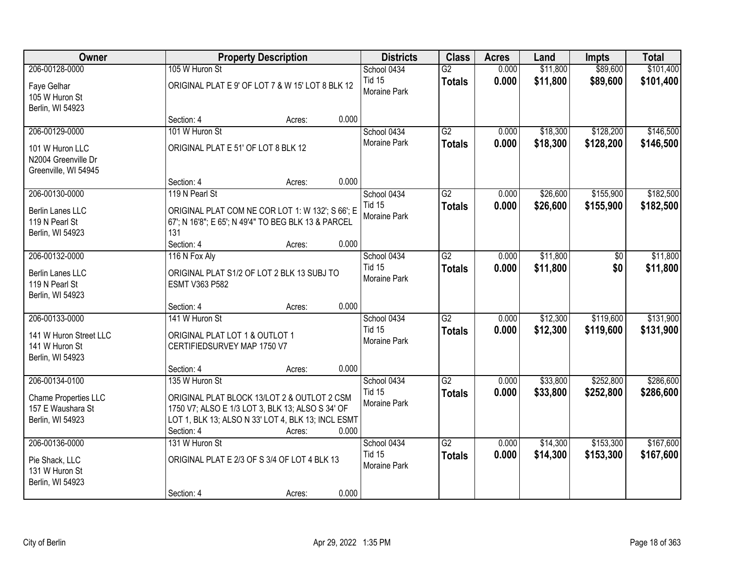| Owner                                                                            |                                                                                                                                                                                       | <b>Property Description</b> |       | <b>Districts</b>                             | <b>Class</b>                     | <b>Acres</b>   | Land                 | <b>Impts</b>           | <b>Total</b>           |
|----------------------------------------------------------------------------------|---------------------------------------------------------------------------------------------------------------------------------------------------------------------------------------|-----------------------------|-------|----------------------------------------------|----------------------------------|----------------|----------------------|------------------------|------------------------|
| 206-00128-0000<br>Faye Gelhar<br>105 W Huron St<br>Berlin, WI 54923              | 105 W Huron St<br>ORIGINAL PLATE 9' OF LOT 7 & W 15' LOT 8 BLK 12                                                                                                                     |                             |       | School 0434<br><b>Tid 15</b><br>Moraine Park | $\overline{G2}$<br><b>Totals</b> | 0.000<br>0.000 | \$11,800<br>\$11,800 | \$89,600<br>\$89,600   | \$101,400<br>\$101,400 |
|                                                                                  | Section: 4                                                                                                                                                                            | Acres:                      | 0.000 |                                              |                                  |                |                      |                        |                        |
| 206-00129-0000<br>101 W Huron LLC<br>N2004 Greenville Dr<br>Greenville, WI 54945 | 101 W Huron St<br>ORIGINAL PLAT E 51' OF LOT 8 BLK 12<br>Section: 4                                                                                                                   | Acres:                      | 0.000 | School 0434<br><b>Moraine Park</b>           | G2<br><b>Totals</b>              | 0.000<br>0.000 | \$18,300<br>\$18,300 | \$128,200<br>\$128,200 | \$146,500<br>\$146,500 |
| 206-00130-0000                                                                   | 119 N Pearl St                                                                                                                                                                        |                             |       | School 0434                                  | $\overline{G2}$                  | 0.000          | \$26,600             | \$155,900              | \$182,500              |
| Berlin Lanes LLC<br>119 N Pearl St<br>Berlin, WI 54923                           | ORIGINAL PLAT COM NE COR LOT 1: W 132'; S 66'; E<br>67'; N 16'8"; E 65'; N 49'4" TO BEG BLK 13 & PARCEL<br>131                                                                        |                             |       | <b>Tid 15</b><br>Moraine Park                | <b>Totals</b>                    | 0.000          | \$26,600             | \$155,900              | \$182,500              |
| 206-00132-0000                                                                   | Section: 4<br>116 N Fox Aly                                                                                                                                                           | Acres:                      | 0.000 | School 0434                                  | $\overline{G2}$                  | 0.000          | \$11,800             | \$0                    | \$11,800               |
| Berlin Lanes LLC<br>119 N Pearl St<br>Berlin, WI 54923                           | ORIGINAL PLAT S1/2 OF LOT 2 BLK 13 SUBJ TO<br>ESMT V363 P582                                                                                                                          |                             |       | <b>Tid 15</b><br>Moraine Park                | <b>Totals</b>                    | 0.000          | \$11,800             | \$0                    | \$11,800               |
|                                                                                  | Section: 4                                                                                                                                                                            | Acres:                      | 0.000 |                                              |                                  |                |                      |                        |                        |
| 206-00133-0000<br>141 W Huron Street LLC<br>141 W Huron St<br>Berlin, WI 54923   | 141 W Huron St<br>ORIGINAL PLAT LOT 1 & OUTLOT 1<br>CERTIFIEDSURVEY MAP 1750 V7                                                                                                       |                             |       | School 0434<br><b>Tid 15</b><br>Moraine Park | $\overline{G2}$<br><b>Totals</b> | 0.000<br>0.000 | \$12,300<br>\$12,300 | \$119,600<br>\$119,600 | \$131,900<br>\$131,900 |
|                                                                                  | Section: 4                                                                                                                                                                            | Acres:                      | 0.000 |                                              |                                  |                |                      |                        |                        |
| 206-00134-0100<br>Chame Properties LLC<br>157 E Waushara St<br>Berlin, WI 54923  | 135 W Huron St<br>ORIGINAL PLAT BLOCK 13/LOT 2 & OUTLOT 2 CSM<br>1750 V7; ALSO E 1/3 LOT 3, BLK 13; ALSO S 34' OF<br>LOT 1, BLK 13; ALSO N 33' LOT 4, BLK 13; INCL ESMT<br>Section: 4 | Acres:                      | 0.000 | School 0434<br><b>Tid 15</b><br>Moraine Park | $\overline{G2}$<br><b>Totals</b> | 0.000<br>0.000 | \$33,800<br>\$33,800 | \$252,800<br>\$252,800 | \$286,600<br>\$286,600 |
| 206-00136-0000                                                                   | 131 W Huron St                                                                                                                                                                        |                             |       | School 0434                                  | $\overline{G2}$                  | 0.000          | \$14,300             | \$153,300              | \$167,600              |
| Pie Shack, LLC<br>131 W Huron St<br>Berlin, WI 54923                             | ORIGINAL PLAT E 2/3 OF S 3/4 OF LOT 4 BLK 13                                                                                                                                          |                             |       | <b>Tid 15</b><br>Moraine Park                | <b>Totals</b>                    | 0.000          | \$14,300             | \$153,300              | \$167,600              |
|                                                                                  | Section: 4                                                                                                                                                                            | Acres:                      | 0.000 |                                              |                                  |                |                      |                        |                        |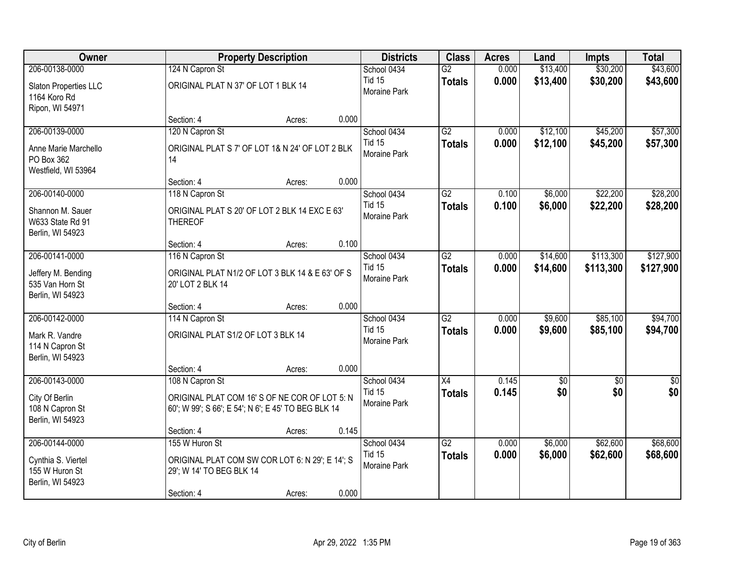| Owner                                                     |                                                                                                      | <b>Property Description</b> |       | <b>Districts</b>              | <b>Class</b>        | <b>Acres</b>   | Land                 | <b>Impts</b>         | <b>Total</b>         |
|-----------------------------------------------------------|------------------------------------------------------------------------------------------------------|-----------------------------|-------|-------------------------------|---------------------|----------------|----------------------|----------------------|----------------------|
| 206-00138-0000                                            | 124 N Capron St                                                                                      |                             |       | School 0434                   | $\overline{G2}$     | 0.000          | \$13,400             | \$30,200             | \$43,600             |
| Slaton Properties LLC<br>1164 Koro Rd<br>Ripon, WI 54971  | ORIGINAL PLAT N 37' OF LOT 1 BLK 14                                                                  |                             |       | <b>Tid 15</b><br>Moraine Park | <b>Totals</b>       | 0.000          | \$13,400             | \$30,200             | \$43,600             |
|                                                           | Section: 4                                                                                           | Acres:                      | 0.000 |                               |                     |                |                      |                      |                      |
| 206-00139-0000                                            | 120 N Capron St                                                                                      |                             |       | School 0434<br><b>Tid 15</b>  | G2<br><b>Totals</b> | 0.000<br>0.000 | \$12,100<br>\$12,100 | \$45,200<br>\$45,200 | \$57,300<br>\$57,300 |
| Anne Marie Marchello<br>PO Box 362<br>Westfield, WI 53964 | ORIGINAL PLAT S 7' OF LOT 1& N 24' OF LOT 2 BLK<br>14                                                |                             |       | Moraine Park                  |                     |                |                      |                      |                      |
|                                                           | Section: 4                                                                                           | Acres:                      | 0.000 |                               |                     |                |                      |                      |                      |
| 206-00140-0000                                            | 118 N Capron St                                                                                      |                             |       | School 0434                   | $\overline{G2}$     | 0.100          | \$6,000              | \$22,200             | \$28,200             |
| Shannon M. Sauer<br>W633 State Rd 91<br>Berlin, WI 54923  | ORIGINAL PLAT S 20' OF LOT 2 BLK 14 EXC E 63'<br><b>THEREOF</b>                                      |                             |       | <b>Tid 15</b><br>Moraine Park | <b>Totals</b>       | 0.100          | \$6,000              | \$22,200             | \$28,200             |
|                                                           | Section: 4                                                                                           | Acres:                      | 0.100 |                               |                     |                |                      |                      |                      |
| 206-00141-0000                                            | 116 N Capron St                                                                                      |                             |       | School 0434                   | $\overline{G2}$     | 0.000          | \$14,600             | \$113,300            | \$127,900            |
| Jeffery M. Bending<br>535 Van Horn St<br>Berlin, WI 54923 | ORIGINAL PLAT N1/2 OF LOT 3 BLK 14 & E 63' OF S<br>20' LOT 2 BLK 14                                  |                             |       | <b>Tid 15</b><br>Moraine Park | <b>Totals</b>       | 0.000          | \$14,600             | \$113,300            | \$127,900            |
|                                                           | Section: 4                                                                                           | Acres:                      | 0.000 |                               |                     |                |                      |                      |                      |
| 206-00142-0000                                            | 114 N Capron St                                                                                      |                             |       | School 0434                   | $\overline{G2}$     | 0.000          | \$9,600              | \$85,100             | \$94,700             |
| Mark R. Vandre<br>114 N Capron St<br>Berlin, WI 54923     | ORIGINAL PLAT S1/2 OF LOT 3 BLK 14                                                                   |                             |       | <b>Tid 15</b><br>Moraine Park | <b>Totals</b>       | 0.000          | \$9,600              | \$85,100             | \$94,700             |
|                                                           | Section: 4                                                                                           | Acres:                      | 0.000 |                               |                     |                |                      |                      |                      |
| 206-00143-0000                                            | 108 N Capron St                                                                                      |                             |       | School 0434                   | $\overline{X4}$     | 0.145          | $\sqrt{6}$           | $\sqrt{6}$           | \$0                  |
| City Of Berlin<br>108 N Capron St<br>Berlin, WI 54923     | ORIGINAL PLAT COM 16' S OF NE COR OF LOT 5: N<br>60'; W 99'; S 66'; E 54'; N 6'; E 45' TO BEG BLK 14 |                             |       | <b>Tid 15</b><br>Moraine Park | <b>Totals</b>       | 0.145          | \$0                  | \$0                  | \$0                  |
|                                                           | Section: 4                                                                                           | Acres:                      | 0.145 |                               |                     |                |                      |                      |                      |
| 206-00144-0000                                            | 155 W Huron St                                                                                       |                             |       | School 0434                   | $\overline{G2}$     | 0.000          | \$6,000              | \$62,600             | \$68,600             |
| Cynthia S. Viertel<br>155 W Huron St<br>Berlin, WI 54923  | ORIGINAL PLAT COM SW COR LOT 6: N 29'; E 14'; S<br>29'; W 14' TO BEG BLK 14                          |                             |       | <b>Tid 15</b><br>Moraine Park | <b>Totals</b>       | 0.000          | \$6,000              | \$62,600             | \$68,600             |
|                                                           | Section: 4                                                                                           | Acres:                      | 0.000 |                               |                     |                |                      |                      |                      |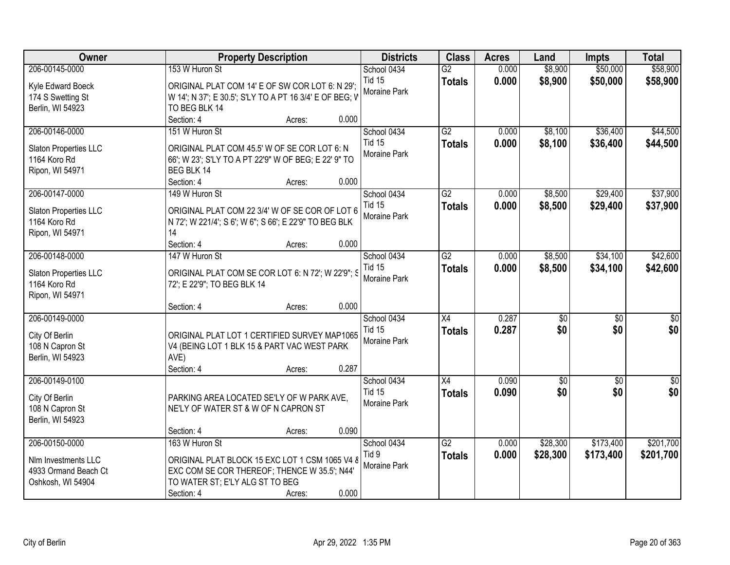| Owner                 | <b>Property Description</b>                             |        |       | <b>Districts</b>             | <b>Class</b>                     | <b>Acres</b>   | Land               | <b>Impts</b>         | <b>Total</b>         |
|-----------------------|---------------------------------------------------------|--------|-------|------------------------------|----------------------------------|----------------|--------------------|----------------------|----------------------|
| 206-00145-0000        | 153 W Huron St                                          |        |       | School 0434<br><b>Tid 15</b> | $\overline{G2}$<br><b>Totals</b> | 0.000<br>0.000 | \$8,900<br>\$8,900 | \$50,000<br>\$50,000 | \$58,900<br>\$58,900 |
| Kyle Edward Boeck     | ORIGINAL PLAT COM 14' E OF SW COR LOT 6: N 29';         |        |       | Moraine Park                 |                                  |                |                    |                      |                      |
| 174 S Swetting St     | W 14'; N 37'; E 30.5'; S'LY TO A PT 16 3/4' E OF BEG; V |        |       |                              |                                  |                |                    |                      |                      |
| Berlin, WI 54923      | TO BEG BLK 14<br>Section: 4                             | Acres: | 0.000 |                              |                                  |                |                    |                      |                      |
| 206-00146-0000        | 151 W Huron St                                          |        |       | School 0434                  | G2                               | 0.000          | \$8,100            | \$36,400             | \$44,500             |
|                       |                                                         |        |       | <b>Tid 15</b>                |                                  | 0.000          | \$8,100            | \$36,400             | \$44,500             |
| Slaton Properties LLC | ORIGINAL PLAT COM 45.5' W OF SE COR LOT 6: N            |        |       | Moraine Park                 | <b>Totals</b>                    |                |                    |                      |                      |
| 1164 Koro Rd          | 66'; W 23'; S'LY TO A PT 22'9" W OF BEG; E 22' 9" TO    |        |       |                              |                                  |                |                    |                      |                      |
| Ripon, WI 54971       | BEG BLK 14                                              |        |       |                              |                                  |                |                    |                      |                      |
|                       | Section: 4                                              | Acres: | 0.000 |                              |                                  |                |                    |                      |                      |
| 206-00147-0000        | 149 W Huron St                                          |        |       | School 0434                  | G2                               | 0.000          | \$8,500            | \$29,400             | \$37,900             |
| Slaton Properties LLC | ORIGINAL PLAT COM 22 3/4' W OF SE COR OF LOT 6          |        |       | <b>Tid 15</b>                | <b>Totals</b>                    | 0.000          | \$8,500            | \$29,400             | \$37,900             |
| 1164 Koro Rd          | N 72'; W 221/4'; S 6'; W 6"; S 66'; E 22'9" TO BEG BLK  |        |       | Moraine Park                 |                                  |                |                    |                      |                      |
| Ripon, WI 54971       | 14                                                      |        |       |                              |                                  |                |                    |                      |                      |
|                       | Section: 4                                              | Acres: | 0.000 |                              |                                  |                |                    |                      |                      |
| 206-00148-0000        | 147 W Huron St                                          |        |       | School 0434                  | $\overline{G2}$                  | 0.000          | \$8,500            | \$34,100             | \$42,600             |
| Slaton Properties LLC | ORIGINAL PLAT COM SE COR LOT 6: N 72'; W 22'9"; S       |        |       | <b>Tid 15</b>                | <b>Totals</b>                    | 0.000          | \$8,500            | \$34,100             | \$42,600             |
| 1164 Koro Rd          | 72'; E 22'9"; TO BEG BLK 14                             |        |       | Moraine Park                 |                                  |                |                    |                      |                      |
| Ripon, WI 54971       |                                                         |        |       |                              |                                  |                |                    |                      |                      |
|                       | Section: 4                                              | Acres: | 0.000 |                              |                                  |                |                    |                      |                      |
| 206-00149-0000        |                                                         |        |       | School 0434                  | $\overline{X4}$                  | 0.287          | \$0                | $\overline{50}$      | $\overline{50}$      |
| City Of Berlin        | ORIGINAL PLAT LOT 1 CERTIFIED SURVEY MAP1065            |        |       | <b>Tid 15</b>                | <b>Totals</b>                    | 0.287          | \$0                | \$0                  | \$0                  |
| 108 N Capron St       | V4 (BEING LOT 1 BLK 15 & PART VAC WEST PARK             |        |       | Moraine Park                 |                                  |                |                    |                      |                      |
| Berlin, WI 54923      | AVE)                                                    |        |       |                              |                                  |                |                    |                      |                      |
|                       | Section: 4                                              | Acres: | 0.287 |                              |                                  |                |                    |                      |                      |
| 206-00149-0100        |                                                         |        |       | School 0434                  | $\overline{X4}$                  | 0.090          | $\sqrt{6}$         | $\overline{50}$      | $\overline{50}$      |
|                       |                                                         |        |       | <b>Tid 15</b>                | <b>Totals</b>                    | 0.090          | \$0                | \$0                  | \$0                  |
| City Of Berlin        | PARKING AREA LOCATED SE'LY OF W PARK AVE,               |        |       | Moraine Park                 |                                  |                |                    |                      |                      |
| 108 N Capron St       | NE'LY OF WATER ST & W OF N CAPRON ST                    |        |       |                              |                                  |                |                    |                      |                      |
| Berlin, WI 54923      | Section: 4                                              | Acres: | 0.090 |                              |                                  |                |                    |                      |                      |
| 206-00150-0000        | 163 W Huron St                                          |        |       | School 0434                  | $\overline{G2}$                  | 0.000          | \$28,300           | \$173,400            | \$201,700            |
|                       |                                                         |        |       | Tid 9                        | <b>Totals</b>                    | 0.000          | \$28,300           | \$173,400            | \$201,700            |
| Nlm Investments LLC   | ORIGINAL PLAT BLOCK 15 EXC LOT 1 CSM 1065 V4 8          |        |       | Moraine Park                 |                                  |                |                    |                      |                      |
| 4933 Ormand Beach Ct  | EXC COM SE COR THEREOF; THENCE W 35.5'; N44'            |        |       |                              |                                  |                |                    |                      |                      |
| Oshkosh, WI 54904     | TO WATER ST; E'LY ALG ST TO BEG                         |        |       |                              |                                  |                |                    |                      |                      |
|                       | Section: 4                                              | Acres: | 0.000 |                              |                                  |                |                    |                      |                      |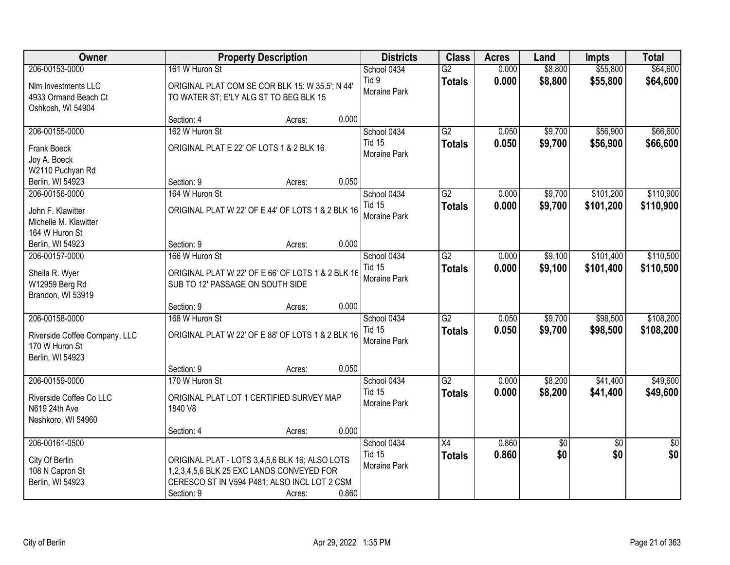| Owner                                                                                 | <b>Property Description</b>                                                                                                                                                  | <b>Districts</b>                                    | <b>Class</b>                     | <b>Acres</b>   | Land               | <b>Impts</b>           | <b>Total</b>           |
|---------------------------------------------------------------------------------------|------------------------------------------------------------------------------------------------------------------------------------------------------------------------------|-----------------------------------------------------|----------------------------------|----------------|--------------------|------------------------|------------------------|
| 206-00153-0000                                                                        | 161 W Huron St                                                                                                                                                               | School 0434                                         | $\overline{G2}$                  | 0.000          | \$8,800            | \$55,800               | \$64,600               |
| Nlm Investments LLC<br>4933 Ormand Beach Ct<br>Oshkosh, WI 54904                      | ORIGINAL PLAT COM SE COR BLK 15: W 35.5'; N 44'<br>TO WATER ST; E'LY ALG ST TO BEG BLK 15                                                                                    | Tid 9<br>Moraine Park                               | <b>Totals</b>                    | 0.000          | \$8,800            | \$55,800               | \$64,600               |
|                                                                                       | 0.000<br>Section: 4<br>Acres:                                                                                                                                                |                                                     |                                  |                |                    |                        |                        |
| 206-00155-0000                                                                        | 162 W Huron St                                                                                                                                                               | School 0434                                         | $\overline{G2}$                  | 0.050          | \$9,700            | \$56,900               | \$66,600               |
| Frank Boeck<br>Joy A. Boeck                                                           | ORIGINAL PLAT E 22' OF LOTS 1 & 2 BLK 16                                                                                                                                     | <b>Tid 15</b><br>Moraine Park                       | <b>Totals</b>                    | 0.050          | \$9,700            | \$56,900               | \$66,600               |
| W2110 Puchyan Rd<br>Berlin, WI 54923                                                  | 0.050<br>Section: 9<br>Acres:                                                                                                                                                |                                                     |                                  |                |                    |                        |                        |
| 206-00156-0000                                                                        | 164 W Huron St                                                                                                                                                               | School 0434                                         | $\overline{G2}$                  | 0.000          | \$9,700            | \$101,200              | \$110,900              |
| John F. Klawitter<br>Michelle M. Klawitter                                            | ORIGINAL PLAT W 22' OF E 44' OF LOTS 1 & 2 BLK 16                                                                                                                            | <b>Tid 15</b><br>Moraine Park                       | <b>Totals</b>                    | 0.000          | \$9,700            | \$101,200              | \$110,900              |
| 164 W Huron St<br>Berlin, WI 54923                                                    | 0.000<br>Section: 9<br>Acres:                                                                                                                                                |                                                     |                                  |                |                    |                        |                        |
| 206-00157-0000                                                                        | 166 W Huron St                                                                                                                                                               | School 0434                                         | $\overline{G2}$                  | 0.000          | \$9,100            | \$101,400              | \$110,500              |
| Sheila R. Wyer<br>W12959 Berg Rd<br>Brandon, WI 53919                                 | ORIGINAL PLAT W 22' OF E 66' OF LOTS 1 & 2 BLK 16<br>SUB TO 12' PASSAGE ON SOUTH SIDE                                                                                        | <b>Tid 15</b><br>Moraine Park                       | <b>Totals</b>                    | 0.000          | \$9,100            | \$101,400              | \$110,500              |
|                                                                                       | 0.000<br>Section: 9<br>Acres:                                                                                                                                                |                                                     |                                  |                |                    |                        |                        |
| 206-00158-0000<br>Riverside Coffee Company, LLC<br>170 W Huron St<br>Berlin, WI 54923 | 168 W Huron St<br>ORIGINAL PLAT W 22' OF E 88' OF LOTS 1 & 2 BLK 16                                                                                                          | School 0434<br><b>Tid 15</b><br><b>Moraine Park</b> | $\overline{G2}$<br><b>Totals</b> | 0.050<br>0.050 | \$9,700<br>\$9,700 | \$98,500<br>\$98,500   | \$108,200<br>\$108,200 |
|                                                                                       | 0.050<br>Section: 9<br>Acres:                                                                                                                                                |                                                     |                                  |                |                    |                        |                        |
| 206-00159-0000                                                                        | 170 W Huron St                                                                                                                                                               | School 0434                                         | $\overline{G2}$                  | 0.000          | \$8,200            | \$41,400               | \$49,600               |
| Riverside Coffee Co LLC<br>N619 24th Ave<br>Neshkoro, WI 54960                        | ORIGINAL PLAT LOT 1 CERTIFIED SURVEY MAP<br>1840 V8                                                                                                                          | <b>Tid 15</b><br>Moraine Park                       | <b>Totals</b>                    | 0.000          | \$8,200            | \$41,400               | \$49,600               |
|                                                                                       | 0.000<br>Section: 4<br>Acres:                                                                                                                                                |                                                     |                                  |                |                    |                        |                        |
| 206-00161-0500<br>City Of Berlin<br>108 N Capron St<br>Berlin, WI 54923               | ORIGINAL PLAT - LOTS 3,4,5,6 BLK 16; ALSO LOTS<br>1,2,3,4,5,6 BLK 25 EXC LANDS CONVEYED FOR<br>CERESCO ST IN V594 P481; ALSO INCL LOT 2 CSM<br>0.860<br>Section: 9<br>Acres: | School 0434<br><b>Tid 15</b><br>Moraine Park        | $\overline{X4}$<br><b>Totals</b> | 0.860<br>0.860 | $\sqrt{6}$<br>\$0  | $\overline{30}$<br>\$0 | $\overline{50}$<br>\$0 |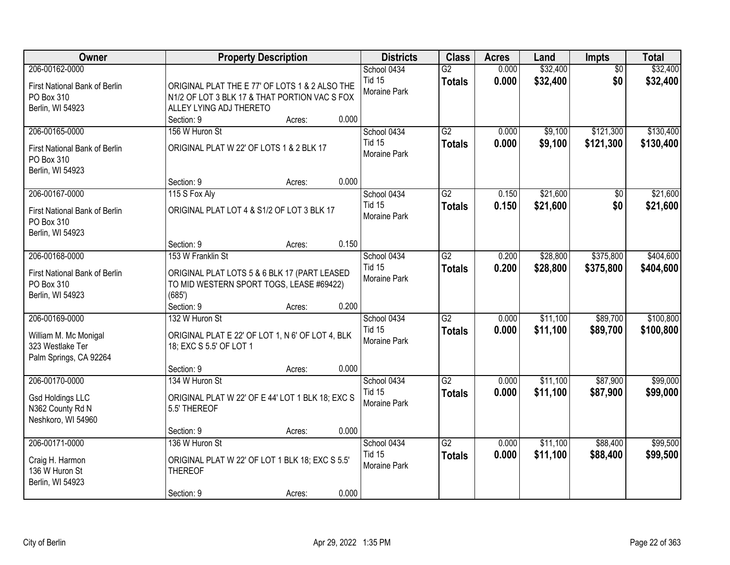| Owner                                       | <b>Property Description</b>                      | <b>Districts</b>    | <b>Class</b>    | <b>Acres</b> | Land     | Impts           | <b>Total</b> |
|---------------------------------------------|--------------------------------------------------|---------------------|-----------------|--------------|----------|-----------------|--------------|
| 206-00162-0000                              |                                                  | School 0434         | $\overline{G2}$ | 0.000        | \$32,400 | $\overline{50}$ | \$32,400     |
| First National Bank of Berlin               | ORIGINAL PLAT THE E 77' OF LOTS 1 & 2 ALSO THE   | <b>Tid 15</b>       | <b>Totals</b>   | 0.000        | \$32,400 | \$0             | \$32,400     |
| PO Box 310                                  | N1/2 OF LOT 3 BLK 17 & THAT PORTION VAC S FOX    | Moraine Park        |                 |              |          |                 |              |
| Berlin, WI 54923                            | ALLEY LYING ADJ THERETO                          |                     |                 |              |          |                 |              |
|                                             | 0.000<br>Section: 9<br>Acres:                    |                     |                 |              |          |                 |              |
| 206-00165-0000                              | 156 W Huron St                                   | School 0434         | G2              | 0.000        | \$9,100  | \$121,300       | \$130,400    |
| First National Bank of Berlin               | ORIGINAL PLAT W 22' OF LOTS 1 & 2 BLK 17         | <b>Tid 15</b>       | <b>Totals</b>   | 0.000        | \$9,100  | \$121,300       | \$130,400    |
| PO Box 310                                  |                                                  | Moraine Park        |                 |              |          |                 |              |
| Berlin, WI 54923                            |                                                  |                     |                 |              |          |                 |              |
|                                             | 0.000<br>Section: 9<br>Acres:                    |                     |                 |              |          |                 |              |
| 206-00167-0000                              | 115 S Fox Aly                                    | School 0434         | $\overline{G2}$ | 0.150        | \$21,600 | \$0             | \$21,600     |
|                                             | ORIGINAL PLAT LOT 4 & S1/2 OF LOT 3 BLK 17       | <b>Tid 15</b>       | <b>Totals</b>   | 0.150        | \$21,600 | \$0             | \$21,600     |
| First National Bank of Berlin<br>PO Box 310 |                                                  | Moraine Park        |                 |              |          |                 |              |
| Berlin, WI 54923                            |                                                  |                     |                 |              |          |                 |              |
|                                             | 0.150<br>Section: 9<br>Acres:                    |                     |                 |              |          |                 |              |
| 206-00168-0000                              | 153 W Franklin St                                | School 0434         | $\overline{G2}$ | 0.200        | \$28,800 | \$375,800       | \$404,600    |
|                                             |                                                  | <b>Tid 15</b>       | <b>Totals</b>   | 0.200        | \$28,800 | \$375,800       | \$404,600    |
| First National Bank of Berlin               | ORIGINAL PLAT LOTS 5 & 6 BLK 17 (PART LEASED     | Moraine Park        |                 |              |          |                 |              |
| PO Box 310                                  | TO MID WESTERN SPORT TOGS, LEASE #69422)         |                     |                 |              |          |                 |              |
| Berlin, WI 54923                            | (685')<br>0.200<br>Section: 9                    |                     |                 |              |          |                 |              |
| 206-00169-0000                              | Acres:<br>132 W Huron St                         | School 0434         | $\overline{G2}$ | 0.000        | \$11,100 | \$89,700        | \$100,800    |
|                                             |                                                  | <b>Tid 15</b>       |                 |              |          |                 |              |
| William M. Mc Monigal                       | ORIGINAL PLAT E 22' OF LOT 1, N 6' OF LOT 4, BLK | <b>Moraine Park</b> | <b>Totals</b>   | 0.000        | \$11,100 | \$89,700        | \$100,800    |
| 323 Westlake Ter                            | 18; EXC S 5.5' OF LOT 1                          |                     |                 |              |          |                 |              |
| Palm Springs, CA 92264                      |                                                  |                     |                 |              |          |                 |              |
|                                             | 0.000<br>Section: 9<br>Acres:                    |                     |                 |              |          |                 |              |
| 206-00170-0000                              | 134 W Huron St                                   | School 0434         | $\overline{G2}$ | 0.000        | \$11,100 | \$87,900        | \$99,000     |
| <b>Gsd Holdings LLC</b>                     | ORIGINAL PLAT W 22' OF E 44' LOT 1 BLK 18; EXC S | <b>Tid 15</b>       | <b>Totals</b>   | 0.000        | \$11,100 | \$87,900        | \$99,000     |
| N362 County Rd N                            | 5.5' THEREOF                                     | Moraine Park        |                 |              |          |                 |              |
| Neshkoro, WI 54960                          |                                                  |                     |                 |              |          |                 |              |
|                                             | 0.000<br>Section: 9<br>Acres:                    |                     |                 |              |          |                 |              |
| 206-00171-0000                              | 136 W Huron St                                   | School 0434         | $\overline{G2}$ | 0.000        | \$11,100 | \$88,400        | \$99,500     |
| Craig H. Harmon                             | ORIGINAL PLAT W 22' OF LOT 1 BLK 18; EXC S 5.5'  | <b>Tid 15</b>       | <b>Totals</b>   | 0.000        | \$11,100 | \$88,400        | \$99,500     |
| 136 W Huron St                              | <b>THEREOF</b>                                   | Moraine Park        |                 |              |          |                 |              |
| Berlin, WI 54923                            |                                                  |                     |                 |              |          |                 |              |
|                                             | 0.000<br>Section: 9<br>Acres:                    |                     |                 |              |          |                 |              |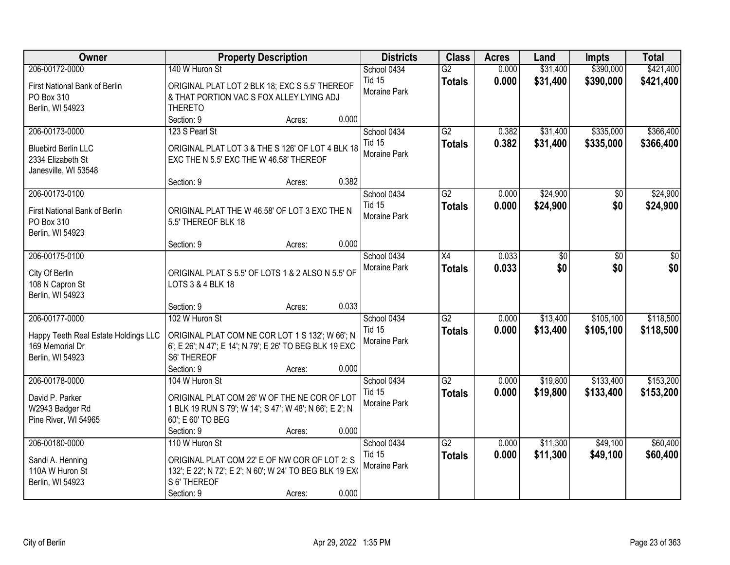| Owner                                | <b>Property Description</b>                                            | <b>Districts</b>             | <b>Class</b>    | <b>Acres</b> | Land     | <b>Impts</b> | <b>Total</b> |
|--------------------------------------|------------------------------------------------------------------------|------------------------------|-----------------|--------------|----------|--------------|--------------|
| 206-00172-0000                       | 140 W Huron St                                                         | School 0434                  | $\overline{G2}$ | 0.000        | \$31,400 | \$390,000    | \$421,400    |
| First National Bank of Berlin        | ORIGINAL PLAT LOT 2 BLK 18; EXC S 5.5' THEREOF                         | <b>Tid 15</b>                | <b>Totals</b>   | 0.000        | \$31,400 | \$390,000    | \$421,400    |
| PO Box 310                           | & THAT PORTION VAC S FOX ALLEY LYING ADJ                               | Moraine Park                 |                 |              |          |              |              |
| Berlin, WI 54923                     | <b>THERETO</b>                                                         |                              |                 |              |          |              |              |
|                                      | 0.000<br>Section: 9<br>Acres:                                          |                              |                 |              |          |              |              |
| 206-00173-0000                       | 123 S Pearl St                                                         | School 0434                  | G2              | 0.382        | \$31,400 | \$335,000    | \$366,400    |
| <b>Bluebird Berlin LLC</b>           | ORIGINAL PLAT LOT 3 & THE S 126' OF LOT 4 BLK 18                       | <b>Tid 15</b>                | <b>Totals</b>   | 0.382        | \$31,400 | \$335,000    | \$366,400    |
| 2334 Elizabeth St                    | EXC THE N 5.5' EXC THE W 46.58' THEREOF                                | Moraine Park                 |                 |              |          |              |              |
| Janesville, WI 53548                 |                                                                        |                              |                 |              |          |              |              |
|                                      | 0.382<br>Section: 9<br>Acres:                                          |                              |                 |              |          |              |              |
| 206-00173-0100                       |                                                                        | School 0434                  | $\overline{G2}$ | 0.000        | \$24,900 | \$0          | \$24,900     |
| First National Bank of Berlin        | ORIGINAL PLAT THE W 46.58' OF LOT 3 EXC THE N                          | <b>Tid 15</b>                | <b>Totals</b>   | 0.000        | \$24,900 | \$0          | \$24,900     |
| PO Box 310                           | 5.5' THEREOF BLK 18                                                    | Moraine Park                 |                 |              |          |              |              |
| Berlin, WI 54923                     |                                                                        |                              |                 |              |          |              |              |
|                                      | 0.000<br>Section: 9<br>Acres:                                          |                              |                 |              |          |              |              |
| 206-00175-0100                       |                                                                        | School 0434                  | X4              | 0.033        | \$0      | \$0          | \$0          |
|                                      |                                                                        | Moraine Park                 | <b>Totals</b>   | 0.033        | \$0      | \$0          | \$0          |
| City Of Berlin<br>108 N Capron St    | ORIGINAL PLAT S 5.5' OF LOTS 1 & 2 ALSO N 5.5' OF<br>LOTS 3 & 4 BLK 18 |                              |                 |              |          |              |              |
| Berlin, WI 54923                     |                                                                        |                              |                 |              |          |              |              |
|                                      | 0.033<br>Section: 9<br>Acres:                                          |                              |                 |              |          |              |              |
| 206-00177-0000                       | 102 W Huron St                                                         | School 0434                  | $\overline{G2}$ | 0.000        | \$13,400 | \$105,100    | \$118,500    |
|                                      |                                                                        | <b>Tid 15</b>                | <b>Totals</b>   | 0.000        | \$13,400 | \$105,100    | \$118,500    |
| Happy Teeth Real Estate Holdings LLC | ORIGINAL PLAT COM NE COR LOT 1 S 132'; W 66'; N                        | Moraine Park                 |                 |              |          |              |              |
| 169 Memorial Dr<br>Berlin, WI 54923  | 6'; E 26'; N 47'; E 14'; N 79'; E 26' TO BEG BLK 19 EXC<br>S6' THEREOF |                              |                 |              |          |              |              |
|                                      | Section: 9<br>0.000<br>Acres:                                          |                              |                 |              |          |              |              |
| 206-00178-0000                       | 104 W Huron St                                                         | School 0434                  | $\overline{G2}$ | 0.000        | \$19,800 | \$133,400    | \$153,200    |
|                                      |                                                                        | <b>Tid 15</b>                | <b>Totals</b>   | 0.000        | \$19,800 | \$133,400    | \$153,200    |
| David P. Parker                      | ORIGINAL PLAT COM 26' W OF THE NE COR OF LOT                           | Moraine Park                 |                 |              |          |              |              |
| W2943 Badger Rd                      | 1 BLK 19 RUN S 79'; W 14'; S 47'; W 48'; N 66'; E 2'; N                |                              |                 |              |          |              |              |
| Pine River, WI 54965                 | 60'; E 60' TO BEG<br>0.000                                             |                              |                 |              |          |              |              |
| 206-00180-0000                       | Section: 9<br>Acres:<br>110 W Huron St                                 |                              | $\overline{G2}$ | 0.000        | \$11,300 | \$49,100     | \$60,400     |
|                                      |                                                                        | School 0434<br><b>Tid 15</b> |                 | 0.000        |          |              |              |
| Sandi A. Henning                     | ORIGINAL PLAT COM 22' E OF NW COR OF LOT 2: S                          | <b>Moraine Park</b>          | <b>Totals</b>   |              | \$11,300 | \$49,100     | \$60,400     |
| 110A W Huron St                      | 132'; E 22'; N 72'; E 2'; N 60'; W 24' TO BEG BLK 19 EX(               |                              |                 |              |          |              |              |
| Berlin, WI 54923                     | S 6' THEREOF                                                           |                              |                 |              |          |              |              |
|                                      | 0.000<br>Section: 9<br>Acres:                                          |                              |                 |              |          |              |              |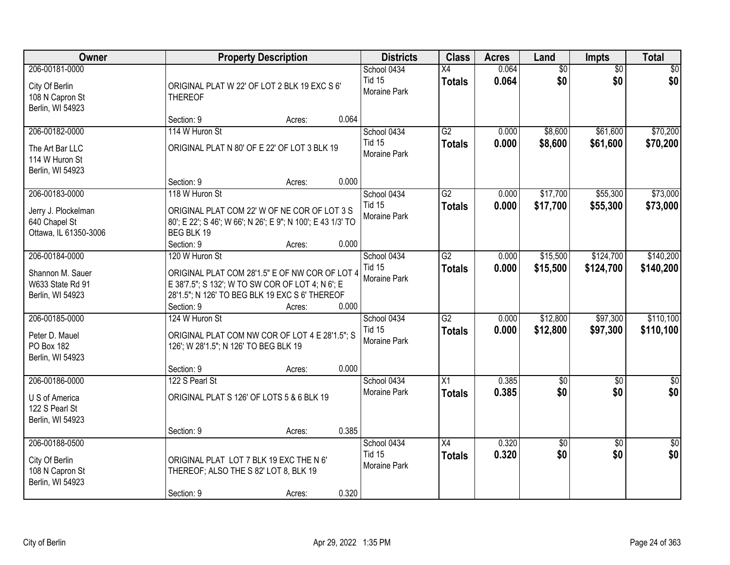| <b>Owner</b>                                                            | <b>Property Description</b>                                                                                                                          | <b>Districts</b>                             | <b>Class</b>                     | <b>Acres</b>   | Land                 | <b>Impts</b>           | <b>Total</b>           |
|-------------------------------------------------------------------------|------------------------------------------------------------------------------------------------------------------------------------------------------|----------------------------------------------|----------------------------------|----------------|----------------------|------------------------|------------------------|
| 206-00181-0000<br>City Of Berlin<br>108 N Capron St<br>Berlin, WI 54923 | ORIGINAL PLAT W 22' OF LOT 2 BLK 19 EXC S 6'<br><b>THEREOF</b>                                                                                       | School 0434<br><b>Tid 15</b><br>Moraine Park | X4<br><b>Totals</b>              | 0.064<br>0.064 | \$0<br>\$0           | $\overline{50}$<br>\$0 | \$0<br>\$0             |
|                                                                         | 0.064<br>Section: 9<br>Acres:                                                                                                                        |                                              |                                  |                |                      |                        |                        |
| 206-00182-0000<br>The Art Bar LLC                                       | 114 W Huron St<br>ORIGINAL PLAT N 80' OF E 22' OF LOT 3 BLK 19                                                                                       | School 0434<br><b>Tid 15</b><br>Moraine Park | $\overline{G2}$<br><b>Totals</b> | 0.000<br>0.000 | \$8,600<br>\$8,600   | \$61,600<br>\$61,600   | \$70,200<br>\$70,200   |
| 114 W Huron St<br>Berlin, WI 54923                                      | 0.000<br>Section: 9<br>Acres:                                                                                                                        |                                              |                                  |                |                      |                        |                        |
| 206-00183-0000                                                          | 118 W Huron St                                                                                                                                       | School 0434                                  | G2                               | 0.000          | \$17,700             | \$55,300               | \$73,000               |
| Jerry J. Plockelman<br>640 Chapel St<br>Ottawa, IL 61350-3006           | ORIGINAL PLAT COM 22' W OF NE COR OF LOT 3 S<br>80'; E 22'; S 46'; W 66'; N 26'; E 9"; N 100'; E 43 1/3' TO<br>BEG BLK 19                            | <b>Tid 15</b><br>Moraine Park                | <b>Totals</b>                    | 0.000          | \$17,700             | \$55,300               | \$73,000               |
| 206-00184-0000                                                          | Section: 9<br>0.000<br>Acres:<br>120 W Huron St                                                                                                      |                                              | $\overline{G2}$                  |                | \$15,500             | \$124,700              | \$140,200              |
| Shannon M. Sauer<br>W633 State Rd 91<br>Berlin, WI 54923                | ORIGINAL PLAT COM 28'1.5" E OF NW COR OF LOT 4<br>E 38'7.5"; S 132'; W TO SW COR OF LOT 4; N 6'; E<br>28'1.5"; N 126' TO BEG BLK 19 EXC S 6' THEREOF | School 0434<br><b>Tid 15</b><br>Moraine Park | <b>Totals</b>                    | 0.000<br>0.000 | \$15,500             | \$124,700              | \$140,200              |
|                                                                         | 0.000<br>Section: 9<br>Acres:                                                                                                                        |                                              |                                  |                |                      |                        |                        |
| 206-00185-0000<br>Peter D. Mauel<br>PO Box 182<br>Berlin, WI 54923      | 124 W Huron St<br>ORIGINAL PLAT COM NW COR OF LOT 4 E 28'1.5"; S<br>126'; W 28'1.5"; N 126' TO BEG BLK 19                                            | School 0434<br><b>Tid 15</b><br>Moraine Park | $\overline{G2}$<br><b>Totals</b> | 0.000<br>0.000 | \$12,800<br>\$12,800 | \$97,300<br>\$97,300   | \$110,100<br>\$110,100 |
|                                                                         | 0.000<br>Section: 9<br>Acres:                                                                                                                        |                                              |                                  |                |                      |                        |                        |
| 206-00186-0000<br>U S of America<br>122 S Pearl St<br>Berlin, WI 54923  | 122 S Pearl St<br>ORIGINAL PLAT S 126' OF LOTS 5 & 6 BLK 19                                                                                          | School 0434<br>Moraine Park                  | $\overline{X1}$<br><b>Totals</b> | 0.385<br>0.385 | \$0<br>\$0           | $\overline{50}$<br>\$0 | $\sqrt{60}$<br>\$0     |
|                                                                         | 0.385<br>Section: 9<br>Acres:                                                                                                                        |                                              |                                  |                |                      |                        |                        |
| 206-00188-0500<br>City Of Berlin<br>108 N Capron St<br>Berlin, WI 54923 | ORIGINAL PLAT LOT 7 BLK 19 EXC THE N 6'<br>THEREOF; ALSO THE S 82' LOT 8, BLK 19<br>0.320<br>Section: 9<br>Acres:                                    | School 0434<br><b>Tid 15</b><br>Moraine Park | $\overline{X4}$<br><b>Totals</b> | 0.320<br>0.320 | \$0<br>\$0           | $\overline{30}$<br>\$0 | $\overline{50}$<br>\$0 |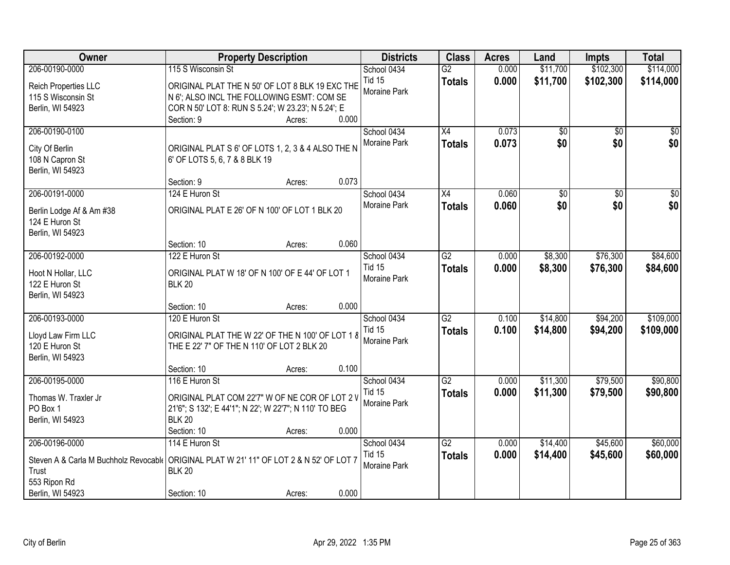| Owner                                                                                                | <b>Property Description</b>                                                                                                                                       |                 | <b>Districts</b>                             | <b>Class</b>                     | <b>Acres</b>   | Land                 | <b>Impts</b>           | <b>Total</b>           |
|------------------------------------------------------------------------------------------------------|-------------------------------------------------------------------------------------------------------------------------------------------------------------------|-----------------|----------------------------------------------|----------------------------------|----------------|----------------------|------------------------|------------------------|
| 206-00190-0000                                                                                       | 115 S Wisconsin St                                                                                                                                                |                 | School 0434                                  | $\overline{G2}$                  | 0.000          | \$11,700             | \$102,300              | \$114,000              |
| Reich Properties LLC<br>115 S Wisconsin St<br>Berlin, WI 54923                                       | ORIGINAL PLAT THE N 50' OF LOT 8 BLK 19 EXC THE<br>N 6'; ALSO INCL THE FOLLOWING ESMT: COM SE<br>COR N 50' LOT 8: RUN S 5.24'; W 23.23'; N 5.24'; E<br>Section: 9 | 0.000<br>Acres: | <b>Tid 15</b><br>Moraine Park                | <b>Totals</b>                    | 0.000          | \$11,700             | \$102,300              | \$114,000              |
| 206-00190-0100<br>City Of Berlin<br>108 N Capron St<br>Berlin, WI 54923                              | ORIGINAL PLAT S 6' OF LOTS 1, 2, 3 & 4 ALSO THE N<br>6' OF LOTS 5, 6, 7 & 8 BLK 19<br>Section: 9                                                                  | 0.073<br>Acres: | School 0434<br>Moraine Park                  | $\overline{X4}$<br><b>Totals</b> | 0.073<br>0.073 | \$0<br>\$0           | $\overline{50}$<br>\$0 | \$0<br>\$0             |
| 206-00191-0000                                                                                       | 124 E Huron St                                                                                                                                                    |                 | School 0434                                  | X4                               | 0.060          | \$0                  | $\overline{50}$        | $\frac{1}{20}$         |
| Berlin Lodge Af & Am #38<br>124 E Huron St<br>Berlin, WI 54923                                       | ORIGINAL PLAT E 26' OF N 100' OF LOT 1 BLK 20                                                                                                                     |                 | Moraine Park                                 | <b>Totals</b>                    | 0.060          | \$0                  | \$0                    | \$0                    |
|                                                                                                      | Section: 10                                                                                                                                                       | 0.060<br>Acres: |                                              |                                  |                |                      |                        |                        |
| 206-00192-0000                                                                                       | 122 E Huron St                                                                                                                                                    |                 | School 0434                                  | $\overline{G2}$                  | 0.000          | \$8,300              | \$76,300               | \$84,600               |
| Hoot N Hollar, LLC<br>122 E Huron St<br>Berlin, WI 54923                                             | ORIGINAL PLAT W 18' OF N 100' OF E 44' OF LOT 1<br><b>BLK 20</b>                                                                                                  |                 | <b>Tid 15</b><br>Moraine Park                | <b>Totals</b>                    | 0.000          | \$8,300              | \$76,300               | \$84,600               |
|                                                                                                      | Section: 10                                                                                                                                                       | 0.000<br>Acres: |                                              |                                  |                |                      |                        |                        |
| 206-00193-0000<br>Lloyd Law Firm LLC<br>120 E Huron St<br>Berlin, WI 54923                           | 120 E Huron St<br>ORIGINAL PLAT THE W 22' OF THE N 100' OF LOT 1 8<br>THE E 22' 7" OF THE N 110' OF LOT 2 BLK 20                                                  |                 | School 0434<br><b>Tid 15</b><br>Moraine Park | $\overline{G2}$<br><b>Totals</b> | 0.100<br>0.100 | \$14,800<br>\$14,800 | \$94,200<br>\$94,200   | \$109,000<br>\$109,000 |
|                                                                                                      | Section: 10                                                                                                                                                       | 0.100<br>Acres: |                                              |                                  |                |                      |                        |                        |
| 206-00195-0000<br>Thomas W. Traxler Jr<br>PO Box 1<br>Berlin, WI 54923                               | 116 E Huron St<br>ORIGINAL PLAT COM 22'7" W OF NE COR OF LOT 2 V<br>21'6"; S 132'; E 44'1"; N 22'; W 22'7"; N 110' TO BEG<br><b>BLK 20</b>                        |                 | School 0434<br><b>Tid 15</b><br>Moraine Park | $\overline{G2}$<br><b>Totals</b> | 0.000<br>0.000 | \$11,300<br>\$11,300 | \$79,500<br>\$79,500   | \$90,800<br>\$90,800   |
|                                                                                                      | Section: 10                                                                                                                                                       | 0.000<br>Acres: |                                              |                                  |                |                      |                        |                        |
| 206-00196-0000<br>Steven A & Carla M Buchholz Revocable<br>Trust<br>553 Ripon Rd<br>Berlin, WI 54923 | 114 E Huron St<br>ORIGINAL PLAT W 21' 11" OF LOT 2 & N 52' OF LOT 7<br><b>BLK 20</b><br>Section: 10                                                               | 0.000<br>Acres: | School 0434<br><b>Tid 15</b><br>Moraine Park | $\overline{G2}$<br><b>Totals</b> | 0.000<br>0.000 | \$14,400<br>\$14,400 | \$45,600<br>\$45,600   | \$60,000<br>\$60,000   |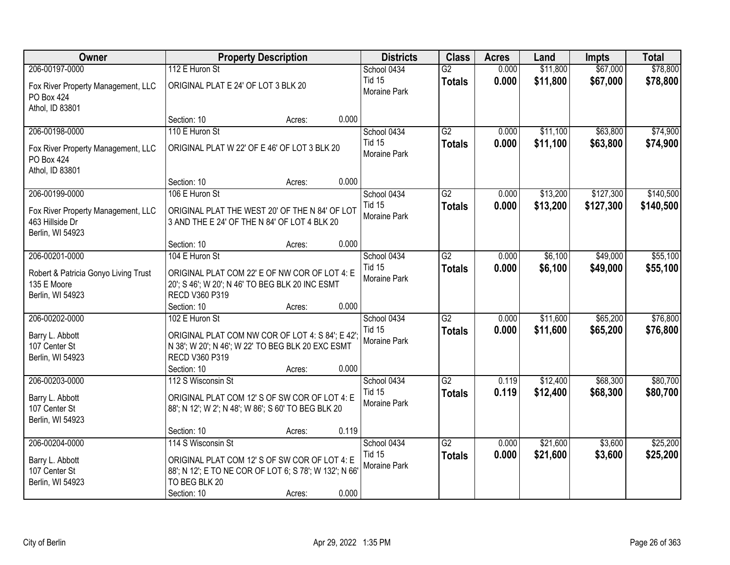| Owner                                                   | <b>Property Description</b>                            | <b>Districts</b>              | <b>Class</b>    | <b>Acres</b> | Land     | <b>Impts</b> | <b>Total</b> |
|---------------------------------------------------------|--------------------------------------------------------|-------------------------------|-----------------|--------------|----------|--------------|--------------|
| 206-00197-0000                                          | 112 E Huron St                                         | School 0434                   | $\overline{G2}$ | 0.000        | \$11,800 | \$67,000     | \$78,800     |
| Fox River Property Management, LLC<br><b>PO Box 424</b> | ORIGINAL PLAT E 24' OF LOT 3 BLK 20                    | <b>Tid 15</b><br>Moraine Park | <b>Totals</b>   | 0.000        | \$11,800 | \$67,000     | \$78,800     |
| Athol, ID 83801                                         |                                                        |                               |                 |              |          |              |              |
|                                                         | 0.000<br>Section: 10<br>Acres:                         |                               |                 |              |          |              |              |
| 206-00198-0000                                          | 110 E Huron St                                         | School 0434                   | $\overline{G2}$ | 0.000        | \$11,100 | \$63,800     | \$74,900     |
| Fox River Property Management, LLC<br><b>PO Box 424</b> | ORIGINAL PLAT W 22' OF E 46' OF LOT 3 BLK 20           | <b>Tid 15</b><br>Moraine Park | <b>Totals</b>   | 0.000        | \$11,100 | \$63,800     | \$74,900     |
| Athol, ID 83801                                         |                                                        |                               |                 |              |          |              |              |
|                                                         | 0.000<br>Section: 10<br>Acres:                         |                               |                 |              |          |              |              |
| 206-00199-0000                                          | 106 E Huron St                                         | School 0434                   | G2              | 0.000        | \$13,200 | \$127,300    | \$140,500    |
| Fox River Property Management, LLC                      | ORIGINAL PLAT THE WEST 20' OF THE N 84' OF LOT         | <b>Tid 15</b>                 | <b>Totals</b>   | 0.000        | \$13,200 | \$127,300    | \$140,500    |
| 463 Hillside Dr                                         | 3 AND THE E 24' OF THE N 84' OF LOT 4 BLK 20           | Moraine Park                  |                 |              |          |              |              |
| Berlin, WI 54923                                        |                                                        |                               |                 |              |          |              |              |
|                                                         | 0.000<br>Section: 10<br>Acres:                         |                               |                 |              |          |              |              |
| 206-00201-0000                                          | 104 E Huron St                                         | School 0434                   | $\overline{G2}$ | 0.000        | \$6,100  | \$49,000     | \$55,100     |
| Robert & Patricia Gonyo Living Trust                    | ORIGINAL PLAT COM 22' E OF NW COR OF LOT 4: E          | <b>Tid 15</b>                 | <b>Totals</b>   | 0.000        | \$6,100  | \$49,000     | \$55,100     |
| 135 E Moore                                             | 20'; S 46'; W 20'; N 46' TO BEG BLK 20 INC ESMT        | Moraine Park                  |                 |              |          |              |              |
| Berlin, WI 54923                                        | RECD V360 P319                                         |                               |                 |              |          |              |              |
|                                                         | 0.000<br>Section: 10<br>Acres:                         |                               |                 |              |          |              |              |
| 206-00202-0000                                          | 102 E Huron St                                         | School 0434                   | $\overline{G2}$ | 0.000        | \$11,600 | \$65,200     | \$76,800     |
| Barry L. Abbott                                         | ORIGINAL PLAT COM NW COR OF LOT 4: S 84'; E 42';       | <b>Tid 15</b>                 | <b>Totals</b>   | 0.000        | \$11,600 | \$65,200     | \$76,800     |
| 107 Center St                                           | N 38'; W 20'; N 46'; W 22' TO BEG BLK 20 EXC ESMT      | <b>Moraine Park</b>           |                 |              |          |              |              |
| Berlin, WI 54923                                        | RECD V360 P319                                         |                               |                 |              |          |              |              |
|                                                         | Section: 10<br>0.000<br>Acres:                         |                               |                 |              |          |              |              |
| 206-00203-0000                                          | 112 S Wisconsin St                                     | School 0434                   | $\overline{G2}$ | 0.119        | \$12,400 | \$68,300     | \$80,700     |
| Barry L. Abbott                                         | ORIGINAL PLAT COM 12'S OF SW COR OF LOT 4: E           | <b>Tid 15</b>                 | <b>Totals</b>   | 0.119        | \$12,400 | \$68,300     | \$80,700     |
| 107 Center St                                           | 88'; N 12'; W 2'; N 48'; W 86'; S 60' TO BEG BLK 20    | Moraine Park                  |                 |              |          |              |              |
| Berlin, WI 54923                                        |                                                        |                               |                 |              |          |              |              |
|                                                         | 0.119<br>Section: 10<br>Acres:                         |                               |                 |              |          |              |              |
| 206-00204-0000                                          | 114 S Wisconsin St                                     | School 0434                   | $\overline{G2}$ | 0.000        | \$21,600 | \$3,600      | \$25,200     |
| Barry L. Abbott                                         | ORIGINAL PLAT COM 12'S OF SW COR OF LOT 4: E           | <b>Tid 15</b><br>Moraine Park | <b>Totals</b>   | 0.000        | \$21,600 | \$3,600      | \$25,200     |
| 107 Center St                                           | 88'; N 12'; E TO NE COR OF LOT 6; S 78'; W 132'; N 66' |                               |                 |              |          |              |              |
| Berlin, WI 54923                                        | TO BEG BLK 20                                          |                               |                 |              |          |              |              |
|                                                         | 0.000<br>Section: 10<br>Acres:                         |                               |                 |              |          |              |              |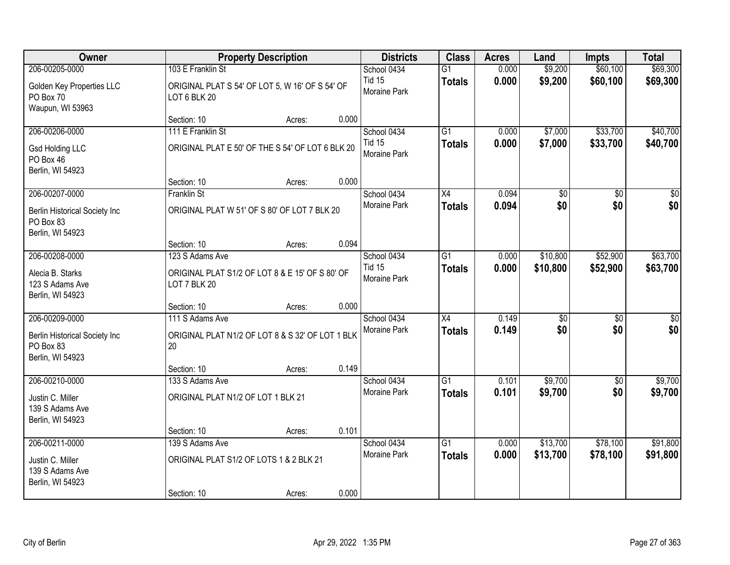| Owner                                                                            |                                                                           | <b>Property Description</b> |       | <b>Districts</b>              | <b>Class</b>                     | <b>Acres</b>   | Land            | <b>Impts</b>           | <b>Total</b>           |
|----------------------------------------------------------------------------------|---------------------------------------------------------------------------|-----------------------------|-------|-------------------------------|----------------------------------|----------------|-----------------|------------------------|------------------------|
| 206-00205-0000                                                                   | 103 E Franklin St                                                         |                             |       | School 0434                   | $\overline{G1}$                  | 0.000          | \$9,200         | \$60,100               | \$69,300               |
| Golden Key Properties LLC<br>PO Box 70<br>Waupun, WI 53963                       | ORIGINAL PLAT S 54' OF LOT 5, W 16' OF S 54' OF<br>LOT 6 BLK 20           |                             |       | <b>Tid 15</b><br>Moraine Park | <b>Totals</b>                    | 0.000          | \$9,200         | \$60,100               | \$69,300               |
|                                                                                  | Section: 10                                                               | Acres:                      | 0.000 |                               |                                  |                |                 |                        |                        |
| 206-00206-0000                                                                   | 111 E Franklin St                                                         |                             |       | School 0434                   | $\overline{G1}$                  | 0.000          | \$7,000         | \$33,700               | \$40,700               |
| <b>Gsd Holding LLC</b><br>PO Box 46<br>Berlin, WI 54923                          | ORIGINAL PLAT E 50' OF THE S 54' OF LOT 6 BLK 20                          |                             |       | <b>Tid 15</b><br>Moraine Park | <b>Totals</b>                    | 0.000          | \$7,000         | \$33,700               | \$40,700               |
|                                                                                  | Section: 10                                                               | Acres:                      | 0.000 |                               |                                  |                |                 |                        |                        |
| 206-00207-0000                                                                   | <b>Franklin St</b>                                                        |                             |       | School 0434                   | X4                               | 0.094          | $\overline{60}$ | $\overline{50}$        | $\overline{50}$        |
| Berlin Historical Society Inc<br>PO Box 83<br>Berlin, WI 54923                   | ORIGINAL PLAT W 51' OF S 80' OF LOT 7 BLK 20                              |                             |       | <b>Moraine Park</b>           | <b>Totals</b>                    | 0.094          | \$0             | \$0                    | \$0                    |
|                                                                                  | Section: 10                                                               | Acres:                      | 0.094 |                               |                                  |                |                 |                        |                        |
| 206-00208-0000                                                                   | 123 S Adams Ave                                                           |                             |       | School 0434                   | $\overline{G1}$                  | 0.000          | \$10,800        | \$52,900               | \$63,700               |
| Alecia B. Starks<br>123 S Adams Ave<br>Berlin, WI 54923                          | ORIGINAL PLAT S1/2 OF LOT 8 & E 15' OF S 80' OF<br>LOT 7 BLK 20           |                             |       | <b>Tid 15</b><br>Moraine Park | <b>Totals</b>                    | 0.000          | \$10,800        | \$52,900               | \$63,700               |
|                                                                                  | Section: 10                                                               | Acres:                      | 0.000 |                               |                                  |                |                 |                        |                        |
| 206-00209-0000<br>Berlin Historical Society Inc<br>PO Box 83<br>Berlin, WI 54923 | 111 S Adams Ave<br>ORIGINAL PLAT N1/2 OF LOT 8 & S 32' OF LOT 1 BLK<br>20 |                             |       | School 0434<br>Moraine Park   | $\overline{X4}$<br><b>Totals</b> | 0.149<br>0.149 | \$0<br>\$0      | $\overline{50}$<br>\$0 | $\overline{50}$<br>\$0 |
|                                                                                  | Section: 10                                                               | Acres:                      | 0.149 |                               |                                  |                |                 |                        |                        |
| 206-00210-0000                                                                   | 133 S Adams Ave                                                           |                             |       | School 0434                   | G1                               | 0.101          | \$9,700         | $\sqrt{6}$             | \$9,700                |
| Justin C. Miller<br>139 S Adams Ave<br>Berlin, WI 54923                          | ORIGINAL PLAT N1/2 OF LOT 1 BLK 21                                        |                             |       | Moraine Park                  | <b>Totals</b>                    | 0.101          | \$9,700         | \$0                    | \$9,700                |
|                                                                                  | Section: 10                                                               | Acres:                      | 0.101 |                               |                                  |                |                 |                        |                        |
| 206-00211-0000                                                                   | 139 S Adams Ave                                                           |                             |       | School 0434                   | $\overline{G1}$                  | 0.000          | \$13,700        | \$78,100               | \$91,800               |
| Justin C. Miller<br>139 S Adams Ave<br>Berlin, WI 54923                          | ORIGINAL PLAT S1/2 OF LOTS 1 & 2 BLK 21                                   |                             |       | <b>Moraine Park</b>           | <b>Totals</b>                    | 0.000          | \$13,700        | \$78,100               | \$91,800               |
|                                                                                  | Section: 10                                                               | Acres:                      | 0.000 |                               |                                  |                |                 |                        |                        |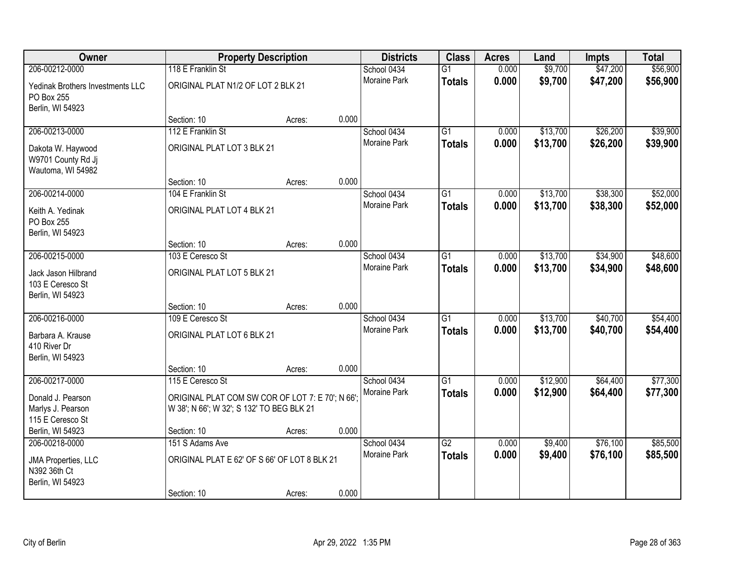| Owner                                                        |                                                                                               | <b>Property Description</b> |       | <b>Districts</b>    | <b>Class</b>    | <b>Acres</b> | Land     | <b>Impts</b> | <b>Total</b> |
|--------------------------------------------------------------|-----------------------------------------------------------------------------------------------|-----------------------------|-------|---------------------|-----------------|--------------|----------|--------------|--------------|
| 206-00212-0000                                               | 118 E Franklin St                                                                             |                             |       | School 0434         | $\overline{G1}$ | 0.000        | \$9,700  | \$47,200     | \$56,900     |
| Yedinak Brothers Investments LLC<br>PO Box 255               | ORIGINAL PLAT N1/2 OF LOT 2 BLK 21                                                            |                             |       | <b>Moraine Park</b> | <b>Totals</b>   | 0.000        | \$9,700  | \$47,200     | \$56,900     |
| Berlin, WI 54923                                             | Section: 10                                                                                   | Acres:                      | 0.000 |                     |                 |              |          |              |              |
| 206-00213-0000                                               | 112 E Franklin St                                                                             |                             |       | School 0434         | $\overline{G1}$ | 0.000        | \$13,700 | \$26,200     | \$39,900     |
| Dakota W. Haywood<br>W9701 County Rd Jj<br>Wautoma, WI 54982 | ORIGINAL PLAT LOT 3 BLK 21                                                                    |                             |       | Moraine Park        | <b>Totals</b>   | 0.000        | \$13,700 | \$26,200     | \$39,900     |
|                                                              | Section: 10                                                                                   | Acres:                      | 0.000 |                     |                 |              |          |              |              |
| 206-00214-0000                                               | 104 E Franklin St                                                                             |                             |       | School 0434         | $\overline{G1}$ | 0.000        | \$13,700 | \$38,300     | \$52,000     |
| Keith A. Yedinak<br>PO Box 255<br>Berlin, WI 54923           | ORIGINAL PLAT LOT 4 BLK 21                                                                    |                             |       | Moraine Park        | <b>Totals</b>   | 0.000        | \$13,700 | \$38,300     | \$52,000     |
|                                                              | Section: 10                                                                                   | Acres:                      | 0.000 |                     |                 |              |          |              |              |
| 206-00215-0000                                               | 103 E Ceresco St                                                                              |                             |       | School 0434         | $\overline{G1}$ | 0.000        | \$13,700 | \$34,900     | \$48,600     |
| Jack Jason Hilbrand<br>103 E Ceresco St<br>Berlin, WI 54923  | ORIGINAL PLAT LOT 5 BLK 21                                                                    |                             |       | Moraine Park        | <b>Totals</b>   | 0.000        | \$13,700 | \$34,900     | \$48,600     |
|                                                              | Section: 10                                                                                   | Acres:                      | 0.000 |                     |                 |              |          |              |              |
| 206-00216-0000                                               | 109 E Ceresco St                                                                              |                             |       | School 0434         | $\overline{G1}$ | 0.000        | \$13,700 | \$40,700     | \$54,400     |
| Barbara A. Krause<br>410 River Dr<br>Berlin, WI 54923        | ORIGINAL PLAT LOT 6 BLK 21                                                                    |                             |       | Moraine Park        | <b>Totals</b>   | 0.000        | \$13,700 | \$40,700     | \$54,400     |
|                                                              | Section: 10                                                                                   | Acres:                      | 0.000 |                     |                 |              |          |              |              |
| 206-00217-0000                                               | 115 E Ceresco St                                                                              |                             |       | School 0434         | $\overline{G1}$ | 0.000        | \$12,900 | \$64,400     | \$77,300     |
| Donald J. Pearson<br>Marlys J. Pearson<br>115 E Ceresco St   | ORIGINAL PLAT COM SW COR OF LOT 7: E 70'; N 66';<br>W 38'; N 66'; W 32'; S 132' TO BEG BLK 21 |                             |       | Moraine Park        | <b>Totals</b>   | 0.000        | \$12,900 | \$64,400     | \$77,300     |
| Berlin, WI 54923                                             | Section: 10                                                                                   | Acres:                      | 0.000 |                     |                 |              |          |              |              |
| 206-00218-0000                                               | 151 S Adams Ave                                                                               |                             |       | School 0434         | $\overline{G2}$ | 0.000        | \$9,400  | \$76,100     | \$85,500     |
| JMA Properties, LLC<br>N392 36th Ct<br>Berlin, WI 54923      | ORIGINAL PLAT E 62' OF S 66' OF LOT 8 BLK 21                                                  |                             |       | <b>Moraine Park</b> | <b>Totals</b>   | 0.000        | \$9,400  | \$76,100     | \$85,500     |
|                                                              | Section: 10                                                                                   | Acres:                      | 0.000 |                     |                 |              |          |              |              |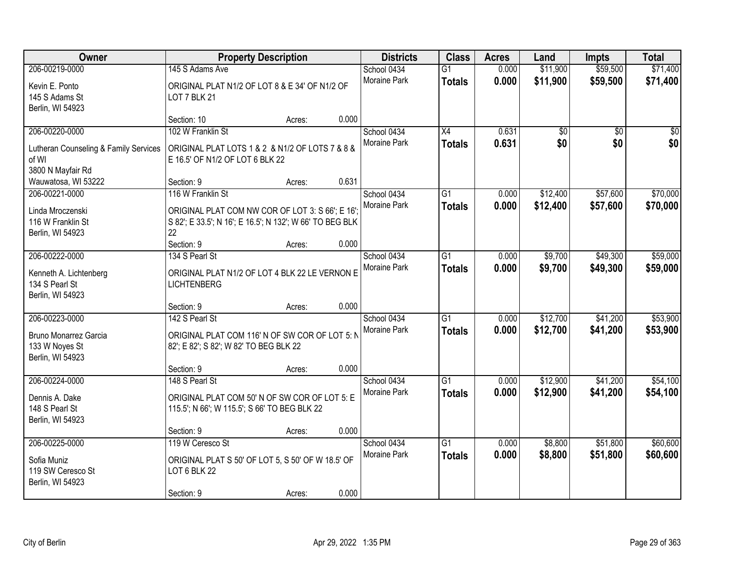| Owner                                    |                                                                                          | <b>Property Description</b> |       | <b>Districts</b>    | <b>Class</b>    | <b>Acres</b> | Land     | <b>Impts</b> | <b>Total</b> |
|------------------------------------------|------------------------------------------------------------------------------------------|-----------------------------|-------|---------------------|-----------------|--------------|----------|--------------|--------------|
| 206-00219-0000                           | 145 S Adams Ave                                                                          |                             |       | School 0434         | $\overline{G1}$ | 0.000        | \$11,900 | \$59,500     | \$71,400     |
| Kevin E. Ponto                           | ORIGINAL PLAT N1/2 OF LOT 8 & E 34' OF N1/2 OF                                           |                             |       | Moraine Park        | <b>Totals</b>   | 0.000        | \$11,900 | \$59,500     | \$71,400     |
| 145 S Adams St                           | LOT 7 BLK 21                                                                             |                             |       |                     |                 |              |          |              |              |
| Berlin, WI 54923                         |                                                                                          |                             |       |                     |                 |              |          |              |              |
|                                          | Section: 10                                                                              | Acres:                      | 0.000 |                     |                 |              |          |              |              |
| 206-00220-0000                           | 102 W Franklin St                                                                        |                             |       | School 0434         | $\overline{X4}$ | 0.631        | \$0      | \$0          | \$0          |
| Lutheran Counseling & Family Services    | ORIGINAL PLAT LOTS 1 & 2 & N1/2 OF LOTS 7 & 8 &                                          |                             |       | <b>Moraine Park</b> | <b>Totals</b>   | 0.631        | \$0      | \$0          | \$0          |
| of WI                                    | E 16.5' OF N1/2 OF LOT 6 BLK 22                                                          |                             |       |                     |                 |              |          |              |              |
| 3800 N Mayfair Rd                        |                                                                                          |                             |       |                     |                 |              |          |              |              |
| Wauwatosa, WI 53222                      | Section: 9                                                                               | Acres:                      | 0.631 |                     |                 |              |          |              |              |
| 206-00221-0000                           | 116 W Franklin St                                                                        |                             |       | School 0434         | $\overline{G1}$ | 0.000        | \$12,400 | \$57,600     | \$70,000     |
| Linda Mroczenski                         | ORIGINAL PLAT COM NW COR OF LOT 3: S 66'; E 16';                                         |                             |       | Moraine Park        | <b>Totals</b>   | 0.000        | \$12,400 | \$57,600     | \$70,000     |
| 116 W Franklin St                        | S 82'; E 33.5'; N 16'; E 16.5'; N 132'; W 66' TO BEG BLK                                 |                             |       |                     |                 |              |          |              |              |
| Berlin, WI 54923                         | 22                                                                                       |                             |       |                     |                 |              |          |              |              |
|                                          | Section: 9                                                                               | Acres:                      | 0.000 |                     |                 |              |          |              |              |
| 206-00222-0000                           | 134 S Pearl St                                                                           |                             |       | School 0434         | $\overline{G1}$ | 0.000        | \$9,700  | \$49,300     | \$59,000     |
|                                          | ORIGINAL PLAT N1/2 OF LOT 4 BLK 22 LE VERNON E                                           |                             |       | <b>Moraine Park</b> | <b>Totals</b>   | 0.000        | \$9,700  | \$49,300     | \$59,000     |
| Kenneth A. Lichtenberg<br>134 S Pearl St | <b>LICHTENBERG</b>                                                                       |                             |       |                     |                 |              |          |              |              |
| Berlin, WI 54923                         |                                                                                          |                             |       |                     |                 |              |          |              |              |
|                                          | Section: 9                                                                               | Acres:                      | 0.000 |                     |                 |              |          |              |              |
| 206-00223-0000                           | 142 S Pearl St                                                                           |                             |       | School 0434         | $\overline{G1}$ | 0.000        | \$12,700 | \$41,200     | \$53,900     |
|                                          |                                                                                          |                             |       | <b>Moraine Park</b> | <b>Totals</b>   | 0.000        | \$12,700 | \$41,200     | \$53,900     |
| Bruno Monarrez Garcia<br>133 W Noyes St  | ORIGINAL PLAT COM 116' N OF SW COR OF LOT 5: N<br>82'; E 82'; S 82'; W 82' TO BEG BLK 22 |                             |       |                     |                 |              |          |              |              |
| Berlin, WI 54923                         |                                                                                          |                             |       |                     |                 |              |          |              |              |
|                                          | Section: 9                                                                               | Acres:                      | 0.000 |                     |                 |              |          |              |              |
| 206-00224-0000                           | 148 S Pearl St                                                                           |                             |       | School 0434         | $\overline{G1}$ | 0.000        | \$12,900 | \$41,200     | \$54,100     |
|                                          |                                                                                          |                             |       | Moraine Park        | <b>Totals</b>   | 0.000        | \$12,900 | \$41,200     | \$54,100     |
| Dennis A. Dake                           | ORIGINAL PLAT COM 50' N OF SW COR OF LOT 5: E                                            |                             |       |                     |                 |              |          |              |              |
| 148 S Pearl St                           | 115.5'; N 66'; W 115.5'; S 66' TO BEG BLK 22                                             |                             |       |                     |                 |              |          |              |              |
| Berlin, WI 54923                         | Section: 9                                                                               | Acres:                      | 0.000 |                     |                 |              |          |              |              |
| 206-00225-0000                           | 119 W Ceresco St                                                                         |                             |       | School 0434         | $\overline{G1}$ | 0.000        | \$8,800  | \$51,800     | \$60,600     |
|                                          |                                                                                          |                             |       | <b>Moraine Park</b> | <b>Totals</b>   | 0.000        | \$8,800  | \$51,800     | \$60,600     |
| Sofia Muniz                              | ORIGINAL PLAT S 50' OF LOT 5, S 50' OF W 18.5' OF                                        |                             |       |                     |                 |              |          |              |              |
| 119 SW Ceresco St                        | LOT 6 BLK 22                                                                             |                             |       |                     |                 |              |          |              |              |
| Berlin, WI 54923                         |                                                                                          |                             | 0.000 |                     |                 |              |          |              |              |
|                                          | Section: 9                                                                               | Acres:                      |       |                     |                 |              |          |              |              |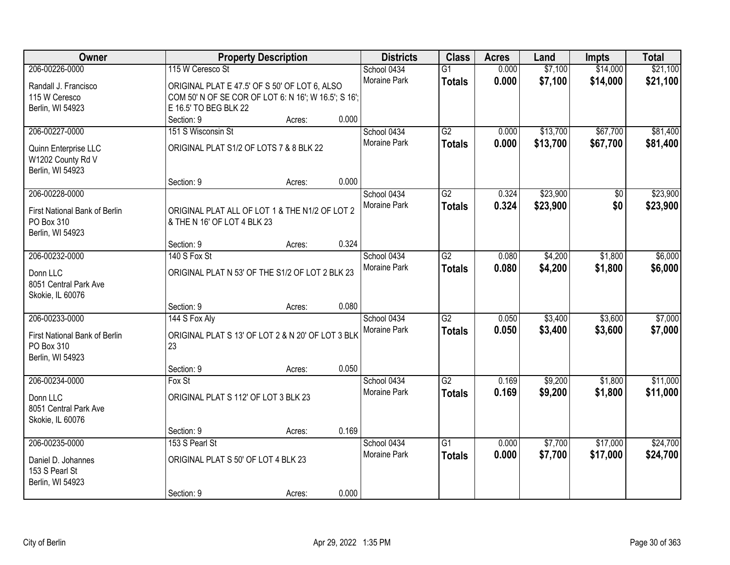| Owner                                                           |                                                                               | <b>Property Description</b> |       | <b>Districts</b>                   | <b>Class</b>    | <b>Acres</b>   | Land               | <b>Impts</b>         | <b>Total</b> |
|-----------------------------------------------------------------|-------------------------------------------------------------------------------|-----------------------------|-------|------------------------------------|-----------------|----------------|--------------------|----------------------|--------------|
| 206-00226-0000                                                  | 115 W Ceresco St                                                              |                             |       | School 0434<br><b>Moraine Park</b> | $\overline{G1}$ | 0.000<br>0.000 | \$7,100<br>\$7,100 | \$14,000<br>\$14,000 | \$21,100     |
| Randall J. Francisco                                            | ORIGINAL PLAT E 47.5' OF S 50' OF LOT 6, ALSO                                 |                             |       |                                    | <b>Totals</b>   |                |                    |                      | \$21,100     |
| 115 W Ceresco                                                   | COM 50' N OF SE COR OF LOT 6: N 16'; W 16.5'; S 16';                          |                             |       |                                    |                 |                |                    |                      |              |
| Berlin, WI 54923                                                | E 16.5' TO BEG BLK 22                                                         |                             |       |                                    |                 |                |                    |                      |              |
|                                                                 | Section: 9                                                                    | Acres:                      | 0.000 |                                    |                 |                |                    |                      |              |
| 206-00227-0000                                                  | 151 S Wisconsin St                                                            |                             |       | School 0434                        | G2              | 0.000          | \$13,700           | \$67,700             | \$81,400     |
| Quinn Enterprise LLC<br>W1202 County Rd V<br>Berlin, WI 54923   | ORIGINAL PLAT S1/2 OF LOTS 7 & 8 BLK 22                                       |                             |       | <b>Moraine Park</b>                | <b>Totals</b>   | 0.000          | \$13,700           | \$67,700             | \$81,400     |
|                                                                 | Section: 9                                                                    | Acres:                      | 0.000 |                                    |                 |                |                    |                      |              |
| 206-00228-0000                                                  |                                                                               |                             |       | School 0434                        | G2              | 0.324          | \$23,900           | \$0                  | \$23,900     |
| First National Bank of Berlin<br>PO Box 310<br>Berlin, WI 54923 | ORIGINAL PLAT ALL OF LOT 1 & THE N1/2 OF LOT 2<br>& THE N 16' OF LOT 4 BLK 23 |                             |       | Moraine Park                       | <b>Totals</b>   | 0.324          | \$23,900           | \$0                  | \$23,900     |
|                                                                 | Section: 9                                                                    | Acres:                      | 0.324 |                                    |                 |                |                    |                      |              |
| 206-00232-0000                                                  | 140 S Fox St                                                                  |                             |       | School 0434                        | $\overline{G2}$ | 0.080          | \$4,200            | \$1,800              | \$6,000      |
| Donn LLC<br>8051 Central Park Ave<br>Skokie, IL 60076           | ORIGINAL PLAT N 53' OF THE S1/2 OF LOT 2 BLK 23                               |                             |       | Moraine Park                       | <b>Totals</b>   | 0.080          | \$4,200            | \$1,800              | \$6,000      |
|                                                                 | Section: 9                                                                    | Acres:                      | 0.080 |                                    |                 |                |                    |                      |              |
| 206-00233-0000                                                  | 144 S Fox Aly                                                                 |                             |       | School 0434                        | $\overline{G2}$ | 0.050          | \$3,400            | \$3,600              | \$7,000      |
| First National Bank of Berlin<br>PO Box 310<br>Berlin, WI 54923 | ORIGINAL PLAT S 13' OF LOT 2 & N 20' OF LOT 3 BLK<br>23                       |                             |       | Moraine Park                       | <b>Totals</b>   | 0.050          | \$3,400            | \$3,600              | \$7,000      |
|                                                                 | Section: 9                                                                    | Acres:                      | 0.050 |                                    |                 |                |                    |                      |              |
| 206-00234-0000                                                  | Fox St                                                                        |                             |       | School 0434                        | $\overline{G2}$ | 0.169          | \$9,200            | \$1,800              | \$11,000     |
| Donn LLC<br>8051 Central Park Ave<br>Skokie, IL 60076           | ORIGINAL PLAT S 112' OF LOT 3 BLK 23                                          |                             |       | Moraine Park                       | <b>Totals</b>   | 0.169          | \$9,200            | \$1,800              | \$11,000     |
|                                                                 | Section: 9                                                                    | Acres:                      | 0.169 |                                    |                 |                |                    |                      |              |
| 206-00235-0000                                                  | 153 S Pearl St                                                                |                             |       | School 0434                        | $\overline{G1}$ | 0.000          | \$7,700            | \$17,000             | \$24,700     |
| Daniel D. Johannes<br>153 S Pearl St<br>Berlin, WI 54923        | ORIGINAL PLAT S 50' OF LOT 4 BLK 23                                           |                             |       | <b>Moraine Park</b>                | <b>Totals</b>   | 0.000          | \$7,700            | \$17,000             | \$24,700     |
|                                                                 | Section: 9                                                                    | Acres:                      | 0.000 |                                    |                 |                |                    |                      |              |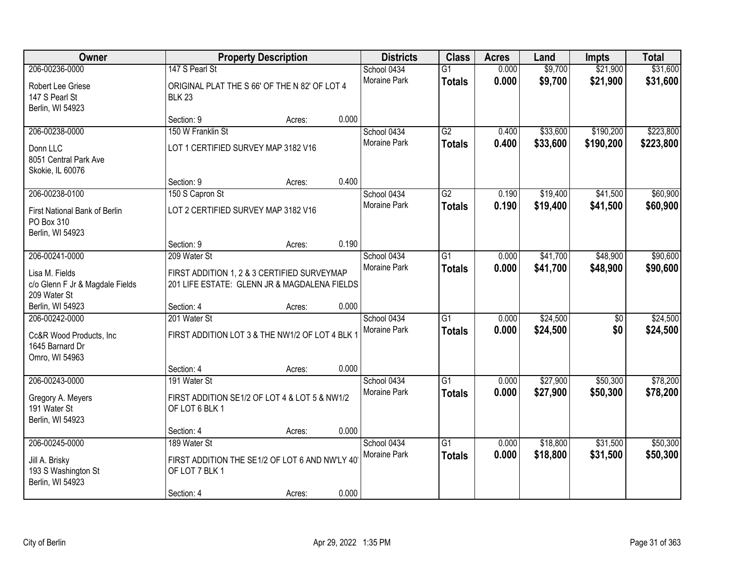| Owner                                                                          |                                                                                             | <b>Property Description</b> |       | <b>Districts</b>            | <b>Class</b>                     | <b>Acres</b>   | Land                 | Impts      | <b>Total</b>         |
|--------------------------------------------------------------------------------|---------------------------------------------------------------------------------------------|-----------------------------|-------|-----------------------------|----------------------------------|----------------|----------------------|------------|----------------------|
| 206-00236-0000                                                                 | 147 S Pearl St                                                                              |                             |       | School 0434                 | $\overline{G1}$                  | 0.000          | \$9,700              | \$21,900   | \$31,600             |
| Robert Lee Griese<br>147 S Pearl St<br>Berlin, WI 54923                        | ORIGINAL PLAT THE S 66' OF THE N 82' OF LOT 4<br><b>BLK 23</b>                              |                             |       | Moraine Park                | <b>Totals</b>                    | 0.000          | \$9,700              | \$21,900   | \$31,600             |
|                                                                                | Section: 9                                                                                  | Acres:                      | 0.000 |                             |                                  |                |                      |            |                      |
| 206-00238-0000                                                                 | 150 W Franklin St                                                                           |                             |       | School 0434                 | $\overline{G2}$                  | 0.400          | \$33,600             | \$190,200  | \$223,800            |
| Donn LLC<br>8051 Central Park Ave<br>Skokie, IL 60076                          | LOT 1 CERTIFIED SURVEY MAP 3182 V16                                                         |                             |       | Moraine Park                | <b>Totals</b>                    | 0.400          | \$33,600             | \$190,200  | \$223,800            |
|                                                                                | Section: 9                                                                                  | Acres:                      | 0.400 |                             |                                  |                |                      |            |                      |
| 206-00238-0100                                                                 | 150 S Capron St                                                                             |                             |       | School 0434                 | G2                               | 0.190          | \$19,400             | \$41,500   | \$60,900             |
| First National Bank of Berlin<br>PO Box 310<br>Berlin, WI 54923                | LOT 2 CERTIFIED SURVEY MAP 3182 V16                                                         |                             |       | Moraine Park                | <b>Totals</b>                    | 0.190          | \$19,400             | \$41,500   | \$60,900             |
|                                                                                | Section: 9                                                                                  | Acres:                      | 0.190 |                             |                                  |                |                      |            |                      |
| 206-00241-0000                                                                 | 209 Water St                                                                                |                             |       | School 0434                 | $\overline{G1}$                  | 0.000          | \$41,700             | \$48,900   | \$90,600             |
| Lisa M. Fields<br>c/o Glenn F Jr & Magdale Fields<br>209 Water St              | FIRST ADDITION 1, 2 & 3 CERTIFIED SURVEYMAP<br>201 LIFE ESTATE: GLENN JR & MAGDALENA FIELDS |                             |       | <b>Moraine Park</b>         | <b>Totals</b>                    | 0.000          | \$41,700             | \$48,900   | \$90,600             |
| Berlin, WI 54923                                                               | Section: 4                                                                                  | Acres:                      | 0.000 |                             |                                  |                |                      |            |                      |
| 206-00242-0000<br>Cc&R Wood Products, Inc<br>1645 Barnard Dr<br>Omro, WI 54963 | 201 Water St<br>FIRST ADDITION LOT 3 & THE NW1/2 OF LOT 4 BLK 1                             |                             |       | School 0434<br>Moraine Park | $\overline{G1}$<br><b>Totals</b> | 0.000<br>0.000 | \$24,500<br>\$24,500 | \$0<br>\$0 | \$24,500<br>\$24,500 |
|                                                                                | Section: 4                                                                                  | Acres:                      | 0.000 |                             |                                  |                |                      |            |                      |
| 206-00243-0000                                                                 | 191 Water St                                                                                |                             |       | School 0434                 | $\overline{G1}$                  | 0.000          | \$27,900             | \$50,300   | \$78,200             |
| Gregory A. Meyers<br>191 Water St<br>Berlin, WI 54923                          | FIRST ADDITION SE1/2 OF LOT 4 & LOT 5 & NW1/2<br>OF LOT 6 BLK 1                             |                             |       | Moraine Park                | <b>Totals</b>                    | 0.000          | \$27,900             | \$50,300   | \$78,200             |
|                                                                                | Section: 4                                                                                  | Acres:                      | 0.000 |                             |                                  |                |                      |            |                      |
| 206-00245-0000                                                                 | 189 Water St                                                                                |                             |       | School 0434                 | $\overline{G1}$                  | 0.000          | \$18,800             | \$31,500   | \$50,300             |
| Jill A. Brisky<br>193 S Washington St<br>Berlin, WI 54923                      | FIRST ADDITION THE SE1/2 OF LOT 6 AND NW'LY 40<br>OF LOT 7 BLK 1                            |                             |       | Moraine Park                | <b>Totals</b>                    | 0.000          | \$18,800             | \$31,500   | \$50,300             |
|                                                                                | Section: 4                                                                                  | Acres:                      | 0.000 |                             |                                  |                |                      |            |                      |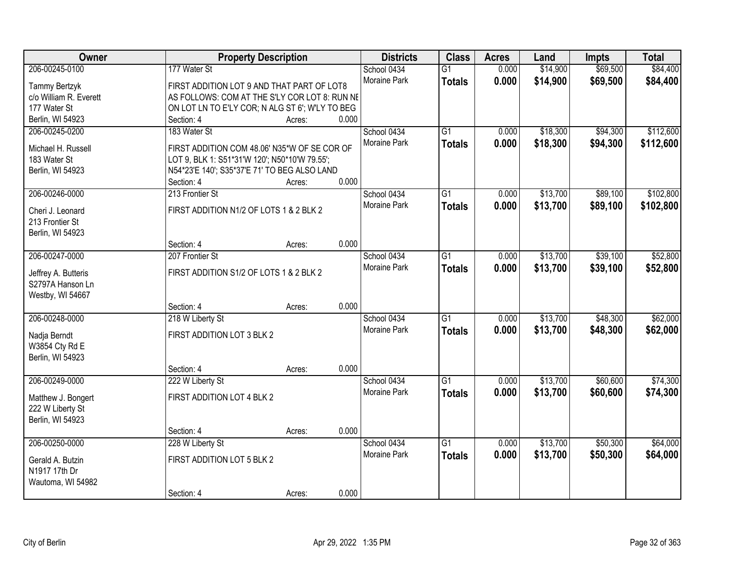| Owner                              | <b>Property Description</b>                                                                   | <b>Districts</b>            | <b>Class</b>    | <b>Acres</b> | Land     | <b>Impts</b> | <b>Total</b> |
|------------------------------------|-----------------------------------------------------------------------------------------------|-----------------------------|-----------------|--------------|----------|--------------|--------------|
| 206-00245-0100                     | 177 Water St                                                                                  | School 0434                 | $\overline{G1}$ | 0.000        | \$14,900 | \$69,500     | \$84,400     |
| Tammy Bertzyk                      | FIRST ADDITION LOT 9 AND THAT PART OF LOT8                                                    | Moraine Park                | <b>Totals</b>   | 0.000        | \$14,900 | \$69,500     | \$84,400     |
| c/o William R. Everett             | AS FOLLOWS: COM AT THE S'LY COR LOT 8: RUN NE                                                 |                             |                 |              |          |              |              |
| 177 Water St                       | ON LOT LN TO E'LY COR; N ALG ST 6'; W'LY TO BEG                                               |                             |                 |              |          |              |              |
| Berlin, WI 54923                   | Section: 4<br>Acres:                                                                          | 0.000                       |                 |              |          |              |              |
| 206-00245-0200                     | 183 Water St                                                                                  | School 0434                 | $\overline{G1}$ | 0.000        | \$18,300 | \$94,300     | \$112,600    |
|                                    |                                                                                               | Moraine Park                | <b>Totals</b>   | 0.000        | \$18,300 | \$94,300     | \$112,600    |
| Michael H. Russell<br>183 Water St | FIRST ADDITION COM 48.06' N35*W OF SE COR OF                                                  |                             |                 |              |          |              |              |
| Berlin, WI 54923                   | LOT 9, BLK 1: S51*31'W 120'; N50*10'W 79.55';<br>N54*23'E 140'; S35*37'E 71' TO BEG ALSO LAND |                             |                 |              |          |              |              |
|                                    | Section: 4<br>Acres:                                                                          | 0.000                       |                 |              |          |              |              |
| 206-00246-0000                     | 213 Frontier St                                                                               | School 0434                 | G1              | 0.000        | \$13,700 | \$89,100     | \$102,800    |
|                                    |                                                                                               | Moraine Park                | <b>Totals</b>   | 0.000        | \$13,700 | \$89,100     | \$102,800    |
| Cheri J. Leonard                   | FIRST ADDITION N1/2 OF LOTS 1 & 2 BLK 2                                                       |                             |                 |              |          |              |              |
| 213 Frontier St                    |                                                                                               |                             |                 |              |          |              |              |
| Berlin, WI 54923                   |                                                                                               |                             |                 |              |          |              |              |
|                                    | Section: 4<br>Acres:                                                                          | 0.000                       |                 |              |          |              |              |
| 206-00247-0000                     | 207 Frontier St                                                                               | School 0434<br>Moraine Park | G1              | 0.000        | \$13,700 | \$39,100     | \$52,800     |
| Jeffrey A. Butteris                | FIRST ADDITION S1/2 OF LOTS 1 & 2 BLK 2                                                       |                             | <b>Totals</b>   | 0.000        | \$13,700 | \$39,100     | \$52,800     |
| S2797A Hanson Ln                   |                                                                                               |                             |                 |              |          |              |              |
| Westby, WI 54667                   |                                                                                               |                             |                 |              |          |              |              |
|                                    | Section: 4<br>Acres:                                                                          | 0.000                       |                 |              |          |              |              |
| 206-00248-0000                     | 218 W Liberty St                                                                              | School 0434                 | $\overline{G1}$ | 0.000        | \$13,700 | \$48,300     | \$62,000     |
| Nadja Berndt                       | FIRST ADDITION LOT 3 BLK 2                                                                    | Moraine Park                | <b>Totals</b>   | 0.000        | \$13,700 | \$48,300     | \$62,000     |
| W3854 Cty Rd E                     |                                                                                               |                             |                 |              |          |              |              |
| Berlin, WI 54923                   |                                                                                               |                             |                 |              |          |              |              |
|                                    | Section: 4<br>Acres:                                                                          | 0.000                       |                 |              |          |              |              |
| 206-00249-0000                     | 222 W Liberty St                                                                              | School 0434                 | $\overline{G1}$ | 0.000        | \$13,700 | \$60,600     | \$74,300     |
|                                    |                                                                                               | Moraine Park                | <b>Totals</b>   | 0.000        | \$13,700 | \$60,600     | \$74,300     |
| Matthew J. Bongert                 | FIRST ADDITION LOT 4 BLK 2                                                                    |                             |                 |              |          |              |              |
| 222 W Liberty St                   |                                                                                               |                             |                 |              |          |              |              |
| Berlin, WI 54923                   |                                                                                               |                             |                 |              |          |              |              |
|                                    | Section: 4<br>Acres:                                                                          | 0.000                       |                 |              |          |              |              |
| 206-00250-0000                     | 228 W Liberty St                                                                              | School 0434                 | $\overline{G1}$ | 0.000        | \$13,700 | \$50,300     | \$64,000     |
| Gerald A. Butzin                   | FIRST ADDITION LOT 5 BLK 2                                                                    | <b>Moraine Park</b>         | <b>Totals</b>   | 0.000        | \$13,700 | \$50,300     | \$64,000     |
| N1917 17th Dr                      |                                                                                               |                             |                 |              |          |              |              |
| Wautoma, WI 54982                  |                                                                                               |                             |                 |              |          |              |              |
|                                    | Section: 4<br>Acres:                                                                          | 0.000                       |                 |              |          |              |              |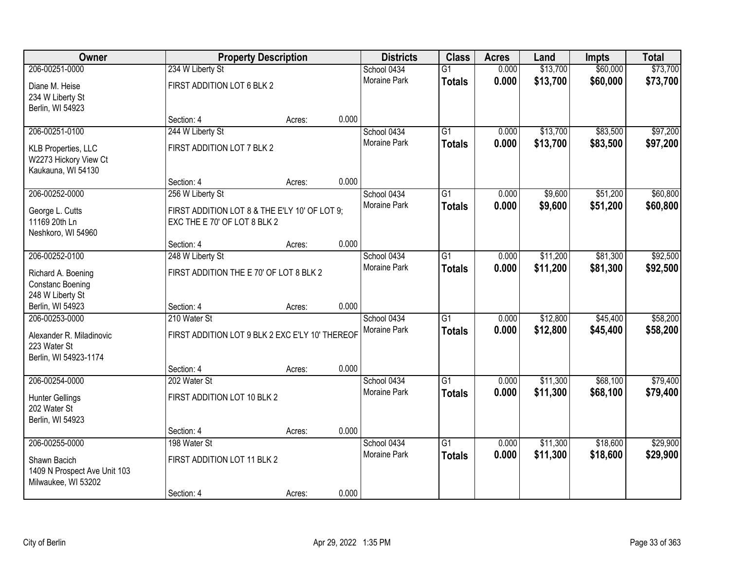| Owner                                                               | <b>Property Description</b>                                                   |        |       | <b>Districts</b>    | <b>Class</b>    | <b>Acres</b> | Land     | Impts    | <b>Total</b> |
|---------------------------------------------------------------------|-------------------------------------------------------------------------------|--------|-------|---------------------|-----------------|--------------|----------|----------|--------------|
| 206-00251-0000                                                      | 234 W Liberty St                                                              |        |       | School 0434         | $\overline{G1}$ | 0.000        | \$13,700 | \$60,000 | \$73,700     |
| Diane M. Heise<br>234 W Liberty St<br>Berlin, WI 54923              | FIRST ADDITION LOT 6 BLK 2                                                    |        |       | <b>Moraine Park</b> | <b>Totals</b>   | 0.000        | \$13,700 | \$60,000 | \$73,700     |
|                                                                     | Section: 4                                                                    | Acres: | 0.000 |                     |                 |              |          |          |              |
| 206-00251-0100                                                      | 244 W Liberty St                                                              |        |       | School 0434         | $\overline{G1}$ | 0.000        | \$13,700 | \$83,500 | \$97,200     |
| KLB Properties, LLC<br>W2273 Hickory View Ct<br>Kaukauna, WI 54130  | FIRST ADDITION LOT 7 BLK 2                                                    |        |       | <b>Moraine Park</b> | <b>Totals</b>   | 0.000        | \$13,700 | \$83,500 | \$97,200     |
|                                                                     | Section: 4                                                                    | Acres: | 0.000 |                     |                 |              |          |          |              |
| 206-00252-0000                                                      | 256 W Liberty St                                                              |        |       | School 0434         | $\overline{G1}$ | 0.000        | \$9,600  | \$51,200 | \$60,800     |
| George L. Cutts<br>11169 20th Ln<br>Neshkoro, WI 54960              | FIRST ADDITION LOT 8 & THE E'LY 10' OF LOT 9;<br>EXC THE E 70' OF LOT 8 BLK 2 |        |       | <b>Moraine Park</b> | <b>Totals</b>   | 0.000        | \$9,600  | \$51,200 | \$60,800     |
|                                                                     | Section: 4                                                                    | Acres: | 0.000 |                     |                 |              |          |          |              |
| 206-00252-0100                                                      | 248 W Liberty St                                                              |        |       | School 0434         | $\overline{G1}$ | 0.000        | \$11,200 | \$81,300 | \$92,500     |
| Richard A. Boening<br><b>Constanc Boening</b><br>248 W Liberty St   | FIRST ADDITION THE E 70' OF LOT 8 BLK 2                                       |        |       | <b>Moraine Park</b> | <b>Totals</b>   | 0.000        | \$11,200 | \$81,300 | \$92,500     |
| Berlin, WI 54923                                                    | Section: 4                                                                    | Acres: | 0.000 |                     |                 |              |          |          |              |
| 206-00253-0000                                                      | 210 Water St                                                                  |        |       | School 0434         | $\overline{G1}$ | 0.000        | \$12,800 | \$45,400 | \$58,200     |
|                                                                     | FIRST ADDITION LOT 9 BLK 2 EXC E'LY 10' THEREOF                               |        |       | Moraine Park        | <b>Totals</b>   | 0.000        | \$12,800 | \$45,400 | \$58,200     |
| Alexander R. Miladinovic<br>223 Water St                            |                                                                               |        |       |                     |                 |              |          |          |              |
| Berlin, WI 54923-1174                                               |                                                                               |        |       |                     |                 |              |          |          |              |
|                                                                     | Section: 4                                                                    | Acres: | 0.000 |                     |                 |              |          |          |              |
| 206-00254-0000                                                      | 202 Water St                                                                  |        |       | School 0434         | G1              | 0.000        | \$11,300 | \$68,100 | \$79,400     |
| <b>Hunter Gellings</b><br>202 Water St<br>Berlin, WI 54923          | FIRST ADDITION LOT 10 BLK 2                                                   |        |       | Moraine Park        | <b>Totals</b>   | 0.000        | \$11,300 | \$68,100 | \$79,400     |
|                                                                     | Section: 4                                                                    | Acres: | 0.000 |                     |                 |              |          |          |              |
| 206-00255-0000                                                      | 198 Water St                                                                  |        |       | School 0434         | $\overline{G1}$ | 0.000        | \$11,300 | \$18,600 | \$29,900     |
| Shawn Bacich<br>1409 N Prospect Ave Unit 103<br>Milwaukee, WI 53202 | FIRST ADDITION LOT 11 BLK 2                                                   |        |       | <b>Moraine Park</b> | <b>Totals</b>   | 0.000        | \$11,300 | \$18,600 | \$29,900     |
|                                                                     | Section: 4                                                                    | Acres: | 0.000 |                     |                 |              |          |          |              |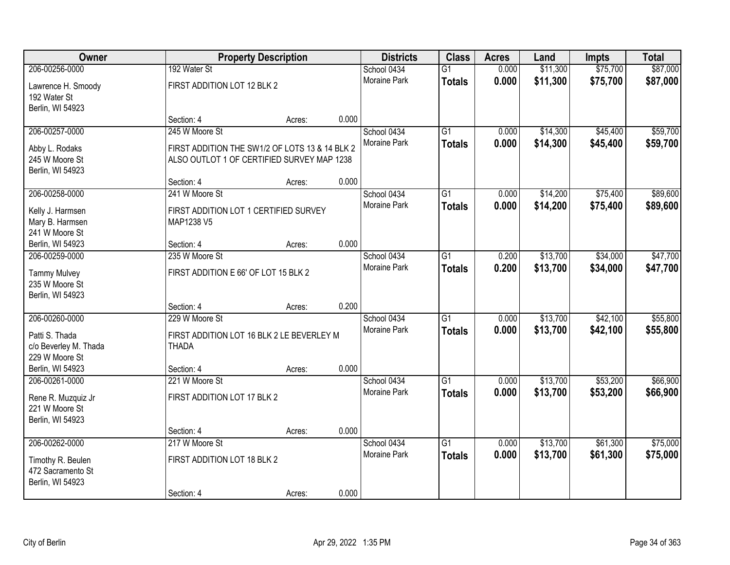| Owner                            |                                                | <b>Property Description</b> |       |                     | <b>Class</b><br><b>Districts</b> | <b>Acres</b> | Land     | <b>Impts</b> | <b>Total</b> |
|----------------------------------|------------------------------------------------|-----------------------------|-------|---------------------|----------------------------------|--------------|----------|--------------|--------------|
| 206-00256-0000                   | 192 Water St                                   |                             |       | School 0434         | $\overline{G1}$                  | 0.000        | \$11,300 | \$75,700     | \$87,000     |
| Lawrence H. Smoody               | FIRST ADDITION LOT 12 BLK 2                    |                             |       | Moraine Park        | <b>Totals</b>                    | 0.000        | \$11,300 | \$75,700     | \$87,000     |
| 192 Water St                     |                                                |                             |       |                     |                                  |              |          |              |              |
| Berlin, WI 54923                 | Section: 4                                     | Acres:                      | 0.000 |                     |                                  |              |          |              |              |
| 206-00257-0000                   | 245 W Moore St                                 |                             |       | School 0434         | $\overline{G1}$                  | 0.000        | \$14,300 | \$45,400     | \$59,700     |
|                                  |                                                |                             |       | Moraine Park        | <b>Totals</b>                    | 0.000        | \$14,300 | \$45,400     | \$59,700     |
| Abby L. Rodaks<br>245 W Moore St | FIRST ADDITION THE SW1/2 OF LOTS 13 & 14 BLK 2 |                             |       |                     |                                  |              |          |              |              |
| Berlin, WI 54923                 | ALSO OUTLOT 1 OF CERTIFIED SURVEY MAP 1238     |                             |       |                     |                                  |              |          |              |              |
|                                  | Section: 4                                     | Acres:                      | 0.000 |                     |                                  |              |          |              |              |
| 206-00258-0000                   | 241 W Moore St                                 |                             |       | School 0434         | G1                               | 0.000        | \$14,200 | \$75,400     | \$89,600     |
| Kelly J. Harmsen                 | FIRST ADDITION LOT 1 CERTIFIED SURVEY          |                             |       | Moraine Park        | <b>Totals</b>                    | 0.000        | \$14,200 | \$75,400     | \$89,600     |
| Mary B. Harmsen                  | MAP1238 V5                                     |                             |       |                     |                                  |              |          |              |              |
| 241 W Moore St                   |                                                |                             |       |                     |                                  |              |          |              |              |
| Berlin, WI 54923                 | Section: 4                                     | Acres:                      | 0.000 |                     |                                  |              |          |              |              |
| 206-00259-0000                   | 235 W Moore St                                 |                             |       | School 0434         | G1                               | 0.200        | \$13,700 | \$34,000     | \$47,700     |
| <b>Tammy Mulvey</b>              | FIRST ADDITION E 66' OF LOT 15 BLK 2           |                             |       | Moraine Park        | <b>Totals</b>                    | 0.200        | \$13,700 | \$34,000     | \$47,700     |
| 235 W Moore St                   |                                                |                             |       |                     |                                  |              |          |              |              |
| Berlin, WI 54923                 |                                                |                             |       |                     |                                  |              |          |              |              |
|                                  | Section: 4                                     | Acres:                      | 0.200 |                     |                                  |              |          |              |              |
| 206-00260-0000                   | 229 W Moore St                                 |                             |       | School 0434         | $\overline{G1}$                  | 0.000        | \$13,700 | \$42,100     | \$55,800     |
| Patti S. Thada                   | FIRST ADDITION LOT 16 BLK 2 LE BEVERLEY M      |                             |       | Moraine Park        | <b>Totals</b>                    | 0.000        | \$13,700 | \$42,100     | \$55,800     |
| c/o Beverley M. Thada            | <b>THADA</b>                                   |                             |       |                     |                                  |              |          |              |              |
| 229 W Moore St                   |                                                |                             |       |                     |                                  |              |          |              |              |
| Berlin, WI 54923                 | Section: 4                                     | Acres:                      | 0.000 |                     |                                  |              |          |              |              |
| 206-00261-0000                   | 221 W Moore St                                 |                             |       | School 0434         | $\overline{G1}$                  | 0.000        | \$13,700 | \$53,200     | \$66,900     |
| Rene R. Muzquiz Jr               | FIRST ADDITION LOT 17 BLK 2                    |                             |       | Moraine Park        | <b>Totals</b>                    | 0.000        | \$13,700 | \$53,200     | \$66,900     |
| 221 W Moore St                   |                                                |                             |       |                     |                                  |              |          |              |              |
| Berlin, WI 54923                 |                                                |                             |       |                     |                                  |              |          |              |              |
| 206-00262-0000                   | Section: 4<br>217 W Moore St                   | Acres:                      | 0.000 | School 0434         | $\overline{G1}$                  | 0.000        | \$13,700 | \$61,300     | \$75,000     |
|                                  |                                                |                             |       | <b>Moraine Park</b> | <b>Totals</b>                    | 0.000        | \$13,700 | \$61,300     | \$75,000     |
| Timothy R. Beulen                | FIRST ADDITION LOT 18 BLK 2                    |                             |       |                     |                                  |              |          |              |              |
| 472 Sacramento St                |                                                |                             |       |                     |                                  |              |          |              |              |
| Berlin, WI 54923                 | Section: 4                                     |                             | 0.000 |                     |                                  |              |          |              |              |
|                                  |                                                | Acres:                      |       |                     |                                  |              |          |              |              |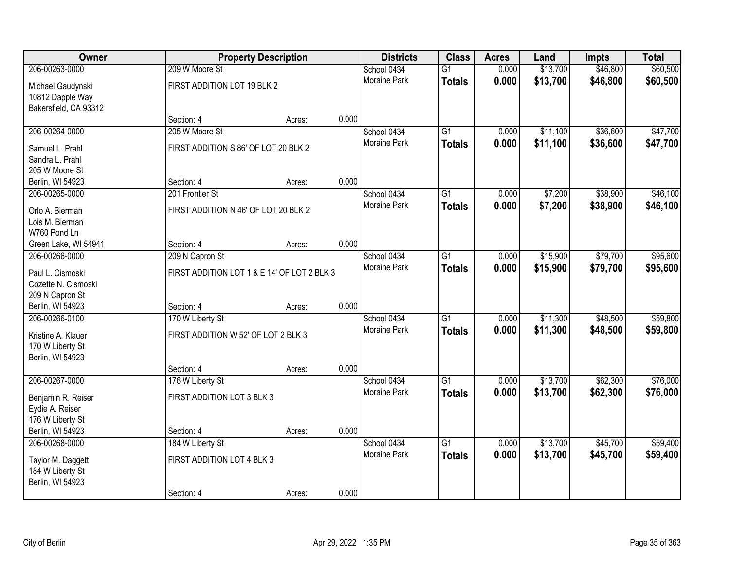| Owner                                |                                      | <b>Property Description</b>                                        |       | <b>Districts</b>    | <b>Class</b>    | <b>Acres</b> | Land     | <b>Impts</b> | <b>Total</b> |
|--------------------------------------|--------------------------------------|--------------------------------------------------------------------|-------|---------------------|-----------------|--------------|----------|--------------|--------------|
| 206-00263-0000                       | 209 W Moore St                       |                                                                    |       | School 0434         | $\overline{G1}$ | 0.000        | \$13,700 | \$46,800     | \$60,500     |
| Michael Gaudynski                    | FIRST ADDITION LOT 19 BLK 2          |                                                                    |       | Moraine Park        | <b>Totals</b>   | 0.000        | \$13,700 | \$46,800     | \$60,500     |
| 10812 Dapple Way                     |                                      |                                                                    |       |                     |                 |              |          |              |              |
| Bakersfield, CA 93312                |                                      |                                                                    |       |                     |                 |              |          |              |              |
|                                      | Section: 4                           | Acres:                                                             | 0.000 |                     |                 |              |          |              |              |
| 206-00264-0000                       | 205 W Moore St                       |                                                                    |       | School 0434         | $\overline{G1}$ | 0.000        | \$11,100 | \$36,600     | \$47,700     |
| Samuel L. Prahl                      | FIRST ADDITION S 86' OF LOT 20 BLK 2 |                                                                    |       | <b>Moraine Park</b> | <b>Totals</b>   | 0.000        | \$11,100 | \$36,600     | \$47,700     |
| Sandra L. Prahl                      |                                      |                                                                    |       |                     |                 |              |          |              |              |
| 205 W Moore St                       |                                      |                                                                    |       |                     |                 |              |          |              |              |
| Berlin, WI 54923                     | Section: 4                           | Acres:                                                             | 0.000 |                     |                 |              |          |              |              |
| 206-00265-0000                       | 201 Frontier St                      |                                                                    |       | School 0434         | $\overline{G1}$ | 0.000        | \$7,200  | \$38,900     | \$46,100     |
| Orlo A. Bierman                      | FIRST ADDITION N 46' OF LOT 20 BLK 2 |                                                                    |       | Moraine Park        | <b>Totals</b>   | 0.000        | \$7,200  | \$38,900     | \$46,100     |
| Lois M. Bierman                      |                                      |                                                                    |       |                     |                 |              |          |              |              |
| W760 Pond Ln                         |                                      |                                                                    |       |                     |                 |              |          |              |              |
| Green Lake, WI 54941                 | Section: 4                           | Acres:                                                             | 0.000 |                     |                 |              |          |              |              |
| 206-00266-0000                       | 209 N Capron St                      |                                                                    |       | School 0434         | $\overline{G1}$ | 0.000        | \$15,900 | \$79,700     | \$95,600     |
| Paul L. Cismoski                     |                                      | <b>Moraine Park</b><br>FIRST ADDITION LOT 1 & E 14' OF LOT 2 BLK 3 |       |                     |                 | 0.000        | \$15,900 | \$79,700     | \$95,600     |
| Cozette N. Cismoski                  |                                      |                                                                    |       |                     | <b>Totals</b>   |              |          |              |              |
| 209 N Capron St                      |                                      |                                                                    |       |                     |                 |              |          |              |              |
| Berlin, WI 54923                     | Section: 4                           | Acres:                                                             | 0.000 |                     |                 |              |          |              |              |
| 206-00266-0100                       | 170 W Liberty St                     |                                                                    |       | School 0434         | $\overline{G1}$ | 0.000        | \$11,300 | \$48,500     | \$59,800     |
|                                      |                                      |                                                                    |       | <b>Moraine Park</b> | <b>Totals</b>   | 0.000        | \$11,300 | \$48,500     | \$59,800     |
| Kristine A. Klauer                   | FIRST ADDITION W 52' OF LOT 2 BLK 3  |                                                                    |       |                     |                 |              |          |              |              |
| 170 W Liberty St<br>Berlin, WI 54923 |                                      |                                                                    |       |                     |                 |              |          |              |              |
|                                      | Section: 4                           | Acres:                                                             | 0.000 |                     |                 |              |          |              |              |
| 206-00267-0000                       | 176 W Liberty St                     |                                                                    |       | School 0434         | $\overline{G1}$ | 0.000        | \$13,700 | \$62,300     | \$76,000     |
|                                      |                                      |                                                                    |       | Moraine Park        | <b>Totals</b>   | 0.000        | \$13,700 | \$62,300     | \$76,000     |
| Benjamin R. Reiser                   | FIRST ADDITION LOT 3 BLK 3           |                                                                    |       |                     |                 |              |          |              |              |
| Eydie A. Reiser<br>176 W Liberty St  |                                      |                                                                    |       |                     |                 |              |          |              |              |
| Berlin, WI 54923                     | Section: 4                           | Acres:                                                             | 0.000 |                     |                 |              |          |              |              |
| 206-00268-0000                       | 184 W Liberty St                     |                                                                    |       | School 0434         | $\overline{G1}$ | 0.000        | \$13,700 | \$45,700     | \$59,400     |
|                                      |                                      |                                                                    |       | <b>Moraine Park</b> | <b>Totals</b>   | 0.000        | \$13,700 | \$45,700     | \$59,400     |
| Taylor M. Daggett                    | FIRST ADDITION LOT 4 BLK 3           |                                                                    |       |                     |                 |              |          |              |              |
| 184 W Liberty St                     |                                      |                                                                    |       |                     |                 |              |          |              |              |
| Berlin, WI 54923                     |                                      |                                                                    | 0.000 |                     |                 |              |          |              |              |
|                                      | Section: 4                           | Acres:                                                             |       |                     |                 |              |          |              |              |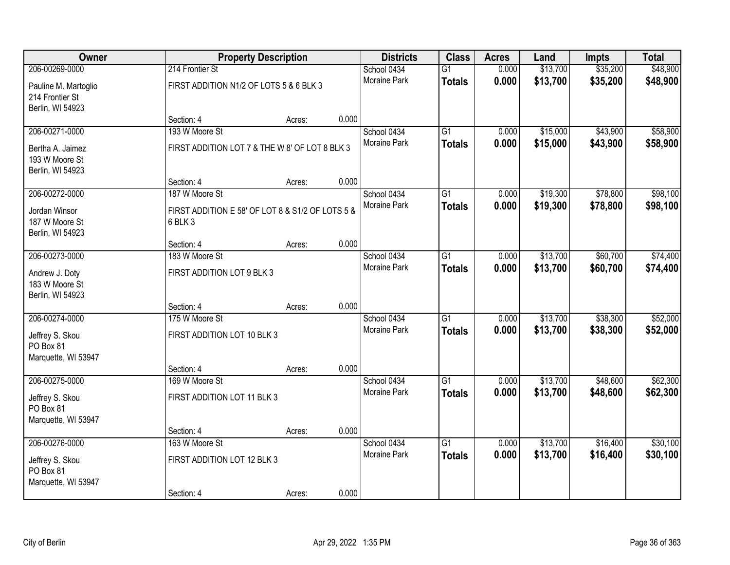| Owner                | <b>Property Description</b>                      |        |       | <b>Districts</b>            | <b>Class</b>    | <b>Acres</b>   | Land     | <b>Impts</b> | <b>Total</b> |
|----------------------|--------------------------------------------------|--------|-------|-----------------------------|-----------------|----------------|----------|--------------|--------------|
| 206-00269-0000       | 214 Frontier St                                  |        |       | School 0434                 | $\overline{G1}$ | 0.000          | \$13,700 | \$35,200     | \$48,900     |
| Pauline M. Martoglio | FIRST ADDITION N1/2 OF LOTS 5 & 6 BLK 3          |        |       | Moraine Park                | <b>Totals</b>   | 0.000          | \$13,700 | \$35,200     | \$48,900     |
| 214 Frontier St      |                                                  |        |       |                             |                 |                |          |              |              |
| Berlin, WI 54923     |                                                  |        |       |                             |                 |                |          |              |              |
|                      | Section: 4                                       | Acres: | 0.000 |                             |                 |                |          |              |              |
| 206-00271-0000       | 193 W Moore St                                   |        |       | School 0434                 | $\overline{G1}$ | 0.000          | \$15,000 | \$43,900     | \$58,900     |
| Bertha A. Jaimez     | FIRST ADDITION LOT 7 & THE W 8' OF LOT 8 BLK 3   |        |       | Moraine Park                | <b>Totals</b>   | 0.000          | \$15,000 | \$43,900     | \$58,900     |
| 193 W Moore St       |                                                  |        |       |                             |                 |                |          |              |              |
| Berlin, WI 54923     |                                                  |        |       |                             |                 |                |          |              |              |
|                      | Section: 4                                       | Acres: | 0.000 |                             |                 |                |          |              |              |
| 206-00272-0000       | 187 W Moore St                                   |        |       | School 0434<br>Moraine Park | G1              | 0.000          | \$19,300 | \$78,800     | \$98,100     |
| Jordan Winsor        | FIRST ADDITION E 58' OF LOT 8 & S1/2 OF LOTS 5 & |        |       |                             | <b>Totals</b>   | 0.000          | \$19,300 | \$78,800     | \$98,100     |
| 187 W Moore St       | 6 BLK 3                                          |        |       |                             |                 |                |          |              |              |
| Berlin, WI 54923     |                                                  |        |       |                             |                 |                |          |              |              |
| 206-00273-0000       | Section: 4<br>183 W Moore St                     | Acres: | 0.000 |                             | G1              |                | \$13,700 | \$60,700     |              |
|                      |                                                  |        |       | School 0434<br>Moraine Park |                 | 0.000<br>0.000 |          |              | \$74,400     |
| Andrew J. Doty       | FIRST ADDITION LOT 9 BLK 3                       |        |       |                             | <b>Totals</b>   |                | \$13,700 | \$60,700     | \$74,400     |
| 183 W Moore St       |                                                  |        |       |                             |                 |                |          |              |              |
| Berlin, WI 54923     |                                                  |        |       |                             |                 |                |          |              |              |
| 206-00274-0000       | Section: 4<br>175 W Moore St                     | Acres: | 0.000 |                             | $\overline{G1}$ | 0.000          | \$13,700 | \$38,300     | \$52,000     |
|                      |                                                  |        |       | School 0434<br>Moraine Park |                 | 0.000          |          |              |              |
| Jeffrey S. Skou      | FIRST ADDITION LOT 10 BLK 3                      |        |       |                             | <b>Totals</b>   |                | \$13,700 | \$38,300     | \$52,000     |
| PO Box 81            |                                                  |        |       |                             |                 |                |          |              |              |
| Marquette, WI 53947  |                                                  |        |       |                             |                 |                |          |              |              |
| 206-00275-0000       | Section: 4<br>169 W Moore St                     | Acres: | 0.000 | School 0434                 | $\overline{G1}$ | 0.000          | \$13,700 | \$48,600     | \$62,300     |
|                      |                                                  |        |       | Moraine Park                | <b>Totals</b>   | 0.000          | \$13,700 | \$48,600     | \$62,300     |
| Jeffrey S. Skou      | FIRST ADDITION LOT 11 BLK 3                      |        |       |                             |                 |                |          |              |              |
| PO Box 81            |                                                  |        |       |                             |                 |                |          |              |              |
| Marquette, WI 53947  | Section: 4                                       |        | 0.000 |                             |                 |                |          |              |              |
| 206-00276-0000       | 163 W Moore St                                   | Acres: |       | School 0434                 | $\overline{G1}$ | 0.000          | \$13,700 | \$16,400     | \$30,100     |
|                      |                                                  |        |       | <b>Moraine Park</b>         | <b>Totals</b>   | 0.000          | \$13,700 | \$16,400     | \$30,100     |
| Jeffrey S. Skou      | FIRST ADDITION LOT 12 BLK 3                      |        |       |                             |                 |                |          |              |              |
| PO Box 81            |                                                  |        |       |                             |                 |                |          |              |              |
| Marquette, WI 53947  |                                                  |        |       |                             |                 |                |          |              |              |
|                      | Section: 4                                       | Acres: | 0.000 |                             |                 |                |          |              |              |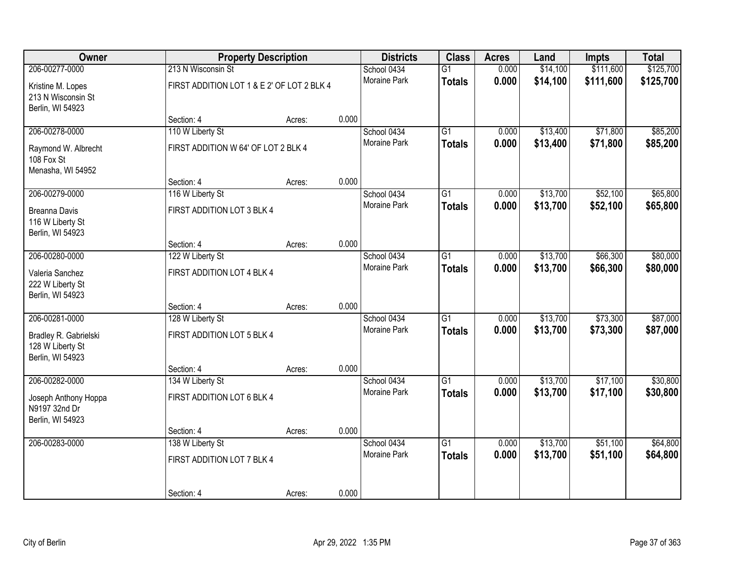| Owner                                                         | <b>Property Description</b>                |        |       | <b>Districts</b>    | <b>Class</b>    | <b>Acres</b> | Land     | <b>Impts</b> | <b>Total</b> |
|---------------------------------------------------------------|--------------------------------------------|--------|-------|---------------------|-----------------|--------------|----------|--------------|--------------|
| 206-00277-0000                                                | 213 N Wisconsin St                         |        |       | School 0434         | $\overline{G1}$ | 0.000        | \$14,100 | \$111,600    | \$125,700    |
| Kristine M. Lopes<br>213 N Wisconsin St<br>Berlin, WI 54923   | FIRST ADDITION LOT 1 & E 2' OF LOT 2 BLK 4 |        |       | <b>Moraine Park</b> | <b>Totals</b>   | 0.000        | \$14,100 | \$111,600    | \$125,700    |
|                                                               | Section: 4                                 | Acres: | 0.000 |                     |                 |              |          |              |              |
| 206-00278-0000                                                | 110 W Liberty St                           |        |       | School 0434         | $\overline{G1}$ | 0.000        | \$13,400 | \$71,800     | \$85,200     |
| Raymond W. Albrecht<br>108 Fox St<br>Menasha, WI 54952        | FIRST ADDITION W 64' OF LOT 2 BLK 4        |        |       | Moraine Park        | <b>Totals</b>   | 0.000        | \$13,400 | \$71,800     | \$85,200     |
|                                                               | Section: 4                                 | Acres: | 0.000 |                     |                 |              |          |              |              |
| 206-00279-0000                                                | 116 W Liberty St                           |        |       | School 0434         | $\overline{G1}$ | 0.000        | \$13,700 | \$52,100     | \$65,800     |
| <b>Breanna Davis</b><br>116 W Liberty St<br>Berlin, WI 54923  | FIRST ADDITION LOT 3 BLK 4                 |        |       | Moraine Park        | <b>Totals</b>   | 0.000        | \$13,700 | \$52,100     | \$65,800     |
|                                                               | Section: 4                                 | Acres: | 0.000 |                     |                 |              |          |              |              |
| 206-00280-0000                                                | 122 W Liberty St                           |        |       | School 0434         | $\overline{G1}$ | 0.000        | \$13,700 | \$66,300     | \$80,000     |
| Valeria Sanchez<br>222 W Liberty St<br>Berlin, WI 54923       | FIRST ADDITION LOT 4 BLK 4                 |        |       | Moraine Park        | <b>Totals</b>   | 0.000        | \$13,700 | \$66,300     | \$80,000     |
|                                                               | Section: 4                                 | Acres: | 0.000 |                     |                 |              |          |              |              |
| 206-00281-0000                                                | 128 W Liberty St                           |        |       | School 0434         | $\overline{G1}$ | 0.000        | \$13,700 | \$73,300     | \$87,000     |
| Bradley R. Gabrielski<br>128 W Liberty St<br>Berlin, WI 54923 | FIRST ADDITION LOT 5 BLK 4                 |        |       | Moraine Park        | <b>Totals</b>   | 0.000        | \$13,700 | \$73,300     | \$87,000     |
|                                                               | Section: 4                                 | Acres: | 0.000 |                     |                 |              |          |              |              |
| 206-00282-0000                                                | 134 W Liberty St                           |        |       | School 0434         | $\overline{G1}$ | 0.000        | \$13,700 | \$17,100     | \$30,800     |
| Joseph Anthony Hoppa<br>N9197 32nd Dr<br>Berlin, WI 54923     | FIRST ADDITION LOT 6 BLK 4                 |        |       | Moraine Park        | <b>Totals</b>   | 0.000        | \$13,700 | \$17,100     | \$30,800     |
|                                                               | Section: 4                                 | Acres: | 0.000 |                     |                 |              |          |              |              |
| 206-00283-0000                                                | 138 W Liberty St                           |        |       | School 0434         | $\overline{G1}$ | 0.000        | \$13,700 | \$51,100     | \$64,800     |
|                                                               | FIRST ADDITION LOT 7 BLK 4                 |        |       | <b>Moraine Park</b> | <b>Totals</b>   | 0.000        | \$13,700 | \$51,100     | \$64,800     |
|                                                               | Section: 4                                 | Acres: | 0.000 |                     |                 |              |          |              |              |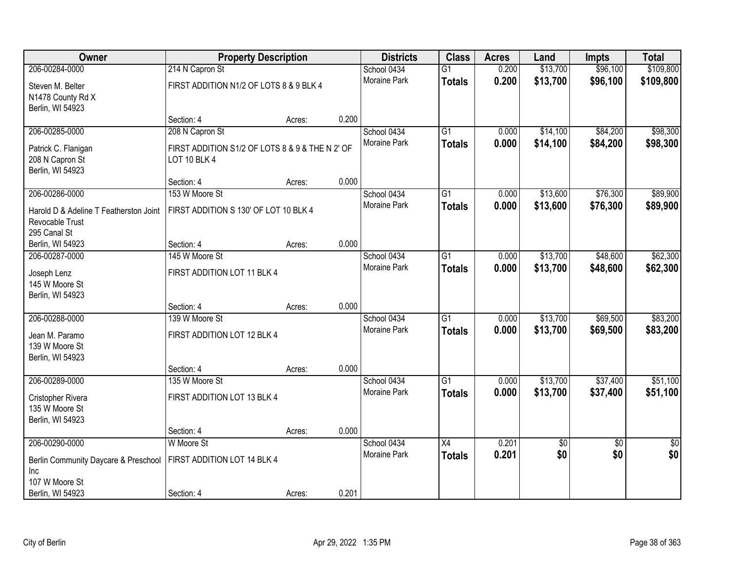| \$109,800<br>206-00284-0000<br>0.200<br>\$13,700<br>\$96,100<br>214 N Capron St<br>School 0434<br>$\overline{G1}$<br>Moraine Park<br>0.200<br>\$13,700<br>\$96,100<br>\$109,800<br><b>Totals</b><br>FIRST ADDITION N1/2 OF LOTS 8 & 9 BLK 4<br>Steven M. Belter<br>N1478 County Rd X<br>Berlin, WI 54923<br>0.200<br>Section: 4<br>Acres:<br>\$84,200<br>\$98,300<br>206-00285-0000<br>208 N Capron St<br>School 0434<br>$\overline{G1}$<br>\$14,100<br>0.000<br>Moraine Park<br>0.000<br>\$14,100<br>\$84,200<br><b>Totals</b><br>FIRST ADDITION S1/2 OF LOTS 8 & 9 & THE N 2' OF<br>Patrick C. Flanigan<br>LOT 10 BLK 4<br>208 N Capron St<br>Berlin, WI 54923<br>0.000<br>Section: 4<br>Acres:<br>206-00286-0000<br>$\overline{G1}$<br>\$13,600<br>\$76,300<br>153 W Moore St<br>School 0434<br>0.000<br>Moraine Park<br>0.000<br>\$13,600<br>\$76,300<br><b>Totals</b><br>FIRST ADDITION S 130' OF LOT 10 BLK 4<br>Harold D & Adeline T Featherston Joint<br>Revocable Trust<br>295 Canal St<br>0.000<br>Berlin, WI 54923<br>Section: 4<br>Acres:<br>\$13,700<br>\$48,600<br>206-00287-0000<br>145 W Moore St<br>School 0434<br>G1<br>0.000<br><b>Moraine Park</b><br>0.000<br>\$13,700<br>\$48,600<br><b>Totals</b><br>FIRST ADDITION LOT 11 BLK 4<br>Joseph Lenz<br>145 W Moore St<br>Berlin, WI 54923<br>0.000<br>Section: 4<br>Acres:<br>206-00288-0000<br>139 W Moore St<br>$\overline{G1}$<br>0.000<br>\$13,700<br>\$69,500<br>School 0434<br>Moraine Park<br>0.000<br>\$13,700<br>\$69,500<br><b>Totals</b><br>FIRST ADDITION LOT 12 BLK 4<br>Jean M. Paramo | Owner          | <b>Property Description</b> |  | <b>Districts</b> | <b>Class</b> | <b>Acres</b> | Land | <b>Impts</b> | <b>Total</b> |
|-------------------------------------------------------------------------------------------------------------------------------------------------------------------------------------------------------------------------------------------------------------------------------------------------------------------------------------------------------------------------------------------------------------------------------------------------------------------------------------------------------------------------------------------------------------------------------------------------------------------------------------------------------------------------------------------------------------------------------------------------------------------------------------------------------------------------------------------------------------------------------------------------------------------------------------------------------------------------------------------------------------------------------------------------------------------------------------------------------------------------------------------------------------------------------------------------------------------------------------------------------------------------------------------------------------------------------------------------------------------------------------------------------------------------------------------------------------------------------------------------------------------------------------------------------------------------|----------------|-----------------------------|--|------------------|--------------|--------------|------|--------------|--------------|
|                                                                                                                                                                                                                                                                                                                                                                                                                                                                                                                                                                                                                                                                                                                                                                                                                                                                                                                                                                                                                                                                                                                                                                                                                                                                                                                                                                                                                                                                                                                                                                         |                |                             |  |                  |              |              |      |              |              |
|                                                                                                                                                                                                                                                                                                                                                                                                                                                                                                                                                                                                                                                                                                                                                                                                                                                                                                                                                                                                                                                                                                                                                                                                                                                                                                                                                                                                                                                                                                                                                                         |                |                             |  |                  |              |              |      |              |              |
|                                                                                                                                                                                                                                                                                                                                                                                                                                                                                                                                                                                                                                                                                                                                                                                                                                                                                                                                                                                                                                                                                                                                                                                                                                                                                                                                                                                                                                                                                                                                                                         |                |                             |  |                  |              |              |      |              |              |
|                                                                                                                                                                                                                                                                                                                                                                                                                                                                                                                                                                                                                                                                                                                                                                                                                                                                                                                                                                                                                                                                                                                                                                                                                                                                                                                                                                                                                                                                                                                                                                         |                |                             |  |                  |              |              |      |              |              |
| \$98,300<br>\$89,900<br>\$89,900<br>\$62,300<br>\$62,300<br>\$83,200<br>\$83,200                                                                                                                                                                                                                                                                                                                                                                                                                                                                                                                                                                                                                                                                                                                                                                                                                                                                                                                                                                                                                                                                                                                                                                                                                                                                                                                                                                                                                                                                                        |                |                             |  |                  |              |              |      |              |              |
|                                                                                                                                                                                                                                                                                                                                                                                                                                                                                                                                                                                                                                                                                                                                                                                                                                                                                                                                                                                                                                                                                                                                                                                                                                                                                                                                                                                                                                                                                                                                                                         |                |                             |  |                  |              |              |      |              |              |
|                                                                                                                                                                                                                                                                                                                                                                                                                                                                                                                                                                                                                                                                                                                                                                                                                                                                                                                                                                                                                                                                                                                                                                                                                                                                                                                                                                                                                                                                                                                                                                         |                |                             |  |                  |              |              |      |              |              |
|                                                                                                                                                                                                                                                                                                                                                                                                                                                                                                                                                                                                                                                                                                                                                                                                                                                                                                                                                                                                                                                                                                                                                                                                                                                                                                                                                                                                                                                                                                                                                                         |                |                             |  |                  |              |              |      |              |              |
|                                                                                                                                                                                                                                                                                                                                                                                                                                                                                                                                                                                                                                                                                                                                                                                                                                                                                                                                                                                                                                                                                                                                                                                                                                                                                                                                                                                                                                                                                                                                                                         |                |                             |  |                  |              |              |      |              |              |
|                                                                                                                                                                                                                                                                                                                                                                                                                                                                                                                                                                                                                                                                                                                                                                                                                                                                                                                                                                                                                                                                                                                                                                                                                                                                                                                                                                                                                                                                                                                                                                         |                |                             |  |                  |              |              |      |              |              |
|                                                                                                                                                                                                                                                                                                                                                                                                                                                                                                                                                                                                                                                                                                                                                                                                                                                                                                                                                                                                                                                                                                                                                                                                                                                                                                                                                                                                                                                                                                                                                                         |                |                             |  |                  |              |              |      |              |              |
|                                                                                                                                                                                                                                                                                                                                                                                                                                                                                                                                                                                                                                                                                                                                                                                                                                                                                                                                                                                                                                                                                                                                                                                                                                                                                                                                                                                                                                                                                                                                                                         |                |                             |  |                  |              |              |      |              |              |
|                                                                                                                                                                                                                                                                                                                                                                                                                                                                                                                                                                                                                                                                                                                                                                                                                                                                                                                                                                                                                                                                                                                                                                                                                                                                                                                                                                                                                                                                                                                                                                         |                |                             |  |                  |              |              |      |              |              |
|                                                                                                                                                                                                                                                                                                                                                                                                                                                                                                                                                                                                                                                                                                                                                                                                                                                                                                                                                                                                                                                                                                                                                                                                                                                                                                                                                                                                                                                                                                                                                                         |                |                             |  |                  |              |              |      |              |              |
|                                                                                                                                                                                                                                                                                                                                                                                                                                                                                                                                                                                                                                                                                                                                                                                                                                                                                                                                                                                                                                                                                                                                                                                                                                                                                                                                                                                                                                                                                                                                                                         |                |                             |  |                  |              |              |      |              |              |
|                                                                                                                                                                                                                                                                                                                                                                                                                                                                                                                                                                                                                                                                                                                                                                                                                                                                                                                                                                                                                                                                                                                                                                                                                                                                                                                                                                                                                                                                                                                                                                         |                |                             |  |                  |              |              |      |              |              |
|                                                                                                                                                                                                                                                                                                                                                                                                                                                                                                                                                                                                                                                                                                                                                                                                                                                                                                                                                                                                                                                                                                                                                                                                                                                                                                                                                                                                                                                                                                                                                                         |                |                             |  |                  |              |              |      |              |              |
|                                                                                                                                                                                                                                                                                                                                                                                                                                                                                                                                                                                                                                                                                                                                                                                                                                                                                                                                                                                                                                                                                                                                                                                                                                                                                                                                                                                                                                                                                                                                                                         |                |                             |  |                  |              |              |      |              |              |
|                                                                                                                                                                                                                                                                                                                                                                                                                                                                                                                                                                                                                                                                                                                                                                                                                                                                                                                                                                                                                                                                                                                                                                                                                                                                                                                                                                                                                                                                                                                                                                         |                |                             |  |                  |              |              |      |              |              |
|                                                                                                                                                                                                                                                                                                                                                                                                                                                                                                                                                                                                                                                                                                                                                                                                                                                                                                                                                                                                                                                                                                                                                                                                                                                                                                                                                                                                                                                                                                                                                                         |                |                             |  |                  |              |              |      |              |              |
|                                                                                                                                                                                                                                                                                                                                                                                                                                                                                                                                                                                                                                                                                                                                                                                                                                                                                                                                                                                                                                                                                                                                                                                                                                                                                                                                                                                                                                                                                                                                                                         |                |                             |  |                  |              |              |      |              |              |
|                                                                                                                                                                                                                                                                                                                                                                                                                                                                                                                                                                                                                                                                                                                                                                                                                                                                                                                                                                                                                                                                                                                                                                                                                                                                                                                                                                                                                                                                                                                                                                         |                |                             |  |                  |              |              |      |              |              |
|                                                                                                                                                                                                                                                                                                                                                                                                                                                                                                                                                                                                                                                                                                                                                                                                                                                                                                                                                                                                                                                                                                                                                                                                                                                                                                                                                                                                                                                                                                                                                                         | 139 W Moore St |                             |  |                  |              |              |      |              |              |
| Berlin, WI 54923                                                                                                                                                                                                                                                                                                                                                                                                                                                                                                                                                                                                                                                                                                                                                                                                                                                                                                                                                                                                                                                                                                                                                                                                                                                                                                                                                                                                                                                                                                                                                        |                |                             |  |                  |              |              |      |              |              |
| 0.000<br>Section: 4<br>Acres:<br>\$37,400<br>206-00289-0000<br>135 W Moore St<br>School 0434<br>$\overline{G1}$<br>\$13,700<br>\$51,100<br>0.000                                                                                                                                                                                                                                                                                                                                                                                                                                                                                                                                                                                                                                                                                                                                                                                                                                                                                                                                                                                                                                                                                                                                                                                                                                                                                                                                                                                                                        |                |                             |  |                  |              |              |      |              |              |
| Moraine Park<br>0.000<br>\$13,700<br>\$37,400<br>\$51,100<br><b>Totals</b>                                                                                                                                                                                                                                                                                                                                                                                                                                                                                                                                                                                                                                                                                                                                                                                                                                                                                                                                                                                                                                                                                                                                                                                                                                                                                                                                                                                                                                                                                              |                |                             |  |                  |              |              |      |              |              |
| FIRST ADDITION LOT 13 BLK 4<br>Cristopher Rivera                                                                                                                                                                                                                                                                                                                                                                                                                                                                                                                                                                                                                                                                                                                                                                                                                                                                                                                                                                                                                                                                                                                                                                                                                                                                                                                                                                                                                                                                                                                        |                |                             |  |                  |              |              |      |              |              |
| 135 W Moore St                                                                                                                                                                                                                                                                                                                                                                                                                                                                                                                                                                                                                                                                                                                                                                                                                                                                                                                                                                                                                                                                                                                                                                                                                                                                                                                                                                                                                                                                                                                                                          |                |                             |  |                  |              |              |      |              |              |
| Berlin, WI 54923<br>0.000<br>Section: 4                                                                                                                                                                                                                                                                                                                                                                                                                                                                                                                                                                                                                                                                                                                                                                                                                                                                                                                                                                                                                                                                                                                                                                                                                                                                                                                                                                                                                                                                                                                                 |                |                             |  |                  |              |              |      |              |              |
| Acres:<br>206-00290-0000<br>W Moore St<br>$\overline{X4}$<br>0.201<br>$\overline{30}$<br>School 0434<br>\$0<br>$\overline{50}$                                                                                                                                                                                                                                                                                                                                                                                                                                                                                                                                                                                                                                                                                                                                                                                                                                                                                                                                                                                                                                                                                                                                                                                                                                                                                                                                                                                                                                          |                |                             |  |                  |              |              |      |              |              |
| \$0<br>\$0<br>0.201<br>\$0<br><b>Moraine Park</b><br><b>Totals</b>                                                                                                                                                                                                                                                                                                                                                                                                                                                                                                                                                                                                                                                                                                                                                                                                                                                                                                                                                                                                                                                                                                                                                                                                                                                                                                                                                                                                                                                                                                      |                |                             |  |                  |              |              |      |              |              |
| FIRST ADDITION LOT 14 BLK 4<br>Berlin Community Daycare & Preschool                                                                                                                                                                                                                                                                                                                                                                                                                                                                                                                                                                                                                                                                                                                                                                                                                                                                                                                                                                                                                                                                                                                                                                                                                                                                                                                                                                                                                                                                                                     |                |                             |  |                  |              |              |      |              |              |
| Inc.<br>107 W Moore St                                                                                                                                                                                                                                                                                                                                                                                                                                                                                                                                                                                                                                                                                                                                                                                                                                                                                                                                                                                                                                                                                                                                                                                                                                                                                                                                                                                                                                                                                                                                                  |                |                             |  |                  |              |              |      |              |              |
| 0.201<br>Berlin, WI 54923<br>Section: 4<br>Acres:                                                                                                                                                                                                                                                                                                                                                                                                                                                                                                                                                                                                                                                                                                                                                                                                                                                                                                                                                                                                                                                                                                                                                                                                                                                                                                                                                                                                                                                                                                                       |                |                             |  |                  |              |              |      |              |              |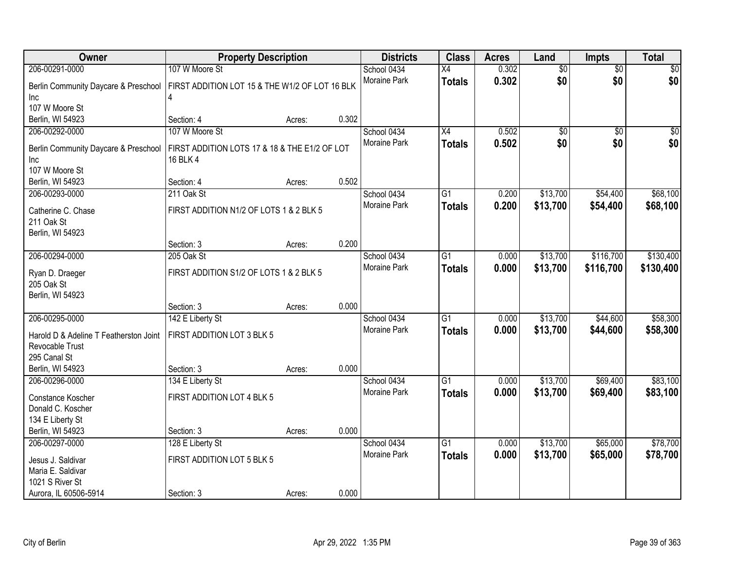| Owner                                  | <b>Property Description</b>                    |        |       | <b>Districts</b>            | <b>Class</b>    | <b>Acres</b> | Land            | Impts           | <b>Total</b> |
|----------------------------------------|------------------------------------------------|--------|-------|-----------------------------|-----------------|--------------|-----------------|-----------------|--------------|
| 206-00291-0000                         | 107 W Moore St                                 |        |       | School 0434                 | $\overline{X4}$ | 0.302        | $\overline{60}$ | $\overline{50}$ | \$0          |
| Berlin Community Daycare & Preschool   | FIRST ADDITION LOT 15 & THE W1/2 OF LOT 16 BLK |        |       | Moraine Park                | <b>Totals</b>   | 0.302        | \$0             | \$0             | \$0          |
| Inc                                    | 4                                              |        |       |                             |                 |              |                 |                 |              |
| 107 W Moore St                         |                                                |        |       |                             |                 |              |                 |                 |              |
| Berlin, WI 54923                       | Section: 4                                     | Acres: | 0.302 |                             |                 |              |                 |                 |              |
| 206-00292-0000                         | 107 W Moore St                                 |        |       | School 0434                 | $\overline{X4}$ | 0.502        | $\overline{50}$ | $\overline{50}$ | \$0          |
| Berlin Community Daycare & Preschool   | FIRST ADDITION LOTS 17 & 18 & THE E1/2 OF LOT  |        |       | Moraine Park                | <b>Totals</b>   | 0.502        | \$0             | \$0             | \$0          |
| Inc                                    | 16 BLK 4                                       |        |       |                             |                 |              |                 |                 |              |
| 107 W Moore St                         |                                                |        |       |                             |                 |              |                 |                 |              |
| Berlin, WI 54923                       | Section: 4                                     | Acres: | 0.502 |                             |                 |              |                 |                 |              |
| 206-00293-0000                         | 211 Oak St                                     |        |       | School 0434                 | $\overline{G1}$ | 0.200        | \$13,700        | \$54,400        | \$68,100     |
|                                        |                                                |        |       | Moraine Park                | <b>Totals</b>   | 0.200        | \$13,700        | \$54,400        | \$68,100     |
| Catherine C. Chase<br>211 Oak St       | FIRST ADDITION N1/2 OF LOTS 1 & 2 BLK 5        |        |       |                             |                 |              |                 |                 |              |
| Berlin, WI 54923                       |                                                |        |       |                             |                 |              |                 |                 |              |
|                                        | Section: 3                                     | Acres: | 0.200 |                             |                 |              |                 |                 |              |
| 206-00294-0000                         | 205 Oak St                                     |        |       | School 0434                 | $\overline{G1}$ | 0.000        | \$13,700        | \$116,700       | \$130,400    |
|                                        |                                                |        |       | <b>Moraine Park</b>         | <b>Totals</b>   | 0.000        | \$13,700        | \$116,700       | \$130,400    |
| Ryan D. Draeger                        | FIRST ADDITION S1/2 OF LOTS 1 & 2 BLK 5        |        |       |                             |                 |              |                 |                 |              |
| 205 Oak St                             |                                                |        |       |                             |                 |              |                 |                 |              |
| Berlin, WI 54923                       | Section: 3                                     | Acres: | 0.000 |                             |                 |              |                 |                 |              |
| 206-00295-0000                         | 142 E Liberty St                               |        |       | School 0434                 | $\overline{G1}$ | 0.000        | \$13,700        | \$44,600        | \$58,300     |
|                                        |                                                |        |       | Moraine Park                | <b>Totals</b>   | 0.000        | \$13,700        | \$44,600        | \$58,300     |
| Harold D & Adeline T Featherston Joint | FIRST ADDITION LOT 3 BLK 5                     |        |       |                             |                 |              |                 |                 |              |
| Revocable Trust                        |                                                |        |       |                             |                 |              |                 |                 |              |
| 295 Canal St                           |                                                |        |       |                             |                 |              |                 |                 |              |
| Berlin, WI 54923                       | Section: 3                                     | Acres: | 0.000 |                             |                 |              |                 |                 |              |
| 206-00296-0000                         | 134 E Liberty St                               |        |       | School 0434<br>Moraine Park | $\overline{G1}$ | 0.000        | \$13,700        | \$69,400        | \$83,100     |
| Constance Koscher                      | FIRST ADDITION LOT 4 BLK 5                     |        |       |                             | <b>Totals</b>   | 0.000        | \$13,700        | \$69,400        | \$83,100     |
| Donald C. Koscher                      |                                                |        |       |                             |                 |              |                 |                 |              |
| 134 E Liberty St                       |                                                |        |       |                             |                 |              |                 |                 |              |
| Berlin, WI 54923                       | Section: 3                                     | Acres: | 0.000 |                             |                 |              |                 |                 |              |
| 206-00297-0000                         | 128 E Liberty St                               |        |       | School 0434                 | $\overline{G1}$ | 0.000        | \$13,700        | \$65,000        | \$78,700     |
| Jesus J. Saldivar                      | FIRST ADDITION LOT 5 BLK 5                     |        |       | <b>Moraine Park</b>         | <b>Totals</b>   | 0.000        | \$13,700        | \$65,000        | \$78,700     |
| Maria E. Saldivar                      |                                                |        |       |                             |                 |              |                 |                 |              |
| 1021 S River St                        |                                                |        |       |                             |                 |              |                 |                 |              |
| Aurora, IL 60506-5914                  | Section: 3                                     | Acres: | 0.000 |                             |                 |              |                 |                 |              |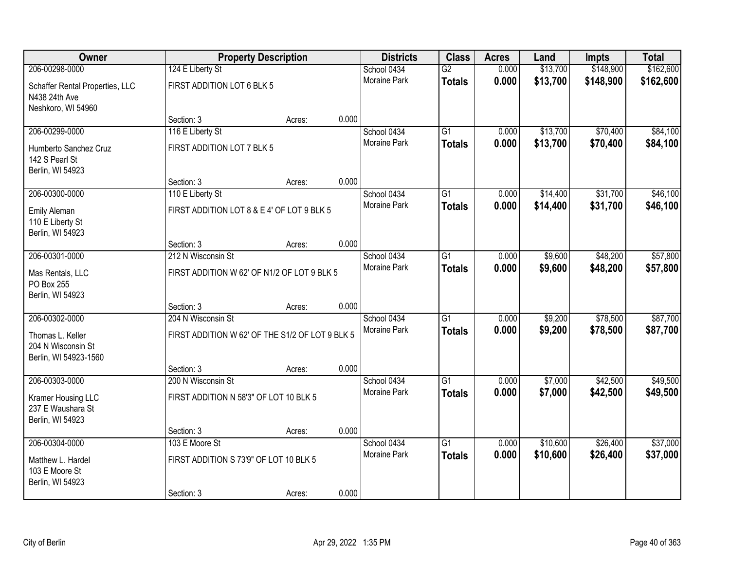| Owner                                                           |                                                 | <b>Property Description</b> |       | <b>Districts</b>    | <b>Class</b>    | <b>Acres</b> | Land     | <b>Impts</b> | <b>Total</b> |
|-----------------------------------------------------------------|-------------------------------------------------|-----------------------------|-------|---------------------|-----------------|--------------|----------|--------------|--------------|
| 206-00298-0000                                                  | 124 E Liberty St                                |                             |       | School 0434         | $\overline{G2}$ | 0.000        | \$13,700 | \$148,900    | \$162,600    |
| Schaffer Rental Properties, LLC<br>N438 24th Ave                | FIRST ADDITION LOT 6 BLK 5                      |                             |       | <b>Moraine Park</b> | <b>Totals</b>   | 0.000        | \$13,700 | \$148,900    | \$162,600    |
| Neshkoro, WI 54960                                              |                                                 |                             | 0.000 |                     |                 |              |          |              |              |
| 206-00299-0000                                                  | Section: 3<br>116 E Liberty St                  | Acres:                      |       | School 0434         | $\overline{G1}$ | 0.000        | \$13,700 | \$70,400     | \$84,100     |
|                                                                 |                                                 |                             |       | Moraine Park        |                 | 0.000        | \$13,700 | \$70,400     | \$84,100     |
| Humberto Sanchez Cruz<br>142 S Pearl St<br>Berlin, WI 54923     | FIRST ADDITION LOT 7 BLK 5                      |                             |       |                     | <b>Totals</b>   |              |          |              |              |
|                                                                 | Section: 3                                      | Acres:                      | 0.000 |                     |                 |              |          |              |              |
| 206-00300-0000                                                  | 110 E Liberty St                                |                             |       | School 0434         | $\overline{G1}$ | 0.000        | \$14,400 | \$31,700     | \$46,100     |
| Emily Aleman<br>110 E Liberty St<br>Berlin, WI 54923            | FIRST ADDITION LOT 8 & E 4' OF LOT 9 BLK 5      |                             |       | Moraine Park        | <b>Totals</b>   | 0.000        | \$14,400 | \$31,700     | \$46,100     |
|                                                                 | Section: 3                                      | Acres:                      | 0.000 |                     |                 |              |          |              |              |
| 206-00301-0000                                                  | 212 N Wisconsin St                              |                             |       | School 0434         | $\overline{G1}$ | 0.000        | \$9,600  | \$48,200     | \$57,800     |
| Mas Rentals, LLC<br>PO Box 255<br>Berlin, WI 54923              | FIRST ADDITION W 62' OF N1/2 OF LOT 9 BLK 5     |                             |       | Moraine Park        | <b>Totals</b>   | 0.000        | \$9,600  | \$48,200     | \$57,800     |
|                                                                 | Section: 3                                      | Acres:                      | 0.000 |                     |                 |              |          |              |              |
| 206-00302-0000                                                  | 204 N Wisconsin St                              |                             |       | School 0434         | $\overline{G1}$ | 0.000        | \$9,200  | \$78,500     | \$87,700     |
|                                                                 |                                                 |                             |       | Moraine Park        | <b>Totals</b>   | 0.000        | \$9,200  | \$78,500     | \$87,700     |
| Thomas L. Keller<br>204 N Wisconsin St<br>Berlin, WI 54923-1560 | FIRST ADDITION W 62' OF THE S1/2 OF LOT 9 BLK 5 |                             |       |                     |                 |              |          |              |              |
|                                                                 | Section: 3                                      | Acres:                      | 0.000 |                     |                 |              |          |              |              |
| 206-00303-0000                                                  | 200 N Wisconsin St                              |                             |       | School 0434         | $\overline{G1}$ | 0.000        | \$7,000  | \$42,500     | \$49,500     |
| Kramer Housing LLC<br>237 E Waushara St<br>Berlin, WI 54923     | FIRST ADDITION N 58'3" OF LOT 10 BLK 5          |                             |       | Moraine Park        | <b>Totals</b>   | 0.000        | \$7,000  | \$42,500     | \$49,500     |
|                                                                 | Section: 3                                      | Acres:                      | 0.000 |                     |                 |              |          |              |              |
| 206-00304-0000                                                  | 103 E Moore St                                  |                             |       | School 0434         | $\overline{G1}$ | 0.000        | \$10,600 | \$26,400     | \$37,000     |
| Matthew L. Hardel<br>103 E Moore St<br>Berlin, WI 54923         | FIRST ADDITION S 73'9" OF LOT 10 BLK 5          |                             |       | <b>Moraine Park</b> | <b>Totals</b>   | 0.000        | \$10,600 | \$26,400     | \$37,000     |
|                                                                 | Section: 3                                      | Acres:                      | 0.000 |                     |                 |              |          |              |              |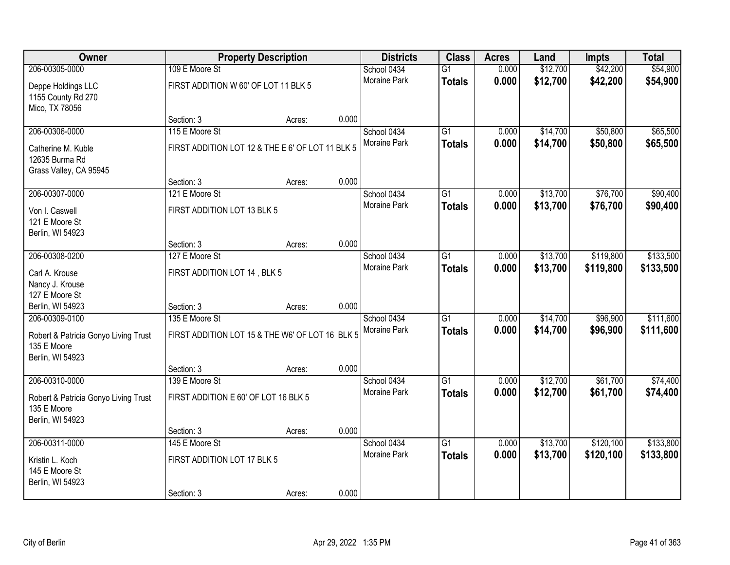| Owner                                                                   |                                                  | <b>Property Description</b> |       | <b>Districts</b>            | <b>Class</b>    | <b>Acres</b>   | Land     | <b>Impts</b> | <b>Total</b> |
|-------------------------------------------------------------------------|--------------------------------------------------|-----------------------------|-------|-----------------------------|-----------------|----------------|----------|--------------|--------------|
| 206-00305-0000                                                          | 109 E Moore St                                   |                             |       | School 0434                 | $\overline{G1}$ | 0.000          | \$12,700 | \$42,200     | \$54,900     |
| Deppe Holdings LLC<br>1155 County Rd 270<br>Mico, TX 78056              | FIRST ADDITION W 60' OF LOT 11 BLK 5             |                             |       | <b>Moraine Park</b>         | <b>Totals</b>   | 0.000          | \$12,700 | \$42,200     | \$54,900     |
|                                                                         | Section: 3                                       | Acres:                      | 0.000 |                             |                 |                |          |              |              |
| 206-00306-0000                                                          | 115 E Moore St                                   |                             |       | School 0434                 | $\overline{G1}$ | 0.000          | \$14,700 | \$50,800     | \$65,500     |
| Catherine M. Kuble<br>12635 Burma Rd<br>Grass Valley, CA 95945          | FIRST ADDITION LOT 12 & THE E 6' OF LOT 11 BLK 5 |                             |       | Moraine Park                | <b>Totals</b>   | 0.000          | \$14,700 | \$50,800     | \$65,500     |
|                                                                         | Section: 3                                       | Acres:                      | 0.000 |                             |                 |                |          |              |              |
| 206-00307-0000                                                          | 121 E Moore St                                   |                             |       | School 0434                 | $\overline{G1}$ | 0.000          | \$13,700 | \$76,700     | \$90,400     |
| Von I. Caswell<br>121 E Moore St<br>Berlin, WI 54923                    | FIRST ADDITION LOT 13 BLK 5                      |                             |       | Moraine Park                | <b>Totals</b>   | 0.000          | \$13,700 | \$76,700     | \$90,400     |
|                                                                         | Section: 3                                       | Acres:                      | 0.000 |                             |                 |                |          |              |              |
| 206-00308-0200                                                          | 127 E Moore St                                   |                             |       | School 0434                 | $\overline{G1}$ | 0.000          | \$13,700 | \$119,800    | \$133,500    |
| Carl A. Krouse<br>Nancy J. Krouse                                       | FIRST ADDITION LOT 14, BLK 5                     |                             |       | Moraine Park                | <b>Totals</b>   | 0.000          | \$13,700 | \$119,800    | \$133,500    |
| 127 E Moore St                                                          |                                                  |                             |       |                             |                 |                |          |              |              |
| Berlin, WI 54923                                                        | Section: 3<br>135 E Moore St                     | Acres:                      | 0.000 |                             | $\overline{G1}$ |                |          |              | \$111,600    |
| 206-00309-0100                                                          |                                                  |                             |       | School 0434<br>Moraine Park |                 | 0.000<br>0.000 | \$14,700 | \$96,900     |              |
| Robert & Patricia Gonyo Living Trust<br>135 E Moore<br>Berlin, WI 54923 | FIRST ADDITION LOT 15 & THE W6' OF LOT 16 BLK 5  |                             |       |                             | <b>Totals</b>   |                | \$14,700 | \$96,900     | \$111,600    |
|                                                                         | Section: 3                                       | Acres:                      | 0.000 |                             |                 |                |          |              |              |
| 206-00310-0000                                                          | 139 E Moore St                                   |                             |       | School 0434                 | $\overline{G1}$ | 0.000          | \$12,700 | \$61,700     | \$74,400     |
| Robert & Patricia Gonyo Living Trust<br>135 E Moore<br>Berlin, WI 54923 | FIRST ADDITION E 60' OF LOT 16 BLK 5             |                             |       | Moraine Park                | <b>Totals</b>   | 0.000          | \$12,700 | \$61,700     | \$74,400     |
|                                                                         | Section: 3                                       | Acres:                      | 0.000 |                             |                 |                |          |              |              |
| 206-00311-0000                                                          | 145 E Moore St                                   |                             |       | School 0434                 | $\overline{G1}$ | 0.000          | \$13,700 | \$120,100    | \$133,800    |
| Kristin L. Koch<br>145 E Moore St<br>Berlin, WI 54923                   | FIRST ADDITION LOT 17 BLK 5                      |                             |       | Moraine Park                | <b>Totals</b>   | 0.000          | \$13,700 | \$120,100    | \$133,800    |
|                                                                         | Section: 3                                       | Acres:                      | 0.000 |                             |                 |                |          |              |              |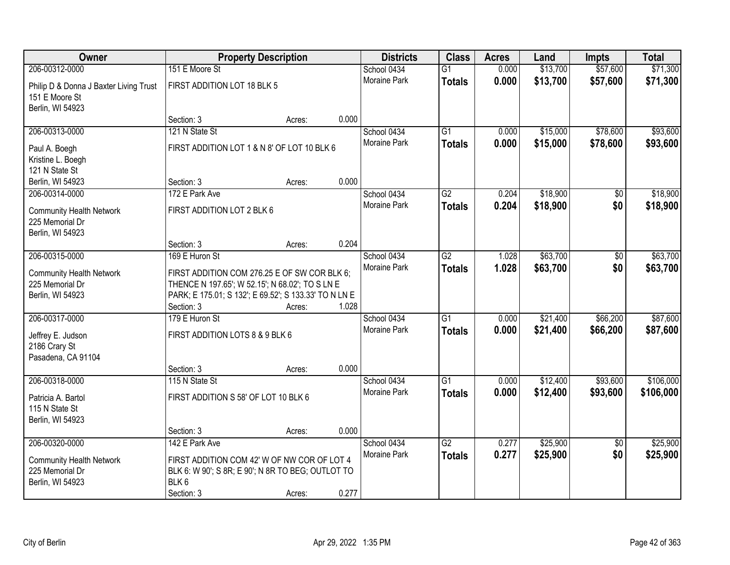| Owner                                                                        |                                                                     | <b>Property Description</b> |       | <b>Districts</b>            | <b>Class</b>    | <b>Acres</b> | Land     | <b>Impts</b>    | <b>Total</b> |
|------------------------------------------------------------------------------|---------------------------------------------------------------------|-----------------------------|-------|-----------------------------|-----------------|--------------|----------|-----------------|--------------|
| 206-00312-0000                                                               | 151 E Moore St                                                      |                             |       | School 0434                 | $\overline{G1}$ | 0.000        | \$13,700 | \$57,600        | \$71,300     |
| Philip D & Donna J Baxter Living Trust<br>151 E Moore St<br>Berlin, WI 54923 | FIRST ADDITION LOT 18 BLK 5                                         |                             |       | Moraine Park                | <b>Totals</b>   | 0.000        | \$13,700 | \$57,600        | \$71,300     |
|                                                                              | Section: 3                                                          | Acres:                      | 0.000 |                             |                 |              |          |                 |              |
| 206-00313-0000                                                               | 121 N State St                                                      |                             |       | School 0434                 | G1              | 0.000        | \$15,000 | \$78,600        | \$93,600     |
|                                                                              |                                                                     |                             |       | Moraine Park                | <b>Totals</b>   | 0.000        | \$15,000 | \$78,600        | \$93,600     |
| Paul A. Boegh                                                                | FIRST ADDITION LOT 1 & N 8' OF LOT 10 BLK 6                         |                             |       |                             |                 |              |          |                 |              |
| Kristine L. Boegh<br>121 N State St                                          |                                                                     |                             |       |                             |                 |              |          |                 |              |
| Berlin, WI 54923                                                             | Section: 3                                                          | Acres:                      | 0.000 |                             |                 |              |          |                 |              |
| 206-00314-0000                                                               | 172 E Park Ave                                                      |                             |       | School 0434                 | $\overline{G2}$ | 0.204        | \$18,900 | \$0             | \$18,900     |
|                                                                              |                                                                     |                             |       | Moraine Park                | <b>Totals</b>   | 0.204        | \$18,900 | \$0             | \$18,900     |
| <b>Community Health Network</b>                                              | FIRST ADDITION LOT 2 BLK 6                                          |                             |       |                             |                 |              |          |                 |              |
| 225 Memorial Dr<br>Berlin, WI 54923                                          |                                                                     |                             |       |                             |                 |              |          |                 |              |
|                                                                              | Section: 3                                                          | Acres:                      | 0.204 |                             |                 |              |          |                 |              |
| 206-00315-0000                                                               | 169 E Huron St                                                      |                             |       | School 0434                 | $\overline{G2}$ | 1.028        | \$63,700 | \$0             | \$63,700     |
|                                                                              |                                                                     |                             |       | Moraine Park                | <b>Totals</b>   | 1.028        | \$63,700 | \$0             | \$63,700     |
| <b>Community Health Network</b>                                              | FIRST ADDITION COM 276.25 E OF SW COR BLK 6;                        |                             |       |                             |                 |              |          |                 |              |
| 225 Memorial Dr                                                              | THENCE N 197.65'; W 52.15'; N 68.02'; TO S LN E                     |                             |       |                             |                 |              |          |                 |              |
| Berlin, WI 54923                                                             | PARK; E 175.01; S 132'; E 69.52'; S 133.33' TO N LN E<br>Section: 3 | Acres:                      | 1.028 |                             |                 |              |          |                 |              |
| 206-00317-0000                                                               | 179 E Huron St                                                      |                             |       | School 0434                 | $\overline{G1}$ | 0.000        | \$21,400 | \$66,200        | \$87,600     |
|                                                                              |                                                                     |                             |       | Moraine Park                | <b>Totals</b>   | 0.000        | \$21,400 | \$66,200        | \$87,600     |
| Jeffrey E. Judson                                                            | FIRST ADDITION LOTS 8 & 9 BLK 6                                     |                             |       |                             |                 |              |          |                 |              |
| 2186 Crary St                                                                |                                                                     |                             |       |                             |                 |              |          |                 |              |
| Pasadena, CA 91104                                                           |                                                                     |                             | 0.000 |                             |                 |              |          |                 |              |
| 206-00318-0000                                                               | Section: 3<br>115 N State St                                        | Acres:                      |       | School 0434                 | $\overline{G1}$ | 0.000        | \$12,400 | \$93,600        | \$106,000    |
|                                                                              |                                                                     |                             |       | Moraine Park                | <b>Totals</b>   | 0.000        | \$12,400 | \$93,600        | \$106,000    |
| Patricia A. Bartol                                                           | FIRST ADDITION S 58' OF LOT 10 BLK 6                                |                             |       |                             |                 |              |          |                 |              |
| 115 N State St                                                               |                                                                     |                             |       |                             |                 |              |          |                 |              |
| Berlin, WI 54923                                                             |                                                                     |                             |       |                             |                 |              |          |                 |              |
| 206-00320-0000                                                               | Section: 3<br>142 E Park Ave                                        | Acres:                      | 0.000 |                             | $\overline{G2}$ | 0.277        | \$25,900 | $\overline{50}$ | \$25,900     |
|                                                                              |                                                                     |                             |       | School 0434<br>Moraine Park |                 | 0.277        | \$25,900 | \$0             |              |
| <b>Community Health Network</b>                                              | FIRST ADDITION COM 42' W OF NW COR OF LOT 4                         |                             |       |                             | <b>Totals</b>   |              |          |                 | \$25,900     |
| 225 Memorial Dr                                                              | BLK 6: W 90'; S 8R; E 90'; N 8R TO BEG; OUTLOT TO                   |                             |       |                             |                 |              |          |                 |              |
| Berlin, WI 54923                                                             | BLK6                                                                |                             |       |                             |                 |              |          |                 |              |
|                                                                              | Section: 3                                                          | Acres:                      | 0.277 |                             |                 |              |          |                 |              |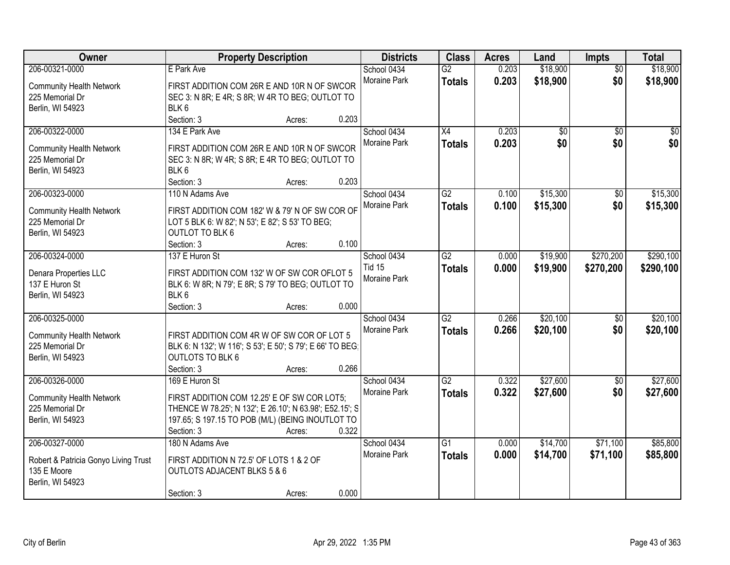| Owner                                              |                                                           | <b>Property Description</b> |       | <b>Districts</b>    | <b>Class</b>    | <b>Acres</b> | Land            | Impts           | <b>Total</b>    |
|----------------------------------------------------|-----------------------------------------------------------|-----------------------------|-------|---------------------|-----------------|--------------|-----------------|-----------------|-----------------|
| 206-00321-0000                                     | E Park Ave                                                |                             |       | School 0434         | G2              | 0.203        | \$18,900        | $\overline{50}$ | \$18,900        |
| <b>Community Health Network</b>                    | FIRST ADDITION COM 26R E AND 10R N OF SWCOR               |                             |       | Moraine Park        | <b>Totals</b>   | 0.203        | \$18,900        | \$0             | \$18,900        |
| 225 Memorial Dr                                    | SEC 3: N 8R; E 4R; S 8R; W 4R TO BEG; OUTLOT TO           |                             |       |                     |                 |              |                 |                 |                 |
| Berlin, WI 54923                                   | BLK <sub>6</sub>                                          |                             |       |                     |                 |              |                 |                 |                 |
|                                                    | Section: 3                                                | Acres:                      | 0.203 |                     |                 |              |                 |                 |                 |
| 206-00322-0000                                     | 134 E Park Ave                                            |                             |       | School 0434         | $\overline{X4}$ | 0.203        | $\overline{60}$ | $\overline{50}$ | $\overline{50}$ |
|                                                    | FIRST ADDITION COM 26R E AND 10R N OF SWCOR               |                             |       | Moraine Park        | <b>Totals</b>   | 0.203        | \$0             | \$0             | \$0             |
| <b>Community Health Network</b><br>225 Memorial Dr | SEC 3: N 8R; W 4R; S 8R; E 4R TO BEG; OUTLOT TO           |                             |       |                     |                 |              |                 |                 |                 |
| Berlin, WI 54923                                   | BLK <sub>6</sub>                                          |                             |       |                     |                 |              |                 |                 |                 |
|                                                    | Section: 3                                                | Acres:                      | 0.203 |                     |                 |              |                 |                 |                 |
| 206-00323-0000                                     | 110 N Adams Ave                                           |                             |       | School 0434         | G2              | 0.100        | \$15,300        | \$0             | \$15,300        |
|                                                    |                                                           |                             |       | Moraine Park        | <b>Totals</b>   | 0.100        | \$15,300        | \$0             | \$15,300        |
| <b>Community Health Network</b>                    | FIRST ADDITION COM 182' W & 79' N OF SW COR OF            |                             |       |                     |                 |              |                 |                 |                 |
| 225 Memorial Dr                                    | LOT 5 BLK 6: W 82'; N 53'; E 82'; S 53' TO BEG;           |                             |       |                     |                 |              |                 |                 |                 |
| Berlin, WI 54923                                   | <b>OUTLOT TO BLK 6</b>                                    |                             |       |                     |                 |              |                 |                 |                 |
|                                                    | Section: 3                                                | Acres:                      | 0.100 |                     |                 |              |                 |                 |                 |
| 206-00324-0000                                     | 137 E Huron St                                            |                             |       | School 0434         | G2              | 0.000        | \$19,900        | \$270,200       | \$290,100       |
| Denara Properties LLC                              | FIRST ADDITION COM 132' W OF SW COR OFLOT 5               |                             |       | <b>Tid 15</b>       | <b>Totals</b>   | 0.000        | \$19,900        | \$270,200       | \$290,100       |
| 137 E Huron St                                     | BLK 6: W 8R; N 79'; E 8R; S 79' TO BEG; OUTLOT TO         |                             |       | Moraine Park        |                 |              |                 |                 |                 |
| Berlin, WI 54923                                   | BLK6                                                      |                             |       |                     |                 |              |                 |                 |                 |
|                                                    | Section: 3                                                | Acres:                      | 0.000 |                     |                 |              |                 |                 |                 |
| 206-00325-0000                                     |                                                           |                             |       | School 0434         | $\overline{G2}$ | 0.266        | \$20,100        | $\overline{50}$ | \$20,100        |
| <b>Community Health Network</b>                    | FIRST ADDITION COM 4R W OF SW COR OF LOT 5                |                             |       | <b>Moraine Park</b> | <b>Totals</b>   | 0.266        | \$20,100        | \$0             | \$20,100        |
| 225 Memorial Dr                                    | BLK 6: N 132'; W 116'; S 53'; E 50'; S 79'; E 66' TO BEG; |                             |       |                     |                 |              |                 |                 |                 |
| Berlin, WI 54923                                   | <b>OUTLOTS TO BLK 6</b>                                   |                             |       |                     |                 |              |                 |                 |                 |
|                                                    | Section: 3                                                | Acres:                      | 0.266 |                     |                 |              |                 |                 |                 |
| 206-00326-0000                                     | 169 E Huron St                                            |                             |       | School 0434         | G2              | 0.322        | \$27,600        | $\sqrt{6}$      | \$27,600        |
|                                                    |                                                           |                             |       | <b>Moraine Park</b> | <b>Totals</b>   | 0.322        | \$27,600        | \$0             | \$27,600        |
| <b>Community Health Network</b>                    | FIRST ADDITION COM 12.25' E OF SW COR LOT5;               |                             |       |                     |                 |              |                 |                 |                 |
| 225 Memorial Dr                                    | THENCE W 78.25'; N 132'; E 26.10'; N 63.98'; E52.15'; S   |                             |       |                     |                 |              |                 |                 |                 |
| Berlin, WI 54923                                   | 197.65; S 197.15 TO POB (M/L) (BEING INOUTLOT TO          |                             |       |                     |                 |              |                 |                 |                 |
|                                                    | Section: 3                                                | Acres:                      | 0.322 |                     |                 |              |                 |                 |                 |
| 206-00327-0000                                     | 180 N Adams Ave                                           |                             |       | School 0434         | $\overline{G1}$ | 0.000        | \$14,700        | \$71,100        | \$85,800        |
| Robert & Patricia Gonyo Living Trust               | FIRST ADDITION N 72.5' OF LOTS 1 & 2 OF                   |                             |       | <b>Moraine Park</b> | <b>Totals</b>   | 0.000        | \$14,700        | \$71,100        | \$85,800        |
| 135 E Moore                                        | <b>OUTLOTS ADJACENT BLKS 5 &amp; 6</b>                    |                             |       |                     |                 |              |                 |                 |                 |
| Berlin, WI 54923                                   |                                                           |                             |       |                     |                 |              |                 |                 |                 |
|                                                    | Section: 3                                                | Acres:                      | 0.000 |                     |                 |              |                 |                 |                 |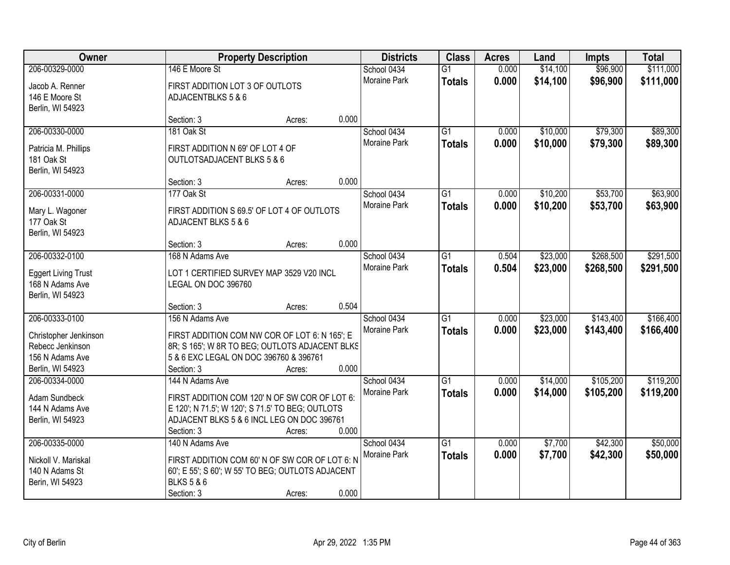| Owner                                                             |                                                                                                     | <b>Property Description</b> |       | <b>Districts</b>            | <b>Class</b>                     | <b>Acres</b>   | Land                 | <b>Impts</b>         | <b>Total</b>           |
|-------------------------------------------------------------------|-----------------------------------------------------------------------------------------------------|-----------------------------|-------|-----------------------------|----------------------------------|----------------|----------------------|----------------------|------------------------|
| 206-00329-0000<br>Jacob A. Renner                                 | 146 E Moore St<br>FIRST ADDITION LOT 3 OF OUTLOTS                                                   |                             |       | School 0434<br>Moraine Park | $\overline{G1}$<br><b>Totals</b> | 0.000<br>0.000 | \$14,100<br>\$14,100 | \$96,900<br>\$96,900 | \$111,000<br>\$111,000 |
| 146 E Moore St<br>Berlin, WI 54923                                | ADJACENTBLKS 5 & 6                                                                                  |                             |       |                             |                                  |                |                      |                      |                        |
|                                                                   | Section: 3                                                                                          | Acres:                      | 0.000 |                             |                                  |                |                      |                      |                        |
| 206-00330-0000                                                    | 181 Oak St                                                                                          |                             |       | School 0434                 | $\overline{G1}$                  | 0.000          | \$10,000             | \$79,300             | \$89,300               |
| Patricia M. Phillips<br>181 Oak St<br>Berlin, WI 54923            | FIRST ADDITION N 69' OF LOT 4 OF<br>OUTLOTSADJACENT BLKS 5 & 6                                      |                             |       | <b>Moraine Park</b>         | <b>Totals</b>                    | 0.000          | \$10,000             | \$79,300             | \$89,300               |
|                                                                   | Section: 3                                                                                          | Acres:                      | 0.000 |                             |                                  |                |                      |                      |                        |
| 206-00331-0000                                                    | 177 Oak St                                                                                          |                             |       | School 0434                 | $\overline{G1}$                  | 0.000          | \$10,200             | \$53,700             | \$63,900               |
| Mary L. Wagoner<br>177 Oak St<br>Berlin, WI 54923                 | FIRST ADDITION S 69.5' OF LOT 4 OF OUTLOTS<br>ADJACENT BLKS 5 & 6                                   |                             |       | Moraine Park                | <b>Totals</b>                    | 0.000          | \$10,200             | \$53,700             | \$63,900               |
|                                                                   | Section: 3                                                                                          | Acres:                      | 0.000 |                             |                                  |                |                      |                      |                        |
| 206-00332-0100                                                    | 168 N Adams Ave                                                                                     |                             |       | School 0434                 | G1                               | 0.504          | \$23,000             | \$268,500            | \$291,500              |
| <b>Eggert Living Trust</b><br>168 N Adams Ave<br>Berlin, WI 54923 | LOT 1 CERTIFIED SURVEY MAP 3529 V20 INCL<br>LEGAL ON DOC 396760                                     |                             |       | <b>Moraine Park</b>         | <b>Totals</b>                    | 0.504          | \$23,000             | \$268,500            | \$291,500              |
|                                                                   | Section: 3                                                                                          | Acres:                      | 0.504 |                             |                                  |                |                      |                      |                        |
| 206-00333-0100                                                    | 156 N Adams Ave                                                                                     |                             |       | School 0434                 | $\overline{G1}$                  | 0.000          | \$23,000             | \$143,400            | \$166,400              |
|                                                                   | FIRST ADDITION COM NW COR OF LOT 6: N 165'; E                                                       |                             |       | Moraine Park                | <b>Totals</b>                    | 0.000          | \$23,000             | \$143,400            | \$166,400              |
| Christopher Jenkinson<br>Rebecc Jenkinson                         | 8R; S 165'; W 8R TO BEG; OUTLOTS ADJACENT BLKS                                                      |                             |       |                             |                                  |                |                      |                      |                        |
| 156 N Adams Ave                                                   | 5 & 6 EXC LEGAL ON DOC 396760 & 396761                                                              |                             |       |                             |                                  |                |                      |                      |                        |
| Berlin, WI 54923                                                  | Section: 3                                                                                          | Acres:                      | 0.000 |                             |                                  |                |                      |                      |                        |
| 206-00334-0000                                                    | 144 N Adams Ave                                                                                     |                             |       | School 0434                 | $\overline{G1}$                  | 0.000          | \$14,000             | \$105,200            | \$119,200              |
|                                                                   | FIRST ADDITION COM 120' N OF SW COR OF LOT 6:                                                       |                             |       | Moraine Park                | <b>Totals</b>                    | 0.000          | \$14,000             | \$105,200            | \$119,200              |
| Adam Sundbeck<br>144 N Adams Ave                                  | E 120'; N 71.5'; W 120'; S 71.5' TO BEG; OUTLOTS                                                    |                             |       |                             |                                  |                |                      |                      |                        |
| Berlin, WI 54923                                                  | ADJACENT BLKS 5 & 6 INCL LEG ON DOC 396761                                                          |                             |       |                             |                                  |                |                      |                      |                        |
|                                                                   | Section: 3                                                                                          | Acres:                      | 0.000 |                             |                                  |                |                      |                      |                        |
| 206-00335-0000                                                    | 140 N Adams Ave                                                                                     |                             |       | School 0434                 | $\overline{G1}$                  | 0.000          | \$7,700              | \$42,300             | \$50,000               |
|                                                                   |                                                                                                     |                             |       | Moraine Park                | <b>Totals</b>                    | 0.000          | \$7,700              | \$42,300             | \$50,000               |
| Nickoll V. Mariskal<br>140 N Adams St                             | FIRST ADDITION COM 60' N OF SW COR OF LOT 6: N<br>60'; E 55'; S 60'; W 55' TO BEG; OUTLOTS ADJACENT |                             |       |                             |                                  |                |                      |                      |                        |
| Berin, WI 54923                                                   | <b>BLKS 5 &amp; 6</b>                                                                               |                             |       |                             |                                  |                |                      |                      |                        |
|                                                                   | Section: 3                                                                                          | Acres:                      | 0.000 |                             |                                  |                |                      |                      |                        |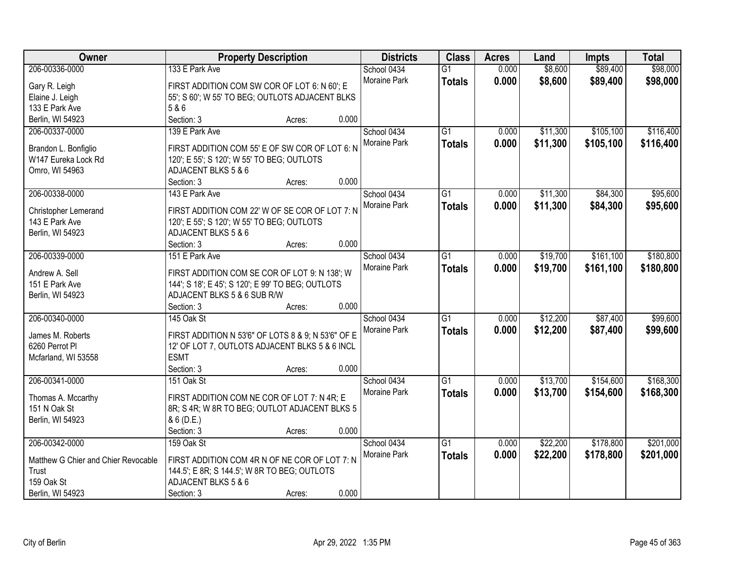| Owner                               |                                                    | <b>Property Description</b> |       | <b>Districts</b> | <b>Class</b>    | <b>Acres</b> | Land     | <b>Impts</b> | <b>Total</b> |
|-------------------------------------|----------------------------------------------------|-----------------------------|-------|------------------|-----------------|--------------|----------|--------------|--------------|
| 206-00336-0000                      | 133 E Park Ave                                     |                             |       | School 0434      | $\overline{G1}$ | 0.000        | \$8,600  | \$89,400     | \$98,000     |
| Gary R. Leigh                       | FIRST ADDITION COM SW COR OF LOT 6: N 60'; E       |                             |       | Moraine Park     | <b>Totals</b>   | 0.000        | \$8,600  | \$89,400     | \$98,000     |
| Elaine J. Leigh                     | 55'; S 60'; W 55' TO BEG; OUTLOTS ADJACENT BLKS    |                             |       |                  |                 |              |          |              |              |
| 133 E Park Ave                      | 5 & 6                                              |                             |       |                  |                 |              |          |              |              |
| Berlin, WI 54923                    | Section: 3                                         | Acres:                      | 0.000 |                  |                 |              |          |              |              |
| 206-00337-0000                      | 139 E Park Ave                                     |                             |       | School 0434      | $\overline{G1}$ | 0.000        | \$11,300 | \$105,100    | \$116,400    |
|                                     |                                                    |                             |       | Moraine Park     | <b>Totals</b>   | 0.000        | \$11,300 | \$105,100    | \$116,400    |
| Brandon L. Bonfiglio                | FIRST ADDITION COM 55' E OF SW COR OF LOT 6: N     |                             |       |                  |                 |              |          |              |              |
| W147 Eureka Lock Rd                 | 120'; E 55'; S 120'; W 55' TO BEG; OUTLOTS         |                             |       |                  |                 |              |          |              |              |
| Omro, WI 54963                      | ADJACENT BLKS 5 & 6                                |                             |       |                  |                 |              |          |              |              |
|                                     | Section: 3                                         | Acres:                      | 0.000 |                  |                 |              |          |              |              |
| 206-00338-0000                      | 143 E Park Ave                                     |                             |       | School 0434      | G1              | 0.000        | \$11,300 | \$84,300     | \$95,600     |
| <b>Christopher Lemerand</b>         | FIRST ADDITION COM 22' W OF SE COR OF LOT 7: N     |                             |       | Moraine Park     | <b>Totals</b>   | 0.000        | \$11,300 | \$84,300     | \$95,600     |
| 143 E Park Ave                      | 120'; E 55'; S 120'; W 55' TO BEG; OUTLOTS         |                             |       |                  |                 |              |          |              |              |
| Berlin, WI 54923                    | ADJACENT BLKS 5 & 6                                |                             |       |                  |                 |              |          |              |              |
|                                     | Section: 3                                         | Acres:                      | 0.000 |                  |                 |              |          |              |              |
| 206-00339-0000                      | 151 E Park Ave                                     |                             |       | School 0434      | G1              | 0.000        | \$19,700 | \$161,100    | \$180,800    |
|                                     |                                                    |                             |       | Moraine Park     | <b>Totals</b>   | 0.000        | \$19,700 | \$161,100    | \$180,800    |
| Andrew A. Sell                      | FIRST ADDITION COM SE COR OF LOT 9: N 138'; W      |                             |       |                  |                 |              |          |              |              |
| 151 E Park Ave                      | 144'; S 18'; E 45'; S 120'; E 99' TO BEG; OUTLOTS  |                             |       |                  |                 |              |          |              |              |
| Berlin, WI 54923                    | ADJACENT BLKS 5 & 6 SUB R/W                        |                             |       |                  |                 |              |          |              |              |
|                                     | Section: 3                                         | Acres:                      | 0.000 |                  |                 |              |          |              |              |
| 206-00340-0000                      | 145 Oak St                                         |                             |       | School 0434      | $\overline{G1}$ | 0.000        | \$12,200 | \$87,400     | \$99,600     |
| James M. Roberts                    | FIRST ADDITION N 53'6" OF LOTS 8 & 9; N 53'6" OF E |                             |       | Moraine Park     | <b>Totals</b>   | 0.000        | \$12,200 | \$87,400     | \$99,600     |
| 6260 Perrot Pl                      | 12' OF LOT 7, OUTLOTS ADJACENT BLKS 5 & 6 INCL     |                             |       |                  |                 |              |          |              |              |
| Mcfarland, WI 53558                 | <b>ESMT</b>                                        |                             |       |                  |                 |              |          |              |              |
|                                     | Section: 3                                         | Acres:                      | 0.000 |                  |                 |              |          |              |              |
| 206-00341-0000                      | 151 Oak St                                         |                             |       | School 0434      | $\overline{G1}$ | 0.000        | \$13,700 | \$154,600    | \$168,300    |
|                                     |                                                    |                             |       | Moraine Park     | <b>Totals</b>   | 0.000        | \$13,700 | \$154,600    | \$168,300    |
| Thomas A. Mccarthy                  | FIRST ADDITION COM NE COR OF LOT 7: N 4R; E        |                             |       |                  |                 |              |          |              |              |
| 151 N Oak St                        | 8R; S 4R; W 8R TO BEG; OUTLOT ADJACENT BLKS 5      |                             |       |                  |                 |              |          |              |              |
| Berlin, WI 54923                    | & 6 (D.E.)                                         |                             |       |                  |                 |              |          |              |              |
|                                     | Section: 3                                         | Acres:                      | 0.000 |                  |                 |              |          |              |              |
| 206-00342-0000                      | 159 Oak St                                         |                             |       | School 0434      | $\overline{G1}$ | 0.000        | \$22,200 | \$178,800    | \$201,000    |
| Matthew G Chier and Chier Revocable | FIRST ADDITION COM 4R N OF NE COR OF LOT 7: N      |                             |       | Moraine Park     | <b>Totals</b>   | 0.000        | \$22,200 | \$178,800    | \$201,000    |
| Trust                               | 144.5'; E 8R; S 144.5'; W 8R TO BEG; OUTLOTS       |                             |       |                  |                 |              |          |              |              |
| 159 Oak St                          | ADJACENT BLKS 5 & 6                                |                             |       |                  |                 |              |          |              |              |
| Berlin, WI 54923                    | Section: 3                                         | Acres:                      | 0.000 |                  |                 |              |          |              |              |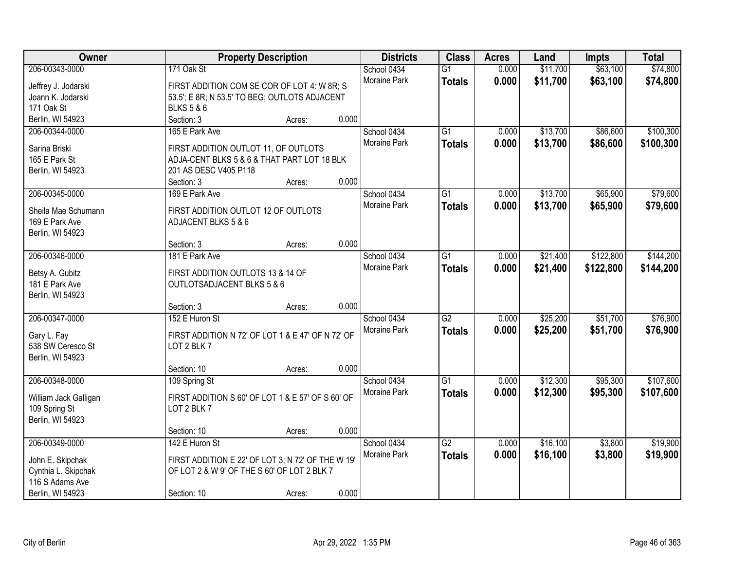| Owner                 | <b>Property Description</b>                       |        |       | <b>Districts</b> | <b>Class</b>    | <b>Acres</b> | Land     | <b>Impts</b> | <b>Total</b> |
|-----------------------|---------------------------------------------------|--------|-------|------------------|-----------------|--------------|----------|--------------|--------------|
| 206-00343-0000        | 171 Oak St                                        |        |       | School 0434      | $\overline{G1}$ | 0.000        | \$11,700 | \$63,100     | \$74,800     |
| Jeffrey J. Jodarski   | FIRST ADDITION COM SE COR OF LOT 4: W 8R; S       |        |       | Moraine Park     | <b>Totals</b>   | 0.000        | \$11,700 | \$63,100     | \$74,800     |
| Joann K. Jodarski     | 53.5'; E 8R; N 53.5' TO BEG; OUTLOTS ADJACENT     |        |       |                  |                 |              |          |              |              |
| 171 Oak St            | <b>BLKS 5 &amp; 6</b>                             |        |       |                  |                 |              |          |              |              |
| Berlin, WI 54923      | Section: 3                                        | Acres: | 0.000 |                  |                 |              |          |              |              |
| 206-00344-0000        | 165 E Park Ave                                    |        |       | School 0434      | $\overline{G1}$ | 0.000        | \$13,700 | \$86,600     | \$100,300    |
|                       |                                                   |        |       | Moraine Park     | <b>Totals</b>   | 0.000        | \$13,700 | \$86,600     | \$100,300    |
| Sarina Briski         | FIRST ADDITION OUTLOT 11, OF OUTLOTS              |        |       |                  |                 |              |          |              |              |
| 165 E Park St         | ADJA-CENT BLKS 5 & 6 & THAT PART LOT 18 BLK       |        |       |                  |                 |              |          |              |              |
| Berlin, WI 54923      | 201 AS DESC V405 P118                             |        |       |                  |                 |              |          |              |              |
|                       | Section: 3                                        | Acres: | 0.000 |                  |                 |              |          |              |              |
| 206-00345-0000        | 169 E Park Ave                                    |        |       | School 0434      | G1              | 0.000        | \$13,700 | \$65,900     | \$79,600     |
| Sheila Mae Schumann   | FIRST ADDITION OUTLOT 12 OF OUTLOTS               |        |       | Moraine Park     | <b>Totals</b>   | 0.000        | \$13,700 | \$65,900     | \$79,600     |
| 169 E Park Ave        | ADJACENT BLKS 5 & 6                               |        |       |                  |                 |              |          |              |              |
| Berlin, WI 54923      |                                                   |        |       |                  |                 |              |          |              |              |
|                       | Section: 3                                        | Acres: | 0.000 |                  |                 |              |          |              |              |
| 206-00346-0000        | 181 E Park Ave                                    |        |       | School 0434      | G1              | 0.000        | \$21,400 | \$122,800    | \$144,200    |
|                       |                                                   |        |       | Moraine Park     | <b>Totals</b>   | 0.000        | \$21,400 | \$122,800    | \$144,200    |
| Betsy A. Gubitz       | FIRST ADDITION OUTLOTS 13 & 14 OF                 |        |       |                  |                 |              |          |              |              |
| 181 E Park Ave        | OUTLOTSADJACENT BLKS 5 & 6                        |        |       |                  |                 |              |          |              |              |
| Berlin, WI 54923      |                                                   |        | 0.000 |                  |                 |              |          |              |              |
| 206-00347-0000        | Section: 3<br>152 E Huron St                      | Acres: |       |                  | $\overline{G2}$ | 0.000        | \$25,200 | \$51,700     | \$76,900     |
|                       |                                                   |        |       | School 0434      |                 |              |          |              |              |
| Gary L. Fay           | FIRST ADDITION N 72' OF LOT 1 & E 47' OF N 72' OF |        |       | Moraine Park     | <b>Totals</b>   | 0.000        | \$25,200 | \$51,700     | \$76,900     |
| 538 SW Ceresco St     | LOT 2 BLK 7                                       |        |       |                  |                 |              |          |              |              |
| Berlin, WI 54923      |                                                   |        |       |                  |                 |              |          |              |              |
|                       | Section: 10                                       | Acres: | 0.000 |                  |                 |              |          |              |              |
| 206-00348-0000        | 109 Spring St                                     |        |       | School 0434      | $\overline{G1}$ | 0.000        | \$12,300 | \$95,300     | \$107,600    |
| William Jack Galligan | FIRST ADDITION S 60' OF LOT 1 & E 57' OF S 60' OF |        |       | Moraine Park     | <b>Totals</b>   | 0.000        | \$12,300 | \$95,300     | \$107,600    |
| 109 Spring St         | LOT 2 BLK 7                                       |        |       |                  |                 |              |          |              |              |
| Berlin, WI 54923      |                                                   |        |       |                  |                 |              |          |              |              |
|                       | Section: 10                                       | Acres: | 0.000 |                  |                 |              |          |              |              |
| 206-00349-0000        | 142 E Huron St                                    |        |       | School 0434      | $\overline{G2}$ | 0.000        | \$16,100 | \$3,800      | \$19,900     |
|                       |                                                   |        |       | Moraine Park     |                 | 0.000        | \$16,100 | \$3,800      | \$19,900     |
| John E. Skipchak      | FIRST ADDITION E 22' OF LOT 3; N 72' OF THE W 19' |        |       |                  | <b>Totals</b>   |              |          |              |              |
| Cynthia L. Skipchak   | OF LOT 2 & W 9' OF THE S 60' OF LOT 2 BLK 7       |        |       |                  |                 |              |          |              |              |
| 116 S Adams Ave       |                                                   |        |       |                  |                 |              |          |              |              |
| Berlin, WI 54923      | Section: 10                                       | Acres: | 0.000 |                  |                 |              |          |              |              |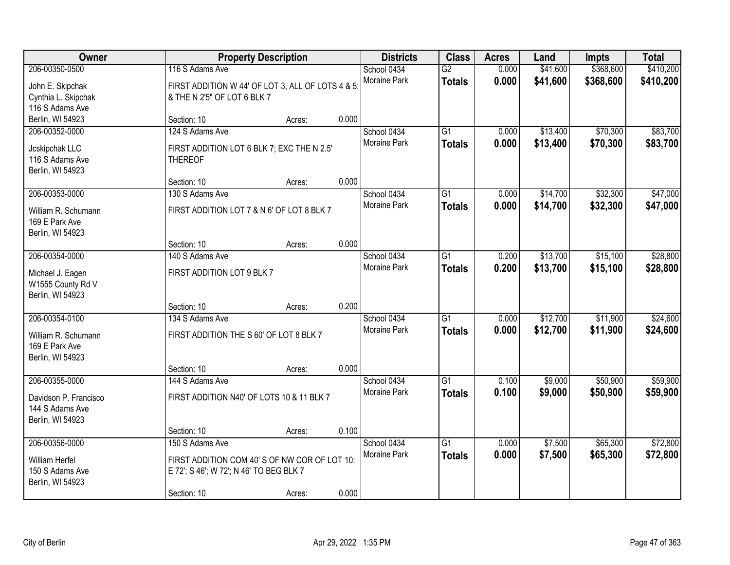| Owner                                 |                                                                                         | <b>Property Description</b> |       | <b>Districts</b>    | <b>Class</b>    | <b>Acres</b> | Land     | <b>Impts</b> | <b>Total</b> |
|---------------------------------------|-----------------------------------------------------------------------------------------|-----------------------------|-------|---------------------|-----------------|--------------|----------|--------------|--------------|
| 206-00350-0500                        | 116 S Adams Ave                                                                         |                             |       | School 0434         | $\overline{G2}$ | 0.000        | \$41,600 | \$368,600    | \$410,200    |
| John E. Skipchak                      | FIRST ADDITION W 44' OF LOT 3, ALL OF LOTS 4 & 5;                                       |                             |       | Moraine Park        | <b>Totals</b>   | 0.000        | \$41,600 | \$368,600    | \$410,200    |
| Cynthia L. Skipchak                   | & THE N 2'5" OF LOT 6 BLK 7                                                             |                             |       |                     |                 |              |          |              |              |
| 116 S Adams Ave                       |                                                                                         |                             |       |                     |                 |              |          |              |              |
| Berlin, WI 54923                      | Section: 10                                                                             | Acres:                      | 0.000 |                     |                 |              |          |              |              |
| 206-00352-0000                        | 124 S Adams Ave                                                                         |                             |       | School 0434         | $\overline{G1}$ | 0.000        | \$13,400 | \$70,300     | \$83,700     |
| Jcskipchak LLC                        | FIRST ADDITION LOT 6 BLK 7; EXC THE N 2.5'                                              |                             |       | <b>Moraine Park</b> | <b>Totals</b>   | 0.000        | \$13,400 | \$70,300     | \$83,700     |
| 116 S Adams Ave                       | <b>THEREOF</b>                                                                          |                             |       |                     |                 |              |          |              |              |
| Berlin, WI 54923                      |                                                                                         |                             |       |                     |                 |              |          |              |              |
|                                       | Section: 10                                                                             | Acres:                      | 0.000 |                     |                 |              |          |              |              |
| 206-00353-0000                        | 130 S Adams Ave                                                                         |                             |       | School 0434         | $\overline{G1}$ | 0.000        | \$14,700 | \$32,300     | \$47,000     |
| William R. Schumann                   | FIRST ADDITION LOT 7 & N 6' OF LOT 8 BLK 7                                              |                             |       | Moraine Park        | <b>Totals</b>   | 0.000        | \$14,700 | \$32,300     | \$47,000     |
| 169 E Park Ave                        |                                                                                         |                             |       |                     |                 |              |          |              |              |
| Berlin, WI 54923                      |                                                                                         |                             |       |                     |                 |              |          |              |              |
|                                       | Section: 10                                                                             | Acres:                      | 0.000 |                     |                 |              |          |              |              |
| 206-00354-0000                        | 140 S Adams Ave                                                                         |                             |       | School 0434         | $\overline{G1}$ | 0.200        | \$13,700 | \$15,100     | \$28,800     |
|                                       | FIRST ADDITION LOT 9 BLK 7                                                              |                             |       | <b>Moraine Park</b> | <b>Totals</b>   | 0.200        | \$13,700 | \$15,100     | \$28,800     |
| Michael J. Eagen<br>W1555 County Rd V |                                                                                         |                             |       |                     |                 |              |          |              |              |
| Berlin, WI 54923                      |                                                                                         |                             |       |                     |                 |              |          |              |              |
|                                       | Section: 10                                                                             | Acres:                      | 0.200 |                     |                 |              |          |              |              |
| 206-00354-0100                        | 134 S Adams Ave                                                                         |                             |       | School 0434         | $\overline{G1}$ | 0.000        | \$12,700 | \$11,900     | \$24,600     |
| William R. Schumann                   | FIRST ADDITION THE S 60' OF LOT 8 BLK 7                                                 |                             |       | <b>Moraine Park</b> | <b>Totals</b>   | 0.000        | \$12,700 | \$11,900     | \$24,600     |
| 169 E Park Ave                        |                                                                                         |                             |       |                     |                 |              |          |              |              |
| Berlin, WI 54923                      |                                                                                         |                             |       |                     |                 |              |          |              |              |
|                                       | Section: 10                                                                             | Acres:                      | 0.000 |                     |                 |              |          |              |              |
| 206-00355-0000                        | 144 S Adams Ave                                                                         |                             |       | School 0434         | $\overline{G1}$ | 0.100        | \$9,000  | \$50,900     | \$59,900     |
| Davidson P. Francisco                 | FIRST ADDITION N40' OF LOTS 10 & 11 BLK 7                                               |                             |       | Moraine Park        | <b>Totals</b>   | 0.100        | \$9,000  | \$50,900     | \$59,900     |
| 144 S Adams Ave                       |                                                                                         |                             |       |                     |                 |              |          |              |              |
| Berlin, WI 54923                      |                                                                                         |                             |       |                     |                 |              |          |              |              |
|                                       | Section: 10                                                                             | Acres:                      | 0.100 |                     |                 |              |          |              |              |
| 206-00356-0000                        | 150 S Adams Ave                                                                         |                             |       | School 0434         | $\overline{G1}$ | 0.000        | \$7,500  | \$65,300     | \$72,800     |
|                                       |                                                                                         |                             |       | Moraine Park        | <b>Totals</b>   | 0.000        | \$7,500  | \$65,300     | \$72,800     |
| William Herfel<br>150 S Adams Ave     | FIRST ADDITION COM 40'S OF NW COR OF LOT 10:<br>E 72'; S 46'; W 72'; N 46' TO BEG BLK 7 |                             |       |                     |                 |              |          |              |              |
| Berlin, WI 54923                      |                                                                                         |                             |       |                     |                 |              |          |              |              |
|                                       | Section: 10                                                                             | Acres:                      | 0.000 |                     |                 |              |          |              |              |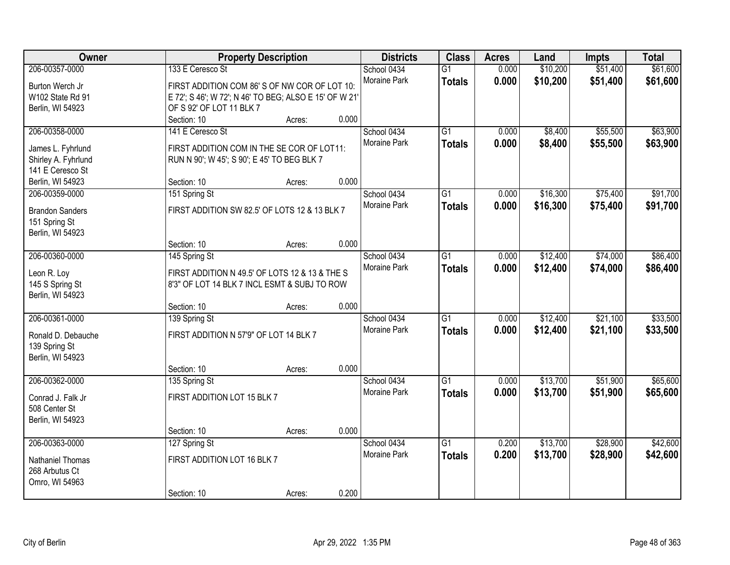| Owner                  |                                                        | <b>Property Description</b> |       | <b>Districts</b>            | <b>Class</b>                     | <b>Acres</b>   | Land                 | <b>Impts</b>         | <b>Total</b>         |
|------------------------|--------------------------------------------------------|-----------------------------|-------|-----------------------------|----------------------------------|----------------|----------------------|----------------------|----------------------|
| 206-00357-0000         | 133 E Ceresco St                                       |                             |       | School 0434<br>Moraine Park | $\overline{G1}$<br><b>Totals</b> | 0.000<br>0.000 | \$10,200<br>\$10,200 | \$51,400<br>\$51,400 | \$61,600<br>\$61,600 |
| Burton Werch Jr        | FIRST ADDITION COM 86'S OF NW COR OF LOT 10:           |                             |       |                             |                                  |                |                      |                      |                      |
| W102 State Rd 91       | E 72'; S 46'; W 72'; N 46' TO BEG; ALSO E 15' OF W 21' |                             |       |                             |                                  |                |                      |                      |                      |
| Berlin, WI 54923       | OF S 92' OF LOT 11 BLK 7<br>Section: 10                |                             | 0.000 |                             |                                  |                |                      |                      |                      |
|                        |                                                        | Acres:                      |       |                             |                                  |                |                      |                      |                      |
| 206-00358-0000         | 141 E Ceresco St                                       |                             |       | School 0434                 | $\overline{G1}$                  | 0.000          | \$8,400              | \$55,500             | \$63,900             |
| James L. Fyhrlund      | FIRST ADDITION COM IN THE SE COR OF LOT11:             |                             |       | <b>Moraine Park</b>         | <b>Totals</b>                    | 0.000          | \$8,400              | \$55,500             | \$63,900             |
| Shirley A. Fyhrlund    | RUN N 90'; W 45'; S 90'; E 45' TO BEG BLK 7            |                             |       |                             |                                  |                |                      |                      |                      |
| 141 E Ceresco St       |                                                        |                             |       |                             |                                  |                |                      |                      |                      |
| Berlin, WI 54923       | Section: 10                                            | Acres:                      | 0.000 |                             |                                  |                |                      |                      |                      |
| 206-00359-0000         | 151 Spring St                                          |                             |       | School 0434                 | $\overline{G1}$                  | 0.000          | \$16,300             | \$75,400             | \$91,700             |
| <b>Brandon Sanders</b> | FIRST ADDITION SW 82.5' OF LOTS 12 & 13 BLK 7          |                             |       | Moraine Park                | <b>Totals</b>                    | 0.000          | \$16,300             | \$75,400             | \$91,700             |
| 151 Spring St          |                                                        |                             |       |                             |                                  |                |                      |                      |                      |
| Berlin, WI 54923       |                                                        |                             |       |                             |                                  |                |                      |                      |                      |
|                        | Section: 10                                            | Acres:                      | 0.000 |                             |                                  |                |                      |                      |                      |
| 206-00360-0000         | 145 Spring St                                          |                             |       | School 0434                 | $\overline{G1}$                  | 0.000          | \$12,400             | \$74,000             | \$86,400             |
|                        |                                                        |                             |       | <b>Moraine Park</b>         | <b>Totals</b>                    | 0.000          | \$12,400             | \$74,000             | \$86,400             |
| Leon R. Loy            | FIRST ADDITION N 49.5' OF LOTS 12 & 13 & THE S         |                             |       |                             |                                  |                |                      |                      |                      |
| 145 S Spring St        | 8'3" OF LOT 14 BLK 7 INCL ESMT & SUBJ TO ROW           |                             |       |                             |                                  |                |                      |                      |                      |
| Berlin, WI 54923       |                                                        |                             |       |                             |                                  |                |                      |                      |                      |
|                        | Section: 10                                            | Acres:                      | 0.000 |                             |                                  |                |                      |                      |                      |
| 206-00361-0000         | 139 Spring St                                          |                             |       | School 0434                 | $\overline{G1}$                  | 0.000          | \$12,400             | \$21,100             | \$33,500             |
| Ronald D. Debauche     | FIRST ADDITION N 57'9" OF LOT 14 BLK 7                 |                             |       | <b>Moraine Park</b>         | <b>Totals</b>                    | 0.000          | \$12,400             | \$21,100             | \$33,500             |
| 139 Spring St          |                                                        |                             |       |                             |                                  |                |                      |                      |                      |
| Berlin, WI 54923       |                                                        |                             |       |                             |                                  |                |                      |                      |                      |
|                        | Section: 10                                            | Acres:                      | 0.000 |                             |                                  |                |                      |                      |                      |
| 206-00362-0000         | 135 Spring St                                          |                             |       | School 0434                 | $\overline{G1}$                  | 0.000          | \$13,700             | \$51,900             | \$65,600             |
|                        |                                                        |                             |       | Moraine Park                | <b>Totals</b>                    | 0.000          | \$13,700             | \$51,900             | \$65,600             |
| Conrad J. Falk Jr      | FIRST ADDITION LOT 15 BLK 7                            |                             |       |                             |                                  |                |                      |                      |                      |
| 508 Center St          |                                                        |                             |       |                             |                                  |                |                      |                      |                      |
| Berlin, WI 54923       |                                                        |                             | 0.000 |                             |                                  |                |                      |                      |                      |
|                        | Section: 10                                            | Acres:                      |       |                             |                                  |                |                      |                      |                      |
| 206-00363-0000         | 127 Spring St                                          |                             |       | School 0434                 | $\overline{G1}$                  | 0.200          | \$13,700             | \$28,900             | \$42,600             |
| Nathaniel Thomas       | FIRST ADDITION LOT 16 BLK 7                            |                             |       | <b>Moraine Park</b>         | <b>Totals</b>                    | 0.200          | \$13,700             | \$28,900             | \$42,600             |
| 268 Arbutus Ct         |                                                        |                             |       |                             |                                  |                |                      |                      |                      |
| Omro, WI 54963         |                                                        |                             |       |                             |                                  |                |                      |                      |                      |
|                        | Section: 10                                            | Acres:                      | 0.200 |                             |                                  |                |                      |                      |                      |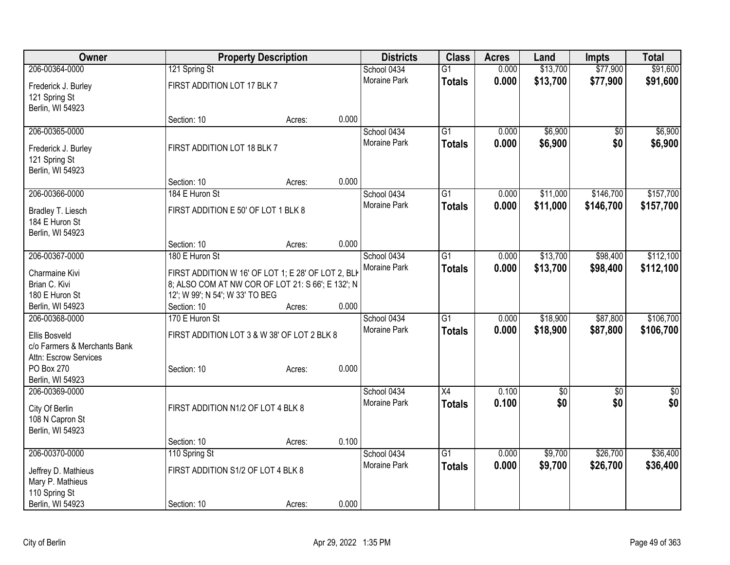| Owner                        |                                                    | <b>Property Description</b> |       | <b>Districts</b>    | <b>Class</b>    | <b>Acres</b> | Land            | <b>Impts</b>    | <b>Total</b> |
|------------------------------|----------------------------------------------------|-----------------------------|-------|---------------------|-----------------|--------------|-----------------|-----------------|--------------|
| 206-00364-0000               | 121 Spring St                                      |                             |       | School 0434         | $\overline{G1}$ | 0.000        | \$13,700        | \$77,900        | \$91,600     |
| Frederick J. Burley          | FIRST ADDITION LOT 17 BLK 7                        |                             |       | Moraine Park        | <b>Totals</b>   | 0.000        | \$13,700        | \$77,900        | \$91,600     |
| 121 Spring St                |                                                    |                             |       |                     |                 |              |                 |                 |              |
| Berlin, WI 54923             |                                                    |                             |       |                     |                 |              |                 |                 |              |
|                              | Section: 10                                        | Acres:                      | 0.000 |                     |                 |              |                 |                 |              |
| 206-00365-0000               |                                                    |                             |       | School 0434         | $\overline{G1}$ | 0.000        | \$6,900         | \$0             | \$6,900      |
| Frederick J. Burley          | FIRST ADDITION LOT 18 BLK 7                        |                             |       | Moraine Park        | <b>Totals</b>   | 0.000        | \$6,900         | \$0             | \$6,900      |
| 121 Spring St                |                                                    |                             |       |                     |                 |              |                 |                 |              |
| Berlin, WI 54923             |                                                    |                             |       |                     |                 |              |                 |                 |              |
|                              | Section: 10                                        | Acres:                      | 0.000 |                     |                 |              |                 |                 |              |
| 206-00366-0000               | 184 E Huron St                                     |                             |       | School 0434         | G1              | 0.000        | \$11,000        | \$146,700       | \$157,700    |
| Bradley T. Liesch            | FIRST ADDITION E 50' OF LOT 1 BLK 8                |                             |       | Moraine Park        | <b>Totals</b>   | 0.000        | \$11,000        | \$146,700       | \$157,700    |
| 184 E Huron St               |                                                    |                             |       |                     |                 |              |                 |                 |              |
| Berlin, WI 54923             |                                                    |                             |       |                     |                 |              |                 |                 |              |
|                              | Section: 10                                        | Acres:                      | 0.000 |                     |                 |              |                 |                 |              |
| 206-00367-0000               | 180 E Huron St                                     |                             |       | School 0434         | $\overline{G1}$ | 0.000        | \$13,700        | \$98,400        | \$112,100    |
| Charmaine Kivi               | FIRST ADDITION W 16' OF LOT 1; E 28' OF LOT 2, BLK |                             |       | Moraine Park        | <b>Totals</b>   | 0.000        | \$13,700        | \$98,400        | \$112,100    |
| Brian C. Kivi                | 8; ALSO COM AT NW COR OF LOT 21: S 66'; E 132'; N  |                             |       |                     |                 |              |                 |                 |              |
| 180 E Huron St               | 12'; W 99'; N 54'; W 33' TO BEG                    |                             |       |                     |                 |              |                 |                 |              |
| Berlin, WI 54923             | Section: 10                                        | Acres:                      | 0.000 |                     |                 |              |                 |                 |              |
| 206-00368-0000               | 170 E Huron St                                     |                             |       | School 0434         | $\overline{G1}$ | 0.000        | \$18,900        | \$87,800        | \$106,700    |
| Ellis Bosveld                | FIRST ADDITION LOT 3 & W 38' OF LOT 2 BLK 8        |                             |       | <b>Moraine Park</b> | <b>Totals</b>   | 0.000        | \$18,900        | \$87,800        | \$106,700    |
| c/o Farmers & Merchants Bank |                                                    |                             |       |                     |                 |              |                 |                 |              |
| Attn: Escrow Services        |                                                    |                             |       |                     |                 |              |                 |                 |              |
| PO Box 270                   | Section: 10                                        | Acres:                      | 0.000 |                     |                 |              |                 |                 |              |
| Berlin, WI 54923             |                                                    |                             |       |                     |                 |              |                 |                 |              |
| 206-00369-0000               |                                                    |                             |       | School 0434         | $\overline{X4}$ | 0.100        | $\overline{60}$ | $\overline{30}$ | \$0          |
| City Of Berlin               | FIRST ADDITION N1/2 OF LOT 4 BLK 8                 |                             |       | <b>Moraine Park</b> | <b>Totals</b>   | 0.100        | \$0             | \$0             | \$0          |
| 108 N Capron St              |                                                    |                             |       |                     |                 |              |                 |                 |              |
| Berlin, WI 54923             |                                                    |                             |       |                     |                 |              |                 |                 |              |
|                              | Section: 10                                        | Acres:                      | 0.100 |                     |                 |              |                 |                 |              |
| 206-00370-0000               | 110 Spring St                                      |                             |       | School 0434         | $\overline{G1}$ | 0.000        | \$9,700         | \$26,700        | \$36,400     |
| Jeffrey D. Mathieus          | FIRST ADDITION S1/2 OF LOT 4 BLK 8                 |                             |       | <b>Moraine Park</b> | <b>Totals</b>   | 0.000        | \$9,700         | \$26,700        | \$36,400     |
| Mary P. Mathieus             |                                                    |                             |       |                     |                 |              |                 |                 |              |
| 110 Spring St                |                                                    |                             |       |                     |                 |              |                 |                 |              |
| Berlin, WI 54923             | Section: 10                                        | Acres:                      | 0.000 |                     |                 |              |                 |                 |              |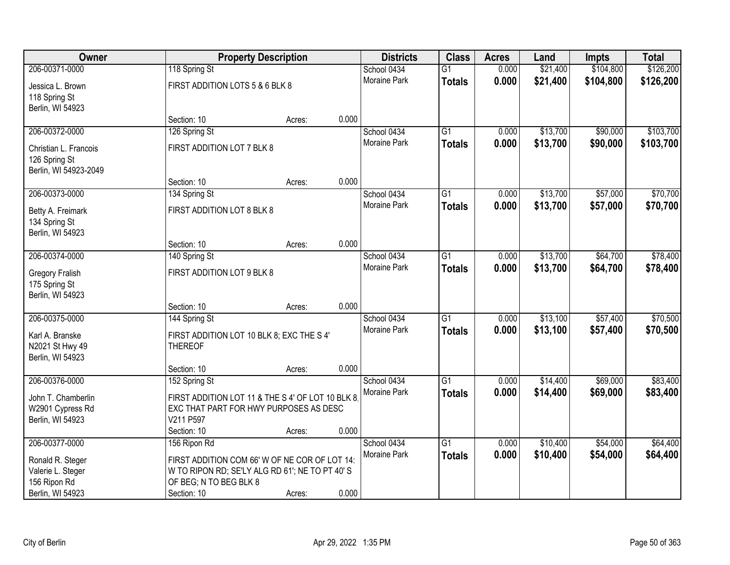| Owner                  |                                                   | <b>Property Description</b> |       | <b>Districts</b>    | <b>Class</b>    | <b>Acres</b> | Land     | <b>Impts</b> | <b>Total</b> |
|------------------------|---------------------------------------------------|-----------------------------|-------|---------------------|-----------------|--------------|----------|--------------|--------------|
| 206-00371-0000         | 118 Spring St                                     |                             |       | School 0434         | $\overline{G1}$ | 0.000        | \$21,400 | \$104,800    | \$126,200    |
| Jessica L. Brown       | FIRST ADDITION LOTS 5 & 6 BLK 8                   |                             |       | Moraine Park        | <b>Totals</b>   | 0.000        | \$21,400 | \$104,800    | \$126,200    |
| 118 Spring St          |                                                   |                             |       |                     |                 |              |          |              |              |
| Berlin, WI 54923       |                                                   |                             |       |                     |                 |              |          |              |              |
|                        | Section: 10                                       | Acres:                      | 0.000 |                     |                 |              |          |              |              |
| 206-00372-0000         | 126 Spring St                                     |                             |       | School 0434         | G1              | 0.000        | \$13,700 | \$90,000     | \$103,700    |
| Christian L. Francois  | FIRST ADDITION LOT 7 BLK 8                        |                             |       | <b>Moraine Park</b> | <b>Totals</b>   | 0.000        | \$13,700 | \$90,000     | \$103,700    |
| 126 Spring St          |                                                   |                             |       |                     |                 |              |          |              |              |
| Berlin, WI 54923-2049  |                                                   |                             |       |                     |                 |              |          |              |              |
|                        | Section: 10                                       | Acres:                      | 0.000 |                     |                 |              |          |              |              |
| 206-00373-0000         | 134 Spring St                                     |                             |       | School 0434         | $\overline{G1}$ | 0.000        | \$13,700 | \$57,000     | \$70,700     |
| Betty A. Freimark      | FIRST ADDITION LOT 8 BLK 8                        |                             |       | Moraine Park        | <b>Totals</b>   | 0.000        | \$13,700 | \$57,000     | \$70,700     |
| 134 Spring St          |                                                   |                             |       |                     |                 |              |          |              |              |
| Berlin, WI 54923       |                                                   |                             |       |                     |                 |              |          |              |              |
|                        | Section: 10                                       | Acres:                      | 0.000 |                     |                 |              |          |              |              |
| 206-00374-0000         | 140 Spring St                                     |                             |       | School 0434         | $\overline{G1}$ | 0.000        | \$13,700 | \$64,700     | \$78,400     |
| <b>Gregory Fralish</b> | FIRST ADDITION LOT 9 BLK 8                        |                             |       | Moraine Park        | <b>Totals</b>   | 0.000        | \$13,700 | \$64,700     | \$78,400     |
| 175 Spring St          |                                                   |                             |       |                     |                 |              |          |              |              |
| Berlin, WI 54923       |                                                   |                             |       |                     |                 |              |          |              |              |
|                        | Section: 10                                       | Acres:                      | 0.000 |                     |                 |              |          |              |              |
| 206-00375-0000         | 144 Spring St                                     |                             |       | School 0434         | $\overline{G1}$ | 0.000        | \$13,100 | \$57,400     | \$70,500     |
| Karl A. Branske        | FIRST ADDITION LOT 10 BLK 8; EXC THE S 4'         |                             |       | Moraine Park        | <b>Totals</b>   | 0.000        | \$13,100 | \$57,400     | \$70,500     |
| N2021 St Hwy 49        | <b>THEREOF</b>                                    |                             |       |                     |                 |              |          |              |              |
| Berlin, WI 54923       |                                                   |                             |       |                     |                 |              |          |              |              |
|                        | Section: 10                                       | Acres:                      | 0.000 |                     |                 |              |          |              |              |
| 206-00376-0000         | 152 Spring St                                     |                             |       | School 0434         | $\overline{G1}$ | 0.000        | \$14,400 | \$69,000     | \$83,400     |
| John T. Chamberlin     | FIRST ADDITION LOT 11 & THE S 4' OF LOT 10 BLK 8. |                             |       | Moraine Park        | <b>Totals</b>   | 0.000        | \$14,400 | \$69,000     | \$83,400     |
| W2901 Cypress Rd       | EXC THAT PART FOR HWY PURPOSES AS DESC            |                             |       |                     |                 |              |          |              |              |
| Berlin, WI 54923       | V211 P597                                         |                             |       |                     |                 |              |          |              |              |
|                        | Section: 10                                       | Acres:                      | 0.000 |                     |                 |              |          |              |              |
| 206-00377-0000         | 156 Ripon Rd                                      |                             |       | School 0434         | $\overline{G1}$ | 0.000        | \$10,400 | \$54,000     | \$64,400     |
| Ronald R. Steger       | FIRST ADDITION COM 66' W OF NE COR OF LOT 14:     |                             |       | Moraine Park        | <b>Totals</b>   | 0.000        | \$10,400 | \$54,000     | \$64,400     |
| Valerie L. Steger      | W TO RIPON RD; SE'LY ALG RD 61'; NE TO PT 40' S   |                             |       |                     |                 |              |          |              |              |
| 156 Ripon Rd           | OF BEG; N TO BEG BLK 8                            |                             |       |                     |                 |              |          |              |              |
| Berlin, WI 54923       | Section: 10                                       | Acres:                      | 0.000 |                     |                 |              |          |              |              |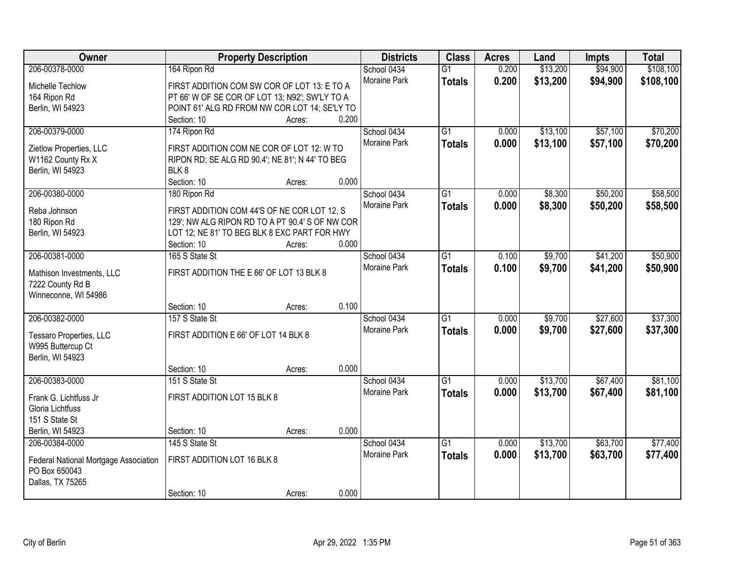| Owner                                 | <b>Property Description</b>                     |                 | <b>Districts</b>    | <b>Class</b>    | <b>Acres</b> | Land     | <b>Impts</b> | <b>Total</b> |
|---------------------------------------|-------------------------------------------------|-----------------|---------------------|-----------------|--------------|----------|--------------|--------------|
| 206-00378-0000                        | 164 Ripon Rd                                    |                 | School 0434         | $\overline{G1}$ | 0.200        | \$13,200 | \$94,900     | \$108,100    |
| Michelle Techlow                      | FIRST ADDITION COM SW COR OF LOT 13: E TO A     |                 | Moraine Park        | <b>Totals</b>   | 0.200        | \$13,200 | \$94,900     | \$108,100    |
| 164 Ripon Rd                          | PT 66' W OF SE COR OF LOT 13; N92'; SW'LY TO A  |                 |                     |                 |              |          |              |              |
| Berlin, WI 54923                      | POINT 61' ALG RD FROM NW COR LOT 14; SE'LY TO   |                 |                     |                 |              |          |              |              |
|                                       | Section: 10                                     | 0.200<br>Acres: |                     |                 |              |          |              |              |
| 206-00379-0000                        | 174 Ripon Rd                                    |                 | School 0434         | $\overline{G1}$ | 0.000        | \$13,100 | \$57,100     | \$70,200     |
|                                       |                                                 |                 | <b>Moraine Park</b> | <b>Totals</b>   | 0.000        | \$13,100 | \$57,100     | \$70,200     |
| Zietlow Properties, LLC               | FIRST ADDITION COM NE COR OF LOT 12: W TO       |                 |                     |                 |              |          |              |              |
| W1162 County Rx X                     | RIPON RD; SE ALG RD 90.4'; NE 81'; N 44' TO BEG |                 |                     |                 |              |          |              |              |
| Berlin, WI 54923                      | BLK8                                            |                 |                     |                 |              |          |              |              |
|                                       | Section: 10                                     | 0.000<br>Acres: |                     |                 |              |          |              |              |
| 206-00380-0000                        | 180 Ripon Rd                                    |                 | School 0434         | G1              | 0.000        | \$8,300  | \$50,200     | \$58,500     |
| Reba Johnson                          | FIRST ADDITION COM 44'S OF NE COR LOT 12, S     |                 | Moraine Park        | <b>Totals</b>   | 0.000        | \$8,300  | \$50,200     | \$58,500     |
| 180 Ripon Rd                          | 129'; NW ALG RIPON RD TO A PT 90.4' S OF NW COR |                 |                     |                 |              |          |              |              |
| Berlin, WI 54923                      | LOT 12; NE 81' TO BEG BLK 8 EXC PART FOR HWY    |                 |                     |                 |              |          |              |              |
|                                       | Section: 10                                     | 0.000<br>Acres: |                     |                 |              |          |              |              |
| 206-00381-0000                        | 165 S State St                                  |                 | School 0434         | G1              | 0.100        | \$9,700  | \$41,200     | \$50,900     |
|                                       |                                                 |                 | <b>Moraine Park</b> | <b>Totals</b>   | 0.100        | \$9,700  | \$41,200     | \$50,900     |
| Mathison Investments, LLC             | FIRST ADDITION THE E 66' OF LOT 13 BLK 8        |                 |                     |                 |              |          |              |              |
| 7222 County Rd B                      |                                                 |                 |                     |                 |              |          |              |              |
| Winneconne, WI 54986                  |                                                 |                 |                     |                 |              |          |              |              |
|                                       | Section: 10                                     | 0.100<br>Acres: |                     |                 |              |          |              |              |
| 206-00382-0000                        | 157 S State St                                  |                 | School 0434         | $\overline{G1}$ | 0.000        | \$9,700  | \$27,600     | \$37,300     |
| Tessaro Properties, LLC               | FIRST ADDITION E 66' OF LOT 14 BLK 8            |                 | <b>Moraine Park</b> | <b>Totals</b>   | 0.000        | \$9,700  | \$27,600     | \$37,300     |
| W995 Buttercup Ct                     |                                                 |                 |                     |                 |              |          |              |              |
| Berlin, WI 54923                      |                                                 |                 |                     |                 |              |          |              |              |
|                                       | Section: 10                                     | 0.000<br>Acres: |                     |                 |              |          |              |              |
| 206-00383-0000                        | 151 S State St                                  |                 | School 0434         | $\overline{G1}$ | 0.000        | \$13,700 | \$67,400     | \$81,100     |
| Frank G. Lichtfuss Jr                 | FIRST ADDITION LOT 15 BLK 8                     |                 | Moraine Park        | <b>Totals</b>   | 0.000        | \$13,700 | \$67,400     | \$81,100     |
| Gloria Lichtfuss                      |                                                 |                 |                     |                 |              |          |              |              |
| 151 S State St                        |                                                 |                 |                     |                 |              |          |              |              |
| Berlin, WI 54923                      | Section: 10                                     | 0.000<br>Acres: |                     |                 |              |          |              |              |
| 206-00384-0000                        | 145 S State St                                  |                 | School 0434         | $\overline{G1}$ | 0.000        | \$13,700 | \$63,700     | \$77,400     |
|                                       |                                                 |                 | Moraine Park        | <b>Totals</b>   | 0.000        | \$13,700 | \$63,700     | \$77,400     |
| Federal National Mortgage Association | FIRST ADDITION LOT 16 BLK 8                     |                 |                     |                 |              |          |              |              |
| PO Box 650043                         |                                                 |                 |                     |                 |              |          |              |              |
| Dallas, TX 75265                      |                                                 |                 |                     |                 |              |          |              |              |
|                                       | Section: 10                                     | 0.000<br>Acres: |                     |                 |              |          |              |              |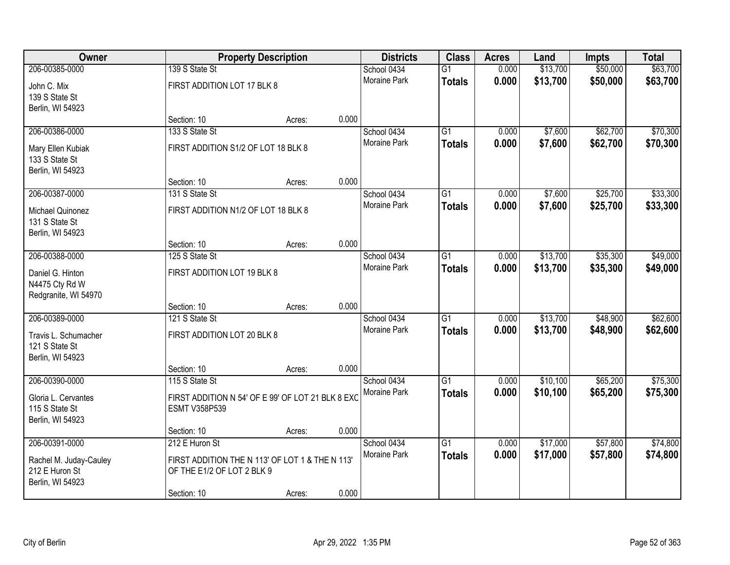| Owner                                                        |                                                                               | <b>Property Description</b> |       | <b>Districts</b>                   | <b>Class</b>                     | <b>Acres</b>   | Land                 | <b>Impts</b>         | <b>Total</b>         |
|--------------------------------------------------------------|-------------------------------------------------------------------------------|-----------------------------|-------|------------------------------------|----------------------------------|----------------|----------------------|----------------------|----------------------|
| 206-00385-0000<br>John C. Mix<br>139 S State St              | 139 S State St<br>FIRST ADDITION LOT 17 BLK 8                                 |                             |       | School 0434<br>Moraine Park        | $\overline{G1}$<br><b>Totals</b> | 0.000<br>0.000 | \$13,700<br>\$13,700 | \$50,000<br>\$50,000 | \$63,700<br>\$63,700 |
| Berlin, WI 54923                                             | Section: 10                                                                   | Acres:                      | 0.000 |                                    |                                  |                |                      |                      |                      |
| 206-00386-0000<br>Mary Ellen Kubiak                          | 133 S State St<br>FIRST ADDITION S1/2 OF LOT 18 BLK 8                         |                             |       | School 0434<br><b>Moraine Park</b> | $\overline{G1}$<br><b>Totals</b> | 0.000<br>0.000 | \$7,600<br>\$7,600   | \$62,700<br>\$62,700 | \$70,300<br>\$70,300 |
| 133 S State St<br>Berlin, WI 54923                           |                                                                               |                             |       |                                    |                                  |                |                      |                      |                      |
|                                                              | Section: 10                                                                   | Acres:                      | 0.000 |                                    |                                  |                |                      |                      |                      |
| 206-00387-0000                                               | 131 S State St                                                                |                             |       | School 0434<br>Moraine Park        | G1                               | 0.000          | \$7,600              | \$25,700             | \$33,300             |
| Michael Quinonez<br>131 S State St<br>Berlin, WI 54923       | FIRST ADDITION N1/2 OF LOT 18 BLK 8                                           |                             |       |                                    | <b>Totals</b>                    | 0.000          | \$7,600              | \$25,700             | \$33,300             |
|                                                              | Section: 10                                                                   | Acres:                      | 0.000 |                                    |                                  |                |                      |                      |                      |
| 206-00388-0000                                               | 125 S State St                                                                |                             |       | School 0434                        | G1                               | 0.000          | \$13,700             | \$35,300             | \$49,000             |
| Daniel G. Hinton<br>N4475 Cty Rd W<br>Redgranite, WI 54970   | FIRST ADDITION LOT 19 BLK 8                                                   |                             |       | <b>Moraine Park</b>                | <b>Totals</b>                    | 0.000          | \$13,700             | \$35,300             | \$49,000             |
|                                                              | Section: 10                                                                   | Acres:                      | 0.000 |                                    |                                  |                |                      |                      |                      |
| 206-00389-0000                                               | 121 S State St                                                                |                             |       | School 0434                        | $\overline{G1}$                  | 0.000          | \$13,700             | \$48,900             | \$62,600             |
| Travis L. Schumacher<br>121 S State St<br>Berlin, WI 54923   | FIRST ADDITION LOT 20 BLK 8                                                   |                             |       | Moraine Park                       | <b>Totals</b>                    | 0.000          | \$13,700             | \$48,900             | \$62,600             |
|                                                              | Section: 10                                                                   | Acres:                      | 0.000 |                                    |                                  |                |                      |                      |                      |
| 206-00390-0000                                               | 115 S State St                                                                |                             |       | School 0434                        | $\overline{G1}$                  | 0.000          | \$10,100             | \$65,200             | \$75,300             |
| Gloria L. Cervantes<br>115 S State St<br>Berlin, WI 54923    | FIRST ADDITION N 54' OF E 99' OF LOT 21 BLK 8 EXC<br><b>ESMT V358P539</b>     |                             |       | Moraine Park                       | <b>Totals</b>                    | 0.000          | \$10,100             | \$65,200             | \$75,300             |
|                                                              | Section: 10                                                                   | Acres:                      | 0.000 |                                    |                                  |                |                      |                      |                      |
| 206-00391-0000                                               | 212 E Huron St                                                                |                             |       | School 0434                        | $\overline{G1}$                  | 0.000          | \$17,000             | \$57,800             | \$74,800             |
| Rachel M. Juday-Cauley<br>212 E Huron St<br>Berlin, WI 54923 | FIRST ADDITION THE N 113' OF LOT 1 & THE N 113'<br>OF THE E1/2 OF LOT 2 BLK 9 |                             |       | Moraine Park                       | <b>Totals</b>                    | 0.000          | \$17,000             | \$57,800             | \$74,800             |
|                                                              | Section: 10                                                                   | Acres:                      | 0.000 |                                    |                                  |                |                      |                      |                      |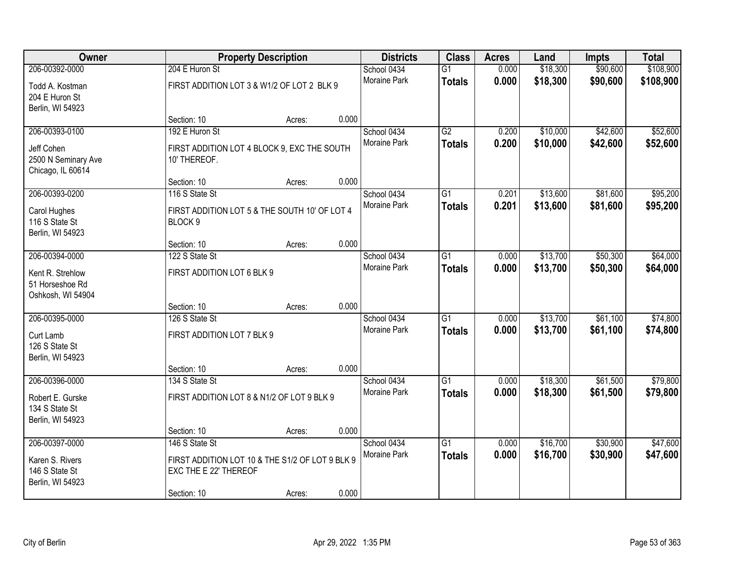| Owner                                                    |                                                                          | <b>Property Description</b> |       | <b>Districts</b>            | <b>Class</b>                     | <b>Acres</b>   | Land                 | <b>Impts</b>         | <b>Total</b>           |
|----------------------------------------------------------|--------------------------------------------------------------------------|-----------------------------|-------|-----------------------------|----------------------------------|----------------|----------------------|----------------------|------------------------|
| 206-00392-0000<br>Todd A. Kostman                        | 204 E Huron St<br>FIRST ADDITION LOT 3 & W1/2 OF LOT 2 BLK 9             |                             |       | School 0434<br>Moraine Park | $\overline{G1}$<br><b>Totals</b> | 0.000<br>0.000 | \$18,300<br>\$18,300 | \$90,600<br>\$90,600 | \$108,900<br>\$108,900 |
| 204 E Huron St<br>Berlin, WI 54923                       | Section: 10                                                              |                             | 0.000 |                             |                                  |                |                      |                      |                        |
| 206-00393-0100                                           | 192 E Huron St                                                           | Acres:                      |       | School 0434                 | G2                               | 0.200          | \$10,000             | \$42,600             | \$52,600               |
|                                                          |                                                                          |                             |       | Moraine Park                | <b>Totals</b>                    | 0.200          | \$10,000             | \$42,600             | \$52,600               |
| Jeff Cohen<br>2500 N Seminary Ave<br>Chicago, IL 60614   | FIRST ADDITION LOT 4 BLOCK 9, EXC THE SOUTH<br>10' THEREOF.              |                             |       |                             |                                  |                |                      |                      |                        |
|                                                          | Section: 10                                                              | Acres:                      | 0.000 |                             |                                  |                |                      |                      |                        |
| 206-00393-0200                                           | 116 S State St                                                           |                             |       | School 0434                 | $\overline{G1}$                  | 0.201          | \$13,600             | \$81,600             | \$95,200               |
| Carol Hughes<br>116 S State St<br>Berlin, WI 54923       | FIRST ADDITION LOT 5 & THE SOUTH 10' OF LOT 4<br>BLOCK 9                 |                             |       | Moraine Park                | <b>Totals</b>                    | 0.201          | \$13,600             | \$81,600             | \$95,200               |
|                                                          | Section: 10                                                              | Acres:                      | 0.000 |                             |                                  |                |                      |                      |                        |
| 206-00394-0000                                           | 122 S State St                                                           |                             |       | School 0434                 | G1                               | 0.000          | \$13,700             | \$50,300             | \$64,000               |
| Kent R. Strehlow<br>51 Horseshoe Rd<br>Oshkosh, WI 54904 | FIRST ADDITION LOT 6 BLK 9                                               |                             |       | <b>Moraine Park</b>         | <b>Totals</b>                    | 0.000          | \$13,700             | \$50,300             | \$64,000               |
|                                                          | Section: 10                                                              | Acres:                      | 0.000 |                             |                                  |                |                      |                      |                        |
| 206-00395-0000                                           | 126 S State St                                                           |                             |       | School 0434                 | $\overline{G1}$                  | 0.000          | \$13,700             | \$61,100             | \$74,800               |
| Curt Lamb                                                | FIRST ADDITION LOT 7 BLK 9                                               |                             |       | Moraine Park                | <b>Totals</b>                    | 0.000          | \$13,700             | \$61,100             | \$74,800               |
| 126 S State St<br>Berlin, WI 54923                       |                                                                          |                             |       |                             |                                  |                |                      |                      |                        |
|                                                          | Section: 10                                                              | Acres:                      | 0.000 |                             |                                  |                |                      |                      |                        |
| 206-00396-0000                                           | 134 S State St                                                           |                             |       | School 0434                 | $\overline{G1}$                  | 0.000          | \$18,300             | \$61,500             | \$79,800               |
| Robert E. Gurske<br>134 S State St<br>Berlin, WI 54923   | FIRST ADDITION LOT 8 & N1/2 OF LOT 9 BLK 9                               |                             |       | Moraine Park                | <b>Totals</b>                    | 0.000          | \$18,300             | \$61,500             | \$79,800               |
|                                                          | Section: 10                                                              | Acres:                      | 0.000 |                             |                                  |                |                      |                      |                        |
| 206-00397-0000                                           | 146 S State St                                                           |                             |       | School 0434                 | $\overline{G1}$                  | 0.000          | \$16,700             | \$30,900             | \$47,600               |
| Karen S. Rivers<br>146 S State St                        | FIRST ADDITION LOT 10 & THE S1/2 OF LOT 9 BLK 9<br>EXC THE E 22' THEREOF |                             |       | Moraine Park                | <b>Totals</b>                    | 0.000          | \$16,700             | \$30,900             | \$47,600               |
| Berlin, WI 54923                                         | Section: 10                                                              | Acres:                      | 0.000 |                             |                                  |                |                      |                      |                        |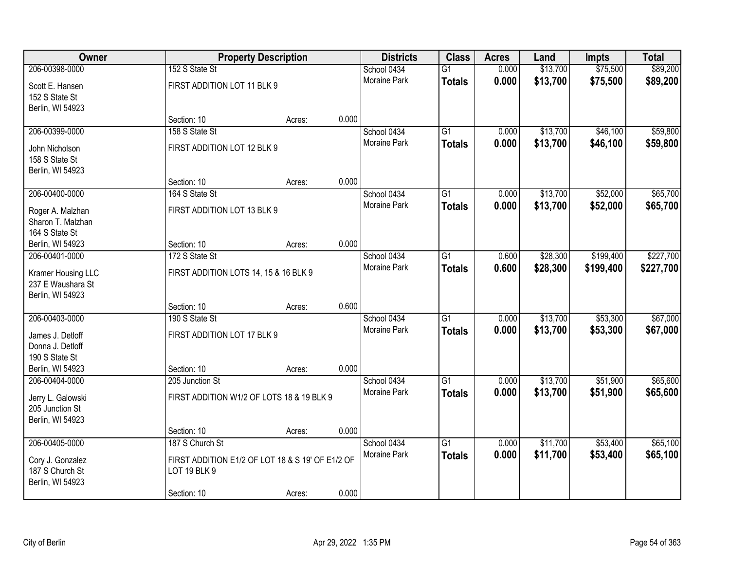| Owner              |                                                  | <b>Property Description</b> |       | <b>Districts</b> | <b>Class</b>    | <b>Acres</b> | Land     | <b>Impts</b> | <b>Total</b> |
|--------------------|--------------------------------------------------|-----------------------------|-------|------------------|-----------------|--------------|----------|--------------|--------------|
| 206-00398-0000     | 152 S State St                                   |                             |       | School 0434      | $\overline{G1}$ | 0.000        | \$13,700 | \$75,500     | \$89,200     |
| Scott E. Hansen    | FIRST ADDITION LOT 11 BLK 9                      |                             |       | Moraine Park     | <b>Totals</b>   | 0.000        | \$13,700 | \$75,500     | \$89,200     |
| 152 S State St     |                                                  |                             |       |                  |                 |              |          |              |              |
| Berlin, WI 54923   |                                                  |                             |       |                  |                 |              |          |              |              |
|                    | Section: 10                                      | Acres:                      | 0.000 |                  |                 |              |          |              |              |
| 206-00399-0000     | 158 S State St                                   |                             |       | School 0434      | $\overline{G1}$ | 0.000        | \$13,700 | \$46,100     | \$59,800     |
| John Nicholson     | FIRST ADDITION LOT 12 BLK 9                      |                             |       | Moraine Park     | <b>Totals</b>   | 0.000        | \$13,700 | \$46,100     | \$59,800     |
| 158 S State St     |                                                  |                             |       |                  |                 |              |          |              |              |
| Berlin, WI 54923   |                                                  |                             |       |                  |                 |              |          |              |              |
|                    | Section: 10                                      | Acres:                      | 0.000 |                  |                 |              |          |              |              |
| 206-00400-0000     | 164 S State St                                   |                             |       | School 0434      | $\overline{G1}$ | 0.000        | \$13,700 | \$52,000     | \$65,700     |
|                    |                                                  |                             |       | Moraine Park     | <b>Totals</b>   | 0.000        | \$13,700 | \$52,000     | \$65,700     |
| Roger A. Malzhan   | FIRST ADDITION LOT 13 BLK 9                      |                             |       |                  |                 |              |          |              |              |
| Sharon T. Malzhan  |                                                  |                             |       |                  |                 |              |          |              |              |
| 164 S State St     |                                                  |                             |       |                  |                 |              |          |              |              |
| Berlin, WI 54923   | Section: 10                                      | Acres:                      | 0.000 |                  |                 |              |          |              |              |
| 206-00401-0000     | 172 S State St                                   |                             |       | School 0434      | G1              | 0.600        | \$28,300 | \$199,400    | \$227,700    |
| Kramer Housing LLC | FIRST ADDITION LOTS 14, 15 & 16 BLK 9            |                             |       | Moraine Park     | <b>Totals</b>   | 0.600        | \$28,300 | \$199,400    | \$227,700    |
| 237 E Waushara St  |                                                  |                             |       |                  |                 |              |          |              |              |
| Berlin, WI 54923   |                                                  |                             |       |                  |                 |              |          |              |              |
|                    | Section: 10                                      | Acres:                      | 0.600 |                  |                 |              |          |              |              |
| 206-00403-0000     | 190 S State St                                   |                             |       | School 0434      | $\overline{G1}$ | 0.000        | \$13,700 | \$53,300     | \$67,000     |
| James J. Detloff   | FIRST ADDITION LOT 17 BLK 9                      |                             |       | Moraine Park     | <b>Totals</b>   | 0.000        | \$13,700 | \$53,300     | \$67,000     |
| Donna J. Detloff   |                                                  |                             |       |                  |                 |              |          |              |              |
| 190 S State St     |                                                  |                             |       |                  |                 |              |          |              |              |
| Berlin, WI 54923   | Section: 10                                      | Acres:                      | 0.000 |                  |                 |              |          |              |              |
| 206-00404-0000     | 205 Junction St                                  |                             |       | School 0434      | $\overline{G1}$ | 0.000        | \$13,700 | \$51,900     | \$65,600     |
|                    |                                                  |                             |       | Moraine Park     | <b>Totals</b>   | 0.000        | \$13,700 | \$51,900     | \$65,600     |
| Jerry L. Galowski  | FIRST ADDITION W1/2 OF LOTS 18 & 19 BLK 9        |                             |       |                  |                 |              |          |              |              |
| 205 Junction St    |                                                  |                             |       |                  |                 |              |          |              |              |
| Berlin, WI 54923   |                                                  |                             |       |                  |                 |              |          |              |              |
|                    | Section: 10                                      | Acres:                      | 0.000 |                  |                 |              |          |              |              |
| 206-00405-0000     | 187 S Church St                                  |                             |       | School 0434      | $\overline{G1}$ | 0.000        | \$11,700 | \$53,400     | \$65,100     |
| Cory J. Gonzalez   | FIRST ADDITION E1/2 OF LOT 18 & S 19' OF E1/2 OF |                             |       | Moraine Park     | <b>Totals</b>   | 0.000        | \$11,700 | \$53,400     | \$65,100     |
| 187 S Church St    | <b>LOT 19 BLK 9</b>                              |                             |       |                  |                 |              |          |              |              |
| Berlin, WI 54923   |                                                  |                             |       |                  |                 |              |          |              |              |
|                    | Section: 10                                      | Acres:                      | 0.000 |                  |                 |              |          |              |              |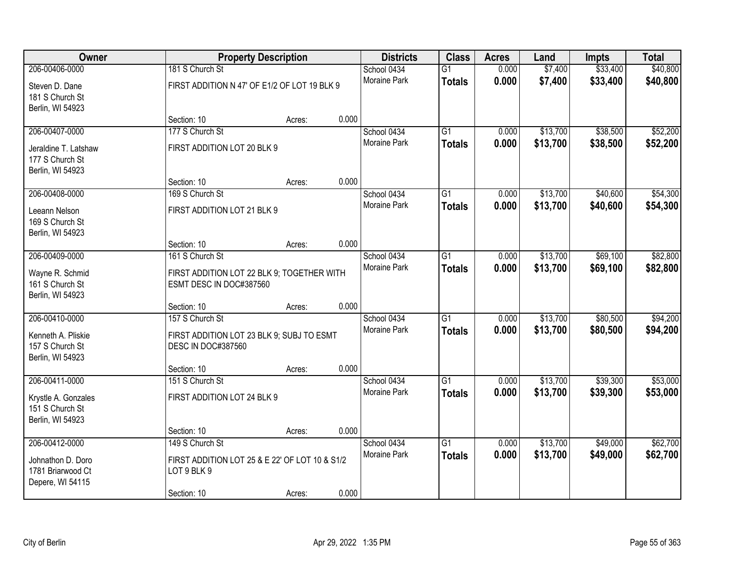| <b>Owner</b>                                                |                                                                        | <b>Property Description</b> |       | <b>Districts</b>    | <b>Class</b>    | <b>Acres</b> | Land     | Impts    | <b>Total</b> |
|-------------------------------------------------------------|------------------------------------------------------------------------|-----------------------------|-------|---------------------|-----------------|--------------|----------|----------|--------------|
| 206-00406-0000                                              | 181 S Church St                                                        |                             |       | School 0434         | $\overline{G1}$ | 0.000        | \$7,400  | \$33,400 | \$40,800     |
| Steven D. Dane<br>181 S Church St<br>Berlin, WI 54923       | FIRST ADDITION N 47' OF E1/2 OF LOT 19 BLK 9                           |                             |       | <b>Moraine Park</b> | <b>Totals</b>   | 0.000        | \$7,400  | \$33,400 | \$40,800     |
|                                                             | Section: 10                                                            | Acres:                      | 0.000 |                     |                 |              |          |          |              |
| 206-00407-0000                                              | 177 S Church St                                                        |                             |       | School 0434         | $\overline{G1}$ | 0.000        | \$13,700 | \$38,500 | \$52,200     |
| Jeraldine T. Latshaw<br>177 S Church St<br>Berlin, WI 54923 | FIRST ADDITION LOT 20 BLK 9                                            |                             |       | Moraine Park        | <b>Totals</b>   | 0.000        | \$13,700 | \$38,500 | \$52,200     |
|                                                             | Section: 10                                                            | Acres:                      | 0.000 |                     |                 |              |          |          |              |
| 206-00408-0000                                              | 169 S Church St                                                        |                             |       | School 0434         | $\overline{G1}$ | 0.000        | \$13,700 | \$40,600 | \$54,300     |
| Leeann Nelson<br>169 S Church St<br>Berlin, WI 54923        | FIRST ADDITION LOT 21 BLK 9                                            |                             |       | Moraine Park        | <b>Totals</b>   | 0.000        | \$13,700 | \$40,600 | \$54,300     |
|                                                             | Section: 10                                                            | Acres:                      | 0.000 |                     |                 |              |          |          |              |
| 206-00409-0000                                              | 161 S Church St                                                        |                             |       | School 0434         | $\overline{G1}$ | 0.000        | \$13,700 | \$69,100 | \$82,800     |
| Wayne R. Schmid<br>161 S Church St<br>Berlin, WI 54923      | FIRST ADDITION LOT 22 BLK 9; TOGETHER WITH<br>ESMT DESC IN DOC#387560  |                             |       | Moraine Park        | <b>Totals</b>   | 0.000        | \$13,700 | \$69,100 | \$82,800     |
|                                                             | Section: 10                                                            | Acres:                      | 0.000 |                     |                 |              |          |          |              |
| 206-00410-0000                                              | 157 S Church St                                                        |                             |       | School 0434         | $\overline{G1}$ | 0.000        | \$13,700 | \$80,500 | \$94,200     |
| Kenneth A. Pliskie<br>157 S Church St<br>Berlin, WI 54923   | FIRST ADDITION LOT 23 BLK 9; SUBJ TO ESMT<br><b>DESC IN DOC#387560</b> |                             |       | Moraine Park        | <b>Totals</b>   | 0.000        | \$13,700 | \$80,500 | \$94,200     |
|                                                             | Section: 10                                                            | Acres:                      | 0.000 |                     |                 |              |          |          |              |
| 206-00411-0000                                              | 151 S Church St                                                        |                             |       | School 0434         | $\overline{G1}$ | 0.000        | \$13,700 | \$39,300 | \$53,000     |
| Krystle A. Gonzales<br>151 S Church St<br>Berlin, WI 54923  | FIRST ADDITION LOT 24 BLK 9                                            |                             |       | Moraine Park        | <b>Totals</b>   | 0.000        | \$13,700 | \$39,300 | \$53,000     |
|                                                             | Section: 10                                                            | Acres:                      | 0.000 |                     |                 |              |          |          |              |
| 206-00412-0000                                              | 149 S Church St                                                        |                             |       | School 0434         | $\overline{G1}$ | 0.000        | \$13,700 | \$49,000 | \$62,700     |
| Johnathon D. Doro<br>1781 Briarwood Ct<br>Depere, WI 54115  | FIRST ADDITION LOT 25 & E 22' OF LOT 10 & S1/2<br>LOT 9 BLK 9          |                             |       | <b>Moraine Park</b> | <b>Totals</b>   | 0.000        | \$13,700 | \$49,000 | \$62,700     |
|                                                             | Section: 10                                                            | Acres:                      | 0.000 |                     |                 |              |          |          |              |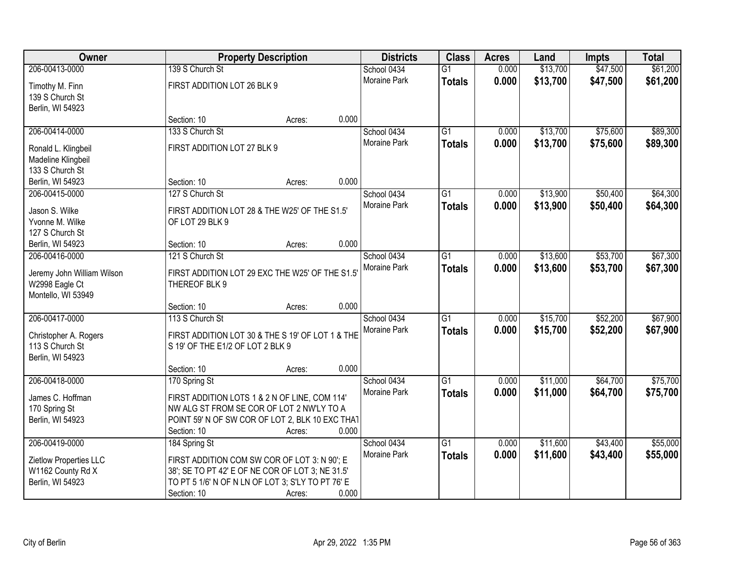| Owner                                 | <b>Property Description</b>                       |        | <b>Districts</b>    | <b>Class</b>    | <b>Acres</b> | Land     | <b>Impts</b> | <b>Total</b> |
|---------------------------------------|---------------------------------------------------|--------|---------------------|-----------------|--------------|----------|--------------|--------------|
| 206-00413-0000                        | 139 S Church St                                   |        | School 0434         | $\overline{G1}$ | 0.000        | \$13,700 | \$47,500     | \$61,200     |
| Timothy M. Finn                       | FIRST ADDITION LOT 26 BLK 9                       |        | Moraine Park        | <b>Totals</b>   | 0.000        | \$13,700 | \$47,500     | \$61,200     |
| 139 S Church St                       |                                                   |        |                     |                 |              |          |              |              |
| Berlin, WI 54923                      |                                                   |        |                     |                 |              |          |              |              |
|                                       | Section: 10                                       | Acres: | 0.000               |                 |              |          |              |              |
| 206-00414-0000                        | 133 S Church St                                   |        | School 0434         | $\overline{G1}$ | 0.000        | \$13,700 | \$75,600     | \$89,300     |
|                                       | FIRST ADDITION LOT 27 BLK 9                       |        | <b>Moraine Park</b> | <b>Totals</b>   | 0.000        | \$13,700 | \$75,600     | \$89,300     |
| Ronald L. Klingbeil                   |                                                   |        |                     |                 |              |          |              |              |
| Madeline Klingbeil<br>133 S Church St |                                                   |        |                     |                 |              |          |              |              |
| Berlin, WI 54923                      | Section: 10                                       | Acres: | 0.000               |                 |              |          |              |              |
| 206-00415-0000                        | 127 S Church St                                   |        | School 0434         | G1              | 0.000        | \$13,900 | \$50,400     | \$64,300     |
|                                       |                                                   |        | Moraine Park        | <b>Totals</b>   | 0.000        | \$13,900 | \$50,400     | \$64,300     |
| Jason S. Wilke                        | FIRST ADDITION LOT 28 & THE W25' OF THE S1.5'     |        |                     |                 |              |          |              |              |
| Yvonne M. Wilke                       | OF LOT 29 BLK 9                                   |        |                     |                 |              |          |              |              |
| 127 S Church St                       |                                                   |        |                     |                 |              |          |              |              |
| Berlin, WI 54923                      | Section: 10                                       | Acres: | 0.000               |                 |              |          |              |              |
| 206-00416-0000                        | 121 S Church St                                   |        | School 0434         | G1              | 0.000        | \$13,600 | \$53,700     | \$67,300     |
| Jeremy John William Wilson            | FIRST ADDITION LOT 29 EXC THE W25' OF THE S1.5'   |        | Moraine Park        | <b>Totals</b>   | 0.000        | \$13,600 | \$53,700     | \$67,300     |
| W2998 Eagle Ct                        | THEREOF BLK 9                                     |        |                     |                 |              |          |              |              |
| Montello, WI 53949                    |                                                   |        |                     |                 |              |          |              |              |
|                                       | Section: 10                                       | Acres: | 0.000               |                 |              |          |              |              |
| 206-00417-0000                        | 113 S Church St                                   |        | School 0434         | $\overline{G1}$ | 0.000        | \$15,700 | \$52,200     | \$67,900     |
|                                       |                                                   |        | Moraine Park        | <b>Totals</b>   | 0.000        | \$15,700 | \$52,200     | \$67,900     |
| Christopher A. Rogers                 | FIRST ADDITION LOT 30 & THE S 19' OF LOT 1 & THE  |        |                     |                 |              |          |              |              |
| 113 S Church St                       | S 19' OF THE E1/2 OF LOT 2 BLK 9                  |        |                     |                 |              |          |              |              |
| Berlin, WI 54923                      |                                                   |        |                     |                 |              |          |              |              |
|                                       | Section: 10                                       | Acres: | 0.000               |                 |              |          |              |              |
| 206-00418-0000                        | 170 Spring St                                     |        | School 0434         | $\overline{G1}$ | 0.000        | \$11,000 | \$64,700     | \$75,700     |
| James C. Hoffman                      | FIRST ADDITION LOTS 1 & 2 N OF LINE, COM 114'     |        | Moraine Park        | <b>Totals</b>   | 0.000        | \$11,000 | \$64,700     | \$75,700     |
| 170 Spring St                         | NW ALG ST FROM SE COR OF LOT 2 NW'LY TO A         |        |                     |                 |              |          |              |              |
| Berlin, WI 54923                      | POINT 59' N OF SW COR OF LOT 2, BLK 10 EXC THAT   |        |                     |                 |              |          |              |              |
|                                       | Section: 10                                       | Acres: | 0.000               |                 |              |          |              |              |
| 206-00419-0000                        | 184 Spring St                                     |        | School 0434         | $\overline{G1}$ | 0.000        | \$11,600 | \$43,400     | \$55,000     |
| Zietlow Properties LLC                | FIRST ADDITION COM SW COR OF LOT 3: N 90'; E      |        | <b>Moraine Park</b> | <b>Totals</b>   | 0.000        | \$11,600 | \$43,400     | \$55,000     |
| W1162 County Rd X                     | 38'; SE TO PT 42' E OF NE COR OF LOT 3; NE 31.5'  |        |                     |                 |              |          |              |              |
| Berlin, WI 54923                      |                                                   |        |                     |                 |              |          |              |              |
|                                       | TO PT 5 1/6' N OF N LN OF LOT 3; S'LY TO PT 76' E |        |                     |                 |              |          |              |              |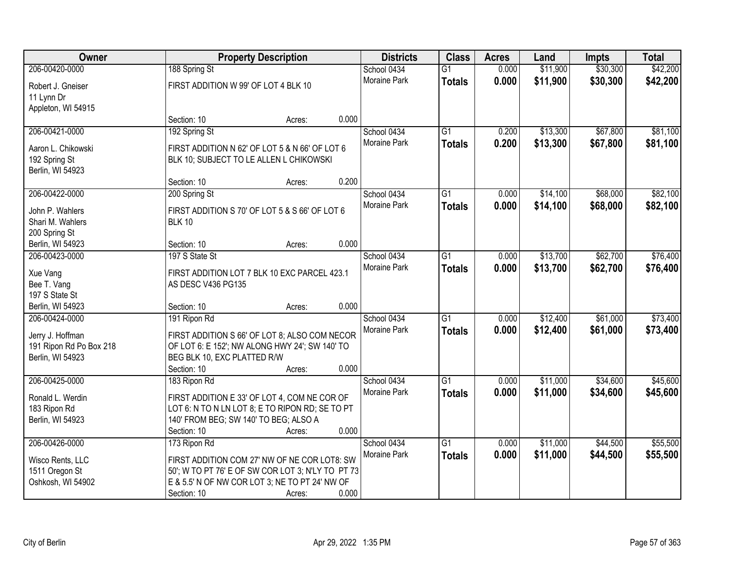| Owner                                       |                                       | <b>Property Description</b>                       |       | <b>Districts</b> | <b>Class</b>    | <b>Acres</b> | Land     | <b>Impts</b> | <b>Total</b> |
|---------------------------------------------|---------------------------------------|---------------------------------------------------|-------|------------------|-----------------|--------------|----------|--------------|--------------|
| 206-00420-0000                              | 188 Spring St                         |                                                   |       | School 0434      | $\overline{G1}$ | 0.000        | \$11,900 | \$30,300     | \$42,200     |
| Robert J. Gneiser                           | FIRST ADDITION W 99' OF LOT 4 BLK 10  |                                                   |       | Moraine Park     | <b>Totals</b>   | 0.000        | \$11,900 | \$30,300     | \$42,200     |
| 11 Lynn Dr                                  |                                       |                                                   |       |                  |                 |              |          |              |              |
| Appleton, WI 54915                          |                                       |                                                   |       |                  |                 |              |          |              |              |
|                                             | Section: 10                           | Acres:                                            | 0.000 |                  |                 |              |          |              |              |
| 206-00421-0000                              | 192 Spring St                         |                                                   |       | School 0434      | $\overline{G1}$ | 0.200        | \$13,300 | \$67,800     | \$81,100     |
| Aaron L. Chikowski                          |                                       | FIRST ADDITION N 62' OF LOT 5 & N 66' OF LOT 6    |       | Moraine Park     | <b>Totals</b>   | 0.200        | \$13,300 | \$67,800     | \$81,100     |
| 192 Spring St                               |                                       | BLK 10; SUBJECT TO LE ALLEN L CHIKOWSKI           |       |                  |                 |              |          |              |              |
| Berlin, WI 54923                            |                                       |                                                   |       |                  |                 |              |          |              |              |
|                                             | Section: 10                           | Acres:                                            | 0.200 |                  |                 |              |          |              |              |
| 206-00422-0000                              | 200 Spring St                         |                                                   |       | School 0434      | G1              | 0.000        | \$14,100 | \$68,000     | \$82,100     |
| John P. Wahlers                             |                                       | FIRST ADDITION S 70' OF LOT 5 & S 66' OF LOT 6    |       | Moraine Park     | <b>Totals</b>   | 0.000        | \$14,100 | \$68,000     | \$82,100     |
| Shari M. Wahlers                            | <b>BLK 10</b>                         |                                                   |       |                  |                 |              |          |              |              |
| 200 Spring St                               |                                       |                                                   |       |                  |                 |              |          |              |              |
| Berlin, WI 54923                            | Section: 10                           | Acres:                                            | 0.000 |                  |                 |              |          |              |              |
| 206-00423-0000                              | 197 S State St                        |                                                   |       | School 0434      | G1              | 0.000        | \$13,700 | \$62,700     | \$76,400     |
|                                             |                                       | FIRST ADDITION LOT 7 BLK 10 EXC PARCEL 423.1      |       | Moraine Park     | <b>Totals</b>   | 0.000        | \$13,700 | \$62,700     | \$76,400     |
| Xue Vang<br>Bee T. Vang                     | AS DESC V436 PG135                    |                                                   |       |                  |                 |              |          |              |              |
| 197 S State St                              |                                       |                                                   |       |                  |                 |              |          |              |              |
| Berlin, WI 54923                            | Section: 10                           | Acres:                                            | 0.000 |                  |                 |              |          |              |              |
| 206-00424-0000                              | 191 Ripon Rd                          |                                                   |       | School 0434      | $\overline{G1}$ | 0.000        | \$12,400 | \$61,000     | \$73,400     |
|                                             |                                       |                                                   |       | Moraine Park     | <b>Totals</b>   | 0.000        | \$12,400 | \$61,000     | \$73,400     |
| Jerry J. Hoffman                            |                                       | FIRST ADDITION S 66' OF LOT 8; ALSO COM NECOR     |       |                  |                 |              |          |              |              |
| 191 Ripon Rd Po Box 218<br>Berlin, WI 54923 | BEG BLK 10, EXC PLATTED R/W           | OF LOT 6: E 152'; NW ALONG HWY 24'; SW 140' TO    |       |                  |                 |              |          |              |              |
|                                             | Section: 10                           | Acres:                                            | 0.000 |                  |                 |              |          |              |              |
| 206-00425-0000                              | 183 Ripon Rd                          |                                                   |       | School 0434      | $\overline{G1}$ | 0.000        | \$11,000 | \$34,600     | \$45,600     |
|                                             |                                       |                                                   |       | Moraine Park     | <b>Totals</b>   | 0.000        | \$11,000 | \$34,600     | \$45,600     |
| Ronald L. Werdin                            |                                       | FIRST ADDITION E 33' OF LOT 4, COM NE COR OF      |       |                  |                 |              |          |              |              |
| 183 Ripon Rd                                |                                       | LOT 6: N TO N LN LOT 8; E TO RIPON RD; SE TO PT   |       |                  |                 |              |          |              |              |
| Berlin, WI 54923                            | 140' FROM BEG; SW 140' TO BEG; ALSO A |                                                   | 0.000 |                  |                 |              |          |              |              |
| 206-00426-0000                              | Section: 10<br>173 Ripon Rd           | Acres:                                            |       | School 0434      | $\overline{G1}$ | 0.000        | \$11,000 | \$44,500     | \$55,500     |
|                                             |                                       |                                                   |       | Moraine Park     |                 | 0.000        | \$11,000 | \$44,500     |              |
| Wisco Rents, LLC                            |                                       | FIRST ADDITION COM 27' NW OF NE COR LOT8: SW      |       |                  | <b>Totals</b>   |              |          |              | \$55,500     |
| 1511 Oregon St                              |                                       | 50'; W TO PT 76' E OF SW COR LOT 3; N'LY TO PT 73 |       |                  |                 |              |          |              |              |
| Oshkosh, WI 54902                           |                                       | E & 5.5' N OF NW COR LOT 3; NE TO PT 24' NW OF    |       |                  |                 |              |          |              |              |
|                                             | Section: 10                           | Acres:                                            | 0.000 |                  |                 |              |          |              |              |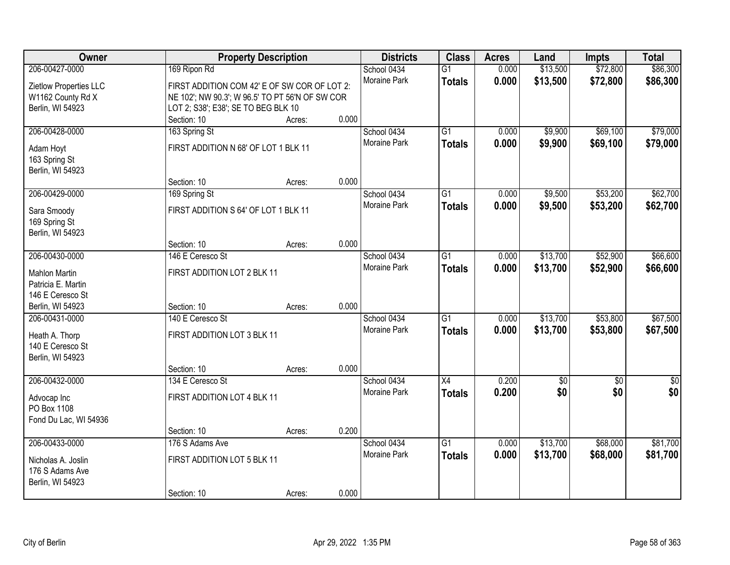| Owner                  | <b>Property Description</b>                     |        |       | <b>Districts</b>    | <b>Class</b>    | <b>Acres</b> | Land            | <b>Impts</b>    | <b>Total</b>    |
|------------------------|-------------------------------------------------|--------|-------|---------------------|-----------------|--------------|-----------------|-----------------|-----------------|
| 206-00427-0000         | 169 Ripon Rd                                    |        |       | School 0434         | $\overline{G1}$ | 0.000        | \$13,500        | \$72,800        | \$86,300        |
| Zietlow Properties LLC | FIRST ADDITION COM 42' E OF SW COR OF LOT 2:    |        |       | Moraine Park        | <b>Totals</b>   | 0.000        | \$13,500        | \$72,800        | \$86,300        |
| W1162 County Rd X      | NE 102'; NW 90.3'; W 96.5' TO PT 56'N OF SW COR |        |       |                     |                 |              |                 |                 |                 |
| Berlin, WI 54923       | LOT 2; S38'; E38'; SE TO BEG BLK 10             |        |       |                     |                 |              |                 |                 |                 |
|                        | Section: 10                                     | Acres: | 0.000 |                     |                 |              |                 |                 |                 |
| 206-00428-0000         | 163 Spring St                                   |        |       | School 0434         | $\overline{G1}$ | 0.000        | \$9,900         | \$69,100        | \$79,000        |
|                        |                                                 |        |       | <b>Moraine Park</b> | <b>Totals</b>   | 0.000        | \$9,900         | \$69,100        | \$79,000        |
| Adam Hoyt              | FIRST ADDITION N 68' OF LOT 1 BLK 11            |        |       |                     |                 |              |                 |                 |                 |
| 163 Spring St          |                                                 |        |       |                     |                 |              |                 |                 |                 |
| Berlin, WI 54923       |                                                 |        | 0.000 |                     |                 |              |                 |                 |                 |
| 206-00429-0000         | Section: 10                                     | Acres: |       |                     |                 |              |                 | \$53,200        |                 |
|                        | 169 Spring St                                   |        |       | School 0434         | $\overline{G1}$ | 0.000        | \$9,500         |                 | \$62,700        |
| Sara Smoody            | FIRST ADDITION S 64' OF LOT 1 BLK 11            |        |       | Moraine Park        | <b>Totals</b>   | 0.000        | \$9,500         | \$53,200        | \$62,700        |
| 169 Spring St          |                                                 |        |       |                     |                 |              |                 |                 |                 |
| Berlin, WI 54923       |                                                 |        |       |                     |                 |              |                 |                 |                 |
|                        | Section: 10                                     | Acres: | 0.000 |                     |                 |              |                 |                 |                 |
| 206-00430-0000         | 146 E Ceresco St                                |        |       | School 0434         | G1              | 0.000        | \$13,700        | \$52,900        | \$66,600        |
| <b>Mahlon Martin</b>   | FIRST ADDITION LOT 2 BLK 11                     |        |       | Moraine Park        | <b>Totals</b>   | 0.000        | \$13,700        | \$52,900        | \$66,600        |
| Patricia E. Martin     |                                                 |        |       |                     |                 |              |                 |                 |                 |
| 146 E Ceresco St       |                                                 |        |       |                     |                 |              |                 |                 |                 |
| Berlin, WI 54923       | Section: 10                                     | Acres: | 0.000 |                     |                 |              |                 |                 |                 |
| 206-00431-0000         | 140 E Ceresco St                                |        |       | School 0434         | $\overline{G1}$ | 0.000        | \$13,700        | \$53,800        | \$67,500        |
|                        |                                                 |        |       | Moraine Park        | <b>Totals</b>   | 0.000        | \$13,700        | \$53,800        | \$67,500        |
| Heath A. Thorp         | FIRST ADDITION LOT 3 BLK 11                     |        |       |                     |                 |              |                 |                 |                 |
| 140 E Ceresco St       |                                                 |        |       |                     |                 |              |                 |                 |                 |
| Berlin, WI 54923       |                                                 |        |       |                     |                 |              |                 |                 |                 |
|                        | Section: 10                                     | Acres: | 0.000 |                     |                 |              |                 |                 |                 |
| 206-00432-0000         | 134 E Ceresco St                                |        |       | School 0434         | $\overline{X4}$ | 0.200        | $\overline{60}$ | $\overline{50}$ | $\overline{50}$ |
| Advocap Inc            | FIRST ADDITION LOT 4 BLK 11                     |        |       | Moraine Park        | <b>Totals</b>   | 0.200        | \$0             | \$0             | \$0             |
| PO Box 1108            |                                                 |        |       |                     |                 |              |                 |                 |                 |
| Fond Du Lac, WI 54936  |                                                 |        |       |                     |                 |              |                 |                 |                 |
|                        | Section: 10                                     | Acres: | 0.200 |                     |                 |              |                 |                 |                 |
| 206-00433-0000         | 176 S Adams Ave                                 |        |       | School 0434         | $\overline{G1}$ | 0.000        | \$13,700        | \$68,000        | \$81,700        |
| Nicholas A. Joslin     | FIRST ADDITION LOT 5 BLK 11                     |        |       | <b>Moraine Park</b> | <b>Totals</b>   | 0.000        | \$13,700        | \$68,000        | \$81,700        |
| 176 S Adams Ave        |                                                 |        |       |                     |                 |              |                 |                 |                 |
| Berlin, WI 54923       |                                                 |        |       |                     |                 |              |                 |                 |                 |
|                        | Section: 10                                     | Acres: | 0.000 |                     |                 |              |                 |                 |                 |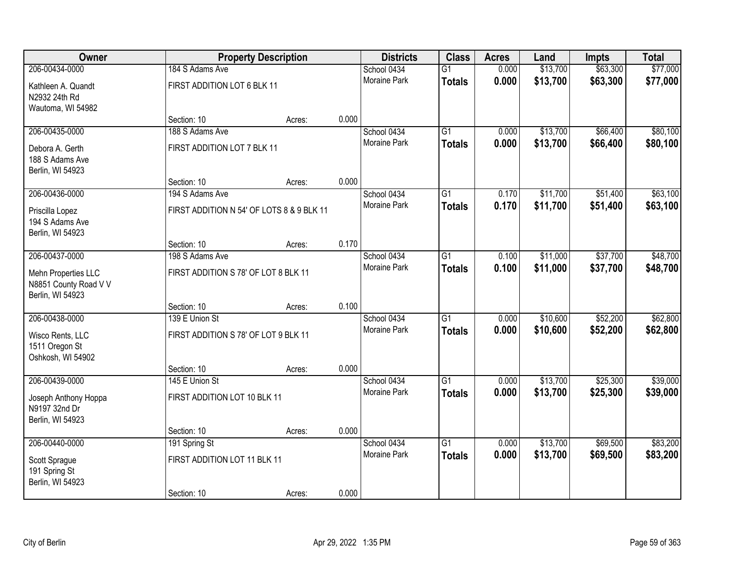| <b>Owner</b>                                                     |                                           | <b>Property Description</b> |       | <b>Districts</b>    | <b>Class</b>    | <b>Acres</b> | Land     | Impts    | <b>Total</b> |
|------------------------------------------------------------------|-------------------------------------------|-----------------------------|-------|---------------------|-----------------|--------------|----------|----------|--------------|
| 206-00434-0000                                                   | 184 S Adams Ave                           |                             |       | School 0434         | $\overline{G1}$ | 0.000        | \$13,700 | \$63,300 | \$77,000     |
| Kathleen A. Quandt<br>N2932 24th Rd<br>Wautoma, WI 54982         | FIRST ADDITION LOT 6 BLK 11               |                             |       | <b>Moraine Park</b> | <b>Totals</b>   | 0.000        | \$13,700 | \$63,300 | \$77,000     |
|                                                                  | Section: 10                               | Acres:                      | 0.000 |                     |                 |              |          |          |              |
| 206-00435-0000                                                   | 188 S Adams Ave                           |                             |       | School 0434         | $\overline{G1}$ | 0.000        | \$13,700 | \$66,400 | \$80,100     |
| Debora A. Gerth<br>188 S Adams Ave<br>Berlin, WI 54923           | FIRST ADDITION LOT 7 BLK 11               |                             |       | Moraine Park        | <b>Totals</b>   | 0.000        | \$13,700 | \$66,400 | \$80,100     |
|                                                                  | Section: 10                               | Acres:                      | 0.000 |                     |                 |              |          |          |              |
| 206-00436-0000                                                   | 194 S Adams Ave                           |                             |       | School 0434         | $\overline{G1}$ | 0.170        | \$11,700 | \$51,400 | \$63,100     |
| Priscilla Lopez<br>194 S Adams Ave<br>Berlin, WI 54923           | FIRST ADDITION N 54' OF LOTS 8 & 9 BLK 11 |                             |       | Moraine Park        | <b>Totals</b>   | 0.170        | \$11,700 | \$51,400 | \$63,100     |
|                                                                  | Section: 10                               | Acres:                      | 0.170 |                     |                 |              |          |          |              |
| 206-00437-0000                                                   | 198 S Adams Ave                           |                             |       | School 0434         | $\overline{G1}$ | 0.100        | \$11,000 | \$37,700 | \$48,700     |
| Mehn Properties LLC<br>N8851 County Road V V<br>Berlin, WI 54923 | FIRST ADDITION S 78' OF LOT 8 BLK 11      |                             |       | Moraine Park        | <b>Totals</b>   | 0.100        | \$11,000 | \$37,700 | \$48,700     |
|                                                                  | Section: 10                               | Acres:                      | 0.100 |                     |                 |              |          |          |              |
| 206-00438-0000                                                   | 139 E Union St                            |                             |       | School 0434         | $\overline{G1}$ | 0.000        | \$10,600 | \$52,200 | \$62,800     |
| Wisco Rents, LLC<br>1511 Oregon St<br>Oshkosh, WI 54902          | FIRST ADDITION S 78' OF LOT 9 BLK 11      |                             |       | <b>Moraine Park</b> | <b>Totals</b>   | 0.000        | \$10,600 | \$52,200 | \$62,800     |
|                                                                  | Section: 10                               | Acres:                      | 0.000 |                     |                 |              |          |          |              |
| 206-00439-0000                                                   | 145 E Union St                            |                             |       | School 0434         | $\overline{G1}$ | 0.000        | \$13,700 | \$25,300 | \$39,000     |
| Joseph Anthony Hoppa<br>N9197 32nd Dr<br>Berlin, WI 54923        | FIRST ADDITION LOT 10 BLK 11              |                             |       | Moraine Park        | <b>Totals</b>   | 0.000        | \$13,700 | \$25,300 | \$39,000     |
|                                                                  | Section: 10                               | Acres:                      | 0.000 |                     |                 |              |          |          |              |
| 206-00440-0000                                                   | 191 Spring St                             |                             |       | School 0434         | $\overline{G1}$ | 0.000        | \$13,700 | \$69,500 | \$83,200     |
| Scott Sprague<br>191 Spring St<br>Berlin, WI 54923               | FIRST ADDITION LOT 11 BLK 11              |                             |       | <b>Moraine Park</b> | <b>Totals</b>   | 0.000        | \$13,700 | \$69,500 | \$83,200     |
|                                                                  | Section: 10                               | Acres:                      | 0.000 |                     |                 |              |          |          |              |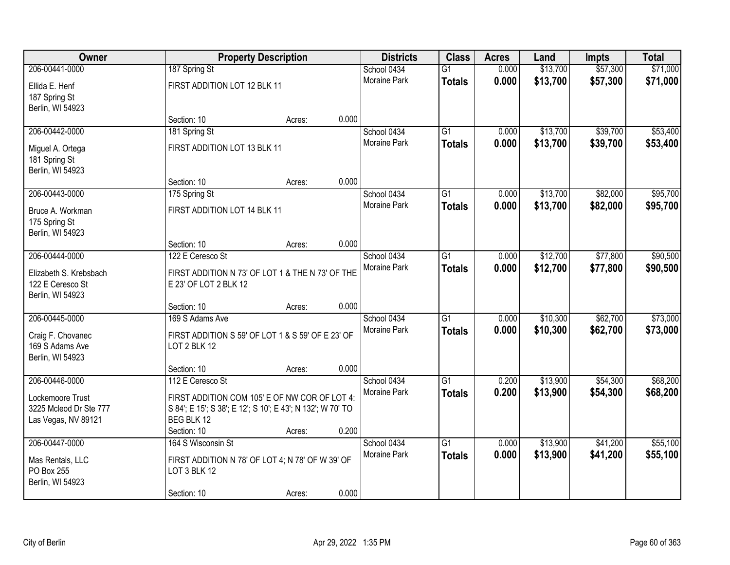| Owner                          |                                                                          | <b>Property Description</b> |       | <b>Districts</b>            | <b>Class</b>    | <b>Acres</b>   | Land     | Impts    | <b>Total</b> |
|--------------------------------|--------------------------------------------------------------------------|-----------------------------|-------|-----------------------------|-----------------|----------------|----------|----------|--------------|
| 206-00441-0000                 | 187 Spring St                                                            |                             |       | School 0434                 | $\overline{G1}$ | 0.000          | \$13,700 | \$57,300 | \$71,000     |
| Ellida E. Henf                 | FIRST ADDITION LOT 12 BLK 11                                             |                             |       | <b>Moraine Park</b>         | <b>Totals</b>   | 0.000          | \$13,700 | \$57,300 | \$71,000     |
| 187 Spring St                  |                                                                          |                             |       |                             |                 |                |          |          |              |
| Berlin, WI 54923               |                                                                          |                             |       |                             |                 |                |          |          |              |
|                                | Section: 10                                                              | Acres:                      | 0.000 |                             |                 |                |          |          |              |
| 206-00442-0000                 | 181 Spring St                                                            |                             |       | School 0434                 | $\overline{G1}$ | 0.000          | \$13,700 | \$39,700 | \$53,400     |
| Miguel A. Ortega               | FIRST ADDITION LOT 13 BLK 11                                             |                             |       | Moraine Park                | <b>Totals</b>   | 0.000          | \$13,700 | \$39,700 | \$53,400     |
| 181 Spring St                  |                                                                          |                             |       |                             |                 |                |          |          |              |
| Berlin, WI 54923               |                                                                          |                             |       |                             |                 |                |          |          |              |
|                                | Section: 10                                                              | Acres:                      | 0.000 |                             |                 |                |          |          |              |
| 206-00443-0000                 | 175 Spring St                                                            |                             |       | School 0434                 | $\overline{G1}$ | 0.000          | \$13,700 | \$82,000 | \$95,700     |
| Bruce A. Workman               | FIRST ADDITION LOT 14 BLK 11                                             |                             |       | Moraine Park                | <b>Totals</b>   | 0.000          | \$13,700 | \$82,000 | \$95,700     |
| 175 Spring St                  |                                                                          |                             |       |                             |                 |                |          |          |              |
| Berlin, WI 54923               |                                                                          |                             |       |                             |                 |                |          |          |              |
|                                | Section: 10                                                              | Acres:                      | 0.000 |                             |                 |                |          |          |              |
| 206-00444-0000                 | 122 E Ceresco St                                                         |                             |       | School 0434<br>Moraine Park | $\overline{G1}$ | 0.000<br>0.000 | \$12,700 | \$77,800 | \$90,500     |
| Elizabeth S. Krebsbach         | FIRST ADDITION N 73' OF LOT 1 & THE N 73' OF THE                         |                             |       |                             | <b>Totals</b>   |                | \$12,700 | \$77,800 | \$90,500     |
| 122 E Ceresco St               | E 23' OF LOT 2 BLK 12                                                    |                             |       |                             |                 |                |          |          |              |
| Berlin, WI 54923               |                                                                          |                             |       |                             |                 |                |          |          |              |
| 206-00445-0000                 | Section: 10<br>169 S Adams Ave                                           | Acres:                      | 0.000 | School 0434                 | $\overline{G1}$ | 0.000          | \$10,300 | \$62,700 | \$73,000     |
|                                |                                                                          |                             |       | Moraine Park                | <b>Totals</b>   | 0.000          | \$10,300 | \$62,700 | \$73,000     |
| Craig F. Chovanec              | FIRST ADDITION S 59' OF LOT 1 & S 59' OF E 23' OF                        |                             |       |                             |                 |                |          |          |              |
| 169 S Adams Ave                | LOT 2 BLK 12                                                             |                             |       |                             |                 |                |          |          |              |
| Berlin, WI 54923               | Section: 10                                                              |                             | 0.000 |                             |                 |                |          |          |              |
| 206-00446-0000                 | 112 E Ceresco St                                                         | Acres:                      |       | School 0434                 | $\overline{G1}$ | 0.200          | \$13,900 | \$54,300 | \$68,200     |
|                                |                                                                          |                             |       | Moraine Park                | <b>Totals</b>   | 0.200          | \$13,900 | \$54,300 | \$68,200     |
| Lockemoore Trust               | FIRST ADDITION COM 105' E OF NW COR OF LOT 4:                            |                             |       |                             |                 |                |          |          |              |
| 3225 Mcleod Dr Ste 777         | S 84'; E 15'; S 38'; E 12'; S 10'; E 43'; N 132'; W 70' TO<br>BEG BLK 12 |                             |       |                             |                 |                |          |          |              |
| Las Vegas, NV 89121            | Section: 10                                                              | Acres:                      | 0.200 |                             |                 |                |          |          |              |
| 206-00447-0000                 | 164 S Wisconsin St                                                       |                             |       | School 0434                 | $\overline{G1}$ | 0.000          | \$13,900 | \$41,200 | \$55,100     |
|                                |                                                                          |                             |       | <b>Moraine Park</b>         | <b>Totals</b>   | 0.000          | \$13,900 | \$41,200 | \$55,100     |
| Mas Rentals, LLC<br>PO Box 255 | FIRST ADDITION N 78' OF LOT 4; N 78' OF W 39' OF<br>LOT 3 BLK 12         |                             |       |                             |                 |                |          |          |              |
| Berlin, WI 54923               |                                                                          |                             |       |                             |                 |                |          |          |              |
|                                | Section: 10                                                              | Acres:                      | 0.000 |                             |                 |                |          |          |              |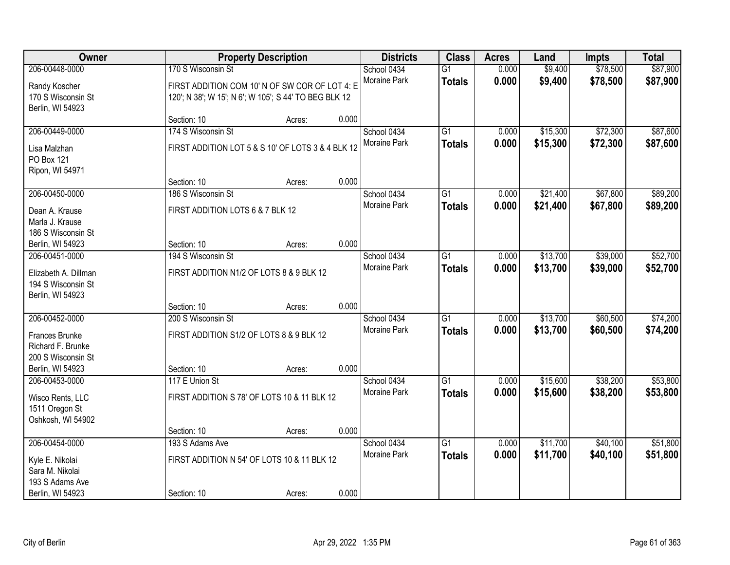| Owner                |                                                       | <b>Property Description</b> |       | <b>Districts</b> | <b>Class</b>    | <b>Acres</b> | Land     | Impts    | <b>Total</b> |
|----------------------|-------------------------------------------------------|-----------------------------|-------|------------------|-----------------|--------------|----------|----------|--------------|
| 206-00448-0000       | 170 S Wisconsin St                                    |                             |       | School 0434      | $\overline{G1}$ | 0.000        | \$9,400  | \$78,500 | \$87,900     |
| Randy Koscher        | FIRST ADDITION COM 10' N OF SW COR OF LOT 4: E        |                             |       | Moraine Park     | <b>Totals</b>   | 0.000        | \$9,400  | \$78,500 | \$87,900     |
| 170 S Wisconsin St   | 120'; N 38'; W 15'; N 6'; W 105'; S 44' TO BEG BLK 12 |                             |       |                  |                 |              |          |          |              |
| Berlin, WI 54923     |                                                       |                             |       |                  |                 |              |          |          |              |
|                      | Section: 10                                           | Acres:                      | 0.000 |                  |                 |              |          |          |              |
| 206-00449-0000       | 174 S Wisconsin St                                    |                             |       | School 0434      | $\overline{G1}$ | 0.000        | \$15,300 | \$72,300 | \$87,600     |
| Lisa Malzhan         | FIRST ADDITION LOT 5 & S 10' OF LOTS 3 & 4 BLK 12     |                             |       | Moraine Park     | <b>Totals</b>   | 0.000        | \$15,300 | \$72,300 | \$87,600     |
| PO Box 121           |                                                       |                             |       |                  |                 |              |          |          |              |
| Ripon, WI 54971      |                                                       |                             |       |                  |                 |              |          |          |              |
|                      | Section: 10                                           | Acres:                      | 0.000 |                  |                 |              |          |          |              |
| 206-00450-0000       | 186 S Wisconsin St                                    |                             |       | School 0434      | $\overline{G1}$ | 0.000        | \$21,400 | \$67,800 | \$89,200     |
| Dean A. Krause       | FIRST ADDITION LOTS 6 & 7 BLK 12                      |                             |       | Moraine Park     | <b>Totals</b>   | 0.000        | \$21,400 | \$67,800 | \$89,200     |
| Marla J. Krause      |                                                       |                             |       |                  |                 |              |          |          |              |
| 186 S Wisconsin St   |                                                       |                             |       |                  |                 |              |          |          |              |
| Berlin, WI 54923     | Section: 10                                           | Acres:                      | 0.000 |                  |                 |              |          |          |              |
| 206-00451-0000       | 194 S Wisconsin St                                    |                             |       | School 0434      | $\overline{G1}$ | 0.000        | \$13,700 | \$39,000 | \$52,700     |
| Elizabeth A. Dillman | FIRST ADDITION N1/2 OF LOTS 8 & 9 BLK 12              |                             |       | Moraine Park     | <b>Totals</b>   | 0.000        | \$13,700 | \$39,000 | \$52,700     |
| 194 S Wisconsin St   |                                                       |                             |       |                  |                 |              |          |          |              |
| Berlin, WI 54923     |                                                       |                             |       |                  |                 |              |          |          |              |
|                      | Section: 10                                           | Acres:                      | 0.000 |                  |                 |              |          |          |              |
| 206-00452-0000       | 200 S Wisconsin St                                    |                             |       | School 0434      | $\overline{G1}$ | 0.000        | \$13,700 | \$60,500 | \$74,200     |
| Frances Brunke       | FIRST ADDITION S1/2 OF LOTS 8 & 9 BLK 12              |                             |       | Moraine Park     | <b>Totals</b>   | 0.000        | \$13,700 | \$60,500 | \$74,200     |
| Richard F. Brunke    |                                                       |                             |       |                  |                 |              |          |          |              |
| 200 S Wisconsin St   |                                                       |                             |       |                  |                 |              |          |          |              |
| Berlin, WI 54923     | Section: 10                                           | Acres:                      | 0.000 |                  |                 |              |          |          |              |
| 206-00453-0000       | 117 E Union St                                        |                             |       | School 0434      | $\overline{G1}$ | 0.000        | \$15,600 | \$38,200 | \$53,800     |
| Wisco Rents, LLC     | FIRST ADDITION S 78' OF LOTS 10 & 11 BLK 12           |                             |       | Moraine Park     | <b>Totals</b>   | 0.000        | \$15,600 | \$38,200 | \$53,800     |
| 1511 Oregon St       |                                                       |                             |       |                  |                 |              |          |          |              |
| Oshkosh, WI 54902    |                                                       |                             |       |                  |                 |              |          |          |              |
|                      | Section: 10                                           | Acres:                      | 0.000 |                  |                 |              |          |          |              |
| 206-00454-0000       | 193 S Adams Ave                                       |                             |       | School 0434      | $\overline{G1}$ | 0.000        | \$11,700 | \$40,100 | \$51,800     |
| Kyle E. Nikolai      | FIRST ADDITION N 54' OF LOTS 10 & 11 BLK 12           |                             |       | Moraine Park     | <b>Totals</b>   | 0.000        | \$11,700 | \$40,100 | \$51,800     |
| Sara M. Nikolai      |                                                       |                             |       |                  |                 |              |          |          |              |
| 193 S Adams Ave      |                                                       |                             |       |                  |                 |              |          |          |              |
| Berlin, WI 54923     | Section: 10                                           | Acres:                      | 0.000 |                  |                 |              |          |          |              |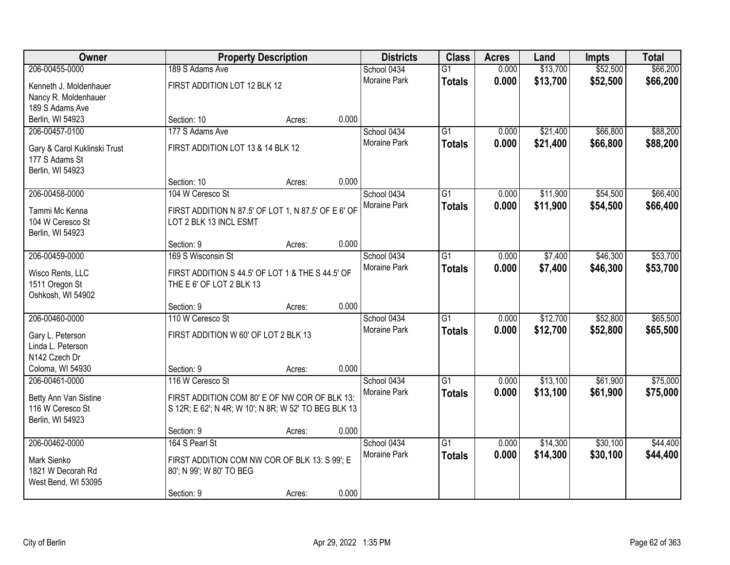| Owner                                     |                                                                                                       | <b>Property Description</b> |       |                     | <b>Class</b>    | <b>Acres</b> | Land     | <b>Impts</b> | <b>Total</b> |
|-------------------------------------------|-------------------------------------------------------------------------------------------------------|-----------------------------|-------|---------------------|-----------------|--------------|----------|--------------|--------------|
| 206-00455-0000                            | 189 S Adams Ave                                                                                       |                             |       | School 0434         | $\overline{G1}$ | 0.000        | \$13,700 | \$52,500     | \$66,200     |
| Kenneth J. Moldenhauer                    | FIRST ADDITION LOT 12 BLK 12                                                                          |                             |       | Moraine Park        | <b>Totals</b>   | 0.000        | \$13,700 | \$52,500     | \$66,200     |
| Nancy R. Moldenhauer                      |                                                                                                       |                             |       |                     |                 |              |          |              |              |
| 189 S Adams Ave                           |                                                                                                       |                             |       |                     |                 |              |          |              |              |
| Berlin, WI 54923                          | Section: 10                                                                                           | Acres:                      | 0.000 |                     |                 |              |          |              |              |
| 206-00457-0100                            | 177 S Adams Ave                                                                                       |                             |       | School 0434         | $\overline{G1}$ | 0.000        | \$21,400 | \$66,800     | \$88,200     |
| Gary & Carol Kuklinski Trust              | FIRST ADDITION LOT 13 & 14 BLK 12                                                                     |                             |       | Moraine Park        | <b>Totals</b>   | 0.000        | \$21,400 | \$66,800     | \$88,200     |
| 177 S Adams St                            |                                                                                                       |                             |       |                     |                 |              |          |              |              |
| Berlin, WI 54923                          |                                                                                                       |                             |       |                     |                 |              |          |              |              |
|                                           | Section: 10                                                                                           | Acres:                      | 0.000 |                     |                 |              |          |              |              |
| 206-00458-0000                            | 104 W Ceresco St                                                                                      |                             |       | School 0434         | G1              | 0.000        | \$11,900 | \$54,500     | \$66,400     |
| Tammi Mc Kenna                            | FIRST ADDITION N 87.5' OF LOT 1, N 87.5' OF E 6' OF                                                   |                             |       | Moraine Park        | <b>Totals</b>   | 0.000        | \$11,900 | \$54,500     | \$66,400     |
| 104 W Ceresco St                          | LOT 2 BLK 13 INCL ESMT                                                                                |                             |       |                     |                 |              |          |              |              |
| Berlin, WI 54923                          |                                                                                                       |                             |       |                     |                 |              |          |              |              |
|                                           | Section: 9                                                                                            | Acres:                      | 0.000 |                     |                 |              |          |              |              |
| 206-00459-0000                            | 169 S Wisconsin St                                                                                    |                             |       | School 0434         | G1              | 0.000        | \$7,400  | \$46,300     | \$53,700     |
|                                           |                                                                                                       |                             |       | Moraine Park        | <b>Totals</b>   | 0.000        | \$7,400  | \$46,300     | \$53,700     |
| Wisco Rents, LLC<br>1511 Oregon St        | FIRST ADDITION S 44.5' OF LOT 1 & THE S 44.5' OF<br>THE E 6' OF LOT 2 BLK 13                          |                             |       |                     |                 |              |          |              |              |
| Oshkosh, WI 54902                         |                                                                                                       |                             |       |                     |                 |              |          |              |              |
|                                           | Section: 9                                                                                            | Acres:                      | 0.000 |                     |                 |              |          |              |              |
| 206-00460-0000                            | 110 W Ceresco St                                                                                      |                             |       | School 0434         | $\overline{G1}$ | 0.000        | \$12,700 | \$52,800     | \$65,500     |
|                                           |                                                                                                       |                             |       | Moraine Park        | <b>Totals</b>   | 0.000        | \$12,700 | \$52,800     | \$65,500     |
| Gary L. Peterson<br>Linda L. Peterson     | FIRST ADDITION W 60' OF LOT 2 BLK 13                                                                  |                             |       |                     |                 |              |          |              |              |
| N142 Czech Dr                             |                                                                                                       |                             |       |                     |                 |              |          |              |              |
| Coloma, WI 54930                          | Section: 9                                                                                            | Acres:                      | 0.000 |                     |                 |              |          |              |              |
| 206-00461-0000                            | 116 W Ceresco St                                                                                      |                             |       | School 0434         | $\overline{G1}$ | 0.000        | \$13,100 | \$61,900     | \$75,000     |
|                                           |                                                                                                       |                             |       | Moraine Park        | <b>Totals</b>   | 0.000        | \$13,100 | \$61,900     | \$75,000     |
| Betty Ann Van Sistine<br>116 W Ceresco St | FIRST ADDITION COM 80' E OF NW COR OF BLK 13:<br>S 12R; E 62'; N 4R; W 10'; N 8R; W 52' TO BEG BLK 13 |                             |       |                     |                 |              |          |              |              |
| Berlin, WI 54923                          |                                                                                                       |                             |       |                     |                 |              |          |              |              |
|                                           | Section: 9                                                                                            | Acres:                      | 0.000 |                     |                 |              |          |              |              |
| 206-00462-0000                            | 164 S Pearl St                                                                                        |                             |       | School 0434         | $\overline{G1}$ | 0.000        | \$14,300 | \$30,100     | \$44,400     |
|                                           |                                                                                                       |                             |       | <b>Moraine Park</b> | <b>Totals</b>   | 0.000        | \$14,300 | \$30,100     | \$44,400     |
| Mark Sienko                               | FIRST ADDITION COM NW COR OF BLK 13: S 99'; E                                                         |                             |       |                     |                 |              |          |              |              |
| 1821 W Decorah Rd<br>West Bend, WI 53095  | 80'; N 99'; W 80' TO BEG                                                                              |                             |       |                     |                 |              |          |              |              |
|                                           | Section: 9                                                                                            | Acres:                      | 0.000 |                     |                 |              |          |              |              |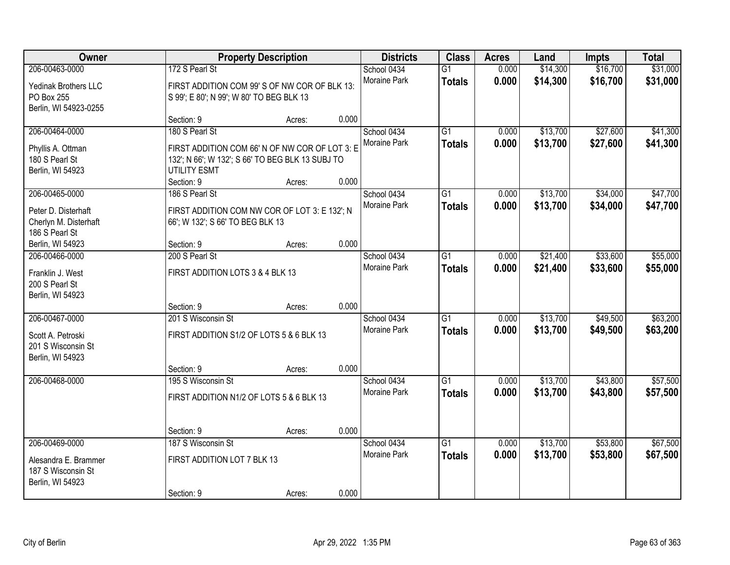| Owner                                                                                        |                                                                                                                                                           | <b>Property Description</b> |                | <b>Districts</b>                   | <b>Class</b>                     | <b>Acres</b>   | Land                 | <b>Impts</b>         | <b>Total</b>         |
|----------------------------------------------------------------------------------------------|-----------------------------------------------------------------------------------------------------------------------------------------------------------|-----------------------------|----------------|------------------------------------|----------------------------------|----------------|----------------------|----------------------|----------------------|
| 206-00463-0000<br><b>Yedinak Brothers LLC</b><br>PO Box 255<br>Berlin, WI 54923-0255         | 172 S Pearl St<br>FIRST ADDITION COM 99'S OF NW COR OF BLK 13:<br>S 99'; E 80'; N 99'; W 80' TO BEG BLK 13                                                |                             |                | School 0434<br>Moraine Park        | $\overline{G1}$<br><b>Totals</b> | 0.000<br>0.000 | \$14,300<br>\$14,300 | \$16,700<br>\$16,700 | \$31,000<br>\$31,000 |
|                                                                                              | Section: 9                                                                                                                                                | Acres:                      | 0.000          |                                    |                                  |                |                      |                      |                      |
| 206-00464-0000<br>Phyllis A. Ottman<br>180 S Pearl St<br>Berlin, WI 54923                    | 180 S Pearl St<br>FIRST ADDITION COM 66' N OF NW COR OF LOT 3: E<br>132'; N 66'; W 132'; S 66' TO BEG BLK 13 SUBJ TO<br><b>UTILITY ESMT</b><br>Section: 9 | Acres:                      | 0.000          | School 0434<br>Moraine Park        | $\overline{G1}$<br><b>Totals</b> | 0.000<br>0.000 | \$13,700<br>\$13,700 | \$27,600<br>\$27,600 | \$41,300<br>\$41,300 |
| 206-00465-0000<br>Peter D. Disterhaft<br>Cherlyn M. Disterhaft<br>186 S Pearl St             | 186 S Pearl St<br>FIRST ADDITION COM NW COR OF LOT 3: E 132'; N<br>66'; W 132'; S 66' TO BEG BLK 13                                                       |                             | 0.000          | School 0434<br>Moraine Park        | G1<br><b>Totals</b>              | 0.000<br>0.000 | \$13,700<br>\$13,700 | \$34,000<br>\$34,000 | \$47,700<br>\$47,700 |
| Berlin, WI 54923<br>206-00466-0000<br>Franklin J. West<br>200 S Pearl St<br>Berlin, WI 54923 | Section: 9<br>200 S Pearl St<br>FIRST ADDITION LOTS 3 & 4 BLK 13                                                                                          | Acres:                      |                | School 0434<br>Moraine Park        | G1<br><b>Totals</b>              | 0.000<br>0.000 | \$21,400<br>\$21,400 | \$33,600<br>\$33,600 | \$55,000<br>\$55,000 |
| 206-00467-0000<br>Scott A. Petroski<br>201 S Wisconsin St<br>Berlin, WI 54923                | Section: 9<br>201 S Wisconsin St<br>FIRST ADDITION S1/2 OF LOTS 5 & 6 BLK 13<br>Section: 9                                                                | Acres:<br>Acres:            | 0.000<br>0.000 | School 0434<br>Moraine Park        | $\overline{G1}$<br><b>Totals</b> | 0.000<br>0.000 | \$13,700<br>\$13,700 | \$49,500<br>\$49,500 | \$63,200<br>\$63,200 |
| 206-00468-0000                                                                               | 195 S Wisconsin St<br>FIRST ADDITION N1/2 OF LOTS 5 & 6 BLK 13<br>Section: 9                                                                              | Acres:                      | 0.000          | School 0434<br>Moraine Park        | $\overline{G1}$<br><b>Totals</b> | 0.000<br>0.000 | \$13,700<br>\$13,700 | \$43,800<br>\$43,800 | \$57,500<br>\$57,500 |
| 206-00469-0000<br>Alesandra E. Brammer<br>187 S Wisconsin St<br>Berlin, WI 54923             | 187 S Wisconsin St<br>FIRST ADDITION LOT 7 BLK 13<br>Section: 9                                                                                           | Acres:                      | 0.000          | School 0434<br><b>Moraine Park</b> | $\overline{G1}$<br><b>Totals</b> | 0.000<br>0.000 | \$13,700<br>\$13,700 | \$53,800<br>\$53,800 | \$67,500<br>\$67,500 |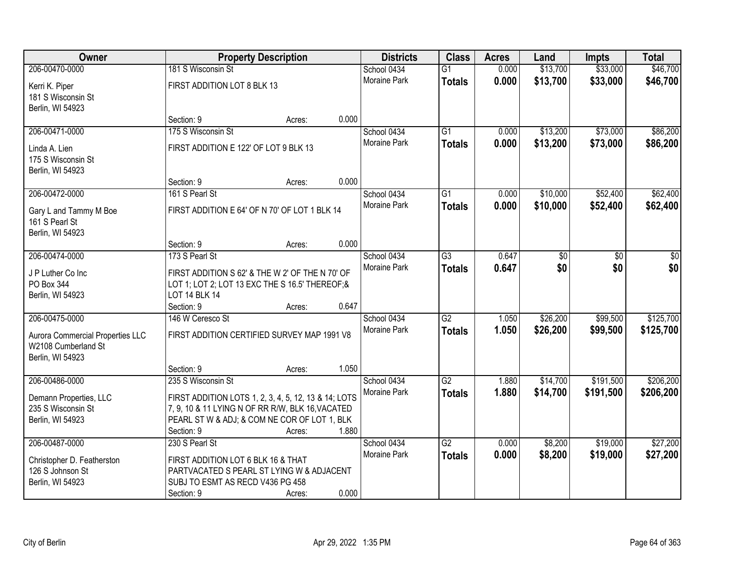| Owner                            |                                                      | <b>Property Description</b> |       | <b>Districts</b>    | <b>Class</b>    | <b>Acres</b> | Land     | <b>Impts</b> | <b>Total</b> |
|----------------------------------|------------------------------------------------------|-----------------------------|-------|---------------------|-----------------|--------------|----------|--------------|--------------|
| 206-00470-0000                   | 181 S Wisconsin St                                   |                             |       | School 0434         | $\overline{G1}$ | 0.000        | \$13,700 | \$33,000     | \$46,700     |
| Kerri K. Piper                   | FIRST ADDITION LOT 8 BLK 13                          |                             |       | Moraine Park        | <b>Totals</b>   | 0.000        | \$13,700 | \$33,000     | \$46,700     |
| 181 S Wisconsin St               |                                                      |                             |       |                     |                 |              |          |              |              |
| Berlin, WI 54923                 |                                                      |                             |       |                     |                 |              |          |              |              |
|                                  | Section: 9                                           | Acres:                      | 0.000 |                     |                 |              |          |              |              |
| 206-00471-0000                   | 175 S Wisconsin St                                   |                             |       | School 0434         | $\overline{G1}$ | 0.000        | \$13,200 | \$73,000     | \$86,200     |
| Linda A. Lien                    | FIRST ADDITION E 122' OF LOT 9 BLK 13                |                             |       | <b>Moraine Park</b> | <b>Totals</b>   | 0.000        | \$13,200 | \$73,000     | \$86,200     |
| 175 S Wisconsin St               |                                                      |                             |       |                     |                 |              |          |              |              |
| Berlin, WI 54923                 |                                                      |                             |       |                     |                 |              |          |              |              |
|                                  | Section: 9                                           | Acres:                      | 0.000 |                     |                 |              |          |              |              |
| 206-00472-0000                   | 161 S Pearl St                                       |                             |       | School 0434         | G1              | 0.000        | \$10,000 | \$52,400     | \$62,400     |
| Gary L and Tammy M Boe           | FIRST ADDITION E 64' OF N 70' OF LOT 1 BLK 14        |                             |       | Moraine Park        | <b>Totals</b>   | 0.000        | \$10,000 | \$52,400     | \$62,400     |
| 161 S Pearl St                   |                                                      |                             |       |                     |                 |              |          |              |              |
| Berlin, WI 54923                 |                                                      |                             |       |                     |                 |              |          |              |              |
|                                  | Section: 9                                           | Acres:                      | 0.000 |                     |                 |              |          |              |              |
| 206-00474-0000                   | 173 S Pearl St                                       |                             |       | School 0434         | $\overline{G3}$ | 0.647        | \$0      | \$0          | \$0          |
| J P Luther Co Inc                | FIRST ADDITION S 62' & THE W 2' OF THE N 70' OF      |                             |       | Moraine Park        | <b>Totals</b>   | 0.647        | \$0      | \$0          | \$0          |
| PO Box 344                       | LOT 1; LOT 2; LOT 13 EXC THE S 16.5' THEREOF;&       |                             |       |                     |                 |              |          |              |              |
| Berlin, WI 54923                 | <b>LOT 14 BLK 14</b>                                 |                             |       |                     |                 |              |          |              |              |
|                                  | Section: 9                                           | Acres:                      | 0.647 |                     |                 |              |          |              |              |
| 206-00475-0000                   | 146 W Ceresco St                                     |                             |       | School 0434         | $\overline{G2}$ | 1.050        | \$26,200 | \$99,500     | \$125,700    |
| Aurora Commercial Properties LLC | FIRST ADDITION CERTIFIED SURVEY MAP 1991 V8          |                             |       | Moraine Park        | <b>Totals</b>   | 1.050        | \$26,200 | \$99,500     | \$125,700    |
| W2108 Cumberland St              |                                                      |                             |       |                     |                 |              |          |              |              |
| Berlin, WI 54923                 |                                                      |                             |       |                     |                 |              |          |              |              |
|                                  | Section: 9                                           | Acres:                      | 1.050 |                     |                 |              |          |              |              |
| 206-00486-0000                   | 235 S Wisconsin St                                   |                             |       | School 0434         | $\overline{G2}$ | 1.880        | \$14,700 | \$191,500    | \$206,200    |
| Demann Properties, LLC           | FIRST ADDITION LOTS 1, 2, 3, 4, 5, 12, 13 & 14; LOTS |                             |       | Moraine Park        | <b>Totals</b>   | 1.880        | \$14,700 | \$191,500    | \$206,200    |
| 235 S Wisconsin St               | 7, 9, 10 & 11 LYING N OF RR R/W, BLK 16, VACATED     |                             |       |                     |                 |              |          |              |              |
| Berlin, WI 54923                 | PEARL ST W & ADJ; & COM NE COR OF LOT 1, BLK         |                             |       |                     |                 |              |          |              |              |
|                                  | Section: 9                                           | Acres:                      | 1.880 |                     |                 |              |          |              |              |
| 206-00487-0000                   | 230 S Pearl St                                       |                             |       | School 0434         | $\overline{G2}$ | 0.000        | \$8,200  | \$19,000     | \$27,200     |
| Christopher D. Featherston       | FIRST ADDITION LOT 6 BLK 16 & THAT                   |                             |       | <b>Moraine Park</b> | <b>Totals</b>   | 0.000        | \$8,200  | \$19,000     | \$27,200     |
| 126 S Johnson St                 | PARTVACATED S PEARL ST LYING W & ADJACENT            |                             |       |                     |                 |              |          |              |              |
| Berlin, WI 54923                 | SUBJ TO ESMT AS RECD V436 PG 458                     |                             |       |                     |                 |              |          |              |              |
|                                  | Section: 9                                           | Acres:                      | 0.000 |                     |                 |              |          |              |              |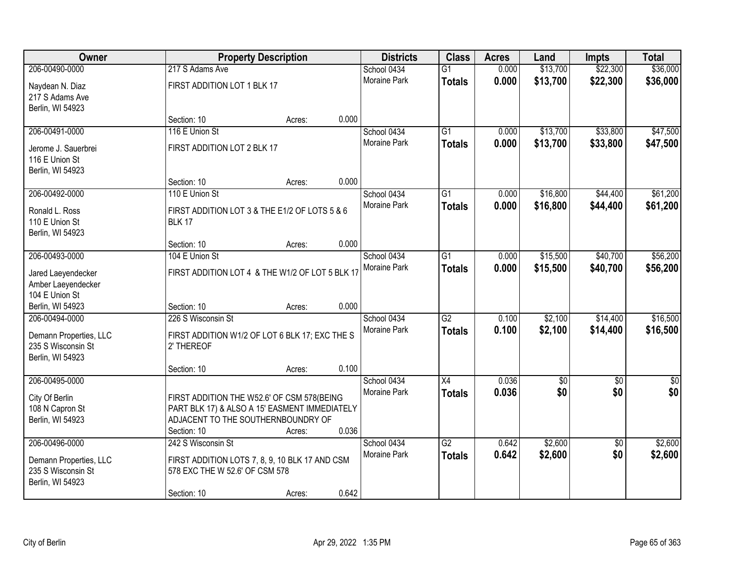| Owner                  |                                                 | <b>Property Description</b> |       | <b>Districts</b>            | <b>Class</b>    | <b>Acres</b>   | Land              | Impts                  | <b>Total</b>           |
|------------------------|-------------------------------------------------|-----------------------------|-------|-----------------------------|-----------------|----------------|-------------------|------------------------|------------------------|
| 206-00490-0000         | 217 S Adams Ave                                 |                             |       | School 0434                 | $\overline{G1}$ | 0.000          | \$13,700          | \$22,300               | \$36,000               |
| Naydean N. Diaz        | FIRST ADDITION LOT 1 BLK 17                     |                             |       | <b>Moraine Park</b>         | <b>Totals</b>   | 0.000          | \$13,700          | \$22,300               | \$36,000               |
| 217 S Adams Ave        |                                                 |                             |       |                             |                 |                |                   |                        |                        |
| Berlin, WI 54923       |                                                 |                             |       |                             |                 |                |                   |                        |                        |
|                        | Section: 10                                     | Acres:                      | 0.000 |                             |                 |                |                   |                        |                        |
| 206-00491-0000         | 116 E Union St                                  |                             |       | School 0434                 | $\overline{G1}$ | 0.000          | \$13,700          | \$33,800               | \$47,500               |
| Jerome J. Sauerbrei    | FIRST ADDITION LOT 2 BLK 17                     |                             |       | Moraine Park                | <b>Totals</b>   | 0.000          | \$13,700          | \$33,800               | \$47,500               |
| 116 E Union St         |                                                 |                             |       |                             |                 |                |                   |                        |                        |
| Berlin, WI 54923       |                                                 |                             |       |                             |                 |                |                   |                        |                        |
|                        | Section: 10                                     | Acres:                      | 0.000 |                             |                 |                |                   |                        |                        |
| 206-00492-0000         | 110 E Union St                                  |                             |       | School 0434                 | $\overline{G1}$ | 0.000          | \$16,800          | \$44,400               | \$61,200               |
| Ronald L. Ross         | FIRST ADDITION LOT 3 & THE E1/2 OF LOTS 5 & 6   |                             |       | Moraine Park                | <b>Totals</b>   | 0.000          | \$16,800          | \$44,400               | \$61,200               |
| 110 E Union St         | <b>BLK 17</b>                                   |                             |       |                             |                 |                |                   |                        |                        |
| Berlin, WI 54923       |                                                 |                             |       |                             |                 |                |                   |                        |                        |
|                        | Section: 10                                     | Acres:                      | 0.000 |                             |                 |                |                   |                        |                        |
| 206-00493-0000         | 104 E Union St                                  |                             |       | School 0434                 | $\overline{G1}$ | 0.000          | \$15,500          | \$40,700               | \$56,200               |
| Jared Laeyendecker     | FIRST ADDITION LOT 4 & THE W1/2 OF LOT 5 BLK 17 |                             |       | Moraine Park                | <b>Totals</b>   | 0.000          | \$15,500          | \$40,700               | \$56,200               |
| Amber Laeyendecker     |                                                 |                             |       |                             |                 |                |                   |                        |                        |
| 104 E Union St         |                                                 |                             |       |                             |                 |                |                   |                        |                        |
| Berlin, WI 54923       | Section: 10                                     | Acres:                      | 0.000 |                             |                 |                |                   |                        |                        |
| 206-00494-0000         | 226 S Wisconsin St                              |                             |       | School 0434                 | $\overline{G2}$ | 0.100          | \$2,100           | \$14,400               | \$16,500               |
| Demann Properties, LLC | FIRST ADDITION W1/2 OF LOT 6 BLK 17; EXC THE S  |                             |       | Moraine Park                | <b>Totals</b>   | 0.100          | \$2,100           | \$14,400               | \$16,500               |
| 235 S Wisconsin St     | 2' THEREOF                                      |                             |       |                             |                 |                |                   |                        |                        |
| Berlin, WI 54923       |                                                 |                             |       |                             |                 |                |                   |                        |                        |
|                        | Section: 10                                     | Acres:                      | 0.100 |                             |                 |                |                   |                        |                        |
| 206-00495-0000         |                                                 |                             |       | School 0434<br>Moraine Park | X4              | 0.036<br>0.036 | $\sqrt{6}$<br>\$0 | $\sqrt{6}$<br>\$0      | $\overline{50}$<br>\$0 |
| City Of Berlin         | FIRST ADDITION THE W52.6' OF CSM 578(BEING      |                             |       |                             | <b>Totals</b>   |                |                   |                        |                        |
| 108 N Capron St        | PART BLK 17) & ALSO A 15' EASMENT IMMEDIATELY   |                             |       |                             |                 |                |                   |                        |                        |
| Berlin, WI 54923       | ADJACENT TO THE SOUTHERNBOUNDRY OF              |                             |       |                             |                 |                |                   |                        |                        |
| 206-00496-0000         | Section: 10<br>242 S Wisconsin St               | Acres:                      | 0.036 | School 0434                 | $\overline{G2}$ | 0.642          | \$2,600           |                        | \$2,600                |
|                        |                                                 |                             |       | <b>Moraine Park</b>         | <b>Totals</b>   | 0.642          | \$2,600           | $\overline{50}$<br>\$0 | \$2,600                |
| Demann Properties, LLC | FIRST ADDITION LOTS 7, 8, 9, 10 BLK 17 AND CSM  |                             |       |                             |                 |                |                   |                        |                        |
| 235 S Wisconsin St     | 578 EXC THE W 52.6' OF CSM 578                  |                             |       |                             |                 |                |                   |                        |                        |
| Berlin, WI 54923       |                                                 |                             |       |                             |                 |                |                   |                        |                        |
|                        | Section: 10                                     | Acres:                      | 0.642 |                             |                 |                |                   |                        |                        |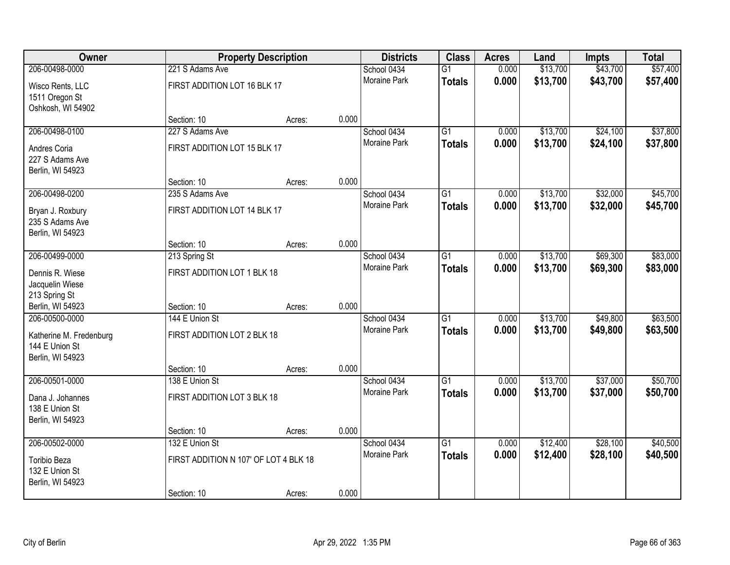| Owner                            |                                       | <b>Property Description</b> |       | <b>Districts</b>            | <b>Class</b>    | <b>Acres</b> | Land     | <b>Impts</b> | <b>Total</b> |
|----------------------------------|---------------------------------------|-----------------------------|-------|-----------------------------|-----------------|--------------|----------|--------------|--------------|
| 206-00498-0000                   | 221 S Adams Ave                       |                             |       | School 0434                 | $\overline{G1}$ | 0.000        | \$13,700 | \$43,700     | \$57,400     |
| Wisco Rents, LLC                 | FIRST ADDITION LOT 16 BLK 17          |                             |       | <b>Moraine Park</b>         | <b>Totals</b>   | 0.000        | \$13,700 | \$43,700     | \$57,400     |
| 1511 Oregon St                   |                                       |                             |       |                             |                 |              |          |              |              |
| Oshkosh, WI 54902                |                                       |                             |       |                             |                 |              |          |              |              |
|                                  | Section: 10                           | Acres:                      | 0.000 |                             |                 |              |          |              |              |
| 206-00498-0100                   | 227 S Adams Ave                       |                             |       | School 0434                 | $\overline{G1}$ | 0.000        | \$13,700 | \$24,100     | \$37,800     |
| Andres Coria                     | FIRST ADDITION LOT 15 BLK 17          |                             |       | Moraine Park                | <b>Totals</b>   | 0.000        | \$13,700 | \$24,100     | \$37,800     |
| 227 S Adams Ave                  |                                       |                             |       |                             |                 |              |          |              |              |
| Berlin, WI 54923                 |                                       |                             |       |                             |                 |              |          |              |              |
| 206-00498-0200                   | Section: 10                           | Acres:                      | 0.000 |                             | $\overline{G1}$ | 0.000        | \$13,700 | \$32,000     | \$45,700     |
|                                  | 235 S Adams Ave                       |                             |       | School 0434<br>Moraine Park |                 | 0.000        | \$13,700 | \$32,000     |              |
| Bryan J. Roxbury                 | FIRST ADDITION LOT 14 BLK 17          |                             |       |                             | <b>Totals</b>   |              |          |              | \$45,700     |
| 235 S Adams Ave                  |                                       |                             |       |                             |                 |              |          |              |              |
| Berlin, WI 54923                 | Section: 10                           | Acres:                      | 0.000 |                             |                 |              |          |              |              |
| 206-00499-0000                   | 213 Spring St                         |                             |       | School 0434                 | $\overline{G1}$ | 0.000        | \$13,700 | \$69,300     | \$83,000     |
|                                  |                                       |                             |       | Moraine Park                | <b>Totals</b>   | 0.000        | \$13,700 | \$69,300     | \$83,000     |
| Dennis R. Wiese                  | FIRST ADDITION LOT 1 BLK 18           |                             |       |                             |                 |              |          |              |              |
| Jacquelin Wiese<br>213 Spring St |                                       |                             |       |                             |                 |              |          |              |              |
| Berlin, WI 54923                 | Section: 10                           | Acres:                      | 0.000 |                             |                 |              |          |              |              |
| 206-00500-0000                   | 144 E Union St                        |                             |       | School 0434                 | $\overline{G1}$ | 0.000        | \$13,700 | \$49,800     | \$63,500     |
| Katherine M. Fredenburg          | FIRST ADDITION LOT 2 BLK 18           |                             |       | Moraine Park                | <b>Totals</b>   | 0.000        | \$13,700 | \$49,800     | \$63,500     |
| 144 E Union St                   |                                       |                             |       |                             |                 |              |          |              |              |
| Berlin, WI 54923                 |                                       |                             |       |                             |                 |              |          |              |              |
|                                  | Section: 10                           | Acres:                      | 0.000 |                             |                 |              |          |              |              |
| 206-00501-0000                   | 138 E Union St                        |                             |       | School 0434                 | $\overline{G1}$ | 0.000        | \$13,700 | \$37,000     | \$50,700     |
| Dana J. Johannes                 | FIRST ADDITION LOT 3 BLK 18           |                             |       | Moraine Park                | <b>Totals</b>   | 0.000        | \$13,700 | \$37,000     | \$50,700     |
| 138 E Union St                   |                                       |                             |       |                             |                 |              |          |              |              |
| Berlin, WI 54923                 |                                       |                             |       |                             |                 |              |          |              |              |
|                                  | Section: 10                           | Acres:                      | 0.000 |                             |                 |              |          |              |              |
| 206-00502-0000                   | 132 E Union St                        |                             |       | School 0434                 | $\overline{G1}$ | 0.000        | \$12,400 | \$28,100     | \$40,500     |
| Toribio Beza                     | FIRST ADDITION N 107' OF LOT 4 BLK 18 |                             |       | <b>Moraine Park</b>         | <b>Totals</b>   | 0.000        | \$12,400 | \$28,100     | \$40,500     |
| 132 E Union St                   |                                       |                             |       |                             |                 |              |          |              |              |
| Berlin, WI 54923                 |                                       |                             |       |                             |                 |              |          |              |              |
|                                  | Section: 10                           | Acres:                      | 0.000 |                             |                 |              |          |              |              |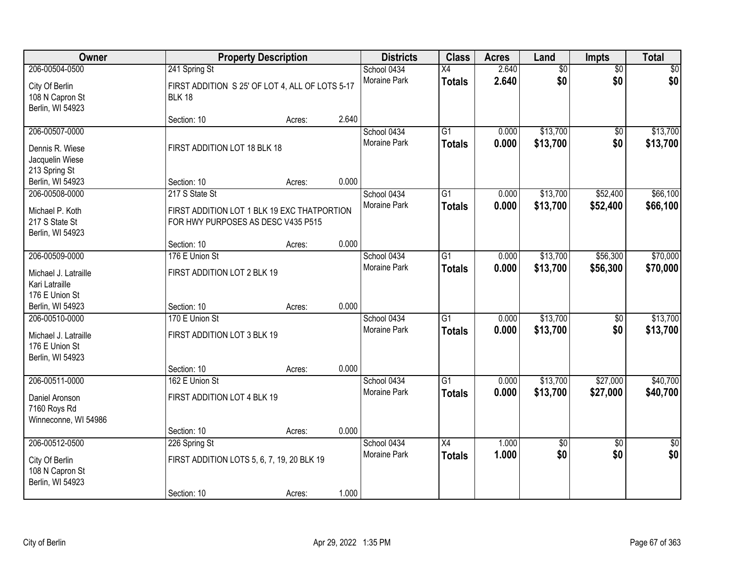| Owner                |                                                 | <b>Property Description</b> |       | <b>Districts</b>    | <b>Class</b>    | <b>Acres</b> | Land     | <b>Impts</b>    | <b>Total</b>    |
|----------------------|-------------------------------------------------|-----------------------------|-------|---------------------|-----------------|--------------|----------|-----------------|-----------------|
| 206-00504-0500       | 241 Spring St                                   |                             |       | School 0434         | X4              | 2.640        | \$0      | $\overline{50}$ | \$0             |
| City Of Berlin       | FIRST ADDITION S 25' OF LOT 4, ALL OF LOTS 5-17 |                             |       | Moraine Park        | <b>Totals</b>   | 2.640        | \$0      | \$0             | \$0             |
| 108 N Capron St      | <b>BLK 18</b>                                   |                             |       |                     |                 |              |          |                 |                 |
| Berlin, WI 54923     |                                                 |                             |       |                     |                 |              |          |                 |                 |
|                      | Section: 10                                     | Acres:                      | 2.640 |                     |                 |              |          |                 |                 |
| 206-00507-0000       |                                                 |                             |       | School 0434         | $\overline{G1}$ | 0.000        | \$13,700 | $\overline{50}$ | \$13,700        |
| Dennis R. Wiese      | FIRST ADDITION LOT 18 BLK 18                    |                             |       | Moraine Park        | <b>Totals</b>   | 0.000        | \$13,700 | \$0             | \$13,700        |
| Jacquelin Wiese      |                                                 |                             |       |                     |                 |              |          |                 |                 |
| 213 Spring St        |                                                 |                             |       |                     |                 |              |          |                 |                 |
| Berlin, WI 54923     | Section: 10                                     | Acres:                      | 0.000 |                     |                 |              |          |                 |                 |
| 206-00508-0000       | 217 S State St                                  |                             |       | School 0434         | $\overline{G1}$ | 0.000        | \$13,700 | \$52,400        | \$66,100        |
| Michael P. Koth      | FIRST ADDITION LOT 1 BLK 19 EXC THATPORTION     |                             |       | Moraine Park        | <b>Totals</b>   | 0.000        | \$13,700 | \$52,400        | \$66,100        |
| 217 S State St       | FOR HWY PURPOSES AS DESC V435 P515              |                             |       |                     |                 |              |          |                 |                 |
| Berlin, WI 54923     |                                                 |                             |       |                     |                 |              |          |                 |                 |
|                      | Section: 10                                     | Acres:                      | 0.000 |                     |                 |              |          |                 |                 |
| 206-00509-0000       | 176 E Union St                                  |                             |       | School 0434         | $\overline{G1}$ | 0.000        | \$13,700 | \$56,300        | \$70,000        |
| Michael J. Latraille | FIRST ADDITION LOT 2 BLK 19                     |                             |       | Moraine Park        | <b>Totals</b>   | 0.000        | \$13,700 | \$56,300        | \$70,000        |
| Kari Latraille       |                                                 |                             |       |                     |                 |              |          |                 |                 |
| 176 E Union St       |                                                 |                             |       |                     |                 |              |          |                 |                 |
| Berlin, WI 54923     | Section: 10                                     | Acres:                      | 0.000 |                     |                 |              |          |                 |                 |
| 206-00510-0000       | 170 E Union St                                  |                             |       | School 0434         | $\overline{G1}$ | 0.000        | \$13,700 | \$0             | \$13,700        |
| Michael J. Latraille | FIRST ADDITION LOT 3 BLK 19                     |                             |       | Moraine Park        | <b>Totals</b>   | 0.000        | \$13,700 | \$0             | \$13,700        |
| 176 E Union St       |                                                 |                             |       |                     |                 |              |          |                 |                 |
| Berlin, WI 54923     |                                                 |                             |       |                     |                 |              |          |                 |                 |
|                      | Section: 10                                     | Acres:                      | 0.000 |                     |                 |              |          |                 |                 |
| 206-00511-0000       | 162 E Union St                                  |                             |       | School 0434         | $\overline{G1}$ | 0.000        | \$13,700 | \$27,000        | \$40,700        |
| Daniel Aronson       | FIRST ADDITION LOT 4 BLK 19                     |                             |       | Moraine Park        | <b>Totals</b>   | 0.000        | \$13,700 | \$27,000        | \$40,700        |
| 7160 Roys Rd         |                                                 |                             |       |                     |                 |              |          |                 |                 |
| Winneconne, WI 54986 |                                                 |                             |       |                     |                 |              |          |                 |                 |
|                      | Section: 10                                     | Acres:                      | 0.000 |                     |                 |              |          |                 |                 |
| 206-00512-0500       | 226 Spring St                                   |                             |       | School 0434         | $\overline{X4}$ | 1.000        | \$0      | $\overline{50}$ | $\overline{50}$ |
| City Of Berlin       | FIRST ADDITION LOTS 5, 6, 7, 19, 20 BLK 19      |                             |       | <b>Moraine Park</b> | <b>Totals</b>   | 1.000        | \$0      | \$0             | \$0             |
| 108 N Capron St      |                                                 |                             |       |                     |                 |              |          |                 |                 |
| Berlin, WI 54923     |                                                 |                             |       |                     |                 |              |          |                 |                 |
|                      | Section: 10                                     | Acres:                      | 1.000 |                     |                 |              |          |                 |                 |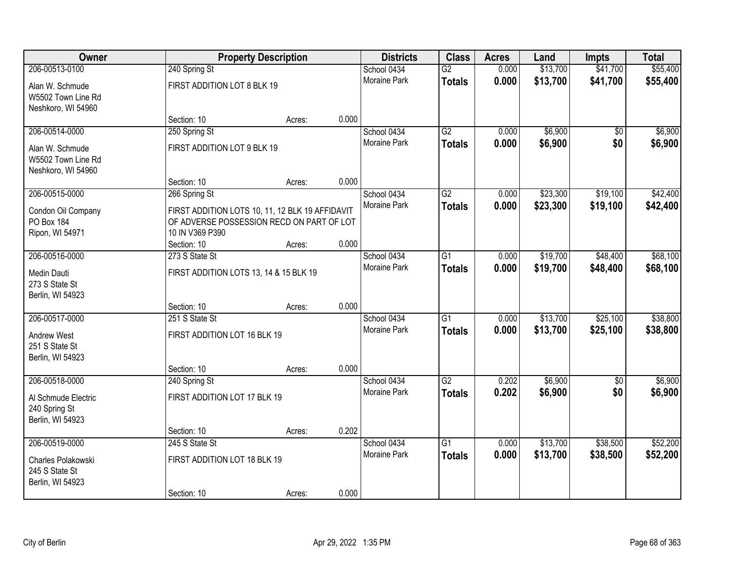| Owner                                                       |                                                                                                                 | <b>Property Description</b> |       |                             | <b>Class</b>    | <b>Acres</b>   | Land     | <b>Impts</b> | <b>Total</b> |
|-------------------------------------------------------------|-----------------------------------------------------------------------------------------------------------------|-----------------------------|-------|-----------------------------|-----------------|----------------|----------|--------------|--------------|
| 206-00513-0100                                              | 240 Spring St                                                                                                   |                             |       | School 0434<br>Moraine Park | $\overline{G2}$ | 0.000<br>0.000 | \$13,700 | \$41,700     | \$55,400     |
| Alan W. Schmude<br>W5502 Town Line Rd<br>Neshkoro, WI 54960 | FIRST ADDITION LOT 8 BLK 19                                                                                     |                             |       |                             | <b>Totals</b>   |                | \$13,700 | \$41,700     | \$55,400     |
|                                                             | Section: 10                                                                                                     | Acres:                      | 0.000 |                             |                 |                |          |              |              |
| 206-00514-0000                                              | 250 Spring St                                                                                                   |                             |       | School 0434                 | $\overline{G2}$ | 0.000          | \$6,900  | \$0          | \$6,900      |
| Alan W. Schmude<br>W5502 Town Line Rd<br>Neshkoro, WI 54960 | FIRST ADDITION LOT 9 BLK 19                                                                                     |                             |       | <b>Moraine Park</b>         | <b>Totals</b>   | 0.000          | \$6,900  | \$0          | \$6,900      |
|                                                             | Section: 10                                                                                                     | Acres:                      | 0.000 |                             |                 |                |          |              |              |
| 206-00515-0000                                              | 266 Spring St                                                                                                   |                             |       | School 0434<br>Moraine Park | $\overline{G2}$ | 0.000          | \$23,300 | \$19,100     | \$42,400     |
| Condon Oil Company<br>PO Box 184<br>Ripon, WI 54971         | FIRST ADDITION LOTS 10, 11, 12 BLK 19 AFFIDAVIT<br>OF ADVERSE POSSESSION RECD ON PART OF LOT<br>10 IN V369 P390 |                             |       |                             | <b>Totals</b>   | 0.000          | \$23,300 | \$19,100     | \$42,400     |
|                                                             | Section: 10                                                                                                     | Acres:                      | 0.000 |                             |                 |                |          |              |              |
| 206-00516-0000                                              | 273 S State St                                                                                                  |                             |       | School 0434                 | G1              | 0.000          | \$19,700 | \$48,400     | \$68,100     |
| Medin Dauti<br>273 S State St<br>Berlin, WI 54923           | FIRST ADDITION LOTS 13, 14 & 15 BLK 19                                                                          |                             |       | Moraine Park                | <b>Totals</b>   | 0.000          | \$19,700 | \$48,400     | \$68,100     |
|                                                             | Section: 10                                                                                                     | Acres:                      | 0.000 |                             |                 |                |          |              |              |
| 206-00517-0000                                              | 251 S State St                                                                                                  |                             |       | School 0434                 | $\overline{G1}$ | 0.000          | \$13,700 | \$25,100     | \$38,800     |
| <b>Andrew West</b><br>251 S State St<br>Berlin, WI 54923    | FIRST ADDITION LOT 16 BLK 19                                                                                    |                             |       | Moraine Park                | <b>Totals</b>   | 0.000          | \$13,700 | \$25,100     | \$38,800     |
|                                                             | Section: 10                                                                                                     | Acres:                      | 0.000 |                             |                 |                |          |              |              |
| 206-00518-0000                                              | 240 Spring St                                                                                                   |                             |       | School 0434                 | $\overline{G2}$ | 0.202          | \$6,900  | $\sqrt{6}$   | \$6,900      |
| Al Schmude Electric<br>240 Spring St<br>Berlin, WI 54923    | FIRST ADDITION LOT 17 BLK 19                                                                                    |                             |       | Moraine Park                | <b>Totals</b>   | 0.202          | \$6,900  | \$0          | \$6,900      |
|                                                             | Section: 10                                                                                                     | Acres:                      | 0.202 |                             |                 |                |          |              |              |
| 206-00519-0000                                              | 245 S State St                                                                                                  |                             |       | School 0434                 | $\overline{G1}$ | 0.000          | \$13,700 | \$38,500     | \$52,200     |
| Charles Polakowski<br>245 S State St<br>Berlin, WI 54923    | FIRST ADDITION LOT 18 BLK 19                                                                                    |                             |       | <b>Moraine Park</b>         | <b>Totals</b>   | 0.000          | \$13,700 | \$38,500     | \$52,200     |
|                                                             | Section: 10                                                                                                     | Acres:                      | 0.000 |                             |                 |                |          |              |              |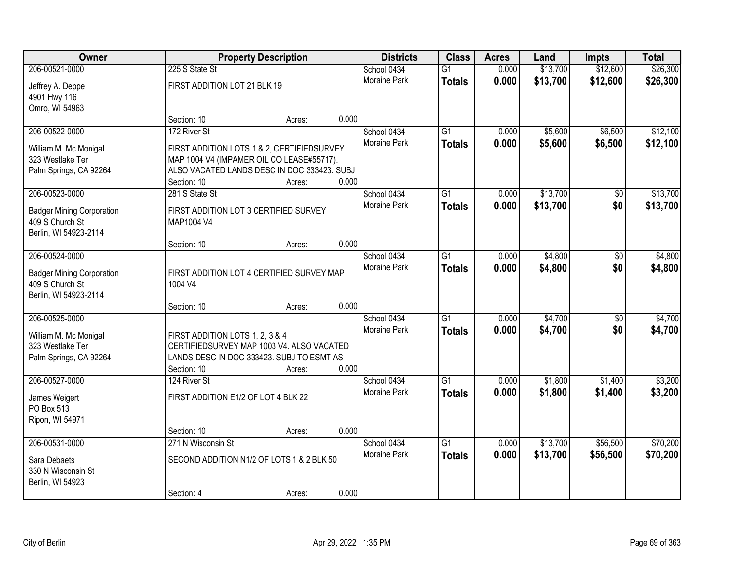| <b>Owner</b>                                                                          |                                                                                                                                          | <b>Property Description</b> |       |                                    | <b>Class</b>                     | <b>Acres</b>   | Land                 | <b>Impts</b>           | <b>Total</b>         |
|---------------------------------------------------------------------------------------|------------------------------------------------------------------------------------------------------------------------------------------|-----------------------------|-------|------------------------------------|----------------------------------|----------------|----------------------|------------------------|----------------------|
| 206-00521-0000                                                                        | 225 S State St                                                                                                                           |                             |       | School 0434<br>Moraine Park        | $\overline{G1}$<br><b>Totals</b> | 0.000<br>0.000 | \$13,700<br>\$13,700 | \$12,600<br>\$12,600   | \$26,300<br>\$26,300 |
| Jeffrey A. Deppe<br>4901 Hwy 116<br>Omro, WI 54963                                    | FIRST ADDITION LOT 21 BLK 19                                                                                                             |                             |       |                                    |                                  |                |                      |                        |                      |
|                                                                                       | Section: 10                                                                                                                              | Acres:                      | 0.000 |                                    |                                  |                |                      |                        |                      |
| 206-00522-0000<br>William M. Mc Monigal                                               | 172 River St<br>FIRST ADDITION LOTS 1 & 2, CERTIFIEDSURVEY                                                                               |                             |       | School 0434<br><b>Moraine Park</b> | $\overline{G1}$<br><b>Totals</b> | 0.000<br>0.000 | \$5,600<br>\$5,600   | \$6,500<br>\$6,500     | \$12,100<br>\$12,100 |
| 323 Westlake Ter<br>Palm Springs, CA 92264                                            | MAP 1004 V4 (IMPAMER OIL CO LEASE#55717).<br>ALSO VACATED LANDS DESC IN DOC 333423. SUBJ                                                 |                             |       |                                    |                                  |                |                      |                        |                      |
| 206-00523-0000                                                                        | Section: 10<br>281 S State St                                                                                                            | Acres:                      | 0.000 | School 0434                        | G1                               | 0.000          | \$13,700             | \$0                    | \$13,700             |
| <b>Badger Mining Corporation</b><br>409 S Church St<br>Berlin, WI 54923-2114          | FIRST ADDITION LOT 3 CERTIFIED SURVEY<br>MAP1004 V4                                                                                      |                             |       | Moraine Park                       | <b>Totals</b>                    | 0.000          | \$13,700             | \$0                    | \$13,700             |
|                                                                                       | Section: 10                                                                                                                              | Acres:                      | 0.000 |                                    |                                  |                |                      |                        |                      |
| 206-00524-0000<br><b>Badger Mining Corporation</b>                                    | FIRST ADDITION LOT 4 CERTIFIED SURVEY MAP                                                                                                |                             |       | School 0434<br><b>Moraine Park</b> | G1<br><b>Totals</b>              | 0.000<br>0.000 | \$4,800<br>\$4,800   | \$0<br>\$0             | \$4,800<br>\$4,800   |
| 409 S Church St<br>Berlin, WI 54923-2114                                              | 1004 V4                                                                                                                                  |                             |       |                                    |                                  |                |                      |                        |                      |
|                                                                                       | Section: 10                                                                                                                              | Acres:                      | 0.000 |                                    |                                  |                |                      |                        |                      |
| 206-00525-0000<br>William M. Mc Monigal<br>323 Westlake Ter<br>Palm Springs, CA 92264 | FIRST ADDITION LOTS 1, 2, 3 & 4<br>CERTIFIEDSURVEY MAP 1003 V4. ALSO VACATED<br>LANDS DESC IN DOC 333423. SUBJ TO ESMT AS<br>Section: 10 | Acres:                      | 0.000 | School 0434<br>Moraine Park        | $\overline{G1}$<br><b>Totals</b> | 0.000<br>0.000 | \$4,700<br>\$4,700   | $\overline{50}$<br>\$0 | \$4,700<br>\$4,700   |
| 206-00527-0000                                                                        | 124 River St                                                                                                                             |                             |       | School 0434                        | $\overline{G1}$                  | 0.000          | \$1,800              | \$1,400                | \$3,200              |
| James Weigert<br>PO Box 513<br>Ripon, WI 54971                                        | FIRST ADDITION E1/2 OF LOT 4 BLK 22                                                                                                      |                             |       | Moraine Park                       | <b>Totals</b>                    | 0.000          | \$1,800              | \$1,400                | \$3,200              |
|                                                                                       | Section: 10                                                                                                                              | Acres:                      | 0.000 |                                    |                                  |                |                      |                        |                      |
| 206-00531-0000                                                                        | 271 N Wisconsin St                                                                                                                       |                             |       | School 0434                        | $\overline{G1}$                  | 0.000          | \$13,700             | \$56,500               | \$70,200             |
| Sara Debaets<br>330 N Wisconsin St<br>Berlin, WI 54923                                | SECOND ADDITION N1/2 OF LOTS 1 & 2 BLK 50                                                                                                |                             |       | <b>Moraine Park</b>                | <b>Totals</b>                    | 0.000          | \$13,700             | \$56,500               | \$70,200             |
|                                                                                       | Section: 4                                                                                                                               | Acres:                      | 0.000 |                                    |                                  |                |                      |                        |                      |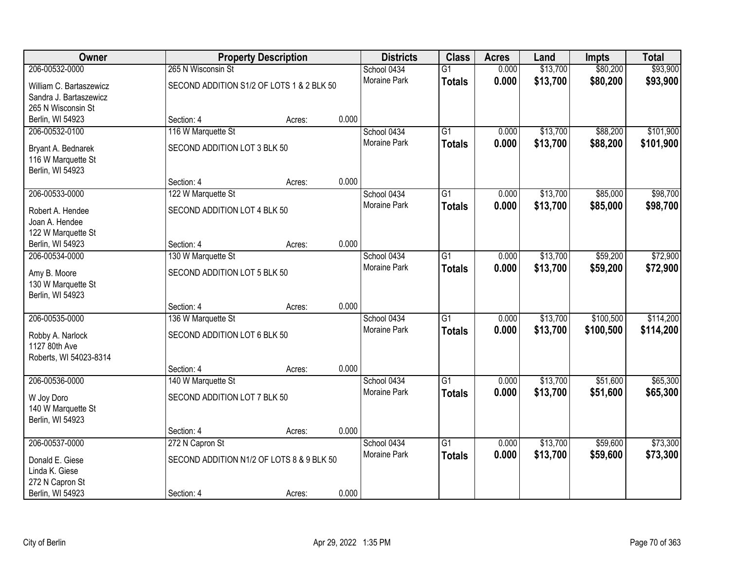| Owner                   |                                           | <b>Property Description</b> |       | <b>Districts</b>    | <b>Class</b>    | <b>Acres</b> | Land     | <b>Impts</b> | <b>Total</b> |
|-------------------------|-------------------------------------------|-----------------------------|-------|---------------------|-----------------|--------------|----------|--------------|--------------|
| 206-00532-0000          | 265 N Wisconsin St                        |                             |       | School 0434         | $\overline{G1}$ | 0.000        | \$13,700 | \$80,200     | \$93,900     |
| William C. Bartaszewicz | SECOND ADDITION S1/2 OF LOTS 1 & 2 BLK 50 |                             |       | <b>Moraine Park</b> | <b>Totals</b>   | 0.000        | \$13,700 | \$80,200     | \$93,900     |
| Sandra J. Bartaszewicz  |                                           |                             |       |                     |                 |              |          |              |              |
| 265 N Wisconsin St      |                                           |                             |       |                     |                 |              |          |              |              |
| Berlin, WI 54923        | Section: 4                                | Acres:                      | 0.000 |                     |                 |              |          |              |              |
| 206-00532-0100          | 116 W Marquette St                        |                             |       | School 0434         | $\overline{G1}$ | 0.000        | \$13,700 | \$88,200     | \$101,900    |
| Bryant A. Bednarek      | SECOND ADDITION LOT 3 BLK 50              |                             |       | Moraine Park        | <b>Totals</b>   | 0.000        | \$13,700 | \$88,200     | \$101,900    |
| 116 W Marquette St      |                                           |                             |       |                     |                 |              |          |              |              |
| Berlin, WI 54923        |                                           |                             |       |                     |                 |              |          |              |              |
|                         | Section: 4                                | Acres:                      | 0.000 |                     |                 |              |          |              |              |
| 206-00533-0000          | 122 W Marquette St                        |                             |       | School 0434         | $\overline{G1}$ | 0.000        | \$13,700 | \$85,000     | \$98,700     |
| Robert A. Hendee        | SECOND ADDITION LOT 4 BLK 50              |                             |       | Moraine Park        | <b>Totals</b>   | 0.000        | \$13,700 | \$85,000     | \$98,700     |
| Joan A. Hendee          |                                           |                             |       |                     |                 |              |          |              |              |
| 122 W Marquette St      |                                           |                             |       |                     |                 |              |          |              |              |
| Berlin, WI 54923        | Section: 4                                | Acres:                      | 0.000 |                     |                 |              |          |              |              |
| 206-00534-0000          | 130 W Marquette St                        |                             |       | School 0434         | $\overline{G1}$ | 0.000        | \$13,700 | \$59,200     | \$72,900     |
| Amy B. Moore            | SECOND ADDITION LOT 5 BLK 50              |                             |       | Moraine Park        | <b>Totals</b>   | 0.000        | \$13,700 | \$59,200     | \$72,900     |
| 130 W Marquette St      |                                           |                             |       |                     |                 |              |          |              |              |
| Berlin, WI 54923        |                                           |                             |       |                     |                 |              |          |              |              |
|                         | Section: 4                                | Acres:                      | 0.000 |                     |                 |              |          |              |              |
| 206-00535-0000          | 136 W Marquette St                        |                             |       | School 0434         | $\overline{G1}$ | 0.000        | \$13,700 | \$100,500    | \$114,200    |
| Robby A. Narlock        | SECOND ADDITION LOT 6 BLK 50              |                             |       | Moraine Park        | <b>Totals</b>   | 0.000        | \$13,700 | \$100,500    | \$114,200    |
| 1127 80th Ave           |                                           |                             |       |                     |                 |              |          |              |              |
| Roberts, WI 54023-8314  |                                           |                             |       |                     |                 |              |          |              |              |
|                         | Section: 4                                | Acres:                      | 0.000 |                     |                 |              |          |              |              |
| 206-00536-0000          | 140 W Marquette St                        |                             |       | School 0434         | $\overline{G1}$ | 0.000        | \$13,700 | \$51,600     | \$65,300     |
| W Joy Doro              | SECOND ADDITION LOT 7 BLK 50              |                             |       | Moraine Park        | <b>Totals</b>   | 0.000        | \$13,700 | \$51,600     | \$65,300     |
| 140 W Marquette St      |                                           |                             |       |                     |                 |              |          |              |              |
| Berlin, WI 54923        |                                           |                             |       |                     |                 |              |          |              |              |
|                         | Section: 4                                | Acres:                      | 0.000 |                     |                 |              |          |              |              |
| 206-00537-0000          | 272 N Capron St                           |                             |       | School 0434         | $\overline{G1}$ | 0.000        | \$13,700 | \$59,600     | \$73,300     |
| Donald E. Giese         | SECOND ADDITION N1/2 OF LOTS 8 & 9 BLK 50 |                             |       | <b>Moraine Park</b> | <b>Totals</b>   | 0.000        | \$13,700 | \$59,600     | \$73,300     |
| Linda K. Giese          |                                           |                             |       |                     |                 |              |          |              |              |
| 272 N Capron St         |                                           |                             |       |                     |                 |              |          |              |              |
| Berlin, WI 54923        | Section: 4                                | Acres:                      | 0.000 |                     |                 |              |          |              |              |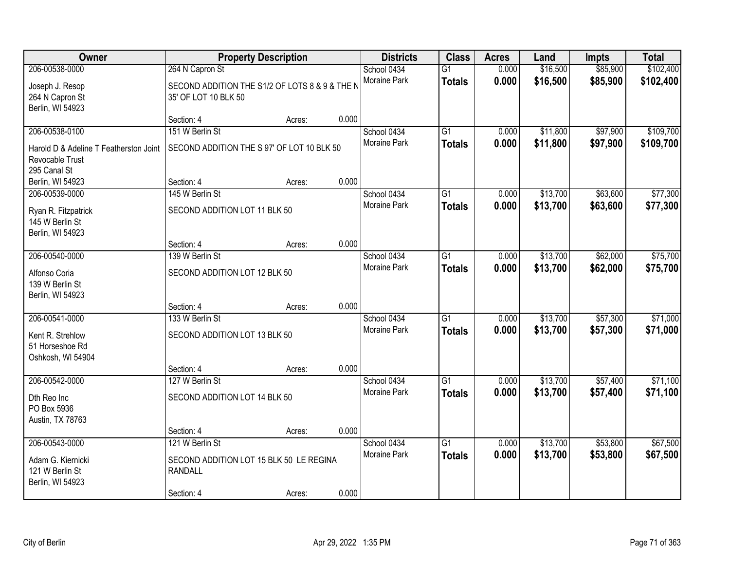| Owner                                                                     |                                                                        | <b>Property Description</b> |       | <b>Districts</b>    | <b>Class</b>    | <b>Acres</b> | Land     | <b>Impts</b> | <b>Total</b> |
|---------------------------------------------------------------------------|------------------------------------------------------------------------|-----------------------------|-------|---------------------|-----------------|--------------|----------|--------------|--------------|
| 206-00538-0000                                                            | 264 N Capron St                                                        |                             |       | School 0434         | $\overline{G1}$ | 0.000        | \$16,500 | \$85,900     | \$102,400    |
| Joseph J. Resop<br>264 N Capron St<br>Berlin, WI 54923                    | SECOND ADDITION THE S1/2 OF LOTS 8 & 9 & THE N<br>35' OF LOT 10 BLK 50 |                             |       | Moraine Park        | <b>Totals</b>   | 0.000        | \$16,500 | \$85,900     | \$102,400    |
|                                                                           | Section: 4                                                             | Acres:                      | 0.000 |                     |                 |              |          |              |              |
| 206-00538-0100                                                            | 151 W Berlin St                                                        |                             |       | School 0434         | $\overline{G1}$ | 0.000        | \$11,800 | \$97,900     | \$109,700    |
| Harold D & Adeline T Featherston Joint<br>Revocable Trust<br>295 Canal St | SECOND ADDITION THE S 97' OF LOT 10 BLK 50                             |                             |       | Moraine Park        | <b>Totals</b>   | 0.000        | \$11,800 | \$97,900     | \$109,700    |
| Berlin, WI 54923                                                          | Section: 4                                                             | Acres:                      | 0.000 |                     |                 |              |          |              |              |
| 206-00539-0000                                                            | 145 W Berlin St                                                        |                             |       | School 0434         | G1              | 0.000        | \$13,700 | \$63,600     | \$77,300     |
| Ryan R. Fitzpatrick<br>145 W Berlin St<br>Berlin, WI 54923                | SECOND ADDITION LOT 11 BLK 50                                          |                             |       | Moraine Park        | <b>Totals</b>   | 0.000        | \$13,700 | \$63,600     | \$77,300     |
|                                                                           | Section: 4                                                             | Acres:                      | 0.000 |                     |                 |              |          |              |              |
| 206-00540-0000                                                            | 139 W Berlin St                                                        |                             |       | School 0434         | G1              | 0.000        | \$13,700 | \$62,000     | \$75,700     |
| Alfonso Coria<br>139 W Berlin St<br>Berlin, WI 54923                      | SECOND ADDITION LOT 12 BLK 50                                          |                             |       | <b>Moraine Park</b> | <b>Totals</b>   | 0.000        | \$13,700 | \$62,000     | \$75,700     |
|                                                                           | Section: 4                                                             | Acres:                      | 0.000 |                     |                 |              |          |              |              |
| 206-00541-0000                                                            | 133 W Berlin St                                                        |                             |       | School 0434         | $\overline{G1}$ | 0.000        | \$13,700 | \$57,300     | \$71,000     |
| Kent R. Strehlow<br>51 Horseshoe Rd<br>Oshkosh, WI 54904                  | SECOND ADDITION LOT 13 BLK 50                                          |                             |       | Moraine Park        | <b>Totals</b>   | 0.000        | \$13,700 | \$57,300     | \$71,000     |
|                                                                           | Section: 4                                                             | Acres:                      | 0.000 |                     |                 |              |          |              |              |
| 206-00542-0000                                                            | 127 W Berlin St                                                        |                             |       | School 0434         | $\overline{G1}$ | 0.000        | \$13,700 | \$57,400     | \$71,100     |
| Dth Reo Inc<br>PO Box 5936<br>Austin, TX 78763                            | SECOND ADDITION LOT 14 BLK 50                                          |                             |       | Moraine Park        | <b>Totals</b>   | 0.000        | \$13,700 | \$57,400     | \$71,100     |
|                                                                           | Section: 4                                                             | Acres:                      | 0.000 |                     |                 |              |          |              |              |
| 206-00543-0000                                                            | 121 W Berlin St                                                        |                             |       | School 0434         | $\overline{G1}$ | 0.000        | \$13,700 | \$53,800     | \$67,500     |
| Adam G. Kiernicki<br>121 W Berlin St<br>Berlin, WI 54923                  | SECOND ADDITION LOT 15 BLK 50 LE REGINA<br><b>RANDALL</b>              |                             |       | Moraine Park        | <b>Totals</b>   | 0.000        | \$13,700 | \$53,800     | \$67,500     |
|                                                                           | Section: 4                                                             | Acres:                      | 0.000 |                     |                 |              |          |              |              |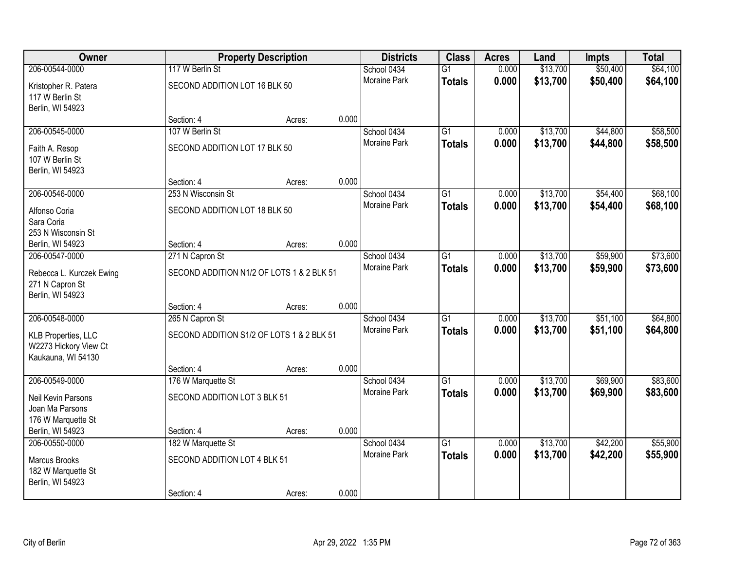| Owner                                                              |                                           | <b>Property Description</b> |       |                     | <b>Class</b>    | <b>Acres</b> | Land     | <b>Impts</b> | <b>Total</b> |
|--------------------------------------------------------------------|-------------------------------------------|-----------------------------|-------|---------------------|-----------------|--------------|----------|--------------|--------------|
| 206-00544-0000                                                     | 117 W Berlin St                           |                             |       | School 0434         | $\overline{G1}$ | 0.000        | \$13,700 | \$50,400     | \$64,100     |
| Kristopher R. Patera<br>117 W Berlin St<br>Berlin, WI 54923        | SECOND ADDITION LOT 16 BLK 50             |                             |       | <b>Moraine Park</b> | <b>Totals</b>   | 0.000        | \$13,700 | \$50,400     | \$64,100     |
|                                                                    | Section: 4                                | Acres:                      | 0.000 |                     |                 |              |          |              |              |
| 206-00545-0000                                                     | 107 W Berlin St                           |                             |       | School 0434         | $\overline{G1}$ | 0.000        | \$13,700 | \$44,800     | \$58,500     |
| Faith A. Resop<br>107 W Berlin St<br>Berlin, WI 54923              | SECOND ADDITION LOT 17 BLK 50             |                             |       | <b>Moraine Park</b> | <b>Totals</b>   | 0.000        | \$13,700 | \$44,800     | \$58,500     |
|                                                                    | Section: 4                                | Acres:                      | 0.000 |                     |                 |              |          |              |              |
| 206-00546-0000                                                     | 253 N Wisconsin St                        |                             |       | School 0434         | $\overline{G1}$ | 0.000        | \$13,700 | \$54,400     | \$68,100     |
| Alfonso Coria<br>Sara Coria<br>253 N Wisconsin St                  | SECOND ADDITION LOT 18 BLK 50             |                             |       | <b>Moraine Park</b> | <b>Totals</b>   | 0.000        | \$13,700 | \$54,400     | \$68,100     |
| Berlin, WI 54923                                                   | Section: 4                                | Acres:                      | 0.000 |                     |                 |              |          |              |              |
| 206-00547-0000                                                     | 271 N Capron St                           |                             |       | School 0434         | $\overline{G1}$ | 0.000        | \$13,700 | \$59,900     | \$73,600     |
| Rebecca L. Kurczek Ewing<br>271 N Capron St<br>Berlin, WI 54923    | SECOND ADDITION N1/2 OF LOTS 1 & 2 BLK 51 |                             |       | <b>Moraine Park</b> | <b>Totals</b>   | 0.000        | \$13,700 | \$59,900     | \$73,600     |
|                                                                    | Section: 4                                | Acres:                      | 0.000 |                     |                 |              |          |              |              |
| 206-00548-0000                                                     | 265 N Capron St                           |                             |       | School 0434         | $\overline{G1}$ | 0.000        | \$13,700 | \$51,100     | \$64,800     |
| KLB Properties, LLC<br>W2273 Hickory View Ct<br>Kaukauna, WI 54130 | SECOND ADDITION S1/2 OF LOTS 1 & 2 BLK 51 |                             |       | <b>Moraine Park</b> | <b>Totals</b>   | 0.000        | \$13,700 | \$51,100     | \$64,800     |
|                                                                    | Section: 4                                | Acres:                      | 0.000 |                     |                 |              |          |              |              |
| 206-00549-0000                                                     | 176 W Marquette St                        |                             |       | School 0434         | $\overline{G1}$ | 0.000        | \$13,700 | \$69,900     | \$83,600     |
| Neil Kevin Parsons<br>Joan Ma Parsons<br>176 W Marquette St        | SECOND ADDITION LOT 3 BLK 51              |                             |       | Moraine Park        | <b>Totals</b>   | 0.000        | \$13,700 | \$69,900     | \$83,600     |
| Berlin, WI 54923                                                   | Section: 4                                | Acres:                      | 0.000 |                     |                 |              |          |              |              |
| 206-00550-0000                                                     | 182 W Marquette St                        |                             |       | School 0434         | $\overline{G1}$ | 0.000        | \$13,700 | \$42,200     | \$55,900     |
| <b>Marcus Brooks</b><br>182 W Marquette St<br>Berlin, WI 54923     | SECOND ADDITION LOT 4 BLK 51              |                             |       | <b>Moraine Park</b> | <b>Totals</b>   | 0.000        | \$13,700 | \$42,200     | \$55,900     |
|                                                                    | Section: 4                                | Acres:                      | 0.000 |                     |                 |              |          |              |              |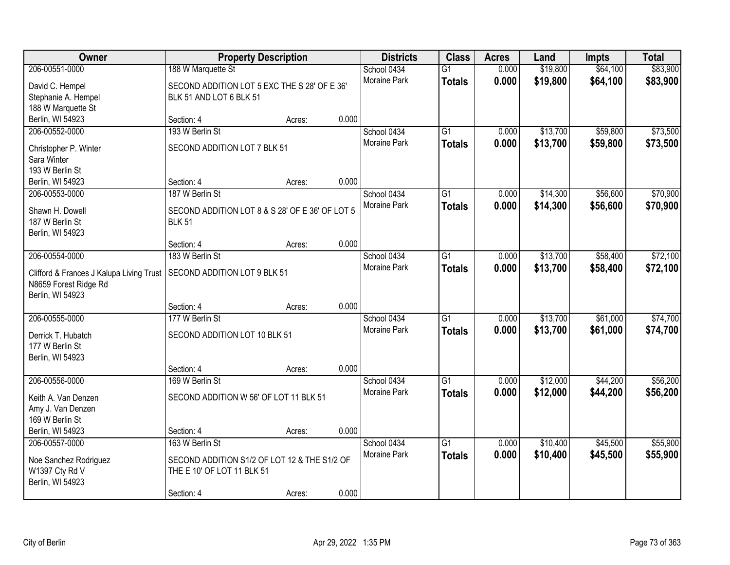| Owner                                    |                                                 | <b>Property Description</b> |       | <b>Districts</b>    | <b>Class</b>    | <b>Acres</b> | Land     | <b>Impts</b> | <b>Total</b> |
|------------------------------------------|-------------------------------------------------|-----------------------------|-------|---------------------|-----------------|--------------|----------|--------------|--------------|
| 206-00551-0000                           | 188 W Marquette St                              |                             |       | School 0434         | $\overline{G1}$ | 0.000        | \$19,800 | \$64,100     | \$83,900     |
| David C. Hempel                          | SECOND ADDITION LOT 5 EXC THE S 28' OF E 36'    |                             |       | Moraine Park        | <b>Totals</b>   | 0.000        | \$19,800 | \$64,100     | \$83,900     |
| Stephanie A. Hempel                      | BLK 51 AND LOT 6 BLK 51                         |                             |       |                     |                 |              |          |              |              |
| 188 W Marquette St                       |                                                 |                             |       |                     |                 |              |          |              |              |
| Berlin, WI 54923                         | Section: 4                                      | Acres:                      | 0.000 |                     |                 |              |          |              |              |
| 206-00552-0000                           | 193 W Berlin St                                 |                             |       | School 0434         | $\overline{G1}$ | 0.000        | \$13,700 | \$59,800     | \$73,500     |
| Christopher P. Winter                    | SECOND ADDITION LOT 7 BLK 51                    |                             |       | Moraine Park        | <b>Totals</b>   | 0.000        | \$13,700 | \$59,800     | \$73,500     |
| Sara Winter                              |                                                 |                             |       |                     |                 |              |          |              |              |
| 193 W Berlin St                          |                                                 |                             |       |                     |                 |              |          |              |              |
| Berlin, WI 54923                         | Section: 4                                      | Acres:                      | 0.000 |                     |                 |              |          |              |              |
| 206-00553-0000                           | 187 W Berlin St                                 |                             |       | School 0434         | $\overline{G1}$ | 0.000        | \$14,300 | \$56,600     | \$70,900     |
| Shawn H. Dowell                          | SECOND ADDITION LOT 8 & S 28' OF E 36' OF LOT 5 |                             |       | Moraine Park        | <b>Totals</b>   | 0.000        | \$14,300 | \$56,600     | \$70,900     |
| 187 W Berlin St                          | <b>BLK 51</b>                                   |                             |       |                     |                 |              |          |              |              |
| Berlin, WI 54923                         |                                                 |                             |       |                     |                 |              |          |              |              |
|                                          | Section: 4                                      | Acres:                      | 0.000 |                     |                 |              |          |              |              |
| 206-00554-0000                           | 183 W Berlin St                                 |                             |       | School 0434         | G1              | 0.000        | \$13,700 | \$58,400     | \$72,100     |
| Clifford & Frances J Kalupa Living Trust | SECOND ADDITION LOT 9 BLK 51                    |                             |       | <b>Moraine Park</b> | <b>Totals</b>   | 0.000        | \$13,700 | \$58,400     | \$72,100     |
| N8659 Forest Ridge Rd                    |                                                 |                             |       |                     |                 |              |          |              |              |
| Berlin, WI 54923                         |                                                 |                             |       |                     |                 |              |          |              |              |
|                                          | Section: 4                                      | Acres:                      | 0.000 |                     |                 |              |          |              |              |
| 206-00555-0000                           | 177 W Berlin St                                 |                             |       | School 0434         | $\overline{G1}$ | 0.000        | \$13,700 | \$61,000     | \$74,700     |
| Derrick T. Hubatch                       | SECOND ADDITION LOT 10 BLK 51                   |                             |       | Moraine Park        | <b>Totals</b>   | 0.000        | \$13,700 | \$61,000     | \$74,700     |
| 177 W Berlin St                          |                                                 |                             |       |                     |                 |              |          |              |              |
| Berlin, WI 54923                         |                                                 |                             |       |                     |                 |              |          |              |              |
|                                          | Section: 4                                      | Acres:                      | 0.000 |                     |                 |              |          |              |              |
| 206-00556-0000                           | 169 W Berlin St                                 |                             |       | School 0434         | $\overline{G1}$ | 0.000        | \$12,000 | \$44,200     | \$56,200     |
| Keith A. Van Denzen                      | SECOND ADDITION W 56' OF LOT 11 BLK 51          |                             |       | Moraine Park        | <b>Totals</b>   | 0.000        | \$12,000 | \$44,200     | \$56,200     |
| Amy J. Van Denzen                        |                                                 |                             |       |                     |                 |              |          |              |              |
| 169 W Berlin St                          |                                                 |                             |       |                     |                 |              |          |              |              |
| Berlin, WI 54923                         | Section: 4                                      | Acres:                      | 0.000 |                     |                 |              |          |              |              |
| 206-00557-0000                           | 163 W Berlin St                                 |                             |       | School 0434         | $\overline{G1}$ | 0.000        | \$10,400 | \$45,500     | \$55,900     |
| Noe Sanchez Rodriguez                    | SECOND ADDITION S1/2 OF LOT 12 & THE S1/2 OF    |                             |       | Moraine Park        | <b>Totals</b>   | 0.000        | \$10,400 | \$45,500     | \$55,900     |
| W1397 Cty Rd V                           | THE E 10' OF LOT 11 BLK 51                      |                             |       |                     |                 |              |          |              |              |
| Berlin, WI 54923                         |                                                 |                             |       |                     |                 |              |          |              |              |
|                                          | Section: 4                                      | Acres:                      | 0.000 |                     |                 |              |          |              |              |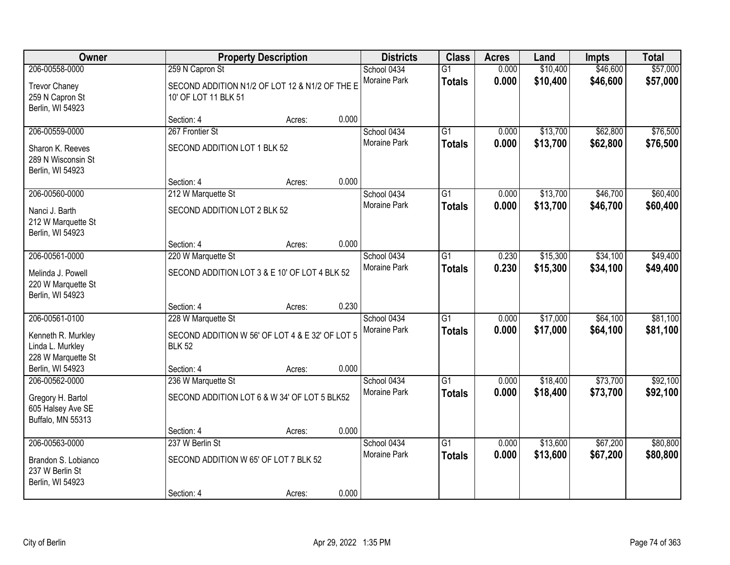| <b>Owner</b>                                                                   |                                                                                        | <b>Property Description</b> |       | <b>Districts</b>            | <b>Class</b>                     | <b>Acres</b>   | Land                 | Impts                | <b>Total</b>         |
|--------------------------------------------------------------------------------|----------------------------------------------------------------------------------------|-----------------------------|-------|-----------------------------|----------------------------------|----------------|----------------------|----------------------|----------------------|
| 206-00558-0000                                                                 | 259 N Capron St                                                                        |                             |       | School 0434                 | $\overline{G1}$                  | 0.000          | \$10,400             | \$46,600             | \$57,000             |
| <b>Trevor Chaney</b><br>259 N Capron St<br>Berlin, WI 54923                    | SECOND ADDITION N1/2 OF LOT 12 & N1/2 OF THE E<br>10' OF LOT 11 BLK 51                 |                             |       | Moraine Park                | <b>Totals</b>                    | 0.000          | \$10,400             | \$46,600             | \$57,000             |
|                                                                                | Section: 4                                                                             | Acres:                      | 0.000 |                             |                                  |                |                      |                      |                      |
| 206-00559-0000                                                                 | 267 Frontier St                                                                        |                             |       | School 0434                 | $\overline{G1}$                  | 0.000          | \$13,700             | \$62,800             | \$76,500             |
| Sharon K. Reeves<br>289 N Wisconsin St<br>Berlin, WI 54923                     | SECOND ADDITION LOT 1 BLK 52                                                           |                             |       | Moraine Park                | <b>Totals</b>                    | 0.000          | \$13,700             | \$62,800             | \$76,500             |
|                                                                                | Section: 4                                                                             | Acres:                      | 0.000 |                             |                                  |                |                      |                      |                      |
| 206-00560-0000                                                                 | 212 W Marquette St                                                                     |                             |       | School 0434                 | $\overline{G1}$                  | 0.000          | \$13,700             | \$46,700             | \$60,400             |
| Nanci J. Barth<br>212 W Marquette St<br>Berlin, WI 54923                       | SECOND ADDITION LOT 2 BLK 52                                                           |                             |       | <b>Moraine Park</b>         | <b>Totals</b>                    | 0.000          | \$13,700             | \$46,700             | \$60,400             |
|                                                                                | Section: 4                                                                             | Acres:                      | 0.000 |                             |                                  |                |                      |                      |                      |
| 206-00561-0000                                                                 | 220 W Marquette St                                                                     |                             |       | School 0434                 | $\overline{G1}$                  | 0.230          | \$15,300             | \$34,100             | \$49,400             |
| Melinda J. Powell<br>220 W Marquette St<br>Berlin, WI 54923                    | SECOND ADDITION LOT 3 & E 10' OF LOT 4 BLK 52                                          |                             |       | Moraine Park                | <b>Totals</b>                    | 0.230          | \$15,300             | \$34,100             | \$49,400             |
|                                                                                | Section: 4                                                                             | Acres:                      | 0.230 |                             |                                  |                |                      |                      |                      |
| 206-00561-0100<br>Kenneth R. Murkley<br>Linda L. Murkley<br>228 W Marquette St | 228 W Marquette St<br>SECOND ADDITION W 56' OF LOT 4 & E 32' OF LOT 5<br><b>BLK 52</b> |                             |       | School 0434<br>Moraine Park | $\overline{G1}$<br><b>Totals</b> | 0.000<br>0.000 | \$17,000<br>\$17,000 | \$64,100<br>\$64,100 | \$81,100<br>\$81,100 |
| Berlin, WI 54923                                                               | Section: 4                                                                             | Acres:                      | 0.000 |                             |                                  |                |                      |                      |                      |
| 206-00562-0000<br>Gregory H. Bartol<br>605 Halsey Ave SE<br>Buffalo, MN 55313  | 236 W Marquette St<br>SECOND ADDITION LOT 6 & W 34' OF LOT 5 BLK52                     |                             |       | School 0434<br>Moraine Park | $\overline{G1}$<br><b>Totals</b> | 0.000<br>0.000 | \$18,400<br>\$18,400 | \$73,700<br>\$73,700 | \$92,100<br>\$92,100 |
|                                                                                | Section: 4                                                                             | Acres:                      | 0.000 |                             |                                  |                |                      |                      |                      |
| 206-00563-0000                                                                 | 237 W Berlin St                                                                        |                             |       | School 0434                 | $\overline{G1}$                  | 0.000          | \$13,600             | \$67,200             | \$80,800             |
| Brandon S. Lobianco<br>237 W Berlin St<br>Berlin, WI 54923                     | SECOND ADDITION W 65' OF LOT 7 BLK 52                                                  |                             |       | <b>Moraine Park</b>         | <b>Totals</b>                    | 0.000          | \$13,600             | \$67,200             | \$80,800             |
|                                                                                | Section: 4                                                                             | Acres:                      | 0.000 |                             |                                  |                |                      |                      |                      |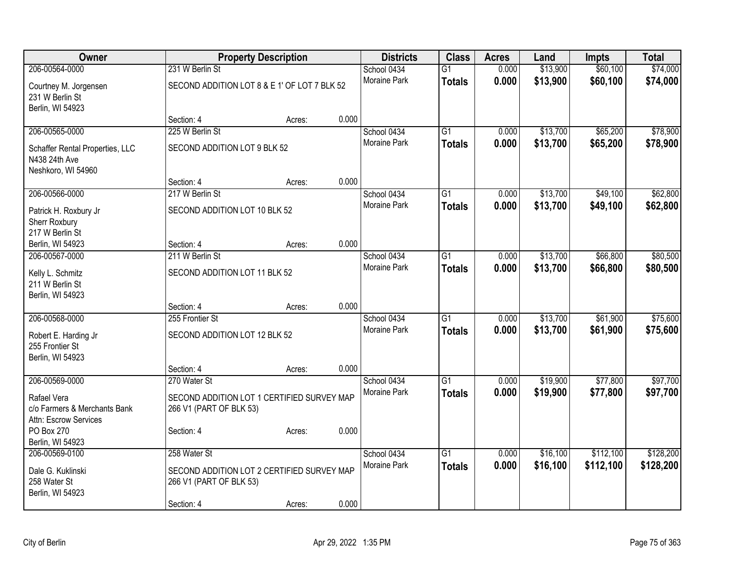| Owner                               |                                              | <b>Property Description</b> |       | <b>Districts</b>            | <b>Class</b>    | <b>Acres</b> | Land     | <b>Impts</b> | <b>Total</b> |
|-------------------------------------|----------------------------------------------|-----------------------------|-------|-----------------------------|-----------------|--------------|----------|--------------|--------------|
| 206-00564-0000                      | 231 W Berlin St                              |                             |       | School 0434                 | $\overline{G1}$ | 0.000        | \$13,900 | \$60,100     | \$74,000     |
| Courtney M. Jorgensen               | SECOND ADDITION LOT 8 & E 1' OF LOT 7 BLK 52 |                             |       | <b>Moraine Park</b>         | <b>Totals</b>   | 0.000        | \$13,900 | \$60,100     | \$74,000     |
| 231 W Berlin St                     |                                              |                             |       |                             |                 |              |          |              |              |
| Berlin, WI 54923                    |                                              |                             |       |                             |                 |              |          |              |              |
|                                     | Section: 4                                   | Acres:                      | 0.000 |                             |                 |              |          |              |              |
| 206-00565-0000                      | 225 W Berlin St                              |                             |       | School 0434                 | G1              | 0.000        | \$13,700 | \$65,200     | \$78,900     |
| Schaffer Rental Properties, LLC     | SECOND ADDITION LOT 9 BLK 52                 |                             |       | Moraine Park                | <b>Totals</b>   | 0.000        | \$13,700 | \$65,200     | \$78,900     |
| N438 24th Ave                       |                                              |                             |       |                             |                 |              |          |              |              |
| Neshkoro, WI 54960                  |                                              |                             |       |                             |                 |              |          |              |              |
|                                     | Section: 4                                   | Acres:                      | 0.000 |                             |                 |              |          |              |              |
| 206-00566-0000                      | 217 W Berlin St                              |                             |       | School 0434<br>Moraine Park | $\overline{G1}$ | 0.000        | \$13,700 | \$49,100     | \$62,800     |
| Patrick H. Roxbury Jr               | SECOND ADDITION LOT 10 BLK 52                |                             |       |                             | <b>Totals</b>   | 0.000        | \$13,700 | \$49,100     | \$62,800     |
| Sherr Roxbury                       |                                              |                             |       |                             |                 |              |          |              |              |
| 217 W Berlin St                     |                                              |                             |       |                             |                 |              |          |              |              |
| Berlin, WI 54923<br>206-00567-0000  | Section: 4<br>211 W Berlin St                | Acres:                      | 0.000 | School 0434                 | $\overline{G1}$ | 0.000        | \$13,700 | \$66,800     | \$80,500     |
|                                     |                                              |                             |       | <b>Moraine Park</b>         | <b>Totals</b>   | 0.000        | \$13,700 | \$66,800     | \$80,500     |
| Kelly L. Schmitz                    | SECOND ADDITION LOT 11 BLK 52                |                             |       |                             |                 |              |          |              |              |
| 211 W Berlin St                     |                                              |                             |       |                             |                 |              |          |              |              |
| Berlin, WI 54923                    | Section: 4                                   | Acres:                      | 0.000 |                             |                 |              |          |              |              |
| 206-00568-0000                      | 255 Frontier St                              |                             |       | School 0434                 | $\overline{G1}$ | 0.000        | \$13,700 | \$61,900     | \$75,600     |
|                                     |                                              |                             |       | <b>Moraine Park</b>         | <b>Totals</b>   | 0.000        | \$13,700 | \$61,900     | \$75,600     |
| Robert E. Harding Jr                | SECOND ADDITION LOT 12 BLK 52                |                             |       |                             |                 |              |          |              |              |
| 255 Frontier St<br>Berlin, WI 54923 |                                              |                             |       |                             |                 |              |          |              |              |
|                                     | Section: 4                                   | Acres:                      | 0.000 |                             |                 |              |          |              |              |
| 206-00569-0000                      | 270 Water St                                 |                             |       | School 0434                 | $\overline{G1}$ | 0.000        | \$19,900 | \$77,800     | \$97,700     |
| Rafael Vera                         | SECOND ADDITION LOT 1 CERTIFIED SURVEY MAP   |                             |       | Moraine Park                | <b>Totals</b>   | 0.000        | \$19,900 | \$77,800     | \$97,700     |
| c/o Farmers & Merchants Bank        | 266 V1 (PART OF BLK 53)                      |                             |       |                             |                 |              |          |              |              |
| Attn: Escrow Services               |                                              |                             |       |                             |                 |              |          |              |              |
| PO Box 270                          | Section: 4                                   | Acres:                      | 0.000 |                             |                 |              |          |              |              |
| Berlin, WI 54923                    |                                              |                             |       |                             |                 |              |          |              |              |
| 206-00569-0100                      | 258 Water St                                 |                             |       | School 0434                 | $\overline{G1}$ | 0.000        | \$16,100 | \$112,100    | \$128,200    |
| Dale G. Kuklinski                   | SECOND ADDITION LOT 2 CERTIFIED SURVEY MAP   |                             |       | Moraine Park                | <b>Totals</b>   | 0.000        | \$16,100 | \$112,100    | \$128,200    |
| 258 Water St                        | 266 V1 (PART OF BLK 53)                      |                             |       |                             |                 |              |          |              |              |
| Berlin, WI 54923                    |                                              |                             |       |                             |                 |              |          |              |              |
|                                     | Section: 4                                   | Acres:                      | 0.000 |                             |                 |              |          |              |              |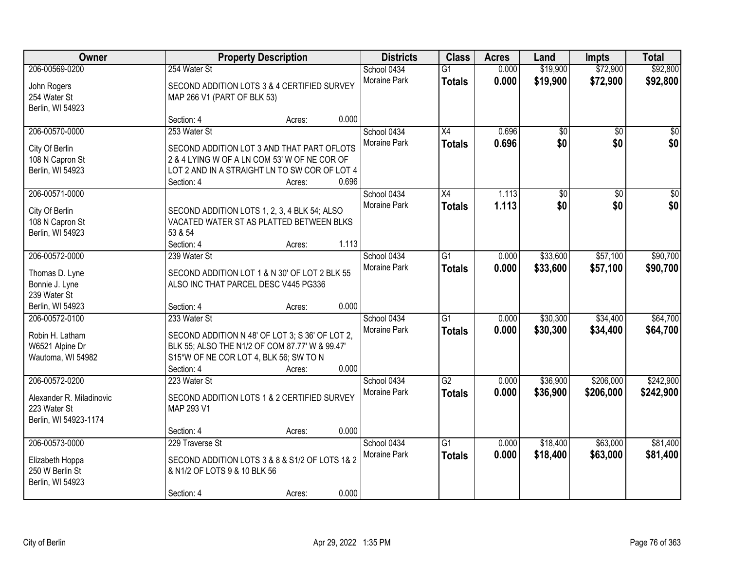| Owner                         |                                                             | <b>Property Description</b> |       | <b>Districts</b>            | <b>Class</b>                     | <b>Acres</b>   | Land                 | <b>Impts</b>         | <b>Total</b>         |
|-------------------------------|-------------------------------------------------------------|-----------------------------|-------|-----------------------------|----------------------------------|----------------|----------------------|----------------------|----------------------|
| 206-00569-0200<br>John Rogers | 254 Water St<br>SECOND ADDITION LOTS 3 & 4 CERTIFIED SURVEY |                             |       | School 0434<br>Moraine Park | $\overline{G1}$<br><b>Totals</b> | 0.000<br>0.000 | \$19,900<br>\$19,900 | \$72,900<br>\$72,900 | \$92,800<br>\$92,800 |
| 254 Water St                  | MAP 266 V1 (PART OF BLK 53)                                 |                             |       |                             |                                  |                |                      |                      |                      |
| Berlin, WI 54923              |                                                             |                             |       |                             |                                  |                |                      |                      |                      |
|                               | Section: 4                                                  | Acres:                      | 0.000 |                             |                                  |                |                      |                      |                      |
| 206-00570-0000                | 253 Water St                                                |                             |       | School 0434                 | $\overline{X4}$                  | 0.696          | $\overline{50}$      | $\overline{50}$      | $\sqrt{50}$          |
| City Of Berlin                | SECOND ADDITION LOT 3 AND THAT PART OFLOTS                  |                             |       | Moraine Park                | <b>Totals</b>                    | 0.696          | \$0                  | \$0                  | \$0                  |
| 108 N Capron St               | 2 & 4 LYING W OF A LN COM 53' W OF NE COR OF                |                             |       |                             |                                  |                |                      |                      |                      |
| Berlin, WI 54923              | LOT 2 AND IN A STRAIGHT LN TO SW COR OF LOT 4               |                             |       |                             |                                  |                |                      |                      |                      |
|                               | Section: 4                                                  | Acres:                      | 0.696 |                             |                                  |                |                      |                      |                      |
| 206-00571-0000                |                                                             |                             |       | School 0434                 | X4                               | 1.113          | \$0                  | \$0                  | $\overline{\$0}$     |
| City Of Berlin                | SECOND ADDITION LOTS 1, 2, 3, 4 BLK 54; ALSO                |                             |       | Moraine Park                | <b>Totals</b>                    | 1.113          | \$0                  | \$0                  | \$0                  |
| 108 N Capron St               | VACATED WATER ST AS PLATTED BETWEEN BLKS                    |                             |       |                             |                                  |                |                      |                      |                      |
| Berlin, WI 54923              | 53 & 54                                                     |                             |       |                             |                                  |                |                      |                      |                      |
|                               | Section: 4                                                  | Acres:                      | 1.113 |                             |                                  |                |                      |                      |                      |
| 206-00572-0000                | 239 Water St                                                |                             |       | School 0434                 | G1                               | 0.000          | \$33,600             | \$57,100             | \$90,700             |
| Thomas D. Lyne                | SECOND ADDITION LOT 1 & N 30' OF LOT 2 BLK 55               |                             |       | <b>Moraine Park</b>         | <b>Totals</b>                    | 0.000          | \$33,600             | \$57,100             | \$90,700             |
| Bonnie J. Lyne                | ALSO INC THAT PARCEL DESC V445 PG336                        |                             |       |                             |                                  |                |                      |                      |                      |
| 239 Water St                  |                                                             |                             |       |                             |                                  |                |                      |                      |                      |
| Berlin, WI 54923              | Section: 4                                                  | Acres:                      | 0.000 |                             |                                  |                |                      |                      |                      |
| 206-00572-0100                | 233 Water St                                                |                             |       | School 0434                 | $\overline{G1}$                  | 0.000          | \$30,300             | \$34,400             | \$64,700             |
| Robin H. Latham               | SECOND ADDITION N 48' OF LOT 3; S 36' OF LOT 2,             |                             |       | Moraine Park                | <b>Totals</b>                    | 0.000          | \$30,300             | \$34,400             | \$64,700             |
| W6521 Alpine Dr               | BLK 55; ALSO THE N1/2 OF COM 87.77' W & 99.47'              |                             |       |                             |                                  |                |                      |                      |                      |
| Wautoma, WI 54982             | S15*W OF NE COR LOT 4, BLK 56; SW TO N                      |                             |       |                             |                                  |                |                      |                      |                      |
|                               | Section: 4                                                  | Acres:                      | 0.000 |                             |                                  |                |                      |                      |                      |
| 206-00572-0200                | 223 Water St                                                |                             |       | School 0434                 | $\overline{G2}$                  | 0.000          | \$36,900             | \$206,000            | \$242,900            |
| Alexander R. Miladinovic      | SECOND ADDITION LOTS 1 & 2 CERTIFIED SURVEY                 |                             |       | Moraine Park                | <b>Totals</b>                    | 0.000          | \$36,900             | \$206,000            | \$242,900            |
| 223 Water St                  | MAP 293 V1                                                  |                             |       |                             |                                  |                |                      |                      |                      |
| Berlin, WI 54923-1174         |                                                             |                             |       |                             |                                  |                |                      |                      |                      |
|                               | Section: 4                                                  | Acres:                      | 0.000 |                             |                                  |                |                      |                      |                      |
| 206-00573-0000                | 229 Traverse St                                             |                             |       | School 0434                 | $\overline{G1}$                  | 0.000          | \$18,400             | \$63,000             | \$81,400             |
| Elizabeth Hoppa               | SECOND ADDITION LOTS 3 & 8 & S1/2 OF LOTS 1& 2              |                             |       | Moraine Park                | <b>Totals</b>                    | 0.000          | \$18,400             | \$63,000             | \$81,400             |
| 250 W Berlin St               | & N1/2 OF LOTS 9 & 10 BLK 56                                |                             |       |                             |                                  |                |                      |                      |                      |
| Berlin, WI 54923              |                                                             |                             |       |                             |                                  |                |                      |                      |                      |
|                               | Section: 4                                                  | Acres:                      | 0.000 |                             |                                  |                |                      |                      |                      |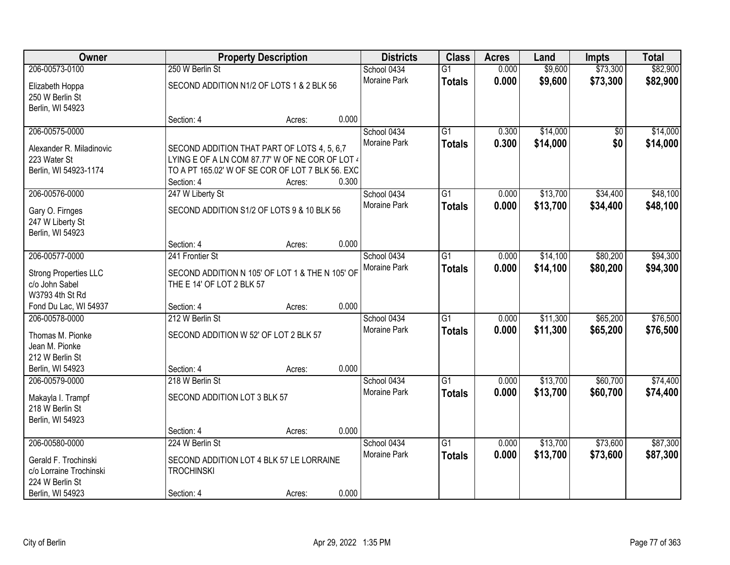| Owner                        |                                                  | <b>Property Description</b> |       | <b>Districts</b>    | <b>Class</b>    | <b>Acres</b> | Land     | <b>Impts</b>    | <b>Total</b> |
|------------------------------|--------------------------------------------------|-----------------------------|-------|---------------------|-----------------|--------------|----------|-----------------|--------------|
| 206-00573-0100               | 250 W Berlin St                                  |                             |       | School 0434         | $\overline{G1}$ | 0.000        | \$9,600  | \$73,300        | \$82,900     |
| Elizabeth Hoppa              | SECOND ADDITION N1/2 OF LOTS 1 & 2 BLK 56        |                             |       | Moraine Park        | <b>Totals</b>   | 0.000        | \$9,600  | \$73,300        | \$82,900     |
| 250 W Berlin St              |                                                  |                             |       |                     |                 |              |          |                 |              |
| Berlin, WI 54923             |                                                  |                             |       |                     |                 |              |          |                 |              |
|                              | Section: 4                                       | Acres:                      | 0.000 |                     |                 |              |          |                 |              |
| 206-00575-0000               |                                                  |                             |       | School 0434         | $\overline{G1}$ | 0.300        | \$14,000 | $\overline{50}$ | \$14,000     |
| Alexander R. Miladinovic     | SECOND ADDITION THAT PART OF LOTS 4, 5, 6,7      |                             |       | <b>Moraine Park</b> | <b>Totals</b>   | 0.300        | \$14,000 | \$0             | \$14,000     |
| 223 Water St                 | LYING E OF A LN COM 87.77' W OF NE COR OF LOT 4  |                             |       |                     |                 |              |          |                 |              |
| Berlin, WI 54923-1174        | TO A PT 165.02' W OF SE COR OF LOT 7 BLK 56. EXC |                             |       |                     |                 |              |          |                 |              |
|                              | Section: 4                                       | Acres:                      | 0.300 |                     |                 |              |          |                 |              |
| 206-00576-0000               | 247 W Liberty St                                 |                             |       | School 0434         | G1              | 0.000        | \$13,700 | \$34,400        | \$48,100     |
| Gary O. Firnges              | SECOND ADDITION S1/2 OF LOTS 9 & 10 BLK 56       |                             |       | Moraine Park        | <b>Totals</b>   | 0.000        | \$13,700 | \$34,400        | \$48,100     |
| 247 W Liberty St             |                                                  |                             |       |                     |                 |              |          |                 |              |
| Berlin, WI 54923             |                                                  |                             |       |                     |                 |              |          |                 |              |
|                              | Section: 4                                       | Acres:                      | 0.000 |                     |                 |              |          |                 |              |
| 206-00577-0000               | 241 Frontier St                                  |                             |       | School 0434         | G1              | 0.000        | \$14,100 | \$80,200        | \$94,300     |
| <b>Strong Properties LLC</b> | SECOND ADDITION N 105' OF LOT 1 & THE N 105' OF  |                             |       | Moraine Park        | <b>Totals</b>   | 0.000        | \$14,100 | \$80,200        | \$94,300     |
| c/o John Sabel               | THE E 14' OF LOT 2 BLK 57                        |                             |       |                     |                 |              |          |                 |              |
| W3793 4th St Rd              |                                                  |                             |       |                     |                 |              |          |                 |              |
| Fond Du Lac, WI 54937        | Section: 4                                       | Acres:                      | 0.000 |                     |                 |              |          |                 |              |
| 206-00578-0000               | 212 W Berlin St                                  |                             |       | School 0434         | $\overline{G1}$ | 0.000        | \$11,300 | \$65,200        | \$76,500     |
| Thomas M. Pionke             | SECOND ADDITION W 52' OF LOT 2 BLK 57            |                             |       | Moraine Park        | <b>Totals</b>   | 0.000        | \$11,300 | \$65,200        | \$76,500     |
| Jean M. Pionke               |                                                  |                             |       |                     |                 |              |          |                 |              |
| 212 W Berlin St              |                                                  |                             |       |                     |                 |              |          |                 |              |
| Berlin, WI 54923             | Section: 4                                       | Acres:                      | 0.000 |                     |                 |              |          |                 |              |
| 206-00579-0000               | 218 W Berlin St                                  |                             |       | School 0434         | $\overline{G1}$ | 0.000        | \$13,700 | \$60,700        | \$74,400     |
| Makayla I. Trampf            | SECOND ADDITION LOT 3 BLK 57                     |                             |       | Moraine Park        | <b>Totals</b>   | 0.000        | \$13,700 | \$60,700        | \$74,400     |
| 218 W Berlin St              |                                                  |                             |       |                     |                 |              |          |                 |              |
| Berlin, WI 54923             |                                                  |                             |       |                     |                 |              |          |                 |              |
|                              | Section: 4                                       | Acres:                      | 0.000 |                     |                 |              |          |                 |              |
| 206-00580-0000               | 224 W Berlin St                                  |                             |       | School 0434         | $\overline{G1}$ | 0.000        | \$13,700 | \$73,600        | \$87,300     |
| Gerald F. Trochinski         | SECOND ADDITION LOT 4 BLK 57 LE LORRAINE         |                             |       | Moraine Park        | <b>Totals</b>   | 0.000        | \$13,700 | \$73,600        | \$87,300     |
| c/o Lorraine Trochinski      | <b>TROCHINSKI</b>                                |                             |       |                     |                 |              |          |                 |              |
| 224 W Berlin St              |                                                  |                             |       |                     |                 |              |          |                 |              |
| Berlin, WI 54923             | Section: 4                                       | Acres:                      | 0.000 |                     |                 |              |          |                 |              |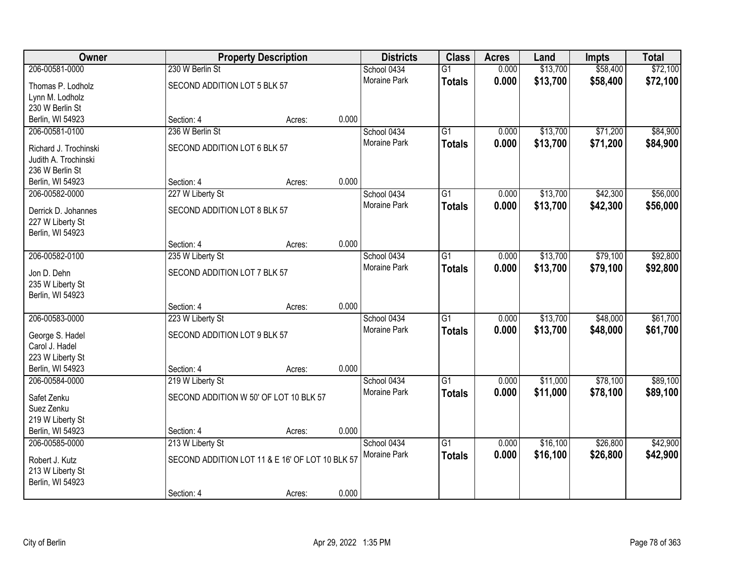| Owner                 |                                                 | <b>Property Description</b> |       | <b>Districts</b>    | <b>Class</b>    | <b>Acres</b> | Land     | <b>Impts</b> | <b>Total</b> |
|-----------------------|-------------------------------------------------|-----------------------------|-------|---------------------|-----------------|--------------|----------|--------------|--------------|
| 206-00581-0000        | 230 W Berlin St                                 |                             |       | School 0434         | $\overline{G1}$ | 0.000        | \$13,700 | \$58,400     | \$72,100     |
| Thomas P. Lodholz     | SECOND ADDITION LOT 5 BLK 57                    |                             |       | Moraine Park        | <b>Totals</b>   | 0.000        | \$13,700 | \$58,400     | \$72,100     |
| Lynn M. Lodholz       |                                                 |                             |       |                     |                 |              |          |              |              |
| 230 W Berlin St       |                                                 |                             |       |                     |                 |              |          |              |              |
| Berlin, WI 54923      | Section: 4                                      | Acres:                      | 0.000 |                     |                 |              |          |              |              |
| 206-00581-0100        | 236 W Berlin St                                 |                             |       | School 0434         | $\overline{G1}$ | 0.000        | \$13,700 | \$71,200     | \$84,900     |
| Richard J. Trochinski | SECOND ADDITION LOT 6 BLK 57                    |                             |       | <b>Moraine Park</b> | <b>Totals</b>   | 0.000        | \$13,700 | \$71,200     | \$84,900     |
| Judith A. Trochinski  |                                                 |                             |       |                     |                 |              |          |              |              |
| 236 W Berlin St       |                                                 |                             |       |                     |                 |              |          |              |              |
| Berlin, WI 54923      | Section: 4                                      | Acres:                      | 0.000 |                     |                 |              |          |              |              |
| 206-00582-0000        | 227 W Liberty St                                |                             |       | School 0434         | $\overline{G1}$ | 0.000        | \$13,700 | \$42,300     | \$56,000     |
| Derrick D. Johannes   | SECOND ADDITION LOT 8 BLK 57                    |                             |       | Moraine Park        | <b>Totals</b>   | 0.000        | \$13,700 | \$42,300     | \$56,000     |
| 227 W Liberty St      |                                                 |                             |       |                     |                 |              |          |              |              |
| Berlin, WI 54923      |                                                 |                             |       |                     |                 |              |          |              |              |
|                       | Section: 4                                      | Acres:                      | 0.000 |                     |                 |              |          |              |              |
| 206-00582-0100        | 235 W Liberty St                                |                             |       | School 0434         | G1              | 0.000        | \$13,700 | \$79,100     | \$92,800     |
| Jon D. Dehn           | SECOND ADDITION LOT 7 BLK 57                    |                             |       | Moraine Park        | <b>Totals</b>   | 0.000        | \$13,700 | \$79,100     | \$92,800     |
| 235 W Liberty St      |                                                 |                             |       |                     |                 |              |          |              |              |
| Berlin, WI 54923      |                                                 |                             |       |                     |                 |              |          |              |              |
|                       | Section: 4                                      | Acres:                      | 0.000 |                     |                 |              |          |              |              |
| 206-00583-0000        | 223 W Liberty St                                |                             |       | School 0434         | $\overline{G1}$ | 0.000        | \$13,700 | \$48,000     | \$61,700     |
| George S. Hadel       | SECOND ADDITION LOT 9 BLK 57                    |                             |       | Moraine Park        | <b>Totals</b>   | 0.000        | \$13,700 | \$48,000     | \$61,700     |
| Carol J. Hadel        |                                                 |                             |       |                     |                 |              |          |              |              |
| 223 W Liberty St      |                                                 |                             |       |                     |                 |              |          |              |              |
| Berlin, WI 54923      | Section: 4                                      | Acres:                      | 0.000 |                     |                 |              |          |              |              |
| 206-00584-0000        | 219 W Liberty St                                |                             |       | School 0434         | $\overline{G1}$ | 0.000        | \$11,000 | \$78,100     | \$89,100     |
| Safet Zenku           | SECOND ADDITION W 50' OF LOT 10 BLK 57          |                             |       | Moraine Park        | <b>Totals</b>   | 0.000        | \$11,000 | \$78,100     | \$89,100     |
| Suez Zenku            |                                                 |                             |       |                     |                 |              |          |              |              |
| 219 W Liberty St      |                                                 |                             |       |                     |                 |              |          |              |              |
| Berlin, WI 54923      | Section: 4                                      | Acres:                      | 0.000 |                     |                 |              |          |              |              |
| 206-00585-0000        | 213 W Liberty St                                |                             |       | School 0434         | $\overline{G1}$ | 0.000        | \$16,100 | \$26,800     | \$42,900     |
| Robert J. Kutz        | SECOND ADDITION LOT 11 & E 16' OF LOT 10 BLK 57 |                             |       | Moraine Park        | <b>Totals</b>   | 0.000        | \$16,100 | \$26,800     | \$42,900     |
| 213 W Liberty St      |                                                 |                             |       |                     |                 |              |          |              |              |
| Berlin, WI 54923      |                                                 |                             |       |                     |                 |              |          |              |              |
|                       | Section: 4                                      | Acres:                      | 0.000 |                     |                 |              |          |              |              |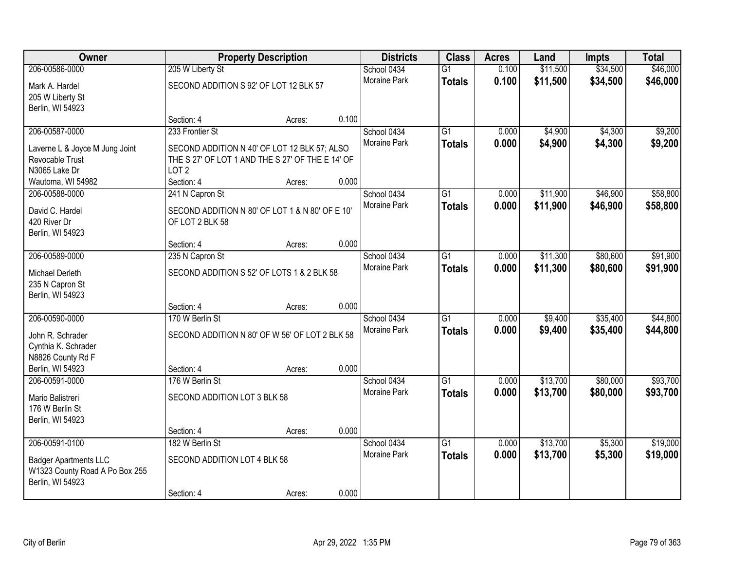| Owner                                   |                                                  | <b>Property Description</b> |       | <b>Districts</b>    | <b>Class</b>    | <b>Acres</b> | Land     | <b>Impts</b> | <b>Total</b> |
|-----------------------------------------|--------------------------------------------------|-----------------------------|-------|---------------------|-----------------|--------------|----------|--------------|--------------|
| 206-00586-0000                          | 205 W Liberty St                                 |                             |       | School 0434         | $\overline{G1}$ | 0.100        | \$11,500 | \$34,500     | \$46,000     |
| Mark A. Hardel                          | SECOND ADDITION S 92' OF LOT 12 BLK 57           |                             |       | Moraine Park        | <b>Totals</b>   | 0.100        | \$11,500 | \$34,500     | \$46,000     |
| 205 W Liberty St                        |                                                  |                             |       |                     |                 |              |          |              |              |
| Berlin, WI 54923                        |                                                  |                             |       |                     |                 |              |          |              |              |
|                                         | Section: 4                                       | Acres:                      | 0.100 |                     |                 |              |          |              |              |
| 206-00587-0000                          | 233 Frontier St                                  |                             |       | School 0434         | $\overline{G1}$ | 0.000        | \$4,900  | \$4,300      | \$9,200      |
| Laverne L & Joyce M Jung Joint          | SECOND ADDITION N 40' OF LOT 12 BLK 57; ALSO     |                             |       | <b>Moraine Park</b> | <b>Totals</b>   | 0.000        | \$4,900  | \$4,300      | \$9,200      |
| Revocable Trust                         | THE S 27' OF LOT 1 AND THE S 27' OF THE E 14' OF |                             |       |                     |                 |              |          |              |              |
| N3065 Lake Dr                           | LOT <sub>2</sub>                                 |                             |       |                     |                 |              |          |              |              |
| Wautoma, WI 54982                       | Section: 4                                       | Acres:                      | 0.000 |                     |                 |              |          |              |              |
| 206-00588-0000                          | 241 N Capron St                                  |                             |       | School 0434         | $\overline{G1}$ | 0.000        | \$11,900 | \$46,900     | \$58,800     |
| David C. Hardel                         | SECOND ADDITION N 80' OF LOT 1 & N 80' OF E 10'  |                             |       | Moraine Park        | <b>Totals</b>   | 0.000        | \$11,900 | \$46,900     | \$58,800     |
| 420 River Dr                            | OF LOT 2 BLK 58                                  |                             |       |                     |                 |              |          |              |              |
| Berlin, WI 54923                        |                                                  |                             |       |                     |                 |              |          |              |              |
|                                         | Section: 4                                       | Acres:                      | 0.000 |                     |                 |              |          |              |              |
| 206-00589-0000                          | 235 N Capron St                                  |                             |       | School 0434         | G1              | 0.000        | \$11,300 | \$80,600     | \$91,900     |
| Michael Derleth                         | SECOND ADDITION S 52' OF LOTS 1 & 2 BLK 58       |                             |       | <b>Moraine Park</b> | <b>Totals</b>   | 0.000        | \$11,300 | \$80,600     | \$91,900     |
| 235 N Capron St                         |                                                  |                             |       |                     |                 |              |          |              |              |
| Berlin, WI 54923                        |                                                  |                             |       |                     |                 |              |          |              |              |
|                                         | Section: 4                                       | Acres:                      | 0.000 |                     |                 |              |          |              |              |
| 206-00590-0000                          | 170 W Berlin St                                  |                             |       | School 0434         | $\overline{G1}$ | 0.000        | \$9,400  | \$35,400     | \$44,800     |
|                                         |                                                  |                             |       | Moraine Park        | <b>Totals</b>   | 0.000        | \$9,400  | \$35,400     | \$44,800     |
| John R. Schrader<br>Cynthia K. Schrader | SECOND ADDITION N 80' OF W 56' OF LOT 2 BLK 58   |                             |       |                     |                 |              |          |              |              |
| N8826 County Rd F                       |                                                  |                             |       |                     |                 |              |          |              |              |
| Berlin, WI 54923                        | Section: 4                                       | Acres:                      | 0.000 |                     |                 |              |          |              |              |
| 206-00591-0000                          | 176 W Berlin St                                  |                             |       | School 0434         | $\overline{G1}$ | 0.000        | \$13,700 | \$80,000     | \$93,700     |
|                                         |                                                  |                             |       | Moraine Park        | <b>Totals</b>   | 0.000        | \$13,700 | \$80,000     | \$93,700     |
| Mario Balistreri                        | SECOND ADDITION LOT 3 BLK 58                     |                             |       |                     |                 |              |          |              |              |
| 176 W Berlin St                         |                                                  |                             |       |                     |                 |              |          |              |              |
| Berlin, WI 54923                        | Section: 4                                       | Acres:                      | 0.000 |                     |                 |              |          |              |              |
| 206-00591-0100                          | 182 W Berlin St                                  |                             |       | School 0434         | $\overline{G1}$ | 0.000        | \$13,700 | \$5,300      | \$19,000     |
|                                         |                                                  |                             |       | <b>Moraine Park</b> | <b>Totals</b>   | 0.000        | \$13,700 | \$5,300      | \$19,000     |
| <b>Badger Apartments LLC</b>            | SECOND ADDITION LOT 4 BLK 58                     |                             |       |                     |                 |              |          |              |              |
| W1323 County Road A Po Box 255          |                                                  |                             |       |                     |                 |              |          |              |              |
| Berlin, WI 54923                        |                                                  |                             |       |                     |                 |              |          |              |              |
|                                         | Section: 4                                       | Acres:                      | 0.000 |                     |                 |              |          |              |              |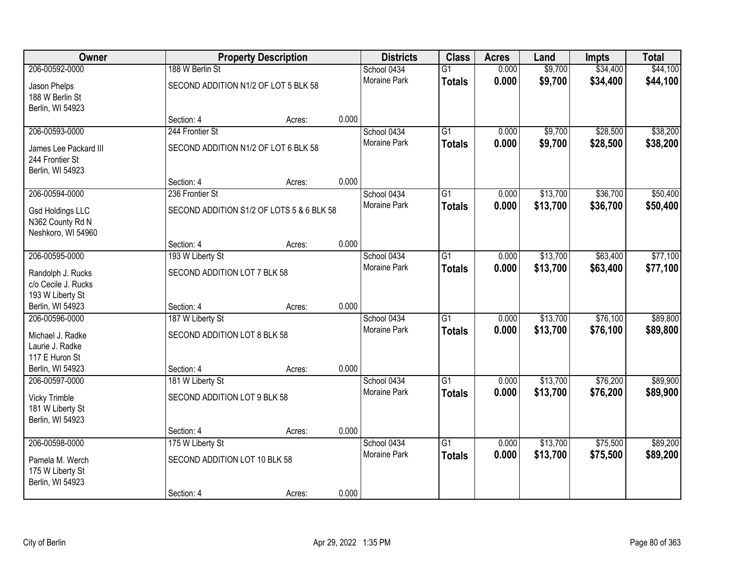| Owner                   |                                           | <b>Property Description</b> |       | <b>Districts</b>    | <b>Class</b>    | <b>Acres</b> | Land     | Impts    | <b>Total</b> |
|-------------------------|-------------------------------------------|-----------------------------|-------|---------------------|-----------------|--------------|----------|----------|--------------|
| 206-00592-0000          | 188 W Berlin St                           |                             |       | School 0434         | $\overline{G1}$ | 0.000        | \$9,700  | \$34,400 | \$44,100     |
| Jason Phelps            | SECOND ADDITION N1/2 OF LOT 5 BLK 58      |                             |       | <b>Moraine Park</b> | <b>Totals</b>   | 0.000        | \$9,700  | \$34,400 | \$44,100     |
| 188 W Berlin St         |                                           |                             |       |                     |                 |              |          |          |              |
| Berlin, WI 54923        |                                           |                             |       |                     |                 |              |          |          |              |
|                         | Section: 4                                | Acres:                      | 0.000 |                     |                 |              |          |          |              |
| 206-00593-0000          | 244 Frontier St                           |                             |       | School 0434         | $\overline{G1}$ | 0.000        | \$9,700  | \$28,500 | \$38,200     |
| James Lee Packard III   | SECOND ADDITION N1/2 OF LOT 6 BLK 58      |                             |       | Moraine Park        | <b>Totals</b>   | 0.000        | \$9,700  | \$28,500 | \$38,200     |
| 244 Frontier St         |                                           |                             |       |                     |                 |              |          |          |              |
| Berlin, WI 54923        |                                           |                             |       |                     |                 |              |          |          |              |
|                         | Section: 4                                | Acres:                      | 0.000 |                     |                 |              |          |          |              |
| 206-00594-0000          | 236 Frontier St                           |                             |       | School 0434         | $\overline{G1}$ | 0.000        | \$13,700 | \$36,700 | \$50,400     |
| <b>Gsd Holdings LLC</b> | SECOND ADDITION S1/2 OF LOTS 5 & 6 BLK 58 |                             |       | Moraine Park        | <b>Totals</b>   | 0.000        | \$13,700 | \$36,700 | \$50,400     |
| N362 County Rd N        |                                           |                             |       |                     |                 |              |          |          |              |
| Neshkoro, WI 54960      |                                           |                             |       |                     |                 |              |          |          |              |
|                         | Section: 4                                | Acres:                      | 0.000 |                     |                 |              |          |          |              |
| 206-00595-0000          | 193 W Liberty St                          |                             |       | School 0434         | $\overline{G1}$ | 0.000        | \$13,700 | \$63,400 | \$77,100     |
| Randolph J. Rucks       | SECOND ADDITION LOT 7 BLK 58              |                             |       | Moraine Park        | <b>Totals</b>   | 0.000        | \$13,700 | \$63,400 | \$77,100     |
| c/o Cecile J. Rucks     |                                           |                             |       |                     |                 |              |          |          |              |
| 193 W Liberty St        |                                           |                             |       |                     |                 |              |          |          |              |
| Berlin, WI 54923        | Section: 4                                | Acres:                      | 0.000 |                     |                 |              |          |          |              |
| 206-00596-0000          | 187 W Liberty St                          |                             |       | School 0434         | $\overline{G1}$ | 0.000        | \$13,700 | \$76,100 | \$89,800     |
| Michael J. Radke        | SECOND ADDITION LOT 8 BLK 58              |                             |       | Moraine Park        | <b>Totals</b>   | 0.000        | \$13,700 | \$76,100 | \$89,800     |
| Laurie J. Radke         |                                           |                             |       |                     |                 |              |          |          |              |
| 117 E Huron St          |                                           |                             |       |                     |                 |              |          |          |              |
| Berlin, WI 54923        | Section: 4                                | Acres:                      | 0.000 |                     |                 |              |          |          |              |
| 206-00597-0000          | 181 W Liberty St                          |                             |       | School 0434         | $\overline{G1}$ | 0.000        | \$13,700 | \$76,200 | \$89,900     |
| <b>Vicky Trimble</b>    | SECOND ADDITION LOT 9 BLK 58              |                             |       | Moraine Park        | <b>Totals</b>   | 0.000        | \$13,700 | \$76,200 | \$89,900     |
| 181 W Liberty St        |                                           |                             |       |                     |                 |              |          |          |              |
| Berlin, WI 54923        |                                           |                             |       |                     |                 |              |          |          |              |
|                         | Section: 4                                | Acres:                      | 0.000 |                     |                 |              |          |          |              |
| 206-00598-0000          | 175 W Liberty St                          |                             |       | School 0434         | $\overline{G1}$ | 0.000        | \$13,700 | \$75,500 | \$89,200     |
| Pamela M. Werch         | SECOND ADDITION LOT 10 BLK 58             |                             |       | <b>Moraine Park</b> | <b>Totals</b>   | 0.000        | \$13,700 | \$75,500 | \$89,200     |
| 175 W Liberty St        |                                           |                             |       |                     |                 |              |          |          |              |
| Berlin, WI 54923        |                                           |                             |       |                     |                 |              |          |          |              |
|                         | Section: 4                                | Acres:                      | 0.000 |                     |                 |              |          |          |              |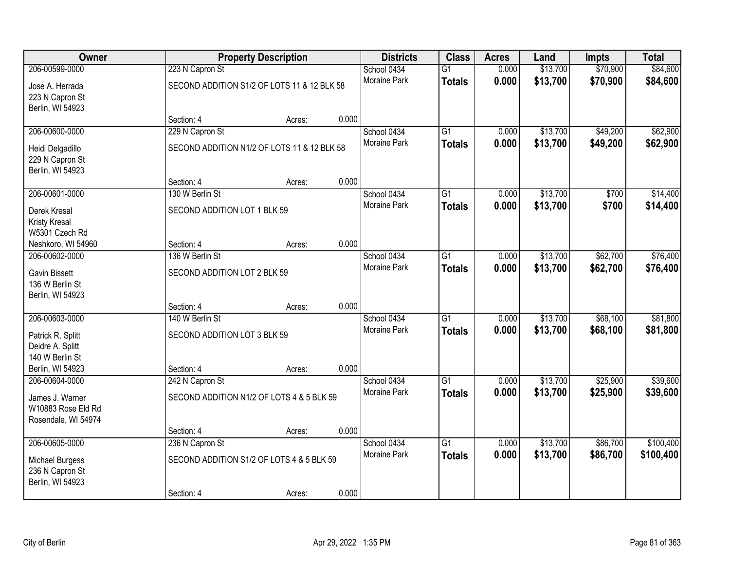| Owner               |                              | <b>Property Description</b>                 |       | <b>Districts</b>    | <b>Class</b>    | <b>Acres</b> | Land     | <b>Impts</b> | <b>Total</b> |
|---------------------|------------------------------|---------------------------------------------|-------|---------------------|-----------------|--------------|----------|--------------|--------------|
| 206-00599-0000      | 223 N Capron St              |                                             |       | School 0434         | $\overline{G1}$ | 0.000        | \$13,700 | \$70,900     | \$84,600     |
| Jose A. Herrada     |                              | SECOND ADDITION S1/2 OF LOTS 11 & 12 BLK 58 |       | Moraine Park        | <b>Totals</b>   | 0.000        | \$13,700 | \$70,900     | \$84,600     |
| 223 N Capron St     |                              |                                             |       |                     |                 |              |          |              |              |
| Berlin, WI 54923    |                              |                                             |       |                     |                 |              |          |              |              |
|                     | Section: 4                   | Acres:                                      | 0.000 |                     |                 |              |          |              |              |
| 206-00600-0000      | 229 N Capron St              |                                             |       | School 0434         | $\overline{G1}$ | 0.000        | \$13,700 | \$49,200     | \$62,900     |
| Heidi Delgadillo    |                              | SECOND ADDITION N1/2 OF LOTS 11 & 12 BLK 58 |       | Moraine Park        | <b>Totals</b>   | 0.000        | \$13,700 | \$49,200     | \$62,900     |
| 229 N Capron St     |                              |                                             |       |                     |                 |              |          |              |              |
| Berlin, WI 54923    |                              |                                             |       |                     |                 |              |          |              |              |
|                     | Section: 4                   | Acres:                                      | 0.000 |                     |                 |              |          |              |              |
| 206-00601-0000      | 130 W Berlin St              |                                             |       | School 0434         | $\overline{G1}$ | 0.000        | \$13,700 | \$700        | \$14,400     |
| Derek Kresal        | SECOND ADDITION LOT 1 BLK 59 |                                             |       | Moraine Park        | <b>Totals</b>   | 0.000        | \$13,700 | \$700        | \$14,400     |
| Kristy Kresal       |                              |                                             |       |                     |                 |              |          |              |              |
| W5301 Czech Rd      |                              |                                             |       |                     |                 |              |          |              |              |
| Neshkoro, WI 54960  | Section: 4                   | Acres:                                      | 0.000 |                     |                 |              |          |              |              |
| 206-00602-0000      | 136 W Berlin St              |                                             |       | School 0434         | G1              | 0.000        | \$13,700 | \$62,700     | \$76,400     |
| Gavin Bissett       | SECOND ADDITION LOT 2 BLK 59 |                                             |       | Moraine Park        | <b>Totals</b>   | 0.000        | \$13,700 | \$62,700     | \$76,400     |
| 136 W Berlin St     |                              |                                             |       |                     |                 |              |          |              |              |
| Berlin, WI 54923    |                              |                                             |       |                     |                 |              |          |              |              |
|                     | Section: 4                   | Acres:                                      | 0.000 |                     |                 |              |          |              |              |
| 206-00603-0000      | 140 W Berlin St              |                                             |       | School 0434         | $\overline{G1}$ | 0.000        | \$13,700 | \$68,100     | \$81,800     |
| Patrick R. Splitt   | SECOND ADDITION LOT 3 BLK 59 |                                             |       | Moraine Park        | <b>Totals</b>   | 0.000        | \$13,700 | \$68,100     | \$81,800     |
| Deidre A. Splitt    |                              |                                             |       |                     |                 |              |          |              |              |
| 140 W Berlin St     |                              |                                             |       |                     |                 |              |          |              |              |
| Berlin, WI 54923    | Section: 4                   | Acres:                                      | 0.000 |                     |                 |              |          |              |              |
| 206-00604-0000      | 242 N Capron St              |                                             |       | School 0434         | $\overline{G1}$ | 0.000        | \$13,700 | \$25,900     | \$39,600     |
| James J. Warner     |                              | SECOND ADDITION N1/2 OF LOTS 4 & 5 BLK 59   |       | Moraine Park        | <b>Totals</b>   | 0.000        | \$13,700 | \$25,900     | \$39,600     |
| W10883 Rose Eld Rd  |                              |                                             |       |                     |                 |              |          |              |              |
| Rosendale, WI 54974 |                              |                                             |       |                     |                 |              |          |              |              |
|                     | Section: 4                   | Acres:                                      | 0.000 |                     |                 |              |          |              |              |
| 206-00605-0000      | 236 N Capron St              |                                             |       | School 0434         | $\overline{G1}$ | 0.000        | \$13,700 | \$86,700     | \$100,400    |
| Michael Burgess     |                              | SECOND ADDITION S1/2 OF LOTS 4 & 5 BLK 59   |       | <b>Moraine Park</b> | <b>Totals</b>   | 0.000        | \$13,700 | \$86,700     | \$100,400    |
| 236 N Capron St     |                              |                                             |       |                     |                 |              |          |              |              |
| Berlin, WI 54923    |                              |                                             |       |                     |                 |              |          |              |              |
|                     | Section: 4                   | Acres:                                      | 0.000 |                     |                 |              |          |              |              |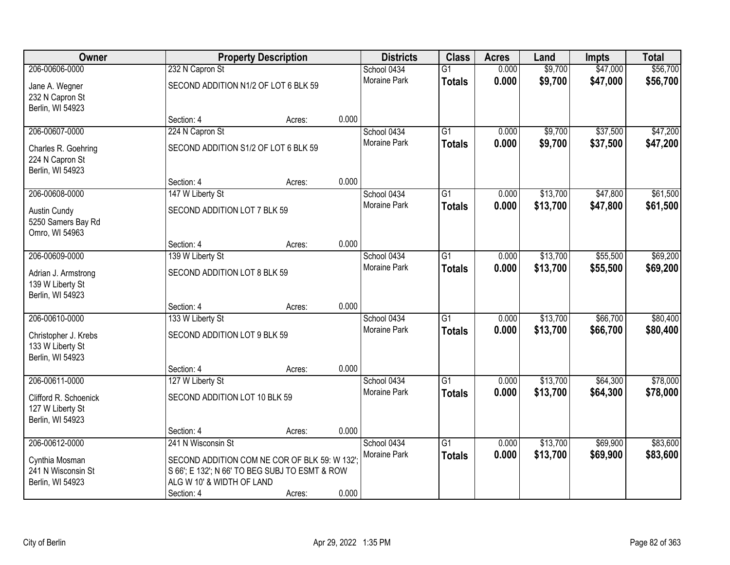| Owner                                                         |                                                                                                                             | <b>Property Description</b> |       | <b>Districts</b>    | <b>Class</b>    | <b>Acres</b> | Land     | <b>Impts</b> | <b>Total</b> |
|---------------------------------------------------------------|-----------------------------------------------------------------------------------------------------------------------------|-----------------------------|-------|---------------------|-----------------|--------------|----------|--------------|--------------|
| 206-00606-0000                                                | 232 N Capron St                                                                                                             |                             |       | School 0434         | $\overline{G1}$ | 0.000        | \$9,700  | \$47,000     | \$56,700     |
| Jane A. Wegner<br>232 N Capron St<br>Berlin, WI 54923         | SECOND ADDITION N1/2 OF LOT 6 BLK 59                                                                                        |                             |       | Moraine Park        | <b>Totals</b>   | 0.000        | \$9,700  | \$47,000     | \$56,700     |
|                                                               | Section: 4                                                                                                                  | Acres:                      | 0.000 |                     |                 |              |          |              |              |
| 206-00607-0000                                                | 224 N Capron St                                                                                                             |                             |       | School 0434         | $\overline{G1}$ | 0.000        | \$9,700  | \$37,500     | \$47,200     |
| Charles R. Goehring<br>224 N Capron St<br>Berlin, WI 54923    | SECOND ADDITION S1/2 OF LOT 6 BLK 59                                                                                        |                             |       | <b>Moraine Park</b> | <b>Totals</b>   | 0.000        | \$9,700  | \$37,500     | \$47,200     |
|                                                               | Section: 4                                                                                                                  | Acres:                      | 0.000 |                     |                 |              |          |              |              |
| 206-00608-0000                                                | 147 W Liberty St                                                                                                            |                             |       | School 0434         | G1              | 0.000        | \$13,700 | \$47,800     | \$61,500     |
| Austin Cundy<br>5250 Samers Bay Rd<br>Omro, WI 54963          | SECOND ADDITION LOT 7 BLK 59                                                                                                |                             |       | Moraine Park        | <b>Totals</b>   | 0.000        | \$13,700 | \$47,800     | \$61,500     |
|                                                               | Section: 4                                                                                                                  | Acres:                      | 0.000 |                     |                 |              |          |              |              |
| 206-00609-0000                                                | 139 W Liberty St                                                                                                            |                             |       | School 0434         | G1              | 0.000        | \$13,700 | \$55,500     | \$69,200     |
| Adrian J. Armstrong<br>139 W Liberty St<br>Berlin, WI 54923   | SECOND ADDITION LOT 8 BLK 59                                                                                                |                             |       | <b>Moraine Park</b> | <b>Totals</b>   | 0.000        | \$13,700 | \$55,500     | \$69,200     |
|                                                               | Section: 4                                                                                                                  | Acres:                      | 0.000 |                     |                 |              |          |              |              |
| 206-00610-0000                                                | 133 W Liberty St                                                                                                            |                             |       | School 0434         | $\overline{G1}$ | 0.000        | \$13,700 | \$66,700     | \$80,400     |
| Christopher J. Krebs<br>133 W Liberty St<br>Berlin, WI 54923  | SECOND ADDITION LOT 9 BLK 59                                                                                                |                             |       | Moraine Park        | <b>Totals</b>   | 0.000        | \$13,700 | \$66,700     | \$80,400     |
|                                                               | Section: 4                                                                                                                  | Acres:                      | 0.000 |                     |                 |              |          |              |              |
| 206-00611-0000                                                | 127 W Liberty St                                                                                                            |                             |       | School 0434         | $\overline{G1}$ | 0.000        | \$13,700 | \$64,300     | \$78,000     |
| Clifford R. Schoenick<br>127 W Liberty St<br>Berlin, WI 54923 | SECOND ADDITION LOT 10 BLK 59                                                                                               |                             |       | Moraine Park        | <b>Totals</b>   | 0.000        | \$13,700 | \$64,300     | \$78,000     |
|                                                               | Section: 4                                                                                                                  | Acres:                      | 0.000 |                     |                 |              |          |              |              |
| 206-00612-0000                                                | 241 N Wisconsin St                                                                                                          |                             |       | School 0434         | $\overline{G1}$ | 0.000        | \$13,700 | \$69,900     | \$83,600     |
| Cynthia Mosman<br>241 N Wisconsin St<br>Berlin, WI 54923      | SECOND ADDITION COM NE COR OF BLK 59: W 132"<br>S 66'; E 132'; N 66' TO BEG SUBJ TO ESMT & ROW<br>ALG W 10' & WIDTH OF LAND |                             |       | Moraine Park        | <b>Totals</b>   | 0.000        | \$13,700 | \$69,900     | \$83,600     |
|                                                               | Section: 4                                                                                                                  | Acres:                      | 0.000 |                     |                 |              |          |              |              |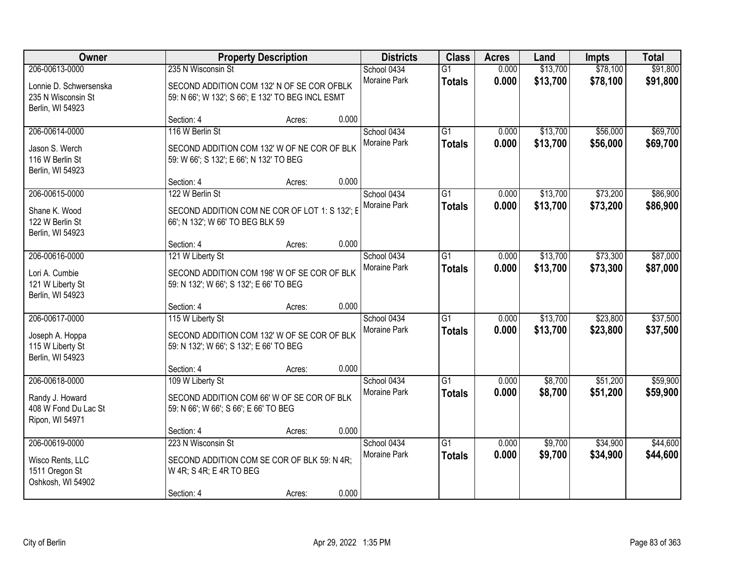| <b>Owner</b>                                                                       |                                                                                                                       | <b>Property Description</b> |       | <b>Districts</b>                   | <b>Class</b>                     | <b>Acres</b>   | Land                 | <b>Impts</b>         | <b>Total</b>         |
|------------------------------------------------------------------------------------|-----------------------------------------------------------------------------------------------------------------------|-----------------------------|-------|------------------------------------|----------------------------------|----------------|----------------------|----------------------|----------------------|
| 206-00613-0000<br>Lonnie D. Schwersenska<br>235 N Wisconsin St<br>Berlin, WI 54923 | 235 N Wisconsin St<br>SECOND ADDITION COM 132' N OF SE COR OFBLK<br>59: N 66'; W 132'; S 66'; E 132' TO BEG INCL ESMT |                             |       | School 0434<br>Moraine Park        | $\overline{G1}$<br><b>Totals</b> | 0.000<br>0.000 | \$13,700<br>\$13,700 | \$78,100<br>\$78,100 | \$91,800<br>\$91,800 |
|                                                                                    | Section: 4                                                                                                            | Acres:                      | 0.000 |                                    |                                  |                |                      |                      |                      |
| 206-00614-0000<br>Jason S. Werch<br>116 W Berlin St<br>Berlin, WI 54923            | 116 W Berlin St<br>SECOND ADDITION COM 132' W OF NE COR OF BLK<br>59: W 66'; S 132'; E 66'; N 132' TO BEG             |                             |       | School 0434<br>Moraine Park        | $\overline{G1}$<br><b>Totals</b> | 0.000<br>0.000 | \$13,700<br>\$13,700 | \$56,000<br>\$56,000 | \$69,700<br>\$69,700 |
|                                                                                    | Section: 4                                                                                                            | Acres:                      | 0.000 |                                    |                                  |                |                      |                      |                      |
| 206-00615-0000<br>Shane K. Wood<br>122 W Berlin St<br>Berlin, WI 54923             | 122 W Berlin St<br>SECOND ADDITION COM NE COR OF LOT 1: S 132'; E<br>66'; N 132'; W 66' TO BEG BLK 59                 |                             |       | School 0434<br>Moraine Park        | G1<br><b>Totals</b>              | 0.000<br>0.000 | \$13,700<br>\$13,700 | \$73,200<br>\$73,200 | \$86,900<br>\$86,900 |
|                                                                                    | Section: 4                                                                                                            | Acres:                      | 0.000 |                                    |                                  |                |                      |                      |                      |
| 206-00616-0000<br>Lori A. Cumbie<br>121 W Liberty St<br>Berlin, WI 54923           | 121 W Liberty St<br>SECOND ADDITION COM 198' W OF SE COR OF BLK<br>59: N 132'; W 66'; S 132'; E 66' TO BEG            |                             |       | School 0434<br>Moraine Park        | G1<br><b>Totals</b>              | 0.000<br>0.000 | \$13,700<br>\$13,700 | \$73,300<br>\$73,300 | \$87,000<br>\$87,000 |
|                                                                                    | Section: 4                                                                                                            | Acres:                      | 0.000 |                                    |                                  |                |                      |                      |                      |
| 206-00617-0000<br>Joseph A. Hoppa<br>115 W Liberty St<br>Berlin, WI 54923          | 115 W Liberty St<br>SECOND ADDITION COM 132' W OF SE COR OF BLK<br>59: N 132'; W 66'; S 132'; E 66' TO BEG            |                             |       | School 0434<br>Moraine Park        | $\overline{G1}$<br><b>Totals</b> | 0.000<br>0.000 | \$13,700<br>\$13,700 | \$23,800<br>\$23,800 | \$37,500<br>\$37,500 |
|                                                                                    | Section: 4                                                                                                            | Acres:                      | 0.000 |                                    |                                  |                |                      |                      |                      |
| 206-00618-0000<br>Randy J. Howard<br>408 W Fond Du Lac St<br>Ripon, WI 54971       | 109 W Liberty St<br>SECOND ADDITION COM 66' W OF SE COR OF BLK<br>59: N 66'; W 66'; S 66'; E 66' TO BEG               |                             |       | School 0434<br>Moraine Park        | $\overline{G1}$<br><b>Totals</b> | 0.000<br>0.000 | \$8,700<br>\$8,700   | \$51,200<br>\$51,200 | \$59,900<br>\$59,900 |
|                                                                                    | Section: 4                                                                                                            | Acres:                      | 0.000 |                                    |                                  |                |                      |                      |                      |
| 206-00619-0000<br>Wisco Rents, LLC<br>1511 Oregon St<br>Oshkosh, WI 54902          | 223 N Wisconsin St<br>SECOND ADDITION COM SE COR OF BLK 59: N 4R;<br>W 4R; S 4R; E 4R TO BEG<br>Section: 4            | Acres:                      | 0.000 | School 0434<br><b>Moraine Park</b> | $\overline{G1}$<br><b>Totals</b> | 0.000<br>0.000 | \$9,700<br>\$9,700   | \$34,900<br>\$34,900 | \$44,600<br>\$44,600 |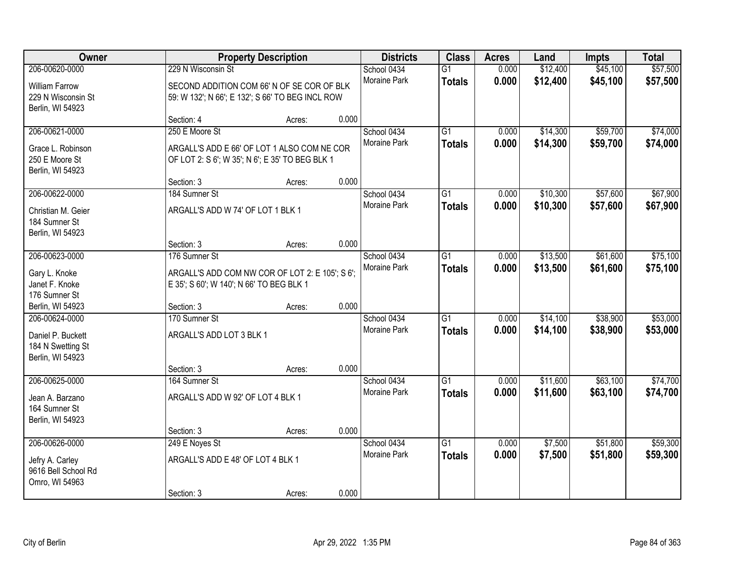| Owner                                                                        |                                                                                                                      | <b>Property Description</b> |       | <b>Districts</b>                   | <b>Class</b>                     | <b>Acres</b>   | Land                 | <b>Impts</b>         | <b>Total</b>         |
|------------------------------------------------------------------------------|----------------------------------------------------------------------------------------------------------------------|-----------------------------|-------|------------------------------------|----------------------------------|----------------|----------------------|----------------------|----------------------|
| 206-00620-0000<br><b>William Farrow</b><br>229 N Wisconsin St                | 229 N Wisconsin St<br>SECOND ADDITION COM 66' N OF SE COR OF BLK<br>59: W 132'; N 66'; E 132'; S 66' TO BEG INCL ROW |                             |       | School 0434<br>Moraine Park        | $\overline{G1}$<br><b>Totals</b> | 0.000<br>0.000 | \$12,400<br>\$12,400 | \$45,100<br>\$45,100 | \$57,500<br>\$57,500 |
| Berlin, WI 54923                                                             | Section: 4                                                                                                           | Acres:                      | 0.000 |                                    |                                  |                |                      |                      |                      |
| 206-00621-0000<br>Grace L. Robinson<br>250 E Moore St<br>Berlin, WI 54923    | 250 E Moore St<br>ARGALL'S ADD E 66' OF LOT 1 ALSO COM NE COR<br>OF LOT 2: S 6'; W 35'; N 6'; E 35' TO BEG BLK 1     |                             |       | School 0434<br>Moraine Park        | $\overline{G1}$<br><b>Totals</b> | 0.000<br>0.000 | \$14,300<br>\$14,300 | \$59,700<br>\$59,700 | \$74,000<br>\$74,000 |
| 206-00622-0000                                                               | Section: 3                                                                                                           | Acres:                      | 0.000 |                                    |                                  |                |                      |                      |                      |
| Christian M. Geier<br>184 Sumner St<br>Berlin, WI 54923                      | 184 Sumner St<br>ARGALL'S ADD W 74' OF LOT 1 BLK 1                                                                   |                             |       | School 0434<br>Moraine Park        | $\overline{G1}$<br><b>Totals</b> | 0.000<br>0.000 | \$10,300<br>\$10,300 | \$57,600<br>\$57,600 | \$67,900<br>\$67,900 |
|                                                                              | Section: 3                                                                                                           | Acres:                      | 0.000 |                                    |                                  |                |                      |                      |                      |
| 206-00623-0000<br>Gary L. Knoke<br>Janet F. Knoke<br>176 Sumner St           | 176 Sumner St<br>ARGALL'S ADD COM NW COR OF LOT 2: E 105'; S 6';<br>E 35'; S 60'; W 140'; N 66' TO BEG BLK 1         |                             |       | School 0434<br>Moraine Park        | G1<br><b>Totals</b>              | 0.000<br>0.000 | \$13,500<br>\$13,500 | \$61,600<br>\$61,600 | \$75,100<br>\$75,100 |
| Berlin, WI 54923                                                             | Section: 3                                                                                                           | Acres:                      | 0.000 |                                    |                                  |                |                      |                      |                      |
| 206-00624-0000<br>Daniel P. Buckett<br>184 N Swetting St<br>Berlin, WI 54923 | 170 Sumner St<br>ARGALL'S ADD LOT 3 BLK 1<br>Section: 3                                                              | Acres:                      | 0.000 | School 0434<br>Moraine Park        | $\overline{G1}$<br><b>Totals</b> | 0.000<br>0.000 | \$14,100<br>\$14,100 | \$38,900<br>\$38,900 | \$53,000<br>\$53,000 |
| 206-00625-0000<br>Jean A. Barzano<br>164 Sumner St<br>Berlin, WI 54923       | 164 Sumner St<br>ARGALL'S ADD W 92' OF LOT 4 BLK 1                                                                   |                             |       | School 0434<br>Moraine Park        | $\overline{G1}$<br><b>Totals</b> | 0.000<br>0.000 | \$11,600<br>\$11,600 | \$63,100<br>\$63,100 | \$74,700<br>\$74,700 |
|                                                                              | Section: 3                                                                                                           | Acres:                      | 0.000 |                                    |                                  |                |                      |                      |                      |
| 206-00626-0000<br>Jefry A. Carley<br>9616 Bell School Rd<br>Omro, WI 54963   | 249 E Noyes St<br>ARGALL'S ADD E 48' OF LOT 4 BLK 1<br>Section: 3                                                    | Acres:                      | 0.000 | School 0434<br><b>Moraine Park</b> | $\overline{G1}$<br><b>Totals</b> | 0.000<br>0.000 | \$7,500<br>\$7,500   | \$51,800<br>\$51,800 | \$59,300<br>\$59,300 |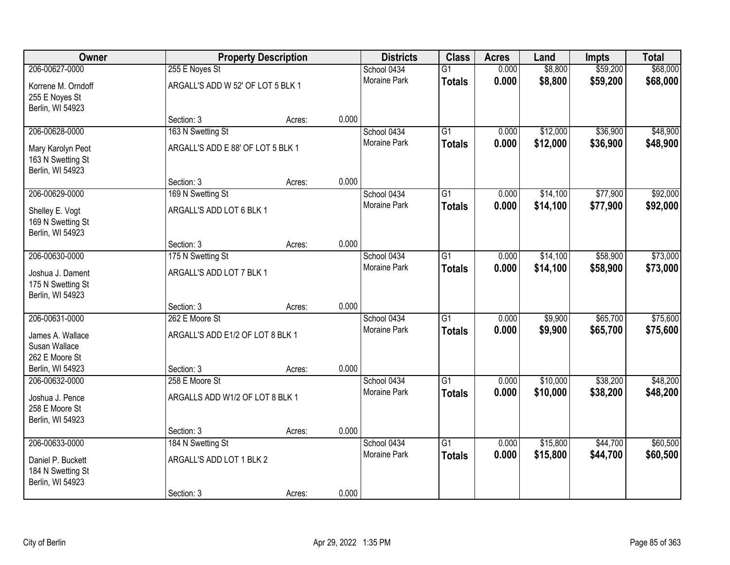| Owner                                                      | <b>Property Description</b>       |        | <b>Districts</b> | <b>Class</b>        | <b>Acres</b>    | Land  | <b>Impts</b> | <b>Total</b> |          |
|------------------------------------------------------------|-----------------------------------|--------|------------------|---------------------|-----------------|-------|--------------|--------------|----------|
| 206-00627-0000                                             | 255 E Noyes St                    |        |                  | School 0434         | $\overline{G1}$ | 0.000 | \$8,800      | \$59,200     | \$68,000 |
| Korrene M. Orndoff<br>255 E Noyes St<br>Berlin, WI 54923   | ARGALL'S ADD W 52' OF LOT 5 BLK 1 |        |                  | Moraine Park        | <b>Totals</b>   | 0.000 | \$8,800      | \$59,200     | \$68,000 |
|                                                            | Section: 3                        | Acres: | 0.000            |                     |                 |       |              |              |          |
| 206-00628-0000                                             | 163 N Swetting St                 |        |                  | School 0434         | $\overline{G1}$ | 0.000 | \$12,000     | \$36,900     | \$48,900 |
| Mary Karolyn Peot<br>163 N Swetting St<br>Berlin, WI 54923 | ARGALL'S ADD E 88' OF LOT 5 BLK 1 |        |                  | <b>Moraine Park</b> | <b>Totals</b>   | 0.000 | \$12,000     | \$36,900     | \$48,900 |
|                                                            | Section: 3                        | Acres: | 0.000            |                     |                 |       |              |              |          |
| 206-00629-0000                                             | 169 N Swetting St                 |        |                  | School 0434         | $\overline{G1}$ | 0.000 | \$14,100     | \$77,900     | \$92,000 |
| Shelley E. Vogt<br>169 N Swetting St<br>Berlin, WI 54923   | ARGALL'S ADD LOT 6 BLK 1          |        |                  | Moraine Park        | <b>Totals</b>   | 0.000 | \$14,100     | \$77,900     | \$92,000 |
|                                                            | Section: 3                        | Acres: | 0.000            |                     |                 |       |              |              |          |
| 206-00630-0000                                             | 175 N Swetting St                 |        |                  | School 0434         | G1              | 0.000 | \$14,100     | \$58,900     | \$73,000 |
| Joshua J. Dament<br>175 N Swetting St<br>Berlin, WI 54923  | ARGALL'S ADD LOT 7 BLK 1          |        |                  | Moraine Park        | <b>Totals</b>   | 0.000 | \$14,100     | \$58,900     | \$73,000 |
|                                                            | Section: 3                        | Acres: | 0.000            |                     |                 |       |              |              |          |
| 206-00631-0000                                             | 262 E Moore St                    |        |                  | School 0434         | $\overline{G1}$ | 0.000 | \$9,900      | \$65,700     | \$75,600 |
| James A. Wallace                                           | ARGALL'S ADD E1/2 OF LOT 8 BLK 1  |        |                  | Moraine Park        | <b>Totals</b>   | 0.000 | \$9,900      | \$65,700     | \$75,600 |
| Susan Wallace                                              |                                   |        |                  |                     |                 |       |              |              |          |
| 262 E Moore St                                             |                                   |        |                  |                     |                 |       |              |              |          |
| Berlin, WI 54923                                           | Section: 3                        | Acres: | 0.000            |                     |                 |       |              |              |          |
| 206-00632-0000                                             | 258 E Moore St                    |        |                  | School 0434         | $\overline{G1}$ | 0.000 | \$10,000     | \$38,200     | \$48,200 |
| Joshua J. Pence<br>258 E Moore St<br>Berlin, WI 54923      | ARGALLS ADD W1/2 OF LOT 8 BLK 1   |        |                  | Moraine Park        | <b>Totals</b>   | 0.000 | \$10,000     | \$38,200     | \$48,200 |
|                                                            | Section: 3                        | Acres: | 0.000            |                     |                 |       |              |              |          |
| 206-00633-0000                                             | 184 N Swetting St                 |        |                  | School 0434         | $\overline{G1}$ | 0.000 | \$15,800     | \$44,700     | \$60,500 |
| Daniel P. Buckett<br>184 N Swetting St<br>Berlin, WI 54923 | ARGALL'S ADD LOT 1 BLK 2          |        |                  | <b>Moraine Park</b> | <b>Totals</b>   | 0.000 | \$15,800     | \$44,700     | \$60,500 |
|                                                            | Section: 3                        | Acres: | 0.000            |                     |                 |       |              |              |          |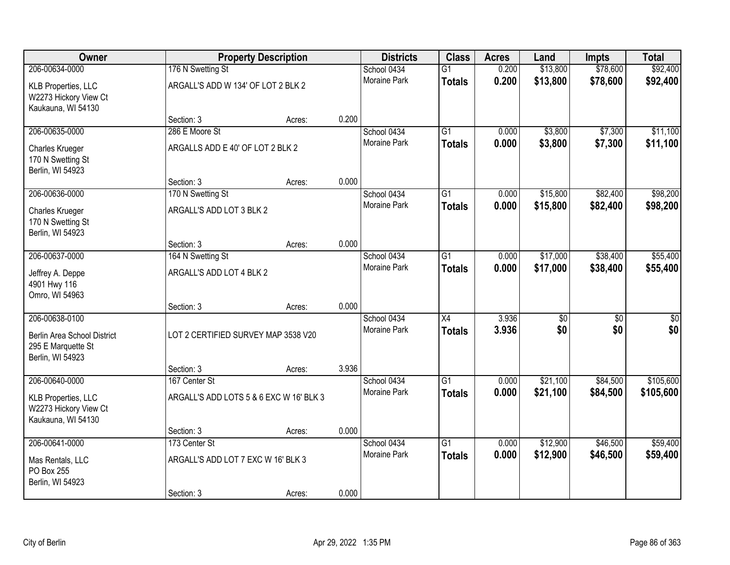| Owner                                                                                   |                                         | <b>Property Description</b> |       | <b>Districts</b>                   | <b>Class</b>                     | <b>Acres</b>   | Land        | Impts                  | <b>Total</b>           |
|-----------------------------------------------------------------------------------------|-----------------------------------------|-----------------------------|-------|------------------------------------|----------------------------------|----------------|-------------|------------------------|------------------------|
| 206-00634-0000                                                                          | 176 N Swetting St                       |                             |       | School 0434                        | $\overline{G1}$                  | 0.200          | \$13,800    | \$78,600               | \$92,400               |
| <b>KLB Properties, LLC</b><br>W2273 Hickory View Ct<br>Kaukauna, WI 54130               | ARGALL'S ADD W 134' OF LOT 2 BLK 2      |                             |       | <b>Moraine Park</b>                | <b>Totals</b>                    | 0.200          | \$13,800    | \$78,600               | \$92,400               |
|                                                                                         | Section: 3                              | Acres:                      | 0.200 |                                    |                                  |                |             |                        |                        |
| 206-00635-0000                                                                          | 286 E Moore St                          |                             |       | School 0434                        | $\overline{G1}$                  | 0.000          | \$3,800     | \$7,300                | \$11,100               |
| Charles Krueger<br>170 N Swetting St<br>Berlin, WI 54923                                | ARGALLS ADD E 40' OF LOT 2 BLK 2        |                             |       | Moraine Park                       | <b>Totals</b>                    | 0.000          | \$3,800     | \$7,300                | \$11,100               |
|                                                                                         | Section: 3                              | Acres:                      | 0.000 |                                    |                                  |                |             |                        |                        |
| 206-00636-0000                                                                          | 170 N Swetting St                       |                             |       | School 0434                        | $\overline{G1}$                  | 0.000          | \$15,800    | \$82,400               | \$98,200               |
| Charles Krueger<br>170 N Swetting St<br>Berlin, WI 54923                                | ARGALL'S ADD LOT 3 BLK 2                |                             |       | Moraine Park                       | <b>Totals</b>                    | 0.000          | \$15,800    | \$82,400               | \$98,200               |
|                                                                                         | Section: 3                              | Acres:                      | 0.000 |                                    |                                  |                |             |                        |                        |
| 206-00637-0000                                                                          | 164 N Swetting St                       |                             |       | School 0434                        | $\overline{G1}$                  | 0.000          | \$17,000    | \$38,400               | \$55,400               |
| Jeffrey A. Deppe<br>4901 Hwy 116<br>Omro, WI 54963                                      | ARGALL'S ADD LOT 4 BLK 2                |                             |       | Moraine Park                       | <b>Totals</b>                    | 0.000          | \$17,000    | \$38,400               | \$55,400               |
|                                                                                         | Section: 3                              | Acres:                      | 0.000 |                                    |                                  |                |             |                        |                        |
| 206-00638-0100<br>Berlin Area School District<br>295 E Marquette St<br>Berlin, WI 54923 | LOT 2 CERTIFIED SURVEY MAP 3538 V20     |                             |       | School 0434<br><b>Moraine Park</b> | $\overline{X4}$<br><b>Totals</b> | 3.936<br>3.936 | \$0 <br>\$0 | $\overline{50}$<br>\$0 | $\overline{50}$<br>\$0 |
|                                                                                         | Section: 3                              | Acres:                      | 3.936 |                                    |                                  |                |             |                        |                        |
| 206-00640-0000                                                                          | 167 Center St                           |                             |       | School 0434                        | $\overline{G1}$                  | 0.000          | \$21,100    | \$84,500               | \$105,600              |
| <b>KLB Properties, LLC</b><br>W2273 Hickory View Ct<br>Kaukauna, WI 54130               | ARGALL'S ADD LOTS 5 & 6 EXC W 16' BLK 3 |                             |       | Moraine Park                       | <b>Totals</b>                    | 0.000          | \$21,100    | \$84,500               | \$105,600              |
|                                                                                         | Section: 3                              | Acres:                      | 0.000 |                                    |                                  |                |             |                        |                        |
| 206-00641-0000                                                                          | 173 Center St                           |                             |       | School 0434                        | $\overline{G1}$                  | 0.000          | \$12,900    | \$46,500               | \$59,400               |
| Mas Rentals, LLC<br>PO Box 255<br>Berlin, WI 54923                                      | ARGALL'S ADD LOT 7 EXC W 16' BLK 3      |                             |       | <b>Moraine Park</b>                | <b>Totals</b>                    | 0.000          | \$12,900    | \$46,500               | \$59,400               |
|                                                                                         | Section: 3                              | Acres:                      | 0.000 |                                    |                                  |                |             |                        |                        |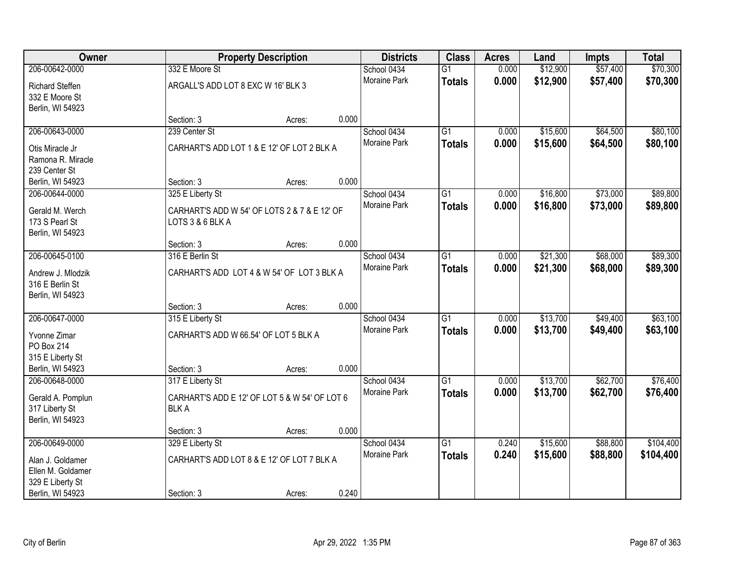| <b>Owner</b>                         |                                               | <b>Property Description</b> |       | <b>Districts</b>    | <b>Class</b>    | <b>Acres</b> | Land     | <b>Impts</b> | <b>Total</b> |
|--------------------------------------|-----------------------------------------------|-----------------------------|-------|---------------------|-----------------|--------------|----------|--------------|--------------|
| 206-00642-0000                       | 332 E Moore St                                |                             |       | School 0434         | $\overline{G1}$ | 0.000        | \$12,900 | \$57,400     | \$70,300     |
| <b>Richard Steffen</b>               | ARGALL'S ADD LOT 8 EXC W 16' BLK 3            |                             |       | Moraine Park        | <b>Totals</b>   | 0.000        | \$12,900 | \$57,400     | \$70,300     |
| 332 E Moore St                       |                                               |                             |       |                     |                 |              |          |              |              |
| Berlin, WI 54923                     |                                               |                             |       |                     |                 |              |          |              |              |
|                                      | Section: 3                                    | Acres:                      | 0.000 |                     |                 |              |          |              |              |
| 206-00643-0000                       | 239 Center St                                 |                             |       | School 0434         | $\overline{G1}$ | 0.000        | \$15,600 | \$64,500     | \$80,100     |
| Otis Miracle Jr                      | CARHART'S ADD LOT 1 & E 12' OF LOT 2 BLK A    |                             |       | <b>Moraine Park</b> | <b>Totals</b>   | 0.000        | \$15,600 | \$64,500     | \$80,100     |
| Ramona R. Miracle                    |                                               |                             |       |                     |                 |              |          |              |              |
| 239 Center St                        |                                               |                             |       |                     |                 |              |          |              |              |
| Berlin, WI 54923                     | Section: 3                                    | Acres:                      | 0.000 |                     |                 |              |          |              |              |
| 206-00644-0000                       | 325 E Liberty St                              |                             |       | School 0434         | $\overline{G1}$ | 0.000        | \$16,800 | \$73,000     | \$89,800     |
| Gerald M. Werch                      | CARHART'S ADD W 54' OF LOTS 2 & 7 & E 12' OF  |                             |       | Moraine Park        | <b>Totals</b>   | 0.000        | \$16,800 | \$73,000     | \$89,800     |
| 173 S Pearl St                       | LOTS 3 & 6 BLK A                              |                             |       |                     |                 |              |          |              |              |
| Berlin, WI 54923                     |                                               |                             |       |                     |                 |              |          |              |              |
|                                      | Section: 3                                    | Acres:                      | 0.000 |                     |                 |              |          |              |              |
| 206-00645-0100                       | 316 E Berlin St                               |                             |       | School 0434         | G1              | 0.000        | \$21,300 | \$68,000     | \$89,300     |
|                                      |                                               |                             |       | <b>Moraine Park</b> | <b>Totals</b>   | 0.000        | \$21,300 | \$68,000     | \$89,300     |
| Andrew J. Mlodzik<br>316 E Berlin St | CARHART'S ADD LOT 4 & W 54' OF LOT 3 BLK A    |                             |       |                     |                 |              |          |              |              |
| Berlin, WI 54923                     |                                               |                             |       |                     |                 |              |          |              |              |
|                                      | Section: 3                                    | Acres:                      | 0.000 |                     |                 |              |          |              |              |
| 206-00647-0000                       | 315 E Liberty St                              |                             |       | School 0434         | $\overline{G1}$ | 0.000        | \$13,700 | \$49,400     | \$63,100     |
|                                      |                                               |                             |       | Moraine Park        | <b>Totals</b>   | 0.000        | \$13,700 | \$49,400     | \$63,100     |
| Yvonne Zimar                         | CARHART'S ADD W 66.54' OF LOT 5 BLK A         |                             |       |                     |                 |              |          |              |              |
| PO Box 214                           |                                               |                             |       |                     |                 |              |          |              |              |
| 315 E Liberty St                     |                                               |                             | 0.000 |                     |                 |              |          |              |              |
| Berlin, WI 54923<br>206-00648-0000   | Section: 3                                    | Acres:                      |       | School 0434         | $\overline{G1}$ |              | \$13,700 | \$62,700     | \$76,400     |
|                                      | 317 E Liberty St                              |                             |       | Moraine Park        |                 | 0.000        |          |              |              |
| Gerald A. Pomplun                    | CARHART'S ADD E 12' OF LOT 5 & W 54' OF LOT 6 |                             |       |                     | <b>Totals</b>   | 0.000        | \$13,700 | \$62,700     | \$76,400     |
| 317 Liberty St                       | <b>BLKA</b>                                   |                             |       |                     |                 |              |          |              |              |
| Berlin, WI 54923                     |                                               |                             |       |                     |                 |              |          |              |              |
|                                      | Section: 3                                    | Acres:                      | 0.000 |                     |                 |              |          |              |              |
| 206-00649-0000                       | 329 E Liberty St                              |                             |       | School 0434         | $\overline{G1}$ | 0.240        | \$15,600 | \$88,800     | \$104,400    |
| Alan J. Goldamer                     | CARHART'S ADD LOT 8 & E 12' OF LOT 7 BLK A    |                             |       | <b>Moraine Park</b> | <b>Totals</b>   | 0.240        | \$15,600 | \$88,800     | \$104,400    |
| Ellen M. Goldamer                    |                                               |                             |       |                     |                 |              |          |              |              |
| 329 E Liberty St                     |                                               |                             |       |                     |                 |              |          |              |              |
| Berlin, WI 54923                     | Section: 3                                    | Acres:                      | 0.240 |                     |                 |              |          |              |              |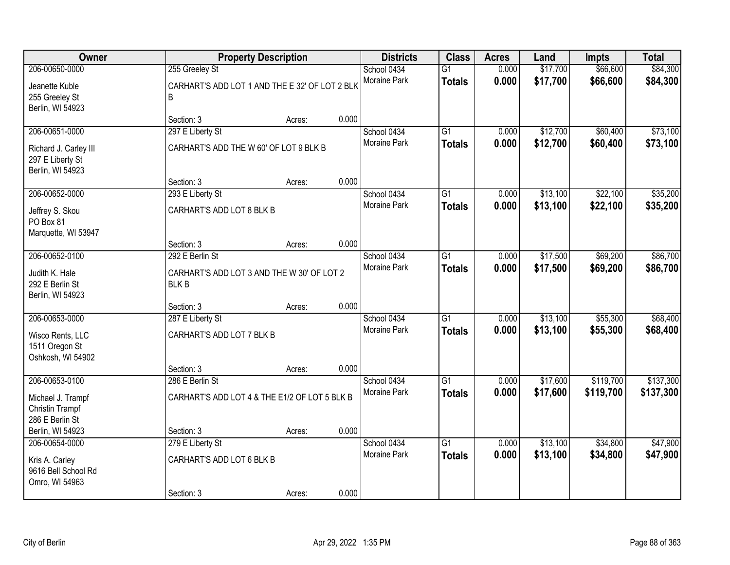| Owner                                                                            |                                                                              | <b>Property Description</b> |                                    | <b>Districts</b>                   | <b>Class</b>                     | <b>Acres</b>         | Land                 | <b>Impts</b>           | <b>Total</b>           |
|----------------------------------------------------------------------------------|------------------------------------------------------------------------------|-----------------------------|------------------------------------|------------------------------------|----------------------------------|----------------------|----------------------|------------------------|------------------------|
| 206-00650-0000<br>Jeanette Kuble<br>255 Greeley St<br>Berlin, WI 54923           | 255 Greeley St<br>CARHART'S ADD LOT 1 AND THE E 32' OF LOT 2 BLK<br>B        |                             |                                    | School 0434<br>Moraine Park        | $\overline{G1}$<br><b>Totals</b> | 0.000<br>0.000       | \$17,700<br>\$17,700 | \$66,600<br>\$66,600   | \$84,300<br>\$84,300   |
|                                                                                  | Section: 3                                                                   | Acres:                      | 0.000                              |                                    |                                  |                      |                      |                        |                        |
| 206-00651-0000<br>Richard J. Carley III<br>297 E Liberty St<br>Berlin, WI 54923  | 297 E Liberty St<br>CARHART'S ADD THE W 60' OF LOT 9 BLK B                   |                             |                                    | School 0434<br>Moraine Park        | $\overline{G1}$<br><b>Totals</b> | 0.000<br>0.000       | \$12,700<br>\$12,700 | \$60,400<br>\$60,400   | \$73,100<br>\$73,100   |
|                                                                                  | Section: 3                                                                   | Acres:                      | 0.000                              |                                    |                                  |                      |                      |                        |                        |
| 206-00652-0000<br>Jeffrey S. Skou<br>PO Box 81<br>Marquette, WI 53947            | 293 E Liberty St<br>CARHART'S ADD LOT 8 BLK B                                |                             |                                    | School 0434<br>Moraine Park        | G1<br><b>Totals</b>              | 0.000<br>0.000       | \$13,100<br>\$13,100 | \$22,100<br>\$22,100   | \$35,200<br>\$35,200   |
|                                                                                  | Section: 3                                                                   | Acres:                      | 0.000                              |                                    |                                  |                      |                      |                        |                        |
| 206-00652-0100<br>Judith K. Hale<br>292 E Berlin St<br>Berlin, WI 54923          | 292 E Berlin St<br>CARHART'S ADD LOT 3 AND THE W 30' OF LOT 2<br><b>BLKB</b> |                             | School 0434<br><b>Moraine Park</b> | G1<br><b>Totals</b>                | 0.000<br>0.000                   | \$17,500<br>\$17,500 | \$69,200<br>\$69,200 | \$86,700<br>\$86,700   |                        |
|                                                                                  | Section: 3                                                                   | Acres:                      | 0.000                              |                                    |                                  |                      |                      |                        |                        |
| 206-00653-0000<br>Wisco Rents, LLC<br>1511 Oregon St<br>Oshkosh, WI 54902        | 287 E Liberty St<br>CARHART'S ADD LOT 7 BLK B                                |                             |                                    | School 0434<br>Moraine Park        | $\overline{G1}$<br><b>Totals</b> | 0.000<br>0.000       | \$13,100<br>\$13,100 | \$55,300<br>\$55,300   | \$68,400<br>\$68,400   |
|                                                                                  | Section: 3                                                                   | Acres:                      | 0.000                              |                                    |                                  |                      |                      |                        |                        |
| 206-00653-0100<br>Michael J. Trampf<br><b>Christin Trampf</b><br>286 E Berlin St | 286 E Berlin St<br>CARHART'S ADD LOT 4 & THE E1/2 OF LOT 5 BLK B             |                             |                                    | School 0434<br>Moraine Park        | $\overline{G1}$<br><b>Totals</b> | 0.000<br>0.000       | \$17,600<br>\$17,600 | \$119,700<br>\$119,700 | \$137,300<br>\$137,300 |
| Berlin, WI 54923                                                                 | Section: 3                                                                   | Acres:                      | 0.000                              |                                    |                                  |                      |                      |                        |                        |
| 206-00654-0000<br>Kris A. Carley<br>9616 Bell School Rd<br>Omro, WI 54963        | 279 E Liberty St<br>CARHART'S ADD LOT 6 BLK B<br>Section: 3                  | Acres:                      | 0.000                              | School 0434<br><b>Moraine Park</b> | $\overline{G1}$<br><b>Totals</b> | 0.000<br>0.000       | \$13,100<br>\$13,100 | \$34,800<br>\$34,800   | \$47,900<br>\$47,900   |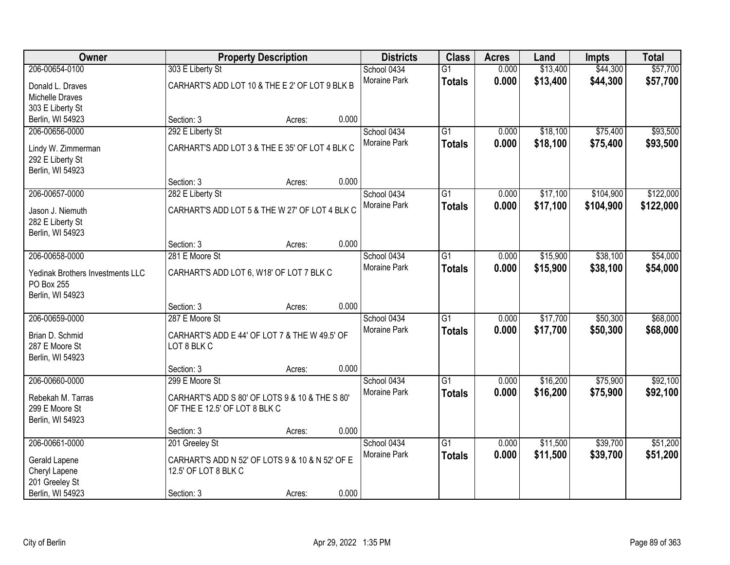| Owner                                | <b>Property Description</b>                     |        | <b>Districts</b> | <b>Class</b> | <b>Acres</b>    | Land  | <b>Impts</b> | <b>Total</b> |           |
|--------------------------------------|-------------------------------------------------|--------|------------------|--------------|-----------------|-------|--------------|--------------|-----------|
| 206-00654-0100                       | 303 E Liberty St                                |        |                  | School 0434  | $\overline{G1}$ | 0.000 | \$13,400     | \$44,300     | \$57,700  |
| Donald L. Draves                     | CARHART'S ADD LOT 10 & THE E 2' OF LOT 9 BLK B  |        |                  | Moraine Park | <b>Totals</b>   | 0.000 | \$13,400     | \$44,300     | \$57,700  |
| <b>Michelle Draves</b>               |                                                 |        |                  |              |                 |       |              |              |           |
| 303 E Liberty St                     |                                                 |        |                  |              |                 |       |              |              |           |
| Berlin, WI 54923                     | Section: 3                                      | Acres: | 0.000            |              |                 |       |              |              |           |
| 206-00656-0000                       | 292 E Liberty St                                |        |                  | School 0434  | $\overline{G1}$ | 0.000 | \$18,100     | \$75,400     | \$93,500  |
| Lindy W. Zimmerman                   | CARHART'S ADD LOT 3 & THE E 35' OF LOT 4 BLK C  |        |                  | Moraine Park | <b>Totals</b>   | 0.000 | \$18,100     | \$75,400     | \$93,500  |
| 292 E Liberty St                     |                                                 |        |                  |              |                 |       |              |              |           |
| Berlin, WI 54923                     |                                                 |        |                  |              |                 |       |              |              |           |
|                                      | Section: 3                                      | Acres: | 0.000            |              |                 |       |              |              |           |
| 206-00657-0000                       | 282 E Liberty St                                |        |                  | School 0434  | G1              | 0.000 | \$17,100     | \$104,900    | \$122,000 |
|                                      |                                                 |        |                  | Moraine Park | <b>Totals</b>   | 0.000 | \$17,100     | \$104,900    | \$122,000 |
| Jason J. Niemuth                     | CARHART'S ADD LOT 5 & THE W 27' OF LOT 4 BLK C  |        |                  |              |                 |       |              |              |           |
| 282 E Liberty St<br>Berlin, WI 54923 |                                                 |        |                  |              |                 |       |              |              |           |
|                                      | Section: 3                                      | Acres: | 0.000            |              |                 |       |              |              |           |
| 206-00658-0000                       | 281 E Moore St                                  |        |                  | School 0434  | G1              | 0.000 | \$15,900     | \$38,100     | \$54,000  |
|                                      |                                                 |        |                  | Moraine Park | <b>Totals</b>   | 0.000 | \$15,900     | \$38,100     | \$54,000  |
| Yedinak Brothers Investments LLC     | CARHART'S ADD LOT 6, W18' OF LOT 7 BLK C        |        |                  |              |                 |       |              |              |           |
| PO Box 255                           |                                                 |        |                  |              |                 |       |              |              |           |
| Berlin, WI 54923                     | Section: 3                                      |        | 0.000            |              |                 |       |              |              |           |
| 206-00659-0000                       | 287 E Moore St                                  | Acres: |                  | School 0434  | $\overline{G1}$ | 0.000 | \$17,700     | \$50,300     | \$68,000  |
|                                      |                                                 |        |                  | Moraine Park | <b>Totals</b>   | 0.000 | \$17,700     | \$50,300     | \$68,000  |
| Brian D. Schmid                      | CARHART'S ADD E 44' OF LOT 7 & THE W 49.5' OF   |        |                  |              |                 |       |              |              |           |
| 287 E Moore St                       | LOT 8 BLK C                                     |        |                  |              |                 |       |              |              |           |
| Berlin, WI 54923                     |                                                 |        |                  |              |                 |       |              |              |           |
|                                      | Section: 3                                      | Acres: | 0.000            |              |                 |       |              |              |           |
| 206-00660-0000                       | 299 E Moore St                                  |        |                  | School 0434  | $\overline{G1}$ | 0.000 | \$16,200     | \$75,900     | \$92,100  |
| Rebekah M. Tarras                    | CARHART'S ADD S 80' OF LOTS 9 & 10 & THE S 80'  |        |                  | Moraine Park | <b>Totals</b>   | 0.000 | \$16,200     | \$75,900     | \$92,100  |
| 299 E Moore St                       | OF THE E 12.5' OF LOT 8 BLK C                   |        |                  |              |                 |       |              |              |           |
| Berlin, WI 54923                     |                                                 |        |                  |              |                 |       |              |              |           |
|                                      | Section: 3                                      | Acres: | 0.000            |              |                 |       |              |              |           |
| 206-00661-0000                       | 201 Greeley St                                  |        |                  | School 0434  | $\overline{G1}$ | 0.000 | \$11,500     | \$39,700     | \$51,200  |
| Gerald Lapene                        | CARHART'S ADD N 52' OF LOTS 9 & 10 & N 52' OF E |        |                  | Moraine Park | <b>Totals</b>   | 0.000 | \$11,500     | \$39,700     | \$51,200  |
| Cheryl Lapene                        | 12.5' OF LOT 8 BLK C                            |        |                  |              |                 |       |              |              |           |
| 201 Greeley St                       |                                                 |        |                  |              |                 |       |              |              |           |
| Berlin, WI 54923                     | Section: 3                                      | Acres: | 0.000            |              |                 |       |              |              |           |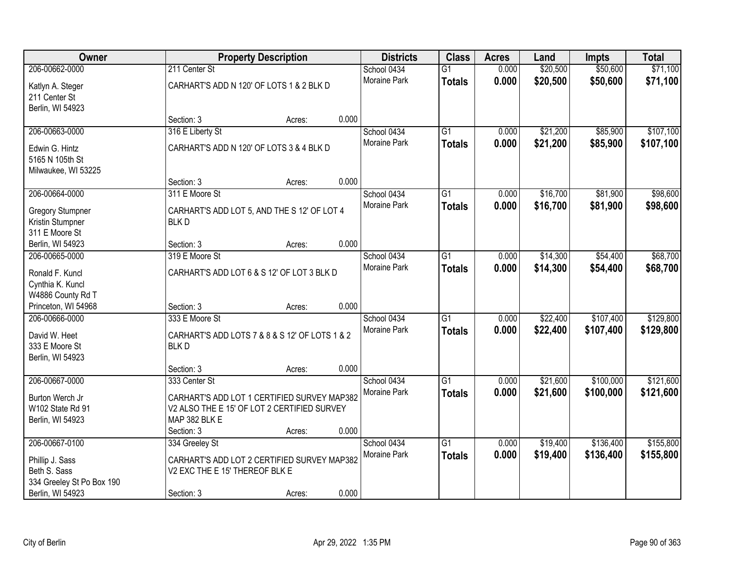| Owner                               | <b>Property Description</b>                                                                |        | <b>Districts</b> | <b>Class</b>        | <b>Acres</b>    | Land  | <b>Impts</b> | <b>Total</b> |           |
|-------------------------------------|--------------------------------------------------------------------------------------------|--------|------------------|---------------------|-----------------|-------|--------------|--------------|-----------|
| 206-00662-0000                      | 211 Center St                                                                              |        |                  | School 0434         | $\overline{G1}$ | 0.000 | \$20,500     | \$50,600     | \$71,100  |
| Katlyn A. Steger                    | CARHART'S ADD N 120' OF LOTS 1 & 2 BLK D                                                   |        |                  | Moraine Park        | <b>Totals</b>   | 0.000 | \$20,500     | \$50,600     | \$71,100  |
| 211 Center St                       |                                                                                            |        |                  |                     |                 |       |              |              |           |
| Berlin, WI 54923                    |                                                                                            |        |                  |                     |                 |       |              |              |           |
|                                     | Section: 3                                                                                 | Acres: | 0.000            |                     |                 |       |              |              |           |
| 206-00663-0000                      | 316 E Liberty St                                                                           |        |                  | School 0434         | $\overline{G1}$ | 0.000 | \$21,200     | \$85,900     | \$107,100 |
| Edwin G. Hintz                      | CARHART'S ADD N 120' OF LOTS 3 & 4 BLK D                                                   |        |                  | <b>Moraine Park</b> | <b>Totals</b>   | 0.000 | \$21,200     | \$85,900     | \$107,100 |
| 5165 N 105th St                     |                                                                                            |        |                  |                     |                 |       |              |              |           |
| Milwaukee, WI 53225                 |                                                                                            |        |                  |                     |                 |       |              |              |           |
|                                     | Section: 3                                                                                 | Acres: | 0.000            |                     |                 |       |              |              |           |
| 206-00664-0000                      | 311 E Moore St                                                                             |        |                  | School 0434         | $\overline{G1}$ | 0.000 | \$16,700     | \$81,900     | \$98,600  |
| <b>Gregory Stumpner</b>             | CARHART'S ADD LOT 5, AND THE S 12' OF LOT 4                                                |        |                  | Moraine Park        | <b>Totals</b>   | 0.000 | \$16,700     | \$81,900     | \$98,600  |
| Kristin Stumpner                    | <b>BLKD</b>                                                                                |        |                  |                     |                 |       |              |              |           |
| 311 E Moore St                      |                                                                                            |        |                  |                     |                 |       |              |              |           |
| Berlin, WI 54923                    | Section: 3                                                                                 | Acres: | 0.000            |                     |                 |       |              |              |           |
| 206-00665-0000                      | 319 E Moore St                                                                             |        |                  | School 0434         | G1              | 0.000 | \$14,300     | \$54,400     | \$68,700  |
| Ronald F. Kuncl                     | CARHART'S ADD LOT 6 & S 12' OF LOT 3 BLK D                                                 |        |                  | <b>Moraine Park</b> | <b>Totals</b>   | 0.000 | \$14,300     | \$54,400     | \$68,700  |
| Cynthia K. Kuncl                    |                                                                                            |        |                  |                     |                 |       |              |              |           |
| W4886 County Rd T                   |                                                                                            |        |                  |                     |                 |       |              |              |           |
| Princeton, WI 54968                 | Section: 3                                                                                 | Acres: | 0.000            |                     |                 |       |              |              |           |
| 206-00666-0000                      | 333 E Moore St                                                                             |        |                  | School 0434         | $\overline{G1}$ | 0.000 | \$22,400     | \$107,400    | \$129,800 |
| David W. Heet                       | CARHART'S ADD LOTS 7 & 8 & S 12' OF LOTS 1 & 2                                             |        |                  | Moraine Park        | <b>Totals</b>   | 0.000 | \$22,400     | \$107,400    | \$129,800 |
| 333 E Moore St                      | <b>BLKD</b>                                                                                |        |                  |                     |                 |       |              |              |           |
| Berlin, WI 54923                    |                                                                                            |        |                  |                     |                 |       |              |              |           |
|                                     | Section: 3                                                                                 | Acres: | 0.000            |                     |                 |       |              |              |           |
| 206-00667-0000                      | 333 Center St                                                                              |        |                  | School 0434         | $\overline{G1}$ | 0.000 | \$21,600     | \$100,000    | \$121,600 |
|                                     |                                                                                            |        |                  | Moraine Park        | <b>Totals</b>   | 0.000 | \$21,600     | \$100,000    | \$121,600 |
| Burton Werch Jr<br>W102 State Rd 91 | CARHART'S ADD LOT 1 CERTIFIED SURVEY MAP382<br>V2 ALSO THE E 15' OF LOT 2 CERTIFIED SURVEY |        |                  |                     |                 |       |              |              |           |
| Berlin, WI 54923                    | MAP 382 BLK E                                                                              |        |                  |                     |                 |       |              |              |           |
|                                     | Section: 3                                                                                 | Acres: | 0.000            |                     |                 |       |              |              |           |
| 206-00667-0100                      | 334 Greeley St                                                                             |        |                  | School 0434         | $\overline{G1}$ | 0.000 | \$19,400     | \$136,400    | \$155,800 |
|                                     |                                                                                            |        |                  | Moraine Park        | <b>Totals</b>   | 0.000 | \$19,400     | \$136,400    | \$155,800 |
| Phillip J. Sass                     | CARHART'S ADD LOT 2 CERTIFIED SURVEY MAP382                                                |        |                  |                     |                 |       |              |              |           |
| Beth S. Sass                        | V2 EXC THE E 15' THEREOF BLK E                                                             |        |                  |                     |                 |       |              |              |           |
| 334 Greeley St Po Box 190           |                                                                                            |        | 0.000            |                     |                 |       |              |              |           |
| Berlin, WI 54923                    | Section: 3                                                                                 | Acres: |                  |                     |                 |       |              |              |           |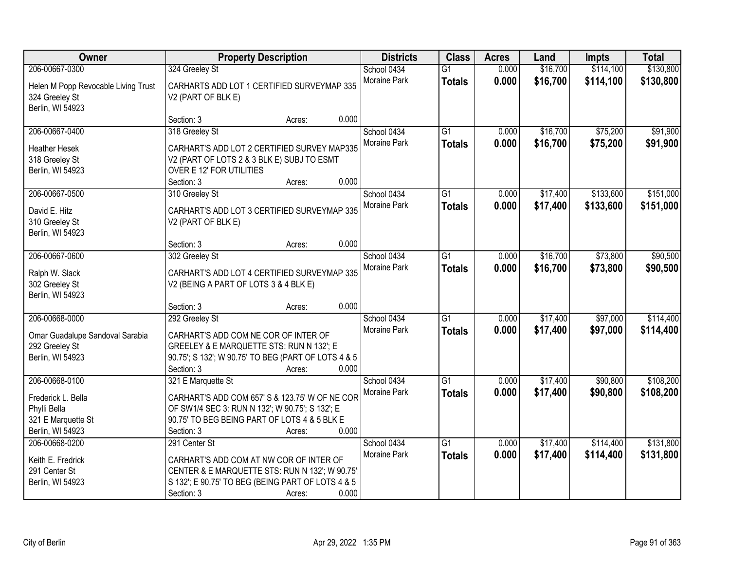| Owner                                                                                   | <b>Property Description</b>                                                                                                                                                    |        |       | <b>Districts</b>                   | <b>Class</b>                     | <b>Acres</b>   | Land                 | Impts                  | <b>Total</b>           |
|-----------------------------------------------------------------------------------------|--------------------------------------------------------------------------------------------------------------------------------------------------------------------------------|--------|-------|------------------------------------|----------------------------------|----------------|----------------------|------------------------|------------------------|
| 206-00667-0300                                                                          | 324 Greeley St                                                                                                                                                                 |        |       | School 0434                        | $\overline{G1}$                  | 0.000          | \$16,700             | \$114,100              | \$130,800              |
| Helen M Popp Revocable Living Trust<br>324 Greeley St<br>Berlin, WI 54923               | CARHARTS ADD LOT 1 CERTIFIED SURVEYMAP 335<br>V2 (PART OF BLK E)                                                                                                               |        |       | Moraine Park                       | <b>Totals</b>                    | 0.000          | \$16,700             | \$114,100              | \$130,800              |
|                                                                                         | Section: 3                                                                                                                                                                     | Acres: | 0.000 |                                    |                                  |                |                      |                        |                        |
| 206-00667-0400<br><b>Heather Hesek</b><br>318 Greeley St                                | 318 Greeley St<br>CARHART'S ADD LOT 2 CERTIFIED SURVEY MAP335<br>V2 (PART OF LOTS 2 & 3 BLK E) SUBJ TO ESMT                                                                    |        |       | School 0434<br>Moraine Park        | $\overline{G1}$<br><b>Totals</b> | 0.000<br>0.000 | \$16,700<br>\$16,700 | \$75,200<br>\$75,200   | \$91,900<br>\$91,900   |
| Berlin, WI 54923                                                                        | OVER E 12' FOR UTILITIES<br>Section: 3                                                                                                                                         | Acres: | 0.000 |                                    |                                  |                |                      |                        |                        |
| 206-00667-0500<br>David E. Hitz                                                         | 310 Greeley St<br>CARHART'S ADD LOT 3 CERTIFIED SURVEYMAP 335                                                                                                                  |        |       | School 0434<br>Moraine Park        | G1<br><b>Totals</b>              | 0.000<br>0.000 | \$17,400<br>\$17,400 | \$133,600<br>\$133,600 | \$151,000<br>\$151,000 |
| 310 Greeley St<br>Berlin, WI 54923                                                      | V2 (PART OF BLK E)                                                                                                                                                             |        |       |                                    |                                  |                |                      |                        |                        |
|                                                                                         | Section: 3                                                                                                                                                                     | Acres: | 0.000 |                                    |                                  |                |                      |                        |                        |
| 206-00667-0600<br>Ralph W. Slack<br>302 Greeley St                                      | 302 Greeley St<br>CARHART'S ADD LOT 4 CERTIFIED SURVEYMAP 335<br>V2 (BEING A PART OF LOTS 3 & 4 BLK E)                                                                         |        |       | School 0434<br>Moraine Park        | G1<br><b>Totals</b>              | 0.000<br>0.000 | \$16,700<br>\$16,700 | \$73,800<br>\$73,800   | \$90,500<br>\$90,500   |
| Berlin, WI 54923                                                                        | Section: 3                                                                                                                                                                     | Acres: | 0.000 |                                    |                                  |                |                      |                        |                        |
| 206-00668-0000<br>Omar Guadalupe Sandoval Sarabia<br>292 Greeley St<br>Berlin, WI 54923 | 292 Greeley St<br>CARHART'S ADD COM NE COR OF INTER OF<br>GREELEY & E MARQUETTE STS: RUN N 132'; E<br>90.75'; S 132'; W 90.75' TO BEG (PART OF LOTS 4 & 5                      |        |       | School 0434<br>Moraine Park        | $\overline{G1}$<br><b>Totals</b> | 0.000<br>0.000 | \$17,400<br>\$17,400 | \$97,000<br>\$97,000   | \$114,400<br>\$114,400 |
|                                                                                         | Section: 3                                                                                                                                                                     | Acres: | 0.000 |                                    |                                  |                |                      |                        |                        |
| 206-00668-0100<br>Frederick L. Bella<br>Phylli Bella<br>321 E Marquette St              | 321 E Marquette St<br>CARHART'S ADD COM 657' S & 123.75' W OF NE COR<br>OF SW1/4 SEC 3: RUN N 132'; W 90.75'; S 132'; E<br>90.75' TO BEG BEING PART OF LOTS 4 & 5 BLK E        |        |       | School 0434<br>Moraine Park        | $\overline{G1}$<br><b>Totals</b> | 0.000<br>0.000 | \$17,400<br>\$17,400 | \$90,800<br>\$90,800   | \$108,200<br>\$108,200 |
| Berlin, WI 54923                                                                        | Section: 3                                                                                                                                                                     | Acres: | 0.000 |                                    |                                  |                |                      |                        |                        |
| 206-00668-0200<br>Keith E. Fredrick<br>291 Center St<br>Berlin, WI 54923                | 291 Center St<br>CARHART'S ADD COM AT NW COR OF INTER OF<br>CENTER & E MARQUETTE STS: RUN N 132'; W 90.75';<br>S 132'; E 90.75' TO BEG (BEING PART OF LOTS 4 & 5<br>Section: 3 | Acres: | 0.000 | School 0434<br><b>Moraine Park</b> | $\overline{G1}$<br><b>Totals</b> | 0.000<br>0.000 | \$17,400<br>\$17,400 | \$114,400<br>\$114,400 | \$131,800<br>\$131,800 |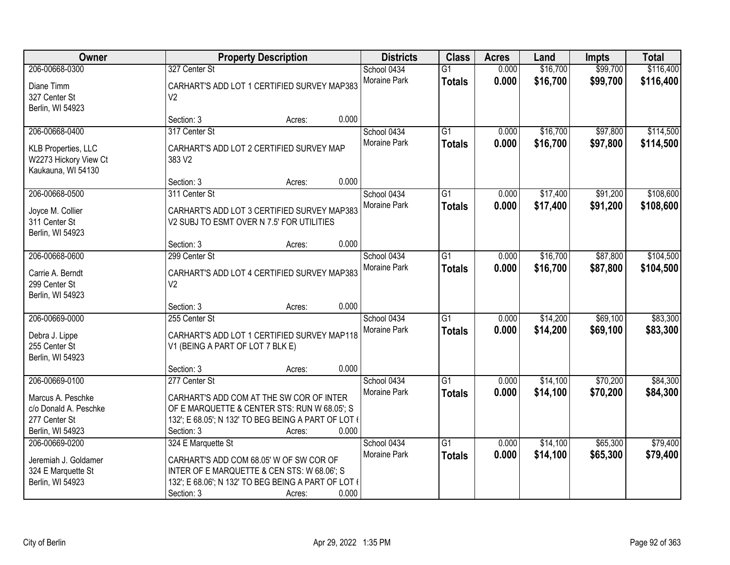| Owner                                                                                                |                                                                             | <b>Property Description</b>                                                                                                                               | <b>Districts</b>                            | <b>Class</b>                     | <b>Acres</b>   | Land                 | <b>Impts</b>         | <b>Total</b>           |
|------------------------------------------------------------------------------------------------------|-----------------------------------------------------------------------------|-----------------------------------------------------------------------------------------------------------------------------------------------------------|---------------------------------------------|----------------------------------|----------------|----------------------|----------------------|------------------------|
| 206-00668-0300<br>327 Center St<br>Diane Timm<br>327 Center St<br>V <sub>2</sub><br>Berlin, WI 54923 |                                                                             | CARHART'S ADD LOT 1 CERTIFIED SURVEY MAP383                                                                                                               | School 0434<br>Moraine Park                 | $\overline{G1}$<br><b>Totals</b> | 0.000<br>0.000 | \$16,700<br>\$16,700 | \$99,700<br>\$99,700 | \$116,400<br>\$116,400 |
|                                                                                                      | Section: 3                                                                  | Acres:                                                                                                                                                    | 0.000                                       |                                  |                |                      |                      |                        |
| 206-00668-0400<br><b>KLB Properties, LLC</b><br>W2273 Hickory View Ct<br>Kaukauna, WI 54130          | 317 Center St<br>383 V2                                                     | CARHART'S ADD LOT 2 CERTIFIED SURVEY MAP                                                                                                                  | School 0434<br><b>Moraine Park</b>          | $\overline{G1}$<br><b>Totals</b> | 0.000<br>0.000 | \$16,700<br>\$16,700 | \$97,800<br>\$97,800 | \$114,500<br>\$114,500 |
|                                                                                                      | Section: 3                                                                  | Acres:                                                                                                                                                    | 0.000                                       |                                  |                |                      |                      |                        |
| 206-00668-0500<br>Joyce M. Collier<br>311 Center St<br>Berlin, WI 54923                              | 311 Center St<br>V2 SUBJ TO ESMT OVER N 7.5' FOR UTILITIES                  | CARHART'S ADD LOT 3 CERTIFIED SURVEY MAP383                                                                                                               | School 0434<br>Moraine Park                 | G1<br><b>Totals</b>              | 0.000<br>0.000 | \$17,400<br>\$17,400 | \$91,200<br>\$91,200 | \$108,600<br>\$108,600 |
|                                                                                                      | Section: 3                                                                  | Acres:                                                                                                                                                    | 0.000                                       |                                  |                |                      |                      |                        |
| 206-00668-0600<br>Carrie A. Berndt<br>299 Center St<br>Berlin, WI 54923                              | 299 Center St<br>V <sub>2</sub>                                             | CARHART'S ADD LOT 4 CERTIFIED SURVEY MAP383                                                                                                               | School 0434<br>Moraine Park                 | G1<br><b>Totals</b>              | 0.000<br>0.000 | \$16,700<br>\$16,700 | \$87,800<br>\$87,800 | \$104,500<br>\$104,500 |
|                                                                                                      | Section: 3                                                                  | Acres:                                                                                                                                                    | 0.000                                       |                                  |                |                      |                      |                        |
| 206-00669-0000<br>Debra J. Lippe<br>255 Center St<br>Berlin, WI 54923                                | 255 Center St<br>V1 (BEING A PART OF LOT 7 BLK E)                           | CARHART'S ADD LOT 1 CERTIFIED SURVEY MAP118                                                                                                               | School 0434<br>Moraine Park                 | $\overline{G1}$<br><b>Totals</b> | 0.000<br>0.000 | \$14,200<br>\$14,200 | \$69,100<br>\$69,100 | \$83,300<br>\$83,300   |
|                                                                                                      | Section: 3                                                                  | Acres:                                                                                                                                                    | 0.000                                       |                                  |                |                      |                      |                        |
| 206-00669-0100<br>Marcus A. Peschke<br>c/o Donald A. Peschke<br>277 Center St<br>Berlin, WI 54923    | 277 Center St<br>Section: 3                                                 | CARHART'S ADD COM AT THE SW COR OF INTER<br>OF E MARQUETTE & CENTER STS: RUN W 68.05'; S<br>132'; E 68.05'; N 132' TO BEG BEING A PART OF LOT (<br>Acres: | School 0434<br>Moraine Park<br>0.000        | $\overline{G1}$<br><b>Totals</b> | 0.000<br>0.000 | \$14,100<br>\$14,100 | \$70,200<br>\$70,200 | \$84,300<br>\$84,300   |
| 206-00669-0200<br>Jeremiah J. Goldamer<br>324 E Marquette St<br>Berlin, WI 54923                     | 324 E Marquette St<br>CARHART'S ADD COM 68.05' W OF SW COR OF<br>Section: 3 | INTER OF E MARQUETTE & CEN STS: W 68.06'; S<br>132'; E 68.06'; N 132' TO BEG BEING A PART OF LOT (<br>Acres:                                              | School 0434<br><b>Moraine Park</b><br>0.000 | $\overline{G1}$<br><b>Totals</b> | 0.000<br>0.000 | \$14,100<br>\$14,100 | \$65,300<br>\$65,300 | \$79,400<br>\$79,400   |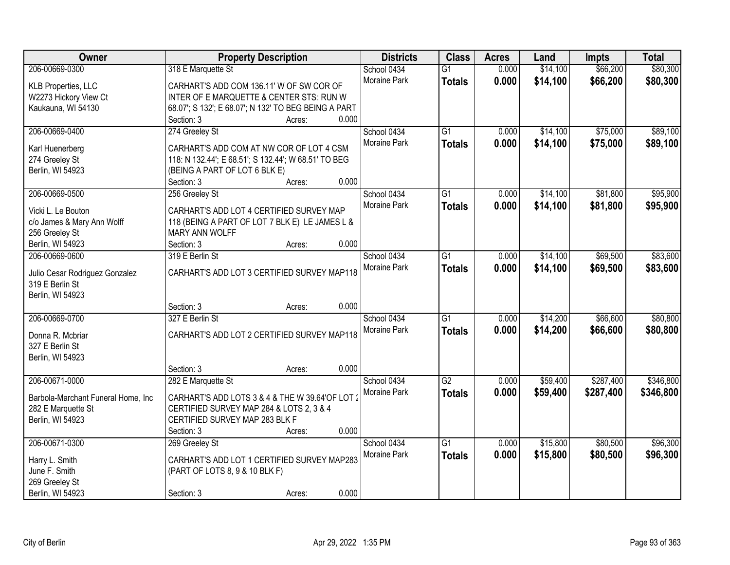| Owner                              | <b>Property Description</b>                                                                 | <b>Districts</b> | <b>Class</b>    | <b>Acres</b> | Land     | <b>Impts</b> | <b>Total</b> |
|------------------------------------|---------------------------------------------------------------------------------------------|------------------|-----------------|--------------|----------|--------------|--------------|
| 206-00669-0300                     | 318 E Marquette St                                                                          | School 0434      | $\overline{G1}$ | 0.000        | \$14,100 | \$66,200     | \$80,300     |
| KLB Properties, LLC                | CARHART'S ADD COM 136.11' W OF SW COR OF                                                    | Moraine Park     | <b>Totals</b>   | 0.000        | \$14,100 | \$66,200     | \$80,300     |
| W2273 Hickory View Ct              | INTER OF E MARQUETTE & CENTER STS: RUN W                                                    |                  |                 |              |          |              |              |
| Kaukauna, WI 54130                 | 68.07'; S 132'; E 68.07'; N 132' TO BEG BEING A PART                                        |                  |                 |              |          |              |              |
|                                    | 0.000<br>Section: 3<br>Acres:                                                               |                  |                 |              |          |              |              |
| 206-00669-0400                     | 274 Greeley St                                                                              | School 0434      | $\overline{G1}$ | 0.000        | \$14,100 | \$75,000     | \$89,100     |
|                                    |                                                                                             | Moraine Park     | <b>Totals</b>   | 0.000        | \$14,100 | \$75,000     | \$89,100     |
| Karl Huenerberg                    | CARHART'S ADD COM AT NW COR OF LOT 4 CSM                                                    |                  |                 |              |          |              |              |
| 274 Greeley St                     | 118: N 132.44'; E 68.51'; S 132.44'; W 68.51' TO BEG                                        |                  |                 |              |          |              |              |
| Berlin, WI 54923                   | (BEING A PART OF LOT 6 BLK E)                                                               |                  |                 |              |          |              |              |
|                                    | 0.000<br>Section: 3<br>Acres:                                                               |                  |                 |              |          |              |              |
| 206-00669-0500                     | 256 Greeley St                                                                              | School 0434      | $\overline{G1}$ | 0.000        | \$14,100 | \$81,800     | \$95,900     |
| Vicki L. Le Bouton                 | CARHART'S ADD LOT 4 CERTIFIED SURVEY MAP                                                    | Moraine Park     | <b>Totals</b>   | 0.000        | \$14,100 | \$81,800     | \$95,900     |
| c/o James & Mary Ann Wolff         | 118 (BEING A PART OF LOT 7 BLK E) LE JAMES L &                                              |                  |                 |              |          |              |              |
| 256 Greeley St                     | MARY ANN WOLFF                                                                              |                  |                 |              |          |              |              |
| Berlin, WI 54923                   | 0.000<br>Section: 3<br>Acres:                                                               |                  |                 |              |          |              |              |
| 206-00669-0600                     | 319 E Berlin St                                                                             | School 0434      | G1              | 0.000        | \$14,100 | \$69,500     | \$83,600     |
|                                    |                                                                                             | Moraine Park     | <b>Totals</b>   | 0.000        | \$14,100 | \$69,500     | \$83,600     |
| Julio Cesar Rodriguez Gonzalez     | CARHART'S ADD LOT 3 CERTIFIED SURVEY MAP118                                                 |                  |                 |              |          |              |              |
| 319 E Berlin St                    |                                                                                             |                  |                 |              |          |              |              |
| Berlin, WI 54923                   |                                                                                             |                  |                 |              |          |              |              |
|                                    | 0.000<br>Section: 3<br>Acres:                                                               |                  |                 |              |          |              |              |
| 206-00669-0700                     | 327 E Berlin St                                                                             | School 0434      | $\overline{G1}$ | 0.000        | \$14,200 | \$66,600     | \$80,800     |
| Donna R. Mcbriar                   | CARHART'S ADD LOT 2 CERTIFIED SURVEY MAP118                                                 | Moraine Park     | <b>Totals</b>   | 0.000        | \$14,200 | \$66,600     | \$80,800     |
| 327 E Berlin St                    |                                                                                             |                  |                 |              |          |              |              |
| Berlin, WI 54923                   |                                                                                             |                  |                 |              |          |              |              |
|                                    | 0.000<br>Section: 3<br>Acres:                                                               |                  |                 |              |          |              |              |
| 206-00671-0000                     | 282 E Marquette St                                                                          | School 0434      | G2              | 0.000        | \$59,400 | \$287,400    | \$346,800    |
|                                    |                                                                                             | Moraine Park     | <b>Totals</b>   | 0.000        | \$59,400 | \$287,400    | \$346,800    |
| Barbola-Marchant Funeral Home, Inc | CARHART'S ADD LOTS 3 & 4 & THE W 39.64'OF LOT 2<br>CERTIFIED SURVEY MAP 284 & LOTS 2, 3 & 4 |                  |                 |              |          |              |              |
| 282 E Marquette St                 | CERTIFIED SURVEY MAP 283 BLK F                                                              |                  |                 |              |          |              |              |
| Berlin, WI 54923                   | 0.000<br>Section: 3                                                                         |                  |                 |              |          |              |              |
| 206-00671-0300                     | Acres:<br>269 Greeley St                                                                    | School 0434      | $\overline{G1}$ | 0.000        | \$15,800 | \$80,500     | \$96,300     |
|                                    |                                                                                             | Moraine Park     |                 | 0.000        |          |              |              |
| Harry L. Smith                     | CARHART'S ADD LOT 1 CERTIFIED SURVEY MAP283                                                 |                  | <b>Totals</b>   |              | \$15,800 | \$80,500     | \$96,300     |
| June F. Smith                      | (PART OF LOTS 8, 9 & 10 BLK F)                                                              |                  |                 |              |          |              |              |
| 269 Greeley St                     |                                                                                             |                  |                 |              |          |              |              |
| Berlin, WI 54923                   | 0.000<br>Section: 3<br>Acres:                                                               |                  |                 |              |          |              |              |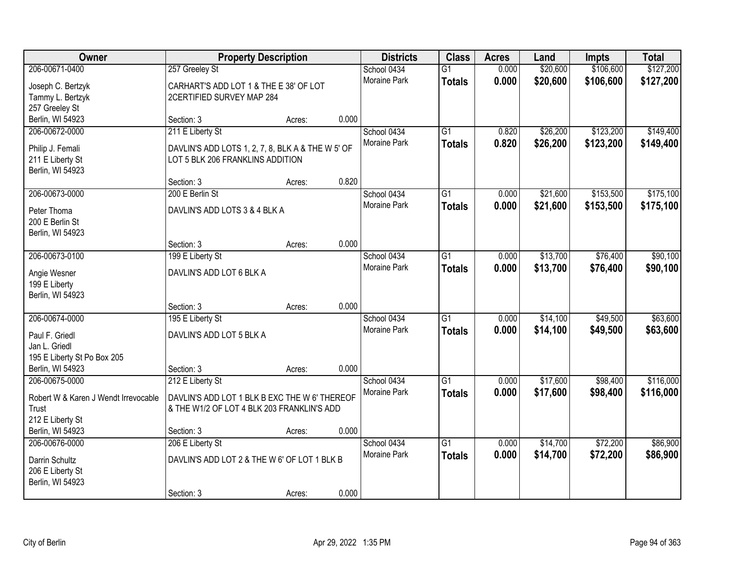| Owner<br><b>Districts</b><br><b>Class</b><br><b>Property Description</b><br><b>Acres</b><br>Land                                             | Impts     | <b>Total</b> |
|----------------------------------------------------------------------------------------------------------------------------------------------|-----------|--------------|
| 206-00671-0400<br>0.000<br>\$20,600<br>257 Greeley St<br>School 0434<br>$\overline{G1}$                                                      | \$106,600 | \$127,200    |
| Moraine Park<br>0.000<br>\$20,600<br><b>Totals</b><br>CARHART'S ADD LOT 1 & THE E 38' OF LOT<br>Joseph C. Bertzyk                            | \$106,600 | \$127,200    |
| Tammy L. Bertzyk<br>2CERTIFIED SURVEY MAP 284                                                                                                |           |              |
| 257 Greeley St                                                                                                                               |           |              |
| 0.000<br>Berlin, WI 54923<br>Section: 3<br>Acres:                                                                                            |           |              |
| 211 E Liberty St<br>206-00672-0000<br>$\overline{G1}$<br>0.820<br>\$26,200<br>School 0434                                                    | \$123,200 | \$149,400    |
| Moraine Park<br>0.820<br>\$26,200<br><b>Totals</b><br>Philip J. Femali<br>DAVLIN'S ADD LOTS 1, 2, 7, 8, BLK A & THE W 5' OF                  | \$123,200 | \$149,400    |
| 211 E Liberty St<br>LOT 5 BLK 206 FRANKLINS ADDITION                                                                                         |           |              |
| Berlin, WI 54923                                                                                                                             |           |              |
| 0.820<br>Section: 3<br>Acres:                                                                                                                |           |              |
| 206-00673-0000<br>$\overline{G1}$<br>\$21,600<br>200 E Berlin St<br>School 0434<br>0.000                                                     | \$153,500 | \$175,100    |
| Moraine Park<br>\$21,600<br>0.000<br><b>Totals</b><br>DAVLIN'S ADD LOTS 3 & 4 BLK A<br>Peter Thoma                                           | \$153,500 | \$175,100    |
| 200 E Berlin St                                                                                                                              |           |              |
| Berlin, WI 54923                                                                                                                             |           |              |
| 0.000<br>Section: 3<br>Acres:                                                                                                                |           |              |
| 206-00673-0100<br>\$13,700<br>199 E Liberty St<br>School 0434<br>G1<br>0.000                                                                 | \$76,400  | \$90,100     |
| Moraine Park<br>0.000<br>\$13,700<br><b>Totals</b><br>DAVLIN'S ADD LOT 6 BLK A                                                               | \$76,400  | \$90,100     |
| Angie Wesner<br>199 E Liberty                                                                                                                |           |              |
| Berlin, WI 54923                                                                                                                             |           |              |
| 0.000<br>Section: 3<br>Acres:                                                                                                                |           |              |
| $\overline{G1}$<br>\$14,100<br>206-00674-0000<br>195 E Liberty St<br>School 0434<br>0.000                                                    | \$49,500  | \$63,600     |
| Moraine Park<br>0.000<br>\$14,100<br><b>Totals</b>                                                                                           | \$49,500  | \$63,600     |
| Paul F. Griedl<br>DAVLIN'S ADD LOT 5 BLK A<br>Jan L. Griedl                                                                                  |           |              |
| 195 E Liberty St Po Box 205                                                                                                                  |           |              |
| Berlin, WI 54923<br>0.000<br>Section: 3<br>Acres:                                                                                            |           |              |
| 206-00675-0000<br>\$17,600<br>212 E Liberty St<br>School 0434<br>$\overline{G1}$<br>0.000                                                    | \$98,400  | \$116,000    |
| Moraine Park<br>0.000<br>\$17,600<br><b>Totals</b>                                                                                           | \$98,400  | \$116,000    |
| DAVLIN'S ADD LOT 1 BLK B EXC THE W 6' THEREOF<br>Robert W & Karen J Wendt Irrevocable<br>Trust<br>& THE W1/2 OF LOT 4 BLK 203 FRANKLIN'S ADD |           |              |
| 212 E Liberty St                                                                                                                             |           |              |
| 0.000<br>Berlin, WI 54923<br>Section: 3<br>Acres:                                                                                            |           |              |
| $\overline{G1}$<br>206-00676-0000<br>206 E Liberty St<br>School 0434<br>\$14,700<br>0.000                                                    | \$72,200  | \$86,900     |
| 0.000<br>\$14,700<br><b>Moraine Park</b><br><b>Totals</b>                                                                                    | \$72,200  | \$86,900     |
| DAVLIN'S ADD LOT 2 & THE W 6' OF LOT 1 BLK B<br>Darrin Schultz                                                                               |           |              |
| 206 E Liberty St<br>Berlin, WI 54923                                                                                                         |           |              |
| 0.000<br>Section: 3<br>Acres:                                                                                                                |           |              |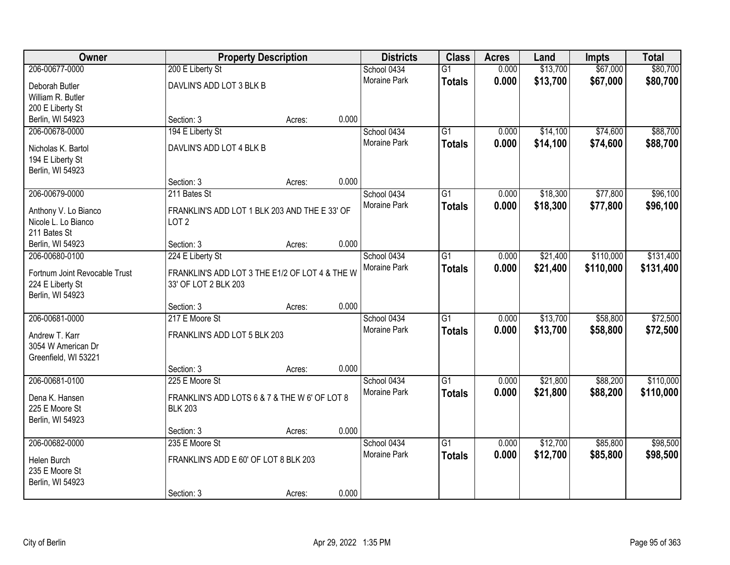| Owner                                | <b>Property Description</b>                    |        |       | <b>Districts</b>    | <b>Class</b>    | <b>Acres</b> | Land     | <b>Impts</b> | <b>Total</b> |
|--------------------------------------|------------------------------------------------|--------|-------|---------------------|-----------------|--------------|----------|--------------|--------------|
| 206-00677-0000                       | 200 E Liberty St                               |        |       | School 0434         | $\overline{G1}$ | 0.000        | \$13,700 | \$67,000     | \$80,700     |
| Deborah Butler                       | DAVLIN'S ADD LOT 3 BLK B                       |        |       | Moraine Park        | <b>Totals</b>   | 0.000        | \$13,700 | \$67,000     | \$80,700     |
| William R. Butler                    |                                                |        |       |                     |                 |              |          |              |              |
| 200 E Liberty St                     |                                                |        |       |                     |                 |              |          |              |              |
| Berlin, WI 54923                     | Section: 3                                     | Acres: | 0.000 |                     |                 |              |          |              |              |
| 206-00678-0000                       | 194 E Liberty St                               |        |       | School 0434         | $\overline{G1}$ | 0.000        | \$14,100 | \$74,600     | \$88,700     |
|                                      | DAVLIN'S ADD LOT 4 BLK B                       |        |       | <b>Moraine Park</b> | <b>Totals</b>   | 0.000        | \$14,100 | \$74,600     | \$88,700     |
| Nicholas K. Bartol                   |                                                |        |       |                     |                 |              |          |              |              |
| 194 E Liberty St<br>Berlin, WI 54923 |                                                |        |       |                     |                 |              |          |              |              |
|                                      | Section: 3                                     | Acres: | 0.000 |                     |                 |              |          |              |              |
| 206-00679-0000                       | 211 Bates St                                   |        |       | School 0434         | $\overline{G1}$ | 0.000        | \$18,300 | \$77,800     | \$96,100     |
|                                      |                                                |        |       | Moraine Park        | <b>Totals</b>   | 0.000        | \$18,300 | \$77,800     | \$96,100     |
| Anthony V. Lo Bianco                 | FRANKLIN'S ADD LOT 1 BLK 203 AND THE E 33' OF  |        |       |                     |                 |              |          |              |              |
| Nicole L. Lo Bianco                  | LOT <sub>2</sub>                               |        |       |                     |                 |              |          |              |              |
| 211 Bates St                         |                                                |        |       |                     |                 |              |          |              |              |
| Berlin, WI 54923                     | Section: 3                                     | Acres: | 0.000 |                     |                 |              |          |              |              |
| 206-00680-0100                       | 224 E Liberty St                               |        |       | School 0434         | $\overline{G1}$ | 0.000        | \$21,400 | \$110,000    | \$131,400    |
| Fortnum Joint Revocable Trust        | FRANKLIN'S ADD LOT 3 THE E1/2 OF LOT 4 & THE W |        |       | Moraine Park        | <b>Totals</b>   | 0.000        | \$21,400 | \$110,000    | \$131,400    |
| 224 E Liberty St                     | 33' OF LOT 2 BLK 203                           |        |       |                     |                 |              |          |              |              |
| Berlin, WI 54923                     |                                                |        |       |                     |                 |              |          |              |              |
|                                      | Section: 3                                     | Acres: | 0.000 |                     |                 |              |          |              |              |
| 206-00681-0000                       | 217 E Moore St                                 |        |       | School 0434         | $\overline{G1}$ | 0.000        | \$13,700 | \$58,800     | \$72,500     |
| Andrew T. Karr                       | FRANKLIN'S ADD LOT 5 BLK 203                   |        |       | <b>Moraine Park</b> | <b>Totals</b>   | 0.000        | \$13,700 | \$58,800     | \$72,500     |
| 3054 W American Dr                   |                                                |        |       |                     |                 |              |          |              |              |
| Greenfield, WI 53221                 |                                                |        |       |                     |                 |              |          |              |              |
|                                      | Section: 3                                     | Acres: | 0.000 |                     |                 |              |          |              |              |
| 206-00681-0100                       | 225 E Moore St                                 |        |       | School 0434         | $\overline{G1}$ | 0.000        | \$21,800 | \$88,200     | \$110,000    |
|                                      |                                                |        |       | Moraine Park        | <b>Totals</b>   | 0.000        | \$21,800 | \$88,200     | \$110,000    |
| Dena K. Hansen                       | FRANKLIN'S ADD LOTS 6 & 7 & THE W 6' OF LOT 8  |        |       |                     |                 |              |          |              |              |
| 225 E Moore St                       | <b>BLK 203</b>                                 |        |       |                     |                 |              |          |              |              |
| Berlin, WI 54923                     | Section: 3                                     |        | 0.000 |                     |                 |              |          |              |              |
| 206-00682-0000                       | 235 E Moore St                                 | Acres: |       | School 0434         | $\overline{G1}$ | 0.000        | \$12,700 | \$85,800     | \$98,500     |
|                                      |                                                |        |       | <b>Moraine Park</b> | <b>Totals</b>   | 0.000        | \$12,700 | \$85,800     | \$98,500     |
| Helen Burch                          | FRANKLIN'S ADD E 60' OF LOT 8 BLK 203          |        |       |                     |                 |              |          |              |              |
| 235 E Moore St                       |                                                |        |       |                     |                 |              |          |              |              |
| Berlin, WI 54923                     |                                                |        |       |                     |                 |              |          |              |              |
|                                      | Section: 3                                     | Acres: | 0.000 |                     |                 |              |          |              |              |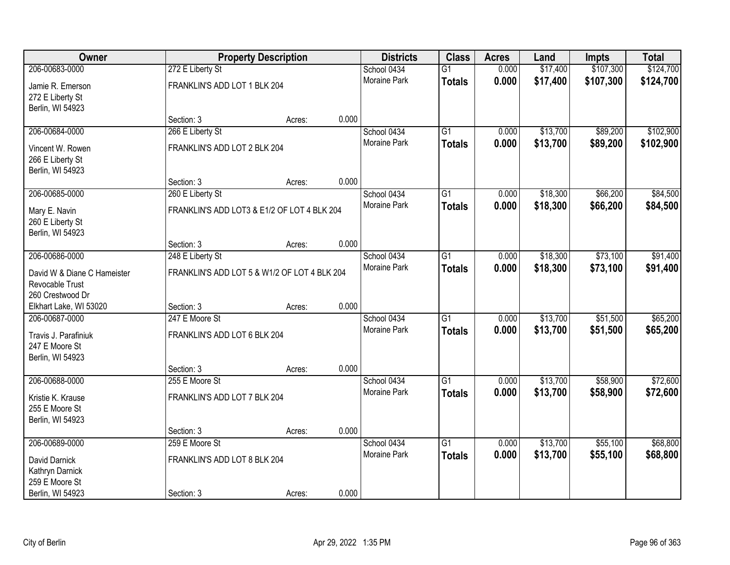| Owner                       | <b>Property Description</b>  |                                              | <b>Districts</b> | <b>Class</b>        | <b>Acres</b>    | Land  | Impts    | <b>Total</b> |           |
|-----------------------------|------------------------------|----------------------------------------------|------------------|---------------------|-----------------|-------|----------|--------------|-----------|
| 206-00683-0000              | 272 E Liberty St             |                                              |                  | School 0434         | $\overline{G1}$ | 0.000 | \$17,400 | \$107,300    | \$124,700 |
| Jamie R. Emerson            | FRANKLIN'S ADD LOT 1 BLK 204 |                                              |                  | Moraine Park        | <b>Totals</b>   | 0.000 | \$17,400 | \$107,300    | \$124,700 |
| 272 E Liberty St            |                              |                                              |                  |                     |                 |       |          |              |           |
| Berlin, WI 54923            |                              |                                              |                  |                     |                 |       |          |              |           |
|                             | Section: 3                   | Acres:                                       | 0.000            |                     |                 |       |          |              |           |
| 206-00684-0000              | 266 E Liberty St             |                                              |                  | School 0434         | $\overline{G1}$ | 0.000 | \$13,700 | \$89,200     | \$102,900 |
| Vincent W. Rowen            | FRANKLIN'S ADD LOT 2 BLK 204 |                                              |                  | <b>Moraine Park</b> | <b>Totals</b>   | 0.000 | \$13,700 | \$89,200     | \$102,900 |
| 266 E Liberty St            |                              |                                              |                  |                     |                 |       |          |              |           |
| Berlin, WI 54923            |                              |                                              |                  |                     |                 |       |          |              |           |
|                             | Section: 3                   | Acres:                                       | 0.000            |                     |                 |       |          |              |           |
| 206-00685-0000              | 260 E Liberty St             |                                              |                  | School 0434         | $\overline{G1}$ | 0.000 | \$18,300 | \$66,200     | \$84,500  |
| Mary E. Navin               |                              | FRANKLIN'S ADD LOT3 & E1/2 OF LOT 4 BLK 204  |                  | Moraine Park        | <b>Totals</b>   | 0.000 | \$18,300 | \$66,200     | \$84,500  |
| 260 E Liberty St            |                              |                                              |                  |                     |                 |       |          |              |           |
| Berlin, WI 54923            |                              |                                              |                  |                     |                 |       |          |              |           |
|                             | Section: 3                   | Acres:                                       | 0.000            |                     |                 |       |          |              |           |
| 206-00686-0000              | 248 E Liberty St             |                                              |                  | School 0434         | $\overline{G1}$ | 0.000 | \$18,300 | \$73,100     | \$91,400  |
| David W & Diane C Hameister |                              | FRANKLIN'S ADD LOT 5 & W1/2 OF LOT 4 BLK 204 |                  | <b>Moraine Park</b> | <b>Totals</b>   | 0.000 | \$18,300 | \$73,100     | \$91,400  |
| Revocable Trust             |                              |                                              |                  |                     |                 |       |          |              |           |
| 260 Crestwood Dr            |                              |                                              |                  |                     |                 |       |          |              |           |
| Elkhart Lake, WI 53020      | Section: 3                   | Acres:                                       | 0.000            |                     |                 |       |          |              |           |
| 206-00687-0000              | 247 E Moore St               |                                              |                  | School 0434         | $\overline{G1}$ | 0.000 | \$13,700 | \$51,500     | \$65,200  |
| Travis J. Parafiniuk        | FRANKLIN'S ADD LOT 6 BLK 204 |                                              |                  | Moraine Park        | <b>Totals</b>   | 0.000 | \$13,700 | \$51,500     | \$65,200  |
| 247 E Moore St              |                              |                                              |                  |                     |                 |       |          |              |           |
| Berlin, WI 54923            |                              |                                              |                  |                     |                 |       |          |              |           |
|                             | Section: 3                   | Acres:                                       | 0.000            |                     |                 |       |          |              |           |
| 206-00688-0000              | 255 E Moore St               |                                              |                  | School 0434         | $\overline{G1}$ | 0.000 | \$13,700 | \$58,900     | \$72,600  |
| Kristie K. Krause           | FRANKLIN'S ADD LOT 7 BLK 204 |                                              |                  | Moraine Park        | <b>Totals</b>   | 0.000 | \$13,700 | \$58,900     | \$72,600  |
| 255 E Moore St              |                              |                                              |                  |                     |                 |       |          |              |           |
| Berlin, WI 54923            |                              |                                              |                  |                     |                 |       |          |              |           |
|                             | Section: 3                   | Acres:                                       | 0.000            |                     |                 |       |          |              |           |
| 206-00689-0000              | 259 E Moore St               |                                              |                  | School 0434         | $\overline{G1}$ | 0.000 | \$13,700 | \$55,100     | \$68,800  |
| David Darnick               | FRANKLIN'S ADD LOT 8 BLK 204 |                                              |                  | <b>Moraine Park</b> | <b>Totals</b>   | 0.000 | \$13,700 | \$55,100     | \$68,800  |
| Kathryn Darnick             |                              |                                              |                  |                     |                 |       |          |              |           |
| 259 E Moore St              |                              |                                              |                  |                     |                 |       |          |              |           |
| Berlin, WI 54923            | Section: 3                   | Acres:                                       | 0.000            |                     |                 |       |          |              |           |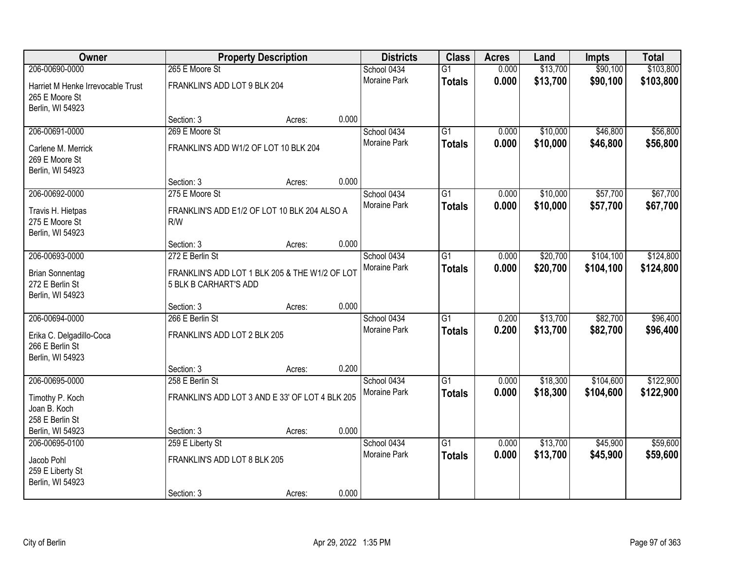| Owner                             |                                                 | <b>Property Description</b> |       | <b>Districts</b>    | <b>Class</b>    | <b>Acres</b> | Land     | <b>Impts</b> | <b>Total</b> |
|-----------------------------------|-------------------------------------------------|-----------------------------|-------|---------------------|-----------------|--------------|----------|--------------|--------------|
| 206-00690-0000                    | 265 E Moore St                                  |                             |       | School 0434         | $\overline{G1}$ | 0.000        | \$13,700 | \$90,100     | \$103,800    |
| Harriet M Henke Irrevocable Trust | FRANKLIN'S ADD LOT 9 BLK 204                    |                             |       | Moraine Park        | <b>Totals</b>   | 0.000        | \$13,700 | \$90,100     | \$103,800    |
| 265 E Moore St                    |                                                 |                             |       |                     |                 |              |          |              |              |
| Berlin, WI 54923                  |                                                 |                             |       |                     |                 |              |          |              |              |
|                                   | Section: 3                                      | Acres:                      | 0.000 |                     |                 |              |          |              |              |
| 206-00691-0000                    | 269 E Moore St                                  |                             |       | School 0434         | $\overline{G1}$ | 0.000        | \$10,000 | \$46,800     | \$56,800     |
| Carlene M. Merrick                | FRANKLIN'S ADD W1/2 OF LOT 10 BLK 204           |                             |       | Moraine Park        | <b>Totals</b>   | 0.000        | \$10,000 | \$46,800     | \$56,800     |
| 269 E Moore St                    |                                                 |                             |       |                     |                 |              |          |              |              |
| Berlin, WI 54923                  |                                                 |                             |       |                     |                 |              |          |              |              |
|                                   | Section: 3                                      | Acres:                      | 0.000 |                     |                 |              |          |              |              |
| 206-00692-0000                    | 275 E Moore St                                  |                             |       | School 0434         | $\overline{G1}$ | 0.000        | \$10,000 | \$57,700     | \$67,700     |
| Travis H. Hietpas                 | FRANKLIN'S ADD E1/2 OF LOT 10 BLK 204 ALSO A    |                             |       | Moraine Park        | <b>Totals</b>   | 0.000        | \$10,000 | \$57,700     | \$67,700     |
| 275 E Moore St                    | R/W                                             |                             |       |                     |                 |              |          |              |              |
| Berlin, WI 54923                  |                                                 |                             |       |                     |                 |              |          |              |              |
|                                   | Section: 3                                      | Acres:                      | 0.000 |                     |                 |              |          |              |              |
| 206-00693-0000                    | 272 E Berlin St                                 |                             |       | School 0434         | G1              | 0.000        | \$20,700 | \$104,100    | \$124,800    |
| <b>Brian Sonnentag</b>            | FRANKLIN'S ADD LOT 1 BLK 205 & THE W1/2 OF LOT  |                             |       | Moraine Park        | <b>Totals</b>   | 0.000        | \$20,700 | \$104,100    | \$124,800    |
| 272 E Berlin St                   | 5 BLK B CARHART'S ADD                           |                             |       |                     |                 |              |          |              |              |
| Berlin, WI 54923                  |                                                 |                             |       |                     |                 |              |          |              |              |
|                                   | Section: 3                                      | Acres:                      | 0.000 |                     |                 |              |          |              |              |
| 206-00694-0000                    | 266 E Berlin St                                 |                             |       | School 0434         | $\overline{G1}$ | 0.200        | \$13,700 | \$82,700     | \$96,400     |
| Erika C. Delgadillo-Coca          | FRANKLIN'S ADD LOT 2 BLK 205                    |                             |       | Moraine Park        | <b>Totals</b>   | 0.200        | \$13,700 | \$82,700     | \$96,400     |
| 266 E Berlin St                   |                                                 |                             |       |                     |                 |              |          |              |              |
| Berlin, WI 54923                  |                                                 |                             |       |                     |                 |              |          |              |              |
|                                   | Section: 3                                      | Acres:                      | 0.200 |                     |                 |              |          |              |              |
| 206-00695-0000                    | 258 E Berlin St                                 |                             |       | School 0434         | $\overline{G1}$ | 0.000        | \$18,300 | \$104,600    | \$122,900    |
| Timothy P. Koch                   | FRANKLIN'S ADD LOT 3 AND E 33' OF LOT 4 BLK 205 |                             |       | Moraine Park        | <b>Totals</b>   | 0.000        | \$18,300 | \$104,600    | \$122,900    |
| Joan B. Koch                      |                                                 |                             |       |                     |                 |              |          |              |              |
| 258 E Berlin St                   |                                                 |                             |       |                     |                 |              |          |              |              |
| Berlin, WI 54923                  | Section: 3                                      | Acres:                      | 0.000 |                     |                 |              |          |              |              |
| 206-00695-0100                    | 259 E Liberty St                                |                             |       | School 0434         | $\overline{G1}$ | 0.000        | \$13,700 | \$45,900     | \$59,600     |
| Jacob Pohl                        | FRANKLIN'S ADD LOT 8 BLK 205                    |                             |       | <b>Moraine Park</b> | <b>Totals</b>   | 0.000        | \$13,700 | \$45,900     | \$59,600     |
| 259 E Liberty St                  |                                                 |                             |       |                     |                 |              |          |              |              |
| Berlin, WI 54923                  |                                                 |                             |       |                     |                 |              |          |              |              |
|                                   | Section: 3                                      | Acres:                      | 0.000 |                     |                 |              |          |              |              |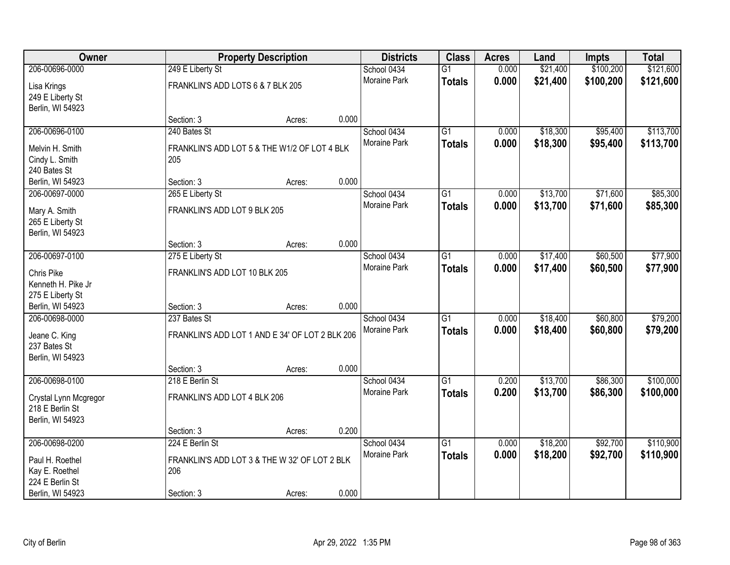| Owner                 |                                                 | <b>Property Description</b> |       | <b>Districts</b>    | <b>Class</b>    | <b>Acres</b> | Land     | <b>Impts</b> | <b>Total</b> |
|-----------------------|-------------------------------------------------|-----------------------------|-------|---------------------|-----------------|--------------|----------|--------------|--------------|
| 206-00696-0000        | 249 E Liberty St                                |                             |       | School 0434         | $\overline{G1}$ | 0.000        | \$21,400 | \$100,200    | \$121,600    |
| Lisa Krings           | FRANKLIN'S ADD LOTS 6 & 7 BLK 205               |                             |       | Moraine Park        | <b>Totals</b>   | 0.000        | \$21,400 | \$100,200    | \$121,600    |
| 249 E Liberty St      |                                                 |                             |       |                     |                 |              |          |              |              |
| Berlin, WI 54923      |                                                 |                             |       |                     |                 |              |          |              |              |
|                       | Section: 3                                      | Acres:                      | 0.000 |                     |                 |              |          |              |              |
| 206-00696-0100        | 240 Bates St                                    |                             |       | School 0434         | $\overline{G1}$ | 0.000        | \$18,300 | \$95,400     | \$113,700    |
| Melvin H. Smith       | FRANKLIN'S ADD LOT 5 & THE W1/2 OF LOT 4 BLK    |                             |       | Moraine Park        | <b>Totals</b>   | 0.000        | \$18,300 | \$95,400     | \$113,700    |
| Cindy L. Smith        | 205                                             |                             |       |                     |                 |              |          |              |              |
| 240 Bates St          |                                                 |                             |       |                     |                 |              |          |              |              |
| Berlin, WI 54923      | Section: 3                                      | Acres:                      | 0.000 |                     |                 |              |          |              |              |
| 206-00697-0000        | 265 E Liberty St                                |                             |       | School 0434         | G1              | 0.000        | \$13,700 | \$71,600     | \$85,300     |
| Mary A. Smith         | FRANKLIN'S ADD LOT 9 BLK 205                    |                             |       | <b>Moraine Park</b> | <b>Totals</b>   | 0.000        | \$13,700 | \$71,600     | \$85,300     |
| 265 E Liberty St      |                                                 |                             |       |                     |                 |              |          |              |              |
| Berlin, WI 54923      |                                                 |                             |       |                     |                 |              |          |              |              |
|                       | Section: 3                                      | Acres:                      | 0.000 |                     |                 |              |          |              |              |
| 206-00697-0100        | 275 E Liberty St                                |                             |       | School 0434         | G1              | 0.000        | \$17,400 | \$60,500     | \$77,900     |
| Chris Pike            | FRANKLIN'S ADD LOT 10 BLK 205                   |                             |       | <b>Moraine Park</b> | <b>Totals</b>   | 0.000        | \$17,400 | \$60,500     | \$77,900     |
| Kenneth H. Pike Jr    |                                                 |                             |       |                     |                 |              |          |              |              |
| 275 E Liberty St      |                                                 |                             |       |                     |                 |              |          |              |              |
| Berlin, WI 54923      | Section: 3                                      | Acres:                      | 0.000 |                     |                 |              |          |              |              |
| 206-00698-0000        | 237 Bates St                                    |                             |       | School 0434         | $\overline{G1}$ | 0.000        | \$18,400 | \$60,800     | \$79,200     |
| Jeane C. King         | FRANKLIN'S ADD LOT 1 AND E 34' OF LOT 2 BLK 206 |                             |       | Moraine Park        | <b>Totals</b>   | 0.000        | \$18,400 | \$60,800     | \$79,200     |
| 237 Bates St          |                                                 |                             |       |                     |                 |              |          |              |              |
| Berlin, WI 54923      |                                                 |                             |       |                     |                 |              |          |              |              |
|                       | Section: 3                                      | Acres:                      | 0.000 |                     |                 |              |          |              |              |
| 206-00698-0100        | 218 E Berlin St                                 |                             |       | School 0434         | $\overline{G1}$ | 0.200        | \$13,700 | \$86,300     | \$100,000    |
| Crystal Lynn Mcgregor | FRANKLIN'S ADD LOT 4 BLK 206                    |                             |       | Moraine Park        | <b>Totals</b>   | 0.200        | \$13,700 | \$86,300     | \$100,000    |
| 218 E Berlin St       |                                                 |                             |       |                     |                 |              |          |              |              |
| Berlin, WI 54923      |                                                 |                             |       |                     |                 |              |          |              |              |
|                       | Section: 3                                      | Acres:                      | 0.200 |                     |                 |              |          |              |              |
| 206-00698-0200        | 224 E Berlin St                                 |                             |       | School 0434         | $\overline{G1}$ | 0.000        | \$18,200 | \$92,700     | \$110,900    |
| Paul H. Roethel       | FRANKLIN'S ADD LOT 3 & THE W 32' OF LOT 2 BLK   |                             |       | Moraine Park        | <b>Totals</b>   | 0.000        | \$18,200 | \$92,700     | \$110,900    |
| Kay E. Roethel        | 206                                             |                             |       |                     |                 |              |          |              |              |
| 224 E Berlin St       |                                                 |                             |       |                     |                 |              |          |              |              |
| Berlin, WI 54923      | Section: 3                                      | Acres:                      | 0.000 |                     |                 |              |          |              |              |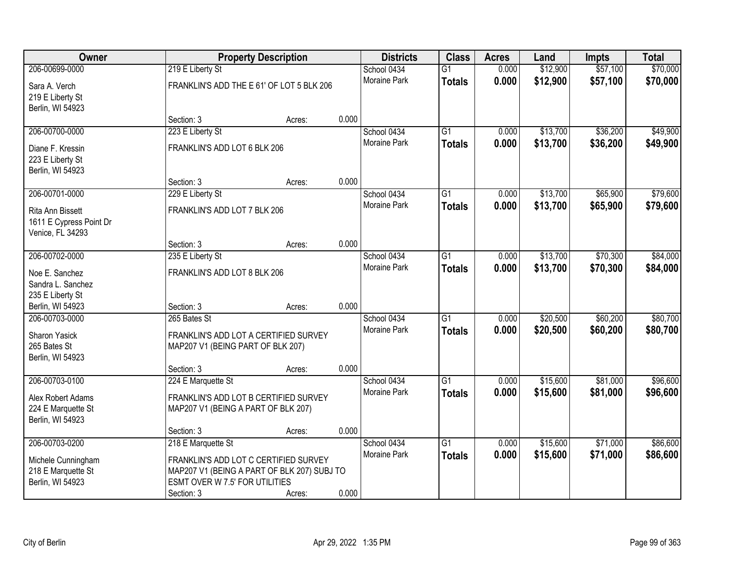| Owner                   |                                             | <b>Property Description</b> |       | <b>Districts</b>    | <b>Class</b>    | <b>Acres</b> | Land     | <b>Impts</b> | <b>Total</b> |
|-------------------------|---------------------------------------------|-----------------------------|-------|---------------------|-----------------|--------------|----------|--------------|--------------|
| 206-00699-0000          | 219 E Liberty St                            |                             |       | School 0434         | $\overline{G1}$ | 0.000        | \$12,900 | \$57,100     | \$70,000     |
| Sara A. Verch           | FRANKLIN'S ADD THE E 61' OF LOT 5 BLK 206   |                             |       | Moraine Park        | <b>Totals</b>   | 0.000        | \$12,900 | \$57,100     | \$70,000     |
| 219 E Liberty St        |                                             |                             |       |                     |                 |              |          |              |              |
| Berlin, WI 54923        |                                             |                             |       |                     |                 |              |          |              |              |
|                         | Section: 3                                  | Acres:                      | 0.000 |                     |                 |              |          |              |              |
| 206-00700-0000          | 223 E Liberty St                            |                             |       | School 0434         | $\overline{G1}$ | 0.000        | \$13,700 | \$36,200     | \$49,900     |
| Diane F. Kressin        | FRANKLIN'S ADD LOT 6 BLK 206                |                             |       | <b>Moraine Park</b> | <b>Totals</b>   | 0.000        | \$13,700 | \$36,200     | \$49,900     |
| 223 E Liberty St        |                                             |                             |       |                     |                 |              |          |              |              |
| Berlin, WI 54923        |                                             |                             |       |                     |                 |              |          |              |              |
|                         | Section: 3                                  | Acres:                      | 0.000 |                     |                 |              |          |              |              |
| 206-00701-0000          | 229 E Liberty St                            |                             |       | School 0434         | $\overline{G1}$ | 0.000        | \$13,700 | \$65,900     | \$79,600     |
| Rita Ann Bissett        | FRANKLIN'S ADD LOT 7 BLK 206                |                             |       | Moraine Park        | <b>Totals</b>   | 0.000        | \$13,700 | \$65,900     | \$79,600     |
| 1611 E Cypress Point Dr |                                             |                             |       |                     |                 |              |          |              |              |
| Venice, FL 34293        |                                             |                             |       |                     |                 |              |          |              |              |
|                         | Section: 3                                  | Acres:                      | 0.000 |                     |                 |              |          |              |              |
| 206-00702-0000          | 235 E Liberty St                            |                             |       | School 0434         | $\overline{G1}$ | 0.000        | \$13,700 | \$70,300     | \$84,000     |
| Noe E. Sanchez          | FRANKLIN'S ADD LOT 8 BLK 206                |                             |       | <b>Moraine Park</b> | <b>Totals</b>   | 0.000        | \$13,700 | \$70,300     | \$84,000     |
| Sandra L. Sanchez       |                                             |                             |       |                     |                 |              |          |              |              |
| 235 E Liberty St        |                                             |                             |       |                     |                 |              |          |              |              |
| Berlin, WI 54923        | Section: 3                                  | Acres:                      | 0.000 |                     |                 |              |          |              |              |
| 206-00703-0000          | 265 Bates St                                |                             |       | School 0434         | $\overline{G1}$ | 0.000        | \$20,500 | \$60,200     | \$80,700     |
| <b>Sharon Yasick</b>    | FRANKLIN'S ADD LOT A CERTIFIED SURVEY       |                             |       | <b>Moraine Park</b> | <b>Totals</b>   | 0.000        | \$20,500 | \$60,200     | \$80,700     |
| 265 Bates St            | MAP207 V1 (BEING PART OF BLK 207)           |                             |       |                     |                 |              |          |              |              |
| Berlin, WI 54923        |                                             |                             |       |                     |                 |              |          |              |              |
|                         | Section: 3                                  | Acres:                      | 0.000 |                     |                 |              |          |              |              |
| 206-00703-0100          | 224 E Marquette St                          |                             |       | School 0434         | $\overline{G1}$ | 0.000        | \$15,600 | \$81,000     | \$96,600     |
| Alex Robert Adams       | FRANKLIN'S ADD LOT B CERTIFIED SURVEY       |                             |       | <b>Moraine Park</b> | <b>Totals</b>   | 0.000        | \$15,600 | \$81,000     | \$96,600     |
| 224 E Marquette St      | MAP207 V1 (BEING A PART OF BLK 207)         |                             |       |                     |                 |              |          |              |              |
| Berlin, WI 54923        |                                             |                             |       |                     |                 |              |          |              |              |
|                         | Section: 3                                  | Acres:                      | 0.000 |                     |                 |              |          |              |              |
| 206-00703-0200          | 218 E Marquette St                          |                             |       | School 0434         | $\overline{G1}$ | 0.000        | \$15,600 | \$71,000     | \$86,600     |
| Michele Cunningham      | FRANKLIN'S ADD LOT C CERTIFIED SURVEY       |                             |       | <b>Moraine Park</b> | <b>Totals</b>   | 0.000        | \$15,600 | \$71,000     | \$86,600     |
| 218 E Marquette St      | MAP207 V1 (BEING A PART OF BLK 207) SUBJ TO |                             |       |                     |                 |              |          |              |              |
| Berlin, WI 54923        | ESMT OVER W 7.5' FOR UTILITIES              |                             |       |                     |                 |              |          |              |              |
|                         | Section: 3                                  | Acres:                      | 0.000 |                     |                 |              |          |              |              |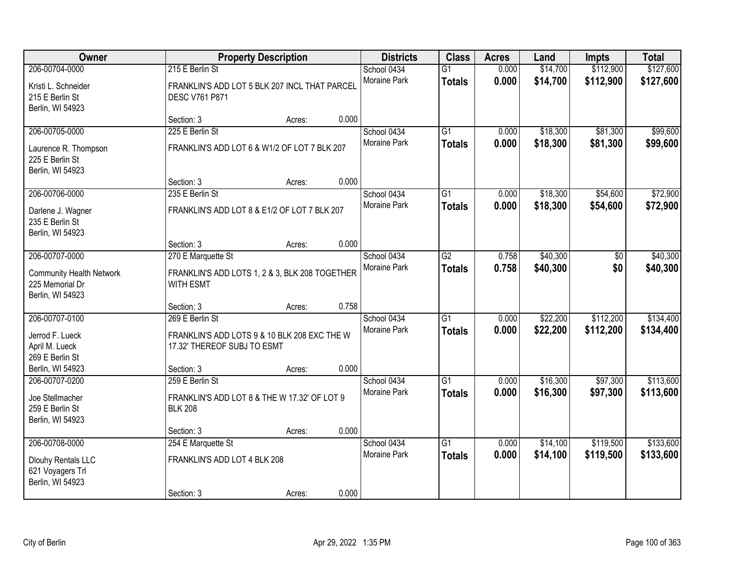| Owner                                                                  |                                                                                                | <b>Property Description</b> |       | <b>Districts</b>            | <b>Class</b>                     | <b>Acres</b>   | Land                 | Impts                  | <b>Total</b>           |
|------------------------------------------------------------------------|------------------------------------------------------------------------------------------------|-----------------------------|-------|-----------------------------|----------------------------------|----------------|----------------------|------------------------|------------------------|
| 206-00704-0000                                                         | 215 E Berlin St                                                                                |                             |       | School 0434                 | $\overline{G1}$                  | 0.000          | \$14,700             | \$112,900              | \$127,600              |
| Kristi L. Schneider<br>215 E Berlin St<br>Berlin, WI 54923             | FRANKLIN'S ADD LOT 5 BLK 207 INCL THAT PARCEL<br><b>DESC V761 P871</b>                         |                             |       | Moraine Park                | <b>Totals</b>                    | 0.000          | \$14,700             | \$112,900              | \$127,600              |
|                                                                        | Section: 3                                                                                     | Acres:                      | 0.000 |                             |                                  |                |                      |                        |                        |
| 206-00705-0000                                                         | 225 E Berlin St                                                                                |                             |       | School 0434                 | $\overline{G1}$                  | 0.000          | \$18,300             | \$81,300               | \$99,600               |
| Laurence R. Thompson<br>225 E Berlin St<br>Berlin, WI 54923            | FRANKLIN'S ADD LOT 6 & W1/2 OF LOT 7 BLK 207                                                   |                             |       | Moraine Park                | <b>Totals</b>                    | 0.000          | \$18,300             | \$81,300               | \$99,600               |
|                                                                        | Section: 3                                                                                     | Acres:                      | 0.000 |                             |                                  |                |                      |                        |                        |
| 206-00706-0000                                                         | 235 E Berlin St                                                                                |                             |       | School 0434                 | $\overline{G1}$                  | 0.000          | \$18,300             | \$54,600               | \$72,900               |
| Darlene J. Wagner<br>235 E Berlin St<br>Berlin, WI 54923               | FRANKLIN'S ADD LOT 8 & E1/2 OF LOT 7 BLK 207                                                   |                             |       | Moraine Park                | <b>Totals</b>                    | 0.000          | \$18,300             | \$54,600               | \$72,900               |
|                                                                        | Section: 3                                                                                     | Acres:                      | 0.000 |                             |                                  |                |                      |                        |                        |
| 206-00707-0000                                                         | 270 E Marquette St                                                                             |                             |       | School 0434                 | $\overline{G2}$                  | 0.758          | \$40,300             | \$0                    | \$40,300               |
| <b>Community Health Network</b><br>225 Memorial Dr<br>Berlin, WI 54923 | FRANKLIN'S ADD LOTS 1, 2 & 3, BLK 208 TOGETHER<br><b>WITH ESMT</b>                             |                             |       | Moraine Park                | <b>Totals</b>                    | 0.758          | \$40,300             | \$0                    | \$40,300               |
|                                                                        | Section: 3                                                                                     | Acres:                      | 0.758 |                             |                                  |                |                      |                        |                        |
| 206-00707-0100<br>Jerrod F. Lueck<br>April M. Lueck                    | 269 E Berlin St<br>FRANKLIN'S ADD LOTS 9 & 10 BLK 208 EXC THE W<br>17.32' THEREOF SUBJ TO ESMT |                             |       | School 0434<br>Moraine Park | $\overline{G1}$<br><b>Totals</b> | 0.000<br>0.000 | \$22,200<br>\$22,200 | \$112,200<br>\$112,200 | \$134,400<br>\$134,400 |
| 269 E Berlin St<br>Berlin, WI 54923                                    | Section: 3                                                                                     | Acres:                      | 0.000 |                             |                                  |                |                      |                        |                        |
| 206-00707-0200                                                         | 259 E Berlin St                                                                                |                             |       | School 0434                 | $\overline{G1}$                  | 0.000          | \$16,300             | \$97,300               | \$113,600              |
| Joe Stellmacher<br>259 E Berlin St<br>Berlin, WI 54923                 | FRANKLIN'S ADD LOT 8 & THE W 17.32' OF LOT 9<br><b>BLK 208</b>                                 |                             |       | Moraine Park                | <b>Totals</b>                    | 0.000          | \$16,300             | \$97,300               | \$113,600              |
|                                                                        | Section: 3                                                                                     | Acres:                      | 0.000 |                             |                                  |                |                      |                        |                        |
| 206-00708-0000                                                         | 254 E Marquette St                                                                             |                             |       | School 0434                 | $\overline{G1}$                  | 0.000          | \$14,100             | \$119,500              | \$133,600              |
| Dlouhy Rentals LLC<br>621 Voyagers Trl<br>Berlin, WI 54923             | FRANKLIN'S ADD LOT 4 BLK 208                                                                   |                             |       | <b>Moraine Park</b>         | <b>Totals</b>                    | 0.000          | \$14,100             | \$119,500              | \$133,600              |
|                                                                        | Section: 3                                                                                     | Acres:                      | 0.000 |                             |                                  |                |                      |                        |                        |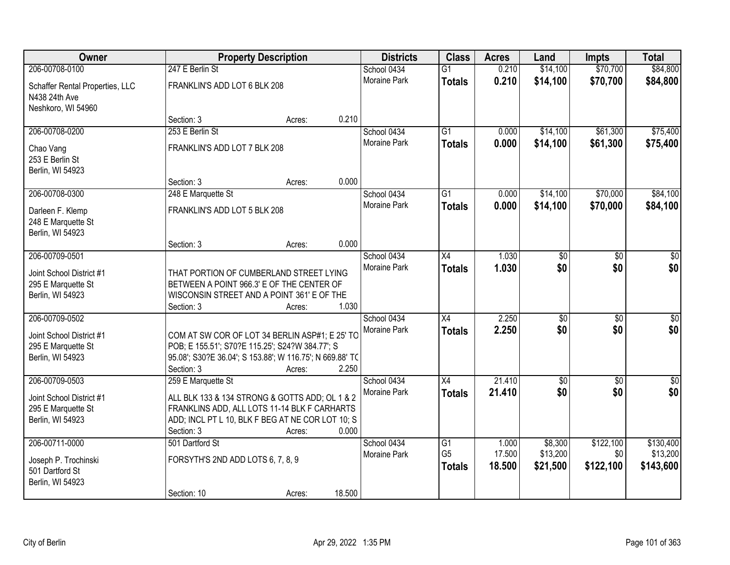| Owner                                                                  |                                   | <b>Property Description</b>                                                                                                                                             |        | <b>Districts</b>                   | <b>Class</b>                     | <b>Acres</b>     | Land                 | Impts                  | <b>Total</b>           |
|------------------------------------------------------------------------|-----------------------------------|-------------------------------------------------------------------------------------------------------------------------------------------------------------------------|--------|------------------------------------|----------------------------------|------------------|----------------------|------------------------|------------------------|
| 206-00708-0100                                                         | 247 E Berlin St                   |                                                                                                                                                                         |        | School 0434                        | $\overline{G1}$                  | 0.210            | \$14,100             | \$70,700               | \$84,800               |
| Schaffer Rental Properties, LLC<br>N438 24th Ave<br>Neshkoro, WI 54960 | FRANKLIN'S ADD LOT 6 BLK 208      |                                                                                                                                                                         |        | <b>Moraine Park</b>                | <b>Totals</b>                    | 0.210            | \$14,100             | \$70,700               | \$84,800               |
|                                                                        | Section: 3                        | Acres:                                                                                                                                                                  | 0.210  |                                    |                                  |                  |                      |                        |                        |
| 206-00708-0200                                                         | 253 E Berlin St                   |                                                                                                                                                                         |        | School 0434                        | $\overline{G1}$                  | 0.000            | \$14,100             | \$61,300               | \$75,400               |
| Chao Vang<br>253 E Berlin St<br>Berlin, WI 54923                       | FRANKLIN'S ADD LOT 7 BLK 208      |                                                                                                                                                                         |        | Moraine Park                       | <b>Totals</b>                    | 0.000            | \$14,100             | \$61,300               | \$75,400               |
|                                                                        | Section: 3                        | Acres:                                                                                                                                                                  | 0.000  |                                    |                                  |                  |                      |                        |                        |
| 206-00708-0300                                                         | 248 E Marquette St                |                                                                                                                                                                         |        | School 0434                        | $\overline{G1}$                  | 0.000            | \$14,100             | \$70,000               | \$84,100               |
| Darleen F. Klemp<br>248 E Marquette St<br>Berlin, WI 54923             | FRANKLIN'S ADD LOT 5 BLK 208      |                                                                                                                                                                         |        | <b>Moraine Park</b>                | <b>Totals</b>                    | 0.000            | \$14,100             | \$70,000               | \$84,100               |
|                                                                        | Section: 3                        | Acres:                                                                                                                                                                  | 0.000  |                                    |                                  |                  |                      |                        |                        |
| 206-00709-0501<br>Joint School District #1<br>295 E Marquette St       |                                   | THAT PORTION OF CUMBERLAND STREET LYING<br>BETWEEN A POINT 966.3' E OF THE CENTER OF                                                                                    |        | School 0434<br><b>Moraine Park</b> | $\overline{X4}$<br><b>Totals</b> | 1.030<br>1.030   | \$0<br>\$0           | $\overline{30}$<br>\$0 | $\overline{50}$<br>\$0 |
| Berlin, WI 54923                                                       |                                   | WISCONSIN STREET AND A POINT 361' E OF THE                                                                                                                              |        |                                    |                                  |                  |                      |                        |                        |
| 206-00709-0502                                                         | Section: 3                        | Acres:                                                                                                                                                                  | 1.030  | School 0434                        | $\overline{X4}$                  | 2.250            | $\sqrt{30}$          | $\overline{50}$        | $\overline{50}$        |
| Joint School District #1<br>295 E Marquette St<br>Berlin, WI 54923     | Section: 3                        | COM AT SW COR OF LOT 34 BERLIN ASP#1; E 25' TC<br>POB; E 155.51'; S70?E 115.25'; S24?W 384.77'; S<br>95.08'; S30?E 36.04'; S 153.88'; W 116.75'; N 669.88' TO<br>Acres: | 2.250  | Moraine Park                       | <b>Totals</b>                    | 2.250            | \$0                  | \$0                    | \$0                    |
| 206-00709-0503                                                         | 259 E Marquette St                |                                                                                                                                                                         |        | School 0434                        | X4                               | 21.410           | $\sqrt{50}$          | $\sqrt{6}$             | \$0                    |
| Joint School District #1<br>295 E Marquette St<br>Berlin, WI 54923     | Section: 3                        | ALL BLK 133 & 134 STRONG & GOTTS ADD; OL 1 & 2<br>FRANKLINS ADD, ALL LOTS 11-14 BLK F CARHARTS<br>ADD; INCL PT L 10, BLK F BEG AT NE COR LOT 10; S<br>Acres:            | 0.000  | Moraine Park                       | <b>Totals</b>                    | 21.410           | \$0                  | \$0                    | \$0                    |
| 206-00711-0000                                                         | 501 Dartford St                   |                                                                                                                                                                         |        | School 0434                        | $\overline{G1}$                  | 1.000            | \$8,300              | \$122,100              | \$130,400              |
| Joseph P. Trochinski<br>501 Dartford St<br>Berlin, WI 54923            | FORSYTH'S 2ND ADD LOTS 6, 7, 8, 9 |                                                                                                                                                                         |        | Moraine Park                       | G <sub>5</sub><br><b>Totals</b>  | 17.500<br>18.500 | \$13,200<br>\$21,500 | \$0<br>\$122,100       | \$13,200<br>\$143,600  |
|                                                                        | Section: 10                       | Acres:                                                                                                                                                                  | 18.500 |                                    |                                  |                  |                      |                        |                        |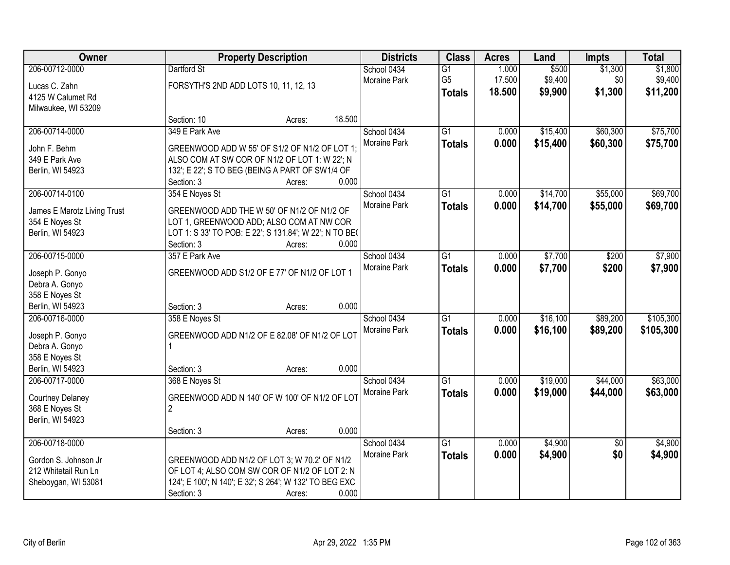| Owner                                                                                     |                                                      | <b>Property Description</b>                                                                                                                                       |        | <b>Districts</b>            | <b>Class</b>                                       | <b>Acres</b>              | Land                        | <b>Impts</b>              | <b>Total</b>                   |
|-------------------------------------------------------------------------------------------|------------------------------------------------------|-------------------------------------------------------------------------------------------------------------------------------------------------------------------|--------|-----------------------------|----------------------------------------------------|---------------------------|-----------------------------|---------------------------|--------------------------------|
| 206-00712-0000<br>Lucas C. Zahn<br>4125 W Calumet Rd<br>Milwaukee, WI 53209               | Dartford St<br>FORSYTH'S 2ND ADD LOTS 10, 11, 12, 13 |                                                                                                                                                                   |        | School 0434<br>Moraine Park | $\overline{G1}$<br>G <sub>5</sub><br><b>Totals</b> | 1.000<br>17.500<br>18.500 | \$500<br>\$9,400<br>\$9,900 | \$1,300<br>\$0<br>\$1,300 | \$1,800<br>\$9,400<br>\$11,200 |
|                                                                                           | Section: 10                                          | Acres:                                                                                                                                                            | 18.500 |                             |                                                    |                           |                             |                           |                                |
| 206-00714-0000<br>John F. Behm<br>349 E Park Ave<br>Berlin, WI 54923                      | 349 E Park Ave<br>Section: 3                         | GREENWOOD ADD W 55' OF S1/2 OF N1/2 OF LOT 1;<br>ALSO COM AT SW COR OF N1/2 OF LOT 1: W 22'; N<br>132'; E 22'; S TO BEG (BEING A PART OF SW1/4 OF<br>Acres:       | 0.000  | School 0434<br>Moraine Park | $\overline{G1}$<br><b>Totals</b>                   | 0.000<br>0.000            | \$15,400<br>\$15,400        | \$60,300<br>\$60,300      | \$75,700<br>\$75,700           |
| 206-00714-0100                                                                            | 354 E Noyes St                                       |                                                                                                                                                                   |        | School 0434                 | $\overline{G1}$                                    | 0.000                     | \$14,700                    | \$55,000                  | \$69,700                       |
| James E Marotz Living Trust<br>354 E Noyes St<br>Berlin, WI 54923                         | Section: 3                                           | GREENWOOD ADD THE W 50' OF N1/2 OF N1/2 OF<br>LOT 1, GREENWOOD ADD; ALSO COM AT NW COR<br>LOT 1: S 33' TO POB: E 22'; S 131.84'; W 22'; N TO BE(<br>Acres:        | 0.000  | Moraine Park                | <b>Totals</b>                                      | 0.000                     | \$14,700                    | \$55,000                  | \$69,700                       |
| 206-00715-0000                                                                            | 357 E Park Ave                                       |                                                                                                                                                                   |        | School 0434                 | G1                                                 | 0.000                     | \$7,700                     | \$200                     | \$7,900                        |
| Joseph P. Gonyo<br>Debra A. Gonyo<br>358 E Noyes St<br>Berlin, WI 54923                   | Section: 3                                           | GREENWOOD ADD S1/2 OF E 77' OF N1/2 OF LOT 1<br>Acres:                                                                                                            | 0.000  | Moraine Park                | <b>Totals</b>                                      | 0.000                     | \$7,700                     | \$200                     | \$7,900                        |
| 206-00716-0000<br>Joseph P. Gonyo<br>Debra A. Gonyo<br>358 E Noyes St<br>Berlin, WI 54923 | 358 E Noyes St<br>Section: 3                         | GREENWOOD ADD N1/2 OF E 82.08' OF N1/2 OF LOT<br>Acres:                                                                                                           | 0.000  | School 0434<br>Moraine Park | $\overline{G1}$<br><b>Totals</b>                   | 0.000<br>0.000            | \$16,100<br>\$16,100        | \$89,200<br>\$89,200      | \$105,300<br>\$105,300         |
| 206-00717-0000<br><b>Courtney Delaney</b><br>368 E Noyes St<br>Berlin, WI 54923           | 368 E Noyes St<br>$\overline{2}$<br>Section: 3       | GREENWOOD ADD N 140' OF W 100' OF N1/2 OF LOT<br>Acres:                                                                                                           | 0.000  | School 0434<br>Moraine Park | $\overline{G1}$<br><b>Totals</b>                   | 0.000<br>0.000            | \$19,000<br>\$19,000        | \$44,000<br>\$44,000      | \$63,000<br>\$63,000           |
| 206-00718-0000<br>Gordon S. Johnson Jr<br>212 Whitetail Run Ln<br>Sheboygan, WI 53081     | Section: 3                                           | GREENWOOD ADD N1/2 OF LOT 3; W 70.2' OF N1/2<br>OF LOT 4; ALSO COM SW COR OF N1/2 OF LOT 2: N<br>124'; E 100'; N 140'; E 32'; S 264'; W 132' TO BEG EXC<br>Acres: | 0.000  | School 0434<br>Moraine Park | $\overline{G1}$<br><b>Totals</b>                   | 0.000<br>0.000            | \$4,900<br>\$4,900          | $\overline{50}$<br>\$0    | \$4,900<br>\$4,900             |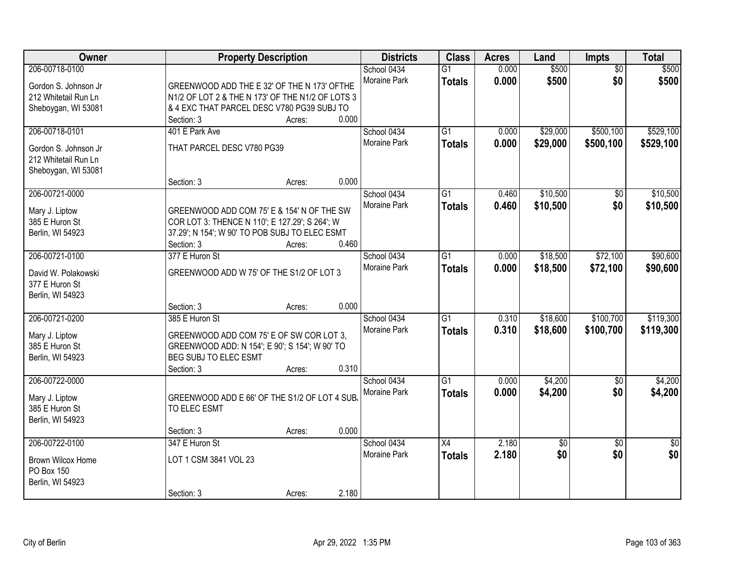| Owner                            | <b>Property Description</b>                                                                  |                 | <b>Districts</b> | <b>Class</b>    | <b>Acres</b> | Land     | <b>Impts</b>    | <b>Total</b>    |
|----------------------------------|----------------------------------------------------------------------------------------------|-----------------|------------------|-----------------|--------------|----------|-----------------|-----------------|
| 206-00718-0100                   |                                                                                              |                 | School 0434      | $\overline{G1}$ | 0.000        | \$500    | $\overline{50}$ | \$500           |
| Gordon S. Johnson Jr             | GREENWOOD ADD THE E 32' OF THE N 173' OFTHE                                                  |                 | Moraine Park     | <b>Totals</b>   | 0.000        | \$500    | \$0             | \$500           |
| 212 Whitetail Run Ln             | N1/2 OF LOT 2 & THE N 173' OF THE N1/2 OF LOTS 3                                             |                 |                  |                 |              |          |                 |                 |
| Sheboygan, WI 53081              | & 4 EXC THAT PARCEL DESC V780 PG39 SUBJ TO                                                   |                 |                  |                 |              |          |                 |                 |
|                                  | Section: 3                                                                                   | 0.000<br>Acres: |                  |                 |              |          |                 |                 |
| 206-00718-0101                   | 401 E Park Ave                                                                               |                 | School 0434      | $\overline{G1}$ | 0.000        | \$29,000 | \$500,100       | \$529,100       |
| Gordon S. Johnson Jr             | THAT PARCEL DESC V780 PG39                                                                   |                 | Moraine Park     | <b>Totals</b>   | 0.000        | \$29,000 | \$500,100       | \$529,100       |
| 212 Whitetail Run Ln             |                                                                                              |                 |                  |                 |              |          |                 |                 |
| Sheboygan, WI 53081              |                                                                                              |                 |                  |                 |              |          |                 |                 |
|                                  | Section: 3                                                                                   | 0.000<br>Acres: |                  |                 |              |          |                 |                 |
| 206-00721-0000                   |                                                                                              |                 | School 0434      | $\overline{G1}$ | 0.460        | \$10,500 | \$0             | \$10,500        |
|                                  |                                                                                              |                 | Moraine Park     | <b>Totals</b>   | 0.460        | \$10,500 | \$0             | \$10,500        |
| Mary J. Liptow<br>385 E Huron St | GREENWOOD ADD COM 75' E & 154' N OF THE SW<br>COR LOT 3: THENCE N 110'; E 127.29'; S 264'; W |                 |                  |                 |              |          |                 |                 |
| Berlin, WI 54923                 | 37.29'; N 154'; W 90' TO POB SUBJ TO ELEC ESMT                                               |                 |                  |                 |              |          |                 |                 |
|                                  | Section: 3                                                                                   | 0.460<br>Acres: |                  |                 |              |          |                 |                 |
| 206-00721-0100                   | 377 E Huron St                                                                               |                 | School 0434      | $\overline{G1}$ | 0.000        | \$18,500 | \$72,100        | \$90,600        |
|                                  |                                                                                              |                 | Moraine Park     | <b>Totals</b>   | 0.000        | \$18,500 | \$72,100        | \$90,600        |
| David W. Polakowski              | GREENWOOD ADD W 75' OF THE S1/2 OF LOT 3                                                     |                 |                  |                 |              |          |                 |                 |
| 377 E Huron St                   |                                                                                              |                 |                  |                 |              |          |                 |                 |
| Berlin, WI 54923                 | Section: 3                                                                                   | 0.000           |                  |                 |              |          |                 |                 |
| 206-00721-0200                   | 385 E Huron St                                                                               | Acres:          | School 0434      | $\overline{G1}$ | 0.310        | \$18,600 | \$100,700       | \$119,300       |
|                                  |                                                                                              |                 | Moraine Park     | <b>Totals</b>   | 0.310        | \$18,600 | \$100,700       | \$119,300       |
| Mary J. Liptow                   | GREENWOOD ADD COM 75' E OF SW COR LOT 3,                                                     |                 |                  |                 |              |          |                 |                 |
| 385 E Huron St                   | GREENWOOD ADD: N 154'; E 90'; S 154'; W 90' TO                                               |                 |                  |                 |              |          |                 |                 |
| Berlin, WI 54923                 | BEG SUBJ TO ELEC ESMT                                                                        |                 |                  |                 |              |          |                 |                 |
|                                  | Section: 3                                                                                   | 0.310<br>Acres: |                  |                 |              |          |                 |                 |
| 206-00722-0000                   |                                                                                              |                 | School 0434      | $\overline{G1}$ | 0.000        | \$4,200  | \$0             | \$4,200         |
| Mary J. Liptow                   | GREENWOOD ADD E 66' OF THE S1/2 OF LOT 4 SUB.                                                |                 | Moraine Park     | <b>Totals</b>   | 0.000        | \$4,200  | \$0             | \$4,200         |
| 385 E Huron St                   | TO ELEC ESMT                                                                                 |                 |                  |                 |              |          |                 |                 |
| Berlin, WI 54923                 |                                                                                              |                 |                  |                 |              |          |                 |                 |
|                                  | Section: 3                                                                                   | 0.000<br>Acres: |                  |                 |              |          |                 |                 |
| 206-00722-0100                   | 347 E Huron St                                                                               |                 | School 0434      | $\overline{X4}$ | 2.180        | \$0      | $\overline{30}$ | $\overline{50}$ |
| <b>Brown Wilcox Home</b>         | LOT 1 CSM 3841 VOL 23                                                                        |                 | Moraine Park     | <b>Totals</b>   | 2.180        | \$0      | \$0             | \$0             |
| PO Box 150                       |                                                                                              |                 |                  |                 |              |          |                 |                 |
| Berlin, WI 54923                 |                                                                                              |                 |                  |                 |              |          |                 |                 |
|                                  | Section: 3                                                                                   | 2.180<br>Acres: |                  |                 |              |          |                 |                 |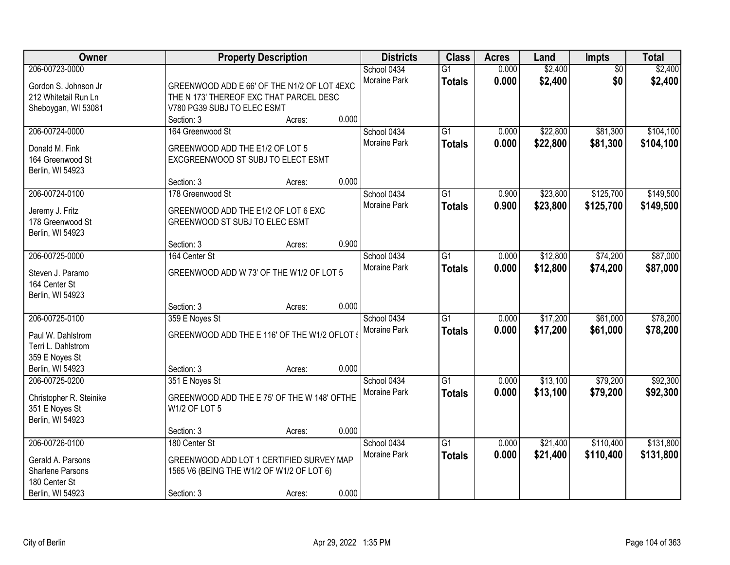| Owner                   |                                              | <b>Property Description</b> |       | <b>Districts</b>            | <b>Class</b>    | <b>Acres</b> | Land     | <b>Impts</b>    | <b>Total</b> |
|-------------------------|----------------------------------------------|-----------------------------|-------|-----------------------------|-----------------|--------------|----------|-----------------|--------------|
| 206-00723-0000          |                                              |                             |       | School 0434                 | $\overline{G1}$ | 0.000        | \$2,400  | $\overline{50}$ | \$2,400      |
| Gordon S. Johnson Jr    | GREENWOOD ADD E 66' OF THE N1/2 OF LOT 4EXC  |                             |       | Moraine Park                | <b>Totals</b>   | 0.000        | \$2,400  | \$0             | \$2,400      |
| 212 Whitetail Run Ln    | THE N 173' THEREOF EXC THAT PARCEL DESC      |                             |       |                             |                 |              |          |                 |              |
| Sheboygan, WI 53081     | V780 PG39 SUBJ TO ELEC ESMT                  |                             |       |                             |                 |              |          |                 |              |
|                         | Section: 3                                   | Acres:                      | 0.000 |                             |                 |              |          |                 |              |
| 206-00724-0000          | 164 Greenwood St                             |                             |       | School 0434                 | $\overline{G1}$ | 0.000        | \$22,800 | \$81,300        | \$104,100    |
| Donald M. Fink          | GREENWOOD ADD THE E1/2 OF LOT 5              |                             |       | Moraine Park                | <b>Totals</b>   | 0.000        | \$22,800 | \$81,300        | \$104,100    |
| 164 Greenwood St        | EXCGREENWOOD ST SUBJ TO ELECT ESMT           |                             |       |                             |                 |              |          |                 |              |
| Berlin, WI 54923        |                                              |                             |       |                             |                 |              |          |                 |              |
|                         | Section: 3                                   | Acres:                      | 0.000 |                             |                 |              |          |                 |              |
| 206-00724-0100          | 178 Greenwood St                             |                             |       | School 0434                 | $\overline{G1}$ | 0.900        | \$23,800 | \$125,700       | \$149,500    |
|                         |                                              |                             |       | Moraine Park                | <b>Totals</b>   | 0.900        | \$23,800 | \$125,700       | \$149,500    |
| Jeremy J. Fritz         | GREENWOOD ADD THE E1/2 OF LOT 6 EXC          |                             |       |                             |                 |              |          |                 |              |
| 178 Greenwood St        | GREENWOOD ST SUBJ TO ELEC ESMT               |                             |       |                             |                 |              |          |                 |              |
| Berlin, WI 54923        |                                              |                             |       |                             |                 |              |          |                 |              |
| 206-00725-0000          | Section: 3<br>164 Center St                  | Acres:                      | 0.900 |                             | $\overline{G1}$ |              | \$12,800 | \$74,200        | \$87,000     |
|                         |                                              |                             |       | School 0434<br>Moraine Park |                 | 0.000        |          |                 |              |
| Steven J. Paramo        | GREENWOOD ADD W 73' OF THE W1/2 OF LOT 5     |                             |       |                             | <b>Totals</b>   | 0.000        | \$12,800 | \$74,200        | \$87,000     |
| 164 Center St           |                                              |                             |       |                             |                 |              |          |                 |              |
| Berlin, WI 54923        |                                              |                             |       |                             |                 |              |          |                 |              |
|                         | Section: 3                                   | Acres:                      | 0.000 |                             |                 |              |          |                 |              |
| 206-00725-0100          | 359 E Noyes St                               |                             |       | School 0434                 | $\overline{G1}$ | 0.000        | \$17,200 | \$61,000        | \$78,200     |
| Paul W. Dahlstrom       | GREENWOOD ADD THE E 116' OF THE W1/2 OFLOT ! |                             |       | Moraine Park                | <b>Totals</b>   | 0.000        | \$17,200 | \$61,000        | \$78,200     |
| Terri L. Dahlstrom      |                                              |                             |       |                             |                 |              |          |                 |              |
| 359 E Noyes St          |                                              |                             |       |                             |                 |              |          |                 |              |
| Berlin, WI 54923        | Section: 3                                   | Acres:                      | 0.000 |                             |                 |              |          |                 |              |
| 206-00725-0200          | 351 E Noyes St                               |                             |       | School 0434                 | $\overline{G1}$ | 0.000        | \$13,100 | \$79,200        | \$92,300     |
| Christopher R. Steinike | GREENWOOD ADD THE E 75' OF THE W 148' OFTHE  |                             |       | Moraine Park                | <b>Totals</b>   | 0.000        | \$13,100 | \$79,200        | \$92,300     |
| 351 E Noyes St          | W1/2 OF LOT 5                                |                             |       |                             |                 |              |          |                 |              |
| Berlin, WI 54923        |                                              |                             |       |                             |                 |              |          |                 |              |
|                         | Section: 3                                   | Acres:                      | 0.000 |                             |                 |              |          |                 |              |
| 206-00726-0100          | 180 Center St                                |                             |       | School 0434                 | $\overline{G1}$ | 0.000        | \$21,400 | \$110,400       | \$131,800    |
|                         |                                              |                             |       | Moraine Park                | <b>Totals</b>   | 0.000        | \$21,400 | \$110,400       | \$131,800    |
| Gerald A. Parsons       | GREENWOOD ADD LOT 1 CERTIFIED SURVEY MAP     |                             |       |                             |                 |              |          |                 |              |
| Sharlene Parsons        | 1565 V6 (BEING THE W1/2 OF W1/2 OF LOT 6)    |                             |       |                             |                 |              |          |                 |              |
| 180 Center St           |                                              |                             | 0.000 |                             |                 |              |          |                 |              |
| Berlin, WI 54923        | Section: 3                                   | Acres:                      |       |                             |                 |              |          |                 |              |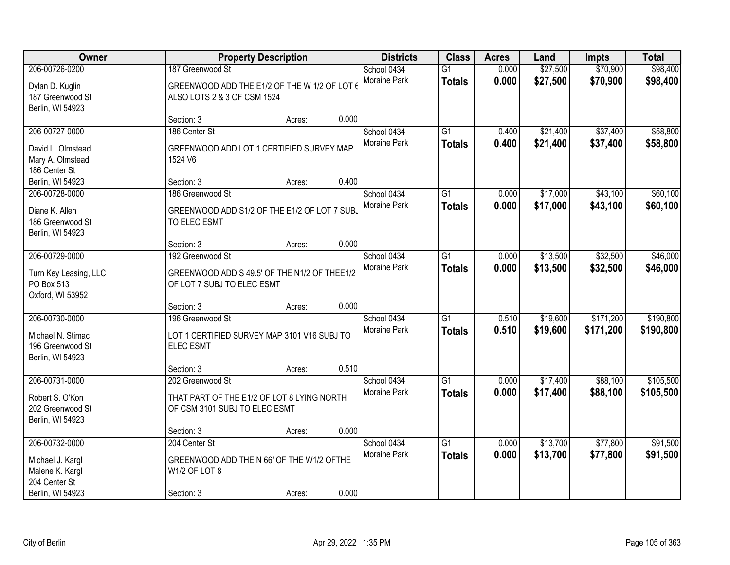| Owner                                                                                      | <b>Property Description</b>                                                                     |        |       | <b>Districts</b>            | <b>Class</b>                     | <b>Acres</b>   | Land                 | <b>Impts</b>           | <b>Total</b>           |
|--------------------------------------------------------------------------------------------|-------------------------------------------------------------------------------------------------|--------|-------|-----------------------------|----------------------------------|----------------|----------------------|------------------------|------------------------|
| 206-00726-0200<br>Dylan D. Kuglin<br>187 Greenwood St<br>Berlin, WI 54923                  | 187 Greenwood St<br>GREENWOOD ADD THE E1/2 OF THE W 1/2 OF LOT 6<br>ALSO LOTS 2 & 3 OF CSM 1524 |        |       | School 0434<br>Moraine Park | $\overline{G1}$<br><b>Totals</b> | 0.000<br>0.000 | \$27,500<br>\$27,500 | \$70,900<br>\$70,900   | \$98,400<br>\$98,400   |
|                                                                                            | Section: 3                                                                                      | Acres: | 0.000 |                             |                                  |                |                      |                        |                        |
| 206-00727-0000<br>David L. Olmstead<br>Mary A. Olmstead<br>186 Center St                   | 186 Center St<br>GREENWOOD ADD LOT 1 CERTIFIED SURVEY MAP<br>1524 V6                            |        |       | School 0434<br>Moraine Park | $\overline{G1}$<br><b>Totals</b> | 0.400<br>0.400 | \$21,400<br>\$21,400 | \$37,400<br>\$37,400   | \$58,800<br>\$58,800   |
| Berlin, WI 54923                                                                           | Section: 3                                                                                      | Acres: | 0.400 |                             |                                  |                |                      |                        |                        |
| 206-00728-0000<br>Diane K. Allen<br>186 Greenwood St<br>Berlin, WI 54923                   | 186 Greenwood St<br>GREENWOOD ADD S1/2 OF THE E1/2 OF LOT 7 SUBJ<br>TO ELEC ESMT                |        |       | School 0434<br>Moraine Park | G1<br><b>Totals</b>              | 0.000<br>0.000 | \$17,000<br>\$17,000 | \$43,100<br>\$43,100   | \$60,100<br>\$60,100   |
|                                                                                            | Section: 3                                                                                      | Acres: | 0.000 |                             |                                  |                |                      |                        |                        |
| 206-00729-0000<br>Turn Key Leasing, LLC<br>PO Box 513<br>Oxford, WI 53952                  | 192 Greenwood St<br>GREENWOOD ADD S 49.5' OF THE N1/2 OF THEE1/2<br>OF LOT 7 SUBJ TO ELEC ESMT  |        |       | School 0434<br>Moraine Park | G1<br><b>Totals</b>              | 0.000<br>0.000 | \$13,500<br>\$13,500 | \$32,500<br>\$32,500   | \$46,000<br>\$46,000   |
|                                                                                            | Section: 3                                                                                      | Acres: | 0.000 |                             |                                  |                |                      |                        |                        |
| 206-00730-0000<br>Michael N. Stimac<br>196 Greenwood St<br>Berlin, WI 54923                | 196 Greenwood St<br>LOT 1 CERTIFIED SURVEY MAP 3101 V16 SUBJ TO<br><b>ELEC ESMT</b>             |        |       | School 0434<br>Moraine Park | $\overline{G1}$<br><b>Totals</b> | 0.510<br>0.510 | \$19,600<br>\$19,600 | \$171,200<br>\$171,200 | \$190,800<br>\$190,800 |
|                                                                                            | Section: 3                                                                                      | Acres: | 0.510 |                             |                                  |                |                      |                        |                        |
| 206-00731-0000<br>Robert S. O'Kon<br>202 Greenwood St<br>Berlin, WI 54923                  | 202 Greenwood St<br>THAT PART OF THE E1/2 OF LOT 8 LYING NORTH<br>OF CSM 3101 SUBJ TO ELEC ESMT |        |       | School 0434<br>Moraine Park | $\overline{G1}$<br><b>Totals</b> | 0.000<br>0.000 | \$17,400<br>\$17,400 | \$88,100<br>\$88,100   | \$105,500<br>\$105,500 |
|                                                                                            | Section: 3                                                                                      | Acres: | 0.000 |                             |                                  |                |                      |                        |                        |
| 206-00732-0000<br>Michael J. Kargl<br>Malene K. Kargl<br>204 Center St<br>Berlin, WI 54923 | 204 Center St<br>GREENWOOD ADD THE N 66' OF THE W1/2 OFTHE<br>W1/2 OF LOT 8<br>Section: 3       | Acres: | 0.000 | School 0434<br>Moraine Park | $\overline{G1}$<br><b>Totals</b> | 0.000<br>0.000 | \$13,700<br>\$13,700 | \$77,800<br>\$77,800   | \$91,500<br>\$91,500   |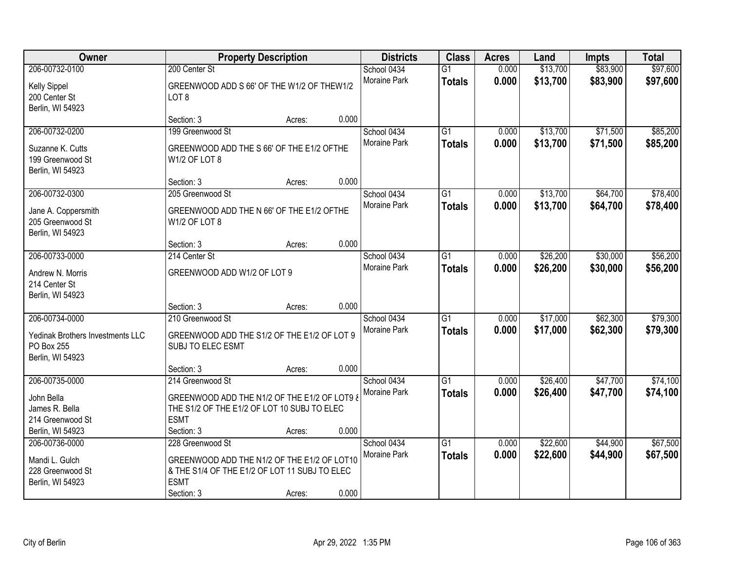| Owner                            |                                                         | <b>Property Description</b> |       | <b>Districts</b>    | <b>Class</b>    | <b>Acres</b> | Land     | <b>Impts</b> | <b>Total</b> |
|----------------------------------|---------------------------------------------------------|-----------------------------|-------|---------------------|-----------------|--------------|----------|--------------|--------------|
| 206-00732-0100                   | 200 Center St                                           |                             |       | School 0434         | $\overline{G1}$ | 0.000        | \$13,700 | \$83,900     | \$97,600     |
| <b>Kelly Sippel</b>              | GREENWOOD ADD S 66' OF THE W1/2 OF THEW1/2              |                             |       | Moraine Park        | <b>Totals</b>   | 0.000        | \$13,700 | \$83,900     | \$97,600     |
| 200 Center St                    | LOT <sub>8</sub>                                        |                             |       |                     |                 |              |          |              |              |
| Berlin, WI 54923                 |                                                         |                             |       |                     |                 |              |          |              |              |
|                                  | Section: 3                                              | Acres:                      | 0.000 |                     |                 |              |          |              |              |
| 206-00732-0200                   | 199 Greenwood St                                        |                             |       | School 0434         | $\overline{G1}$ | 0.000        | \$13,700 | \$71,500     | \$85,200     |
| Suzanne K. Cutts                 | GREENWOOD ADD THE S 66' OF THE E1/2 OFTHE               |                             |       | <b>Moraine Park</b> | <b>Totals</b>   | 0.000        | \$13,700 | \$71,500     | \$85,200     |
| 199 Greenwood St                 | W1/2 OF LOT 8                                           |                             |       |                     |                 |              |          |              |              |
| Berlin, WI 54923                 |                                                         |                             |       |                     |                 |              |          |              |              |
|                                  | Section: 3                                              | Acres:                      | 0.000 |                     |                 |              |          |              |              |
| 206-00732-0300                   | 205 Greenwood St                                        |                             |       | School 0434         | $\overline{G1}$ | 0.000        | \$13,700 | \$64,700     | \$78,400     |
| Jane A. Coppersmith              | GREENWOOD ADD THE N 66' OF THE E1/2 OFTHE               |                             |       | Moraine Park        | <b>Totals</b>   | 0.000        | \$13,700 | \$64,700     | \$78,400     |
| 205 Greenwood St                 | W1/2 OF LOT 8                                           |                             |       |                     |                 |              |          |              |              |
| Berlin, WI 54923                 |                                                         |                             |       |                     |                 |              |          |              |              |
|                                  | Section: 3                                              | Acres:                      | 0.000 |                     |                 |              |          |              |              |
| 206-00733-0000                   | 214 Center St                                           |                             |       | School 0434         | G1              | 0.000        | \$26,200 | \$30,000     | \$56,200     |
| Andrew N. Morris                 | GREENWOOD ADD W1/2 OF LOT 9                             |                             |       | <b>Moraine Park</b> | <b>Totals</b>   | 0.000        | \$26,200 | \$30,000     | \$56,200     |
| 214 Center St                    |                                                         |                             |       |                     |                 |              |          |              |              |
| Berlin, WI 54923                 |                                                         |                             |       |                     |                 |              |          |              |              |
|                                  | Section: 3                                              | Acres:                      | 0.000 |                     |                 |              |          |              |              |
| 206-00734-0000                   | 210 Greenwood St                                        |                             |       | School 0434         | $\overline{G1}$ | 0.000        | \$17,000 | \$62,300     | \$79,300     |
| Yedinak Brothers Investments LLC | GREENWOOD ADD THE S1/2 OF THE E1/2 OF LOT 9             |                             |       | Moraine Park        | <b>Totals</b>   | 0.000        | \$17,000 | \$62,300     | \$79,300     |
| PO Box 255                       | SUBJ TO ELEC ESMT                                       |                             |       |                     |                 |              |          |              |              |
| Berlin, WI 54923                 |                                                         |                             |       |                     |                 |              |          |              |              |
|                                  | Section: 3                                              | Acres:                      | 0.000 |                     |                 |              |          |              |              |
| 206-00735-0000                   | 214 Greenwood St                                        |                             |       | School 0434         | $\overline{G1}$ | 0.000        | \$26,400 | \$47,700     | \$74,100     |
| John Bella                       | <b>GREENWOOD ADD THE N1/2 OF THE E1/2 OF LOT9 &amp;</b> |                             |       | Moraine Park        | <b>Totals</b>   | 0.000        | \$26,400 | \$47,700     | \$74,100     |
| James R. Bella                   | THE S1/2 OF THE E1/2 OF LOT 10 SUBJ TO ELEC             |                             |       |                     |                 |              |          |              |              |
| 214 Greenwood St                 | <b>ESMT</b>                                             |                             |       |                     |                 |              |          |              |              |
| Berlin, WI 54923                 | Section: 3                                              | Acres:                      | 0.000 |                     |                 |              |          |              |              |
| 206-00736-0000                   | 228 Greenwood St                                        |                             |       | School 0434         | $\overline{G1}$ | 0.000        | \$22,600 | \$44,900     | \$67,500     |
| Mandi L. Gulch                   | GREENWOOD ADD THE N1/2 OF THE E1/2 OF LOT10             |                             |       | Moraine Park        | <b>Totals</b>   | 0.000        | \$22,600 | \$44,900     | \$67,500     |
| 228 Greenwood St                 | & THE S1/4 OF THE E1/2 OF LOT 11 SUBJ TO ELEC           |                             |       |                     |                 |              |          |              |              |
| Berlin, WI 54923                 | <b>ESMT</b>                                             |                             |       |                     |                 |              |          |              |              |
|                                  | Section: 3                                              | Acres:                      | 0.000 |                     |                 |              |          |              |              |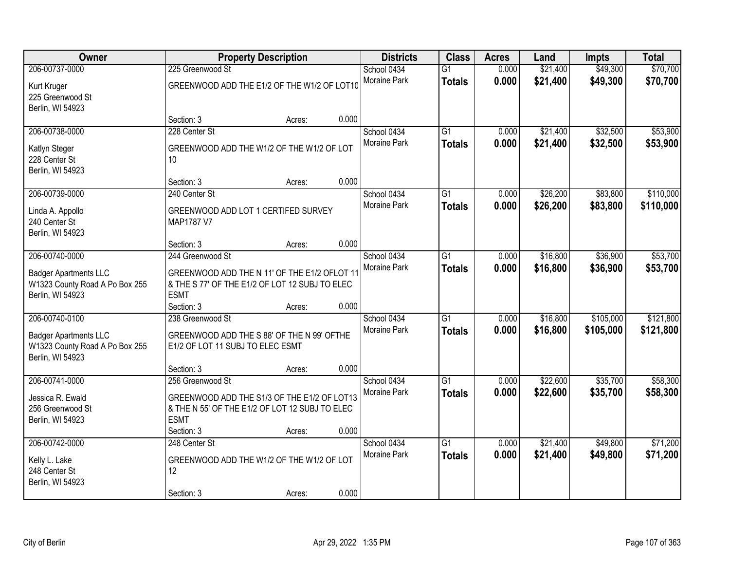| Owner                                                                                                |                                                                                                                                   | <b>Property Description</b> |       | <b>Districts</b>                   | <b>Class</b>                     | <b>Acres</b>   | Land                 | <b>Impts</b>           | <b>Total</b>           |
|------------------------------------------------------------------------------------------------------|-----------------------------------------------------------------------------------------------------------------------------------|-----------------------------|-------|------------------------------------|----------------------------------|----------------|----------------------|------------------------|------------------------|
| 206-00737-0000<br>Kurt Kruger<br>225 Greenwood St                                                    | 225 Greenwood St<br>GREENWOOD ADD THE E1/2 OF THE W1/2 OF LOT10                                                                   |                             |       | School 0434<br>Moraine Park        | $\overline{G1}$<br><b>Totals</b> | 0.000<br>0.000 | \$21,400<br>\$21,400 | \$49,300<br>\$49,300   | \$70,700<br>\$70,700   |
| Berlin, WI 54923                                                                                     | Section: 3                                                                                                                        | Acres:                      | 0.000 |                                    |                                  |                |                      |                        |                        |
| 206-00738-0000<br>Katlyn Steger<br>228 Center St<br>Berlin, WI 54923                                 | 228 Center St<br>GREENWOOD ADD THE W1/2 OF THE W1/2 OF LOT<br>10                                                                  |                             |       | School 0434<br><b>Moraine Park</b> | $\overline{G1}$<br><b>Totals</b> | 0.000<br>0.000 | \$21,400<br>\$21,400 | \$32,500<br>\$32,500   | \$53,900<br>\$53,900   |
| 206-00739-0000                                                                                       | Section: 3<br>240 Center St                                                                                                       | Acres:                      | 0.000 | School 0434                        | $\overline{G1}$                  | 0.000          | \$26,200             | \$83,800               | \$110,000              |
| Linda A. Appollo<br>240 Center St<br>Berlin, WI 54923                                                | GREENWOOD ADD LOT 1 CERTIFED SURVEY<br>MAP1787 V7                                                                                 |                             |       | Moraine Park                       | <b>Totals</b>                    | 0.000          | \$26,200             | \$83,800               | \$110,000              |
|                                                                                                      | Section: 3                                                                                                                        | Acres:                      | 0.000 |                                    |                                  |                |                      |                        |                        |
| 206-00740-0000<br><b>Badger Apartments LLC</b><br>W1323 County Road A Po Box 255<br>Berlin, WI 54923 | 244 Greenwood St<br>GREENWOOD ADD THE N 11' OF THE E1/2 OFLOT 11<br>& THE S 77' OF THE E1/2 OF LOT 12 SUBJ TO ELEC<br><b>ESMT</b> |                             |       | School 0434<br>Moraine Park        | G1<br><b>Totals</b>              | 0.000<br>0.000 | \$16,800<br>\$16,800 | \$36,900<br>\$36,900   | \$53,700<br>\$53,700   |
|                                                                                                      | Section: 3                                                                                                                        | Acres:                      | 0.000 |                                    |                                  |                |                      |                        |                        |
| 206-00740-0100<br><b>Badger Apartments LLC</b><br>W1323 County Road A Po Box 255<br>Berlin, WI 54923 | 238 Greenwood St<br>GREENWOOD ADD THE S 88' OF THE N 99' OFTHE<br>E1/2 OF LOT 11 SUBJ TO ELEC ESMT                                |                             |       | School 0434<br>Moraine Park        | $\overline{G1}$<br><b>Totals</b> | 0.000<br>0.000 | \$16,800<br>\$16,800 | \$105,000<br>\$105,000 | \$121,800<br>\$121,800 |
|                                                                                                      | Section: 3                                                                                                                        | Acres:                      | 0.000 |                                    |                                  |                |                      |                        |                        |
| 206-00741-0000<br>Jessica R. Ewald<br>256 Greenwood St<br>Berlin, WI 54923                           | 256 Greenwood St<br>GREENWOOD ADD THE S1/3 OF THE E1/2 OF LOT13<br>& THE N 55' OF THE E1/2 OF LOT 12 SUBJ TO ELEC<br><b>ESMT</b>  |                             |       | School 0434<br>Moraine Park        | $\overline{G1}$<br><b>Totals</b> | 0.000<br>0.000 | \$22,600<br>\$22,600 | \$35,700<br>\$35,700   | \$58,300<br>\$58,300   |
|                                                                                                      | Section: 3                                                                                                                        | Acres:                      | 0.000 |                                    |                                  |                |                      |                        |                        |
| 206-00742-0000<br>Kelly L. Lake<br>248 Center St<br>Berlin, WI 54923                                 | 248 Center St<br>GREENWOOD ADD THE W1/2 OF THE W1/2 OF LOT<br>12<br>Section: 3                                                    | Acres:                      | 0.000 | School 0434<br>Moraine Park        | $\overline{G1}$<br><b>Totals</b> | 0.000<br>0.000 | \$21,400<br>\$21,400 | \$49,800<br>\$49,800   | \$71,200<br>\$71,200   |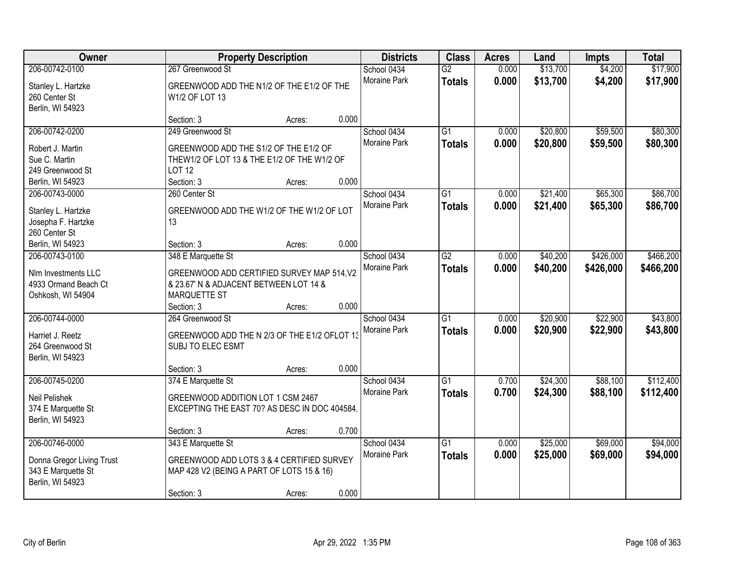| Owner                                                                                 |                                                                                                                            | <b>Property Description</b> |       | <b>Districts</b>                   | <b>Class</b>                     | <b>Acres</b>   | Land                 | <b>Impts</b>           | <b>Total</b>           |
|---------------------------------------------------------------------------------------|----------------------------------------------------------------------------------------------------------------------------|-----------------------------|-------|------------------------------------|----------------------------------|----------------|----------------------|------------------------|------------------------|
| 206-00742-0100<br>Stanley L. Hartzke<br>260 Center St<br>Berlin, WI 54923             | 267 Greenwood St<br>GREENWOOD ADD THE N1/2 OF THE E1/2 OF THE<br>W1/2 OF LOT 13                                            |                             |       | School 0434<br>Moraine Park        | $\overline{G2}$<br><b>Totals</b> | 0.000<br>0.000 | \$13,700<br>\$13,700 | \$4,200<br>\$4,200     | \$17,900<br>\$17,900   |
|                                                                                       | Section: 3                                                                                                                 | Acres:                      | 0.000 |                                    |                                  |                |                      |                        |                        |
| 206-00742-0200<br>Robert J. Martin<br>Sue C. Martin<br>249 Greenwood St               | 249 Greenwood St<br>GREENWOOD ADD THE S1/2 OF THE E1/2 OF<br>THEW1/2 OF LOT 13 & THE E1/2 OF THE W1/2 OF<br><b>LOT 12</b>  |                             |       | School 0434<br><b>Moraine Park</b> | $\overline{G1}$<br><b>Totals</b> | 0.000<br>0.000 | \$20,800<br>\$20,800 | \$59,500<br>\$59,500   | \$80,300<br>\$80,300   |
| Berlin, WI 54923                                                                      | Section: 3                                                                                                                 | Acres:                      | 0.000 |                                    |                                  |                |                      |                        |                        |
| 206-00743-0000<br>Stanley L. Hartzke<br>Josepha F. Hartzke<br>260 Center St           | 260 Center St<br>GREENWOOD ADD THE W1/2 OF THE W1/2 OF LOT<br>13                                                           |                             |       | School 0434<br>Moraine Park        | G1<br><b>Totals</b>              | 0.000<br>0.000 | \$21,400<br>\$21,400 | \$65,300<br>\$65,300   | \$86,700<br>\$86,700   |
| Berlin, WI 54923                                                                      | Section: 3                                                                                                                 | Acres:                      | 0.000 |                                    |                                  |                |                      |                        |                        |
| 206-00743-0100<br>Nlm Investments LLC<br>4933 Ormand Beach Ct<br>Oshkosh, WI 54904    | 348 E Marquette St<br>GREENWOOD ADD CERTIFIED SURVEY MAP 514, V2<br>& 23.67' N & ADJACENT BETWEEN LOT 14 &<br>MARQUETTE ST |                             |       | School 0434<br>Moraine Park        | $\overline{G2}$<br><b>Totals</b> | 0.000<br>0.000 | \$40,200<br>\$40,200 | \$426,000<br>\$426,000 | \$466,200<br>\$466,200 |
|                                                                                       | Section: 3                                                                                                                 | Acres:                      | 0.000 |                                    |                                  |                |                      |                        |                        |
| 206-00744-0000<br>Harriet J. Reetz<br>264 Greenwood St<br>Berlin, WI 54923            | 264 Greenwood St<br>GREENWOOD ADD THE N 2/3 OF THE E1/2 OFLOT 13<br>SUBJ TO ELEC ESMT                                      |                             |       | School 0434<br>Moraine Park        | $\overline{G1}$<br><b>Totals</b> | 0.000<br>0.000 | \$20,900<br>\$20,900 | \$22,900<br>\$22,900   | \$43,800<br>\$43,800   |
|                                                                                       | Section: 3                                                                                                                 | Acres:                      | 0.000 |                                    |                                  |                |                      |                        |                        |
| 206-00745-0200<br>Neil Pelishek<br>374 E Marquette St<br>Berlin, WI 54923             | 374 E Marquette St<br>GREENWOOD ADDITION LOT 1 CSM 2467<br>EXCEPTING THE EAST 70? AS DESC IN DOC 404584.                   |                             |       | School 0434<br><b>Moraine Park</b> | $\overline{G1}$<br><b>Totals</b> | 0.700<br>0.700 | \$24,300<br>\$24,300 | \$88,100<br>\$88,100   | \$112,400<br>\$112,400 |
|                                                                                       | Section: 3                                                                                                                 | Acres:                      | 0.700 |                                    |                                  |                |                      |                        |                        |
| 206-00746-0000<br>Donna Gregor Living Trust<br>343 E Marquette St<br>Berlin, WI 54923 | 343 E Marquette St<br>GREENWOOD ADD LOTS 3 & 4 CERTIFIED SURVEY<br>MAP 428 V2 (BEING A PART OF LOTS 15 & 16)<br>Section: 3 | Acres:                      | 0.000 | School 0434<br>Moraine Park        | $\overline{G1}$<br><b>Totals</b> | 0.000<br>0.000 | \$25,000<br>\$25,000 | \$69,000<br>\$69,000   | \$94,000<br>\$94,000   |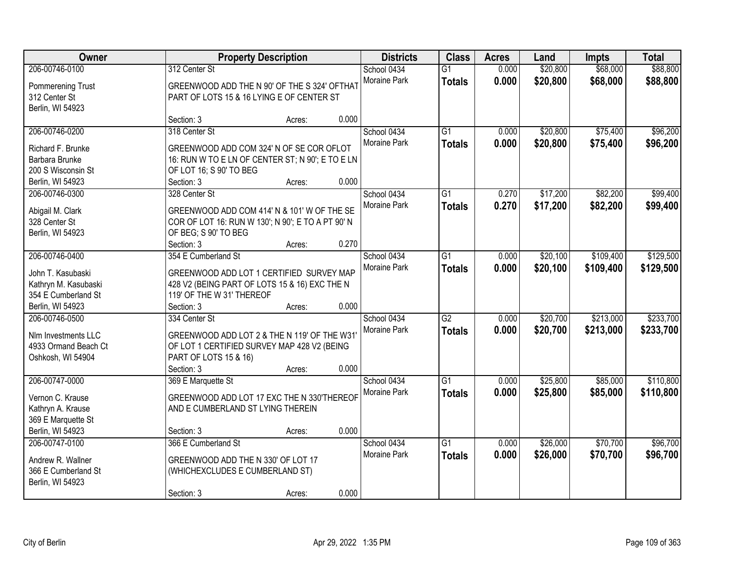| <b>Owner</b>                                                                                           |                                                                                                                                                             | <b>Property Description</b> | <b>Districts</b>                            | <b>Class</b>                     | <b>Acres</b>   | Land                 | <b>Impts</b>           | <b>Total</b>           |
|--------------------------------------------------------------------------------------------------------|-------------------------------------------------------------------------------------------------------------------------------------------------------------|-----------------------------|---------------------------------------------|----------------------------------|----------------|----------------------|------------------------|------------------------|
| 206-00746-0100<br>Pommerening Trust<br>312 Center St<br>Berlin, WI 54923                               | 312 Center St<br>GREENWOOD ADD THE N 90' OF THE S 324' OFTHAT<br>PART OF LOTS 15 & 16 LYING E OF CENTER ST                                                  |                             | School 0434<br>Moraine Park                 | $\overline{G1}$<br><b>Totals</b> | 0.000<br>0.000 | \$20,800<br>\$20,800 | \$68,000<br>\$68,000   | \$88,800<br>\$88,800   |
|                                                                                                        | Section: 3                                                                                                                                                  | Acres:                      | 0.000                                       |                                  |                |                      |                        |                        |
| 206-00746-0200<br>Richard F. Brunke<br>Barbara Brunke<br>200 S Wisconsin St<br>Berlin, WI 54923        | 318 Center St<br>GREENWOOD ADD COM 324' N OF SE COR OFLOT<br>16: RUN W TO E LN OF CENTER ST; N 90'; E TO E LN<br>OF LOT 16; S 90' TO BEG<br>Section: 3      | Acres:                      | School 0434<br>Moraine Park<br>0.000        | $\overline{G1}$<br><b>Totals</b> | 0.000<br>0.000 | \$20,800<br>\$20,800 | \$75,400<br>\$75,400   | \$96,200<br>\$96,200   |
| 206-00746-0300<br>Abigail M. Clark<br>328 Center St<br>Berlin, WI 54923                                | 328 Center St<br>GREENWOOD ADD COM 414' N & 101' W OF THE SE<br>COR OF LOT 16: RUN W 130'; N 90'; E TO A PT 90' N<br>OF BEG; S 90' TO BEG<br>Section: 3     | Acres:                      | School 0434<br>Moraine Park<br>0.270        | G1<br><b>Totals</b>              | 0.270<br>0.270 | \$17,200<br>\$17,200 | \$82,200<br>\$82,200   | \$99,400<br>\$99,400   |
| 206-00746-0400<br>John T. Kasubaski<br>Kathryn M. Kasubaski<br>354 E Cumberland St<br>Berlin, WI 54923 | 354 E Cumberland St<br>GREENWOOD ADD LOT 1 CERTIFIED SURVEY MAP<br>428 V2 (BEING PART OF LOTS 15 & 16) EXC THE N<br>119' OF THE W 31' THEREOF<br>Section: 3 | Acres:                      | School 0434<br>Moraine Park<br>0.000        | G1<br><b>Totals</b>              | 0.000<br>0.000 | \$20,100<br>\$20,100 | \$109,400<br>\$109,400 | \$129,500<br>\$129,500 |
| 206-00746-0500<br>Nlm Investments LLC<br>4933 Ormand Beach Ct<br>Oshkosh, WI 54904                     | 334 Center St<br>GREENWOOD ADD LOT 2 & THE N 119' OF THE W31<br>OF LOT 1 CERTIFIED SURVEY MAP 428 V2 (BEING<br>PART OF LOTS 15 & 16)<br>Section: 3          | Acres:                      | School 0434<br>Moraine Park<br>0.000        | $\overline{G2}$<br><b>Totals</b> | 0.000<br>0.000 | \$20,700<br>\$20,700 | \$213,000<br>\$213,000 | \$233,700<br>\$233,700 |
| 206-00747-0000<br>Vernon C. Krause<br>Kathryn A. Krause<br>369 E Marquette St<br>Berlin, WI 54923      | 369 E Marquette St<br>GREENWOOD ADD LOT 17 EXC THE N 330'THEREOF<br>AND E CUMBERLAND ST LYING THEREIN<br>Section: 3                                         | Acres:                      | School 0434<br>Moraine Park<br>0.000        | $\overline{G1}$<br><b>Totals</b> | 0.000<br>0.000 | \$25,800<br>\$25,800 | \$85,000<br>\$85,000   | \$110,800<br>\$110,800 |
| 206-00747-0100<br>Andrew R. Wallner<br>366 E Cumberland St<br>Berlin, WI 54923                         | 366 E Cumberland St<br>GREENWOOD ADD THE N 330' OF LOT 17<br>(WHICHEXCLUDES E CUMBERLAND ST)<br>Section: 3                                                  | Acres:                      | School 0434<br><b>Moraine Park</b><br>0.000 | $\overline{G1}$<br><b>Totals</b> | 0.000<br>0.000 | \$26,000<br>\$26,000 | \$70,700<br>\$70,700   | \$96,700<br>\$96,700   |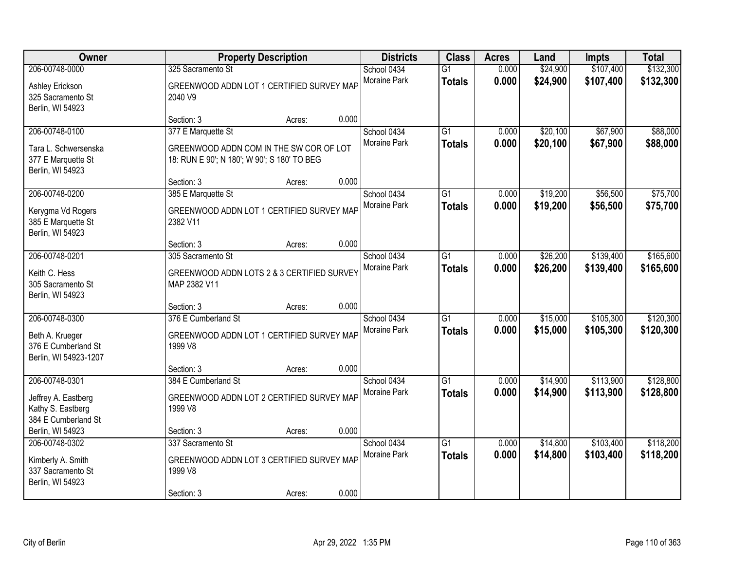| Owner                                                                             |                                                                                                              | <b>Property Description</b> |       | <b>Districts</b>                   | <b>Class</b>                     | <b>Acres</b>   | Land                 | <b>Impts</b>           | <b>Total</b>           |
|-----------------------------------------------------------------------------------|--------------------------------------------------------------------------------------------------------------|-----------------------------|-------|------------------------------------|----------------------------------|----------------|----------------------|------------------------|------------------------|
| 206-00748-0000<br>Ashley Erickson<br>325 Sacramento St<br>Berlin, WI 54923        | 325 Sacramento St<br>GREENWOOD ADDN LOT 1 CERTIFIED SURVEY MAP<br>2040 V9                                    |                             |       | School 0434<br>Moraine Park        | $\overline{G1}$<br><b>Totals</b> | 0.000<br>0.000 | \$24,900<br>\$24,900 | \$107,400<br>\$107,400 | \$132,300<br>\$132,300 |
|                                                                                   | Section: 3                                                                                                   | Acres:                      | 0.000 |                                    |                                  |                |                      |                        |                        |
| 206-00748-0100<br>Tara L. Schwersenska<br>377 E Marquette St<br>Berlin, WI 54923  | 377 E Marquette St<br>GREENWOOD ADDN COM IN THE SW COR OF LOT<br>18: RUN E 90'; N 180'; W 90'; S 180' TO BEG |                             |       | School 0434<br>Moraine Park        | $\overline{G1}$<br><b>Totals</b> | 0.000<br>0.000 | \$20,100<br>\$20,100 | \$67,900<br>\$67,900   | \$88,000<br>\$88,000   |
|                                                                                   | Section: 3                                                                                                   | Acres:                      | 0.000 |                                    |                                  |                |                      |                        |                        |
| 206-00748-0200<br>Kerygma Vd Rogers<br>385 E Marquette St<br>Berlin, WI 54923     | 385 E Marquette St<br>GREENWOOD ADDN LOT 1 CERTIFIED SURVEY MAP<br>2382 V11                                  |                             |       | School 0434<br>Moraine Park        | $\overline{G1}$<br><b>Totals</b> | 0.000<br>0.000 | \$19,200<br>\$19,200 | \$56,500<br>\$56,500   | \$75,700<br>\$75,700   |
|                                                                                   | Section: 3                                                                                                   | Acres:                      | 0.000 |                                    |                                  |                |                      |                        |                        |
| 206-00748-0201<br>Keith C. Hess<br>305 Sacramento St<br>Berlin, WI 54923          | 305 Sacramento St<br>GREENWOOD ADDN LOTS 2 & 3 CERTIFIED SURVEY<br>MAP 2382 V11                              |                             |       | School 0434<br><b>Moraine Park</b> | $\overline{G1}$<br><b>Totals</b> | 0.000<br>0.000 | \$26,200<br>\$26,200 | \$139,400<br>\$139,400 | \$165,600<br>\$165,600 |
|                                                                                   | Section: 3                                                                                                   | Acres:                      | 0.000 |                                    |                                  |                |                      |                        |                        |
| 206-00748-0300<br>Beth A. Krueger<br>376 E Cumberland St<br>Berlin, WI 54923-1207 | 376 E Cumberland St<br>GREENWOOD ADDN LOT 1 CERTIFIED SURVEY MAP<br>1999 V8                                  |                             |       | School 0434<br>Moraine Park        | $\overline{G1}$<br><b>Totals</b> | 0.000<br>0.000 | \$15,000<br>\$15,000 | \$105,300<br>\$105,300 | \$120,300<br>\$120,300 |
|                                                                                   | Section: 3                                                                                                   | Acres:                      | 0.000 |                                    |                                  |                |                      |                        |                        |
| 206-00748-0301<br>Jeffrey A. Eastberg<br>Kathy S. Eastberg<br>384 E Cumberland St | 384 E Cumberland St<br>GREENWOOD ADDN LOT 2 CERTIFIED SURVEY MAP<br>1999 V8                                  |                             |       | School 0434<br>Moraine Park        | $\overline{G1}$<br><b>Totals</b> | 0.000<br>0.000 | \$14,900<br>\$14,900 | \$113,900<br>\$113,900 | \$128,800<br>\$128,800 |
| Berlin, WI 54923                                                                  | Section: 3                                                                                                   | Acres:                      | 0.000 |                                    |                                  |                |                      |                        |                        |
| 206-00748-0302<br>Kimberly A. Smith<br>337 Sacramento St<br>Berlin, WI 54923      | 337 Sacramento St<br>GREENWOOD ADDN LOT 3 CERTIFIED SURVEY MAP<br>1999 V8<br>Section: 3                      | Acres:                      | 0.000 | School 0434<br>Moraine Park        | $\overline{G1}$<br><b>Totals</b> | 0.000<br>0.000 | \$14,800<br>\$14,800 | \$103,400<br>\$103,400 | \$118,200<br>\$118,200 |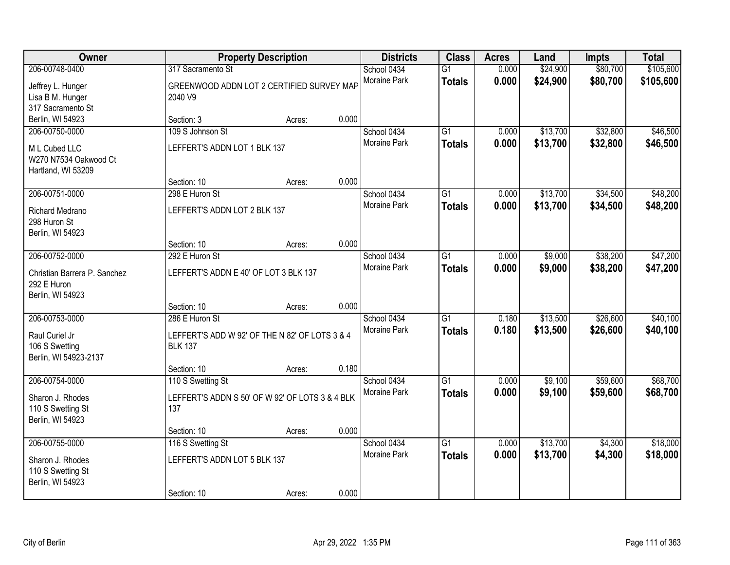| Owner                                                                             |                                                                                                   | <b>Property Description</b> |       | <b>Districts</b>                   | <b>Class</b>                     | <b>Acres</b>   | Land                 | <b>Impts</b>         | <b>Total</b>           |
|-----------------------------------------------------------------------------------|---------------------------------------------------------------------------------------------------|-----------------------------|-------|------------------------------------|----------------------------------|----------------|----------------------|----------------------|------------------------|
| 206-00748-0400<br>Jeffrey L. Hunger<br>Lisa B M. Hunger<br>317 Sacramento St      | 317 Sacramento St<br>GREENWOOD ADDN LOT 2 CERTIFIED SURVEY MAP<br>2040 V9                         |                             |       | School 0434<br>Moraine Park        | $\overline{G1}$<br><b>Totals</b> | 0.000<br>0.000 | \$24,900<br>\$24,900 | \$80,700<br>\$80,700 | \$105,600<br>\$105,600 |
| Berlin, WI 54923                                                                  | Section: 3                                                                                        | Acres:                      | 0.000 |                                    |                                  |                |                      |                      |                        |
| 206-00750-0000<br>M L Cubed LLC<br>W270 N7534 Oakwood Ct<br>Hartland, WI 53209    | 109 S Johnson St<br>LEFFERT'S ADDN LOT 1 BLK 137                                                  |                             |       | School 0434<br><b>Moraine Park</b> | $\overline{G1}$<br><b>Totals</b> | 0.000<br>0.000 | \$13,700<br>\$13,700 | \$32,800<br>\$32,800 | \$46,500<br>\$46,500   |
| 206-00751-0000                                                                    | Section: 10                                                                                       | Acres:                      | 0.000 |                                    |                                  |                |                      |                      |                        |
| Richard Medrano<br>298 Huron St<br>Berlin, WI 54923                               | 298 E Huron St<br>LEFFERT'S ADDN LOT 2 BLK 137                                                    |                             |       | School 0434<br>Moraine Park        | $\overline{G1}$<br><b>Totals</b> | 0.000<br>0.000 | \$13,700<br>\$13,700 | \$34,500<br>\$34,500 | \$48,200<br>\$48,200   |
|                                                                                   | Section: 10                                                                                       | Acres:                      | 0.000 |                                    |                                  |                |                      |                      |                        |
| 206-00752-0000<br>Christian Barrera P. Sanchez<br>292 E Huron<br>Berlin, WI 54923 | 292 E Huron St<br>LEFFERT'S ADDN E 40' OF LOT 3 BLK 137                                           |                             |       | School 0434<br>Moraine Park        | G1<br><b>Totals</b>              | 0.000<br>0.000 | \$9,000<br>\$9,000   | \$38,200<br>\$38,200 | \$47,200<br>\$47,200   |
|                                                                                   | Section: 10                                                                                       | Acres:                      | 0.000 |                                    |                                  |                |                      |                      |                        |
| 206-00753-0000<br>Raul Curiel Jr<br>106 S Swetting<br>Berlin, WI 54923-2137       | 286 E Huron St<br>LEFFERT'S ADD W 92' OF THE N 82' OF LOTS 3 & 4<br><b>BLK 137</b><br>Section: 10 | Acres:                      | 0.180 | School 0434<br>Moraine Park        | $\overline{G1}$<br><b>Totals</b> | 0.180<br>0.180 | \$13,500<br>\$13,500 | \$26,600<br>\$26,600 | \$40,100<br>\$40,100   |
| 206-00754-0000                                                                    | 110 S Swetting St                                                                                 |                             |       | School 0434                        | $\overline{G1}$                  | 0.000          | \$9,100              | \$59,600             | \$68,700               |
| Sharon J. Rhodes<br>110 S Swetting St<br>Berlin, WI 54923                         | LEFFERT'S ADDN S 50' OF W 92' OF LOTS 3 & 4 BLK<br>137                                            |                             |       | Moraine Park                       | <b>Totals</b>                    | 0.000          | \$9,100              | \$59,600             | \$68,700               |
|                                                                                   | Section: 10                                                                                       | Acres:                      | 0.000 |                                    |                                  |                |                      |                      |                        |
| 206-00755-0000<br>Sharon J. Rhodes<br>110 S Swetting St<br>Berlin, WI 54923       | 116 S Swetting St<br>LEFFERT'S ADDN LOT 5 BLK 137<br>Section: 10                                  | Acres:                      | 0.000 | School 0434<br><b>Moraine Park</b> | $\overline{G1}$<br><b>Totals</b> | 0.000<br>0.000 | \$13,700<br>\$13,700 | \$4,300<br>\$4,300   | \$18,000<br>\$18,000   |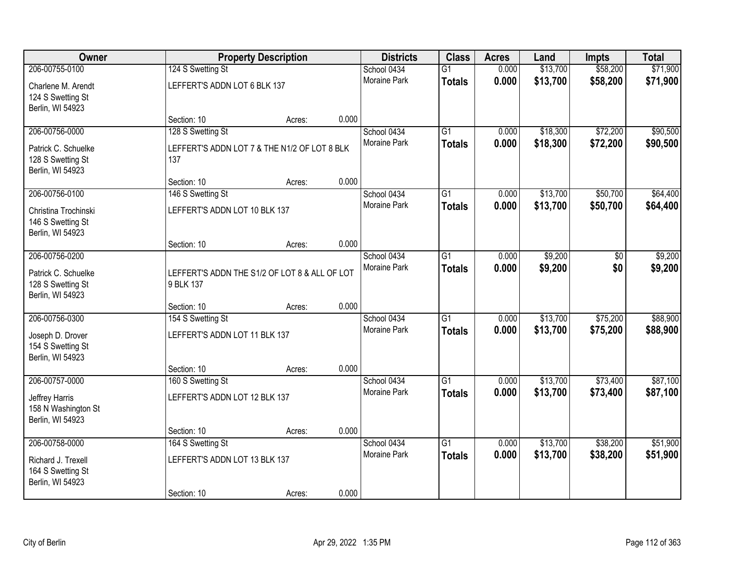|                                                       |                                               |       | <b>Districts</b>            | <b>Class</b>    | <b>Acres</b> | Land     | <b>Impts</b> | <b>Total</b> |
|-------------------------------------------------------|-----------------------------------------------|-------|-----------------------------|-----------------|--------------|----------|--------------|--------------|
| 206-00755-0100<br>124 S Swetting St                   |                                               |       | School 0434                 | $\overline{G1}$ | 0.000        | \$13,700 | \$58,200     | \$71,900     |
| Charlene M. Arendt                                    | LEFFERT'S ADDN LOT 6 BLK 137                  |       | <b>Moraine Park</b>         | <b>Totals</b>   | 0.000        | \$13,700 | \$58,200     | \$71,900     |
| 124 S Swetting St                                     |                                               |       |                             |                 |              |          |              |              |
| Berlin, WI 54923                                      |                                               |       |                             |                 |              |          |              |              |
| Section: 10                                           | Acres:                                        | 0.000 |                             |                 |              |          |              |              |
| 206-00756-0000<br>128 S Swetting St                   |                                               |       | School 0434<br>Moraine Park | $\overline{G1}$ | 0.000        | \$18,300 | \$72,200     | \$90,500     |
| Patrick C. Schuelke                                   | LEFFERT'S ADDN LOT 7 & THE N1/2 OF LOT 8 BLK  |       |                             | <b>Totals</b>   | 0.000        | \$18,300 | \$72,200     | \$90,500     |
| 128 S Swetting St<br>137                              |                                               |       |                             |                 |              |          |              |              |
| Berlin, WI 54923<br>Section: 10                       |                                               | 0.000 |                             |                 |              |          |              |              |
| 206-00756-0100<br>146 S Swetting St                   | Acres:                                        |       | School 0434                 | G1              | 0.000        | \$13,700 | \$50,700     | \$64,400     |
|                                                       |                                               |       | Moraine Park                | <b>Totals</b>   | 0.000        | \$13,700 | \$50,700     | \$64,400     |
| Christina Trochinski                                  | LEFFERT'S ADDN LOT 10 BLK 137                 |       |                             |                 |              |          |              |              |
| 146 S Swetting St<br>Berlin, WI 54923                 |                                               |       |                             |                 |              |          |              |              |
| Section: 10                                           | Acres:                                        | 0.000 |                             |                 |              |          |              |              |
| 206-00756-0200                                        |                                               |       | School 0434                 | G1              | 0.000        | \$9,200  | \$0          | \$9,200      |
|                                                       |                                               |       | Moraine Park                | <b>Totals</b>   | 0.000        | \$9,200  | \$0          | \$9,200      |
| Patrick C. Schuelke<br>128 S Swetting St<br>9 BLK 137 | LEFFERT'S ADDN THE S1/2 OF LOT 8 & ALL OF LOT |       |                             |                 |              |          |              |              |
| Berlin, WI 54923                                      |                                               |       |                             |                 |              |          |              |              |
| Section: 10                                           | Acres:                                        | 0.000 |                             |                 |              |          |              |              |
| 206-00756-0300<br>154 S Swetting St                   |                                               |       | School 0434                 | $\overline{G1}$ | 0.000        | \$13,700 | \$75,200     | \$88,900     |
| Joseph D. Drover                                      | LEFFERT'S ADDN LOT 11 BLK 137                 |       | Moraine Park                | <b>Totals</b>   | 0.000        | \$13,700 | \$75,200     | \$88,900     |
| 154 S Swetting St                                     |                                               |       |                             |                 |              |          |              |              |
| Berlin, WI 54923                                      |                                               |       |                             |                 |              |          |              |              |
| Section: 10                                           | Acres:                                        | 0.000 |                             |                 |              |          |              |              |
| 206-00757-0000<br>160 S Swetting St                   |                                               |       | School 0434                 | $\overline{G1}$ | 0.000        | \$13,700 | \$73,400     | \$87,100     |
| Jeffrey Harris                                        | LEFFERT'S ADDN LOT 12 BLK 137                 |       | Moraine Park                | <b>Totals</b>   | 0.000        | \$13,700 | \$73,400     | \$87,100     |
| 158 N Washington St                                   |                                               |       |                             |                 |              |          |              |              |
| Berlin, WI 54923                                      |                                               |       |                             |                 |              |          |              |              |
| Section: 10<br>206-00758-0000<br>164 S Swetting St    | Acres:                                        | 0.000 | School 0434                 | $\overline{G1}$ | 0.000        | \$13,700 | \$38,200     | \$51,900     |
|                                                       |                                               |       | <b>Moraine Park</b>         | <b>Totals</b>   | 0.000        | \$13,700 | \$38,200     | \$51,900     |
| Richard J. Trexell                                    | LEFFERT'S ADDN LOT 13 BLK 137                 |       |                             |                 |              |          |              |              |
| 164 S Swetting St<br>Berlin, WI 54923                 |                                               |       |                             |                 |              |          |              |              |
| Section: 10                                           | Acres:                                        | 0.000 |                             |                 |              |          |              |              |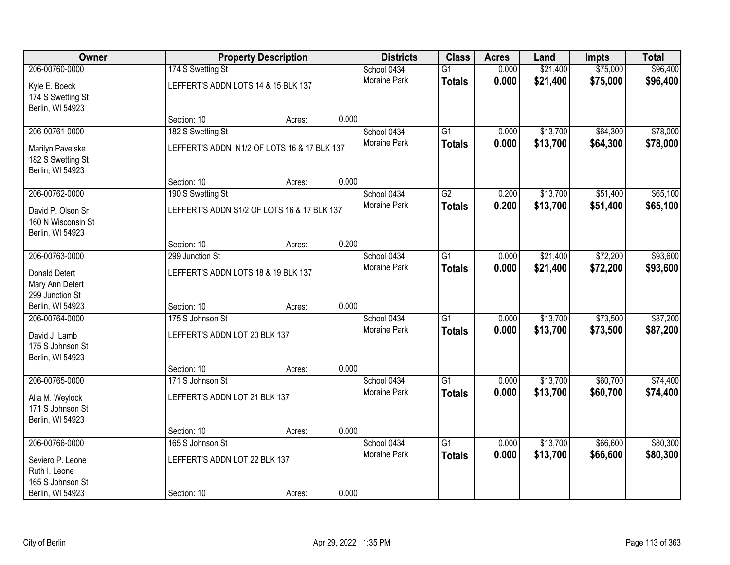| Owner              |                                             | <b>Property Description</b> |       | <b>Districts</b>    | <b>Class</b>    | <b>Acres</b> | Land     | <b>Impts</b> | <b>Total</b> |
|--------------------|---------------------------------------------|-----------------------------|-------|---------------------|-----------------|--------------|----------|--------------|--------------|
| 206-00760-0000     | 174 S Swetting St                           |                             |       | School 0434         | $\overline{G1}$ | 0.000        | \$21,400 | \$75,000     | \$96,400     |
| Kyle E. Boeck      | LEFFERT'S ADDN LOTS 14 & 15 BLK 137         |                             |       | Moraine Park        | <b>Totals</b>   | 0.000        | \$21,400 | \$75,000     | \$96,400     |
| 174 S Swetting St  |                                             |                             |       |                     |                 |              |          |              |              |
| Berlin, WI 54923   |                                             |                             |       |                     |                 |              |          |              |              |
|                    | Section: 10                                 | Acres:                      | 0.000 |                     |                 |              |          |              |              |
| 206-00761-0000     | 182 S Swetting St                           |                             |       | School 0434         | $\overline{G1}$ | 0.000        | \$13,700 | \$64,300     | \$78,000     |
| Marilyn Pavelske   | LEFFERT'S ADDN N1/2 OF LOTS 16 & 17 BLK 137 |                             |       | <b>Moraine Park</b> | <b>Totals</b>   | 0.000        | \$13,700 | \$64,300     | \$78,000     |
| 182 S Swetting St  |                                             |                             |       |                     |                 |              |          |              |              |
| Berlin, WI 54923   |                                             |                             |       |                     |                 |              |          |              |              |
|                    | Section: 10                                 | Acres:                      | 0.000 |                     |                 |              |          |              |              |
| 206-00762-0000     | 190 S Swetting St                           |                             |       | School 0434         | $\overline{G2}$ | 0.200        | \$13,700 | \$51,400     | \$65,100     |
| David P. Olson Sr  | LEFFERT'S ADDN S1/2 OF LOTS 16 & 17 BLK 137 |                             |       | Moraine Park        | <b>Totals</b>   | 0.200        | \$13,700 | \$51,400     | \$65,100     |
| 160 N Wisconsin St |                                             |                             |       |                     |                 |              |          |              |              |
| Berlin, WI 54923   |                                             |                             |       |                     |                 |              |          |              |              |
|                    | Section: 10                                 | Acres:                      | 0.200 |                     |                 |              |          |              |              |
| 206-00763-0000     | 299 Junction St                             |                             |       | School 0434         | $\overline{G1}$ | 0.000        | \$21,400 | \$72,200     | \$93,600     |
| Donald Detert      | LEFFERT'S ADDN LOTS 18 & 19 BLK 137         |                             |       | <b>Moraine Park</b> | <b>Totals</b>   | 0.000        | \$21,400 | \$72,200     | \$93,600     |
| Mary Ann Detert    |                                             |                             |       |                     |                 |              |          |              |              |
| 299 Junction St    |                                             |                             |       |                     |                 |              |          |              |              |
| Berlin, WI 54923   | Section: 10                                 | Acres:                      | 0.000 |                     |                 |              |          |              |              |
| 206-00764-0000     | 175 S Johnson St                            |                             |       | School 0434         | $\overline{G1}$ | 0.000        | \$13,700 | \$73,500     | \$87,200     |
| David J. Lamb      | LEFFERT'S ADDN LOT 20 BLK 137               |                             |       | Moraine Park        | <b>Totals</b>   | 0.000        | \$13,700 | \$73,500     | \$87,200     |
| 175 S Johnson St   |                                             |                             |       |                     |                 |              |          |              |              |
| Berlin, WI 54923   |                                             |                             |       |                     |                 |              |          |              |              |
|                    | Section: 10                                 | Acres:                      | 0.000 |                     |                 |              |          |              |              |
| 206-00765-0000     | 171 S Johnson St                            |                             |       | School 0434         | $\overline{G1}$ | 0.000        | \$13,700 | \$60,700     | \$74,400     |
| Alia M. Weylock    | LEFFERT'S ADDN LOT 21 BLK 137               |                             |       | Moraine Park        | <b>Totals</b>   | 0.000        | \$13,700 | \$60,700     | \$74,400     |
| 171 S Johnson St   |                                             |                             |       |                     |                 |              |          |              |              |
| Berlin, WI 54923   |                                             |                             |       |                     |                 |              |          |              |              |
|                    | Section: 10                                 | Acres:                      | 0.000 |                     |                 |              |          |              |              |
| 206-00766-0000     | 165 S Johnson St                            |                             |       | School 0434         | $\overline{G1}$ | 0.000        | \$13,700 | \$66,600     | \$80,300     |
| Seviero P. Leone   | LEFFERT'S ADDN LOT 22 BLK 137               |                             |       | <b>Moraine Park</b> | <b>Totals</b>   | 0.000        | \$13,700 | \$66,600     | \$80,300     |
| Ruth I. Leone      |                                             |                             |       |                     |                 |              |          |              |              |
| 165 S Johnson St   |                                             |                             |       |                     |                 |              |          |              |              |
| Berlin, WI 54923   | Section: 10                                 | Acres:                      | 0.000 |                     |                 |              |          |              |              |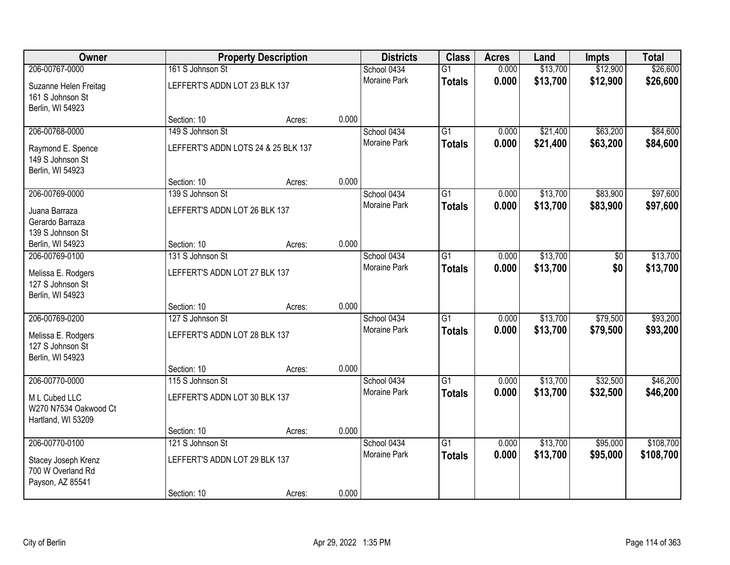| Owner                                                         |                                     | <b>Property Description</b> |       | <b>Districts</b>    | <b>Class</b>    | <b>Acres</b> | Land     | <b>Impts</b> | <b>Total</b> |
|---------------------------------------------------------------|-------------------------------------|-----------------------------|-------|---------------------|-----------------|--------------|----------|--------------|--------------|
| 206-00767-0000                                                | 161 S Johnson St                    |                             |       | School 0434         | $\overline{G1}$ | 0.000        | \$13,700 | \$12,900     | \$26,600     |
| Suzanne Helen Freitag<br>161 S Johnson St<br>Berlin, WI 54923 | LEFFERT'S ADDN LOT 23 BLK 137       |                             |       | Moraine Park        | <b>Totals</b>   | 0.000        | \$13,700 | \$12,900     | \$26,600     |
|                                                               | Section: 10                         | Acres:                      | 0.000 |                     |                 |              |          |              |              |
| 206-00768-0000                                                | 149 S Johnson St                    |                             |       | School 0434         | $\overline{G1}$ | 0.000        | \$21,400 | \$63,200     | \$84,600     |
| Raymond E. Spence<br>149 S Johnson St<br>Berlin, WI 54923     | LEFFERT'S ADDN LOTS 24 & 25 BLK 137 |                             |       | Moraine Park        | <b>Totals</b>   | 0.000        | \$21,400 | \$63,200     | \$84,600     |
|                                                               | Section: 10                         | Acres:                      | 0.000 |                     |                 |              |          |              |              |
| 206-00769-0000                                                | 139 S Johnson St                    |                             |       | School 0434         | $\overline{G1}$ | 0.000        | \$13,700 | \$83,900     | \$97,600     |
| Juana Barraza<br>Gerardo Barraza<br>139 S Johnson St          | LEFFERT'S ADDN LOT 26 BLK 137       |                             |       | Moraine Park        | <b>Totals</b>   | 0.000        | \$13,700 | \$83,900     | \$97,600     |
| Berlin, WI 54923                                              | Section: 10                         | Acres:                      | 0.000 |                     |                 |              |          |              |              |
| 206-00769-0100                                                | 131 S Johnson St                    |                             |       | School 0434         | G1              | 0.000        | \$13,700 | \$0          | \$13,700     |
| Melissa E. Rodgers<br>127 S Johnson St<br>Berlin, WI 54923    | LEFFERT'S ADDN LOT 27 BLK 137       |                             |       | Moraine Park        | <b>Totals</b>   | 0.000        | \$13,700 | \$0          | \$13,700     |
|                                                               | Section: 10                         | Acres:                      | 0.000 |                     |                 |              |          |              |              |
| 206-00769-0200                                                | 127 S Johnson St                    |                             |       | School 0434         | $\overline{G1}$ | 0.000        | \$13,700 | \$79,500     | \$93,200     |
| Melissa E. Rodgers<br>127 S Johnson St<br>Berlin, WI 54923    | LEFFERT'S ADDN LOT 28 BLK 137       |                             |       | Moraine Park        | <b>Totals</b>   | 0.000        | \$13,700 | \$79,500     | \$93,200     |
|                                                               | Section: 10                         | Acres:                      | 0.000 |                     |                 |              |          |              |              |
| 206-00770-0000                                                | 115 S Johnson St                    |                             |       | School 0434         | $\overline{G1}$ | 0.000        | \$13,700 | \$32,500     | \$46,200     |
| M L Cubed LLC<br>W270 N7534 Oakwood Ct<br>Hartland, WI 53209  | LEFFERT'S ADDN LOT 30 BLK 137       |                             |       | Moraine Park        | <b>Totals</b>   | 0.000        | \$13,700 | \$32,500     | \$46,200     |
|                                                               | Section: 10                         | Acres:                      | 0.000 |                     |                 |              |          |              |              |
| 206-00770-0100                                                | 121 S Johnson St                    |                             |       | School 0434         | $\overline{G1}$ | 0.000        | \$13,700 | \$95,000     | \$108,700    |
| Stacey Joseph Krenz<br>700 W Overland Rd<br>Payson, AZ 85541  | LEFFERT'S ADDN LOT 29 BLK 137       |                             |       | <b>Moraine Park</b> | <b>Totals</b>   | 0.000        | \$13,700 | \$95,000     | \$108,700    |
|                                                               | Section: 10                         | Acres:                      | 0.000 |                     |                 |              |          |              |              |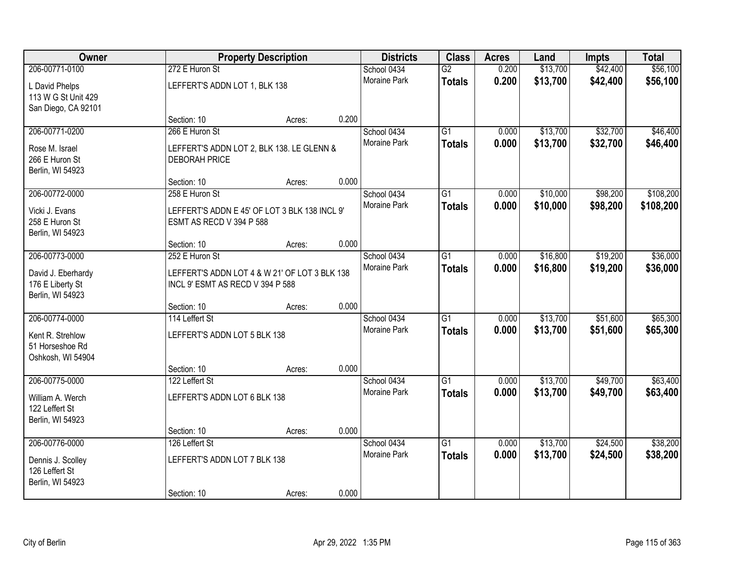| Owner               |                                               | <b>Property Description</b> |       | <b>Districts</b>    | <b>Class</b>    | <b>Acres</b> | Land     | <b>Impts</b> | <b>Total</b> |
|---------------------|-----------------------------------------------|-----------------------------|-------|---------------------|-----------------|--------------|----------|--------------|--------------|
| 206-00771-0100      | 272 E Huron St                                |                             |       | School 0434         | $\overline{G2}$ | 0.200        | \$13,700 | \$42,400     | \$56,100     |
| L David Phelps      | LEFFERT'S ADDN LOT 1, BLK 138                 |                             |       | Moraine Park        | <b>Totals</b>   | 0.200        | \$13,700 | \$42,400     | \$56,100     |
| 113 W G St Unit 429 |                                               |                             |       |                     |                 |              |          |              |              |
| San Diego, CA 92101 |                                               |                             |       |                     |                 |              |          |              |              |
|                     | Section: 10                                   | Acres:                      | 0.200 |                     |                 |              |          |              |              |
| 206-00771-0200      | 266 E Huron St                                |                             |       | School 0434         | $\overline{G1}$ | 0.000        | \$13,700 | \$32,700     | \$46,400     |
| Rose M. Israel      | LEFFERT'S ADDN LOT 2, BLK 138. LE GLENN &     |                             |       | Moraine Park        | <b>Totals</b>   | 0.000        | \$13,700 | \$32,700     | \$46,400     |
| 266 E Huron St      | <b>DEBORAH PRICE</b>                          |                             |       |                     |                 |              |          |              |              |
| Berlin, WI 54923    |                                               |                             |       |                     |                 |              |          |              |              |
|                     | Section: 10                                   | Acres:                      | 0.000 |                     |                 |              |          |              |              |
| 206-00772-0000      | 258 E Huron St                                |                             |       | School 0434         | $\overline{G1}$ | 0.000        | \$10,000 | \$98,200     | \$108,200    |
| Vicki J. Evans      | LEFFERT'S ADDN E 45' OF LOT 3 BLK 138 INCL 9' |                             |       | Moraine Park        | <b>Totals</b>   | 0.000        | \$10,000 | \$98,200     | \$108,200    |
| 258 E Huron St      | ESMT AS RECD V 394 P 588                      |                             |       |                     |                 |              |          |              |              |
| Berlin, WI 54923    |                                               |                             |       |                     |                 |              |          |              |              |
|                     | Section: 10                                   | Acres:                      | 0.000 |                     |                 |              |          |              |              |
| 206-00773-0000      | 252 E Huron St                                |                             |       | School 0434         | G1              | 0.000        | \$16,800 | \$19,200     | \$36,000     |
| David J. Eberhardy  | LEFFERT'S ADDN LOT 4 & W 21' OF LOT 3 BLK 138 |                             |       | Moraine Park        | <b>Totals</b>   | 0.000        | \$16,800 | \$19,200     | \$36,000     |
| 176 E Liberty St    | INCL 9' ESMT AS RECD V 394 P 588              |                             |       |                     |                 |              |          |              |              |
| Berlin, WI 54923    |                                               |                             |       |                     |                 |              |          |              |              |
|                     | Section: 10                                   | Acres:                      | 0.000 |                     |                 |              |          |              |              |
| 206-00774-0000      | 114 Leffert St                                |                             |       | School 0434         | $\overline{G1}$ | 0.000        | \$13,700 | \$51,600     | \$65,300     |
| Kent R. Strehlow    | LEFFERT'S ADDN LOT 5 BLK 138                  |                             |       | Moraine Park        | <b>Totals</b>   | 0.000        | \$13,700 | \$51,600     | \$65,300     |
| 51 Horseshoe Rd     |                                               |                             |       |                     |                 |              |          |              |              |
| Oshkosh, WI 54904   |                                               |                             |       |                     |                 |              |          |              |              |
|                     | Section: 10                                   | Acres:                      | 0.000 |                     |                 |              |          |              |              |
| 206-00775-0000      | 122 Leffert St                                |                             |       | School 0434         | $\overline{G1}$ | 0.000        | \$13,700 | \$49,700     | \$63,400     |
| William A. Werch    | LEFFERT'S ADDN LOT 6 BLK 138                  |                             |       | Moraine Park        | <b>Totals</b>   | 0.000        | \$13,700 | \$49,700     | \$63,400     |
| 122 Leffert St      |                                               |                             |       |                     |                 |              |          |              |              |
| Berlin, WI 54923    |                                               |                             |       |                     |                 |              |          |              |              |
|                     | Section: 10                                   | Acres:                      | 0.000 |                     |                 |              |          |              |              |
| 206-00776-0000      | 126 Leffert St                                |                             |       | School 0434         | $\overline{G1}$ | 0.000        | \$13,700 | \$24,500     | \$38,200     |
| Dennis J. Scolley   | LEFFERT'S ADDN LOT 7 BLK 138                  |                             |       | <b>Moraine Park</b> | <b>Totals</b>   | 0.000        | \$13,700 | \$24,500     | \$38,200     |
| 126 Leffert St      |                                               |                             |       |                     |                 |              |          |              |              |
| Berlin, WI 54923    |                                               |                             |       |                     |                 |              |          |              |              |
|                     | Section: 10                                   | Acres:                      | 0.000 |                     |                 |              |          |              |              |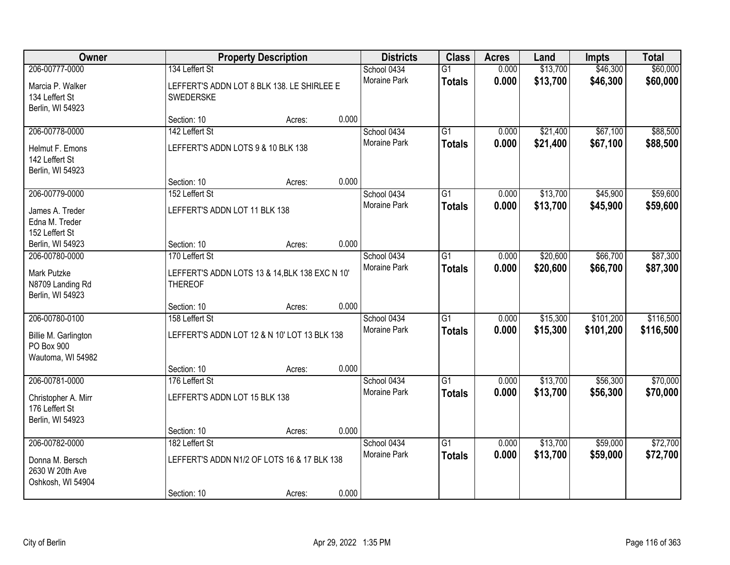| Owner                                                     |                                    | <b>Property Description</b>                    |       | <b>Districts</b>            | <b>Class</b>                     | <b>Acres</b>   | Land                 | Impts                  | <b>Total</b>           |
|-----------------------------------------------------------|------------------------------------|------------------------------------------------|-------|-----------------------------|----------------------------------|----------------|----------------------|------------------------|------------------------|
| 206-00777-0000                                            | 134 Leffert St                     |                                                |       | School 0434                 | $\overline{G1}$                  | 0.000          | \$13,700             | \$46,300               | \$60,000               |
| Marcia P. Walker<br>134 Leffert St<br>Berlin, WI 54923    | <b>SWEDERSKE</b>                   | LEFFERT'S ADDN LOT 8 BLK 138. LE SHIRLEE E     |       | <b>Moraine Park</b>         | <b>Totals</b>                    | 0.000          | \$13,700             | \$46,300               | \$60,000               |
|                                                           | Section: 10                        | Acres:                                         | 0.000 |                             |                                  |                |                      |                        |                        |
| 206-00778-0000                                            | 142 Leffert St                     |                                                |       | School 0434                 | $\overline{G1}$                  | 0.000          | \$21,400             | \$67,100               | \$88,500               |
| Helmut F. Emons<br>142 Leffert St<br>Berlin, WI 54923     | LEFFERT'S ADDN LOTS 9 & 10 BLK 138 |                                                |       | Moraine Park                | <b>Totals</b>                    | 0.000          | \$21,400             | \$67,100               | \$88,500               |
|                                                           | Section: 10                        | Acres:                                         | 0.000 |                             |                                  |                |                      |                        |                        |
| 206-00779-0000                                            | 152 Leffert St                     |                                                |       | School 0434                 | $\overline{G1}$                  | 0.000          | \$13,700             | \$45,900               | \$59,600               |
| James A. Treder<br>Edna M. Treder<br>152 Leffert St       | LEFFERT'S ADDN LOT 11 BLK 138      |                                                |       | Moraine Park                | <b>Totals</b>                    | 0.000          | \$13,700             | \$45,900               | \$59,600               |
| Berlin, WI 54923                                          | Section: 10                        | Acres:                                         | 0.000 |                             |                                  |                |                      |                        |                        |
| 206-00780-0000                                            | 170 Leffert St                     |                                                |       | School 0434                 | $\overline{G1}$                  | 0.000          | \$20,600             | \$66,700               | \$87,300               |
| Mark Putzke<br>N8709 Landing Rd<br>Berlin, WI 54923       | <b>THEREOF</b>                     | LEFFERT'S ADDN LOTS 13 & 14, BLK 138 EXC N 10' |       | Moraine Park                | <b>Totals</b>                    | 0.000          | \$20,600             | \$66,700               | \$87,300               |
|                                                           | Section: 10                        | Acres:                                         | 0.000 |                             |                                  |                |                      |                        |                        |
| 206-00780-0100<br>Billie M. Garlington<br>PO Box 900      | 158 Leffert St                     | LEFFERT'S ADDN LOT 12 & N 10' LOT 13 BLK 138   |       | School 0434<br>Moraine Park | $\overline{G1}$<br><b>Totals</b> | 0.000<br>0.000 | \$15,300<br>\$15,300 | \$101,200<br>\$101,200 | \$116,500<br>\$116,500 |
| Wautoma, WI 54982                                         |                                    |                                                |       |                             |                                  |                |                      |                        |                        |
|                                                           | Section: 10                        | Acres:                                         | 0.000 |                             |                                  |                |                      |                        |                        |
| 206-00781-0000                                            | 176 Leffert St                     |                                                |       | School 0434                 | $\overline{G1}$                  | 0.000          | \$13,700             | \$56,300               | \$70,000               |
| Christopher A. Mirr<br>176 Leffert St<br>Berlin, WI 54923 | LEFFERT'S ADDN LOT 15 BLK 138      |                                                |       | Moraine Park                | <b>Totals</b>                    | 0.000          | \$13,700             | \$56,300               | \$70,000               |
|                                                           | Section: 10                        | Acres:                                         | 0.000 |                             |                                  |                |                      |                        |                        |
| 206-00782-0000                                            | 182 Leffert St                     |                                                |       | School 0434                 | $\overline{G1}$                  | 0.000          | \$13,700             | \$59,000               | \$72,700               |
| Donna M. Bersch<br>2630 W 20th Ave<br>Oshkosh, WI 54904   |                                    | LEFFERT'S ADDN N1/2 OF LOTS 16 & 17 BLK 138    |       | <b>Moraine Park</b>         | <b>Totals</b>                    | 0.000          | \$13,700             | \$59,000               | \$72,700               |
|                                                           | Section: 10                        | Acres:                                         | 0.000 |                             |                                  |                |                      |                        |                        |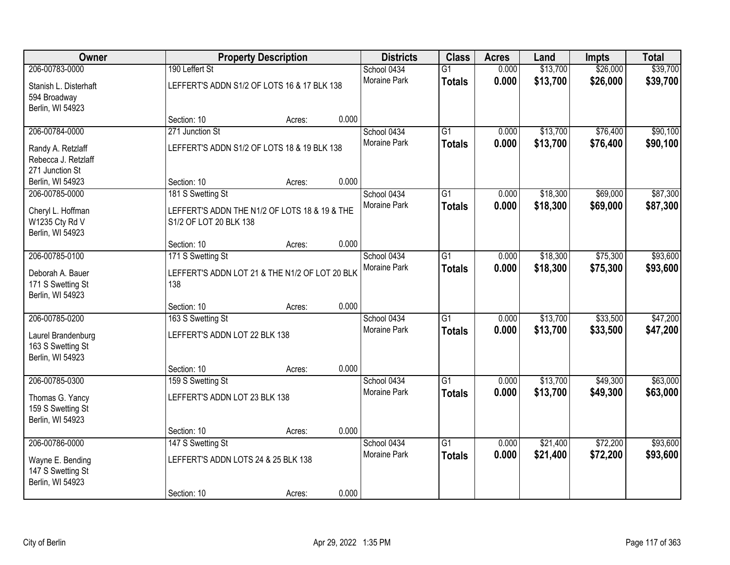| Owner                                                       |                                                                         | <b>Property Description</b> |       | <b>Districts</b>    | <b>Class</b>    | <b>Acres</b> | Land     | <b>Impts</b> | <b>Total</b> |
|-------------------------------------------------------------|-------------------------------------------------------------------------|-----------------------------|-------|---------------------|-----------------|--------------|----------|--------------|--------------|
| 206-00783-0000                                              | 190 Leffert St                                                          |                             |       | School 0434         | $\overline{G1}$ | 0.000        | \$13,700 | \$26,000     | \$39,700     |
| Stanish L. Disterhaft<br>594 Broadway<br>Berlin, WI 54923   | LEFFERT'S ADDN S1/2 OF LOTS 16 & 17 BLK 138                             |                             |       | Moraine Park        | <b>Totals</b>   | 0.000        | \$13,700 | \$26,000     | \$39,700     |
|                                                             | Section: 10                                                             | Acres:                      | 0.000 |                     |                 |              |          |              |              |
| 206-00784-0000                                              | 271 Junction St                                                         |                             |       | School 0434         | $\overline{G1}$ | 0.000        | \$13,700 | \$76,400     | \$90,100     |
| Randy A. Retzlaff<br>Rebecca J. Retzlaff<br>271 Junction St | LEFFERT'S ADDN S1/2 OF LOTS 18 & 19 BLK 138                             |                             |       | <b>Moraine Park</b> | <b>Totals</b>   | 0.000        | \$13,700 | \$76,400     | \$90,100     |
| Berlin, WI 54923                                            | Section: 10                                                             | Acres:                      | 0.000 |                     |                 |              |          |              |              |
| 206-00785-0000                                              | 181 S Swetting St                                                       |                             |       | School 0434         | $\overline{G1}$ | 0.000        | \$18,300 | \$69,000     | \$87,300     |
| Cheryl L. Hoffman<br>W1235 Cty Rd V<br>Berlin, WI 54923     | LEFFERT'S ADDN THE N1/2 OF LOTS 18 & 19 & THE<br>S1/2 OF LOT 20 BLK 138 |                             |       | Moraine Park        | <b>Totals</b>   | 0.000        | \$18,300 | \$69,000     | \$87,300     |
|                                                             | Section: 10                                                             | Acres:                      | 0.000 |                     |                 |              |          |              |              |
| 206-00785-0100                                              | 171 S Swetting St                                                       |                             |       | School 0434         | $\overline{G1}$ | 0.000        | \$18,300 | \$75,300     | \$93,600     |
| Deborah A. Bauer<br>171 S Swetting St<br>Berlin, WI 54923   | LEFFERT'S ADDN LOT 21 & THE N1/2 OF LOT 20 BLK<br>138                   |                             |       | Moraine Park        | <b>Totals</b>   | 0.000        | \$18,300 | \$75,300     | \$93,600     |
|                                                             | Section: 10                                                             | Acres:                      | 0.000 |                     |                 |              |          |              |              |
| 206-00785-0200                                              | 163 S Swetting St                                                       |                             |       | School 0434         | $\overline{G1}$ | 0.000        | \$13,700 | \$33,500     | \$47,200     |
| Laurel Brandenburg<br>163 S Swetting St<br>Berlin, WI 54923 | LEFFERT'S ADDN LOT 22 BLK 138                                           |                             |       | <b>Moraine Park</b> | <b>Totals</b>   | 0.000        | \$13,700 | \$33,500     | \$47,200     |
|                                                             | Section: 10                                                             | Acres:                      | 0.000 |                     |                 |              |          |              |              |
| 206-00785-0300                                              | 159 S Swetting St                                                       |                             |       | School 0434         | $\overline{G1}$ | 0.000        | \$13,700 | \$49,300     | \$63,000     |
| Thomas G. Yancy<br>159 S Swetting St<br>Berlin, WI 54923    | LEFFERT'S ADDN LOT 23 BLK 138                                           |                             |       | Moraine Park        | <b>Totals</b>   | 0.000        | \$13,700 | \$49,300     | \$63,000     |
|                                                             | Section: 10                                                             | Acres:                      | 0.000 |                     |                 |              |          |              |              |
| 206-00786-0000                                              | 147 S Swetting St                                                       |                             |       | School 0434         | $\overline{G1}$ | 0.000        | \$21,400 | \$72,200     | \$93,600     |
| Wayne E. Bending<br>147 S Swetting St<br>Berlin, WI 54923   | LEFFERT'S ADDN LOTS 24 & 25 BLK 138                                     |                             |       | <b>Moraine Park</b> | <b>Totals</b>   | 0.000        | \$21,400 | \$72,200     | \$93,600     |
|                                                             | Section: 10                                                             | Acres:                      | 0.000 |                     |                 |              |          |              |              |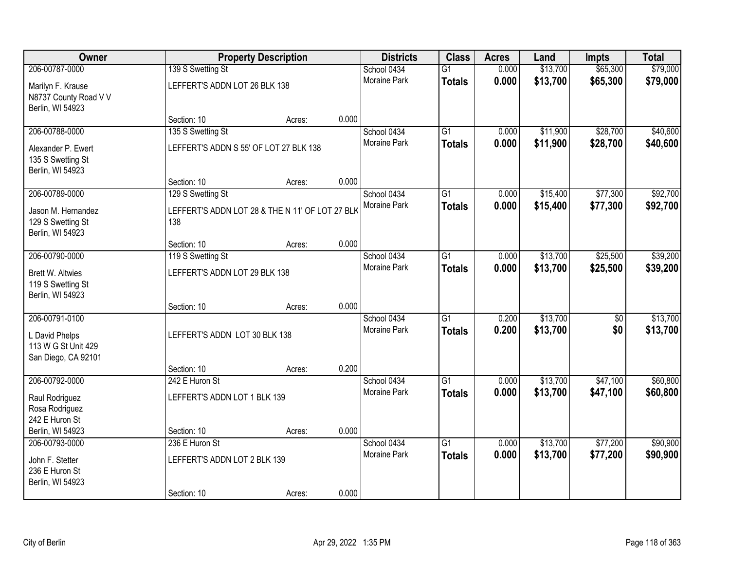| Owner                                                            |                                                        | <b>Property Description</b> |       | <b>Districts</b>                   | <b>Class</b>                     | <b>Acres</b>   | Land                 | <b>Impts</b>           | <b>Total</b>         |
|------------------------------------------------------------------|--------------------------------------------------------|-----------------------------|-------|------------------------------------|----------------------------------|----------------|----------------------|------------------------|----------------------|
| 206-00787-0000                                                   | 139 S Swetting St                                      |                             |       | School 0434                        | $\overline{G1}$                  | 0.000          | \$13,700             | \$65,300               | \$79,000             |
| Marilyn F. Krause<br>N8737 County Road V V<br>Berlin, WI 54923   | LEFFERT'S ADDN LOT 26 BLK 138                          |                             |       | Moraine Park                       | <b>Totals</b>                    | 0.000          | \$13,700             | \$65,300               | \$79,000             |
|                                                                  | Section: 10                                            | Acres:                      | 0.000 |                                    |                                  |                |                      |                        |                      |
| 206-00788-0000                                                   | 135 S Swetting St                                      |                             |       | School 0434                        | $\overline{G1}$                  | 0.000          | \$11,900             | \$28,700               | \$40,600             |
| Alexander P. Ewert<br>135 S Swetting St<br>Berlin, WI 54923      | LEFFERT'S ADDN S 55' OF LOT 27 BLK 138                 |                             |       | <b>Moraine Park</b>                | <b>Totals</b>                    | 0.000          | \$11,900             | \$28,700               | \$40,600             |
|                                                                  | Section: 10                                            | Acres:                      | 0.000 |                                    |                                  |                |                      |                        |                      |
| 206-00789-0000                                                   | 129 S Swetting St                                      |                             |       | School 0434                        | $\overline{G1}$                  | 0.000          | \$15,400             | \$77,300               | \$92,700             |
| Jason M. Hernandez<br>129 S Swetting St<br>Berlin, WI 54923      | LEFFERT'S ADDN LOT 28 & THE N 11' OF LOT 27 BLK<br>138 |                             |       | Moraine Park                       | <b>Totals</b>                    | 0.000          | \$15,400             | \$77,300               | \$92,700             |
|                                                                  | Section: 10                                            | Acres:                      | 0.000 |                                    |                                  |                |                      |                        |                      |
| 206-00790-0000                                                   | 119 S Swetting St                                      |                             |       | School 0434                        | $\overline{G1}$                  | 0.000          | \$13,700             | \$25,500               | \$39,200             |
| <b>Brett W. Altwies</b><br>119 S Swetting St<br>Berlin, WI 54923 | LEFFERT'S ADDN LOT 29 BLK 138                          |                             |       | <b>Moraine Park</b>                | <b>Totals</b>                    | 0.000          | \$13,700             | \$25,500               | \$39,200             |
|                                                                  | Section: 10                                            | Acres:                      | 0.000 |                                    |                                  |                |                      |                        |                      |
| 206-00791-0100<br>L David Phelps<br>113 W G St Unit 429          | LEFFERT'S ADDN LOT 30 BLK 138                          |                             |       | School 0434<br><b>Moraine Park</b> | $\overline{G1}$<br><b>Totals</b> | 0.200<br>0.200 | \$13,700<br>\$13,700 | $\overline{50}$<br>\$0 | \$13,700<br>\$13,700 |
| San Diego, CA 92101                                              | Section: 10                                            | Acres:                      | 0.200 |                                    |                                  |                |                      |                        |                      |
| 206-00792-0000                                                   | 242 E Huron St                                         |                             |       | School 0434                        | $\overline{G1}$                  | 0.000          | \$13,700             | \$47,100               | \$60,800             |
| Raul Rodriguez<br>Rosa Rodriguez<br>242 E Huron St               | LEFFERT'S ADDN LOT 1 BLK 139                           |                             |       | Moraine Park                       | <b>Totals</b>                    | 0.000          | \$13,700             | \$47,100               | \$60,800             |
| Berlin, WI 54923                                                 | Section: 10                                            | Acres:                      | 0.000 |                                    |                                  |                |                      |                        |                      |
| 206-00793-0000                                                   | 236 E Huron St                                         |                             |       | School 0434                        | $\overline{G1}$                  | 0.000          | \$13,700             | \$77,200               | \$90,900             |
| John F. Stetter<br>236 E Huron St<br>Berlin, WI 54923            | LEFFERT'S ADDN LOT 2 BLK 139<br>Section: 10            |                             | 0.000 | <b>Moraine Park</b>                | <b>Totals</b>                    | 0.000          | \$13,700             | \$77,200               | \$90,900             |
|                                                                  |                                                        | Acres:                      |       |                                    |                                  |                |                      |                        |                      |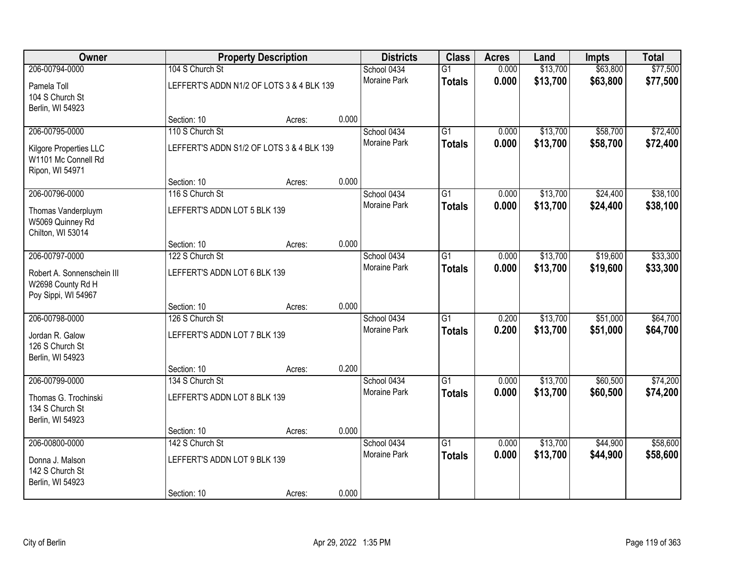| Owner                                                                                    |                                                                | <b>Property Description</b> |       | <b>Districts</b>                   | <b>Class</b>                     | <b>Acres</b>   | Land                 | <b>Impts</b>         | <b>Total</b><br>\$77,500<br>\$77,500 |
|------------------------------------------------------------------------------------------|----------------------------------------------------------------|-----------------------------|-------|------------------------------------|----------------------------------|----------------|----------------------|----------------------|--------------------------------------|
| 206-00794-0000<br>Pamela Toll<br>104 S Church St<br>Berlin, WI 54923                     | 104 S Church St<br>LEFFERT'S ADDN N1/2 OF LOTS 3 & 4 BLK 139   |                             |       | School 0434<br>Moraine Park        | $\overline{G1}$<br><b>Totals</b> | 0.000<br>0.000 | \$13,700<br>\$13,700 | \$63,800<br>\$63,800 |                                      |
|                                                                                          | Section: 10                                                    | Acres:                      | 0.000 |                                    |                                  |                |                      |                      |                                      |
| 206-00795-0000<br>Kilgore Properties LLC<br>W1101 Mc Connell Rd<br>Ripon, WI 54971       | 110 S Church St<br>LEFFERT'S ADDN S1/2 OF LOTS 3 & 4 BLK 139   |                             |       | School 0434<br><b>Moraine Park</b> | $\overline{G1}$<br><b>Totals</b> | 0.000<br>0.000 | \$13,700<br>\$13,700 | \$58,700<br>\$58,700 | \$72,400<br>\$72,400                 |
|                                                                                          | Section: 10                                                    | Acres:                      | 0.000 |                                    |                                  |                |                      |                      |                                      |
| 206-00796-0000<br>Thomas Vanderpluym<br>W5069 Quinney Rd<br>Chilton, WI 53014            | 116 S Church St<br>LEFFERT'S ADDN LOT 5 BLK 139                |                             |       | School 0434<br>Moraine Park        | $\overline{G1}$<br><b>Totals</b> | 0.000<br>0.000 | \$13,700<br>\$13,700 | \$24,400<br>\$24,400 | \$38,100<br>\$38,100                 |
|                                                                                          | Section: 10                                                    | Acres:                      | 0.000 |                                    |                                  |                |                      |                      |                                      |
| 206-00797-0000<br>Robert A. Sonnenschein III<br>W2698 County Rd H<br>Poy Sippi, WI 54967 | 122 S Church St<br>LEFFERT'S ADDN LOT 6 BLK 139                |                             |       | School 0434<br><b>Moraine Park</b> | G1<br><b>Totals</b>              | 0.000<br>0.000 | \$13,700<br>\$13,700 | \$19,600<br>\$19,600 | \$33,300<br>\$33,300                 |
|                                                                                          | Section: 10                                                    | Acres:                      | 0.000 |                                    |                                  |                |                      |                      |                                      |
| 206-00798-0000<br>Jordan R. Galow<br>126 S Church St<br>Berlin, WI 54923                 | 126 S Church St<br>LEFFERT'S ADDN LOT 7 BLK 139<br>Section: 10 | Acres:                      | 0.200 | School 0434<br>Moraine Park        | $\overline{G1}$<br><b>Totals</b> | 0.200<br>0.200 | \$13,700<br>\$13,700 | \$51,000<br>\$51,000 | \$64,700<br>\$64,700                 |
| 206-00799-0000                                                                           | 134 S Church St                                                |                             |       | School 0434                        | $\overline{G1}$                  | 0.000          | \$13,700             | \$60,500             | \$74,200                             |
| Thomas G. Trochinski<br>134 S Church St<br>Berlin, WI 54923                              | LEFFERT'S ADDN LOT 8 BLK 139                                   |                             |       | Moraine Park                       | <b>Totals</b>                    | 0.000          | \$13,700             | \$60,500             | \$74,200                             |
|                                                                                          | Section: 10                                                    | Acres:                      | 0.000 |                                    |                                  |                |                      |                      |                                      |
| 206-00800-0000<br>Donna J. Malson<br>142 S Church St<br>Berlin, WI 54923                 | 142 S Church St<br>LEFFERT'S ADDN LOT 9 BLK 139<br>Section: 10 |                             | 0.000 | School 0434<br><b>Moraine Park</b> | $\overline{G1}$<br><b>Totals</b> | 0.000<br>0.000 | \$13,700<br>\$13,700 | \$44,900<br>\$44,900 | \$58,600<br>\$58,600                 |
|                                                                                          |                                                                | Acres:                      |       |                                    |                                  |                |                      |                      |                                      |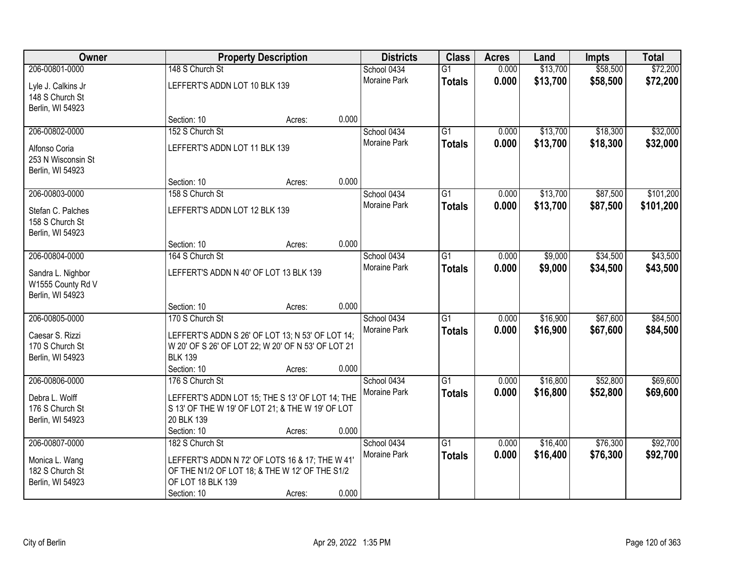| Owner                                                      |                                        | <b>Property Description</b>                        |       | <b>Districts</b> | <b>Class</b>    | <b>Acres</b> | Land     | <b>Impts</b> | <b>Total</b> |
|------------------------------------------------------------|----------------------------------------|----------------------------------------------------|-------|------------------|-----------------|--------------|----------|--------------|--------------|
| 206-00801-0000                                             | 148 S Church St                        |                                                    |       | School 0434      | $\overline{G1}$ | 0.000        | \$13,700 | \$58,500     | \$72,200     |
| Lyle J. Calkins Jr<br>148 S Church St<br>Berlin, WI 54923  | LEFFERT'S ADDN LOT 10 BLK 139          |                                                    |       | Moraine Park     | <b>Totals</b>   | 0.000        | \$13,700 | \$58,500     | \$72,200     |
|                                                            | Section: 10                            | Acres:                                             | 0.000 |                  |                 |              |          |              |              |
| 206-00802-0000                                             | 152 S Church St                        |                                                    |       | School 0434      | G1              | 0.000        | \$13,700 | \$18,300     | \$32,000     |
| Alfonso Coria<br>253 N Wisconsin St<br>Berlin, WI 54923    | LEFFERT'S ADDN LOT 11 BLK 139          |                                                    |       | Moraine Park     | <b>Totals</b>   | 0.000        | \$13,700 | \$18,300     | \$32,000     |
|                                                            | Section: 10                            | Acres:                                             | 0.000 |                  |                 |              |          |              |              |
| 206-00803-0000                                             | 158 S Church St                        |                                                    |       | School 0434      | G1              | 0.000        | \$13,700 | \$87,500     | \$101,200    |
| Stefan C. Palches<br>158 S Church St<br>Berlin, WI 54923   | LEFFERT'S ADDN LOT 12 BLK 139          |                                                    |       | Moraine Park     | <b>Totals</b>   | 0.000        | \$13,700 | \$87,500     | \$101,200    |
|                                                            | Section: 10                            | Acres:                                             | 0.000 |                  |                 |              |          |              |              |
| 206-00804-0000                                             | 164 S Church St                        |                                                    |       | School 0434      | $\overline{G1}$ | 0.000        | \$9,000  | \$34,500     | \$43,500     |
| Sandra L. Nighbor<br>W1555 County Rd V<br>Berlin, WI 54923 | LEFFERT'S ADDN N 40' OF LOT 13 BLK 139 |                                                    |       | Moraine Park     | <b>Totals</b>   | 0.000        | \$9,000  | \$34,500     | \$43,500     |
|                                                            | Section: 10                            | Acres:                                             | 0.000 |                  |                 |              |          |              |              |
| 206-00805-0000                                             | 170 S Church St                        |                                                    |       | School 0434      | $\overline{G1}$ | 0.000        | \$16,900 | \$67,600     | \$84,500     |
| Caesar S. Rizzi                                            |                                        | LEFFERT'S ADDN S 26' OF LOT 13; N 53' OF LOT 14;   |       | Moraine Park     | <b>Totals</b>   | 0.000        | \$16,900 | \$67,600     | \$84,500     |
| 170 S Church St                                            |                                        | W 20' OF S 26' OF LOT 22; W 20' OF N 53' OF LOT 21 |       |                  |                 |              |          |              |              |
| Berlin, WI 54923                                           | <b>BLK 139</b>                         |                                                    |       |                  |                 |              |          |              |              |
|                                                            | Section: 10                            | Acres:                                             | 0.000 |                  |                 |              |          |              |              |
| 206-00806-0000                                             | 176 S Church St                        |                                                    |       | School 0434      | $\overline{G1}$ | 0.000        | \$16,800 | \$52,800     | \$69,600     |
| Debra L. Wolff                                             |                                        | LEFFERT'S ADDN LOT 15; THE S 13' OF LOT 14; THE    |       | Moraine Park     | <b>Totals</b>   | 0.000        | \$16,800 | \$52,800     | \$69,600     |
| 176 S Church St                                            |                                        | S 13' OF THE W 19' OF LOT 21; & THE W 19' OF LOT   |       |                  |                 |              |          |              |              |
| Berlin, WI 54923                                           | 20 BLK 139                             |                                                    |       |                  |                 |              |          |              |              |
|                                                            | Section: 10                            | Acres:                                             | 0.000 |                  |                 |              |          |              |              |
| 206-00807-0000                                             | 182 S Church St                        |                                                    |       | School 0434      | $\overline{G1}$ | 0.000        | \$16,400 | \$76,300     | \$92,700     |
| Monica L. Wang                                             |                                        | LEFFERT'S ADDN N 72' OF LOTS 16 & 17; THE W 41'    |       | Moraine Park     | <b>Totals</b>   | 0.000        | \$16,400 | \$76,300     | \$92,700     |
| 182 S Church St                                            |                                        | OF THE N1/2 OF LOT 18; & THE W 12' OF THE S1/2     |       |                  |                 |              |          |              |              |
| Berlin, WI 54923                                           | OF LOT 18 BLK 139                      |                                                    |       |                  |                 |              |          |              |              |
|                                                            | Section: 10                            | Acres:                                             | 0.000 |                  |                 |              |          |              |              |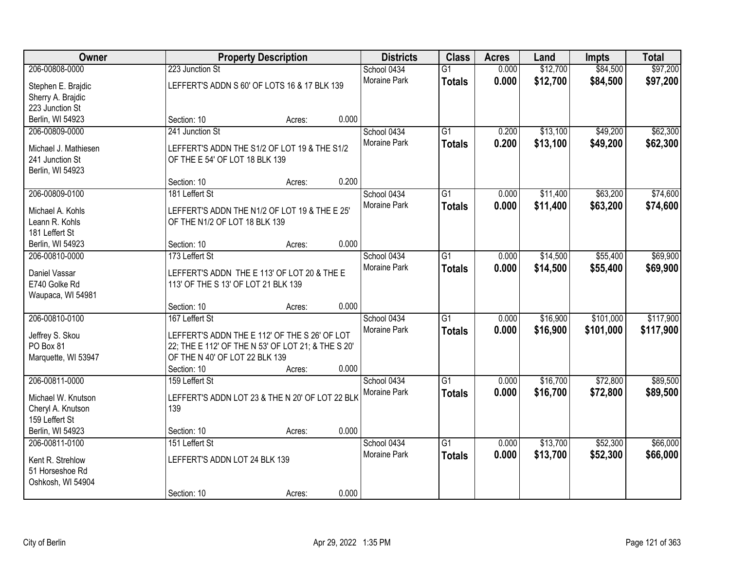| Owner                              |                                                                                      | <b>Property Description</b> |       | <b>Districts</b>    | <b>Class</b>    | <b>Acres</b> | Land     | <b>Impts</b> | <b>Total</b> |
|------------------------------------|--------------------------------------------------------------------------------------|-----------------------------|-------|---------------------|-----------------|--------------|----------|--------------|--------------|
| 206-00808-0000                     | 223 Junction St                                                                      |                             |       | School 0434         | $\overline{G1}$ | 0.000        | \$12,700 | \$84,500     | \$97,200     |
| Stephen E. Brajdic                 | LEFFERT'S ADDN S 60' OF LOTS 16 & 17 BLK 139                                         |                             |       | Moraine Park        | <b>Totals</b>   | 0.000        | \$12,700 | \$84,500     | \$97,200     |
| Sherry A. Brajdic                  |                                                                                      |                             |       |                     |                 |              |          |              |              |
| 223 Junction St                    |                                                                                      |                             |       |                     |                 |              |          |              |              |
| Berlin, WI 54923                   | Section: 10                                                                          | Acres:                      | 0.000 |                     |                 |              |          |              |              |
| 206-00809-0000                     | 241 Junction St                                                                      |                             |       | School 0434         | $\overline{G1}$ | 0.200        | \$13,100 | \$49,200     | \$62,300     |
| Michael J. Mathiesen               | LEFFERT'S ADDN THE S1/2 OF LOT 19 & THE S1/2                                         |                             |       | Moraine Park        | <b>Totals</b>   | 0.200        | \$13,100 | \$49,200     | \$62,300     |
| 241 Junction St                    | OF THE E 54' OF LOT 18 BLK 139                                                       |                             |       |                     |                 |              |          |              |              |
| Berlin, WI 54923                   |                                                                                      |                             |       |                     |                 |              |          |              |              |
|                                    | Section: 10                                                                          | Acres:                      | 0.200 |                     |                 |              |          |              |              |
| 206-00809-0100                     | 181 Leffert St                                                                       |                             |       | School 0434         | $\overline{G1}$ | 0.000        | \$11,400 | \$63,200     | \$74,600     |
| Michael A. Kohls                   | LEFFERT'S ADDN THE N1/2 OF LOT 19 & THE E 25'                                        |                             |       | Moraine Park        | <b>Totals</b>   | 0.000        | \$11,400 | \$63,200     | \$74,600     |
| Leann R. Kohls                     | OF THE N1/2 OF LOT 18 BLK 139                                                        |                             |       |                     |                 |              |          |              |              |
| 181 Leffert St                     |                                                                                      |                             |       |                     |                 |              |          |              |              |
| Berlin, WI 54923                   | Section: 10                                                                          | Acres:                      | 0.000 |                     |                 |              |          |              |              |
| 206-00810-0000                     | 173 Leffert St                                                                       |                             |       | School 0434         | G1              | 0.000        | \$14,500 | \$55,400     | \$69,900     |
|                                    |                                                                                      |                             |       | Moraine Park        | <b>Totals</b>   | 0.000        | \$14,500 | \$55,400     | \$69,900     |
| Daniel Vassar<br>E740 Golke Rd     | LEFFERT'S ADDN THE E 113' OF LOT 20 & THE E<br>113' OF THE S 13' OF LOT 21 BLK 139   |                             |       |                     |                 |              |          |              |              |
| Waupaca, WI 54981                  |                                                                                      |                             |       |                     |                 |              |          |              |              |
|                                    | Section: 10                                                                          | Acres:                      | 0.000 |                     |                 |              |          |              |              |
| 206-00810-0100                     | 167 Leffert St                                                                       |                             |       | School 0434         | $\overline{G1}$ | 0.000        | \$16,900 | \$101,000    | \$117,900    |
|                                    |                                                                                      |                             |       | Moraine Park        | <b>Totals</b>   | 0.000        | \$16,900 | \$101,000    | \$117,900    |
| Jeffrey S. Skou<br>PO Box 81       | LEFFERT'S ADDN THE E 112' OF THE S 26' OF LOT                                        |                             |       |                     |                 |              |          |              |              |
| Marquette, WI 53947                | 22; THE E 112' OF THE N 53' OF LOT 21; & THE S 20'<br>OF THE N 40' OF LOT 22 BLK 139 |                             |       |                     |                 |              |          |              |              |
|                                    | Section: 10                                                                          | Acres:                      | 0.000 |                     |                 |              |          |              |              |
| 206-00811-0000                     | 159 Leffert St                                                                       |                             |       | School 0434         | $\overline{G1}$ | 0.000        | \$16,700 | \$72,800     | \$89,500     |
|                                    |                                                                                      |                             |       | Moraine Park        | <b>Totals</b>   | 0.000        | \$16,700 | \$72,800     | \$89,500     |
| Michael W. Knutson                 | LEFFERT'S ADDN LOT 23 & THE N 20' OF LOT 22 BLK                                      |                             |       |                     |                 |              |          |              |              |
| Cheryl A. Knutson                  | 139                                                                                  |                             |       |                     |                 |              |          |              |              |
| 159 Leffert St<br>Berlin, WI 54923 | Section: 10                                                                          | Acres:                      | 0.000 |                     |                 |              |          |              |              |
| 206-00811-0100                     | 151 Leffert St                                                                       |                             |       | School 0434         | $\overline{G1}$ | 0.000        | \$13,700 | \$52,300     | \$66,000     |
|                                    |                                                                                      |                             |       | <b>Moraine Park</b> | <b>Totals</b>   | 0.000        | \$13,700 | \$52,300     | \$66,000     |
| Kent R. Strehlow                   | LEFFERT'S ADDN LOT 24 BLK 139                                                        |                             |       |                     |                 |              |          |              |              |
| 51 Horseshoe Rd                    |                                                                                      |                             |       |                     |                 |              |          |              |              |
| Oshkosh, WI 54904                  |                                                                                      |                             |       |                     |                 |              |          |              |              |
|                                    | Section: 10                                                                          | Acres:                      | 0.000 |                     |                 |              |          |              |              |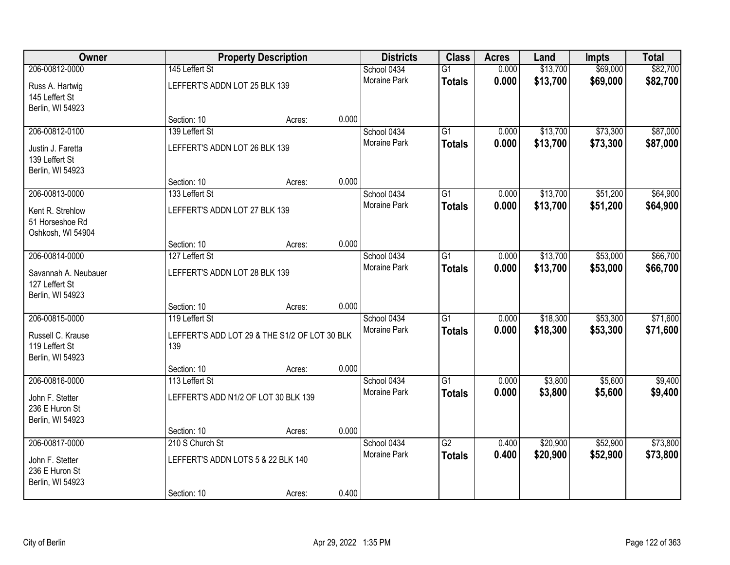| Owner                |                                               | <b>Property Description</b> |       | <b>Districts</b>            | <b>Class</b>    | <b>Acres</b>   | Land               | <b>Impts</b>       | <b>Total</b>       |
|----------------------|-----------------------------------------------|-----------------------------|-------|-----------------------------|-----------------|----------------|--------------------|--------------------|--------------------|
| 206-00812-0000       | 145 Leffert St                                |                             |       | School 0434                 | $\overline{G1}$ | 0.000          | \$13,700           | \$69,000           | \$82,700           |
| Russ A. Hartwig      | LEFFERT'S ADDN LOT 25 BLK 139                 |                             |       | <b>Moraine Park</b>         | <b>Totals</b>   | 0.000          | \$13,700           | \$69,000           | \$82,700           |
| 145 Leffert St       |                                               |                             |       |                             |                 |                |                    |                    |                    |
| Berlin, WI 54923     |                                               |                             |       |                             |                 |                |                    |                    |                    |
|                      | Section: 10                                   | Acres:                      | 0.000 |                             |                 |                |                    |                    |                    |
| 206-00812-0100       | 139 Leffert St                                |                             |       | School 0434                 | $\overline{G1}$ | 0.000          | \$13,700           | \$73,300           | \$87,000           |
| Justin J. Faretta    | LEFFERT'S ADDN LOT 26 BLK 139                 |                             |       | Moraine Park                | <b>Totals</b>   | 0.000          | \$13,700           | \$73,300           | \$87,000           |
| 139 Leffert St       |                                               |                             |       |                             |                 |                |                    |                    |                    |
| Berlin, WI 54923     |                                               |                             |       |                             |                 |                |                    |                    |                    |
|                      | Section: 10                                   | Acres:                      | 0.000 |                             |                 |                |                    |                    |                    |
| 206-00813-0000       | 133 Leffert St                                |                             |       | School 0434                 | $\overline{G1}$ | 0.000          | \$13,700           | \$51,200           | \$64,900           |
| Kent R. Strehlow     | LEFFERT'S ADDN LOT 27 BLK 139                 |                             |       | Moraine Park                | <b>Totals</b>   | 0.000          | \$13,700           | \$51,200           | \$64,900           |
| 51 Horseshoe Rd      |                                               |                             |       |                             |                 |                |                    |                    |                    |
| Oshkosh, WI 54904    |                                               |                             |       |                             |                 |                |                    |                    |                    |
|                      | Section: 10                                   | Acres:                      | 0.000 |                             |                 |                |                    |                    |                    |
| 206-00814-0000       | 127 Leffert St                                |                             |       | School 0434<br>Moraine Park | $\overline{G1}$ | 0.000          | \$13,700           | \$53,000           | \$66,700           |
| Savannah A. Neubauer | LEFFERT'S ADDN LOT 28 BLK 139                 |                             |       |                             | <b>Totals</b>   | 0.000          | \$13,700           | \$53,000           | \$66,700           |
| 127 Leffert St       |                                               |                             |       |                             |                 |                |                    |                    |                    |
| Berlin, WI 54923     |                                               |                             |       |                             |                 |                |                    |                    |                    |
|                      | Section: 10                                   | Acres:                      | 0.000 |                             |                 |                |                    |                    |                    |
| 206-00815-0000       | 119 Leffert St                                |                             |       | School 0434<br>Moraine Park | $\overline{G1}$ | 0.000          | \$18,300           | \$53,300           | \$71,600           |
| Russell C. Krause    | LEFFERT'S ADD LOT 29 & THE S1/2 OF LOT 30 BLK |                             |       |                             | <b>Totals</b>   | 0.000          | \$18,300           | \$53,300           | \$71,600           |
| 119 Leffert St       | 139                                           |                             |       |                             |                 |                |                    |                    |                    |
| Berlin, WI 54923     |                                               |                             |       |                             |                 |                |                    |                    |                    |
| 206-00816-0000       | Section: 10<br>113 Leffert St                 | Acres:                      | 0.000 |                             | $\overline{G1}$ |                |                    |                    |                    |
|                      |                                               |                             |       | School 0434<br>Moraine Park |                 | 0.000<br>0.000 | \$3,800<br>\$3,800 | \$5,600<br>\$5,600 | \$9,400<br>\$9,400 |
| John F. Stetter      | LEFFERT'S ADD N1/2 OF LOT 30 BLK 139          |                             |       |                             | <b>Totals</b>   |                |                    |                    |                    |
| 236 E Huron St       |                                               |                             |       |                             |                 |                |                    |                    |                    |
| Berlin, WI 54923     |                                               |                             | 0.000 |                             |                 |                |                    |                    |                    |
| 206-00817-0000       | Section: 10<br>210 S Church St                | Acres:                      |       | School 0434                 | $\overline{G2}$ | 0.400          | \$20,900           | \$52,900           | \$73,800           |
|                      |                                               |                             |       | <b>Moraine Park</b>         | <b>Totals</b>   | 0.400          | \$20,900           | \$52,900           | \$73,800           |
| John F. Stetter      | LEFFERT'S ADDN LOTS 5 & 22 BLK 140            |                             |       |                             |                 |                |                    |                    |                    |
| 236 E Huron St       |                                               |                             |       |                             |                 |                |                    |                    |                    |
| Berlin, WI 54923     | Section: 10                                   |                             | 0.400 |                             |                 |                |                    |                    |                    |
|                      |                                               | Acres:                      |       |                             |                 |                |                    |                    |                    |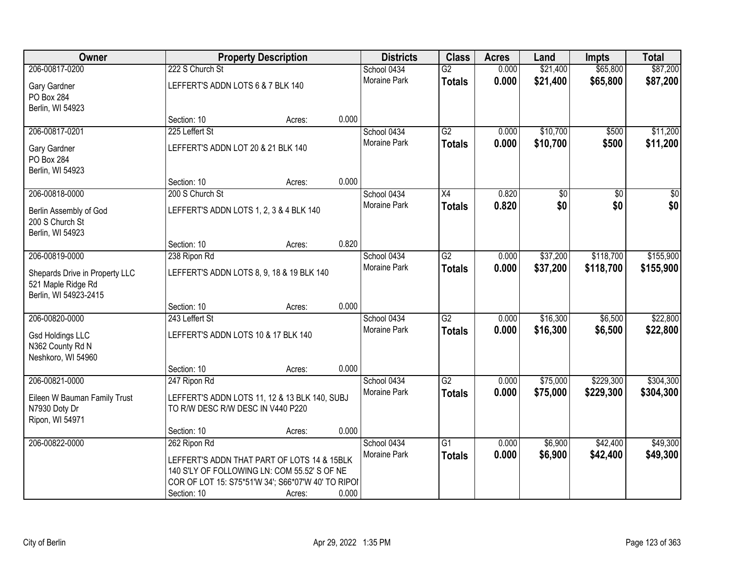| <b>Owner</b>                                  |                                         | <b>Property Description</b>                        |       | <b>Districts</b> | <b>Class</b>    | <b>Acres</b> | Land     | <b>Impts</b>    | <b>Total</b>    |
|-----------------------------------------------|-----------------------------------------|----------------------------------------------------|-------|------------------|-----------------|--------------|----------|-----------------|-----------------|
| 206-00817-0200                                | 222 S Church St                         |                                                    |       | School 0434      | $\overline{G2}$ | 0.000        | \$21,400 | \$65,800        | \$87,200        |
| Gary Gardner                                  | LEFFERT'S ADDN LOTS 6 & 7 BLK 140       |                                                    |       | Moraine Park     | <b>Totals</b>   | 0.000        | \$21,400 | \$65,800        | \$87,200        |
| PO Box 284                                    |                                         |                                                    |       |                  |                 |              |          |                 |                 |
| Berlin, WI 54923                              |                                         |                                                    |       |                  |                 |              |          |                 |                 |
|                                               | Section: 10                             | Acres:                                             | 0.000 |                  |                 |              |          |                 |                 |
| 206-00817-0201                                | 225 Leffert St                          |                                                    |       | School 0434      | $\overline{G2}$ | 0.000        | \$10,700 | \$500           | \$11,200        |
| Gary Gardner                                  | LEFFERT'S ADDN LOT 20 & 21 BLK 140      |                                                    |       | Moraine Park     | <b>Totals</b>   | 0.000        | \$10,700 | \$500           | \$11,200        |
| PO Box 284                                    |                                         |                                                    |       |                  |                 |              |          |                 |                 |
| Berlin, WI 54923                              |                                         |                                                    |       |                  |                 |              |          |                 |                 |
|                                               | Section: 10                             | Acres:                                             | 0.000 |                  |                 |              |          |                 |                 |
| 206-00818-0000                                | 200 S Church St                         |                                                    |       | School 0434      | $\overline{X4}$ | 0.820        | \$0      | $\overline{50}$ | $\overline{50}$ |
| Berlin Assembly of God                        | LEFFERT'S ADDN LOTS 1, 2, 3 & 4 BLK 140 |                                                    |       | Moraine Park     | <b>Totals</b>   | 0.820        | \$0      | \$0             | \$0             |
| 200 S Church St                               |                                         |                                                    |       |                  |                 |              |          |                 |                 |
| Berlin, WI 54923                              |                                         |                                                    |       |                  |                 |              |          |                 |                 |
|                                               | Section: 10                             | Acres:                                             | 0.820 |                  |                 |              |          |                 |                 |
| 206-00819-0000                                | 238 Ripon Rd                            |                                                    |       | School 0434      | $\overline{G2}$ | 0.000        | \$37,200 | \$118,700       | \$155,900       |
| Shepards Drive in Property LLC                |                                         | LEFFERT'S ADDN LOTS 8, 9, 18 & 19 BLK 140          |       | Moraine Park     | <b>Totals</b>   | 0.000        | \$37,200 | \$118,700       | \$155,900       |
| 521 Maple Ridge Rd                            |                                         |                                                    |       |                  |                 |              |          |                 |                 |
| Berlin, WI 54923-2415                         |                                         |                                                    |       |                  |                 |              |          |                 |                 |
|                                               | Section: 10                             | Acres:                                             | 0.000 |                  |                 |              |          |                 |                 |
| 206-00820-0000                                | 243 Leffert St                          |                                                    |       | School 0434      | $\overline{G2}$ | 0.000        | \$16,300 | \$6,500         | \$22,800        |
|                                               | LEFFERT'S ADDN LOTS 10 & 17 BLK 140     |                                                    |       | Moraine Park     | <b>Totals</b>   | 0.000        | \$16,300 | \$6,500         | \$22,800        |
| <b>Gsd Holdings LLC</b><br>N362 County Rd N   |                                         |                                                    |       |                  |                 |              |          |                 |                 |
| Neshkoro, WI 54960                            |                                         |                                                    |       |                  |                 |              |          |                 |                 |
|                                               | Section: 10                             | Acres:                                             | 0.000 |                  |                 |              |          |                 |                 |
| 206-00821-0000                                | 247 Ripon Rd                            |                                                    |       | School 0434      | G2              | 0.000        | \$75,000 | \$229,300       | \$304,300       |
|                                               |                                         |                                                    |       | Moraine Park     | <b>Totals</b>   | 0.000        | \$75,000 | \$229,300       | \$304,300       |
| Eileen W Bauman Family Trust<br>N7930 Doty Dr | TO R/W DESC R/W DESC IN V440 P220       | LEFFERT'S ADDN LOTS 11, 12 & 13 BLK 140, SUBJ      |       |                  |                 |              |          |                 |                 |
| Ripon, WI 54971                               |                                         |                                                    |       |                  |                 |              |          |                 |                 |
|                                               | Section: 10                             | Acres:                                             | 0.000 |                  |                 |              |          |                 |                 |
| 206-00822-0000                                | 262 Ripon Rd                            |                                                    |       | School 0434      | $\overline{G1}$ | 0.000        | \$6,900  | \$42,400        | \$49,300        |
|                                               |                                         | LEFFERT'S ADDN THAT PART OF LOTS 14 & 15BLK        |       | Moraine Park     | <b>Totals</b>   | 0.000        | \$6,900  | \$42,400        | \$49,300        |
|                                               |                                         | 140 S'LY OF FOLLOWING LN: COM 55.52' S OF NE       |       |                  |                 |              |          |                 |                 |
|                                               |                                         | COR OF LOT 15: S75*51'W 34'; S66*07'W 40' TO RIPOI |       |                  |                 |              |          |                 |                 |
|                                               | Section: 10                             | Acres:                                             | 0.000 |                  |                 |              |          |                 |                 |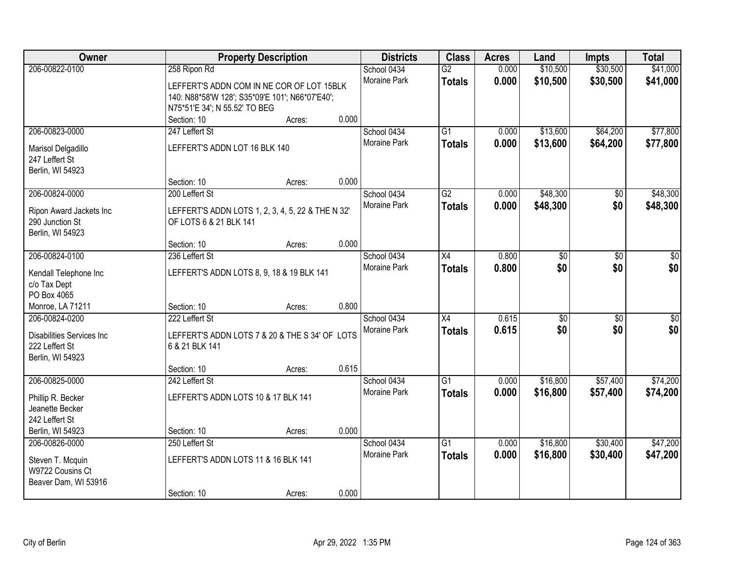| Owner                                                                                    |                                                                                                                                               | <b>Property Description</b> |       | <b>Districts</b>                   | <b>Class</b>                     | <b>Acres</b>   | Land                 | <b>Impts</b>           | <b>Total</b>           |
|------------------------------------------------------------------------------------------|-----------------------------------------------------------------------------------------------------------------------------------------------|-----------------------------|-------|------------------------------------|----------------------------------|----------------|----------------------|------------------------|------------------------|
| 206-00822-0100                                                                           | 258 Ripon Rd<br>LEFFERT'S ADDN COM IN NE COR OF LOT 15BLK<br>140: N88*58'W 128'; S35*09'E 101'; N66*07'E40';<br>N75*51'E 34'; N 55.52' TO BEG |                             |       | School 0434<br>Moraine Park        | $\overline{G2}$<br><b>Totals</b> | 0.000<br>0.000 | \$10,500<br>\$10,500 | \$30,500<br>\$30,500   | \$41,000<br>\$41,000   |
|                                                                                          | Section: 10                                                                                                                                   | Acres:                      | 0.000 |                                    |                                  |                |                      |                        |                        |
| 206-00823-0000<br>Marisol Delgadillo<br>247 Leffert St<br>Berlin, WI 54923               | 247 Leffert St<br>LEFFERT'S ADDN LOT 16 BLK 140                                                                                               |                             |       | School 0434<br><b>Moraine Park</b> | $\overline{G1}$<br><b>Totals</b> | 0.000<br>0.000 | \$13,600<br>\$13,600 | \$64,200<br>\$64,200   | \$77,800<br>\$77,800   |
| 206-00824-0000                                                                           | Section: 10<br>200 Leffert St                                                                                                                 | Acres:                      | 0.000 | School 0434                        | $\overline{G2}$                  | 0.000          | \$48,300             | \$0                    | \$48,300               |
| Ripon Award Jackets Inc<br>290 Junction St<br>Berlin, WI 54923                           | LEFFERT'S ADDN LOTS 1, 2, 3, 4, 5, 22 & THE N 32'<br>OF LOTS 6 & 21 BLK 141                                                                   |                             |       | Moraine Park                       | <b>Totals</b>                    | 0.000          | \$48,300             | \$0                    | \$48,300               |
|                                                                                          | Section: 10                                                                                                                                   | Acres:                      | 0.000 |                                    |                                  |                |                      |                        |                        |
| 206-00824-0100<br>Kendall Telephone Inc<br>c/o Tax Dept<br>PO Box 4065                   | 236 Leffert St<br>LEFFERT'S ADDN LOTS 8, 9, 18 & 19 BLK 141                                                                                   |                             |       | School 0434<br>Moraine Park        | X4<br><b>Totals</b>              | 0.800<br>0.800 | \$0<br>\$0           | \$0<br>\$0             | \$0<br>\$0             |
| Monroe, LA 71211                                                                         | Section: 10                                                                                                                                   | Acres:                      | 0.800 |                                    |                                  |                |                      |                        |                        |
| 206-00824-0200<br><b>Disabilities Services Inc</b><br>222 Leffert St<br>Berlin, WI 54923 | 222 Leffert St<br>LEFFERT'S ADDN LOTS 7 & 20 & THE S 34' OF LOTS<br>6 & 21 BLK 141<br>Section: 10                                             | Acres:                      | 0.615 | School 0434<br>Moraine Park        | $\overline{X4}$<br><b>Totals</b> | 0.615<br>0.615 | $\sqrt{30}$<br>\$0   | $\overline{50}$<br>\$0 | $\overline{50}$<br>\$0 |
| 206-00825-0000                                                                           | 242 Leffert St                                                                                                                                |                             |       | School 0434                        | $\overline{G1}$                  | 0.000          | \$16,800             | \$57,400               | \$74,200               |
| Phillip R. Becker<br>Jeanette Becker<br>242 Leffert St                                   | LEFFERT'S ADDN LOTS 10 & 17 BLK 141                                                                                                           |                             |       | Moraine Park                       | <b>Totals</b>                    | 0.000          | \$16,800             | \$57,400               | \$74,200               |
| Berlin, WI 54923                                                                         | Section: 10                                                                                                                                   | Acres:                      | 0.000 |                                    |                                  |                |                      |                        |                        |
| 206-00826-0000<br>Steven T. Mcquin<br>W9722 Cousins Ct<br>Beaver Dam, WI 53916           | 250 Leffert St<br>LEFFERT'S ADDN LOTS 11 & 16 BLK 141<br>Section: 10                                                                          | Acres:                      | 0.000 | School 0434<br><b>Moraine Park</b> | $\overline{G1}$<br><b>Totals</b> | 0.000<br>0.000 | \$16,800<br>\$16,800 | \$30,400<br>\$30,400   | \$47,200<br>\$47,200   |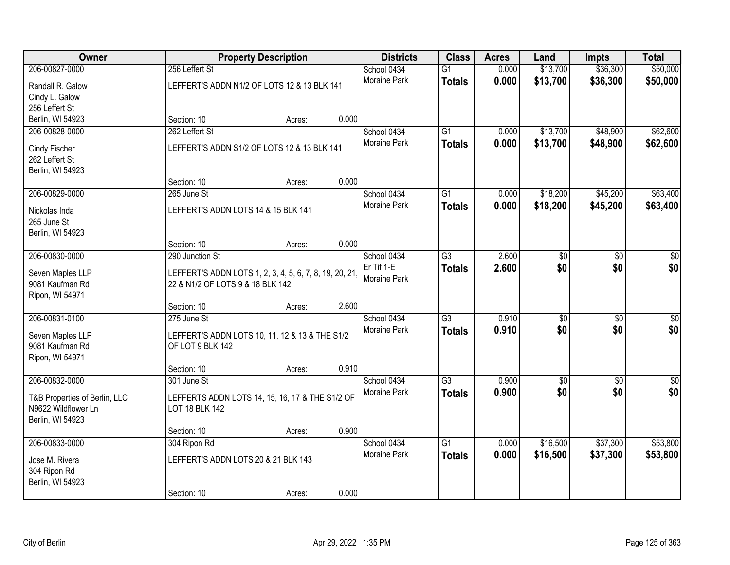| Owner                         |                                     | <b>Property Description</b>                             |       | <b>Districts</b>    | <b>Class</b>    | <b>Acres</b> | Land            | <b>Impts</b>    | <b>Total</b>    |
|-------------------------------|-------------------------------------|---------------------------------------------------------|-------|---------------------|-----------------|--------------|-----------------|-----------------|-----------------|
| 206-00827-0000                | 256 Leffert St                      |                                                         |       | School 0434         | $\overline{G1}$ | 0.000        | \$13,700        | \$36,300        | \$50,000        |
| Randall R. Galow              |                                     | LEFFERT'S ADDN N1/2 OF LOTS 12 & 13 BLK 141             |       | Moraine Park        | <b>Totals</b>   | 0.000        | \$13,700        | \$36,300        | \$50,000        |
| Cindy L. Galow                |                                     |                                                         |       |                     |                 |              |                 |                 |                 |
| 256 Leffert St                |                                     |                                                         |       |                     |                 |              |                 |                 |                 |
| Berlin, WI 54923              | Section: 10                         | Acres:                                                  | 0.000 |                     |                 |              |                 |                 |                 |
| 206-00828-0000                | 262 Leffert St                      |                                                         |       | School 0434         | $\overline{G1}$ | 0.000        | \$13,700        | \$48,900        | \$62,600        |
| Cindy Fischer                 |                                     | LEFFERT'S ADDN S1/2 OF LOTS 12 & 13 BLK 141             |       | Moraine Park        | <b>Totals</b>   | 0.000        | \$13,700        | \$48,900        | \$62,600        |
| 262 Leffert St                |                                     |                                                         |       |                     |                 |              |                 |                 |                 |
| Berlin, WI 54923              |                                     |                                                         |       |                     |                 |              |                 |                 |                 |
|                               | Section: 10                         | Acres:                                                  | 0.000 |                     |                 |              |                 |                 |                 |
| 206-00829-0000                | 265 June St                         |                                                         |       | School 0434         | G1              | 0.000        | \$18,200        | \$45,200        | \$63,400        |
| Nickolas Inda                 | LEFFERT'S ADDN LOTS 14 & 15 BLK 141 |                                                         |       | Moraine Park        | <b>Totals</b>   | 0.000        | \$18,200        | \$45,200        | \$63,400        |
| 265 June St                   |                                     |                                                         |       |                     |                 |              |                 |                 |                 |
| Berlin, WI 54923              |                                     |                                                         |       |                     |                 |              |                 |                 |                 |
|                               | Section: 10                         | Acres:                                                  | 0.000 |                     |                 |              |                 |                 |                 |
| 206-00830-0000                | 290 Junction St                     |                                                         |       | School 0434         | G3              | 2.600        | \$0             | \$0             | \$0             |
| Seven Maples LLP              |                                     | LEFFERT'S ADDN LOTS 1, 2, 3, 4, 5, 6, 7, 8, 19, 20, 21, |       | Er Tif 1-E          | <b>Totals</b>   | 2.600        | \$0             | \$0             | \$0             |
| 9081 Kaufman Rd               | 22 & N1/2 OF LOTS 9 & 18 BLK 142    |                                                         |       | Moraine Park        |                 |              |                 |                 |                 |
| Ripon, WI 54971               |                                     |                                                         |       |                     |                 |              |                 |                 |                 |
|                               | Section: 10                         | Acres:                                                  | 2.600 |                     |                 |              |                 |                 |                 |
| 206-00831-0100                | 275 June St                         |                                                         |       | School 0434         | $\overline{G3}$ | 0.910        | $\overline{50}$ | $\overline{50}$ | $\overline{50}$ |
| Seven Maples LLP              |                                     | LEFFERT'S ADDN LOTS 10, 11, 12 & 13 & THE S1/2          |       | Moraine Park        | <b>Totals</b>   | 0.910        | \$0             | \$0             | \$0             |
| 9081 Kaufman Rd               | OF LOT 9 BLK 142                    |                                                         |       |                     |                 |              |                 |                 |                 |
| Ripon, WI 54971               |                                     |                                                         |       |                     |                 |              |                 |                 |                 |
|                               | Section: 10                         | Acres:                                                  | 0.910 |                     |                 |              |                 |                 |                 |
| 206-00832-0000                | 301 June St                         |                                                         |       | School 0434         | $\overline{G3}$ | 0.900        | $\overline{60}$ | $\overline{50}$ | $\overline{50}$ |
| T&B Properties of Berlin, LLC |                                     | LEFFERTS ADDN LOTS 14, 15, 16, 17 & THE S1/2 OF         |       | Moraine Park        | <b>Totals</b>   | 0.900        | \$0             | \$0             | \$0             |
| N9622 Wildflower Ln           | LOT 18 BLK 142                      |                                                         |       |                     |                 |              |                 |                 |                 |
| Berlin, WI 54923              |                                     |                                                         |       |                     |                 |              |                 |                 |                 |
|                               | Section: 10                         | Acres:                                                  | 0.900 |                     |                 |              |                 |                 |                 |
| 206-00833-0000                | 304 Ripon Rd                        |                                                         |       | School 0434         | $\overline{G1}$ | 0.000        | \$16,500        | \$37,300        | \$53,800        |
| Jose M. Rivera                | LEFFERT'S ADDN LOTS 20 & 21 BLK 143 |                                                         |       | <b>Moraine Park</b> | <b>Totals</b>   | 0.000        | \$16,500        | \$37,300        | \$53,800        |
| 304 Ripon Rd                  |                                     |                                                         |       |                     |                 |              |                 |                 |                 |
| Berlin, WI 54923              |                                     |                                                         |       |                     |                 |              |                 |                 |                 |
|                               | Section: 10                         | Acres:                                                  | 0.000 |                     |                 |              |                 |                 |                 |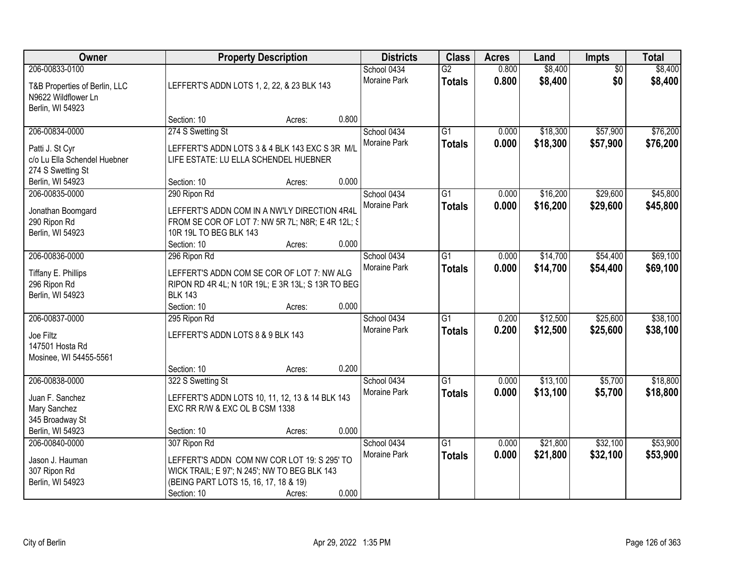| Owner                                                                                      |                                                                                                                                                                     | <b>Property Description</b> |       | <b>Districts</b>            | <b>Class</b>                     | <b>Acres</b>   | Land                 | <b>Impts</b>           | <b>Total</b>         |
|--------------------------------------------------------------------------------------------|---------------------------------------------------------------------------------------------------------------------------------------------------------------------|-----------------------------|-------|-----------------------------|----------------------------------|----------------|----------------------|------------------------|----------------------|
| 206-00833-0100<br>T&B Properties of Berlin, LLC<br>N9622 Wildflower Ln<br>Berlin, WI 54923 | LEFFERT'S ADDN LOTS 1, 2, 22, & 23 BLK 143                                                                                                                          |                             |       | School 0434<br>Moraine Park | $\overline{G2}$<br><b>Totals</b> | 0.800<br>0.800 | \$8,400<br>\$8,400   | $\overline{50}$<br>\$0 | \$8,400<br>\$8,400   |
|                                                                                            | Section: 10                                                                                                                                                         | Acres:                      | 0.800 |                             |                                  |                |                      |                        |                      |
| 206-00834-0000<br>Patti J. St Cyr<br>c/o Lu Ella Schendel Huebner<br>274 S Swetting St     | 274 S Swetting St<br>LEFFERT'S ADDN LOTS 3 & 4 BLK 143 EXC S 3R M/L<br>LIFE ESTATE: LU ELLA SCHENDEL HUEBNER                                                        |                             |       | School 0434<br>Moraine Park | $\overline{G1}$<br><b>Totals</b> | 0.000<br>0.000 | \$18,300<br>\$18,300 | \$57,900<br>\$57,900   | \$76,200<br>\$76,200 |
| Berlin, WI 54923                                                                           | Section: 10                                                                                                                                                         | Acres:                      | 0.000 |                             |                                  |                |                      |                        |                      |
| 206-00835-0000<br>Jonathan Boomgard<br>290 Ripon Rd<br>Berlin, WI 54923                    | 290 Ripon Rd<br>LEFFERT'S ADDN COM IN A NW'LY DIRECTION 4R4L<br>FROM SE COR OF LOT 7: NW 5R 7L; N8R; E 4R 12L; §<br>10R 19L TO BEG BLK 143<br>Section: 10           | Acres:                      | 0.000 | School 0434<br>Moraine Park | G1<br><b>Totals</b>              | 0.000<br>0.000 | \$16,200<br>\$16,200 | \$29,600<br>\$29,600   | \$45,800<br>\$45,800 |
| 206-00836-0000                                                                             | 296 Ripon Rd                                                                                                                                                        |                             |       | School 0434                 | G1                               | 0.000          | \$14,700             | \$54,400               | \$69,100             |
| Tiffany E. Phillips<br>296 Ripon Rd<br>Berlin, WI 54923                                    | LEFFERT'S ADDN COM SE COR OF LOT 7: NW ALG<br>RIPON RD 4R 4L; N 10R 19L; E 3R 13L; S 13R TO BEG<br><b>BLK 143</b>                                                   |                             |       | Moraine Park                | <b>Totals</b>                    | 0.000          | \$14,700             | \$54,400               | \$69,100             |
|                                                                                            | Section: 10                                                                                                                                                         | Acres:                      | 0.000 |                             |                                  |                |                      |                        |                      |
| 206-00837-0000<br>Joe Filtz<br>147501 Hosta Rd<br>Mosinee, WI 54455-5561                   | 295 Ripon Rd<br>LEFFERT'S ADDN LOTS 8 & 9 BLK 143                                                                                                                   |                             |       | School 0434<br>Moraine Park | $\overline{G1}$<br><b>Totals</b> | 0.200<br>0.200 | \$12,500<br>\$12,500 | \$25,600<br>\$25,600   | \$38,100<br>\$38,100 |
|                                                                                            | Section: 10                                                                                                                                                         | Acres:                      | 0.200 |                             |                                  |                |                      |                        |                      |
| 206-00838-0000<br>Juan F. Sanchez<br>Mary Sanchez<br>345 Broadway St                       | 322 S Swetting St<br>LEFFERT'S ADDN LOTS 10, 11, 12, 13 & 14 BLK 143<br>EXC RR R/W & EXC OL B CSM 1338                                                              |                             |       | School 0434<br>Moraine Park | $\overline{G1}$<br><b>Totals</b> | 0.000<br>0.000 | \$13,100<br>\$13,100 | \$5,700<br>\$5,700     | \$18,800<br>\$18,800 |
| Berlin, WI 54923                                                                           | Section: 10                                                                                                                                                         | Acres:                      | 0.000 |                             |                                  |                |                      |                        |                      |
| 206-00840-0000<br>Jason J. Hauman<br>307 Ripon Rd<br>Berlin, WI 54923                      | 307 Ripon Rd<br>LEFFERT'S ADDN COM NW COR LOT 19: S 295' TO<br>WICK TRAIL; E 97'; N 245'; NW TO BEG BLK 143<br>(BEING PART LOTS 15, 16, 17, 18 & 19)<br>Section: 10 | Acres:                      | 0.000 | School 0434<br>Moraine Park | $\overline{G1}$<br><b>Totals</b> | 0.000<br>0.000 | \$21,800<br>\$21,800 | \$32,100<br>\$32,100   | \$53,900<br>\$53,900 |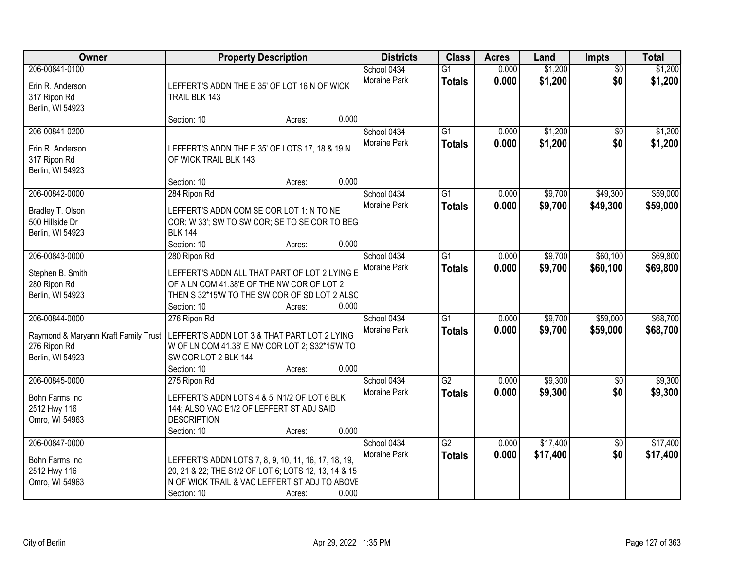| Owner                                                                                      |                                                                                                                                                                              | <b>Property Description</b> |       | <b>Districts</b>                   | <b>Class</b>                     | <b>Acres</b>   | Land                 | Impts                  | <b>Total</b>         |
|--------------------------------------------------------------------------------------------|------------------------------------------------------------------------------------------------------------------------------------------------------------------------------|-----------------------------|-------|------------------------------------|----------------------------------|----------------|----------------------|------------------------|----------------------|
| 206-00841-0100<br>Erin R. Anderson<br>317 Ripon Rd<br>Berlin, WI 54923                     | LEFFERT'S ADDN THE E 35' OF LOT 16 N OF WICK<br>TRAIL BLK 143                                                                                                                |                             |       | School 0434<br>Moraine Park        | $\overline{G1}$<br><b>Totals</b> | 0.000<br>0.000 | \$1,200<br>\$1,200   | $\overline{50}$<br>\$0 | \$1,200<br>\$1,200   |
|                                                                                            | Section: 10                                                                                                                                                                  | Acres:                      | 0.000 |                                    |                                  |                |                      |                        |                      |
| 206-00841-0200<br>Erin R. Anderson<br>317 Ripon Rd<br>Berlin, WI 54923                     | LEFFERT'S ADDN THE E 35' OF LOTS 17, 18 & 19 N<br>OF WICK TRAIL BLK 143                                                                                                      |                             |       | School 0434<br>Moraine Park        | $\overline{G1}$<br><b>Totals</b> | 0.000<br>0.000 | \$1,200<br>\$1,200   | \$0<br>\$0             | \$1,200<br>\$1,200   |
|                                                                                            | Section: 10                                                                                                                                                                  | Acres:                      | 0.000 |                                    |                                  |                |                      |                        |                      |
| 206-00842-0000<br>Bradley T. Olson<br>500 Hillside Dr<br>Berlin, WI 54923                  | 284 Ripon Rd<br>LEFFERT'S ADDN COM SE COR LOT 1: N TO NE<br>COR; W 33'; SW TO SW COR; SE TO SE COR TO BEG<br><b>BLK 144</b><br>Section: 10                                   | Acres:                      | 0.000 | School 0434<br>Moraine Park        | $\overline{G1}$<br><b>Totals</b> | 0.000<br>0.000 | \$9,700<br>\$9,700   | \$49,300<br>\$49,300   | \$59,000<br>\$59,000 |
| 206-00843-0000                                                                             | 280 Ripon Rd                                                                                                                                                                 |                             |       | School 0434                        | G1                               | 0.000          | \$9,700              | \$60,100               | \$69,800             |
| Stephen B. Smith<br>280 Ripon Rd<br>Berlin, WI 54923                                       | LEFFERT'S ADDN ALL THAT PART OF LOT 2 LYING E<br>OF A LN COM 41.38'E OF THE NW COR OF LOT 2<br>THEN S 32*15'W TO THE SW COR OF SD LOT 2 ALSC<br>Section: 10                  | Acres:                      | 0.000 | Moraine Park                       | <b>Totals</b>                    | 0.000          | \$9,700              | \$60,100               | \$69,800             |
| 206-00844-0000<br>Raymond & Maryann Kraft Family Trust<br>276 Ripon Rd<br>Berlin, WI 54923 | 276 Ripon Rd<br>LEFFERT'S ADDN LOT 3 & THAT PART LOT 2 LYING<br>W OF LN COM 41.38' E NW COR LOT 2; S32*15'W TO<br>SW COR LOT 2 BLK 144<br>Section: 10                        | Acres:                      | 0.000 | School 0434<br>Moraine Park        | $\overline{G1}$<br><b>Totals</b> | 0.000<br>0.000 | \$9,700<br>\$9,700   | \$59,000<br>\$59,000   | \$68,700<br>\$68,700 |
| 206-00845-0000<br>Bohn Farms Inc<br>2512 Hwy 116<br>Omro, WI 54963                         | 275 Ripon Rd<br>LEFFERT'S ADDN LOTS 4 & 5, N1/2 OF LOT 6 BLK<br>144; ALSO VAC E1/2 OF LEFFERT ST ADJ SAID<br><b>DESCRIPTION</b><br>Section: 10                               | Acres:                      | 0.000 | School 0434<br>Moraine Park        | $\overline{G2}$<br><b>Totals</b> | 0.000<br>0.000 | \$9,300<br>\$9,300   | $\sqrt{6}$<br>\$0      | \$9,300<br>\$9,300   |
| 206-00847-0000<br>Bohn Farms Inc<br>2512 Hwy 116<br>Omro, WI 54963                         | LEFFERT'S ADDN LOTS 7, 8, 9, 10, 11, 16, 17, 18, 19,<br>20, 21 & 22; THE S1/2 OF LOT 6; LOTS 12, 13, 14 & 15<br>N OF WICK TRAIL & VAC LEFFERT ST ADJ TO ABOVE<br>Section: 10 | Acres:                      | 0.000 | School 0434<br><b>Moraine Park</b> | $\overline{G2}$<br><b>Totals</b> | 0.000<br>0.000 | \$17,400<br>\$17,400 | $\overline{50}$<br>\$0 | \$17,400<br>\$17,400 |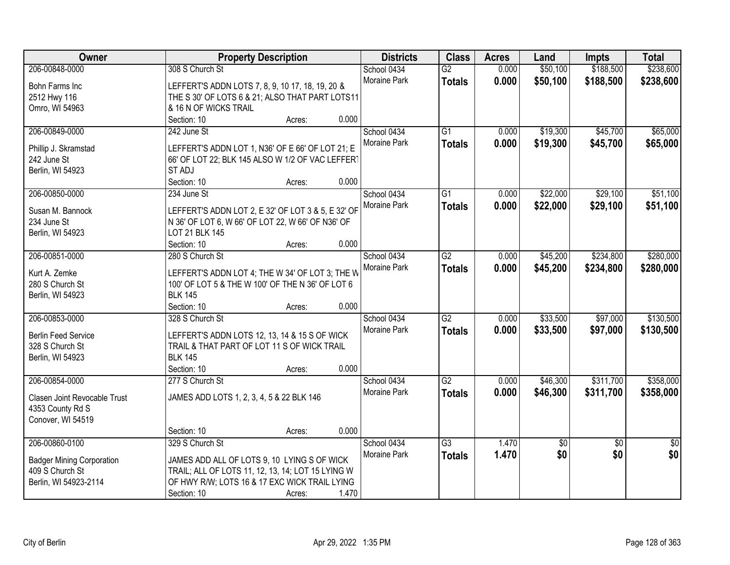| Owner                            |                                           | <b>Property Description</b>                        | <b>Districts</b>    | <b>Class</b>    | <b>Acres</b> | Land        | <b>Impts</b>    | <b>Total</b>    |
|----------------------------------|-------------------------------------------|----------------------------------------------------|---------------------|-----------------|--------------|-------------|-----------------|-----------------|
| 206-00848-0000                   | 308 S Church St                           |                                                    | School 0434         | $\overline{G2}$ | 0.000        | \$50,100    | \$188,500       | \$238,600       |
| Bohn Farms Inc                   |                                           | LEFFERT'S ADDN LOTS 7, 8, 9, 10 17, 18, 19, 20 &   | Moraine Park        | <b>Totals</b>   | 0.000        | \$50,100    | \$188,500       | \$238,600       |
| 2512 Hwy 116                     |                                           | THE S 30' OF LOTS 6 & 21; ALSO THAT PART LOTS11    |                     |                 |              |             |                 |                 |
| Omro, WI 54963                   | & 16 N OF WICKS TRAIL                     |                                                    |                     |                 |              |             |                 |                 |
|                                  | Section: 10                               | Acres:                                             | 0.000               |                 |              |             |                 |                 |
| 206-00849-0000                   | 242 June St                               |                                                    | School 0434         | $\overline{G1}$ | 0.000        | \$19,300    | \$45,700        | \$65,000        |
|                                  |                                           |                                                    | Moraine Park        | <b>Totals</b>   | 0.000        | \$19,300    | \$45,700        | \$65,000        |
| Phillip J. Skramstad             |                                           | LEFFERT'S ADDN LOT 1, N36' OF E 66' OF LOT 21; E   |                     |                 |              |             |                 |                 |
| 242 June St                      |                                           | 66' OF LOT 22; BLK 145 ALSO W 1/2 OF VAC LEFFERT   |                     |                 |              |             |                 |                 |
| Berlin, WI 54923                 | ST ADJ                                    |                                                    |                     |                 |              |             |                 |                 |
|                                  | Section: 10                               | Acres:                                             | 0.000               |                 |              |             |                 |                 |
| 206-00850-0000                   | 234 June St                               |                                                    | School 0434         | $\overline{G1}$ | 0.000        | \$22,000    | \$29,100        | \$51,100        |
| Susan M. Bannock                 |                                           | LEFFERT'S ADDN LOT 2, E 32' OF LOT 3 & 5, E 32' OF | Moraine Park        | <b>Totals</b>   | 0.000        | \$22,000    | \$29,100        | \$51,100        |
| 234 June St                      |                                           | N 36' OF LOT 6, W 66' OF LOT 22, W 66' OF N36' OF  |                     |                 |              |             |                 |                 |
| Berlin, WI 54923                 | LOT 21 BLK 145                            |                                                    |                     |                 |              |             |                 |                 |
|                                  | Section: 10                               | Acres:                                             | 0.000               |                 |              |             |                 |                 |
| 206-00851-0000                   | 280 S Church St                           |                                                    | School 0434         | G2              | 0.000        | \$45,200    | \$234,800       | \$280,000       |
|                                  |                                           |                                                    | Moraine Park        | <b>Totals</b>   | 0.000        | \$45,200    | \$234,800       | \$280,000       |
| Kurt A. Zemke                    |                                           | LEFFERT'S ADDN LOT 4; THE W 34' OF LOT 3; THE W    |                     |                 |              |             |                 |                 |
| 280 S Church St                  |                                           | 100' OF LOT 5 & THE W 100' OF THE N 36' OF LOT 6   |                     |                 |              |             |                 |                 |
| Berlin, WI 54923                 | <b>BLK 145</b>                            |                                                    |                     |                 |              |             |                 |                 |
|                                  | Section: 10                               | Acres:                                             | 0.000               |                 |              |             |                 |                 |
| 206-00853-0000                   | 328 S Church St                           |                                                    | School 0434         | $\overline{G2}$ | 0.000        | \$33,500    | \$97,000        | \$130,500       |
| <b>Berlin Feed Service</b>       |                                           | LEFFERT'S ADDN LOTS 12, 13, 14 & 15 S OF WICK      | <b>Moraine Park</b> | <b>Totals</b>   | 0.000        | \$33,500    | \$97,000        | \$130,500       |
| 328 S Church St                  |                                           | TRAIL & THAT PART OF LOT 11 S OF WICK TRAIL        |                     |                 |              |             |                 |                 |
| Berlin, WI 54923                 | <b>BLK 145</b>                            |                                                    |                     |                 |              |             |                 |                 |
|                                  | Section: 10                               | Acres:                                             | 0.000               |                 |              |             |                 |                 |
| 206-00854-0000                   | 277 S Church St                           |                                                    | School 0434         | $\overline{G2}$ | 0.000        | \$46,300    | \$311,700       | \$358,000       |
|                                  |                                           |                                                    | Moraine Park        | <b>Totals</b>   | 0.000        | \$46,300    | \$311,700       | \$358,000       |
| Clasen Joint Revocable Trust     | JAMES ADD LOTS 1, 2, 3, 4, 5 & 22 BLK 146 |                                                    |                     |                 |              |             |                 |                 |
| 4353 County Rd S                 |                                           |                                                    |                     |                 |              |             |                 |                 |
| Conover, WI 54519                |                                           |                                                    |                     |                 |              |             |                 |                 |
|                                  | Section: 10                               | Acres:                                             | 0.000               |                 |              |             |                 |                 |
| 206-00860-0100                   | 329 S Church St                           |                                                    | School 0434         | G3              | 1.470        | $\sqrt{$0}$ | $\overline{50}$ | $\overline{50}$ |
| <b>Badger Mining Corporation</b> |                                           | JAMES ADD ALL OF LOTS 9, 10 LYING S OF WICK        | <b>Moraine Park</b> | <b>Totals</b>   | 1.470        | \$0         | \$0             | \$0             |
| 409 S Church St                  |                                           | TRAIL; ALL OF LOTS 11, 12, 13, 14; LOT 15 LYING W  |                     |                 |              |             |                 |                 |
| Berlin, WI 54923-2114            |                                           | OF HWY R/W; LOTS 16 & 17 EXC WICK TRAIL LYING      |                     |                 |              |             |                 |                 |
|                                  | Section: 10                               | Acres:                                             | 1.470               |                 |              |             |                 |                 |
|                                  |                                           |                                                    |                     |                 |              |             |                 |                 |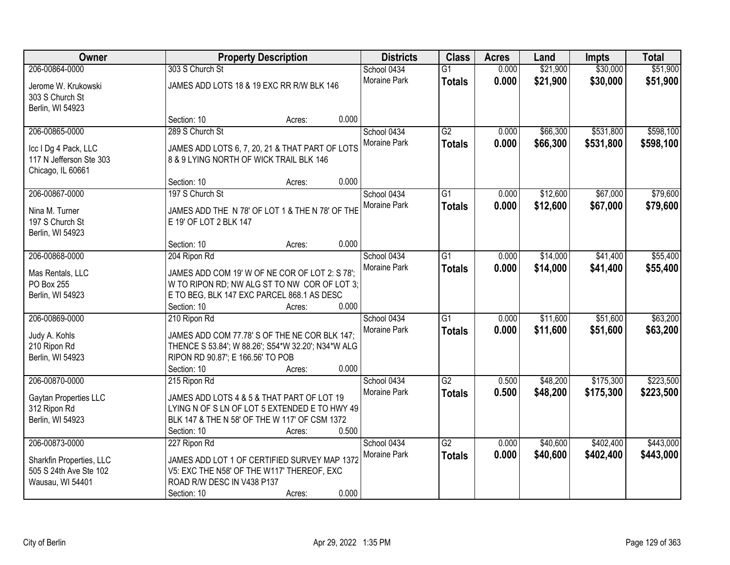| Owner                    |                                                    | <b>Property Description</b> |       | <b>Districts</b>    | <b>Class</b>    | <b>Acres</b> | Land     | <b>Impts</b> | <b>Total</b> |
|--------------------------|----------------------------------------------------|-----------------------------|-------|---------------------|-----------------|--------------|----------|--------------|--------------|
| 206-00864-0000           | 303 S Church St                                    |                             |       | School 0434         | $\overline{G1}$ | 0.000        | \$21,900 | \$30,000     | \$51,900     |
| Jerome W. Krukowski      | JAMES ADD LOTS 18 & 19 EXC RR R/W BLK 146          |                             |       | Moraine Park        | <b>Totals</b>   | 0.000        | \$21,900 | \$30,000     | \$51,900     |
| 303 S Church St          |                                                    |                             |       |                     |                 |              |          |              |              |
| Berlin, WI 54923         |                                                    |                             |       |                     |                 |              |          |              |              |
|                          | Section: 10                                        | Acres:                      | 0.000 |                     |                 |              |          |              |              |
| 206-00865-0000           | 289 S Church St                                    |                             |       | School 0434         | G2              | 0.000        | \$66,300 | \$531,800    | \$598,100    |
| Icc I Dg 4 Pack, LLC     | JAMES ADD LOTS 6, 7, 20, 21 & THAT PART OF LOTS    |                             |       | <b>Moraine Park</b> | <b>Totals</b>   | 0.000        | \$66,300 | \$531,800    | \$598,100    |
| 117 N Jefferson Ste 303  | 8 & 9 LYING NORTH OF WICK TRAIL BLK 146            |                             |       |                     |                 |              |          |              |              |
| Chicago, IL 60661        |                                                    |                             |       |                     |                 |              |          |              |              |
|                          | Section: 10                                        | Acres:                      | 0.000 |                     |                 |              |          |              |              |
| 206-00867-0000           | 197 S Church St                                    |                             |       | School 0434         | $\overline{G1}$ | 0.000        | \$12,600 | \$67,000     | \$79,600     |
| Nina M. Turner           | JAMES ADD THE N 78' OF LOT 1 & THE N 78' OF THE    |                             |       | Moraine Park        | <b>Totals</b>   | 0.000        | \$12,600 | \$67,000     | \$79,600     |
| 197 S Church St          | E 19' OF LOT 2 BLK 147                             |                             |       |                     |                 |              |          |              |              |
| Berlin, WI 54923         |                                                    |                             |       |                     |                 |              |          |              |              |
|                          | Section: 10                                        | Acres:                      | 0.000 |                     |                 |              |          |              |              |
| 206-00868-0000           | 204 Ripon Rd                                       |                             |       | School 0434         | $\overline{G1}$ | 0.000        | \$14,000 | \$41,400     | \$55,400     |
| Mas Rentals, LLC         | JAMES ADD COM 19' W OF NE COR OF LOT 2: S 78';     |                             |       | Moraine Park        | <b>Totals</b>   | 0.000        | \$14,000 | \$41,400     | \$55,400     |
| PO Box 255               | W TO RIPON RD; NW ALG ST TO NW COR OF LOT 3;       |                             |       |                     |                 |              |          |              |              |
| Berlin, WI 54923         | E TO BEG, BLK 147 EXC PARCEL 868.1 AS DESC         |                             |       |                     |                 |              |          |              |              |
|                          | Section: 10                                        | Acres:                      | 0.000 |                     |                 |              |          |              |              |
| 206-00869-0000           | 210 Ripon Rd                                       |                             |       | School 0434         | $\overline{G1}$ | 0.000        | \$11,600 | \$51,600     | \$63,200     |
| Judy A. Kohls            | JAMES ADD COM 77.78' S OF THE NE COR BLK 147;      |                             |       | Moraine Park        | <b>Totals</b>   | 0.000        | \$11,600 | \$51,600     | \$63,200     |
| 210 Ripon Rd             | THENCE S 53.84'; W 88.26'; S54*W 32.20'; N34*W ALG |                             |       |                     |                 |              |          |              |              |
| Berlin, WI 54923         | RIPON RD 90.87'; E 166.56' TO POB                  |                             |       |                     |                 |              |          |              |              |
|                          | Section: 10                                        | Acres:                      | 0.000 |                     |                 |              |          |              |              |
| 206-00870-0000           | 215 Ripon Rd                                       |                             |       | School 0434         | $\overline{G2}$ | 0.500        | \$48,200 | \$175,300    | \$223,500    |
| Gaytan Properties LLC    | JAMES ADD LOTS 4 & 5 & THAT PART OF LOT 19         |                             |       | Moraine Park        | <b>Totals</b>   | 0.500        | \$48,200 | \$175,300    | \$223,500    |
| 312 Ripon Rd             | LYING N OF S LN OF LOT 5 EXTENDED E TO HWY 49      |                             |       |                     |                 |              |          |              |              |
| Berlin, WI 54923         | BLK 147 & THE N 58' OF THE W 117' OF CSM 1372      |                             |       |                     |                 |              |          |              |              |
|                          | Section: 10                                        | Acres:                      | 0.500 |                     |                 |              |          |              |              |
| 206-00873-0000           | 227 Ripon Rd                                       |                             |       | School 0434         | $\overline{G2}$ | 0.000        | \$40,600 | \$402,400    | \$443,000    |
| Sharkfin Properties, LLC | JAMES ADD LOT 1 OF CERTIFIED SURVEY MAP 1372       |                             |       | <b>Moraine Park</b> | <b>Totals</b>   | 0.000        | \$40,600 | \$402,400    | \$443,000    |
| 505 S 24th Ave Ste 102   | V5: EXC THE N58' OF THE W117' THEREOF, EXC         |                             |       |                     |                 |              |          |              |              |
| Wausau, WI 54401         | ROAD R/W DESC IN V438 P137                         |                             |       |                     |                 |              |          |              |              |
|                          | Section: 10                                        | Acres:                      | 0.000 |                     |                 |              |          |              |              |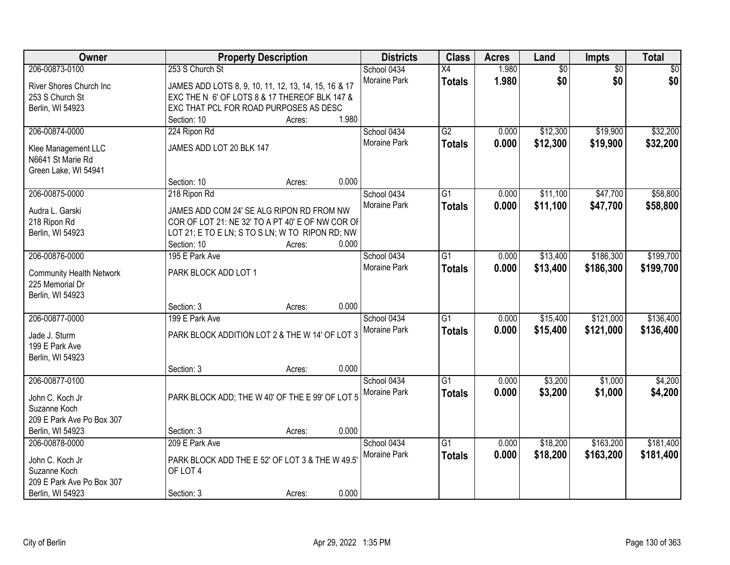| Owner                                    | <b>Property Description</b>                          |        | <b>Districts</b>            | <b>Class</b>    | <b>Acres</b> | Land            | <b>Impts</b>    | <b>Total</b> |
|------------------------------------------|------------------------------------------------------|--------|-----------------------------|-----------------|--------------|-----------------|-----------------|--------------|
| 206-00873-0100                           | 253 S Church St                                      |        | School 0434                 | $\overline{X4}$ | 1.980        | $\overline{50}$ | $\overline{50}$ | \$0          |
| River Shores Church Inc                  | JAMES ADD LOTS 8, 9, 10, 11, 12, 13, 14, 15, 16 & 17 |        | Moraine Park                | <b>Totals</b>   | 1.980        | \$0             | \$0             | \$0          |
| 253 S Church St                          | EXC THE N 6' OF LOTS 8 & 17 THEREOF BLK 147 &        |        |                             |                 |              |                 |                 |              |
| Berlin, WI 54923                         | EXC THAT PCL FOR ROAD PURPOSES AS DESC               |        |                             |                 |              |                 |                 |              |
|                                          | Section: 10                                          | Acres: | 1.980                       |                 |              |                 |                 |              |
| 206-00874-0000                           | 224 Ripon Rd                                         |        | School 0434                 | G2              | 0.000        | \$12,300        | \$19,900        | \$32,200     |
|                                          | JAMES ADD LOT 20 BLK 147                             |        | Moraine Park                | <b>Totals</b>   | 0.000        | \$12,300        | \$19,900        | \$32,200     |
| Klee Management LLC<br>N6641 St Marie Rd |                                                      |        |                             |                 |              |                 |                 |              |
| Green Lake, WI 54941                     |                                                      |        |                             |                 |              |                 |                 |              |
|                                          | Section: 10                                          | Acres: | 0.000                       |                 |              |                 |                 |              |
| 206-00875-0000                           | 218 Ripon Rd                                         |        | School 0434                 | G1              | 0.000        | \$11,100        | \$47,700        | \$58,800     |
|                                          |                                                      |        | Moraine Park                | <b>Totals</b>   | 0.000        | \$11,100        | \$47,700        | \$58,800     |
| Audra L. Garski                          | JAMES ADD COM 24' SE ALG RIPON RD FROM NW            |        |                             |                 |              |                 |                 |              |
| 218 Ripon Rd                             | COR OF LOT 21: NE 32' TO A PT 40' E OF NW COR OF     |        |                             |                 |              |                 |                 |              |
| Berlin, WI 54923                         | LOT 21; E TO E LN; S TO S LN; W TO RIPON RD; NW      |        |                             |                 |              |                 |                 |              |
|                                          | Section: 10                                          | Acres: | 0.000                       |                 |              |                 |                 |              |
| 206-00876-0000                           | 195 E Park Ave                                       |        | School 0434<br>Moraine Park | $\overline{G1}$ | 0.000        | \$13,400        | \$186,300       | \$199,700    |
| <b>Community Health Network</b>          | PARK BLOCK ADD LOT 1                                 |        |                             | <b>Totals</b>   | 0.000        | \$13,400        | \$186,300       | \$199,700    |
| 225 Memorial Dr                          |                                                      |        |                             |                 |              |                 |                 |              |
| Berlin, WI 54923                         |                                                      |        |                             |                 |              |                 |                 |              |
|                                          | Section: 3                                           | Acres: | 0.000                       |                 |              |                 |                 |              |
| 206-00877-0000                           | 199 E Park Ave                                       |        | School 0434                 | $\overline{G1}$ | 0.000        | \$15,400        | \$121,000       | \$136,400    |
| Jade J. Sturm                            | PARK BLOCK ADDITION LOT 2 & THE W 14' OF LOT 3       |        | Moraine Park                | <b>Totals</b>   | 0.000        | \$15,400        | \$121,000       | \$136,400    |
| 199 E Park Ave                           |                                                      |        |                             |                 |              |                 |                 |              |
| Berlin, WI 54923                         |                                                      |        |                             |                 |              |                 |                 |              |
|                                          | Section: 3                                           | Acres: | 0.000                       |                 |              |                 |                 |              |
| 206-00877-0100                           |                                                      |        | School 0434                 | $\overline{G1}$ | 0.000        | \$3,200         | \$1,000         | \$4,200      |
| John C. Koch Jr                          | PARK BLOCK ADD; THE W 40' OF THE E 99' OF LOT 5      |        | Moraine Park                | <b>Totals</b>   | 0.000        | \$3,200         | \$1,000         | \$4,200      |
| Suzanne Koch                             |                                                      |        |                             |                 |              |                 |                 |              |
| 209 E Park Ave Po Box 307                |                                                      |        |                             |                 |              |                 |                 |              |
| Berlin, WI 54923                         | Section: 3                                           | Acres: | 0.000                       |                 |              |                 |                 |              |
| 206-00878-0000                           | 209 E Park Ave                                       |        | School 0434                 | $\overline{G1}$ | 0.000        | \$18,200        | \$163,200       | \$181,400    |
|                                          |                                                      |        | Moraine Park                | <b>Totals</b>   | 0.000        | \$18,200        | \$163,200       | \$181,400    |
| John C. Koch Jr                          | PARK BLOCK ADD THE E 52' OF LOT 3 & THE W 49.5'      |        |                             |                 |              |                 |                 |              |
| Suzanne Koch                             | OF LOT 4                                             |        |                             |                 |              |                 |                 |              |
| 209 E Park Ave Po Box 307                |                                                      |        | 0.000                       |                 |              |                 |                 |              |
| Berlin, WI 54923                         | Section: 3                                           | Acres: |                             |                 |              |                 |                 |              |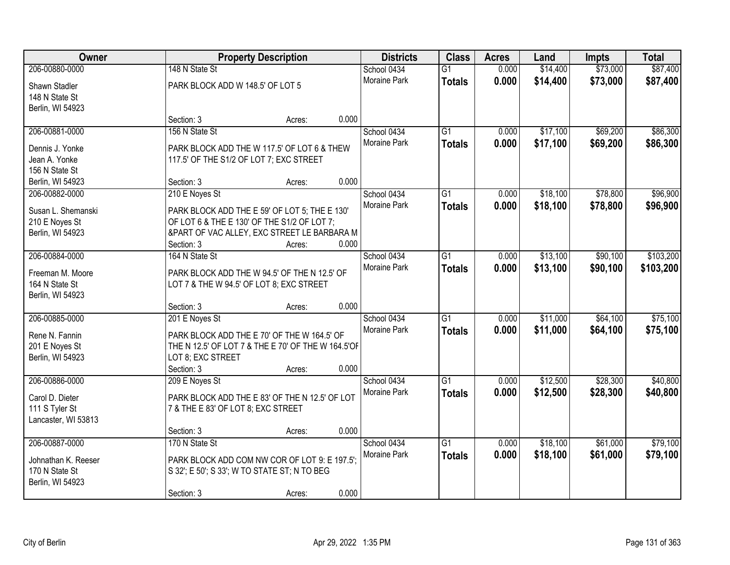| Owner                                 |                                                                                               | <b>Property Description</b> |       | <b>Districts</b>    | <b>Class</b>    | <b>Acres</b> | Land     | <b>Impts</b> | <b>Total</b> |
|---------------------------------------|-----------------------------------------------------------------------------------------------|-----------------------------|-------|---------------------|-----------------|--------------|----------|--------------|--------------|
| 206-00880-0000                        | 148 N State St                                                                                |                             |       | School 0434         | $\overline{G1}$ | 0.000        | \$14,400 | \$73,000     | \$87,400     |
| Shawn Stadler                         | PARK BLOCK ADD W 148.5' OF LOT 5                                                              |                             |       | Moraine Park        | <b>Totals</b>   | 0.000        | \$14,400 | \$73,000     | \$87,400     |
| 148 N State St                        |                                                                                               |                             |       |                     |                 |              |          |              |              |
| Berlin, WI 54923                      |                                                                                               |                             |       |                     |                 |              |          |              |              |
|                                       | Section: 3                                                                                    | Acres:                      | 0.000 |                     |                 |              |          |              |              |
| 206-00881-0000                        | 156 N State St                                                                                |                             |       | School 0434         | $\overline{G1}$ | 0.000        | \$17,100 | \$69,200     | \$86,300     |
| Dennis J. Yonke                       | PARK BLOCK ADD THE W 117.5' OF LOT 6 & THEW                                                   |                             |       | <b>Moraine Park</b> | <b>Totals</b>   | 0.000        | \$17,100 | \$69,200     | \$86,300     |
| Jean A. Yonke                         | 117.5' OF THE S1/2 OF LOT 7; EXC STREET                                                       |                             |       |                     |                 |              |          |              |              |
| 156 N State St                        |                                                                                               |                             |       |                     |                 |              |          |              |              |
| Berlin, WI 54923                      | Section: 3                                                                                    | Acres:                      | 0.000 |                     |                 |              |          |              |              |
| 206-00882-0000                        | 210 E Noyes St                                                                                |                             |       | School 0434         | $\overline{G1}$ | 0.000        | \$18,100 | \$78,800     | \$96,900     |
| Susan L. Shemanski                    | PARK BLOCK ADD THE E 59' OF LOT 5; THE E 130'                                                 |                             |       | Moraine Park        | <b>Totals</b>   | 0.000        | \$18,100 | \$78,800     | \$96,900     |
| 210 E Noyes St                        | OF LOT 6 & THE E 130' OF THE S1/2 OF LOT 7;                                                   |                             |       |                     |                 |              |          |              |              |
| Berlin, WI 54923                      | &PART OF VAC ALLEY, EXC STREET LE BARBARA M                                                   |                             |       |                     |                 |              |          |              |              |
|                                       | Section: 3                                                                                    | Acres:                      | 0.000 |                     |                 |              |          |              |              |
| 206-00884-0000                        | 164 N State St                                                                                |                             |       | School 0434         | $\overline{G1}$ | 0.000        | \$13,100 | \$90,100     | \$103,200    |
| Freeman M. Moore                      | PARK BLOCK ADD THE W 94.5' OF THE N 12.5' OF                                                  |                             |       | <b>Moraine Park</b> | <b>Totals</b>   | 0.000        | \$13,100 | \$90,100     | \$103,200    |
| 164 N State St                        | LOT 7 & THE W 94.5' OF LOT 8; EXC STREET                                                      |                             |       |                     |                 |              |          |              |              |
| Berlin, WI 54923                      |                                                                                               |                             |       |                     |                 |              |          |              |              |
|                                       | Section: 3                                                                                    | Acres:                      | 0.000 |                     |                 |              |          |              |              |
| 206-00885-0000                        | 201 E Noyes St                                                                                |                             |       | School 0434         | $\overline{G1}$ | 0.000        | \$11,000 | \$64,100     | \$75,100     |
| Rene N. Fannin                        | PARK BLOCK ADD THE E 70' OF THE W 164.5' OF                                                   |                             |       | <b>Moraine Park</b> | <b>Totals</b>   | 0.000        | \$11,000 | \$64,100     | \$75,100     |
| 201 E Noyes St                        | THE N 12.5' OF LOT 7 & THE E 70' OF THE W 164.5'OF                                            |                             |       |                     |                 |              |          |              |              |
| Berlin, WI 54923                      | LOT 8; EXC STREET                                                                             |                             |       |                     |                 |              |          |              |              |
|                                       | Section: 3                                                                                    | Acres:                      | 0.000 |                     |                 |              |          |              |              |
| 206-00886-0000                        | 209 E Noyes St                                                                                |                             |       | School 0434         | $\overline{G1}$ | 0.000        | \$12,500 | \$28,300     | \$40,800     |
| Carol D. Dieter                       | PARK BLOCK ADD THE E 83' OF THE N 12.5' OF LOT                                                |                             |       | Moraine Park        | <b>Totals</b>   | 0.000        | \$12,500 | \$28,300     | \$40,800     |
| 111 S Tyler St                        | 7 & THE E 83' OF LOT 8; EXC STREET                                                            |                             |       |                     |                 |              |          |              |              |
| Lancaster, WI 53813                   |                                                                                               |                             |       |                     |                 |              |          |              |              |
|                                       | Section: 3                                                                                    | Acres:                      | 0.000 |                     |                 |              |          |              |              |
| 206-00887-0000                        | 170 N State St                                                                                |                             |       | School 0434         | $\overline{G1}$ | 0.000        | \$18,100 | \$61,000     | \$79,100     |
|                                       |                                                                                               |                             |       | Moraine Park        | <b>Totals</b>   | 0.000        | \$18,100 | \$61,000     | \$79,100     |
| Johnathan K. Reeser<br>170 N State St | PARK BLOCK ADD COM NW COR OF LOT 9: E 197.5";<br>S 32'; E 50'; S 33'; W TO STATE ST; N TO BEG |                             |       |                     |                 |              |          |              |              |
| Berlin, WI 54923                      |                                                                                               |                             |       |                     |                 |              |          |              |              |
|                                       |                                                                                               |                             |       |                     |                 |              |          |              |              |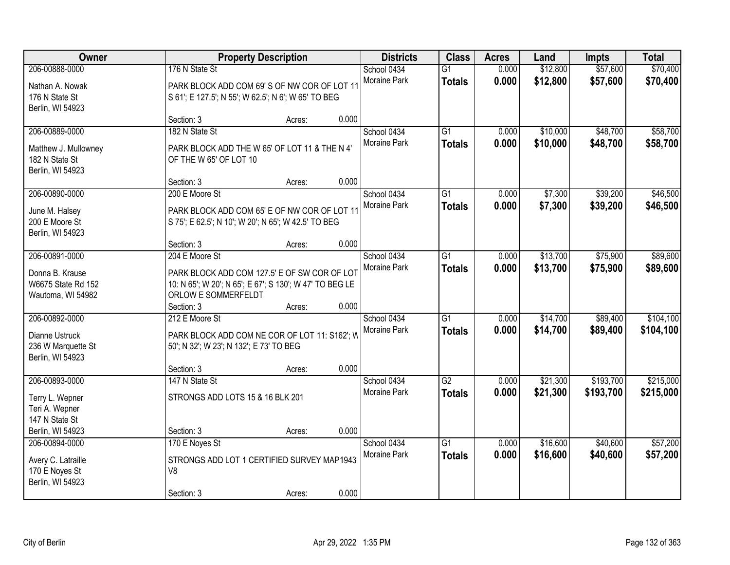| Owner                                                                                     | <b>Property Description</b>                                                                                                                                              |                | <b>Districts</b>            | <b>Class</b>                     | <b>Acres</b>   | Land                 | <b>Impts</b>           | <b>Total</b>           |
|-------------------------------------------------------------------------------------------|--------------------------------------------------------------------------------------------------------------------------------------------------------------------------|----------------|-----------------------------|----------------------------------|----------------|----------------------|------------------------|------------------------|
| 206-00888-0000<br>Nathan A. Nowak<br>176 N State St                                       | 176 N State St<br>PARK BLOCK ADD COM 69'S OF NW COR OF LOT 11<br>S 61'; E 127.5'; N 55'; W 62.5'; N 6'; W 65' TO BEG                                                     |                | School 0434<br>Moraine Park | $\overline{G1}$<br><b>Totals</b> | 0.000<br>0.000 | \$12,800<br>\$12,800 | \$57,600<br>\$57,600   | \$70,400<br>\$70,400   |
| Berlin, WI 54923                                                                          | Section: 3<br>Acres:                                                                                                                                                     | 0.000          |                             |                                  |                |                      |                        |                        |
| 206-00889-0000<br>Matthew J. Mullowney<br>182 N State St<br>Berlin, WI 54923              | 182 N State St<br>PARK BLOCK ADD THE W 65' OF LOT 11 & THE N 4'<br>OF THE W 65' OF LOT 10                                                                                |                | School 0434<br>Moraine Park | $\overline{G1}$<br><b>Totals</b> | 0.000<br>0.000 | \$10,000<br>\$10,000 | \$48,700<br>\$48,700   | \$58,700<br>\$58,700   |
| 206-00890-0000<br>June M. Halsey<br>200 E Moore St<br>Berlin, WI 54923                    | Section: 3<br>Acres:<br>200 E Moore St<br>PARK BLOCK ADD COM 65' E OF NW COR OF LOT 11<br>S 75'; E 62.5'; N 10'; W 20'; N 65'; W 42.5' TO BEG                            | 0.000          | School 0434<br>Moraine Park | G1<br><b>Totals</b>              | 0.000<br>0.000 | \$7,300<br>\$7,300   | \$39,200<br>\$39,200   | \$46,500<br>\$46,500   |
| 206-00891-0000<br>Donna B. Krause<br>W6675 State Rd 152<br>Wautoma, WI 54982              | Section: 3<br>Acres:<br>204 E Moore St<br>PARK BLOCK ADD COM 127.5' E OF SW COR OF LOT<br>10: N 65'; W 20'; N 65'; E 67'; S 130'; W 47' TO BEG LE<br>ORLOW E SOMMERFELDT | 0.000          | School 0434<br>Moraine Park | G1<br><b>Totals</b>              | 0.000<br>0.000 | \$13,700<br>\$13,700 | \$75,900<br>\$75,900   | \$89,600<br>\$89,600   |
| 206-00892-0000<br>Dianne Ustruck<br>236 W Marquette St<br>Berlin, WI 54923                | Section: 3<br>Acres:<br>212 E Moore St<br>PARK BLOCK ADD COM NE COR OF LOT 11: S162'; W<br>50'; N 32'; W 23'; N 132'; E 73' TO BEG<br>Section: 3<br>Acres:               | 0.000<br>0.000 | School 0434<br>Moraine Park | $\overline{G1}$<br><b>Totals</b> | 0.000<br>0.000 | \$14,700<br>\$14,700 | \$89,400<br>\$89,400   | \$104,100<br>\$104,100 |
| 206-00893-0000<br>Terry L. Wepner<br>Teri A. Wepner<br>147 N State St<br>Berlin, WI 54923 | 147 N State St<br>STRONGS ADD LOTS 15 & 16 BLK 201<br>Section: 3<br>Acres:                                                                                               | 0.000          | School 0434<br>Moraine Park | $\overline{G2}$<br><b>Totals</b> | 0.000<br>0.000 | \$21,300<br>\$21,300 | \$193,700<br>\$193,700 | \$215,000<br>\$215,000 |
| 206-00894-0000<br>Avery C. Latraille<br>170 E Noyes St<br>Berlin, WI 54923                | 170 E Noyes St<br>STRONGS ADD LOT 1 CERTIFIED SURVEY MAP1943<br>V8<br>Section: 3<br>Acres:                                                                               | 0.000          | School 0434<br>Moraine Park | $\overline{G1}$<br><b>Totals</b> | 0.000<br>0.000 | \$16,600<br>\$16,600 | \$40,600<br>\$40,600   | \$57,200<br>\$57,200   |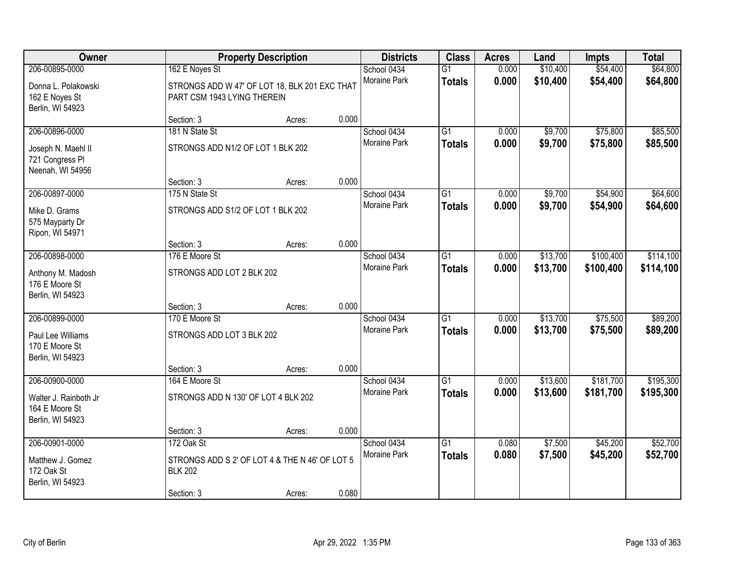| Owner                                                                       |                                                                                                | <b>Property Description</b> |       | <b>Districts</b>            | <b>Class</b>                     | <b>Acres</b>   | Land                 | <b>Impts</b>           | <b>Total</b>           |
|-----------------------------------------------------------------------------|------------------------------------------------------------------------------------------------|-----------------------------|-------|-----------------------------|----------------------------------|----------------|----------------------|------------------------|------------------------|
| 206-00895-0000<br>Donna L. Polakowski<br>162 E Noyes St<br>Berlin, WI 54923 | 162 E Noyes St<br>STRONGS ADD W 47' OF LOT 18, BLK 201 EXC THAT<br>PART CSM 1943 LYING THEREIN |                             |       | School 0434<br>Moraine Park | $\overline{G1}$<br><b>Totals</b> | 0.000<br>0.000 | \$10,400<br>\$10,400 | \$54,400<br>\$54,400   | \$64,800<br>\$64,800   |
|                                                                             | Section: 3                                                                                     | Acres:                      | 0.000 |                             |                                  |                |                      |                        |                        |
| 206-00896-0000<br>Joseph N. Maehl II<br>721 Congress Pl<br>Neenah, WI 54956 | 181 N State St<br>STRONGS ADD N1/2 OF LOT 1 BLK 202                                            |                             |       | School 0434<br>Moraine Park | $\overline{G1}$<br><b>Totals</b> | 0.000<br>0.000 | \$9,700<br>\$9,700   | \$75,800<br>\$75,800   | \$85,500<br>\$85,500   |
|                                                                             | Section: 3                                                                                     | Acres:                      | 0.000 |                             |                                  |                |                      |                        |                        |
| 206-00897-0000<br>Mike D. Grams<br>575 Mayparty Dr<br>Ripon, WI 54971       | 175 N State St<br>STRONGS ADD S1/2 OF LOT 1 BLK 202                                            |                             |       | School 0434<br>Moraine Park | $\overline{G1}$<br><b>Totals</b> | 0.000<br>0.000 | \$9,700<br>\$9,700   | \$54,900<br>\$54,900   | \$64,600<br>\$64,600   |
|                                                                             | Section: 3                                                                                     | Acres:                      | 0.000 |                             |                                  |                |                      |                        |                        |
| 206-00898-0000<br>Anthony M. Madosh<br>176 E Moore St<br>Berlin, WI 54923   | 176 E Moore St<br>STRONGS ADD LOT 2 BLK 202                                                    |                             |       | School 0434<br>Moraine Park | $\overline{G1}$<br><b>Totals</b> | 0.000<br>0.000 | \$13,700<br>\$13,700 | \$100,400<br>\$100,400 | \$114,100<br>\$114,100 |
|                                                                             | Section: 3                                                                                     | Acres:                      | 0.000 |                             |                                  |                |                      |                        |                        |
| 206-00899-0000<br>Paul Lee Williams<br>170 E Moore St<br>Berlin, WI 54923   | 170 E Moore St<br>STRONGS ADD LOT 3 BLK 202<br>Section: 3                                      | Acres:                      | 0.000 | School 0434<br>Moraine Park | $\overline{G1}$<br><b>Totals</b> | 0.000<br>0.000 | \$13,700<br>\$13,700 | \$75,500<br>\$75,500   | \$89,200<br>\$89,200   |
| 206-00900-0000                                                              | 164 E Moore St                                                                                 |                             |       | School 0434                 | $\overline{G1}$                  | 0.000          | \$13,600             | \$181,700              | \$195,300              |
| Walter J. Rainboth Jr<br>164 E Moore St<br>Berlin, WI 54923                 | STRONGS ADD N 130' OF LOT 4 BLK 202                                                            |                             |       | Moraine Park                | <b>Totals</b>                    | 0.000          | \$13,600             | \$181,700              | \$195,300              |
|                                                                             | Section: 3                                                                                     | Acres:                      | 0.000 |                             |                                  |                |                      |                        |                        |
| 206-00901-0000<br>Matthew J. Gomez<br>172 Oak St<br>Berlin, WI 54923        | 172 Oak St<br>STRONGS ADD S 2' OF LOT 4 & THE N 46' OF LOT 5<br><b>BLK 202</b><br>Section: 3   | Acres:                      | 0.080 | School 0434<br>Moraine Park | $\overline{G1}$<br><b>Totals</b> | 0.080<br>0.080 | \$7,500<br>\$7,500   | \$45,200<br>\$45,200   | \$52,700<br>\$52,700   |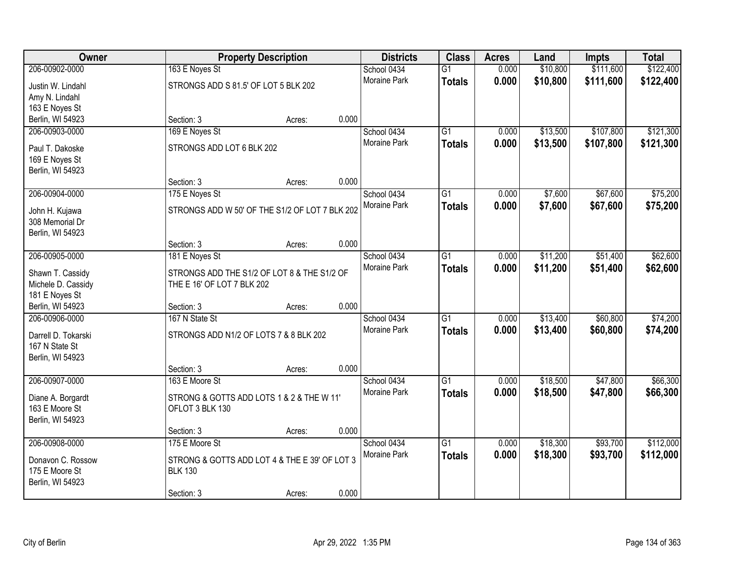| Owner               |                                                | <b>Property Description</b> |       | <b>Districts</b>    | <b>Class</b>    | <b>Acres</b> | Land     | Impts     | <b>Total</b> |
|---------------------|------------------------------------------------|-----------------------------|-------|---------------------|-----------------|--------------|----------|-----------|--------------|
| 206-00902-0000      | 163 E Noyes St                                 |                             |       | School 0434         | $\overline{G1}$ | 0.000        | \$10,800 | \$111,600 | \$122,400    |
| Justin W. Lindahl   | STRONGS ADD S 81.5' OF LOT 5 BLK 202           |                             |       | <b>Moraine Park</b> | <b>Totals</b>   | 0.000        | \$10,800 | \$111,600 | \$122,400    |
| Amy N. Lindahl      |                                                |                             |       |                     |                 |              |          |           |              |
| 163 E Noyes St      |                                                |                             |       |                     |                 |              |          |           |              |
| Berlin, WI 54923    | Section: 3                                     | Acres:                      | 0.000 |                     |                 |              |          |           |              |
| 206-00903-0000      | 169 E Noyes St                                 |                             |       | School 0434         | $\overline{G1}$ | 0.000        | \$13,500 | \$107,800 | \$121,300    |
| Paul T. Dakoske     | STRONGS ADD LOT 6 BLK 202                      |                             |       | Moraine Park        | <b>Totals</b>   | 0.000        | \$13,500 | \$107,800 | \$121,300    |
| 169 E Noyes St      |                                                |                             |       |                     |                 |              |          |           |              |
| Berlin, WI 54923    |                                                |                             |       |                     |                 |              |          |           |              |
|                     | Section: 3                                     | Acres:                      | 0.000 |                     |                 |              |          |           |              |
| 206-00904-0000      | 175 E Noyes St                                 |                             |       | School 0434         | $\overline{G1}$ | 0.000        | \$7,600  | \$67,600  | \$75,200     |
| John H. Kujawa      | STRONGS ADD W 50' OF THE S1/2 OF LOT 7 BLK 202 |                             |       | Moraine Park        | <b>Totals</b>   | 0.000        | \$7,600  | \$67,600  | \$75,200     |
| 308 Memorial Dr     |                                                |                             |       |                     |                 |              |          |           |              |
| Berlin, WI 54923    |                                                |                             |       |                     |                 |              |          |           |              |
|                     | Section: 3                                     | Acres:                      | 0.000 |                     |                 |              |          |           |              |
| 206-00905-0000      | 181 E Noyes St                                 |                             |       | School 0434         | $\overline{G1}$ | 0.000        | \$11,200 | \$51,400  | \$62,600     |
| Shawn T. Cassidy    | STRONGS ADD THE S1/2 OF LOT 8 & THE S1/2 OF    |                             |       | Moraine Park        | <b>Totals</b>   | 0.000        | \$11,200 | \$51,400  | \$62,600     |
| Michele D. Cassidy  | THE E 16' OF LOT 7 BLK 202                     |                             |       |                     |                 |              |          |           |              |
| 181 E Noyes St      |                                                |                             |       |                     |                 |              |          |           |              |
| Berlin, WI 54923    | Section: 3                                     | Acres:                      | 0.000 |                     |                 |              |          |           |              |
| 206-00906-0000      | 167 N State St                                 |                             |       | School 0434         | $\overline{G1}$ | 0.000        | \$13,400 | \$60,800  | \$74,200     |
| Darrell D. Tokarski | STRONGS ADD N1/2 OF LOTS 7 & 8 BLK 202         |                             |       | Moraine Park        | <b>Totals</b>   | 0.000        | \$13,400 | \$60,800  | \$74,200     |
| 167 N State St      |                                                |                             |       |                     |                 |              |          |           |              |
| Berlin, WI 54923    |                                                |                             |       |                     |                 |              |          |           |              |
|                     | Section: 3                                     | Acres:                      | 0.000 |                     |                 |              |          |           |              |
| 206-00907-0000      | 163 E Moore St                                 |                             |       | School 0434         | $\overline{G1}$ | 0.000        | \$18,500 | \$47,800  | \$66,300     |
| Diane A. Borgardt   | STRONG & GOTTS ADD LOTS 1 & 2 & THE W 11'      |                             |       | Moraine Park        | <b>Totals</b>   | 0.000        | \$18,500 | \$47,800  | \$66,300     |
| 163 E Moore St      | OFLOT 3 BLK 130                                |                             |       |                     |                 |              |          |           |              |
| Berlin, WI 54923    |                                                |                             |       |                     |                 |              |          |           |              |
|                     | Section: 3                                     | Acres:                      | 0.000 |                     |                 |              |          |           |              |
| 206-00908-0000      | 175 E Moore St                                 |                             |       | School 0434         | $\overline{G1}$ | 0.000        | \$18,300 | \$93,700  | \$112,000    |
| Donavon C. Rossow   | STRONG & GOTTS ADD LOT 4 & THE E 39' OF LOT 3  |                             |       | Moraine Park        | <b>Totals</b>   | 0.000        | \$18,300 | \$93,700  | \$112,000    |
| 175 E Moore St      | <b>BLK 130</b>                                 |                             |       |                     |                 |              |          |           |              |
| Berlin, WI 54923    |                                                |                             |       |                     |                 |              |          |           |              |
|                     | Section: 3                                     | Acres:                      | 0.000 |                     |                 |              |          |           |              |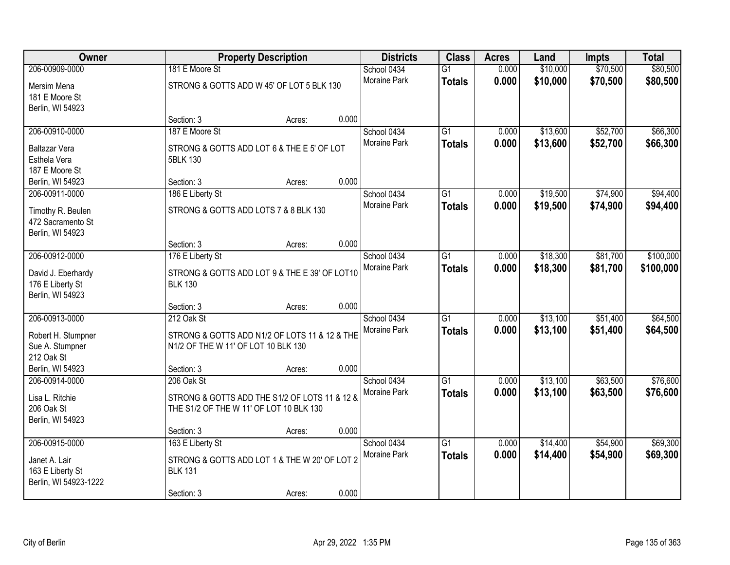| Owner                                                      |                                                                                          | <b>Property Description</b> |       | <b>Districts</b>                   | <b>Class</b>                     | <b>Acres</b>   | Land                 | <b>Impts</b>         | <b>Total</b>         |
|------------------------------------------------------------|------------------------------------------------------------------------------------------|-----------------------------|-------|------------------------------------|----------------------------------|----------------|----------------------|----------------------|----------------------|
| 206-00909-0000<br>Mersim Mena                              | 181 E Moore St<br>STRONG & GOTTS ADD W 45' OF LOT 5 BLK 130                              |                             |       | School 0434<br><b>Moraine Park</b> | $\overline{G1}$<br><b>Totals</b> | 0.000<br>0.000 | \$10,000<br>\$10,000 | \$70,500<br>\$70,500 | \$80,500<br>\$80,500 |
| 181 E Moore St<br>Berlin, WI 54923                         |                                                                                          |                             |       |                                    |                                  |                |                      |                      |                      |
|                                                            | Section: 3                                                                               | Acres:                      | 0.000 |                                    |                                  |                |                      |                      |                      |
| 206-00910-0000                                             | 187 E Moore St                                                                           |                             |       | School 0434<br>Moraine Park        | $\overline{G1}$<br><b>Totals</b> | 0.000<br>0.000 | \$13,600<br>\$13,600 | \$52,700<br>\$52,700 | \$66,300<br>\$66,300 |
| Baltazar Vera<br>Esthela Vera<br>187 E Moore St            | STRONG & GOTTS ADD LOT 6 & THE E 5' OF LOT<br>5BLK 130                                   |                             |       |                                    |                                  |                |                      |                      |                      |
| Berlin, WI 54923                                           | Section: 3                                                                               | Acres:                      | 0.000 |                                    |                                  |                |                      |                      |                      |
| 206-00911-0000                                             | 186 E Liberty St                                                                         |                             |       | School 0434                        | $\overline{G1}$                  | 0.000          | \$19,500             | \$74,900             | \$94,400             |
| Timothy R. Beulen<br>472 Sacramento St                     | STRONG & GOTTS ADD LOTS 7 & 8 BLK 130                                                    |                             |       | Moraine Park                       | <b>Totals</b>                    | 0.000          | \$19,500             | \$74,900             | \$94,400             |
| Berlin, WI 54923                                           | Section: 3                                                                               | Acres:                      | 0.000 |                                    |                                  |                |                      |                      |                      |
| 206-00912-0000                                             | 176 E Liberty St                                                                         |                             |       | School 0434                        | G1                               | 0.000          | \$18,300             | \$81,700             | \$100,000            |
| David J. Eberhardy<br>176 E Liberty St<br>Berlin, WI 54923 | STRONG & GOTTS ADD LOT 9 & THE E 39' OF LOT10<br><b>BLK 130</b>                          |                             |       | Moraine Park                       | <b>Totals</b>                    | 0.000          | \$18,300             | \$81,700             | \$100,000            |
|                                                            | Section: 3                                                                               | Acres:                      | 0.000 |                                    |                                  |                |                      |                      |                      |
| 206-00913-0000                                             | 212 Oak St                                                                               |                             |       | School 0434<br>Moraine Park        | $\overline{G1}$<br><b>Totals</b> | 0.000<br>0.000 | \$13,100<br>\$13,100 | \$51,400<br>\$51,400 | \$64,500<br>\$64,500 |
| Robert H. Stumpner<br>Sue A. Stumpner<br>212 Oak St        | STRONG & GOTTS ADD N1/2 OF LOTS 11 & 12 & THE<br>N1/2 OF THE W 11' OF LOT 10 BLK 130     |                             |       |                                    |                                  |                |                      |                      |                      |
| Berlin, WI 54923                                           | Section: 3                                                                               | Acres:                      | 0.000 |                                    |                                  |                |                      |                      |                      |
| 206-00914-0000                                             | 206 Oak St                                                                               |                             |       | School 0434                        | $\overline{G1}$                  | 0.000          | \$13,100             | \$63,500             | \$76,600             |
| Lisa L. Ritchie<br>206 Oak St<br>Berlin, WI 54923          | STRONG & GOTTS ADD THE S1/2 OF LOTS 11 & 12 &<br>THE S1/2 OF THE W 11' OF LOT 10 BLK 130 |                             |       | Moraine Park                       | <b>Totals</b>                    | 0.000          | \$13,100             | \$63,500             | \$76,600             |
|                                                            | Section: 3                                                                               | Acres:                      | 0.000 |                                    |                                  |                |                      |                      |                      |
| 206-00915-0000                                             | 163 E Liberty St                                                                         |                             |       | School 0434                        | $\overline{G1}$                  | 0.000          | \$14,400             | \$54,900             | \$69,300             |
| Janet A. Lair<br>163 E Liberty St<br>Berlin, WI 54923-1222 | STRONG & GOTTS ADD LOT 1 & THE W 20' OF LOT 2<br><b>BLK 131</b>                          |                             |       | Moraine Park                       | <b>Totals</b>                    | 0.000          | \$14,400             | \$54,900             | \$69,300             |
|                                                            | Section: 3                                                                               | Acres:                      | 0.000 |                                    |                                  |                |                      |                      |                      |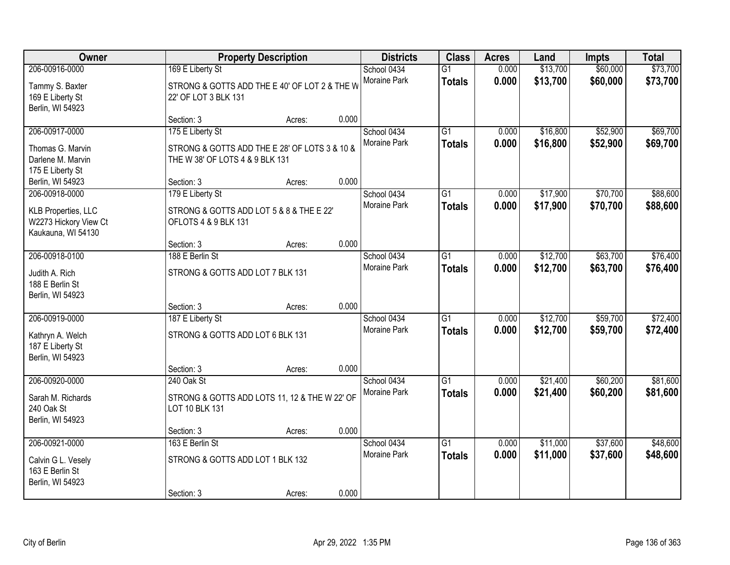| Owner                                                                                |                                                                                                      | <b>Property Description</b> |       | <b>Districts</b>                   | <b>Class</b>                     | <b>Acres</b>   | Land                 | <b>Impts</b>         | <b>Total</b>         |
|--------------------------------------------------------------------------------------|------------------------------------------------------------------------------------------------------|-----------------------------|-------|------------------------------------|----------------------------------|----------------|----------------------|----------------------|----------------------|
| 206-00916-0000<br>Tammy S. Baxter<br>169 E Liberty St<br>Berlin, WI 54923            | 169 E Liberty St<br>STRONG & GOTTS ADD THE E 40' OF LOT 2 & THE W<br>22' OF LOT 3 BLK 131            |                             |       | School 0434<br>Moraine Park        | $\overline{G1}$<br><b>Totals</b> | 0.000<br>0.000 | \$13,700<br>\$13,700 | \$60,000<br>\$60,000 | \$73,700<br>\$73,700 |
|                                                                                      | Section: 3                                                                                           | Acres:                      | 0.000 |                                    |                                  |                |                      |                      |                      |
| 206-00917-0000<br>Thomas G. Marvin<br>Darlene M. Marvin<br>175 E Liberty St          | 175 E Liberty St<br>STRONG & GOTTS ADD THE E 28' OF LOTS 3 & 10 &<br>THE W 38' OF LOTS 4 & 9 BLK 131 |                             |       | School 0434<br>Moraine Park        | $\overline{G1}$<br><b>Totals</b> | 0.000<br>0.000 | \$16,800<br>\$16,800 | \$52,900<br>\$52,900 | \$69,700<br>\$69,700 |
| Berlin, WI 54923                                                                     | Section: 3                                                                                           | Acres:                      | 0.000 |                                    |                                  |                |                      |                      |                      |
| 206-00918-0000<br>KLB Properties, LLC<br>W2273 Hickory View Ct<br>Kaukauna, WI 54130 | 179 E Liberty St<br>STRONG & GOTTS ADD LOT 5 & 8 & THE E 22'<br>OFLOTS 4 & 9 BLK 131                 |                             |       | School 0434<br>Moraine Park        | $\overline{G1}$<br><b>Totals</b> | 0.000<br>0.000 | \$17,900<br>\$17,900 | \$70,700<br>\$70,700 | \$88,600<br>\$88,600 |
|                                                                                      | Section: 3                                                                                           | Acres:                      | 0.000 |                                    |                                  |                |                      |                      |                      |
| 206-00918-0100<br>Judith A. Rich<br>188 E Berlin St<br>Berlin, WI 54923              | 188 E Berlin St<br>STRONG & GOTTS ADD LOT 7 BLK 131                                                  |                             |       | School 0434<br>Moraine Park        | G1<br><b>Totals</b>              | 0.000<br>0.000 | \$12,700<br>\$12,700 | \$63,700<br>\$63,700 | \$76,400<br>\$76,400 |
|                                                                                      | Section: 3                                                                                           | Acres:                      | 0.000 |                                    |                                  |                |                      |                      |                      |
| 206-00919-0000<br>Kathryn A. Welch<br>187 E Liberty St<br>Berlin, WI 54923           | 187 E Liberty St<br>STRONG & GOTTS ADD LOT 6 BLK 131                                                 |                             |       | School 0434<br>Moraine Park        | $\overline{G1}$<br><b>Totals</b> | 0.000<br>0.000 | \$12,700<br>\$12,700 | \$59,700<br>\$59,700 | \$72,400<br>\$72,400 |
|                                                                                      | Section: 3                                                                                           | Acres:                      | 0.000 |                                    |                                  |                |                      |                      |                      |
| 206-00920-0000<br>Sarah M. Richards<br>240 Oak St<br>Berlin, WI 54923                | 240 Oak St<br>STRONG & GOTTS ADD LOTS 11, 12 & THE W 22' OF<br>LOT 10 BLK 131                        |                             |       | School 0434<br>Moraine Park        | $\overline{G1}$<br><b>Totals</b> | 0.000<br>0.000 | \$21,400<br>\$21,400 | \$60,200<br>\$60,200 | \$81,600<br>\$81,600 |
|                                                                                      | Section: 3                                                                                           | Acres:                      | 0.000 |                                    |                                  |                |                      |                      |                      |
| 206-00921-0000<br>Calvin G L. Vesely<br>163 E Berlin St<br>Berlin, WI 54923          | 163 E Berlin St<br>STRONG & GOTTS ADD LOT 1 BLK 132<br>Section: 3                                    | Acres:                      | 0.000 | School 0434<br><b>Moraine Park</b> | $\overline{G1}$<br><b>Totals</b> | 0.000<br>0.000 | \$11,000<br>\$11,000 | \$37,600<br>\$37,600 | \$48,600<br>\$48,600 |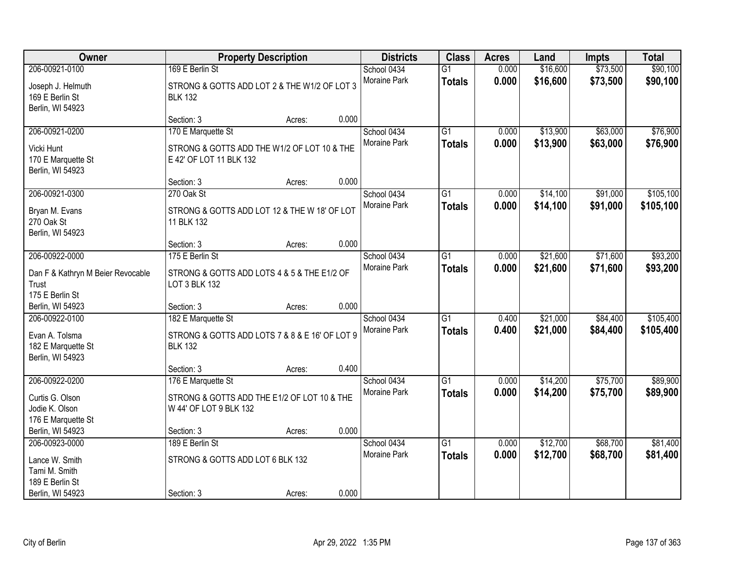| Owner                                                                           |                                                                                              | <b>Property Description</b> |       | <b>Districts</b>                   | <b>Class</b>                     | <b>Acres</b>   | Land                 | <b>Impts</b>         | <b>Total</b>           |
|---------------------------------------------------------------------------------|----------------------------------------------------------------------------------------------|-----------------------------|-------|------------------------------------|----------------------------------|----------------|----------------------|----------------------|------------------------|
| 206-00921-0100<br>Joseph J. Helmuth<br>169 E Berlin St                          | 169 E Berlin St<br>STRONG & GOTTS ADD LOT 2 & THE W1/2 OF LOT 3<br><b>BLK 132</b>            |                             |       | School 0434<br>Moraine Park        | $\overline{G1}$<br><b>Totals</b> | 0.000<br>0.000 | \$16,600<br>\$16,600 | \$73,500<br>\$73,500 | \$90,100<br>\$90,100   |
| Berlin, WI 54923                                                                | Section: 3                                                                                   | Acres:                      | 0.000 |                                    |                                  |                |                      |                      |                        |
| 206-00921-0200<br>Vicki Hunt<br>170 E Marquette St<br>Berlin, WI 54923          | 170 E Marquette St<br>STRONG & GOTTS ADD THE W1/2 OF LOT 10 & THE<br>E 42' OF LOT 11 BLK 132 |                             |       | School 0434<br>Moraine Park        | $\overline{G1}$<br><b>Totals</b> | 0.000<br>0.000 | \$13,900<br>\$13,900 | \$63,000<br>\$63,000 | \$76,900<br>\$76,900   |
|                                                                                 | Section: 3                                                                                   | Acres:                      | 0.000 |                                    |                                  |                |                      |                      |                        |
| 206-00921-0300<br>Bryan M. Evans<br>270 Oak St<br>Berlin, WI 54923              | 270 Oak St<br>STRONG & GOTTS ADD LOT 12 & THE W 18' OF LOT<br>11 BLK 132                     |                             |       | School 0434<br>Moraine Park        | $\overline{G1}$<br><b>Totals</b> | 0.000<br>0.000 | \$14,100<br>\$14,100 | \$91,000<br>\$91,000 | \$105,100<br>\$105,100 |
|                                                                                 | Section: 3                                                                                   | Acres:                      | 0.000 |                                    |                                  |                |                      |                      |                        |
| 206-00922-0000<br>Dan F & Kathryn M Beier Revocable<br>Trust<br>175 E Berlin St | 175 E Berlin St<br>STRONG & GOTTS ADD LOTS 4 & 5 & THE E1/2 OF<br>LOT 3 BLK 132              |                             |       | School 0434<br><b>Moraine Park</b> | $\overline{G1}$<br><b>Totals</b> | 0.000<br>0.000 | \$21,600<br>\$21,600 | \$71,600<br>\$71,600 | \$93,200<br>\$93,200   |
| Berlin, WI 54923                                                                | Section: 3                                                                                   | Acres:                      | 0.000 |                                    |                                  |                |                      |                      |                        |
| 206-00922-0100<br>Evan A. Tolsma<br>182 E Marquette St<br>Berlin, WI 54923      | 182 E Marquette St<br>STRONG & GOTTS ADD LOTS 7 & 8 & E 16' OF LOT 9<br><b>BLK 132</b>       |                             |       | School 0434<br>Moraine Park        | $\overline{G1}$<br><b>Totals</b> | 0.400<br>0.400 | \$21,000<br>\$21,000 | \$84,400<br>\$84,400 | \$105,400<br>\$105,400 |
|                                                                                 | Section: 3                                                                                   | Acres:                      | 0.400 |                                    |                                  |                |                      |                      |                        |
| 206-00922-0200<br>Curtis G. Olson<br>Jodie K. Olson<br>176 E Marquette St       | 176 E Marquette St<br>STRONG & GOTTS ADD THE E1/2 OF LOT 10 & THE<br>W 44' OF LOT 9 BLK 132  |                             |       | School 0434<br>Moraine Park        | $\overline{G1}$<br><b>Totals</b> | 0.000<br>0.000 | \$14,200<br>\$14,200 | \$75,700<br>\$75,700 | \$89,900<br>\$89,900   |
| Berlin, WI 54923                                                                | Section: 3                                                                                   | Acres:                      | 0.000 |                                    |                                  |                |                      |                      |                        |
| 206-00923-0000<br>Lance W. Smith<br>Tami M. Smith<br>189 E Berlin St            | 189 E Berlin St<br>STRONG & GOTTS ADD LOT 6 BLK 132                                          |                             |       | School 0434<br>Moraine Park        | $\overline{G1}$<br><b>Totals</b> | 0.000<br>0.000 | \$12,700<br>\$12,700 | \$68,700<br>\$68,700 | \$81,400<br>\$81,400   |
| Berlin, WI 54923                                                                | Section: 3                                                                                   | Acres:                      | 0.000 |                                    |                                  |                |                      |                      |                        |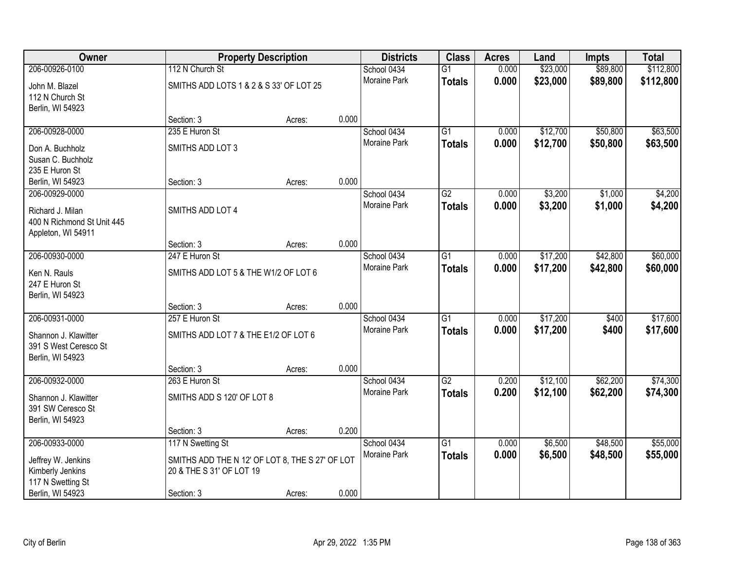| <b>Owner</b>                                  |                                                 | <b>Property Description</b> |       | <b>Districts</b>            | <b>Class</b>    | <b>Acres</b> | Land               | <b>Impts</b>       | <b>Total</b>       |
|-----------------------------------------------|-------------------------------------------------|-----------------------------|-------|-----------------------------|-----------------|--------------|--------------------|--------------------|--------------------|
| 206-00926-0100                                | 112 N Church St                                 |                             |       | School 0434                 | $\overline{G1}$ | 0.000        | \$23,000           | \$89,800           | \$112,800          |
| John M. Blazel                                | SMITHS ADD LOTS 1 & 2 & S 33' OF LOT 25         |                             |       | Moraine Park                | <b>Totals</b>   | 0.000        | \$23,000           | \$89,800           | \$112,800          |
| 112 N Church St                               |                                                 |                             |       |                             |                 |              |                    |                    |                    |
| Berlin, WI 54923                              |                                                 |                             |       |                             |                 |              |                    |                    |                    |
|                                               | Section: 3                                      | Acres:                      | 0.000 |                             |                 |              |                    |                    |                    |
| 206-00928-0000                                | 235 E Huron St                                  |                             |       | School 0434                 | $\overline{G1}$ | 0.000        | \$12,700           | \$50,800           | \$63,500           |
| Don A. Buchholz                               | SMITHS ADD LOT 3                                |                             |       | Moraine Park                | <b>Totals</b>   | 0.000        | \$12,700           | \$50,800           | \$63,500           |
| Susan C. Buchholz                             |                                                 |                             |       |                             |                 |              |                    |                    |                    |
| 235 E Huron St                                |                                                 |                             |       |                             |                 |              |                    |                    |                    |
| Berlin, WI 54923                              | Section: 3                                      | Acres:                      | 0.000 |                             |                 | 0.000        |                    |                    |                    |
| 206-00929-0000                                |                                                 |                             |       | School 0434<br>Moraine Park | $\overline{G2}$ | 0.000        | \$3,200<br>\$3,200 | \$1,000<br>\$1,000 | \$4,200<br>\$4,200 |
| Richard J. Milan                              | SMITHS ADD LOT 4                                |                             |       |                             | <b>Totals</b>   |              |                    |                    |                    |
| 400 N Richmond St Unit 445                    |                                                 |                             |       |                             |                 |              |                    |                    |                    |
| Appleton, WI 54911                            | Section: 3                                      | Acres:                      | 0.000 |                             |                 |              |                    |                    |                    |
| 206-00930-0000                                | 247 E Huron St                                  |                             |       | School 0434                 | G1              | 0.000        | \$17,200           | \$42,800           | \$60,000           |
|                                               |                                                 |                             |       | <b>Moraine Park</b>         | <b>Totals</b>   | 0.000        | \$17,200           | \$42,800           | \$60,000           |
| Ken N. Rauls                                  | SMITHS ADD LOT 5 & THE W1/2 OF LOT 6            |                             |       |                             |                 |              |                    |                    |                    |
| 247 E Huron St<br>Berlin, WI 54923            |                                                 |                             |       |                             |                 |              |                    |                    |                    |
|                                               | Section: 3                                      | Acres:                      | 0.000 |                             |                 |              |                    |                    |                    |
| 206-00931-0000                                | 257 E Huron St                                  |                             |       | School 0434                 | $\overline{G1}$ | 0.000        | \$17,200           | \$400              | \$17,600           |
|                                               |                                                 |                             |       | Moraine Park                | <b>Totals</b>   | 0.000        | \$17,200           | \$400              | \$17,600           |
| Shannon J. Klawitter<br>391 S West Ceresco St | SMITHS ADD LOT 7 & THE E1/2 OF LOT 6            |                             |       |                             |                 |              |                    |                    |                    |
| Berlin, WI 54923                              |                                                 |                             |       |                             |                 |              |                    |                    |                    |
|                                               | Section: 3                                      | Acres:                      | 0.000 |                             |                 |              |                    |                    |                    |
| 206-00932-0000                                | 263 E Huron St                                  |                             |       | School 0434                 | $\overline{G2}$ | 0.200        | \$12,100           | \$62,200           | \$74,300           |
| Shannon J. Klawitter                          | SMITHS ADD S 120' OF LOT 8                      |                             |       | Moraine Park                | <b>Totals</b>   | 0.200        | \$12,100           | \$62,200           | \$74,300           |
| 391 SW Ceresco St                             |                                                 |                             |       |                             |                 |              |                    |                    |                    |
| Berlin, WI 54923                              |                                                 |                             |       |                             |                 |              |                    |                    |                    |
|                                               | Section: 3                                      | Acres:                      | 0.200 |                             |                 |              |                    |                    |                    |
| 206-00933-0000                                | 117 N Swetting St                               |                             |       | School 0434                 | $\overline{G1}$ | 0.000        | \$6,500            | \$48,500           | \$55,000           |
| Jeffrey W. Jenkins                            | SMITHS ADD THE N 12' OF LOT 8, THE S 27' OF LOT |                             |       | Moraine Park                | <b>Totals</b>   | 0.000        | \$6,500            | \$48,500           | \$55,000           |
| Kimberly Jenkins                              | 20 & THE S 31' OF LOT 19                        |                             |       |                             |                 |              |                    |                    |                    |
| 117 N Swetting St                             |                                                 |                             |       |                             |                 |              |                    |                    |                    |
| Berlin, WI 54923                              | Section: 3                                      | Acres:                      | 0.000 |                             |                 |              |                    |                    |                    |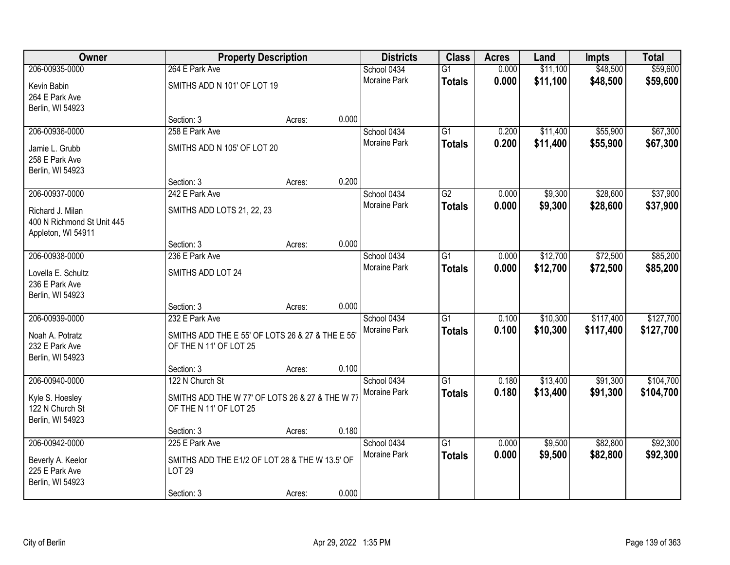| Owner                              |                                                  | <b>Property Description</b> |       | <b>Districts</b>            | <b>Class</b>    | <b>Acres</b>   | Land               | <b>Impts</b> | <b>Total</b> |
|------------------------------------|--------------------------------------------------|-----------------------------|-------|-----------------------------|-----------------|----------------|--------------------|--------------|--------------|
| 206-00935-0000                     | 264 E Park Ave                                   |                             |       | School 0434                 | $\overline{G1}$ | 0.000          | \$11,100           | \$48,500     | \$59,600     |
| Kevin Babin                        | SMITHS ADD N 101' OF LOT 19                      |                             |       | Moraine Park                | <b>Totals</b>   | 0.000          | \$11,100           | \$48,500     | \$59,600     |
| 264 E Park Ave                     |                                                  |                             |       |                             |                 |                |                    |              |              |
| Berlin, WI 54923                   |                                                  |                             |       |                             |                 |                |                    |              |              |
|                                    | Section: 3                                       | Acres:                      | 0.000 |                             |                 |                |                    |              |              |
| 206-00936-0000                     | 258 E Park Ave                                   |                             |       | School 0434                 | G1              | 0.200          | \$11,400           | \$55,900     | \$67,300     |
| Jamie L. Grubb                     | SMITHS ADD N 105' OF LOT 20                      |                             |       | Moraine Park                | <b>Totals</b>   | 0.200          | \$11,400           | \$55,900     | \$67,300     |
| 258 E Park Ave                     |                                                  |                             |       |                             |                 |                |                    |              |              |
| Berlin, WI 54923                   |                                                  |                             |       |                             |                 |                |                    |              |              |
|                                    | Section: 3                                       | Acres:                      | 0.200 |                             |                 |                |                    |              |              |
| 206-00937-0000                     | 242 E Park Ave                                   |                             |       | School 0434<br>Moraine Park | $\overline{G2}$ | 0.000<br>0.000 | \$9,300<br>\$9,300 | \$28,600     | \$37,900     |
| Richard J. Milan                   | SMITHS ADD LOTS 21, 22, 23                       |                             |       |                             | <b>Totals</b>   |                |                    | \$28,600     | \$37,900     |
| 400 N Richmond St Unit 445         |                                                  |                             |       |                             |                 |                |                    |              |              |
| Appleton, WI 54911                 | Section: 3                                       | Acres:                      | 0.000 |                             |                 |                |                    |              |              |
| 206-00938-0000                     | 236 E Park Ave                                   |                             |       | School 0434                 | G1              | 0.000          | \$12,700           | \$72,500     | \$85,200     |
|                                    |                                                  |                             |       | Moraine Park                | <b>Totals</b>   | 0.000          | \$12,700           | \$72,500     | \$85,200     |
| Lovella E. Schultz                 | SMITHS ADD LOT 24                                |                             |       |                             |                 |                |                    |              |              |
| 236 E Park Ave<br>Berlin, WI 54923 |                                                  |                             |       |                             |                 |                |                    |              |              |
|                                    | Section: 3                                       | Acres:                      | 0.000 |                             |                 |                |                    |              |              |
| 206-00939-0000                     | 232 E Park Ave                                   |                             |       | School 0434                 | $\overline{G1}$ | 0.100          | \$10,300           | \$117,400    | \$127,700    |
| Noah A. Potratz                    | SMITHS ADD THE E 55' OF LOTS 26 & 27 & THE E 55' |                             |       | Moraine Park                | <b>Totals</b>   | 0.100          | \$10,300           | \$117,400    | \$127,700    |
| 232 E Park Ave                     | OF THE N 11' OF LOT 25                           |                             |       |                             |                 |                |                    |              |              |
| Berlin, WI 54923                   |                                                  |                             |       |                             |                 |                |                    |              |              |
|                                    | Section: 3                                       | Acres:                      | 0.100 |                             |                 |                |                    |              |              |
| 206-00940-0000                     | 122 N Church St                                  |                             |       | School 0434                 | $\overline{G1}$ | 0.180          | \$13,400           | \$91,300     | \$104,700    |
| Kyle S. Hoesley                    | SMITHS ADD THE W 77' OF LOTS 26 & 27 & THE W 77  |                             |       | Moraine Park                | <b>Totals</b>   | 0.180          | \$13,400           | \$91,300     | \$104,700    |
| 122 N Church St                    | OF THE N 11' OF LOT 25                           |                             |       |                             |                 |                |                    |              |              |
| Berlin, WI 54923                   |                                                  |                             |       |                             |                 |                |                    |              |              |
|                                    | Section: 3                                       | Acres:                      | 0.180 |                             |                 |                |                    |              |              |
| 206-00942-0000                     | 225 E Park Ave                                   |                             |       | School 0434                 | $\overline{G1}$ | 0.000          | \$9,500            | \$82,800     | \$92,300     |
| Beverly A. Keelor                  | SMITHS ADD THE E1/2 OF LOT 28 & THE W 13.5' OF   |                             |       | Moraine Park                | <b>Totals</b>   | 0.000          | \$9,500            | \$82,800     | \$92,300     |
| 225 E Park Ave                     | <b>LOT 29</b>                                    |                             |       |                             |                 |                |                    |              |              |
| Berlin, WI 54923                   |                                                  |                             |       |                             |                 |                |                    |              |              |
|                                    | Section: 3                                       | Acres:                      | 0.000 |                             |                 |                |                    |              |              |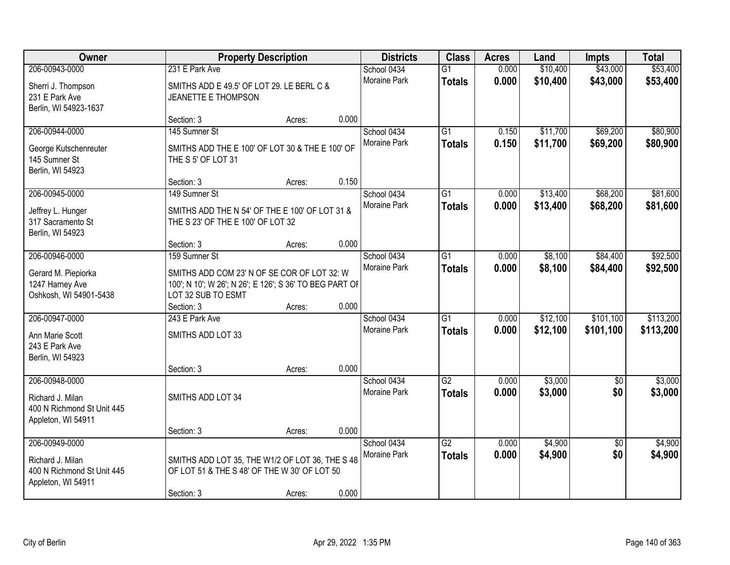| Owner                                                                                  |                                                                                                                                               | <b>Property Description</b> |       | <b>Districts</b>            | <b>Class</b>                     | <b>Acres</b>   | Land                 | <b>Impts</b>           | <b>Total</b>           |
|----------------------------------------------------------------------------------------|-----------------------------------------------------------------------------------------------------------------------------------------------|-----------------------------|-------|-----------------------------|----------------------------------|----------------|----------------------|------------------------|------------------------|
| 206-00943-0000                                                                         | 231 E Park Ave                                                                                                                                |                             |       | School 0434                 | $\overline{G1}$                  | 0.000          | \$10,400             | \$43,000               | \$53,400               |
| Sherri J. Thompson<br>231 E Park Ave<br>Berlin, WI 54923-1637                          | SMITHS ADD E 49.5' OF LOT 29. LE BERL C &<br>JEANETTE E THOMPSON                                                                              |                             |       | Moraine Park                | <b>Totals</b>                    | 0.000          | \$10,400             | \$43,000               | \$53,400               |
|                                                                                        | Section: 3                                                                                                                                    | Acres:                      | 0.000 |                             |                                  |                |                      |                        |                        |
| 206-00944-0000<br>George Kutschenreuter<br>145 Sumner St<br>Berlin, WI 54923           | 145 Sumner St<br>SMITHS ADD THE E 100' OF LOT 30 & THE E 100' OF<br>THE S 5' OF LOT 31                                                        |                             |       | School 0434<br>Moraine Park | G1<br><b>Totals</b>              | 0.150<br>0.150 | \$11,700<br>\$11,700 | \$69,200<br>\$69,200   | \$80,900<br>\$80,900   |
|                                                                                        | Section: 3                                                                                                                                    | Acres:                      | 0.150 |                             |                                  |                |                      |                        |                        |
| 206-00945-0000<br>Jeffrey L. Hunger<br>317 Sacramento St<br>Berlin, WI 54923           | 149 Sumner St<br>SMITHS ADD THE N 54' OF THE E 100' OF LOT 31 &<br>THE S 23' OF THE E 100' OF LOT 32                                          |                             |       | School 0434<br>Moraine Park | $\overline{G1}$<br><b>Totals</b> | 0.000<br>0.000 | \$13,400<br>\$13,400 | \$68,200<br>\$68,200   | \$81,600<br>\$81,600   |
|                                                                                        | Section: 3                                                                                                                                    | Acres:                      | 0.000 |                             |                                  |                |                      |                        |                        |
| 206-00946-0000<br>Gerard M. Piepiorka<br>1247 Harney Ave<br>Oshkosh, WI 54901-5438     | 159 Sumner St<br>SMITHS ADD COM 23' N OF SE COR OF LOT 32: W<br>100'; N 10'; W 26'; N 26'; E 126'; S 36' TO BEG PART OF<br>LOT 32 SUB TO ESMT |                             |       | School 0434<br>Moraine Park | $\overline{G1}$<br><b>Totals</b> | 0.000<br>0.000 | \$8,100<br>\$8,100   | \$84,400<br>\$84,400   | \$92,500<br>\$92,500   |
|                                                                                        | Section: 3                                                                                                                                    | Acres:                      | 0.000 |                             |                                  |                |                      |                        |                        |
| 206-00947-0000<br>Ann Marie Scott<br>243 E Park Ave<br>Berlin, WI 54923                | 243 E Park Ave<br>SMITHS ADD LOT 33                                                                                                           |                             | 0.000 | School 0434<br>Moraine Park | $\overline{G1}$<br><b>Totals</b> | 0.000<br>0.000 | \$12,100<br>\$12,100 | \$101,100<br>\$101,100 | \$113,200<br>\$113,200 |
| 206-00948-0000                                                                         | Section: 3                                                                                                                                    | Acres:                      |       | School 0434                 | $\overline{G2}$                  | 0.000          | \$3,000              | $\sqrt{6}$             | \$3,000                |
| Richard J. Milan<br>400 N Richmond St Unit 445<br>Appleton, WI 54911                   | SMITHS ADD LOT 34                                                                                                                             |                             |       | Moraine Park                | <b>Totals</b>                    | 0.000          | \$3,000              | \$0                    | \$3,000                |
|                                                                                        | Section: 3                                                                                                                                    | Acres:                      | 0.000 |                             |                                  |                |                      |                        |                        |
| 206-00949-0000<br>Richard J. Milan<br>400 N Richmond St Unit 445<br>Appleton, WI 54911 | SMITHS ADD LOT 35, THE W1/2 OF LOT 36, THE S 48<br>OF LOT 51 & THE S 48' OF THE W 30' OF LOT 50<br>Section: 3                                 | Acres:                      | 0.000 | School 0434<br>Moraine Park | $\overline{G2}$<br><b>Totals</b> | 0.000<br>0.000 | \$4,900<br>\$4,900   | $\overline{50}$<br>\$0 | \$4,900<br>\$4,900     |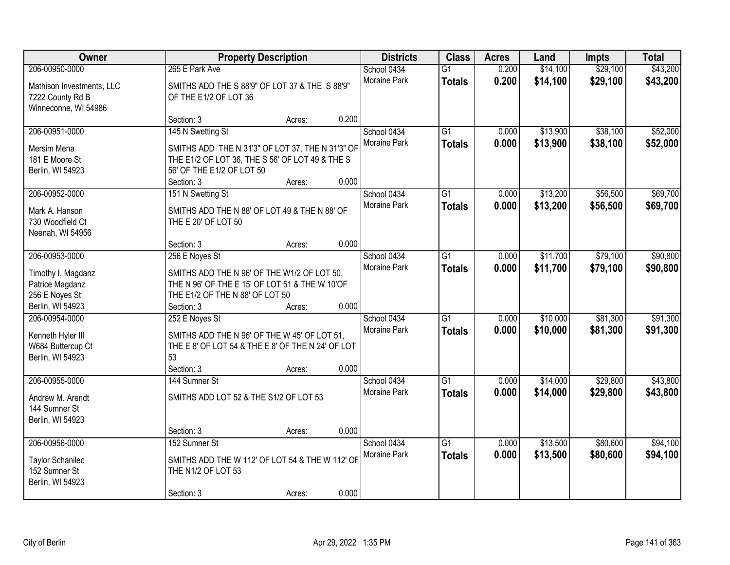| Owner                                         |                                                                                   | <b>Property Description</b> |       | <b>Districts</b>            | <b>Class</b>    | <b>Acres</b> | Land     | <b>Impts</b> | <b>Total</b> |
|-----------------------------------------------|-----------------------------------------------------------------------------------|-----------------------------|-------|-----------------------------|-----------------|--------------|----------|--------------|--------------|
| 206-00950-0000                                | 265 E Park Ave                                                                    |                             |       | School 0434                 | $\overline{G1}$ | 0.200        | \$14,100 | \$29,100     | \$43,200     |
| Mathison Investments, LLC<br>7222 County Rd B | SMITHS ADD THE S 88'9" OF LOT 37 & THE S 88'9"<br>OF THE E1/2 OF LOT 36           |                             |       | Moraine Park                | <b>Totals</b>   | 0.200        | \$14,100 | \$29,100     | \$43,200     |
| Winneconne, WI 54986                          |                                                                                   |                             |       |                             |                 |              |          |              |              |
|                                               | Section: 3                                                                        | Acres:                      | 0.200 |                             |                 |              |          |              |              |
| 206-00951-0000                                | 145 N Swetting St                                                                 |                             |       | School 0434                 | $\overline{G1}$ | 0.000        | \$13,900 | \$38,100     | \$52,000     |
| Mersim Mena                                   | SMITHS ADD THE N 31'3" OF LOT 37, THE N 31'3" OF                                  |                             |       | Moraine Park                | <b>Totals</b>   | 0.000        | \$13,900 | \$38,100     | \$52,000     |
| 181 E Moore St                                | THE E1/2 OF LOT 36, THE S 56' OF LOT 49 & THE S                                   |                             |       |                             |                 |              |          |              |              |
| Berlin, WI 54923                              | 56' OF THE E1/2 OF LOT 50                                                         |                             |       |                             |                 |              |          |              |              |
|                                               | Section: 3                                                                        | Acres:                      | 0.000 |                             |                 |              |          |              |              |
| 206-00952-0000                                | 151 N Swetting St                                                                 |                             |       | School 0434                 | $\overline{G1}$ | 0.000        | \$13,200 | \$56,500     | \$69,700     |
| Mark A. Hanson                                | SMITHS ADD THE N 88' OF LOT 49 & THE N 88' OF                                     |                             |       | Moraine Park                | <b>Totals</b>   | 0.000        | \$13,200 | \$56,500     | \$69,700     |
| 730 Woodfield Ct                              | THE E 20' OF LOT 50                                                               |                             |       |                             |                 |              |          |              |              |
| Neenah, WI 54956                              |                                                                                   |                             |       |                             |                 |              |          |              |              |
|                                               | Section: 3                                                                        | Acres:                      | 0.000 |                             |                 |              |          |              |              |
| 206-00953-0000                                | 256 E Noyes St                                                                    |                             |       | School 0434                 | $\overline{G1}$ | 0.000        | \$11,700 | \$79,100     | \$90,800     |
|                                               |                                                                                   |                             |       | <b>Moraine Park</b>         | <b>Totals</b>   | 0.000        | \$11,700 | \$79,100     | \$90,800     |
| Timothy I. Magdanz                            | SMITHS ADD THE N 96' OF THE W1/2 OF LOT 50,                                       |                             |       |                             |                 |              |          |              |              |
| Patrice Magdanz<br>256 E Noyes St             | THE N 96' OF THE E 15' OF LOT 51 & THE W 10'OF<br>THE E1/2 OF THE N 88' OF LOT 50 |                             |       |                             |                 |              |          |              |              |
| Berlin, WI 54923                              | Section: 3                                                                        | Acres:                      | 0.000 |                             |                 |              |          |              |              |
| 206-00954-0000                                | 252 E Noyes St                                                                    |                             |       | School 0434                 | $\overline{G1}$ | 0.000        | \$10,000 | \$81,300     | \$91,300     |
|                                               |                                                                                   |                             |       | <b>Moraine Park</b>         | <b>Totals</b>   | 0.000        | \$10,000 | \$81,300     | \$91,300     |
| Kenneth Hyler III                             | SMITHS ADD THE N 96' OF THE W 45' OF LOT 51,                                      |                             |       |                             |                 |              |          |              |              |
| W684 Buttercup Ct                             | THE E 8' OF LOT 54 & THE E 8' OF THE N 24' OF LOT                                 |                             |       |                             |                 |              |          |              |              |
| Berlin, WI 54923                              | 53                                                                                |                             |       |                             |                 |              |          |              |              |
|                                               | Section: 3                                                                        | Acres:                      | 0.000 |                             |                 |              |          |              |              |
| 206-00955-0000                                | 144 Sumner St                                                                     |                             |       | School 0434<br>Moraine Park | $\overline{G1}$ | 0.000        | \$14,000 | \$29,800     | \$43,800     |
| Andrew M. Arendt                              | SMITHS ADD LOT 52 & THE S1/2 OF LOT 53                                            |                             |       |                             | <b>Totals</b>   | 0.000        | \$14,000 | \$29,800     | \$43,800     |
| 144 Sumner St                                 |                                                                                   |                             |       |                             |                 |              |          |              |              |
| Berlin, WI 54923                              |                                                                                   |                             |       |                             |                 |              |          |              |              |
|                                               | Section: 3                                                                        | Acres:                      | 0.000 |                             |                 |              |          |              |              |
| 206-00956-0000                                | 152 Sumner St                                                                     |                             |       | School 0434                 | $\overline{G1}$ | 0.000        | \$13,500 | \$80,600     | \$94,100     |
| Taylor Schanilec                              | SMITHS ADD THE W 112' OF LOT 54 & THE W 112' OF                                   |                             |       | <b>Moraine Park</b>         | <b>Totals</b>   | 0.000        | \$13,500 | \$80,600     | \$94,100     |
| 152 Sumner St                                 | THE N1/2 OF LOT 53                                                                |                             |       |                             |                 |              |          |              |              |
| Berlin, WI 54923                              |                                                                                   |                             |       |                             |                 |              |          |              |              |
|                                               | Section: 3                                                                        | Acres:                      | 0.000 |                             |                 |              |          |              |              |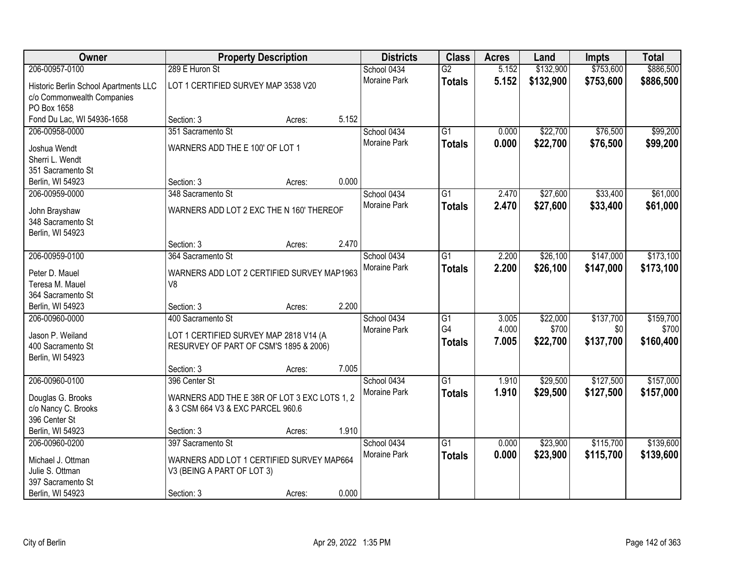| Owner                                 | <b>Property Description</b>                  |        |       | <b>Districts</b>    | <b>Class</b>    | <b>Acres</b> | Land      | <b>Impts</b> | <b>Total</b> |
|---------------------------------------|----------------------------------------------|--------|-------|---------------------|-----------------|--------------|-----------|--------------|--------------|
| 206-00957-0100                        | 289 E Huron St                               |        |       | School 0434         | $\overline{G2}$ | 5.152        | \$132,900 | \$753,600    | \$886,500    |
| Historic Berlin School Apartments LLC | LOT 1 CERTIFIED SURVEY MAP 3538 V20          |        |       | Moraine Park        | <b>Totals</b>   | 5.152        | \$132,900 | \$753,600    | \$886,500    |
| c/o Commonwealth Companies            |                                              |        |       |                     |                 |              |           |              |              |
| PO Box 1658                           |                                              |        |       |                     |                 |              |           |              |              |
| Fond Du Lac, WI 54936-1658            | Section: 3                                   | Acres: | 5.152 |                     |                 |              |           |              |              |
| 206-00958-0000                        | 351 Sacramento St                            |        |       | School 0434         | $\overline{G1}$ | 0.000        | \$22,700  | \$76,500     | \$99,200     |
| Joshua Wendt                          | WARNERS ADD THE E 100' OF LOT 1              |        |       | Moraine Park        | <b>Totals</b>   | 0.000        | \$22,700  | \$76,500     | \$99,200     |
| Sherri L. Wendt                       |                                              |        |       |                     |                 |              |           |              |              |
| 351 Sacramento St                     |                                              |        |       |                     |                 |              |           |              |              |
| Berlin, WI 54923                      | Section: 3                                   | Acres: | 0.000 |                     |                 |              |           |              |              |
| 206-00959-0000                        | 348 Sacramento St                            |        |       | School 0434         | G1              | 2.470        | \$27,600  | \$33,400     | \$61,000     |
| John Brayshaw                         | WARNERS ADD LOT 2 EXC THE N 160' THEREOF     |        |       | Moraine Park        | <b>Totals</b>   | 2.470        | \$27,600  | \$33,400     | \$61,000     |
| 348 Sacramento St                     |                                              |        |       |                     |                 |              |           |              |              |
| Berlin, WI 54923                      |                                              |        |       |                     |                 |              |           |              |              |
|                                       | Section: 3                                   | Acres: | 2.470 |                     |                 |              |           |              |              |
| 206-00959-0100                        | 364 Sacramento St                            |        |       | School 0434         | $\overline{G1}$ | 2.200        | \$26,100  | \$147,000    | \$173,100    |
| Peter D. Mauel                        | WARNERS ADD LOT 2 CERTIFIED SURVEY MAP1963   |        |       | <b>Moraine Park</b> | <b>Totals</b>   | 2.200        | \$26,100  | \$147,000    | \$173,100    |
| Teresa M. Mauel                       | V8                                           |        |       |                     |                 |              |           |              |              |
| 364 Sacramento St                     |                                              |        |       |                     |                 |              |           |              |              |
| Berlin, WI 54923                      | Section: 3                                   | Acres: | 2.200 |                     |                 |              |           |              |              |
| 206-00960-0000                        | 400 Sacramento St                            |        |       | School 0434         | G1              | 3.005        | \$22,000  | \$137,700    | \$159,700    |
| Jason P. Weiland                      | LOT 1 CERTIFIED SURVEY MAP 2818 V14 (A       |        |       | Moraine Park        | G4              | 4.000        | \$700     | \$0          | \$700        |
| 400 Sacramento St                     | RESURVEY OF PART OF CSM'S 1895 & 2006)       |        |       |                     | <b>Totals</b>   | 7.005        | \$22,700  | \$137,700    | \$160,400    |
| Berlin, WI 54923                      |                                              |        |       |                     |                 |              |           |              |              |
|                                       | Section: 3                                   | Acres: | 7.005 |                     |                 |              |           |              |              |
| 206-00960-0100                        | 396 Center St                                |        |       | School 0434         | $\overline{G1}$ | 1.910        | \$29,500  | \$127,500    | \$157,000    |
| Douglas G. Brooks                     | WARNERS ADD THE E 38R OF LOT 3 EXC LOTS 1, 2 |        |       | Moraine Park        | <b>Totals</b>   | 1.910        | \$29,500  | \$127,500    | \$157,000    |
| c/o Nancy C. Brooks                   | & 3 CSM 664 V3 & EXC PARCEL 960.6            |        |       |                     |                 |              |           |              |              |
| 396 Center St                         |                                              |        |       |                     |                 |              |           |              |              |
| Berlin, WI 54923                      | Section: 3                                   | Acres: | 1.910 |                     |                 |              |           |              |              |
| 206-00960-0200                        | 397 Sacramento St                            |        |       | School 0434         | $\overline{G1}$ | 0.000        | \$23,900  | \$115,700    | \$139,600    |
| Michael J. Ottman                     | WARNERS ADD LOT 1 CERTIFIED SURVEY MAP664    |        |       | Moraine Park        | <b>Totals</b>   | 0.000        | \$23,900  | \$115,700    | \$139,600    |
| Julie S. Ottman                       | V3 (BEING A PART OF LOT 3)                   |        |       |                     |                 |              |           |              |              |
| 397 Sacramento St                     |                                              |        |       |                     |                 |              |           |              |              |
| Berlin, WI 54923                      | Section: 3                                   | Acres: | 0.000 |                     |                 |              |           |              |              |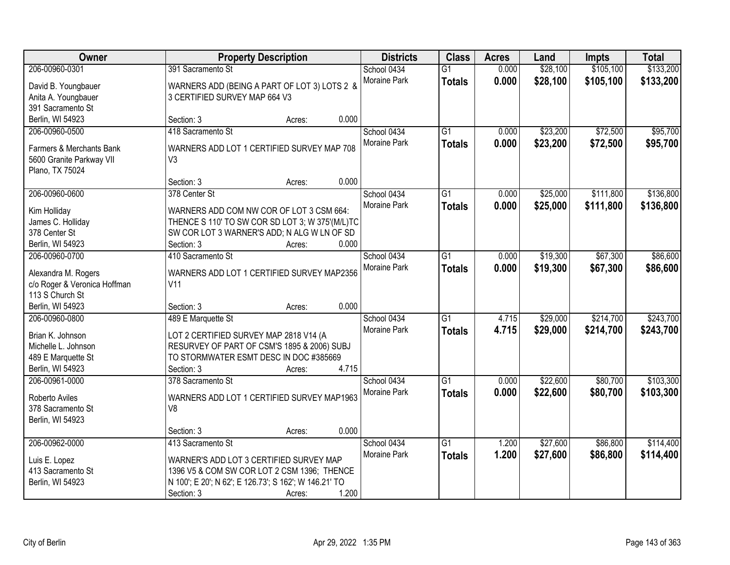| Owner                                       |                                                                                       | <b>Property Description</b> |       | <b>Districts</b>    | <b>Class</b>    | <b>Acres</b> | Land     | <b>Impts</b> | <b>Total</b> |
|---------------------------------------------|---------------------------------------------------------------------------------------|-----------------------------|-------|---------------------|-----------------|--------------|----------|--------------|--------------|
| 206-00960-0301                              | 391 Sacramento St                                                                     |                             |       | School 0434         | $\overline{G1}$ | 0.000        | \$28,100 | \$105,100    | \$133,200    |
| David B. Youngbauer                         | WARNERS ADD (BEING A PART OF LOT 3) LOTS 2 &                                          |                             |       | Moraine Park        | <b>Totals</b>   | 0.000        | \$28,100 | \$105,100    | \$133,200    |
| Anita A. Youngbauer                         | 3 CERTIFIED SURVEY MAP 664 V3                                                         |                             |       |                     |                 |              |          |              |              |
| 391 Sacramento St                           |                                                                                       |                             |       |                     |                 |              |          |              |              |
| Berlin, WI 54923                            | Section: 3                                                                            | Acres:                      | 0.000 |                     |                 |              |          |              |              |
| 206-00960-0500                              | 418 Sacramento St                                                                     |                             |       | School 0434         | $\overline{G1}$ | 0.000        | \$23,200 | \$72,500     | \$95,700     |
|                                             |                                                                                       |                             |       | Moraine Park        | <b>Totals</b>   | 0.000        | \$23,200 | \$72,500     | \$95,700     |
| Farmers & Merchants Bank                    | WARNERS ADD LOT 1 CERTIFIED SURVEY MAP 708                                            |                             |       |                     |                 |              |          |              |              |
| 5600 Granite Parkway VII<br>Plano, TX 75024 | V <sub>3</sub>                                                                        |                             |       |                     |                 |              |          |              |              |
|                                             | Section: 3                                                                            | Acres:                      | 0.000 |                     |                 |              |          |              |              |
| 206-00960-0600                              | 378 Center St                                                                         |                             |       | School 0434         | G1              | 0.000        | \$25,000 | \$111,800    | \$136,800    |
|                                             |                                                                                       |                             |       | Moraine Park        | <b>Totals</b>   | 0.000        | \$25,000 | \$111,800    | \$136,800    |
| Kim Holliday                                | WARNERS ADD COM NW COR OF LOT 3 CSM 664:                                              |                             |       |                     |                 |              |          |              |              |
| James C. Holliday                           | THENCE S 110' TO SW COR SD LOT 3; W 375'(M/L)TC                                       |                             |       |                     |                 |              |          |              |              |
| 378 Center St                               | SW COR LOT 3 WARNER'S ADD; N ALG W LN OF SD                                           |                             |       |                     |                 |              |          |              |              |
| Berlin, WI 54923                            | Section: 3                                                                            | Acres:                      | 0.000 |                     |                 |              |          |              |              |
| 206-00960-0700                              | 410 Sacramento St                                                                     |                             |       | School 0434         | $\overline{G1}$ | 0.000        | \$19,300 | \$67,300     | \$86,600     |
| Alexandra M. Rogers                         | WARNERS ADD LOT 1 CERTIFIED SURVEY MAP2356                                            |                             |       | <b>Moraine Park</b> | <b>Totals</b>   | 0.000        | \$19,300 | \$67,300     | \$86,600     |
| c/o Roger & Veronica Hoffman                | V <sub>11</sub>                                                                       |                             |       |                     |                 |              |          |              |              |
| 113 S Church St                             |                                                                                       |                             |       |                     |                 |              |          |              |              |
| Berlin, WI 54923                            | Section: 3                                                                            | Acres:                      | 0.000 |                     |                 |              |          |              |              |
| 206-00960-0800                              | 489 E Marquette St                                                                    |                             |       | School 0434         | $\overline{G1}$ | 4.715        | \$29,000 | \$214,700    | \$243,700    |
| Brian K. Johnson                            |                                                                                       |                             |       | Moraine Park        | <b>Totals</b>   | 4.715        | \$29,000 | \$214,700    | \$243,700    |
| Michelle L. Johnson                         | LOT 2 CERTIFIED SURVEY MAP 2818 V14 (A<br>RESURVEY OF PART OF CSM'S 1895 & 2006) SUBJ |                             |       |                     |                 |              |          |              |              |
| 489 E Marquette St                          | TO STORMWATER ESMT DESC IN DOC #385669                                                |                             |       |                     |                 |              |          |              |              |
| Berlin, WI 54923                            | Section: 3                                                                            | Acres:                      | 4.715 |                     |                 |              |          |              |              |
| 206-00961-0000                              | 378 Sacramento St                                                                     |                             |       | School 0434         | $\overline{G1}$ | 0.000        | \$22,600 | \$80,700     | \$103,300    |
|                                             |                                                                                       |                             |       | Moraine Park        | <b>Totals</b>   | 0.000        | \$22,600 | \$80,700     | \$103,300    |
| Roberto Aviles                              | WARNERS ADD LOT 1 CERTIFIED SURVEY MAP1963                                            |                             |       |                     |                 |              |          |              |              |
| 378 Sacramento St                           | V8                                                                                    |                             |       |                     |                 |              |          |              |              |
| Berlin, WI 54923                            |                                                                                       |                             |       |                     |                 |              |          |              |              |
|                                             | Section: 3                                                                            | Acres:                      | 0.000 |                     |                 |              |          |              |              |
| 206-00962-0000                              | 413 Sacramento St                                                                     |                             |       | School 0434         | $\overline{G1}$ | 1.200        | \$27,600 | \$86,800     | \$114,400    |
| Luis E. Lopez                               | WARNER'S ADD LOT 3 CERTIFIED SURVEY MAP                                               |                             |       | <b>Moraine Park</b> | <b>Totals</b>   | 1.200        | \$27,600 | \$86,800     | \$114,400    |
| 413 Sacramento St                           | 1396 V5 & COM SW COR LOT 2 CSM 1396; THENCE                                           |                             |       |                     |                 |              |          |              |              |
| Berlin, WI 54923                            | N 100'; E 20'; N 62'; E 126.73'; S 162'; W 146.21' TO                                 |                             |       |                     |                 |              |          |              |              |
|                                             | Section: 3                                                                            | Acres:                      | 1.200 |                     |                 |              |          |              |              |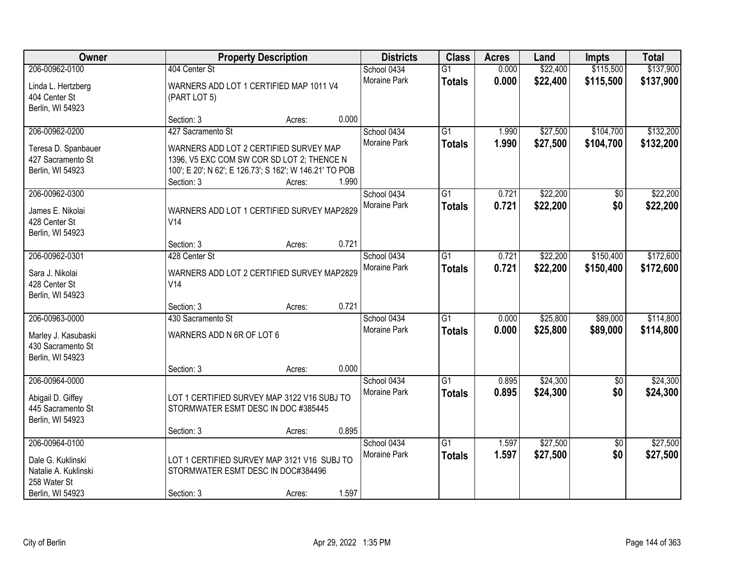| Owner                                                                                           | <b>Property Description</b>                                                                                                                                                                           | <b>Districts</b>            | <b>Class</b>                     | <b>Acres</b>   | Land                 | <b>Impts</b>           | <b>Total</b>           |
|-------------------------------------------------------------------------------------------------|-------------------------------------------------------------------------------------------------------------------------------------------------------------------------------------------------------|-----------------------------|----------------------------------|----------------|----------------------|------------------------|------------------------|
| 206-00962-0100<br>Linda L. Hertzberg<br>404 Center St<br>Berlin, WI 54923                       | 404 Center St<br>WARNERS ADD LOT 1 CERTIFIED MAP 1011 V4<br>(PART LOT 5)                                                                                                                              | School 0434<br>Moraine Park | $\overline{G1}$<br><b>Totals</b> | 0.000<br>0.000 | \$22,400<br>\$22,400 | \$115,500<br>\$115,500 | \$137,900<br>\$137,900 |
|                                                                                                 | 0.000<br>Section: 3<br>Acres:                                                                                                                                                                         |                             |                                  |                |                      |                        |                        |
| 206-00962-0200<br>Teresa D. Spanbauer<br>427 Sacramento St<br>Berlin, WI 54923                  | 427 Sacramento St<br>WARNERS ADD LOT 2 CERTIFIED SURVEY MAP<br>1396, V5 EXC COM SW COR SD LOT 2; THENCE N<br>100'; E 20'; N 62'; E 126.73'; S 162'; W 146.21' TO POB<br>1.990<br>Section: 3<br>Acres: | School 0434<br>Moraine Park | $\overline{G1}$<br><b>Totals</b> | 1.990<br>1.990 | \$27,500<br>\$27,500 | \$104,700<br>\$104,700 | \$132,200<br>\$132,200 |
| 206-00962-0300<br>James E. Nikolai<br>428 Center St<br>Berlin, WI 54923                         | WARNERS ADD LOT 1 CERTIFIED SURVEY MAP2829<br>V14<br>0.721<br>Section: 3<br>Acres:                                                                                                                    | School 0434<br>Moraine Park | $\overline{G1}$<br><b>Totals</b> | 0.721<br>0.721 | \$22,200<br>\$22,200 | \$0<br>\$0             | \$22,200<br>\$22,200   |
| 206-00962-0301<br>Sara J. Nikolai<br>428 Center St<br>Berlin, WI 54923                          | 428 Center St<br>WARNERS ADD LOT 2 CERTIFIED SURVEY MAP2829<br>V14                                                                                                                                    | School 0434<br>Moraine Park | $\overline{G1}$<br><b>Totals</b> | 0.721<br>0.721 | \$22,200<br>\$22,200 | \$150,400<br>\$150,400 | \$172,600<br>\$172,600 |
| 206-00963-0000<br>Marley J. Kasubaski<br>430 Sacramento St<br>Berlin, WI 54923                  | 0.721<br>Section: 3<br>Acres:<br>430 Sacramento St<br>WARNERS ADD N 6R OF LOT 6<br>0.000<br>Section: 3<br>Acres:                                                                                      | School 0434<br>Moraine Park | $\overline{G1}$<br><b>Totals</b> | 0.000<br>0.000 | \$25,800<br>\$25,800 | \$89,000<br>\$89,000   | \$114,800<br>\$114,800 |
| 206-00964-0000<br>Abigail D. Giffey<br>445 Sacramento St<br>Berlin, WI 54923                    | LOT 1 CERTIFIED SURVEY MAP 3122 V16 SUBJ TO<br>STORMWATER ESMT DESC IN DOC #385445<br>0.895<br>Section: 3<br>Acres:                                                                                   | School 0434<br>Moraine Park | $\overline{G1}$<br><b>Totals</b> | 0.895<br>0.895 | \$24,300<br>\$24,300 | $\sqrt{6}$<br>\$0      | \$24,300<br>\$24,300   |
| 206-00964-0100<br>Dale G. Kuklinski<br>Natalie A. Kuklinski<br>258 Water St<br>Berlin, WI 54923 | LOT 1 CERTIFIED SURVEY MAP 3121 V16 SUBJ TO<br>STORMWATER ESMT DESC IN DOC#384496<br>1.597<br>Section: 3<br>Acres:                                                                                    | School 0434<br>Moraine Park | $\overline{G1}$<br><b>Totals</b> | 1.597<br>1.597 | \$27,500<br>\$27,500 | $\overline{50}$<br>\$0 | \$27,500<br>\$27,500   |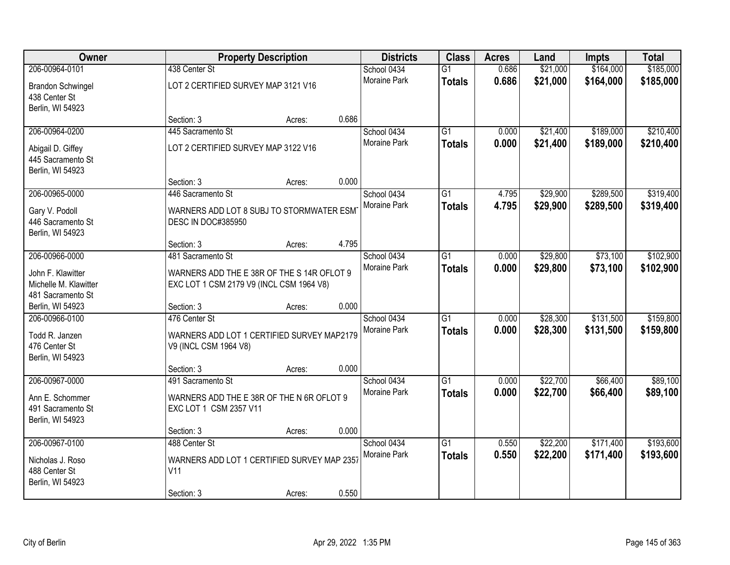| Owner                                                                 |                                                                                        | <b>Property Description</b> |       | <b>Districts</b>            | <b>Class</b>                     | <b>Acres</b>   | Land                 | <b>Impts</b>           | <b>Total</b>           |
|-----------------------------------------------------------------------|----------------------------------------------------------------------------------------|-----------------------------|-------|-----------------------------|----------------------------------|----------------|----------------------|------------------------|------------------------|
| 206-00964-0101                                                        | 438 Center St                                                                          |                             |       | School 0434                 | $\overline{G1}$                  | 0.686          | \$21,000             | \$164,000              | \$185,000              |
| <b>Brandon Schwingel</b><br>438 Center St<br>Berlin, WI 54923         | LOT 2 CERTIFIED SURVEY MAP 3121 V16                                                    |                             |       | <b>Moraine Park</b>         | <b>Totals</b>                    | 0.686          | \$21,000             | \$164,000              | \$185,000              |
|                                                                       | Section: 3                                                                             | Acres:                      | 0.686 |                             |                                  |                |                      |                        |                        |
| 206-00964-0200                                                        | 445 Sacramento St                                                                      |                             |       | School 0434                 | $\overline{G1}$                  | 0.000          | \$21,400             | \$189,000              | \$210,400              |
| Abigail D. Giffey<br>445 Sacramento St<br>Berlin, WI 54923            | LOT 2 CERTIFIED SURVEY MAP 3122 V16                                                    |                             |       | Moraine Park                | <b>Totals</b>                    | 0.000          | \$21,400             | \$189,000              | \$210,400              |
|                                                                       | Section: 3                                                                             | Acres:                      | 0.000 |                             |                                  |                |                      |                        |                        |
| 206-00965-0000                                                        | 446 Sacramento St                                                                      |                             |       | School 0434                 | $\overline{G1}$                  | 4.795          | \$29,900             | \$289,500              | \$319,400              |
| Gary V. Podoll<br>446 Sacramento St<br>Berlin, WI 54923               | WARNERS ADD LOT 8 SUBJ TO STORMWATER ESM<br><b>DESC IN DOC#385950</b>                  |                             |       | Moraine Park                | <b>Totals</b>                    | 4.795          | \$29,900             | \$289,500              | \$319,400              |
|                                                                       | Section: 3                                                                             | Acres:                      | 4.795 |                             |                                  |                |                      |                        |                        |
| 206-00966-0000                                                        | 481 Sacramento St                                                                      |                             |       | School 0434                 | $\overline{G1}$                  | 0.000          | \$29,800             | \$73,100               | \$102,900              |
| John F. Klawitter<br>Michelle M. Klawitter<br>481 Sacramento St       | WARNERS ADD THE E 38R OF THE S 14R OFLOT 9<br>EXC LOT 1 CSM 2179 V9 (INCL CSM 1964 V8) |                             |       | Moraine Park                | <b>Totals</b>                    | 0.000          | \$29,800             | \$73,100               | \$102,900              |
| Berlin, WI 54923                                                      | Section: 3                                                                             | Acres:                      | 0.000 |                             |                                  |                |                      |                        |                        |
| 206-00966-0100<br>Todd R. Janzen<br>476 Center St<br>Berlin, WI 54923 | 476 Center St<br>WARNERS ADD LOT 1 CERTIFIED SURVEY MAP2179<br>V9 (INCL CSM 1964 V8)   |                             |       | School 0434<br>Moraine Park | $\overline{G1}$<br><b>Totals</b> | 0.000<br>0.000 | \$28,300<br>\$28,300 | \$131,500<br>\$131,500 | \$159,800<br>\$159,800 |
|                                                                       | Section: 3                                                                             | Acres:                      | 0.000 |                             |                                  |                |                      |                        |                        |
| 206-00967-0000                                                        | 491 Sacramento St                                                                      |                             |       | School 0434                 | $\overline{G1}$                  | 0.000          | \$22,700             | \$66,400               | \$89,100               |
| Ann E. Schommer<br>491 Sacramento St<br>Berlin, WI 54923              | WARNERS ADD THE E 38R OF THE N 6R OFLOT 9<br>EXC LOT 1 CSM 2357 V11                    |                             |       | Moraine Park                | <b>Totals</b>                    | 0.000          | \$22,700             | \$66,400               | \$89,100               |
|                                                                       | Section: 3                                                                             | Acres:                      | 0.000 |                             |                                  |                |                      |                        |                        |
| 206-00967-0100                                                        | 488 Center St                                                                          |                             |       | School 0434                 | $\overline{G1}$                  | 0.550          | \$22,200             | \$171,400              | \$193,600              |
| Nicholas J. Roso<br>488 Center St<br>Berlin, WI 54923                 | WARNERS ADD LOT 1 CERTIFIED SURVEY MAP 2357<br>V <sub>11</sub>                         |                             |       | Moraine Park                | <b>Totals</b>                    | 0.550          | \$22,200             | \$171,400              | \$193,600              |
|                                                                       | Section: 3                                                                             | Acres:                      | 0.550 |                             |                                  |                |                      |                        |                        |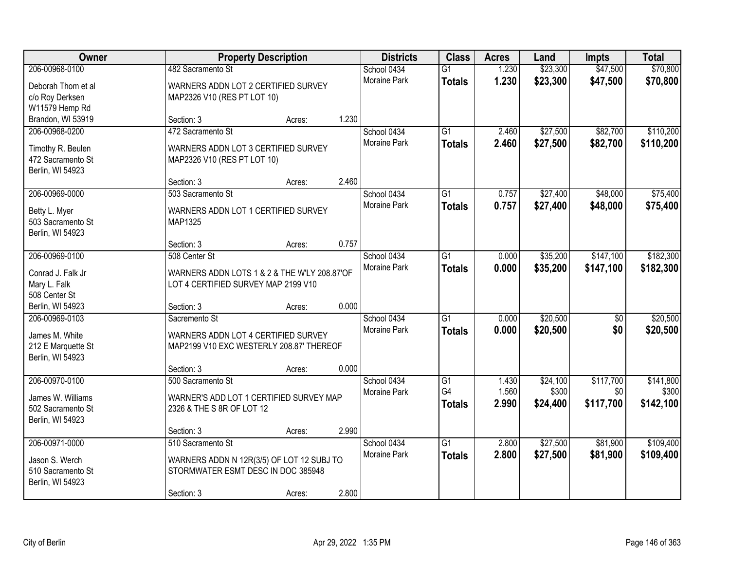| Owner                                                      |                                                                                     | <b>Property Description</b> |       | <b>Districts</b>            | <b>Class</b>                     | <b>Acres</b>   | Land                 | <b>Impts</b>         | <b>Total</b>           |
|------------------------------------------------------------|-------------------------------------------------------------------------------------|-----------------------------|-------|-----------------------------|----------------------------------|----------------|----------------------|----------------------|------------------------|
| 206-00968-0100<br>Deborah Thom et al                       | 482 Sacramento St<br>WARNERS ADDN LOT 2 CERTIFIED SURVEY                            |                             |       | School 0434<br>Moraine Park | $\overline{G1}$<br><b>Totals</b> | 1.230<br>1.230 | \$23,300<br>\$23,300 | \$47,500<br>\$47,500 | \$70,800<br>\$70,800   |
| c/o Roy Derksen<br>W11579 Hemp Rd                          | MAP2326 V10 (RES PT LOT 10)                                                         |                             |       |                             |                                  |                |                      |                      |                        |
| Brandon, WI 53919                                          | Section: 3                                                                          | Acres:                      | 1.230 |                             |                                  |                |                      |                      |                        |
| 206-00968-0200                                             | 472 Sacramento St                                                                   |                             |       | School 0434<br>Moraine Park | $\overline{G1}$                  | 2.460<br>2.460 | \$27,500<br>\$27,500 | \$82,700<br>\$82,700 | \$110,200<br>\$110,200 |
| Timothy R. Beulen<br>472 Sacramento St<br>Berlin, WI 54923 | WARNERS ADDN LOT 3 CERTIFIED SURVEY<br>MAP2326 V10 (RES PT LOT 10)                  |                             |       |                             | <b>Totals</b>                    |                |                      |                      |                        |
|                                                            | Section: 3                                                                          | Acres:                      | 2.460 |                             |                                  |                |                      |                      |                        |
| 206-00969-0000                                             | 503 Sacramento St                                                                   |                             |       | School 0434                 | $\overline{G1}$                  | 0.757          | \$27,400             | \$48,000             | \$75,400               |
| Betty L. Myer<br>503 Sacramento St<br>Berlin, WI 54923     | WARNERS ADDN LOT 1 CERTIFIED SURVEY<br>MAP1325                                      |                             |       | Moraine Park                | <b>Totals</b>                    | 0.757          | \$27,400             | \$48,000             | \$75,400               |
|                                                            | Section: 3                                                                          | Acres:                      | 0.757 |                             |                                  |                |                      |                      |                        |
| 206-00969-0100                                             | 508 Center St                                                                       |                             |       | School 0434                 | G1                               | 0.000          | \$35,200             | \$147,100            | \$182,300              |
| Conrad J. Falk Jr<br>Mary L. Falk<br>508 Center St         | WARNERS ADDN LOTS 1 & 2 & THE W'LY 208.87'OF<br>LOT 4 CERTIFIED SURVEY MAP 2199 V10 |                             |       | <b>Moraine Park</b>         | <b>Totals</b>                    | 0.000          | \$35,200             | \$147,100            | \$182,300              |
| Berlin, WI 54923                                           | Section: 3                                                                          | Acres:                      | 0.000 |                             |                                  |                |                      |                      |                        |
| 206-00969-0103                                             | Sacremento St                                                                       |                             |       | School 0434                 | $\overline{G1}$                  | 0.000          | \$20,500             | $\overline{50}$      | \$20,500               |
| James M. White                                             | WARNERS ADDN LOT 4 CERTIFIED SURVEY                                                 |                             |       | <b>Moraine Park</b>         | <b>Totals</b>                    | 0.000          | \$20,500             | \$0                  | \$20,500               |
| 212 E Marquette St<br>Berlin, WI 54923                     | MAP2199 V10 EXC WESTERLY 208.87' THEREOF                                            |                             |       |                             |                                  |                |                      |                      |                        |
|                                                            | Section: 3                                                                          | Acres:                      | 0.000 |                             |                                  |                |                      |                      |                        |
| 206-00970-0100                                             | 500 Sacramento St                                                                   |                             |       | School 0434                 | $\overline{G1}$                  | 1.430          | \$24,100             | \$117,700            | \$141,800              |
| James W. Williams<br>502 Sacramento St<br>Berlin, WI 54923 | WARNER'S ADD LOT 1 CERTIFIED SURVEY MAP<br>2326 & THE S 8R OF LOT 12                |                             |       | Moraine Park                | G4<br><b>Totals</b>              | 1.560<br>2.990 | \$300<br>\$24,400    | \$0<br>\$117,700     | \$300<br>\$142,100     |
|                                                            | Section: 3                                                                          | Acres:                      | 2.990 |                             |                                  |                |                      |                      |                        |
| 206-00971-0000                                             | 510 Sacramento St                                                                   |                             |       | School 0434                 | $\overline{G1}$                  | 2.800          | \$27,500             | \$81,900             | \$109,400              |
| Jason S. Werch<br>510 Sacramento St<br>Berlin, WI 54923    | WARNERS ADDN N 12R(3/5) OF LOT 12 SUBJ TO<br>STORMWATER ESMT DESC IN DOC 385948     |                             |       | <b>Moraine Park</b>         | <b>Totals</b>                    | 2.800          | \$27,500             | \$81,900             | \$109,400              |
|                                                            | Section: 3                                                                          | Acres:                      | 2.800 |                             |                                  |                |                      |                      |                        |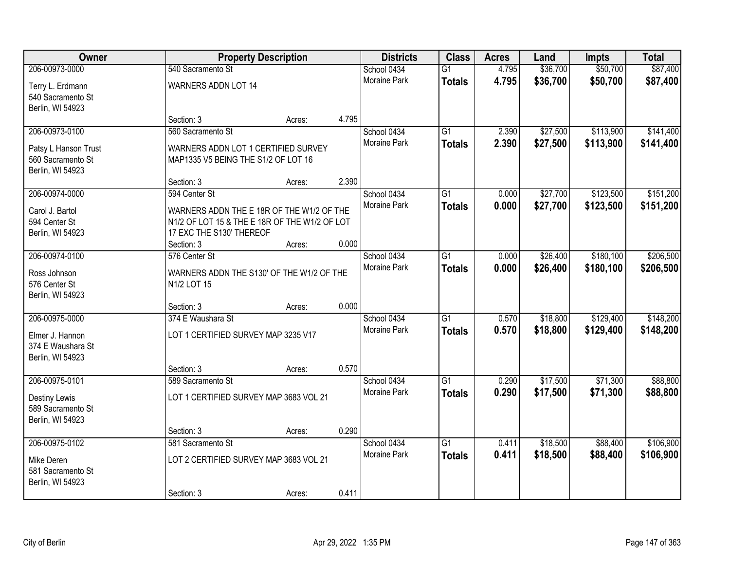| Owner                | <b>Property Description</b>                   |        |       | <b>Districts</b>    | <b>Class</b>    | <b>Acres</b> | Land     | <b>Impts</b> | <b>Total</b> |
|----------------------|-----------------------------------------------|--------|-------|---------------------|-----------------|--------------|----------|--------------|--------------|
| 206-00973-0000       | 540 Sacramento St                             |        |       | School 0434         | $\overline{G1}$ | 4.795        | \$36,700 | \$50,700     | \$87,400     |
| Terry L. Erdmann     | <b>WARNERS ADDN LOT 14</b>                    |        |       | Moraine Park        | <b>Totals</b>   | 4.795        | \$36,700 | \$50,700     | \$87,400     |
| 540 Sacramento St    |                                               |        |       |                     |                 |              |          |              |              |
| Berlin, WI 54923     |                                               |        |       |                     |                 |              |          |              |              |
|                      | Section: 3                                    | Acres: | 4.795 |                     |                 |              |          |              |              |
| 206-00973-0100       | 560 Sacramento St                             |        |       | School 0434         | $\overline{G1}$ | 2.390        | \$27,500 | \$113,900    | \$141,400    |
| Patsy L Hanson Trust | WARNERS ADDN LOT 1 CERTIFIED SURVEY           |        |       | <b>Moraine Park</b> | <b>Totals</b>   | 2.390        | \$27,500 | \$113,900    | \$141,400    |
| 560 Sacramento St    | MAP1335 V5 BEING THE S1/2 OF LOT 16           |        |       |                     |                 |              |          |              |              |
| Berlin, WI 54923     |                                               |        |       |                     |                 |              |          |              |              |
|                      | Section: 3                                    | Acres: | 2.390 |                     |                 |              |          |              |              |
| 206-00974-0000       | 594 Center St                                 |        |       | School 0434         | G1              | 0.000        | \$27,700 | \$123,500    | \$151,200    |
| Carol J. Bartol      | WARNERS ADDN THE E 18R OF THE W1/2 OF THE     |        |       | Moraine Park        | <b>Totals</b>   | 0.000        | \$27,700 | \$123,500    | \$151,200    |
| 594 Center St        | N1/2 OF LOT 15 & THE E 18R OF THE W1/2 OF LOT |        |       |                     |                 |              |          |              |              |
| Berlin, WI 54923     | 17 EXC THE S130' THEREOF                      |        |       |                     |                 |              |          |              |              |
|                      | Section: 3                                    | Acres: | 0.000 |                     |                 |              |          |              |              |
| 206-00974-0100       | 576 Center St                                 |        |       | School 0434         | G1              | 0.000        | \$26,400 | \$180,100    | \$206,500    |
| Ross Johnson         | WARNERS ADDN THE S130' OF THE W1/2 OF THE     |        |       | Moraine Park        | <b>Totals</b>   | 0.000        | \$26,400 | \$180,100    | \$206,500    |
| 576 Center St        | N1/2 LOT 15                                   |        |       |                     |                 |              |          |              |              |
| Berlin, WI 54923     |                                               |        |       |                     |                 |              |          |              |              |
|                      | Section: 3                                    | Acres: | 0.000 |                     |                 |              |          |              |              |
| 206-00975-0000       | 374 E Waushara St                             |        |       | School 0434         | $\overline{G1}$ | 0.570        | \$18,800 | \$129,400    | \$148,200    |
| Elmer J. Hannon      | LOT 1 CERTIFIED SURVEY MAP 3235 V17           |        |       | Moraine Park        | <b>Totals</b>   | 0.570        | \$18,800 | \$129,400    | \$148,200    |
| 374 E Waushara St    |                                               |        |       |                     |                 |              |          |              |              |
| Berlin, WI 54923     |                                               |        |       |                     |                 |              |          |              |              |
|                      | Section: 3                                    | Acres: | 0.570 |                     |                 |              |          |              |              |
| 206-00975-0101       | 589 Sacramento St                             |        |       | School 0434         | $\overline{G1}$ | 0.290        | \$17,500 | \$71,300     | \$88,800     |
| Destiny Lewis        | LOT 1 CERTIFIED SURVEY MAP 3683 VOL 21        |        |       | Moraine Park        | <b>Totals</b>   | 0.290        | \$17,500 | \$71,300     | \$88,800     |
| 589 Sacramento St    |                                               |        |       |                     |                 |              |          |              |              |
| Berlin, WI 54923     |                                               |        |       |                     |                 |              |          |              |              |
|                      | Section: 3                                    | Acres: | 0.290 |                     |                 |              |          |              |              |
| 206-00975-0102       | 581 Sacramento St                             |        |       | School 0434         | $\overline{G1}$ | 0.411        | \$18,500 | \$88,400     | \$106,900    |
| Mike Deren           | LOT 2 CERTIFIED SURVEY MAP 3683 VOL 21        |        |       | <b>Moraine Park</b> | <b>Totals</b>   | 0.411        | \$18,500 | \$88,400     | \$106,900    |
| 581 Sacramento St    |                                               |        |       |                     |                 |              |          |              |              |
| Berlin, WI 54923     |                                               |        |       |                     |                 |              |          |              |              |
|                      | Section: 3                                    | Acres: | 0.411 |                     |                 |              |          |              |              |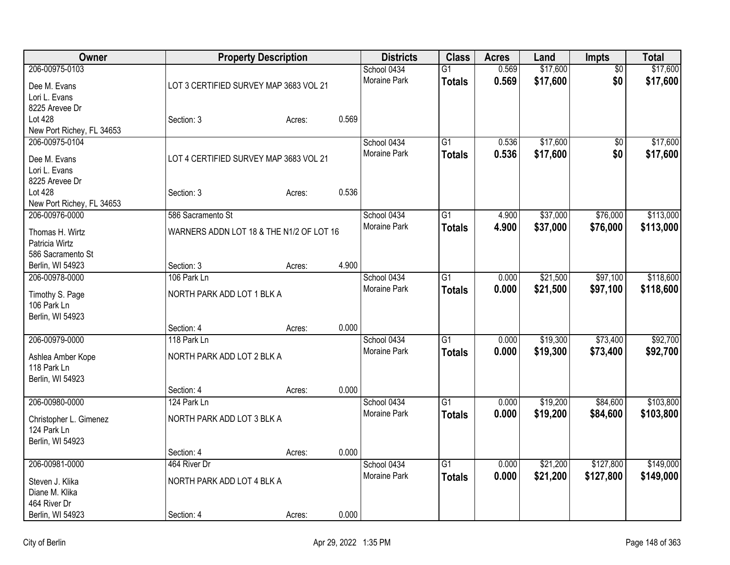| Owner                              | <b>Property Description</b>              |        |       | <b>Districts</b>            | <b>Class</b>    | <b>Acres</b> | Land     | Impts           | <b>Total</b> |
|------------------------------------|------------------------------------------|--------|-------|-----------------------------|-----------------|--------------|----------|-----------------|--------------|
| 206-00975-0103                     |                                          |        |       | School 0434                 | $\overline{G1}$ | 0.569        | \$17,600 | $\overline{50}$ | \$17,600     |
| Dee M. Evans                       | LOT 3 CERTIFIED SURVEY MAP 3683 VOL 21   |        |       | Moraine Park                | <b>Totals</b>   | 0.569        | \$17,600 | \$0             | \$17,600     |
| Lori L. Evans                      |                                          |        |       |                             |                 |              |          |                 |              |
| 8225 Arevee Dr                     |                                          |        |       |                             |                 |              |          |                 |              |
| Lot 428                            | Section: 3                               | Acres: | 0.569 |                             |                 |              |          |                 |              |
| New Port Richey, FL 34653          |                                          |        |       |                             |                 |              |          |                 |              |
| 206-00975-0104                     |                                          |        |       | School 0434                 | $\overline{G1}$ | 0.536        | \$17,600 | $\overline{50}$ | \$17,600     |
| Dee M. Evans                       | LOT 4 CERTIFIED SURVEY MAP 3683 VOL 21   |        |       | <b>Moraine Park</b>         | <b>Totals</b>   | 0.536        | \$17,600 | \$0             | \$17,600     |
| Lori L. Evans                      |                                          |        |       |                             |                 |              |          |                 |              |
| 8225 Arevee Dr                     |                                          |        |       |                             |                 |              |          |                 |              |
| Lot 428                            | Section: 3                               | Acres: | 0.536 |                             |                 |              |          |                 |              |
| New Port Richey, FL 34653          |                                          |        |       |                             |                 |              |          |                 |              |
| 206-00976-0000                     | 586 Sacramento St                        |        |       | School 0434                 | G1              | 4.900        | \$37,000 | \$76,000        | \$113,000    |
|                                    |                                          |        |       | Moraine Park                | <b>Totals</b>   | 4.900        | \$37,000 | \$76,000        | \$113,000    |
| Thomas H. Wirtz                    | WARNERS ADDN LOT 18 & THE N1/2 OF LOT 16 |        |       |                             |                 |              |          |                 |              |
| Patricia Wirtz                     |                                          |        |       |                             |                 |              |          |                 |              |
| 586 Sacramento St                  |                                          |        | 4.900 |                             |                 |              |          |                 |              |
| Berlin, WI 54923<br>206-00978-0000 | Section: 3<br>106 Park Ln                | Acres: |       |                             |                 |              |          | \$97,100        | \$118,600    |
|                                    |                                          |        |       | School 0434<br>Moraine Park | G1              | 0.000        | \$21,500 |                 |              |
| Timothy S. Page                    | NORTH PARK ADD LOT 1 BLK A               |        |       |                             | <b>Totals</b>   | 0.000        | \$21,500 | \$97,100        | \$118,600    |
| 106 Park Ln                        |                                          |        |       |                             |                 |              |          |                 |              |
| Berlin, WI 54923                   |                                          |        |       |                             |                 |              |          |                 |              |
|                                    | Section: 4                               | Acres: | 0.000 |                             |                 |              |          |                 |              |
| 206-00979-0000                     | 118 Park Ln                              |        |       | School 0434                 | G1              | 0.000        | \$19,300 | \$73,400        | \$92,700     |
| Ashlea Amber Kope                  | NORTH PARK ADD LOT 2 BLK A               |        |       | Moraine Park                | <b>Totals</b>   | 0.000        | \$19,300 | \$73,400        | \$92,700     |
| 118 Park Ln                        |                                          |        |       |                             |                 |              |          |                 |              |
| Berlin, WI 54923                   |                                          |        |       |                             |                 |              |          |                 |              |
|                                    | Section: 4                               | Acres: | 0.000 |                             |                 |              |          |                 |              |
| 206-00980-0000                     | 124 Park Ln                              |        |       | School 0434                 | $\overline{G1}$ | 0.000        | \$19,200 | \$84,600        | \$103,800    |
| Christopher L. Gimenez             | NORTH PARK ADD LOT 3 BLK A               |        |       | Moraine Park                | <b>Totals</b>   | 0.000        | \$19,200 | \$84,600        | \$103,800    |
| 124 Park Ln                        |                                          |        |       |                             |                 |              |          |                 |              |
| Berlin, WI 54923                   |                                          |        |       |                             |                 |              |          |                 |              |
|                                    | Section: 4                               | Acres: | 0.000 |                             |                 |              |          |                 |              |
| 206-00981-0000                     | 464 River Dr                             |        |       | School 0434                 | $\overline{G1}$ | 0.000        | \$21,200 | \$127,800       | \$149,000    |
|                                    |                                          |        |       | Moraine Park                | <b>Totals</b>   | 0.000        | \$21,200 | \$127,800       | \$149,000    |
| Steven J. Klika                    | NORTH PARK ADD LOT 4 BLK A               |        |       |                             |                 |              |          |                 |              |
| Diane M. Klika                     |                                          |        |       |                             |                 |              |          |                 |              |
| 464 River Dr                       |                                          |        |       |                             |                 |              |          |                 |              |
| Berlin, WI 54923                   | Section: 4                               | Acres: | 0.000 |                             |                 |              |          |                 |              |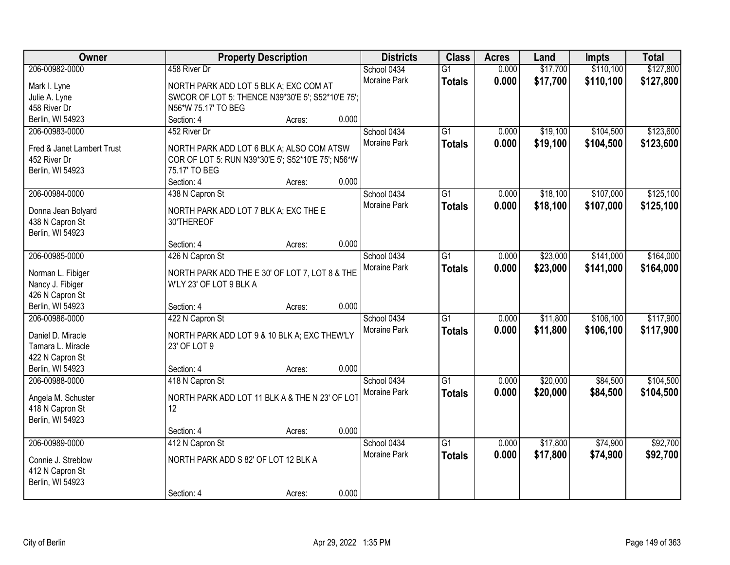| Owner                      | <b>Property Description</b>                        |        |       | <b>Districts</b>    | <b>Class</b>    | <b>Acres</b> | Land     | <b>Impts</b> | <b>Total</b> |
|----------------------------|----------------------------------------------------|--------|-------|---------------------|-----------------|--------------|----------|--------------|--------------|
| 206-00982-0000             | 458 River Dr                                       |        |       | School 0434         | $\overline{G1}$ | 0.000        | \$17,700 | \$110,100    | \$127,800    |
| Mark I. Lyne               | NORTH PARK ADD LOT 5 BLK A; EXC COM AT             |        |       | Moraine Park        | <b>Totals</b>   | 0.000        | \$17,700 | \$110,100    | \$127,800    |
| Julie A. Lyne              | SWCOR OF LOT 5: THENCE N39*30'E 5'; S52*10'E 75';  |        |       |                     |                 |              |          |              |              |
| 458 River Dr               | N56*W 75.17' TO BEG                                |        |       |                     |                 |              |          |              |              |
| Berlin, WI 54923           | Section: 4                                         | Acres: | 0.000 |                     |                 |              |          |              |              |
| 206-00983-0000             | 452 River Dr                                       |        |       | School 0434         | $\overline{G1}$ | 0.000        | \$19,100 | \$104,500    | \$123,600    |
|                            |                                                    |        |       | <b>Moraine Park</b> | <b>Totals</b>   | 0.000        | \$19,100 | \$104,500    | \$123,600    |
| Fred & Janet Lambert Trust | NORTH PARK ADD LOT 6 BLK A; ALSO COM ATSW          |        |       |                     |                 |              |          |              |              |
| 452 River Dr               | COR OF LOT 5: RUN N39*30'E 5'; S52*10'E 75'; N56*W |        |       |                     |                 |              |          |              |              |
| Berlin, WI 54923           | 75.17' TO BEG                                      |        |       |                     |                 |              |          |              |              |
|                            | Section: 4                                         | Acres: | 0.000 |                     |                 |              |          |              |              |
| 206-00984-0000             | 438 N Capron St                                    |        |       | School 0434         | $\overline{G1}$ | 0.000        | \$18,100 | \$107,000    | \$125,100    |
| Donna Jean Bolyard         | NORTH PARK ADD LOT 7 BLK A; EXC THE E              |        |       | Moraine Park        | <b>Totals</b>   | 0.000        | \$18,100 | \$107,000    | \$125,100    |
| 438 N Capron St            | 30'THEREOF                                         |        |       |                     |                 |              |          |              |              |
| Berlin, WI 54923           |                                                    |        |       |                     |                 |              |          |              |              |
|                            | Section: 4                                         | Acres: | 0.000 |                     |                 |              |          |              |              |
| 206-00985-0000             | 426 N Capron St                                    |        |       | School 0434         | $\overline{G1}$ | 0.000        | \$23,000 | \$141,000    | \$164,000    |
|                            |                                                    |        |       | Moraine Park        |                 | 0.000        | \$23,000 | \$141,000    | \$164,000    |
| Norman L. Fibiger          | NORTH PARK ADD THE E 30' OF LOT 7, LOT 8 & THE     |        |       |                     | <b>Totals</b>   |              |          |              |              |
| Nancy J. Fibiger           | W'LY 23' OF LOT 9 BLK A                            |        |       |                     |                 |              |          |              |              |
| 426 N Capron St            |                                                    |        |       |                     |                 |              |          |              |              |
| Berlin, WI 54923           | Section: 4                                         | Acres: | 0.000 |                     |                 |              |          |              |              |
| 206-00986-0000             | 422 N Capron St                                    |        |       | School 0434         | $\overline{G1}$ | 0.000        | \$11,800 | \$106,100    | \$117,900    |
| Daniel D. Miracle          | NORTH PARK ADD LOT 9 & 10 BLK A; EXC THEW'LY       |        |       | Moraine Park        | <b>Totals</b>   | 0.000        | \$11,800 | \$106,100    | \$117,900    |
| Tamara L. Miracle          | 23' OF LOT 9                                       |        |       |                     |                 |              |          |              |              |
| 422 N Capron St            |                                                    |        |       |                     |                 |              |          |              |              |
| Berlin, WI 54923           | Section: 4                                         |        | 0.000 |                     |                 |              |          |              |              |
|                            |                                                    | Acres: |       |                     |                 |              |          |              |              |
| 206-00988-0000             | 418 N Capron St                                    |        |       | School 0434         | $\overline{G1}$ | 0.000        | \$20,000 | \$84,500     | \$104,500    |
| Angela M. Schuster         | NORTH PARK ADD LOT 11 BLK A & THE N 23' OF LOT     |        |       | Moraine Park        | <b>Totals</b>   | 0.000        | \$20,000 | \$84,500     | \$104,500    |
| 418 N Capron St            | 12                                                 |        |       |                     |                 |              |          |              |              |
| Berlin, WI 54923           |                                                    |        |       |                     |                 |              |          |              |              |
|                            | Section: 4                                         | Acres: | 0.000 |                     |                 |              |          |              |              |
| 206-00989-0000             | 412 N Capron St                                    |        |       | School 0434         | $\overline{G1}$ | 0.000        | \$17,800 | \$74,900     | \$92,700     |
|                            |                                                    |        |       | <b>Moraine Park</b> | <b>Totals</b>   | 0.000        | \$17,800 | \$74,900     | \$92,700     |
| Connie J. Streblow         | NORTH PARK ADD S 82' OF LOT 12 BLK A               |        |       |                     |                 |              |          |              |              |
| 412 N Capron St            |                                                    |        |       |                     |                 |              |          |              |              |
| Berlin, WI 54923           |                                                    |        |       |                     |                 |              |          |              |              |
|                            | Section: 4                                         | Acres: | 0.000 |                     |                 |              |          |              |              |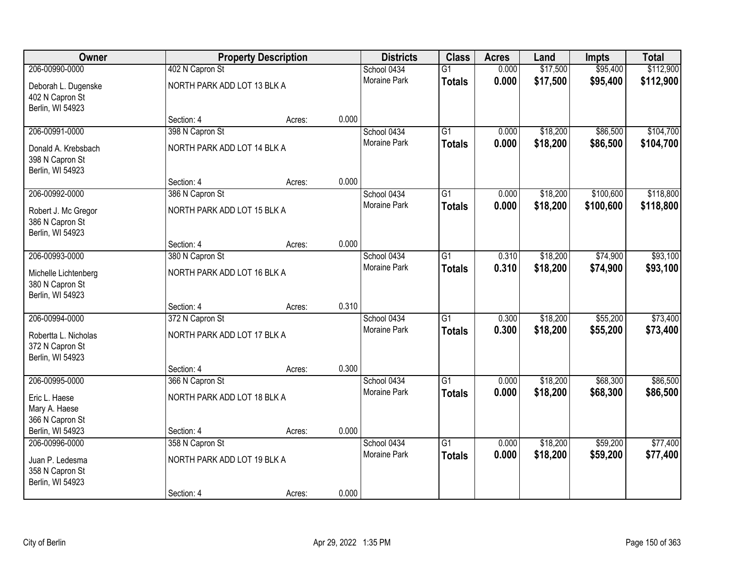| Owner                                                       |                             | <b>Property Description</b> |       | <b>Districts</b>    | <b>Class</b>    | <b>Acres</b> | Land     | <b>Impts</b> | <b>Total</b> |
|-------------------------------------------------------------|-----------------------------|-----------------------------|-------|---------------------|-----------------|--------------|----------|--------------|--------------|
| 206-00990-0000                                              | 402 N Capron St             |                             |       | School 0434         | $\overline{G1}$ | 0.000        | \$17,500 | \$95,400     | \$112,900    |
| Deborah L. Dugenske<br>402 N Capron St<br>Berlin, WI 54923  | NORTH PARK ADD LOT 13 BLK A |                             |       | <b>Moraine Park</b> | <b>Totals</b>   | 0.000        | \$17,500 | \$95,400     | \$112,900    |
|                                                             | Section: 4                  | Acres:                      | 0.000 |                     |                 |              |          |              |              |
| 206-00991-0000                                              | 398 N Capron St             |                             |       | School 0434         | $\overline{G1}$ | 0.000        | \$18,200 | \$86,500     | \$104,700    |
| Donald A. Krebsbach<br>398 N Capron St<br>Berlin, WI 54923  | NORTH PARK ADD LOT 14 BLK A |                             |       | Moraine Park        | <b>Totals</b>   | 0.000        | \$18,200 | \$86,500     | \$104,700    |
|                                                             | Section: 4                  | Acres:                      | 0.000 |                     |                 |              |          |              |              |
| 206-00992-0000                                              | 386 N Capron St             |                             |       | School 0434         | G1              | 0.000        | \$18,200 | \$100,600    | \$118,800    |
| Robert J. Mc Gregor<br>386 N Capron St<br>Berlin, WI 54923  | NORTH PARK ADD LOT 15 BLK A |                             |       | Moraine Park        | <b>Totals</b>   | 0.000        | \$18,200 | \$100,600    | \$118,800    |
|                                                             | Section: 4                  | Acres:                      | 0.000 |                     |                 |              |          |              |              |
| 206-00993-0000                                              | 380 N Capron St             |                             |       | School 0434         | $\overline{G1}$ | 0.310        | \$18,200 | \$74,900     | \$93,100     |
| Michelle Lichtenberg<br>380 N Capron St<br>Berlin, WI 54923 | NORTH PARK ADD LOT 16 BLK A |                             |       | Moraine Park        | <b>Totals</b>   | 0.310        | \$18,200 | \$74,900     | \$93,100     |
|                                                             | Section: 4                  | Acres:                      | 0.310 |                     |                 |              |          |              |              |
| 206-00994-0000                                              | 372 N Capron St             |                             |       | School 0434         | $\overline{G1}$ | 0.300        | \$18,200 | \$55,200     | \$73,400     |
| Robertta L. Nicholas<br>372 N Capron St<br>Berlin, WI 54923 | NORTH PARK ADD LOT 17 BLK A |                             |       | Moraine Park        | <b>Totals</b>   | 0.300        | \$18,200 | \$55,200     | \$73,400     |
|                                                             | Section: 4                  | Acres:                      | 0.300 |                     |                 |              |          |              |              |
| 206-00995-0000                                              | 366 N Capron St             |                             |       | School 0434         | $\overline{G1}$ | 0.000        | \$18,200 | \$68,300     | \$86,500     |
| Eric L. Haese<br>Mary A. Haese<br>366 N Capron St           | NORTH PARK ADD LOT 18 BLK A |                             |       | Moraine Park        | <b>Totals</b>   | 0.000        | \$18,200 | \$68,300     | \$86,500     |
| Berlin, WI 54923                                            | Section: 4                  | Acres:                      | 0.000 |                     |                 |              |          |              |              |
| 206-00996-0000                                              | 358 N Capron St             |                             |       | School 0434         | $\overline{G1}$ | 0.000        | \$18,200 | \$59,200     | \$77,400     |
| Juan P. Ledesma<br>358 N Capron St<br>Berlin, WI 54923      | NORTH PARK ADD LOT 19 BLK A |                             |       | <b>Moraine Park</b> | <b>Totals</b>   | 0.000        | \$18,200 | \$59,200     | \$77,400     |
|                                                             | Section: 4                  | Acres:                      | 0.000 |                     |                 |              |          |              |              |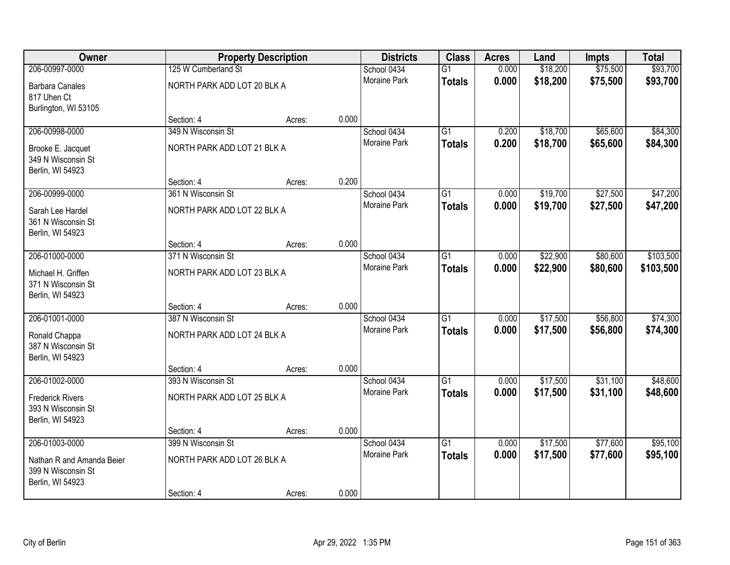| Owner                               |                             | <b>Property Description</b> |       | <b>Districts</b>                   | <b>Class</b>    | <b>Acres</b> | Land     | <b>Impts</b> | <b>Total</b> |
|-------------------------------------|-----------------------------|-----------------------------|-------|------------------------------------|-----------------|--------------|----------|--------------|--------------|
| 206-00997-0000                      | 125 W Cumberland St         |                             |       | School 0434                        | $\overline{G1}$ | 0.000        | \$18,200 | \$75,500     | \$93,700     |
| <b>Barbara Canales</b>              | NORTH PARK ADD LOT 20 BLK A |                             |       | <b>Moraine Park</b>                | <b>Totals</b>   | 0.000        | \$18,200 | \$75,500     | \$93,700     |
| 817 Uhen Ct                         |                             |                             |       |                                    |                 |              |          |              |              |
| Burlington, WI 53105                |                             |                             |       |                                    |                 |              |          |              |              |
|                                     | Section: 4                  | Acres:                      | 0.000 |                                    |                 |              |          |              |              |
| 206-00998-0000                      | 349 N Wisconsin St          |                             |       | School 0434                        | $\overline{G1}$ | 0.200        | \$18,700 | \$65,600     | \$84,300     |
| Brooke E. Jacquet                   | NORTH PARK ADD LOT 21 BLK A |                             |       | <b>Moraine Park</b>                | <b>Totals</b>   | 0.200        | \$18,700 | \$65,600     | \$84,300     |
| 349 N Wisconsin St                  |                             |                             |       |                                    |                 |              |          |              |              |
| Berlin, WI 54923                    |                             |                             |       |                                    |                 |              |          |              |              |
|                                     | Section: 4                  | Acres:                      | 0.200 |                                    |                 |              |          |              |              |
| 206-00999-0000                      | 361 N Wisconsin St          |                             |       | School 0434<br><b>Moraine Park</b> | $\overline{G1}$ | 0.000        | \$19,700 | \$27,500     | \$47,200     |
| Sarah Lee Hardel                    | NORTH PARK ADD LOT 22 BLK A |                             |       |                                    | <b>Totals</b>   | 0.000        | \$19,700 | \$27,500     | \$47,200     |
| 361 N Wisconsin St                  |                             |                             |       |                                    |                 |              |          |              |              |
| Berlin, WI 54923                    | Section: 4                  |                             | 0.000 |                                    |                 |              |          |              |              |
| 206-01000-0000                      | 371 N Wisconsin St          | Acres:                      |       | School 0434                        | $\overline{G1}$ | 0.000        | \$22,900 | \$80,600     | \$103,500    |
|                                     |                             |                             |       | Moraine Park                       | <b>Totals</b>   | 0.000        | \$22,900 | \$80,600     | \$103,500    |
| Michael H. Griffen                  | NORTH PARK ADD LOT 23 BLK A |                             |       |                                    |                 |              |          |              |              |
| 371 N Wisconsin St                  |                             |                             |       |                                    |                 |              |          |              |              |
| Berlin, WI 54923                    | Section: 4                  | Acres:                      | 0.000 |                                    |                 |              |          |              |              |
| 206-01001-0000                      | 387 N Wisconsin St          |                             |       | School 0434                        | $\overline{G1}$ | 0.000        | \$17,500 | \$56,800     | \$74,300     |
|                                     |                             |                             |       | <b>Moraine Park</b>                | <b>Totals</b>   | 0.000        | \$17,500 | \$56,800     | \$74,300     |
| Ronald Chappa<br>387 N Wisconsin St | NORTH PARK ADD LOT 24 BLK A |                             |       |                                    |                 |              |          |              |              |
| Berlin, WI 54923                    |                             |                             |       |                                    |                 |              |          |              |              |
|                                     | Section: 4                  | Acres:                      | 0.000 |                                    |                 |              |          |              |              |
| 206-01002-0000                      | 393 N Wisconsin St          |                             |       | School 0434                        | $\overline{G1}$ | 0.000        | \$17,500 | \$31,100     | \$48,600     |
| <b>Frederick Rivers</b>             | NORTH PARK ADD LOT 25 BLK A |                             |       | Moraine Park                       | <b>Totals</b>   | 0.000        | \$17,500 | \$31,100     | \$48,600     |
| 393 N Wisconsin St                  |                             |                             |       |                                    |                 |              |          |              |              |
| Berlin, WI 54923                    |                             |                             |       |                                    |                 |              |          |              |              |
|                                     | Section: 4                  | Acres:                      | 0.000 |                                    |                 |              |          |              |              |
| 206-01003-0000                      | 399 N Wisconsin St          |                             |       | School 0434                        | $\overline{G1}$ | 0.000        | \$17,500 | \$77,600     | \$95,100     |
| Nathan R and Amanda Beier           | NORTH PARK ADD LOT 26 BLK A |                             |       | <b>Moraine Park</b>                | <b>Totals</b>   | 0.000        | \$17,500 | \$77,600     | \$95,100     |
| 399 N Wisconsin St                  |                             |                             |       |                                    |                 |              |          |              |              |
| Berlin, WI 54923                    |                             |                             |       |                                    |                 |              |          |              |              |
|                                     | Section: 4                  | Acres:                      | 0.000 |                                    |                 |              |          |              |              |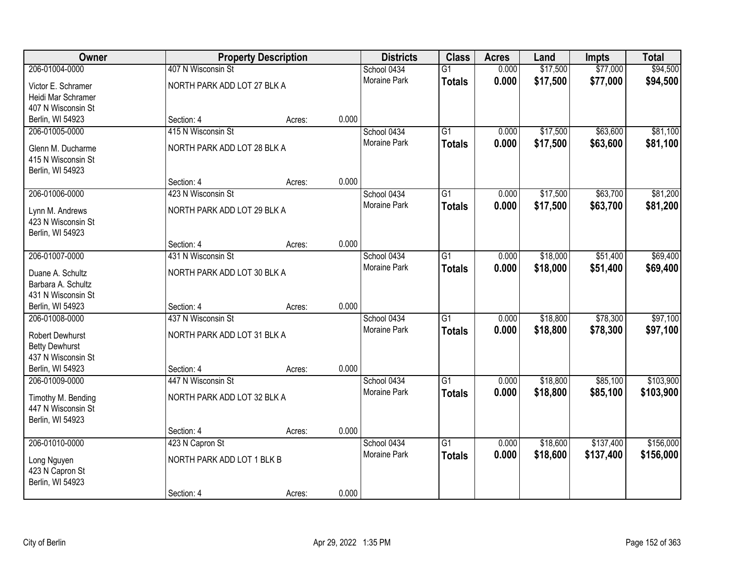| Owner                  |                             | <b>Property Description</b> |       | <b>Districts</b>    | <b>Class</b>    | <b>Acres</b> | Land     | <b>Impts</b> | <b>Total</b> |
|------------------------|-----------------------------|-----------------------------|-------|---------------------|-----------------|--------------|----------|--------------|--------------|
| 206-01004-0000         | 407 N Wisconsin St          |                             |       | School 0434         | $\overline{G1}$ | 0.000        | \$17,500 | \$77,000     | \$94,500     |
| Victor E. Schramer     | NORTH PARK ADD LOT 27 BLK A |                             |       | <b>Moraine Park</b> | <b>Totals</b>   | 0.000        | \$17,500 | \$77,000     | \$94,500     |
| Heidi Mar Schramer     |                             |                             |       |                     |                 |              |          |              |              |
| 407 N Wisconsin St     |                             |                             |       |                     |                 |              |          |              |              |
| Berlin, WI 54923       | Section: 4                  | Acres:                      | 0.000 |                     |                 |              |          |              |              |
| 206-01005-0000         | 415 N Wisconsin St          |                             |       | School 0434         | $\overline{G1}$ | 0.000        | \$17,500 | \$63,600     | \$81,100     |
| Glenn M. Ducharme      | NORTH PARK ADD LOT 28 BLK A |                             |       | Moraine Park        | <b>Totals</b>   | 0.000        | \$17,500 | \$63,600     | \$81,100     |
| 415 N Wisconsin St     |                             |                             |       |                     |                 |              |          |              |              |
| Berlin, WI 54923       |                             |                             |       |                     |                 |              |          |              |              |
|                        | Section: 4                  | Acres:                      | 0.000 |                     |                 |              |          |              |              |
| 206-01006-0000         | 423 N Wisconsin St          |                             |       | School 0434         | $\overline{G1}$ | 0.000        | \$17,500 | \$63,700     | \$81,200     |
| Lynn M. Andrews        | NORTH PARK ADD LOT 29 BLK A |                             |       | Moraine Park        | <b>Totals</b>   | 0.000        | \$17,500 | \$63,700     | \$81,200     |
| 423 N Wisconsin St     |                             |                             |       |                     |                 |              |          |              |              |
| Berlin, WI 54923       |                             |                             |       |                     |                 |              |          |              |              |
|                        | Section: 4                  | Acres:                      | 0.000 |                     |                 |              |          |              |              |
| 206-01007-0000         | 431 N Wisconsin St          |                             |       | School 0434         | $\overline{G1}$ | 0.000        | \$18,000 | \$51,400     | \$69,400     |
| Duane A. Schultz       | NORTH PARK ADD LOT 30 BLK A |                             |       | Moraine Park        | <b>Totals</b>   | 0.000        | \$18,000 | \$51,400     | \$69,400     |
| Barbara A. Schultz     |                             |                             |       |                     |                 |              |          |              |              |
| 431 N Wisconsin St     |                             |                             |       |                     |                 |              |          |              |              |
| Berlin, WI 54923       | Section: 4                  | Acres:                      | 0.000 |                     |                 |              |          |              |              |
| 206-01008-0000         | 437 N Wisconsin St          |                             |       | School 0434         | $\overline{G1}$ | 0.000        | \$18,800 | \$78,300     | \$97,100     |
| <b>Robert Dewhurst</b> | NORTH PARK ADD LOT 31 BLK A |                             |       | Moraine Park        | <b>Totals</b>   | 0.000        | \$18,800 | \$78,300     | \$97,100     |
| <b>Betty Dewhurst</b>  |                             |                             |       |                     |                 |              |          |              |              |
| 437 N Wisconsin St     |                             |                             |       |                     |                 |              |          |              |              |
| Berlin, WI 54923       | Section: 4                  | Acres:                      | 0.000 |                     |                 |              |          |              |              |
| 206-01009-0000         | 447 N Wisconsin St          |                             |       | School 0434         | G1              | 0.000        | \$18,800 | \$85,100     | \$103,900    |
| Timothy M. Bending     | NORTH PARK ADD LOT 32 BLK A |                             |       | Moraine Park        | <b>Totals</b>   | 0.000        | \$18,800 | \$85,100     | \$103,900    |
| 447 N Wisconsin St     |                             |                             |       |                     |                 |              |          |              |              |
| Berlin, WI 54923       |                             |                             |       |                     |                 |              |          |              |              |
|                        | Section: 4                  | Acres:                      | 0.000 |                     |                 |              |          |              |              |
| 206-01010-0000         | 423 N Capron St             |                             |       | School 0434         | $\overline{G1}$ | 0.000        | \$18,600 | \$137,400    | \$156,000    |
| Long Nguyen            | NORTH PARK ADD LOT 1 BLK B  |                             |       | <b>Moraine Park</b> | <b>Totals</b>   | 0.000        | \$18,600 | \$137,400    | \$156,000    |
| 423 N Capron St        |                             |                             |       |                     |                 |              |          |              |              |
| Berlin, WI 54923       |                             |                             |       |                     |                 |              |          |              |              |
|                        | Section: 4                  | Acres:                      | 0.000 |                     |                 |              |          |              |              |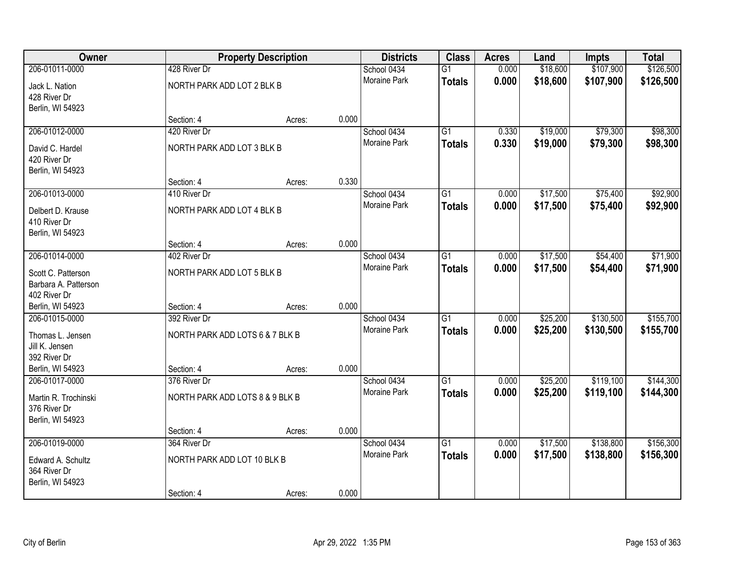| Owner                |                                 | <b>Property Description</b> |       | <b>Districts</b>    | <b>Class</b>    | <b>Acres</b> | Land     | <b>Impts</b> | <b>Total</b> |
|----------------------|---------------------------------|-----------------------------|-------|---------------------|-----------------|--------------|----------|--------------|--------------|
| 206-01011-0000       | 428 River Dr                    |                             |       | School 0434         | $\overline{G1}$ | 0.000        | \$18,600 | \$107,900    | \$126,500    |
| Jack L. Nation       | NORTH PARK ADD LOT 2 BLK B      |                             |       | Moraine Park        | <b>Totals</b>   | 0.000        | \$18,600 | \$107,900    | \$126,500    |
| 428 River Dr         |                                 |                             |       |                     |                 |              |          |              |              |
| Berlin, WI 54923     |                                 |                             |       |                     |                 |              |          |              |              |
|                      | Section: 4                      | Acres:                      | 0.000 |                     |                 |              |          |              |              |
| 206-01012-0000       | 420 River Dr                    |                             |       | School 0434         | $\overline{G1}$ | 0.330        | \$19,000 | \$79,300     | \$98,300     |
| David C. Hardel      | NORTH PARK ADD LOT 3 BLK B      |                             |       | <b>Moraine Park</b> | <b>Totals</b>   | 0.330        | \$19,000 | \$79,300     | \$98,300     |
| 420 River Dr         |                                 |                             |       |                     |                 |              |          |              |              |
| Berlin, WI 54923     |                                 |                             |       |                     |                 |              |          |              |              |
|                      | Section: 4                      | Acres:                      | 0.330 |                     |                 |              |          |              |              |
| 206-01013-0000       | 410 River Dr                    |                             |       | School 0434         | $\overline{G1}$ | 0.000        | \$17,500 | \$75,400     | \$92,900     |
| Delbert D. Krause    | NORTH PARK ADD LOT 4 BLK B      |                             |       | Moraine Park        | <b>Totals</b>   | 0.000        | \$17,500 | \$75,400     | \$92,900     |
| 410 River Dr         |                                 |                             |       |                     |                 |              |          |              |              |
| Berlin, WI 54923     |                                 |                             |       |                     |                 |              |          |              |              |
|                      | Section: 4                      | Acres:                      | 0.000 |                     |                 |              |          |              |              |
| 206-01014-0000       | 402 River Dr                    |                             |       | School 0434         | G1              | 0.000        | \$17,500 | \$54,400     | \$71,900     |
| Scott C. Patterson   | NORTH PARK ADD LOT 5 BLK B      |                             |       | <b>Moraine Park</b> | <b>Totals</b>   | 0.000        | \$17,500 | \$54,400     | \$71,900     |
| Barbara A. Patterson |                                 |                             |       |                     |                 |              |          |              |              |
| 402 River Dr         |                                 |                             |       |                     |                 |              |          |              |              |
| Berlin, WI 54923     | Section: 4                      | Acres:                      | 0.000 |                     |                 |              |          |              |              |
| 206-01015-0000       | 392 River Dr                    |                             |       | School 0434         | $\overline{G1}$ | 0.000        | \$25,200 | \$130,500    | \$155,700    |
| Thomas L. Jensen     | NORTH PARK ADD LOTS 6 & 7 BLK B |                             |       | Moraine Park        | <b>Totals</b>   | 0.000        | \$25,200 | \$130,500    | \$155,700    |
| Jill K. Jensen       |                                 |                             |       |                     |                 |              |          |              |              |
| 392 River Dr         |                                 |                             |       |                     |                 |              |          |              |              |
| Berlin, WI 54923     | Section: 4                      | Acres:                      | 0.000 |                     |                 |              |          |              |              |
| 206-01017-0000       | 376 River Dr                    |                             |       | School 0434         | $\overline{G1}$ | 0.000        | \$25,200 | \$119,100    | \$144,300    |
| Martin R. Trochinski | NORTH PARK ADD LOTS 8 & 9 BLK B |                             |       | Moraine Park        | <b>Totals</b>   | 0.000        | \$25,200 | \$119,100    | \$144,300    |
| 376 River Dr         |                                 |                             |       |                     |                 |              |          |              |              |
| Berlin, WI 54923     |                                 |                             |       |                     |                 |              |          |              |              |
|                      | Section: 4                      | Acres:                      | 0.000 |                     |                 |              |          |              |              |
| 206-01019-0000       | 364 River Dr                    |                             |       | School 0434         | $\overline{G1}$ | 0.000        | \$17,500 | \$138,800    | \$156,300    |
| Edward A. Schultz    | NORTH PARK ADD LOT 10 BLK B     |                             |       | <b>Moraine Park</b> | <b>Totals</b>   | 0.000        | \$17,500 | \$138,800    | \$156,300    |
| 364 River Dr         |                                 |                             |       |                     |                 |              |          |              |              |
| Berlin, WI 54923     |                                 |                             |       |                     |                 |              |          |              |              |
|                      | Section: 4                      | Acres:                      | 0.000 |                     |                 |              |          |              |              |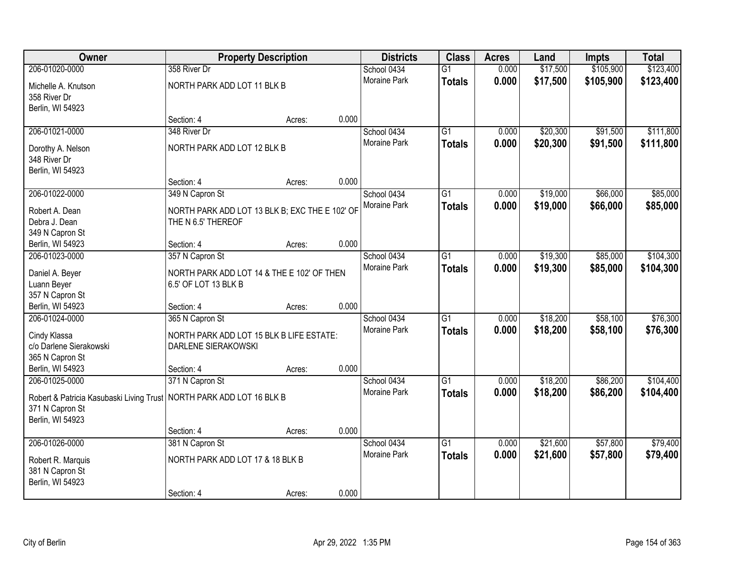| <b>Owner</b>                                                           |                                                                      | <b>Property Description</b> |       | <b>Districts</b>            | <b>Class</b>    | <b>Acres</b> | Land     | <b>Impts</b> | <b>Total</b> |
|------------------------------------------------------------------------|----------------------------------------------------------------------|-----------------------------|-------|-----------------------------|-----------------|--------------|----------|--------------|--------------|
| 206-01020-0000                                                         | 358 River Dr                                                         |                             |       | School 0434                 | $\overline{G1}$ | 0.000        | \$17,500 | \$105,900    | \$123,400    |
| Michelle A. Knutson                                                    | NORTH PARK ADD LOT 11 BLK B                                          |                             |       | Moraine Park                | <b>Totals</b>   | 0.000        | \$17,500 | \$105,900    | \$123,400    |
| 358 River Dr                                                           |                                                                      |                             |       |                             |                 |              |          |              |              |
| Berlin, WI 54923                                                       |                                                                      |                             |       |                             |                 |              |          |              |              |
|                                                                        | Section: 4                                                           | Acres:                      | 0.000 |                             |                 |              |          |              |              |
| 206-01021-0000                                                         | 348 River Dr                                                         |                             |       | School 0434                 | $\overline{G1}$ | 0.000        | \$20,300 | \$91,500     | \$111,800    |
| Dorothy A. Nelson                                                      | NORTH PARK ADD LOT 12 BLK B                                          |                             |       | Moraine Park                | <b>Totals</b>   | 0.000        | \$20,300 | \$91,500     | \$111,800    |
| 348 River Dr                                                           |                                                                      |                             |       |                             |                 |              |          |              |              |
| Berlin, WI 54923                                                       |                                                                      |                             |       |                             |                 |              |          |              |              |
|                                                                        | Section: 4                                                           | Acres:                      | 0.000 |                             |                 |              |          |              |              |
| 206-01022-0000                                                         | 349 N Capron St                                                      |                             |       | School 0434                 | $\overline{G1}$ | 0.000        | \$19,000 | \$66,000     | \$85,000     |
|                                                                        |                                                                      |                             |       | Moraine Park                | <b>Totals</b>   | 0.000        | \$19,000 | \$66,000     | \$85,000     |
| Robert A. Dean<br>Debra J. Dean                                        | NORTH PARK ADD LOT 13 BLK B; EXC THE E 102' OF<br>THE N 6.5' THEREOF |                             |       |                             |                 |              |          |              |              |
| 349 N Capron St                                                        |                                                                      |                             |       |                             |                 |              |          |              |              |
| Berlin, WI 54923                                                       | Section: 4                                                           | Acres:                      | 0.000 |                             |                 |              |          |              |              |
| 206-01023-0000                                                         | 357 N Capron St                                                      |                             |       | School 0434                 | G1              | 0.000        | \$19,300 | \$85,000     | \$104,300    |
|                                                                        |                                                                      |                             |       | Moraine Park                | <b>Totals</b>   | 0.000        | \$19,300 | \$85,000     | \$104,300    |
| Daniel A. Beyer                                                        | NORTH PARK ADD LOT 14 & THE E 102' OF THEN                           |                             |       |                             |                 |              |          |              |              |
| Luann Beyer                                                            | 6.5' OF LOT 13 BLK B                                                 |                             |       |                             |                 |              |          |              |              |
| 357 N Capron St                                                        |                                                                      |                             |       |                             |                 |              |          |              |              |
| Berlin, WI 54923<br>206-01024-0000                                     | Section: 4<br>365 N Capron St                                        | Acres:                      | 0.000 |                             | $\overline{G1}$ | 0.000        | \$18,200 | \$58,100     | \$76,300     |
|                                                                        |                                                                      |                             |       | School 0434<br>Moraine Park |                 |              |          |              |              |
| Cindy Klassa                                                           | NORTH PARK ADD LOT 15 BLK B LIFE ESTATE:                             |                             |       |                             | <b>Totals</b>   | 0.000        | \$18,200 | \$58,100     | \$76,300     |
| c/o Darlene Sierakowski                                                | DARLENE SIERAKOWSKI                                                  |                             |       |                             |                 |              |          |              |              |
| 365 N Capron St                                                        |                                                                      |                             |       |                             |                 |              |          |              |              |
| Berlin, WI 54923                                                       | Section: 4                                                           | Acres:                      | 0.000 |                             |                 |              |          |              |              |
| 206-01025-0000                                                         | 371 N Capron St                                                      |                             |       | School 0434                 | $\overline{G1}$ | 0.000        | \$18,200 | \$86,200     | \$104,400    |
| Robert & Patricia Kasubaski Living Trust   NORTH PARK ADD LOT 16 BLK B |                                                                      |                             |       | Moraine Park                | <b>Totals</b>   | 0.000        | \$18,200 | \$86,200     | \$104,400    |
| 371 N Capron St                                                        |                                                                      |                             |       |                             |                 |              |          |              |              |
| Berlin, WI 54923                                                       |                                                                      |                             |       |                             |                 |              |          |              |              |
|                                                                        | Section: 4                                                           | Acres:                      | 0.000 |                             |                 |              |          |              |              |
| 206-01026-0000                                                         | 381 N Capron St                                                      |                             |       | School 0434                 | $\overline{G1}$ | 0.000        | \$21,600 | \$57,800     | \$79,400     |
| Robert R. Marquis                                                      | NORTH PARK ADD LOT 17 & 18 BLK B                                     |                             |       | <b>Moraine Park</b>         | <b>Totals</b>   | 0.000        | \$21,600 | \$57,800     | \$79,400     |
| 381 N Capron St                                                        |                                                                      |                             |       |                             |                 |              |          |              |              |
| Berlin, WI 54923                                                       |                                                                      |                             |       |                             |                 |              |          |              |              |
|                                                                        | Section: 4                                                           | Acres:                      | 0.000 |                             |                 |              |          |              |              |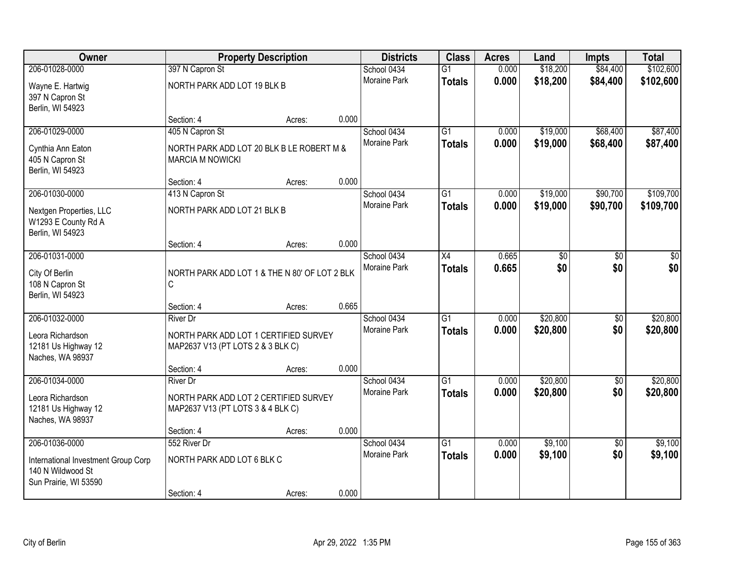| Owner                                                                             |                                                                            | <b>Property Description</b> |       | <b>Districts</b>    | <b>Class</b>    | <b>Acres</b> | Land            | <b>Impts</b>    | <b>Total</b> |
|-----------------------------------------------------------------------------------|----------------------------------------------------------------------------|-----------------------------|-------|---------------------|-----------------|--------------|-----------------|-----------------|--------------|
| 206-01028-0000                                                                    | 397 N Capron St                                                            |                             |       | School 0434         | $\overline{G1}$ | 0.000        | \$18,200        | \$84,400        | \$102,600    |
| Wayne E. Hartwig<br>397 N Capron St<br>Berlin, WI 54923                           | NORTH PARK ADD LOT 19 BLK B                                                |                             |       | <b>Moraine Park</b> | <b>Totals</b>   | 0.000        | \$18,200        | \$84,400        | \$102,600    |
|                                                                                   | Section: 4                                                                 | Acres:                      | 0.000 |                     |                 |              |                 |                 |              |
| 206-01029-0000                                                                    | 405 N Capron St                                                            |                             |       | School 0434         | $\overline{G1}$ | 0.000        | \$19,000        | \$68,400        | \$87,400     |
| Cynthia Ann Eaton<br>405 N Capron St<br>Berlin, WI 54923                          | NORTH PARK ADD LOT 20 BLK B LE ROBERT M &<br><b>MARCIA M NOWICKI</b>       |                             |       | <b>Moraine Park</b> | <b>Totals</b>   | 0.000        | \$19,000        | \$68,400        | \$87,400     |
|                                                                                   | Section: 4                                                                 | Acres:                      | 0.000 |                     |                 |              |                 |                 |              |
| 206-01030-0000                                                                    | 413 N Capron St                                                            |                             |       | School 0434         | $\overline{G1}$ | 0.000        | \$19,000        | \$90,700        | \$109,700    |
| Nextgen Properties, LLC<br>W1293 E County Rd A<br>Berlin, WI 54923                | NORTH PARK ADD LOT 21 BLK B                                                |                             |       | <b>Moraine Park</b> | <b>Totals</b>   | 0.000        | \$19,000        | \$90,700        | \$109,700    |
|                                                                                   | Section: 4                                                                 | Acres:                      | 0.000 |                     |                 |              |                 |                 |              |
| 206-01031-0000                                                                    |                                                                            |                             |       | School 0434         | $\overline{X4}$ | 0.665        | $\overline{50}$ | $\overline{30}$ | \$0          |
| City Of Berlin<br>108 N Capron St<br>Berlin, WI 54923                             | NORTH PARK ADD LOT 1 & THE N 80' OF LOT 2 BLK<br>C                         |                             |       | Moraine Park        | <b>Totals</b>   | 0.665        | \$0             | \$0             | \$0          |
|                                                                                   | Section: 4                                                                 | Acres:                      | 0.665 |                     |                 |              |                 |                 |              |
| 206-01032-0000                                                                    | <b>River Dr</b>                                                            |                             |       | School 0434         | $\overline{G1}$ | 0.000        | \$20,800        | \$0             | \$20,800     |
| Leora Richardson                                                                  | NORTH PARK ADD LOT 1 CERTIFIED SURVEY                                      |                             |       | <b>Moraine Park</b> | <b>Totals</b>   | 0.000        | \$20,800        | \$0             | \$20,800     |
| 12181 Us Highway 12<br>Naches, WA 98937                                           | MAP2637 V13 (PT LOTS 2 & 3 BLK C)                                          |                             |       |                     |                 |              |                 |                 |              |
|                                                                                   | Section: 4                                                                 | Acres:                      | 0.000 |                     |                 |              |                 |                 |              |
| 206-01034-0000                                                                    | <b>River Dr</b>                                                            |                             |       | School 0434         | G1              | 0.000        | \$20,800        | $\sqrt{6}$      | \$20,800     |
| Leora Richardson<br>12181 Us Highway 12<br>Naches, WA 98937                       | NORTH PARK ADD LOT 2 CERTIFIED SURVEY<br>MAP2637 V13 (PT LOTS 3 & 4 BLK C) |                             |       | Moraine Park        | <b>Totals</b>   | 0.000        | \$20,800        | \$0             | \$20,800     |
|                                                                                   | Section: 4                                                                 | Acres:                      | 0.000 |                     |                 |              |                 |                 |              |
| 206-01036-0000                                                                    | 552 River Dr                                                               |                             |       | School 0434         | $\overline{G1}$ | 0.000        | \$9,100         | $\overline{50}$ | \$9,100      |
| International Investment Group Corp<br>140 N Wildwood St<br>Sun Prairie, WI 53590 | NORTH PARK ADD LOT 6 BLK C                                                 |                             |       | <b>Moraine Park</b> | <b>Totals</b>   | 0.000        | \$9,100         | \$0             | \$9,100      |
|                                                                                   | Section: 4                                                                 | Acres:                      | 0.000 |                     |                 |              |                 |                 |              |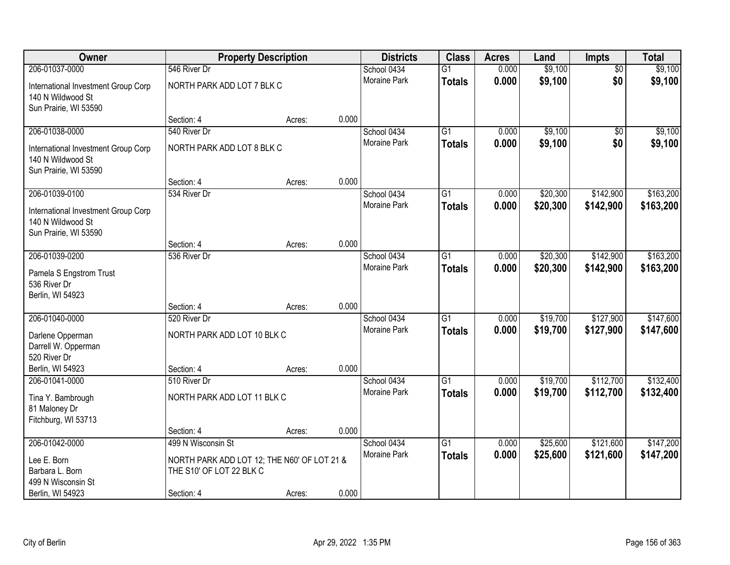| Owner                                                                             |                                             | <b>Property Description</b> |       | <b>Districts</b>    | <b>Class</b>    | <b>Acres</b> | Land     | Impts           | <b>Total</b> |
|-----------------------------------------------------------------------------------|---------------------------------------------|-----------------------------|-------|---------------------|-----------------|--------------|----------|-----------------|--------------|
| 206-01037-0000                                                                    | 546 River Dr                                |                             |       | School 0434         | $\overline{G1}$ | 0.000        | \$9,100  | $\overline{50}$ | \$9,100      |
| International Investment Group Corp<br>140 N Wildwood St                          | NORTH PARK ADD LOT 7 BLK C                  |                             |       | Moraine Park        | <b>Totals</b>   | 0.000        | \$9,100  | \$0             | \$9,100      |
| Sun Prairie, WI 53590                                                             | Section: 4                                  | Acres:                      | 0.000 |                     |                 |              |          |                 |              |
| 206-01038-0000                                                                    | 540 River Dr                                |                             |       | School 0434         | $\overline{G1}$ | 0.000        | \$9,100  | $\overline{50}$ | \$9,100      |
|                                                                                   |                                             |                             |       | Moraine Park        | <b>Totals</b>   | 0.000        | \$9,100  | \$0             | \$9,100      |
| International Investment Group Corp<br>140 N Wildwood St<br>Sun Prairie, WI 53590 | NORTH PARK ADD LOT 8 BLK C                  |                             |       |                     |                 |              |          |                 |              |
|                                                                                   | Section: 4                                  | Acres:                      | 0.000 |                     |                 |              |          |                 |              |
| 206-01039-0100                                                                    | 534 River Dr                                |                             |       | School 0434         | G1              | 0.000        | \$20,300 | \$142,900       | \$163,200    |
| International Investment Group Corp<br>140 N Wildwood St                          |                                             |                             |       | Moraine Park        | <b>Totals</b>   | 0.000        | \$20,300 | \$142,900       | \$163,200    |
| Sun Prairie, WI 53590                                                             |                                             |                             |       |                     |                 |              |          |                 |              |
|                                                                                   | Section: 4                                  | Acres:                      | 0.000 |                     |                 |              |          |                 |              |
| 206-01039-0200                                                                    | 536 River Dr                                |                             |       | School 0434         | G1              | 0.000        | \$20,300 | \$142,900       | \$163,200    |
| Pamela S Engstrom Trust                                                           |                                             |                             |       | <b>Moraine Park</b> | <b>Totals</b>   | 0.000        | \$20,300 | \$142,900       | \$163,200    |
| 536 River Dr                                                                      |                                             |                             |       |                     |                 |              |          |                 |              |
| Berlin, WI 54923                                                                  |                                             |                             |       |                     |                 |              |          |                 |              |
|                                                                                   | Section: 4                                  | Acres:                      | 0.000 |                     |                 |              |          |                 |              |
| 206-01040-0000                                                                    | 520 River Dr                                |                             |       | School 0434         | $\overline{G1}$ | 0.000        | \$19,700 | \$127,900       | \$147,600    |
| Darlene Opperman                                                                  | NORTH PARK ADD LOT 10 BLK C                 |                             |       | Moraine Park        | <b>Totals</b>   | 0.000        | \$19,700 | \$127,900       | \$147,600    |
| Darrell W. Opperman                                                               |                                             |                             |       |                     |                 |              |          |                 |              |
| 520 River Dr                                                                      |                                             |                             |       |                     |                 |              |          |                 |              |
| Berlin, WI 54923                                                                  | Section: 4                                  | Acres:                      | 0.000 |                     |                 |              |          |                 |              |
| 206-01041-0000                                                                    | 510 River Dr                                |                             |       | School 0434         | $\overline{G1}$ | 0.000        | \$19,700 | \$112,700       | \$132,400    |
| Tina Y. Bambrough                                                                 | NORTH PARK ADD LOT 11 BLK C                 |                             |       | Moraine Park        | <b>Totals</b>   | 0.000        | \$19,700 | \$112,700       | \$132,400    |
| 81 Maloney Dr                                                                     |                                             |                             |       |                     |                 |              |          |                 |              |
| Fitchburg, WI 53713                                                               |                                             |                             |       |                     |                 |              |          |                 |              |
|                                                                                   | Section: 4                                  | Acres:                      | 0.000 |                     |                 |              |          |                 |              |
| 206-01042-0000                                                                    | 499 N Wisconsin St                          |                             |       | School 0434         | $\overline{G1}$ | 0.000        | \$25,600 | \$121,600       | \$147,200    |
| Lee E. Born                                                                       | NORTH PARK ADD LOT 12; THE N60' OF LOT 21 & |                             |       | <b>Moraine Park</b> | <b>Totals</b>   | 0.000        | \$25,600 | \$121,600       | \$147,200    |
| Barbara L. Born                                                                   | THE S10' OF LOT 22 BLK C                    |                             |       |                     |                 |              |          |                 |              |
| 499 N Wisconsin St                                                                |                                             |                             |       |                     |                 |              |          |                 |              |
| Berlin, WI 54923                                                                  | Section: 4                                  | Acres:                      | 0.000 |                     |                 |              |          |                 |              |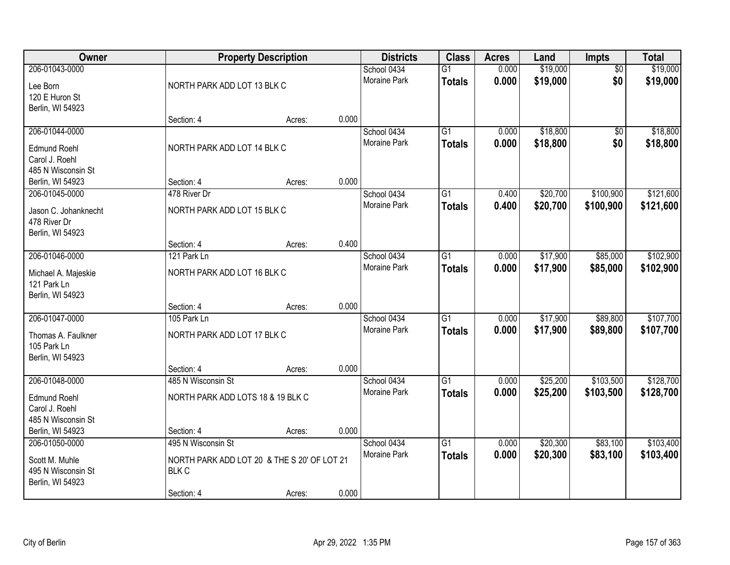| Owner                                                                         |                                                                                                 | <b>Property Description</b> |       | <b>Districts</b>                   | <b>Class</b>                     | <b>Acres</b>   | Land                 | Impts                  | <b>Total</b>           |
|-------------------------------------------------------------------------------|-------------------------------------------------------------------------------------------------|-----------------------------|-------|------------------------------------|----------------------------------|----------------|----------------------|------------------------|------------------------|
| 206-01043-0000<br>Lee Born<br>120 E Huron St<br>Berlin, WI 54923              | NORTH PARK ADD LOT 13 BLK C                                                                     |                             |       | School 0434<br>Moraine Park        | $\overline{G1}$<br><b>Totals</b> | 0.000<br>0.000 | \$19,000<br>\$19,000 | $\overline{50}$<br>\$0 | \$19,000<br>\$19,000   |
|                                                                               | Section: 4                                                                                      | Acres:                      | 0.000 |                                    |                                  |                |                      |                        |                        |
| 206-01044-0000<br><b>Edmund Roehl</b><br>Carol J. Roehl<br>485 N Wisconsin St | NORTH PARK ADD LOT 14 BLK C                                                                     |                             |       | School 0434<br><b>Moraine Park</b> | $\overline{G1}$<br><b>Totals</b> | 0.000<br>0.000 | \$18,800<br>\$18,800 | $\overline{50}$<br>\$0 | \$18,800<br>\$18,800   |
| Berlin, WI 54923                                                              | Section: 4                                                                                      | Acres:                      | 0.000 |                                    |                                  |                |                      |                        |                        |
| 206-01045-0000<br>Jason C. Johanknecht<br>478 River Dr<br>Berlin, WI 54923    | 478 River Dr<br>NORTH PARK ADD LOT 15 BLK C                                                     |                             |       | School 0434<br><b>Moraine Park</b> | G <sub>1</sub><br><b>Totals</b>  | 0.400<br>0.400 | \$20,700<br>\$20,700 | \$100,900<br>\$100,900 | \$121,600<br>\$121,600 |
|                                                                               | Section: 4                                                                                      | Acres:                      | 0.400 |                                    |                                  |                |                      |                        |                        |
| 206-01046-0000<br>Michael A. Majeskie<br>121 Park Ln<br>Berlin, WI 54923      | 121 Park Ln<br>NORTH PARK ADD LOT 16 BLK C                                                      |                             |       | School 0434<br><b>Moraine Park</b> | G1<br><b>Totals</b>              | 0.000<br>0.000 | \$17,900<br>\$17,900 | \$85,000<br>\$85,000   | \$102,900<br>\$102,900 |
|                                                                               | Section: 4                                                                                      | Acres:                      | 0.000 |                                    |                                  |                |                      |                        |                        |
| 206-01047-0000<br>Thomas A. Faulkner<br>105 Park Ln<br>Berlin, WI 54923       | 105 Park Ln<br>NORTH PARK ADD LOT 17 BLK C<br>Section: 4                                        | Acres:                      | 0.000 | School 0434<br>Moraine Park        | $\overline{G1}$<br><b>Totals</b> | 0.000<br>0.000 | \$17,900<br>\$17,900 | \$89,800<br>\$89,800   | \$107,700<br>\$107,700 |
| 206-01048-0000<br><b>Edmund Roehl</b><br>Carol J. Roehl<br>485 N Wisconsin St | 485 N Wisconsin St<br>NORTH PARK ADD LOTS 18 & 19 BLK C                                         |                             |       | School 0434<br>Moraine Park        | $\overline{G1}$<br><b>Totals</b> | 0.000<br>0.000 | \$25,200<br>\$25,200 | \$103,500<br>\$103,500 | \$128,700<br>\$128,700 |
| Berlin, WI 54923                                                              | Section: 4                                                                                      | Acres:                      | 0.000 |                                    |                                  |                |                      |                        |                        |
| 206-01050-0000<br>Scott M. Muhle<br>495 N Wisconsin St<br>Berlin, WI 54923    | 495 N Wisconsin St<br>NORTH PARK ADD LOT 20 & THE S 20' OF LOT 21<br><b>BLK C</b><br>Section: 4 | Acres:                      | 0.000 | School 0434<br>Moraine Park        | $\overline{G1}$<br><b>Totals</b> | 0.000<br>0.000 | \$20,300<br>\$20,300 | \$83,100<br>\$83,100   | \$103,400<br>\$103,400 |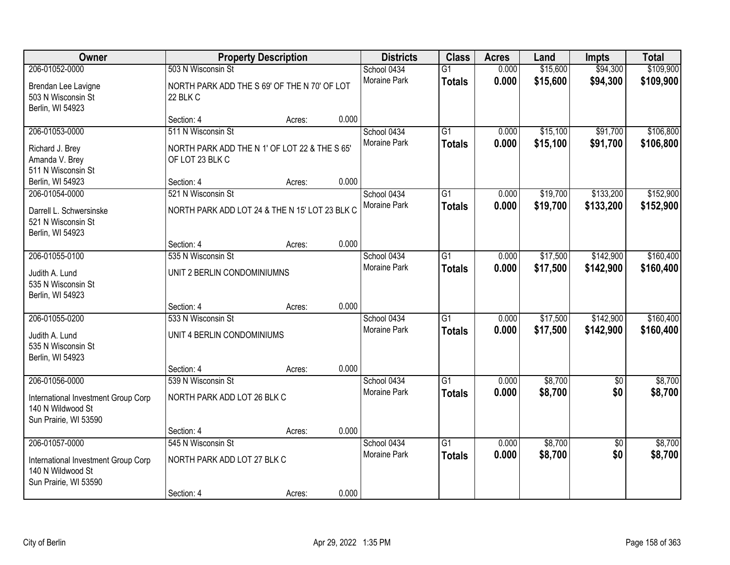| Owner                                                                             |                                                                  | <b>Property Description</b> |       | <b>Districts</b>            | <b>Class</b>                     | <b>Acres</b>   | Land                 | <b>Impts</b>           | <b>Total</b>           |
|-----------------------------------------------------------------------------------|------------------------------------------------------------------|-----------------------------|-------|-----------------------------|----------------------------------|----------------|----------------------|------------------------|------------------------|
| 206-01052-0000                                                                    | 503 N Wisconsin St                                               |                             |       | School 0434                 | $\overline{G1}$                  | 0.000          | \$15,600             | \$94,300               | \$109,900              |
| Brendan Lee Lavigne<br>503 N Wisconsin St<br>Berlin, WI 54923                     | NORTH PARK ADD THE S 69' OF THE N 70' OF LOT<br>22 BLK C         |                             |       | <b>Moraine Park</b>         | <b>Totals</b>                    | 0.000          | \$15,600             | \$94,300               | \$109,900              |
|                                                                                   | Section: 4                                                       | Acres:                      | 0.000 |                             |                                  |                |                      |                        |                        |
| 206-01053-0000                                                                    | 511 N Wisconsin St                                               |                             |       | School 0434                 | $\overline{G1}$                  | 0.000          | \$15,100             | \$91,700               | \$106,800              |
| Richard J. Brey<br>Amanda V. Brey<br>511 N Wisconsin St                           | NORTH PARK ADD THE N 1' OF LOT 22 & THE S 65'<br>OF LOT 23 BLK C |                             |       | Moraine Park                | <b>Totals</b>                    | 0.000          | \$15,100             | \$91,700               | \$106,800              |
| Berlin, WI 54923                                                                  | Section: 4                                                       | Acres:                      | 0.000 |                             |                                  |                |                      |                        |                        |
| 206-01054-0000                                                                    | 521 N Wisconsin St                                               |                             |       | School 0434                 | G1                               | 0.000          | \$19,700             | \$133,200              | \$152,900              |
| Darrell L. Schwersinske<br>521 N Wisconsin St<br>Berlin, WI 54923                 | NORTH PARK ADD LOT 24 & THE N 15' LOT 23 BLK C                   |                             |       | Moraine Park                | <b>Totals</b>                    | 0.000          | \$19,700             | \$133,200              | \$152,900              |
|                                                                                   | Section: 4                                                       | Acres:                      | 0.000 |                             |                                  |                |                      |                        |                        |
| 206-01055-0100                                                                    | 535 N Wisconsin St                                               |                             |       | School 0434                 | $\overline{G1}$                  | 0.000          | \$17,500             | \$142,900              | \$160,400              |
| Judith A. Lund<br>535 N Wisconsin St<br>Berlin, WI 54923                          | UNIT 2 BERLIN CONDOMINIUMNS                                      |                             |       | Moraine Park                | <b>Totals</b>                    | 0.000          | \$17,500             | \$142,900              | \$160,400              |
|                                                                                   | Section: 4                                                       | Acres:                      | 0.000 |                             |                                  |                |                      |                        |                        |
| 206-01055-0200                                                                    | 533 N Wisconsin St                                               |                             |       | School 0434<br>Moraine Park | $\overline{G1}$<br><b>Totals</b> | 0.000<br>0.000 | \$17,500<br>\$17,500 | \$142,900<br>\$142,900 | \$160,400<br>\$160,400 |
| Judith A. Lund<br>535 N Wisconsin St<br>Berlin, WI 54923                          | UNIT 4 BERLIN CONDOMINIUMS                                       |                             |       |                             |                                  |                |                      |                        |                        |
|                                                                                   | Section: 4                                                       | Acres:                      | 0.000 |                             |                                  |                |                      |                        |                        |
| 206-01056-0000                                                                    | 539 N Wisconsin St                                               |                             |       | School 0434                 | $\overline{G1}$                  | 0.000          | \$8,700              | \$0                    | \$8,700                |
| International Investment Group Corp<br>140 N Wildwood St<br>Sun Prairie, WI 53590 | NORTH PARK ADD LOT 26 BLK C                                      |                             |       | Moraine Park                | <b>Totals</b>                    | 0.000          | \$8,700              | \$0                    | \$8,700                |
|                                                                                   | Section: 4                                                       | Acres:                      | 0.000 |                             |                                  |                |                      |                        |                        |
| 206-01057-0000                                                                    | 545 N Wisconsin St                                               |                             |       | School 0434                 | $\overline{G1}$                  | 0.000          | \$8,700              | $\overline{50}$        | \$8,700                |
| International Investment Group Corp<br>140 N Wildwood St<br>Sun Prairie, WI 53590 | NORTH PARK ADD LOT 27 BLK C                                      |                             |       | <b>Moraine Park</b>         | <b>Totals</b>                    | 0.000          | \$8,700              | \$0                    | \$8,700                |
|                                                                                   | Section: 4                                                       | Acres:                      | 0.000 |                             |                                  |                |                      |                        |                        |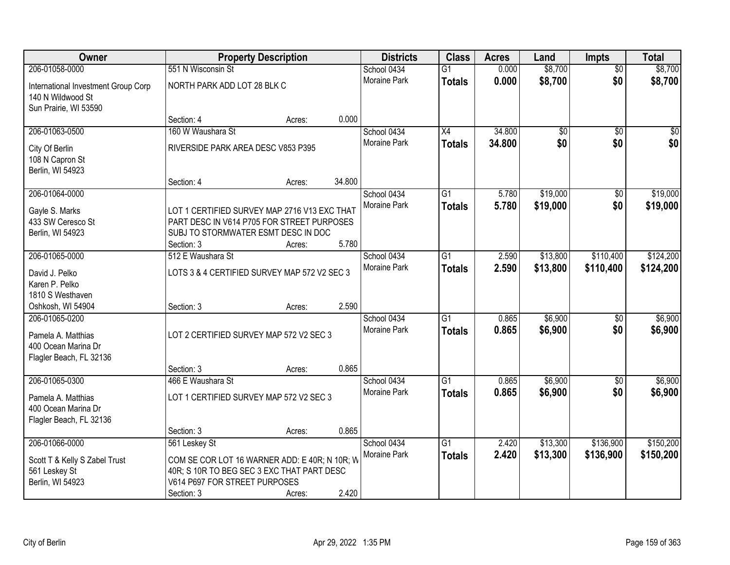| Owner                                                                                  |                                                                                                                                                             | <b>Property Description</b> |        | <b>Districts</b>            | <b>Class</b>                     | <b>Acres</b>   | Land                 | <b>Impts</b>           | <b>Total</b>           |
|----------------------------------------------------------------------------------------|-------------------------------------------------------------------------------------------------------------------------------------------------------------|-----------------------------|--------|-----------------------------|----------------------------------|----------------|----------------------|------------------------|------------------------|
| 206-01058-0000                                                                         | 551 N Wisconsin St                                                                                                                                          |                             |        | School 0434                 | $\overline{G1}$                  | 0.000          | \$8,700              | $\overline{50}$        | \$8,700                |
| International Investment Group Corp<br>140 N Wildwood St<br>Sun Prairie, WI 53590      | NORTH PARK ADD LOT 28 BLK C                                                                                                                                 |                             |        | Moraine Park                | <b>Totals</b>                    | 0.000          | \$8,700              | \$0                    | \$8,700                |
|                                                                                        | Section: 4                                                                                                                                                  | Acres:                      | 0.000  |                             |                                  |                |                      |                        |                        |
| 206-01063-0500                                                                         | 160 W Waushara St                                                                                                                                           |                             |        | School 0434                 | X4                               | 34.800         | \$0                  | $\overline{50}$        | \$0                    |
| City Of Berlin<br>108 N Capron St<br>Berlin, WI 54923                                  | RIVERSIDE PARK AREA DESC V853 P395                                                                                                                          |                             |        | Moraine Park                | <b>Totals</b>                    | 34.800         | \$0                  | \$0                    | \$0                    |
| 206-01064-0000                                                                         | Section: 4                                                                                                                                                  | Acres:                      | 34.800 |                             |                                  |                |                      |                        |                        |
| Gayle S. Marks<br>433 SW Ceresco St<br>Berlin, WI 54923                                | LOT 1 CERTIFIED SURVEY MAP 2716 V13 EXC THAT<br>PART DESC IN V614 P705 FOR STREET PURPOSES<br>SUBJ TO STORMWATER ESMT DESC IN DOC<br>Section: 3             | Acres:                      | 5.780  | School 0434<br>Moraine Park | $\overline{G1}$<br><b>Totals</b> | 5.780<br>5.780 | \$19,000<br>\$19,000 | \$0<br>\$0             | \$19,000<br>\$19,000   |
| 206-01065-0000                                                                         | 512 E Waushara St                                                                                                                                           |                             |        | School 0434                 | $\overline{G1}$                  | 2.590          | \$13,800             | \$110,400              | \$124,200              |
| David J. Pelko<br>Karen P. Pelko<br>1810 S Westhaven                                   | LOTS 3 & 4 CERTIFIED SURVEY MAP 572 V2 SEC 3                                                                                                                |                             | 2.590  | Moraine Park                | <b>Totals</b>                    | 2.590          | \$13,800             | \$110,400              | \$124,200              |
| Oshkosh, WI 54904<br>206-01065-0200                                                    | Section: 3                                                                                                                                                  | Acres:                      |        | School 0434                 | $\overline{G1}$                  | 0.865          | \$6,900              | \$0                    | \$6,900                |
| Pamela A. Matthias<br>400 Ocean Marina Dr<br>Flagler Beach, FL 32136                   | LOT 2 CERTIFIED SURVEY MAP 572 V2 SEC 3                                                                                                                     |                             |        | Moraine Park                | <b>Totals</b>                    | 0.865          | \$6,900              | \$0                    | \$6,900                |
|                                                                                        | Section: 3                                                                                                                                                  | Acres:                      | 0.865  |                             |                                  |                |                      |                        |                        |
| 206-01065-0300<br>Pamela A. Matthias<br>400 Ocean Marina Dr<br>Flagler Beach, FL 32136 | 466 E Waushara St<br>LOT 1 CERTIFIED SURVEY MAP 572 V2 SEC 3                                                                                                |                             |        | School 0434<br>Moraine Park | $\overline{G1}$<br><b>Totals</b> | 0.865<br>0.865 | \$6,900<br>\$6,900   | $\sqrt{6}$<br>\$0      | \$6,900<br>\$6,900     |
|                                                                                        | Section: 3                                                                                                                                                  | Acres:                      | 0.865  |                             |                                  |                |                      |                        |                        |
| 206-01066-0000<br>Scott T & Kelly S Zabel Trust<br>561 Leskey St<br>Berlin, WI 54923   | 561 Leskey St<br>COM SE COR LOT 16 WARNER ADD: E 40R; N 10R; W<br>40R; S 10R TO BEG SEC 3 EXC THAT PART DESC<br>V614 P697 FOR STREET PURPOSES<br>Section: 3 | Acres:                      | 2.420  | School 0434<br>Moraine Park | $\overline{G1}$<br><b>Totals</b> | 2.420<br>2.420 | \$13,300<br>\$13,300 | \$136,900<br>\$136,900 | \$150,200<br>\$150,200 |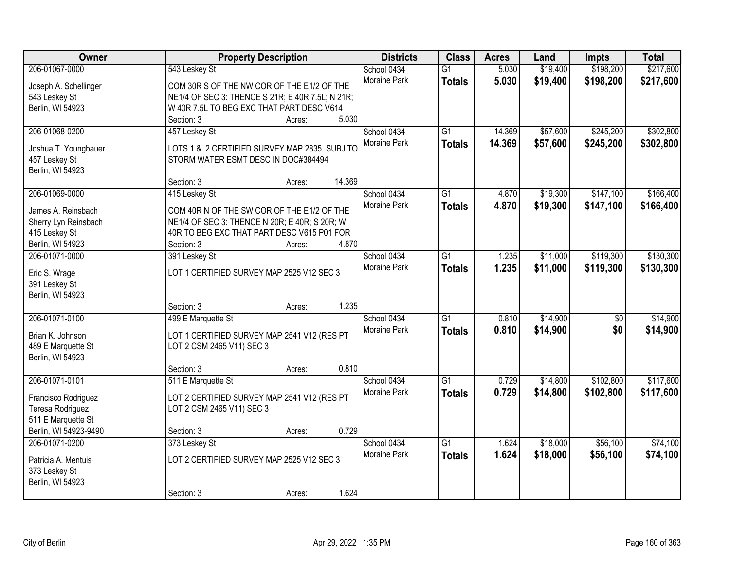| Owner                                   | <b>Property Description</b>                      |        |        | <b>Districts</b>    | <b>Class</b>    | <b>Acres</b> | Land     | <b>Impts</b>    | <b>Total</b> |
|-----------------------------------------|--------------------------------------------------|--------|--------|---------------------|-----------------|--------------|----------|-----------------|--------------|
| 206-01067-0000                          | 543 Leskey St                                    |        |        | School 0434         | $\overline{G1}$ | 5.030        | \$19,400 | \$198,200       | \$217,600    |
| Joseph A. Schellinger                   | COM 30R S OF THE NW COR OF THE E1/2 OF THE       |        |        | Moraine Park        | <b>Totals</b>   | 5.030        | \$19,400 | \$198,200       | \$217,600    |
| 543 Leskey St                           | NE1/4 OF SEC 3: THENCE S 21R; E 40R 7.5L; N 21R; |        |        |                     |                 |              |          |                 |              |
| Berlin, WI 54923                        | W 40R 7.5L TO BEG EXC THAT PART DESC V614        |        |        |                     |                 |              |          |                 |              |
|                                         | Section: 3                                       | Acres: | 5.030  |                     |                 |              |          |                 |              |
| 206-01068-0200                          | 457 Leskey St                                    |        |        | School 0434         | $\overline{G1}$ | 14.369       | \$57,600 | \$245,200       | \$302,800    |
|                                         |                                                  |        |        | Moraine Park        | <b>Totals</b>   | 14.369       | \$57,600 | \$245,200       | \$302,800    |
| Joshua T. Youngbauer                    | LOTS 1 & 2 CERTIFIED SURVEY MAP 2835 SUBJ TO     |        |        |                     |                 |              |          |                 |              |
| 457 Leskey St                           | STORM WATER ESMT DESC IN DOC#384494              |        |        |                     |                 |              |          |                 |              |
| Berlin, WI 54923                        |                                                  |        |        |                     |                 |              |          |                 |              |
|                                         | Section: 3                                       | Acres: | 14.369 |                     |                 |              |          |                 |              |
| 206-01069-0000                          | 415 Leskey St                                    |        |        | School 0434         | $\overline{G1}$ | 4.870        | \$19,300 | \$147,100       | \$166,400    |
| James A. Reinsbach                      | COM 40R N OF THE SW COR OF THE E1/2 OF THE       |        |        | Moraine Park        | <b>Totals</b>   | 4.870        | \$19,300 | \$147,100       | \$166,400    |
| Sherry Lyn Reinsbach                    | NE1/4 OF SEC 3: THENCE N 20R; E 40R; S 20R; W    |        |        |                     |                 |              |          |                 |              |
| 415 Leskey St                           | 40R TO BEG EXC THAT PART DESC V615 P01 FOR       |        |        |                     |                 |              |          |                 |              |
| Berlin, WI 54923                        | Section: 3                                       | Acres: | 4.870  |                     |                 |              |          |                 |              |
| 206-01071-0000                          | 391 Leskey St                                    |        |        | School 0434         | G1              | 1.235        | \$11,000 | \$119,300       | \$130,300    |
|                                         |                                                  |        |        | Moraine Park        | <b>Totals</b>   | 1.235        | \$11,000 | \$119,300       | \$130,300    |
| Eric S. Wrage                           | LOT 1 CERTIFIED SURVEY MAP 2525 V12 SEC 3        |        |        |                     |                 |              |          |                 |              |
| 391 Leskey St                           |                                                  |        |        |                     |                 |              |          |                 |              |
| Berlin, WI 54923                        |                                                  |        |        |                     |                 |              |          |                 |              |
|                                         | Section: 3                                       | Acres: | 1.235  |                     |                 |              |          |                 |              |
| 206-01071-0100                          | 499 E Marquette St                               |        |        | School 0434         | $\overline{G1}$ | 0.810        | \$14,900 | $\overline{50}$ | \$14,900     |
| Brian K. Johnson                        | LOT 1 CERTIFIED SURVEY MAP 2541 V12 (RES PT      |        |        | Moraine Park        | <b>Totals</b>   | 0.810        | \$14,900 | \$0             | \$14,900     |
| 489 E Marquette St                      | LOT 2 CSM 2465 V11) SEC 3                        |        |        |                     |                 |              |          |                 |              |
| Berlin, WI 54923                        |                                                  |        |        |                     |                 |              |          |                 |              |
|                                         | Section: 3                                       | Acres: | 0.810  |                     |                 |              |          |                 |              |
| 206-01071-0101                          | 511 E Marquette St                               |        |        | School 0434         | $\overline{G1}$ | 0.729        | \$14,800 | \$102,800       | \$117,600    |
|                                         | LOT 2 CERTIFIED SURVEY MAP 2541 V12 (RES PT      |        |        | Moraine Park        | <b>Totals</b>   | 0.729        | \$14,800 | \$102,800       | \$117,600    |
| Francisco Rodriguez<br>Teresa Rodriguez | LOT 2 CSM 2465 V11) SEC 3                        |        |        |                     |                 |              |          |                 |              |
| 511 E Marquette St                      |                                                  |        |        |                     |                 |              |          |                 |              |
| Berlin, WI 54923-9490                   | Section: 3                                       | Acres: | 0.729  |                     |                 |              |          |                 |              |
| 206-01071-0200                          | 373 Leskey St                                    |        |        | School 0434         | $\overline{G1}$ | 1.624        | \$18,000 | \$56,100        | \$74,100     |
|                                         |                                                  |        |        | <b>Moraine Park</b> |                 |              |          |                 |              |
| Patricia A. Mentuis                     | LOT 2 CERTIFIED SURVEY MAP 2525 V12 SEC 3        |        |        |                     | <b>Totals</b>   | 1.624        | \$18,000 | \$56,100        | \$74,100     |
| 373 Leskey St                           |                                                  |        |        |                     |                 |              |          |                 |              |
| Berlin, WI 54923                        |                                                  |        |        |                     |                 |              |          |                 |              |
|                                         | Section: 3                                       | Acres: | 1.624  |                     |                 |              |          |                 |              |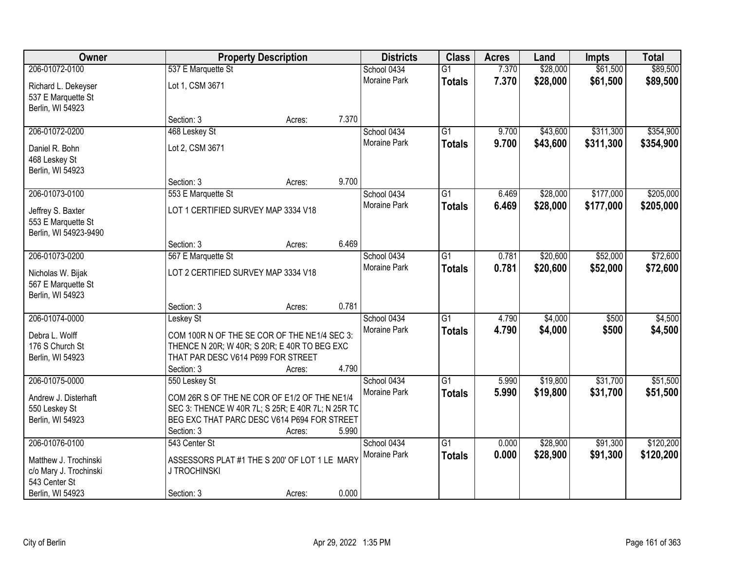| Owner                                                            |                                     | <b>Property Description</b>                                                                                                                                | <b>Districts</b>      | <b>Class</b>    | <b>Acres</b> | Land     | <b>Impts</b> | <b>Total</b> |
|------------------------------------------------------------------|-------------------------------------|------------------------------------------------------------------------------------------------------------------------------------------------------------|-----------------------|-----------------|--------------|----------|--------------|--------------|
| 206-01072-0100                                                   | 537 E Marquette St                  |                                                                                                                                                            | School 0434           | $\overline{G1}$ | 7.370        | \$28,000 | \$61,500     | \$89,500     |
| Richard L. Dekeyser<br>537 E Marquette St<br>Berlin, WI 54923    | Lot 1, CSM 3671                     |                                                                                                                                                            | Moraine Park          | <b>Totals</b>   | 7.370        | \$28,000 | \$61,500     | \$89,500     |
|                                                                  | Section: 3                          | Acres:                                                                                                                                                     | 7.370                 |                 |              |          |              |              |
| 206-01072-0200                                                   | 468 Leskey St                       |                                                                                                                                                            | School 0434           | $\overline{G1}$ | 9.700        | \$43,600 | \$311,300    | \$354,900    |
| Daniel R. Bohn<br>468 Leskey St<br>Berlin, WI 54923              | Lot 2, CSM 3671                     |                                                                                                                                                            | <b>Moraine Park</b>   | <b>Totals</b>   | 9.700        | \$43,600 | \$311,300    | \$354,900    |
|                                                                  | Section: 3                          | Acres:                                                                                                                                                     | 9.700                 |                 |              |          |              |              |
| 206-01073-0100                                                   | 553 E Marquette St                  |                                                                                                                                                            | School 0434           | $\overline{G1}$ | 6.469        | \$28,000 | \$177,000    | \$205,000    |
| Jeffrey S. Baxter<br>553 E Marquette St<br>Berlin, WI 54923-9490 | LOT 1 CERTIFIED SURVEY MAP 3334 V18 |                                                                                                                                                            | Moraine Park          | <b>Totals</b>   | 6.469        | \$28,000 | \$177,000    | \$205,000    |
|                                                                  | Section: 3                          | Acres:                                                                                                                                                     | 6.469                 |                 |              |          |              |              |
| 206-01073-0200                                                   | 567 E Marquette St                  |                                                                                                                                                            | School 0434           | G1              | 0.781        | \$20,600 | \$52,000     | \$72,600     |
| Nicholas W. Bijak<br>567 E Marquette St<br>Berlin, WI 54923      | LOT 2 CERTIFIED SURVEY MAP 3334 V18 |                                                                                                                                                            | <b>Moraine Park</b>   | <b>Totals</b>   | 0.781        | \$20,600 | \$52,000     | \$72,600     |
|                                                                  | Section: 3                          | Acres:                                                                                                                                                     | 0.781                 |                 |              |          |              |              |
| 206-01074-0000                                                   | Leskey St                           |                                                                                                                                                            | School 0434           | $\overline{G1}$ | 4.790        | \$4,000  | \$500        | \$4,500      |
| Debra L. Wolff                                                   |                                     | COM 100R N OF THE SE COR OF THE NE1/4 SEC 3:                                                                                                               | Moraine Park          | <b>Totals</b>   | 4.790        | \$4,000  | \$500        | \$4,500      |
| 176 S Church St                                                  |                                     | THENCE N 20R; W 40R; S 20R; E 40R TO BEG EXC                                                                                                               |                       |                 |              |          |              |              |
| Berlin, WI 54923                                                 | THAT PAR DESC V614 P699 FOR STREET  |                                                                                                                                                            |                       |                 |              |          |              |              |
|                                                                  | Section: 3                          | Acres:                                                                                                                                                     | 4.790                 |                 |              |          |              |              |
| 206-01075-0000                                                   | 550 Leskey St                       |                                                                                                                                                            | School 0434           | $\overline{G1}$ | 5.990        | \$19,800 | \$31,700     | \$51,500     |
| Andrew J. Disterhaft<br>550 Leskey St<br>Berlin, WI 54923        | Section: 3                          | COM 26R S OF THE NE COR OF E1/2 OF THE NE1/4<br>SEC 3: THENCE W 40R 7L; S 25R; E 40R 7L; N 25R TC<br>BEG EXC THAT PARC DESC V614 P694 FOR STREET<br>Acres: | Moraine Park<br>5.990 | <b>Totals</b>   | 5.990        | \$19,800 | \$31,700     | \$51,500     |
| 206-01076-0100                                                   | 543 Center St                       |                                                                                                                                                            | School 0434           | $\overline{G1}$ | 0.000        | \$28,900 | \$91,300     | \$120,200    |
| Matthew J. Trochinski<br>c/o Mary J. Trochinski<br>543 Center St | <b>J TROCHINSKI</b>                 | ASSESSORS PLAT #1 THE S 200' OF LOT 1 LE MARY                                                                                                              | Moraine Park          | <b>Totals</b>   | 0.000        | \$28,900 | \$91,300     | \$120,200    |
| Berlin, WI 54923                                                 | Section: 3                          | Acres:                                                                                                                                                     | 0.000                 |                 |              |          |              |              |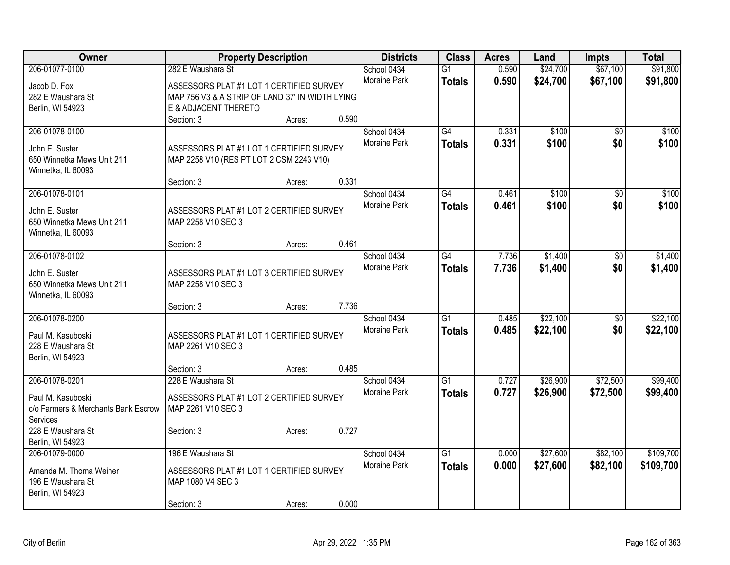| Owner                                                    |                                                                | <b>Property Description</b> |       | <b>Districts</b>    | <b>Class</b>    | <b>Acres</b> | Land     | Impts           | <b>Total</b> |
|----------------------------------------------------------|----------------------------------------------------------------|-----------------------------|-------|---------------------|-----------------|--------------|----------|-----------------|--------------|
| 206-01077-0100                                           | 282 E Waushara St                                              |                             |       | School 0434         | $\overline{G1}$ | 0.590        | \$24,700 | \$67,100        | \$91,800     |
| Jacob D. Fox                                             | ASSESSORS PLAT #1 LOT 1 CERTIFIED SURVEY                       |                             |       | Moraine Park        | <b>Totals</b>   | 0.590        | \$24,700 | \$67,100        | \$91,800     |
| 282 E Waushara St                                        | MAP 756 V3 & A STRIP OF LAND 37' IN WIDTH LYING                |                             |       |                     |                 |              |          |                 |              |
| Berlin, WI 54923                                         | E & ADJACENT THERETO                                           |                             |       |                     |                 |              |          |                 |              |
|                                                          | Section: 3                                                     | Acres:                      | 0.590 |                     |                 |              |          |                 |              |
| 206-01078-0100                                           |                                                                |                             |       | School 0434         | $\overline{G4}$ | 0.331        | \$100    | \$0             | \$100        |
| John E. Suster                                           | ASSESSORS PLAT #1 LOT 1 CERTIFIED SURVEY                       |                             |       | Moraine Park        | <b>Totals</b>   | 0.331        | \$100    | \$0             | \$100        |
| 650 Winnetka Mews Unit 211                               | MAP 2258 V10 (RES PT LOT 2 CSM 2243 V10)                       |                             |       |                     |                 |              |          |                 |              |
| Winnetka, IL 60093                                       |                                                                |                             |       |                     |                 |              |          |                 |              |
|                                                          | Section: 3                                                     | Acres:                      | 0.331 |                     |                 |              |          |                 |              |
| 206-01078-0101                                           |                                                                |                             |       | School 0434         | $\overline{G4}$ | 0.461        | \$100    | $\overline{50}$ | \$100        |
| John E. Suster                                           | ASSESSORS PLAT #1 LOT 2 CERTIFIED SURVEY                       |                             |       | <b>Moraine Park</b> | <b>Totals</b>   | 0.461        | \$100    | \$0             | \$100        |
| 650 Winnetka Mews Unit 211                               | MAP 2258 V10 SEC 3                                             |                             |       |                     |                 |              |          |                 |              |
| Winnetka, IL 60093                                       |                                                                |                             |       |                     |                 |              |          |                 |              |
|                                                          | Section: 3                                                     | Acres:                      | 0.461 |                     |                 |              |          |                 |              |
| 206-01078-0102                                           |                                                                |                             |       | School 0434         | $\overline{G4}$ | 7.736        | \$1,400  | $\overline{50}$ | \$1,400      |
| John E. Suster                                           |                                                                |                             |       | <b>Moraine Park</b> | <b>Totals</b>   | 7.736        | \$1,400  | \$0             | \$1,400      |
| 650 Winnetka Mews Unit 211                               | ASSESSORS PLAT #1 LOT 3 CERTIFIED SURVEY<br>MAP 2258 V10 SEC 3 |                             |       |                     |                 |              |          |                 |              |
| Winnetka, IL 60093                                       |                                                                |                             |       |                     |                 |              |          |                 |              |
|                                                          | Section: 3                                                     | Acres:                      | 7.736 |                     |                 |              |          |                 |              |
| 206-01078-0200                                           |                                                                |                             |       | School 0434         | $\overline{G1}$ | 0.485        | \$22,100 | $\overline{50}$ | \$22,100     |
|                                                          |                                                                |                             |       | <b>Moraine Park</b> | <b>Totals</b>   | 0.485        | \$22,100 | \$0             | \$22,100     |
| Paul M. Kasuboski<br>228 E Waushara St                   | ASSESSORS PLAT #1 LOT 1 CERTIFIED SURVEY<br>MAP 2261 V10 SEC 3 |                             |       |                     |                 |              |          |                 |              |
| Berlin, WI 54923                                         |                                                                |                             |       |                     |                 |              |          |                 |              |
|                                                          | Section: 3                                                     | Acres:                      | 0.485 |                     |                 |              |          |                 |              |
| 206-01078-0201                                           | 228 E Waushara St                                              |                             |       | School 0434         | $\overline{G1}$ | 0.727        | \$26,900 | \$72,500        | \$99,400     |
|                                                          |                                                                |                             |       | Moraine Park        | <b>Totals</b>   | 0.727        | \$26,900 | \$72,500        | \$99,400     |
| Paul M. Kasuboski<br>c/o Farmers & Merchants Bank Escrow | ASSESSORS PLAT #1 LOT 2 CERTIFIED SURVEY<br>MAP 2261 V10 SEC 3 |                             |       |                     |                 |              |          |                 |              |
| Services                                                 |                                                                |                             |       |                     |                 |              |          |                 |              |
| 228 E Waushara St                                        | Section: 3                                                     | Acres:                      | 0.727 |                     |                 |              |          |                 |              |
| Berlin, WI 54923                                         |                                                                |                             |       |                     |                 |              |          |                 |              |
| 206-01079-0000                                           | 196 E Waushara St                                              |                             |       | School 0434         | $\overline{G1}$ | 0.000        | \$27,600 | \$82,100        | \$109,700    |
| Amanda M. Thoma Weiner                                   | ASSESSORS PLAT #1 LOT 1 CERTIFIED SURVEY                       |                             |       | <b>Moraine Park</b> | <b>Totals</b>   | 0.000        | \$27,600 | \$82,100        | \$109,700    |
| 196 E Waushara St                                        | MAP 1080 V4 SEC 3                                              |                             |       |                     |                 |              |          |                 |              |
| Berlin, WI 54923                                         |                                                                |                             |       |                     |                 |              |          |                 |              |
|                                                          | Section: 3                                                     | Acres:                      | 0.000 |                     |                 |              |          |                 |              |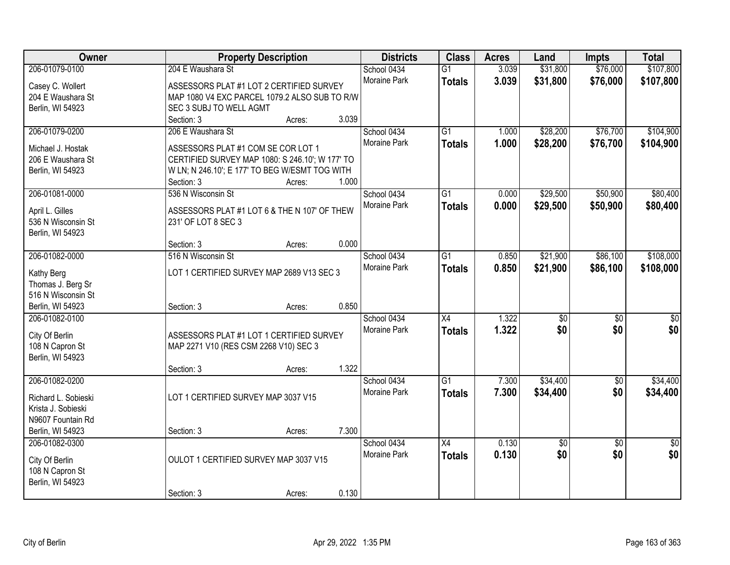| Owner                                 | <b>Property Description</b>                                         |        |       | <b>Districts</b>    | <b>Class</b>    | <b>Acres</b> | Land            | <b>Impts</b>    | <b>Total</b> |
|---------------------------------------|---------------------------------------------------------------------|--------|-------|---------------------|-----------------|--------------|-----------------|-----------------|--------------|
| 206-01079-0100                        | 204 E Waushara St                                                   |        |       | School 0434         | $\overline{G1}$ | 3.039        | \$31,800        | \$76,000        | \$107,800    |
| Casey C. Wollert                      | ASSESSORS PLAT #1 LOT 2 CERTIFIED SURVEY                            |        |       | <b>Moraine Park</b> | <b>Totals</b>   | 3.039        | \$31,800        | \$76,000        | \$107,800    |
| 204 E Waushara St                     | MAP 1080 V4 EXC PARCEL 1079.2 ALSO SUB TO R/W                       |        |       |                     |                 |              |                 |                 |              |
| Berlin, WI 54923                      | SEC 3 SUBJ TO WELL AGMT                                             |        |       |                     |                 |              |                 |                 |              |
|                                       | Section: 3                                                          | Acres: | 3.039 |                     |                 |              |                 |                 |              |
| 206-01079-0200                        | 206 E Waushara St                                                   |        |       | School 0434         | $\overline{G1}$ | 1.000        | \$28,200        | \$76,700        | \$104,900    |
| Michael J. Hostak                     | ASSESSORS PLAT #1 COM SE COR LOT 1                                  |        |       | <b>Moraine Park</b> | <b>Totals</b>   | 1.000        | \$28,200        | \$76,700        | \$104,900    |
| 206 E Waushara St                     | CERTIFIED SURVEY MAP 1080: S 246.10'; W 177' TO                     |        |       |                     |                 |              |                 |                 |              |
| Berlin, WI 54923                      | W LN; N 246.10'; E 177' TO BEG W/ESMT TOG WITH                      |        |       |                     |                 |              |                 |                 |              |
|                                       | Section: 3                                                          | Acres: | 1.000 |                     |                 |              |                 |                 |              |
| 206-01081-0000                        | 536 N Wisconsin St                                                  |        |       | School 0434         | G1              | 0.000        | \$29,500        | \$50,900        | \$80,400     |
|                                       |                                                                     |        |       | Moraine Park        | <b>Totals</b>   | 0.000        | \$29,500        | \$50,900        | \$80,400     |
| April L. Gilles<br>536 N Wisconsin St | ASSESSORS PLAT #1 LOT 6 & THE N 107' OF THEW<br>231' OF LOT 8 SEC 3 |        |       |                     |                 |              |                 |                 |              |
| Berlin, WI 54923                      |                                                                     |        |       |                     |                 |              |                 |                 |              |
|                                       | Section: 3                                                          | Acres: | 0.000 |                     |                 |              |                 |                 |              |
| 206-01082-0000                        | 516 N Wisconsin St                                                  |        |       | School 0434         | G1              | 0.850        | \$21,900        | \$86,100        | \$108,000    |
|                                       |                                                                     |        |       | <b>Moraine Park</b> | <b>Totals</b>   | 0.850        | \$21,900        | \$86,100        | \$108,000    |
| Kathy Berg                            | LOT 1 CERTIFIED SURVEY MAP 2689 V13 SEC 3                           |        |       |                     |                 |              |                 |                 |              |
| Thomas J. Berg Sr                     |                                                                     |        |       |                     |                 |              |                 |                 |              |
| 516 N Wisconsin St                    |                                                                     |        |       |                     |                 |              |                 |                 |              |
| Berlin, WI 54923                      | Section: 3                                                          | Acres: | 0.850 |                     |                 |              |                 |                 |              |
| 206-01082-0100                        |                                                                     |        |       | School 0434         | X4              | 1.322        | $\sqrt{50}$     | \$0             | $\sqrt{50}$  |
| City Of Berlin                        | ASSESSORS PLAT #1 LOT 1 CERTIFIED SURVEY                            |        |       | <b>Moraine Park</b> | <b>Totals</b>   | 1.322        | \$0             | \$0             | \$0          |
| 108 N Capron St                       | MAP 2271 V10 (RES CSM 2268 V10) SEC 3                               |        |       |                     |                 |              |                 |                 |              |
| Berlin, WI 54923                      |                                                                     |        |       |                     |                 |              |                 |                 |              |
|                                       | Section: 3                                                          | Acres: | 1.322 |                     |                 |              |                 |                 |              |
| 206-01082-0200                        |                                                                     |        |       | School 0434         | $\overline{G1}$ | 7.300        | \$34,400        | \$0             | \$34,400     |
| Richard L. Sobieski                   | LOT 1 CERTIFIED SURVEY MAP 3037 V15                                 |        |       | Moraine Park        | <b>Totals</b>   | 7.300        | \$34,400        | \$0             | \$34,400     |
| Krista J. Sobieski                    |                                                                     |        |       |                     |                 |              |                 |                 |              |
| N9607 Fountain Rd                     |                                                                     |        |       |                     |                 |              |                 |                 |              |
| Berlin, WI 54923                      | Section: 3                                                          | Acres: | 7.300 |                     |                 |              |                 |                 |              |
| 206-01082-0300                        |                                                                     |        |       | School 0434         | $\overline{X4}$ | 0.130        | $\overline{60}$ | $\overline{50}$ | \$0          |
|                                       |                                                                     |        |       | <b>Moraine Park</b> | <b>Totals</b>   | 0.130        | \$0             | \$0             | \$0          |
| City Of Berlin                        | OULOT 1 CERTIFIED SURVEY MAP 3037 V15                               |        |       |                     |                 |              |                 |                 |              |
| 108 N Capron St                       |                                                                     |        |       |                     |                 |              |                 |                 |              |
| Berlin, WI 54923                      |                                                                     |        |       |                     |                 |              |                 |                 |              |
|                                       | Section: 3                                                          | Acres: | 0.130 |                     |                 |              |                 |                 |              |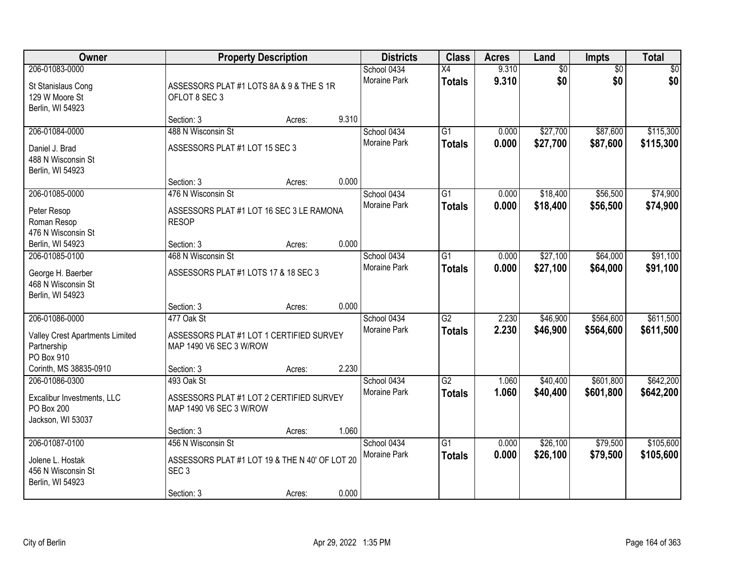| Owner                                                                           |                                                                                                        | <b>Property Description</b> |       | <b>Districts</b>                   | <b>Class</b>                     | <b>Acres</b>   | Land                   | Impts                  | <b>Total</b>           |
|---------------------------------------------------------------------------------|--------------------------------------------------------------------------------------------------------|-----------------------------|-------|------------------------------------|----------------------------------|----------------|------------------------|------------------------|------------------------|
| 206-01083-0000<br>St Stanislaus Cong<br>129 W Moore St<br>Berlin, WI 54923      | ASSESSORS PLAT #1 LOTS 8A & 9 & THE S 1R<br>OFLOT 8 SEC 3                                              |                             |       | School 0434<br>Moraine Park        | $\overline{X4}$<br><b>Totals</b> | 9.310<br>9.310 | $\overline{60}$<br>\$0 | $\overline{50}$<br>\$0 | \$0<br>\$0             |
|                                                                                 | Section: 3                                                                                             | Acres:                      | 9.310 |                                    |                                  |                |                        |                        |                        |
| 206-01084-0000<br>Daniel J. Brad<br>488 N Wisconsin St<br>Berlin, WI 54923      | 488 N Wisconsin St<br>ASSESSORS PLAT #1 LOT 15 SEC 3                                                   |                             |       | School 0434<br><b>Moraine Park</b> | $\overline{G1}$<br><b>Totals</b> | 0.000<br>0.000 | \$27,700<br>\$27,700   | \$87,600<br>\$87,600   | \$115,300<br>\$115,300 |
|                                                                                 | Section: 3                                                                                             | Acres:                      | 0.000 |                                    |                                  |                |                        |                        |                        |
| 206-01085-0000<br>Peter Resop<br>Roman Resop<br>476 N Wisconsin St              | 476 N Wisconsin St<br>ASSESSORS PLAT #1 LOT 16 SEC 3 LE RAMONA<br><b>RESOP</b>                         |                             |       | School 0434<br>Moraine Park        | $\overline{G1}$<br><b>Totals</b> | 0.000<br>0.000 | \$18,400<br>\$18,400   | \$56,500<br>\$56,500   | \$74,900<br>\$74,900   |
| Berlin, WI 54923                                                                | Section: 3                                                                                             | Acres:                      | 0.000 |                                    |                                  |                |                        |                        |                        |
| 206-01085-0100<br>George H. Baerber<br>468 N Wisconsin St<br>Berlin, WI 54923   | 468 N Wisconsin St<br>ASSESSORS PLAT #1 LOTS 17 & 18 SEC 3                                             |                             |       | School 0434<br><b>Moraine Park</b> | $\overline{G1}$<br><b>Totals</b> | 0.000<br>0.000 | \$27,100<br>\$27,100   | \$64,000<br>\$64,000   | \$91,100<br>\$91,100   |
|                                                                                 | Section: 3                                                                                             | Acres:                      | 0.000 |                                    |                                  |                |                        |                        |                        |
| 206-01086-0000<br>Valley Crest Apartments Limited<br>Partnership<br>PO Box 910  | 477 Oak St<br>ASSESSORS PLAT #1 LOT 1 CERTIFIED SURVEY<br>MAP 1490 V6 SEC 3 W/ROW                      |                             |       | School 0434<br><b>Moraine Park</b> | $\overline{G2}$<br><b>Totals</b> | 2.230<br>2.230 | \$46,900<br>\$46,900   | \$564,600<br>\$564,600 | \$611,500<br>\$611,500 |
| Corinth, MS 38835-0910                                                          | Section: 3                                                                                             | Acres:                      | 2.230 |                                    |                                  |                |                        |                        |                        |
| 206-01086-0300<br>Excalibur Investments, LLC<br>PO Box 200<br>Jackson, WI 53037 | 493 Oak St<br>ASSESSORS PLAT #1 LOT 2 CERTIFIED SURVEY<br>MAP 1490 V6 SEC 3 W/ROW                      |                             |       | School 0434<br>Moraine Park        | $\overline{G2}$<br><b>Totals</b> | 1.060<br>1.060 | \$40,400<br>\$40,400   | \$601,800<br>\$601,800 | \$642,200<br>\$642,200 |
|                                                                                 | Section: 3                                                                                             | Acres:                      | 1.060 |                                    |                                  |                |                        |                        |                        |
| 206-01087-0100<br>Jolene L. Hostak<br>456 N Wisconsin St<br>Berlin, WI 54923    | 456 N Wisconsin St<br>ASSESSORS PLAT #1 LOT 19 & THE N 40' OF LOT 20<br>SEC <sub>3</sub><br>Section: 3 | Acres:                      | 0.000 | School 0434<br><b>Moraine Park</b> | $\overline{G1}$<br><b>Totals</b> | 0.000<br>0.000 | \$26,100<br>\$26,100   | \$79,500<br>\$79,500   | \$105,600<br>\$105,600 |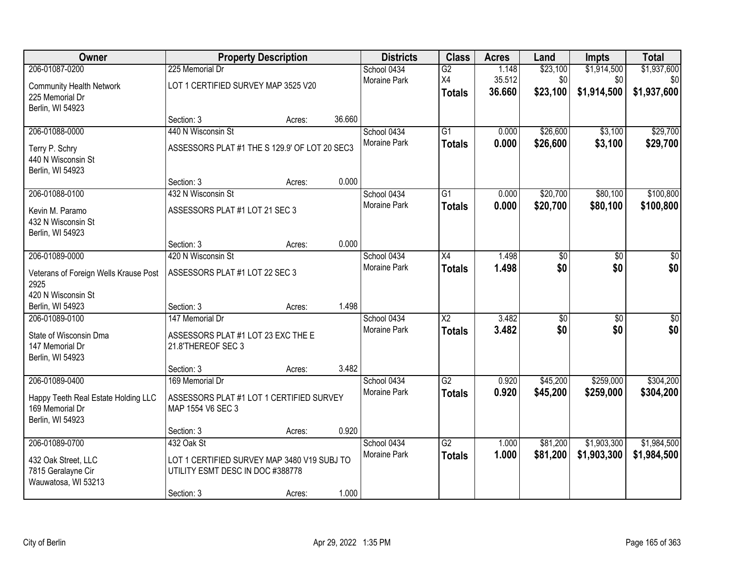| Owner                                 |                                               | <b>Property Description</b> |        | <b>Districts</b>    | <b>Class</b>    | <b>Acres</b> | Land            | Impts           | <b>Total</b>    |
|---------------------------------------|-----------------------------------------------|-----------------------------|--------|---------------------|-----------------|--------------|-----------------|-----------------|-----------------|
| 206-01087-0200                        | 225 Memorial Dr                               |                             |        | School 0434         | G2              | 1.148        | \$23,100        | \$1,914,500     | \$1,937,600     |
| <b>Community Health Network</b>       | LOT 1 CERTIFIED SURVEY MAP 3525 V20           |                             |        | <b>Moraine Park</b> | X4              | 35.512       | \$0             | \$0             | \$0             |
| 225 Memorial Dr                       |                                               |                             |        |                     | <b>Totals</b>   | 36.660       | \$23,100        | \$1,914,500     | \$1,937,600     |
| Berlin, WI 54923                      |                                               |                             |        |                     |                 |              |                 |                 |                 |
|                                       | Section: 3                                    | Acres:                      | 36.660 |                     |                 |              |                 |                 |                 |
| 206-01088-0000                        | 440 N Wisconsin St                            |                             |        | School 0434         | $\overline{G1}$ | 0.000        | \$26,600        | \$3,100         | \$29,700        |
| Terry P. Schry                        | ASSESSORS PLAT #1 THE S 129.9' OF LOT 20 SEC3 |                             |        | Moraine Park        | <b>Totals</b>   | 0.000        | \$26,600        | \$3,100         | \$29,700        |
| 440 N Wisconsin St                    |                                               |                             |        |                     |                 |              |                 |                 |                 |
| Berlin, WI 54923                      |                                               |                             |        |                     |                 |              |                 |                 |                 |
|                                       | Section: 3                                    | Acres:                      | 0.000  |                     |                 |              |                 |                 |                 |
| 206-01088-0100                        | 432 N Wisconsin St                            |                             |        | School 0434         | G1              | 0.000        | \$20,700        | \$80,100        | \$100,800       |
| Kevin M. Paramo                       | ASSESSORS PLAT #1 LOT 21 SEC 3                |                             |        | Moraine Park        | <b>Totals</b>   | 0.000        | \$20,700        | \$80,100        | \$100,800       |
| 432 N Wisconsin St                    |                                               |                             |        |                     |                 |              |                 |                 |                 |
| Berlin, WI 54923                      |                                               |                             |        |                     |                 |              |                 |                 |                 |
|                                       | Section: 3                                    | Acres:                      | 0.000  |                     |                 |              |                 |                 |                 |
| 206-01089-0000                        | 420 N Wisconsin St                            |                             |        | School 0434         | $\overline{X4}$ | 1.498        | $\overline{50}$ | $\overline{50}$ | $\overline{50}$ |
| Veterans of Foreign Wells Krause Post | ASSESSORS PLAT #1 LOT 22 SEC 3                |                             |        | Moraine Park        | <b>Totals</b>   | 1.498        | \$0             | \$0             | \$0             |
| 2925                                  |                                               |                             |        |                     |                 |              |                 |                 |                 |
| 420 N Wisconsin St                    |                                               |                             |        |                     |                 |              |                 |                 |                 |
| Berlin, WI 54923                      | Section: 3                                    | Acres:                      | 1.498  |                     |                 |              |                 |                 |                 |
| 206-01089-0100                        | 147 Memorial Dr                               |                             |        | School 0434         | $\overline{X2}$ | 3.482        | $\overline{60}$ | $\overline{50}$ | \$0             |
| State of Wisconsin Dma                | ASSESSORS PLAT #1 LOT 23 EXC THE E            |                             |        | Moraine Park        | <b>Totals</b>   | 3.482        | \$0             | \$0             | \$0             |
| 147 Memorial Dr                       | 21.8'THEREOF SEC 3                            |                             |        |                     |                 |              |                 |                 |                 |
| Berlin, WI 54923                      |                                               |                             |        |                     |                 |              |                 |                 |                 |
|                                       | Section: 3                                    | Acres:                      | 3.482  |                     |                 |              |                 |                 |                 |
| 206-01089-0400                        | 169 Memorial Dr                               |                             |        | School 0434         | G2              | 0.920        | \$45,200        | \$259,000       | \$304,200       |
| Happy Teeth Real Estate Holding LLC   | ASSESSORS PLAT #1 LOT 1 CERTIFIED SURVEY      |                             |        | Moraine Park        | <b>Totals</b>   | 0.920        | \$45,200        | \$259,000       | \$304,200       |
| 169 Memorial Dr                       | MAP 1554 V6 SEC 3                             |                             |        |                     |                 |              |                 |                 |                 |
| Berlin, WI 54923                      |                                               |                             |        |                     |                 |              |                 |                 |                 |
|                                       | Section: 3                                    | Acres:                      | 0.920  |                     |                 |              |                 |                 |                 |
| 206-01089-0700                        | 432 Oak St                                    |                             |        | School 0434         | G2              | 1.000        | \$81,200        | \$1,903,300     | \$1,984,500     |
| 432 Oak Street, LLC                   | LOT 1 CERTIFIED SURVEY MAP 3480 V19 SUBJ TO   |                             |        | <b>Moraine Park</b> | <b>Totals</b>   | 1.000        | \$81,200        | \$1,903,300     | \$1,984,500     |
| 7815 Geralayne Cir                    | UTILITY ESMT DESC IN DOC #388778              |                             |        |                     |                 |              |                 |                 |                 |
| Wauwatosa, WI 53213                   |                                               |                             |        |                     |                 |              |                 |                 |                 |
|                                       | Section: 3                                    | Acres:                      | 1.000  |                     |                 |              |                 |                 |                 |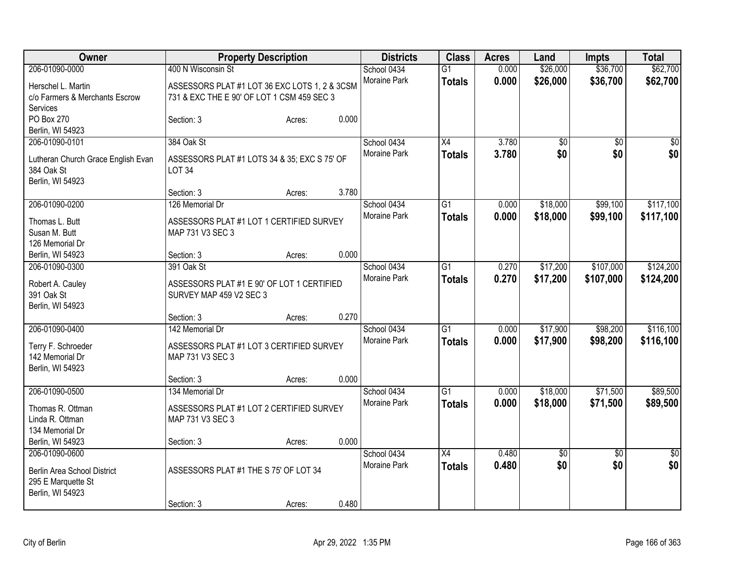| Owner                              |                                               | <b>Property Description</b> |       | <b>Districts</b> | <b>Class</b>    | <b>Acres</b> | Land            | <b>Impts</b>    | <b>Total</b>    |
|------------------------------------|-----------------------------------------------|-----------------------------|-------|------------------|-----------------|--------------|-----------------|-----------------|-----------------|
| 206-01090-0000                     | 400 N Wisconsin St                            |                             |       | School 0434      | $\overline{G1}$ | 0.000        | \$26,000        | \$36,700        | \$62,700        |
| Herschel L. Martin                 | ASSESSORS PLAT #1 LOT 36 EXC LOTS 1, 2 & 3CSM |                             |       | Moraine Park     | <b>Totals</b>   | 0.000        | \$26,000        | \$36,700        | \$62,700        |
| c/o Farmers & Merchants Escrow     | 731 & EXC THE E 90' OF LOT 1 CSM 459 SEC 3    |                             |       |                  |                 |              |                 |                 |                 |
| Services                           |                                               |                             |       |                  |                 |              |                 |                 |                 |
| PO Box 270                         | Section: 3                                    | Acres:                      | 0.000 |                  |                 |              |                 |                 |                 |
| Berlin, WI 54923                   |                                               |                             |       |                  |                 |              |                 |                 |                 |
| 206-01090-0101                     | 384 Oak St                                    |                             |       | School 0434      | X4              | 3.780        | \$0             | $\overline{60}$ | $\overline{50}$ |
| Lutheran Church Grace English Evan | ASSESSORS PLAT #1 LOTS 34 & 35; EXC S 75' OF  |                             |       | Moraine Park     | <b>Totals</b>   | 3.780        | \$0             | \$0             | \$0             |
| 384 Oak St                         | <b>LOT 34</b>                                 |                             |       |                  |                 |              |                 |                 |                 |
| Berlin, WI 54923                   |                                               |                             |       |                  |                 |              |                 |                 |                 |
|                                    | Section: 3                                    | Acres:                      | 3.780 |                  |                 |              |                 |                 |                 |
| 206-01090-0200                     | 126 Memorial Dr                               |                             |       | School 0434      | $\overline{G1}$ | 0.000        | \$18,000        | \$99,100        | \$117,100       |
| Thomas L. Butt                     | ASSESSORS PLAT #1 LOT 1 CERTIFIED SURVEY      |                             |       | Moraine Park     | <b>Totals</b>   | 0.000        | \$18,000        | \$99,100        | \$117,100       |
| Susan M. Butt                      | MAP 731 V3 SEC 3                              |                             |       |                  |                 |              |                 |                 |                 |
| 126 Memorial Dr                    |                                               |                             |       |                  |                 |              |                 |                 |                 |
| Berlin, WI 54923                   | Section: 3                                    | Acres:                      | 0.000 |                  |                 |              |                 |                 |                 |
| 206-01090-0300                     | 391 Oak St                                    |                             |       | School 0434      | $\overline{G1}$ | 0.270        | \$17,200        | \$107,000       | \$124,200       |
|                                    |                                               |                             |       | Moraine Park     | <b>Totals</b>   | 0.270        | \$17,200        | \$107,000       | \$124,200       |
| Robert A. Cauley                   | ASSESSORS PLAT #1 E 90' OF LOT 1 CERTIFIED    |                             |       |                  |                 |              |                 |                 |                 |
| 391 Oak St                         | SURVEY MAP 459 V2 SEC 3                       |                             |       |                  |                 |              |                 |                 |                 |
| Berlin, WI 54923                   |                                               |                             | 0.270 |                  |                 |              |                 |                 |                 |
| 206-01090-0400                     | Section: 3<br>142 Memorial Dr                 | Acres:                      |       | School 0434      | $\overline{G1}$ |              | \$17,900        | \$98,200        | \$116,100       |
|                                    |                                               |                             |       | Moraine Park     |                 | 0.000        |                 |                 |                 |
| Terry F. Schroeder                 | ASSESSORS PLAT #1 LOT 3 CERTIFIED SURVEY      |                             |       |                  | <b>Totals</b>   | 0.000        | \$17,900        | \$98,200        | \$116,100       |
| 142 Memorial Dr                    | MAP 731 V3 SEC 3                              |                             |       |                  |                 |              |                 |                 |                 |
| Berlin, WI 54923                   |                                               |                             |       |                  |                 |              |                 |                 |                 |
|                                    | Section: 3                                    | Acres:                      | 0.000 |                  |                 |              |                 |                 |                 |
| 206-01090-0500                     | 134 Memorial Dr                               |                             |       | School 0434      | $\overline{G1}$ | 0.000        | \$18,000        | \$71,500        | \$89,500        |
| Thomas R. Ottman                   | ASSESSORS PLAT #1 LOT 2 CERTIFIED SURVEY      |                             |       | Moraine Park     | <b>Totals</b>   | 0.000        | \$18,000        | \$71,500        | \$89,500        |
| Linda R. Ottman                    | MAP 731 V3 SEC 3                              |                             |       |                  |                 |              |                 |                 |                 |
| 134 Memorial Dr                    |                                               |                             |       |                  |                 |              |                 |                 |                 |
| Berlin, WI 54923                   | Section: 3                                    | Acres:                      | 0.000 |                  |                 |              |                 |                 |                 |
| 206-01090-0600                     |                                               |                             |       | School 0434      | $\overline{X4}$ | 0.480        | $\overline{50}$ | $\overline{50}$ | $\overline{50}$ |
| Berlin Area School District        | ASSESSORS PLAT #1 THE S 75' OF LOT 34         |                             |       | Moraine Park     | <b>Totals</b>   | 0.480        | \$0             | \$0             | \$0             |
| 295 E Marquette St                 |                                               |                             |       |                  |                 |              |                 |                 |                 |
| Berlin, WI 54923                   |                                               |                             |       |                  |                 |              |                 |                 |                 |
|                                    | Section: 3                                    | Acres:                      | 0.480 |                  |                 |              |                 |                 |                 |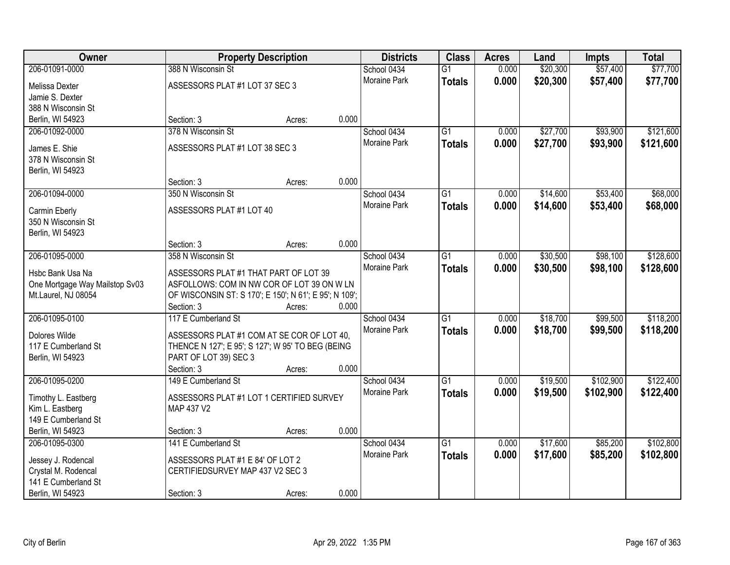| Owner                               |                                                        | <b>Property Description</b> |       | <b>Districts</b>    | <b>Class</b>    | <b>Acres</b> | Land     | <b>Impts</b> | <b>Total</b> |
|-------------------------------------|--------------------------------------------------------|-----------------------------|-------|---------------------|-----------------|--------------|----------|--------------|--------------|
| 206-01091-0000                      | 388 N Wisconsin St                                     |                             |       | School 0434         | $\overline{G1}$ | 0.000        | \$20,300 | \$57,400     | \$77,700     |
| Melissa Dexter                      | ASSESSORS PLAT #1 LOT 37 SEC 3                         |                             |       | Moraine Park        | <b>Totals</b>   | 0.000        | \$20,300 | \$57,400     | \$77,700     |
| Jamie S. Dexter                     |                                                        |                             |       |                     |                 |              |          |              |              |
| 388 N Wisconsin St                  |                                                        |                             |       |                     |                 |              |          |              |              |
| Berlin, WI 54923                    | Section: 3                                             | Acres:                      | 0.000 |                     |                 |              |          |              |              |
| 206-01092-0000                      | 378 N Wisconsin St                                     |                             |       | School 0434         | $\overline{G1}$ | 0.000        | \$27,700 | \$93,900     | \$121,600    |
|                                     | ASSESSORS PLAT #1 LOT 38 SEC 3                         |                             |       | <b>Moraine Park</b> | <b>Totals</b>   | 0.000        | \$27,700 | \$93,900     | \$121,600    |
| James E. Shie<br>378 N Wisconsin St |                                                        |                             |       |                     |                 |              |          |              |              |
| Berlin, WI 54923                    |                                                        |                             |       |                     |                 |              |          |              |              |
|                                     | Section: 3                                             | Acres:                      | 0.000 |                     |                 |              |          |              |              |
| 206-01094-0000                      | 350 N Wisconsin St                                     |                             |       | School 0434         | $\overline{G1}$ | 0.000        | \$14,600 | \$53,400     | \$68,000     |
|                                     |                                                        |                             |       | Moraine Park        | <b>Totals</b>   | 0.000        | \$14,600 | \$53,400     | \$68,000     |
| Carmin Eberly                       | ASSESSORS PLAT #1 LOT 40                               |                             |       |                     |                 |              |          |              |              |
| 350 N Wisconsin St                  |                                                        |                             |       |                     |                 |              |          |              |              |
| Berlin, WI 54923                    | Section: 3                                             | Acres:                      | 0.000 |                     |                 |              |          |              |              |
| 206-01095-0000                      | 358 N Wisconsin St                                     |                             |       | School 0434         | $\overline{G1}$ | 0.000        | \$30,500 | \$98,100     | \$128,600    |
|                                     |                                                        |                             |       | <b>Moraine Park</b> | <b>Totals</b>   | 0.000        | \$30,500 | \$98,100     | \$128,600    |
| Hsbc Bank Usa Na                    | ASSESSORS PLAT #1 THAT PART OF LOT 39                  |                             |       |                     |                 |              |          |              |              |
| One Mortgage Way Mailstop Sv03      | ASFOLLOWS: COM IN NW COR OF LOT 39 ON W LN             |                             |       |                     |                 |              |          |              |              |
| Mt.Laurel, NJ 08054                 | OF WISCONSIN ST: S 170'; E 150'; N 61'; E 95'; N 109'; |                             |       |                     |                 |              |          |              |              |
|                                     | Section: 3                                             | Acres:                      | 0.000 |                     |                 |              |          |              |              |
| 206-01095-0100                      | 117 E Cumberland St                                    |                             |       | School 0434         | $\overline{G1}$ | 0.000        | \$18,700 | \$99,500     | \$118,200    |
| Dolores Wilde                       | ASSESSORS PLAT #1 COM AT SE COR OF LOT 40,             |                             |       | <b>Moraine Park</b> | <b>Totals</b>   | 0.000        | \$18,700 | \$99,500     | \$118,200    |
| 117 E Cumberland St                 | THENCE N 127'; E 95'; S 127'; W 95' TO BEG (BEING      |                             |       |                     |                 |              |          |              |              |
| Berlin, WI 54923                    | PART OF LOT 39) SEC 3                                  |                             |       |                     |                 |              |          |              |              |
|                                     | Section: 3                                             | Acres:                      | 0.000 |                     |                 |              |          |              |              |
| 206-01095-0200                      | 149 E Cumberland St                                    |                             |       | School 0434         | $\overline{G1}$ | 0.000        | \$19,500 | \$102,900    | \$122,400    |
| Timothy L. Eastberg                 | ASSESSORS PLAT #1 LOT 1 CERTIFIED SURVEY               |                             |       | Moraine Park        | <b>Totals</b>   | 0.000        | \$19,500 | \$102,900    | \$122,400    |
| Kim L. Eastberg                     | MAP 437 V2                                             |                             |       |                     |                 |              |          |              |              |
| 149 E Cumberland St                 |                                                        |                             |       |                     |                 |              |          |              |              |
| Berlin, WI 54923                    | Section: 3                                             | Acres:                      | 0.000 |                     |                 |              |          |              |              |
| 206-01095-0300                      | 141 E Cumberland St                                    |                             |       | School 0434         | $\overline{G1}$ | 0.000        | \$17,600 | \$85,200     | \$102,800    |
| Jessey J. Rodencal                  | ASSESSORS PLAT #1 E 84' OF LOT 2                       |                             |       | Moraine Park        | <b>Totals</b>   | 0.000        | \$17,600 | \$85,200     | \$102,800    |
| Crystal M. Rodencal                 | CERTIFIEDSURVEY MAP 437 V2 SEC 3                       |                             |       |                     |                 |              |          |              |              |
| 141 E Cumberland St                 |                                                        |                             |       |                     |                 |              |          |              |              |
| Berlin, WI 54923                    | Section: 3                                             | Acres:                      | 0.000 |                     |                 |              |          |              |              |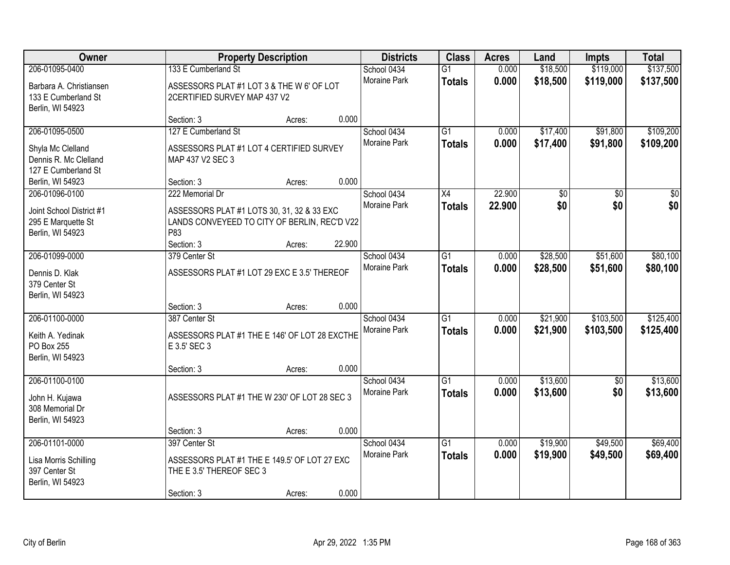| Owner                                                                                |                                                                                                                                    | <b>Property Description</b> |        | <b>Districts</b>                   | <b>Class</b>                     | <b>Acres</b>     | Land                 | <b>Impts</b>           | <b>Total</b>            |
|--------------------------------------------------------------------------------------|------------------------------------------------------------------------------------------------------------------------------------|-----------------------------|--------|------------------------------------|----------------------------------|------------------|----------------------|------------------------|-------------------------|
| 206-01095-0400<br>Barbara A. Christiansen<br>133 E Cumberland St<br>Berlin, WI 54923 | 133 E Cumberland St<br>ASSESSORS PLAT #1 LOT 3 & THE W 6' OF LOT<br>2CERTIFIED SURVEY MAP 437 V2                                   |                             |        | School 0434<br>Moraine Park        | $\overline{G1}$<br><b>Totals</b> | 0.000<br>0.000   | \$18,500<br>\$18,500 | \$119,000<br>\$119,000 | \$137,500<br>\$137,500  |
|                                                                                      | Section: 3                                                                                                                         | Acres:                      | 0.000  |                                    |                                  |                  |                      |                        |                         |
| 206-01095-0500<br>Shyla Mc Clelland<br>Dennis R. Mc Clelland<br>127 E Cumberland St  | 127 E Cumberland St<br>ASSESSORS PLAT #1 LOT 4 CERTIFIED SURVEY<br>MAP 437 V2 SEC 3                                                |                             |        | School 0434<br><b>Moraine Park</b> | $\overline{G1}$<br><b>Totals</b> | 0.000<br>0.000   | \$17,400<br>\$17,400 | \$91,800<br>\$91,800   | \$109,200<br>\$109,200  |
| Berlin, WI 54923                                                                     | Section: 3                                                                                                                         | Acres:                      | 0.000  |                                    |                                  |                  |                      |                        |                         |
| 206-01096-0100<br>Joint School District #1<br>295 E Marquette St<br>Berlin, WI 54923 | 222 Memorial Dr<br>ASSESSORS PLAT #1 LOTS 30, 31, 32 & 33 EXC<br>LANDS CONVEYEED TO CITY OF BERLIN, REC'D V22<br>P83<br>Section: 3 | Acres:                      | 22.900 | School 0434<br>Moraine Park        | X4<br><b>Totals</b>              | 22.900<br>22.900 | \$0<br>\$0           | \$0<br>\$0             | $\overline{\$0}$<br>\$0 |
| 206-01099-0000                                                                       | 379 Center St                                                                                                                      |                             |        | School 0434                        | G1                               | 0.000            | \$28,500             | \$51,600               | \$80,100                |
| Dennis D. Klak<br>379 Center St<br>Berlin, WI 54923                                  | ASSESSORS PLAT #1 LOT 29 EXC E 3.5' THEREOF                                                                                        |                             |        | <b>Moraine Park</b>                | <b>Totals</b>                    | 0.000            | \$28,500             | \$51,600               | \$80,100                |
|                                                                                      | Section: 3                                                                                                                         | Acres:                      | 0.000  |                                    |                                  |                  |                      |                        |                         |
| 206-01100-0000<br>Keith A. Yedinak<br>PO Box 255<br>Berlin, WI 54923                 | 387 Center St<br>ASSESSORS PLAT #1 THE E 146' OF LOT 28 EXCTHE<br>E 3.5' SEC 3                                                     |                             |        | School 0434<br>Moraine Park        | $\overline{G1}$<br><b>Totals</b> | 0.000<br>0.000   | \$21,900<br>\$21,900 | \$103,500<br>\$103,500 | \$125,400<br>\$125,400  |
|                                                                                      | Section: 3                                                                                                                         | Acres:                      | 0.000  |                                    |                                  |                  |                      |                        |                         |
| 206-01100-0100<br>John H. Kujawa<br>308 Memorial Dr<br>Berlin, WI 54923              | ASSESSORS PLAT #1 THE W 230' OF LOT 28 SEC 3                                                                                       |                             |        | School 0434<br>Moraine Park        | $\overline{G1}$<br><b>Totals</b> | 0.000<br>0.000   | \$13,600<br>\$13,600 | \$0<br>\$0             | \$13,600<br>\$13,600    |
|                                                                                      | Section: 3                                                                                                                         | Acres:                      | 0.000  |                                    |                                  |                  |                      |                        |                         |
| 206-01101-0000<br>Lisa Morris Schilling<br>397 Center St<br>Berlin, WI 54923         | 397 Center St<br>ASSESSORS PLAT #1 THE E 149.5' OF LOT 27 EXC<br>THE E 3.5' THEREOF SEC 3<br>Section: 3                            | Acres:                      | 0.000  | School 0434<br>Moraine Park        | $\overline{G1}$<br><b>Totals</b> | 0.000<br>0.000   | \$19,900<br>\$19,900 | \$49,500<br>\$49,500   | \$69,400<br>\$69,400    |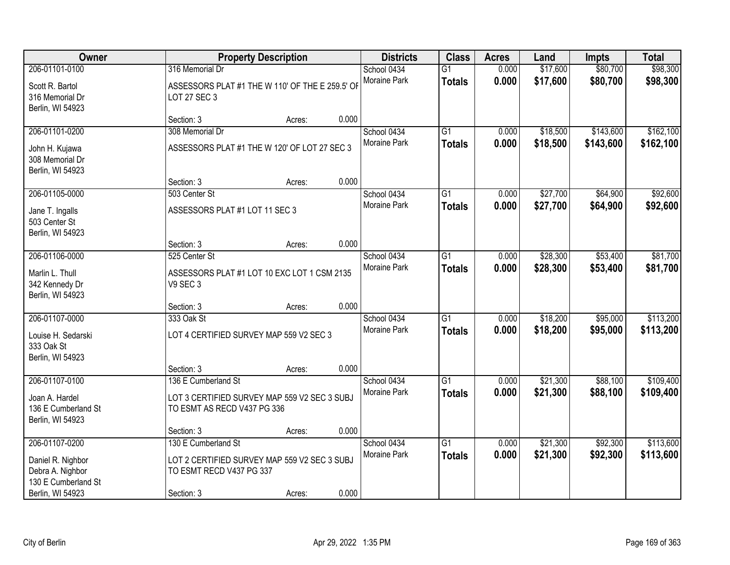| Owner                                                                                              |                                                                                                               | <b>Property Description</b> |       | <b>Districts</b>            | <b>Class</b>                     | <b>Acres</b>   | Land                 | <b>Impts</b>           | <b>Total</b>           |
|----------------------------------------------------------------------------------------------------|---------------------------------------------------------------------------------------------------------------|-----------------------------|-------|-----------------------------|----------------------------------|----------------|----------------------|------------------------|------------------------|
| 206-01101-0100<br>Scott R. Bartol<br>316 Memorial Dr<br>Berlin, WI 54923                           | 316 Memorial Dr<br>ASSESSORS PLAT #1 THE W 110' OF THE E 259.5' OF<br>LOT 27 SEC 3                            |                             |       | School 0434<br>Moraine Park | $\overline{G1}$<br><b>Totals</b> | 0.000<br>0.000 | \$17,600<br>\$17,600 | \$80,700<br>\$80,700   | \$98,300<br>\$98,300   |
|                                                                                                    | Section: 3                                                                                                    | Acres:                      | 0.000 |                             |                                  |                |                      |                        |                        |
| 206-01101-0200<br>John H. Kujawa<br>308 Memorial Dr<br>Berlin, WI 54923                            | 308 Memorial Dr<br>ASSESSORS PLAT #1 THE W 120' OF LOT 27 SEC 3                                               |                             |       | School 0434<br>Moraine Park | $\overline{G1}$<br><b>Totals</b> | 0.000<br>0.000 | \$18,500<br>\$18,500 | \$143,600<br>\$143,600 | \$162,100<br>\$162,100 |
| 206-01105-0000                                                                                     | Section: 3<br>503 Center St                                                                                   | Acres:                      | 0.000 | School 0434                 | $\overline{G1}$                  | 0.000          | \$27,700             | \$64,900               | \$92,600               |
| Jane T. Ingalls<br>503 Center St<br>Berlin, WI 54923                                               | ASSESSORS PLAT #1 LOT 11 SEC 3                                                                                |                             |       | Moraine Park                | <b>Totals</b>                    | 0.000          | \$27,700             | \$64,900               | \$92,600               |
|                                                                                                    | Section: 3                                                                                                    | Acres:                      | 0.000 |                             |                                  |                |                      |                        |                        |
| 206-01106-0000<br>Marlin L. Thull<br>342 Kennedy Dr<br>Berlin, WI 54923                            | 525 Center St<br>ASSESSORS PLAT #1 LOT 10 EXC LOT 1 CSM 2135<br>V9 SEC 3                                      |                             |       | School 0434<br>Moraine Park | $\overline{G1}$<br><b>Totals</b> | 0.000<br>0.000 | \$28,300<br>\$28,300 | \$53,400<br>\$53,400   | \$81,700<br>\$81,700   |
|                                                                                                    | Section: 3                                                                                                    | Acres:                      | 0.000 |                             |                                  |                |                      |                        |                        |
| 206-01107-0000<br>Louise H. Sedarski<br>333 Oak St<br>Berlin, WI 54923                             | 333 Oak St<br>LOT 4 CERTIFIED SURVEY MAP 559 V2 SEC 3                                                         |                             |       | School 0434<br>Moraine Park | $\overline{G1}$<br><b>Totals</b> | 0.000<br>0.000 | \$18,200<br>\$18,200 | \$95,000<br>\$95,000   | \$113,200<br>\$113,200 |
|                                                                                                    | Section: 3                                                                                                    | Acres:                      | 0.000 |                             |                                  |                |                      |                        |                        |
| 206-01107-0100<br>Joan A. Hardel<br>136 E Cumberland St<br>Berlin, WI 54923                        | 136 E Cumberland St<br>LOT 3 CERTIFIED SURVEY MAP 559 V2 SEC 3 SUBJ<br>TO ESMT AS RECD V437 PG 336            |                             |       | School 0434<br>Moraine Park | $\overline{G1}$<br><b>Totals</b> | 0.000<br>0.000 | \$21,300<br>\$21,300 | \$88,100<br>\$88,100   | \$109,400<br>\$109,400 |
|                                                                                                    | Section: 3                                                                                                    | Acres:                      | 0.000 |                             |                                  |                |                      |                        |                        |
| 206-01107-0200<br>Daniel R. Nighbor<br>Debra A. Nighbor<br>130 E Cumberland St<br>Berlin, WI 54923 | 130 E Cumberland St<br>LOT 2 CERTIFIED SURVEY MAP 559 V2 SEC 3 SUBJ<br>TO ESMT RECD V437 PG 337<br>Section: 3 | Acres:                      | 0.000 | School 0434<br>Moraine Park | $\overline{G1}$<br><b>Totals</b> | 0.000<br>0.000 | \$21,300<br>\$21,300 | \$92,300<br>\$92,300   | \$113,600<br>\$113,600 |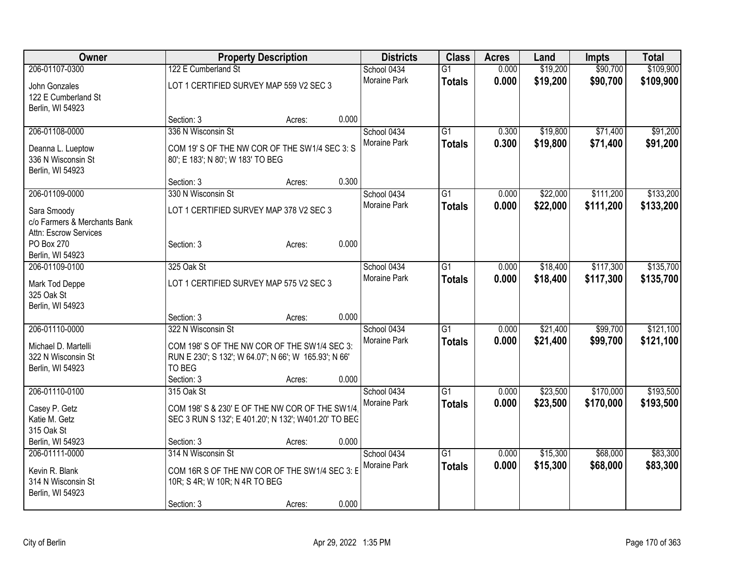| Owner                                       |                                                       | <b>Property Description</b> |       | <b>Districts</b>    | <b>Class</b>    | <b>Acres</b> | Land     | <b>Impts</b> | <b>Total</b> |
|---------------------------------------------|-------------------------------------------------------|-----------------------------|-------|---------------------|-----------------|--------------|----------|--------------|--------------|
| 206-01107-0300                              | 122 E Cumberland St                                   |                             |       | School 0434         | $\overline{G1}$ | 0.000        | \$19,200 | \$90,700     | \$109,900    |
| John Gonzales                               | LOT 1 CERTIFIED SURVEY MAP 559 V2 SEC 3               |                             |       | Moraine Park        | <b>Totals</b>   | 0.000        | \$19,200 | \$90,700     | \$109,900    |
| 122 E Cumberland St                         |                                                       |                             |       |                     |                 |              |          |              |              |
| Berlin, WI 54923                            |                                                       |                             |       |                     |                 |              |          |              |              |
|                                             | Section: 3                                            | Acres:                      | 0.000 |                     |                 |              |          |              |              |
| 206-01108-0000                              | 336 N Wisconsin St                                    |                             |       | School 0434         | $\overline{G1}$ | 0.300        | \$19,800 | \$71,400     | \$91,200     |
| Deanna L. Lueptow                           | COM 19' S OF THE NW COR OF THE SW1/4 SEC 3: S         |                             |       | Moraine Park        | <b>Totals</b>   | 0.300        | \$19,800 | \$71,400     | \$91,200     |
| 336 N Wisconsin St                          | 80'; E 183'; N 80'; W 183' TO BEG                     |                             |       |                     |                 |              |          |              |              |
| Berlin, WI 54923                            |                                                       |                             |       |                     |                 |              |          |              |              |
|                                             | Section: 3                                            | Acres:                      | 0.300 |                     |                 |              |          |              |              |
| 206-01109-0000                              | 330 N Wisconsin St                                    |                             |       | School 0434         | $\overline{G1}$ | 0.000        | \$22,000 | \$111,200    | \$133,200    |
|                                             |                                                       |                             |       | <b>Moraine Park</b> | <b>Totals</b>   | 0.000        | \$22,000 | \$111,200    | \$133,200    |
| Sara Smoody<br>c/o Farmers & Merchants Bank | LOT 1 CERTIFIED SURVEY MAP 378 V2 SEC 3               |                             |       |                     |                 |              |          |              |              |
| Attn: Escrow Services                       |                                                       |                             |       |                     |                 |              |          |              |              |
| PO Box 270                                  | Section: 3                                            | Acres:                      | 0.000 |                     |                 |              |          |              |              |
| Berlin, WI 54923                            |                                                       |                             |       |                     |                 |              |          |              |              |
| 206-01109-0100                              | 325 Oak St                                            |                             |       | School 0434         | G1              | 0.000        | \$18,400 | \$117,300    | \$135,700    |
|                                             |                                                       |                             |       | Moraine Park        | <b>Totals</b>   | 0.000        | \$18,400 | \$117,300    | \$135,700    |
| Mark Tod Deppe                              | LOT 1 CERTIFIED SURVEY MAP 575 V2 SEC 3               |                             |       |                     |                 |              |          |              |              |
| 325 Oak St                                  |                                                       |                             |       |                     |                 |              |          |              |              |
| Berlin, WI 54923                            |                                                       |                             | 0.000 |                     |                 |              |          |              |              |
| 206-01110-0000                              | Section: 3<br>322 N Wisconsin St                      | Acres:                      |       | School 0434         | $\overline{G1}$ | 0.000        | \$21,400 | \$99,700     | \$121,100    |
|                                             |                                                       |                             |       | Moraine Park        |                 |              |          |              |              |
| Michael D. Martelli                         | COM 198' S OF THE NW COR OF THE SW1/4 SEC 3:          |                             |       |                     | <b>Totals</b>   | 0.000        | \$21,400 | \$99,700     | \$121,100    |
| 322 N Wisconsin St                          | RUN E 230'; S 132'; W 64.07'; N 66'; W 165.93'; N 66' |                             |       |                     |                 |              |          |              |              |
| Berlin, WI 54923                            | TO BEG                                                |                             |       |                     |                 |              |          |              |              |
|                                             | Section: 3                                            | Acres:                      | 0.000 |                     |                 |              |          |              |              |
| 206-01110-0100                              | 315 Oak St                                            |                             |       | School 0434         | $\overline{G1}$ | 0.000        | \$23,500 | \$170,000    | \$193,500    |
| Casey P. Getz                               | COM 198' S & 230' E OF THE NW COR OF THE SW1/4        |                             |       | Moraine Park        | <b>Totals</b>   | 0.000        | \$23,500 | \$170,000    | \$193,500    |
| Katie M. Getz                               | SEC 3 RUN S 132'; E 401.20'; N 132'; W401.20' TO BEC  |                             |       |                     |                 |              |          |              |              |
| 315 Oak St                                  |                                                       |                             |       |                     |                 |              |          |              |              |
| Berlin, WI 54923                            | Section: 3                                            | Acres:                      | 0.000 |                     |                 |              |          |              |              |
| 206-01111-0000                              | 314 N Wisconsin St                                    |                             |       | School 0434         | $\overline{G1}$ | 0.000        | \$15,300 | \$68,000     | \$83,300     |
| Kevin R. Blank                              | COM 16R S OF THE NW COR OF THE SW1/4 SEC 3: E         |                             |       | Moraine Park        | <b>Totals</b>   | 0.000        | \$15,300 | \$68,000     | \$83,300     |
| 314 N Wisconsin St                          | 10R; S 4R; W 10R; N 4R TO BEG                         |                             |       |                     |                 |              |          |              |              |
| Berlin, WI 54923                            |                                                       |                             |       |                     |                 |              |          |              |              |
|                                             | Section: 3                                            | Acres:                      | 0.000 |                     |                 |              |          |              |              |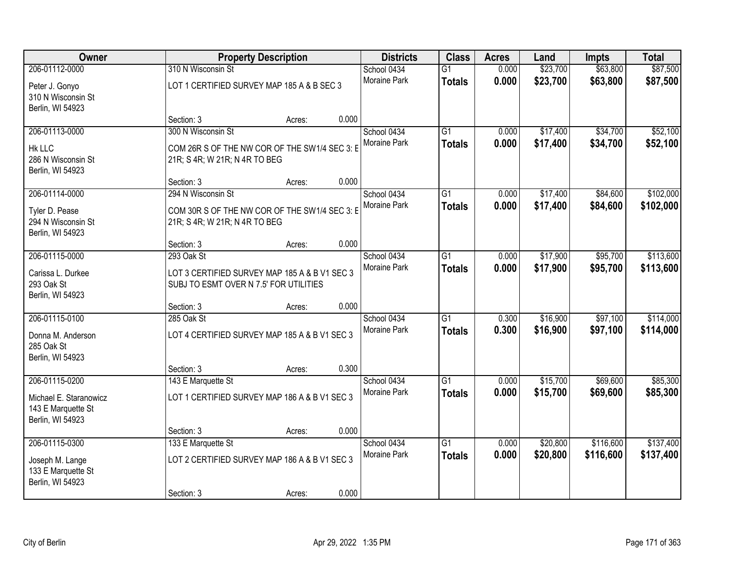| Owner                                                            |                                                                                         | <b>Property Description</b> |       | <b>Districts</b>            | <b>Class</b>                     | <b>Acres</b>   | Land                 | Impts                | <b>Total</b>           |
|------------------------------------------------------------------|-----------------------------------------------------------------------------------------|-----------------------------|-------|-----------------------------|----------------------------------|----------------|----------------------|----------------------|------------------------|
| 206-01112-0000                                                   | 310 N Wisconsin St                                                                      |                             |       | School 0434                 | $\overline{G1}$                  | 0.000          | \$23,700             | \$63,800             | \$87,500               |
| Peter J. Gonyo<br>310 N Wisconsin St<br>Berlin, WI 54923         | LOT 1 CERTIFIED SURVEY MAP 185 A & B SEC 3                                              |                             |       | Moraine Park                | <b>Totals</b>                    | 0.000          | \$23,700             | \$63,800             | \$87,500               |
|                                                                  | Section: 3                                                                              | Acres:                      | 0.000 |                             |                                  |                |                      |                      |                        |
| 206-01113-0000<br><b>Hk LLC</b>                                  | 300 N Wisconsin St<br>COM 26R S OF THE NW COR OF THE SW1/4 SEC 3: E                     |                             |       | School 0434<br>Moraine Park | $\overline{G1}$<br><b>Totals</b> | 0.000<br>0.000 | \$17,400<br>\$17,400 | \$34,700<br>\$34,700 | \$52,100<br>\$52,100   |
| 286 N Wisconsin St<br>Berlin, WI 54923                           | 21R; S 4R; W 21R; N 4R TO BEG<br>Section: 3                                             | Acres:                      | 0.000 |                             |                                  |                |                      |                      |                        |
| 206-01114-0000                                                   | 294 N Wisconsin St                                                                      |                             |       | School 0434                 | $\overline{G1}$                  | 0.000          | \$17,400             | \$84,600             | \$102,000              |
| Tyler D. Pease<br>294 N Wisconsin St<br>Berlin, WI 54923         | COM 30R S OF THE NW COR OF THE SW1/4 SEC 3: E<br>21R; S 4R; W 21R; N 4R TO BEG          |                             |       | Moraine Park                | <b>Totals</b>                    | 0.000          | \$17,400             | \$84,600             | \$102,000              |
|                                                                  | Section: 3                                                                              | Acres:                      | 0.000 |                             |                                  |                |                      |                      |                        |
| 206-01115-0000                                                   | 293 Oak St                                                                              |                             |       | School 0434                 | $\overline{G1}$                  | 0.000          | \$17,900             | \$95,700             | \$113,600              |
| Carissa L. Durkee<br>293 Oak St<br>Berlin, WI 54923              | LOT 3 CERTIFIED SURVEY MAP 185 A & B V1 SEC 3<br>SUBJ TO ESMT OVER N 7.5' FOR UTILITIES |                             |       | Moraine Park                | <b>Totals</b>                    | 0.000          | \$17,900             | \$95,700             | \$113,600              |
|                                                                  | Section: 3                                                                              | Acres:                      | 0.000 |                             |                                  |                |                      |                      |                        |
| 206-01115-0100<br>Donna M. Anderson<br>285 Oak St                | 285 Oak St<br>LOT 4 CERTIFIED SURVEY MAP 185 A & B V1 SEC 3                             |                             |       | School 0434<br>Moraine Park | $\overline{G1}$<br><b>Totals</b> | 0.300<br>0.300 | \$16,900<br>\$16,900 | \$97,100<br>\$97,100 | \$114,000<br>\$114,000 |
| Berlin, WI 54923                                                 |                                                                                         |                             |       |                             |                                  |                |                      |                      |                        |
|                                                                  | Section: 3                                                                              | Acres:                      | 0.300 |                             |                                  |                |                      |                      |                        |
| 206-01115-0200                                                   | 143 E Marquette St                                                                      |                             |       | School 0434<br>Moraine Park | $\overline{G1}$                  | 0.000          | \$15,700             | \$69,600             | \$85,300               |
| Michael E. Staranowicz<br>143 E Marquette St<br>Berlin, WI 54923 | LOT 1 CERTIFIED SURVEY MAP 186 A & B V1 SEC 3                                           |                             |       |                             | <b>Totals</b>                    | 0.000          | \$15,700             | \$69,600             | \$85,300               |
|                                                                  | Section: 3                                                                              | Acres:                      | 0.000 |                             |                                  |                |                      |                      |                        |
| 206-01115-0300                                                   | 133 E Marquette St                                                                      |                             |       | School 0434                 | $\overline{G1}$                  | 0.000          | \$20,800             | \$116,600            | \$137,400              |
| Joseph M. Lange<br>133 E Marquette St<br>Berlin, WI 54923        | LOT 2 CERTIFIED SURVEY MAP 186 A & B V1 SEC 3                                           |                             |       | Moraine Park                | <b>Totals</b>                    | 0.000          | \$20,800             | \$116,600            | \$137,400              |
|                                                                  | Section: 3                                                                              | Acres:                      | 0.000 |                             |                                  |                |                      |                      |                        |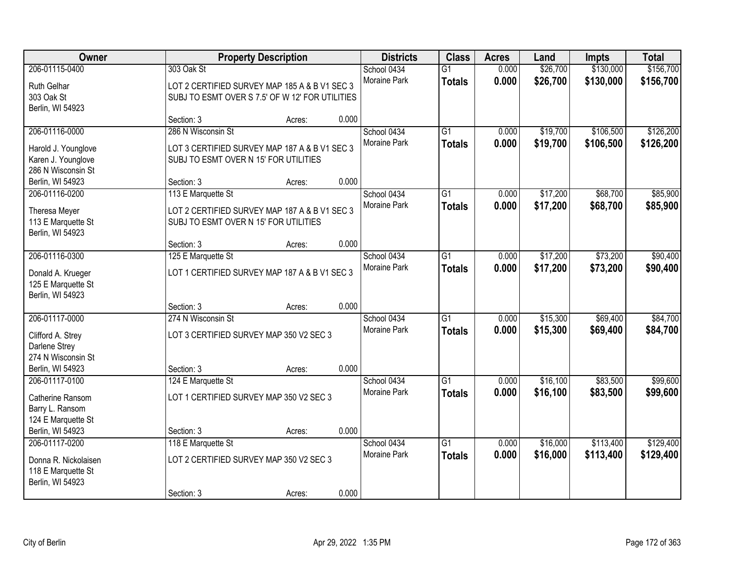| Owner                |                                                 | <b>Property Description</b> |       | <b>Districts</b>    | <b>Class</b>    | <b>Acres</b> | Land     | <b>Impts</b> | <b>Total</b> |
|----------------------|-------------------------------------------------|-----------------------------|-------|---------------------|-----------------|--------------|----------|--------------|--------------|
| 206-01115-0400       | 303 Oak St                                      |                             |       | School 0434         | $\overline{G1}$ | 0.000        | \$26,700 | \$130,000    | \$156,700    |
| Ruth Gelhar          | LOT 2 CERTIFIED SURVEY MAP 185 A & B V1 SEC 3   |                             |       | Moraine Park        | <b>Totals</b>   | 0.000        | \$26,700 | \$130,000    | \$156,700    |
| 303 Oak St           | SUBJ TO ESMT OVER S 7.5' OF W 12' FOR UTILITIES |                             |       |                     |                 |              |          |              |              |
| Berlin, WI 54923     |                                                 |                             |       |                     |                 |              |          |              |              |
|                      | Section: 3                                      | Acres:                      | 0.000 |                     |                 |              |          |              |              |
| 206-01116-0000       | 286 N Wisconsin St                              |                             |       | School 0434         | $\overline{G1}$ | 0.000        | \$19,700 | \$106,500    | \$126,200    |
| Harold J. Younglove  | LOT 3 CERTIFIED SURVEY MAP 187 A & B V1 SEC 3   |                             |       | Moraine Park        | <b>Totals</b>   | 0.000        | \$19,700 | \$106,500    | \$126,200    |
| Karen J. Younglove   | SUBJ TO ESMT OVER N 15' FOR UTILITIES           |                             |       |                     |                 |              |          |              |              |
| 286 N Wisconsin St   |                                                 |                             |       |                     |                 |              |          |              |              |
| Berlin, WI 54923     | Section: 3                                      | Acres:                      | 0.000 |                     |                 |              |          |              |              |
| 206-01116-0200       | 113 E Marquette St                              |                             |       | School 0434         | $\overline{G1}$ | 0.000        | \$17,200 | \$68,700     | \$85,900     |
| Theresa Meyer        | LOT 2 CERTIFIED SURVEY MAP 187 A & B V1 SEC 3   |                             |       | Moraine Park        | <b>Totals</b>   | 0.000        | \$17,200 | \$68,700     | \$85,900     |
| 113 E Marquette St   | SUBJ TO ESMT OVER N 15' FOR UTILITIES           |                             |       |                     |                 |              |          |              |              |
| Berlin, WI 54923     |                                                 |                             |       |                     |                 |              |          |              |              |
|                      | Section: 3                                      | Acres:                      | 0.000 |                     |                 |              |          |              |              |
| 206-01116-0300       | 125 E Marquette St                              |                             |       | School 0434         | $\overline{G1}$ | 0.000        | \$17,200 | \$73,200     | \$90,400     |
| Donald A. Krueger    | LOT 1 CERTIFIED SURVEY MAP 187 A & B V1 SEC 3   |                             |       | Moraine Park        | <b>Totals</b>   | 0.000        | \$17,200 | \$73,200     | \$90,400     |
| 125 E Marquette St   |                                                 |                             |       |                     |                 |              |          |              |              |
| Berlin, WI 54923     |                                                 |                             |       |                     |                 |              |          |              |              |
|                      | Section: 3                                      | Acres:                      | 0.000 |                     |                 |              |          |              |              |
| 206-01117-0000       | 274 N Wisconsin St                              |                             |       | School 0434         | $\overline{G1}$ | 0.000        | \$15,300 | \$69,400     | \$84,700     |
| Clifford A. Strey    | LOT 3 CERTIFIED SURVEY MAP 350 V2 SEC 3         |                             |       | <b>Moraine Park</b> | <b>Totals</b>   | 0.000        | \$15,300 | \$69,400     | \$84,700     |
| Darlene Strey        |                                                 |                             |       |                     |                 |              |          |              |              |
| 274 N Wisconsin St   |                                                 |                             |       |                     |                 |              |          |              |              |
| Berlin, WI 54923     | Section: 3                                      | Acres:                      | 0.000 |                     |                 |              |          |              |              |
| 206-01117-0100       | 124 E Marquette St                              |                             |       | School 0434         | $\overline{G1}$ | 0.000        | \$16,100 | \$83,500     | \$99,600     |
| Catherine Ransom     | LOT 1 CERTIFIED SURVEY MAP 350 V2 SEC 3         |                             |       | Moraine Park        | <b>Totals</b>   | 0.000        | \$16,100 | \$83,500     | \$99,600     |
| Barry L. Ransom      |                                                 |                             |       |                     |                 |              |          |              |              |
| 124 E Marquette St   |                                                 |                             |       |                     |                 |              |          |              |              |
| Berlin, WI 54923     | Section: 3                                      | Acres:                      | 0.000 |                     |                 |              |          |              |              |
| 206-01117-0200       | 118 E Marquette St                              |                             |       | School 0434         | $\overline{G1}$ | 0.000        | \$16,000 | \$113,400    | \$129,400    |
| Donna R. Nickolaisen | LOT 2 CERTIFIED SURVEY MAP 350 V2 SEC 3         |                             |       | <b>Moraine Park</b> | <b>Totals</b>   | 0.000        | \$16,000 | \$113,400    | \$129,400    |
| 118 E Marquette St   |                                                 |                             |       |                     |                 |              |          |              |              |
| Berlin, WI 54923     |                                                 |                             |       |                     |                 |              |          |              |              |
|                      | Section: 3                                      | Acres:                      | 0.000 |                     |                 |              |          |              |              |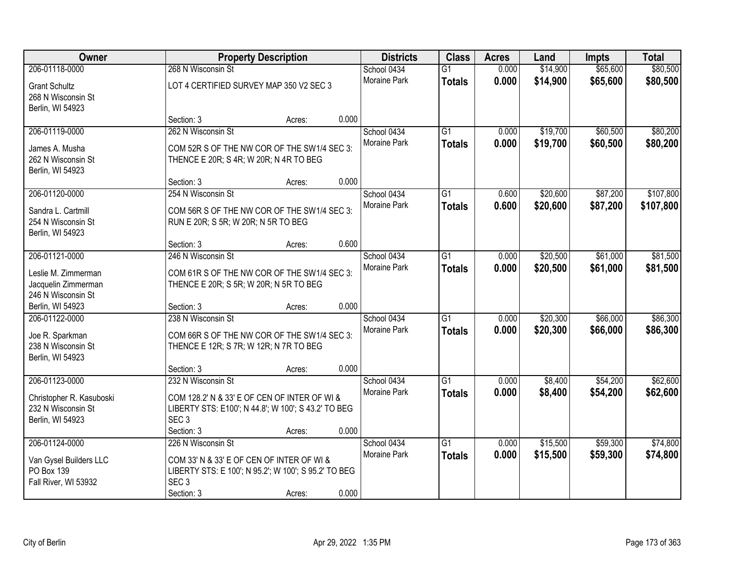| <b>Owner</b>                                   |                                                                                                   | <b>Property Description</b> |       | <b>Districts</b>    | <b>Class</b>    | <b>Acres</b> | Land     | <b>Impts</b> | <b>Total</b> |
|------------------------------------------------|---------------------------------------------------------------------------------------------------|-----------------------------|-------|---------------------|-----------------|--------------|----------|--------------|--------------|
| 206-01118-0000                                 | 268 N Wisconsin St                                                                                |                             |       | School 0434         | $\overline{G1}$ | 0.000        | \$14,900 | \$65,600     | \$80,500     |
| <b>Grant Schultz</b>                           | LOT 4 CERTIFIED SURVEY MAP 350 V2 SEC 3                                                           |                             |       | Moraine Park        | <b>Totals</b>   | 0.000        | \$14,900 | \$65,600     | \$80,500     |
| 268 N Wisconsin St                             |                                                                                                   |                             |       |                     |                 |              |          |              |              |
| Berlin, WI 54923                               |                                                                                                   |                             |       |                     |                 |              |          |              |              |
|                                                | Section: 3                                                                                        | Acres:                      | 0.000 |                     |                 |              |          |              |              |
| 206-01119-0000                                 | 262 N Wisconsin St                                                                                |                             |       | School 0434         | $\overline{G1}$ | 0.000        | \$19,700 | \$60,500     | \$80,200     |
| James A. Musha                                 | COM 52R S OF THE NW COR OF THE SW1/4 SEC 3:                                                       |                             |       | <b>Moraine Park</b> | <b>Totals</b>   | 0.000        | \$19,700 | \$60,500     | \$80,200     |
| 262 N Wisconsin St                             | THENCE E 20R; S 4R; W 20R; N 4R TO BEG                                                            |                             |       |                     |                 |              |          |              |              |
| Berlin, WI 54923                               |                                                                                                   |                             |       |                     |                 |              |          |              |              |
|                                                | Section: 3                                                                                        | Acres:                      | 0.000 |                     |                 |              |          |              |              |
| 206-01120-0000                                 | 254 N Wisconsin St                                                                                |                             |       | School 0434         | G1              | 0.600        | \$20,600 | \$87,200     | \$107,800    |
| Sandra L. Cartmill                             | COM 56R S OF THE NW COR OF THE SW1/4 SEC 3:                                                       |                             |       | Moraine Park        | <b>Totals</b>   | 0.600        | \$20,600 | \$87,200     | \$107,800    |
| 254 N Wisconsin St                             | RUN E 20R; S 5R; W 20R; N 5R TO BEG                                                               |                             |       |                     |                 |              |          |              |              |
| Berlin, WI 54923                               |                                                                                                   |                             |       |                     |                 |              |          |              |              |
|                                                | Section: 3                                                                                        | Acres:                      | 0.600 |                     |                 |              |          |              |              |
| 206-01121-0000                                 | 246 N Wisconsin St                                                                                |                             |       | School 0434         | G1              | 0.000        | \$20,500 | \$61,000     | \$81,500     |
| Leslie M. Zimmerman                            | COM 61R S OF THE NW COR OF THE SW1/4 SEC 3:                                                       |                             |       | <b>Moraine Park</b> | <b>Totals</b>   | 0.000        | \$20,500 | \$61,000     | \$81,500     |
| Jacquelin Zimmerman                            | THENCE E 20R; S 5R; W 20R; N 5R TO BEG                                                            |                             |       |                     |                 |              |          |              |              |
| 246 N Wisconsin St                             |                                                                                                   |                             |       |                     |                 |              |          |              |              |
| Berlin, WI 54923                               | Section: 3                                                                                        | Acres:                      | 0.000 |                     |                 |              |          |              |              |
| 206-01122-0000                                 | 238 N Wisconsin St                                                                                |                             |       | School 0434         | $\overline{G1}$ | 0.000        | \$20,300 | \$66,000     | \$86,300     |
|                                                |                                                                                                   |                             |       | Moraine Park        | <b>Totals</b>   | 0.000        | \$20,300 | \$66,000     | \$86,300     |
| Joe R. Sparkman<br>238 N Wisconsin St          | COM 66R S OF THE NW COR OF THE SW1/4 SEC 3:<br>THENCE E 12R; S 7R; W 12R; N 7R TO BEG             |                             |       |                     |                 |              |          |              |              |
| Berlin, WI 54923                               |                                                                                                   |                             |       |                     |                 |              |          |              |              |
|                                                | Section: 3                                                                                        | Acres:                      | 0.000 |                     |                 |              |          |              |              |
| 206-01123-0000                                 | 232 N Wisconsin St                                                                                |                             |       | School 0434         | $\overline{G1}$ | 0.000        | \$8,400  | \$54,200     | \$62,600     |
|                                                | COM 128.2' N & 33' E OF CEN OF INTER OF WI &                                                      |                             |       | Moraine Park        | <b>Totals</b>   | 0.000        | \$8,400  | \$54,200     | \$62,600     |
| Christopher R. Kasuboski<br>232 N Wisconsin St | LIBERTY STS: E100'; N 44.8'; W 100'; S 43.2' TO BEG                                               |                             |       |                     |                 |              |          |              |              |
| Berlin, WI 54923                               | SEC <sub>3</sub>                                                                                  |                             |       |                     |                 |              |          |              |              |
|                                                | Section: 3                                                                                        | Acres:                      | 0.000 |                     |                 |              |          |              |              |
| 206-01124-0000                                 | 226 N Wisconsin St                                                                                |                             |       | School 0434         | $\overline{G1}$ | 0.000        | \$15,500 | \$59,300     | \$74,800     |
|                                                |                                                                                                   |                             |       | <b>Moraine Park</b> | <b>Totals</b>   | 0.000        | \$15,500 | \$59,300     | \$74,800     |
| Van Gysel Builders LLC<br>PO Box 139           | COM 33' N & 33' E OF CEN OF INTER OF WI &<br>LIBERTY STS: E 100'; N 95.2'; W 100'; S 95.2' TO BEG |                             |       |                     |                 |              |          |              |              |
| Fall River, WI 53932                           | SEC <sub>3</sub>                                                                                  |                             |       |                     |                 |              |          |              |              |
|                                                | Section: 3                                                                                        | Acres:                      | 0.000 |                     |                 |              |          |              |              |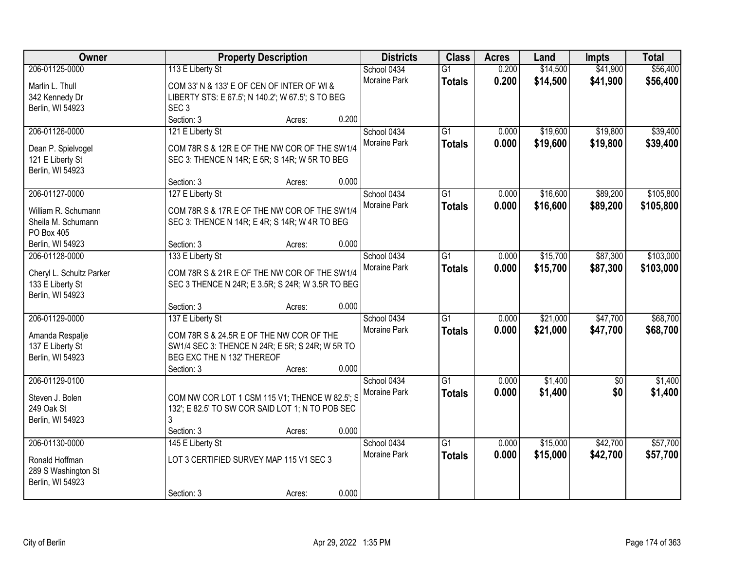| Owner                                        |                                                   | <b>Property Description</b> |       | <b>Districts</b>    | <b>Class</b>    | <b>Acres</b> | Land     | <b>Impts</b>    | <b>Total</b> |
|----------------------------------------------|---------------------------------------------------|-----------------------------|-------|---------------------|-----------------|--------------|----------|-----------------|--------------|
| 206-01125-0000                               | 113 E Liberty St                                  |                             |       | School 0434         | $\overline{G1}$ | 0.200        | \$14,500 | \$41,900        | \$56,400     |
| Marlin L. Thull                              | COM 33' N & 133' E OF CEN OF INTER OF WI &        |                             |       | Moraine Park        | <b>Totals</b>   | 0.200        | \$14,500 | \$41,900        | \$56,400     |
| 342 Kennedy Dr                               | LIBERTY STS: E 67.5'; N 140.2'; W 67.5'; S TO BEG |                             |       |                     |                 |              |          |                 |              |
| Berlin, WI 54923                             | SEC <sub>3</sub>                                  |                             |       |                     |                 |              |          |                 |              |
|                                              | Section: 3                                        | Acres:                      | 0.200 |                     |                 |              |          |                 |              |
| 206-01126-0000                               | 121 E Liberty St                                  |                             |       | School 0434         | $\overline{G1}$ | 0.000        | \$19,600 | \$19,800        | \$39,400     |
| Dean P. Spielvogel                           | COM 78R S & 12R E OF THE NW COR OF THE SW1/4      |                             |       | Moraine Park        | <b>Totals</b>   | 0.000        | \$19,600 | \$19,800        | \$39,400     |
| 121 E Liberty St                             | SEC 3: THENCE N 14R; E 5R; S 14R; W 5R TO BEG     |                             |       |                     |                 |              |          |                 |              |
| Berlin, WI 54923                             |                                                   |                             |       |                     |                 |              |          |                 |              |
|                                              | Section: 3                                        | Acres:                      | 0.000 |                     |                 |              |          |                 |              |
| 206-01127-0000                               | 127 E Liberty St                                  |                             |       | School 0434         | G1              | 0.000        | \$16,600 | \$89,200        | \$105,800    |
| William R. Schumann                          | COM 78R S & 17R E OF THE NW COR OF THE SW1/4      |                             |       | Moraine Park        | <b>Totals</b>   | 0.000        | \$16,600 | \$89,200        | \$105,800    |
| Sheila M. Schumann                           | SEC 3: THENCE N 14R; E 4R; S 14R; W 4R TO BEG     |                             |       |                     |                 |              |          |                 |              |
| PO Box 405                                   |                                                   |                             |       |                     |                 |              |          |                 |              |
| Berlin, WI 54923                             | Section: 3                                        | Acres:                      | 0.000 |                     |                 |              |          |                 |              |
| 206-01128-0000                               | 133 E Liberty St                                  |                             |       | School 0434         | G1              | 0.000        | \$15,700 | \$87,300        | \$103,000    |
|                                              | COM 78R S & 21R E OF THE NW COR OF THE SW1/4      |                             |       | Moraine Park        | <b>Totals</b>   | 0.000        | \$15,700 | \$87,300        | \$103,000    |
| Cheryl L. Schultz Parker<br>133 E Liberty St | SEC 3 THENCE N 24R; E 3.5R; S 24R; W 3.5R TO BEG  |                             |       |                     |                 |              |          |                 |              |
| Berlin, WI 54923                             |                                                   |                             |       |                     |                 |              |          |                 |              |
|                                              | Section: 3                                        | Acres:                      | 0.000 |                     |                 |              |          |                 |              |
| 206-01129-0000                               | 137 E Liberty St                                  |                             |       | School 0434         | $\overline{G1}$ | 0.000        | \$21,000 | \$47,700        | \$68,700     |
|                                              |                                                   |                             |       | Moraine Park        | <b>Totals</b>   | 0.000        | \$21,000 | \$47,700        | \$68,700     |
| Amanda Respalje                              | COM 78R S & 24.5R E OF THE NW COR OF THE          |                             |       |                     |                 |              |          |                 |              |
| 137 E Liberty St                             | SW1/4 SEC 3: THENCE N 24R; E 5R; S 24R; W 5R TO   |                             |       |                     |                 |              |          |                 |              |
| Berlin, WI 54923                             | BEG EXC THE N 132' THEREOF                        |                             |       |                     |                 |              |          |                 |              |
|                                              | Section: 3                                        | Acres:                      | 0.000 |                     |                 |              |          |                 |              |
| 206-01129-0100                               |                                                   |                             |       | School 0434         | $\overline{G1}$ | 0.000        | \$1,400  | $\overline{50}$ | \$1,400      |
| Steven J. Bolen                              | COM NW COR LOT 1 CSM 115 V1; THENCE W 82.5'; S    |                             |       | Moraine Park        | <b>Totals</b>   | 0.000        | \$1,400  | \$0             | \$1,400      |
| 249 Oak St                                   | 132'; E 82.5' TO SW COR SAID LOT 1; N TO POB SEC  |                             |       |                     |                 |              |          |                 |              |
| Berlin, WI 54923                             | 3                                                 |                             |       |                     |                 |              |          |                 |              |
|                                              | Section: 3                                        | Acres:                      | 0.000 |                     |                 |              |          |                 |              |
| 206-01130-0000                               | 145 E Liberty St                                  |                             |       | School 0434         | $\overline{G1}$ | 0.000        | \$15,000 | \$42,700        | \$57,700     |
|                                              |                                                   |                             |       | <b>Moraine Park</b> | <b>Totals</b>   | 0.000        | \$15,000 | \$42,700        | \$57,700     |
| Ronald Hoffman                               | LOT 3 CERTIFIED SURVEY MAP 115 V1 SEC 3           |                             |       |                     |                 |              |          |                 |              |
| 289 S Washington St                          |                                                   |                             |       |                     |                 |              |          |                 |              |
| Berlin, WI 54923                             |                                                   |                             | 0.000 |                     |                 |              |          |                 |              |
|                                              | Section: 3                                        | Acres:                      |       |                     |                 |              |          |                 |              |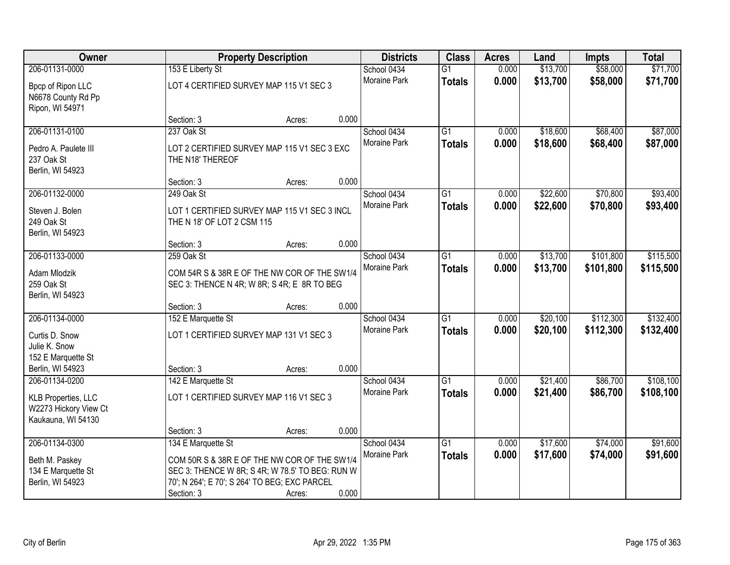| Owner                                                              |                                                                                             | <b>Property Description</b> |       | <b>Districts</b>            | <b>Class</b>                     | <b>Acres</b>   | Land                 | <b>Impts</b>         | <b>Total</b>         |
|--------------------------------------------------------------------|---------------------------------------------------------------------------------------------|-----------------------------|-------|-----------------------------|----------------------------------|----------------|----------------------|----------------------|----------------------|
| 206-01131-0000                                                     | 153 E Liberty St                                                                            |                             |       | School 0434<br>Moraine Park | $\overline{G1}$<br><b>Totals</b> | 0.000<br>0.000 | \$13,700<br>\$13,700 | \$58,000<br>\$58,000 | \$71,700<br>\$71,700 |
| Bpcp of Ripon LLC<br>N6678 County Rd Pp<br>Ripon, WI 54971         | LOT 4 CERTIFIED SURVEY MAP 115 V1 SEC 3                                                     |                             |       |                             |                                  |                |                      |                      |                      |
|                                                                    | Section: 3                                                                                  | Acres:                      | 0.000 |                             |                                  |                |                      |                      |                      |
| 206-01131-0100                                                     | 237 Oak St                                                                                  |                             |       | School 0434                 | $\overline{G1}$                  | 0.000          | \$18,600             | \$68,400             | \$87,000             |
| Pedro A. Paulete III<br>237 Oak St<br>Berlin, WI 54923             | LOT 2 CERTIFIED SURVEY MAP 115 V1 SEC 3 EXC<br>THE N18' THEREOF                             |                             |       | <b>Moraine Park</b>         | <b>Totals</b>                    | 0.000          | \$18,600             | \$68,400             | \$87,000             |
|                                                                    | Section: 3                                                                                  | Acres:                      | 0.000 |                             |                                  |                |                      |                      |                      |
| 206-01132-0000                                                     | 249 Oak St                                                                                  |                             |       | School 0434                 | $\overline{G1}$                  | 0.000          | \$22,600             | \$70,800             | \$93,400             |
| Steven J. Bolen<br>249 Oak St<br>Berlin, WI 54923                  | LOT 1 CERTIFIED SURVEY MAP 115 V1 SEC 3 INCL<br>THE N 18' OF LOT 2 CSM 115                  |                             |       | Moraine Park                | <b>Totals</b>                    | 0.000          | \$22,600             | \$70,800             | \$93,400             |
|                                                                    | Section: 3                                                                                  | Acres:                      | 0.000 |                             |                                  |                |                      |                      |                      |
| 206-01133-0000                                                     | 259 Oak St                                                                                  |                             |       | School 0434                 | $\overline{G1}$                  | 0.000          | \$13,700             | \$101,800            | \$115,500            |
| Adam Mlodzik<br>259 Oak St<br>Berlin, WI 54923                     | COM 54R S & 38R E OF THE NW COR OF THE SW1/4<br>SEC 3: THENCE N 4R; W 8R; S 4R; E 8R TO BEG |                             |       | Moraine Park                | <b>Totals</b>                    | 0.000          | \$13,700             | \$101,800            | \$115,500            |
|                                                                    | Section: 3                                                                                  | Acres:                      | 0.000 |                             |                                  |                |                      |                      |                      |
| 206-01134-0000                                                     | 152 E Marquette St                                                                          |                             |       | School 0434                 | $\overline{G1}$                  | 0.000          | \$20,100             | \$112,300            | \$132,400            |
| Curtis D. Snow                                                     | LOT 1 CERTIFIED SURVEY MAP 131 V1 SEC 3                                                     |                             |       | <b>Moraine Park</b>         | <b>Totals</b>                    | 0.000          | \$20,100             | \$112,300            | \$132,400            |
| Julie K. Snow                                                      |                                                                                             |                             |       |                             |                                  |                |                      |                      |                      |
| 152 E Marquette St                                                 |                                                                                             |                             |       |                             |                                  |                |                      |                      |                      |
| Berlin, WI 54923                                                   | Section: 3                                                                                  | Acres:                      | 0.000 |                             |                                  |                |                      |                      |                      |
| 206-01134-0200                                                     | 142 E Marquette St                                                                          |                             |       | School 0434                 | $\overline{G1}$                  | 0.000          | \$21,400             | \$86,700             | \$108,100            |
| KLB Properties, LLC<br>W2273 Hickory View Ct<br>Kaukauna, WI 54130 | LOT 1 CERTIFIED SURVEY MAP 116 V1 SEC 3                                                     |                             |       | Moraine Park                | <b>Totals</b>                    | 0.000          | \$21,400             | \$86,700             | \$108,100            |
|                                                                    | Section: 3                                                                                  | Acres:                      | 0.000 |                             |                                  |                |                      |                      |                      |
| 206-01134-0300                                                     | 134 E Marquette St                                                                          |                             |       | School 0434                 | $\overline{G1}$                  | 0.000          | \$17,600             | \$74,000             | \$91,600             |
| Beth M. Paskey                                                     | COM 50R S & 38R E OF THE NW COR OF THE SW1/4                                                |                             |       | Moraine Park                | <b>Totals</b>                    | 0.000          | \$17,600             | \$74,000             | \$91,600             |
| 134 E Marquette St                                                 | SEC 3: THENCE W 8R; S 4R; W 78.5' TO BEG: RUN W                                             |                             |       |                             |                                  |                |                      |                      |                      |
| Berlin, WI 54923                                                   | 70'; N 264'; E 70'; S 264' TO BEG; EXC PARCEL                                               |                             |       |                             |                                  |                |                      |                      |                      |
|                                                                    | Section: 3                                                                                  | Acres:                      | 0.000 |                             |                                  |                |                      |                      |                      |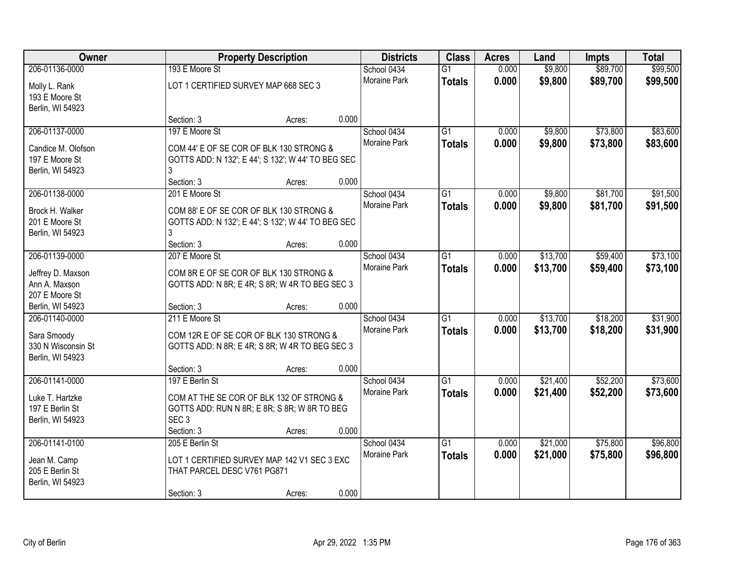| Owner              |                                                    | <b>Property Description</b> |       | <b>Districts</b>    | <b>Class</b>    | <b>Acres</b> | Land     | <b>Impts</b> | <b>Total</b> |
|--------------------|----------------------------------------------------|-----------------------------|-------|---------------------|-----------------|--------------|----------|--------------|--------------|
| 206-01136-0000     | 193 E Moore St                                     |                             |       | School 0434         | $\overline{G1}$ | 0.000        | \$9,800  | \$89,700     | \$99,500     |
| Molly L. Rank      | LOT 1 CERTIFIED SURVEY MAP 668 SEC 3               |                             |       | Moraine Park        | <b>Totals</b>   | 0.000        | \$9,800  | \$89,700     | \$99,500     |
| 193 E Moore St     |                                                    |                             |       |                     |                 |              |          |              |              |
| Berlin, WI 54923   |                                                    |                             |       |                     |                 |              |          |              |              |
|                    | Section: 3                                         | Acres:                      | 0.000 |                     |                 |              |          |              |              |
| 206-01137-0000     | 197 E Moore St                                     |                             |       | School 0434         | $\overline{G1}$ | 0.000        | \$9,800  | \$73,800     | \$83,600     |
| Candice M. Olofson | COM 44' E OF SE COR OF BLK 130 STRONG &            |                             |       | <b>Moraine Park</b> | <b>Totals</b>   | 0.000        | \$9,800  | \$73,800     | \$83,600     |
| 197 E Moore St     | GOTTS ADD: N 132'; E 44'; S 132'; W 44' TO BEG SEC |                             |       |                     |                 |              |          |              |              |
| Berlin, WI 54923   |                                                    |                             |       |                     |                 |              |          |              |              |
|                    | Section: 3                                         | Acres:                      | 0.000 |                     |                 |              |          |              |              |
| 206-01138-0000     | 201 E Moore St                                     |                             |       | School 0434         | G1              | 0.000        | \$9,800  | \$81,700     | \$91,500     |
|                    |                                                    |                             |       | Moraine Park        | <b>Totals</b>   | 0.000        | \$9,800  | \$81,700     | \$91,500     |
| Brock H. Walker    | COM 88' E OF SE COR OF BLK 130 STRONG &            |                             |       |                     |                 |              |          |              |              |
| 201 E Moore St     | GOTTS ADD: N 132'; E 44'; S 132'; W 44' TO BEG SEC |                             |       |                     |                 |              |          |              |              |
| Berlin, WI 54923   | Section: 3                                         | Acres:                      | 0.000 |                     |                 |              |          |              |              |
| 206-01139-0000     | 207 E Moore St                                     |                             |       | School 0434         | G1              | 0.000        | \$13,700 | \$59,400     | \$73,100     |
|                    |                                                    |                             |       | <b>Moraine Park</b> | <b>Totals</b>   | 0.000        | \$13,700 | \$59,400     | \$73,100     |
| Jeffrey D. Maxson  | COM 8R E OF SE COR OF BLK 130 STRONG &             |                             |       |                     |                 |              |          |              |              |
| Ann A. Maxson      | GOTTS ADD: N 8R; E 4R; S 8R; W 4R TO BEG SEC 3     |                             |       |                     |                 |              |          |              |              |
| 207 E Moore St     |                                                    |                             |       |                     |                 |              |          |              |              |
| Berlin, WI 54923   | Section: 3                                         | Acres:                      | 0.000 |                     |                 |              |          |              |              |
| 206-01140-0000     | 211 E Moore St                                     |                             |       | School 0434         | $\overline{G1}$ | 0.000        | \$13,700 | \$18,200     | \$31,900     |
| Sara Smoody        | COM 12R E OF SE COR OF BLK 130 STRONG &            |                             |       | <b>Moraine Park</b> | <b>Totals</b>   | 0.000        | \$13,700 | \$18,200     | \$31,900     |
| 330 N Wisconsin St | GOTTS ADD: N 8R; E 4R; S 8R; W 4R TO BEG SEC 3     |                             |       |                     |                 |              |          |              |              |
| Berlin, WI 54923   |                                                    |                             |       |                     |                 |              |          |              |              |
|                    | Section: 3                                         | Acres:                      | 0.000 |                     |                 |              |          |              |              |
| 206-01141-0000     | 197 E Berlin St                                    |                             |       | School 0434         | $\overline{G1}$ | 0.000        | \$21,400 | \$52,200     | \$73,600     |
| Luke T. Hartzke    | COM AT THE SE COR OF BLK 132 OF STRONG &           |                             |       | <b>Moraine Park</b> | <b>Totals</b>   | 0.000        | \$21,400 | \$52,200     | \$73,600     |
| 197 E Berlin St    | GOTTS ADD: RUN N 8R; E 8R; S 8R; W 8R TO BEG       |                             |       |                     |                 |              |          |              |              |
| Berlin, WI 54923   | SEC <sub>3</sub>                                   |                             |       |                     |                 |              |          |              |              |
|                    | Section: 3                                         | Acres:                      | 0.000 |                     |                 |              |          |              |              |
| 206-01141-0100     | 205 E Berlin St                                    |                             |       | School 0434         | $\overline{G1}$ | 0.000        | \$21,000 | \$75,800     | \$96,800     |
| Jean M. Camp       | LOT 1 CERTIFIED SURVEY MAP 142 V1 SEC 3 EXC        |                             |       | <b>Moraine Park</b> | <b>Totals</b>   | 0.000        | \$21,000 | \$75,800     | \$96,800     |
| 205 E Berlin St    | THAT PARCEL DESC V761 PG871                        |                             |       |                     |                 |              |          |              |              |
| Berlin, WI 54923   |                                                    |                             |       |                     |                 |              |          |              |              |
|                    | Section: 3                                         | Acres:                      | 0.000 |                     |                 |              |          |              |              |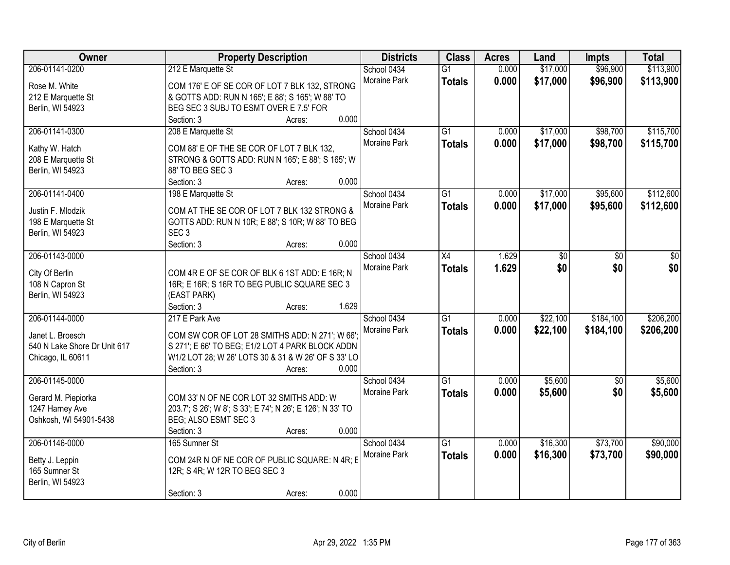| Owner                                | <b>Property Description</b>                                          |        | <b>Districts</b>    | <b>Class</b>    | <b>Acres</b> | Land     | <b>Impts</b> | <b>Total</b> |
|--------------------------------------|----------------------------------------------------------------------|--------|---------------------|-----------------|--------------|----------|--------------|--------------|
| 206-01141-0200                       | 212 E Marquette St                                                   |        | School 0434         | $\overline{G1}$ | 0.000        | \$17,000 | \$96,900     | \$113,900    |
| Rose M. White                        | COM 176' E OF SE COR OF LOT 7 BLK 132, STRONG                        |        | Moraine Park        | <b>Totals</b>   | 0.000        | \$17,000 | \$96,900     | \$113,900    |
| 212 E Marquette St                   | & GOTTS ADD: RUN N 165'; E 88'; S 165'; W 88' TO                     |        |                     |                 |              |          |              |              |
| Berlin, WI 54923                     | BEG SEC 3 SUBJ TO ESMT OVER E 7.5' FOR                               |        |                     |                 |              |          |              |              |
|                                      | Section: 3                                                           | Acres: | 0.000               |                 |              |          |              |              |
| 206-01141-0300                       | 208 E Marquette St                                                   |        | School 0434         | $\overline{G1}$ | 0.000        | \$17,000 | \$98,700     | \$115,700    |
|                                      |                                                                      |        | <b>Moraine Park</b> | <b>Totals</b>   | 0.000        | \$17,000 | \$98,700     | \$115,700    |
| Kathy W. Hatch<br>208 E Marquette St | COM 88' E OF THE SE COR OF LOT 7 BLK 132,                            |        |                     |                 |              |          |              |              |
| Berlin, WI 54923                     | STRONG & GOTTS ADD: RUN N 165'; E 88'; S 165'; W<br>88' TO BEG SEC 3 |        |                     |                 |              |          |              |              |
|                                      | Section: 3                                                           | Acres: | 0.000               |                 |              |          |              |              |
| 206-01141-0400                       | 198 E Marquette St                                                   |        | School 0434         | $\overline{G1}$ | 0.000        | \$17,000 | \$95,600     | \$112,600    |
|                                      |                                                                      |        | Moraine Park        | <b>Totals</b>   | 0.000        | \$17,000 | \$95,600     | \$112,600    |
| Justin F. Mlodzik                    | COM AT THE SE COR OF LOT 7 BLK 132 STRONG &                          |        |                     |                 |              |          |              |              |
| 198 E Marquette St                   | GOTTS ADD: RUN N 10R; E 88'; S 10R; W 88' TO BEG                     |        |                     |                 |              |          |              |              |
| Berlin, WI 54923                     | SEC <sub>3</sub>                                                     |        |                     |                 |              |          |              |              |
|                                      | Section: 3                                                           | Acres: | 0.000               |                 |              |          |              |              |
| 206-01143-0000                       |                                                                      |        | School 0434         | X4              | 1.629        | \$0      | \$0          | \$0          |
| City Of Berlin                       | COM 4R E OF SE COR OF BLK 6 1ST ADD: E 16R; N                        |        | <b>Moraine Park</b> | <b>Totals</b>   | 1.629        | \$0      | \$0          | \$0          |
| 108 N Capron St                      | 16R; E 16R; S 16R TO BEG PUBLIC SQUARE SEC 3                         |        |                     |                 |              |          |              |              |
| Berlin, WI 54923                     | (EAST PARK)                                                          |        |                     |                 |              |          |              |              |
|                                      | Section: 3                                                           | Acres: | 1.629               |                 |              |          |              |              |
| 206-01144-0000                       | 217 E Park Ave                                                       |        | School 0434         | $\overline{G1}$ | 0.000        | \$22,100 | \$184,100    | \$206,200    |
| Janet L. Broesch                     | COM SW COR OF LOT 28 SMITHS ADD: N 271'; W 66':                      |        | Moraine Park        | <b>Totals</b>   | 0.000        | \$22,100 | \$184,100    | \$206,200    |
| 540 N Lake Shore Dr Unit 617         | S 271'; E 66' TO BEG; E1/2 LOT 4 PARK BLOCK ADDN:                    |        |                     |                 |              |          |              |              |
| Chicago, IL 60611                    | W1/2 LOT 28; W 26' LOTS 30 & 31 & W 26' OF S 33' LO                  |        |                     |                 |              |          |              |              |
|                                      | Section: 3                                                           | Acres: | 0.000               |                 |              |          |              |              |
| 206-01145-0000                       |                                                                      |        | School 0434         | $\overline{G1}$ | 0.000        | \$5,600  | \$0          | \$5,600      |
|                                      |                                                                      |        | Moraine Park        | <b>Totals</b>   | 0.000        | \$5,600  | \$0          | \$5,600      |
| Gerard M. Piepiorka                  | COM 33' N OF NE COR LOT 32 SMITHS ADD: W                             |        |                     |                 |              |          |              |              |
| 1247 Harney Ave                      | 203.7'; S 26'; W 8'; S 33'; E 74'; N 26'; E 126'; N 33' TO           |        |                     |                 |              |          |              |              |
| Oshkosh, WI 54901-5438               | BEG; ALSO ESMT SEC 3                                                 |        |                     |                 |              |          |              |              |
|                                      | Section: 3                                                           | Acres: | 0.000               |                 |              |          |              |              |
| 206-01146-0000                       | 165 Sumner St                                                        |        | School 0434         | $\overline{G1}$ | 0.000        | \$16,300 | \$73,700     | \$90,000     |
| Betty J. Leppin                      | COM 24R N OF NE COR OF PUBLIC SQUARE: N 4R; E                        |        | <b>Moraine Park</b> | <b>Totals</b>   | 0.000        | \$16,300 | \$73,700     | \$90,000     |
| 165 Sumner St                        | 12R; S 4R; W 12R TO BEG SEC 3                                        |        |                     |                 |              |          |              |              |
| Berlin, WI 54923                     |                                                                      |        |                     |                 |              |          |              |              |
|                                      | Section: 3                                                           | Acres: | 0.000               |                 |              |          |              |              |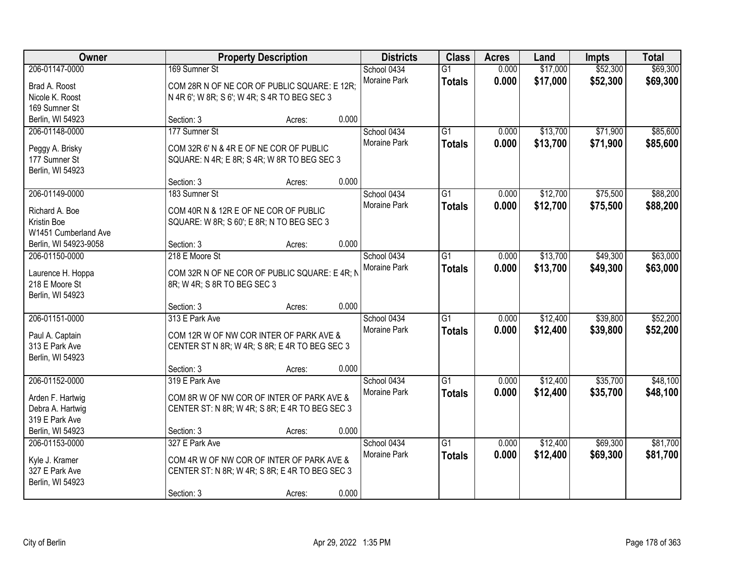| Owner                 |                                                | <b>Property Description</b> |       | <b>Districts</b>    | <b>Class</b>    | <b>Acres</b> | Land     | <b>Impts</b> | <b>Total</b> |
|-----------------------|------------------------------------------------|-----------------------------|-------|---------------------|-----------------|--------------|----------|--------------|--------------|
| 206-01147-0000        | 169 Sumner St                                  |                             |       | School 0434         | $\overline{G1}$ | 0.000        | \$17,000 | \$52,300     | \$69,300     |
| Brad A. Roost         | COM 28R N OF NE COR OF PUBLIC SQUARE: E 12R;   |                             |       | Moraine Park        | <b>Totals</b>   | 0.000        | \$17,000 | \$52,300     | \$69,300     |
| Nicole K. Roost       | N 4R 6'; W 8R; S 6'; W 4R; S 4R TO BEG SEC 3   |                             |       |                     |                 |              |          |              |              |
| 169 Sumner St         |                                                |                             |       |                     |                 |              |          |              |              |
| Berlin, WI 54923      | Section: 3                                     | Acres:                      | 0.000 |                     |                 |              |          |              |              |
| 206-01148-0000        | 177 Sumner St                                  |                             |       | School 0434         | $\overline{G1}$ | 0.000        | \$13,700 | \$71,900     | \$85,600     |
|                       |                                                |                             |       | Moraine Park        | <b>Totals</b>   | 0.000        | \$13,700 | \$71,900     | \$85,600     |
| Peggy A. Brisky       | COM 32R 6' N & 4R E OF NE COR OF PUBLIC        |                             |       |                     |                 |              |          |              |              |
| 177 Sumner St         | SQUARE: N 4R; E 8R; S 4R; W 8R TO BEG SEC 3    |                             |       |                     |                 |              |          |              |              |
| Berlin, WI 54923      |                                                |                             |       |                     |                 |              |          |              |              |
|                       | Section: 3                                     | Acres:                      | 0.000 |                     |                 |              |          |              |              |
| 206-01149-0000        | 183 Sumner St                                  |                             |       | School 0434         | G1              | 0.000        | \$12,700 | \$75,500     | \$88,200     |
| Richard A. Boe        | COM 40R N & 12R E OF NE COR OF PUBLIC          |                             |       | Moraine Park        | <b>Totals</b>   | 0.000        | \$12,700 | \$75,500     | \$88,200     |
| Kristin Boe           | SQUARE: W 8R; S 60'; E 8R; N TO BEG SEC 3      |                             |       |                     |                 |              |          |              |              |
| W1451 Cumberland Ave  |                                                |                             |       |                     |                 |              |          |              |              |
| Berlin, WI 54923-9058 | Section: 3                                     | Acres:                      | 0.000 |                     |                 |              |          |              |              |
| 206-01150-0000        | 218 E Moore St                                 |                             |       | School 0434         | G1              | 0.000        | \$13,700 | \$49,300     | \$63,000     |
|                       |                                                |                             |       | <b>Moraine Park</b> | <b>Totals</b>   | 0.000        | \$13,700 | \$49,300     | \$63,000     |
| Laurence H. Hoppa     | COM 32R N OF NE COR OF PUBLIC SQUARE: E 4R; N  |                             |       |                     |                 |              |          |              |              |
| 218 E Moore St        | 8R; W 4R; S 8R TO BEG SEC 3                    |                             |       |                     |                 |              |          |              |              |
| Berlin, WI 54923      |                                                |                             |       |                     |                 |              |          |              |              |
|                       | Section: 3                                     | Acres:                      | 0.000 |                     |                 |              |          |              |              |
| 206-01151-0000        | 313 E Park Ave                                 |                             |       | School 0434         | $\overline{G1}$ | 0.000        | \$12,400 | \$39,800     | \$52,200     |
| Paul A. Captain       | COM 12R W OF NW COR INTER OF PARK AVE &        |                             |       | Moraine Park        | <b>Totals</b>   | 0.000        | \$12,400 | \$39,800     | \$52,200     |
| 313 E Park Ave        | CENTER ST N 8R; W 4R; S 8R; E 4R TO BEG SEC 3  |                             |       |                     |                 |              |          |              |              |
| Berlin, WI 54923      |                                                |                             |       |                     |                 |              |          |              |              |
|                       | Section: 3                                     | Acres:                      | 0.000 |                     |                 |              |          |              |              |
| 206-01152-0000        | 319 E Park Ave                                 |                             |       | School 0434         | $\overline{G1}$ | 0.000        | \$12,400 | \$35,700     | \$48,100     |
|                       |                                                |                             |       | Moraine Park        | <b>Totals</b>   | 0.000        | \$12,400 | \$35,700     | \$48,100     |
| Arden F. Hartwig      | COM 8R W OF NW COR OF INTER OF PARK AVE &      |                             |       |                     |                 |              |          |              |              |
| Debra A. Hartwig      | CENTER ST: N 8R; W 4R; S 8R; E 4R TO BEG SEC 3 |                             |       |                     |                 |              |          |              |              |
| 319 E Park Ave        |                                                |                             | 0.000 |                     |                 |              |          |              |              |
| Berlin, WI 54923      | Section: 3                                     | Acres:                      |       |                     |                 |              |          |              |              |
| 206-01153-0000        | 327 E Park Ave                                 |                             |       | School 0434         | $\overline{G1}$ | 0.000        | \$12,400 | \$69,300     | \$81,700     |
| Kyle J. Kramer        | COM 4R W OF NW COR OF INTER OF PARK AVE &      |                             |       | <b>Moraine Park</b> | <b>Totals</b>   | 0.000        | \$12,400 | \$69,300     | \$81,700     |
| 327 E Park Ave        | CENTER ST: N 8R; W 4R; S 8R; E 4R TO BEG SEC 3 |                             |       |                     |                 |              |          |              |              |
| Berlin, WI 54923      |                                                |                             |       |                     |                 |              |          |              |              |
|                       | Section: 3                                     | Acres:                      | 0.000 |                     |                 |              |          |              |              |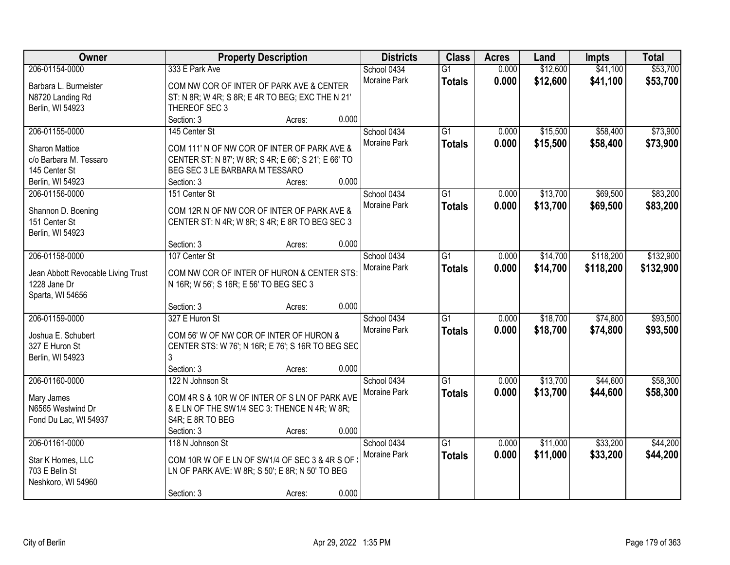| Owner                              |                                                      | <b>Property Description</b> |       | <b>Districts</b>    | <b>Class</b>    | <b>Acres</b> | Land     | <b>Impts</b> | <b>Total</b> |
|------------------------------------|------------------------------------------------------|-----------------------------|-------|---------------------|-----------------|--------------|----------|--------------|--------------|
| 206-01154-0000                     | 333 E Park Ave                                       |                             |       | School 0434         | $\overline{G1}$ | 0.000        | \$12,600 | \$41,100     | \$53,700     |
| Barbara L. Burmeister              | COM NW COR OF INTER OF PARK AVE & CENTER             |                             |       | Moraine Park        | <b>Totals</b>   | 0.000        | \$12,600 | \$41,100     | \$53,700     |
| N8720 Landing Rd                   | ST: N 8R; W 4R; S 8R; E 4R TO BEG; EXC THE N 21'     |                             |       |                     |                 |              |          |              |              |
| Berlin, WI 54923                   | THEREOF SEC 3                                        |                             |       |                     |                 |              |          |              |              |
|                                    | Section: 3                                           | Acres:                      | 0.000 |                     |                 |              |          |              |              |
| 206-01155-0000                     | 145 Center St                                        |                             |       | School 0434         | $\overline{G1}$ | 0.000        | \$15,500 | \$58,400     | \$73,900     |
|                                    |                                                      |                             |       | Moraine Park        | <b>Totals</b>   | 0.000        | \$15,500 | \$58,400     | \$73,900     |
| <b>Sharon Mattice</b>              | COM 111' N OF NW COR OF INTER OF PARK AVE &          |                             |       |                     |                 |              |          |              |              |
| c/o Barbara M. Tessaro             | CENTER ST: N 87'; W 8R; S 4R; E 66'; S 21'; E 66' TO |                             |       |                     |                 |              |          |              |              |
| 145 Center St                      | BEG SEC 3 LE BARBARA M TESSARO                       |                             |       |                     |                 |              |          |              |              |
| Berlin, WI 54923                   | Section: 3                                           | Acres:                      | 0.000 |                     |                 |              |          |              |              |
| 206-01156-0000                     | 151 Center St                                        |                             |       | School 0434         | G1              | 0.000        | \$13,700 | \$69,500     | \$83,200     |
| Shannon D. Boening                 | COM 12R N OF NW COR OF INTER OF PARK AVE &           |                             |       | Moraine Park        | <b>Totals</b>   | 0.000        | \$13,700 | \$69,500     | \$83,200     |
| 151 Center St                      | CENTER ST: N 4R; W 8R; S 4R; E 8R TO BEG SEC 3       |                             |       |                     |                 |              |          |              |              |
| Berlin, WI 54923                   |                                                      |                             |       |                     |                 |              |          |              |              |
|                                    | Section: 3                                           | Acres:                      | 0.000 |                     |                 |              |          |              |              |
| 206-01158-0000                     | 107 Center St                                        |                             |       | School 0434         | G1              | 0.000        | \$14,700 | \$118,200    | \$132,900    |
| Jean Abbott Revocable Living Trust | COM NW COR OF INTER OF HURON & CENTER STS:           |                             |       | Moraine Park        | <b>Totals</b>   | 0.000        | \$14,700 | \$118,200    | \$132,900    |
| 1228 Jane Dr                       | N 16R; W 56'; S 16R; E 56' TO BEG SEC 3              |                             |       |                     |                 |              |          |              |              |
| Sparta, WI 54656                   |                                                      |                             |       |                     |                 |              |          |              |              |
|                                    | Section: 3                                           | Acres:                      | 0.000 |                     |                 |              |          |              |              |
| 206-01159-0000                     | 327 E Huron St                                       |                             |       | School 0434         | $\overline{G1}$ | 0.000        | \$18,700 | \$74,800     | \$93,500     |
|                                    |                                                      |                             |       | <b>Moraine Park</b> |                 |              |          |              |              |
| Joshua E. Schubert                 | COM 56' W OF NW COR OF INTER OF HURON &              |                             |       |                     | <b>Totals</b>   | 0.000        | \$18,700 | \$74,800     | \$93,500     |
| 327 E Huron St                     | CENTER STS: W 76'; N 16R; E 76'; S 16R TO BEG SEC    |                             |       |                     |                 |              |          |              |              |
| Berlin, WI 54923                   |                                                      |                             |       |                     |                 |              |          |              |              |
|                                    | Section: 3                                           | Acres:                      | 0.000 |                     |                 |              |          |              |              |
| 206-01160-0000                     | 122 N Johnson St                                     |                             |       | School 0434         | $\overline{G1}$ | 0.000        | \$13,700 | \$44,600     | \$58,300     |
| Mary James                         | COM 4R S & 10R W OF INTER OF S LN OF PARK AVE        |                             |       | Moraine Park        | <b>Totals</b>   | 0.000        | \$13,700 | \$44,600     | \$58,300     |
| N6565 Westwind Dr                  | & E LN OF THE SW1/4 SEC 3: THENCE N 4R; W 8R;        |                             |       |                     |                 |              |          |              |              |
| Fond Du Lac, WI 54937              | S4R; E 8R TO BEG                                     |                             |       |                     |                 |              |          |              |              |
|                                    | Section: 3                                           | Acres:                      | 0.000 |                     |                 |              |          |              |              |
| 206-01161-0000                     | 118 N Johnson St                                     |                             |       | School 0434         | $\overline{G1}$ | 0.000        | \$11,000 | \$33,200     | \$44,200     |
|                                    |                                                      |                             |       | <b>Moraine Park</b> |                 |              |          |              |              |
| Star K Homes, LLC                  | COM 10R W OF E LN OF SW1/4 OF SEC 3 & 4R S OF        |                             |       |                     | <b>Totals</b>   | 0.000        | \$11,000 | \$33,200     | \$44,200     |
| 703 E Belin St                     | LN OF PARK AVE: W 8R; S 50'; E 8R; N 50' TO BEG      |                             |       |                     |                 |              |          |              |              |
| Neshkoro, WI 54960                 |                                                      |                             |       |                     |                 |              |          |              |              |
|                                    | Section: 3                                           | Acres:                      | 0.000 |                     |                 |              |          |              |              |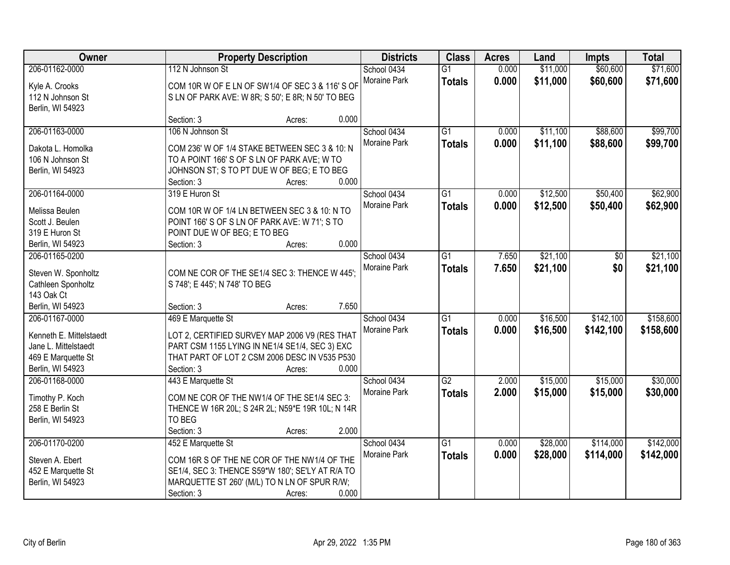| Owner                   |                               | <b>Property Description</b>                       | <b>Districts</b> | <b>Class</b>    | <b>Acres</b> | Land     | <b>Impts</b> | <b>Total</b> |
|-------------------------|-------------------------------|---------------------------------------------------|------------------|-----------------|--------------|----------|--------------|--------------|
| 206-01162-0000          | 112 N Johnson St              |                                                   | School 0434      | $\overline{G1}$ | 0.000        | \$11,000 | \$60,600     | \$71,600     |
| Kyle A. Crooks          |                               | COM 10R W OF E LN OF SW1/4 OF SEC 3 & 116' S OF   | Moraine Park     | <b>Totals</b>   | 0.000        | \$11,000 | \$60,600     | \$71,600     |
| 112 N Johnson St        |                               | S LN OF PARK AVE: W 8R; S 50'; E 8R; N 50' TO BEG |                  |                 |              |          |              |              |
| Berlin, WI 54923        |                               |                                                   |                  |                 |              |          |              |              |
|                         | Section: 3                    | Acres:                                            | 0.000            |                 |              |          |              |              |
| 206-01163-0000          | 106 N Johnson St              |                                                   | School 0434      | $\overline{G1}$ | 0.000        | \$11,100 | \$88,600     | \$99,700     |
| Dakota L. Homolka       |                               | COM 236' W OF 1/4 STAKE BETWEEN SEC 3 & 10: N     | Moraine Park     | <b>Totals</b>   | 0.000        | \$11,100 | \$88,600     | \$99,700     |
| 106 N Johnson St        |                               | TO A POINT 166' S OF S LN OF PARK AVE; W TO       |                  |                 |              |          |              |              |
| Berlin, WI 54923        |                               | JOHNSON ST; S TO PT DUE W OF BEG; E TO BEG        |                  |                 |              |          |              |              |
|                         | Section: 3                    | Acres:                                            | 0.000            |                 |              |          |              |              |
| 206-01164-0000          | 319 E Huron St                |                                                   | School 0434      | $\overline{G1}$ | 0.000        | \$12,500 | \$50,400     | \$62,900     |
|                         |                               |                                                   | Moraine Park     |                 | 0.000        | \$12,500 | \$50,400     | \$62,900     |
| Melissa Beulen          |                               | COM 10R W OF 1/4 LN BETWEEN SEC 3 & 10: N TO      |                  | <b>Totals</b>   |              |          |              |              |
| Scott J. Beulen         |                               | POINT 166' S OF S LN OF PARK AVE: W 71'; S TO     |                  |                 |              |          |              |              |
| 319 E Huron St          | POINT DUE W OF BEG; E TO BEG  |                                                   |                  |                 |              |          |              |              |
| Berlin, WI 54923        | Section: 3                    | Acres:                                            | 0.000            |                 |              |          |              |              |
| 206-01165-0200          |                               |                                                   | School 0434      | $\overline{G1}$ | 7.650        | \$21,100 | \$0          | \$21,100     |
| Steven W. Sponholtz     |                               | COM NE COR OF THE SE1/4 SEC 3: THENCE W 445';     | Moraine Park     | <b>Totals</b>   | 7.650        | \$21,100 | \$0          | \$21,100     |
| Cathleen Sponholtz      | S 748'; E 445'; N 748' TO BEG |                                                   |                  |                 |              |          |              |              |
| 143 Oak Ct              |                               |                                                   |                  |                 |              |          |              |              |
| Berlin, WI 54923        | Section: 3                    | Acres:                                            | 7.650            |                 |              |          |              |              |
| 206-01167-0000          | 469 E Marquette St            |                                                   | School 0434      | $\overline{G1}$ | 0.000        | \$16,500 | \$142,100    | \$158,600    |
|                         |                               |                                                   | Moraine Park     | <b>Totals</b>   | 0.000        | \$16,500 | \$142,100    | \$158,600    |
| Kenneth E. Mittelstaedt |                               | LOT 2, CERTIFIED SURVEY MAP 2006 V9 (RES THAT     |                  |                 |              |          |              |              |
| Jane L. Mittelstaedt    |                               | PART CSM 1155 LYING IN NE1/4 SE1/4, SEC 3) EXC    |                  |                 |              |          |              |              |
| 469 E Marquette St      |                               | THAT PART OF LOT 2 CSM 2006 DESC IN V535 P530     |                  |                 |              |          |              |              |
| Berlin, WI 54923        | Section: 3                    | Acres:                                            | 0.000            |                 |              |          |              |              |
| 206-01168-0000          | 443 E Marquette St            |                                                   | School 0434      | $\overline{G2}$ | 2.000        | \$15,000 | \$15,000     | \$30,000     |
| Timothy P. Koch         |                               | COM NE COR OF THE NW1/4 OF THE SE1/4 SEC 3:       | Moraine Park     | <b>Totals</b>   | 2.000        | \$15,000 | \$15,000     | \$30,000     |
| 258 E Berlin St         |                               | THENCE W 16R 20L; S 24R 2L; N59*E 19R 10L; N 14R  |                  |                 |              |          |              |              |
| Berlin, WI 54923        | TO BEG                        |                                                   |                  |                 |              |          |              |              |
|                         | Section: 3                    | Acres:                                            | 2.000            |                 |              |          |              |              |
| 206-01170-0200          | 452 E Marquette St            |                                                   | School 0434      | $\overline{G1}$ | 0.000        | \$28,000 | \$114,000    | \$142,000    |
|                         |                               |                                                   | Moraine Park     | <b>Totals</b>   | 0.000        | \$28,000 | \$114,000    | \$142,000    |
| Steven A. Ebert         |                               | COM 16R S OF THE NE COR OF THE NW1/4 OF THE       |                  |                 |              |          |              |              |
| 452 E Marquette St      |                               | SE1/4, SEC 3: THENCE S59*W 180'; SE'LY AT R/A TO  |                  |                 |              |          |              |              |
| Berlin, WI 54923        |                               | MARQUETTE ST 260' (M/L) TO N LN OF SPUR R/W;      |                  |                 |              |          |              |              |
|                         | Section: 3                    | Acres:                                            | 0.000            |                 |              |          |              |              |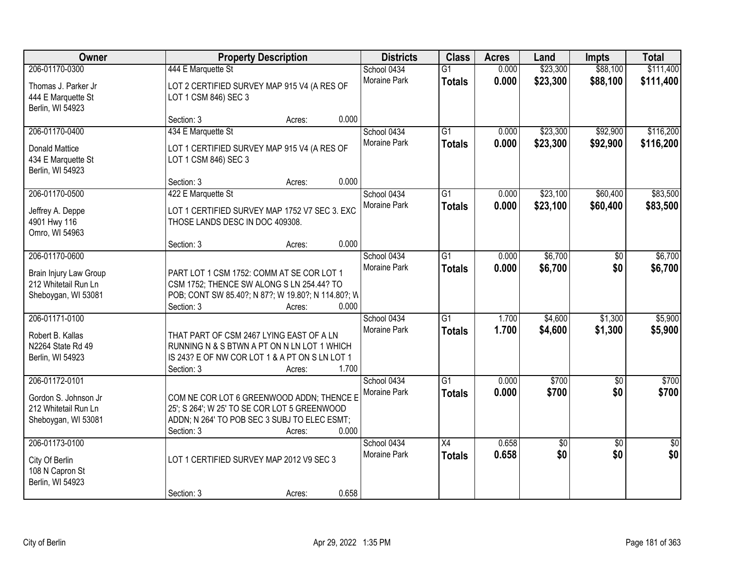| Owner                                                                 |                                                                                                                                                            | <b>Property Description</b> |       |                                    | <b>Class</b>                    | <b>Acres</b>   | Land                 | <b>Impts</b>         | <b>Total</b>           |
|-----------------------------------------------------------------------|------------------------------------------------------------------------------------------------------------------------------------------------------------|-----------------------------|-------|------------------------------------|---------------------------------|----------------|----------------------|----------------------|------------------------|
| 206-01170-0300<br>Thomas J. Parker Jr<br>444 E Marquette St           | 444 E Marquette St<br>LOT 2 CERTIFIED SURVEY MAP 915 V4 (A RES OF<br>LOT 1 CSM 846) SEC 3                                                                  |                             |       | School 0434<br><b>Moraine Park</b> | G <sub>1</sub><br><b>Totals</b> | 0.000<br>0.000 | \$23,300<br>\$23,300 | \$88,100<br>\$88,100 | \$111,400<br>\$111,400 |
| Berlin, WI 54923                                                      | Section: 3                                                                                                                                                 | Acres:                      | 0.000 |                                    |                                 |                |                      |                      |                        |
| 206-01170-0400                                                        | 434 E Marquette St                                                                                                                                         |                             |       | School 0434                        | $\overline{G1}$                 | 0.000          | \$23,300             | \$92,900             | \$116,200              |
| <b>Donald Mattice</b><br>434 E Marquette St<br>Berlin, WI 54923       | LOT 1 CERTIFIED SURVEY MAP 915 V4 (A RES OF<br>LOT 1 CSM 846) SEC 3                                                                                        |                             |       | Moraine Park                       | <b>Totals</b>                   | 0.000          | \$23,300             | \$92,900             | \$116,200              |
|                                                                       | Section: 3                                                                                                                                                 | Acres:                      | 0.000 |                                    |                                 |                |                      |                      |                        |
| 206-01170-0500                                                        | 422 E Marquette St                                                                                                                                         |                             |       | School 0434                        | $\overline{G1}$                 | 0.000          | \$23,100             | \$60,400             | \$83,500               |
| Jeffrey A. Deppe<br>4901 Hwy 116<br>Omro, WI 54963                    | LOT 1 CERTIFIED SURVEY MAP 1752 V7 SEC 3. EXC<br>THOSE LANDS DESC IN DOC 409308.                                                                           |                             |       | Moraine Park                       | <b>Totals</b>                   | 0.000          | \$23,100             | \$60,400             | \$83,500               |
|                                                                       | Section: 3                                                                                                                                                 | Acres:                      | 0.000 |                                    |                                 |                |                      |                      |                        |
| 206-01170-0600                                                        |                                                                                                                                                            |                             |       | School 0434                        | $\overline{G1}$                 | 0.000          | \$6,700              | $\sqrt{6}$           | \$6,700                |
| Brain Injury Law Group<br>212 Whitetail Run Ln<br>Sheboygan, WI 53081 | PART LOT 1 CSM 1752: COMM AT SE COR LOT 1<br>CSM 1752; THENCE SW ALONG S LN 254.44? TO<br>POB; CONT SW 85.40?; N 87?; W 19.80?; N 114.80?; W<br>Section: 3 | Acres:                      | 0.000 | <b>Moraine Park</b>                | <b>Totals</b>                   | 0.000          | \$6,700              | \$0                  | \$6,700                |
| 206-01171-0100                                                        |                                                                                                                                                            |                             |       | School 0434                        | $\overline{G1}$                 | 1.700          | \$4,600              | \$1,300              | \$5,900                |
| Robert B. Kallas<br>N2264 State Rd 49<br>Berlin, WI 54923             | THAT PART OF CSM 2467 LYING EAST OF A LN<br>RUNNING N & S BTWN A PT ON N LN LOT 1 WHICH<br>IS 243? E OF NW COR LOT 1 & A PT ON S LN LOT 1<br>Section: 3    | Acres:                      | 1.700 | <b>Moraine Park</b>                | <b>Totals</b>                   | 1.700          | \$4,600              | \$1,300              | \$5,900                |
| 206-01172-0101                                                        |                                                                                                                                                            |                             |       | School 0434                        | $\overline{G1}$                 | 0.000          | \$700                | \$0                  | \$700                  |
| Gordon S. Johnson Jr<br>212 Whitetail Run Ln<br>Sheboygan, WI 53081   | COM NE COR LOT 6 GREENWOOD ADDN; THENCE E<br>25'; S 264'; W 25' TO SE COR LOT 5 GREENWOOD<br>ADDN; N 264' TO POB SEC 3 SUBJ TO ELEC ESMT;<br>Section: 3    | Acres:                      | 0.000 | Moraine Park                       | <b>Totals</b>                   | 0.000          | \$700                | \$0                  | \$700                  |
| 206-01173-0100                                                        |                                                                                                                                                            |                             |       | School 0434                        | X4                              | 0.658          | $\overline{60}$      | $\overline{50}$      | \$0                    |
| City Of Berlin<br>108 N Capron St<br>Berlin, WI 54923                 | LOT 1 CERTIFIED SURVEY MAP 2012 V9 SEC 3<br>Section: 3                                                                                                     | Acres:                      | 0.658 | <b>Moraine Park</b>                | <b>Totals</b>                   | 0.658          | \$0                  | \$0                  | \$0                    |
|                                                                       |                                                                                                                                                            |                             |       |                                    |                                 |                |                      |                      |                        |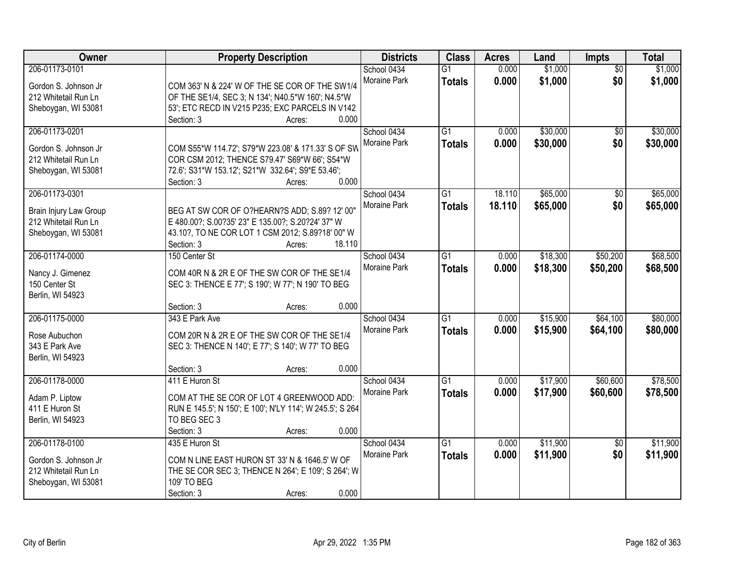| Owner                  | <b>Property Description</b>                                | <b>Districts</b>            | <b>Class</b>    | <b>Acres</b> | Land     | <b>Impts</b>    | <b>Total</b> |
|------------------------|------------------------------------------------------------|-----------------------------|-----------------|--------------|----------|-----------------|--------------|
| 206-01173-0101         |                                                            | School 0434                 | $\overline{G1}$ | 0.000        | \$1,000  | $\overline{50}$ | \$1,000      |
| Gordon S. Johnson Jr   | COM 363' N & 224' W OF THE SE COR OF THE SW1/4             | Moraine Park                | <b>Totals</b>   | 0.000        | \$1,000  | \$0             | \$1,000      |
| 212 Whitetail Run Ln   | OF THE SE1/4, SEC 3; N 134'; N40.5*W 160'; N4.5*W          |                             |                 |              |          |                 |              |
| Sheboygan, WI 53081    | 53'; ETC RECD IN V215 P235; EXC PARCELS IN V142            |                             |                 |              |          |                 |              |
|                        | 0.000<br>Section: 3<br>Acres:                              |                             |                 |              |          |                 |              |
| 206-01173-0201         |                                                            | School 0434                 | $\overline{G1}$ | 0.000        | \$30,000 | $\overline{50}$ | \$30,000     |
|                        |                                                            | Moraine Park                | <b>Totals</b>   | 0.000        | \$30,000 | \$0             | \$30,000     |
| Gordon S. Johnson Jr   | COM S55*W 114.72'; S79*W 223.08' & 171.33' S OF SW         |                             |                 |              |          |                 |              |
| 212 Whitetail Run Ln   | COR CSM 2012; THENCE S79.47' S69*W 66'; S54*W              |                             |                 |              |          |                 |              |
| Sheboygan, WI 53081    | 72.6'; S31*W 153.12'; S21*W 332.64'; S9*E 53.46';<br>0.000 |                             |                 |              |          |                 |              |
| 206-01173-0301         | Section: 3<br>Acres:                                       |                             | G1              | 18.110       | \$65,000 |                 | \$65,000     |
|                        |                                                            | School 0434<br>Moraine Park |                 |              |          | \$0             |              |
| Brain Injury Law Group | BEG AT SW COR OF O?HEARN?S ADD; S.89? 12' 00"              |                             | <b>Totals</b>   | 18.110       | \$65,000 | \$0             | \$65,000     |
| 212 Whitetail Run Ln   | E 480.00?; S.00?35' 23" E 135.00?; S.20?24' 37" W          |                             |                 |              |          |                 |              |
| Sheboygan, WI 53081    | 43.10?, TO NE COR LOT 1 CSM 2012; S.89?18' 00" W           |                             |                 |              |          |                 |              |
|                        | Section: 3<br>18.110<br>Acres:                             |                             |                 |              |          |                 |              |
| 206-01174-0000         | 150 Center St                                              | School 0434                 | G1              | 0.000        | \$18,300 | \$50,200        | \$68,500     |
| Nancy J. Gimenez       | COM 40R N & 2R E OF THE SW COR OF THE SE1/4                | Moraine Park                | <b>Totals</b>   | 0.000        | \$18,300 | \$50,200        | \$68,500     |
| 150 Center St          | SEC 3: THENCE E 77'; S 190'; W 77'; N 190' TO BEG          |                             |                 |              |          |                 |              |
| Berlin, WI 54923       |                                                            |                             |                 |              |          |                 |              |
|                        | 0.000<br>Section: 3<br>Acres:                              |                             |                 |              |          |                 |              |
| 206-01175-0000         | 343 E Park Ave                                             | School 0434                 | $\overline{G1}$ | 0.000        | \$15,900 | \$64,100        | \$80,000     |
|                        |                                                            | Moraine Park                | <b>Totals</b>   | 0.000        | \$15,900 | \$64,100        | \$80,000     |
| Rose Aubuchon          | COM 20R N & 2R E OF THE SW COR OF THE SE1/4                |                             |                 |              |          |                 |              |
| 343 E Park Ave         | SEC 3: THENCE N 140'; E 77'; S 140'; W 77' TO BEG          |                             |                 |              |          |                 |              |
| Berlin, WI 54923       |                                                            |                             |                 |              |          |                 |              |
|                        | 0.000<br>Section: 3<br>Acres:                              |                             |                 |              |          |                 |              |
| 206-01178-0000         | 411 E Huron St                                             | School 0434                 | $\overline{G1}$ | 0.000        | \$17,900 | \$60,600        | \$78,500     |
| Adam P. Liptow         | COM AT THE SE COR OF LOT 4 GREENWOOD ADD:                  | Moraine Park                | <b>Totals</b>   | 0.000        | \$17,900 | \$60,600        | \$78,500     |
| 411 E Huron St         | RUN E 145.5'; N 150'; E 100'; N'LY 114'; W 245.5'; S 264   |                             |                 |              |          |                 |              |
| Berlin, WI 54923       | TO BEG SEC 3                                               |                             |                 |              |          |                 |              |
|                        | 0.000<br>Section: 3<br>Acres:                              |                             |                 |              |          |                 |              |
| 206-01178-0100         | 435 E Huron St                                             | School 0434                 | $\overline{G1}$ | 0.000        | \$11,900 | $\overline{50}$ | \$11,900     |
| Gordon S. Johnson Jr   | COM N LINE EAST HURON ST 33' N & 1646.5' W OF              | Moraine Park                | <b>Totals</b>   | 0.000        | \$11,900 | \$0             | \$11,900     |
| 212 Whitetail Run Ln   | THE SE COR SEC 3; THENCE N 264'; E 109'; S 264'; W         |                             |                 |              |          |                 |              |
| Sheboygan, WI 53081    | 109' TO BEG                                                |                             |                 |              |          |                 |              |
|                        |                                                            |                             |                 |              |          |                 |              |
|                        | 0.000<br>Section: 3<br>Acres:                              |                             |                 |              |          |                 |              |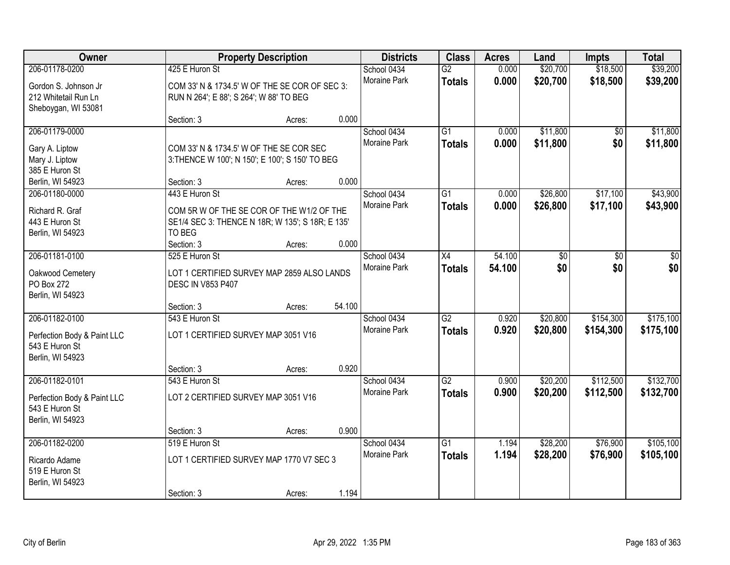| Owner                                                                                    |                                                                                                                       | <b>Property Description</b>                                                                                             |        | <b>Districts</b>                   | <b>Class</b>                     | <b>Acres</b>   | Land                 | <b>Impts</b>         | <b>Total</b>           |
|------------------------------------------------------------------------------------------|-----------------------------------------------------------------------------------------------------------------------|-------------------------------------------------------------------------------------------------------------------------|--------|------------------------------------|----------------------------------|----------------|----------------------|----------------------|------------------------|
| 206-01178-0200<br>Gordon S. Johnson Jr<br>212 Whitetail Run Ln<br>Sheboygan, WI 53081    | 425 E Huron St                                                                                                        | School 0434<br>Moraine Park<br>COM 33' N & 1734.5' W OF THE SE COR OF SEC 3:<br>RUN N 264'; E 88'; S 264'; W 88' TO BEG |        |                                    | $\overline{G2}$<br><b>Totals</b> | 0.000<br>0.000 | \$20,700<br>\$20,700 | \$18,500<br>\$18,500 | \$39,200<br>\$39,200   |
|                                                                                          | Section: 3                                                                                                            | Acres:                                                                                                                  | 0.000  |                                    |                                  |                |                      |                      |                        |
| 206-01179-0000<br>Gary A. Liptow<br>Mary J. Liptow<br>385 E Huron St<br>Berlin, WI 54923 | COM 33' N & 1734.5' W OF THE SE COR SEC<br>3: THENCE W 100'; N 150'; E 100'; S 150' TO BEG<br>Section: 3              | Acres:                                                                                                                  | 0.000  | School 0434<br><b>Moraine Park</b> | $\overline{G1}$<br><b>Totals</b> | 0.000<br>0.000 | \$11,800<br>\$11,800 | \$0<br>\$0           | \$11,800<br>\$11,800   |
| 206-01180-0000                                                                           | 443 E Huron St                                                                                                        |                                                                                                                         |        | School 0434                        | $\overline{G1}$                  | 0.000          | \$26,800             | \$17,100             | \$43,900               |
| Richard R. Graf<br>443 E Huron St<br>Berlin, WI 54923                                    | COM 5R W OF THE SE COR OF THE W1/2 OF THE<br>SE1/4 SEC 3: THENCE N 18R; W 135'; S 18R; E 135'<br>TO BEG<br>Section: 3 | Acres:                                                                                                                  | 0.000  | Moraine Park                       | <b>Totals</b>                    | 0.000          | \$26,800             | \$17,100             | \$43,900               |
| 206-01181-0100                                                                           | 525 E Huron St                                                                                                        |                                                                                                                         |        | School 0434                        | X4                               | 54.100         | \$0                  | \$0                  | \$0                    |
| Oakwood Cemetery<br>PO Box 272<br>Berlin, WI 54923                                       | LOT 1 CERTIFIED SURVEY MAP 2859 ALSO LANDS<br><b>DESC IN V853 P407</b>                                                |                                                                                                                         |        | Moraine Park                       | <b>Totals</b>                    | 54.100         | \$0                  | \$0                  | \$0                    |
| 206-01182-0100                                                                           | Section: 3<br>543 E Huron St                                                                                          | Acres:                                                                                                                  | 54.100 |                                    | $\overline{G2}$                  | 0.920          | \$20,800             | \$154,300            | \$175,100              |
| Perfection Body & Paint LLC<br>543 E Huron St<br>Berlin, WI 54923                        | LOT 1 CERTIFIED SURVEY MAP 3051 V16<br>Section: 3                                                                     | Acres:                                                                                                                  | 0.920  | School 0434<br><b>Moraine Park</b> | <b>Totals</b>                    | 0.920          | \$20,800             | \$154,300            | \$175,100              |
| 206-01182-0101                                                                           | 543 E Huron St                                                                                                        |                                                                                                                         |        | School 0434                        | $\overline{G2}$                  | 0.900          | \$20,200             | \$112,500            | \$132,700              |
| Perfection Body & Paint LLC<br>543 E Huron St<br>Berlin, WI 54923                        | LOT 2 CERTIFIED SURVEY MAP 3051 V16                                                                                   |                                                                                                                         |        | Moraine Park                       | <b>Totals</b>                    | 0.900          | \$20,200             | \$112,500            | \$132,700              |
|                                                                                          | Section: 3                                                                                                            | Acres:                                                                                                                  | 0.900  |                                    |                                  |                |                      |                      |                        |
| 206-01182-0200<br>Ricardo Adame<br>519 E Huron St<br>Berlin, WI 54923                    | 519 E Huron St<br>LOT 1 CERTIFIED SURVEY MAP 1770 V7 SEC 3<br>Section: 3                                              | Acres:                                                                                                                  | 1.194  | School 0434<br><b>Moraine Park</b> | $\overline{G1}$<br><b>Totals</b> | 1.194<br>1.194 | \$28,200<br>\$28,200 | \$76,900<br>\$76,900 | \$105,100<br>\$105,100 |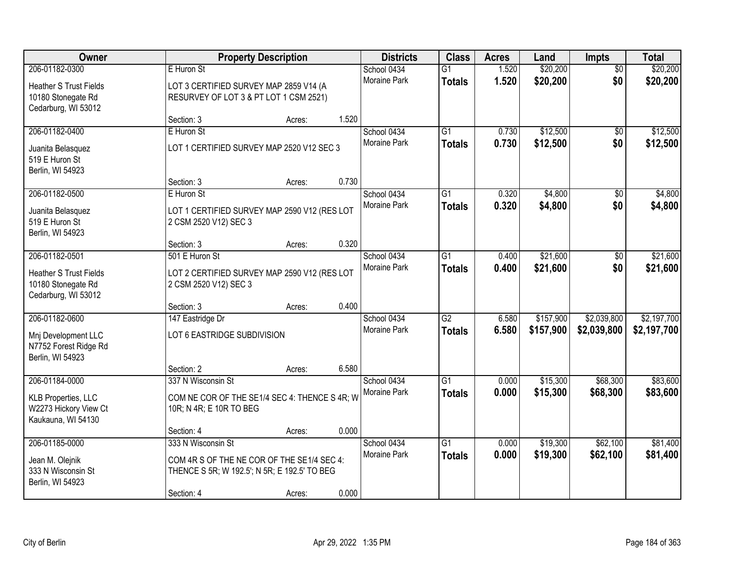| Owner                                                                     |                                                                                  | <b>Property Description</b> |       | <b>Districts</b>    | <b>Class</b>    | <b>Acres</b> | Land      | <b>Impts</b>    | <b>Total</b> |
|---------------------------------------------------------------------------|----------------------------------------------------------------------------------|-----------------------------|-------|---------------------|-----------------|--------------|-----------|-----------------|--------------|
| 206-01182-0300                                                            | E Huron St                                                                       |                             |       | School 0434         | $\overline{G1}$ | 1.520        | \$20,200  | $\overline{50}$ | \$20,200     |
| <b>Heather S Trust Fields</b><br>10180 Stonegate Rd                       | LOT 3 CERTIFIED SURVEY MAP 2859 V14 (A<br>RESURVEY OF LOT 3 & PT LOT 1 CSM 2521) |                             |       | Moraine Park        | <b>Totals</b>   | 1.520        | \$20,200  | \$0             | \$20,200     |
| Cedarburg, WI 53012                                                       |                                                                                  |                             |       |                     |                 |              |           |                 |              |
|                                                                           | Section: 3                                                                       | Acres:                      | 1.520 |                     |                 |              |           |                 |              |
| 206-01182-0400                                                            | E Huron St                                                                       |                             |       | School 0434         | $\overline{G1}$ | 0.730        | \$12,500  | $\overline{50}$ | \$12,500     |
| Juanita Belasquez<br>519 E Huron St<br>Berlin, WI 54923                   | LOT 1 CERTIFIED SURVEY MAP 2520 V12 SEC 3                                        |                             |       | Moraine Park        | Totals          | 0.730        | \$12,500  | \$0             | \$12,500     |
|                                                                           | Section: 3                                                                       | Acres:                      | 0.730 |                     |                 |              |           |                 |              |
| 206-01182-0500                                                            | E Huron St                                                                       |                             |       | School 0434         | $\overline{G1}$ | 0.320        | \$4,800   | \$0             | \$4,800      |
| Juanita Belasquez<br>519 E Huron St                                       | LOT 1 CERTIFIED SURVEY MAP 2590 V12 (RES LOT<br>2 CSM 2520 V12) SEC 3            |                             |       | Moraine Park        | <b>Totals</b>   | 0.320        | \$4,800   | \$0             | \$4,800      |
| Berlin, WI 54923                                                          | Section: 3                                                                       | Acres:                      | 0.320 |                     |                 |              |           |                 |              |
| 206-01182-0501                                                            | 501 E Huron St                                                                   |                             |       | School 0434         | $\overline{G1}$ | 0.400        | \$21,600  | \$0             | \$21,600     |
| <b>Heather S Trust Fields</b><br>10180 Stonegate Rd                       | LOT 2 CERTIFIED SURVEY MAP 2590 V12 (RES LOT<br>2 CSM 2520 V12) SEC 3            |                             |       | Moraine Park        | <b>Totals</b>   | 0.400        | \$21,600  | \$0             | \$21,600     |
| Cedarburg, WI 53012                                                       | Section: 3                                                                       | Acres:                      | 0.400 |                     |                 |              |           |                 |              |
| 206-01182-0600                                                            | 147 Eastridge Dr                                                                 |                             |       | School 0434         | $\overline{G2}$ | 6.580        | \$157,900 | \$2,039,800     | \$2,197,700  |
| Mnj Development LLC                                                       | LOT 6 EASTRIDGE SUBDIVISION                                                      |                             |       | Moraine Park        | <b>Totals</b>   | 6.580        | \$157,900 | \$2,039,800     | \$2,197,700  |
| N7752 Forest Ridge Rd<br>Berlin, WI 54923                                 |                                                                                  |                             |       |                     |                 |              |           |                 |              |
|                                                                           | Section: 2                                                                       | Acres:                      | 6.580 |                     |                 |              |           |                 |              |
| 206-01184-0000                                                            | 337 N Wisconsin St                                                               |                             |       | School 0434         | $\overline{G1}$ | 0.000        | \$15,300  | \$68,300        | \$83,600     |
| <b>KLB Properties, LLC</b><br>W2273 Hickory View Ct<br>Kaukauna, WI 54130 | COM NE COR OF THE SE1/4 SEC 4: THENCE S 4R; W<br>10R; N 4R; E 10R TO BEG         |                             |       | Moraine Park        | <b>Totals</b>   | 0.000        | \$15,300  | \$68,300        | \$83,600     |
|                                                                           | Section: 4                                                                       | Acres:                      | 0.000 |                     |                 |              |           |                 |              |
| 206-01185-0000                                                            | 333 N Wisconsin St                                                               |                             |       | School 0434         | $\overline{G1}$ | 0.000        | \$19,300  | \$62,100        | \$81,400     |
| Jean M. Olejnik                                                           | COM 4R S OF THE NE COR OF THE SE1/4 SEC 4:                                       |                             |       | <b>Moraine Park</b> | <b>Totals</b>   | 0.000        | \$19,300  | \$62,100        | \$81,400     |
| 333 N Wisconsin St<br>Berlin, WI 54923                                    | THENCE S 5R; W 192.5'; N 5R; E 192.5' TO BEG                                     |                             |       |                     |                 |              |           |                 |              |
|                                                                           | Section: 4                                                                       | Acres:                      | 0.000 |                     |                 |              |           |                 |              |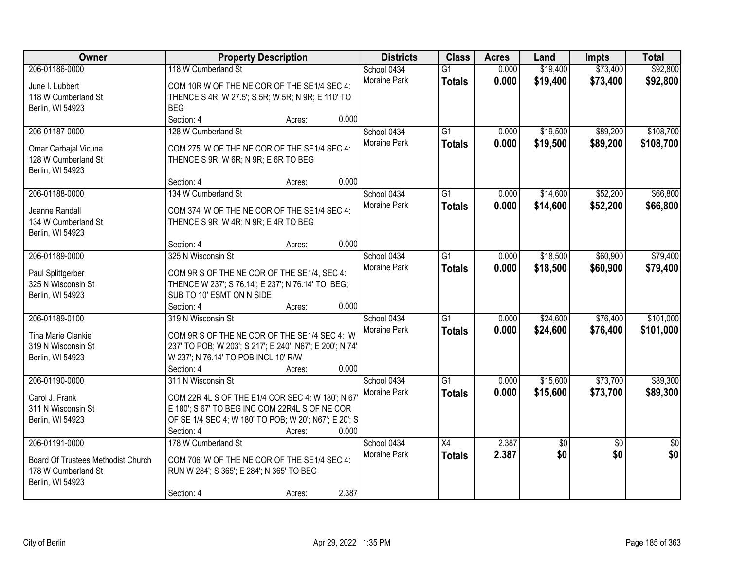| Owner                              | <b>Property Description</b>                              | <b>Districts</b> | <b>Class</b> | <b>Acres</b>    | Land  | Impts           | <b>Total</b>    |                 |
|------------------------------------|----------------------------------------------------------|------------------|--------------|-----------------|-------|-----------------|-----------------|-----------------|
| 206-01186-0000                     | 118 W Cumberland St                                      |                  | School 0434  | $\overline{G1}$ | 0.000 | \$19,400        | \$73,400        | \$92,800        |
| June I. Lubbert                    | COM 10R W OF THE NE COR OF THE SE1/4 SEC 4:              |                  | Moraine Park | <b>Totals</b>   | 0.000 | \$19,400        | \$73,400        | \$92,800        |
| 118 W Cumberland St                | THENCE S 4R; W 27.5'; S 5R; W 5R; N 9R; E 110' TO        |                  |              |                 |       |                 |                 |                 |
| Berlin, WI 54923                   | <b>BEG</b>                                               |                  |              |                 |       |                 |                 |                 |
|                                    | Section: 4                                               | Acres:           | 0.000        |                 |       |                 |                 |                 |
| 206-01187-0000                     | 128 W Cumberland St                                      |                  | School 0434  | $\overline{G1}$ | 0.000 | \$19,500        | \$89,200        | \$108,700       |
| Omar Carbajal Vicuna               | COM 275' W OF THE NE COR OF THE SE1/4 SEC 4:             |                  | Moraine Park | <b>Totals</b>   | 0.000 | \$19,500        | \$89,200        | \$108,700       |
| 128 W Cumberland St                | THENCE S 9R; W 6R; N 9R; E 6R TO BEG                     |                  |              |                 |       |                 |                 |                 |
| Berlin, WI 54923                   |                                                          |                  |              |                 |       |                 |                 |                 |
|                                    | Section: 4                                               | Acres:           | 0.000        |                 |       |                 |                 |                 |
| 206-01188-0000                     | 134 W Cumberland St                                      |                  | School 0434  | G1              | 0.000 | \$14,600        | \$52,200        | \$66,800        |
| Jeanne Randall                     | COM 374' W OF THE NE COR OF THE SE1/4 SEC 4:             |                  | Moraine Park | <b>Totals</b>   | 0.000 | \$14,600        | \$52,200        | \$66,800        |
| 134 W Cumberland St                | THENCE S 9R; W 4R; N 9R; E 4R TO BEG                     |                  |              |                 |       |                 |                 |                 |
| Berlin, WI 54923                   |                                                          |                  |              |                 |       |                 |                 |                 |
|                                    | Section: 4                                               | Acres:           | 0.000        |                 |       |                 |                 |                 |
| 206-01189-0000                     | 325 N Wisconsin St                                       |                  | School 0434  | G1              | 0.000 | \$18,500        | \$60,900        | \$79,400        |
| Paul Splittgerber                  | COM 9R S OF THE NE COR OF THE SE1/4, SEC 4:              |                  | Moraine Park | <b>Totals</b>   | 0.000 | \$18,500        | \$60,900        | \$79,400        |
| 325 N Wisconsin St                 | THENCE W 237'; S 76.14'; E 237'; N 76.14' TO BEG;        |                  |              |                 |       |                 |                 |                 |
| Berlin, WI 54923                   | SUB TO 10' ESMT ON N SIDE                                |                  |              |                 |       |                 |                 |                 |
|                                    | Section: 4                                               | Acres:           | 0.000        |                 |       |                 |                 |                 |
| 206-01189-0100                     | 319 N Wisconsin St                                       |                  | School 0434  | $\overline{G1}$ | 0.000 | \$24,600        | \$76,400        | \$101,000       |
|                                    |                                                          |                  | Moraine Park | <b>Totals</b>   | 0.000 | \$24,600        | \$76,400        | \$101,000       |
| Tina Marie Clankie                 | COM 9R S OF THE NE COR OF THE SE1/4 SEC 4: W             |                  |              |                 |       |                 |                 |                 |
| 319 N Wisconsin St                 | 237' TO POB; W 203'; S 217'; E 240'; N67'; E 200'; N 74' |                  |              |                 |       |                 |                 |                 |
| Berlin, WI 54923                   | W 237'; N 76.14' TO POB INCL 10' R/W                     |                  |              |                 |       |                 |                 |                 |
|                                    | Section: 4                                               | Acres:           | 0.000        |                 |       |                 |                 |                 |
| 206-01190-0000                     | 311 N Wisconsin St                                       |                  | School 0434  | $\overline{G1}$ | 0.000 | \$15,600        | \$73,700        | \$89,300        |
| Carol J. Frank                     | COM 22R 4L S OF THE E1/4 COR SEC 4: W 180'; N 67'        |                  | Moraine Park | <b>Totals</b>   | 0.000 | \$15,600        | \$73,700        | \$89,300        |
| 311 N Wisconsin St                 | E 180'; S 67' TO BEG INC COM 22R4L S OF NE COR           |                  |              |                 |       |                 |                 |                 |
| Berlin, WI 54923                   | OF SE 1/4 SEC 4; W 180' TO POB; W 20'; N67'; E 20'; S    |                  |              |                 |       |                 |                 |                 |
|                                    | Section: 4                                               | Acres:           | 0.000        |                 |       |                 |                 |                 |
| 206-01191-0000                     | 178 W Cumberland St                                      |                  | School 0434  | X4              | 2.387 | $\overline{50}$ | $\overline{50}$ | $\overline{50}$ |
| Board Of Trustees Methodist Church | COM 706' W OF THE NE COR OF THE SE1/4 SEC 4:             |                  | Moraine Park | <b>Totals</b>   | 2.387 | \$0             | \$0             | \$0             |
| 178 W Cumberland St                | RUN W 284'; S 365'; E 284'; N 365' TO BEG                |                  |              |                 |       |                 |                 |                 |
| Berlin, WI 54923                   |                                                          |                  |              |                 |       |                 |                 |                 |
|                                    | Section: 4                                               | Acres:           | 2.387        |                 |       |                 |                 |                 |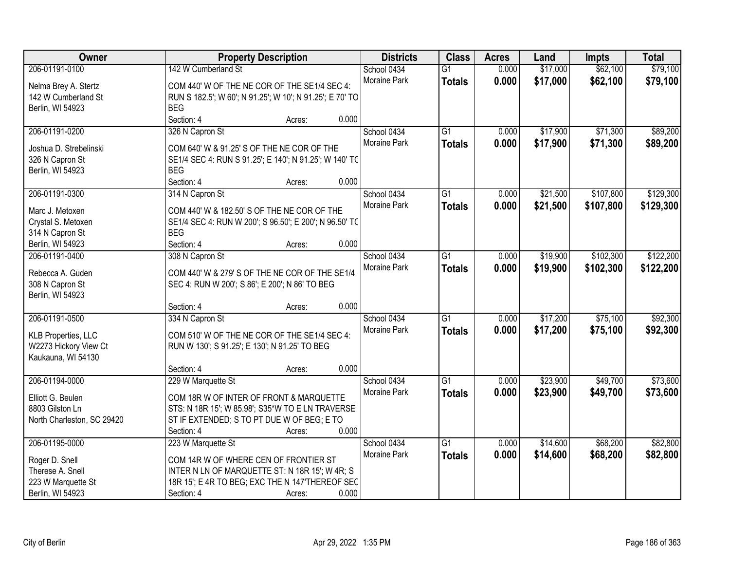| Owner                               |                                                | <b>Property Description</b>                              |              |                 | <b>Acres</b> | Land     | <b>Impts</b> | <b>Total</b> |
|-------------------------------------|------------------------------------------------|----------------------------------------------------------|--------------|-----------------|--------------|----------|--------------|--------------|
| 206-01191-0100                      | 142 W Cumberland St                            |                                                          | School 0434  | $\overline{G1}$ | 0.000        | \$17,000 | \$62,100     | \$79,100     |
| Nelma Brey A. Stertz                |                                                | COM 440' W OF THE NE COR OF THE SE1/4 SEC 4:             | Moraine Park | <b>Totals</b>   | 0.000        | \$17,000 | \$62,100     | \$79,100     |
| 142 W Cumberland St                 |                                                | RUN S 182.5'; W 60'; N 91.25'; W 10'; N 91.25'; E 70' TO |              |                 |              |          |              |              |
| Berlin, WI 54923                    | <b>BEG</b>                                     |                                                          |              |                 |              |          |              |              |
|                                     | Section: 4                                     | Acres:                                                   | 0.000        |                 |              |          |              |              |
| 206-01191-0200                      | 326 N Capron St                                |                                                          | School 0434  | $\overline{G1}$ | 0.000        | \$17,900 | \$71,300     | \$89,200     |
|                                     |                                                |                                                          | Moraine Park | <b>Totals</b>   | 0.000        | \$17,900 | \$71,300     | \$89,200     |
| Joshua D. Strebelinski              | COM 640' W & 91.25' S OF THE NE COR OF THE     |                                                          |              |                 |              |          |              |              |
| 326 N Capron St                     |                                                | SE1/4 SEC 4: RUN S 91.25'; E 140'; N 91.25'; W 140' TC   |              |                 |              |          |              |              |
| Berlin, WI 54923                    | <b>BEG</b>                                     |                                                          | 0.000        |                 |              |          |              |              |
|                                     | Section: 4                                     | Acres:                                                   |              |                 |              |          |              |              |
| 206-01191-0300                      | 314 N Capron St                                |                                                          | School 0434  | G1              | 0.000        | \$21,500 | \$107,800    | \$129,300    |
| Marc J. Metoxen                     |                                                | COM 440' W & 182.50' S OF THE NE COR OF THE              | Moraine Park | <b>Totals</b>   | 0.000        | \$21,500 | \$107,800    | \$129,300    |
| Crystal S. Metoxen                  |                                                | SE1/4 SEC 4: RUN W 200'; S 96.50'; E 200'; N 96.50' TC   |              |                 |              |          |              |              |
| 314 N Capron St                     | <b>BEG</b>                                     |                                                          |              |                 |              |          |              |              |
| Berlin, WI 54923                    | Section: 4                                     | Acres:                                                   | 0.000        |                 |              |          |              |              |
| 206-01191-0400                      | 308 N Capron St                                |                                                          | School 0434  | G1              | 0.000        | \$19,900 | \$102,300    | \$122,200    |
|                                     |                                                |                                                          | Moraine Park | <b>Totals</b>   | 0.000        | \$19,900 | \$102,300    | \$122,200    |
| Rebecca A. Guden                    |                                                | COM 440' W & 279' S OF THE NE COR OF THE SE1/4           |              |                 |              |          |              |              |
| 308 N Capron St<br>Berlin, WI 54923 | SEC 4: RUN W 200'; S 86'; E 200'; N 86' TO BEG |                                                          |              |                 |              |          |              |              |
|                                     | Section: 4                                     | Acres:                                                   | 0.000        |                 |              |          |              |              |
| 206-01191-0500                      | 334 N Capron St                                |                                                          | School 0434  | $\overline{G1}$ | 0.000        | \$17,200 | \$75,100     | \$92,300     |
|                                     |                                                |                                                          | Moraine Park |                 | 0.000        |          |              |              |
| KLB Properties, LLC                 |                                                | COM 510' W OF THE NE COR OF THE SE1/4 SEC 4:             |              | <b>Totals</b>   |              | \$17,200 | \$75,100     | \$92,300     |
| W2273 Hickory View Ct               | RUN W 130'; S 91.25'; E 130'; N 91.25' TO BEG  |                                                          |              |                 |              |          |              |              |
| Kaukauna, WI 54130                  |                                                |                                                          |              |                 |              |          |              |              |
|                                     | Section: 4                                     | Acres:                                                   | 0.000        |                 |              |          |              |              |
| 206-01194-0000                      | 229 W Marquette St                             |                                                          | School 0434  | $\overline{G1}$ | 0.000        | \$23,900 | \$49,700     | \$73,600     |
| Elliott G. Beulen                   |                                                | COM 18R W OF INTER OF FRONT & MARQUETTE                  | Moraine Park | <b>Totals</b>   | 0.000        | \$23,900 | \$49,700     | \$73,600     |
| 8803 Gilston Ln                     |                                                | STS: N 18R 15'; W 85.98'; S35*W TO E LN TRAVERSE         |              |                 |              |          |              |              |
| North Charleston, SC 29420          |                                                | ST IF EXTENDED; S TO PT DUE W OF BEG; E TO               |              |                 |              |          |              |              |
|                                     | Section: 4                                     | Acres:                                                   | 0.000        |                 |              |          |              |              |
| 206-01195-0000                      | 223 W Marquette St                             |                                                          | School 0434  | $\overline{G1}$ | 0.000        | \$14,600 | \$68,200     | \$82,800     |
|                                     |                                                |                                                          | Moraine Park | <b>Totals</b>   | 0.000        | \$14,600 | \$68,200     | \$82,800     |
| Roger D. Snell                      | COM 14R W OF WHERE CEN OF FRONTIER ST          |                                                          |              |                 |              |          |              |              |
| Therese A. Snell                    |                                                | INTER N LN OF MARQUETTE ST: N 18R 15'; W 4R; S           |              |                 |              |          |              |              |
| 223 W Marquette St                  |                                                | 18R 15'; E 4R TO BEG; EXC THE N 147'THEREOF SEC          |              |                 |              |          |              |              |
| Berlin, WI 54923                    | Section: 4                                     | Acres:                                                   | 0.000        |                 |              |          |              |              |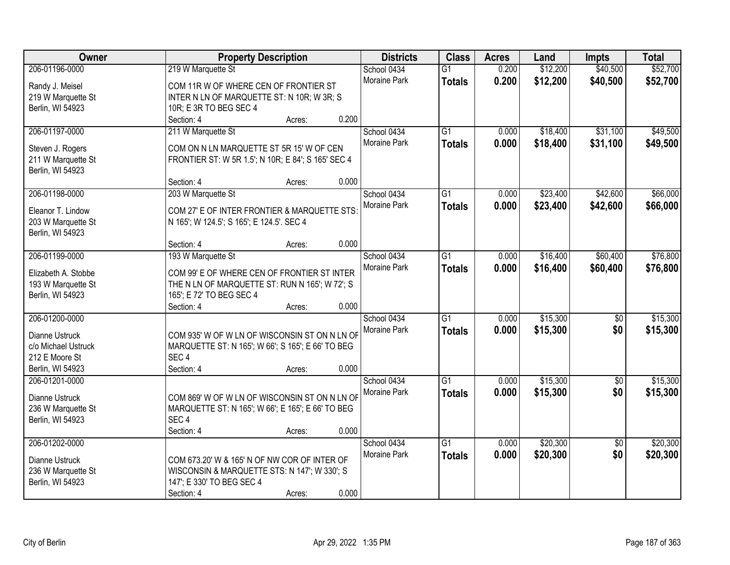| Owner               | <b>Property Description</b>                        | <b>Districts</b>    | <b>Class</b>    | <b>Acres</b> | Land     | <b>Impts</b>    | <b>Total</b> |
|---------------------|----------------------------------------------------|---------------------|-----------------|--------------|----------|-----------------|--------------|
| 206-01196-0000      | 219 W Marquette St                                 | School 0434         | $\overline{G1}$ | 0.200        | \$12,200 | \$40,500        | \$52,700     |
| Randy J. Meisel     | COM 11R W OF WHERE CEN OF FRONTIER ST              | Moraine Park        | <b>Totals</b>   | 0.200        | \$12,200 | \$40,500        | \$52,700     |
| 219 W Marquette St  | INTER N LN OF MARQUETTE ST: N 10R; W 3R; S         |                     |                 |              |          |                 |              |
| Berlin, WI 54923    | 10R; E 3R TO BEG SEC 4                             |                     |                 |              |          |                 |              |
|                     | 0.200<br>Section: 4<br>Acres:                      |                     |                 |              |          |                 |              |
| 206-01197-0000      | 211 W Marquette St                                 | School 0434         | $\overline{G1}$ | 0.000        | \$18,400 | \$31,100        | \$49,500     |
|                     |                                                    | Moraine Park        | <b>Totals</b>   | 0.000        | \$18,400 | \$31,100        | \$49,500     |
| Steven J. Rogers    | COM ON N LN MARQUETTE ST 5R 15' W OF CEN           |                     |                 |              |          |                 |              |
| 211 W Marquette St  | FRONTIER ST: W 5R 1.5'; N 10R; E 84'; S 165' SEC 4 |                     |                 |              |          |                 |              |
| Berlin, WI 54923    |                                                    |                     |                 |              |          |                 |              |
|                     | 0.000<br>Section: 4<br>Acres:                      |                     |                 |              |          |                 |              |
| 206-01198-0000      | 203 W Marquette St                                 | School 0434         | G1              | 0.000        | \$23,400 | \$42,600        | \$66,000     |
| Eleanor T. Lindow   | COM 27' E OF INTER FRONTIER & MARQUETTE STS:       | Moraine Park        | <b>Totals</b>   | 0.000        | \$23,400 | \$42,600        | \$66,000     |
| 203 W Marquette St  | N 165'; W 124.5'; S 165'; E 124.5'. SEC 4          |                     |                 |              |          |                 |              |
| Berlin, WI 54923    |                                                    |                     |                 |              |          |                 |              |
|                     | 0.000<br>Section: 4<br>Acres:                      |                     |                 |              |          |                 |              |
| 206-01199-0000      | 193 W Marquette St                                 | School 0434         | G1              | 0.000        | \$16,400 | \$60,400        | \$76,800     |
|                     |                                                    | Moraine Park        | <b>Totals</b>   | 0.000        | \$16,400 | \$60,400        | \$76,800     |
| Elizabeth A. Stobbe | COM 99' E OF WHERE CEN OF FRONTIER ST INTER        |                     |                 |              |          |                 |              |
| 193 W Marquette St  | THE N LN OF MARQUETTE ST: RUN N 165'; W 72'; S     |                     |                 |              |          |                 |              |
| Berlin, WI 54923    | 165'; E 72' TO BEG SEC 4                           |                     |                 |              |          |                 |              |
|                     | 0.000<br>Section: 4<br>Acres:                      |                     |                 |              |          |                 |              |
| 206-01200-0000      |                                                    | School 0434         | $\overline{G1}$ | 0.000        | \$15,300 | $\overline{50}$ | \$15,300     |
| Dianne Ustruck      | COM 935' W OF W LN OF WISCONSIN ST ON N LN OF      | Moraine Park        | <b>Totals</b>   | 0.000        | \$15,300 | \$0             | \$15,300     |
| c/o Michael Ustruck | MARQUETTE ST: N 165'; W 66'; S 165'; E 66' TO BEG  |                     |                 |              |          |                 |              |
| 212 E Moore St      | SEC <sub>4</sub>                                   |                     |                 |              |          |                 |              |
| Berlin, WI 54923    | Section: 4<br>0.000<br>Acres:                      |                     |                 |              |          |                 |              |
| 206-01201-0000      |                                                    | School 0434         | $\overline{G1}$ | 0.000        | \$15,300 | $\overline{60}$ | \$15,300     |
|                     |                                                    | Moraine Park        | <b>Totals</b>   | 0.000        | \$15,300 | \$0             | \$15,300     |
| Dianne Ustruck      | COM 869' W OF W LN OF WISCONSIN ST ON N LN OF      |                     |                 |              |          |                 |              |
| 236 W Marquette St  | MARQUETTE ST: N 165'; W 66'; E 165'; E 66' TO BEG  |                     |                 |              |          |                 |              |
| Berlin, WI 54923    | SEC <sub>4</sub>                                   |                     |                 |              |          |                 |              |
|                     | 0.000<br>Section: 4<br>Acres:                      |                     |                 |              |          |                 |              |
| 206-01202-0000      |                                                    | School 0434         | $\overline{G1}$ | 0.000        | \$20,300 | $\overline{50}$ | \$20,300     |
| Dianne Ustruck      | COM 673.20' W & 165' N OF NW COR OF INTER OF       | <b>Moraine Park</b> | <b>Totals</b>   | 0.000        | \$20,300 | \$0             | \$20,300     |
| 236 W Marquette St  | WISCONSIN & MARQUETTE STS: N 147'; W 330'; S       |                     |                 |              |          |                 |              |
| Berlin, WI 54923    | 147'; E 330' TO BEG SEC 4                          |                     |                 |              |          |                 |              |
|                     | 0.000<br>Section: 4<br>Acres:                      |                     |                 |              |          |                 |              |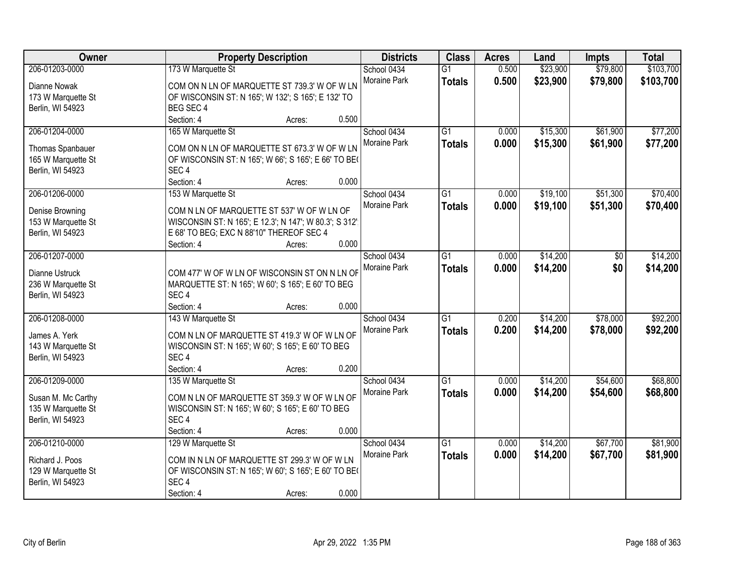| Owner              | <b>Property Description</b>                                           | <b>Districts</b>    | <b>Class</b>    | <b>Acres</b> | Land     | <b>Impts</b> | <b>Total</b> |
|--------------------|-----------------------------------------------------------------------|---------------------|-----------------|--------------|----------|--------------|--------------|
| 206-01203-0000     | 173 W Marquette St                                                    | School 0434         | $\overline{G1}$ | 0.500        | \$23,900 | \$79,800     | \$103,700    |
| Dianne Nowak       | COM ON N LN OF MARQUETTE ST 739.3' W OF W LN                          | Moraine Park        | <b>Totals</b>   | 0.500        | \$23,900 | \$79,800     | \$103,700    |
| 173 W Marquette St | OF WISCONSIN ST: N 165'; W 132'; S 165'; E 132' TO                    |                     |                 |              |          |              |              |
| Berlin, WI 54923   | BEG SEC 4                                                             |                     |                 |              |          |              |              |
|                    | Section: 4<br>0.500<br>Acres:                                         |                     |                 |              |          |              |              |
| 206-01204-0000     | 165 W Marquette St                                                    | School 0434         | $\overline{G1}$ | 0.000        | \$15,300 | \$61,900     | \$77,200     |
|                    |                                                                       | <b>Moraine Park</b> | <b>Totals</b>   | 0.000        | \$15,300 | \$61,900     | \$77,200     |
| Thomas Spanbauer   | COM ON N LN OF MARQUETTE ST 673.3' W OF W LN                          |                     |                 |              |          |              |              |
| 165 W Marquette St | OF WISCONSIN ST: N 165'; W 66'; S 165'; E 66' TO BE(                  |                     |                 |              |          |              |              |
| Berlin, WI 54923   | SEC <sub>4</sub>                                                      |                     |                 |              |          |              |              |
|                    | Section: 4<br>0.000<br>Acres:                                         |                     |                 |              |          |              |              |
| 206-01206-0000     | 153 W Marquette St                                                    | School 0434         | $\overline{G1}$ | 0.000        | \$19,100 | \$51,300     | \$70,400     |
| Denise Browning    | COM N LN OF MARQUETTE ST 537' W OF W LN OF                            | Moraine Park        | <b>Totals</b>   | 0.000        | \$19,100 | \$51,300     | \$70,400     |
| 153 W Marquette St | WISCONSIN ST: N 165'; E 12.3'; N 147'; W 80.3'; S 312'.               |                     |                 |              |          |              |              |
| Berlin, WI 54923   | E 68' TO BEG; EXC N 88'10" THEREOF SEC 4                              |                     |                 |              |          |              |              |
|                    | 0.000<br>Section: 4<br>Acres:                                         |                     |                 |              |          |              |              |
| 206-01207-0000     |                                                                       | School 0434         | $\overline{G1}$ | 0.000        | \$14,200 | \$0          | \$14,200     |
|                    |                                                                       | Moraine Park        | <b>Totals</b>   | 0.000        | \$14,200 | \$0          | \$14,200     |
| Dianne Ustruck     | COM 477' W OF W LN OF WISCONSIN ST ON N LN OF                         |                     |                 |              |          |              |              |
| 236 W Marquette St | MARQUETTE ST: N 165'; W 60'; S 165'; E 60' TO BEG                     |                     |                 |              |          |              |              |
| Berlin, WI 54923   | SEC <sub>4</sub>                                                      |                     |                 |              |          |              |              |
|                    | Section: 4<br>0.000<br>Acres:                                         |                     |                 |              |          |              |              |
| 206-01208-0000     | 143 W Marquette St                                                    | School 0434         | $\overline{G1}$ | 0.200        | \$14,200 | \$78,000     | \$92,200     |
| James A. Yerk      | COM N LN OF MARQUETTE ST 419.3' W OF W LN OF                          | Moraine Park        | <b>Totals</b>   | 0.200        | \$14,200 | \$78,000     | \$92,200     |
| 143 W Marquette St | WISCONSIN ST: N 165'; W 60'; S 165'; E 60' TO BEG                     |                     |                 |              |          |              |              |
| Berlin, WI 54923   | SEC <sub>4</sub>                                                      |                     |                 |              |          |              |              |
|                    | 0.200<br>Section: 4<br>Acres:                                         |                     |                 |              |          |              |              |
| 206-01209-0000     | 135 W Marquette St                                                    | School 0434         | $\overline{G1}$ | 0.000        | \$14,200 | \$54,600     | \$68,800     |
|                    | COM N LN OF MARQUETTE ST 359.3' W OF W LN OF                          | Moraine Park        | <b>Totals</b>   | 0.000        | \$14,200 | \$54,600     | \$68,800     |
| Susan M. Mc Carthy |                                                                       |                     |                 |              |          |              |              |
| 135 W Marquette St | WISCONSIN ST: N 165'; W 60'; S 165'; E 60' TO BEG<br>SEC <sub>4</sub> |                     |                 |              |          |              |              |
| Berlin, WI 54923   | 0.000<br>Section: 4                                                   |                     |                 |              |          |              |              |
| 206-01210-0000     | Acres:                                                                |                     | $\overline{G1}$ |              |          |              |              |
|                    | 129 W Marquette St                                                    | School 0434         |                 | 0.000        | \$14,200 | \$67,700     | \$81,900     |
| Richard J. Poos    | COM IN N LN OF MARQUETTE ST 299.3' W OF W LN                          | Moraine Park        | <b>Totals</b>   | 0.000        | \$14,200 | \$67,700     | \$81,900     |
| 129 W Marquette St | OF WISCONSIN ST: N 165'; W 60'; S 165'; E 60' TO BE                   |                     |                 |              |          |              |              |
| Berlin, WI 54923   | SEC <sub>4</sub>                                                      |                     |                 |              |          |              |              |
|                    | 0.000<br>Section: 4<br>Acres:                                         |                     |                 |              |          |              |              |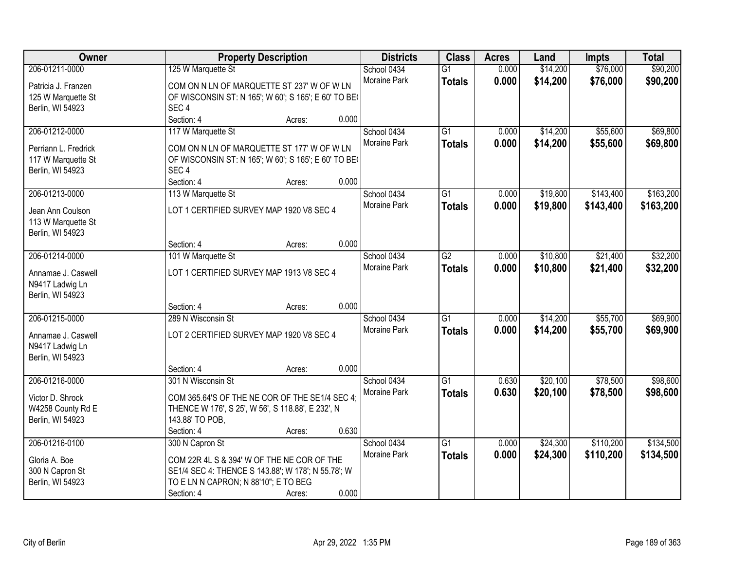| Owner                |                                                      | <b>Property Description</b> |                     |                 | <b>Acres</b> | Land     | <b>Impts</b> | <b>Total</b> |
|----------------------|------------------------------------------------------|-----------------------------|---------------------|-----------------|--------------|----------|--------------|--------------|
| 206-01211-0000       | 125 W Marquette St                                   |                             | School 0434         | $\overline{G1}$ | 0.000        | \$14,200 | \$76,000     | \$90,200     |
| Patricia J. Franzen  | COM ON N LN OF MARQUETTE ST 237' W OF W LN           |                             | Moraine Park        | <b>Totals</b>   | 0.000        | \$14,200 | \$76,000     | \$90,200     |
| 125 W Marquette St   | OF WISCONSIN ST: N 165'; W 60'; S 165'; E 60' TO BE( |                             |                     |                 |              |          |              |              |
| Berlin, WI 54923     | SEC <sub>4</sub>                                     |                             |                     |                 |              |          |              |              |
|                      | Section: 4                                           | Acres:                      | 0.000               |                 |              |          |              |              |
| 206-01212-0000       | 117 W Marquette St                                   |                             | School 0434         | $\overline{G1}$ | 0.000        | \$14,200 | \$55,600     | \$69,800     |
|                      |                                                      |                             | Moraine Park        | <b>Totals</b>   | 0.000        | \$14,200 | \$55,600     | \$69,800     |
| Perriann L. Fredrick | COM ON N LN OF MARQUETTE ST 177' W OF W LN           |                             |                     |                 |              |          |              |              |
| 117 W Marquette St   | OF WISCONSIN ST: N 165'; W 60'; S 165'; E 60' TO BE( |                             |                     |                 |              |          |              |              |
| Berlin, WI 54923     | SEC <sub>4</sub>                                     |                             |                     |                 |              |          |              |              |
|                      | Section: 4                                           | Acres:                      | 0.000               |                 |              |          |              |              |
| 206-01213-0000       | 113 W Marquette St                                   |                             | School 0434         | G1              | 0.000        | \$19,800 | \$143,400    | \$163,200    |
| Jean Ann Coulson     | LOT 1 CERTIFIED SURVEY MAP 1920 V8 SEC 4             |                             | Moraine Park        | <b>Totals</b>   | 0.000        | \$19,800 | \$143,400    | \$163,200    |
| 113 W Marquette St   |                                                      |                             |                     |                 |              |          |              |              |
| Berlin, WI 54923     |                                                      |                             |                     |                 |              |          |              |              |
|                      | Section: 4                                           | Acres:                      | 0.000               |                 |              |          |              |              |
| 206-01214-0000       | 101 W Marquette St                                   |                             | School 0434         | $\overline{G2}$ | 0.000        | \$10,800 | \$21,400     | \$32,200     |
|                      |                                                      |                             | <b>Moraine Park</b> | <b>Totals</b>   | 0.000        | \$10,800 | \$21,400     | \$32,200     |
| Annamae J. Caswell   | LOT 1 CERTIFIED SURVEY MAP 1913 V8 SEC 4             |                             |                     |                 |              |          |              |              |
| N9417 Ladwig Ln      |                                                      |                             |                     |                 |              |          |              |              |
| Berlin, WI 54923     |                                                      |                             |                     |                 |              |          |              |              |
|                      | Section: 4                                           | Acres:                      | 0.000               |                 |              |          |              |              |
| 206-01215-0000       | 289 N Wisconsin St                                   |                             | School 0434         | $\overline{G1}$ | 0.000        | \$14,200 | \$55,700     | \$69,900     |
| Annamae J. Caswell   | LOT 2 CERTIFIED SURVEY MAP 1920 V8 SEC 4             |                             | <b>Moraine Park</b> | <b>Totals</b>   | 0.000        | \$14,200 | \$55,700     | \$69,900     |
| N9417 Ladwig Ln      |                                                      |                             |                     |                 |              |          |              |              |
| Berlin, WI 54923     |                                                      |                             |                     |                 |              |          |              |              |
|                      | Section: 4                                           | Acres:                      | 0.000               |                 |              |          |              |              |
| 206-01216-0000       | 301 N Wisconsin St                                   |                             | School 0434         | $\overline{G1}$ | 0.630        | \$20,100 | \$78,500     | \$98,600     |
| Victor D. Shrock     | COM 365.64'S OF THE NE COR OF THE SE1/4 SEC 4;       |                             | Moraine Park        | <b>Totals</b>   | 0.630        | \$20,100 | \$78,500     | \$98,600     |
| W4258 County Rd E    | THENCE W 176', S 25', W 56', S 118.88', E 232', N    |                             |                     |                 |              |          |              |              |
| Berlin, WI 54923     | 143.88' TO POB,                                      |                             |                     |                 |              |          |              |              |
|                      | Section: 4                                           | Acres:                      | 0.630               |                 |              |          |              |              |
| 206-01216-0100       | 300 N Capron St                                      |                             | School 0434         | $\overline{G1}$ | 0.000        | \$24,300 | \$110,200    | \$134,500    |
|                      |                                                      |                             | <b>Moraine Park</b> | <b>Totals</b>   | 0.000        | \$24,300 | \$110,200    | \$134,500    |
| Gloria A. Boe        | COM 22R 4L S & 394' W OF THE NE COR OF THE           |                             |                     |                 |              |          |              |              |
| 300 N Capron St      | SE1/4 SEC 4: THENCE S 143.88'; W 178'; N 55.78'; W   |                             |                     |                 |              |          |              |              |
| Berlin, WI 54923     | TO E LN N CAPRON; N 88'10"; E TO BEG                 |                             |                     |                 |              |          |              |              |
|                      | Section: 4                                           | Acres:                      | 0.000               |                 |              |          |              |              |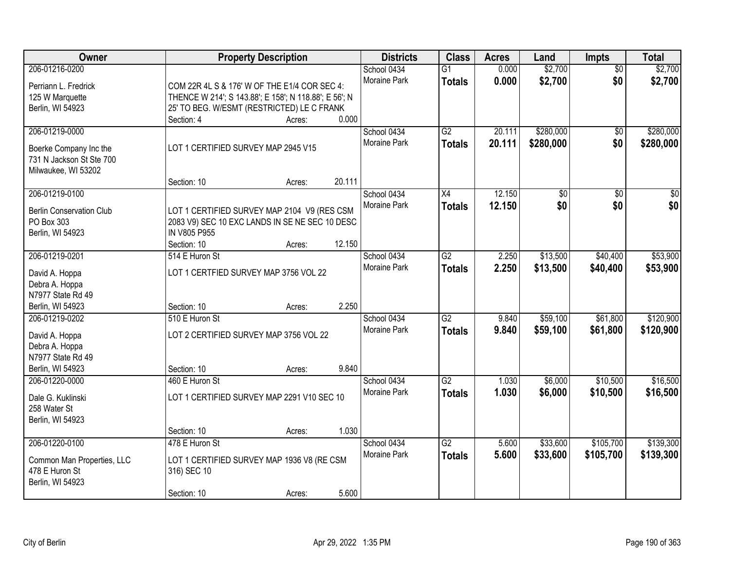| Owner                           |                                                                                               | <b>Property Description</b> |        | <b>Districts</b>                   | <b>Class</b>    | <b>Acres</b> | Land      | Impts           | <b>Total</b>    |
|---------------------------------|-----------------------------------------------------------------------------------------------|-----------------------------|--------|------------------------------------|-----------------|--------------|-----------|-----------------|-----------------|
| 206-01216-0200                  |                                                                                               |                             |        | School 0434                        | $\overline{G1}$ | 0.000        | \$2,700   | $\overline{50}$ | \$2,700         |
| Perriann L. Fredrick            | COM 22R 4L S & 176' W OF THE E1/4 COR SEC 4:                                                  |                             |        | Moraine Park                       | <b>Totals</b>   | 0.000        | \$2,700   | \$0             | \$2,700         |
| 125 W Marquette                 | THENCE W 214'; S 143.88'; E 158'; N 118.88'; E 56'; N                                         |                             |        |                                    |                 |              |           |                 |                 |
| Berlin, WI 54923                | 25' TO BEG. W/ESMT (RESTRICTED) LE C FRANK                                                    |                             |        |                                    |                 |              |           |                 |                 |
|                                 | Section: 4                                                                                    | Acres:                      | 0.000  |                                    |                 |              |           |                 |                 |
| 206-01219-0000                  |                                                                                               |                             |        | School 0434                        | G2              | 20.111       | \$280,000 | \$0             | \$280,000       |
| Boerke Company Inc the          | LOT 1 CERTIFIED SURVEY MAP 2945 V15                                                           |                             |        | Moraine Park                       | <b>Totals</b>   | 20.111       | \$280,000 | \$0             | \$280,000       |
| 731 N Jackson St Ste 700        |                                                                                               |                             |        |                                    |                 |              |           |                 |                 |
| Milwaukee, WI 53202             |                                                                                               |                             |        |                                    |                 |              |           |                 |                 |
|                                 | Section: 10                                                                                   | Acres:                      | 20.111 |                                    |                 |              |           |                 |                 |
| 206-01219-0100                  |                                                                                               |                             |        | School 0434                        | X4              | 12.150       | \$0       | $\overline{50}$ | $\overline{50}$ |
| <b>Berlin Conservation Club</b> |                                                                                               |                             |        | Moraine Park                       | <b>Totals</b>   | 12.150       | \$0       | \$0             | \$0             |
| PO Box 303                      | LOT 1 CERTIFIED SURVEY MAP 2104 V9 (RES CSM<br>2083 V9) SEC 10 EXC LANDS IN SE NE SEC 10 DESC |                             |        |                                    |                 |              |           |                 |                 |
| Berlin, WI 54923                | IN V805 P955                                                                                  |                             |        |                                    |                 |              |           |                 |                 |
|                                 | Section: 10                                                                                   | Acres:                      | 12.150 |                                    |                 |              |           |                 |                 |
| 206-01219-0201                  | 514 E Huron St                                                                                |                             |        | School 0434                        | G2              | 2.250        | \$13,500  | \$40,400        | \$53,900        |
|                                 |                                                                                               |                             |        | Moraine Park                       | <b>Totals</b>   | 2.250        | \$13,500  | \$40,400        | \$53,900        |
| David A. Hoppa                  | LOT 1 CERTFIED SURVEY MAP 3756 VOL 22                                                         |                             |        |                                    |                 |              |           |                 |                 |
| Debra A. Hoppa                  |                                                                                               |                             |        |                                    |                 |              |           |                 |                 |
| N7977 State Rd 49               |                                                                                               |                             | 2.250  |                                    |                 |              |           |                 |                 |
| Berlin, WI 54923                | Section: 10<br>510 E Huron St                                                                 | Acres:                      |        |                                    | $\overline{G2}$ |              |           | \$61,800        | \$120,900       |
| 206-01219-0202                  |                                                                                               |                             |        | School 0434<br><b>Moraine Park</b> |                 | 9.840        | \$59,100  |                 |                 |
| David A. Hoppa                  | LOT 2 CERTIFIED SURVEY MAP 3756 VOL 22                                                        |                             |        |                                    | <b>Totals</b>   | 9.840        | \$59,100  | \$61,800        | \$120,900       |
| Debra A. Hoppa                  |                                                                                               |                             |        |                                    |                 |              |           |                 |                 |
| N7977 State Rd 49               |                                                                                               |                             |        |                                    |                 |              |           |                 |                 |
| Berlin, WI 54923                | Section: 10                                                                                   | Acres:                      | 9.840  |                                    |                 |              |           |                 |                 |
| 206-01220-0000                  | 460 E Huron St                                                                                |                             |        | School 0434                        | G2              | 1.030        | \$6,000   | \$10,500        | \$16,500        |
| Dale G. Kuklinski               | LOT 1 CERTIFIED SURVEY MAP 2291 V10 SEC 10                                                    |                             |        | <b>Moraine Park</b>                | <b>Totals</b>   | 1.030        | \$6,000   | \$10,500        | \$16,500        |
| 258 Water St                    |                                                                                               |                             |        |                                    |                 |              |           |                 |                 |
| Berlin, WI 54923                |                                                                                               |                             |        |                                    |                 |              |           |                 |                 |
|                                 | Section: 10                                                                                   | Acres:                      | 1.030  |                                    |                 |              |           |                 |                 |
| 206-01220-0100                  | 478 E Huron St                                                                                |                             |        | School 0434                        | G2              | 5.600        | \$33,600  | \$105,700       | \$139,300       |
| Common Man Properties, LLC      | LOT 1 CERTIFIED SURVEY MAP 1936 V8 (RE CSM                                                    |                             |        | Moraine Park                       | <b>Totals</b>   | 5.600        | \$33,600  | \$105,700       | \$139,300       |
| 478 E Huron St                  | 316) SEC 10                                                                                   |                             |        |                                    |                 |              |           |                 |                 |
| Berlin, WI 54923                |                                                                                               |                             |        |                                    |                 |              |           |                 |                 |
|                                 | Section: 10                                                                                   | Acres:                      | 5.600  |                                    |                 |              |           |                 |                 |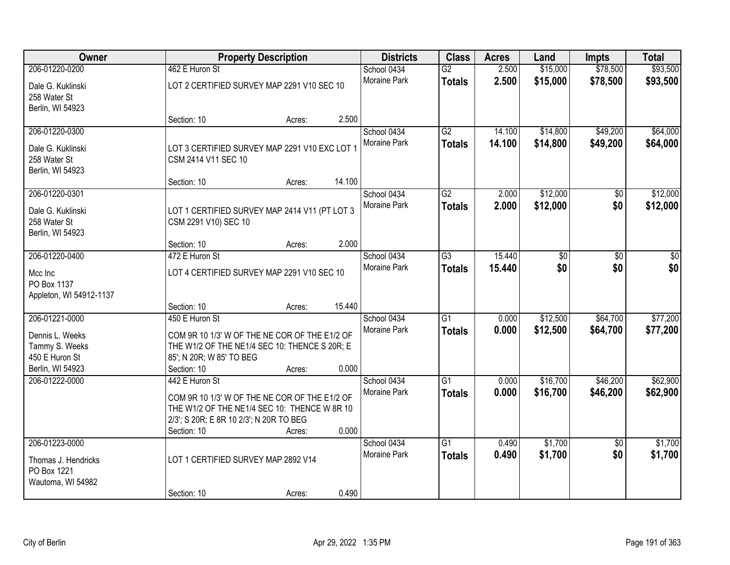| Owner                                  |                                                                                                | <b>Property Description</b> |        |                     | <b>Class</b>    | <b>Acres</b> | Land     | Impts           | <b>Total</b> |
|----------------------------------------|------------------------------------------------------------------------------------------------|-----------------------------|--------|---------------------|-----------------|--------------|----------|-----------------|--------------|
| 206-01220-0200                         | 462 E Huron St                                                                                 |                             |        | School 0434         | $\overline{G2}$ | 2.500        | \$15,000 | \$78,500        | \$93,500     |
| Dale G. Kuklinski                      | LOT 2 CERTIFIED SURVEY MAP 2291 V10 SEC 10                                                     |                             |        | Moraine Park        | <b>Totals</b>   | 2.500        | \$15,000 | \$78,500        | \$93,500     |
| 258 Water St                           |                                                                                                |                             |        |                     |                 |              |          |                 |              |
| Berlin, WI 54923                       |                                                                                                |                             |        |                     |                 |              |          |                 |              |
|                                        | Section: 10                                                                                    | Acres:                      | 2.500  |                     |                 |              |          |                 |              |
| 206-01220-0300                         |                                                                                                |                             |        | School 0434         | $\overline{G2}$ | 14.100       | \$14,800 | \$49,200        | \$64,000     |
| Dale G. Kuklinski                      | LOT 3 CERTIFIED SURVEY MAP 2291 V10 EXC LOT 1                                                  |                             |        | Moraine Park        | <b>Totals</b>   | 14.100       | \$14,800 | \$49,200        | \$64,000     |
| 258 Water St                           | CSM 2414 V11 SEC 10                                                                            |                             |        |                     |                 |              |          |                 |              |
| Berlin, WI 54923                       |                                                                                                |                             |        |                     |                 |              |          |                 |              |
| 206-01220-0301                         | Section: 10                                                                                    | Acres:                      | 14.100 | School 0434         | $\overline{G2}$ | 2.000        | \$12,000 |                 | \$12,000     |
|                                        |                                                                                                |                             |        | Moraine Park        |                 | 2.000        | \$12,000 | \$0<br>\$0      | \$12,000     |
| Dale G. Kuklinski                      | LOT 1 CERTIFIED SURVEY MAP 2414 V11 (PT LOT 3                                                  |                             |        |                     | <b>Totals</b>   |              |          |                 |              |
| 258 Water St                           | CSM 2291 V10) SEC 10                                                                           |                             |        |                     |                 |              |          |                 |              |
| Berlin, WI 54923                       | Section: 10                                                                                    | Acres:                      | 2.000  |                     |                 |              |          |                 |              |
| 206-01220-0400                         | 472 E Huron St                                                                                 |                             |        | School 0434         | $\overline{G3}$ | 15.440       | \$0      | $\overline{30}$ | \$0          |
|                                        |                                                                                                |                             |        | Moraine Park        | <b>Totals</b>   | 15.440       | \$0      | \$0             | \$0          |
| Mcc Inc                                | LOT 4 CERTIFIED SURVEY MAP 2291 V10 SEC 10                                                     |                             |        |                     |                 |              |          |                 |              |
| PO Box 1137<br>Appleton, WI 54912-1137 |                                                                                                |                             |        |                     |                 |              |          |                 |              |
|                                        | Section: 10                                                                                    | Acres:                      | 15.440 |                     |                 |              |          |                 |              |
| 206-01221-0000                         | 450 E Huron St                                                                                 |                             |        | School 0434         | $\overline{G1}$ | 0.000        | \$12,500 | \$64,700        | \$77,200     |
|                                        |                                                                                                |                             |        | Moraine Park        | <b>Totals</b>   | 0.000        | \$12,500 | \$64,700        | \$77,200     |
| Dennis L. Weeks<br>Tammy S. Weeks      | COM 9R 10 1/3' W OF THE NE COR OF THE E1/2 OF<br>THE W1/2 OF THE NE1/4 SEC 10: THENCE S 20R; E |                             |        |                     |                 |              |          |                 |              |
| 450 E Huron St                         | 85'; N 20R; W 85' TO BEG                                                                       |                             |        |                     |                 |              |          |                 |              |
| Berlin, WI 54923                       | Section: 10                                                                                    | Acres:                      | 0.000  |                     |                 |              |          |                 |              |
| 206-01222-0000                         | 442 E Huron St                                                                                 |                             |        | School 0434         | G1              | 0.000        | \$16,700 | \$46,200        | \$62,900     |
|                                        | COM 9R 10 1/3' W OF THE NE COR OF THE E1/2 OF                                                  |                             |        | Moraine Park        | <b>Totals</b>   | 0.000        | \$16,700 | \$46,200        | \$62,900     |
|                                        | THE W1/2 OF THE NE1/4 SEC 10: THENCE W 8R 10                                                   |                             |        |                     |                 |              |          |                 |              |
|                                        | 2/3'; S 20R; E 8R 10 2/3'; N 20R TO BEG                                                        |                             |        |                     |                 |              |          |                 |              |
|                                        | Section: 10                                                                                    | Acres:                      | 0.000  |                     |                 |              |          |                 |              |
| 206-01223-0000                         |                                                                                                |                             |        | School 0434         | $\overline{G1}$ | 0.490        | \$1,700  | $\overline{50}$ | \$1,700      |
| Thomas J. Hendricks                    | LOT 1 CERTIFIED SURVEY MAP 2892 V14                                                            |                             |        | <b>Moraine Park</b> | <b>Totals</b>   | 0.490        | \$1,700  | \$0             | \$1,700      |
| PO Box 1221                            |                                                                                                |                             |        |                     |                 |              |          |                 |              |
| Wautoma, WI 54982                      |                                                                                                |                             |        |                     |                 |              |          |                 |              |
|                                        | Section: 10                                                                                    | Acres:                      | 0.490  |                     |                 |              |          |                 |              |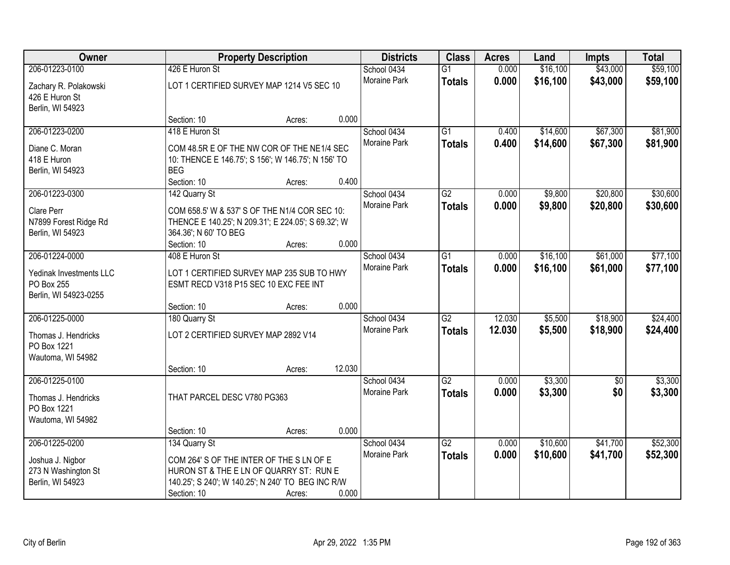| \$43,000<br>206-01223-0100<br>426 E Huron St<br>0.000<br>\$16,100<br>School 0434<br>$\overline{G1}$<br>0.000<br>Moraine Park<br>\$16,100<br>\$43,000<br><b>Totals</b><br>LOT 1 CERTIFIED SURVEY MAP 1214 V5 SEC 10<br>Zachary R. Polakowski<br>426 E Huron St<br>Berlin, WI 54923<br>0.000<br>Section: 10<br>Acres:<br>206-01223-0200<br>418 E Huron St<br>$\overline{G1}$<br>\$14,600<br>\$67,300<br>School 0434<br>0.400<br><b>Moraine Park</b><br>0.400<br>\$14,600<br>\$67,300<br><b>Totals</b><br>Diane C. Moran<br>COM 48.5R E OF THE NW COR OF THE NE1/4 SEC<br>418 E Huron<br>10: THENCE E 146.75'; S 156'; W 146.75'; N 156' TO<br>Berlin, WI 54923<br><b>BEG</b><br>Section: 10<br>0.400<br>Acres:<br>$\overline{G2}$<br>\$9,800<br>\$20,800<br>206-01223-0300<br>142 Quarry St<br>School 0434<br>0.000<br>Moraine Park<br>0.000<br>\$9,800<br>\$20,800<br><b>Totals</b><br>Clare Perr<br>COM 658.5' W & 537' S OF THE N1/4 COR SEC 10:<br>N7899 Forest Ridge Rd<br>THENCE E 140.25'; N 209.31'; E 224.05'; S 69.32'; W<br>364.36'; N 60' TO BEG<br>Berlin, WI 54923<br>0.000<br>Section: 10<br>Acres:<br>206-01224-0000<br>\$16,100<br>\$61,000<br>408 E Huron St<br>School 0434<br>G1<br>0.000<br>Moraine Park<br>0.000<br>\$16,100<br>\$61,000<br><b>Totals</b><br>LOT 1 CERTIFIED SURVEY MAP 235 SUB TO HWY<br>Yedinak Investments LLC<br>PO Box 255<br>ESMT RECD V318 P15 SEC 10 EXC FEE INT<br>Berlin, WI 54923-0255<br>0.000 | Owner | <b>Property Description</b> |        | <b>Districts</b> | <b>Class</b> | <b>Acres</b> | Land | <b>Impts</b> | <b>Total</b> |
|-----------------------------------------------------------------------------------------------------------------------------------------------------------------------------------------------------------------------------------------------------------------------------------------------------------------------------------------------------------------------------------------------------------------------------------------------------------------------------------------------------------------------------------------------------------------------------------------------------------------------------------------------------------------------------------------------------------------------------------------------------------------------------------------------------------------------------------------------------------------------------------------------------------------------------------------------------------------------------------------------------------------------------------------------------------------------------------------------------------------------------------------------------------------------------------------------------------------------------------------------------------------------------------------------------------------------------------------------------------------------------------------------------------------------------------------------|-------|-----------------------------|--------|------------------|--------------|--------------|------|--------------|--------------|
|                                                                                                                                                                                                                                                                                                                                                                                                                                                                                                                                                                                                                                                                                                                                                                                                                                                                                                                                                                                                                                                                                                                                                                                                                                                                                                                                                                                                                                               |       |                             |        |                  |              |              |      |              | \$59,100     |
|                                                                                                                                                                                                                                                                                                                                                                                                                                                                                                                                                                                                                                                                                                                                                                                                                                                                                                                                                                                                                                                                                                                                                                                                                                                                                                                                                                                                                                               |       |                             |        |                  |              |              |      |              | \$59,100     |
|                                                                                                                                                                                                                                                                                                                                                                                                                                                                                                                                                                                                                                                                                                                                                                                                                                                                                                                                                                                                                                                                                                                                                                                                                                                                                                                                                                                                                                               |       |                             |        |                  |              |              |      |              |              |
| \$81,900<br>\$81,900<br>\$30,600<br>\$30,600<br>\$77,100<br>\$77,100                                                                                                                                                                                                                                                                                                                                                                                                                                                                                                                                                                                                                                                                                                                                                                                                                                                                                                                                                                                                                                                                                                                                                                                                                                                                                                                                                                          |       |                             |        |                  |              |              |      |              |              |
|                                                                                                                                                                                                                                                                                                                                                                                                                                                                                                                                                                                                                                                                                                                                                                                                                                                                                                                                                                                                                                                                                                                                                                                                                                                                                                                                                                                                                                               |       |                             |        |                  |              |              |      |              |              |
|                                                                                                                                                                                                                                                                                                                                                                                                                                                                                                                                                                                                                                                                                                                                                                                                                                                                                                                                                                                                                                                                                                                                                                                                                                                                                                                                                                                                                                               |       |                             |        |                  |              |              |      |              |              |
|                                                                                                                                                                                                                                                                                                                                                                                                                                                                                                                                                                                                                                                                                                                                                                                                                                                                                                                                                                                                                                                                                                                                                                                                                                                                                                                                                                                                                                               |       |                             |        |                  |              |              |      |              |              |
|                                                                                                                                                                                                                                                                                                                                                                                                                                                                                                                                                                                                                                                                                                                                                                                                                                                                                                                                                                                                                                                                                                                                                                                                                                                                                                                                                                                                                                               |       |                             |        |                  |              |              |      |              |              |
|                                                                                                                                                                                                                                                                                                                                                                                                                                                                                                                                                                                                                                                                                                                                                                                                                                                                                                                                                                                                                                                                                                                                                                                                                                                                                                                                                                                                                                               |       |                             |        |                  |              |              |      |              |              |
|                                                                                                                                                                                                                                                                                                                                                                                                                                                                                                                                                                                                                                                                                                                                                                                                                                                                                                                                                                                                                                                                                                                                                                                                                                                                                                                                                                                                                                               |       |                             |        |                  |              |              |      |              |              |
|                                                                                                                                                                                                                                                                                                                                                                                                                                                                                                                                                                                                                                                                                                                                                                                                                                                                                                                                                                                                                                                                                                                                                                                                                                                                                                                                                                                                                                               |       |                             |        |                  |              |              |      |              |              |
|                                                                                                                                                                                                                                                                                                                                                                                                                                                                                                                                                                                                                                                                                                                                                                                                                                                                                                                                                                                                                                                                                                                                                                                                                                                                                                                                                                                                                                               |       |                             |        |                  |              |              |      |              |              |
|                                                                                                                                                                                                                                                                                                                                                                                                                                                                                                                                                                                                                                                                                                                                                                                                                                                                                                                                                                                                                                                                                                                                                                                                                                                                                                                                                                                                                                               |       |                             |        |                  |              |              |      |              |              |
|                                                                                                                                                                                                                                                                                                                                                                                                                                                                                                                                                                                                                                                                                                                                                                                                                                                                                                                                                                                                                                                                                                                                                                                                                                                                                                                                                                                                                                               |       |                             |        |                  |              |              |      |              |              |
|                                                                                                                                                                                                                                                                                                                                                                                                                                                                                                                                                                                                                                                                                                                                                                                                                                                                                                                                                                                                                                                                                                                                                                                                                                                                                                                                                                                                                                               |       |                             |        |                  |              |              |      |              |              |
|                                                                                                                                                                                                                                                                                                                                                                                                                                                                                                                                                                                                                                                                                                                                                                                                                                                                                                                                                                                                                                                                                                                                                                                                                                                                                                                                                                                                                                               |       |                             |        |                  |              |              |      |              |              |
|                                                                                                                                                                                                                                                                                                                                                                                                                                                                                                                                                                                                                                                                                                                                                                                                                                                                                                                                                                                                                                                                                                                                                                                                                                                                                                                                                                                                                                               |       |                             |        |                  |              |              |      |              |              |
|                                                                                                                                                                                                                                                                                                                                                                                                                                                                                                                                                                                                                                                                                                                                                                                                                                                                                                                                                                                                                                                                                                                                                                                                                                                                                                                                                                                                                                               |       |                             |        |                  |              |              |      |              |              |
|                                                                                                                                                                                                                                                                                                                                                                                                                                                                                                                                                                                                                                                                                                                                                                                                                                                                                                                                                                                                                                                                                                                                                                                                                                                                                                                                                                                                                                               |       |                             |        |                  |              |              |      |              |              |
|                                                                                                                                                                                                                                                                                                                                                                                                                                                                                                                                                                                                                                                                                                                                                                                                                                                                                                                                                                                                                                                                                                                                                                                                                                                                                                                                                                                                                                               |       | Section: 10                 | Acres: |                  |              |              |      |              |              |
| 12.030<br>\$18,900<br>\$24,400<br>206-01225-0000<br>180 Quarry St<br>$\overline{G2}$<br>\$5,500<br>School 0434                                                                                                                                                                                                                                                                                                                                                                                                                                                                                                                                                                                                                                                                                                                                                                                                                                                                                                                                                                                                                                                                                                                                                                                                                                                                                                                                |       |                             |        |                  |              |              |      |              |              |
| 12.030<br>Moraine Park<br>\$5,500<br>\$18,900<br>\$24,400<br><b>Totals</b><br>LOT 2 CERTIFIED SURVEY MAP 2892 V14<br>Thomas J. Hendricks                                                                                                                                                                                                                                                                                                                                                                                                                                                                                                                                                                                                                                                                                                                                                                                                                                                                                                                                                                                                                                                                                                                                                                                                                                                                                                      |       |                             |        |                  |              |              |      |              |              |
| PO Box 1221                                                                                                                                                                                                                                                                                                                                                                                                                                                                                                                                                                                                                                                                                                                                                                                                                                                                                                                                                                                                                                                                                                                                                                                                                                                                                                                                                                                                                                   |       |                             |        |                  |              |              |      |              |              |
| Wautoma, WI 54982                                                                                                                                                                                                                                                                                                                                                                                                                                                                                                                                                                                                                                                                                                                                                                                                                                                                                                                                                                                                                                                                                                                                                                                                                                                                                                                                                                                                                             |       |                             |        |                  |              |              |      |              |              |
| 12.030<br>Section: 10<br>Acres:                                                                                                                                                                                                                                                                                                                                                                                                                                                                                                                                                                                                                                                                                                                                                                                                                                                                                                                                                                                                                                                                                                                                                                                                                                                                                                                                                                                                               |       |                             |        |                  |              |              |      |              |              |
| 206-01225-0100<br>$\overline{G2}$<br>\$3,300<br>\$3,300<br>School 0434<br>0.000<br>$\overline{50}$                                                                                                                                                                                                                                                                                                                                                                                                                                                                                                                                                                                                                                                                                                                                                                                                                                                                                                                                                                                                                                                                                                                                                                                                                                                                                                                                            |       |                             |        |                  |              |              |      |              |              |
| Moraine Park<br>0.000<br>\$3,300<br>\$0<br>\$3,300<br><b>Totals</b><br>THAT PARCEL DESC V780 PG363                                                                                                                                                                                                                                                                                                                                                                                                                                                                                                                                                                                                                                                                                                                                                                                                                                                                                                                                                                                                                                                                                                                                                                                                                                                                                                                                            |       |                             |        |                  |              |              |      |              |              |
| Thomas J. Hendricks<br>PO Box 1221                                                                                                                                                                                                                                                                                                                                                                                                                                                                                                                                                                                                                                                                                                                                                                                                                                                                                                                                                                                                                                                                                                                                                                                                                                                                                                                                                                                                            |       |                             |        |                  |              |              |      |              |              |
| Wautoma, WI 54982                                                                                                                                                                                                                                                                                                                                                                                                                                                                                                                                                                                                                                                                                                                                                                                                                                                                                                                                                                                                                                                                                                                                                                                                                                                                                                                                                                                                                             |       |                             |        |                  |              |              |      |              |              |
| 0.000<br>Section: 10<br>Acres:                                                                                                                                                                                                                                                                                                                                                                                                                                                                                                                                                                                                                                                                                                                                                                                                                                                                                                                                                                                                                                                                                                                                                                                                                                                                                                                                                                                                                |       |                             |        |                  |              |              |      |              |              |
| 206-01225-0200<br>$\overline{G2}$<br>\$10,600<br>\$41,700<br>\$52,300<br>134 Quarry St<br>School 0434<br>0.000                                                                                                                                                                                                                                                                                                                                                                                                                                                                                                                                                                                                                                                                                                                                                                                                                                                                                                                                                                                                                                                                                                                                                                                                                                                                                                                                |       |                             |        |                  |              |              |      |              |              |
| <b>Moraine Park</b><br>0.000<br>\$10,600<br>\$52,300<br>\$41,700<br><b>Totals</b>                                                                                                                                                                                                                                                                                                                                                                                                                                                                                                                                                                                                                                                                                                                                                                                                                                                                                                                                                                                                                                                                                                                                                                                                                                                                                                                                                             |       |                             |        |                  |              |              |      |              |              |
| Joshua J. Nigbor<br>COM 264' S OF THE INTER OF THE S LN OF E                                                                                                                                                                                                                                                                                                                                                                                                                                                                                                                                                                                                                                                                                                                                                                                                                                                                                                                                                                                                                                                                                                                                                                                                                                                                                                                                                                                  |       |                             |        |                  |              |              |      |              |              |
| 273 N Washington St<br>HURON ST & THE E LN OF QUARRY ST: RUN E<br>Berlin, WI 54923<br>140.25'; S 240'; W 140.25'; N 240' TO BEG INC R/W                                                                                                                                                                                                                                                                                                                                                                                                                                                                                                                                                                                                                                                                                                                                                                                                                                                                                                                                                                                                                                                                                                                                                                                                                                                                                                       |       |                             |        |                  |              |              |      |              |              |
| 0.000<br>Section: 10<br>Acres:                                                                                                                                                                                                                                                                                                                                                                                                                                                                                                                                                                                                                                                                                                                                                                                                                                                                                                                                                                                                                                                                                                                                                                                                                                                                                                                                                                                                                |       |                             |        |                  |              |              |      |              |              |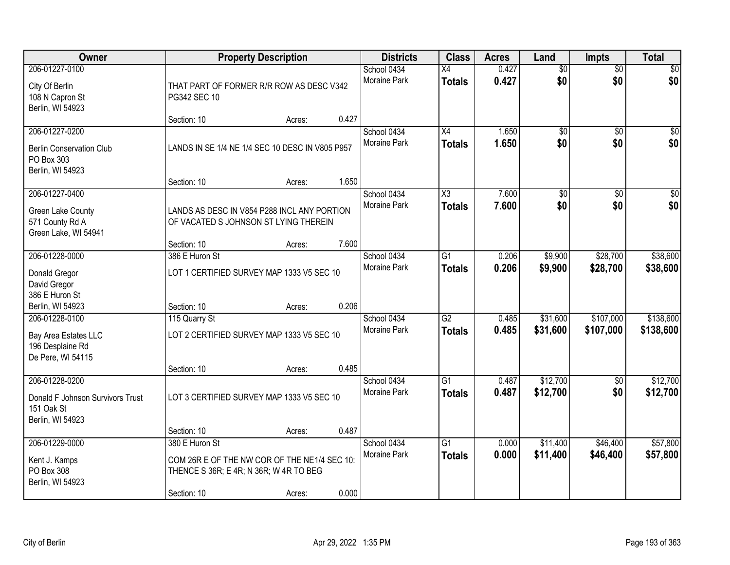| Owner                                                                                |                                                                                                                         | <b>Property Description</b> |       | <b>Districts</b>            | <b>Class</b>                     | <b>Acres</b>   | Land                   | <b>Impts</b>           | <b>Total</b>           |
|--------------------------------------------------------------------------------------|-------------------------------------------------------------------------------------------------------------------------|-----------------------------|-------|-----------------------------|----------------------------------|----------------|------------------------|------------------------|------------------------|
| 206-01227-0100<br>City Of Berlin<br>108 N Capron St<br>Berlin, WI 54923              | THAT PART OF FORMER R/R ROW AS DESC V342<br>PG342 SEC 10                                                                |                             |       | School 0434<br>Moraine Park | $\overline{X4}$<br><b>Totals</b> | 0.427<br>0.427 | $\overline{50}$<br>\$0 | $\overline{50}$<br>\$0 | $\sqrt{50}$<br>\$0     |
|                                                                                      | Section: 10                                                                                                             | Acres:                      | 0.427 |                             |                                  |                |                        |                        |                        |
| 206-01227-0200<br><b>Berlin Conservation Club</b><br>PO Box 303<br>Berlin, WI 54923  | LANDS IN SE 1/4 NE 1/4 SEC 10 DESC IN V805 P957<br>Section: 10                                                          | Acres:                      | 1.650 | School 0434<br>Moraine Park | $\overline{X4}$<br>Totals        | 1.650<br>1.650 | $\overline{50}$<br>\$0 | $\overline{50}$<br>\$0 | $\sqrt{50}$<br>\$0     |
| 206-01227-0400                                                                       |                                                                                                                         |                             |       | School 0434                 | $\overline{\text{X3}}$           | 7.600          | $\overline{50}$        | \$0                    | $\overline{\$0}$       |
| Green Lake County<br>571 County Rd A<br>Green Lake, WI 54941                         | LANDS AS DESC IN V854 P288 INCL ANY PORTION<br>OF VACATED S JOHNSON ST LYING THEREIN                                    |                             |       | Moraine Park                | <b>Totals</b>                    | 7.600          | \$0                    | \$0                    | \$0                    |
|                                                                                      | Section: 10                                                                                                             | Acres:                      | 7.600 |                             |                                  |                |                        |                        |                        |
| 206-01228-0000<br>Donald Gregor<br>David Gregor                                      | 386 E Huron St<br>LOT 1 CERTIFIED SURVEY MAP 1333 V5 SEC 10                                                             |                             |       | School 0434<br>Moraine Park | $\overline{G1}$<br><b>Totals</b> | 0.206<br>0.206 | \$9,900<br>\$9,900     | \$28,700<br>\$28,700   | \$38,600<br>\$38,600   |
| 386 E Huron St<br>Berlin, WI 54923                                                   | Section: 10                                                                                                             | Acres:                      | 0.206 |                             |                                  |                |                        |                        |                        |
| 206-01228-0100<br>Bay Area Estates LLC<br>196 Desplaine Rd<br>De Pere, WI 54115      | 115 Quarry St<br>LOT 2 CERTIFIED SURVEY MAP 1333 V5 SEC 10                                                              |                             |       | School 0434<br>Moraine Park | $\overline{G2}$<br><b>Totals</b> | 0.485<br>0.485 | \$31,600<br>\$31,600   | \$107,000<br>\$107,000 | \$138,600<br>\$138,600 |
|                                                                                      | Section: 10                                                                                                             | Acres:                      | 0.485 |                             |                                  |                |                        |                        |                        |
| 206-01228-0200<br>Donald F Johnson Survivors Trust<br>151 Oak St<br>Berlin, WI 54923 | LOT 3 CERTIFIED SURVEY MAP 1333 V5 SEC 10                                                                               |                             |       | School 0434<br>Moraine Park | $\overline{G1}$<br><b>Totals</b> | 0.487<br>0.487 | \$12,700<br>\$12,700   | \$0<br>\$0             | \$12,700<br>\$12,700   |
|                                                                                      | Section: 10                                                                                                             | Acres:                      | 0.487 |                             |                                  |                |                        |                        |                        |
| 206-01229-0000<br>Kent J. Kamps<br>PO Box 308<br>Berlin, WI 54923                    | 380 E Huron St<br>COM 26R E OF THE NW COR OF THE NE1/4 SEC 10:<br>THENCE S 36R; E 4R; N 36R; W 4R TO BEG<br>Section: 10 | Acres:                      | 0.000 | School 0434<br>Moraine Park | $\overline{G1}$<br><b>Totals</b> | 0.000<br>0.000 | \$11,400<br>\$11,400   | \$46,400<br>\$46,400   | \$57,800<br>\$57,800   |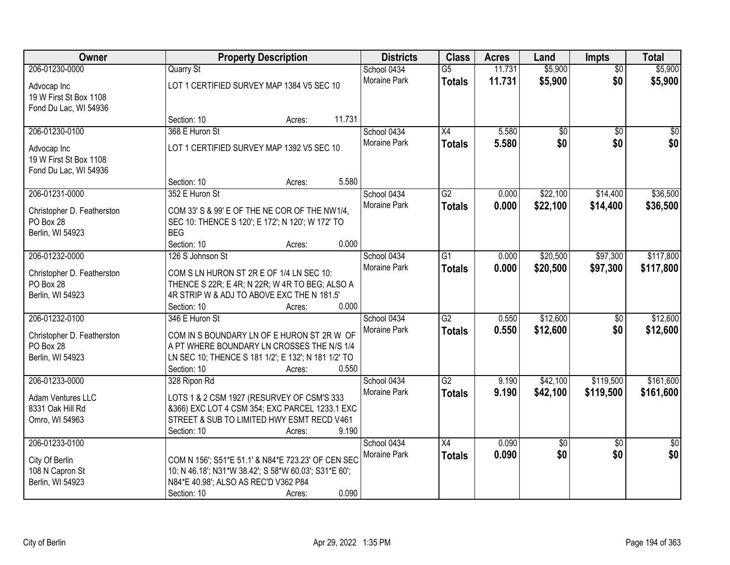| Owner                         |                                                                                                   | <b>Property Description</b> |        | <b>Districts</b>    | <b>Class</b>    | <b>Acres</b> | Land     | Impts           | <b>Total</b>    |
|-------------------------------|---------------------------------------------------------------------------------------------------|-----------------------------|--------|---------------------|-----------------|--------------|----------|-----------------|-----------------|
| 206-01230-0000                | <b>Quarry St</b>                                                                                  |                             |        | School 0434         | $\overline{G5}$ | 11.731       | \$5,900  | $\overline{50}$ | \$5,900         |
| Advocap Inc                   | LOT 1 CERTIFIED SURVEY MAP 1384 V5 SEC 10                                                         |                             |        | Moraine Park        | <b>Totals</b>   | 11.731       | \$5,900  | \$0             | \$5,900         |
| 19 W First St Box 1108        |                                                                                                   |                             |        |                     |                 |              |          |                 |                 |
| Fond Du Lac, WI 54936         |                                                                                                   |                             |        |                     |                 |              |          |                 |                 |
|                               | Section: 10                                                                                       | Acres:                      | 11.731 |                     |                 |              |          |                 |                 |
| 206-01230-0100                | 368 E Huron St                                                                                    |                             |        | School 0434         | $\overline{X4}$ | 5.580        | \$0      | $\overline{50}$ | $\overline{50}$ |
| Advocap Inc                   | LOT 1 CERTIFIED SURVEY MAP 1392 V5 SEC 10                                                         |                             |        | <b>Moraine Park</b> | <b>Totals</b>   | 5.580        | \$0      | \$0             | \$0             |
| 19 W First St Box 1108        |                                                                                                   |                             |        |                     |                 |              |          |                 |                 |
| Fond Du Lac, WI 54936         |                                                                                                   |                             |        |                     |                 |              |          |                 |                 |
|                               | Section: 10                                                                                       | Acres:                      | 5.580  |                     |                 |              |          |                 |                 |
| 206-01231-0000                | 352 E Huron St                                                                                    |                             |        | School 0434         | $\overline{G2}$ | 0.000        | \$22,100 | \$14,400        | \$36,500        |
| Christopher D. Featherston    | COM 33' S & 99' E OF THE NE COR OF THE NW1/4,                                                     |                             |        | Moraine Park        | <b>Totals</b>   | 0.000        | \$22,100 | \$14,400        | \$36,500        |
| PO Box 28                     | SEC 10: THENCE S 120'; E 172'; N 120'; W 172' TO                                                  |                             |        |                     |                 |              |          |                 |                 |
| Berlin, WI 54923              | <b>BEG</b>                                                                                        |                             |        |                     |                 |              |          |                 |                 |
|                               | Section: 10                                                                                       | Acres:                      | 0.000  |                     |                 |              |          |                 |                 |
| 206-01232-0000                | 126 S Johnson St                                                                                  |                             |        | School 0434         | G1              | 0.000        | \$20,500 | \$97,300        | \$117,800       |
| Christopher D. Featherston    | COM S LN HURON ST 2R E OF 1/4 LN SEC 10:                                                          |                             |        | Moraine Park        | <b>Totals</b>   | 0.000        | \$20,500 | \$97,300        | \$117,800       |
| PO Box 28                     | THENCE S 22R; E 4R; N 22R; W 4R TO BEG; ALSO A                                                    |                             |        |                     |                 |              |          |                 |                 |
| Berlin, WI 54923              | 4R STRIP W & ADJ TO ABOVE EXC THE N 181.5'                                                        |                             |        |                     |                 |              |          |                 |                 |
|                               | Section: 10                                                                                       | Acres:                      | 0.000  |                     |                 |              |          |                 |                 |
| 206-01232-0100                | 346 E Huron St                                                                                    |                             |        | School 0434         | $\overline{G2}$ | 0.550        | \$12,600 | $\overline{50}$ | \$12,600        |
|                               |                                                                                                   |                             |        | Moraine Park        | <b>Totals</b>   | 0.550        | \$12,600 | \$0             | \$12,600        |
| Christopher D. Featherston    | COM IN S BOUNDARY LN OF E HURON ST 2R W OF                                                        |                             |        |                     |                 |              |          |                 |                 |
| PO Box 28<br>Berlin, WI 54923 | A PT WHERE BOUNDARY LN CROSSES THE N/S 1/4<br>LN SEC 10; THENCE S 181 1/2"; E 132"; N 181 1/2" TO |                             |        |                     |                 |              |          |                 |                 |
|                               | Section: 10                                                                                       | Acres:                      | 0.550  |                     |                 |              |          |                 |                 |
| 206-01233-0000                | 328 Ripon Rd                                                                                      |                             |        | School 0434         | $\overline{G2}$ | 9.190        | \$42,100 | \$119,500       | \$161,600       |
|                               |                                                                                                   |                             |        | Moraine Park        | <b>Totals</b>   | 9.190        | \$42,100 | \$119,500       | \$161,600       |
| Adam Ventures LLC             | LOTS 1 & 2 CSM 1927 (RESURVEY OF CSM'S 333                                                        |                             |        |                     |                 |              |          |                 |                 |
| 8331 Oak Hill Rd              | &366) EXC LOT 4 CSM 354; EXC PARCEL 1233.1 EXC                                                    |                             |        |                     |                 |              |          |                 |                 |
| Omro, WI 54963                | STREET & SUB TO LIMITED HWY ESMT RECD V461                                                        |                             |        |                     |                 |              |          |                 |                 |
|                               | Section: 10                                                                                       | Acres:                      | 9.190  |                     |                 |              |          |                 |                 |
| 206-01233-0100                |                                                                                                   |                             |        | School 0434         | $\overline{X4}$ | 0.090        | \$0      | $\overline{50}$ | $\overline{50}$ |
| City Of Berlin                | COM N 156'; S51*E 51.1' & N84*E 723.23' OF CEN SEC                                                |                             |        | Moraine Park        | <b>Totals</b>   | 0.090        | \$0      | \$0             | \$0             |
| 108 N Capron St               | 10: N 46.18'; N31*W 38.42'; S 58*W 60.03'; S31*E 60';                                             |                             |        |                     |                 |              |          |                 |                 |
| Berlin, WI 54923              | N84*E 40.98'; ALSO AS REC'D V362 P84                                                              |                             |        |                     |                 |              |          |                 |                 |
|                               | Section: 10                                                                                       | Acres:                      | 0.090  |                     |                 |              |          |                 |                 |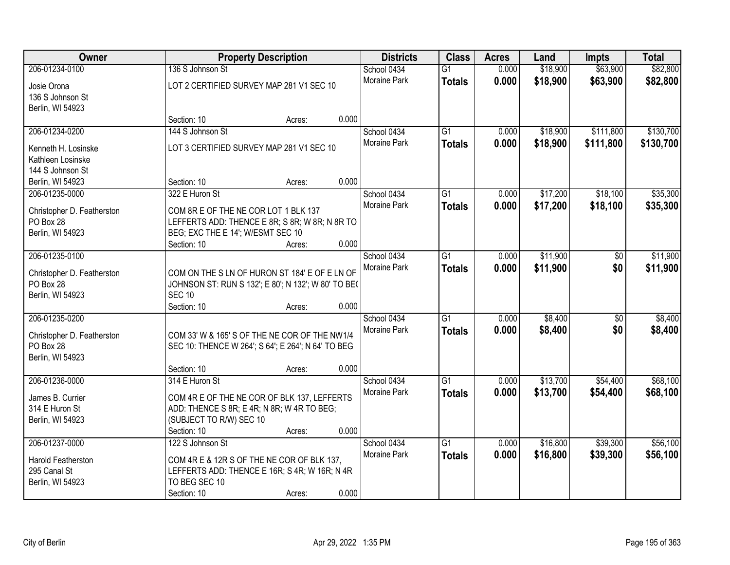| Owner                      |                                                     | <b>Property Description</b> |       | <b>Districts</b>    | <b>Class</b>    | <b>Acres</b> | Land     | <b>Impts</b>    | <b>Total</b> |
|----------------------------|-----------------------------------------------------|-----------------------------|-------|---------------------|-----------------|--------------|----------|-----------------|--------------|
| 206-01234-0100             | 136 S Johnson St                                    |                             |       | School 0434         | $\overline{G1}$ | 0.000        | \$18,900 | \$63,900        | \$82,800     |
| Josie Orona                | LOT 2 CERTIFIED SURVEY MAP 281 V1 SEC 10            |                             |       | <b>Moraine Park</b> | <b>Totals</b>   | 0.000        | \$18,900 | \$63,900        | \$82,800     |
| 136 S Johnson St           |                                                     |                             |       |                     |                 |              |          |                 |              |
| Berlin, WI 54923           |                                                     |                             |       |                     |                 |              |          |                 |              |
|                            | Section: 10                                         | Acres:                      | 0.000 |                     |                 |              |          |                 |              |
| 206-01234-0200             | 144 S Johnson St                                    |                             |       | School 0434         | $\overline{G1}$ | 0.000        | \$18,900 | \$111,800       | \$130,700    |
| Kenneth H. Losinske        | LOT 3 CERTIFIED SURVEY MAP 281 V1 SEC 10            |                             |       | <b>Moraine Park</b> | <b>Totals</b>   | 0.000        | \$18,900 | \$111,800       | \$130,700    |
| Kathleen Losinske          |                                                     |                             |       |                     |                 |              |          |                 |              |
| 144 S Johnson St           |                                                     |                             |       |                     |                 |              |          |                 |              |
| Berlin, WI 54923           | Section: 10                                         | Acres:                      | 0.000 |                     |                 |              |          |                 |              |
| 206-01235-0000             | 322 E Huron St                                      |                             |       | School 0434         | G1              | 0.000        | \$17,200 | \$18,100        | \$35,300     |
| Christopher D. Featherston | COM 8R E OF THE NE COR LOT 1 BLK 137                |                             |       | <b>Moraine Park</b> | <b>Totals</b>   | 0.000        | \$17,200 | \$18,100        | \$35,300     |
| PO Box 28                  | LEFFERTS ADD: THENCE E 8R; S 8R; W 8R; N 8R TO      |                             |       |                     |                 |              |          |                 |              |
| Berlin, WI 54923           | BEG; EXC THE E 14'; W/ESMT SEC 10                   |                             |       |                     |                 |              |          |                 |              |
|                            | Section: 10                                         | Acres:                      | 0.000 |                     |                 |              |          |                 |              |
| 206-01235-0100             |                                                     |                             |       | School 0434         | G1              | 0.000        | \$11,900 | \$0             | \$11,900     |
| Christopher D. Featherston | COM ON THE S LN OF HURON ST 184' E OF E LN OF       |                             |       | Moraine Park        | <b>Totals</b>   | 0.000        | \$11,900 | \$0             | \$11,900     |
| PO Box 28                  | JOHNSON ST: RUN S 132'; E 80'; N 132'; W 80' TO BE( |                             |       |                     |                 |              |          |                 |              |
| Berlin, WI 54923           | <b>SEC 10</b>                                       |                             |       |                     |                 |              |          |                 |              |
|                            | Section: 10                                         | Acres:                      | 0.000 |                     |                 |              |          |                 |              |
| 206-01235-0200             |                                                     |                             |       | School 0434         | $\overline{G1}$ | 0.000        | \$8,400  | $\overline{50}$ | \$8,400      |
| Christopher D. Featherston | COM 33' W & 165' S OF THE NE COR OF THE NW1/4       |                             |       | Moraine Park        | <b>Totals</b>   | 0.000        | \$8,400  | \$0             | \$8,400      |
| PO Box 28                  | SEC 10: THENCE W 264'; S 64'; E 264'; N 64' TO BEG  |                             |       |                     |                 |              |          |                 |              |
| Berlin, WI 54923           |                                                     |                             |       |                     |                 |              |          |                 |              |
|                            | Section: 10                                         | Acres:                      | 0.000 |                     |                 |              |          |                 |              |
| 206-01236-0000             | 314 E Huron St                                      |                             |       | School 0434         | $\overline{G1}$ | 0.000        | \$13,700 | \$54,400        | \$68,100     |
| James B. Currier           | COM 4R E OF THE NE COR OF BLK 137, LEFFERTS         |                             |       | Moraine Park        | <b>Totals</b>   | 0.000        | \$13,700 | \$54,400        | \$68,100     |
| 314 E Huron St             | ADD: THENCE S 8R; E 4R; N 8R; W 4R TO BEG;          |                             |       |                     |                 |              |          |                 |              |
| Berlin, WI 54923           | (SUBJECT TO R/W) SEC 10                             |                             |       |                     |                 |              |          |                 |              |
|                            | Section: 10                                         | Acres:                      | 0.000 |                     |                 |              |          |                 |              |
| 206-01237-0000             | 122 S Johnson St                                    |                             |       | School 0434         | $\overline{G1}$ | 0.000        | \$16,800 | \$39,300        | \$56,100     |
| Harold Featherston         | COM 4R E & 12R S OF THE NE COR OF BLK 137,          |                             |       | <b>Moraine Park</b> | <b>Totals</b>   | 0.000        | \$16,800 | \$39,300        | \$56,100     |
| 295 Canal St               | LEFFERTS ADD: THENCE E 16R; S 4R; W 16R; N 4R       |                             |       |                     |                 |              |          |                 |              |
| Berlin, WI 54923           | TO BEG SEC 10                                       |                             |       |                     |                 |              |          |                 |              |
|                            | Section: 10                                         | Acres:                      | 0.000 |                     |                 |              |          |                 |              |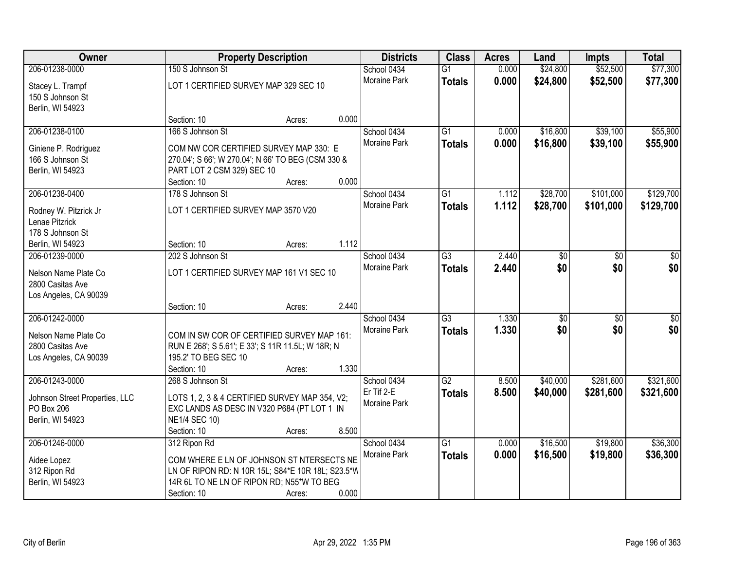| Owner                                                             |                                                                                                                         | <b>Property Description</b> |       | <b>Districts</b>                  | <b>Class</b>                     | <b>Acres</b>   | Land                   | <b>Impts</b>           | <b>Total</b>           |
|-------------------------------------------------------------------|-------------------------------------------------------------------------------------------------------------------------|-----------------------------|-------|-----------------------------------|----------------------------------|----------------|------------------------|------------------------|------------------------|
| 206-01238-0000                                                    | 150 S Johnson St                                                                                                        |                             |       | School 0434                       | $\overline{G1}$                  | 0.000          | \$24,800               | \$52,500               | \$77,300               |
| Stacey L. Trampf<br>150 S Johnson St<br>Berlin, WI 54923          | LOT 1 CERTIFIED SURVEY MAP 329 SEC 10                                                                                   |                             |       | Moraine Park                      | <b>Totals</b>                    | 0.000          | \$24,800               | \$52,500               | \$77,300               |
|                                                                   | Section: 10                                                                                                             | Acres:                      | 0.000 |                                   |                                  |                |                        |                        |                        |
| 206-01238-0100<br>Giniene P. Rodriguez                            | 166 S Johnson St<br>COM NW COR CERTIFIED SURVEY MAP 330: E                                                              |                             |       | School 0434<br>Moraine Park       | $\overline{G1}$<br><b>Totals</b> | 0.000<br>0.000 | \$16,800<br>\$16,800   | \$39,100<br>\$39,100   | \$55,900<br>\$55,900   |
| 166 S Johnson St<br>Berlin, WI 54923                              | 270.04'; S 66'; W 270.04'; N 66' TO BEG (CSM 330 &<br>PART LOT 2 CSM 329) SEC 10                                        |                             |       |                                   |                                  |                |                        |                        |                        |
|                                                                   | Section: 10                                                                                                             | Acres:                      | 0.000 |                                   |                                  |                |                        |                        |                        |
| 206-01238-0400                                                    | 178 S Johnson St                                                                                                        |                             |       | School 0434                       | G1                               | 1.112          | \$28,700               | \$101,000              | \$129,700              |
| Rodney W. Pitzrick Jr<br>Lenae Pitzrick<br>178 S Johnson St       | LOT 1 CERTIFIED SURVEY MAP 3570 V20                                                                                     |                             |       | Moraine Park                      | <b>Totals</b>                    | 1.112          | \$28,700               | \$101,000              | \$129,700              |
| Berlin, WI 54923                                                  | Section: 10                                                                                                             | Acres:                      | 1.112 |                                   |                                  |                |                        |                        |                        |
| 206-01239-0000                                                    | 202 S Johnson St                                                                                                        |                             |       | School 0434                       | G3                               | 2.440          | \$0                    | \$0                    | \$0                    |
| Nelson Name Plate Co<br>2800 Casitas Ave<br>Los Angeles, CA 90039 | LOT 1 CERTIFIED SURVEY MAP 161 V1 SEC 10                                                                                |                             |       | <b>Moraine Park</b>               | <b>Totals</b>                    | 2.440          | \$0                    | \$0                    | \$0                    |
|                                                                   | Section: 10                                                                                                             | Acres:                      | 2.440 |                                   |                                  |                |                        |                        |                        |
| 206-01242-0000                                                    |                                                                                                                         |                             |       | School 0434<br>Moraine Park       | $\overline{G3}$<br><b>Totals</b> | 1.330<br>1.330 | $\overline{50}$<br>\$0 | $\overline{50}$<br>\$0 | $\overline{50}$<br>\$0 |
| Nelson Name Plate Co<br>2800 Casitas Ave<br>Los Angeles, CA 90039 | COM IN SW COR OF CERTIFIED SURVEY MAP 161:<br>RUN E 268'; S 5.61'; E 33'; S 11R 11.5L; W 18R; N<br>195.2' TO BEG SEC 10 |                             |       |                                   |                                  |                |                        |                        |                        |
|                                                                   | Section: 10                                                                                                             | Acres:                      | 1.330 |                                   |                                  |                |                        |                        |                        |
| 206-01243-0000                                                    | 268 S Johnson St                                                                                                        |                             |       | School 0434                       | $\overline{G2}$                  | 8.500          | \$40,000               | \$281,600              | \$321,600              |
| Johnson Street Properties, LLC<br>PO Box 206<br>Berlin, WI 54923  | LOTS 1, 2, 3 & 4 CERTIFIED SURVEY MAP 354, V2;<br>EXC LANDS AS DESC IN V320 P684 (PT LOT 1 IN<br><b>NE1/4 SEC 10)</b>   |                             |       | Er Tif 2-E<br><b>Moraine Park</b> | <b>Totals</b>                    | 8.500          | \$40,000               | \$281,600              | \$321,600              |
|                                                                   | Section: 10                                                                                                             | Acres:                      | 8.500 |                                   |                                  |                |                        |                        |                        |
| 206-01246-0000                                                    | 312 Ripon Rd                                                                                                            |                             |       | School 0434<br>Moraine Park       | $\overline{G1}$                  | 0.000          | \$16,500               | \$19,800               | \$36,300               |
| Aidee Lopez                                                       | COM WHERE E LN OF JOHNSON ST NTERSECTS NE                                                                               |                             |       |                                   | <b>Totals</b>                    | 0.000          | \$16,500               | \$19,800               | \$36,300               |
| 312 Ripon Rd                                                      | LN OF RIPON RD: N 10R 15L; S84*E 10R 18L; S23.5*W                                                                       |                             |       |                                   |                                  |                |                        |                        |                        |
| Berlin, WI 54923                                                  | 14R 6L TO NE LN OF RIPON RD; N55*W TO BEG                                                                               |                             |       |                                   |                                  |                |                        |                        |                        |
|                                                                   | Section: 10                                                                                                             | Acres:                      | 0.000 |                                   |                                  |                |                        |                        |                        |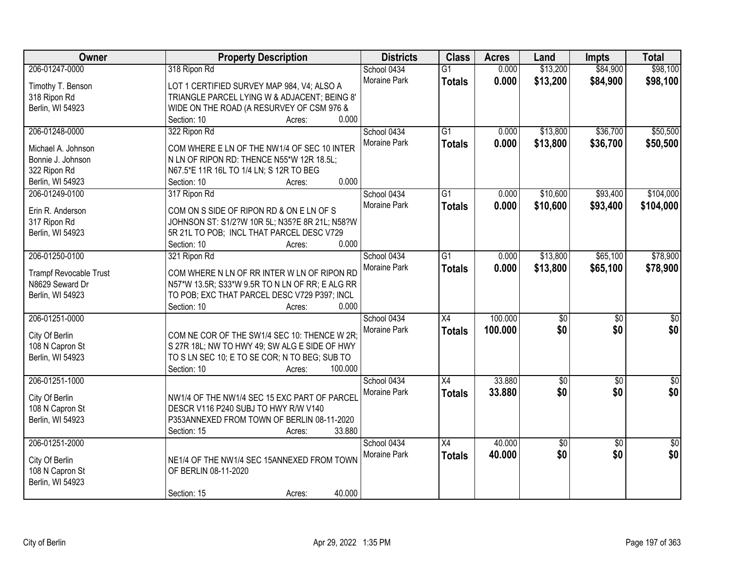| Owner                         | <b>Property Description</b>                     | <b>Districts</b>    | <b>Class</b>    | <b>Acres</b> | Land            | <b>Impts</b>    | <b>Total</b>    |
|-------------------------------|-------------------------------------------------|---------------------|-----------------|--------------|-----------------|-----------------|-----------------|
| 206-01247-0000                | 318 Ripon Rd                                    | School 0434         | $\overline{G1}$ | 0.000        | \$13,200        | \$84,900        | \$98,100        |
| Timothy T. Benson             | LOT 1 CERTIFIED SURVEY MAP 984, V4; ALSO A      | <b>Moraine Park</b> | <b>Totals</b>   | 0.000        | \$13,200        | \$84,900        | \$98,100        |
| 318 Ripon Rd                  | TRIANGLE PARCEL LYING W & ADJACENT; BEING 8'    |                     |                 |              |                 |                 |                 |
| Berlin, WI 54923              | WIDE ON THE ROAD (A RESURVEY OF CSM 976 &       |                     |                 |              |                 |                 |                 |
|                               | 0.000<br>Section: 10<br>Acres:                  |                     |                 |              |                 |                 |                 |
| 206-01248-0000                | 322 Ripon Rd                                    | School 0434         | $\overline{G1}$ | 0.000        | \$13,800        | \$36,700        | \$50,500        |
|                               |                                                 | Moraine Park        | <b>Totals</b>   | 0.000        | \$13,800        | \$36,700        | \$50,500        |
| Michael A. Johnson            | COM WHERE E LN OF THE NW1/4 OF SEC 10 INTER     |                     |                 |              |                 |                 |                 |
| Bonnie J. Johnson             | N LN OF RIPON RD: THENCE N55*W 12R 18.5L;       |                     |                 |              |                 |                 |                 |
| 322 Ripon Rd                  | N67.5*E 11R 16L TO 1/4 LN; S 12R TO BEG         |                     |                 |              |                 |                 |                 |
| Berlin, WI 54923              | 0.000<br>Section: 10<br>Acres:                  |                     |                 |              |                 |                 |                 |
| 206-01249-0100                | 317 Ripon Rd                                    | School 0434         | G1              | 0.000        | \$10,600        | \$93,400        | \$104,000       |
| Erin R. Anderson              | COM ON S SIDE OF RIPON RD & ON E LN OF S        | Moraine Park        | <b>Totals</b>   | 0.000        | \$10,600        | \$93,400        | \$104,000       |
| 317 Ripon Rd                  | JOHNSON ST: S1/2?W 10R 5L; N35?E 8R 21L; N58?W  |                     |                 |              |                 |                 |                 |
| Berlin, WI 54923              | 5R 21L TO POB; INCL THAT PARCEL DESC V729       |                     |                 |              |                 |                 |                 |
|                               | 0.000<br>Section: 10<br>Acres:                  |                     |                 |              |                 |                 |                 |
| 206-01250-0100                | 321 Ripon Rd                                    | School 0434         | $\overline{G1}$ | 0.000        | \$13,800        | \$65,100        | \$78,900        |
|                               |                                                 | Moraine Park        | <b>Totals</b>   | 0.000        | \$13,800        | \$65,100        | \$78,900        |
| <b>Trampf Revocable Trust</b> | COM WHERE N LN OF RR INTER W LN OF RIPON RD     |                     |                 |              |                 |                 |                 |
| N8629 Seward Dr               | N57*W 13.5R; S33*W 9.5R TO N LN OF RR; E ALG RR |                     |                 |              |                 |                 |                 |
| Berlin, WI 54923              | TO POB; EXC THAT PARCEL DESC V729 P397; INCL    |                     |                 |              |                 |                 |                 |
|                               | 0.000<br>Section: 10<br>Acres:                  |                     |                 |              |                 |                 |                 |
| 206-01251-0000                |                                                 | School 0434         | $\overline{X4}$ | 100.000      | \$0             | $\overline{30}$ | $\overline{50}$ |
| City Of Berlin                | COM NE COR OF THE SW1/4 SEC 10: THENCE W 2R;    | Moraine Park        | <b>Totals</b>   | 100.000      | \$0             | \$0             | \$0             |
| 108 N Capron St               | S 27R 18L; NW TO HWY 49; SW ALG E SIDE OF HWY   |                     |                 |              |                 |                 |                 |
| Berlin, WI 54923              | TO S LN SEC 10; E TO SE COR; N TO BEG; SUB TO   |                     |                 |              |                 |                 |                 |
|                               | Section: 10<br>100.000<br>Acres:                |                     |                 |              |                 |                 |                 |
| 206-01251-1000                |                                                 | School 0434         | $\overline{X4}$ | 33.880       | $\sqrt{50}$     | $\overline{50}$ | \$0             |
|                               |                                                 | Moraine Park        | <b>Totals</b>   | 33.880       | \$0             | \$0             | \$0             |
| City Of Berlin                | NW1/4 OF THE NW1/4 SEC 15 EXC PART OF PARCEL    |                     |                 |              |                 |                 |                 |
| 108 N Capron St               | DESCR V116 P240 SUBJ TO HWY R/W V140            |                     |                 |              |                 |                 |                 |
| Berlin, WI 54923              | P353ANNEXED FROM TOWN OF BERLIN 08-11-2020      |                     |                 |              |                 |                 |                 |
|                               | 33.880<br>Section: 15<br>Acres:                 |                     |                 |              |                 |                 |                 |
| 206-01251-2000                |                                                 | School 0434         | X4              | 40.000       | $\overline{50}$ | $\overline{30}$ | $\overline{50}$ |
| City Of Berlin                | NE1/4 OF THE NW1/4 SEC 15ANNEXED FROM TOWN      | Moraine Park        | <b>Totals</b>   | 40.000       | \$0             | \$0             | \$0             |
| 108 N Capron St               | OF BERLIN 08-11-2020                            |                     |                 |              |                 |                 |                 |
| Berlin, WI 54923              |                                                 |                     |                 |              |                 |                 |                 |
|                               | 40.000<br>Section: 15<br>Acres:                 |                     |                 |              |                 |                 |                 |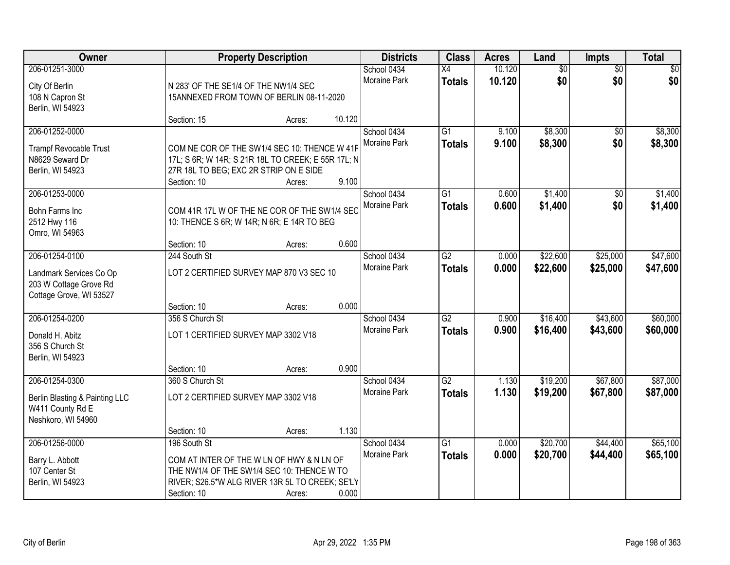| Owner                                  |                                                    | <b>Property Description</b> |        | <b>Districts</b>    | <b>Class</b>    | <b>Acres</b> | Land            | Impts           | <b>Total</b> |
|----------------------------------------|----------------------------------------------------|-----------------------------|--------|---------------------|-----------------|--------------|-----------------|-----------------|--------------|
| 206-01251-3000                         |                                                    |                             |        | School 0434         | $\overline{X4}$ | 10.120       | $\overline{60}$ | $\overline{50}$ | \$0          |
| City Of Berlin                         | N 283' OF THE SE1/4 OF THE NW1/4 SEC               |                             |        | Moraine Park        | <b>Totals</b>   | 10.120       | \$0             | \$0             | \$0          |
| 108 N Capron St                        | 15ANNEXED FROM TOWN OF BERLIN 08-11-2020           |                             |        |                     |                 |              |                 |                 |              |
| Berlin, WI 54923                       |                                                    |                             |        |                     |                 |              |                 |                 |              |
|                                        | Section: 15                                        | Acres:                      | 10.120 |                     |                 |              |                 |                 |              |
| 206-01252-0000                         |                                                    |                             |        | School 0434         | $\overline{G1}$ | 9.100        | \$8,300         | \$0             | \$8,300      |
| <b>Trampf Revocable Trust</b>          | COM NE COR OF THE SW1/4 SEC 10: THENCE W 41F       |                             |        | Moraine Park        | <b>Totals</b>   | 9.100        | \$8,300         | \$0             | \$8,300      |
| N8629 Seward Dr                        | 17L; S 6R; W 14R; S 21R 18L TO CREEK; E 55R 17L; N |                             |        |                     |                 |              |                 |                 |              |
| Berlin, WI 54923                       | 27R 18L TO BEG; EXC 2R STRIP ON E SIDE             |                             |        |                     |                 |              |                 |                 |              |
|                                        | Section: 10                                        | Acres:                      | 9.100  |                     |                 |              |                 |                 |              |
| 206-01253-0000                         |                                                    |                             |        | School 0434         | $\overline{G1}$ | 0.600        | \$1,400         | $\overline{50}$ | \$1,400      |
| Bohn Farms Inc                         | COM 41R 17L W OF THE NE COR OF THE SW1/4 SEC       |                             |        | Moraine Park        | <b>Totals</b>   | 0.600        | \$1,400         | \$0             | \$1,400      |
| 2512 Hwy 116                           | 10: THENCE S 6R; W 14R; N 6R; E 14R TO BEG         |                             |        |                     |                 |              |                 |                 |              |
| Omro, WI 54963                         |                                                    |                             |        |                     |                 |              |                 |                 |              |
|                                        | Section: 10                                        | Acres:                      | 0.600  |                     |                 |              |                 |                 |              |
| 206-01254-0100                         | 244 South St                                       |                             |        | School 0434         | $\overline{G2}$ | 0.000        | \$22,600        | \$25,000        | \$47,600     |
| Landmark Services Co Op                | LOT 2 CERTIFIED SURVEY MAP 870 V3 SEC 10           |                             |        | Moraine Park        | <b>Totals</b>   | 0.000        | \$22,600        | \$25,000        | \$47,600     |
| 203 W Cottage Grove Rd                 |                                                    |                             |        |                     |                 |              |                 |                 |              |
| Cottage Grove, WI 53527                |                                                    |                             |        |                     |                 |              |                 |                 |              |
|                                        | Section: 10                                        | Acres:                      | 0.000  |                     |                 |              |                 |                 |              |
| 206-01254-0200                         | 356 S Church St                                    |                             |        | School 0434         | $\overline{G2}$ | 0.900        | \$16,400        | \$43,600        | \$60,000     |
| Donald H. Abitz                        | LOT 1 CERTIFIED SURVEY MAP 3302 V18                |                             |        | Moraine Park        | <b>Totals</b>   | 0.900        | \$16,400        | \$43,600        | \$60,000     |
| 356 S Church St                        |                                                    |                             |        |                     |                 |              |                 |                 |              |
| Berlin, WI 54923                       |                                                    |                             |        |                     |                 |              |                 |                 |              |
|                                        | Section: 10                                        | Acres:                      | 0.900  |                     |                 |              |                 |                 |              |
| 206-01254-0300                         | 360 S Church St                                    |                             |        | School 0434         | $\overline{G2}$ | 1.130        | \$19,200        | \$67,800        | \$87,000     |
|                                        |                                                    |                             |        | <b>Moraine Park</b> | <b>Totals</b>   | 1.130        | \$19,200        | \$67,800        | \$87,000     |
| Berlin Blasting & Painting LLC         | LOT 2 CERTIFIED SURVEY MAP 3302 V18                |                             |        |                     |                 |              |                 |                 |              |
| W411 County Rd E<br>Neshkoro, WI 54960 |                                                    |                             |        |                     |                 |              |                 |                 |              |
|                                        | Section: 10                                        | Acres:                      | 1.130  |                     |                 |              |                 |                 |              |
| 206-01256-0000                         | 196 South St                                       |                             |        | School 0434         | $\overline{G1}$ | 0.000        | \$20,700        | \$44,400        | \$65,100     |
|                                        |                                                    |                             |        | Moraine Park        | <b>Totals</b>   | 0.000        | \$20,700        | \$44,400        | \$65,100     |
| Barry L. Abbott                        | COM AT INTER OF THE W LN OF HWY & N LN OF          |                             |        |                     |                 |              |                 |                 |              |
| 107 Center St                          | THE NW1/4 OF THE SW1/4 SEC 10: THENCE W TO         |                             |        |                     |                 |              |                 |                 |              |
| Berlin, WI 54923                       | RIVER; S26.5*W ALG RIVER 13R 5L TO CREEK; SE'LY    |                             |        |                     |                 |              |                 |                 |              |
|                                        | Section: 10                                        | Acres:                      | 0.000  |                     |                 |              |                 |                 |              |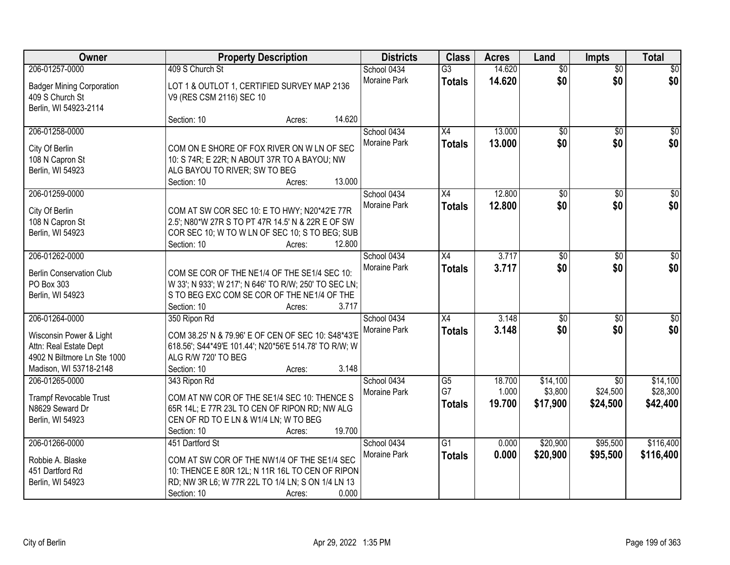| Owner                                                                                                      |                                                                                                                                                                     | <b>Property Description</b> |        |                             | <b>Class</b>        | <b>Acres</b>     | Land                   | <b>Impts</b>           | <b>Total</b>           |
|------------------------------------------------------------------------------------------------------------|---------------------------------------------------------------------------------------------------------------------------------------------------------------------|-----------------------------|--------|-----------------------------|---------------------|------------------|------------------------|------------------------|------------------------|
| 206-01257-0000                                                                                             | 409 S Church St                                                                                                                                                     |                             |        | School 0434                 | $\overline{G3}$     | 14.620           | $\overline{50}$        | $\overline{50}$        | $\overline{30}$        |
| <b>Badger Mining Corporation</b><br>409 S Church St<br>Berlin, WI 54923-2114                               | LOT 1 & OUTLOT 1, CERTIFIED SURVEY MAP 2136<br>V9 (RES CSM 2116) SEC 10                                                                                             |                             |        | Moraine Park                | <b>Totals</b>       | 14.620           | \$0                    | \$0                    | \$0                    |
|                                                                                                            | Section: 10                                                                                                                                                         | Acres:                      | 14.620 |                             |                     |                  |                        |                        |                        |
| 206-01258-0000                                                                                             |                                                                                                                                                                     |                             |        | School 0434<br>Moraine Park | X4<br><b>Totals</b> | 13.000<br>13.000 | $\overline{50}$<br>\$0 | $\overline{50}$<br>\$0 | $\overline{30}$<br>\$0 |
| City Of Berlin<br>108 N Capron St<br>Berlin, WI 54923                                                      | COM ON E SHORE OF FOX RIVER ON W LN OF SEC<br>10: S 74R; E 22R; N ABOUT 37R TO A BAYOU; NW<br>ALG BAYOU TO RIVER; SW TO BEG<br>Section: 10                          | Acres:                      | 13.000 |                             |                     |                  |                        |                        |                        |
| 206-01259-0000                                                                                             |                                                                                                                                                                     |                             |        | School 0434                 | X4                  | 12.800           | \$0                    | \$0                    | $\overline{30}$        |
| City Of Berlin<br>108 N Capron St<br>Berlin, WI 54923                                                      | COM AT SW COR SEC 10: E TO HWY; N20*42'E 77R<br>2.5'; N80*W 27R S TO PT 47R 14.5' N & 22R E OF SW<br>COR SEC 10; W TO W LN OF SEC 10; S TO BEG; SUB<br>Section: 10  | Acres:                      | 12.800 | Moraine Park                | <b>Totals</b>       | 12.800           | \$0                    | \$0                    | \$0                    |
| 206-01262-0000                                                                                             |                                                                                                                                                                     |                             |        | School 0434                 | X4                  | 3.717            | \$0                    | \$0                    | $\sqrt{50}$            |
| <b>Berlin Conservation Club</b><br>PO Box 303<br>Berlin, WI 54923                                          | COM SE COR OF THE NE1/4 OF THE SE1/4 SEC 10:<br>W 33'; N 933'; W 217'; N 646' TO R/W; 250' TO SEC LN;<br>S TO BEG EXC COM SE COR OF THE NE1/4 OF THE<br>Section: 10 | Acres:                      | 3.717  | Moraine Park                | <b>Totals</b>       | 3.717            | \$0                    | \$0                    | \$0                    |
| 206-01264-0000                                                                                             | 350 Ripon Rd                                                                                                                                                        |                             |        | School 0434                 | X4                  | 3.148            | $\overline{50}$        | $\overline{50}$        | $\overline{50}$        |
| Wisconsin Power & Light<br>Attn: Real Estate Dept<br>4902 N Biltmore Ln Ste 1000<br>Madison, WI 53718-2148 | COM 38.25' N & 79.96' E OF CEN OF SEC 10: S48*43'E<br>618.56'; S44*49'E 101.44'; N20*56'E 514.78' TO R/W; W<br>ALG R/W 720' TO BEG<br>Section: 10                   | Acres:                      | 3.148  | Moraine Park                | <b>Totals</b>       | 3.148            | \$0                    | \$0                    | \$0                    |
| 206-01265-0000                                                                                             | 343 Ripon Rd                                                                                                                                                        |                             |        | School 0434                 | G5                  | 18.700           | \$14,100               | $\overline{50}$        | \$14,100               |
| <b>Trampf Revocable Trust</b><br>N8629 Seward Dr<br>Berlin, WI 54923                                       | COM AT NW COR OF THE SE1/4 SEC 10: THENCE S<br>65R 14L; E 77R 23L TO CEN OF RIPON RD; NW ALG<br>CEN OF RD TO E LN & W1/4 LN; W TO BEG<br>Section: 10                | Acres:                      | 19.700 | Moraine Park                | G7<br><b>Totals</b> | 1.000<br>19,700  | \$3,800<br>\$17,900    | \$24,500<br>\$24,500   | \$28,300<br>\$42,400   |
| 206-01266-0000                                                                                             | 451 Dartford St                                                                                                                                                     |                             |        | School 0434                 | $\overline{G1}$     | 0.000            | \$20,900               | \$95,500               | \$116,400              |
| Robbie A. Blaske<br>451 Dartford Rd<br>Berlin, WI 54923                                                    | COM AT SW COR OF THE NW1/4 OF THE SE1/4 SEC<br>10: THENCE E 80R 12L; N 11R 16L TO CEN OF RIPON<br>RD; NW 3R L6; W 77R 22L TO 1/4 LN; S ON 1/4 LN 13<br>Section: 10  | Acres:                      | 0.000  | Moraine Park                | <b>Totals</b>       | 0.000            | \$20,900               | \$95,500               | \$116,400              |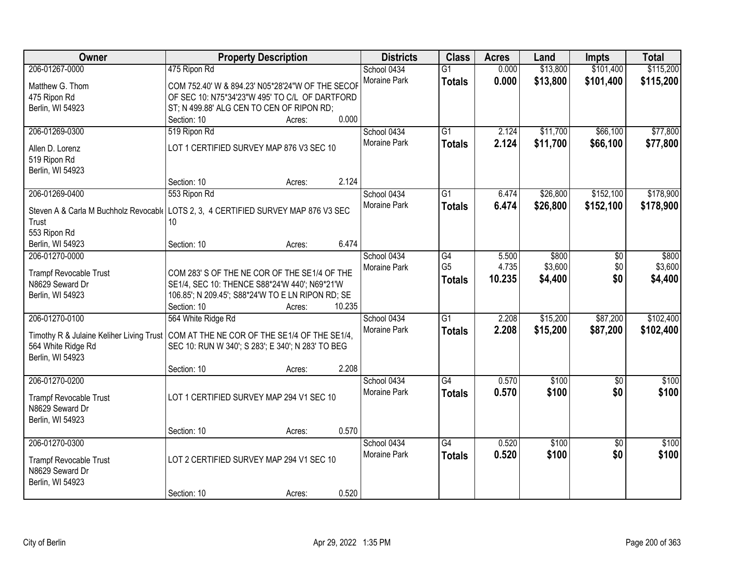| Owner                                                                              | <b>Property Description</b>                       |                  | <b>Districts</b>    | <b>Class</b>    | <b>Acres</b> | Land     | <b>Impts</b>    | <b>Total</b> |
|------------------------------------------------------------------------------------|---------------------------------------------------|------------------|---------------------|-----------------|--------------|----------|-----------------|--------------|
| 206-01267-0000                                                                     | 475 Ripon Rd                                      |                  | School 0434         | $\overline{G1}$ | 0.000        | \$13,800 | \$101,400       | \$115,200    |
| Matthew G. Thom                                                                    | COM 752.40' W & 894.23' N05*28'24"W OF THE SECOF  |                  | Moraine Park        | <b>Totals</b>   | 0.000        | \$13,800 | \$101,400       | \$115,200    |
| 475 Ripon Rd                                                                       | OF SEC 10: N75*34'23"W 495' TO C/L OF DARTFORD    |                  |                     |                 |              |          |                 |              |
| Berlin, WI 54923                                                                   | ST; N 499.88' ALG CEN TO CEN OF RIPON RD;         |                  |                     |                 |              |          |                 |              |
|                                                                                    | Section: 10                                       | 0.000<br>Acres:  |                     |                 |              |          |                 |              |
| 206-01269-0300                                                                     | 519 Ripon Rd                                      |                  | School 0434         | $\overline{G1}$ | 2.124        | \$11,700 | \$66,100        | \$77,800     |
|                                                                                    |                                                   |                  | <b>Moraine Park</b> | <b>Totals</b>   | 2.124        | \$11,700 | \$66,100        | \$77,800     |
| Allen D. Lorenz                                                                    | LOT 1 CERTIFIED SURVEY MAP 876 V3 SEC 10          |                  |                     |                 |              |          |                 |              |
| 519 Ripon Rd                                                                       |                                                   |                  |                     |                 |              |          |                 |              |
| Berlin, WI 54923                                                                   | Section: 10                                       | 2.124            |                     |                 |              |          |                 |              |
| 206-01269-0400                                                                     | 553 Ripon Rd                                      | Acres:           | School 0434         | G1              | 6.474        | \$26,800 | \$152,100       | \$178,900    |
|                                                                                    |                                                   |                  | Moraine Park        |                 |              |          |                 |              |
| Steven A & Carla M Buchholz Revocable LOTS 2, 3, 4 CERTIFIED SURVEY MAP 876 V3 SEC |                                                   |                  |                     | <b>Totals</b>   | 6.474        | \$26,800 | \$152,100       | \$178,900    |
| Trust                                                                              | 10                                                |                  |                     |                 |              |          |                 |              |
| 553 Ripon Rd                                                                       |                                                   |                  |                     |                 |              |          |                 |              |
| Berlin, WI 54923                                                                   | Section: 10                                       | 6.474<br>Acres:  |                     |                 |              |          |                 |              |
| 206-01270-0000                                                                     |                                                   |                  | School 0434         | G4              | 5.500        | \$800    | \$0             | \$800        |
| <b>Trampf Revocable Trust</b>                                                      | COM 283' S OF THE NE COR OF THE SE1/4 OF THE      |                  | Moraine Park        | G <sub>5</sub>  | 4.735        | \$3,600  | \$0             | \$3,600      |
| N8629 Seward Dr                                                                    | SE1/4, SEC 10: THENCE S88*24'W 440'; N69*21'W     |                  |                     | <b>Totals</b>   | 10.235       | \$4,400  | \$0             | \$4,400      |
| Berlin, WI 54923                                                                   | 106.85'; N 209.45'; S88*24'W TO E LN RIPON RD; SE |                  |                     |                 |              |          |                 |              |
|                                                                                    | Section: 10                                       | 10.235<br>Acres: |                     |                 |              |          |                 |              |
| 206-01270-0100                                                                     | 564 White Ridge Rd                                |                  | School 0434         | $\overline{G1}$ | 2.208        | \$15,200 | \$87,200        | \$102,400    |
|                                                                                    |                                                   |                  | Moraine Park        | <b>Totals</b>   | 2.208        | \$15,200 | \$87,200        | \$102,400    |
| Timothy R & Julaine Keliher Living Trust                                           | COM AT THE NE COR OF THE SE1/4 OF THE SE1/4,      |                  |                     |                 |              |          |                 |              |
| 564 White Ridge Rd                                                                 | SEC 10: RUN W 340'; S 283'; E 340'; N 283' TO BEG |                  |                     |                 |              |          |                 |              |
| Berlin, WI 54923                                                                   |                                                   |                  |                     |                 |              |          |                 |              |
|                                                                                    | Section: 10                                       | 2.208<br>Acres:  |                     |                 |              |          |                 |              |
| 206-01270-0200                                                                     |                                                   |                  | School 0434         | G4              | 0.570        | \$100    | \$0             | \$100        |
| <b>Trampf Revocable Trust</b>                                                      | LOT 1 CERTIFIED SURVEY MAP 294 V1 SEC 10          |                  | Moraine Park        | <b>Totals</b>   | 0.570        | \$100    | \$0             | \$100        |
| N8629 Seward Dr                                                                    |                                                   |                  |                     |                 |              |          |                 |              |
| Berlin, WI 54923                                                                   |                                                   |                  |                     |                 |              |          |                 |              |
|                                                                                    | Section: 10                                       | 0.570<br>Acres:  |                     |                 |              |          |                 |              |
| 206-01270-0300                                                                     |                                                   |                  | School 0434         | $\overline{G4}$ | 0.520        | \$100    | $\overline{30}$ | \$100        |
| <b>Trampf Revocable Trust</b>                                                      | LOT 2 CERTIFIED SURVEY MAP 294 V1 SEC 10          |                  | <b>Moraine Park</b> | <b>Totals</b>   | 0.520        | \$100    | \$0             | \$100        |
| N8629 Seward Dr                                                                    |                                                   |                  |                     |                 |              |          |                 |              |
| Berlin, WI 54923                                                                   |                                                   |                  |                     |                 |              |          |                 |              |
|                                                                                    | Section: 10                                       | 0.520<br>Acres:  |                     |                 |              |          |                 |              |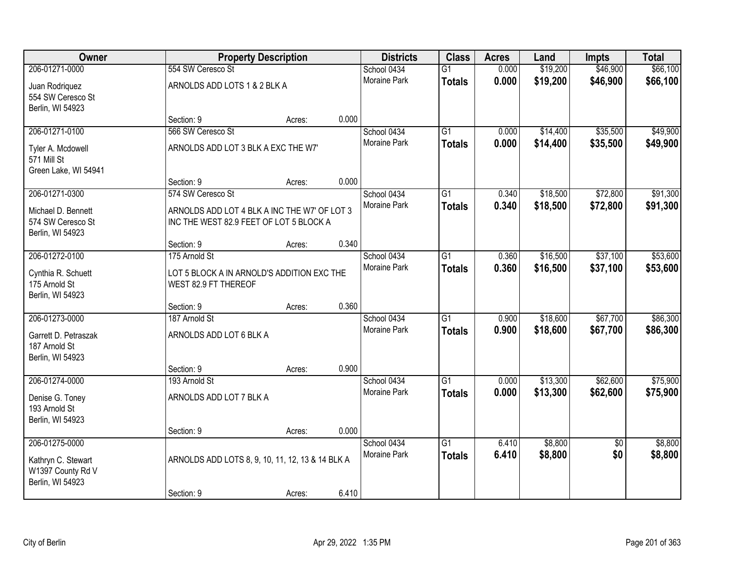| Owner                |                                                  | <b>Property Description</b> |       | <b>Districts</b>    | <b>Class</b>    | <b>Acres</b> | Land     | <b>Impts</b>    | <b>Total</b> |
|----------------------|--------------------------------------------------|-----------------------------|-------|---------------------|-----------------|--------------|----------|-----------------|--------------|
| 206-01271-0000       | 554 SW Ceresco St                                |                             |       | School 0434         | $\overline{G1}$ | 0.000        | \$19,200 | \$46,900        | \$66,100     |
| Juan Rodriquez       | ARNOLDS ADD LOTS 1 & 2 BLK A                     |                             |       | Moraine Park        | <b>Totals</b>   | 0.000        | \$19,200 | \$46,900        | \$66,100     |
| 554 SW Ceresco St    |                                                  |                             |       |                     |                 |              |          |                 |              |
| Berlin, WI 54923     |                                                  |                             |       |                     |                 |              |          |                 |              |
|                      | Section: 9                                       | Acres:                      | 0.000 |                     |                 |              |          |                 |              |
| 206-01271-0100       | 566 SW Ceresco St                                |                             |       | School 0434         | $\overline{G1}$ | 0.000        | \$14,400 | \$35,500        | \$49,900     |
| Tyler A. Mcdowell    | ARNOLDS ADD LOT 3 BLK A EXC THE W7'              |                             |       | <b>Moraine Park</b> | <b>Totals</b>   | 0.000        | \$14,400 | \$35,500        | \$49,900     |
| 571 Mill St          |                                                  |                             |       |                     |                 |              |          |                 |              |
| Green Lake, WI 54941 |                                                  |                             |       |                     |                 |              |          |                 |              |
|                      | Section: 9                                       | Acres:                      | 0.000 |                     |                 |              |          |                 |              |
| 206-01271-0300       | 574 SW Ceresco St                                |                             |       | School 0434         | G1              | 0.340        | \$18,500 | \$72,800        | \$91,300     |
| Michael D. Bennett   | ARNOLDS ADD LOT 4 BLK A INC THE W7' OF LOT 3     |                             |       | Moraine Park        | <b>Totals</b>   | 0.340        | \$18,500 | \$72,800        | \$91,300     |
| 574 SW Ceresco St    | INC THE WEST 82.9 FEET OF LOT 5 BLOCK A          |                             |       |                     |                 |              |          |                 |              |
| Berlin, WI 54923     |                                                  |                             |       |                     |                 |              |          |                 |              |
|                      | Section: 9                                       | Acres:                      | 0.340 |                     |                 |              |          |                 |              |
| 206-01272-0100       | 175 Arnold St                                    |                             |       | School 0434         | G1              | 0.360        | \$16,500 | \$37,100        | \$53,600     |
| Cynthia R. Schuett   | LOT 5 BLOCK A IN ARNOLD'S ADDITION EXC THE       |                             |       | Moraine Park        | <b>Totals</b>   | 0.360        | \$16,500 | \$37,100        | \$53,600     |
| 175 Arnold St        | WEST 82.9 FT THEREOF                             |                             |       |                     |                 |              |          |                 |              |
| Berlin, WI 54923     |                                                  |                             |       |                     |                 |              |          |                 |              |
|                      | Section: 9                                       | Acres:                      | 0.360 |                     |                 |              |          |                 |              |
| 206-01273-0000       | 187 Arnold St                                    |                             |       | School 0434         | $\overline{G1}$ | 0.900        | \$18,600 | \$67,700        | \$86,300     |
| Garrett D. Petraszak | ARNOLDS ADD LOT 6 BLK A                          |                             |       | Moraine Park        | <b>Totals</b>   | 0.900        | \$18,600 | \$67,700        | \$86,300     |
| 187 Arnold St        |                                                  |                             |       |                     |                 |              |          |                 |              |
| Berlin, WI 54923     |                                                  |                             |       |                     |                 |              |          |                 |              |
|                      | Section: 9                                       | Acres:                      | 0.900 |                     |                 |              |          |                 |              |
| 206-01274-0000       | 193 Arnold St                                    |                             |       | School 0434         | $\overline{G1}$ | 0.000        | \$13,300 | \$62,600        | \$75,900     |
| Denise G. Toney      | ARNOLDS ADD LOT 7 BLK A                          |                             |       | Moraine Park        | <b>Totals</b>   | 0.000        | \$13,300 | \$62,600        | \$75,900     |
| 193 Arnold St        |                                                  |                             |       |                     |                 |              |          |                 |              |
| Berlin, WI 54923     |                                                  |                             |       |                     |                 |              |          |                 |              |
|                      | Section: 9                                       | Acres:                      | 0.000 |                     |                 |              |          |                 |              |
| 206-01275-0000       |                                                  |                             |       | School 0434         | $\overline{G1}$ | 6.410        | \$8,800  | $\overline{50}$ | \$8,800      |
| Kathryn C. Stewart   | ARNOLDS ADD LOTS 8, 9, 10, 11, 12, 13 & 14 BLK A |                             |       | <b>Moraine Park</b> | <b>Totals</b>   | 6.410        | \$8,800  | \$0             | \$8,800      |
| W1397 County Rd V    |                                                  |                             |       |                     |                 |              |          |                 |              |
| Berlin, WI 54923     |                                                  |                             |       |                     |                 |              |          |                 |              |
|                      | Section: 9                                       | Acres:                      | 6.410 |                     |                 |              |          |                 |              |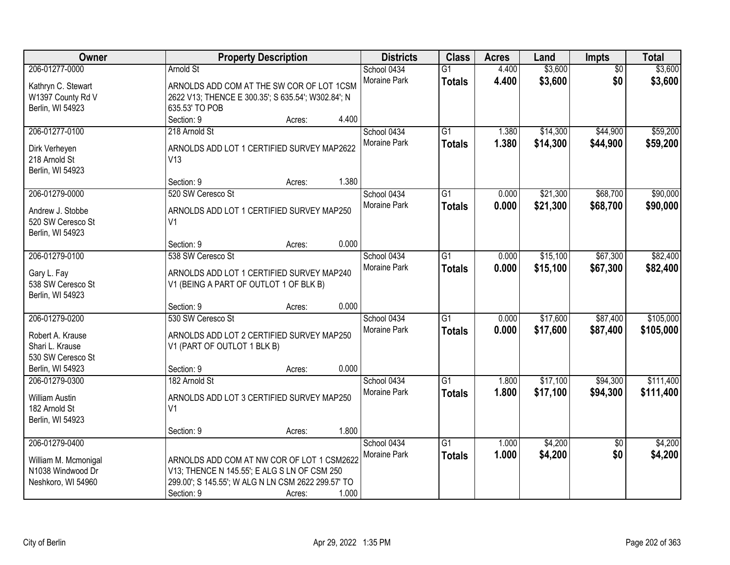| Owner                                     | <b>Property Description</b>                                                                | <b>Districts</b>            | <b>Class</b>                     | <b>Acres</b>   | Land               | Impts                  | <b>Total</b>       |
|-------------------------------------------|--------------------------------------------------------------------------------------------|-----------------------------|----------------------------------|----------------|--------------------|------------------------|--------------------|
| 206-01277-0000                            | <b>Arnold St</b>                                                                           | School 0434<br>Moraine Park | $\overline{G1}$<br><b>Totals</b> | 4.400<br>4.400 | \$3,600<br>\$3,600 | $\overline{50}$<br>\$0 | \$3,600<br>\$3,600 |
| Kathryn C. Stewart                        | ARNOLDS ADD COM AT THE SW COR OF LOT 1CSM                                                  |                             |                                  |                |                    |                        |                    |
| W1397 County Rd V<br>Berlin, WI 54923     | 2622 V13; THENCE E 300.35'; S 635.54'; W302.84'; N<br>635.53' TO POB                       |                             |                                  |                |                    |                        |                    |
|                                           | Section: 9<br>4.400<br>Acres:                                                              |                             |                                  |                |                    |                        |                    |
| 206-01277-0100                            | 218 Arnold St                                                                              | School 0434                 | $\overline{G1}$                  | 1.380          | \$14,300           | \$44,900               | \$59,200           |
|                                           |                                                                                            | Moraine Park                | <b>Totals</b>                    | 1.380          | \$14,300           | \$44,900               | \$59,200           |
| Dirk Verheyen                             | ARNOLDS ADD LOT 1 CERTIFIED SURVEY MAP2622                                                 |                             |                                  |                |                    |                        |                    |
| 218 Arnold St                             | V13                                                                                        |                             |                                  |                |                    |                        |                    |
| Berlin, WI 54923                          |                                                                                            |                             |                                  |                |                    |                        |                    |
|                                           | 1.380<br>Section: 9<br>Acres:                                                              |                             |                                  |                |                    |                        |                    |
| 206-01279-0000                            | 520 SW Ceresco St                                                                          | School 0434                 | $\overline{G1}$                  | 0.000          | \$21,300           | \$68,700               | \$90,000           |
| Andrew J. Stobbe                          | ARNOLDS ADD LOT 1 CERTIFIED SURVEY MAP250                                                  | Moraine Park                | <b>Totals</b>                    | 0.000          | \$21,300           | \$68,700               | \$90,000           |
| 520 SW Ceresco St                         | V <sub>1</sub>                                                                             |                             |                                  |                |                    |                        |                    |
| Berlin, WI 54923                          |                                                                                            |                             |                                  |                |                    |                        |                    |
|                                           | 0.000<br>Section: 9<br>Acres:                                                              |                             |                                  |                |                    |                        |                    |
| 206-01279-0100                            | 538 SW Ceresco St                                                                          | School 0434                 | G1                               | 0.000          | \$15,100           | \$67,300               | \$82,400           |
| Gary L. Fay                               | ARNOLDS ADD LOT 1 CERTIFIED SURVEY MAP240                                                  | Moraine Park                | <b>Totals</b>                    | 0.000          | \$15,100           | \$67,300               | \$82,400           |
| 538 SW Ceresco St                         | V1 (BEING A PART OF OUTLOT 1 OF BLK B)                                                     |                             |                                  |                |                    |                        |                    |
| Berlin, WI 54923                          |                                                                                            |                             |                                  |                |                    |                        |                    |
|                                           | 0.000<br>Section: 9<br>Acres:                                                              |                             |                                  |                |                    |                        |                    |
| 206-01279-0200                            | 530 SW Ceresco St                                                                          | School 0434                 | $\overline{G1}$                  | 0.000          | \$17,600           | \$87,400               | \$105,000          |
| Robert A. Krause                          | ARNOLDS ADD LOT 2 CERTIFIED SURVEY MAP250                                                  | Moraine Park                | <b>Totals</b>                    | 0.000          | \$17,600           | \$87,400               | \$105,000          |
| Shari L. Krause                           | V1 (PART OF OUTLOT 1 BLK B)                                                                |                             |                                  |                |                    |                        |                    |
| 530 SW Ceresco St                         |                                                                                            |                             |                                  |                |                    |                        |                    |
| Berlin, WI 54923                          | 0.000<br>Section: 9<br>Acres:                                                              |                             |                                  |                |                    |                        |                    |
| 206-01279-0300                            | 182 Arnold St                                                                              | School 0434                 | G1                               | 1.800          | \$17,100           | \$94,300               | \$111,400          |
| <b>William Austin</b>                     | ARNOLDS ADD LOT 3 CERTIFIED SURVEY MAP250                                                  | Moraine Park                | <b>Totals</b>                    | 1.800          | \$17,100           | \$94,300               | \$111,400          |
| 182 Arnold St                             | V <sub>1</sub>                                                                             |                             |                                  |                |                    |                        |                    |
| Berlin, WI 54923                          |                                                                                            |                             |                                  |                |                    |                        |                    |
|                                           | 1.800<br>Section: 9<br>Acres:                                                              |                             |                                  |                |                    |                        |                    |
| 206-01279-0400                            |                                                                                            | School 0434                 | $\overline{G1}$                  | 1.000          | \$4,200            | $\overline{50}$        | \$4,200            |
|                                           |                                                                                            | Moraine Park                | <b>Totals</b>                    | 1.000          | \$4,200            | \$0                    | \$4,200            |
| William M. Mcmonigal<br>N1038 Windwood Dr | ARNOLDS ADD COM AT NW COR OF LOT 1 CSM2622<br>V13; THENCE N 145.55'; E ALG S LN OF CSM 250 |                             |                                  |                |                    |                        |                    |
| Neshkoro, WI 54960                        | 299.00'; S 145.55'; W ALG N LN CSM 2622 299.57' TO                                         |                             |                                  |                |                    |                        |                    |
|                                           | 1.000<br>Section: 9<br>Acres:                                                              |                             |                                  |                |                    |                        |                    |
|                                           |                                                                                            |                             |                                  |                |                    |                        |                    |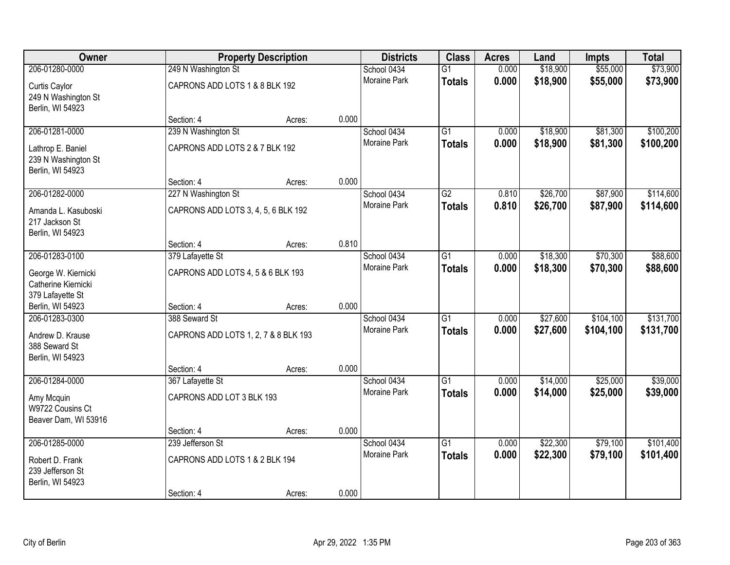| Owner                                                          |                                      | <b>Property Description</b> |       | <b>Districts</b>    | <b>Class</b>    | <b>Acres</b> | Land     | <b>Impts</b> | <b>Total</b> |
|----------------------------------------------------------------|--------------------------------------|-----------------------------|-------|---------------------|-----------------|--------------|----------|--------------|--------------|
| 206-01280-0000                                                 | 249 N Washington St                  |                             |       | School 0434         | $\overline{G1}$ | 0.000        | \$18,900 | \$55,000     | \$73,900     |
| Curtis Caylor<br>249 N Washington St<br>Berlin, WI 54923       | CAPRONS ADD LOTS 1 & 8 BLK 192       |                             |       | Moraine Park        | <b>Totals</b>   | 0.000        | \$18,900 | \$55,000     | \$73,900     |
|                                                                | Section: 4                           | Acres:                      | 0.000 |                     |                 |              |          |              |              |
| 206-01281-0000                                                 | 239 N Washington St                  |                             |       | School 0434         | $\overline{G1}$ | 0.000        | \$18,900 | \$81,300     | \$100,200    |
| Lathrop E. Baniel<br>239 N Washington St<br>Berlin, WI 54923   | CAPRONS ADD LOTS 2 & 7 BLK 192       |                             |       | <b>Moraine Park</b> | <b>Totals</b>   | 0.000        | \$18,900 | \$81,300     | \$100,200    |
|                                                                | Section: 4                           | Acres:                      | 0.000 |                     |                 |              |          |              |              |
| 206-01282-0000                                                 | 227 N Washington St                  |                             |       | School 0434         | $\overline{G2}$ | 0.810        | \$26,700 | \$87,900     | \$114,600    |
| Amanda L. Kasuboski<br>217 Jackson St<br>Berlin, WI 54923      | CAPRONS ADD LOTS 3, 4, 5, 6 BLK 192  |                             |       | Moraine Park        | <b>Totals</b>   | 0.810        | \$26,700 | \$87,900     | \$114,600    |
|                                                                | Section: 4                           | Acres:                      | 0.810 |                     |                 |              |          |              |              |
| 206-01283-0100                                                 | 379 Lafayette St                     |                             |       | School 0434         | $\overline{G1}$ | 0.000        | \$18,300 | \$70,300     | \$88,600     |
| George W. Kiernicki<br>Catherine Kiernicki<br>379 Lafayette St | CAPRONS ADD LOTS 4, 5 & 6 BLK 193    |                             |       | <b>Moraine Park</b> | <b>Totals</b>   | 0.000        | \$18,300 | \$70,300     | \$88,600     |
| Berlin, WI 54923                                               | Section: 4                           | Acres:                      | 0.000 |                     |                 |              |          |              |              |
| 206-01283-0300                                                 | 388 Seward St                        |                             |       | School 0434         | $\overline{G1}$ | 0.000        | \$27,600 | \$104,100    | \$131,700    |
| Andrew D. Krause<br>388 Seward St<br>Berlin, WI 54923          | CAPRONS ADD LOTS 1, 2, 7 & 8 BLK 193 |                             |       | <b>Moraine Park</b> | <b>Totals</b>   | 0.000        | \$27,600 | \$104,100    | \$131,700    |
|                                                                | Section: 4                           | Acres:                      | 0.000 |                     |                 |              |          |              |              |
| 206-01284-0000                                                 | 367 Lafayette St                     |                             |       | School 0434         | $\overline{G1}$ | 0.000        | \$14,000 | \$25,000     | \$39,000     |
| Amy Mcquin<br>W9722 Cousins Ct<br>Beaver Dam, WI 53916         | CAPRONS ADD LOT 3 BLK 193            |                             |       | Moraine Park        | <b>Totals</b>   | 0.000        | \$14,000 | \$25,000     | \$39,000     |
|                                                                | Section: 4                           | Acres:                      | 0.000 |                     |                 |              |          |              |              |
| 206-01285-0000                                                 | 239 Jefferson St                     |                             |       | School 0434         | $\overline{G1}$ | 0.000        | \$22,300 | \$79,100     | \$101,400    |
| Robert D. Frank<br>239 Jefferson St<br>Berlin, WI 54923        | CAPRONS ADD LOTS 1 & 2 BLK 194       |                             |       | <b>Moraine Park</b> | <b>Totals</b>   | 0.000        | \$22,300 | \$79,100     | \$101,400    |
|                                                                | Section: 4                           | Acres:                      | 0.000 |                     |                 |              |          |              |              |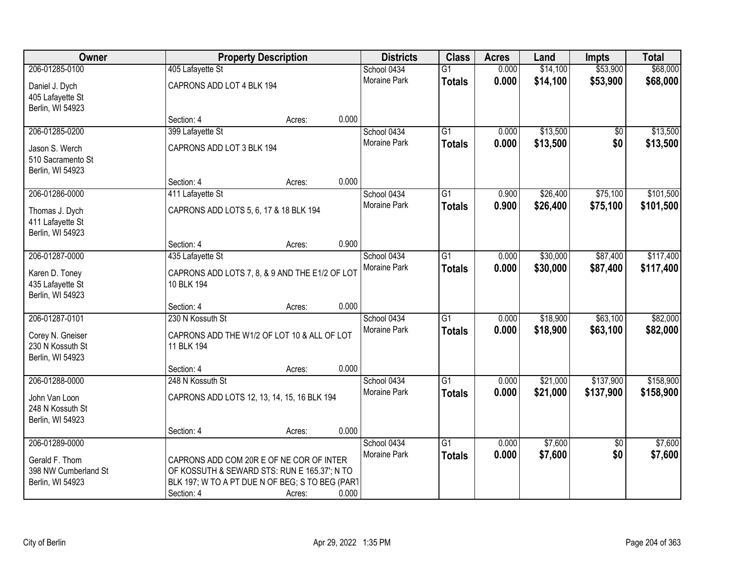| Owner                |                                                 | <b>Property Description</b> |       | <b>Districts</b> | <b>Class</b>    | <b>Acres</b> | Land     | <b>Impts</b>    | <b>Total</b> |
|----------------------|-------------------------------------------------|-----------------------------|-------|------------------|-----------------|--------------|----------|-----------------|--------------|
| 206-01285-0100       | 405 Lafayette St                                |                             |       | School 0434      | $\overline{G1}$ | 0.000        | \$14,100 | \$53,900        | \$68,000     |
| Daniel J. Dych       | CAPRONS ADD LOT 4 BLK 194                       |                             |       | Moraine Park     | <b>Totals</b>   | 0.000        | \$14,100 | \$53,900        | \$68,000     |
| 405 Lafayette St     |                                                 |                             |       |                  |                 |              |          |                 |              |
| Berlin, WI 54923     |                                                 |                             |       |                  |                 |              |          |                 |              |
|                      | Section: 4                                      | Acres:                      | 0.000 |                  |                 |              |          |                 |              |
| 206-01285-0200       | 399 Lafayette St                                |                             |       | School 0434      | $\overline{G1}$ | 0.000        | \$13,500 | \$0             | \$13,500     |
| Jason S. Werch       | CAPRONS ADD LOT 3 BLK 194                       |                             |       | Moraine Park     | <b>Totals</b>   | 0.000        | \$13,500 | \$0             | \$13,500     |
| 510 Sacramento St    |                                                 |                             |       |                  |                 |              |          |                 |              |
| Berlin, WI 54923     |                                                 |                             |       |                  |                 |              |          |                 |              |
|                      | Section: 4                                      | Acres:                      | 0.000 |                  |                 |              |          |                 |              |
| 206-01286-0000       | 411 Lafayette St                                |                             |       | School 0434      | G1              | 0.900        | \$26,400 | \$75,100        | \$101,500    |
| Thomas J. Dych       | CAPRONS ADD LOTS 5, 6, 17 & 18 BLK 194          |                             |       | Moraine Park     | <b>Totals</b>   | 0.900        | \$26,400 | \$75,100        | \$101,500    |
| 411 Lafayette St     |                                                 |                             |       |                  |                 |              |          |                 |              |
| Berlin, WI 54923     |                                                 |                             |       |                  |                 |              |          |                 |              |
|                      | Section: 4                                      | Acres:                      | 0.900 |                  |                 |              |          |                 |              |
| 206-01287-0000       | 435 Lafayette St                                |                             |       | School 0434      | G1              | 0.000        | \$30,000 | \$87,400        | \$117,400    |
| Karen D. Toney       | CAPRONS ADD LOTS 7, 8, & 9 AND THE E1/2 OF LOT  |                             |       | Moraine Park     | <b>Totals</b>   | 0.000        | \$30,000 | \$87,400        | \$117,400    |
| 435 Lafayette St     | 10 BLK 194                                      |                             |       |                  |                 |              |          |                 |              |
| Berlin, WI 54923     |                                                 |                             |       |                  |                 |              |          |                 |              |
|                      | Section: 4                                      | Acres:                      | 0.000 |                  |                 |              |          |                 |              |
| 206-01287-0101       | 230 N Kossuth St                                |                             |       | School 0434      | $\overline{G1}$ | 0.000        | \$18,900 | \$63,100        | \$82,000     |
| Corey N. Gneiser     | CAPRONS ADD THE W1/2 OF LOT 10 & ALL OF LOT     |                             |       | Moraine Park     | <b>Totals</b>   | 0.000        | \$18,900 | \$63,100        | \$82,000     |
| 230 N Kossuth St     | 11 BLK 194                                      |                             |       |                  |                 |              |          |                 |              |
| Berlin, WI 54923     |                                                 |                             |       |                  |                 |              |          |                 |              |
|                      | Section: 4                                      | Acres:                      | 0.000 |                  |                 |              |          |                 |              |
| 206-01288-0000       | 248 N Kossuth St                                |                             |       | School 0434      | $\overline{G1}$ | 0.000        | \$21,000 | \$137,900       | \$158,900    |
| John Van Loon        | CAPRONS ADD LOTS 12, 13, 14, 15, 16 BLK 194     |                             |       | Moraine Park     | <b>Totals</b>   | 0.000        | \$21,000 | \$137,900       | \$158,900    |
| 248 N Kossuth St     |                                                 |                             |       |                  |                 |              |          |                 |              |
| Berlin, WI 54923     |                                                 |                             |       |                  |                 |              |          |                 |              |
|                      | Section: 4                                      | Acres:                      | 0.000 |                  |                 |              |          |                 |              |
| 206-01289-0000       |                                                 |                             |       | School 0434      | $\overline{G1}$ | 0.000        | \$7,600  | $\overline{50}$ | \$7,600      |
| Gerald F. Thom       | CAPRONS ADD COM 20R E OF NE COR OF INTER        |                             |       | Moraine Park     | <b>Totals</b>   | 0.000        | \$7,600  | \$0             | \$7,600      |
| 398 NW Cumberland St | OF KOSSUTH & SEWARD STS: RUN E 165.37'; N TO    |                             |       |                  |                 |              |          |                 |              |
| Berlin, WI 54923     | BLK 197; W TO A PT DUE N OF BEG; S TO BEG (PART |                             |       |                  |                 |              |          |                 |              |
|                      | Section: 4                                      | Acres:                      | 0.000 |                  |                 |              |          |                 |              |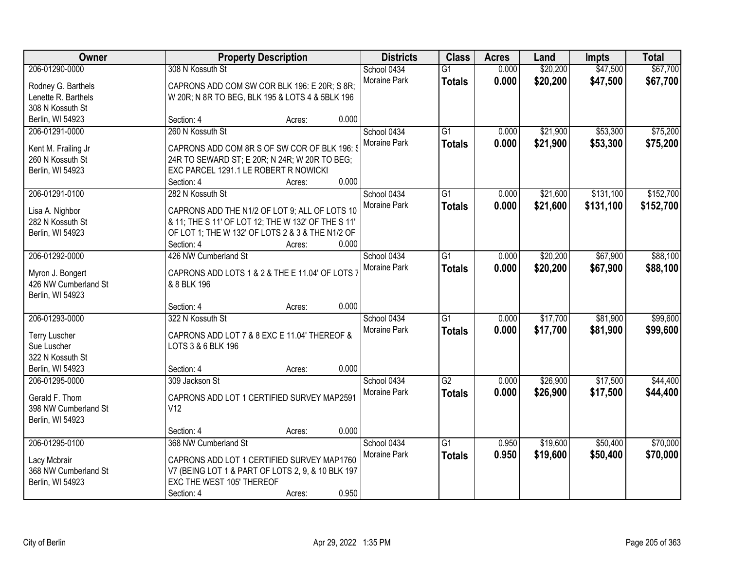| Owner                |                                       | <b>Property Description</b>                        | <b>Districts</b>                   | <b>Class</b>    | <b>Acres</b> | Land     | <b>Impts</b> | <b>Total</b> |
|----------------------|---------------------------------------|----------------------------------------------------|------------------------------------|-----------------|--------------|----------|--------------|--------------|
| 206-01290-0000       | 308 N Kossuth St                      |                                                    | School 0434                        | $\overline{G1}$ | 0.000        | \$20,200 | \$47,500     | \$67,700     |
| Rodney G. Barthels   |                                       | CAPRONS ADD COM SW COR BLK 196: E 20R; S 8R;       | Moraine Park                       | <b>Totals</b>   | 0.000        | \$20,200 | \$47,500     | \$67,700     |
| Lenette R. Barthels  |                                       | W 20R; N 8R TO BEG, BLK 195 & LOTS 4 & 5BLK 196    |                                    |                 |              |          |              |              |
| 308 N Kossuth St     |                                       |                                                    |                                    |                 |              |          |              |              |
| Berlin, WI 54923     | Section: 4                            | Acres:                                             | 0.000                              |                 |              |          |              |              |
| 206-01291-0000       | 260 N Kossuth St                      |                                                    | School 0434                        | $\overline{G1}$ | 0.000        | \$21,900 | \$53,300     | \$75,200     |
| Kent M. Frailing Jr  |                                       | CAPRONS ADD COM 8R S OF SW COR OF BLK 196: \$      | Moraine Park                       | <b>Totals</b>   | 0.000        | \$21,900 | \$53,300     | \$75,200     |
| 260 N Kossuth St     |                                       | 24R TO SEWARD ST; E 20R; N 24R; W 20R TO BEG;      |                                    |                 |              |          |              |              |
| Berlin, WI 54923     | EXC PARCEL 1291.1 LE ROBERT R NOWICKI |                                                    |                                    |                 |              |          |              |              |
|                      | Section: 4                            | Acres:                                             | 0.000                              |                 |              |          |              |              |
| 206-01291-0100       | 282 N Kossuth St                      |                                                    | School 0434                        | G1              | 0.000        | \$21,600 | \$131,100    | \$152,700    |
|                      |                                       |                                                    | Moraine Park                       | <b>Totals</b>   | 0.000        | \$21,600 | \$131,100    | \$152,700    |
| Lisa A. Nighbor      |                                       | CAPRONS ADD THE N1/2 OF LOT 9; ALL OF LOTS 10      |                                    |                 |              |          |              |              |
| 282 N Kossuth St     |                                       | & 11; THE S 11' OF LOT 12; THE W 132' OF THE S 11' |                                    |                 |              |          |              |              |
| Berlin, WI 54923     |                                       | OF LOT 1; THE W 132' OF LOTS 2 & 3 & THE N1/2 OF   | 0.000                              |                 |              |          |              |              |
| 206-01292-0000       | Section: 4<br>426 NW Cumberland St    | Acres:                                             |                                    |                 | 0.000        | \$20,200 | \$67,900     | \$88,100     |
|                      |                                       |                                                    | School 0434<br><b>Moraine Park</b> | G1              |              |          |              |              |
| Myron J. Bongert     |                                       | CAPRONS ADD LOTS 1 & 2 & THE E 11.04' OF LOTS 7    |                                    | <b>Totals</b>   | 0.000        | \$20,200 | \$67,900     | \$88,100     |
| 426 NW Cumberland St | & 8 BLK 196                           |                                                    |                                    |                 |              |          |              |              |
| Berlin, WI 54923     |                                       |                                                    |                                    |                 |              |          |              |              |
|                      | Section: 4                            | Acres:                                             | 0.000                              |                 |              |          |              |              |
| 206-01293-0000       | 322 N Kossuth St                      |                                                    | School 0434                        | $\overline{G1}$ | 0.000        | \$17,700 | \$81,900     | \$99,600     |
| <b>Terry Luscher</b> |                                       | CAPRONS ADD LOT 7 & 8 EXC E 11.04' THEREOF &       | Moraine Park                       | <b>Totals</b>   | 0.000        | \$17,700 | \$81,900     | \$99,600     |
| Sue Luscher          | LOTS 3 & 6 BLK 196                    |                                                    |                                    |                 |              |          |              |              |
| 322 N Kossuth St     |                                       |                                                    |                                    |                 |              |          |              |              |
| Berlin, WI 54923     | Section: 4                            | Acres:                                             | 0.000                              |                 |              |          |              |              |
| 206-01295-0000       | 309 Jackson St                        |                                                    | School 0434                        | $\overline{G2}$ | 0.000        | \$26,900 | \$17,500     | \$44,400     |
| Gerald F. Thom       |                                       |                                                    | Moraine Park                       | <b>Totals</b>   | 0.000        | \$26,900 | \$17,500     | \$44,400     |
| 398 NW Cumberland St | V12                                   | CAPRONS ADD LOT 1 CERTIFIED SURVEY MAP2591         |                                    |                 |              |          |              |              |
| Berlin, WI 54923     |                                       |                                                    |                                    |                 |              |          |              |              |
|                      | Section: 4                            | Acres:                                             | 0.000                              |                 |              |          |              |              |
| 206-01295-0100       | 368 NW Cumberland St                  |                                                    | School 0434                        | $\overline{G1}$ | 0.950        | \$19,600 | \$50,400     | \$70,000     |
|                      |                                       |                                                    | Moraine Park                       | <b>Totals</b>   | 0.950        | \$19,600 | \$50,400     | \$70,000     |
| Lacy Mcbrair         |                                       | CAPRONS ADD LOT 1 CERTIFIED SURVEY MAP1760         |                                    |                 |              |          |              |              |
| 368 NW Cumberland St |                                       | V7 (BEING LOT 1 & PART OF LOTS 2, 9, & 10 BLK 197  |                                    |                 |              |          |              |              |
| Berlin, WI 54923     | EXC THE WEST 105' THEREOF             |                                                    |                                    |                 |              |          |              |              |
|                      | Section: 4                            | Acres:                                             | 0.950                              |                 |              |          |              |              |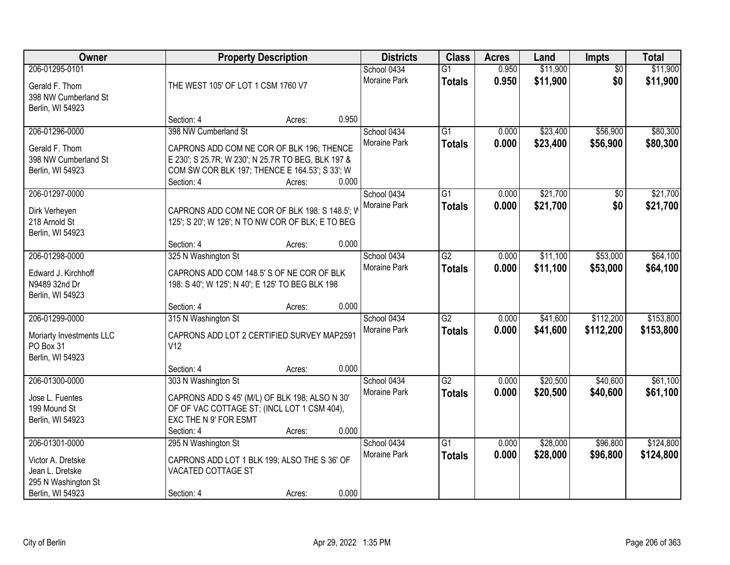| Owner                                                                                             | <b>Property Description</b><br>THE WEST 105' OF LOT 1 CSM 1760 V7                                                                                                                       |        | <b>Districts</b>                     | <b>Class</b>                     | <b>Acres</b>   | Land                 | <b>Impts</b>           | <b>Total</b>           |
|---------------------------------------------------------------------------------------------------|-----------------------------------------------------------------------------------------------------------------------------------------------------------------------------------------|--------|--------------------------------------|----------------------------------|----------------|----------------------|------------------------|------------------------|
| 206-01295-0101<br>Gerald F. Thom<br>398 NW Cumberland St<br>Berlin, WI 54923                      |                                                                                                                                                                                         |        | School 0434<br>Moraine Park          | $\overline{G1}$<br><b>Totals</b> | 0.950<br>0.950 | \$11,900<br>\$11,900 | $\overline{50}$<br>\$0 | \$11,900<br>\$11,900   |
|                                                                                                   | Section: 4                                                                                                                                                                              | Acres: | 0.950                                |                                  |                |                      |                        |                        |
| 206-01296-0000<br>Gerald F. Thom<br>398 NW Cumberland St<br>Berlin, WI 54923                      | 398 NW Cumberland St<br>CAPRONS ADD COM NE COR OF BLK 196; THENCE<br>E 230'; S 25.7R; W 230'; N 25.7R TO BEG, BLK 197 &<br>COM SW COR BLK 197; THENCE E 164.53'; S 33'; W<br>Section: 4 | Acres: | School 0434<br>Moraine Park<br>0.000 | $\overline{G1}$<br><b>Totals</b> | 0.000<br>0.000 | \$23,400<br>\$23,400 | \$56,900<br>\$56,900   | \$80,300<br>\$80,300   |
| 206-01297-0000                                                                                    |                                                                                                                                                                                         |        | School 0434                          | $\overline{G1}$                  | 0.000          | \$21,700             | \$0                    | \$21,700               |
| Dirk Verheyen<br>218 Arnold St<br>Berlin, WI 54923                                                | CAPRONS ADD COM NE COR OF BLK 198: S 148.5'; W<br>125'; S 20'; W 126'; N TO NW COR OF BLK; E TO BEG                                                                                     |        | Moraine Park                         | <b>Totals</b>                    | 0.000          | \$21,700             | \$0                    | \$21,700               |
|                                                                                                   | Section: 4                                                                                                                                                                              | Acres: | 0.000                                |                                  |                |                      |                        |                        |
| 206-01298-0000<br>Edward J. Kirchhoff<br>N9489 32nd Dr<br>Berlin, WI 54923                        | 325 N Washington St<br>CAPRONS ADD COM 148.5' S OF NE COR OF BLK<br>198: S 40'; W 125'; N 40'; E 125' TO BEG BLK 198                                                                    |        | School 0434<br>Moraine Park          | $\overline{G2}$<br><b>Totals</b> | 0.000<br>0.000 | \$11,100<br>\$11,100 | \$53,000<br>\$53,000   | \$64,100<br>\$64,100   |
|                                                                                                   | Section: 4                                                                                                                                                                              | Acres: | 0.000                                |                                  |                |                      |                        |                        |
| 206-01299-0000<br>Moriarty Investments LLC<br>PO Box 31<br>Berlin, WI 54923                       | 315 N Washington St<br>CAPRONS ADD LOT 2 CERTIFIED SURVEY MAP2591<br>V12                                                                                                                |        | School 0434<br>Moraine Park          | $\overline{G2}$<br><b>Totals</b> | 0.000<br>0.000 | \$41,600<br>\$41,600 | \$112,200<br>\$112,200 | \$153,800<br>\$153,800 |
|                                                                                                   | Section: 4                                                                                                                                                                              | Acres: | 0.000                                |                                  |                |                      |                        |                        |
| 206-01300-0000<br>Jose L. Fuentes<br>199 Mound St<br>Berlin, WI 54923                             | 303 N Washington St<br>CAPRONS ADD S 45' (M/L) OF BLK 198; ALSO N 30'<br>OF OF VAC COTTAGE ST; (INCL LOT 1 CSM 404),<br>EXC THE N 9' FOR ESMT                                           |        | School 0434<br>Moraine Park          | $\overline{G2}$<br><b>Totals</b> | 0.000<br>0.000 | \$20,500<br>\$20,500 | \$40,600<br>\$40,600   | \$61,100<br>\$61,100   |
|                                                                                                   | Section: 4                                                                                                                                                                              | Acres: | 0.000                                |                                  |                |                      |                        |                        |
| 206-01301-0000<br>Victor A. Dretske<br>Jean L. Dretske<br>295 N Washington St<br>Berlin, WI 54923 | 295 N Washington St<br>CAPRONS ADD LOT 1 BLK 199; ALSO THE S 36' OF<br>VACATED COTTAGE ST<br>Section: 4                                                                                 | Acres: | School 0434<br>Moraine Park<br>0.000 | $\overline{G1}$<br><b>Totals</b> | 0.000<br>0.000 | \$28,000<br>\$28,000 | \$96,800<br>\$96,800   | \$124,800<br>\$124,800 |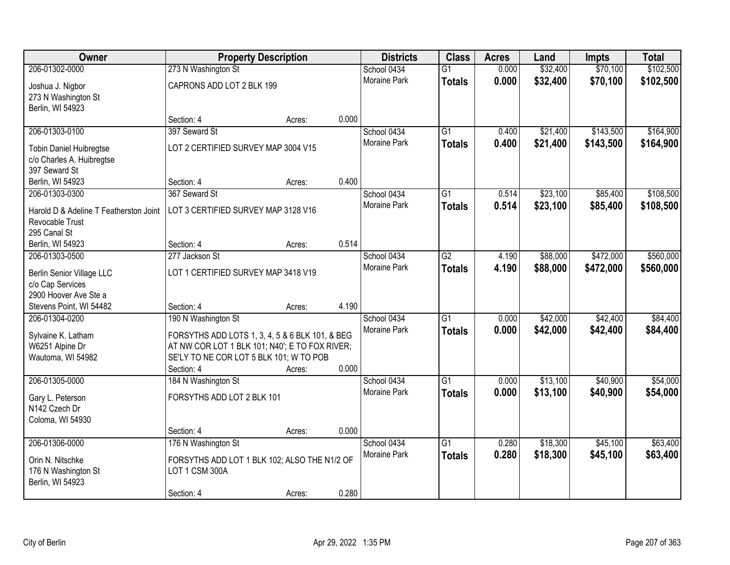| \$102,500<br>206-01302-0000<br>273 N Washington St<br>0.000<br>\$32,400<br>\$70,100<br>School 0434<br>$\overline{G1}$<br>Moraine Park<br>0.000<br>\$32,400<br>\$70,100<br>\$102,500<br><b>Totals</b><br>CAPRONS ADD LOT 2 BLK 199<br>Joshua J. Nigbor<br>273 N Washington St<br>Berlin, WI 54923<br>0.000<br>Section: 4<br>Acres: |
|-----------------------------------------------------------------------------------------------------------------------------------------------------------------------------------------------------------------------------------------------------------------------------------------------------------------------------------|
|                                                                                                                                                                                                                                                                                                                                   |
|                                                                                                                                                                                                                                                                                                                                   |
|                                                                                                                                                                                                                                                                                                                                   |
|                                                                                                                                                                                                                                                                                                                                   |
|                                                                                                                                                                                                                                                                                                                                   |
| 397 Seward St<br>\$143,500<br>\$164,900<br>206-01303-0100<br>School 0434<br>$\overline{G1}$<br>\$21,400<br>0.400                                                                                                                                                                                                                  |
| <b>Moraine Park</b><br>0.400<br>\$21,400<br>\$143,500<br>\$164,900<br><b>Totals</b><br>LOT 2 CERTIFIED SURVEY MAP 3004 V15<br><b>Tobin Daniel Huibregtse</b>                                                                                                                                                                      |
| c/o Charles A. Huibregtse                                                                                                                                                                                                                                                                                                         |
| 397 Seward St                                                                                                                                                                                                                                                                                                                     |
| 0.400<br>Berlin, WI 54923<br>Section: 4<br>Acres:                                                                                                                                                                                                                                                                                 |
| $\overline{G1}$<br>\$23,100<br>\$85,400<br>\$108,500<br>206-01303-0300<br>367 Seward St<br>School 0434<br>0.514                                                                                                                                                                                                                   |
| Moraine Park<br>0.514<br>\$23,100<br>\$85,400<br>\$108,500<br><b>Totals</b><br>LOT 3 CERTIFIED SURVEY MAP 3128 V16<br>Harold D & Adeline T Featherston Joint                                                                                                                                                                      |
| Revocable Trust                                                                                                                                                                                                                                                                                                                   |
| 295 Canal St                                                                                                                                                                                                                                                                                                                      |
| 0.514<br>Berlin, WI 54923<br>Section: 4<br>Acres:                                                                                                                                                                                                                                                                                 |
| \$560,000<br>School 0434<br>$\overline{G2}$<br>\$88,000<br>\$472,000<br>206-01303-0500<br>277 Jackson St<br>4.190                                                                                                                                                                                                                 |
| Moraine Park<br>4.190<br>\$88,000<br>\$472,000<br>\$560,000<br><b>Totals</b><br>LOT 1 CERTIFIED SURVEY MAP 3418 V19<br><b>Berlin Senior Village LLC</b>                                                                                                                                                                           |
| c/o Cap Services                                                                                                                                                                                                                                                                                                                  |
| 2900 Hoover Ave Ste a                                                                                                                                                                                                                                                                                                             |
| 4.190<br>Stevens Point, WI 54482<br>Section: 4<br>Acres:                                                                                                                                                                                                                                                                          |
| $\overline{G1}$<br>\$42,400<br>206-01304-0200<br>190 N Washington St<br>0.000<br>\$42,000<br>\$84,400<br>School 0434                                                                                                                                                                                                              |
| Moraine Park<br>0.000<br>\$42,000<br>\$42,400<br>\$84,400<br><b>Totals</b>                                                                                                                                                                                                                                                        |
| Sylvaine K. Latham<br>FORSYTHS ADD LOTS 1, 3, 4, 5 & 6 BLK 101, & BEG<br>AT NW COR LOT 1 BLK 101; N40'; E TO FOX RIVER;<br>W6251 Alpine Dr                                                                                                                                                                                        |
| SE'LY TO NE COR LOT 5 BLK 101; W TO POB<br>Wautoma, WI 54982                                                                                                                                                                                                                                                                      |
| 0.000<br>Section: 4<br>Acres:                                                                                                                                                                                                                                                                                                     |
| \$40,900<br>\$54,000<br>206-01305-0000<br>184 N Washington St<br>School 0434<br>$\overline{G1}$<br>\$13,100<br>0.000                                                                                                                                                                                                              |
| Moraine Park<br>0.000<br>\$13,100<br>\$40,900<br>\$54,000<br><b>Totals</b><br>FORSYTHS ADD LOT 2 BLK 101                                                                                                                                                                                                                          |
| Gary L. Peterson<br>N142 Czech Dr                                                                                                                                                                                                                                                                                                 |
| Coloma, WI 54930                                                                                                                                                                                                                                                                                                                  |
| 0.000<br>Section: 4<br>Acres:                                                                                                                                                                                                                                                                                                     |
| $\overline{G1}$<br>\$18,300<br>\$45,100<br>\$63,400<br>206-01306-0000<br>176 N Washington St<br>School 0434<br>0.280                                                                                                                                                                                                              |
| 0.280<br>Moraine Park<br>\$18,300<br>\$45,100<br>\$63,400<br><b>Totals</b>                                                                                                                                                                                                                                                        |
| Orin N. Nitschke<br>FORSYTHS ADD LOT 1 BLK 102; ALSO THE N1/2 OF                                                                                                                                                                                                                                                                  |
| LOT 1 CSM 300A<br>176 N Washington St<br>Berlin, WI 54923                                                                                                                                                                                                                                                                         |
| 0.280<br>Section: 4<br>Acres:                                                                                                                                                                                                                                                                                                     |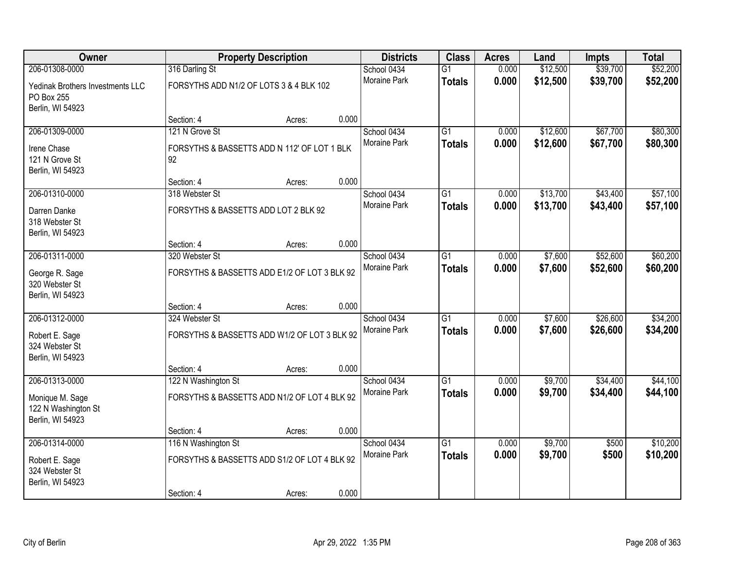| Owner                                                      |                                                   | <b>Property Description</b> |       | <b>Districts</b>            | <b>Class</b>    | <b>Acres</b> | Land     | Impts    | <b>Total</b> |
|------------------------------------------------------------|---------------------------------------------------|-----------------------------|-------|-----------------------------|-----------------|--------------|----------|----------|--------------|
| 206-01308-0000                                             | 316 Darling St                                    |                             |       | School 0434                 | $\overline{G1}$ | 0.000        | \$12,500 | \$39,700 | \$52,200     |
| Yedinak Brothers Investments LLC<br>PO Box 255             | FORSYTHS ADD N1/2 OF LOTS 3 & 4 BLK 102           |                             |       | <b>Moraine Park</b>         | <b>Totals</b>   | 0.000        | \$12,500 | \$39,700 | \$52,200     |
| Berlin, WI 54923                                           |                                                   |                             |       |                             |                 |              |          |          |              |
| 206-01309-0000                                             | Section: 4<br>121 N Grove St                      | Acres:                      | 0.000 |                             | $\overline{G1}$ | 0.000        | \$12,600 | \$67,700 | \$80,300     |
|                                                            |                                                   |                             |       | School 0434<br>Moraine Park |                 | 0.000        | \$12,600 |          |              |
| Irene Chase<br>121 N Grove St<br>Berlin, WI 54923          | FORSYTHS & BASSETTS ADD N 112' OF LOT 1 BLK<br>92 |                             |       |                             | <b>Totals</b>   |              |          | \$67,700 | \$80,300     |
|                                                            | Section: 4                                        | Acres:                      | 0.000 |                             |                 |              |          |          |              |
| 206-01310-0000                                             | 318 Webster St                                    |                             |       | School 0434                 | $\overline{G1}$ | 0.000        | \$13,700 | \$43,400 | \$57,100     |
| Darren Danke<br>318 Webster St<br>Berlin, WI 54923         | FORSYTHS & BASSETTS ADD LOT 2 BLK 92              |                             |       | Moraine Park                | <b>Totals</b>   | 0.000        | \$13,700 | \$43,400 | \$57,100     |
|                                                            | Section: 4                                        | Acres:                      | 0.000 |                             |                 |              |          |          |              |
| 206-01311-0000                                             | 320 Webster St                                    |                             |       | School 0434                 | $\overline{G1}$ | 0.000        | \$7,600  | \$52,600 | \$60,200     |
| George R. Sage<br>320 Webster St<br>Berlin, WI 54923       | FORSYTHS & BASSETTS ADD E1/2 OF LOT 3 BLK 92      |                             |       | Moraine Park                | <b>Totals</b>   | 0.000        | \$7,600  | \$52,600 | \$60,200     |
|                                                            | Section: 4                                        | Acres:                      | 0.000 |                             |                 |              |          |          |              |
| 206-01312-0000                                             | 324 Webster St                                    |                             |       | School 0434                 | $\overline{G1}$ | 0.000        | \$7,600  | \$26,600 | \$34,200     |
| Robert E. Sage                                             | FORSYTHS & BASSETTS ADD W1/2 OF LOT 3 BLK 92      |                             |       | Moraine Park                | <b>Totals</b>   | 0.000        | \$7,600  | \$26,600 | \$34,200     |
| 324 Webster St<br>Berlin, WI 54923                         |                                                   |                             |       |                             |                 |              |          |          |              |
|                                                            | Section: 4                                        | Acres:                      | 0.000 |                             |                 |              |          |          |              |
| 206-01313-0000                                             | 122 N Washington St                               |                             |       | School 0434                 | $\overline{G1}$ | 0.000        | \$9,700  | \$34,400 | \$44,100     |
| Monique M. Sage<br>122 N Washington St<br>Berlin, WI 54923 | FORSYTHS & BASSETTS ADD N1/2 OF LOT 4 BLK 92      |                             |       | Moraine Park                | <b>Totals</b>   | 0.000        | \$9,700  | \$34,400 | \$44,100     |
|                                                            | Section: 4                                        | Acres:                      | 0.000 |                             |                 |              |          |          |              |
| 206-01314-0000                                             | 116 N Washington St                               |                             |       | School 0434                 | $\overline{G1}$ | 0.000        | \$9,700  | \$500    | \$10,200     |
| Robert E. Sage<br>324 Webster St<br>Berlin, WI 54923       | FORSYTHS & BASSETTS ADD S1/2 OF LOT 4 BLK 92      |                             |       | Moraine Park                | <b>Totals</b>   | 0.000        | \$9,700  | \$500    | \$10,200     |
|                                                            | Section: 4                                        | Acres:                      | 0.000 |                             |                 |              |          |          |              |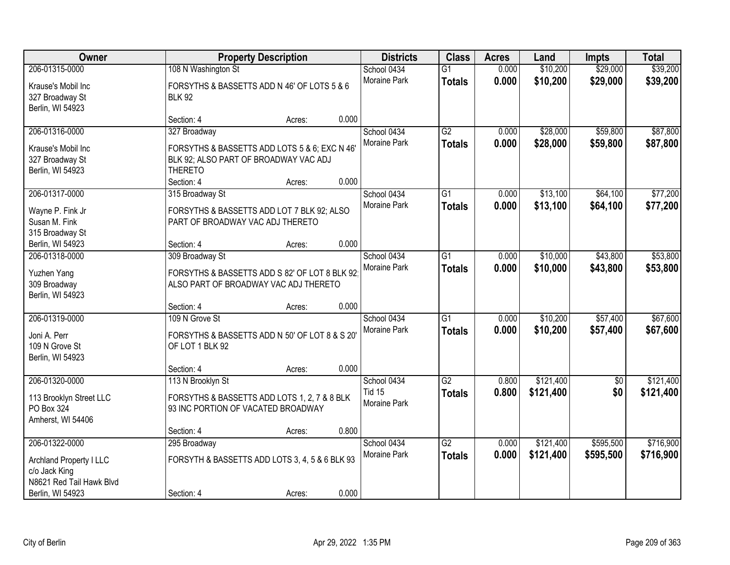| Owner<br><b>Property Description</b>                                                                       |                                                                                                                          | <b>Districts</b> | <b>Class</b> | <b>Acres</b>                                 | Land                             | <b>Impts</b>   | <b>Total</b>           |                        |                        |
|------------------------------------------------------------------------------------------------------------|--------------------------------------------------------------------------------------------------------------------------|------------------|--------------|----------------------------------------------|----------------------------------|----------------|------------------------|------------------------|------------------------|
| 206-01315-0000<br>Krause's Mobil Inc<br>327 Broadway St                                                    | 108 N Washington St<br>FORSYTHS & BASSETTS ADD N 46' OF LOTS 5 & 6<br><b>BLK 92</b>                                      |                  |              | School 0434<br>Moraine Park                  | $\overline{G1}$<br><b>Totals</b> | 0.000<br>0.000 | \$10,200<br>\$10,200   | \$29,000<br>\$29,000   | \$39,200<br>\$39,200   |
| Berlin, WI 54923                                                                                           | Section: 4                                                                                                               | Acres:           | 0.000        |                                              |                                  |                |                        |                        |                        |
| 206-01316-0000<br>Krause's Mobil Inc<br>327 Broadway St<br>Berlin, WI 54923                                | 327 Broadway<br>FORSYTHS & BASSETTS ADD LOTS 5 & 6; EXC N 46'<br>BLK 92; ALSO PART OF BROADWAY VAC ADJ<br><b>THERETO</b> |                  |              | School 0434<br>Moraine Park                  | $\overline{G2}$<br><b>Totals</b> | 0.000<br>0.000 | \$28,000<br>\$28,000   | \$59,800<br>\$59,800   | \$87,800<br>\$87,800   |
|                                                                                                            | Section: 4                                                                                                               | Acres:           | 0.000        |                                              |                                  |                |                        |                        |                        |
| 206-01317-0000<br>Wayne P. Fink Jr<br>Susan M. Fink<br>315 Broadway St                                     | 315 Broadway St<br>FORSYTHS & BASSETTS ADD LOT 7 BLK 92; ALSO<br>PART OF BROADWAY VAC ADJ THERETO                        |                  |              | School 0434<br>Moraine Park                  | $\overline{G1}$<br><b>Totals</b> | 0.000<br>0.000 | \$13,100<br>\$13,100   | \$64,100<br>\$64,100   | \$77,200<br>\$77,200   |
| Berlin, WI 54923                                                                                           | Section: 4                                                                                                               | Acres:           | 0.000        |                                              |                                  |                |                        |                        |                        |
| 206-01318-0000<br>Yuzhen Yang<br>309 Broadway<br>Berlin, WI 54923                                          | 309 Broadway St<br>FORSYTHS & BASSETTS ADD S 82' OF LOT 8 BLK 92<br>ALSO PART OF BROADWAY VAC ADJ THERETO                |                  |              | School 0434<br>Moraine Park                  | G1<br><b>Totals</b>              | 0.000<br>0.000 | \$10,000<br>\$10,000   | \$43,800<br>\$43,800   | \$53,800<br>\$53,800   |
|                                                                                                            | Section: 4                                                                                                               | Acres:           | 0.000        |                                              |                                  |                |                        |                        |                        |
| 206-01319-0000<br>Joni A. Perr<br>109 N Grove St<br>Berlin, WI 54923                                       | 109 N Grove St<br>FORSYTHS & BASSETTS ADD N 50' OF LOT 8 & S 20'<br>OF LOT 1 BLK 92                                      |                  |              | School 0434<br>Moraine Park                  | $\overline{G1}$<br><b>Totals</b> | 0.000<br>0.000 | \$10,200<br>\$10,200   | \$57,400<br>\$57,400   | \$67,600<br>\$67,600   |
|                                                                                                            | Section: 4                                                                                                               | Acres:           | 0.000        |                                              |                                  |                |                        |                        |                        |
| 206-01320-0000<br>113 Brooklyn Street LLC<br>PO Box 324<br>Amherst, WI 54406                               | 113 N Brooklyn St<br>FORSYTHS & BASSETTS ADD LOTS 1, 2, 7 & 8 BLK<br>93 INC PORTION OF VACATED BROADWAY                  |                  |              | School 0434<br><b>Tid 15</b><br>Moraine Park | $\overline{G2}$<br><b>Totals</b> | 0.800<br>0.800 | \$121,400<br>\$121,400 | $\overline{50}$<br>\$0 | \$121,400<br>\$121,400 |
|                                                                                                            | Section: 4                                                                                                               | Acres:           | 0.800        |                                              |                                  |                |                        |                        |                        |
| 206-01322-0000<br>Archland Property I LLC<br>c/o Jack King<br>N8621 Red Tail Hawk Blvd<br>Berlin, WI 54923 | 295 Broadway<br>FORSYTH & BASSETTS ADD LOTS 3, 4, 5 & 6 BLK 93<br>Section: 4                                             | Acres:           | 0.000        | School 0434<br><b>Moraine Park</b>           | $\overline{G2}$<br><b>Totals</b> | 0.000<br>0.000 | \$121,400<br>\$121,400 | \$595,500<br>\$595,500 | \$716,900<br>\$716,900 |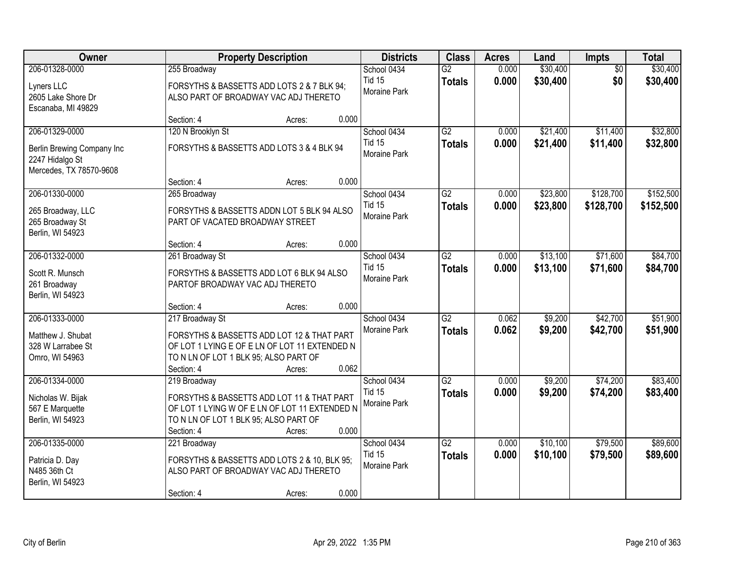| Owner                                                                                      | <b>Property Description</b>                                                                                                                                                              | <b>Districts</b>                             | <b>Class</b>                     | <b>Acres</b>   | Land                 | Impts                  | <b>Total</b>         |
|--------------------------------------------------------------------------------------------|------------------------------------------------------------------------------------------------------------------------------------------------------------------------------------------|----------------------------------------------|----------------------------------|----------------|----------------------|------------------------|----------------------|
| 206-01328-0000<br>Lyners LLC<br>2605 Lake Shore Dr<br>Escanaba, MI 49829                   | 255 Broadway<br>FORSYTHS & BASSETTS ADD LOTS 2 & 7 BLK 94;<br>ALSO PART OF BROADWAY VAC ADJ THERETO                                                                                      | School 0434<br><b>Tid 15</b><br>Moraine Park | $\overline{G2}$<br><b>Totals</b> | 0.000<br>0.000 | \$30,400<br>\$30,400 | $\overline{50}$<br>\$0 | \$30,400<br>\$30,400 |
|                                                                                            | 0.000<br>Section: 4<br>Acres:                                                                                                                                                            |                                              |                                  |                |                      |                        |                      |
| 206-01329-0000<br>Berlin Brewing Company Inc<br>2247 Hidalgo St<br>Mercedes, TX 78570-9608 | 120 N Brooklyn St<br>FORSYTHS & BASSETTS ADD LOTS 3 & 4 BLK 94<br>Section: 4<br>0.000<br>Acres:                                                                                          | School 0434<br><b>Tid 15</b><br>Moraine Park | G2<br><b>Totals</b>              | 0.000<br>0.000 | \$21,400<br>\$21,400 | \$11,400<br>\$11,400   | \$32,800<br>\$32,800 |
| 206-01330-0000                                                                             | 265 Broadway                                                                                                                                                                             | School 0434                                  | $\overline{G2}$                  | 0.000          | \$23,800             | \$128,700              | \$152,500            |
| 265 Broadway, LLC<br>265 Broadway St<br>Berlin, WI 54923                                   | FORSYTHS & BASSETTS ADDN LOT 5 BLK 94 ALSO<br>PART OF VACATED BROADWAY STREET                                                                                                            | <b>Tid 15</b><br>Moraine Park                | <b>Totals</b>                    | 0.000          | \$23,800             | \$128,700              | \$152,500            |
|                                                                                            | 0.000<br>Section: 4<br>Acres:                                                                                                                                                            |                                              |                                  |                |                      |                        |                      |
| 206-01332-0000<br>Scott R. Munsch<br>261 Broadway<br>Berlin, WI 54923                      | 261 Broadway St<br>FORSYTHS & BASSETTS ADD LOT 6 BLK 94 ALSO<br>PARTOF BROADWAY VAC ADJ THERETO                                                                                          | School 0434<br><b>Tid 15</b><br>Moraine Park | $\overline{G2}$<br><b>Totals</b> | 0.000<br>0.000 | \$13,100<br>\$13,100 | \$71,600<br>\$71,600   | \$84,700<br>\$84,700 |
|                                                                                            | 0.000<br>Section: 4<br>Acres:                                                                                                                                                            |                                              |                                  |                |                      |                        |                      |
| 206-01333-0000<br>Matthew J. Shubat<br>328 W Larrabee St<br>Omro, WI 54963                 | 217 Broadway St<br>FORSYTHS & BASSETTS ADD LOT 12 & THAT PART<br>OF LOT 1 LYING E OF E LN OF LOT 11 EXTENDED N<br>TO N LN OF LOT 1 BLK 95; ALSO PART OF<br>0.062<br>Section: 4<br>Acres: | School 0434<br>Moraine Park                  | $\overline{G2}$<br><b>Totals</b> | 0.062<br>0.062 | \$9,200<br>\$9,200   | \$42,700<br>\$42,700   | \$51,900<br>\$51,900 |
| 206-01334-0000                                                                             | 219 Broadway                                                                                                                                                                             | School 0434                                  | $\overline{G2}$                  | 0.000          | \$9,200              | \$74,200               | \$83,400             |
| Nicholas W. Bijak<br>567 E Marquette<br>Berlin, WI 54923                                   | FORSYTHS & BASSETTS ADD LOT 11 & THAT PART<br>OF LOT 1 LYING W OF E LN OF LOT 11 EXTENDED N<br>TO N LN OF LOT 1 BLK 95; ALSO PART OF<br>0.000<br>Section: 4<br>Acres:                    | <b>Tid 15</b><br>Moraine Park                | <b>Totals</b>                    | 0.000          | \$9,200              | \$74,200               | \$83,400             |
| 206-01335-0000                                                                             | 221 Broadway                                                                                                                                                                             | School 0434                                  | $\overline{G2}$                  | 0.000          | \$10,100             | \$79,500               | \$89,600             |
| Patricia D. Day<br>N485 36th Ct<br>Berlin, WI 54923                                        | FORSYTHS & BASSETTS ADD LOTS 2 & 10, BLK 95;<br>ALSO PART OF BROADWAY VAC ADJ THERETO<br>0.000<br>Section: 4<br>Acres:                                                                   | <b>Tid 15</b><br>Moraine Park                | <b>Totals</b>                    | 0.000          | \$10,100             | \$79,500               | \$89,600             |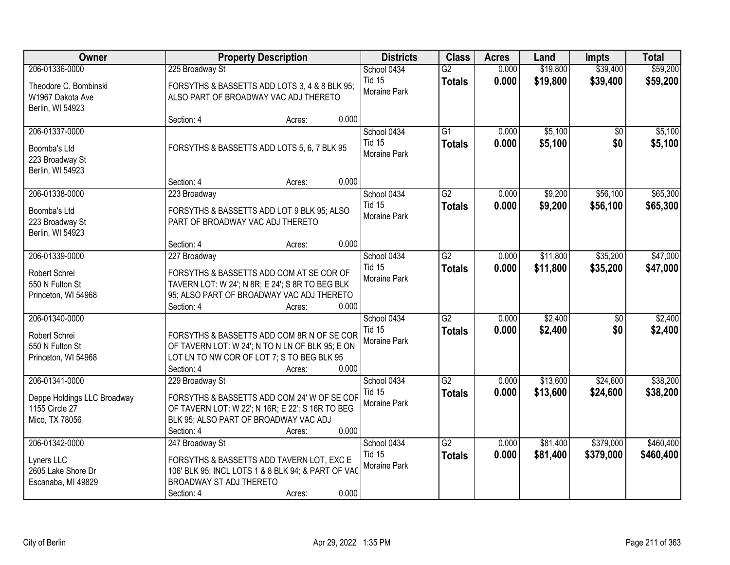| Owner<br><b>Property Description</b>                                              |                                                                                                                                                                           | <b>Districts</b> | <b>Class</b> | <b>Acres</b>                                 | Land                             | <b>Impts</b>   | <b>Total</b>         |                        |                        |
|-----------------------------------------------------------------------------------|---------------------------------------------------------------------------------------------------------------------------------------------------------------------------|------------------|--------------|----------------------------------------------|----------------------------------|----------------|----------------------|------------------------|------------------------|
| 206-01336-0000                                                                    | 225 Broadway St                                                                                                                                                           |                  |              | School 0434                                  | $\overline{G2}$                  | 0.000          | \$19,800             | \$39,400               | \$59,200               |
| Theodore C. Bombinski<br>W1967 Dakota Ave<br>Berlin, WI 54923                     | FORSYTHS & BASSETTS ADD LOTS 3, 4 & 8 BLK 95;<br>ALSO PART OF BROADWAY VAC ADJ THERETO                                                                                    |                  |              | <b>Tid 15</b><br>Moraine Park                | <b>Totals</b>                    | 0.000          | \$19,800             | \$39,400               | \$59,200               |
|                                                                                   | Section: 4                                                                                                                                                                | Acres:           | 0.000        |                                              |                                  |                |                      |                        |                        |
| 206-01337-0000<br>Boomba's Ltd<br>223 Broadway St<br>Berlin, WI 54923             | FORSYTHS & BASSETTS ADD LOTS 5, 6, 7 BLK 95                                                                                                                               |                  |              | School 0434<br><b>Tid 15</b><br>Moraine Park | $\overline{G1}$<br><b>Totals</b> | 0.000<br>0.000 | \$5,100<br>\$5,100   | \$0<br>\$0             | \$5,100<br>\$5,100     |
|                                                                                   | Section: 4                                                                                                                                                                | Acres:           | 0.000        |                                              |                                  |                |                      |                        |                        |
| 206-01338-0000<br>Boomba's Ltd<br>223 Broadway St<br>Berlin, WI 54923             | 223 Broadway<br>FORSYTHS & BASSETTS ADD LOT 9 BLK 95; ALSO<br>PART OF BROADWAY VAC ADJ THERETO                                                                            |                  |              | School 0434<br><b>Tid 15</b><br>Moraine Park | $\overline{G2}$<br><b>Totals</b> | 0.000<br>0.000 | \$9,200<br>\$9,200   | \$56,100<br>\$56,100   | \$65,300<br>\$65,300   |
|                                                                                   | Section: 4                                                                                                                                                                | Acres:           | 0.000        |                                              |                                  |                |                      |                        |                        |
| 206-01339-0000<br>Robert Schrei<br>550 N Fulton St<br>Princeton, WI 54968         | 227 Broadway<br>FORSYTHS & BASSETTS ADD COM AT SE COR OF<br>TAVERN LOT: W 24'; N 8R; E 24'; S 8R TO BEG BLK<br>95; ALSO PART OF BROADWAY VAC ADJ THERETO<br>Section: 4    | Acres:           | 0.000        | School 0434<br><b>Tid 15</b><br>Moraine Park | $\overline{G2}$<br><b>Totals</b> | 0.000<br>0.000 | \$11,800<br>\$11,800 | \$35,200<br>\$35,200   | \$47,000<br>\$47,000   |
| 206-01340-0000<br>Robert Schrei<br>550 N Fulton St<br>Princeton, WI 54968         | FORSYTHS & BASSETTS ADD COM 8R N OF SE COR<br>OF TAVERN LOT: W 24'; N TO N LN OF BLK 95; E ON<br>LOT LN TO NW COR OF LOT 7; S TO BEG BLK 95<br>Section: 4                 | Acres:           | 0.000        | School 0434<br><b>Tid 15</b><br>Moraine Park | $\overline{G2}$<br><b>Totals</b> | 0.000<br>0.000 | \$2,400<br>\$2,400   | \$0<br>\$0             | \$2,400<br>\$2,400     |
| 206-01341-0000<br>Deppe Holdings LLC Broadway<br>1155 Circle 27<br>Mico, TX 78056 | 229 Broadway St<br>FORSYTHS & BASSETTS ADD COM 24' W OF SE COR<br>OF TAVERN LOT: W 22'; N 16R; E 22'; S 16R TO BEG<br>BLK 95; ALSO PART OF BROADWAY VAC ADJ<br>Section: 4 | Acres:           | 0.000        | School 0434<br><b>Tid 15</b><br>Moraine Park | $\overline{G2}$<br><b>Totals</b> | 0.000<br>0.000 | \$13,600<br>\$13,600 | \$24,600<br>\$24,600   | \$38,200<br>\$38,200   |
| 206-01342-0000<br>Lyners LLC<br>2605 Lake Shore Dr<br>Escanaba, MI 49829          | 247 Broadway St<br>FORSYTHS & BASSETTS ADD TAVERN LOT, EXC E<br>106' BLK 95; INCL LOTS 1 & 8 BLK 94; & PART OF VAC<br>BROADWAY ST ADJ THERETO<br>Section: 4               | Acres:           | 0.000        | School 0434<br><b>Tid 15</b><br>Moraine Park | $\overline{G2}$<br><b>Totals</b> | 0.000<br>0.000 | \$81,400<br>\$81,400 | \$379,000<br>\$379,000 | \$460,400<br>\$460,400 |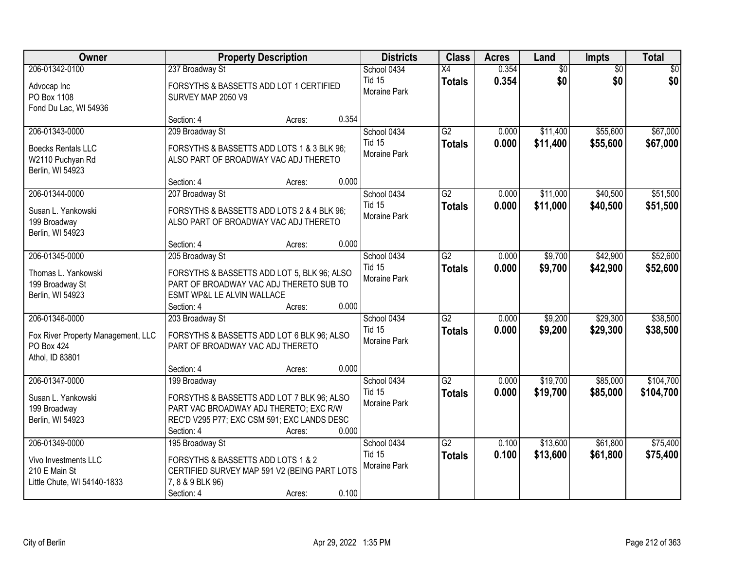| Owner                                                                      |                                                                                                                                                   | <b>Property Description</b> |       | <b>Districts</b>              | <b>Class</b>    | <b>Acres</b> | Land            | Impts           | <b>Total</b> |
|----------------------------------------------------------------------------|---------------------------------------------------------------------------------------------------------------------------------------------------|-----------------------------|-------|-------------------------------|-----------------|--------------|-----------------|-----------------|--------------|
| 206-01342-0100                                                             | 237 Broadway St                                                                                                                                   |                             |       | School 0434                   | $\overline{X4}$ | 0.354        | $\overline{60}$ | $\overline{50}$ | \$0          |
| Advocap Inc<br>PO Box 1108<br>Fond Du Lac, WI 54936                        | FORSYTHS & BASSETTS ADD LOT 1 CERTIFIED<br>SURVEY MAP 2050 V9                                                                                     |                             |       | <b>Tid 15</b><br>Moraine Park | <b>Totals</b>   | 0.354        | \$0             | \$0             | \$0          |
|                                                                            | Section: 4                                                                                                                                        | Acres:                      | 0.354 |                               |                 |              |                 |                 |              |
| 206-01343-0000                                                             | 209 Broadway St                                                                                                                                   |                             |       | School 0434                   | G2              | 0.000        | \$11,400        | \$55,600        | \$67,000     |
| <b>Boecks Rentals LLC</b><br>W2110 Puchyan Rd<br>Berlin, WI 54923          | FORSYTHS & BASSETTS ADD LOTS 1 & 3 BLK 96;<br>ALSO PART OF BROADWAY VAC ADJ THERETO                                                               |                             |       | <b>Tid 15</b><br>Moraine Park | <b>Totals</b>   | 0.000        | \$11,400        | \$55,600        | \$67,000     |
|                                                                            | Section: 4                                                                                                                                        | Acres:                      | 0.000 |                               |                 |              |                 |                 |              |
| 206-01344-0000                                                             | 207 Broadway St                                                                                                                                   |                             |       | School 0434                   | $\overline{G2}$ | 0.000        | \$11,000        | \$40,500        | \$51,500     |
| Susan L. Yankowski<br>199 Broadway<br>Berlin, WI 54923                     | FORSYTHS & BASSETTS ADD LOTS 2 & 4 BLK 96;<br>ALSO PART OF BROADWAY VAC ADJ THERETO                                                               |                             |       | <b>Tid 15</b><br>Moraine Park | <b>Totals</b>   | 0.000        | \$11,000        | \$40,500        | \$51,500     |
|                                                                            | Section: 4                                                                                                                                        | Acres:                      | 0.000 |                               |                 |              |                 |                 |              |
| 206-01345-0000                                                             | 205 Broadway St                                                                                                                                   |                             |       | School 0434                   | $\overline{G2}$ | 0.000        | \$9,700         | \$42,900        | \$52,600     |
| Thomas L. Yankowski<br>199 Broadway St<br>Berlin, WI 54923                 | FORSYTHS & BASSETTS ADD LOT 5, BLK 96; ALSO<br>PART OF BROADWAY VAC ADJ THERETO SUB TO<br>ESMT WP&L LE ALVIN WALLACE                              |                             |       | <b>Tid 15</b><br>Moraine Park | <b>Totals</b>   | 0.000        | \$9,700         | \$42,900        | \$52,600     |
|                                                                            | Section: 4                                                                                                                                        | Acres:                      | 0.000 |                               |                 |              |                 |                 |              |
| 206-01346-0000                                                             | 203 Broadway St                                                                                                                                   |                             |       | School 0434                   | $\overline{G2}$ | 0.000        | \$9,200         | \$29,300        | \$38,500     |
| Fox River Property Management, LLC<br><b>PO Box 424</b><br>Athol, ID 83801 | FORSYTHS & BASSETTS ADD LOT 6 BLK 96; ALSO<br>PART OF BROADWAY VAC ADJ THERETO                                                                    |                             |       | <b>Tid 15</b><br>Moraine Park | <b>Totals</b>   | 0.000        | \$9,200         | \$29,300        | \$38,500     |
|                                                                            | Section: 4                                                                                                                                        | Acres:                      | 0.000 |                               |                 |              |                 |                 |              |
| 206-01347-0000                                                             | 199 Broadway                                                                                                                                      |                             |       | School 0434                   | $\overline{G2}$ | 0.000        | \$19,700        | \$85,000        | \$104,700    |
| Susan L. Yankowski<br>199 Broadway<br>Berlin, WI 54923                     | FORSYTHS & BASSETTS ADD LOT 7 BLK 96; ALSO<br>PART VAC BROADWAY ADJ THERETO; EXC R/W<br>REC'D V295 P77; EXC CSM 591; EXC LANDS DESC<br>Section: 4 | Acres:                      | 0.000 | <b>Tid 15</b><br>Moraine Park | <b>Totals</b>   | 0.000        | \$19,700        | \$85,000        | \$104,700    |
| 206-01349-0000                                                             | 195 Broadway St                                                                                                                                   |                             |       | School 0434                   | $\overline{G2}$ | 0.100        | \$13,600        | \$61,800        | \$75,400     |
| Vivo Investments LLC<br>210 E Main St<br>Little Chute, WI 54140-1833       | FORSYTHS & BASSETTS ADD LOTS 1 & 2<br>CERTIFIED SURVEY MAP 591 V2 (BEING PART LOTS<br>7, 8 & 9 BLK 96)<br>Section: 4                              | Acres:                      | 0.100 | <b>Tid 15</b><br>Moraine Park | <b>Totals</b>   | 0.100        | \$13,600        | \$61,800        | \$75,400     |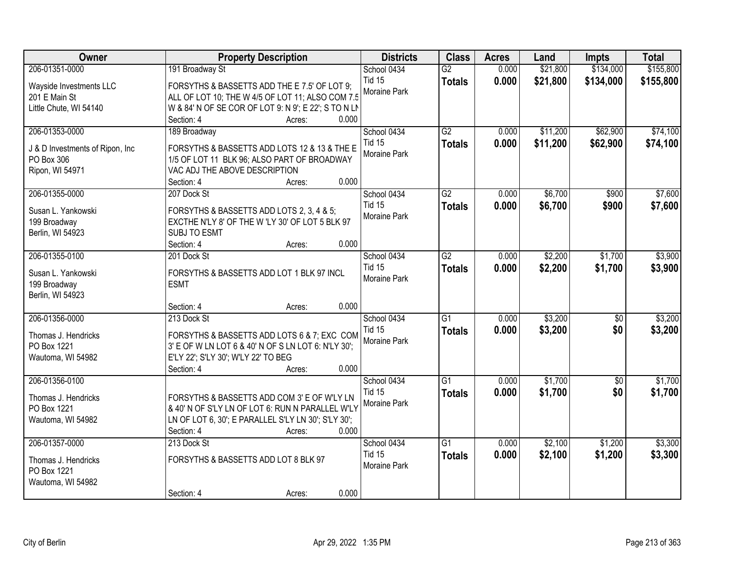| Owner                                         | <b>Property Description</b>                          | <b>Districts</b> | <b>Class</b>    | <b>Acres</b> | Land     | <b>Impts</b> | <b>Total</b> |
|-----------------------------------------------|------------------------------------------------------|------------------|-----------------|--------------|----------|--------------|--------------|
| 206-01351-0000                                | 191 Broadway St                                      | School 0434      | $\overline{G2}$ | 0.000        | \$21,800 | \$134,000    | \$155,800    |
| Wayside Investments LLC                       | FORSYTHS & BASSETTS ADD THE E 7.5' OF LOT 9;         | <b>Tid 15</b>    | <b>Totals</b>   | 0.000        | \$21,800 | \$134,000    | \$155,800    |
| 201 E Main St                                 | ALL OF LOT 10; THE W 4/5 OF LOT 11; ALSO COM 7.5     | Moraine Park     |                 |              |          |              |              |
| Little Chute, WI 54140                        | W & 84' N OF SE COR OF LOT 9: N 9'; E 22'; S TO N LN |                  |                 |              |          |              |              |
|                                               | 0.000<br>Section: 4<br>Acres:                        |                  |                 |              |          |              |              |
| 206-01353-0000                                | 189 Broadway                                         | School 0434      | $\overline{G2}$ | 0.000        | \$11,200 | \$62,900     | \$74,100     |
|                                               | FORSYTHS & BASSETTS ADD LOTS 12 & 13 & THE E         | <b>Tid 15</b>    | <b>Totals</b>   | 0.000        | \$11,200 | \$62,900     | \$74,100     |
| J & D Investments of Ripon, Inc<br>PO Box 306 | 1/5 OF LOT 11 BLK 96; ALSO PART OF BROADWAY          | Moraine Park     |                 |              |          |              |              |
| Ripon, WI 54971                               | VAC ADJ THE ABOVE DESCRIPTION                        |                  |                 |              |          |              |              |
|                                               | 0.000<br>Section: 4<br>Acres:                        |                  |                 |              |          |              |              |
| 206-01355-0000                                | 207 Dock St                                          | School 0434      | $\overline{G2}$ | 0.000        | \$6,700  | \$900        | \$7,600      |
|                                               |                                                      | <b>Tid 15</b>    | <b>Totals</b>   | 0.000        | \$6,700  | \$900        | \$7,600      |
| Susan L. Yankowski                            | FORSYTHS & BASSETTS ADD LOTS 2, 3, 4 & 5;            | Moraine Park     |                 |              |          |              |              |
| 199 Broadway                                  | EXCTHE N'LY 8' OF THE W 'LY 30' OF LOT 5 BLK 97      |                  |                 |              |          |              |              |
| Berlin, WI 54923                              | SUBJ TO ESMT<br>0.000<br>Section: 4<br>Acres:        |                  |                 |              |          |              |              |
| 206-01355-0100                                | 201 Dock St                                          | School 0434      | $\overline{G2}$ | 0.000        | \$2,200  | \$1,700      | \$3,900      |
|                                               |                                                      | <b>Tid 15</b>    | <b>Totals</b>   | 0.000        | \$2,200  | \$1,700      | \$3,900      |
| Susan L. Yankowski                            | FORSYTHS & BASSETTS ADD LOT 1 BLK 97 INCL            | Moraine Park     |                 |              |          |              |              |
| 199 Broadway                                  | <b>ESMT</b>                                          |                  |                 |              |          |              |              |
| Berlin, WI 54923                              |                                                      |                  |                 |              |          |              |              |
|                                               | 0.000<br>Section: 4<br>Acres:                        |                  |                 |              |          |              |              |
| 206-01356-0000                                | 213 Dock St                                          | School 0434      | $\overline{G1}$ | 0.000        | \$3,200  | \$0          | \$3,200      |
| Thomas J. Hendricks                           | FORSYTHS & BASSETTS ADD LOTS 6 & 7; EXC COM          | <b>Tid 15</b>    | <b>Totals</b>   | 0.000        | \$3,200  | \$0          | \$3,200      |
| PO Box 1221                                   | 3' E OF W LN LOT 6 & 40' N OF S LN LOT 6: N'LY 30';  | Moraine Park     |                 |              |          |              |              |
| Wautoma, WI 54982                             | E'LY 22'; S'LY 30'; W'LY 22' TO BEG                  |                  |                 |              |          |              |              |
|                                               | 0.000<br>Section: 4<br>Acres:                        |                  |                 |              |          |              |              |
| 206-01356-0100                                |                                                      | School 0434      | $\overline{G1}$ | 0.000        | \$1,700  | $\sqrt{6}$   | \$1,700      |
| Thomas J. Hendricks                           | FORSYTHS & BASSETTS ADD COM 3' E OF W'LY LN          | <b>Tid 15</b>    | <b>Totals</b>   | 0.000        | \$1,700  | \$0          | \$1,700      |
| PO Box 1221                                   | & 40' N OF S'LY LN OF LOT 6: RUN N PARALLEL W'LY     | Moraine Park     |                 |              |          |              |              |
| Wautoma, WI 54982                             | LN OF LOT 6, 30'; E PARALLEL S'LY LN 30'; S'LY 30';  |                  |                 |              |          |              |              |
|                                               | 0.000<br>Section: 4<br>Acres:                        |                  |                 |              |          |              |              |
| 206-01357-0000                                | 213 Dock St                                          | School 0434      | $\overline{G1}$ | 0.000        | \$2,100  | \$1,200      | \$3,300      |
|                                               | FORSYTHS & BASSETTS ADD LOT 8 BLK 97                 | <b>Tid 15</b>    | <b>Totals</b>   | 0.000        | \$2,100  | \$1,200      | \$3,300      |
| Thomas J. Hendricks<br>PO Box 1221            |                                                      | Moraine Park     |                 |              |          |              |              |
| Wautoma, WI 54982                             |                                                      |                  |                 |              |          |              |              |
|                                               | 0.000<br>Section: 4<br>Acres:                        |                  |                 |              |          |              |              |
|                                               |                                                      |                  |                 |              |          |              |              |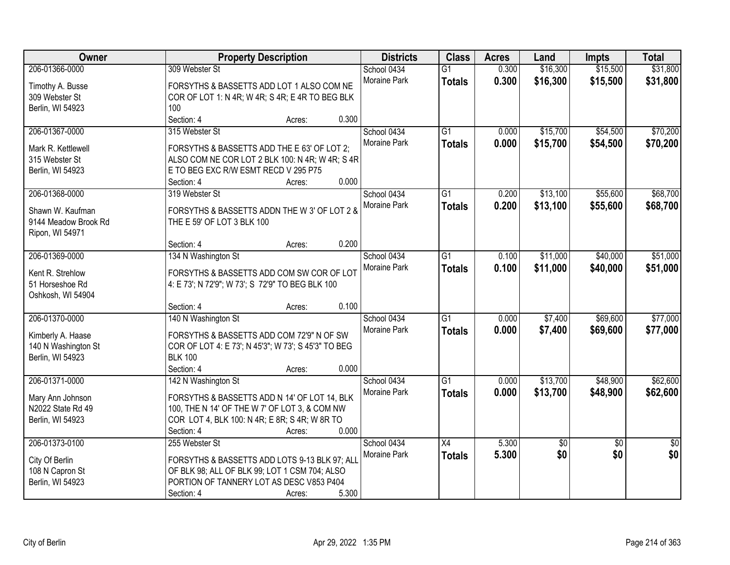| Owner                | <b>Property Description</b>                                                             |              | <b>Class</b>    | <b>Acres</b> | Land            | Impts           | <b>Total</b>    |
|----------------------|-----------------------------------------------------------------------------------------|--------------|-----------------|--------------|-----------------|-----------------|-----------------|
| 206-01366-0000       | 309 Webster St                                                                          | School 0434  | $\overline{G1}$ | 0.300        | \$16,300        | \$15,500        | \$31,800        |
| Timothy A. Busse     | FORSYTHS & BASSETTS ADD LOT 1 ALSO COM NE                                               | Moraine Park | <b>Totals</b>   | 0.300        | \$16,300        | \$15,500        | \$31,800        |
| 309 Webster St       | COR OF LOT 1: N 4R; W 4R; S 4R; E 4R TO BEG BLK                                         |              |                 |              |                 |                 |                 |
| Berlin, WI 54923     | 100                                                                                     |              |                 |              |                 |                 |                 |
|                      | Section: 4<br>0.300<br>Acres:                                                           |              |                 |              |                 |                 |                 |
| 206-01367-0000       | 315 Webster St                                                                          | School 0434  | $\overline{G1}$ | 0.000        | \$15,700        | \$54,500        | \$70,200        |
|                      |                                                                                         | Moraine Park | <b>Totals</b>   | 0.000        | \$15,700        | \$54,500        | \$70,200        |
| Mark R. Kettlewell   | FORSYTHS & BASSETTS ADD THE E 63' OF LOT 2;                                             |              |                 |              |                 |                 |                 |
| 315 Webster St       | ALSO COM NE COR LOT 2 BLK 100: N 4R; W 4R; S 4R<br>E TO BEG EXC R/W ESMT RECD V 295 P75 |              |                 |              |                 |                 |                 |
| Berlin, WI 54923     | 0.000<br>Section: 4<br>Acres:                                                           |              |                 |              |                 |                 |                 |
| 206-01368-0000       | 319 Webster St                                                                          | School 0434  | $\overline{G1}$ | 0.200        | \$13,100        | \$55,600        | \$68,700        |
|                      |                                                                                         |              |                 |              |                 |                 |                 |
| Shawn W. Kaufman     | FORSYTHS & BASSETTS ADDN THE W 3' OF LOT 2 &                                            | Moraine Park | <b>Totals</b>   | 0.200        | \$13,100        | \$55,600        | \$68,700        |
| 9144 Meadow Brook Rd | THE E 59' OF LOT 3 BLK 100                                                              |              |                 |              |                 |                 |                 |
| Ripon, WI 54971      |                                                                                         |              |                 |              |                 |                 |                 |
|                      | 0.200<br>Section: 4<br>Acres:                                                           |              |                 |              |                 |                 |                 |
| 206-01369-0000       | 134 N Washington St                                                                     | School 0434  | $\overline{G1}$ | 0.100        | \$11,000        | \$40,000        | \$51,000        |
| Kent R. Strehlow     | FORSYTHS & BASSETTS ADD COM SW COR OF LOT                                               | Moraine Park | <b>Totals</b>   | 0.100        | \$11,000        | \$40,000        | \$51,000        |
| 51 Horseshoe Rd      | 4: E 73'; N 72'9"; W 73'; S 72'9" TO BEG BLK 100                                        |              |                 |              |                 |                 |                 |
| Oshkosh, WI 54904    |                                                                                         |              |                 |              |                 |                 |                 |
|                      | 0.100<br>Section: 4<br>Acres:                                                           |              |                 |              |                 |                 |                 |
| 206-01370-0000       | 140 N Washington St                                                                     | School 0434  | $\overline{G1}$ | 0.000        | \$7,400         | \$69,600        | \$77,000        |
|                      |                                                                                         | Moraine Park |                 | 0.000        | \$7,400         | \$69,600        | \$77,000        |
| Kimberly A. Haase    | FORSYTHS & BASSETTS ADD COM 72'9" N OF SW                                               |              | <b>Totals</b>   |              |                 |                 |                 |
| 140 N Washington St  | COR OF LOT 4: E 73'; N 45'3"; W 73'; S 45'3" TO BEG                                     |              |                 |              |                 |                 |                 |
| Berlin, WI 54923     | <b>BLK 100</b>                                                                          |              |                 |              |                 |                 |                 |
|                      | Section: 4<br>0.000<br>Acres:                                                           |              |                 |              |                 |                 |                 |
| 206-01371-0000       | 142 N Washington St                                                                     | School 0434  | $\overline{G1}$ | 0.000        | \$13,700        | \$48,900        | \$62,600        |
| Mary Ann Johnson     | FORSYTHS & BASSETTS ADD N 14' OF LOT 14, BLK                                            | Moraine Park | <b>Totals</b>   | 0.000        | \$13,700        | \$48,900        | \$62,600        |
| N2022 State Rd 49    | 100, THE N 14' OF THE W 7' OF LOT 3, & COM NW                                           |              |                 |              |                 |                 |                 |
| Berlin, WI 54923     | COR LOT 4, BLK 100: N 4R; E 8R; S 4R; W 8R TO                                           |              |                 |              |                 |                 |                 |
|                      | 0.000<br>Section: 4<br>Acres:                                                           |              |                 |              |                 |                 |                 |
| 206-01373-0100       | 255 Webster St                                                                          | School 0434  | X4              | 5.300        | $\overline{60}$ | $\overline{50}$ | $\overline{50}$ |
|                      |                                                                                         | Moraine Park | <b>Totals</b>   | 5.300        | \$0             | \$0             | \$0             |
| City Of Berlin       | FORSYTHS & BASSETTS ADD LOTS 9-13 BLK 97; ALL                                           |              |                 |              |                 |                 |                 |
| 108 N Capron St      | OF BLK 98; ALL OF BLK 99; LOT 1 CSM 704; ALSO                                           |              |                 |              |                 |                 |                 |
| Berlin, WI 54923     | PORTION OF TANNERY LOT AS DESC V853 P404                                                |              |                 |              |                 |                 |                 |
|                      | 5.300<br>Section: 4<br>Acres:                                                           |              |                 |              |                 |                 |                 |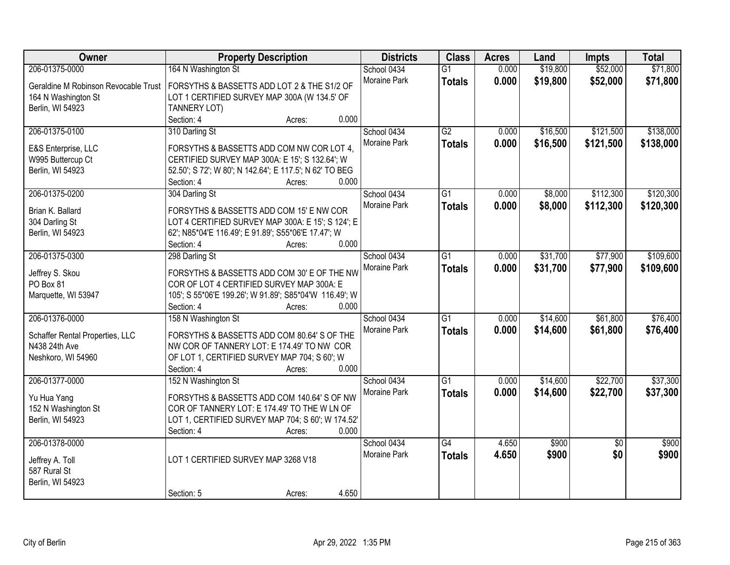| Owner                                | <b>Property Description</b>                             | <b>Districts</b> | <b>Class</b>    | <b>Acres</b> | Land     | <b>Impts</b>    | <b>Total</b> |
|--------------------------------------|---------------------------------------------------------|------------------|-----------------|--------------|----------|-----------------|--------------|
| 206-01375-0000                       | 164 N Washington St                                     | School 0434      | $\overline{G1}$ | 0.000        | \$19,800 | \$52,000        | \$71,800     |
| Geraldine M Robinson Revocable Trust | FORSYTHS & BASSETTS ADD LOT 2 & THE S1/2 OF             | Moraine Park     | <b>Totals</b>   | 0.000        | \$19,800 | \$52,000        | \$71,800     |
| 164 N Washington St                  | LOT 1 CERTIFIED SURVEY MAP 300A (W 134.5' OF            |                  |                 |              |          |                 |              |
| Berlin, WI 54923                     | TANNERY LOT)                                            |                  |                 |              |          |                 |              |
|                                      | 0.000<br>Section: 4<br>Acres:                           |                  |                 |              |          |                 |              |
| 206-01375-0100                       | 310 Darling St                                          | School 0434      | $\overline{G2}$ | 0.000        | \$16,500 | \$121,500       | \$138,000    |
|                                      |                                                         | Moraine Park     | <b>Totals</b>   | 0.000        | \$16,500 | \$121,500       | \$138,000    |
| E&S Enterprise, LLC                  | FORSYTHS & BASSETTS ADD COM NW COR LOT 4.               |                  |                 |              |          |                 |              |
| W995 Buttercup Ct                    | CERTIFIED SURVEY MAP 300A: E 15'; S 132.64'; W          |                  |                 |              |          |                 |              |
| Berlin, WI 54923                     | 52.50'; S 72'; W 80'; N 142.64'; E 117.5'; N 62' TO BEG |                  |                 |              |          |                 |              |
|                                      | 0.000<br>Section: 4<br>Acres:                           |                  |                 |              |          |                 |              |
| 206-01375-0200                       | 304 Darling St                                          | School 0434      | G1              | 0.000        | \$8,000  | \$112,300       | \$120,300    |
| Brian K. Ballard                     | FORSYTHS & BASSETTS ADD COM 15' E NW COR                | Moraine Park     | <b>Totals</b>   | 0.000        | \$8,000  | \$112,300       | \$120,300    |
| 304 Darling St                       | LOT 4 CERTIFIED SURVEY MAP 300A: E 15'; S 124'; E       |                  |                 |              |          |                 |              |
| Berlin, WI 54923                     | 62'; N85*04'E 116.49'; E 91.89'; S55*06'E 17.47'; W     |                  |                 |              |          |                 |              |
|                                      | 0.000<br>Section: 4<br>Acres:                           |                  |                 |              |          |                 |              |
| 206-01375-0300                       | 298 Darling St                                          | School 0434      | G1              | 0.000        | \$31,700 | \$77,900        | \$109,600    |
|                                      |                                                         | Moraine Park     | <b>Totals</b>   | 0.000        | \$31,700 | \$77,900        | \$109,600    |
| Jeffrey S. Skou                      | FORSYTHS & BASSETTS ADD COM 30' E OF THE NW             |                  |                 |              |          |                 |              |
| PO Box 81                            | COR OF LOT 4 CERTIFIED SURVEY MAP 300A: E               |                  |                 |              |          |                 |              |
| Marquette, WI 53947                  | 105'; S 55*06'E 199.26'; W 91.89'; S85*04'W 116.49'; W  |                  |                 |              |          |                 |              |
|                                      | Section: 4<br>0.000<br>Acres:                           |                  |                 |              |          |                 |              |
| 206-01376-0000                       | 158 N Washington St                                     | School 0434      | $\overline{G1}$ | 0.000        | \$14,600 | \$61,800        | \$76,400     |
| Schaffer Rental Properties, LLC      | FORSYTHS & BASSETTS ADD COM 80.64' S OF THE             | Moraine Park     | <b>Totals</b>   | 0.000        | \$14,600 | \$61,800        | \$76,400     |
| N438 24th Ave                        | NW COR OF TANNERY LOT: E 174.49' TO NW COR              |                  |                 |              |          |                 |              |
| Neshkoro, WI 54960                   | OF LOT 1, CERTIFIED SURVEY MAP 704; S 60'; W            |                  |                 |              |          |                 |              |
|                                      | 0.000<br>Section: 4<br>Acres:                           |                  |                 |              |          |                 |              |
| 206-01377-0000                       | 152 N Washington St                                     | School 0434      | $\overline{G1}$ | 0.000        | \$14,600 | \$22,700        | \$37,300     |
|                                      |                                                         | Moraine Park     | <b>Totals</b>   | 0.000        | \$14,600 | \$22,700        | \$37,300     |
| Yu Hua Yang                          | FORSYTHS & BASSETTS ADD COM 140.64' S OF NW             |                  |                 |              |          |                 |              |
| 152 N Washington St                  | COR OF TANNERY LOT: E 174.49' TO THE W LN OF            |                  |                 |              |          |                 |              |
| Berlin, WI 54923                     | LOT 1, CERTIFIED SURVEY MAP 704; S 60'; W 174.52'       |                  |                 |              |          |                 |              |
|                                      | 0.000<br>Section: 4<br>Acres:                           |                  | $\overline{G4}$ |              |          |                 |              |
| 206-01378-0000                       |                                                         | School 0434      |                 | 4.650        | \$900    | $\overline{30}$ | \$900        |
| Jeffrey A. Toll                      | LOT 1 CERTIFIED SURVEY MAP 3268 V18                     | Moraine Park     | <b>Totals</b>   | 4.650        | \$900    | \$0             | \$900        |
| 587 Rural St                         |                                                         |                  |                 |              |          |                 |              |
| Berlin, WI 54923                     |                                                         |                  |                 |              |          |                 |              |
|                                      | 4.650<br>Section: 5<br>Acres:                           |                  |                 |              |          |                 |              |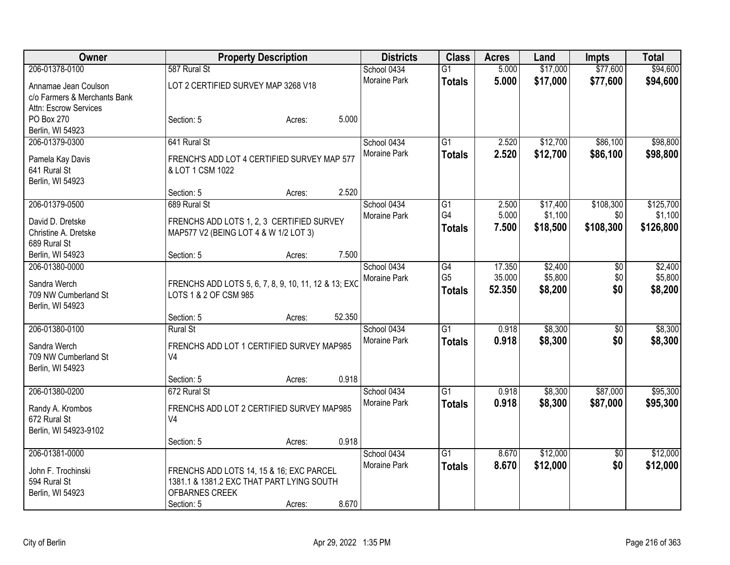| Owner                            | <b>Property Description</b>           |                                                      | <b>Districts</b> | <b>Class</b>        | <b>Acres</b>    | Land   | <b>Impts</b> | <b>Total</b>    |           |
|----------------------------------|---------------------------------------|------------------------------------------------------|------------------|---------------------|-----------------|--------|--------------|-----------------|-----------|
| 206-01378-0100                   | 587 Rural St                          |                                                      |                  | School 0434         | $\overline{G1}$ | 5.000  | \$17,000     | \$77,600        | \$94,600  |
| Annamae Jean Coulson             | LOT 2 CERTIFIED SURVEY MAP 3268 V18   |                                                      |                  | Moraine Park        | <b>Totals</b>   | 5.000  | \$17,000     | \$77,600        | \$94,600  |
| c/o Farmers & Merchants Bank     |                                       |                                                      |                  |                     |                 |        |              |                 |           |
| Attn: Escrow Services            |                                       |                                                      |                  |                     |                 |        |              |                 |           |
| PO Box 270                       | Section: 5                            | Acres:                                               | 5.000            |                     |                 |        |              |                 |           |
| Berlin, WI 54923                 |                                       |                                                      |                  |                     |                 |        |              |                 |           |
| 206-01379-0300                   | 641 Rural St                          |                                                      |                  | School 0434         | $\overline{G1}$ | 2.520  | \$12,700     | \$86,100        | \$98,800  |
|                                  |                                       | FRENCH'S ADD LOT 4 CERTIFIED SURVEY MAP 577          |                  | Moraine Park        | <b>Totals</b>   | 2.520  | \$12,700     | \$86,100        | \$98,800  |
| Pamela Kay Davis<br>641 Rural St | & LOT 1 CSM 1022                      |                                                      |                  |                     |                 |        |              |                 |           |
| Berlin, WI 54923                 |                                       |                                                      |                  |                     |                 |        |              |                 |           |
|                                  | Section: 5                            | Acres:                                               | 2.520            |                     |                 |        |              |                 |           |
| 206-01379-0500                   | 689 Rural St                          |                                                      |                  | School 0434         | G1              | 2.500  | \$17,400     | \$108,300       | \$125,700 |
|                                  |                                       |                                                      |                  | Moraine Park        | G4              | 5.000  | \$1,100      | \$0             | \$1,100   |
| David D. Dretske                 |                                       | FRENCHS ADD LOTS 1, 2, 3 CERTIFIED SURVEY            |                  |                     | <b>Totals</b>   | 7.500  | \$18,500     | \$108,300       | \$126,800 |
| Christine A. Dretske             | MAP577 V2 (BEING LOT 4 & W 1/2 LOT 3) |                                                      |                  |                     |                 |        |              |                 |           |
| 689 Rural St                     |                                       |                                                      |                  |                     |                 |        |              |                 |           |
| Berlin, WI 54923                 | Section: 5                            | Acres:                                               | 7.500            |                     |                 |        |              |                 |           |
| 206-01380-0000                   |                                       |                                                      |                  | School 0434         | G4              | 17.350 | \$2,400      | \$0             | \$2,400   |
| Sandra Werch                     |                                       | FRENCHS ADD LOTS 5, 6, 7, 8, 9, 10, 11, 12 & 13; EXC |                  | Moraine Park        | G <sub>5</sub>  | 35.000 | \$5,800      | \$0             | \$5,800   |
| 709 NW Cumberland St             | LOTS 1 & 2 OF CSM 985                 |                                                      |                  |                     | <b>Totals</b>   | 52.350 | \$8,200      | \$0             | \$8,200   |
| Berlin, WI 54923                 |                                       |                                                      |                  |                     |                 |        |              |                 |           |
|                                  | Section: 5                            | Acres:                                               | 52.350           |                     |                 |        |              |                 |           |
| 206-01380-0100                   | <b>Rural St</b>                       |                                                      |                  | School 0434         | $\overline{G1}$ | 0.918  | \$8,300      | \$0             | \$8,300   |
|                                  |                                       |                                                      |                  | Moraine Park        | <b>Totals</b>   | 0.918  | \$8,300      | \$0             | \$8,300   |
| Sandra Werch                     |                                       | FRENCHS ADD LOT 1 CERTIFIED SURVEY MAP985            |                  |                     |                 |        |              |                 |           |
| 709 NW Cumberland St             | V <sub>4</sub>                        |                                                      |                  |                     |                 |        |              |                 |           |
| Berlin, WI 54923                 | Section: 5                            | Acres:                                               | 0.918            |                     |                 |        |              |                 |           |
| 206-01380-0200                   | 672 Rural St                          |                                                      |                  | School 0434         | $\overline{G1}$ | 0.918  | \$8,300      | \$87,000        | \$95,300  |
|                                  |                                       |                                                      |                  | Moraine Park        |                 |        |              |                 |           |
| Randy A. Krombos                 |                                       | FRENCHS ADD LOT 2 CERTIFIED SURVEY MAP985            |                  |                     | <b>Totals</b>   | 0.918  | \$8,300      | \$87,000        | \$95,300  |
| 672 Rural St                     | V <sub>4</sub>                        |                                                      |                  |                     |                 |        |              |                 |           |
| Berlin, WI 54923-9102            |                                       |                                                      |                  |                     |                 |        |              |                 |           |
|                                  | Section: 5                            | Acres:                                               | 0.918            |                     |                 |        |              |                 |           |
| 206-01381-0000                   |                                       |                                                      |                  | School 0434         | $\overline{G1}$ | 8.670  | \$12,000     | $\overline{50}$ | \$12,000  |
| John F. Trochinski               |                                       | FRENCHS ADD LOTS 14, 15 & 16; EXC PARCEL             |                  | <b>Moraine Park</b> | <b>Totals</b>   | 8.670  | \$12,000     | \$0             | \$12,000  |
| 594 Rural St                     |                                       | 1381.1 & 1381.2 EXC THAT PART LYING SOUTH            |                  |                     |                 |        |              |                 |           |
| Berlin, WI 54923                 | OFBARNES CREEK                        |                                                      |                  |                     |                 |        |              |                 |           |
|                                  | Section: 5                            | Acres:                                               | 8.670            |                     |                 |        |              |                 |           |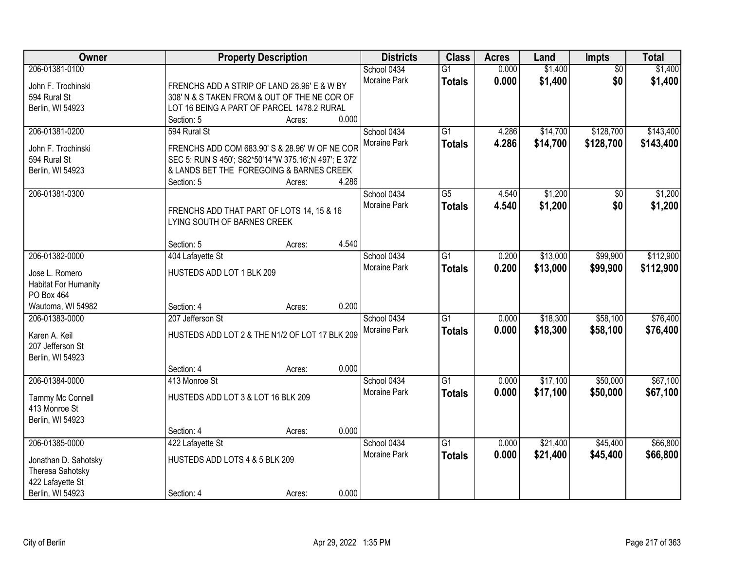| Owner                                | <b>Property Description</b>                                              | <b>Districts</b>            | <b>Class</b>    | <b>Acres</b>   | Land     | Impts           | <b>Total</b> |
|--------------------------------------|--------------------------------------------------------------------------|-----------------------------|-----------------|----------------|----------|-----------------|--------------|
| 206-01381-0100                       |                                                                          | School 0434                 | $\overline{G1}$ | 0.000          | \$1,400  | $\overline{50}$ | \$1,400      |
| John F. Trochinski                   | FRENCHS ADD A STRIP OF LAND 28.96' E & W BY                              | <b>Moraine Park</b>         | <b>Totals</b>   | 0.000          | \$1,400  | \$0             | \$1,400      |
| 594 Rural St                         | 308' N & S TAKEN FROM & OUT OF THE NE COR OF                             |                             |                 |                |          |                 |              |
| Berlin, WI 54923                     | LOT 16 BEING A PART OF PARCEL 1478.2 RURAL                               |                             |                 |                |          |                 |              |
|                                      | 0.000<br>Section: 5<br>Acres:                                            |                             |                 |                |          |                 |              |
| 206-01381-0200                       | 594 Rural St                                                             | School 0434                 | $\overline{G1}$ | 4.286          | \$14,700 | \$128,700       | \$143,400    |
| John F. Trochinski                   | FRENCHS ADD COM 683.90' S & 28.96' W OF NE COR                           | Moraine Park                | <b>Totals</b>   | 4.286          | \$14,700 | \$128,700       | \$143,400    |
| 594 Rural St                         | SEC 5: RUN S 450'; S82*50'14"W 375.16'; N 497'; E 372'                   |                             |                 |                |          |                 |              |
| Berlin, WI 54923                     | & LANDS BET THE FOREGOING & BARNES CREEK                                 |                             |                 |                |          |                 |              |
|                                      | 4.286<br>Section: 5<br>Acres:                                            |                             |                 |                |          |                 |              |
| 206-01381-0300                       |                                                                          | School 0434                 | $\overline{G5}$ | 4.540          | \$1,200  | \$0             | \$1,200      |
|                                      |                                                                          | Moraine Park                | <b>Totals</b>   | 4.540          | \$1,200  | \$0             | \$1,200      |
|                                      | FRENCHS ADD THAT PART OF LOTS 14, 15 & 16<br>LYING SOUTH OF BARNES CREEK |                             |                 |                |          |                 |              |
|                                      |                                                                          |                             |                 |                |          |                 |              |
|                                      | 4.540<br>Section: 5<br>Acres:                                            |                             |                 |                |          |                 |              |
| 206-01382-0000                       | 404 Lafayette St                                                         | School 0434                 | $\overline{G1}$ | 0.200          | \$13,000 | \$99,900        | \$112,900    |
| Jose L. Romero                       | HUSTEDS ADD LOT 1 BLK 209                                                | Moraine Park                | <b>Totals</b>   | 0.200          | \$13,000 | \$99,900        | \$112,900    |
| <b>Habitat For Humanity</b>          |                                                                          |                             |                 |                |          |                 |              |
| PO Box 464                           |                                                                          |                             |                 |                |          |                 |              |
| Wautoma, WI 54982                    | 0.200<br>Section: 4<br>Acres:                                            |                             |                 |                |          |                 |              |
| 206-01383-0000                       | 207 Jefferson St                                                         | School 0434                 | $\overline{G1}$ | 0.000          | \$18,300 | \$58,100        | \$76,400     |
|                                      |                                                                          | Moraine Park                | <b>Totals</b>   | 0.000          | \$18,300 | \$58,100        | \$76,400     |
| Karen A. Keil                        | HUSTEDS ADD LOT 2 & THE N1/2 OF LOT 17 BLK 209                           |                             |                 |                |          |                 |              |
| 207 Jefferson St<br>Berlin, WI 54923 |                                                                          |                             |                 |                |          |                 |              |
|                                      | 0.000<br>Section: 4<br>Acres:                                            |                             |                 |                |          |                 |              |
| 206-01384-0000                       | 413 Monroe St                                                            | School 0434                 | $\overline{G1}$ | 0.000          | \$17,100 | \$50,000        | \$67,100     |
|                                      |                                                                          | Moraine Park                | <b>Totals</b>   | 0.000          | \$17,100 | \$50,000        | \$67,100     |
| Tammy Mc Connell                     | HUSTEDS ADD LOT 3 & LOT 16 BLK 209                                       |                             |                 |                |          |                 |              |
| 413 Monroe St                        |                                                                          |                             |                 |                |          |                 |              |
| Berlin, WI 54923                     |                                                                          |                             |                 |                |          |                 |              |
|                                      | 0.000<br>Section: 4<br>Acres:                                            |                             | $\overline{G1}$ |                |          |                 |              |
| 206-01385-0000                       | 422 Lafayette St                                                         | School 0434<br>Moraine Park |                 | 0.000<br>0.000 | \$21,400 | \$45,400        | \$66,800     |
| Jonathan D. Sahotsky                 | HUSTEDS ADD LOTS 4 & 5 BLK 209                                           |                             | <b>Totals</b>   |                | \$21,400 | \$45,400        | \$66,800     |
| Theresa Sahotsky                     |                                                                          |                             |                 |                |          |                 |              |
| 422 Lafayette St                     |                                                                          |                             |                 |                |          |                 |              |
| Berlin, WI 54923                     | 0.000<br>Section: 4<br>Acres:                                            |                             |                 |                |          |                 |              |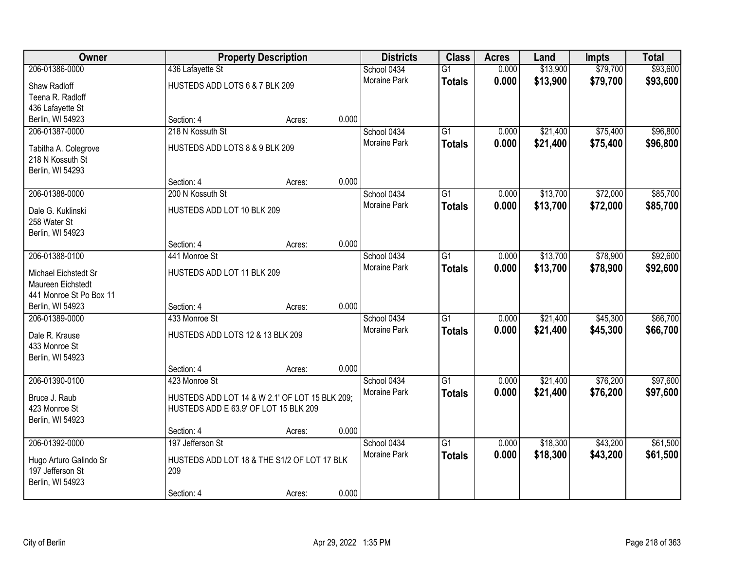| <b>Owner</b>            |                                                | <b>Property Description</b> |       | <b>Districts</b>    | <b>Class</b>    | <b>Acres</b> | Land     | <b>Impts</b> | <b>Total</b> |
|-------------------------|------------------------------------------------|-----------------------------|-------|---------------------|-----------------|--------------|----------|--------------|--------------|
| 206-01386-0000          | 436 Lafayette St                               |                             |       | School 0434         | $\overline{G1}$ | 0.000        | \$13,900 | \$79,700     | \$93,600     |
| Shaw Radloff            | HUSTEDS ADD LOTS 6 & 7 BLK 209                 |                             |       | <b>Moraine Park</b> | <b>Totals</b>   | 0.000        | \$13,900 | \$79,700     | \$93,600     |
| Teena R. Radloff        |                                                |                             |       |                     |                 |              |          |              |              |
| 436 Lafayette St        |                                                |                             |       |                     |                 |              |          |              |              |
| Berlin, WI 54923        | Section: 4                                     | Acres:                      | 0.000 |                     |                 |              |          |              |              |
| 206-01387-0000          | 218 N Kossuth St                               |                             |       | School 0434         | $\overline{G1}$ | 0.000        | \$21,400 | \$75,400     | \$96,800     |
| Tabitha A. Colegrove    | HUSTEDS ADD LOTS 8 & 9 BLK 209                 |                             |       | Moraine Park        | <b>Totals</b>   | 0.000        | \$21,400 | \$75,400     | \$96,800     |
| 218 N Kossuth St        |                                                |                             |       |                     |                 |              |          |              |              |
| Berlin, WI 54293        |                                                |                             |       |                     |                 |              |          |              |              |
|                         | Section: 4                                     | Acres:                      | 0.000 |                     |                 |              |          |              |              |
| 206-01388-0000          | 200 N Kossuth St                               |                             |       | School 0434         | $\overline{G1}$ | 0.000        | \$13,700 | \$72,000     | \$85,700     |
| Dale G. Kuklinski       | HUSTEDS ADD LOT 10 BLK 209                     |                             |       | Moraine Park        | <b>Totals</b>   | 0.000        | \$13,700 | \$72,000     | \$85,700     |
| 258 Water St            |                                                |                             |       |                     |                 |              |          |              |              |
| Berlin, WI 54923        |                                                |                             |       |                     |                 |              |          |              |              |
|                         | Section: 4                                     | Acres:                      | 0.000 |                     |                 |              |          |              |              |
| 206-01388-0100          | 441 Monroe St                                  |                             |       | School 0434         | $\overline{G1}$ | 0.000        | \$13,700 | \$78,900     | \$92,600     |
| Michael Eichstedt Sr    | HUSTEDS ADD LOT 11 BLK 209                     |                             |       | Moraine Park        | <b>Totals</b>   | 0.000        | \$13,700 | \$78,900     | \$92,600     |
| Maureen Eichstedt       |                                                |                             |       |                     |                 |              |          |              |              |
| 441 Monroe St Po Box 11 |                                                |                             |       |                     |                 |              |          |              |              |
| Berlin, WI 54923        | Section: 4                                     | Acres:                      | 0.000 |                     |                 |              |          |              |              |
| 206-01389-0000          | 433 Monroe St                                  |                             |       | School 0434         | $\overline{G1}$ | 0.000        | \$21,400 | \$45,300     | \$66,700     |
| Dale R. Krause          | HUSTEDS ADD LOTS 12 & 13 BLK 209               |                             |       | Moraine Park        | <b>Totals</b>   | 0.000        | \$21,400 | \$45,300     | \$66,700     |
| 433 Monroe St           |                                                |                             |       |                     |                 |              |          |              |              |
| Berlin, WI 54923        |                                                |                             |       |                     |                 |              |          |              |              |
|                         | Section: 4                                     | Acres:                      | 0.000 |                     |                 |              |          |              |              |
| 206-01390-0100          | 423 Monroe St                                  |                             |       | School 0434         | $\overline{G1}$ | 0.000        | \$21,400 | \$76,200     | \$97,600     |
| Bruce J. Raub           | HUSTEDS ADD LOT 14 & W 2.1' OF LOT 15 BLK 209; |                             |       | Moraine Park        | <b>Totals</b>   | 0.000        | \$21,400 | \$76,200     | \$97,600     |
| 423 Monroe St           | HUSTEDS ADD E 63.9' OF LOT 15 BLK 209          |                             |       |                     |                 |              |          |              |              |
| Berlin, WI 54923        |                                                |                             |       |                     |                 |              |          |              |              |
|                         | Section: 4                                     | Acres:                      | 0.000 |                     |                 |              |          |              |              |
| 206-01392-0000          | 197 Jefferson St                               |                             |       | School 0434         | $\overline{G1}$ | 0.000        | \$18,300 | \$43,200     | \$61,500     |
| Hugo Arturo Galindo Sr  | HUSTEDS ADD LOT 18 & THE S1/2 OF LOT 17 BLK    |                             |       | <b>Moraine Park</b> | <b>Totals</b>   | 0.000        | \$18,300 | \$43,200     | \$61,500     |
| 197 Jefferson St        | 209                                            |                             |       |                     |                 |              |          |              |              |
| Berlin, WI 54923        |                                                |                             |       |                     |                 |              |          |              |              |
|                         | Section: 4                                     | Acres:                      | 0.000 |                     |                 |              |          |              |              |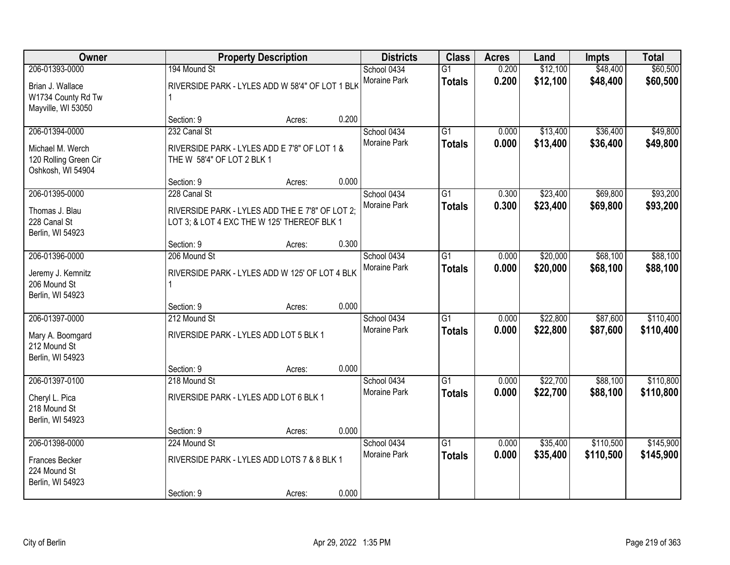| <b>Owner</b><br><b>Property Description</b>                                      |                                                                                                                | <b>Districts</b> | <b>Class</b> | <b>Acres</b>                       | Land                             | <b>Impts</b>   | <b>Total</b>         |                        |                        |
|----------------------------------------------------------------------------------|----------------------------------------------------------------------------------------------------------------|------------------|--------------|------------------------------------|----------------------------------|----------------|----------------------|------------------------|------------------------|
| 206-01393-0000<br>Brian J. Wallace<br>W1734 County Rd Tw<br>Mayville, WI 53050   | 194 Mound St<br>RIVERSIDE PARK - LYLES ADD W 58'4" OF LOT 1 BLK                                                |                  |              | School 0434<br>Moraine Park        | $\overline{G1}$<br><b>Totals</b> | 0.200<br>0.200 | \$12,100<br>\$12,100 | \$48,400<br>\$48,400   | \$60,500<br>\$60,500   |
|                                                                                  | Section: 9                                                                                                     | Acres:           | 0.200        |                                    |                                  |                |                      |                        |                        |
| 206-01394-0000<br>Michael M. Werch<br>120 Rolling Green Cir<br>Oshkosh, WI 54904 | 232 Canal St<br>RIVERSIDE PARK - LYLES ADD E 7'8" OF LOT 1 &<br>THE W 58'4" OF LOT 2 BLK 1                     |                  |              | School 0434<br>Moraine Park        | $\overline{G1}$<br><b>Totals</b> | 0.000<br>0.000 | \$13,400<br>\$13,400 | \$36,400<br>\$36,400   | \$49,800<br>\$49,800   |
|                                                                                  | Section: 9                                                                                                     | Acres:           | 0.000        |                                    |                                  |                |                      |                        |                        |
| 206-01395-0000<br>Thomas J. Blau<br>228 Canal St<br>Berlin, WI 54923             | 228 Canal St<br>RIVERSIDE PARK - LYLES ADD THE E 7'8" OF LOT 2;<br>LOT 3; & LOT 4 EXC THE W 125' THEREOF BLK 1 |                  |              | School 0434<br>Moraine Park        | $\overline{G1}$<br><b>Totals</b> | 0.300<br>0.300 | \$23,400<br>\$23,400 | \$69,800<br>\$69,800   | \$93,200<br>\$93,200   |
|                                                                                  | Section: 9                                                                                                     | Acres:           | 0.300        |                                    |                                  |                |                      |                        |                        |
| 206-01396-0000<br>Jeremy J. Kemnitz<br>206 Mound St<br>Berlin, WI 54923          | 206 Mound St<br>RIVERSIDE PARK - LYLES ADD W 125' OF LOT 4 BLK                                                 |                  |              | School 0434<br><b>Moraine Park</b> | $\overline{G1}$<br><b>Totals</b> | 0.000<br>0.000 | \$20,000<br>\$20,000 | \$68,100<br>\$68,100   | \$88,100<br>\$88,100   |
|                                                                                  | Section: 9                                                                                                     | Acres:           | 0.000        |                                    |                                  |                |                      |                        |                        |
| 206-01397-0000<br>Mary A. Boomgard<br>212 Mound St<br>Berlin, WI 54923           | 212 Mound St<br>RIVERSIDE PARK - LYLES ADD LOT 5 BLK 1<br>Section: 9                                           | Acres:           | 0.000        | School 0434<br>Moraine Park        | $\overline{G1}$<br><b>Totals</b> | 0.000<br>0.000 | \$22,800<br>\$22,800 | \$87,600<br>\$87,600   | \$110,400<br>\$110,400 |
| 206-01397-0100                                                                   | 218 Mound St                                                                                                   |                  |              | School 0434                        | $\overline{G1}$                  | 0.000          | \$22,700             | \$88,100               | \$110,800              |
| Cheryl L. Pica<br>218 Mound St<br>Berlin, WI 54923                               | RIVERSIDE PARK - LYLES ADD LOT 6 BLK 1                                                                         |                  |              | Moraine Park                       | <b>Totals</b>                    | 0.000          | \$22,700             | \$88,100               | \$110,800              |
|                                                                                  | Section: 9                                                                                                     | Acres:           | 0.000        |                                    |                                  |                |                      |                        |                        |
| 206-01398-0000<br>Frances Becker<br>224 Mound St<br>Berlin, WI 54923             | 224 Mound St<br>RIVERSIDE PARK - LYLES ADD LOTS 7 & 8 BLK 1<br>Section: 9                                      |                  | 0.000        | School 0434<br>Moraine Park        | $\overline{G1}$<br><b>Totals</b> | 0.000<br>0.000 | \$35,400<br>\$35,400 | \$110,500<br>\$110,500 | \$145,900<br>\$145,900 |
|                                                                                  |                                                                                                                | Acres:           |              |                                    |                                  |                |                      |                        |                        |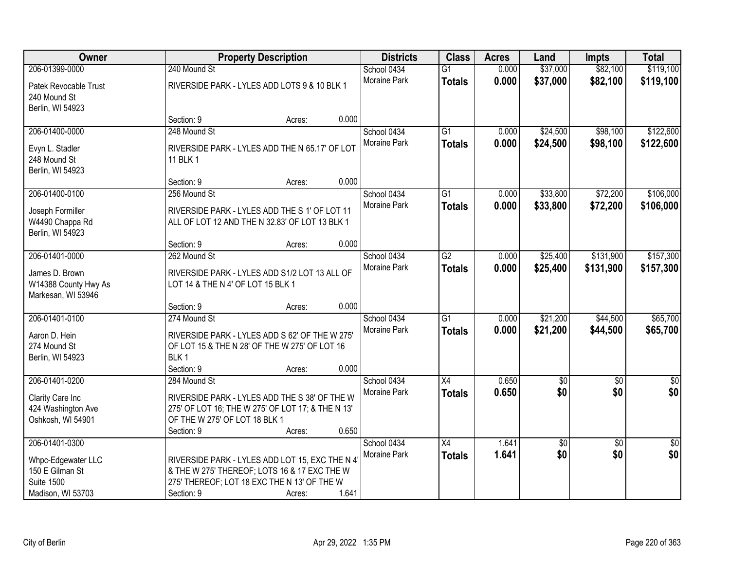| Owner                                                        |                                   | <b>Property Description</b>                                                                     |       | <b>Districts</b>            | <b>Class</b>                     | <b>Acres</b>   | Land                 | Impts                  | <b>Total</b>           |
|--------------------------------------------------------------|-----------------------------------|-------------------------------------------------------------------------------------------------|-------|-----------------------------|----------------------------------|----------------|----------------------|------------------------|------------------------|
| 206-01399-0000                                               | 240 Mound St                      |                                                                                                 |       | School 0434                 | $\overline{G1}$                  | 0.000          | \$37,000             | \$82,100               | \$119,100              |
| Patek Revocable Trust<br>240 Mound St<br>Berlin, WI 54923    |                                   | RIVERSIDE PARK - LYLES ADD LOTS 9 & 10 BLK 1                                                    |       | Moraine Park                | <b>Totals</b>                    | 0.000          | \$37,000             | \$82,100               | \$119,100              |
|                                                              | Section: 9                        | Acres:                                                                                          | 0.000 |                             |                                  |                |                      |                        |                        |
| 206-01400-0000<br>Evyn L. Stadler                            | 248 Mound St                      | RIVERSIDE PARK - LYLES ADD THE N 65.17' OF LOT                                                  |       | School 0434<br>Moraine Park | $\overline{G1}$<br><b>Totals</b> | 0.000<br>0.000 | \$24,500<br>\$24,500 | \$98,100<br>\$98,100   | \$122,600<br>\$122,600 |
| 248 Mound St<br>Berlin, WI 54923                             | 11 BLK 1<br>Section: 9            | Acres:                                                                                          | 0.000 |                             |                                  |                |                      |                        |                        |
| 206-01400-0100                                               | 256 Mound St                      |                                                                                                 |       | School 0434                 | $\overline{G1}$                  | 0.000          | \$33,800             | \$72,200               | \$106,000              |
| Joseph Formiller<br>W4490 Chappa Rd<br>Berlin, WI 54923      |                                   | RIVERSIDE PARK - LYLES ADD THE S 1' OF LOT 11<br>ALL OF LOT 12 AND THE N 32.83' OF LOT 13 BLK 1 |       | Moraine Park                | <b>Totals</b>                    | 0.000          | \$33,800             | \$72,200               | \$106,000              |
|                                                              | Section: 9                        | Acres:                                                                                          | 0.000 |                             |                                  |                |                      |                        |                        |
| 206-01401-0000                                               | 262 Mound St                      |                                                                                                 |       | School 0434                 | $\overline{G2}$                  | 0.000          | \$25,400             | \$131,900              | \$157,300              |
| James D. Brown<br>W14388 County Hwy As<br>Markesan, WI 53946 | LOT 14 & THE N 4' OF LOT 15 BLK 1 | RIVERSIDE PARK - LYLES ADD S1/2 LOT 13 ALL OF                                                   |       | Moraine Park                | <b>Totals</b>                    | 0.000          | \$25,400             | \$131,900              | \$157,300              |
|                                                              | Section: 9                        | Acres:                                                                                          | 0.000 |                             |                                  |                |                      |                        |                        |
| 206-01401-0100                                               | 274 Mound St                      |                                                                                                 |       | School 0434                 | $\overline{G1}$                  | 0.000          | \$21,200             | \$44,500               | \$65,700               |
| Aaron D. Hein                                                |                                   | RIVERSIDE PARK - LYLES ADD S 62' OF THE W 275'                                                  |       | Moraine Park                | <b>Totals</b>                    | 0.000          | \$21,200             | \$44,500               | \$65,700               |
| 274 Mound St                                                 |                                   | OF LOT 15 & THE N 28' OF THE W 275' OF LOT 16                                                   |       |                             |                                  |                |                      |                        |                        |
| Berlin, WI 54923                                             | BLK <sub>1</sub>                  |                                                                                                 |       |                             |                                  |                |                      |                        |                        |
|                                                              | Section: 9                        | Acres:                                                                                          | 0.000 |                             |                                  |                |                      |                        |                        |
| 206-01401-0200                                               | 284 Mound St                      |                                                                                                 |       | School 0434                 | X4                               | 0.650          | $\sqrt{6}$           | $\overline{50}$        | $\frac{6}{3}$          |
| Clarity Care Inc                                             |                                   | RIVERSIDE PARK - LYLES ADD THE S 38' OF THE W                                                   |       | Moraine Park                | <b>Totals</b>                    | 0.650          | \$0                  | \$0                    | \$0                    |
| 424 Washington Ave                                           |                                   | 275' OF LOT 16; THE W 275' OF LOT 17; & THE N 13'                                               |       |                             |                                  |                |                      |                        |                        |
| Oshkosh, WI 54901                                            | OF THE W 275' OF LOT 18 BLK 1     |                                                                                                 |       |                             |                                  |                |                      |                        |                        |
|                                                              | Section: 9                        | Acres:                                                                                          | 0.650 |                             |                                  |                |                      |                        |                        |
| 206-01401-0300                                               |                                   |                                                                                                 |       | School 0434<br>Moraine Park | $\overline{X4}$                  | 1.641<br>1.641 | \$0<br>\$0           | $\overline{50}$<br>\$0 | $\sqrt{50}$<br>\$0     |
| Whpc-Edgewater LLC                                           |                                   | RIVERSIDE PARK - LYLES ADD LOT 15, EXC THE N 4'                                                 |       |                             | <b>Totals</b>                    |                |                      |                        |                        |
| 150 E Gilman St                                              |                                   | & THE W 275' THEREOF; LOTS 16 & 17 EXC THE W                                                    |       |                             |                                  |                |                      |                        |                        |
| <b>Suite 1500</b>                                            |                                   | 275' THEREOF; LOT 18 EXC THE N 13' OF THE W                                                     |       |                             |                                  |                |                      |                        |                        |
| Madison, WI 53703                                            | Section: 9                        | Acres:                                                                                          | 1.641 |                             |                                  |                |                      |                        |                        |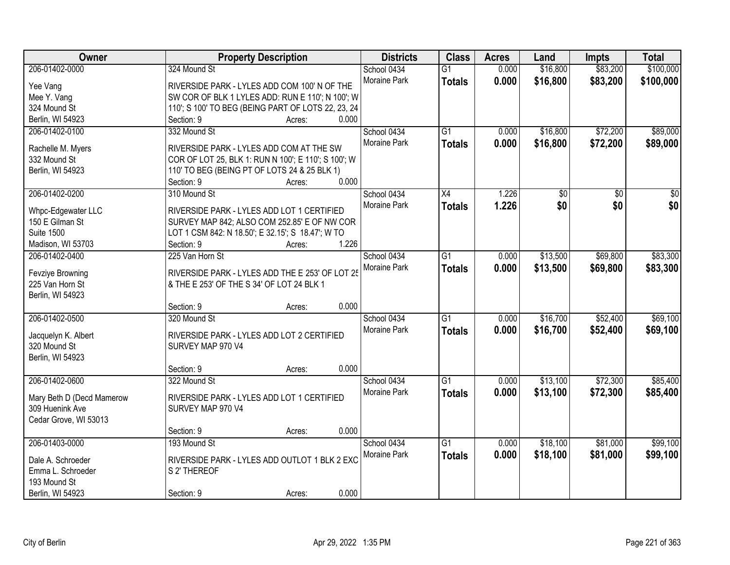| Owner                                  | <b>Property Description</b>                         | <b>Districts</b> | <b>Class</b>    | <b>Acres</b> | Land            | <b>Impts</b>    | <b>Total</b>    |
|----------------------------------------|-----------------------------------------------------|------------------|-----------------|--------------|-----------------|-----------------|-----------------|
| 206-01402-0000                         | 324 Mound St                                        | School 0434      | $\overline{G1}$ | 0.000        | \$16,800        | \$83,200        | \$100,000       |
| Yee Vang                               | RIVERSIDE PARK - LYLES ADD COM 100' N OF THE        | Moraine Park     | <b>Totals</b>   | 0.000        | \$16,800        | \$83,200        | \$100,000       |
| Mee Y. Vang                            | SW COR OF BLK 1 LYLES ADD: RUN E 110'; N 100'; W    |                  |                 |              |                 |                 |                 |
| 324 Mound St                           | 110'; S 100' TO BEG (BEING PART OF LOTS 22, 23, 24  |                  |                 |              |                 |                 |                 |
| Berlin, WI 54923                       | 0.000<br>Section: 9<br>Acres:                       |                  |                 |              |                 |                 |                 |
| 206-01402-0100                         | 332 Mound St                                        | School 0434      | $\overline{G1}$ | 0.000        | \$16,800        | \$72,200        | \$89,000        |
|                                        |                                                     | Moraine Park     | <b>Totals</b>   | 0.000        | \$16,800        | \$72,200        | \$89,000        |
| Rachelle M. Myers                      | RIVERSIDE PARK - LYLES ADD COM AT THE SW            |                  |                 |              |                 |                 |                 |
| 332 Mound St                           | COR OF LOT 25, BLK 1: RUN N 100'; E 110'; S 100'; W |                  |                 |              |                 |                 |                 |
| Berlin, WI 54923                       | 110' TO BEG (BEING PT OF LOTS 24 & 25 BLK 1)        |                  |                 |              |                 |                 |                 |
|                                        | 0.000<br>Section: 9<br>Acres:                       |                  |                 |              |                 |                 |                 |
| 206-01402-0200                         | 310 Mound St                                        | School 0434      | $\overline{X4}$ | 1.226        | $\overline{50}$ | $\overline{50}$ | $\overline{30}$ |
| Whpc-Edgewater LLC                     | RIVERSIDE PARK - LYLES ADD LOT 1 CERTIFIED          | Moraine Park     | <b>Totals</b>   | 1.226        | \$0             | \$0             | \$0             |
| 150 E Gilman St                        | SURVEY MAP 842; ALSO COM 252.85' E OF NW COR        |                  |                 |              |                 |                 |                 |
| <b>Suite 1500</b>                      | LOT 1 CSM 842: N 18.50'; E 32.15'; S 18.47'; W TO   |                  |                 |              |                 |                 |                 |
| Madison, WI 53703                      | 1.226<br>Section: 9<br>Acres:                       |                  |                 |              |                 |                 |                 |
| 206-01402-0400                         | 225 Van Horn St                                     | School 0434      | $\overline{G1}$ | 0.000        | \$13,500        | \$69,800        | \$83,300        |
|                                        |                                                     | Moraine Park     | <b>Totals</b>   | 0.000        | \$13,500        | \$69,800        | \$83,300        |
| Fevziye Browning                       | RIVERSIDE PARK - LYLES ADD THE E 253' OF LOT 25     |                  |                 |              |                 |                 |                 |
| 225 Van Horn St                        | & THE E 253' OF THE S 34' OF LOT 24 BLK 1           |                  |                 |              |                 |                 |                 |
| Berlin, WI 54923                       |                                                     |                  |                 |              |                 |                 |                 |
|                                        | 0.000<br>Section: 9<br>Acres:                       |                  |                 |              |                 |                 |                 |
| 206-01402-0500                         | 320 Mound St                                        | School 0434      | $\overline{G1}$ | 0.000        | \$16,700        | \$52,400        | \$69,100        |
| Jacquelyn K. Albert                    | RIVERSIDE PARK - LYLES ADD LOT 2 CERTIFIED          | Moraine Park     | <b>Totals</b>   | 0.000        | \$16,700        | \$52,400        | \$69,100        |
| 320 Mound St                           | SURVEY MAP 970 V4                                   |                  |                 |              |                 |                 |                 |
| Berlin, WI 54923                       |                                                     |                  |                 |              |                 |                 |                 |
|                                        | 0.000<br>Section: 9<br>Acres:                       |                  |                 |              |                 |                 |                 |
| 206-01402-0600                         | 322 Mound St                                        | School 0434      | $\overline{G1}$ | 0.000        | \$13,100        | \$72,300        | \$85,400        |
|                                        |                                                     | Moraine Park     |                 |              |                 |                 |                 |
| Mary Beth D (Decd Mamerow              | RIVERSIDE PARK - LYLES ADD LOT 1 CERTIFIED          |                  | <b>Totals</b>   | 0.000        | \$13,100        | \$72,300        | \$85,400        |
| 309 Huenink Ave                        | SURVEY MAP 970 V4                                   |                  |                 |              |                 |                 |                 |
| Cedar Grove, WI 53013                  |                                                     |                  |                 |              |                 |                 |                 |
|                                        | 0.000<br>Section: 9<br>Acres:                       |                  |                 |              |                 |                 |                 |
| 206-01403-0000                         | 193 Mound St                                        | School 0434      | $\overline{G1}$ | 0.000        | \$18,100        | \$81,000        | \$99,100        |
|                                        | RIVERSIDE PARK - LYLES ADD OUTLOT 1 BLK 2 EXC       | Moraine Park     | <b>Totals</b>   | 0.000        | \$18,100        | \$81,000        | \$99,100        |
| Dale A. Schroeder<br>Emma L. Schroeder | S 2' THEREOF                                        |                  |                 |              |                 |                 |                 |
| 193 Mound St                           |                                                     |                  |                 |              |                 |                 |                 |
| Berlin, WI 54923                       | 0.000<br>Section: 9                                 |                  |                 |              |                 |                 |                 |
|                                        | Acres:                                              |                  |                 |              |                 |                 |                 |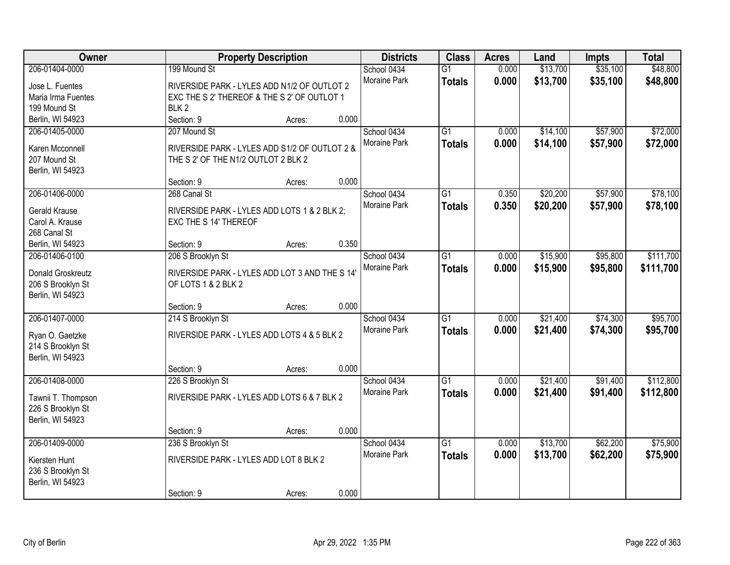| Owner                                   | <b>Property Description</b>                                           |        |       | <b>Districts</b>    | <b>Class</b>    | <b>Acres</b> | Land     | <b>Impts</b> | <b>Total</b> |
|-----------------------------------------|-----------------------------------------------------------------------|--------|-------|---------------------|-----------------|--------------|----------|--------------|--------------|
| 206-01404-0000                          | 199 Mound St                                                          |        |       | School 0434         | $\overline{G1}$ | 0.000        | \$13,700 | \$35,100     | \$48,800     |
| Jose L. Fuentes                         | RIVERSIDE PARK - LYLES ADD N1/2 OF OUTLOT 2                           |        |       | Moraine Park        | <b>Totals</b>   | 0.000        | \$13,700 | \$35,100     | \$48,800     |
| Maria Irma Fuentes                      | EXC THE S 2' THEREOF & THE S 2' OF OUTLOT 1                           |        |       |                     |                 |              |          |              |              |
| 199 Mound St                            | BLK <sub>2</sub>                                                      |        |       |                     |                 |              |          |              |              |
| Berlin, WI 54923                        | Section: 9                                                            | Acres: | 0.000 |                     |                 |              |          |              |              |
| 206-01405-0000                          | 207 Mound St                                                          |        |       | School 0434         | $\overline{G1}$ | 0.000        | \$14,100 | \$57,900     | \$72,000     |
| Karen Mcconnell                         | RIVERSIDE PARK - LYLES ADD S1/2 OF OUTLOT 2 &                         |        |       | <b>Moraine Park</b> | <b>Totals</b>   | 0.000        | \$14,100 | \$57,900     | \$72,000     |
| 207 Mound St                            | THE S 2' OF THE N1/2 OUTLOT 2 BLK 2                                   |        |       |                     |                 |              |          |              |              |
| Berlin, WI 54923                        |                                                                       |        |       |                     |                 |              |          |              |              |
|                                         | Section: 9                                                            | Acres: | 0.000 |                     |                 |              |          |              |              |
| 206-01406-0000                          | 268 Canal St                                                          |        |       | School 0434         | $\overline{G1}$ | 0.350        | \$20,200 | \$57,900     | \$78,100     |
|                                         |                                                                       |        |       | Moraine Park        | <b>Totals</b>   | 0.350        | \$20,200 | \$57,900     | \$78,100     |
| <b>Gerald Krause</b><br>Carol A. Krause | RIVERSIDE PARK - LYLES ADD LOTS 1 & 2 BLK 2;<br>EXC THE S 14' THEREOF |        |       |                     |                 |              |          |              |              |
| 268 Canal St                            |                                                                       |        |       |                     |                 |              |          |              |              |
| Berlin, WI 54923                        | Section: 9                                                            | Acres: | 0.350 |                     |                 |              |          |              |              |
| 206-01406-0100                          | 206 S Brooklyn St                                                     |        |       | School 0434         | $\overline{G1}$ | 0.000        | \$15,900 | \$95,800     | \$111,700    |
|                                         |                                                                       |        |       | <b>Moraine Park</b> | <b>Totals</b>   | 0.000        | \$15,900 | \$95,800     | \$111,700    |
| Donald Groskreutz                       | RIVERSIDE PARK - LYLES ADD LOT 3 AND THE S 14'                        |        |       |                     |                 |              |          |              |              |
| 206 S Brooklyn St                       | OF LOTS 1 & 2 BLK 2                                                   |        |       |                     |                 |              |          |              |              |
| Berlin, WI 54923                        |                                                                       |        |       |                     |                 |              |          |              |              |
|                                         | Section: 9                                                            | Acres: | 0.000 |                     |                 |              |          |              |              |
| 206-01407-0000                          | 214 S Brooklyn St                                                     |        |       | School 0434         | $\overline{G1}$ | 0.000        | \$21,400 | \$74,300     | \$95,700     |
| Ryan O. Gaetzke                         | RIVERSIDE PARK - LYLES ADD LOTS 4 & 5 BLK 2                           |        |       | <b>Moraine Park</b> | <b>Totals</b>   | 0.000        | \$21,400 | \$74,300     | \$95,700     |
| 214 S Brooklyn St                       |                                                                       |        |       |                     |                 |              |          |              |              |
| Berlin, WI 54923                        |                                                                       |        |       |                     |                 |              |          |              |              |
|                                         | Section: 9                                                            | Acres: | 0.000 |                     |                 |              |          |              |              |
| 206-01408-0000                          | 226 S Brooklyn St                                                     |        |       | School 0434         | $\overline{G1}$ | 0.000        | \$21,400 | \$91,400     | \$112,800    |
| Tawnii T. Thompson                      | RIVERSIDE PARK - LYLES ADD LOTS 6 & 7 BLK 2                           |        |       | Moraine Park        | <b>Totals</b>   | 0.000        | \$21,400 | \$91,400     | \$112,800    |
| 226 S Brooklyn St                       |                                                                       |        |       |                     |                 |              |          |              |              |
| Berlin, WI 54923                        |                                                                       |        |       |                     |                 |              |          |              |              |
|                                         | Section: 9                                                            | Acres: | 0.000 |                     |                 |              |          |              |              |
| 206-01409-0000                          | 236 S Brooklyn St                                                     |        |       | School 0434         | $\overline{G1}$ | 0.000        | \$13,700 | \$62,200     | \$75,900     |
|                                         |                                                                       |        |       | <b>Moraine Park</b> | <b>Totals</b>   | 0.000        | \$13,700 | \$62,200     | \$75,900     |
| Kiersten Hunt                           | RIVERSIDE PARK - LYLES ADD LOT 8 BLK 2                                |        |       |                     |                 |              |          |              |              |
| 236 S Brooklyn St                       |                                                                       |        |       |                     |                 |              |          |              |              |
| Berlin, WI 54923                        | Section: 9                                                            |        | 0.000 |                     |                 |              |          |              |              |
|                                         |                                                                       | Acres: |       |                     |                 |              |          |              |              |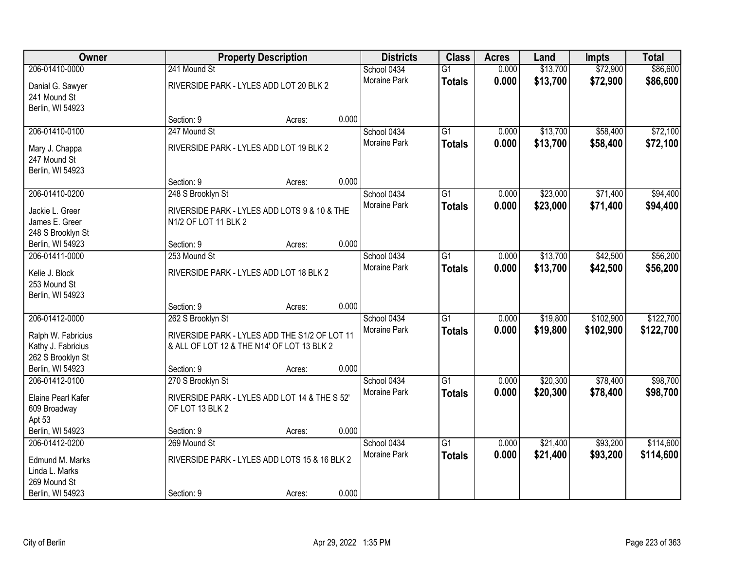| <b>Owner</b>                             | <b>Property Description</b>                                                                 |        | <b>Districts</b> | <b>Class</b>        | <b>Acres</b>    | Land  | <b>Impts</b> | <b>Total</b> |           |
|------------------------------------------|---------------------------------------------------------------------------------------------|--------|------------------|---------------------|-----------------|-------|--------------|--------------|-----------|
| 206-01410-0000                           | 241 Mound St                                                                                |        |                  | School 0434         | $\overline{G1}$ | 0.000 | \$13,700     | \$72,900     | \$86,600  |
| Danial G. Sawyer                         | RIVERSIDE PARK - LYLES ADD LOT 20 BLK 2                                                     |        |                  | Moraine Park        | <b>Totals</b>   | 0.000 | \$13,700     | \$72,900     | \$86,600  |
| 241 Mound St                             |                                                                                             |        |                  |                     |                 |       |              |              |           |
| Berlin, WI 54923                         |                                                                                             |        |                  |                     |                 |       |              |              |           |
|                                          | Section: 9                                                                                  | Acres: | 0.000            |                     |                 |       |              |              |           |
| 206-01410-0100                           | 247 Mound St                                                                                |        |                  | School 0434         | $\overline{G1}$ | 0.000 | \$13,700     | \$58,400     | \$72,100  |
| Mary J. Chappa                           | RIVERSIDE PARK - LYLES ADD LOT 19 BLK 2                                                     |        |                  | <b>Moraine Park</b> | <b>Totals</b>   | 0.000 | \$13,700     | \$58,400     | \$72,100  |
| 247 Mound St                             |                                                                                             |        |                  |                     |                 |       |              |              |           |
| Berlin, WI 54923                         |                                                                                             |        |                  |                     |                 |       |              |              |           |
|                                          | Section: 9                                                                                  | Acres: | 0.000            |                     |                 |       |              |              |           |
| 206-01410-0200                           | 248 S Brooklyn St                                                                           |        |                  | School 0434         | $\overline{G1}$ | 0.000 | \$23,000     | \$71,400     | \$94,400  |
| Jackie L. Greer                          | RIVERSIDE PARK - LYLES ADD LOTS 9 & 10 & THE                                                |        |                  | Moraine Park        | <b>Totals</b>   | 0.000 | \$23,000     | \$71,400     | \$94,400  |
| James E. Greer                           | N1/2 OF LOT 11 BLK 2                                                                        |        |                  |                     |                 |       |              |              |           |
| 248 S Brooklyn St                        |                                                                                             |        |                  |                     |                 |       |              |              |           |
| Berlin, WI 54923                         | Section: 9                                                                                  | Acres: | 0.000            |                     |                 |       |              |              |           |
| 206-01411-0000                           | 253 Mound St                                                                                |        |                  | School 0434         | $\overline{G1}$ | 0.000 | \$13,700     | \$42,500     | \$56,200  |
| Kelie J. Block                           | RIVERSIDE PARK - LYLES ADD LOT 18 BLK 2                                                     |        |                  | Moraine Park        | <b>Totals</b>   | 0.000 | \$13,700     | \$42,500     | \$56,200  |
| 253 Mound St                             |                                                                                             |        |                  |                     |                 |       |              |              |           |
| Berlin, WI 54923                         |                                                                                             |        |                  |                     |                 |       |              |              |           |
|                                          | Section: 9                                                                                  | Acres: | 0.000            |                     |                 |       |              |              |           |
| 206-01412-0000                           | 262 S Brooklyn St                                                                           |        |                  | School 0434         | $\overline{G1}$ | 0.000 | \$19,800     | \$102,900    | \$122,700 |
|                                          |                                                                                             |        |                  | Moraine Park        | <b>Totals</b>   | 0.000 | \$19,800     | \$102,900    | \$122,700 |
| Ralph W. Fabricius<br>Kathy J. Fabricius | RIVERSIDE PARK - LYLES ADD THE S1/2 OF LOT 11<br>& ALL OF LOT 12 & THE N14' OF LOT 13 BLK 2 |        |                  |                     |                 |       |              |              |           |
| 262 S Brooklyn St                        |                                                                                             |        |                  |                     |                 |       |              |              |           |
| Berlin, WI 54923                         | Section: 9                                                                                  | Acres: | 0.000            |                     |                 |       |              |              |           |
| 206-01412-0100                           | 270 S Brooklyn St                                                                           |        |                  | School 0434         | $\overline{G1}$ | 0.000 | \$20,300     | \$78,400     | \$98,700  |
|                                          |                                                                                             |        |                  | Moraine Park        | <b>Totals</b>   | 0.000 | \$20,300     | \$78,400     | \$98,700  |
| Elaine Pearl Kafer                       | RIVERSIDE PARK - LYLES ADD LOT 14 & THE S 52'                                               |        |                  |                     |                 |       |              |              |           |
| 609 Broadway<br>Apt 53                   | OF LOT 13 BLK 2                                                                             |        |                  |                     |                 |       |              |              |           |
| Berlin, WI 54923                         | Section: 9                                                                                  | Acres: | 0.000            |                     |                 |       |              |              |           |
| 206-01412-0200                           | 269 Mound St                                                                                |        |                  | School 0434         | $\overline{G1}$ | 0.000 | \$21,400     | \$93,200     | \$114,600 |
|                                          |                                                                                             |        |                  | <b>Moraine Park</b> | <b>Totals</b>   | 0.000 | \$21,400     | \$93,200     | \$114,600 |
| Edmund M. Marks                          | RIVERSIDE PARK - LYLES ADD LOTS 15 & 16 BLK 2                                               |        |                  |                     |                 |       |              |              |           |
| Linda L. Marks<br>269 Mound St           |                                                                                             |        |                  |                     |                 |       |              |              |           |
| Berlin, WI 54923                         | Section: 9                                                                                  | Acres: | 0.000            |                     |                 |       |              |              |           |
|                                          |                                                                                             |        |                  |                     |                 |       |              |              |           |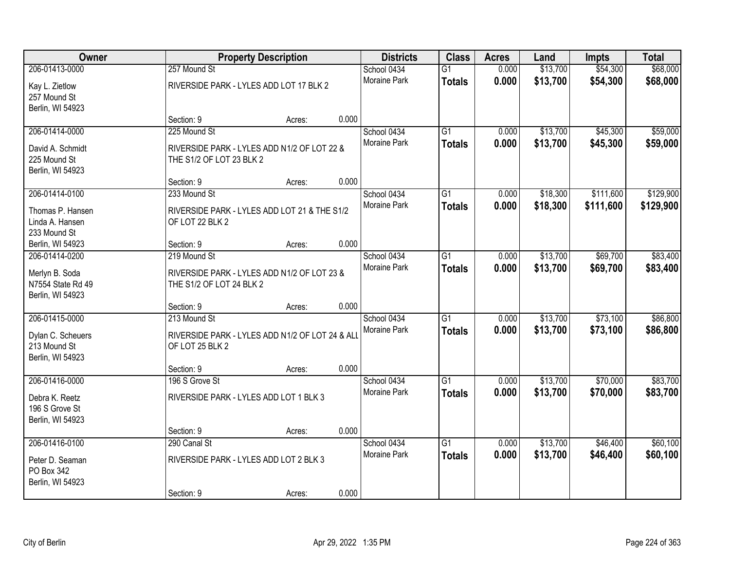| Owner                               | <b>Property Description</b>                                             |        | <b>Districts</b> | <b>Class</b>        | <b>Acres</b>    | Land  | <b>Impts</b> | <b>Total</b> |           |
|-------------------------------------|-------------------------------------------------------------------------|--------|------------------|---------------------|-----------------|-------|--------------|--------------|-----------|
| 206-01413-0000                      | 257 Mound St                                                            |        |                  | School 0434         | $\overline{G1}$ | 0.000 | \$13,700     | \$54,300     | \$68,000  |
| Kay L. Zietlow                      | RIVERSIDE PARK - LYLES ADD LOT 17 BLK 2                                 |        |                  | Moraine Park        | <b>Totals</b>   | 0.000 | \$13,700     | \$54,300     | \$68,000  |
| 257 Mound St                        |                                                                         |        |                  |                     |                 |       |              |              |           |
| Berlin, WI 54923                    | Section: 9                                                              |        | 0.000            |                     |                 |       |              |              |           |
| 206-01414-0000                      | 225 Mound St                                                            | Acres: |                  | School 0434         | $\overline{G1}$ | 0.000 | \$13,700     | \$45,300     | \$59,000  |
|                                     |                                                                         |        |                  | <b>Moraine Park</b> | <b>Totals</b>   | 0.000 | \$13,700     | \$45,300     | \$59,000  |
| David A. Schmidt                    | RIVERSIDE PARK - LYLES ADD N1/2 OF LOT 22 &                             |        |                  |                     |                 |       |              |              |           |
| 225 Mound St                        | THE S1/2 OF LOT 23 BLK 2                                                |        |                  |                     |                 |       |              |              |           |
| Berlin, WI 54923                    | Section: 9                                                              | Acres: | 0.000            |                     |                 |       |              |              |           |
| 206-01414-0100                      | 233 Mound St                                                            |        |                  | School 0434         | $\overline{G1}$ | 0.000 | \$18,300     | \$111,600    | \$129,900 |
|                                     |                                                                         |        |                  | Moraine Park        | <b>Totals</b>   | 0.000 | \$18,300     | \$111,600    | \$129,900 |
| Thomas P. Hansen                    | RIVERSIDE PARK - LYLES ADD LOT 21 & THE S1/2                            |        |                  |                     |                 |       |              |              |           |
| Linda A. Hansen<br>233 Mound St     | OF LOT 22 BLK 2                                                         |        |                  |                     |                 |       |              |              |           |
| Berlin, WI 54923                    | Section: 9                                                              | Acres: | 0.000            |                     |                 |       |              |              |           |
| 206-01414-0200                      | 219 Mound St                                                            |        |                  | School 0434         | G1              | 0.000 | \$13,700     | \$69,700     | \$83,400  |
|                                     |                                                                         |        |                  | <b>Moraine Park</b> | <b>Totals</b>   | 0.000 | \$13,700     | \$69,700     | \$83,400  |
| Merlyn B. Soda<br>N7554 State Rd 49 | RIVERSIDE PARK - LYLES ADD N1/2 OF LOT 23 &<br>THE S1/2 OF LOT 24 BLK 2 |        |                  |                     |                 |       |              |              |           |
| Berlin, WI 54923                    |                                                                         |        |                  |                     |                 |       |              |              |           |
|                                     | Section: 9                                                              | Acres: | 0.000            |                     |                 |       |              |              |           |
| 206-01415-0000                      | 213 Mound St                                                            |        |                  | School 0434         | $\overline{G1}$ | 0.000 | \$13,700     | \$73,100     | \$86,800  |
| Dylan C. Scheuers                   | RIVERSIDE PARK - LYLES ADD N1/2 OF LOT 24 & ALI                         |        |                  | Moraine Park        | <b>Totals</b>   | 0.000 | \$13,700     | \$73,100     | \$86,800  |
| 213 Mound St                        | OF LOT 25 BLK 2                                                         |        |                  |                     |                 |       |              |              |           |
| Berlin, WI 54923                    |                                                                         |        |                  |                     |                 |       |              |              |           |
|                                     | Section: 9                                                              | Acres: | 0.000            |                     |                 |       |              |              |           |
| 206-01416-0000                      | 196 S Grove St                                                          |        |                  | School 0434         | $\overline{G1}$ | 0.000 | \$13,700     | \$70,000     | \$83,700  |
| Debra K. Reetz                      | RIVERSIDE PARK - LYLES ADD LOT 1 BLK 3                                  |        |                  | Moraine Park        | <b>Totals</b>   | 0.000 | \$13,700     | \$70,000     | \$83,700  |
| 196 S Grove St                      |                                                                         |        |                  |                     |                 |       |              |              |           |
| Berlin, WI 54923                    |                                                                         |        |                  |                     |                 |       |              |              |           |
|                                     | Section: 9                                                              | Acres: | 0.000            |                     |                 |       |              |              |           |
| 206-01416-0100                      | 290 Canal St                                                            |        |                  | School 0434         | $\overline{G1}$ | 0.000 | \$13,700     | \$46,400     | \$60,100  |
| Peter D. Seaman                     | RIVERSIDE PARK - LYLES ADD LOT 2 BLK 3                                  |        |                  | Moraine Park        | <b>Totals</b>   | 0.000 | \$13,700     | \$46,400     | \$60,100  |
| PO Box 342                          |                                                                         |        |                  |                     |                 |       |              |              |           |
| Berlin, WI 54923                    |                                                                         |        |                  |                     |                 |       |              |              |           |
|                                     | Section: 9                                                              | Acres: | 0.000            |                     |                 |       |              |              |           |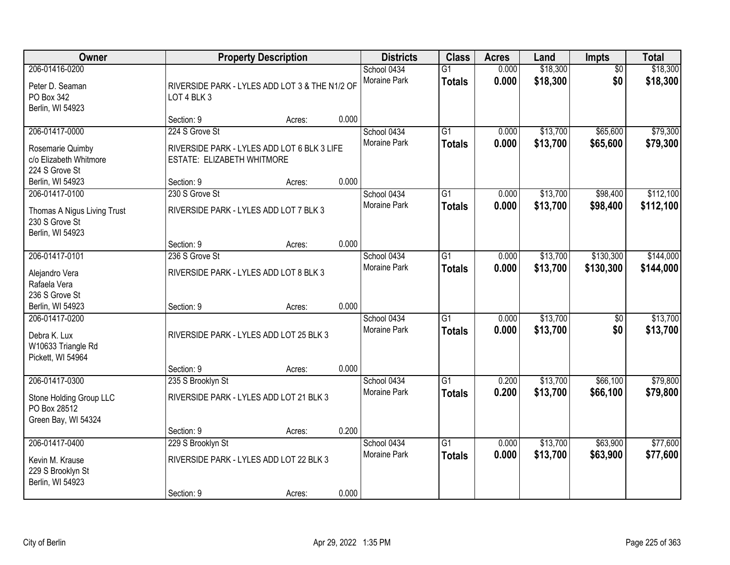| Owner                                                                               |                                                                                             | <b>Property Description</b>                                                   |       | <b>Districts</b>                   | <b>Class</b>                     | <b>Acres</b>   | Land                 | Impts                  | <b>Total</b>           |
|-------------------------------------------------------------------------------------|---------------------------------------------------------------------------------------------|-------------------------------------------------------------------------------|-------|------------------------------------|----------------------------------|----------------|----------------------|------------------------|------------------------|
| 206-01416-0200<br>Peter D. Seaman<br>PO Box 342<br>Berlin, WI 54923                 | LOT 4 BLK 3                                                                                 | School 0434<br>Moraine Park<br>RIVERSIDE PARK - LYLES ADD LOT 3 & THE N1/2 OF |       |                                    | $\overline{G1}$<br><b>Totals</b> | 0.000<br>0.000 | \$18,300<br>\$18,300 | $\overline{50}$<br>\$0 | \$18,300<br>\$18,300   |
|                                                                                     | Section: 9                                                                                  | Acres:                                                                        | 0.000 |                                    |                                  |                |                      |                        |                        |
| 206-01417-0000<br>Rosemarie Quimby<br>c/o Elizabeth Whitmore<br>224 S Grove St      | 224 S Grove St<br>RIVERSIDE PARK - LYLES ADD LOT 6 BLK 3 LIFE<br>ESTATE: ELIZABETH WHITMORE |                                                                               |       | School 0434<br><b>Moraine Park</b> | $\overline{G1}$<br><b>Totals</b> | 0.000<br>0.000 | \$13,700<br>\$13,700 | \$65,600<br>\$65,600   | \$79,300<br>\$79,300   |
| Berlin, WI 54923                                                                    | Section: 9                                                                                  | Acres:                                                                        | 0.000 |                                    |                                  |                |                      |                        |                        |
| 206-01417-0100<br>Thomas A Nigus Living Trust<br>230 S Grove St<br>Berlin, WI 54923 | 230 S Grove St<br>RIVERSIDE PARK - LYLES ADD LOT 7 BLK 3                                    |                                                                               |       | School 0434<br>Moraine Park        | $\overline{G1}$<br><b>Totals</b> | 0.000<br>0.000 | \$13,700<br>\$13,700 | \$98,400<br>\$98,400   | \$112,100<br>\$112,100 |
|                                                                                     | Section: 9                                                                                  | Acres:                                                                        | 0.000 |                                    |                                  |                |                      |                        |                        |
| 206-01417-0101<br>Alejandro Vera<br>Rafaela Vera<br>236 S Grove St                  | 236 S Grove St<br>RIVERSIDE PARK - LYLES ADD LOT 8 BLK 3                                    |                                                                               |       | School 0434<br>Moraine Park        | G1<br><b>Totals</b>              | 0.000<br>0.000 | \$13,700<br>\$13,700 | \$130,300<br>\$130,300 | \$144,000<br>\$144,000 |
| Berlin, WI 54923                                                                    | Section: 9                                                                                  | Acres:                                                                        | 0.000 |                                    |                                  |                |                      |                        |                        |
| 206-01417-0200<br>Debra K. Lux<br>W10633 Triangle Rd<br>Pickett, WI 54964           | RIVERSIDE PARK - LYLES ADD LOT 25 BLK 3                                                     |                                                                               |       | School 0434<br><b>Moraine Park</b> | $\overline{G1}$<br><b>Totals</b> | 0.000<br>0.000 | \$13,700<br>\$13,700 | $\overline{50}$<br>\$0 | \$13,700<br>\$13,700   |
|                                                                                     | Section: 9                                                                                  | Acres:                                                                        | 0.000 |                                    |                                  |                |                      |                        |                        |
| 206-01417-0300<br>Stone Holding Group LLC<br>PO Box 28512<br>Green Bay, WI 54324    | 235 S Brooklyn St<br>RIVERSIDE PARK - LYLES ADD LOT 21 BLK 3                                |                                                                               |       | School 0434<br>Moraine Park        | $\overline{G1}$<br><b>Totals</b> | 0.200<br>0.200 | \$13,700<br>\$13,700 | \$66,100<br>\$66,100   | \$79,800<br>\$79,800   |
|                                                                                     | Section: 9                                                                                  | Acres:                                                                        | 0.200 |                                    |                                  |                |                      |                        |                        |
| 206-01417-0400<br>Kevin M. Krause<br>229 S Brooklyn St<br>Berlin, WI 54923          | 229 S Brooklyn St<br>RIVERSIDE PARK - LYLES ADD LOT 22 BLK 3<br>Section: 9                  | Acres:                                                                        | 0.000 | School 0434<br><b>Moraine Park</b> | $\overline{G1}$<br><b>Totals</b> | 0.000<br>0.000 | \$13,700<br>\$13,700 | \$63,900<br>\$63,900   | \$77,600<br>\$77,600   |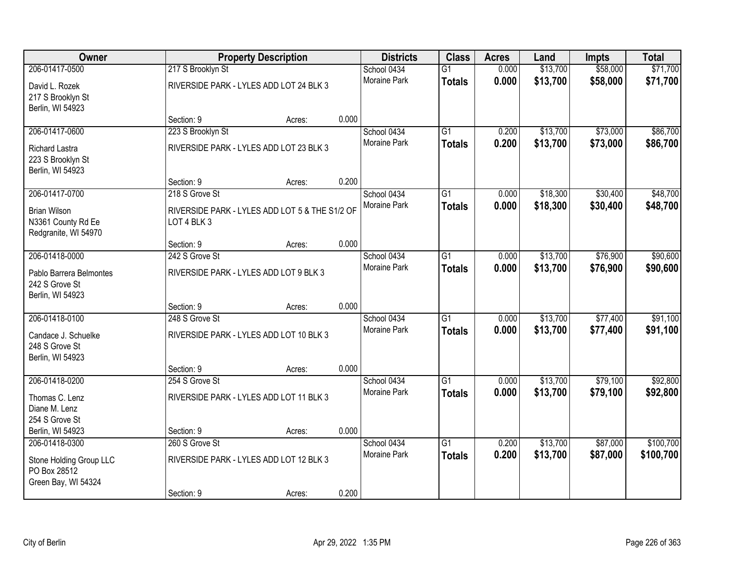| Owner                                                             |                                                               | <b>Property Description</b> |       |                             | <b>Districts</b><br><b>Class</b> | <b>Acres</b>   | Land                 | <b>Impts</b>         | <b>Total</b>         |
|-------------------------------------------------------------------|---------------------------------------------------------------|-----------------------------|-------|-----------------------------|----------------------------------|----------------|----------------------|----------------------|----------------------|
| 206-01417-0500                                                    | 217 S Brooklyn St                                             |                             |       | School 0434<br>Moraine Park | $\overline{G1}$                  | 0.000<br>0.000 | \$13,700<br>\$13,700 | \$58,000<br>\$58,000 | \$71,700<br>\$71,700 |
| David L. Rozek<br>217 S Brooklyn St<br>Berlin, WI 54923           | RIVERSIDE PARK - LYLES ADD LOT 24 BLK 3                       |                             |       |                             | <b>Totals</b>                    |                |                      |                      |                      |
|                                                                   | Section: 9                                                    | Acres:                      | 0.000 |                             |                                  |                |                      |                      |                      |
| 206-01417-0600                                                    | 223 S Brooklyn St                                             |                             |       | School 0434                 | $\overline{G1}$                  | 0.200          | \$13,700             | \$73,000             | \$86,700             |
| Richard Lastra<br>223 S Brooklyn St<br>Berlin, WI 54923           | RIVERSIDE PARK - LYLES ADD LOT 23 BLK 3                       |                             |       | <b>Moraine Park</b>         | <b>Totals</b>                    | 0.200          | \$13,700             | \$73,000             | \$86,700             |
|                                                                   | Section: 9                                                    | Acres:                      | 0.200 |                             |                                  |                |                      |                      |                      |
| 206-01417-0700                                                    | 218 S Grove St                                                |                             |       | School 0434                 | $\overline{G1}$                  | 0.000          | \$18,300             | \$30,400             | \$48,700             |
| <b>Brian Wilson</b><br>N3361 County Rd Ee<br>Redgranite, WI 54970 | RIVERSIDE PARK - LYLES ADD LOT 5 & THE S1/2 OF<br>LOT 4 BLK 3 |                             |       | Moraine Park                | <b>Totals</b>                    | 0.000          | \$18,300             | \$30,400             | \$48,700             |
|                                                                   | Section: 9                                                    | Acres:                      | 0.000 |                             |                                  |                |                      |                      |                      |
| 206-01418-0000                                                    | 242 S Grove St                                                |                             |       | School 0434                 | $\overline{G1}$                  | 0.000          | \$13,700             | \$76,900             | \$90,600             |
| Pablo Barrera Belmontes<br>242 S Grove St<br>Berlin, WI 54923     | RIVERSIDE PARK - LYLES ADD LOT 9 BLK 3                        |                             |       | <b>Moraine Park</b>         | <b>Totals</b>                    | 0.000          | \$13,700             | \$76,900             | \$90,600             |
|                                                                   | Section: 9                                                    | Acres:                      | 0.000 |                             |                                  |                |                      |                      |                      |
| 206-01418-0100                                                    | 248 S Grove St                                                |                             |       | School 0434                 | $\overline{G1}$                  | 0.000          | \$13,700             | \$77,400             | \$91,100             |
| Candace J. Schuelke                                               | RIVERSIDE PARK - LYLES ADD LOT 10 BLK 3                       |                             |       | <b>Moraine Park</b>         | <b>Totals</b>                    | 0.000          | \$13,700             | \$77,400             | \$91,100             |
| 248 S Grove St                                                    |                                                               |                             |       |                             |                                  |                |                      |                      |                      |
| Berlin, WI 54923                                                  |                                                               |                             |       |                             |                                  |                |                      |                      |                      |
|                                                                   | Section: 9                                                    | Acres:                      | 0.000 |                             |                                  |                |                      |                      |                      |
| 206-01418-0200                                                    | 254 S Grove St                                                |                             |       | School 0434                 | $\overline{G1}$                  | 0.000          | \$13,700             | \$79,100             | \$92,800             |
| Thomas C. Lenz                                                    | RIVERSIDE PARK - LYLES ADD LOT 11 BLK 3                       |                             |       | Moraine Park                | <b>Totals</b>                    | 0.000          | \$13,700             | \$79,100             | \$92,800             |
| Diane M. Lenz                                                     |                                                               |                             |       |                             |                                  |                |                      |                      |                      |
| 254 S Grove St                                                    |                                                               |                             |       |                             |                                  |                |                      |                      |                      |
| Berlin, WI 54923                                                  | Section: 9                                                    | Acres:                      | 0.000 |                             |                                  |                |                      |                      |                      |
| 206-01418-0300                                                    | 260 S Grove St                                                |                             |       | School 0434                 | $\overline{G1}$                  | 0.200          | \$13,700             | \$87,000             | \$100,700            |
| Stone Holding Group LLC<br>PO Box 28512<br>Green Bay, WI 54324    | RIVERSIDE PARK - LYLES ADD LOT 12 BLK 3                       |                             |       | <b>Moraine Park</b>         | <b>Totals</b>                    | 0.200          | \$13,700             | \$87,000             | \$100,700            |
|                                                                   | Section: 9                                                    | Acres:                      | 0.200 |                             |                                  |                |                      |                      |                      |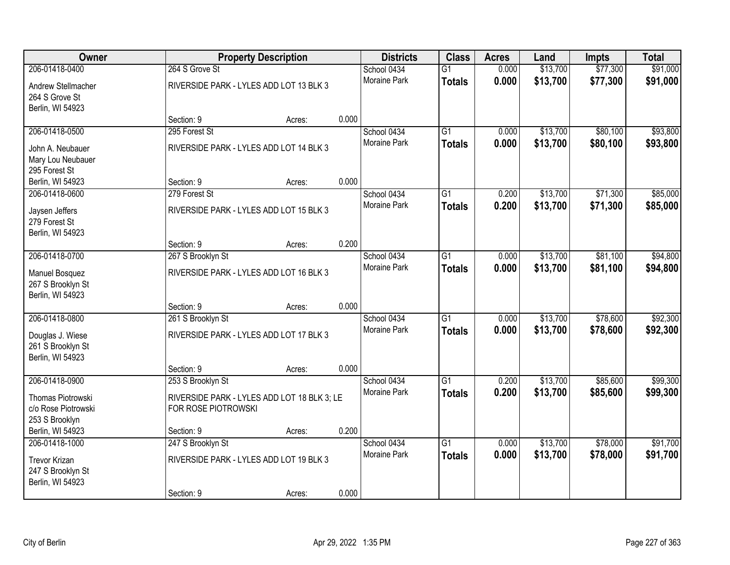| Owner                                     |                                                                    | <b>Property Description</b> |       |                     | <b>Class</b>    | <b>Acres</b> | Land     | Impts    | <b>Total</b> |
|-------------------------------------------|--------------------------------------------------------------------|-----------------------------|-------|---------------------|-----------------|--------------|----------|----------|--------------|
| 206-01418-0400                            | 264 S Grove St                                                     |                             |       | School 0434         | $\overline{G1}$ | 0.000        | \$13,700 | \$77,300 | \$91,000     |
| Andrew Stellmacher                        | RIVERSIDE PARK - LYLES ADD LOT 13 BLK 3                            |                             |       | <b>Moraine Park</b> | <b>Totals</b>   | 0.000        | \$13,700 | \$77,300 | \$91,000     |
| 264 S Grove St                            |                                                                    |                             |       |                     |                 |              |          |          |              |
| Berlin, WI 54923                          | Section: 9                                                         | Acres:                      | 0.000 |                     |                 |              |          |          |              |
| 206-01418-0500                            | 295 Forest St                                                      |                             |       | School 0434         | $\overline{G1}$ | 0.000        | \$13,700 | \$80,100 | \$93,800     |
|                                           |                                                                    |                             |       | Moraine Park        | <b>Totals</b>   | 0.000        | \$13,700 | \$80,100 | \$93,800     |
| John A. Neubauer                          | RIVERSIDE PARK - LYLES ADD LOT 14 BLK 3                            |                             |       |                     |                 |              |          |          |              |
| Mary Lou Neubauer<br>295 Forest St        |                                                                    |                             |       |                     |                 |              |          |          |              |
| Berlin, WI 54923                          | Section: 9                                                         | Acres:                      | 0.000 |                     |                 |              |          |          |              |
| 206-01418-0600                            | 279 Forest St                                                      |                             |       | School 0434         | $\overline{G1}$ | 0.200        | \$13,700 | \$71,300 | \$85,000     |
|                                           |                                                                    |                             |       | Moraine Park        | <b>Totals</b>   | 0.200        | \$13,700 | \$71,300 | \$85,000     |
| Jaysen Jeffers                            | RIVERSIDE PARK - LYLES ADD LOT 15 BLK 3                            |                             |       |                     |                 |              |          |          |              |
| 279 Forest St<br>Berlin, WI 54923         |                                                                    |                             |       |                     |                 |              |          |          |              |
|                                           | Section: 9                                                         | Acres:                      | 0.200 |                     |                 |              |          |          |              |
| 206-01418-0700                            | 267 S Brooklyn St                                                  |                             |       | School 0434         | $\overline{G1}$ | 0.000        | \$13,700 | \$81,100 | \$94,800     |
|                                           |                                                                    |                             |       | Moraine Park        | <b>Totals</b>   | 0.000        | \$13,700 | \$81,100 | \$94,800     |
| <b>Manuel Bosquez</b>                     | RIVERSIDE PARK - LYLES ADD LOT 16 BLK 3                            |                             |       |                     |                 |              |          |          |              |
| 267 S Brooklyn St<br>Berlin, WI 54923     |                                                                    |                             |       |                     |                 |              |          |          |              |
|                                           | Section: 9                                                         | Acres:                      | 0.000 |                     |                 |              |          |          |              |
| 206-01418-0800                            | 261 S Brooklyn St                                                  |                             |       | School 0434         | $\overline{G1}$ | 0.000        | \$13,700 | \$78,600 | \$92,300     |
|                                           |                                                                    |                             |       | <b>Moraine Park</b> | <b>Totals</b>   | 0.000        | \$13,700 | \$78,600 | \$92,300     |
| Douglas J. Wiese                          | RIVERSIDE PARK - LYLES ADD LOT 17 BLK 3                            |                             |       |                     |                 |              |          |          |              |
| 261 S Brooklyn St<br>Berlin, WI 54923     |                                                                    |                             |       |                     |                 |              |          |          |              |
|                                           | Section: 9                                                         | Acres:                      | 0.000 |                     |                 |              |          |          |              |
| 206-01418-0900                            | 253 S Brooklyn St                                                  |                             |       | School 0434         | $\overline{G1}$ | 0.200        | \$13,700 | \$85,600 | \$99,300     |
|                                           |                                                                    |                             |       | Moraine Park        | <b>Totals</b>   | 0.200        | \$13,700 | \$85,600 | \$99,300     |
| Thomas Piotrowski<br>c/o Rose Piotrowski  | RIVERSIDE PARK - LYLES ADD LOT 18 BLK 3; LE<br>FOR ROSE PIOTROWSKI |                             |       |                     |                 |              |          |          |              |
| 253 S Brooklyn                            |                                                                    |                             |       |                     |                 |              |          |          |              |
| Berlin, WI 54923                          | Section: 9                                                         | Acres:                      | 0.200 |                     |                 |              |          |          |              |
| 206-01418-1000                            | 247 S Brooklyn St                                                  |                             |       | School 0434         | $\overline{G1}$ | 0.000        | \$13,700 | \$78,000 | \$91,700     |
|                                           |                                                                    |                             |       | <b>Moraine Park</b> | <b>Totals</b>   | 0.000        | \$13,700 | \$78,000 | \$91,700     |
| <b>Trevor Krizan</b><br>247 S Brooklyn St | RIVERSIDE PARK - LYLES ADD LOT 19 BLK 3                            |                             |       |                     |                 |              |          |          |              |
| Berlin, WI 54923                          |                                                                    |                             |       |                     |                 |              |          |          |              |
|                                           | Section: 9                                                         | Acres:                      | 0.000 |                     |                 |              |          |          |              |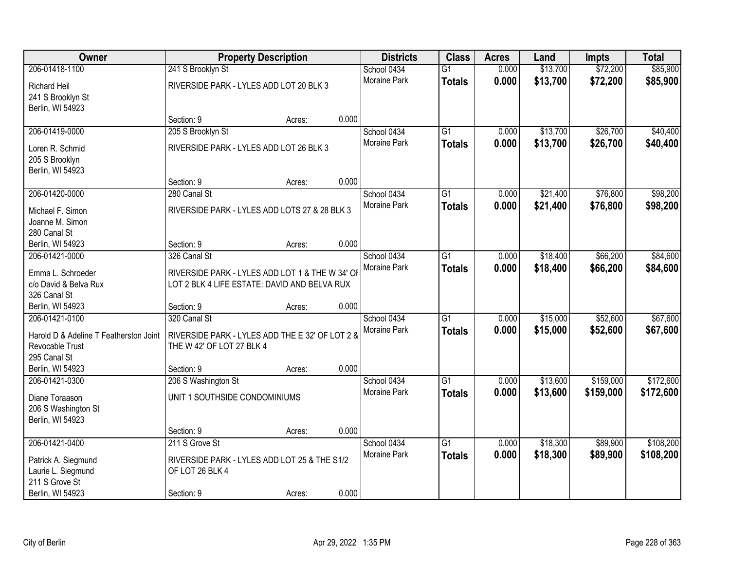| Owner                                  | <b>Property Description</b>                     |        |       | <b>Districts</b> | <b>Class</b>    | <b>Acres</b> | Land     | <b>Impts</b> | <b>Total</b> |
|----------------------------------------|-------------------------------------------------|--------|-------|------------------|-----------------|--------------|----------|--------------|--------------|
| 206-01418-1100                         | 241 S Brooklyn St                               |        |       | School 0434      | $\overline{G1}$ | 0.000        | \$13,700 | \$72,200     | \$85,900     |
| <b>Richard Heil</b>                    | RIVERSIDE PARK - LYLES ADD LOT 20 BLK 3         |        |       | Moraine Park     | <b>Totals</b>   | 0.000        | \$13,700 | \$72,200     | \$85,900     |
| 241 S Brooklyn St                      |                                                 |        |       |                  |                 |              |          |              |              |
| Berlin, WI 54923                       |                                                 |        |       |                  |                 |              |          |              |              |
|                                        | Section: 9                                      | Acres: | 0.000 |                  |                 |              |          |              |              |
| 206-01419-0000                         | 205 S Brooklyn St                               |        |       | School 0434      | $\overline{G1}$ | 0.000        | \$13,700 | \$26,700     | \$40,400     |
| Loren R. Schmid                        | RIVERSIDE PARK - LYLES ADD LOT 26 BLK 3         |        |       | Moraine Park     | <b>Totals</b>   | 0.000        | \$13,700 | \$26,700     | \$40,400     |
| 205 S Brooklyn                         |                                                 |        |       |                  |                 |              |          |              |              |
| Berlin, WI 54923                       |                                                 |        |       |                  |                 |              |          |              |              |
|                                        | Section: 9                                      | Acres: | 0.000 |                  |                 |              |          |              |              |
| 206-01420-0000                         | 280 Canal St                                    |        |       | School 0434      | G1              | 0.000        | \$21,400 | \$76,800     | \$98,200     |
|                                        |                                                 |        |       | Moraine Park     | <b>Totals</b>   | 0.000        | \$21,400 | \$76,800     | \$98,200     |
| Michael F. Simon<br>Joanne M. Simon    | RIVERSIDE PARK - LYLES ADD LOTS 27 & 28 BLK 3   |        |       |                  |                 |              |          |              |              |
| 280 Canal St                           |                                                 |        |       |                  |                 |              |          |              |              |
| Berlin, WI 54923                       | Section: 9                                      | Acres: | 0.000 |                  |                 |              |          |              |              |
| 206-01421-0000                         | 326 Canal St                                    |        |       | School 0434      | G1              | 0.000        | \$18,400 | \$66,200     | \$84,600     |
|                                        |                                                 |        |       | Moraine Park     | <b>Totals</b>   | 0.000        | \$18,400 | \$66,200     | \$84,600     |
| Emma L. Schroeder                      | RIVERSIDE PARK - LYLES ADD LOT 1 & THE W 34' OF |        |       |                  |                 |              |          |              |              |
| c/o David & Belva Rux                  | LOT 2 BLK 4 LIFE ESTATE: DAVID AND BELVA RUX    |        |       |                  |                 |              |          |              |              |
| 326 Canal St<br>Berlin, WI 54923       | Section: 9                                      |        | 0.000 |                  |                 |              |          |              |              |
| 206-01421-0100                         | 320 Canal St                                    | Acres: |       | School 0434      | $\overline{G1}$ | 0.000        | \$15,000 | \$52,600     | \$67,600     |
|                                        |                                                 |        |       | Moraine Park     |                 | 0.000        | \$15,000 | \$52,600     | \$67,600     |
| Harold D & Adeline T Featherston Joint | RIVERSIDE PARK - LYLES ADD THE E 32' OF LOT 2 & |        |       |                  | <b>Totals</b>   |              |          |              |              |
| Revocable Trust                        | THE W 42' OF LOT 27 BLK 4                       |        |       |                  |                 |              |          |              |              |
| 295 Canal St                           |                                                 |        |       |                  |                 |              |          |              |              |
| Berlin, WI 54923                       | Section: 9                                      | Acres: | 0.000 |                  |                 |              |          |              |              |
| 206-01421-0300                         | 206 S Washington St                             |        |       | School 0434      | $\overline{G1}$ | 0.000        | \$13,600 | \$159,000    | \$172,600    |
| Diane Toraason                         | UNIT 1 SOUTHSIDE CONDOMINIUMS                   |        |       | Moraine Park     | <b>Totals</b>   | 0.000        | \$13,600 | \$159,000    | \$172,600    |
| 206 S Washington St                    |                                                 |        |       |                  |                 |              |          |              |              |
| Berlin, WI 54923                       |                                                 |        |       |                  |                 |              |          |              |              |
|                                        | Section: 9                                      | Acres: | 0.000 |                  |                 |              |          |              |              |
| 206-01421-0400                         | 211 S Grove St                                  |        |       | School 0434      | $\overline{G1}$ | 0.000        | \$18,300 | \$89,900     | \$108,200    |
| Patrick A. Siegmund                    | RIVERSIDE PARK - LYLES ADD LOT 25 & THE S1/2    |        |       | Moraine Park     | <b>Totals</b>   | 0.000        | \$18,300 | \$89,900     | \$108,200    |
| Laurie L. Siegmund                     | OF LOT 26 BLK 4                                 |        |       |                  |                 |              |          |              |              |
| 211 S Grove St                         |                                                 |        |       |                  |                 |              |          |              |              |
| Berlin, WI 54923                       | Section: 9                                      | Acres: | 0.000 |                  |                 |              |          |              |              |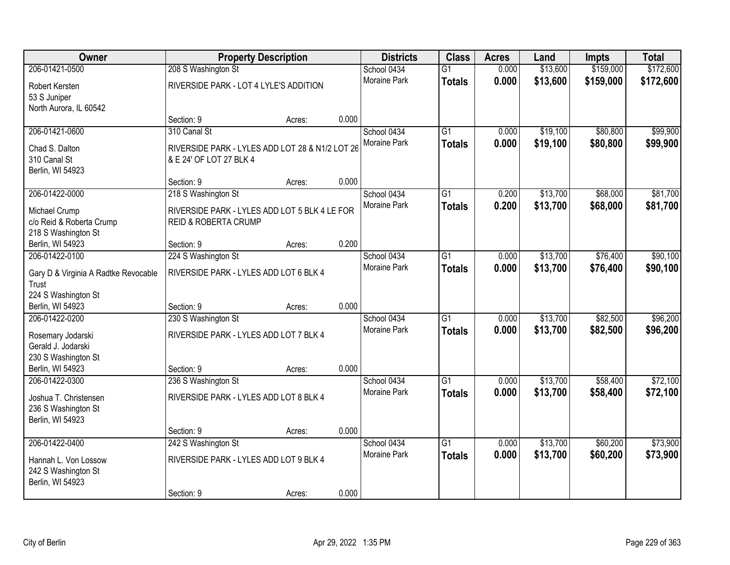| 208 S Washington St<br>\$159,000<br>\$172,600<br>206-01421-0500<br>$\overline{G1}$<br>0.000<br>\$13,600<br>School 0434<br>0.000<br>\$13,600<br>\$159,000<br><b>Moraine Park</b><br>\$172,600<br><b>Totals</b><br>RIVERSIDE PARK - LOT 4 LYLE'S ADDITION<br>Robert Kersten<br>53 S Juniper<br>North Aurora, IL 60542<br>0.000<br>Section: 9<br>Acres:<br>310 Canal St<br>\$19,100<br>\$80,800<br>\$99,900<br>206-01421-0600<br>School 0434<br>$\overline{G1}$<br>0.000<br>Moraine Park<br>0.000<br>\$19,100<br>\$80,800<br>\$99,900<br><b>Totals</b><br>RIVERSIDE PARK - LYLES ADD LOT 28 & N1/2 LOT 26<br>Chad S. Dalton<br>310 Canal St<br>& E 24' OF LOT 27 BLK 4<br>Berlin, WI 54923<br>0.000<br>Section: 9<br>Acres:<br>\$13,700<br>\$68,000<br>\$81,700<br>206-01422-0000<br>School 0434<br>$\overline{G1}$<br>0.200<br>218 S Washington St<br>Moraine Park<br>\$13,700<br>0.200<br>\$68,000<br>\$81,700<br><b>Totals</b><br>Michael Crump<br>RIVERSIDE PARK - LYLES ADD LOT 5 BLK 4 LE FOR<br>c/o Reid & Roberta Crump<br><b>REID &amp; ROBERTA CRUMP</b><br>218 S Washington St<br>0.200<br>Berlin, WI 54923<br>Section: 9<br>Acres:<br>\$76,400<br>\$90,100<br>206-01422-0100<br>224 S Washington St<br>$\overline{G1}$<br>0.000<br>\$13,700<br>School 0434<br>Moraine Park<br>0.000<br>\$13,700<br>\$76,400<br>\$90,100<br><b>Totals</b><br>RIVERSIDE PARK - LYLES ADD LOT 6 BLK 4<br>Gary D & Virginia A Radtke Revocable<br>Trust<br>224 S Washington St<br>0.000<br>Berlin, WI 54923<br>Section: 9<br>Acres:<br>206-01422-0200<br>230 S Washington St<br>$\overline{G1}$<br>\$13,700<br>\$82,500<br>\$96,200<br>School 0434<br>0.000<br>0.000<br>\$13,700<br>\$82,500<br><b>Moraine Park</b><br>\$96,200<br><b>Totals</b><br>RIVERSIDE PARK - LYLES ADD LOT 7 BLK 4<br>Rosemary Jodarski<br>Gerald J. Jodarski<br>230 S Washington St<br>0.000<br>Berlin, WI 54923<br>Section: 9<br>Acres:<br>\$72,100<br>206-01422-0300<br>236 S Washington St<br>School 0434<br>\$13,700<br>\$58,400<br>$\overline{G1}$<br>0.000<br>Moraine Park<br>0.000<br>\$13,700<br>\$58,400<br>\$72,100<br><b>Totals</b><br>RIVERSIDE PARK - LYLES ADD LOT 8 BLK 4<br>Joshua T. Christensen<br>236 S Washington St<br>Berlin, WI 54923<br>0.000<br>Section: 9<br>Acres:<br>\$73,900<br>206-01422-0400<br>242 S Washington St<br>$\overline{G1}$<br>\$13,700<br>\$60,200<br>School 0434<br>0.000<br>0.000<br>\$13,700<br>\$60,200<br>\$73,900<br><b>Moraine Park</b><br><b>Totals</b><br>RIVERSIDE PARK - LYLES ADD LOT 9 BLK 4<br>Hannah L. Von Lossow<br>242 S Washington St<br>Berlin, WI 54923 | Owner |            | <b>Property Description</b> |       | <b>Districts</b> | <b>Class</b> | <b>Acres</b> | Land | Impts | <b>Total</b> |
|---------------------------------------------------------------------------------------------------------------------------------------------------------------------------------------------------------------------------------------------------------------------------------------------------------------------------------------------------------------------------------------------------------------------------------------------------------------------------------------------------------------------------------------------------------------------------------------------------------------------------------------------------------------------------------------------------------------------------------------------------------------------------------------------------------------------------------------------------------------------------------------------------------------------------------------------------------------------------------------------------------------------------------------------------------------------------------------------------------------------------------------------------------------------------------------------------------------------------------------------------------------------------------------------------------------------------------------------------------------------------------------------------------------------------------------------------------------------------------------------------------------------------------------------------------------------------------------------------------------------------------------------------------------------------------------------------------------------------------------------------------------------------------------------------------------------------------------------------------------------------------------------------------------------------------------------------------------------------------------------------------------------------------------------------------------------------------------------------------------------------------------------------------------------------------------------------------------------------------------------------------------------------------------------------------------------------------------------------------------------------------------------------------------------------------------------------------------------------------------------------------------------------------------------------------------------------------------|-------|------------|-----------------------------|-------|------------------|--------------|--------------|------|-------|--------------|
|                                                                                                                                                                                                                                                                                                                                                                                                                                                                                                                                                                                                                                                                                                                                                                                                                                                                                                                                                                                                                                                                                                                                                                                                                                                                                                                                                                                                                                                                                                                                                                                                                                                                                                                                                                                                                                                                                                                                                                                                                                                                                                                                                                                                                                                                                                                                                                                                                                                                                                                                                                                       |       |            |                             |       |                  |              |              |      |       |              |
|                                                                                                                                                                                                                                                                                                                                                                                                                                                                                                                                                                                                                                                                                                                                                                                                                                                                                                                                                                                                                                                                                                                                                                                                                                                                                                                                                                                                                                                                                                                                                                                                                                                                                                                                                                                                                                                                                                                                                                                                                                                                                                                                                                                                                                                                                                                                                                                                                                                                                                                                                                                       |       |            |                             |       |                  |              |              |      |       |              |
|                                                                                                                                                                                                                                                                                                                                                                                                                                                                                                                                                                                                                                                                                                                                                                                                                                                                                                                                                                                                                                                                                                                                                                                                                                                                                                                                                                                                                                                                                                                                                                                                                                                                                                                                                                                                                                                                                                                                                                                                                                                                                                                                                                                                                                                                                                                                                                                                                                                                                                                                                                                       |       |            |                             |       |                  |              |              |      |       |              |
|                                                                                                                                                                                                                                                                                                                                                                                                                                                                                                                                                                                                                                                                                                                                                                                                                                                                                                                                                                                                                                                                                                                                                                                                                                                                                                                                                                                                                                                                                                                                                                                                                                                                                                                                                                                                                                                                                                                                                                                                                                                                                                                                                                                                                                                                                                                                                                                                                                                                                                                                                                                       |       |            |                             |       |                  |              |              |      |       |              |
|                                                                                                                                                                                                                                                                                                                                                                                                                                                                                                                                                                                                                                                                                                                                                                                                                                                                                                                                                                                                                                                                                                                                                                                                                                                                                                                                                                                                                                                                                                                                                                                                                                                                                                                                                                                                                                                                                                                                                                                                                                                                                                                                                                                                                                                                                                                                                                                                                                                                                                                                                                                       |       |            |                             |       |                  |              |              |      |       |              |
|                                                                                                                                                                                                                                                                                                                                                                                                                                                                                                                                                                                                                                                                                                                                                                                                                                                                                                                                                                                                                                                                                                                                                                                                                                                                                                                                                                                                                                                                                                                                                                                                                                                                                                                                                                                                                                                                                                                                                                                                                                                                                                                                                                                                                                                                                                                                                                                                                                                                                                                                                                                       |       |            |                             |       |                  |              |              |      |       |              |
|                                                                                                                                                                                                                                                                                                                                                                                                                                                                                                                                                                                                                                                                                                                                                                                                                                                                                                                                                                                                                                                                                                                                                                                                                                                                                                                                                                                                                                                                                                                                                                                                                                                                                                                                                                                                                                                                                                                                                                                                                                                                                                                                                                                                                                                                                                                                                                                                                                                                                                                                                                                       |       |            |                             |       |                  |              |              |      |       |              |
|                                                                                                                                                                                                                                                                                                                                                                                                                                                                                                                                                                                                                                                                                                                                                                                                                                                                                                                                                                                                                                                                                                                                                                                                                                                                                                                                                                                                                                                                                                                                                                                                                                                                                                                                                                                                                                                                                                                                                                                                                                                                                                                                                                                                                                                                                                                                                                                                                                                                                                                                                                                       |       |            |                             |       |                  |              |              |      |       |              |
|                                                                                                                                                                                                                                                                                                                                                                                                                                                                                                                                                                                                                                                                                                                                                                                                                                                                                                                                                                                                                                                                                                                                                                                                                                                                                                                                                                                                                                                                                                                                                                                                                                                                                                                                                                                                                                                                                                                                                                                                                                                                                                                                                                                                                                                                                                                                                                                                                                                                                                                                                                                       |       |            |                             |       |                  |              |              |      |       |              |
|                                                                                                                                                                                                                                                                                                                                                                                                                                                                                                                                                                                                                                                                                                                                                                                                                                                                                                                                                                                                                                                                                                                                                                                                                                                                                                                                                                                                                                                                                                                                                                                                                                                                                                                                                                                                                                                                                                                                                                                                                                                                                                                                                                                                                                                                                                                                                                                                                                                                                                                                                                                       |       |            |                             |       |                  |              |              |      |       |              |
|                                                                                                                                                                                                                                                                                                                                                                                                                                                                                                                                                                                                                                                                                                                                                                                                                                                                                                                                                                                                                                                                                                                                                                                                                                                                                                                                                                                                                                                                                                                                                                                                                                                                                                                                                                                                                                                                                                                                                                                                                                                                                                                                                                                                                                                                                                                                                                                                                                                                                                                                                                                       |       |            |                             |       |                  |              |              |      |       |              |
|                                                                                                                                                                                                                                                                                                                                                                                                                                                                                                                                                                                                                                                                                                                                                                                                                                                                                                                                                                                                                                                                                                                                                                                                                                                                                                                                                                                                                                                                                                                                                                                                                                                                                                                                                                                                                                                                                                                                                                                                                                                                                                                                                                                                                                                                                                                                                                                                                                                                                                                                                                                       |       |            |                             |       |                  |              |              |      |       |              |
|                                                                                                                                                                                                                                                                                                                                                                                                                                                                                                                                                                                                                                                                                                                                                                                                                                                                                                                                                                                                                                                                                                                                                                                                                                                                                                                                                                                                                                                                                                                                                                                                                                                                                                                                                                                                                                                                                                                                                                                                                                                                                                                                                                                                                                                                                                                                                                                                                                                                                                                                                                                       |       |            |                             |       |                  |              |              |      |       |              |
|                                                                                                                                                                                                                                                                                                                                                                                                                                                                                                                                                                                                                                                                                                                                                                                                                                                                                                                                                                                                                                                                                                                                                                                                                                                                                                                                                                                                                                                                                                                                                                                                                                                                                                                                                                                                                                                                                                                                                                                                                                                                                                                                                                                                                                                                                                                                                                                                                                                                                                                                                                                       |       |            |                             |       |                  |              |              |      |       |              |
|                                                                                                                                                                                                                                                                                                                                                                                                                                                                                                                                                                                                                                                                                                                                                                                                                                                                                                                                                                                                                                                                                                                                                                                                                                                                                                                                                                                                                                                                                                                                                                                                                                                                                                                                                                                                                                                                                                                                                                                                                                                                                                                                                                                                                                                                                                                                                                                                                                                                                                                                                                                       |       |            |                             |       |                  |              |              |      |       |              |
|                                                                                                                                                                                                                                                                                                                                                                                                                                                                                                                                                                                                                                                                                                                                                                                                                                                                                                                                                                                                                                                                                                                                                                                                                                                                                                                                                                                                                                                                                                                                                                                                                                                                                                                                                                                                                                                                                                                                                                                                                                                                                                                                                                                                                                                                                                                                                                                                                                                                                                                                                                                       |       |            |                             |       |                  |              |              |      |       |              |
|                                                                                                                                                                                                                                                                                                                                                                                                                                                                                                                                                                                                                                                                                                                                                                                                                                                                                                                                                                                                                                                                                                                                                                                                                                                                                                                                                                                                                                                                                                                                                                                                                                                                                                                                                                                                                                                                                                                                                                                                                                                                                                                                                                                                                                                                                                                                                                                                                                                                                                                                                                                       |       |            |                             |       |                  |              |              |      |       |              |
|                                                                                                                                                                                                                                                                                                                                                                                                                                                                                                                                                                                                                                                                                                                                                                                                                                                                                                                                                                                                                                                                                                                                                                                                                                                                                                                                                                                                                                                                                                                                                                                                                                                                                                                                                                                                                                                                                                                                                                                                                                                                                                                                                                                                                                                                                                                                                                                                                                                                                                                                                                                       |       |            |                             |       |                  |              |              |      |       |              |
|                                                                                                                                                                                                                                                                                                                                                                                                                                                                                                                                                                                                                                                                                                                                                                                                                                                                                                                                                                                                                                                                                                                                                                                                                                                                                                                                                                                                                                                                                                                                                                                                                                                                                                                                                                                                                                                                                                                                                                                                                                                                                                                                                                                                                                                                                                                                                                                                                                                                                                                                                                                       |       |            |                             |       |                  |              |              |      |       |              |
|                                                                                                                                                                                                                                                                                                                                                                                                                                                                                                                                                                                                                                                                                                                                                                                                                                                                                                                                                                                                                                                                                                                                                                                                                                                                                                                                                                                                                                                                                                                                                                                                                                                                                                                                                                                                                                                                                                                                                                                                                                                                                                                                                                                                                                                                                                                                                                                                                                                                                                                                                                                       |       |            |                             |       |                  |              |              |      |       |              |
|                                                                                                                                                                                                                                                                                                                                                                                                                                                                                                                                                                                                                                                                                                                                                                                                                                                                                                                                                                                                                                                                                                                                                                                                                                                                                                                                                                                                                                                                                                                                                                                                                                                                                                                                                                                                                                                                                                                                                                                                                                                                                                                                                                                                                                                                                                                                                                                                                                                                                                                                                                                       |       |            |                             |       |                  |              |              |      |       |              |
|                                                                                                                                                                                                                                                                                                                                                                                                                                                                                                                                                                                                                                                                                                                                                                                                                                                                                                                                                                                                                                                                                                                                                                                                                                                                                                                                                                                                                                                                                                                                                                                                                                                                                                                                                                                                                                                                                                                                                                                                                                                                                                                                                                                                                                                                                                                                                                                                                                                                                                                                                                                       |       |            |                             |       |                  |              |              |      |       |              |
|                                                                                                                                                                                                                                                                                                                                                                                                                                                                                                                                                                                                                                                                                                                                                                                                                                                                                                                                                                                                                                                                                                                                                                                                                                                                                                                                                                                                                                                                                                                                                                                                                                                                                                                                                                                                                                                                                                                                                                                                                                                                                                                                                                                                                                                                                                                                                                                                                                                                                                                                                                                       |       |            |                             |       |                  |              |              |      |       |              |
|                                                                                                                                                                                                                                                                                                                                                                                                                                                                                                                                                                                                                                                                                                                                                                                                                                                                                                                                                                                                                                                                                                                                                                                                                                                                                                                                                                                                                                                                                                                                                                                                                                                                                                                                                                                                                                                                                                                                                                                                                                                                                                                                                                                                                                                                                                                                                                                                                                                                                                                                                                                       |       |            |                             |       |                  |              |              |      |       |              |
|                                                                                                                                                                                                                                                                                                                                                                                                                                                                                                                                                                                                                                                                                                                                                                                                                                                                                                                                                                                                                                                                                                                                                                                                                                                                                                                                                                                                                                                                                                                                                                                                                                                                                                                                                                                                                                                                                                                                                                                                                                                                                                                                                                                                                                                                                                                                                                                                                                                                                                                                                                                       |       |            |                             |       |                  |              |              |      |       |              |
|                                                                                                                                                                                                                                                                                                                                                                                                                                                                                                                                                                                                                                                                                                                                                                                                                                                                                                                                                                                                                                                                                                                                                                                                                                                                                                                                                                                                                                                                                                                                                                                                                                                                                                                                                                                                                                                                                                                                                                                                                                                                                                                                                                                                                                                                                                                                                                                                                                                                                                                                                                                       |       |            |                             |       |                  |              |              |      |       |              |
|                                                                                                                                                                                                                                                                                                                                                                                                                                                                                                                                                                                                                                                                                                                                                                                                                                                                                                                                                                                                                                                                                                                                                                                                                                                                                                                                                                                                                                                                                                                                                                                                                                                                                                                                                                                                                                                                                                                                                                                                                                                                                                                                                                                                                                                                                                                                                                                                                                                                                                                                                                                       |       |            |                             |       |                  |              |              |      |       |              |
|                                                                                                                                                                                                                                                                                                                                                                                                                                                                                                                                                                                                                                                                                                                                                                                                                                                                                                                                                                                                                                                                                                                                                                                                                                                                                                                                                                                                                                                                                                                                                                                                                                                                                                                                                                                                                                                                                                                                                                                                                                                                                                                                                                                                                                                                                                                                                                                                                                                                                                                                                                                       |       |            |                             |       |                  |              |              |      |       |              |
|                                                                                                                                                                                                                                                                                                                                                                                                                                                                                                                                                                                                                                                                                                                                                                                                                                                                                                                                                                                                                                                                                                                                                                                                                                                                                                                                                                                                                                                                                                                                                                                                                                                                                                                                                                                                                                                                                                                                                                                                                                                                                                                                                                                                                                                                                                                                                                                                                                                                                                                                                                                       |       |            |                             |       |                  |              |              |      |       |              |
|                                                                                                                                                                                                                                                                                                                                                                                                                                                                                                                                                                                                                                                                                                                                                                                                                                                                                                                                                                                                                                                                                                                                                                                                                                                                                                                                                                                                                                                                                                                                                                                                                                                                                                                                                                                                                                                                                                                                                                                                                                                                                                                                                                                                                                                                                                                                                                                                                                                                                                                                                                                       |       |            |                             |       |                  |              |              |      |       |              |
|                                                                                                                                                                                                                                                                                                                                                                                                                                                                                                                                                                                                                                                                                                                                                                                                                                                                                                                                                                                                                                                                                                                                                                                                                                                                                                                                                                                                                                                                                                                                                                                                                                                                                                                                                                                                                                                                                                                                                                                                                                                                                                                                                                                                                                                                                                                                                                                                                                                                                                                                                                                       |       |            |                             |       |                  |              |              |      |       |              |
|                                                                                                                                                                                                                                                                                                                                                                                                                                                                                                                                                                                                                                                                                                                                                                                                                                                                                                                                                                                                                                                                                                                                                                                                                                                                                                                                                                                                                                                                                                                                                                                                                                                                                                                                                                                                                                                                                                                                                                                                                                                                                                                                                                                                                                                                                                                                                                                                                                                                                                                                                                                       |       |            |                             |       |                  |              |              |      |       |              |
|                                                                                                                                                                                                                                                                                                                                                                                                                                                                                                                                                                                                                                                                                                                                                                                                                                                                                                                                                                                                                                                                                                                                                                                                                                                                                                                                                                                                                                                                                                                                                                                                                                                                                                                                                                                                                                                                                                                                                                                                                                                                                                                                                                                                                                                                                                                                                                                                                                                                                                                                                                                       |       |            |                             |       |                  |              |              |      |       |              |
|                                                                                                                                                                                                                                                                                                                                                                                                                                                                                                                                                                                                                                                                                                                                                                                                                                                                                                                                                                                                                                                                                                                                                                                                                                                                                                                                                                                                                                                                                                                                                                                                                                                                                                                                                                                                                                                                                                                                                                                                                                                                                                                                                                                                                                                                                                                                                                                                                                                                                                                                                                                       |       |            |                             |       |                  |              |              |      |       |              |
|                                                                                                                                                                                                                                                                                                                                                                                                                                                                                                                                                                                                                                                                                                                                                                                                                                                                                                                                                                                                                                                                                                                                                                                                                                                                                                                                                                                                                                                                                                                                                                                                                                                                                                                                                                                                                                                                                                                                                                                                                                                                                                                                                                                                                                                                                                                                                                                                                                                                                                                                                                                       |       | Section: 9 | Acres:                      | 0.000 |                  |              |              |      |       |              |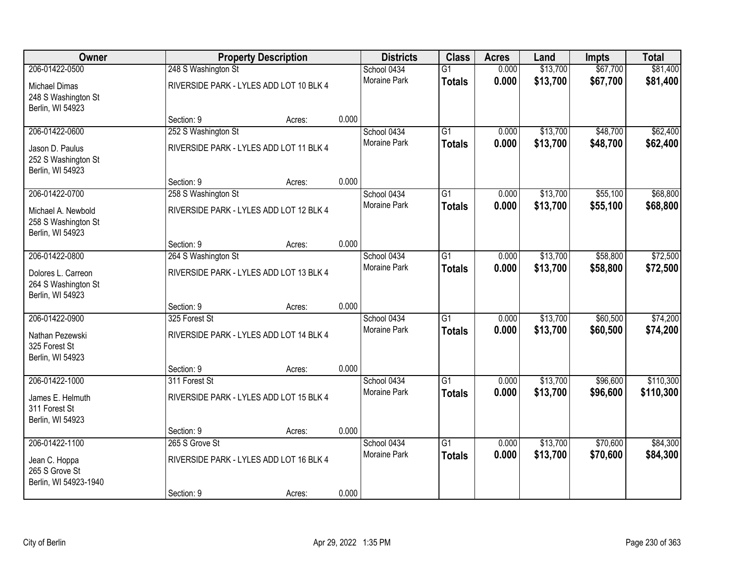| Owner                                                           |                                         | <b>Property Description</b> |       | <b>Districts</b>    | <b>Class</b>    | <b>Acres</b> | Land     | Impts    | <b>Total</b> |
|-----------------------------------------------------------------|-----------------------------------------|-----------------------------|-------|---------------------|-----------------|--------------|----------|----------|--------------|
| 206-01422-0500                                                  | 248 S Washington St                     |                             |       | School 0434         | $\overline{G1}$ | 0.000        | \$13,700 | \$67,700 | \$81,400     |
| <b>Michael Dimas</b><br>248 S Washington St<br>Berlin, WI 54923 | RIVERSIDE PARK - LYLES ADD LOT 10 BLK 4 |                             |       | <b>Moraine Park</b> | <b>Totals</b>   | 0.000        | \$13,700 | \$67,700 | \$81,400     |
|                                                                 | Section: 9                              | Acres:                      | 0.000 |                     |                 |              |          |          |              |
| 206-01422-0600                                                  | 252 S Washington St                     |                             |       | School 0434         | $\overline{G1}$ | 0.000        | \$13,700 | \$48,700 | \$62,400     |
| Jason D. Paulus<br>252 S Washington St<br>Berlin, WI 54923      | RIVERSIDE PARK - LYLES ADD LOT 11 BLK 4 |                             |       | Moraine Park        | <b>Totals</b>   | 0.000        | \$13,700 | \$48,700 | \$62,400     |
|                                                                 | Section: 9                              | Acres:                      | 0.000 |                     |                 |              |          |          |              |
| 206-01422-0700                                                  | 258 S Washington St                     |                             |       | School 0434         | $\overline{G1}$ | 0.000        | \$13,700 | \$55,100 | \$68,800     |
| Michael A. Newbold<br>258 S Washington St<br>Berlin, WI 54923   | RIVERSIDE PARK - LYLES ADD LOT 12 BLK 4 |                             |       | Moraine Park        | <b>Totals</b>   | 0.000        | \$13,700 | \$55,100 | \$68,800     |
|                                                                 | Section: 9                              | Acres:                      | 0.000 |                     |                 |              |          |          |              |
| 206-01422-0800                                                  | 264 S Washington St                     |                             |       | School 0434         | $\overline{G1}$ | 0.000        | \$13,700 | \$58,800 | \$72,500     |
| Dolores L. Carreon<br>264 S Washington St<br>Berlin, WI 54923   | RIVERSIDE PARK - LYLES ADD LOT 13 BLK 4 |                             |       | Moraine Park        | <b>Totals</b>   | 0.000        | \$13,700 | \$58,800 | \$72,500     |
|                                                                 | Section: 9                              | Acres:                      | 0.000 |                     |                 |              |          |          |              |
| 206-01422-0900                                                  | 325 Forest St                           |                             |       | School 0434         | $\overline{G1}$ | 0.000        | \$13,700 | \$60,500 | \$74,200     |
| Nathan Pezewski<br>325 Forest St<br>Berlin, WI 54923            | RIVERSIDE PARK - LYLES ADD LOT 14 BLK 4 |                             |       | <b>Moraine Park</b> | <b>Totals</b>   | 0.000        | \$13,700 | \$60,500 | \$74,200     |
|                                                                 | Section: 9                              | Acres:                      | 0.000 |                     |                 |              |          |          |              |
| 206-01422-1000                                                  | 311 Forest St                           |                             |       | School 0434         | $\overline{G1}$ | 0.000        | \$13,700 | \$96,600 | \$110,300    |
| James E. Helmuth<br>311 Forest St<br>Berlin, WI 54923           | RIVERSIDE PARK - LYLES ADD LOT 15 BLK 4 |                             |       | Moraine Park        | <b>Totals</b>   | 0.000        | \$13,700 | \$96,600 | \$110,300    |
|                                                                 | Section: 9                              | Acres:                      | 0.000 |                     |                 |              |          |          |              |
| 206-01422-1100                                                  | 265 S Grove St                          |                             |       | School 0434         | $\overline{G1}$ | 0.000        | \$13,700 | \$70,600 | \$84,300     |
| Jean C. Hoppa<br>265 S Grove St<br>Berlin, WI 54923-1940        | RIVERSIDE PARK - LYLES ADD LOT 16 BLK 4 |                             |       | <b>Moraine Park</b> | <b>Totals</b>   | 0.000        | \$13,700 | \$70,600 | \$84,300     |
|                                                                 | Section: 9                              | Acres:                      | 0.000 |                     |                 |              |          |          |              |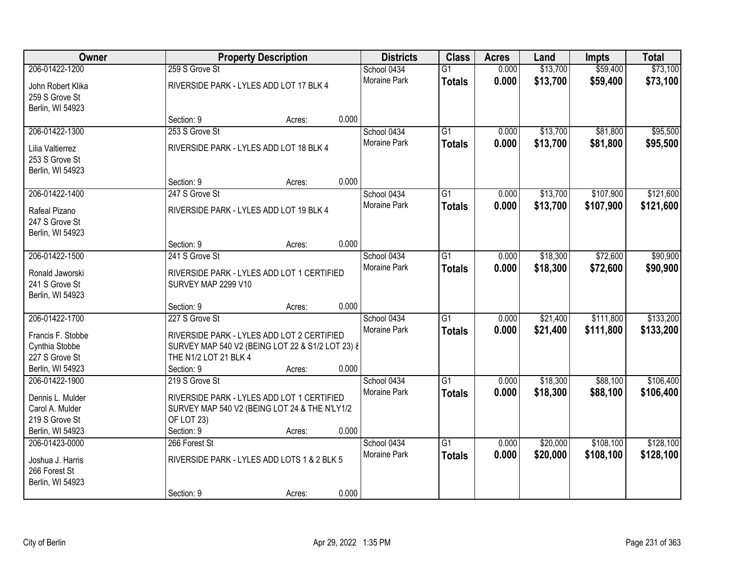| Owner                           |                                                  | <b>Property Description</b> |       | <b>Districts</b>    | <b>Class</b>    | <b>Acres</b> | Land     | Impts     | <b>Total</b> |
|---------------------------------|--------------------------------------------------|-----------------------------|-------|---------------------|-----------------|--------------|----------|-----------|--------------|
| 206-01422-1200                  | 259 S Grove St                                   |                             |       | School 0434         | $\overline{G1}$ | 0.000        | \$13,700 | \$59,400  | \$73,100     |
| John Robert Klika               | RIVERSIDE PARK - LYLES ADD LOT 17 BLK 4          |                             |       | <b>Moraine Park</b> | <b>Totals</b>   | 0.000        | \$13,700 | \$59,400  | \$73,100     |
| 259 S Grove St                  |                                                  |                             |       |                     |                 |              |          |           |              |
| Berlin, WI 54923                |                                                  |                             |       |                     |                 |              |          |           |              |
|                                 | Section: 9                                       | Acres:                      | 0.000 |                     |                 |              |          |           |              |
| 206-01422-1300                  | 253 S Grove St                                   |                             |       | School 0434         | $\overline{G1}$ | 0.000        | \$13,700 | \$81,800  | \$95,500     |
| Lilia Valtierrez                | RIVERSIDE PARK - LYLES ADD LOT 18 BLK 4          |                             |       | Moraine Park        | <b>Totals</b>   | 0.000        | \$13,700 | \$81,800  | \$95,500     |
| 253 S Grove St                  |                                                  |                             |       |                     |                 |              |          |           |              |
| Berlin, WI 54923                |                                                  |                             |       |                     |                 |              |          |           |              |
|                                 | Section: 9                                       | Acres:                      | 0.000 |                     |                 |              |          |           |              |
| 206-01422-1400                  | 247 S Grove St                                   |                             |       | School 0434         | $\overline{G1}$ | 0.000        | \$13,700 | \$107,900 | \$121,600    |
|                                 |                                                  |                             |       | Moraine Park        | <b>Totals</b>   | 0.000        | \$13,700 | \$107,900 | \$121,600    |
| Rafeal Pizano<br>247 S Grove St | RIVERSIDE PARK - LYLES ADD LOT 19 BLK 4          |                             |       |                     |                 |              |          |           |              |
| Berlin, WI 54923                |                                                  |                             |       |                     |                 |              |          |           |              |
|                                 | Section: 9                                       | Acres:                      | 0.000 |                     |                 |              |          |           |              |
| 206-01422-1500                  | 241 S Grove St                                   |                             |       | School 0434         | $\overline{G1}$ | 0.000        | \$18,300 | \$72,600  | \$90,900     |
|                                 |                                                  |                             |       | Moraine Park        | <b>Totals</b>   | 0.000        | \$18,300 | \$72,600  | \$90,900     |
| Ronald Jaworski                 | RIVERSIDE PARK - LYLES ADD LOT 1 CERTIFIED       |                             |       |                     |                 |              |          |           |              |
| 241 S Grove St                  | SURVEY MAP 2299 V10                              |                             |       |                     |                 |              |          |           |              |
| Berlin, WI 54923                |                                                  |                             |       |                     |                 |              |          |           |              |
|                                 | Section: 9<br>227 S Grove St                     | Acres:                      | 0.000 |                     | $\overline{G1}$ |              |          |           |              |
| 206-01422-1700                  |                                                  |                             |       | School 0434         |                 | 0.000        | \$21,400 | \$111,800 | \$133,200    |
| Francis F. Stobbe               | RIVERSIDE PARK - LYLES ADD LOT 2 CERTIFIED       |                             |       | Moraine Park        | <b>Totals</b>   | 0.000        | \$21,400 | \$111,800 | \$133,200    |
| Cynthia Stobbe                  | SURVEY MAP 540 V2 (BEING LOT 22 & S1/2 LOT 23) & |                             |       |                     |                 |              |          |           |              |
| 227 S Grove St                  | THE N1/2 LOT 21 BLK 4                            |                             |       |                     |                 |              |          |           |              |
| Berlin, WI 54923                | Section: 9                                       | Acres:                      | 0.000 |                     |                 |              |          |           |              |
| 206-01422-1900                  | 219 S Grove St                                   |                             |       | School 0434         | G1              | 0.000        | \$18,300 | \$88,100  | \$106,400    |
| Dennis L. Mulder                | RIVERSIDE PARK - LYLES ADD LOT 1 CERTIFIED       |                             |       | Moraine Park        | <b>Totals</b>   | 0.000        | \$18,300 | \$88,100  | \$106,400    |
| Carol A. Mulder                 | SURVEY MAP 540 V2 (BEING LOT 24 & THE N'LY1/2    |                             |       |                     |                 |              |          |           |              |
| 219 S Grove St                  | OF LOT 23)                                       |                             |       |                     |                 |              |          |           |              |
| Berlin, WI 54923                | Section: 9                                       | Acres:                      | 0.000 |                     |                 |              |          |           |              |
| 206-01423-0000                  | 266 Forest St                                    |                             |       | School 0434         | $\overline{G1}$ | 0.000        | \$20,000 | \$108,100 | \$128,100    |
| Joshua J. Harris                | RIVERSIDE PARK - LYLES ADD LOTS 1 & 2 BLK 5      |                             |       | <b>Moraine Park</b> | <b>Totals</b>   | 0.000        | \$20,000 | \$108,100 | \$128,100    |
| 266 Forest St                   |                                                  |                             |       |                     |                 |              |          |           |              |
| Berlin, WI 54923                |                                                  |                             |       |                     |                 |              |          |           |              |
|                                 | Section: 9                                       | Acres:                      | 0.000 |                     |                 |              |          |           |              |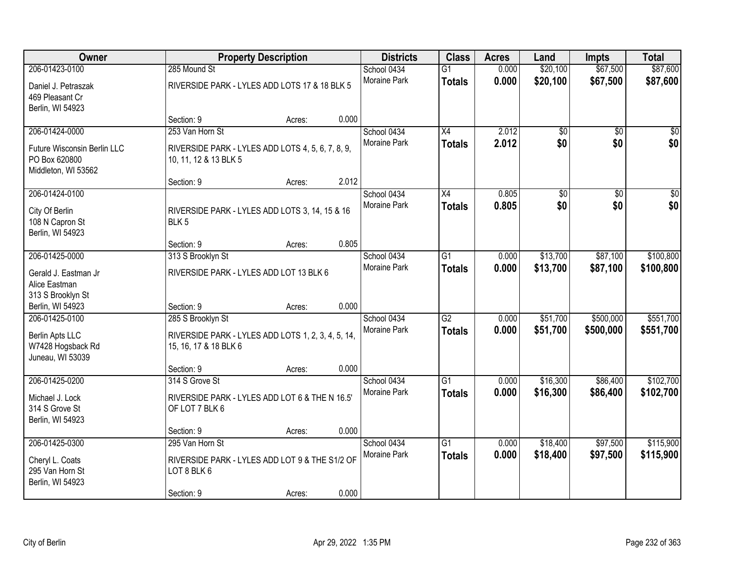| Owner                                                                                 |                                                                                                  | <b>Property Description</b> |       | <b>Districts</b>            | <b>Class</b>                     | <b>Acres</b>   | Land                   | <b>Impts</b>           | <b>Total</b>           |
|---------------------------------------------------------------------------------------|--------------------------------------------------------------------------------------------------|-----------------------------|-------|-----------------------------|----------------------------------|----------------|------------------------|------------------------|------------------------|
| 206-01423-0100<br>Daniel J. Petraszak<br>469 Pleasant Cr                              | 285 Mound St<br>RIVERSIDE PARK - LYLES ADD LOTS 17 & 18 BLK 5                                    |                             |       | School 0434<br>Moraine Park | $\overline{G1}$<br><b>Totals</b> | 0.000<br>0.000 | \$20,100<br>\$20,100   | \$67,500<br>\$67,500   | \$87,600<br>\$87,600   |
| Berlin, WI 54923                                                                      | Section: 9                                                                                       | Acres:                      | 0.000 |                             |                                  |                |                        |                        |                        |
| 206-01424-0000<br>Future Wisconsin Berlin LLC<br>PO Box 620800<br>Middleton, WI 53562 | 253 Van Horn St<br>RIVERSIDE PARK - LYLES ADD LOTS 4, 5, 6, 7, 8, 9,<br>10, 11, 12 & 13 BLK 5    |                             |       | School 0434<br>Moraine Park | $\overline{X4}$<br><b>Totals</b> | 2.012<br>2.012 | $\overline{50}$<br>\$0 | $\overline{50}$<br>\$0 | $\sqrt{50}$<br>\$0     |
| 206-01424-0100                                                                        | Section: 9                                                                                       | Acres:                      | 2.012 | School 0434                 | X4                               | 0.805          | \$0                    | \$0                    | $\overline{30}$        |
| City Of Berlin<br>108 N Capron St<br>Berlin, WI 54923                                 | RIVERSIDE PARK - LYLES ADD LOTS 3, 14, 15 & 16<br>BLK <sub>5</sub>                               |                             |       | Moraine Park                | <b>Totals</b>                    | 0.805          | \$0                    | \$0                    | \$0                    |
|                                                                                       | Section: 9                                                                                       | Acres:                      | 0.805 |                             |                                  |                |                        |                        |                        |
| 206-01425-0000<br>Gerald J. Eastman Jr<br>Alice Eastman                               | 313 S Brooklyn St<br>RIVERSIDE PARK - LYLES ADD LOT 13 BLK 6                                     |                             |       | School 0434<br>Moraine Park | G1<br><b>Totals</b>              | 0.000<br>0.000 | \$13,700<br>\$13,700   | \$87,100<br>\$87,100   | \$100,800<br>\$100,800 |
| 313 S Brooklyn St<br>Berlin, WI 54923                                                 | Section: 9                                                                                       | Acres:                      | 0.000 |                             |                                  |                |                        |                        |                        |
| 206-01425-0100<br>Berlin Apts LLC<br>W7428 Hogsback Rd<br>Juneau, WI 53039            | 285 S Brooklyn St<br>RIVERSIDE PARK - LYLES ADD LOTS 1, 2, 3, 4, 5, 14,<br>15, 16, 17 & 18 BLK 6 |                             |       | School 0434<br>Moraine Park | $\overline{G2}$<br><b>Totals</b> | 0.000<br>0.000 | \$51,700<br>\$51,700   | \$500,000<br>\$500,000 | \$551,700<br>\$551,700 |
|                                                                                       | Section: 9                                                                                       | Acres:                      | 0.000 |                             |                                  |                |                        |                        |                        |
| 206-01425-0200<br>Michael J. Lock<br>314 S Grove St<br>Berlin, WI 54923               | 314 S Grove St<br>RIVERSIDE PARK - LYLES ADD LOT 6 & THE N 16.5'<br>OF LOT 7 BLK 6               |                             |       | School 0434<br>Moraine Park | $\overline{G1}$<br><b>Totals</b> | 0.000<br>0.000 | \$16,300<br>\$16,300   | \$86,400<br>\$86,400   | \$102,700<br>\$102,700 |
|                                                                                       | Section: 9                                                                                       | Acres:                      | 0.000 |                             |                                  |                |                        |                        |                        |
| 206-01425-0300<br>Cheryl L. Coats<br>295 Van Horn St<br>Berlin, WI 54923              | 295 Van Horn St<br>RIVERSIDE PARK - LYLES ADD LOT 9 & THE S1/2 OF<br>LOT 8 BLK 6                 |                             |       | School 0434<br>Moraine Park | $\overline{G1}$<br><b>Totals</b> | 0.000<br>0.000 | \$18,400<br>\$18,400   | \$97,500<br>\$97,500   | \$115,900<br>\$115,900 |
|                                                                                       | Section: 9                                                                                       | Acres:                      | 0.000 |                             |                                  |                |                        |                        |                        |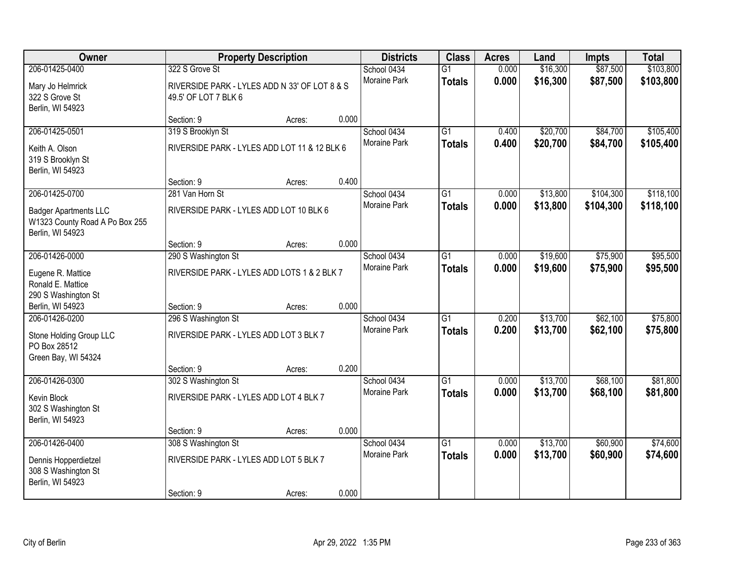| Owner                                                                              |                                                                                         | <b>Property Description</b> |       | <b>Districts</b>                   | <b>Class</b>                     | <b>Acres</b>   | Land                 | <b>Impts</b>         | <b>Total</b>           |
|------------------------------------------------------------------------------------|-----------------------------------------------------------------------------------------|-----------------------------|-------|------------------------------------|----------------------------------|----------------|----------------------|----------------------|------------------------|
| 206-01425-0400<br>Mary Jo Helmrick<br>322 S Grove St                               | 322 S Grove St<br>RIVERSIDE PARK - LYLES ADD N 33' OF LOT 8 & S<br>49.5' OF LOT 7 BLK 6 |                             |       | School 0434<br><b>Moraine Park</b> | $\overline{G1}$<br><b>Totals</b> | 0.000<br>0.000 | \$16,300<br>\$16,300 | \$87,500<br>\$87,500 | \$103,800<br>\$103,800 |
| Berlin, WI 54923                                                                   | Section: 9                                                                              | Acres:                      | 0.000 |                                    |                                  |                |                      |                      |                        |
| 206-01425-0501                                                                     | 319 S Brooklyn St                                                                       |                             |       | School 0434                        | $\overline{G1}$                  | 0.400          | \$20,700             | \$84,700             | \$105,400              |
| Keith A. Olson<br>319 S Brooklyn St<br>Berlin, WI 54923                            | RIVERSIDE PARK - LYLES ADD LOT 11 & 12 BLK 6                                            |                             |       | Moraine Park                       | <b>Totals</b>                    | 0.400          | \$20,700             | \$84,700             | \$105,400              |
|                                                                                    | Section: 9                                                                              | Acres:                      | 0.400 |                                    |                                  |                |                      |                      |                        |
| 206-01425-0700                                                                     | 281 Van Horn St                                                                         |                             |       | School 0434                        | $\overline{G1}$                  | 0.000          | \$13,800             | \$104,300            | \$118,100              |
| <b>Badger Apartments LLC</b><br>W1323 County Road A Po Box 255<br>Berlin, WI 54923 | RIVERSIDE PARK - LYLES ADD LOT 10 BLK 6                                                 |                             |       | Moraine Park                       | <b>Totals</b>                    | 0.000          | \$13,800             | \$104,300            | \$118,100              |
|                                                                                    | Section: 9                                                                              | Acres:                      | 0.000 |                                    |                                  |                |                      |                      |                        |
| 206-01426-0000                                                                     | 290 S Washington St                                                                     |                             |       | School 0434                        | $\overline{G1}$                  | 0.000          | \$19,600             | \$75,900             | \$95,500               |
| Eugene R. Mattice<br>Ronald E. Mattice<br>290 S Washington St                      | RIVERSIDE PARK - LYLES ADD LOTS 1 & 2 BLK 7                                             |                             |       | Moraine Park                       | <b>Totals</b>                    | 0.000          | \$19,600             | \$75,900             | \$95,500               |
| Berlin, WI 54923                                                                   | Section: 9                                                                              | Acres:                      | 0.000 |                                    |                                  |                |                      |                      |                        |
| 206-01426-0200                                                                     | 296 S Washington St                                                                     |                             |       | School 0434                        | $\overline{G1}$                  | 0.200          | \$13,700             | \$62,100             | \$75,800               |
| Stone Holding Group LLC<br>PO Box 28512<br>Green Bay, WI 54324                     | RIVERSIDE PARK - LYLES ADD LOT 3 BLK 7                                                  |                             |       | Moraine Park                       | <b>Totals</b>                    | 0.200          | \$13,700             | \$62,100             | \$75,800               |
|                                                                                    | Section: 9                                                                              | Acres:                      | 0.200 |                                    |                                  |                |                      |                      |                        |
| 206-01426-0300                                                                     | 302 S Washington St                                                                     |                             |       | School 0434                        | $\overline{G1}$                  | 0.000          | \$13,700             | \$68,100             | \$81,800               |
| Kevin Block<br>302 S Washington St<br>Berlin, WI 54923                             | RIVERSIDE PARK - LYLES ADD LOT 4 BLK 7                                                  |                             |       | Moraine Park                       | <b>Totals</b>                    | 0.000          | \$13,700             | \$68,100             | \$81,800               |
|                                                                                    | Section: 9                                                                              | Acres:                      | 0.000 |                                    |                                  |                |                      |                      |                        |
| 206-01426-0400                                                                     | 308 S Washington St                                                                     |                             |       | School 0434                        | $\overline{G1}$                  | 0.000          | \$13,700             | \$60,900             | \$74,600               |
| Dennis Hopperdietzel<br>308 S Washington St<br>Berlin, WI 54923                    | RIVERSIDE PARK - LYLES ADD LOT 5 BLK 7                                                  |                             |       | <b>Moraine Park</b>                | <b>Totals</b>                    | 0.000          | \$13,700             | \$60,900             | \$74,600               |
|                                                                                    | Section: 9                                                                              | Acres:                      | 0.000 |                                    |                                  |                |                      |                      |                        |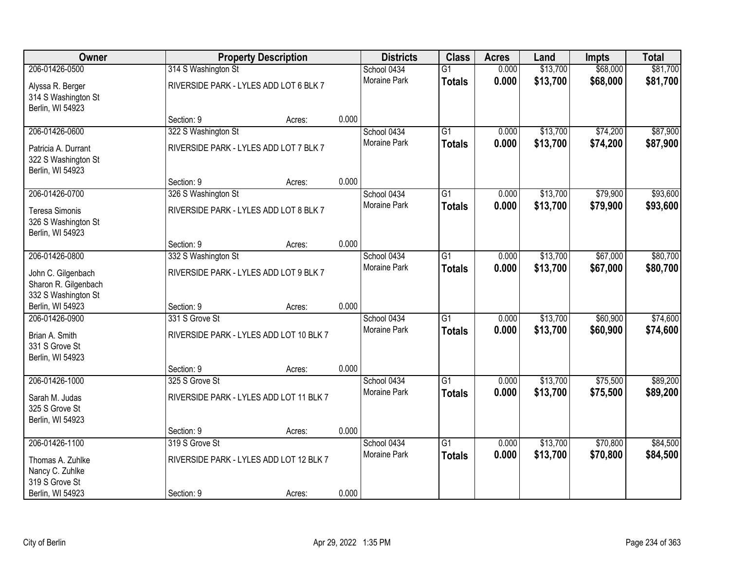| Owner                                                             |                                         | <b>Property Description</b> |       | <b>Districts</b>    | <b>Class</b>    | <b>Acres</b> | Land     | <b>Impts</b> | <b>Total</b> |
|-------------------------------------------------------------------|-----------------------------------------|-----------------------------|-------|---------------------|-----------------|--------------|----------|--------------|--------------|
| 206-01426-0500                                                    | 314 S Washington St                     |                             |       | School 0434         | $\overline{G1}$ | 0.000        | \$13,700 | \$68,000     | \$81,700     |
| Alyssa R. Berger<br>314 S Washington St<br>Berlin, WI 54923       | RIVERSIDE PARK - LYLES ADD LOT 6 BLK 7  |                             |       | Moraine Park        | <b>Totals</b>   | 0.000        | \$13,700 | \$68,000     | \$81,700     |
|                                                                   | Section: 9                              | Acres:                      | 0.000 |                     |                 |              |          |              |              |
| 206-01426-0600                                                    | 322 S Washington St                     |                             |       | School 0434         | $\overline{G1}$ | 0.000        | \$13,700 | \$74,200     | \$87,900     |
| Patricia A. Durrant<br>322 S Washington St<br>Berlin, WI 54923    | RIVERSIDE PARK - LYLES ADD LOT 7 BLK 7  |                             |       | <b>Moraine Park</b> | <b>Totals</b>   | 0.000        | \$13,700 | \$74,200     | \$87,900     |
|                                                                   | Section: 9                              | Acres:                      | 0.000 |                     |                 |              |          |              |              |
| 206-01426-0700                                                    | 326 S Washington St                     |                             |       | School 0434         | $\overline{G1}$ | 0.000        | \$13,700 | \$79,900     | \$93,600     |
| Teresa Simonis<br>326 S Washington St<br>Berlin, WI 54923         | RIVERSIDE PARK - LYLES ADD LOT 8 BLK 7  |                             |       | Moraine Park        | <b>Totals</b>   | 0.000        | \$13,700 | \$79,900     | \$93,600     |
|                                                                   | Section: 9                              | Acres:                      | 0.000 |                     |                 |              |          |              |              |
| 206-01426-0800                                                    | 332 S Washington St                     |                             |       | School 0434         | $\overline{G1}$ | 0.000        | \$13,700 | \$67,000     | \$80,700     |
| John C. Gilgenbach<br>Sharon R. Gilgenbach<br>332 S Washington St | RIVERSIDE PARK - LYLES ADD LOT 9 BLK 7  |                             |       | <b>Moraine Park</b> | <b>Totals</b>   | 0.000        | \$13,700 | \$67,000     | \$80,700     |
| Berlin, WI 54923                                                  | Section: 9                              | Acres:                      | 0.000 |                     |                 |              |          |              |              |
| 206-01426-0900                                                    | 331 S Grove St                          |                             |       | School 0434         | $\overline{G1}$ | 0.000        | \$13,700 | \$60,900     | \$74,600     |
| Brian A. Smith<br>331 S Grove St<br>Berlin, WI 54923              | RIVERSIDE PARK - LYLES ADD LOT 10 BLK 7 |                             |       | <b>Moraine Park</b> | <b>Totals</b>   | 0.000        | \$13,700 | \$60,900     | \$74,600     |
|                                                                   | Section: 9                              | Acres:                      | 0.000 |                     |                 |              |          |              |              |
| 206-01426-1000                                                    | 325 S Grove St                          |                             |       | School 0434         | $\overline{G1}$ | 0.000        | \$13,700 | \$75,500     | \$89,200     |
| Sarah M. Judas<br>325 S Grove St<br>Berlin, WI 54923              | RIVERSIDE PARK - LYLES ADD LOT 11 BLK 7 |                             |       | Moraine Park        | <b>Totals</b>   | 0.000        | \$13,700 | \$75,500     | \$89,200     |
|                                                                   | Section: 9                              | Acres:                      | 0.000 |                     |                 |              |          |              |              |
| 206-01426-1100                                                    | 319 S Grove St                          |                             |       | School 0434         | $\overline{G1}$ | 0.000        | \$13,700 | \$70,800     | \$84,500     |
| Thomas A. Zuhlke<br>Nancy C. Zuhlke<br>319 S Grove St             | RIVERSIDE PARK - LYLES ADD LOT 12 BLK 7 |                             |       | <b>Moraine Park</b> | <b>Totals</b>   | 0.000        | \$13,700 | \$70,800     | \$84,500     |
| Berlin, WI 54923                                                  | Section: 9                              | Acres:                      | 0.000 |                     |                 |              |          |              |              |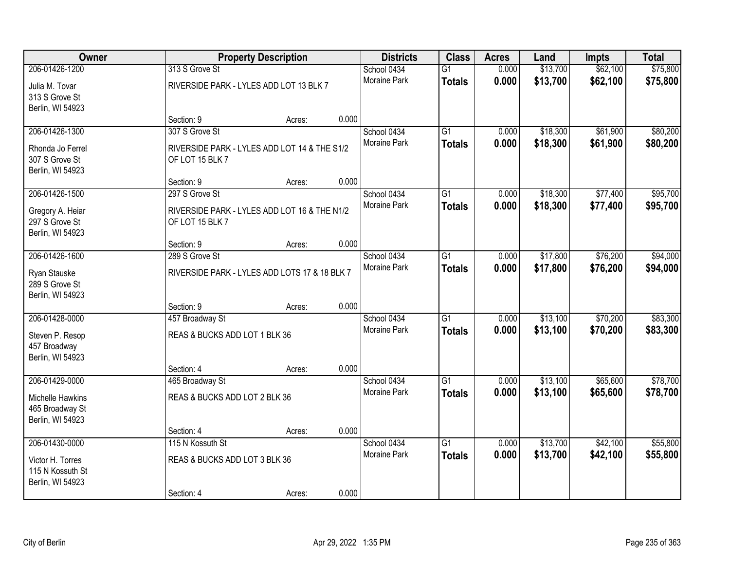| <b>Owner</b>                       |                                               | <b>Property Description</b> |       | <b>Districts</b>            | <b>Class</b>    | <b>Acres</b>   | Land     | Impts    | <b>Total</b> |
|------------------------------------|-----------------------------------------------|-----------------------------|-------|-----------------------------|-----------------|----------------|----------|----------|--------------|
| 206-01426-1200                     | 313 S Grove St                                |                             |       | School 0434                 | $\overline{G1}$ | 0.000          | \$13,700 | \$62,100 | \$75,800     |
| Julia M. Tovar                     | RIVERSIDE PARK - LYLES ADD LOT 13 BLK 7       |                             |       | <b>Moraine Park</b>         | <b>Totals</b>   | 0.000          | \$13,700 | \$62,100 | \$75,800     |
| 313 S Grove St                     |                                               |                             |       |                             |                 |                |          |          |              |
| Berlin, WI 54923                   |                                               |                             |       |                             |                 |                |          |          |              |
| 206-01426-1300                     | Section: 9<br>307 S Grove St                  | Acres:                      | 0.000 | School 0434                 | $\overline{G1}$ | 0.000          | \$18,300 | \$61,900 | \$80,200     |
|                                    |                                               |                             |       | Moraine Park                | <b>Totals</b>   | 0.000          | \$18,300 | \$61,900 | \$80,200     |
| Rhonda Jo Ferrel                   | RIVERSIDE PARK - LYLES ADD LOT 14 & THE S1/2  |                             |       |                             |                 |                |          |          |              |
| 307 S Grove St<br>Berlin, WI 54923 | OF LOT 15 BLK 7                               |                             |       |                             |                 |                |          |          |              |
|                                    | Section: 9                                    | Acres:                      | 0.000 |                             |                 |                |          |          |              |
| 206-01426-1500                     | 297 S Grove St                                |                             |       | School 0434                 | $\overline{G1}$ | 0.000          | \$18,300 | \$77,400 | \$95,700     |
| Gregory A. Heiar                   | RIVERSIDE PARK - LYLES ADD LOT 16 & THE N1/2  |                             |       | Moraine Park                | <b>Totals</b>   | 0.000          | \$18,300 | \$77,400 | \$95,700     |
| 297 S Grove St                     | OF LOT 15 BLK 7                               |                             |       |                             |                 |                |          |          |              |
| Berlin, WI 54923                   |                                               |                             |       |                             |                 |                |          |          |              |
|                                    | Section: 9                                    | Acres:                      | 0.000 |                             |                 |                |          |          |              |
| 206-01426-1600                     | 289 S Grove St                                |                             |       | School 0434                 | $\overline{G1}$ | 0.000          | \$17,800 | \$76,200 | \$94,000     |
| Ryan Stauske                       | RIVERSIDE PARK - LYLES ADD LOTS 17 & 18 BLK 7 |                             |       | Moraine Park                | <b>Totals</b>   | 0.000          | \$17,800 | \$76,200 | \$94,000     |
| 289 S Grove St                     |                                               |                             |       |                             |                 |                |          |          |              |
| Berlin, WI 54923                   |                                               |                             | 0.000 |                             |                 |                |          |          |              |
| 206-01428-0000                     | Section: 9<br>457 Broadway St                 | Acres:                      |       | School 0434                 | $\overline{G1}$ | 0.000          | \$13,100 | \$70,200 | \$83,300     |
|                                    |                                               |                             |       | Moraine Park                | <b>Totals</b>   | 0.000          | \$13,100 | \$70,200 | \$83,300     |
| Steven P. Resop<br>457 Broadway    | REAS & BUCKS ADD LOT 1 BLK 36                 |                             |       |                             |                 |                |          |          |              |
| Berlin, WI 54923                   |                                               |                             |       |                             |                 |                |          |          |              |
|                                    | Section: 4                                    | Acres:                      | 0.000 |                             |                 |                |          |          |              |
| 206-01429-0000                     | 465 Broadway St                               |                             |       | School 0434                 | $\overline{G1}$ | 0.000          | \$13,100 | \$65,600 | \$78,700     |
| Michelle Hawkins                   | REAS & BUCKS ADD LOT 2 BLK 36                 |                             |       | Moraine Park                | <b>Totals</b>   | 0.000          | \$13,100 | \$65,600 | \$78,700     |
| 465 Broadway St                    |                                               |                             |       |                             |                 |                |          |          |              |
| Berlin, WI 54923                   |                                               |                             |       |                             |                 |                |          |          |              |
|                                    | Section: 4                                    | Acres:                      | 0.000 |                             |                 |                |          |          |              |
| 206-01430-0000                     | 115 N Kossuth St                              |                             |       | School 0434<br>Moraine Park | $\overline{G1}$ | 0.000<br>0.000 | \$13,700 | \$42,100 | \$55,800     |
| Victor H. Torres                   | REAS & BUCKS ADD LOT 3 BLK 36                 |                             |       |                             | <b>Totals</b>   |                | \$13,700 | \$42,100 | \$55,800     |
| 115 N Kossuth St                   |                                               |                             |       |                             |                 |                |          |          |              |
| Berlin, WI 54923                   | Section: 4                                    | Acres:                      | 0.000 |                             |                 |                |          |          |              |
|                                    |                                               |                             |       |                             |                 |                |          |          |              |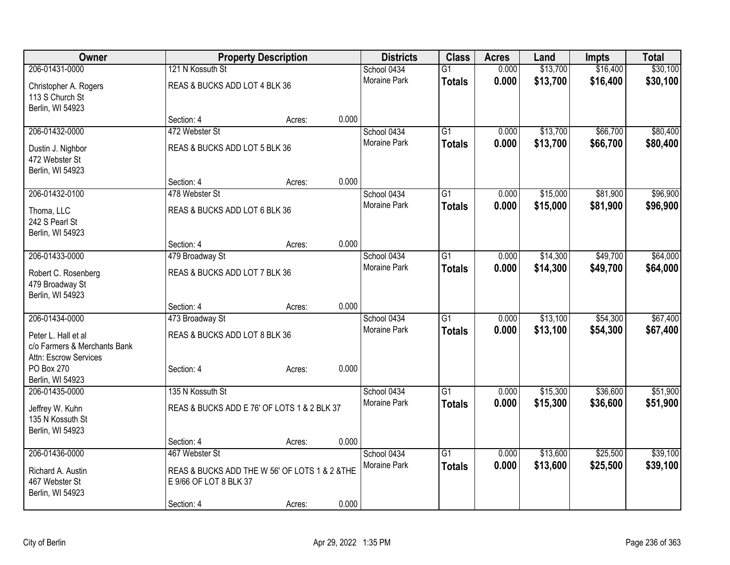| Owner                                                 |                               | <b>Property Description</b>                    | <b>Districts</b>            | <b>Class</b>    | <b>Acres</b>   | Land     | <b>Impts</b> | <b>Total</b> |
|-------------------------------------------------------|-------------------------------|------------------------------------------------|-----------------------------|-----------------|----------------|----------|--------------|--------------|
| 206-01431-0000                                        | 121 N Kossuth St              |                                                | School 0434                 | $\overline{G1}$ | 0.000          | \$13,700 | \$16,400     | \$30,100     |
| Christopher A. Rogers                                 | REAS & BUCKS ADD LOT 4 BLK 36 |                                                | Moraine Park                | <b>Totals</b>   | 0.000          | \$13,700 | \$16,400     | \$30,100     |
| 113 S Church St                                       |                               |                                                |                             |                 |                |          |              |              |
| Berlin, WI 54923                                      |                               |                                                |                             |                 |                |          |              |              |
|                                                       | Section: 4                    | Acres:                                         | 0.000                       |                 |                |          |              |              |
| 206-01432-0000                                        | 472 Webster St                |                                                | School 0434                 | $\overline{G1}$ | 0.000          | \$13,700 | \$66,700     | \$80,400     |
| Dustin J. Nighbor                                     | REAS & BUCKS ADD LOT 5 BLK 36 |                                                | Moraine Park                | <b>Totals</b>   | 0.000          | \$13,700 | \$66,700     | \$80,400     |
| 472 Webster St                                        |                               |                                                |                             |                 |                |          |              |              |
| Berlin, WI 54923                                      |                               |                                                |                             |                 |                |          |              |              |
|                                                       | Section: 4                    | Acres:                                         | 0.000                       |                 |                |          |              |              |
| 206-01432-0100                                        | 478 Webster St                |                                                | School 0434                 | G1              | 0.000          | \$15,000 | \$81,900     | \$96,900     |
| Thoma, LLC                                            | REAS & BUCKS ADD LOT 6 BLK 36 |                                                | <b>Moraine Park</b>         | <b>Totals</b>   | 0.000          | \$15,000 | \$81,900     | \$96,900     |
| 242 S Pearl St                                        |                               |                                                |                             |                 |                |          |              |              |
| Berlin, WI 54923                                      |                               |                                                |                             |                 |                |          |              |              |
|                                                       | Section: 4                    | Acres:                                         | 0.000                       |                 |                |          |              |              |
| 206-01433-0000                                        | 479 Broadway St               |                                                | School 0434<br>Moraine Park | $\overline{G1}$ | 0.000<br>0.000 | \$14,300 | \$49,700     | \$64,000     |
| Robert C. Rosenberg                                   | REAS & BUCKS ADD LOT 7 BLK 36 |                                                |                             | <b>Totals</b>   |                | \$14,300 | \$49,700     | \$64,000     |
| 479 Broadway St                                       |                               |                                                |                             |                 |                |          |              |              |
| Berlin, WI 54923                                      |                               |                                                | 0.000                       |                 |                |          |              |              |
| 206-01434-0000                                        | Section: 4<br>473 Broadway St | Acres:                                         | School 0434                 | $\overline{G1}$ | 0.000          | \$13,100 | \$54,300     | \$67,400     |
|                                                       |                               |                                                | Moraine Park                | <b>Totals</b>   | 0.000          | \$13,100 | \$54,300     | \$67,400     |
| Peter L. Hall et al                                   | REAS & BUCKS ADD LOT 8 BLK 36 |                                                |                             |                 |                |          |              |              |
| c/o Farmers & Merchants Bank<br>Attn: Escrow Services |                               |                                                |                             |                 |                |          |              |              |
| PO Box 270                                            | Section: 4                    | Acres:                                         | 0.000                       |                 |                |          |              |              |
| Berlin, WI 54923                                      |                               |                                                |                             |                 |                |          |              |              |
| 206-01435-0000                                        | 135 N Kossuth St              |                                                | School 0434                 | $\overline{G1}$ | 0.000          | \$15,300 | \$36,600     | \$51,900     |
| Jeffrey W. Kuhn                                       |                               | REAS & BUCKS ADD E 76' OF LOTS 1 & 2 BLK 37    | Moraine Park                | <b>Totals</b>   | 0.000          | \$15,300 | \$36,600     | \$51,900     |
| 135 N Kossuth St                                      |                               |                                                |                             |                 |                |          |              |              |
| Berlin, WI 54923                                      |                               |                                                |                             |                 |                |          |              |              |
|                                                       | Section: 4                    | Acres:                                         | 0.000                       |                 |                |          |              |              |
| 206-01436-0000                                        | 467 Webster St                |                                                | School 0434                 | $\overline{G1}$ | 0.000          | \$13,600 | \$25,500     | \$39,100     |
| Richard A. Austin                                     |                               | REAS & BUCKS ADD THE W 56' OF LOTS 1 & 2 & THE | Moraine Park                | <b>Totals</b>   | 0.000          | \$13,600 | \$25,500     | \$39,100     |
| 467 Webster St                                        | E 9/66 OF LOT 8 BLK 37        |                                                |                             |                 |                |          |              |              |
| Berlin, WI 54923                                      |                               |                                                |                             |                 |                |          |              |              |
|                                                       | Section: 4                    | Acres:                                         | 0.000                       |                 |                |          |              |              |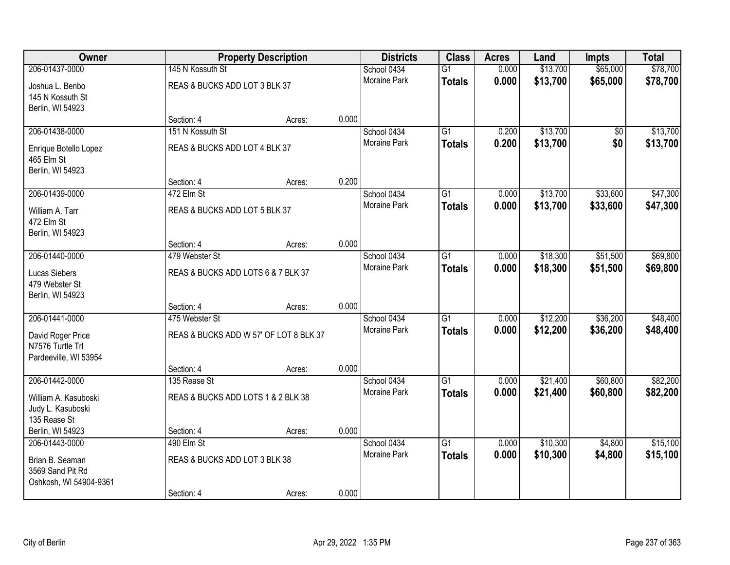| Owner                                                          |                                        | <b>Property Description</b> |       | <b>Districts</b>    | <b>Class</b>    | <b>Acres</b> | Land     | Impts    | <b>Total</b> |
|----------------------------------------------------------------|----------------------------------------|-----------------------------|-------|---------------------|-----------------|--------------|----------|----------|--------------|
| 206-01437-0000                                                 | 145 N Kossuth St                       |                             |       | School 0434         | $\overline{G1}$ | 0.000        | \$13,700 | \$65,000 | \$78,700     |
| Joshua L. Benbo<br>145 N Kossuth St<br>Berlin, WI 54923        | REAS & BUCKS ADD LOT 3 BLK 37          |                             |       | <b>Moraine Park</b> | <b>Totals</b>   | 0.000        | \$13,700 | \$65,000 | \$78,700     |
|                                                                | Section: 4                             | Acres:                      | 0.000 |                     |                 |              |          |          |              |
| 206-01438-0000                                                 | 151 N Kossuth St                       |                             |       | School 0434         | $\overline{G1}$ | 0.200        | \$13,700 | \$0      | \$13,700     |
| Enrique Botello Lopez<br>465 Elm St<br>Berlin, WI 54923        | REAS & BUCKS ADD LOT 4 BLK 37          |                             |       | Moraine Park        | <b>Totals</b>   | 0.200        | \$13,700 | \$0      | \$13,700     |
|                                                                | Section: 4                             | Acres:                      | 0.200 |                     |                 |              |          |          |              |
| 206-01439-0000                                                 | 472 Elm St                             |                             |       | School 0434         | $\overline{G1}$ | 0.000        | \$13,700 | \$33,600 | \$47,300     |
| William A. Tarr<br>472 Elm St<br>Berlin, WI 54923              | REAS & BUCKS ADD LOT 5 BLK 37          |                             |       | Moraine Park        | <b>Totals</b>   | 0.000        | \$13,700 | \$33,600 | \$47,300     |
|                                                                | Section: 4                             | Acres:                      | 0.000 |                     |                 |              |          |          |              |
| 206-01440-0000                                                 | 479 Webster St                         |                             |       | School 0434         | $\overline{G1}$ | 0.000        | \$18,300 | \$51,500 | \$69,800     |
| Lucas Siebers<br>479 Webster St<br>Berlin, WI 54923            | REAS & BUCKS ADD LOTS 6 & 7 BLK 37     |                             |       | Moraine Park        | <b>Totals</b>   | 0.000        | \$18,300 | \$51,500 | \$69,800     |
|                                                                | Section: 4                             | Acres:                      | 0.000 |                     |                 |              |          |          |              |
| 206-01441-0000                                                 | 475 Webster St                         |                             |       | School 0434         | $\overline{G1}$ | 0.000        | \$12,200 | \$36,200 | \$48,400     |
| David Roger Price<br>N7576 Turtle Trl<br>Pardeeville, WI 53954 | REAS & BUCKS ADD W 57' OF LOT 8 BLK 37 |                             |       | <b>Moraine Park</b> | <b>Totals</b>   | 0.000        | \$12,200 | \$36,200 | \$48,400     |
|                                                                | Section: 4                             | Acres:                      | 0.000 |                     |                 |              |          |          |              |
| 206-01442-0000                                                 | 135 Rease St                           |                             |       | School 0434         | $\overline{G1}$ | 0.000        | \$21,400 | \$60,800 | \$82,200     |
| William A. Kasuboski<br>Judy L. Kasuboski<br>135 Rease St      | REAS & BUCKS ADD LOTS 1 & 2 BLK 38     |                             |       | Moraine Park        | <b>Totals</b>   | 0.000        | \$21,400 | \$60,800 | \$82,200     |
| Berlin, WI 54923                                               | Section: 4                             | Acres:                      | 0.000 |                     |                 |              |          |          |              |
| 206-01443-0000                                                 | 490 Elm St                             |                             |       | School 0434         | $\overline{G1}$ | 0.000        | \$10,300 | \$4,800  | \$15,100     |
| Brian B. Seaman<br>3569 Sand Pit Rd<br>Oshkosh, WI 54904-9361  | REAS & BUCKS ADD LOT 3 BLK 38          |                             |       | <b>Moraine Park</b> | <b>Totals</b>   | 0.000        | \$10,300 | \$4,800  | \$15,100     |
|                                                                | Section: 4                             | Acres:                      | 0.000 |                     |                 |              |          |          |              |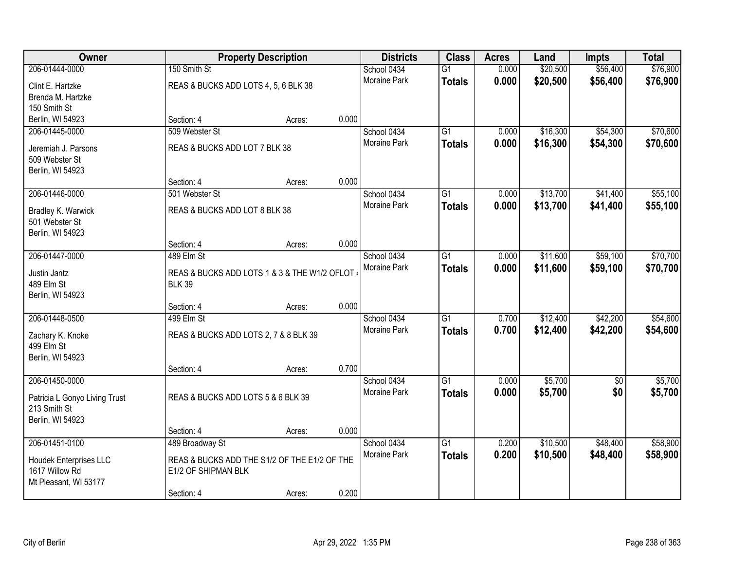| Owner                         |                                                | <b>Property Description</b> |       | <b>Districts</b>    | <b>Class</b>    | <b>Acres</b> | Land     | <b>Impts</b> | <b>Total</b> |
|-------------------------------|------------------------------------------------|-----------------------------|-------|---------------------|-----------------|--------------|----------|--------------|--------------|
| 206-01444-0000                | 150 Smith St                                   |                             |       | School 0434         | $\overline{G1}$ | 0.000        | \$20,500 | \$56,400     | \$76,900     |
| Clint E. Hartzke              | REAS & BUCKS ADD LOTS 4, 5, 6 BLK 38           |                             |       | Moraine Park        | <b>Totals</b>   | 0.000        | \$20,500 | \$56,400     | \$76,900     |
| Brenda M. Hartzke             |                                                |                             |       |                     |                 |              |          |              |              |
| 150 Smith St                  |                                                |                             |       |                     |                 |              |          |              |              |
| Berlin, WI 54923              | Section: 4                                     | Acres:                      | 0.000 |                     |                 |              |          |              |              |
| 206-01445-0000                | 509 Webster St                                 |                             |       | School 0434         | $\overline{G1}$ | 0.000        | \$16,300 | \$54,300     | \$70,600     |
| Jeremiah J. Parsons           | REAS & BUCKS ADD LOT 7 BLK 38                  |                             |       | <b>Moraine Park</b> | <b>Totals</b>   | 0.000        | \$16,300 | \$54,300     | \$70,600     |
| 509 Webster St                |                                                |                             |       |                     |                 |              |          |              |              |
| Berlin, WI 54923              |                                                |                             |       |                     |                 |              |          |              |              |
|                               | Section: 4                                     | Acres:                      | 0.000 |                     |                 |              |          |              |              |
| 206-01446-0000                | 501 Webster St                                 |                             |       | School 0434         | G1              | 0.000        | \$13,700 | \$41,400     | \$55,100     |
| Bradley K. Warwick            | REAS & BUCKS ADD LOT 8 BLK 38                  |                             |       | Moraine Park        | <b>Totals</b>   | 0.000        | \$13,700 | \$41,400     | \$55,100     |
| 501 Webster St                |                                                |                             |       |                     |                 |              |          |              |              |
| Berlin, WI 54923              |                                                |                             |       |                     |                 |              |          |              |              |
|                               | Section: 4                                     | Acres:                      | 0.000 |                     |                 |              |          |              |              |
| 206-01447-0000                | 489 Elm St                                     |                             |       | School 0434         | G1              | 0.000        | \$11,600 | \$59,100     | \$70,700     |
| Justin Jantz                  | REAS & BUCKS ADD LOTS 1 & 3 & THE W1/2 OFLOT ( |                             |       | Moraine Park        | <b>Totals</b>   | 0.000        | \$11,600 | \$59,100     | \$70,700     |
| 489 Elm St                    | <b>BLK 39</b>                                  |                             |       |                     |                 |              |          |              |              |
| Berlin, WI 54923              |                                                |                             |       |                     |                 |              |          |              |              |
|                               | Section: 4                                     | Acres:                      | 0.000 |                     |                 |              |          |              |              |
| 206-01448-0500                | 499 Elm St                                     |                             |       | School 0434         | $\overline{G1}$ | 0.700        | \$12,400 | \$42,200     | \$54,600     |
| Zachary K. Knoke              | REAS & BUCKS ADD LOTS 2, 7 & 8 BLK 39          |                             |       | Moraine Park        | <b>Totals</b>   | 0.700        | \$12,400 | \$42,200     | \$54,600     |
| 499 Elm St                    |                                                |                             |       |                     |                 |              |          |              |              |
| Berlin, WI 54923              |                                                |                             |       |                     |                 |              |          |              |              |
|                               | Section: 4                                     | Acres:                      | 0.700 |                     |                 |              |          |              |              |
| 206-01450-0000                |                                                |                             |       | School 0434         | $\overline{G1}$ | 0.000        | \$5,700  | $\sqrt{6}$   | \$5,700      |
| Patricia L Gonyo Living Trust | REAS & BUCKS ADD LOTS 5 & 6 BLK 39             |                             |       | Moraine Park        | <b>Totals</b>   | 0.000        | \$5,700  | \$0          | \$5,700      |
| 213 Smith St                  |                                                |                             |       |                     |                 |              |          |              |              |
| Berlin, WI 54923              |                                                |                             |       |                     |                 |              |          |              |              |
|                               | Section: 4                                     | Acres:                      | 0.000 |                     |                 |              |          |              |              |
| 206-01451-0100                | 489 Broadway St                                |                             |       | School 0434         | $\overline{G1}$ | 0.200        | \$10,500 | \$48,400     | \$58,900     |
| Houdek Enterprises LLC        | REAS & BUCKS ADD THE S1/2 OF THE E1/2 OF THE   |                             |       | Moraine Park        | <b>Totals</b>   | 0.200        | \$10,500 | \$48,400     | \$58,900     |
| 1617 Willow Rd                | E1/2 OF SHIPMAN BLK                            |                             |       |                     |                 |              |          |              |              |
| Mt Pleasant, WI 53177         |                                                |                             |       |                     |                 |              |          |              |              |
|                               | Section: 4                                     | Acres:                      | 0.200 |                     |                 |              |          |              |              |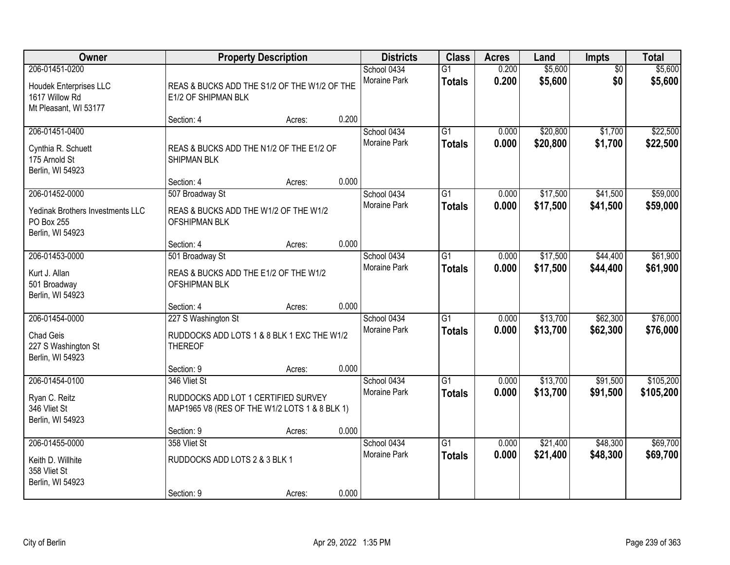| Owner                                                                                |                                                                                                      | <b>Property Description</b> |       | <b>Districts</b>                   | <b>Class</b>                     | <b>Acres</b>   | Land                 | Impts                  | <b>Total</b>           |
|--------------------------------------------------------------------------------------|------------------------------------------------------------------------------------------------------|-----------------------------|-------|------------------------------------|----------------------------------|----------------|----------------------|------------------------|------------------------|
| 206-01451-0200<br>Houdek Enterprises LLC<br>1617 Willow Rd<br>Mt Pleasant, WI 53177  | REAS & BUCKS ADD THE S1/2 OF THE W1/2 OF THE<br>E1/2 OF SHIPMAN BLK                                  |                             |       | School 0434<br>Moraine Park        | $\overline{G1}$<br><b>Totals</b> | 0.200<br>0.200 | \$5,600<br>\$5,600   | $\overline{50}$<br>\$0 | \$5,600<br>\$5,600     |
|                                                                                      | Section: 4                                                                                           | Acres:                      | 0.200 |                                    |                                  |                |                      |                        |                        |
| 206-01451-0400<br>Cynthia R. Schuett<br>175 Arnold St<br>Berlin, WI 54923            | REAS & BUCKS ADD THE N1/2 OF THE E1/2 OF<br><b>SHIPMAN BLK</b>                                       |                             |       | School 0434<br><b>Moraine Park</b> | $\overline{G1}$<br><b>Totals</b> | 0.000<br>0.000 | \$20,800<br>\$20,800 | \$1,700<br>\$1,700     | \$22,500<br>\$22,500   |
|                                                                                      | Section: 4                                                                                           | Acres:                      | 0.000 |                                    |                                  |                |                      |                        |                        |
| 206-01452-0000<br>Yedinak Brothers Investments LLC<br>PO Box 255<br>Berlin, WI 54923 | 507 Broadway St<br>REAS & BUCKS ADD THE W1/2 OF THE W1/2<br>OFSHIPMAN BLK                            |                             |       | School 0434<br>Moraine Park        | G1<br><b>Totals</b>              | 0.000<br>0.000 | \$17,500<br>\$17,500 | \$41,500<br>\$41,500   | \$59,000<br>\$59,000   |
|                                                                                      | Section: 4                                                                                           | Acres:                      | 0.000 |                                    |                                  |                |                      |                        |                        |
| 206-01453-0000<br>Kurt J. Allan<br>501 Broadway<br>Berlin, WI 54923                  | 501 Broadway St<br>REAS & BUCKS ADD THE E1/2 OF THE W1/2<br>OFSHIPMAN BLK                            |                             |       | School 0434<br>Moraine Park        | G1<br><b>Totals</b>              | 0.000<br>0.000 | \$17,500<br>\$17,500 | \$44,400<br>\$44,400   | \$61,900<br>\$61,900   |
|                                                                                      | Section: 4                                                                                           | Acres:                      | 0.000 |                                    |                                  |                |                      |                        |                        |
| 206-01454-0000<br>Chad Geis<br>227 S Washington St<br>Berlin, WI 54923               | 227 S Washington St<br>RUDDOCKS ADD LOTS 1 & 8 BLK 1 EXC THE W1/2<br><b>THEREOF</b>                  |                             |       | School 0434<br>Moraine Park        | $\overline{G1}$<br><b>Totals</b> | 0.000<br>0.000 | \$13,700<br>\$13,700 | \$62,300<br>\$62,300   | \$76,000<br>\$76,000   |
|                                                                                      | Section: 9                                                                                           | Acres:                      | 0.000 |                                    |                                  |                |                      |                        |                        |
| 206-01454-0100<br>Ryan C. Reitz<br>346 Vliet St<br>Berlin, WI 54923                  | 346 Vliet St<br>RUDDOCKS ADD LOT 1 CERTIFIED SURVEY<br>MAP1965 V8 (RES OF THE W1/2 LOTS 1 & 8 BLK 1) |                             |       | School 0434<br>Moraine Park        | $\overline{G1}$<br><b>Totals</b> | 0.000<br>0.000 | \$13,700<br>\$13,700 | \$91,500<br>\$91,500   | \$105,200<br>\$105,200 |
|                                                                                      | Section: 9                                                                                           | Acres:                      | 0.000 |                                    |                                  |                |                      |                        |                        |
| 206-01455-0000<br>Keith D. Willhite<br>358 Vliet St<br>Berlin, WI 54923              | 358 Vliet St<br>RUDDOCKS ADD LOTS 2 & 3 BLK 1<br>Section: 9                                          | Acres:                      | 0.000 | School 0434<br><b>Moraine Park</b> | $\overline{G1}$<br><b>Totals</b> | 0.000<br>0.000 | \$21,400<br>\$21,400 | \$48,300<br>\$48,300   | \$69,700<br>\$69,700   |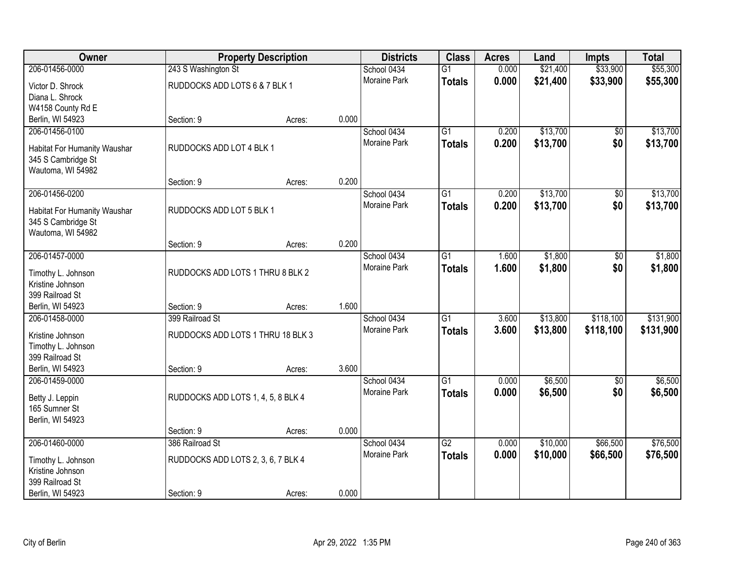| Owner                        |                                    | <b>Property Description</b> |       | <b>Districts</b>    | <b>Class</b>    | <b>Acres</b> | Land     | Impts           | <b>Total</b> |
|------------------------------|------------------------------------|-----------------------------|-------|---------------------|-----------------|--------------|----------|-----------------|--------------|
| 206-01456-0000               | 243 S Washington St                |                             |       | School 0434         | $\overline{G1}$ | 0.000        | \$21,400 | \$33,900        | \$55,300     |
| Victor D. Shrock             | RUDDOCKS ADD LOTS 6 & 7 BLK 1      |                             |       | <b>Moraine Park</b> | <b>Totals</b>   | 0.000        | \$21,400 | \$33,900        | \$55,300     |
| Diana L. Shrock              |                                    |                             |       |                     |                 |              |          |                 |              |
| W4158 County Rd E            |                                    |                             |       |                     |                 |              |          |                 |              |
| Berlin, WI 54923             | Section: 9                         | Acres:                      | 0.000 |                     |                 |              |          |                 |              |
| 206-01456-0100               |                                    |                             |       | School 0434         | $\overline{G1}$ | 0.200        | \$13,700 | \$0             | \$13,700     |
| Habitat For Humanity Waushar | RUDDOCKS ADD LOT 4 BLK 1           |                             |       | Moraine Park        | <b>Totals</b>   | 0.200        | \$13,700 | \$0             | \$13,700     |
| 345 S Cambridge St           |                                    |                             |       |                     |                 |              |          |                 |              |
| Wautoma, WI 54982            |                                    |                             |       |                     |                 |              |          |                 |              |
|                              | Section: 9                         | Acres:                      | 0.200 |                     |                 |              |          |                 |              |
| 206-01456-0200               |                                    |                             |       | School 0434         | $\overline{G1}$ | 0.200        | \$13,700 | $\overline{50}$ | \$13,700     |
| Habitat For Humanity Waushar | RUDDOCKS ADD LOT 5 BLK 1           |                             |       | Moraine Park        | <b>Totals</b>   | 0.200        | \$13,700 | \$0             | \$13,700     |
| 345 S Cambridge St           |                                    |                             |       |                     |                 |              |          |                 |              |
| Wautoma, WI 54982            |                                    |                             |       |                     |                 |              |          |                 |              |
|                              | Section: 9                         | Acres:                      | 0.200 |                     |                 |              |          |                 |              |
| 206-01457-0000               |                                    |                             |       | School 0434         | $\overline{G1}$ | 1.600        | \$1,800  | $\overline{30}$ | \$1,800      |
| Timothy L. Johnson           | RUDDOCKS ADD LOTS 1 THRU 8 BLK 2   |                             |       | Moraine Park        | <b>Totals</b>   | 1.600        | \$1,800  | \$0             | \$1,800      |
| Kristine Johnson             |                                    |                             |       |                     |                 |              |          |                 |              |
| 399 Railroad St              |                                    |                             |       |                     |                 |              |          |                 |              |
| Berlin, WI 54923             | Section: 9                         | Acres:                      | 1.600 |                     |                 |              |          |                 |              |
| 206-01458-0000               | 399 Railroad St                    |                             |       | School 0434         | $\overline{G1}$ | 3.600        | \$13,800 | \$118,100       | \$131,900    |
| Kristine Johnson             | RUDDOCKS ADD LOTS 1 THRU 18 BLK 3  |                             |       | Moraine Park        | <b>Totals</b>   | 3.600        | \$13,800 | \$118,100       | \$131,900    |
| Timothy L. Johnson           |                                    |                             |       |                     |                 |              |          |                 |              |
| 399 Railroad St              |                                    |                             |       |                     |                 |              |          |                 |              |
| Berlin, WI 54923             | Section: 9                         | Acres:                      | 3.600 |                     |                 |              |          |                 |              |
| 206-01459-0000               |                                    |                             |       | School 0434         | $\overline{G1}$ | 0.000        | \$6,500  | $\sqrt{6}$      | \$6,500      |
| Betty J. Leppin              | RUDDOCKS ADD LOTS 1, 4, 5, 8 BLK 4 |                             |       | Moraine Park        | <b>Totals</b>   | 0.000        | \$6,500  | \$0             | \$6,500      |
| 165 Sumner St                |                                    |                             |       |                     |                 |              |          |                 |              |
| Berlin, WI 54923             |                                    |                             |       |                     |                 |              |          |                 |              |
|                              | Section: 9                         | Acres:                      | 0.000 |                     |                 |              |          |                 |              |
| 206-01460-0000               | 386 Railroad St                    |                             |       | School 0434         | $\overline{G2}$ | 0.000        | \$10,000 | \$66,500        | \$76,500     |
| Timothy L. Johnson           | RUDDOCKS ADD LOTS 2, 3, 6, 7 BLK 4 |                             |       | Moraine Park        | <b>Totals</b>   | 0.000        | \$10,000 | \$66,500        | \$76,500     |
| Kristine Johnson             |                                    |                             |       |                     |                 |              |          |                 |              |
| 399 Railroad St              |                                    |                             |       |                     |                 |              |          |                 |              |
| Berlin, WI 54923             | Section: 9                         | Acres:                      | 0.000 |                     |                 |              |          |                 |              |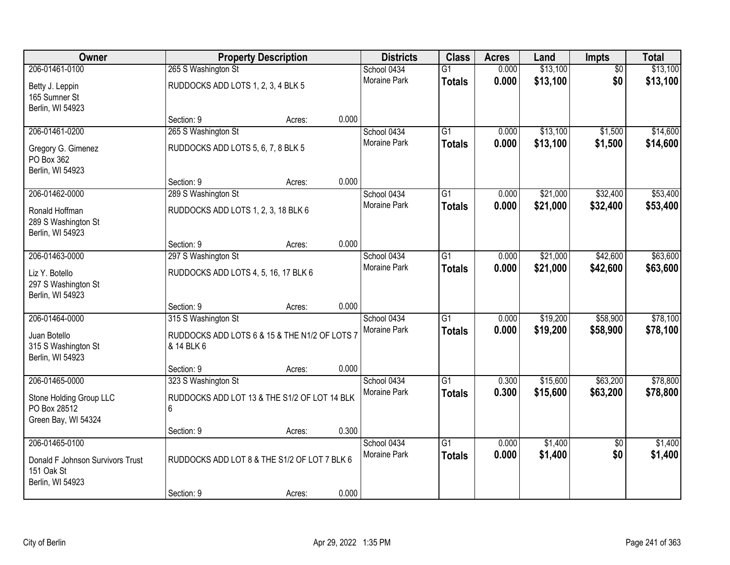| <b>Owner</b>                                                     |                                                             | <b>Property Description</b> |       | <b>Districts</b>            | <b>Class</b>                     | <b>Acres</b>   | Land               | <b>Impts</b>           | <b>Total</b>       |
|------------------------------------------------------------------|-------------------------------------------------------------|-----------------------------|-------|-----------------------------|----------------------------------|----------------|--------------------|------------------------|--------------------|
| 206-01461-0100                                                   | 265 S Washington St                                         |                             |       | School 0434                 | $\overline{G1}$                  | 0.000          | \$13,100           | $\overline{50}$        | \$13,100           |
| Betty J. Leppin<br>165 Sumner St<br>Berlin, WI 54923             | RUDDOCKS ADD LOTS 1, 2, 3, 4 BLK 5                          |                             |       | <b>Moraine Park</b>         | <b>Totals</b>                    | 0.000          | \$13,100           | \$0                    | \$13,100           |
|                                                                  | Section: 9                                                  | Acres:                      | 0.000 |                             |                                  |                |                    |                        |                    |
| 206-01461-0200                                                   | 265 S Washington St                                         |                             |       | School 0434                 | $\overline{G1}$                  | 0.000          | \$13,100           | \$1,500                | \$14,600           |
| Gregory G. Gimenez<br>PO Box 362<br>Berlin, WI 54923             | RUDDOCKS ADD LOTS 5, 6, 7, 8 BLK 5                          |                             |       | Moraine Park                | <b>Totals</b>                    | 0.000          | \$13,100           | \$1,500                | \$14,600           |
|                                                                  | Section: 9                                                  | Acres:                      | 0.000 |                             |                                  |                |                    |                        |                    |
| 206-01462-0000                                                   | 289 S Washington St                                         |                             |       | School 0434                 | $\overline{G1}$                  | 0.000          | \$21,000           | \$32,400               | \$53,400           |
| Ronald Hoffman<br>289 S Washington St<br>Berlin, WI 54923        | RUDDOCKS ADD LOTS 1, 2, 3, 18 BLK 6                         |                             |       | Moraine Park                | <b>Totals</b>                    | 0.000          | \$21,000           | \$32,400               | \$53,400           |
|                                                                  | Section: 9                                                  | Acres:                      | 0.000 |                             |                                  |                |                    |                        |                    |
| 206-01463-0000                                                   | 297 S Washington St                                         |                             |       | School 0434                 | $\overline{G1}$                  | 0.000          | \$21,000           | \$42,600               | \$63,600           |
| Liz Y. Botello<br>297 S Washington St<br>Berlin, WI 54923        | RUDDOCKS ADD LOTS 4, 5, 16, 17 BLK 6                        |                             |       | Moraine Park                | <b>Totals</b>                    | 0.000          | \$21,000           | \$42,600               | \$63,600           |
|                                                                  | Section: 9                                                  | Acres:                      | 0.000 |                             |                                  |                |                    |                        |                    |
| 206-01464-0000                                                   | 315 S Washington St                                         |                             |       | School 0434                 | $\overline{G1}$                  | 0.000          | \$19,200           | \$58,900               | \$78,100           |
| Juan Botello<br>315 S Washington St<br>Berlin, WI 54923          | RUDDOCKS ADD LOTS 6 & 15 & THE N1/2 OF LOTS 7<br>& 14 BLK 6 |                             |       | Moraine Park                | <b>Totals</b>                    | 0.000          | \$19,200           | \$58,900               | \$78,100           |
|                                                                  | Section: 9                                                  | Acres:                      | 0.000 |                             |                                  |                |                    |                        |                    |
| 206-01465-0000                                                   | 323 S Washington St                                         |                             |       | School 0434                 | $\overline{G1}$                  | 0.300          | \$15,600           | \$63,200               | \$78,800           |
| Stone Holding Group LLC<br>PO Box 28512<br>Green Bay, WI 54324   | RUDDOCKS ADD LOT 13 & THE S1/2 OF LOT 14 BLK<br>6           |                             |       | Moraine Park                | <b>Totals</b>                    | 0.300          | \$15,600           | \$63,200               | \$78,800           |
|                                                                  | Section: 9                                                  | Acres:                      | 0.300 |                             |                                  |                |                    |                        |                    |
| 206-01465-0100<br>Donald F Johnson Survivors Trust<br>151 Oak St | RUDDOCKS ADD LOT 8 & THE S1/2 OF LOT 7 BLK 6                |                             |       | School 0434<br>Moraine Park | $\overline{G1}$<br><b>Totals</b> | 0.000<br>0.000 | \$1,400<br>\$1,400 | $\overline{50}$<br>\$0 | \$1,400<br>\$1,400 |
| Berlin, WI 54923                                                 | Section: 9                                                  | Acres:                      | 0.000 |                             |                                  |                |                    |                        |                    |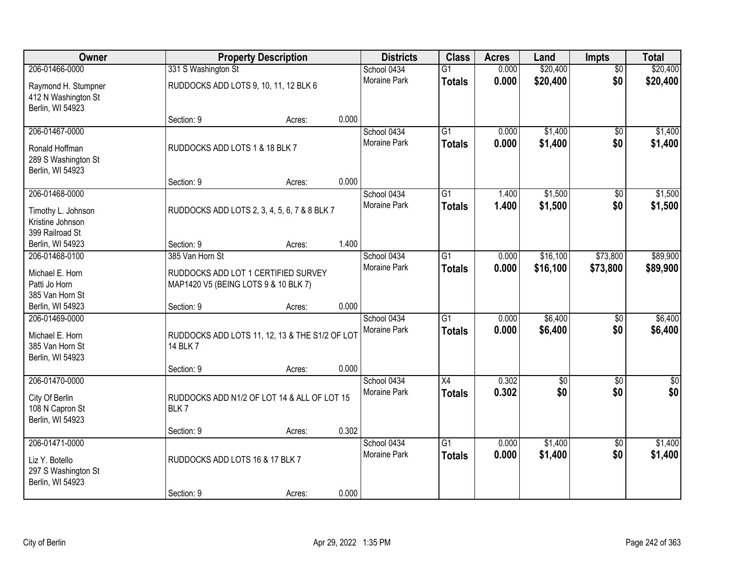| Owner                                                                       |                                       | <b>Property Description</b>                    |       | <b>Districts</b>                   | <b>Class</b>                     | <b>Acres</b>   | Land               | <b>Impts</b>           | <b>Total</b>           |
|-----------------------------------------------------------------------------|---------------------------------------|------------------------------------------------|-------|------------------------------------|----------------------------------|----------------|--------------------|------------------------|------------------------|
| 206-01466-0000                                                              | 331 S Washington St                   |                                                |       | School 0434                        | $\overline{G1}$                  | 0.000          | \$20,400           | $\overline{50}$        | \$20,400               |
| Raymond H. Stumpner<br>412 N Washington St<br>Berlin, WI 54923              | RUDDOCKS ADD LOTS 9, 10, 11, 12 BLK 6 |                                                |       | <b>Moraine Park</b>                | <b>Totals</b>                    | 0.000          | \$20,400           | \$0                    | \$20,400               |
|                                                                             | Section: 9                            | Acres:                                         | 0.000 |                                    |                                  |                |                    |                        |                        |
| 206-01467-0000<br>Ronald Hoffman<br>289 S Washington St                     | RUDDOCKS ADD LOTS 1 & 18 BLK 7        |                                                |       | School 0434<br>Moraine Park        | $\overline{G1}$<br><b>Totals</b> | 0.000<br>0.000 | \$1,400<br>\$1,400 | \$0<br>\$0             | \$1,400<br>\$1,400     |
| Berlin, WI 54923                                                            | Section: 9                            | Acres:                                         | 0.000 |                                    |                                  |                |                    |                        |                        |
| 206-01468-0000                                                              |                                       |                                                |       | School 0434                        | $\overline{G1}$                  | 1.400          | \$1,500            | \$0                    | \$1,500                |
| Timothy L. Johnson<br>Kristine Johnson<br>399 Railroad St                   |                                       | RUDDOCKS ADD LOTS 2, 3, 4, 5, 6, 7 & 8 BLK 7   |       | <b>Moraine Park</b>                | <b>Totals</b>                    | 1.400          | \$1,500            | \$0                    | \$1,500                |
| Berlin, WI 54923                                                            | Section: 9                            | Acres:                                         | 1.400 |                                    |                                  |                |                    |                        |                        |
| 206-01468-0100                                                              | 385 Van Horn St                       |                                                |       | School 0434                        | $\overline{G1}$                  | 0.000          | \$16,100           | \$73,800               | \$89,900               |
| Michael E. Horn<br>Patti Jo Horn<br>385 Van Horn St                         | MAP1420 V5 (BEING LOTS 9 & 10 BLK 7)  | RUDDOCKS ADD LOT 1 CERTIFIED SURVEY            |       | Moraine Park                       | <b>Totals</b>                    | 0.000          | \$16,100           | \$73,800               | \$89,900               |
| Berlin, WI 54923                                                            | Section: 9                            | Acres:                                         | 0.000 |                                    |                                  |                |                    |                        |                        |
| 206-01469-0000<br>Michael E. Horn<br>385 Van Horn St<br>Berlin, WI 54923    | 14 BLK 7                              | RUDDOCKS ADD LOTS 11, 12, 13 & THE S1/2 OF LOT |       | School 0434<br>Moraine Park        | $\overline{G1}$<br><b>Totals</b> | 0.000<br>0.000 | \$6,400<br>\$6,400 | $\overline{50}$<br>\$0 | \$6,400<br>\$6,400     |
|                                                                             | Section: 9                            | Acres:                                         | 0.000 |                                    |                                  |                |                    |                        |                        |
| 206-01470-0000<br>City Of Berlin<br>108 N Capron St<br>Berlin, WI 54923     | BLK7                                  | RUDDOCKS ADD N1/2 OF LOT 14 & ALL OF LOT 15    |       | School 0434<br>Moraine Park        | X4<br><b>Totals</b>              | 0.302<br>0.302 | \$0<br>\$0         | $\sqrt{6}$<br>\$0      | $\overline{50}$<br>\$0 |
|                                                                             | Section: 9                            | Acres:                                         | 0.302 |                                    |                                  |                |                    |                        |                        |
| 206-01471-0000<br>Liz Y. Botello<br>297 S Washington St<br>Berlin, WI 54923 | RUDDOCKS ADD LOTS 16 & 17 BLK 7       |                                                |       | School 0434<br><b>Moraine Park</b> | $\overline{G1}$<br><b>Totals</b> | 0.000<br>0.000 | \$1,400<br>\$1,400 | $\overline{50}$<br>\$0 | \$1,400<br>\$1,400     |
|                                                                             | Section: 9                            | Acres:                                         | 0.000 |                                    |                                  |                |                    |                        |                        |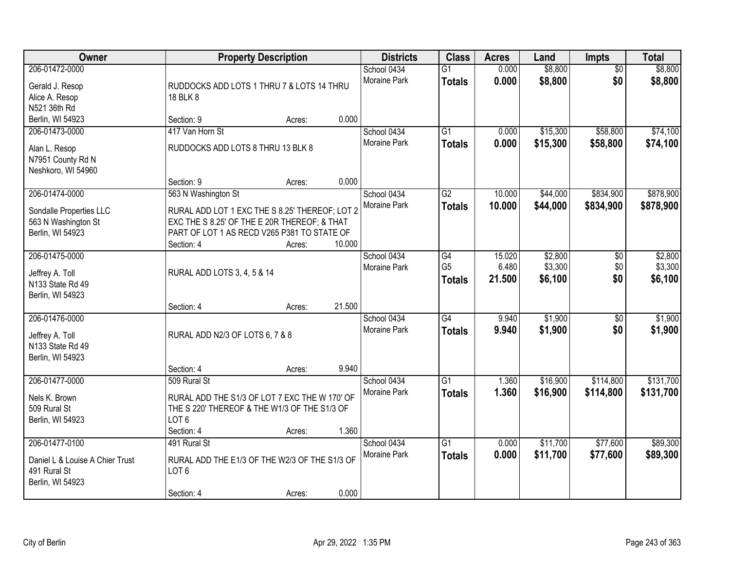| Owner                                                                                 |                                                                                                                                                             | <b>Property Description</b> |        | <b>Districts</b>                   | <b>Class</b>                          | <b>Acres</b>              | Land                          | <b>Impts</b>           | <b>Total</b>                  |
|---------------------------------------------------------------------------------------|-------------------------------------------------------------------------------------------------------------------------------------------------------------|-----------------------------|--------|------------------------------------|---------------------------------------|---------------------------|-------------------------------|------------------------|-------------------------------|
| 206-01472-0000<br>Gerald J. Resop<br>Alice A. Resop<br>N521 36th Rd                   | RUDDOCKS ADD LOTS 1 THRU 7 & LOTS 14 THRU<br>18 BLK 8                                                                                                       |                             |        | School 0434<br>Moraine Park        | $\overline{G1}$<br><b>Totals</b>      | 0.000<br>0.000            | \$8,800<br>\$8,800            | $\overline{50}$<br>\$0 | \$8,800<br>\$8,800            |
| Berlin, WI 54923                                                                      | Section: 9                                                                                                                                                  | Acres:                      | 0.000  |                                    |                                       |                           |                               |                        |                               |
| 206-01473-0000<br>Alan L. Resop<br>N7951 County Rd N<br>Neshkoro, WI 54960            | 417 Van Horn St<br>RUDDOCKS ADD LOTS 8 THRU 13 BLK 8<br>Section: 9                                                                                          | Acres:                      | 0.000  | School 0434<br>Moraine Park        | $\overline{G1}$<br>Totals             | 0.000<br>0.000            | \$15,300<br>\$15,300          | \$58,800<br>\$58,800   | \$74,100<br>\$74,100          |
| 206-01474-0000                                                                        | 563 N Washington St                                                                                                                                         |                             |        | School 0434                        | G2                                    | 10.000                    | \$44,000                      | \$834,900              | \$878,900                     |
| Sondalle Properties LLC<br>563 N Washington St<br>Berlin, WI 54923                    | RURAL ADD LOT 1 EXC THE S 8.25' THEREOF; LOT 2<br>EXC THE S 8.25' OF THE E 20R THEREOF; & THAT<br>PART OF LOT 1 AS RECD V265 P381 TO STATE OF<br>Section: 4 | Acres:                      | 10.000 | Moraine Park                       | <b>Totals</b>                         | 10.000                    | \$44,000                      | \$834,900              | \$878,900                     |
| 206-01475-0000<br>Jeffrey A. Toll<br>N133 State Rd 49<br>Berlin, WI 54923             | RURAL ADD LOTS 3, 4, 5 & 14                                                                                                                                 |                             |        | School 0434<br><b>Moraine Park</b> | G4<br>G <sub>5</sub><br><b>Totals</b> | 15.020<br>6.480<br>21.500 | \$2,800<br>\$3,300<br>\$6,100 | \$0<br>\$0<br>\$0      | \$2,800<br>\$3,300<br>\$6,100 |
|                                                                                       | Section: 4                                                                                                                                                  | Acres:                      | 21.500 |                                    |                                       |                           |                               |                        |                               |
| 206-01476-0000<br>Jeffrey A. Toll<br>N133 State Rd 49<br>Berlin, WI 54923             | RURAL ADD N2/3 OF LOTS 6, 7 & 8                                                                                                                             |                             |        | School 0434<br>Moraine Park        | $\overline{G4}$<br><b>Totals</b>      | 9.940<br>9.940            | \$1,900<br>\$1,900            | $\overline{30}$<br>\$0 | \$1,900<br>\$1,900            |
|                                                                                       | Section: 4                                                                                                                                                  | Acres:                      | 9.940  |                                    |                                       |                           |                               |                        |                               |
| 206-01477-0000<br>Nels K. Brown<br>509 Rural St<br>Berlin, WI 54923                   | 509 Rural St<br>RURAL ADD THE S1/3 OF LOT 7 EXC THE W 170' OF<br>THE S 220' THEREOF & THE W1/3 OF THE S1/3 OF<br>LOT <sub>6</sub>                           |                             |        | School 0434<br>Moraine Park        | $\overline{G1}$<br><b>Totals</b>      | 1.360<br>1.360            | \$16,900<br>\$16,900          | \$114,800<br>\$114,800 | \$131,700<br>\$131,700        |
|                                                                                       | Section: 4                                                                                                                                                  | Acres:                      | 1.360  |                                    |                                       |                           |                               |                        |                               |
| 206-01477-0100<br>Daniel L & Louise A Chier Trust<br>491 Rural St<br>Berlin, WI 54923 | 491 Rural St<br>RURAL ADD THE E1/3 OF THE W2/3 OF THE S1/3 OF<br>LOT <sub>6</sub><br>Section: 4                                                             | Acres:                      | 0.000  | School 0434<br><b>Moraine Park</b> | $\overline{G1}$<br><b>Totals</b>      | 0.000<br>0.000            | \$11,700<br>\$11,700          | \$77,600<br>\$77,600   | \$89,300<br>\$89,300          |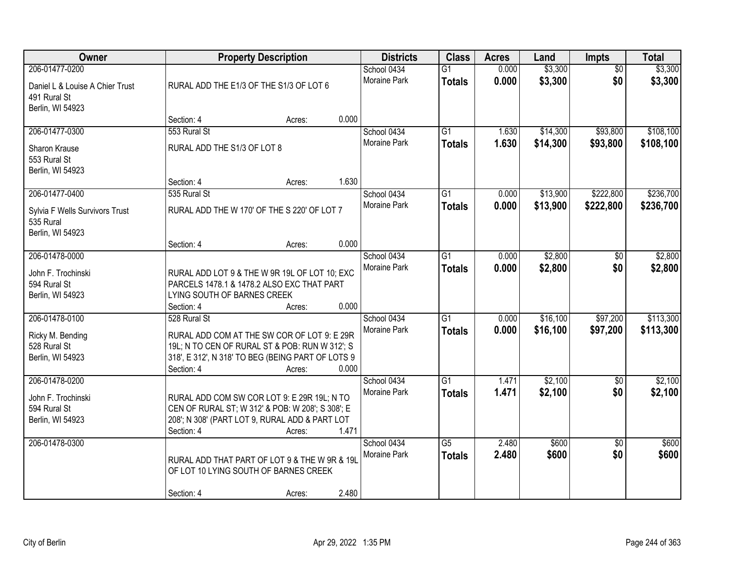| Owner                                                                                 |                                             | <b>Property Description</b>                                                                                                                                  |       | <b>Districts</b>                   | <b>Class</b>                     | <b>Acres</b>   | Land                 | Impts                  | <b>Total</b>           |
|---------------------------------------------------------------------------------------|---------------------------------------------|--------------------------------------------------------------------------------------------------------------------------------------------------------------|-------|------------------------------------|----------------------------------|----------------|----------------------|------------------------|------------------------|
| 206-01477-0200<br>Daniel L & Louise A Chier Trust<br>491 Rural St<br>Berlin, WI 54923 | RURAL ADD THE E1/3 OF THE S1/3 OF LOT 6     |                                                                                                                                                              |       | School 0434<br>Moraine Park        | $\overline{G1}$<br><b>Totals</b> | 0.000<br>0.000 | \$3,300<br>\$3,300   | $\overline{50}$<br>\$0 | \$3,300<br>\$3,300     |
|                                                                                       | Section: 4                                  | Acres:                                                                                                                                                       | 0.000 |                                    |                                  |                |                      |                        |                        |
| 206-01477-0300<br>Sharon Krause<br>553 Rural St<br>Berlin, WI 54923                   | 553 Rural St<br>RURAL ADD THE S1/3 OF LOT 8 |                                                                                                                                                              |       | School 0434<br><b>Moraine Park</b> | $\overline{G1}$<br><b>Totals</b> | 1.630<br>1.630 | \$14,300<br>\$14,300 | \$93,800<br>\$93,800   | \$108,100<br>\$108,100 |
|                                                                                       | Section: 4                                  | Acres:                                                                                                                                                       | 1.630 |                                    |                                  |                |                      |                        |                        |
| 206-01477-0400<br>Sylvia F Wells Survivors Trust<br>535 Rural<br>Berlin, WI 54923     | 535 Rural St                                | RURAL ADD THE W 170' OF THE S 220' OF LOT 7                                                                                                                  |       | School 0434<br>Moraine Park        | G1<br><b>Totals</b>              | 0.000<br>0.000 | \$13,900<br>\$13,900 | \$222,800<br>\$222,800 | \$236,700<br>\$236,700 |
|                                                                                       | Section: 4                                  | Acres:                                                                                                                                                       | 0.000 |                                    |                                  |                |                      |                        |                        |
| 206-01478-0000<br>John F. Trochinski<br>594 Rural St<br>Berlin, WI 54923              | LYING SOUTH OF BARNES CREEK                 | RURAL ADD LOT 9 & THE W 9R 19L OF LOT 10; EXC<br>PARCELS 1478.1 & 1478.2 ALSO EXC THAT PART                                                                  |       | School 0434<br>Moraine Park        | G1<br><b>Totals</b>              | 0.000<br>0.000 | \$2,800<br>\$2,800   | $\sqrt[6]{}$<br>\$0    | \$2,800<br>\$2,800     |
|                                                                                       | Section: 4                                  | Acres:                                                                                                                                                       | 0.000 |                                    |                                  |                |                      |                        |                        |
| 206-01478-0100<br>Ricky M. Bending<br>528 Rural St<br>Berlin, WI 54923                | 528 Rural St<br>Section: 4                  | RURAL ADD COM AT THE SW COR OF LOT 9: E 29R<br>19L; N TO CEN OF RURAL ST & POB: RUN W 312'; S<br>318', E 312', N 318' TO BEG (BEING PART OF LOTS 9<br>Acres: | 0.000 | School 0434<br>Moraine Park        | $\overline{G1}$<br><b>Totals</b> | 0.000<br>0.000 | \$16,100<br>\$16,100 | \$97,200<br>\$97,200   | \$113,300<br>\$113,300 |
| 206-01478-0200<br>John F. Trochinski<br>594 Rural St<br>Berlin, WI 54923              | Section: 4                                  | RURAL ADD COM SW COR LOT 9: E 29R 19L; N TO<br>CEN OF RURAL ST; W 312' & POB: W 208'; S 308'; E<br>208'; N 308' (PART LOT 9, RURAL ADD & PART LOT<br>Acres:  | 1.471 | School 0434<br>Moraine Park        | $\overline{G1}$<br><b>Totals</b> | 1.471<br>1.471 | \$2,100<br>\$2,100   | $\overline{50}$<br>\$0 | \$2,100<br>\$2,100     |
| 206-01478-0300                                                                        | Section: 4                                  | RURAL ADD THAT PART OF LOT 9 & THE W 9R & 19L<br>OF LOT 10 LYING SOUTH OF BARNES CREEK<br>Acres:                                                             | 2.480 | School 0434<br>Moraine Park        | $\overline{G5}$<br><b>Totals</b> | 2.480<br>2.480 | \$600<br>\$600       | $\overline{50}$<br>\$0 | \$600<br>\$600         |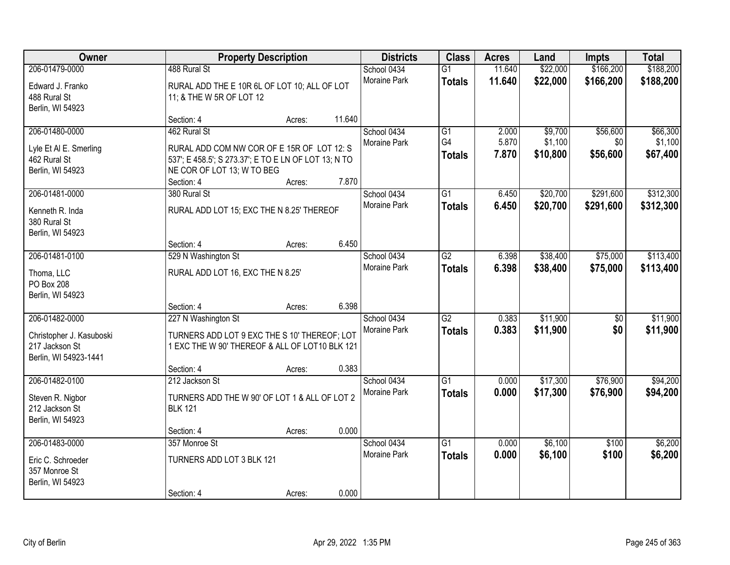| Owner                                                                                 |                                                                                                                       | <b>Property Description</b> |        | <b>Districts</b>            | <b>Class</b>                     | <b>Acres</b>     | Land                 | Impts                  | <b>Total</b>           |
|---------------------------------------------------------------------------------------|-----------------------------------------------------------------------------------------------------------------------|-----------------------------|--------|-----------------------------|----------------------------------|------------------|----------------------|------------------------|------------------------|
| 206-01479-0000<br>Edward J. Franko                                                    | 488 Rural St<br>RURAL ADD THE E 10R 6L OF LOT 10; ALL OF LOT<br>11; & THE W 5R OF LOT 12                              |                             |        | School 0434<br>Moraine Park | $\overline{G1}$<br><b>Totals</b> | 11.640<br>11.640 | \$22,000<br>\$22,000 | \$166,200<br>\$166,200 | \$188,200<br>\$188,200 |
| 488 Rural St<br>Berlin, WI 54923                                                      | Section: 4                                                                                                            | Acres:                      | 11.640 |                             |                                  |                  |                      |                        |                        |
| 206-01480-0000<br>Lyle Et AI E. Smerling                                              | 462 Rural St<br>RURAL ADD COM NW COR OF E 15R OF LOT 12: S                                                            |                             |        | School 0434<br>Moraine Park | $\overline{G1}$<br>G4            | 2.000<br>5.870   | \$9,700<br>\$1,100   | \$56,600<br>\$0        | \$66,300<br>\$1,100    |
| 462 Rural St<br>Berlin, WI 54923                                                      | 537'; E 458.5'; S 273.37'; E TO E LN OF LOT 13; N TO<br>NE COR OF LOT 13; W TO BEG<br>Section: 4                      | Acres:                      | 7.870  |                             | <b>Totals</b>                    | 7.870            | \$10,800             | \$56,600               | \$67,400               |
| 206-01481-0000                                                                        | 380 Rural St                                                                                                          |                             |        | School 0434                 | G1                               | 6.450            | \$20,700             | \$291,600              | \$312,300              |
| Kenneth R. Inda<br>380 Rural St<br>Berlin, WI 54923                                   | RURAL ADD LOT 15; EXC THE N 8.25' THEREOF                                                                             |                             |        | Moraine Park                | <b>Totals</b>                    | 6.450            | \$20,700             | \$291,600              | \$312,300              |
|                                                                                       | Section: 4                                                                                                            | Acres:                      | 6.450  |                             |                                  |                  |                      |                        |                        |
| 206-01481-0100                                                                        | 529 N Washington St                                                                                                   |                             |        | School 0434                 | $\overline{G2}$                  | 6.398            | \$38,400             | \$75,000               | \$113,400              |
| Thoma, LLC<br>PO Box 208<br>Berlin, WI 54923                                          | RURAL ADD LOT 16, EXC THE N 8.25'                                                                                     |                             |        | Moraine Park                | <b>Totals</b>                    | 6.398            | \$38,400             | \$75,000               | \$113,400              |
|                                                                                       | Section: 4                                                                                                            | Acres:                      | 6.398  |                             |                                  |                  |                      |                        |                        |
| 206-01482-0000<br>Christopher J. Kasuboski<br>217 Jackson St<br>Berlin, WI 54923-1441 | 227 N Washington St<br>TURNERS ADD LOT 9 EXC THE S 10' THEREOF; LOT<br>1 EXC THE W 90' THEREOF & ALL OF LOT10 BLK 121 |                             |        | School 0434<br>Moraine Park | $\overline{G2}$<br><b>Totals</b> | 0.383<br>0.383   | \$11,900<br>\$11,900 | \$0<br>\$0             | \$11,900<br>\$11,900   |
|                                                                                       | Section: 4                                                                                                            | Acres:                      | 0.383  |                             |                                  |                  |                      |                        |                        |
| 206-01482-0100                                                                        | 212 Jackson St                                                                                                        |                             |        | School 0434                 | $\overline{G1}$                  | 0.000            | \$17,300             | \$76,900               | \$94,200               |
| Steven R. Nigbor<br>212 Jackson St<br>Berlin, WI 54923                                | TURNERS ADD THE W 90' OF LOT 1 & ALL OF LOT 2<br><b>BLK 121</b>                                                       |                             |        | Moraine Park                | <b>Totals</b>                    | 0.000            | \$17,300             | \$76,900               | \$94,200               |
|                                                                                       | Section: 4                                                                                                            | Acres:                      | 0.000  |                             |                                  |                  |                      |                        |                        |
| 206-01483-0000                                                                        | 357 Monroe St                                                                                                         |                             |        | School 0434                 | $\overline{G1}$                  | 0.000            | \$6,100              | \$100                  | \$6,200                |
| Eric C. Schroeder<br>357 Monroe St<br>Berlin, WI 54923                                | TURNERS ADD LOT 3 BLK 121                                                                                             |                             |        | <b>Moraine Park</b>         | <b>Totals</b>                    | 0.000            | \$6,100              | \$100                  | \$6,200                |
|                                                                                       | Section: 4                                                                                                            | Acres:                      | 0.000  |                             |                                  |                  |                      |                        |                        |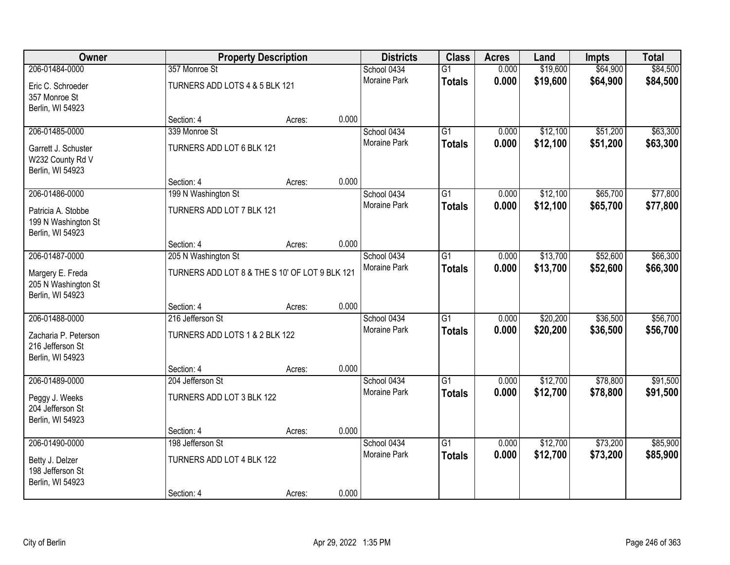| Owner                                                         | <b>Property Description</b>    |                                                                |       | <b>Districts</b>    | <b>Class</b>    | <b>Acres</b> | Land     | Impts    | <b>Total</b> |
|---------------------------------------------------------------|--------------------------------|----------------------------------------------------------------|-------|---------------------|-----------------|--------------|----------|----------|--------------|
| 206-01484-0000                                                | 357 Monroe St                  |                                                                |       | School 0434         | $\overline{G1}$ | 0.000        | \$19,600 | \$64,900 | \$84,500     |
| Eric C. Schroeder<br>357 Monroe St<br>Berlin, WI 54923        | TURNERS ADD LOTS 4 & 5 BLK 121 |                                                                |       | <b>Moraine Park</b> | <b>Totals</b>   | 0.000        | \$19,600 | \$64,900 | \$84,500     |
|                                                               | Section: 4                     | Acres:                                                         | 0.000 |                     |                 |              |          |          |              |
| 206-01485-0000                                                | 339 Monroe St                  |                                                                |       | School 0434         | $\overline{G1}$ | 0.000        | \$12,100 | \$51,200 | \$63,300     |
| Garrett J. Schuster<br>W232 County Rd V<br>Berlin, WI 54923   | TURNERS ADD LOT 6 BLK 121      |                                                                |       | <b>Moraine Park</b> | <b>Totals</b>   | 0.000        | \$12,100 | \$51,200 | \$63,300     |
|                                                               | Section: 4                     | Acres:                                                         | 0.000 |                     |                 |              |          |          |              |
| 206-01486-0000                                                | 199 N Washington St            |                                                                |       | School 0434         | $\overline{G1}$ | 0.000        | \$12,100 | \$65,700 | \$77,800     |
| Patricia A. Stobbe<br>199 N Washington St<br>Berlin, WI 54923 | TURNERS ADD LOT 7 BLK 121      |                                                                |       | <b>Moraine Park</b> | <b>Totals</b>   | 0.000        | \$12,100 | \$65,700 | \$77,800     |
|                                                               | Section: 4                     | Acres:                                                         | 0.000 |                     |                 |              |          |          |              |
| 206-01487-0000                                                | 205 N Washington St            |                                                                |       | School 0434         | $\overline{G1}$ | 0.000        | \$13,700 | \$52,600 | \$66,300     |
| Margery E. Freda<br>205 N Washington St<br>Berlin, WI 54923   |                                | Moraine Park<br>TURNERS ADD LOT 8 & THE S 10' OF LOT 9 BLK 121 |       |                     | <b>Totals</b>   | 0.000        | \$13,700 | \$52,600 | \$66,300     |
|                                                               | Section: 4                     | Acres:                                                         | 0.000 |                     |                 |              |          |          |              |
| 206-01488-0000                                                | 216 Jefferson St               |                                                                |       | School 0434         | $\overline{G1}$ | 0.000        | \$20,200 | \$36,500 | \$56,700     |
| Zacharia P. Peterson<br>216 Jefferson St<br>Berlin, WI 54923  | TURNERS ADD LOTS 1 & 2 BLK 122 |                                                                |       | <b>Moraine Park</b> | <b>Totals</b>   | 0.000        | \$20,200 | \$36,500 | \$56,700     |
|                                                               | Section: 4                     | Acres:                                                         | 0.000 |                     |                 |              |          |          |              |
| 206-01489-0000                                                | 204 Jefferson St               |                                                                |       | School 0434         | G1              | 0.000        | \$12,700 | \$78,800 | \$91,500     |
| Peggy J. Weeks<br>204 Jefferson St<br>Berlin, WI 54923        | TURNERS ADD LOT 3 BLK 122      |                                                                |       | Moraine Park        | <b>Totals</b>   | 0.000        | \$12,700 | \$78,800 | \$91,500     |
|                                                               | Section: 4                     | Acres:                                                         | 0.000 |                     |                 |              |          |          |              |
| 206-01490-0000                                                | 198 Jefferson St               |                                                                |       | School 0434         | $\overline{G1}$ | 0.000        | \$12,700 | \$73,200 | \$85,900     |
| Betty J. Delzer<br>198 Jefferson St<br>Berlin, WI 54923       | TURNERS ADD LOT 4 BLK 122      |                                                                |       | <b>Moraine Park</b> | <b>Totals</b>   | 0.000        | \$12,700 | \$73,200 | \$85,900     |
|                                                               | Section: 4                     | Acres:                                                         | 0.000 |                     |                 |              |          |          |              |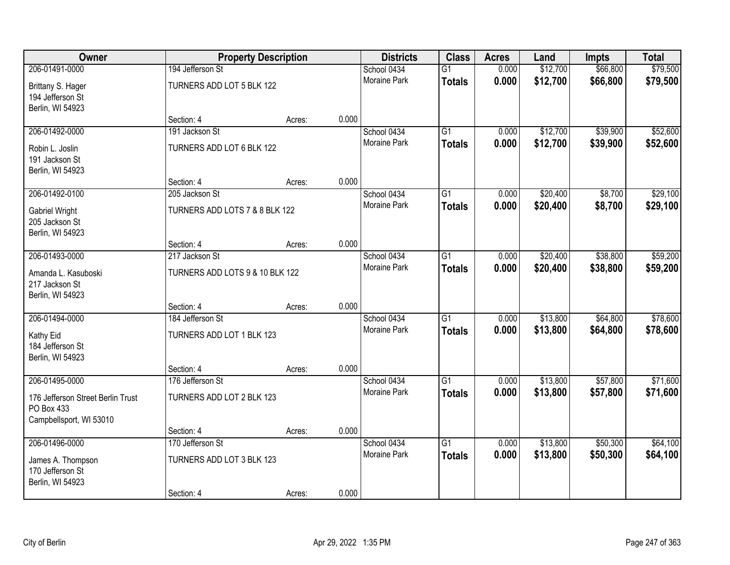| Owner                                                                      | <b>Property Description</b>     |        |              | <b>Districts</b>    | <b>Class</b>    | <b>Acres</b> | Land     | <b>Impts</b> | <b>Total</b> |
|----------------------------------------------------------------------------|---------------------------------|--------|--------------|---------------------|-----------------|--------------|----------|--------------|--------------|
| 206-01491-0000                                                             | 194 Jefferson St                |        |              | School 0434         | $\overline{G1}$ | 0.000        | \$12,700 | \$66,800     | \$79,500     |
| Brittany S. Hager<br>194 Jefferson St<br>Berlin, WI 54923                  | TURNERS ADD LOT 5 BLK 122       |        |              | Moraine Park        | <b>Totals</b>   | 0.000        | \$12,700 | \$66,800     | \$79,500     |
|                                                                            | Section: 4                      | Acres: | 0.000        |                     |                 |              |          |              |              |
| 206-01492-0000                                                             | 191 Jackson St                  |        |              | School 0434         | $\overline{G1}$ | 0.000        | \$12,700 | \$39,900     | \$52,600     |
| Robin L. Joslin<br>191 Jackson St<br>Berlin, WI 54923                      | TURNERS ADD LOT 6 BLK 122       |        |              | <b>Moraine Park</b> | <b>Totals</b>   | 0.000        | \$12,700 | \$39,900     | \$52,600     |
|                                                                            | Section: 4                      | Acres: | 0.000        |                     |                 |              |          |              |              |
| 206-01492-0100                                                             | 205 Jackson St                  |        |              | School 0434         | G1              | 0.000        | \$20,400 | \$8,700      | \$29,100     |
| <b>Gabriel Wright</b><br>205 Jackson St<br>Berlin, WI 54923                | TURNERS ADD LOTS 7 & 8 BLK 122  |        |              | Moraine Park        | <b>Totals</b>   | 0.000        | \$20,400 | \$8,700      | \$29,100     |
|                                                                            | Section: 4                      | Acres: | 0.000        |                     |                 |              |          |              |              |
| 206-01493-0000                                                             | 217 Jackson St                  |        |              | School 0434         | G1              | 0.000        | \$20,400 | \$38,800     | \$59,200     |
| Amanda L. Kasuboski<br>217 Jackson St<br>Berlin, WI 54923                  | TURNERS ADD LOTS 9 & 10 BLK 122 |        | Moraine Park | <b>Totals</b>       | 0.000           | \$20,400     | \$38,800 | \$59,200     |              |
|                                                                            | Section: 4                      | Acres: | 0.000        |                     |                 |              |          |              |              |
| 206-01494-0000                                                             | 184 Jefferson St                |        |              | School 0434         | $\overline{G1}$ | 0.000        | \$13,800 | \$64,800     | \$78,600     |
| Kathy Eid<br>184 Jefferson St<br>Berlin, WI 54923                          | TURNERS ADD LOT 1 BLK 123       |        |              | Moraine Park        | <b>Totals</b>   | 0.000        | \$13,800 | \$64,800     | \$78,600     |
|                                                                            | Section: 4                      | Acres: | 0.000        |                     |                 |              |          |              |              |
| 206-01495-0000                                                             | 176 Jefferson St                |        |              | School 0434         | $\overline{G1}$ | 0.000        | \$13,800 | \$57,800     | \$71,600     |
| 176 Jefferson Street Berlin Trust<br>PO Box 433<br>Campbellsport, WI 53010 | TURNERS ADD LOT 2 BLK 123       |        |              | Moraine Park        | <b>Totals</b>   | 0.000        | \$13,800 | \$57,800     | \$71,600     |
|                                                                            | Section: 4                      | Acres: | 0.000        |                     |                 |              |          |              |              |
| 206-01496-0000                                                             | 170 Jefferson St                |        |              | School 0434         | $\overline{G1}$ | 0.000        | \$13,800 | \$50,300     | \$64,100     |
| James A. Thompson<br>170 Jefferson St<br>Berlin, WI 54923                  | TURNERS ADD LOT 3 BLK 123       |        |              | <b>Moraine Park</b> | <b>Totals</b>   | 0.000        | \$13,800 | \$50,300     | \$64,100     |
|                                                                            | Section: 4                      | Acres: | 0.000        |                     |                 |              |          |              |              |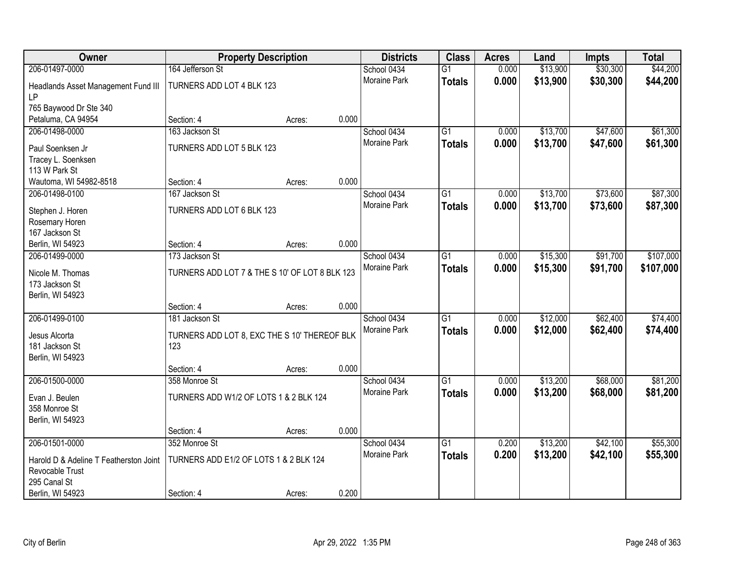| Owner                                                     | <b>Property Description</b>                    |        |       | <b>Districts</b>    | <b>Class</b>    | <b>Acres</b> | Land     | Impts    | <b>Total</b> |
|-----------------------------------------------------------|------------------------------------------------|--------|-------|---------------------|-----------------|--------------|----------|----------|--------------|
| 206-01497-0000                                            | 164 Jefferson St                               |        |       | School 0434         | $\overline{G1}$ | 0.000        | \$13,900 | \$30,300 | \$44,200     |
| Headlands Asset Management Fund III<br><b>LP</b>          | TURNERS ADD LOT 4 BLK 123                      |        |       | <b>Moraine Park</b> | <b>Totals</b>   | 0.000        | \$13,900 | \$30,300 | \$44,200     |
| 765 Baywood Dr Ste 340                                    |                                                |        |       |                     |                 |              |          |          |              |
| Petaluma, CA 94954                                        | Section: 4                                     | Acres: | 0.000 |                     |                 |              |          |          |              |
| 206-01498-0000                                            | 163 Jackson St                                 |        |       | School 0434         | $\overline{G1}$ | 0.000        | \$13,700 | \$47,600 | \$61,300     |
|                                                           |                                                |        |       | Moraine Park        | <b>Totals</b>   | 0.000        | \$13,700 | \$47,600 | \$61,300     |
| Paul Soenksen Jr                                          | TURNERS ADD LOT 5 BLK 123                      |        |       |                     |                 |              |          |          |              |
| Tracey L. Soenksen<br>113 W Park St                       |                                                |        |       |                     |                 |              |          |          |              |
| Wautoma, WI 54982-8518                                    | Section: 4                                     | Acres: | 0.000 |                     |                 |              |          |          |              |
| 206-01498-0100                                            | 167 Jackson St                                 |        |       | School 0434         | $\overline{G1}$ | 0.000        | \$13,700 | \$73,600 | \$87,300     |
|                                                           |                                                |        |       | Moraine Park        | <b>Totals</b>   | 0.000        | \$13,700 | \$73,600 | \$87,300     |
| Stephen J. Horen                                          | TURNERS ADD LOT 6 BLK 123                      |        |       |                     |                 |              |          |          |              |
| Rosemary Horen                                            |                                                |        |       |                     |                 |              |          |          |              |
| 167 Jackson St                                            |                                                |        |       |                     |                 |              |          |          |              |
| Berlin, WI 54923<br>206-01499-0000                        | Section: 4<br>173 Jackson St                   | Acres: | 0.000 | School 0434         | $\overline{G1}$ | 0.000        |          | \$91,700 | \$107,000    |
|                                                           |                                                |        |       | Moraine Park        |                 |              | \$15,300 |          |              |
| Nicole M. Thomas                                          | TURNERS ADD LOT 7 & THE S 10' OF LOT 8 BLK 123 |        |       |                     | <b>Totals</b>   | 0.000        | \$15,300 | \$91,700 | \$107,000    |
| 173 Jackson St                                            |                                                |        |       |                     |                 |              |          |          |              |
| Berlin, WI 54923                                          |                                                |        |       |                     |                 |              |          |          |              |
|                                                           | Section: 4                                     | Acres: | 0.000 |                     |                 |              |          |          |              |
| 206-01499-0100                                            | 181 Jackson St                                 |        |       | School 0434         | $\overline{G1}$ | 0.000        | \$12,000 | \$62,400 | \$74,400     |
| Jesus Alcorta                                             | TURNERS ADD LOT 8, EXC THE S 10' THEREOF BLK   |        |       | Moraine Park        | <b>Totals</b>   | 0.000        | \$12,000 | \$62,400 | \$74,400     |
| 181 Jackson St                                            | 123                                            |        |       |                     |                 |              |          |          |              |
| Berlin, WI 54923                                          |                                                |        |       |                     |                 |              |          |          |              |
|                                                           | Section: 4                                     | Acres: | 0.000 |                     |                 |              |          |          |              |
| 206-01500-0000                                            | 358 Monroe St                                  |        |       | School 0434         | $\overline{G1}$ | 0.000        | \$13,200 | \$68,000 | \$81,200     |
| Evan J. Beulen                                            | TURNERS ADD W1/2 OF LOTS 1 & 2 BLK 124         |        |       | Moraine Park        | <b>Totals</b>   | 0.000        | \$13,200 | \$68,000 | \$81,200     |
| 358 Monroe St                                             |                                                |        |       |                     |                 |              |          |          |              |
| Berlin, WI 54923                                          |                                                |        |       |                     |                 |              |          |          |              |
|                                                           | Section: 4                                     | Acres: | 0.000 |                     |                 |              |          |          |              |
| 206-01501-0000                                            | 352 Monroe St                                  |        |       | School 0434         | $\overline{G1}$ | 0.200        | \$13,200 | \$42,100 | \$55,300     |
|                                                           | TURNERS ADD E1/2 OF LOTS 1 & 2 BLK 124         |        |       | Moraine Park        | <b>Totals</b>   | 0.200        | \$13,200 | \$42,100 | \$55,300     |
| Harold D & Adeline T Featherston Joint<br>Revocable Trust |                                                |        |       |                     |                 |              |          |          |              |
| 295 Canal St                                              |                                                |        |       |                     |                 |              |          |          |              |
| Berlin, WI 54923                                          | Section: 4                                     | Acres: | 0.200 |                     |                 |              |          |          |              |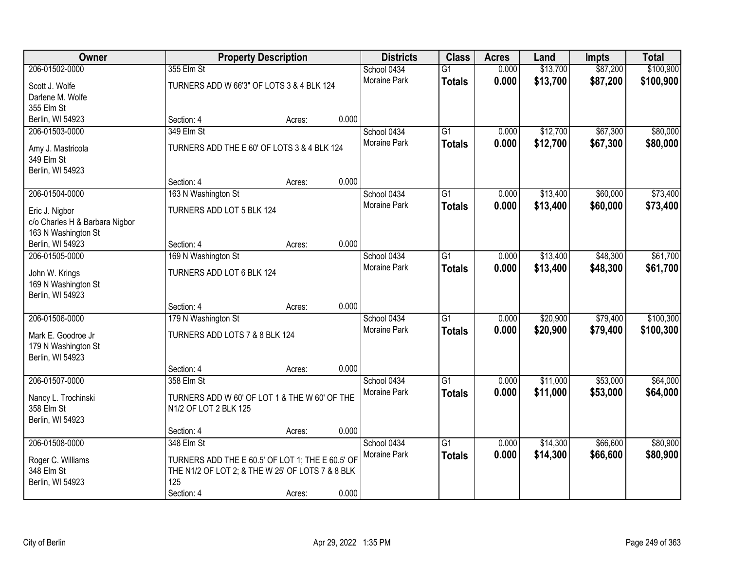| Owner                                            |                                                  | <b>Property Description</b> |       | <b>Districts</b>            | <b>Class</b>    | <b>Acres</b> | Land     | <b>Impts</b> | <b>Total</b> |
|--------------------------------------------------|--------------------------------------------------|-----------------------------|-------|-----------------------------|-----------------|--------------|----------|--------------|--------------|
| 206-01502-0000                                   | 355 Elm St                                       |                             |       | School 0434                 | $\overline{G1}$ | 0.000        | \$13,700 | \$87,200     | \$100,900    |
| Scott J. Wolfe                                   | TURNERS ADD W 66'3" OF LOTS 3 & 4 BLK 124        |                             |       | Moraine Park                | <b>Totals</b>   | 0.000        | \$13,700 | \$87,200     | \$100,900    |
| Darlene M. Wolfe                                 |                                                  |                             |       |                             |                 |              |          |              |              |
| 355 Elm St                                       |                                                  |                             |       |                             |                 |              |          |              |              |
| Berlin, WI 54923                                 | Section: 4                                       | Acres:                      | 0.000 |                             |                 |              |          |              |              |
| 206-01503-0000                                   | 349 Elm St                                       |                             |       | School 0434                 | $\overline{G1}$ | 0.000        | \$12,700 | \$67,300     | \$80,000     |
| Amy J. Mastricola                                | TURNERS ADD THE E 60' OF LOTS 3 & 4 BLK 124      |                             |       | Moraine Park                | <b>Totals</b>   | 0.000        | \$12,700 | \$67,300     | \$80,000     |
| 349 Elm St                                       |                                                  |                             |       |                             |                 |              |          |              |              |
| Berlin, WI 54923                                 |                                                  |                             |       |                             |                 |              |          |              |              |
|                                                  | Section: 4                                       | Acres:                      | 0.000 |                             |                 |              |          |              |              |
| 206-01504-0000                                   | 163 N Washington St                              |                             |       | School 0434                 | G1              | 0.000        | \$13,400 | \$60,000     | \$73,400     |
|                                                  | TURNERS ADD LOT 5 BLK 124                        |                             |       | Moraine Park                | <b>Totals</b>   | 0.000        | \$13,400 | \$60,000     | \$73,400     |
| Eric J. Nigbor<br>c/o Charles H & Barbara Nigbor |                                                  |                             |       |                             |                 |              |          |              |              |
| 163 N Washington St                              |                                                  |                             |       |                             |                 |              |          |              |              |
| Berlin, WI 54923                                 | Section: 4                                       | Acres:                      | 0.000 |                             |                 |              |          |              |              |
| 206-01505-0000                                   | 169 N Washington St                              |                             |       | School 0434                 | G1              | 0.000        | \$13,400 | \$48,300     | \$61,700     |
|                                                  |                                                  |                             |       | <b>Moraine Park</b>         | <b>Totals</b>   | 0.000        | \$13,400 | \$48,300     | \$61,700     |
| John W. Krings                                   | TURNERS ADD LOT 6 BLK 124                        |                             |       |                             |                 |              |          |              |              |
| 169 N Washington St<br>Berlin, WI 54923          |                                                  |                             |       |                             |                 |              |          |              |              |
|                                                  | Section: 4                                       | Acres:                      | 0.000 |                             |                 |              |          |              |              |
| 206-01506-0000                                   | 179 N Washington St                              |                             |       | School 0434                 | $\overline{G1}$ | 0.000        | \$20,900 | \$79,400     | \$100,300    |
|                                                  |                                                  |                             |       | Moraine Park                | <b>Totals</b>   | 0.000        | \$20,900 | \$79,400     | \$100,300    |
| Mark E. Goodroe Jr                               | TURNERS ADD LOTS 7 & 8 BLK 124                   |                             |       |                             |                 |              |          |              |              |
| 179 N Washington St                              |                                                  |                             |       |                             |                 |              |          |              |              |
| Berlin, WI 54923                                 | Section: 4                                       | Acres:                      | 0.000 |                             |                 |              |          |              |              |
| 206-01507-0000                                   | 358 Elm St                                       |                             |       | School 0434                 | $\overline{G1}$ | 0.000        | \$11,000 | \$53,000     | \$64,000     |
|                                                  |                                                  |                             |       | Moraine Park                | <b>Totals</b>   | 0.000        | \$11,000 | \$53,000     | \$64,000     |
| Nancy L. Trochinski                              | TURNERS ADD W 60' OF LOT 1 & THE W 60' OF THE    |                             |       |                             |                 |              |          |              |              |
| 358 Elm St                                       | N1/2 OF LOT 2 BLK 125                            |                             |       |                             |                 |              |          |              |              |
| Berlin, WI 54923                                 |                                                  |                             |       |                             |                 |              |          |              |              |
| 206-01508-0000                                   | Section: 4                                       | Acres:                      | 0.000 |                             |                 |              |          |              |              |
|                                                  | 348 Elm St                                       |                             |       | School 0434<br>Moraine Park | $\overline{G1}$ | 0.000        | \$14,300 | \$66,600     | \$80,900     |
| Roger C. Williams                                | TURNERS ADD THE E 60.5' OF LOT 1; THE E 60.5' OF |                             |       |                             | <b>Totals</b>   | 0.000        | \$14,300 | \$66,600     | \$80,900     |
| 348 Elm St                                       | THE N1/2 OF LOT 2; & THE W 25' OF LOTS 7 & 8 BLK |                             |       |                             |                 |              |          |              |              |
| Berlin, WI 54923                                 | 125                                              |                             |       |                             |                 |              |          |              |              |
|                                                  | Section: 4                                       | Acres:                      | 0.000 |                             |                 |              |          |              |              |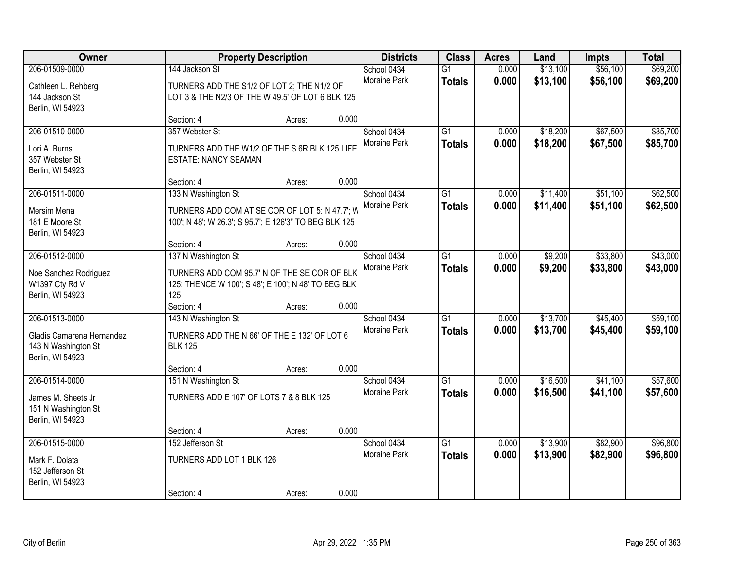| Owner                              |                                                        | <b>Property Description</b> |       | <b>Districts</b>            | <b>Class</b>    | <b>Acres</b> | Land     | Impts                | <b>Total</b> |
|------------------------------------|--------------------------------------------------------|-----------------------------|-------|-----------------------------|-----------------|--------------|----------|----------------------|--------------|
| 206-01509-0000                     | 144 Jackson St                                         |                             |       | School 0434                 | $\overline{G1}$ | 0.000        | \$13,100 | \$56,100             | \$69,200     |
| Cathleen L. Rehberg                | TURNERS ADD THE S1/2 OF LOT 2; THE N1/2 OF             |                             |       | <b>Moraine Park</b>         | <b>Totals</b>   | 0.000        | \$13,100 | \$56,100             | \$69,200     |
| 144 Jackson St                     | LOT 3 & THE N2/3 OF THE W 49.5' OF LOT 6 BLK 125       |                             |       |                             |                 |              |          |                      |              |
| Berlin, WI 54923                   |                                                        |                             |       |                             |                 |              |          |                      |              |
|                                    | Section: 4                                             | Acres:                      | 0.000 |                             |                 |              |          |                      |              |
| 206-01510-0000                     | 357 Webster St                                         |                             |       | School 0434<br>Moraine Park | $\overline{G1}$ | 0.000        | \$18,200 | \$67,500<br>\$67,500 | \$85,700     |
| Lori A. Burns                      | TURNERS ADD THE W1/2 OF THE S 6R BLK 125 LIFE          |                             |       |                             | <b>Totals</b>   | 0.000        | \$18,200 |                      | \$85,700     |
| 357 Webster St                     | <b>ESTATE: NANCY SEAMAN</b>                            |                             |       |                             |                 |              |          |                      |              |
| Berlin, WI 54923                   | Section: 4                                             | Acres:                      | 0.000 |                             |                 |              |          |                      |              |
| 206-01511-0000                     | 133 N Washington St                                    |                             |       | School 0434                 | G1              | 0.000        | \$11,400 | \$51,100             | \$62,500     |
|                                    |                                                        |                             |       | Moraine Park                | <b>Totals</b>   | 0.000        | \$11,400 | \$51,100             | \$62,500     |
| Mersim Mena                        | TURNERS ADD COM AT SE COR OF LOT 5: N 47.7'; W         |                             |       |                             |                 |              |          |                      |              |
| 181 E Moore St<br>Berlin, WI 54923 | 100'; N 48'; W 26.3'; S 95.7'; E 126'3" TO BEG BLK 125 |                             |       |                             |                 |              |          |                      |              |
|                                    | Section: 4                                             | Acres:                      | 0.000 |                             |                 |              |          |                      |              |
| 206-01512-0000                     | 137 N Washington St                                    |                             |       | School 0434                 | $\overline{G1}$ | 0.000        | \$9,200  | \$33,800             | \$43,000     |
| Noe Sanchez Rodriguez              | TURNERS ADD COM 95.7' N OF THE SE COR OF BLK           |                             |       | Moraine Park                | <b>Totals</b>   | 0.000        | \$9,200  | \$33,800             | \$43,000     |
| W1397 Cty Rd V                     | 125: THENCE W 100'; S 48'; E 100'; N 48' TO BEG BLK    |                             |       |                             |                 |              |          |                      |              |
| Berlin, WI 54923                   | 125                                                    |                             |       |                             |                 |              |          |                      |              |
|                                    | Section: 4                                             | Acres:                      | 0.000 |                             |                 |              |          |                      |              |
| 206-01513-0000                     | 143 N Washington St                                    |                             |       | School 0434                 | $\overline{G1}$ | 0.000        | \$13,700 | \$45,400             | \$59,100     |
| Gladis Camarena Hernandez          | TURNERS ADD THE N 66' OF THE E 132' OF LOT 6           |                             |       | Moraine Park                | <b>Totals</b>   | 0.000        | \$13,700 | \$45,400             | \$59,100     |
| 143 N Washington St                | <b>BLK 125</b>                                         |                             |       |                             |                 |              |          |                      |              |
| Berlin, WI 54923                   |                                                        |                             |       |                             |                 |              |          |                      |              |
|                                    | Section: 4                                             | Acres:                      | 0.000 |                             |                 |              |          |                      |              |
| 206-01514-0000                     | 151 N Washington St                                    |                             |       | School 0434<br>Moraine Park | $\overline{G1}$ | 0.000        | \$16,500 | \$41,100             | \$57,600     |
| James M. Sheets Jr                 | TURNERS ADD E 107' OF LOTS 7 & 8 BLK 125               |                             |       |                             | <b>Totals</b>   | 0.000        | \$16,500 | \$41,100             | \$57,600     |
| 151 N Washington St                |                                                        |                             |       |                             |                 |              |          |                      |              |
| Berlin, WI 54923                   | Section: 4                                             |                             | 0.000 |                             |                 |              |          |                      |              |
| 206-01515-0000                     | 152 Jefferson St                                       | Acres:                      |       | School 0434                 | $\overline{G1}$ | 0.000        | \$13,900 | \$82,900             | \$96,800     |
|                                    |                                                        |                             |       | <b>Moraine Park</b>         | <b>Totals</b>   | 0.000        | \$13,900 | \$82,900             | \$96,800     |
| Mark F. Dolata<br>152 Jefferson St | TURNERS ADD LOT 1 BLK 126                              |                             |       |                             |                 |              |          |                      |              |
| Berlin, WI 54923                   |                                                        |                             |       |                             |                 |              |          |                      |              |
|                                    | Section: 4                                             | Acres:                      | 0.000 |                             |                 |              |          |                      |              |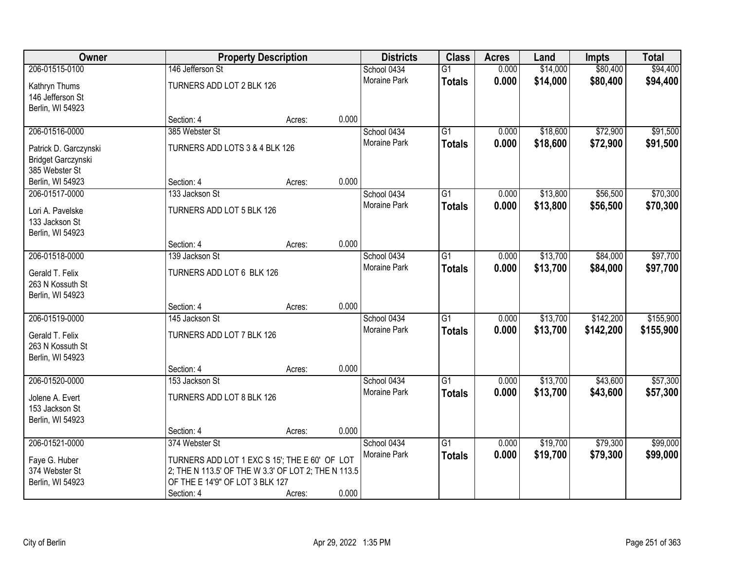| Owner                 |                                                     | <b>Property Description</b> |       | <b>Districts</b> | <b>Class</b>    | <b>Acres</b> | Land     | <b>Impts</b> | <b>Total</b> |
|-----------------------|-----------------------------------------------------|-----------------------------|-------|------------------|-----------------|--------------|----------|--------------|--------------|
| 206-01515-0100        | 146 Jefferson St                                    |                             |       | School 0434      | $\overline{G1}$ | 0.000        | \$14,000 | \$80,400     | \$94,400     |
| Kathryn Thums         | TURNERS ADD LOT 2 BLK 126                           |                             |       | Moraine Park     | <b>Totals</b>   | 0.000        | \$14,000 | \$80,400     | \$94,400     |
| 146 Jefferson St      |                                                     |                             |       |                  |                 |              |          |              |              |
| Berlin, WI 54923      |                                                     |                             |       |                  |                 |              |          |              |              |
|                       | Section: 4                                          | Acres:                      | 0.000 |                  |                 |              |          |              |              |
| 206-01516-0000        | 385 Webster St                                      |                             |       | School 0434      | $\overline{G1}$ | 0.000        | \$18,600 | \$72,900     | \$91,500     |
| Patrick D. Garczynski | TURNERS ADD LOTS 3 & 4 BLK 126                      |                             |       | Moraine Park     | <b>Totals</b>   | 0.000        | \$18,600 | \$72,900     | \$91,500     |
| Bridget Garczynski    |                                                     |                             |       |                  |                 |              |          |              |              |
| 385 Webster St        |                                                     |                             |       |                  |                 |              |          |              |              |
| Berlin, WI 54923      | Section: 4                                          | Acres:                      | 0.000 |                  |                 |              |          |              |              |
| 206-01517-0000        | 133 Jackson St                                      |                             |       | School 0434      | G1              | 0.000        | \$13,800 | \$56,500     | \$70,300     |
| Lori A. Pavelske      | TURNERS ADD LOT 5 BLK 126                           |                             |       | Moraine Park     | <b>Totals</b>   | 0.000        | \$13,800 | \$56,500     | \$70,300     |
| 133 Jackson St        |                                                     |                             |       |                  |                 |              |          |              |              |
| Berlin, WI 54923      |                                                     |                             |       |                  |                 |              |          |              |              |
|                       | Section: 4                                          | Acres:                      | 0.000 |                  |                 |              |          |              |              |
| 206-01518-0000        | 139 Jackson St                                      |                             |       | School 0434      | G1              | 0.000        | \$13,700 | \$84,000     | \$97,700     |
| Gerald T. Felix       | TURNERS ADD LOT 6 BLK 126                           |                             |       | Moraine Park     | <b>Totals</b>   | 0.000        | \$13,700 | \$84,000     | \$97,700     |
| 263 N Kossuth St      |                                                     |                             |       |                  |                 |              |          |              |              |
| Berlin, WI 54923      |                                                     |                             |       |                  |                 |              |          |              |              |
|                       | Section: 4                                          | Acres:                      | 0.000 |                  |                 |              |          |              |              |
| 206-01519-0000        | 145 Jackson St                                      |                             |       | School 0434      | $\overline{G1}$ | 0.000        | \$13,700 | \$142,200    | \$155,900    |
| Gerald T. Felix       | TURNERS ADD LOT 7 BLK 126                           |                             |       | Moraine Park     | <b>Totals</b>   | 0.000        | \$13,700 | \$142,200    | \$155,900    |
| 263 N Kossuth St      |                                                     |                             |       |                  |                 |              |          |              |              |
| Berlin, WI 54923      |                                                     |                             |       |                  |                 |              |          |              |              |
|                       | Section: 4                                          | Acres:                      | 0.000 |                  |                 |              |          |              |              |
| 206-01520-0000        | 153 Jackson St                                      |                             |       | School 0434      | $\overline{G1}$ | 0.000        | \$13,700 | \$43,600     | \$57,300     |
| Jolene A. Evert       | TURNERS ADD LOT 8 BLK 126                           |                             |       | Moraine Park     | <b>Totals</b>   | 0.000        | \$13,700 | \$43,600     | \$57,300     |
| 153 Jackson St        |                                                     |                             |       |                  |                 |              |          |              |              |
| Berlin, WI 54923      |                                                     |                             |       |                  |                 |              |          |              |              |
|                       | Section: 4                                          | Acres:                      | 0.000 |                  |                 |              |          |              |              |
| 206-01521-0000        | 374 Webster St                                      |                             |       | School 0434      | $\overline{G1}$ | 0.000        | \$19,700 | \$79,300     | \$99,000     |
| Faye G. Huber         | TURNERS ADD LOT 1 EXC S 15'; THE E 60' OF LOT       |                             |       | Moraine Park     | <b>Totals</b>   | 0.000        | \$19,700 | \$79,300     | \$99,000     |
| 374 Webster St        | 2; THE N 113.5' OF THE W 3.3' OF LOT 2; THE N 113.5 |                             |       |                  |                 |              |          |              |              |
| Berlin, WI 54923      | OF THE E 14'9" OF LOT 3 BLK 127                     |                             |       |                  |                 |              |          |              |              |
|                       | Section: 4                                          | Acres:                      | 0.000 |                  |                 |              |          |              |              |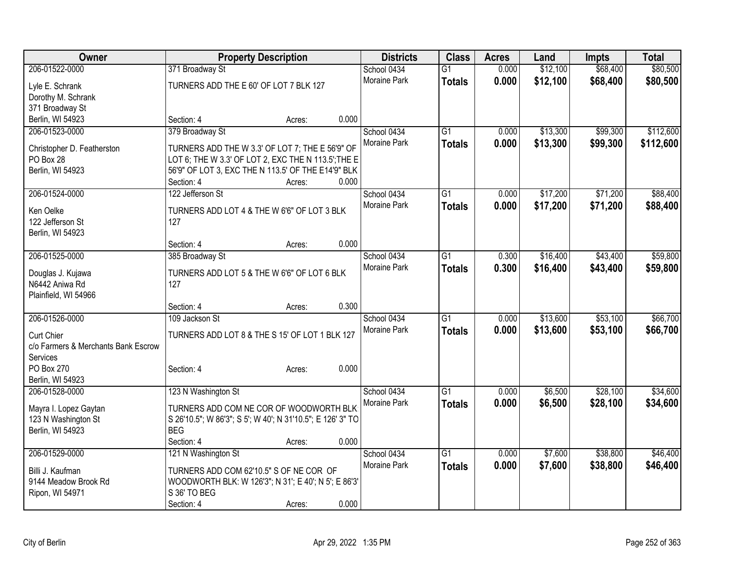| \$12,100<br>\$68,400<br>\$80,500<br>206-01522-0000<br>School 0434<br>0.000<br>371 Broadway St<br>$\overline{G1}$<br>Moraine Park<br>0.000<br>\$12,100<br>\$68,400<br>\$80,500<br><b>Totals</b><br>TURNERS ADD THE E 60' OF LOT 7 BLK 127<br>Lyle E. Schrank<br>Dorothy M. Schrank<br>371 Broadway St |
|------------------------------------------------------------------------------------------------------------------------------------------------------------------------------------------------------------------------------------------------------------------------------------------------------|
|                                                                                                                                                                                                                                                                                                      |
|                                                                                                                                                                                                                                                                                                      |
|                                                                                                                                                                                                                                                                                                      |
|                                                                                                                                                                                                                                                                                                      |
| Berlin, WI 54923<br>0.000<br>Section: 4<br>Acres:                                                                                                                                                                                                                                                    |
| 206-01523-0000<br>379 Broadway St<br>\$13,300<br>\$99,300<br>\$112,600<br>School 0434<br>$\overline{G1}$<br>0.000                                                                                                                                                                                    |
| Moraine Park<br>0.000<br>\$13,300<br>\$99,300<br>\$112,600<br><b>Totals</b>                                                                                                                                                                                                                          |
| TURNERS ADD THE W 3.3' OF LOT 7; THE E 56'9" OF<br>Christopher D. Featherston                                                                                                                                                                                                                        |
| PO Box 28<br>LOT 6; THE W 3.3' OF LOT 2, EXC THE N 113.5'; THE E<br>56'9" OF LOT 3, EXC THE N 113.5' OF THE E14'9" BLK                                                                                                                                                                               |
| Berlin, WI 54923<br>0.000<br>Section: 4<br>Acres:                                                                                                                                                                                                                                                    |
| \$17,200<br>\$71,200<br>\$88,400<br>206-01524-0000<br>122 Jefferson St<br>School 0434<br>G1<br>0.000                                                                                                                                                                                                 |
| <b>Moraine Park</b>                                                                                                                                                                                                                                                                                  |
| 0.000<br>\$17,200<br>\$71,200<br>\$88,400<br><b>Totals</b><br>Ken Oelke<br>TURNERS ADD LOT 4 & THE W 6'6" OF LOT 3 BLK                                                                                                                                                                               |
| 122 Jefferson St<br>127                                                                                                                                                                                                                                                                              |
| Berlin, WI 54923                                                                                                                                                                                                                                                                                     |
| 0.000<br>Section: 4<br>Acres:                                                                                                                                                                                                                                                                        |
| \$43,400<br>206-01525-0000<br>$\overline{G1}$<br>\$16,400<br>\$59,800<br>385 Broadway St<br>School 0434<br>0.300                                                                                                                                                                                     |
| <b>Moraine Park</b><br>0.300<br>\$16,400<br>\$43,400<br>\$59,800<br><b>Totals</b><br>TURNERS ADD LOT 5 & THE W 6'6" OF LOT 6 BLK<br>Douglas J. Kujawa                                                                                                                                                |
| N6442 Aniwa Rd<br>127                                                                                                                                                                                                                                                                                |
| Plainfield, WI 54966                                                                                                                                                                                                                                                                                 |
| 0.300<br>Section: 4<br>Acres:                                                                                                                                                                                                                                                                        |
| 206-01526-0000<br>\$53,100<br>\$66,700<br>109 Jackson St<br>$\overline{G1}$<br>\$13,600<br>School 0434<br>0.000                                                                                                                                                                                      |
| \$13,600<br>\$53,100<br>Moraine Park<br>0.000<br>\$66,700<br><b>Totals</b>                                                                                                                                                                                                                           |
| <b>Curt Chier</b><br>TURNERS ADD LOT 8 & THE S 15' OF LOT 1 BLK 127                                                                                                                                                                                                                                  |
| c/o Farmers & Merchants Bank Escrow                                                                                                                                                                                                                                                                  |
| Services                                                                                                                                                                                                                                                                                             |
| 0.000<br>PO Box 270<br>Section: 4<br>Acres:                                                                                                                                                                                                                                                          |
| Berlin, WI 54923                                                                                                                                                                                                                                                                                     |
| 123 N Washington St<br>\$6,500<br>\$28,100<br>\$34,600<br>206-01528-0000<br>School 0434<br>$\overline{G1}$<br>0.000                                                                                                                                                                                  |
| Moraine Park<br>0.000<br>\$28,100<br>\$6,500<br>\$34,600<br><b>Totals</b><br>TURNERS ADD COM NE COR OF WOODWORTH BLK<br>Mayra I. Lopez Gaytan                                                                                                                                                        |
| 123 N Washington St<br>S 26'10.5"; W 86'3"; S 5'; W 40'; N 31'10.5"; E 126' 3" TO                                                                                                                                                                                                                    |
| Berlin, WI 54923<br><b>BEG</b>                                                                                                                                                                                                                                                                       |
| 0.000<br>Section: 4<br>Acres:                                                                                                                                                                                                                                                                        |
| 206-01529-0000<br>$\overline{G1}$<br>\$7,600<br>\$38,800<br>\$46,400<br>121 N Washington St<br>School 0434<br>0.000                                                                                                                                                                                  |
| <b>Moraine Park</b><br>0.000<br>\$7,600<br>\$38,800<br><b>Totals</b><br>\$46,400<br>Billi J. Kaufman<br>TURNERS ADD COM 62'10.5" S OF NE COR OF                                                                                                                                                      |
| 9144 Meadow Brook Rd<br>WOODWORTH BLK: W 126'3"; N 31'; E 40'; N 5'; E 86'3'                                                                                                                                                                                                                         |
| S 36' TO BEG<br>Ripon, WI 54971                                                                                                                                                                                                                                                                      |
| 0.000<br>Section: 4<br>Acres:                                                                                                                                                                                                                                                                        |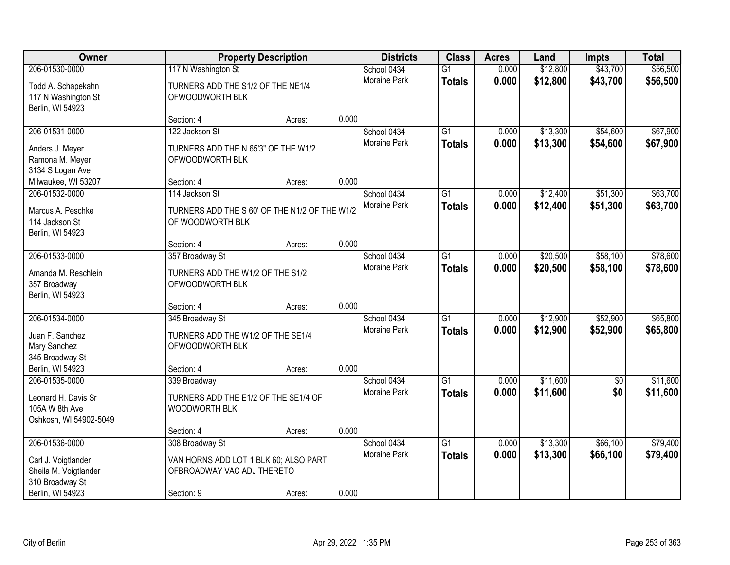| <b>Owner</b>                                                         |                                                                         | <b>Property Description</b> |       | <b>Districts</b>                   | <b>Class</b>                     | <b>Acres</b>   | Land                 | <b>Impts</b>         | <b>Total</b>         |
|----------------------------------------------------------------------|-------------------------------------------------------------------------|-----------------------------|-------|------------------------------------|----------------------------------|----------------|----------------------|----------------------|----------------------|
| 206-01530-0000                                                       | 117 N Washington St                                                     |                             |       | School 0434                        | $\overline{G1}$                  | 0.000          | \$12,800             | \$43,700             | \$56,500             |
| Todd A. Schapekahn<br>117 N Washington St<br>Berlin, WI 54923        | TURNERS ADD THE S1/2 OF THE NE1/4<br>OFWOODWORTH BLK                    |                             |       | Moraine Park                       | <b>Totals</b>                    | 0.000          | \$12,800             | \$43,700             | \$56,500             |
|                                                                      | Section: 4                                                              | Acres:                      | 0.000 |                                    |                                  |                |                      |                      |                      |
| 206-01531-0000<br>Anders J. Meyer                                    | 122 Jackson St<br>TURNERS ADD THE N 65'3" OF THE W1/2                   |                             |       | School 0434<br><b>Moraine Park</b> | $\overline{G1}$<br><b>Totals</b> | 0.000<br>0.000 | \$13,300<br>\$13,300 | \$54,600<br>\$54,600 | \$67,900<br>\$67,900 |
| Ramona M. Meyer<br>3134 S Logan Ave                                  | OFWOODWORTH BLK                                                         |                             |       |                                    |                                  |                |                      |                      |                      |
| Milwaukee, WI 53207                                                  | Section: 4                                                              | Acres:                      | 0.000 |                                    |                                  |                |                      |                      |                      |
| 206-01532-0000                                                       | 114 Jackson St                                                          |                             |       | School 0434                        | $\overline{G1}$                  | 0.000          | \$12,400             | \$51,300             | \$63,700             |
| Marcus A. Peschke<br>114 Jackson St<br>Berlin, WI 54923              | TURNERS ADD THE S 60' OF THE N1/2 OF THE W1/2<br>OF WOODWORTH BLK       |                             |       | Moraine Park                       | <b>Totals</b>                    | 0.000          | \$12,400             | \$51,300             | \$63,700             |
|                                                                      | Section: 4                                                              | Acres:                      | 0.000 |                                    |                                  |                |                      |                      |                      |
| 206-01533-0000                                                       | 357 Broadway St                                                         |                             |       | School 0434                        | G1                               | 0.000          | \$20,500             | \$58,100             | \$78,600             |
| Amanda M. Reschlein<br>357 Broadway<br>Berlin, WI 54923              | TURNERS ADD THE W1/2 OF THE S1/2<br>OFWOODWORTH BLK                     |                             |       | Moraine Park                       | <b>Totals</b>                    | 0.000          | \$20,500             | \$58,100             | \$78,600             |
|                                                                      | Section: 4                                                              | Acres:                      | 0.000 |                                    |                                  |                |                      |                      |                      |
| 206-01534-0000<br>Juan F. Sanchez<br>Mary Sanchez<br>345 Broadway St | 345 Broadway St<br>TURNERS ADD THE W1/2 OF THE SE1/4<br>OFWOODWORTH BLK |                             |       | School 0434<br>Moraine Park        | $\overline{G1}$<br><b>Totals</b> | 0.000<br>0.000 | \$12,900<br>\$12,900 | \$52,900<br>\$52,900 | \$65,800<br>\$65,800 |
| Berlin, WI 54923                                                     | Section: 4                                                              | Acres:                      | 0.000 |                                    |                                  |                |                      |                      |                      |
| 206-01535-0000                                                       | 339 Broadway                                                            |                             |       | School 0434                        | $\overline{G1}$                  | 0.000          | \$11,600             | $\overline{50}$      | \$11,600             |
| Leonard H. Davis Sr<br>105A W 8th Ave<br>Oshkosh, WI 54902-5049      | TURNERS ADD THE E1/2 OF THE SE1/4 OF<br>WOODWORTH BLK                   |                             |       | Moraine Park                       | <b>Totals</b>                    | 0.000          | \$11,600             | \$0                  | \$11,600             |
|                                                                      | Section: 4                                                              | Acres:                      | 0.000 |                                    |                                  |                |                      |                      |                      |
| 206-01536-0000                                                       | 308 Broadway St                                                         |                             |       | School 0434                        | $\overline{G1}$                  | 0.000          | \$13,300             | \$66,100             | \$79,400             |
| Carl J. Voigtlander<br>Sheila M. Voigtlander<br>310 Broadway St      | VAN HORNS ADD LOT 1 BLK 60; ALSO PART<br>OFBROADWAY VAC ADJ THERETO     |                             |       | <b>Moraine Park</b>                | <b>Totals</b>                    | 0.000          | \$13,300             | \$66,100             | \$79,400             |
| Berlin, WI 54923                                                     | Section: 9                                                              | Acres:                      | 0.000 |                                    |                                  |                |                      |                      |                      |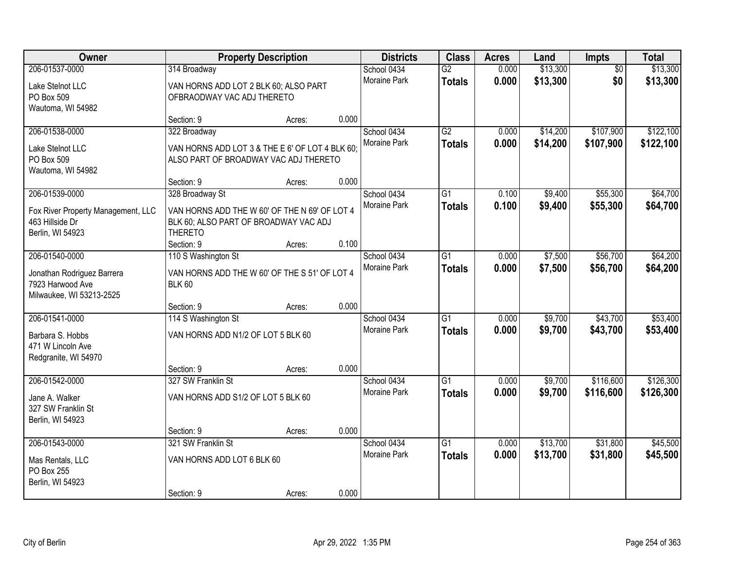| Owner                                                                                       | <b>Property Description</b>                                                                                                 |        |       | <b>Districts</b>                   | <b>Class</b>                     | <b>Acres</b>   | Land                 | Impts                  | <b>Total</b>           |
|---------------------------------------------------------------------------------------------|-----------------------------------------------------------------------------------------------------------------------------|--------|-------|------------------------------------|----------------------------------|----------------|----------------------|------------------------|------------------------|
| 206-01537-0000<br>Lake Stelnot LLC<br>PO Box 509<br>Wautoma, WI 54982                       | 314 Broadway<br>VAN HORNS ADD LOT 2 BLK 60; ALSO PART<br>OFBRAODWAY VAC ADJ THERETO                                         |        |       | School 0434<br>Moraine Park        | $\overline{G2}$<br><b>Totals</b> | 0.000<br>0.000 | \$13,300<br>\$13,300 | $\overline{50}$<br>\$0 | \$13,300<br>\$13,300   |
|                                                                                             | Section: 9                                                                                                                  | Acres: | 0.000 |                                    |                                  |                |                      |                        |                        |
| 206-01538-0000<br>Lake Stelnot LLC<br>PO Box 509<br>Wautoma, WI 54982                       | 322 Broadway<br>VAN HORNS ADD LOT 3 & THE E 6' OF LOT 4 BLK 60;<br>ALSO PART OF BROADWAY VAC ADJ THERETO                    |        |       | School 0434<br>Moraine Park        | G2<br><b>Totals</b>              | 0.000<br>0.000 | \$14,200<br>\$14,200 | \$107,900<br>\$107,900 | \$122,100<br>\$122,100 |
|                                                                                             | Section: 9                                                                                                                  | Acres: | 0.000 |                                    |                                  |                |                      |                        |                        |
| 206-01539-0000<br>Fox River Property Management, LLC<br>463 Hillside Dr<br>Berlin, WI 54923 | 328 Broadway St<br>VAN HORNS ADD THE W 60' OF THE N 69' OF LOT 4<br>BLK 60; ALSO PART OF BROADWAY VAC ADJ<br><b>THERETO</b> |        |       | School 0434<br>Moraine Park        | $\overline{G1}$<br><b>Totals</b> | 0.100<br>0.100 | \$9,400<br>\$9,400   | \$55,300<br>\$55,300   | \$64,700<br>\$64,700   |
| 206-01540-0000                                                                              | Section: 9<br>110 S Washington St                                                                                           | Acres: | 0.100 | School 0434                        | G1                               | 0.000          | \$7,500              | \$56,700               | \$64,200               |
| Jonathan Rodriguez Barrera<br>7923 Harwood Ave<br>Milwaukee, WI 53213-2525                  | VAN HORNS ADD THE W 60' OF THE S 51' OF LOT 4<br><b>BLK 60</b>                                                              |        |       | <b>Moraine Park</b>                | <b>Totals</b>                    | 0.000          | \$7,500              | \$56,700               | \$64,200               |
|                                                                                             | Section: 9                                                                                                                  | Acres: | 0.000 |                                    |                                  |                |                      |                        |                        |
| 206-01541-0000<br>Barbara S. Hobbs<br>471 W Lincoln Ave<br>Redgranite, WI 54970             | 114 S Washington St<br>VAN HORNS ADD N1/2 OF LOT 5 BLK 60                                                                   |        |       | School 0434<br>Moraine Park        | $\overline{G1}$<br><b>Totals</b> | 0.000<br>0.000 | \$9,700<br>\$9,700   | \$43,700<br>\$43,700   | \$53,400<br>\$53,400   |
| 206-01542-0000                                                                              | Section: 9<br>327 SW Franklin St                                                                                            | Acres: | 0.000 | School 0434                        | $\overline{G1}$                  | 0.000          | \$9,700              | \$116,600              | \$126,300              |
| Jane A. Walker<br>327 SW Franklin St<br>Berlin, WI 54923                                    | VAN HORNS ADD S1/2 OF LOT 5 BLK 60                                                                                          |        |       | Moraine Park                       | <b>Totals</b>                    | 0.000          | \$9,700              | \$116,600              | \$126,300              |
|                                                                                             | Section: 9                                                                                                                  | Acres: | 0.000 |                                    |                                  |                |                      |                        |                        |
| 206-01543-0000<br>Mas Rentals, LLC<br>PO Box 255<br>Berlin, WI 54923                        | 321 SW Franklin St<br>VAN HORNS ADD LOT 6 BLK 60<br>Section: 9                                                              | Acres: | 0.000 | School 0434<br><b>Moraine Park</b> | $\overline{G1}$<br><b>Totals</b> | 0.000<br>0.000 | \$13,700<br>\$13,700 | \$31,800<br>\$31,800   | \$45,500<br>\$45,500   |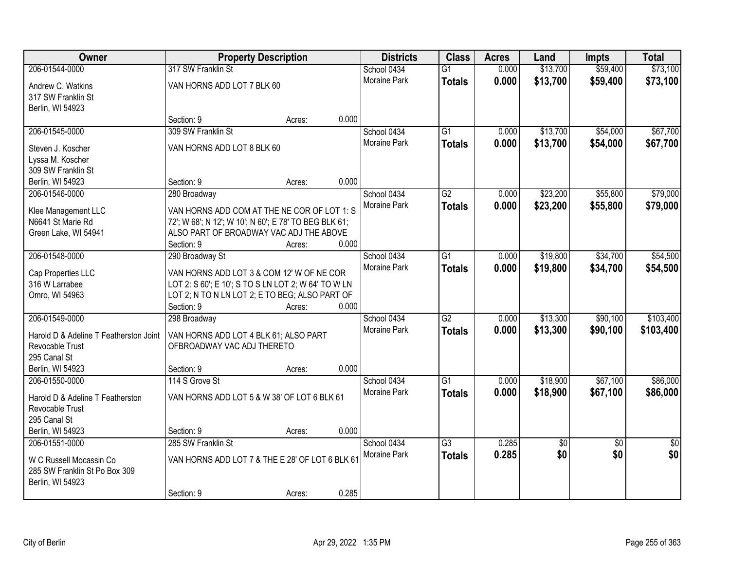| Owner                                                                                          | <b>Property Description</b>                                                                                                                                      |        |       | <b>Districts</b>            | <b>Class</b>                     | <b>Acres</b>   | Land       | Impts                  | <b>Total</b>           |
|------------------------------------------------------------------------------------------------|------------------------------------------------------------------------------------------------------------------------------------------------------------------|--------|-------|-----------------------------|----------------------------------|----------------|------------|------------------------|------------------------|
| 206-01544-0000                                                                                 | 317 SW Franklin St                                                                                                                                               |        |       | School 0434                 | $\overline{G1}$                  | 0.000          | \$13,700   | \$59,400               | \$73,100               |
| Andrew C. Watkins<br>317 SW Franklin St<br>Berlin, WI 54923                                    | VAN HORNS ADD LOT 7 BLK 60                                                                                                                                       |        |       | <b>Moraine Park</b>         | <b>Totals</b>                    | 0.000          | \$13,700   | \$59,400               | \$73,100               |
|                                                                                                | Section: 9                                                                                                                                                       | Acres: | 0.000 |                             |                                  |                |            |                        |                        |
| 206-01545-0000                                                                                 | 309 SW Franklin St                                                                                                                                               |        |       | School 0434                 | $\overline{G1}$                  | 0.000          | \$13,700   | \$54,000               | \$67,700               |
| Steven J. Koscher<br>Lyssa M. Koscher<br>309 SW Franklin St                                    | VAN HORNS ADD LOT 8 BLK 60                                                                                                                                       |        | 0.000 | Moraine Park                | <b>Totals</b>                    | 0.000          | \$13,700   | \$54,000               | \$67,700               |
| Berlin, WI 54923<br>206-01546-0000                                                             | Section: 9<br>280 Broadway                                                                                                                                       | Acres: |       | School 0434                 | G2                               | 0.000          | \$23,200   | \$55,800               | \$79,000               |
| Klee Management LLC<br>N6641 St Marie Rd<br>Green Lake, WI 54941                               | VAN HORNS ADD COM AT THE NE COR OF LOT 1: S<br>72'; W 68'; N 12'; W 10'; N 60'; E 78' TO BEG BLK 61;<br>ALSO PART OF BROADWAY VAC ADJ THE ABOVE<br>Section: 9    | Acres: | 0.000 | Moraine Park                | <b>Totals</b>                    | 0.000          | \$23,200   | \$55,800               | \$79,000               |
| 206-01548-0000                                                                                 | 290 Broadway St                                                                                                                                                  |        |       | School 0434                 | $\overline{G1}$                  | 0.000          | \$19,800   | \$34,700               | \$54,500               |
| Cap Properties LLC<br>316 W Larrabee<br>Omro, WI 54963                                         | VAN HORNS ADD LOT 3 & COM 12' W OF NE COR<br>LOT 2: S 60'; E 10'; S TO S LN LOT 2; W 64' TO W LN<br>LOT 2; N TO N LN LOT 2; E TO BEG; ALSO PART OF<br>Section: 9 | Acres: | 0.000 | Moraine Park                | <b>Totals</b>                    | 0.000          | \$19,800   | \$34,700               | \$54,500               |
| 206-01549-0000                                                                                 | 298 Broadway                                                                                                                                                     |        |       | School 0434                 | $\overline{G2}$                  | 0.000          | \$13,300   | \$90,100               | \$103,400              |
| Harold D & Adeline T Featherston Joint<br>Revocable Trust<br>295 Canal St<br>Berlin, WI 54923  | VAN HORNS ADD LOT 4 BLK 61; ALSO PART<br>OFBROADWAY VAC ADJ THERETO<br>Section: 9                                                                                | Acres: | 0.000 | Moraine Park                | <b>Totals</b>                    | 0.000          | \$13,300   | \$90,100               | \$103,400              |
| 206-01550-0000                                                                                 | 114 S Grove St                                                                                                                                                   |        |       | School 0434                 | $\overline{G1}$                  | 0.000          | \$18,900   | \$67,100               | \$86,000               |
| Harold D & Adeline T Featherston<br>Revocable Trust<br>295 Canal St                            | VAN HORNS ADD LOT 5 & W 38' OF LOT 6 BLK 61                                                                                                                      |        |       | Moraine Park                | <b>Totals</b>                    | 0.000          | \$18,900   | \$67,100               | \$86,000               |
| Berlin, WI 54923                                                                               | Section: 9                                                                                                                                                       | Acres: | 0.000 |                             |                                  |                |            |                        |                        |
| 206-01551-0000<br>W C Russell Mocassin Co<br>285 SW Franklin St Po Box 309<br>Berlin, WI 54923 | 285 SW Franklin St<br>VAN HORNS ADD LOT 7 & THE E 28' OF LOT 6 BLK 61<br>Section: 9                                                                              | Acres: | 0.285 | School 0434<br>Moraine Park | $\overline{G3}$<br><b>Totals</b> | 0.285<br>0.285 | \$0<br>\$0 | $\overline{30}$<br>\$0 | $\overline{50}$<br>\$0 |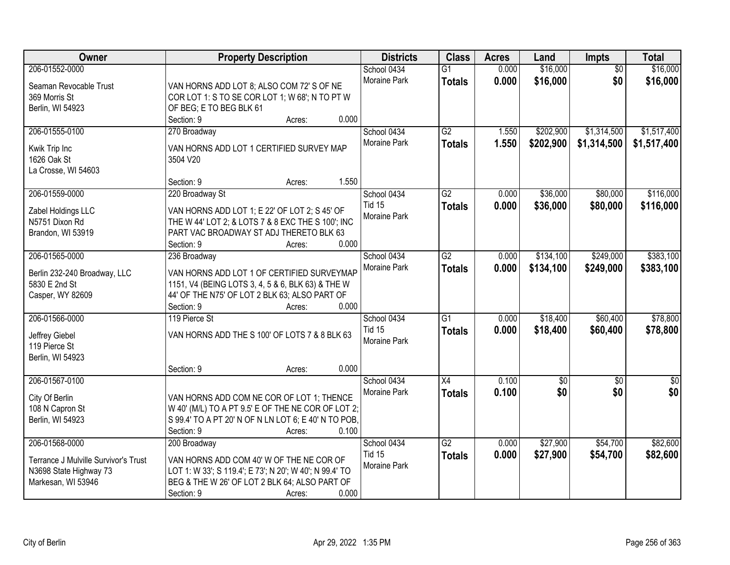| Owner                                | <b>Property Description</b>                                                                     | <b>Districts</b>    | <b>Class</b>    | <b>Acres</b> | Land           | <b>Impts</b>    | <b>Total</b>  |
|--------------------------------------|-------------------------------------------------------------------------------------------------|---------------------|-----------------|--------------|----------------|-----------------|---------------|
| 206-01552-0000                       |                                                                                                 | School 0434         | $\overline{G1}$ | 0.000        | \$16,000       | $\overline{50}$ | \$16,000      |
| Seaman Revocable Trust               | VAN HORNS ADD LOT 8; ALSO COM 72' S OF NE                                                       | Moraine Park        | <b>Totals</b>   | 0.000        | \$16,000       | \$0             | \$16,000      |
| 369 Morris St                        | COR LOT 1: S TO SE COR LOT 1; W 68'; N TO PT W                                                  |                     |                 |              |                |                 |               |
| Berlin, WI 54923                     | OF BEG; E TO BEG BLK 61                                                                         |                     |                 |              |                |                 |               |
|                                      | 0.000<br>Section: 9<br>Acres:                                                                   |                     |                 |              |                |                 |               |
| 206-01555-0100                       | 270 Broadway                                                                                    | School 0434         | $\overline{G2}$ | 1.550        | \$202,900      | \$1,314,500     | \$1,517,400   |
|                                      |                                                                                                 | Moraine Park        | <b>Totals</b>   | 1.550        | \$202,900      | \$1,314,500     | \$1,517,400   |
| Kwik Trip Inc<br>1626 Oak St         | VAN HORNS ADD LOT 1 CERTIFIED SURVEY MAP<br>3504 V20                                            |                     |                 |              |                |                 |               |
| La Crosse, WI 54603                  |                                                                                                 |                     |                 |              |                |                 |               |
|                                      | 1.550<br>Section: 9<br>Acres:                                                                   |                     |                 |              |                |                 |               |
| 206-01559-0000                       | 220 Broadway St                                                                                 | School 0434         | $\overline{G2}$ | 0.000        | \$36,000       | \$80,000        | \$116,000     |
|                                      |                                                                                                 | <b>Tid 15</b>       | <b>Totals</b>   | 0.000        | \$36,000       | \$80,000        | \$116,000     |
| Zabel Holdings LLC                   | VAN HORNS ADD LOT 1; E 22' OF LOT 2; S 45' OF                                                   | Moraine Park        |                 |              |                |                 |               |
| N5751 Dixon Rd                       | THE W 44' LOT 2; & LOTS 7 & 8 EXC THE S 100'; INC                                               |                     |                 |              |                |                 |               |
| Brandon, WI 53919                    | PART VAC BROADWAY ST ADJ THERETO BLK 63                                                         |                     |                 |              |                |                 |               |
|                                      | 0.000<br>Section: 9<br>Acres:                                                                   |                     |                 |              |                |                 |               |
| 206-01565-0000                       | 236 Broadway                                                                                    | School 0434         | $\overline{G2}$ | 0.000        | \$134,100      | \$249,000       | \$383,100     |
| Berlin 232-240 Broadway, LLC         | VAN HORNS ADD LOT 1 OF CERTIFIED SURVEYMAP                                                      | Moraine Park        | <b>Totals</b>   | 0.000        | \$134,100      | \$249,000       | \$383,100     |
| 5830 E 2nd St                        | 1151, V4 (BEING LOTS 3, 4, 5 & 6, BLK 63) & THE W                                               |                     |                 |              |                |                 |               |
| Casper, WY 82609                     | 44' OF THE N75' OF LOT 2 BLK 63; ALSO PART OF                                                   |                     |                 |              |                |                 |               |
|                                      | 0.000<br>Section: 9<br>Acres:                                                                   |                     |                 |              |                |                 |               |
| 206-01566-0000                       | 119 Pierce St                                                                                   | School 0434         | $\overline{G1}$ | 0.000        | \$18,400       | \$60,400        | \$78,800      |
| Jeffrey Giebel                       | VAN HORNS ADD THE S 100' OF LOTS 7 & 8 BLK 63                                                   | <b>Tid 15</b>       | <b>Totals</b>   | 0.000        | \$18,400       | \$60,400        | \$78,800      |
| 119 Pierce St                        |                                                                                                 | <b>Moraine Park</b> |                 |              |                |                 |               |
| Berlin, WI 54923                     |                                                                                                 |                     |                 |              |                |                 |               |
|                                      | 0.000<br>Section: 9<br>Acres:                                                                   |                     |                 |              |                |                 |               |
| 206-01567-0100                       |                                                                                                 | School 0434         | $\overline{X4}$ | 0.100        | $\sqrt[6]{30}$ | $\overline{50}$ | $\frac{1}{6}$ |
|                                      |                                                                                                 | Moraine Park        | <b>Totals</b>   | 0.100        | \$0            | \$0             | \$0           |
| City Of Berlin<br>108 N Capron St    | VAN HORNS ADD COM NE COR OF LOT 1; THENCE<br>W 40' (M/L) TO A PT 9.5' E OF THE NE COR OF LOT 2; |                     |                 |              |                |                 |               |
| Berlin, WI 54923                     | S 99.4' TO A PT 20' N OF N LN LOT 6; E 40' N TO POB,                                            |                     |                 |              |                |                 |               |
|                                      | 0.100<br>Section: 9<br>Acres:                                                                   |                     |                 |              |                |                 |               |
| 206-01568-0000                       | 200 Broadway                                                                                    | School 0434         | $\overline{G2}$ | 0.000        | \$27,900       | \$54,700        | \$82,600      |
|                                      |                                                                                                 | <b>Tid 15</b>       | <b>Totals</b>   | 0.000        | \$27,900       | \$54,700        | \$82,600      |
| Terrance J Mulville Survivor's Trust | VAN HORNS ADD COM 40' W OF THE NE COR OF                                                        | Moraine Park        |                 |              |                |                 |               |
| N3698 State Highway 73               | LOT 1: W 33'; S 119.4'; E 73'; N 20'; W 40'; N 99.4' TO                                         |                     |                 |              |                |                 |               |
| Markesan, WI 53946                   | BEG & THE W 26' OF LOT 2 BLK 64; ALSO PART OF                                                   |                     |                 |              |                |                 |               |
|                                      | 0.000<br>Section: 9<br>Acres:                                                                   |                     |                 |              |                |                 |               |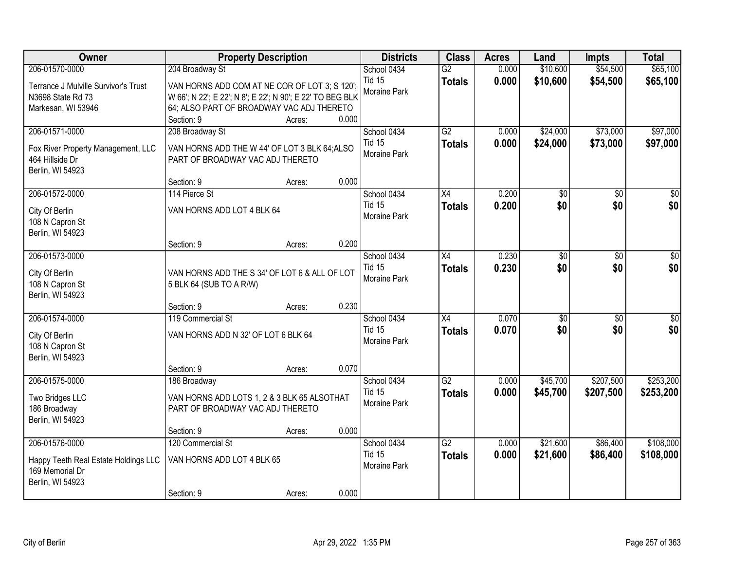| Owner                                                   | <b>Property Description</b>                               |                 | <b>Districts</b>              | <b>Class</b>    | <b>Acres</b> | Land            | <b>Impts</b>    | <b>Total</b>    |
|---------------------------------------------------------|-----------------------------------------------------------|-----------------|-------------------------------|-----------------|--------------|-----------------|-----------------|-----------------|
| 206-01570-0000                                          | 204 Broadway St                                           |                 | School 0434                   | $\overline{G2}$ | 0.000        | \$10,600        | \$54,500        | \$65,100        |
| Terrance J Mulville Survivor's Trust                    | VAN HORNS ADD COM AT NE COR OF LOT 3; S 120';             |                 | <b>Tid 15</b><br>Moraine Park | <b>Totals</b>   | 0.000        | \$10,600        | \$54,500        | \$65,100        |
| N3698 State Rd 73                                       | W 66'; N 22'; E 22'; N 8'; E 22'; N 90'; E 22' TO BEG BLK |                 |                               |                 |              |                 |                 |                 |
| Markesan, WI 53946                                      | 64; ALSO PART OF BROADWAY VAC ADJ THERETO                 |                 |                               |                 |              |                 |                 |                 |
|                                                         | Section: 9                                                | 0.000<br>Acres: |                               |                 |              |                 |                 |                 |
| 206-01571-0000                                          | 208 Broadway St                                           |                 | School 0434                   | $\overline{G2}$ | 0.000        | \$24,000        | \$73,000        | \$97,000        |
| Fox River Property Management, LLC                      | VAN HORNS ADD THE W 44' OF LOT 3 BLK 64;ALSO              |                 | <b>Tid 15</b>                 | <b>Totals</b>   | 0.000        | \$24,000        | \$73,000        | \$97,000        |
| 464 Hillside Dr                                         | PART OF BROADWAY VAC ADJ THERETO                          |                 | Moraine Park                  |                 |              |                 |                 |                 |
| Berlin, WI 54923                                        |                                                           |                 |                               |                 |              |                 |                 |                 |
|                                                         | Section: 9                                                | 0.000<br>Acres: |                               |                 |              |                 |                 |                 |
| 206-01572-0000                                          | 114 Pierce St                                             |                 | School 0434                   | X4              | 0.200        | \$0             | \$0             | \$0             |
| City Of Berlin                                          | VAN HORNS ADD LOT 4 BLK 64                                |                 | Tid 15                        | <b>Totals</b>   | 0.200        | \$0             | \$0             | \$0             |
| 108 N Capron St                                         |                                                           |                 | Moraine Park                  |                 |              |                 |                 |                 |
| Berlin, WI 54923                                        |                                                           |                 |                               |                 |              |                 |                 |                 |
|                                                         | Section: 9                                                | 0.200<br>Acres: |                               |                 |              |                 |                 |                 |
| 206-01573-0000                                          |                                                           |                 | School 0434                   | X4              | 0.230        | \$0             | \$0             | \$0             |
|                                                         |                                                           |                 | <b>Tid 15</b>                 | <b>Totals</b>   | 0.230        | \$0             | \$0             | \$0             |
| City Of Berlin                                          | VAN HORNS ADD THE S 34' OF LOT 6 & ALL OF LOT             |                 | Moraine Park                  |                 |              |                 |                 |                 |
| 108 N Capron St                                         | 5 BLK 64 (SUB TO A R/W)                                   |                 |                               |                 |              |                 |                 |                 |
| Berlin, WI 54923                                        |                                                           |                 |                               |                 |              |                 |                 |                 |
|                                                         | Section: 9                                                | 0.230<br>Acres: |                               |                 |              |                 |                 |                 |
| 206-01574-0000                                          | 119 Commercial St                                         |                 | School 0434                   | $\overline{X4}$ | 0.070        | $\overline{50}$ | $\overline{50}$ | $\overline{50}$ |
| City Of Berlin                                          | VAN HORNS ADD N 32' OF LOT 6 BLK 64                       |                 | <b>Tid 15</b>                 | <b>Totals</b>   | 0.070        | \$0             | \$0             | \$0             |
| 108 N Capron St                                         |                                                           |                 | Moraine Park                  |                 |              |                 |                 |                 |
| Berlin, WI 54923                                        |                                                           |                 |                               |                 |              |                 |                 |                 |
|                                                         | Section: 9                                                | 0.070<br>Acres: |                               |                 |              |                 |                 |                 |
| 206-01575-0000                                          | 186 Broadway                                              |                 | School 0434                   | $\overline{G2}$ | 0.000        | \$45,700        | \$207,500       | \$253,200       |
| Two Bridges LLC                                         | VAN HORNS ADD LOTS 1, 2 & 3 BLK 65 ALSOTHAT               |                 | <b>Tid 15</b>                 | <b>Totals</b>   | 0.000        | \$45,700        | \$207,500       | \$253,200       |
| 186 Broadway                                            | PART OF BROADWAY VAC ADJ THERETO                          |                 | Moraine Park                  |                 |              |                 |                 |                 |
| Berlin, WI 54923                                        |                                                           |                 |                               |                 |              |                 |                 |                 |
|                                                         | Section: 9                                                | 0.000<br>Acres: |                               |                 |              |                 |                 |                 |
| 206-01576-0000                                          | 120 Commercial St                                         |                 | School 0434                   | $\overline{G2}$ | 0.000        | \$21,600        | \$86,400        | \$108,000       |
|                                                         |                                                           |                 | <b>Tid 15</b>                 | <b>Totals</b>   | 0.000        | \$21,600        | \$86,400        | \$108,000       |
| Happy Teeth Real Estate Holdings LLC<br>169 Memorial Dr | VAN HORNS ADD LOT 4 BLK 65                                |                 | Moraine Park                  |                 |              |                 |                 |                 |
| Berlin, WI 54923                                        |                                                           |                 |                               |                 |              |                 |                 |                 |
|                                                         | Section: 9                                                | 0.000           |                               |                 |              |                 |                 |                 |
|                                                         |                                                           | Acres:          |                               |                 |              |                 |                 |                 |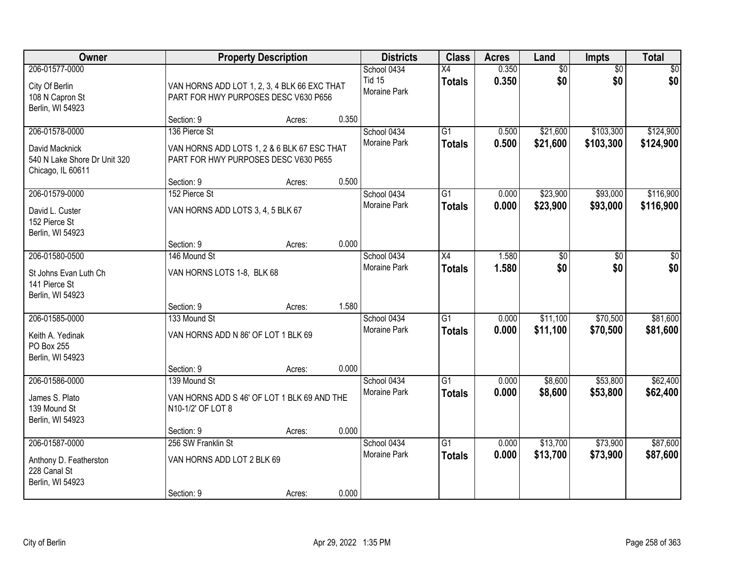| Owner                                                                                 |                                                                                                      | <b>Property Description</b> |       | <b>Districts</b>                             | <b>Class</b>                     | <b>Acres</b>   | Land                 | <b>Impts</b>           | <b>Total</b>           |
|---------------------------------------------------------------------------------------|------------------------------------------------------------------------------------------------------|-----------------------------|-------|----------------------------------------------|----------------------------------|----------------|----------------------|------------------------|------------------------|
| 206-01577-0000<br>City Of Berlin<br>108 N Capron St<br>Berlin, WI 54923               | VAN HORNS ADD LOT 1, 2, 3, 4 BLK 66 EXC THAT<br>PART FOR HWY PURPOSES DESC V630 P656                 |                             |       | School 0434<br><b>Tid 15</b><br>Moraine Park | $\overline{X4}$<br><b>Totals</b> | 0.350<br>0.350 | \$0<br>\$0           | $\overline{50}$<br>\$0 | \$0<br>\$0             |
|                                                                                       | Section: 9                                                                                           | Acres:                      | 0.350 |                                              |                                  |                |                      |                        |                        |
| 206-01578-0000<br>David Macknick<br>540 N Lake Shore Dr Unit 320<br>Chicago, IL 60611 | 136 Pierce St<br>VAN HORNS ADD LOTS 1, 2 & 6 BLK 67 ESC THAT<br>PART FOR HWY PURPOSES DESC V630 P655 |                             |       | School 0434<br>Moraine Park                  | $\overline{G1}$<br><b>Totals</b> | 0.500<br>0.500 | \$21,600<br>\$21,600 | \$103,300<br>\$103,300 | \$124,900<br>\$124,900 |
|                                                                                       | Section: 9                                                                                           | Acres:                      | 0.500 |                                              |                                  |                |                      |                        |                        |
| 206-01579-0000<br>David L. Custer<br>152 Pierce St<br>Berlin, WI 54923                | 152 Pierce St<br>VAN HORNS ADD LOTS 3, 4, 5 BLK 67                                                   |                             |       | School 0434<br>Moraine Park                  | $\overline{G1}$<br><b>Totals</b> | 0.000<br>0.000 | \$23,900<br>\$23,900 | \$93,000<br>\$93,000   | \$116,900<br>\$116,900 |
|                                                                                       | Section: 9                                                                                           | Acres:                      | 0.000 |                                              |                                  |                |                      |                        |                        |
| 206-01580-0500<br>St Johns Evan Luth Ch<br>141 Pierce St<br>Berlin, WI 54923          | 146 Mound St<br>VAN HORNS LOTS 1-8, BLK 68                                                           |                             |       | School 0434<br>Moraine Park                  | X4<br><b>Totals</b>              | 1.580<br>1.580 | \$0<br>\$0           | $\overline{30}$<br>\$0 | \$0<br>\$0             |
|                                                                                       | Section: 9                                                                                           | Acres:                      | 1.580 |                                              |                                  |                |                      |                        |                        |
| 206-01585-0000<br>Keith A. Yedinak<br>PO Box 255<br>Berlin, WI 54923                  | 133 Mound St<br>VAN HORNS ADD N 86' OF LOT 1 BLK 69                                                  |                             |       | School 0434<br><b>Moraine Park</b>           | $\overline{G1}$<br><b>Totals</b> | 0.000<br>0.000 | \$11,100<br>\$11,100 | \$70,500<br>\$70,500   | \$81,600<br>\$81,600   |
|                                                                                       | Section: 9                                                                                           | Acres:                      | 0.000 |                                              |                                  |                |                      |                        |                        |
| 206-01586-0000<br>James S. Plato<br>139 Mound St<br>Berlin, WI 54923                  | 139 Mound St<br>VAN HORNS ADD S 46' OF LOT 1 BLK 69 AND THE<br>N10-1/2' OF LOT 8                     |                             |       | School 0434<br>Moraine Park                  | $\overline{G1}$<br><b>Totals</b> | 0.000<br>0.000 | \$8,600<br>\$8,600   | \$53,800<br>\$53,800   | \$62,400<br>\$62,400   |
|                                                                                       | Section: 9                                                                                           | Acres:                      | 0.000 |                                              |                                  |                |                      |                        |                        |
| 206-01587-0000<br>Anthony D. Featherston<br>228 Canal St<br>Berlin, WI 54923          | 256 SW Franklin St<br>VAN HORNS ADD LOT 2 BLK 69<br>Section: 9                                       | Acres:                      | 0.000 | School 0434<br><b>Moraine Park</b>           | $\overline{G1}$<br><b>Totals</b> | 0.000<br>0.000 | \$13,700<br>\$13,700 | \$73,900<br>\$73,900   | \$87,600<br>\$87,600   |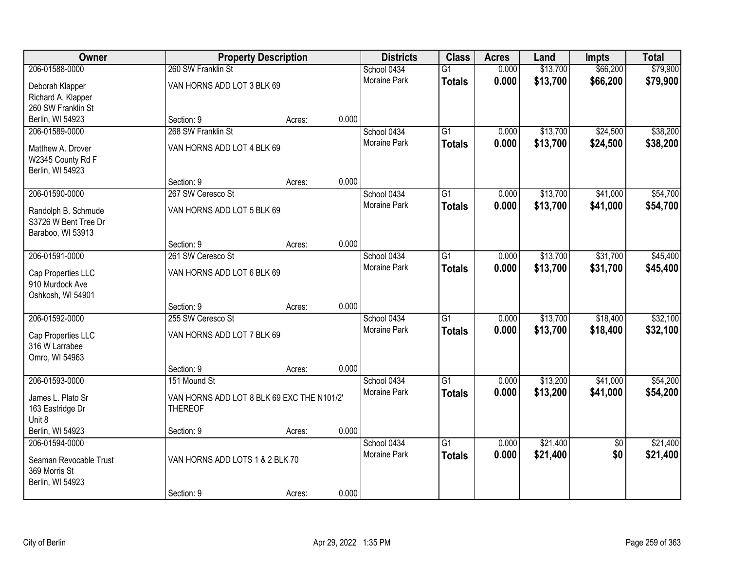| Owner                  |                                            | <b>Property Description</b> |       |                     | <b>Class</b><br><b>Districts</b> | <b>Acres</b> | Land     | <b>Impts</b>    | <b>Total</b> |
|------------------------|--------------------------------------------|-----------------------------|-------|---------------------|----------------------------------|--------------|----------|-----------------|--------------|
| 206-01588-0000         | 260 SW Franklin St                         |                             |       | School 0434         | $\overline{G1}$                  | 0.000        | \$13,700 | \$66,200        | \$79,900     |
| Deborah Klapper        | VAN HORNS ADD LOT 3 BLK 69                 |                             |       | Moraine Park        | <b>Totals</b>                    | 0.000        | \$13,700 | \$66,200        | \$79,900     |
| Richard A. Klapper     |                                            |                             |       |                     |                                  |              |          |                 |              |
| 260 SW Franklin St     |                                            |                             |       |                     |                                  |              |          |                 |              |
| Berlin, WI 54923       | Section: 9                                 | Acres:                      | 0.000 |                     |                                  |              |          |                 |              |
| 206-01589-0000         | 268 SW Franklin St                         |                             |       | School 0434         | $\overline{G1}$                  | 0.000        | \$13,700 | \$24,500        | \$38,200     |
| Matthew A. Drover      | VAN HORNS ADD LOT 4 BLK 69                 |                             |       | <b>Moraine Park</b> | <b>Totals</b>                    | 0.000        | \$13,700 | \$24,500        | \$38,200     |
| W2345 County Rd F      |                                            |                             |       |                     |                                  |              |          |                 |              |
| Berlin, WI 54923       |                                            |                             |       |                     |                                  |              |          |                 |              |
|                        | Section: 9                                 | Acres:                      | 0.000 |                     |                                  |              |          |                 |              |
| 206-01590-0000         | 267 SW Ceresco St                          |                             |       | School 0434         | $\overline{G1}$                  | 0.000        | \$13,700 | \$41,000        | \$54,700     |
| Randolph B. Schmude    | VAN HORNS ADD LOT 5 BLK 69                 |                             |       | Moraine Park        | <b>Totals</b>                    | 0.000        | \$13,700 | \$41,000        | \$54,700     |
| S3726 W Bent Tree Dr   |                                            |                             |       |                     |                                  |              |          |                 |              |
| Baraboo, WI 53913      |                                            |                             |       |                     |                                  |              |          |                 |              |
|                        | Section: 9                                 | Acres:                      | 0.000 |                     |                                  |              |          |                 |              |
| 206-01591-0000         | 261 SW Ceresco St                          |                             |       | School 0434         | $\overline{G1}$                  | 0.000        | \$13,700 | \$31,700        | \$45,400     |
| Cap Properties LLC     | VAN HORNS ADD LOT 6 BLK 69                 |                             |       | <b>Moraine Park</b> | <b>Totals</b>                    | 0.000        | \$13,700 | \$31,700        | \$45,400     |
| 910 Murdock Ave        |                                            |                             |       |                     |                                  |              |          |                 |              |
| Oshkosh, WI 54901      |                                            |                             |       |                     |                                  |              |          |                 |              |
|                        | Section: 9                                 | Acres:                      | 0.000 |                     |                                  |              |          |                 |              |
| 206-01592-0000         | 255 SW Ceresco St                          |                             |       | School 0434         | $\overline{G1}$                  | 0.000        | \$13,700 | \$18,400        | \$32,100     |
| Cap Properties LLC     | VAN HORNS ADD LOT 7 BLK 69                 |                             |       | <b>Moraine Park</b> | <b>Totals</b>                    | 0.000        | \$13,700 | \$18,400        | \$32,100     |
| 316 W Larrabee         |                                            |                             |       |                     |                                  |              |          |                 |              |
| Omro, WI 54963         |                                            |                             |       |                     |                                  |              |          |                 |              |
|                        | Section: 9                                 | Acres:                      | 0.000 |                     |                                  |              |          |                 |              |
| 206-01593-0000         | 151 Mound St                               |                             |       | School 0434         | $\overline{G1}$                  | 0.000        | \$13,200 | \$41,000        | \$54,200     |
| James L. Plato Sr      | VAN HORNS ADD LOT 8 BLK 69 EXC THE N101/2' |                             |       | Moraine Park        | <b>Totals</b>                    | 0.000        | \$13,200 | \$41,000        | \$54,200     |
| 163 Eastridge Dr       | <b>THEREOF</b>                             |                             |       |                     |                                  |              |          |                 |              |
| Unit 8                 |                                            |                             |       |                     |                                  |              |          |                 |              |
| Berlin, WI 54923       | Section: 9                                 | Acres:                      | 0.000 |                     |                                  |              |          |                 |              |
| 206-01594-0000         |                                            |                             |       | School 0434         | $\overline{G1}$                  | 0.000        | \$21,400 | $\overline{50}$ | \$21,400     |
| Seaman Revocable Trust | VAN HORNS ADD LOTS 1 & 2 BLK 70            |                             |       | <b>Moraine Park</b> | <b>Totals</b>                    | 0.000        | \$21,400 | \$0             | \$21,400     |
| 369 Morris St          |                                            |                             |       |                     |                                  |              |          |                 |              |
| Berlin, WI 54923       |                                            |                             |       |                     |                                  |              |          |                 |              |
|                        | Section: 9                                 | Acres:                      | 0.000 |                     |                                  |              |          |                 |              |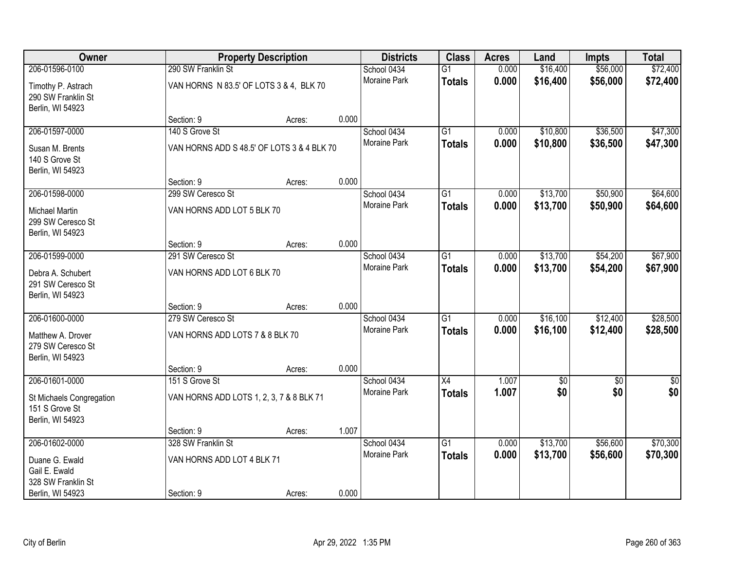| Owner                                                          |                                            |        | <b>Districts</b><br><b>Property Description</b> |                     |                 | <b>Acres</b> | Land     | Impts      | <b>Total</b>  |
|----------------------------------------------------------------|--------------------------------------------|--------|-------------------------------------------------|---------------------|-----------------|--------------|----------|------------|---------------|
| 206-01596-0100                                                 | 290 SW Franklin St                         |        |                                                 | School 0434         | $\overline{G1}$ | 0.000        | \$16,400 | \$56,000   | \$72,400      |
| Timothy P. Astrach<br>290 SW Franklin St<br>Berlin, WI 54923   | VAN HORNS N 83.5' OF LOTS 3 & 4, BLK 70    |        |                                                 | Moraine Park        | <b>Totals</b>   | 0.000        | \$16,400 | \$56,000   | \$72,400      |
|                                                                | Section: 9                                 | Acres: | 0.000                                           |                     |                 |              |          |            |               |
| 206-01597-0000                                                 | 140 S Grove St                             |        |                                                 | School 0434         | $\overline{G1}$ | 0.000        | \$10,800 | \$36,500   | \$47,300      |
| Susan M. Brents<br>140 S Grove St<br>Berlin, WI 54923          | VAN HORNS ADD S 48.5' OF LOTS 3 & 4 BLK 70 |        |                                                 | Moraine Park        | <b>Totals</b>   | 0.000        | \$10,800 | \$36,500   | \$47,300      |
|                                                                | Section: 9                                 | Acres: | 0.000                                           |                     |                 |              |          |            |               |
| 206-01598-0000                                                 | 299 SW Ceresco St                          |        |                                                 | School 0434         | $\overline{G1}$ | 0.000        | \$13,700 | \$50,900   | \$64,600      |
| <b>Michael Martin</b><br>299 SW Ceresco St<br>Berlin, WI 54923 | VAN HORNS ADD LOT 5 BLK 70                 |        |                                                 | Moraine Park        | <b>Totals</b>   | 0.000        | \$13,700 | \$50,900   | \$64,600      |
|                                                                | Section: 9                                 | Acres: | 0.000                                           |                     |                 |              |          |            |               |
| 206-01599-0000                                                 | 291 SW Ceresco St                          |        |                                                 | School 0434         | $\overline{G1}$ | 0.000        | \$13,700 | \$54,200   | \$67,900      |
| Debra A. Schubert<br>291 SW Ceresco St<br>Berlin, WI 54923     | VAN HORNS ADD LOT 6 BLK 70                 |        |                                                 | Moraine Park        | <b>Totals</b>   | 0.000        | \$13,700 | \$54,200   | \$67,900      |
|                                                                | Section: 9                                 | Acres: | 0.000                                           |                     |                 |              |          |            |               |
| 206-01600-0000                                                 | 279 SW Ceresco St                          |        |                                                 | School 0434         | $\overline{G1}$ | 0.000        | \$16,100 | \$12,400   | \$28,500      |
| Matthew A. Drover<br>279 SW Ceresco St<br>Berlin, WI 54923     | VAN HORNS ADD LOTS 7 & 8 BLK 70            |        |                                                 | Moraine Park        | <b>Totals</b>   | 0.000        | \$16,100 | \$12,400   | \$28,500      |
|                                                                | Section: 9                                 | Acres: | 0.000                                           |                     |                 |              |          |            |               |
| 206-01601-0000                                                 | 151 S Grove St                             |        |                                                 | School 0434         | X4              | 1.007        | \$0      | $\sqrt{6}$ | $\frac{1}{6}$ |
| St Michaels Congregation<br>151 S Grove St<br>Berlin, WI 54923 | VAN HORNS ADD LOTS 1, 2, 3, 7 & 8 BLK 71   |        |                                                 | Moraine Park        | <b>Totals</b>   | 1.007        | \$0      | \$0        | \$0           |
|                                                                | Section: 9                                 | Acres: | 1.007                                           |                     |                 |              |          |            |               |
| 206-01602-0000                                                 | 328 SW Franklin St                         |        |                                                 | School 0434         | $\overline{G1}$ | 0.000        | \$13,700 | \$56,600   | \$70,300      |
| Duane G. Ewald<br>Gail E. Ewald<br>328 SW Franklin St          | VAN HORNS ADD LOT 4 BLK 71                 |        |                                                 | <b>Moraine Park</b> | <b>Totals</b>   | 0.000        | \$13,700 | \$56,600   | \$70,300      |
| Berlin, WI 54923                                               | Section: 9                                 | Acres: | 0.000                                           |                     |                 |              |          |            |               |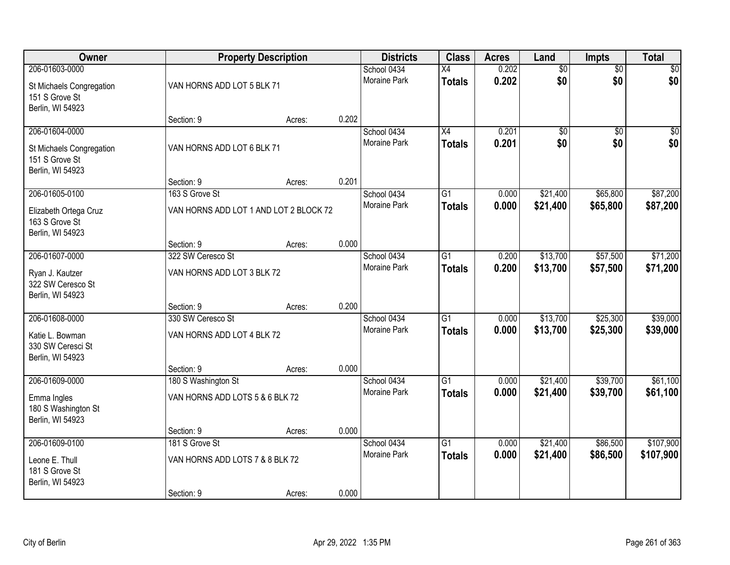| Owner                                                                            |                                                                 | <b>Property Description</b> |       | <b>Districts</b>                   | <b>Class</b>                     | <b>Acres</b>   | Land                   | Impts                  | <b>Total</b>           |
|----------------------------------------------------------------------------------|-----------------------------------------------------------------|-----------------------------|-------|------------------------------------|----------------------------------|----------------|------------------------|------------------------|------------------------|
| 206-01603-0000<br>St Michaels Congregation<br>151 S Grove St<br>Berlin, WI 54923 | VAN HORNS ADD LOT 5 BLK 71                                      |                             |       | School 0434<br><b>Moraine Park</b> | $\overline{X4}$<br><b>Totals</b> | 0.202<br>0.202 | $\overline{50}$<br>\$0 | $\overline{50}$<br>\$0 | \$0<br>\$0             |
|                                                                                  | Section: 9                                                      | Acres:                      | 0.202 |                                    |                                  |                |                        |                        |                        |
| 206-01604-0000<br>St Michaels Congregation<br>151 S Grove St<br>Berlin, WI 54923 | VAN HORNS ADD LOT 6 BLK 71                                      |                             |       | School 0434<br><b>Moraine Park</b> | $\overline{X4}$<br><b>Totals</b> | 0.201<br>0.201 | \$0<br>\$0             | $\overline{50}$<br>\$0 | $\sqrt{50}$<br>\$0     |
| 206-01605-0100                                                                   | Section: 9<br>163 S Grove St                                    | Acres:                      | 0.201 | School 0434                        | $\overline{G1}$                  | 0.000          | \$21,400               | \$65,800               | \$87,200               |
| Elizabeth Ortega Cruz<br>163 S Grove St<br>Berlin, WI 54923                      | VAN HORNS ADD LOT 1 AND LOT 2 BLOCK 72                          |                             |       | Moraine Park                       | <b>Totals</b>                    | 0.000          | \$21,400               | \$65,800               | \$87,200               |
|                                                                                  | Section: 9                                                      | Acres:                      | 0.000 |                                    |                                  |                |                        |                        |                        |
| 206-01607-0000<br>Ryan J. Kautzer<br>322 SW Ceresco St<br>Berlin, WI 54923       | 322 SW Ceresco St<br>VAN HORNS ADD LOT 3 BLK 72                 |                             |       | School 0434<br><b>Moraine Park</b> | G1<br><b>Totals</b>              | 0.200<br>0.200 | \$13,700<br>\$13,700   | \$57,500<br>\$57,500   | \$71,200<br>\$71,200   |
|                                                                                  | Section: 9                                                      | Acres:                      | 0.200 |                                    |                                  |                |                        |                        |                        |
| 206-01608-0000<br>Katie L. Bowman<br>330 SW Ceresci St<br>Berlin, WI 54923       | 330 SW Ceresco St<br>VAN HORNS ADD LOT 4 BLK 72<br>Section: 9   | Acres:                      | 0.000 | School 0434<br><b>Moraine Park</b> | $\overline{G1}$<br><b>Totals</b> | 0.000<br>0.000 | \$13,700<br>\$13,700   | \$25,300<br>\$25,300   | \$39,000<br>\$39,000   |
| 206-01609-0000                                                                   | 180 S Washington St                                             |                             |       | School 0434                        | $\overline{G1}$                  | 0.000          | \$21,400               | \$39,700               | \$61,100               |
| Emma Ingles<br>180 S Washington St<br>Berlin, WI 54923                           | VAN HORNS ADD LOTS 5 & 6 BLK 72                                 |                             |       | Moraine Park                       | <b>Totals</b>                    | 0.000          | \$21,400               | \$39,700               | \$61,100               |
|                                                                                  | Section: 9                                                      | Acres:                      | 0.000 |                                    |                                  |                |                        |                        |                        |
| 206-01609-0100<br>Leone E. Thull<br>181 S Grove St<br>Berlin, WI 54923           | 181 S Grove St<br>VAN HORNS ADD LOTS 7 & 8 BLK 72<br>Section: 9 | Acres:                      | 0.000 | School 0434<br><b>Moraine Park</b> | $\overline{G1}$<br><b>Totals</b> | 0.000<br>0.000 | \$21,400<br>\$21,400   | \$86,500<br>\$86,500   | \$107,900<br>\$107,900 |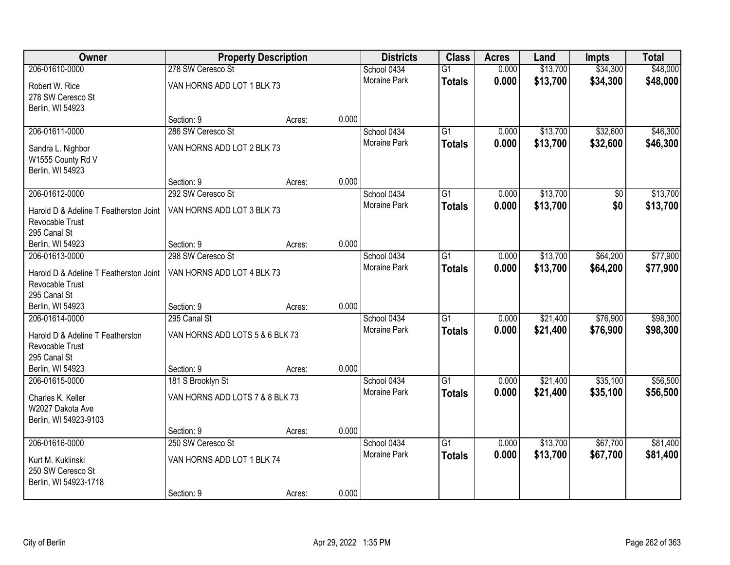| Owner                                     | <b>Property Description</b>     |        |       | <b>Districts</b>    | <b>Class</b>    | <b>Acres</b> | Land     | <b>Impts</b> | <b>Total</b> |
|-------------------------------------------|---------------------------------|--------|-------|---------------------|-----------------|--------------|----------|--------------|--------------|
| 206-01610-0000                            | 278 SW Ceresco St               |        |       | School 0434         | $\overline{G1}$ | 0.000        | \$13,700 | \$34,300     | \$48,000     |
| Robert W. Rice                            | VAN HORNS ADD LOT 1 BLK 73      |        |       | Moraine Park        | <b>Totals</b>   | 0.000        | \$13,700 | \$34,300     | \$48,000     |
| 278 SW Ceresco St                         |                                 |        |       |                     |                 |              |          |              |              |
| Berlin, WI 54923                          |                                 |        |       |                     |                 |              |          |              |              |
|                                           | Section: 9                      | Acres: | 0.000 |                     |                 |              |          |              |              |
| 206-01611-0000                            | 286 SW Ceresco St               |        |       | School 0434         | $\overline{G1}$ | 0.000        | \$13,700 | \$32,600     | \$46,300     |
| Sandra L. Nighbor                         | VAN HORNS ADD LOT 2 BLK 73      |        |       | Moraine Park        | <b>Totals</b>   | 0.000        | \$13,700 | \$32,600     | \$46,300     |
| W1555 County Rd V                         |                                 |        |       |                     |                 |              |          |              |              |
| Berlin, WI 54923                          |                                 |        |       |                     |                 |              |          |              |              |
|                                           | Section: 9                      | Acres: | 0.000 |                     |                 |              |          |              |              |
| 206-01612-0000                            | 292 SW Ceresco St               |        |       | School 0434         | $\overline{G1}$ | 0.000        | \$13,700 | \$0          | \$13,700     |
| Harold D & Adeline T Featherston Joint    | VAN HORNS ADD LOT 3 BLK 73      |        |       | Moraine Park        | <b>Totals</b>   | 0.000        | \$13,700 | \$0          | \$13,700     |
| Revocable Trust                           |                                 |        |       |                     |                 |              |          |              |              |
| 295 Canal St                              |                                 |        |       |                     |                 |              |          |              |              |
| Berlin, WI 54923                          | Section: 9                      | Acres: | 0.000 |                     |                 |              |          |              |              |
| 206-01613-0000                            | 298 SW Ceresco St               |        |       | School 0434         | G1              | 0.000        | \$13,700 | \$64,200     | \$77,900     |
| Harold D & Adeline T Featherston Joint    | VAN HORNS ADD LOT 4 BLK 73      |        |       | Moraine Park        | <b>Totals</b>   | 0.000        | \$13,700 | \$64,200     | \$77,900     |
| Revocable Trust                           |                                 |        |       |                     |                 |              |          |              |              |
| 295 Canal St                              |                                 |        |       |                     |                 |              |          |              |              |
| Berlin, WI 54923                          | Section: 9                      | Acres: | 0.000 |                     |                 |              |          |              |              |
| 206-01614-0000                            | 295 Canal St                    |        |       | School 0434         | $\overline{G1}$ | 0.000        | \$21,400 | \$76,900     | \$98,300     |
| Harold D & Adeline T Featherston          | VAN HORNS ADD LOTS 5 & 6 BLK 73 |        |       | Moraine Park        | <b>Totals</b>   | 0.000        | \$21,400 | \$76,900     | \$98,300     |
| <b>Revocable Trust</b>                    |                                 |        |       |                     |                 |              |          |              |              |
| 295 Canal St                              |                                 |        |       |                     |                 |              |          |              |              |
| Berlin, WI 54923                          | Section: 9                      | Acres: | 0.000 |                     |                 |              |          |              |              |
| 206-01615-0000                            | 181 S Brooklyn St               |        |       | School 0434         | $\overline{G1}$ | 0.000        | \$21,400 | \$35,100     | \$56,500     |
|                                           |                                 |        |       | Moraine Park        | <b>Totals</b>   | 0.000        | \$21,400 | \$35,100     | \$56,500     |
| Charles K. Keller                         | VAN HORNS ADD LOTS 7 & 8 BLK 73 |        |       |                     |                 |              |          |              |              |
| W2027 Dakota Ave<br>Berlin, WI 54923-9103 |                                 |        |       |                     |                 |              |          |              |              |
|                                           | Section: 9                      | Acres: | 0.000 |                     |                 |              |          |              |              |
| 206-01616-0000                            | 250 SW Ceresco St               |        |       | School 0434         | $\overline{G1}$ | 0.000        | \$13,700 | \$67,700     | \$81,400     |
|                                           |                                 |        |       | <b>Moraine Park</b> | <b>Totals</b>   | 0.000        | \$13,700 | \$67,700     | \$81,400     |
| Kurt M. Kuklinski                         | VAN HORNS ADD LOT 1 BLK 74      |        |       |                     |                 |              |          |              |              |
| 250 SW Ceresco St                         |                                 |        |       |                     |                 |              |          |              |              |
| Berlin, WI 54923-1718                     | Section: 9                      |        | 0.000 |                     |                 |              |          |              |              |
|                                           |                                 | Acres: |       |                     |                 |              |          |              |              |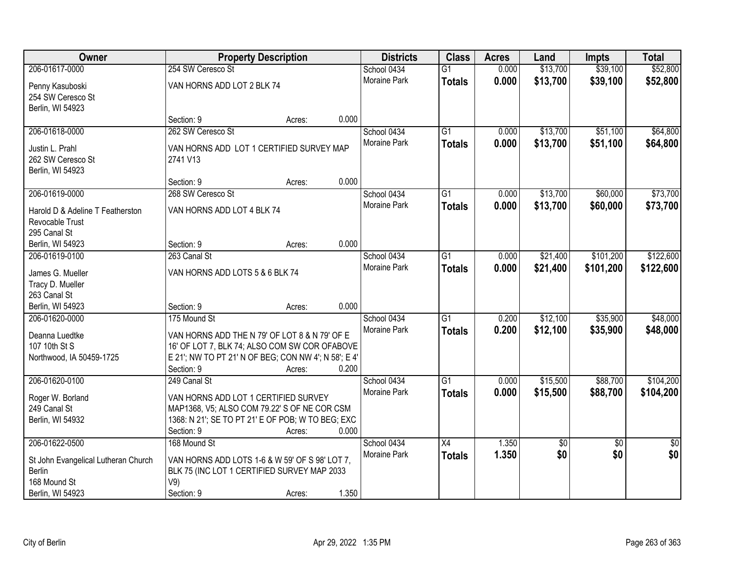| Owner                                |                                                      | <b>Property Description</b> |       | <b>Districts</b> | <b>Class</b>    | <b>Acres</b> | Land     | <b>Impts</b>    | <b>Total</b>    |
|--------------------------------------|------------------------------------------------------|-----------------------------|-------|------------------|-----------------|--------------|----------|-----------------|-----------------|
| 206-01617-0000                       | 254 SW Ceresco St                                    |                             |       | School 0434      | $\overline{G1}$ | 0.000        | \$13,700 | \$39,100        | \$52,800        |
| Penny Kasuboski                      | VAN HORNS ADD LOT 2 BLK 74                           |                             |       | Moraine Park     | <b>Totals</b>   | 0.000        | \$13,700 | \$39,100        | \$52,800        |
| 254 SW Ceresco St                    |                                                      |                             |       |                  |                 |              |          |                 |                 |
| Berlin, WI 54923                     |                                                      |                             |       |                  |                 |              |          |                 |                 |
|                                      | Section: 9                                           | Acres:                      | 0.000 |                  |                 |              |          |                 |                 |
| 206-01618-0000                       | 262 SW Ceresco St                                    |                             |       | School 0434      | $\overline{G1}$ | 0.000        | \$13,700 | \$51,100        | \$64,800        |
| Justin L. Prahl                      | VAN HORNS ADD LOT 1 CERTIFIED SURVEY MAP             |                             |       | Moraine Park     | <b>Totals</b>   | 0.000        | \$13,700 | \$51,100        | \$64,800        |
| 262 SW Ceresco St                    | 2741 V13                                             |                             |       |                  |                 |              |          |                 |                 |
| Berlin, WI 54923                     |                                                      |                             |       |                  |                 |              |          |                 |                 |
|                                      | Section: 9                                           | Acres:                      | 0.000 |                  |                 |              |          |                 |                 |
| 206-01619-0000                       | 268 SW Ceresco St                                    |                             |       | School 0434      | $\overline{G1}$ | 0.000        | \$13,700 | \$60,000        | \$73,700        |
| Harold D & Adeline T Featherston     | VAN HORNS ADD LOT 4 BLK 74                           |                             |       | Moraine Park     | <b>Totals</b>   | 0.000        | \$13,700 | \$60,000        | \$73,700        |
| Revocable Trust                      |                                                      |                             |       |                  |                 |              |          |                 |                 |
| 295 Canal St                         |                                                      |                             |       |                  |                 |              |          |                 |                 |
| Berlin, WI 54923                     | Section: 9                                           | Acres:                      | 0.000 |                  |                 |              |          |                 |                 |
| 206-01619-0100                       | 263 Canal St                                         |                             |       | School 0434      | $\overline{G1}$ | 0.000        | \$21,400 | \$101,200       | \$122,600       |
|                                      |                                                      |                             |       | Moraine Park     | <b>Totals</b>   | 0.000        | \$21,400 | \$101,200       | \$122,600       |
| James G. Mueller<br>Tracy D. Mueller | VAN HORNS ADD LOTS 5 & 6 BLK 74                      |                             |       |                  |                 |              |          |                 |                 |
| 263 Canal St                         |                                                      |                             |       |                  |                 |              |          |                 |                 |
| Berlin, WI 54923                     | Section: 9                                           | Acres:                      | 0.000 |                  |                 |              |          |                 |                 |
| 206-01620-0000                       | 175 Mound St                                         |                             |       | School 0434      | $\overline{G1}$ | 0.200        | \$12,100 | \$35,900        | \$48,000        |
|                                      |                                                      |                             |       | Moraine Park     | <b>Totals</b>   | 0.200        | \$12,100 | \$35,900        | \$48,000        |
| Deanna Luedtke                       | VAN HORNS ADD THE N 79' OF LOT 8 & N 79' OF E        |                             |       |                  |                 |              |          |                 |                 |
| 107 10th St S                        | 16' OF LOT 7, BLK 74; ALSO COM SW COR OFABOVE        |                             |       |                  |                 |              |          |                 |                 |
| Northwood, IA 50459-1725             | E 21'; NW TO PT 21' N OF BEG; CON NW 4'; N 58'; E 4' |                             | 0.200 |                  |                 |              |          |                 |                 |
| 206-01620-0100                       | Section: 9<br>249 Canal St                           | Acres:                      |       | School 0434      | $\overline{G1}$ | 0.000        | \$15,500 | \$88,700        | \$104,200       |
|                                      |                                                      |                             |       | Moraine Park     |                 | 0.000        | \$15,500 |                 |                 |
| Roger W. Borland                     | VAN HORNS ADD LOT 1 CERTIFIED SURVEY                 |                             |       |                  | <b>Totals</b>   |              |          | \$88,700        | \$104,200       |
| 249 Canal St                         | MAP1368, V5; ALSO COM 79.22' S OF NE COR CSM         |                             |       |                  |                 |              |          |                 |                 |
| Berlin, WI 54932                     | 1368: N 21'; SE TO PT 21' E OF POB; W TO BEG; EXC    |                             |       |                  |                 |              |          |                 |                 |
|                                      | Section: 9                                           | Acres:                      | 0.000 |                  |                 |              |          |                 |                 |
| 206-01622-0500                       | 168 Mound St                                         |                             |       | School 0434      | $\overline{X4}$ | 1.350        | \$0      | $\overline{30}$ | $\overline{50}$ |
| St John Evangelical Lutheran Church  | VAN HORNS ADD LOTS 1-6 & W 59' OF S 98' LOT 7,       |                             |       | Moraine Park     | <b>Totals</b>   | 1.350        | \$0      | \$0             | \$0             |
| <b>Berlin</b>                        | BLK 75 (INC LOT 1 CERTIFIED SURVEY MAP 2033          |                             |       |                  |                 |              |          |                 |                 |
| 168 Mound St                         | V9)                                                  |                             |       |                  |                 |              |          |                 |                 |
| Berlin, WI 54923                     | Section: 9                                           | Acres:                      | 1.350 |                  |                 |              |          |                 |                 |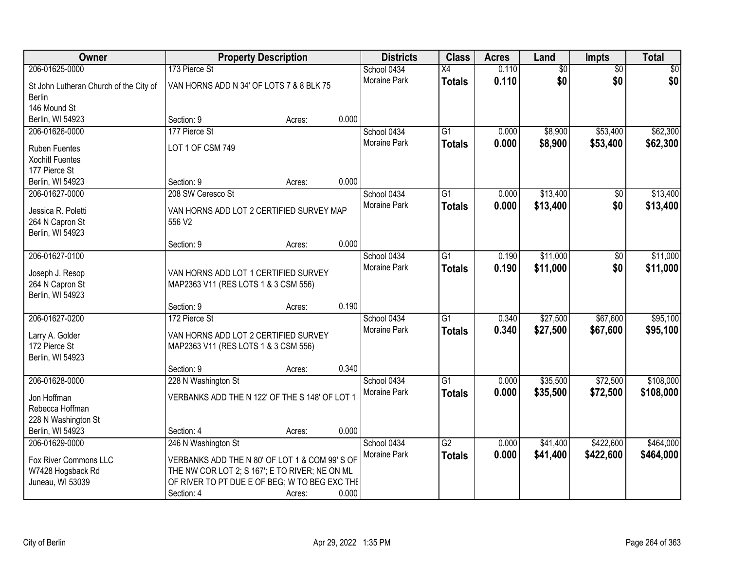| Owner                                                   |                                                                              | <b>Property Description</b> |       | <b>Districts</b> | <b>Class</b>    | <b>Acres</b> | Land            | <b>Impts</b>    | <b>Total</b> |
|---------------------------------------------------------|------------------------------------------------------------------------------|-----------------------------|-------|------------------|-----------------|--------------|-----------------|-----------------|--------------|
| 206-01625-0000                                          | 173 Pierce St                                                                |                             |       | School 0434      | $\overline{X4}$ | 0.110        | $\overline{60}$ | $\overline{50}$ | \$0          |
| St John Lutheran Church of the City of<br><b>Berlin</b> | VAN HORNS ADD N 34' OF LOTS 7 & 8 BLK 75                                     |                             |       | Moraine Park     | <b>Totals</b>   | 0.110        | \$0             | \$0             | \$0          |
| 146 Mound St                                            |                                                                              |                             |       |                  |                 |              |                 |                 |              |
| Berlin, WI 54923                                        | Section: 9                                                                   | Acres:                      | 0.000 |                  |                 |              |                 |                 |              |
| 206-01626-0000                                          | 177 Pierce St                                                                |                             |       | School 0434      | $\overline{G1}$ | 0.000        | \$8,900         | \$53,400        | \$62,300     |
| <b>Ruben Fuentes</b>                                    | LOT 1 OF CSM 749                                                             |                             |       | Moraine Park     | <b>Totals</b>   | 0.000        | \$8,900         | \$53,400        | \$62,300     |
| <b>Xochitl Fuentes</b>                                  |                                                                              |                             |       |                  |                 |              |                 |                 |              |
| 177 Pierce St                                           |                                                                              |                             |       |                  |                 |              |                 |                 |              |
| Berlin, WI 54923                                        | Section: 9                                                                   | Acres:                      | 0.000 |                  |                 |              |                 |                 |              |
| 206-01627-0000                                          | 208 SW Ceresco St                                                            |                             |       | School 0434      | G1              | 0.000        | \$13,400        | \$0             | \$13,400     |
| Jessica R. Poletti                                      | VAN HORNS ADD LOT 2 CERTIFIED SURVEY MAP                                     |                             |       | Moraine Park     | <b>Totals</b>   | 0.000        | \$13,400        | \$0             | \$13,400     |
| 264 N Capron St                                         | 556 V2                                                                       |                             |       |                  |                 |              |                 |                 |              |
| Berlin, WI 54923                                        |                                                                              |                             |       |                  |                 |              |                 |                 |              |
|                                                         | Section: 9                                                                   | Acres:                      | 0.000 |                  |                 |              |                 |                 |              |
| 206-01627-0100                                          |                                                                              |                             |       | School 0434      | G1              | 0.190        | \$11,000        | \$0             | \$11,000     |
|                                                         |                                                                              |                             |       | Moraine Park     | <b>Totals</b>   | 0.190        | \$11,000        | \$0             | \$11,000     |
| Joseph J. Resop<br>264 N Capron St                      | VAN HORNS ADD LOT 1 CERTIFIED SURVEY<br>MAP2363 V11 (RES LOTS 1 & 3 CSM 556) |                             |       |                  |                 |              |                 |                 |              |
| Berlin, WI 54923                                        |                                                                              |                             |       |                  |                 |              |                 |                 |              |
|                                                         | Section: 9                                                                   | Acres:                      | 0.190 |                  |                 |              |                 |                 |              |
| 206-01627-0200                                          | 172 Pierce St                                                                |                             |       | School 0434      | $\overline{G1}$ | 0.340        | \$27,500        | \$67,600        | \$95,100     |
|                                                         |                                                                              |                             |       | Moraine Park     | <b>Totals</b>   | 0.340        | \$27,500        | \$67,600        | \$95,100     |
| Larry A. Golder                                         | VAN HORNS ADD LOT 2 CERTIFIED SURVEY                                         |                             |       |                  |                 |              |                 |                 |              |
| 172 Pierce St<br>Berlin, WI 54923                       | MAP2363 V11 (RES LOTS 1 & 3 CSM 556)                                         |                             |       |                  |                 |              |                 |                 |              |
|                                                         | Section: 9                                                                   | Acres:                      | 0.340 |                  |                 |              |                 |                 |              |
| 206-01628-0000                                          | 228 N Washington St                                                          |                             |       | School 0434      | $\overline{G1}$ | 0.000        | \$35,500        | \$72,500        | \$108,000    |
|                                                         |                                                                              |                             |       | Moraine Park     | <b>Totals</b>   | 0.000        | \$35,500        | \$72,500        | \$108,000    |
| Jon Hoffman                                             | VERBANKS ADD THE N 122' OF THE S 148' OF LOT 1                               |                             |       |                  |                 |              |                 |                 |              |
| Rebecca Hoffman<br>228 N Washington St                  |                                                                              |                             |       |                  |                 |              |                 |                 |              |
| Berlin, WI 54923                                        | Section: 4                                                                   | Acres:                      | 0.000 |                  |                 |              |                 |                 |              |
| 206-01629-0000                                          | 246 N Washington St                                                          |                             |       | School 0434      | $\overline{G2}$ | 0.000        | \$41,400        | \$422,600       | \$464,000    |
|                                                         |                                                                              |                             |       | Moraine Park     | <b>Totals</b>   | 0.000        | \$41,400        | \$422,600       | \$464,000    |
| Fox River Commons LLC                                   | VERBANKS ADD THE N 80' OF LOT 1 & COM 99' S OF                               |                             |       |                  |                 |              |                 |                 |              |
| W7428 Hogsback Rd                                       | THE NW COR LOT 2; S 167'; E TO RIVER; NE ON ML                               |                             |       |                  |                 |              |                 |                 |              |
| Juneau, WI 53039                                        | OF RIVER TO PT DUE E OF BEG; W TO BEG EXC THE                                |                             |       |                  |                 |              |                 |                 |              |
|                                                         | Section: 4                                                                   | Acres:                      | 0.000 |                  |                 |              |                 |                 |              |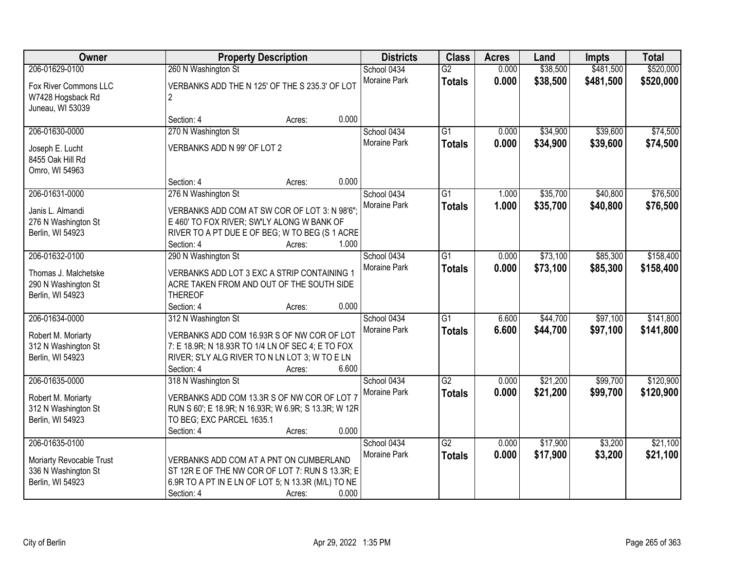| Owner                                     | <b>Property Description</b>                                                                     | <b>Districts</b>    | <b>Class</b>    | <b>Acres</b> | Land     | <b>Impts</b> | <b>Total</b> |
|-------------------------------------------|-------------------------------------------------------------------------------------------------|---------------------|-----------------|--------------|----------|--------------|--------------|
| 206-01629-0100                            | 260 N Washington St                                                                             | School 0434         | G2              | 0.000        | \$38,500 | \$481,500    | \$520,000    |
| Fox River Commons LLC                     | VERBANKS ADD THE N 125' OF THE S 235.3' OF LOT                                                  | Moraine Park        | <b>Totals</b>   | 0.000        | \$38,500 | \$481,500    | \$520,000    |
| W7428 Hogsback Rd                         | $\overline{2}$                                                                                  |                     |                 |              |          |              |              |
| Juneau, WI 53039                          |                                                                                                 |                     |                 |              |          |              |              |
|                                           | 0.000<br>Section: 4<br>Acres:                                                                   |                     |                 |              |          |              |              |
| 206-01630-0000                            | 270 N Washington St                                                                             | School 0434         | $\overline{G1}$ | 0.000        | \$34,900 | \$39,600     | \$74,500     |
| Joseph E. Lucht                           | VERBANKS ADD N 99' OF LOT 2                                                                     | <b>Moraine Park</b> | <b>Totals</b>   | 0.000        | \$34,900 | \$39,600     | \$74,500     |
| 8455 Oak Hill Rd                          |                                                                                                 |                     |                 |              |          |              |              |
| Omro, WI 54963                            |                                                                                                 |                     |                 |              |          |              |              |
|                                           | 0.000<br>Section: 4<br>Acres:                                                                   |                     |                 |              |          |              |              |
| 206-01631-0000                            | 276 N Washington St                                                                             | School 0434         | G1              | 1.000        | \$35,700 | \$40,800     | \$76,500     |
| Janis L. Almandi                          | VERBANKS ADD COM AT SW COR OF LOT 3: N 98'6";                                                   | Moraine Park        | <b>Totals</b>   | 1.000        | \$35,700 | \$40,800     | \$76,500     |
| 276 N Washington St                       | E 460' TO FOX RIVER; SW'LY ALONG W BANK OF                                                      |                     |                 |              |          |              |              |
| Berlin, WI 54923                          | RIVER TO A PT DUE E OF BEG; W TO BEG (S 1 ACRE                                                  |                     |                 |              |          |              |              |
|                                           | Section: 4<br>1.000<br>Acres:                                                                   |                     |                 |              |          |              |              |
| 206-01632-0100                            | 290 N Washington St                                                                             | School 0434         | $\overline{G1}$ | 0.000        | \$73,100 | \$85,300     | \$158,400    |
| Thomas J. Malchetske                      | VERBANKS ADD LOT 3 EXC A STRIP CONTAINING 1                                                     | Moraine Park        | <b>Totals</b>   | 0.000        | \$73,100 | \$85,300     | \$158,400    |
| 290 N Washington St                       | ACRE TAKEN FROM AND OUT OF THE SOUTH SIDE                                                       |                     |                 |              |          |              |              |
| Berlin, WI 54923                          | <b>THEREOF</b>                                                                                  |                     |                 |              |          |              |              |
|                                           | 0.000<br>Section: 4<br>Acres:                                                                   |                     |                 |              |          |              |              |
| 206-01634-0000                            | 312 N Washington St                                                                             | School 0434         | $\overline{G1}$ | 6.600        | \$44,700 | \$97,100     | \$141,800    |
|                                           |                                                                                                 | Moraine Park        | <b>Totals</b>   | 6.600        | \$44,700 | \$97,100     | \$141,800    |
| Robert M. Moriarty<br>312 N Washington St | VERBANKS ADD COM 16.93R S OF NW COR OF LOT<br>7: E 18.9R; N 18.93R TO 1/4 LN OF SEC 4; E TO FOX |                     |                 |              |          |              |              |
| Berlin, WI 54923                          | RIVER; S'LY ALG RIVER TO N LN LOT 3; W TO E LN                                                  |                     |                 |              |          |              |              |
|                                           | Section: 4<br>6.600<br>Acres:                                                                   |                     |                 |              |          |              |              |
| 206-01635-0000                            | 318 N Washington St                                                                             | School 0434         | $\overline{G2}$ | 0.000        | \$21,200 | \$99,700     | \$120,900    |
|                                           |                                                                                                 | Moraine Park        | <b>Totals</b>   | 0.000        | \$21,200 | \$99,700     | \$120,900    |
| Robert M. Moriarty                        | VERBANKS ADD COM 13.3R S OF NW COR OF LOT 7                                                     |                     |                 |              |          |              |              |
| 312 N Washington St<br>Berlin, WI 54923   | RUN S 60'; E 18.9R; N 16.93R; W 6.9R; S 13.3R; W 12R<br>TO BEG; EXC PARCEL 1635.1               |                     |                 |              |          |              |              |
|                                           | 0.000<br>Section: 4<br>Acres:                                                                   |                     |                 |              |          |              |              |
| 206-01635-0100                            |                                                                                                 | School 0434         | G2              | 0.000        | \$17,900 | \$3,200      | \$21,100     |
|                                           |                                                                                                 | Moraine Park        | <b>Totals</b>   | 0.000        | \$17,900 | \$3,200      | \$21,100     |
| Moriarty Revocable Trust                  | VERBANKS ADD COM AT A PNT ON CUMBERLAND                                                         |                     |                 |              |          |              |              |
| 336 N Washington St                       | ST 12R E OF THE NW COR OF LOT 7: RUN S 13.3R; E                                                 |                     |                 |              |          |              |              |
| Berlin, WI 54923                          | 6.9R TO A PT IN E LN OF LOT 5; N 13.3R (M/L) TO NE<br>0.000<br>Section: 4<br>Acres:             |                     |                 |              |          |              |              |
|                                           |                                                                                                 |                     |                 |              |          |              |              |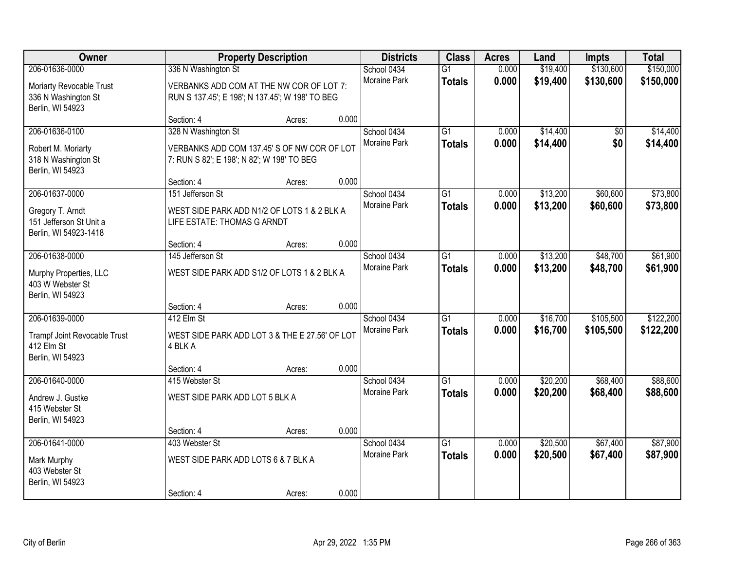| Owner                                                                                   | <b>Property Description</b>                                                     |                                                                                                                            | <b>Districts</b> | <b>Class</b>                       | <b>Acres</b>                     | Land           | Impts                | <b>Total</b>           |                        |
|-----------------------------------------------------------------------------------------|---------------------------------------------------------------------------------|----------------------------------------------------------------------------------------------------------------------------|------------------|------------------------------------|----------------------------------|----------------|----------------------|------------------------|------------------------|
| 206-01636-0000<br>Moriarty Revocable Trust<br>336 N Washington St<br>Berlin, WI 54923   | 336 N Washington St                                                             | School 0434<br>Moraine Park<br>VERBANKS ADD COM AT THE NW COR OF LOT 7:<br>RUN S 137.45'; E 198'; N 137.45'; W 198' TO BEG |                  |                                    | $\overline{G1}$<br><b>Totals</b> | 0.000<br>0.000 | \$19,400<br>\$19,400 | \$130,600<br>\$130,600 | \$150,000<br>\$150,000 |
|                                                                                         | Section: 4                                                                      | Acres:                                                                                                                     | 0.000            |                                    |                                  |                |                      |                        |                        |
| 206-01636-0100<br>Robert M. Moriarty<br>318 N Washington St<br>Berlin, WI 54923         | 328 N Washington St<br>7: RUN S 82'; E 198'; N 82'; W 198' TO BEG<br>Section: 4 | VERBANKS ADD COM 137.45' S OF NW COR OF LOT                                                                                | 0.000            | School 0434<br><b>Moraine Park</b> | $\overline{G1}$<br><b>Totals</b> | 0.000<br>0.000 | \$14,400<br>\$14,400 | \$0<br>\$0             | \$14,400<br>\$14,400   |
| 206-01637-0000                                                                          | 151 Jefferson St                                                                | Acres:                                                                                                                     |                  | School 0434                        | $\overline{G1}$                  | 0.000          | \$13,200             | \$60,600               | \$73,800               |
| Gregory T. Arndt<br>151 Jefferson St Unit a<br>Berlin, WI 54923-1418                    | LIFE ESTATE: THOMAS G ARNDT                                                     | WEST SIDE PARK ADD N1/2 OF LOTS 1 & 2 BLK A                                                                                |                  | Moraine Park                       | <b>Totals</b>                    | 0.000          | \$13,200             | \$60,600               | \$73,800               |
|                                                                                         | Section: 4                                                                      | Acres:                                                                                                                     | 0.000            |                                    |                                  |                |                      |                        |                        |
| 206-01638-0000<br>Murphy Properties, LLC<br>403 W Webster St<br>Berlin, WI 54923        | 145 Jefferson St                                                                | WEST SIDE PARK ADD S1/2 OF LOTS 1 & 2 BLK A                                                                                |                  | School 0434<br><b>Moraine Park</b> | G1<br><b>Totals</b>              | 0.000<br>0.000 | \$13,200<br>\$13,200 | \$48,700<br>\$48,700   | \$61,900<br>\$61,900   |
|                                                                                         | Section: 4                                                                      | Acres:                                                                                                                     | 0.000            |                                    |                                  |                |                      |                        |                        |
| 206-01639-0000<br><b>Trampf Joint Revocable Trust</b><br>412 Elm St<br>Berlin, WI 54923 | 412 Elm St<br>4 BLK A<br>Section: 4                                             | WEST SIDE PARK ADD LOT 3 & THE E 27.56' OF LOT                                                                             | 0.000            | School 0434<br>Moraine Park        | $\overline{G1}$<br><b>Totals</b> | 0.000<br>0.000 | \$16,700<br>\$16,700 | \$105,500<br>\$105,500 | \$122,200<br>\$122,200 |
| 206-01640-0000                                                                          | 415 Webster St                                                                  | Acres:                                                                                                                     |                  | School 0434                        | $\overline{G1}$                  | 0.000          | \$20,200             | \$68,400               | \$88,600               |
| Andrew J. Gustke<br>415 Webster St<br>Berlin, WI 54923                                  | WEST SIDE PARK ADD LOT 5 BLK A                                                  |                                                                                                                            |                  | Moraine Park                       | <b>Totals</b>                    | 0.000          | \$20,200             | \$68,400               | \$88,600               |
|                                                                                         | Section: 4                                                                      | Acres:                                                                                                                     | 0.000            |                                    |                                  |                |                      |                        |                        |
| 206-01641-0000<br>Mark Murphy<br>403 Webster St<br>Berlin, WI 54923                     | 403 Webster St<br>WEST SIDE PARK ADD LOTS 6 & 7 BLK A<br>Section: 4             | Acres:                                                                                                                     | 0.000            | School 0434<br><b>Moraine Park</b> | $\overline{G1}$<br><b>Totals</b> | 0.000<br>0.000 | \$20,500<br>\$20,500 | \$67,400<br>\$67,400   | \$87,900<br>\$87,900   |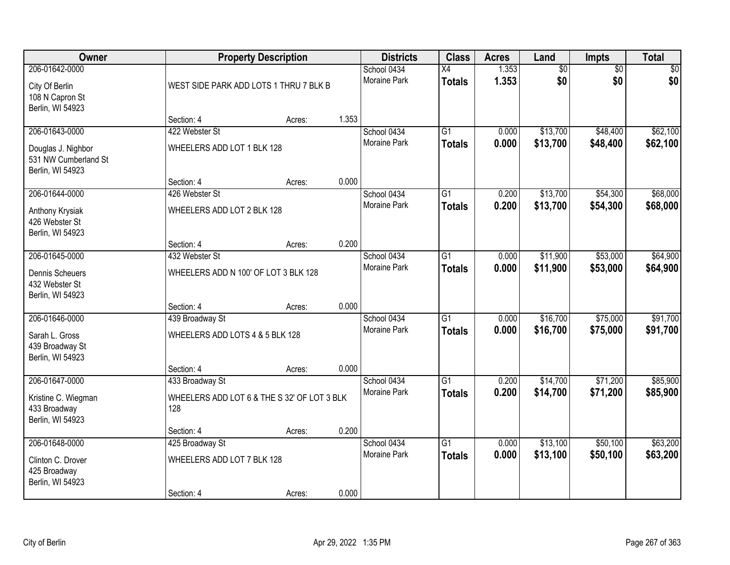| <b>Owner</b>                                                            |                                                    | <b>Property Description</b>                                                  |       | <b>Districts</b>            | <b>Class</b>                     | <b>Acres</b>   | Land                 | Impts                  | <b>Total</b>         |
|-------------------------------------------------------------------------|----------------------------------------------------|------------------------------------------------------------------------------|-------|-----------------------------|----------------------------------|----------------|----------------------|------------------------|----------------------|
| 206-01642-0000<br>City Of Berlin<br>108 N Capron St<br>Berlin, WI 54923 |                                                    | School 0434<br><b>Moraine Park</b><br>WEST SIDE PARK ADD LOTS 1 THRU 7 BLK B |       |                             | X4<br><b>Totals</b>              | 1.353<br>1.353 | \$0<br>\$0           | $\overline{50}$<br>\$0 | \$0<br>\$0           |
|                                                                         | Section: 4                                         | Acres:                                                                       | 1.353 |                             |                                  |                |                      |                        |                      |
| 206-01643-0000                                                          | 422 Webster St                                     |                                                                              |       | School 0434                 | $\overline{G1}$                  | 0.000          | \$13,700             | \$48,400               | \$62,100             |
| Douglas J. Nighbor<br>531 NW Cumberland St<br>Berlin, WI 54923          | WHEELERS ADD LOT 1 BLK 128                         |                                                                              |       | Moraine Park                | <b>Totals</b>                    | 0.000          | \$13,700             | \$48,400               | \$62,100             |
|                                                                         | Section: 4                                         | Acres:                                                                       | 0.000 |                             |                                  |                |                      |                        |                      |
| 206-01644-0000                                                          | 426 Webster St                                     |                                                                              |       | School 0434                 | $\overline{G1}$                  | 0.200          | \$13,700             | \$54,300               | \$68,000             |
| Anthony Krysiak<br>426 Webster St<br>Berlin, WI 54923                   | WHEELERS ADD LOT 2 BLK 128                         |                                                                              |       | Moraine Park                | <b>Totals</b>                    | 0.200          | \$13,700             | \$54,300               | \$68,000             |
|                                                                         | Section: 4                                         | Acres:                                                                       | 0.200 |                             |                                  |                |                      |                        |                      |
| 206-01645-0000                                                          | 432 Webster St                                     |                                                                              |       | School 0434                 | $\overline{G1}$                  | 0.000          | \$11,900             | \$53,000               | \$64,900             |
| <b>Dennis Scheuers</b><br>432 Webster St<br>Berlin, WI 54923            | WHEELERS ADD N 100' OF LOT 3 BLK 128               |                                                                              |       | Moraine Park                | <b>Totals</b>                    | 0.000          | \$11,900             | \$53,000               | \$64,900             |
|                                                                         | Section: 4                                         | Acres:                                                                       | 0.000 |                             |                                  |                |                      |                        |                      |
| 206-01646-0000<br>Sarah L. Gross                                        | 439 Broadway St<br>WHEELERS ADD LOTS 4 & 5 BLK 128 |                                                                              |       | School 0434<br>Moraine Park | $\overline{G1}$<br><b>Totals</b> | 0.000<br>0.000 | \$16,700<br>\$16,700 | \$75,000<br>\$75,000   | \$91,700<br>\$91,700 |
| 439 Broadway St                                                         |                                                    |                                                                              |       |                             |                                  |                |                      |                        |                      |
| Berlin, WI 54923                                                        | Section: 4                                         |                                                                              | 0.000 |                             |                                  |                |                      |                        |                      |
| 206-01647-0000                                                          | 433 Broadway St                                    | Acres:                                                                       |       | School 0434                 | $\overline{G1}$                  | 0.200          | \$14,700             | \$71,200               | \$85,900             |
| Kristine C. Wiegman<br>433 Broadway                                     | WHEELERS ADD LOT 6 & THE S 32' OF LOT 3 BLK<br>128 |                                                                              |       | Moraine Park                | <b>Totals</b>                    | 0.200          | \$14,700             | \$71,200               | \$85,900             |
| Berlin, WI 54923                                                        |                                                    |                                                                              |       |                             |                                  |                |                      |                        |                      |
|                                                                         | Section: 4                                         | Acres:                                                                       | 0.200 |                             |                                  |                |                      |                        |                      |
| 206-01648-0000                                                          | 425 Broadway St                                    |                                                                              |       | School 0434                 | $\overline{G1}$                  | 0.000          | \$13,100             | \$50,100               | \$63,200             |
| Clinton C. Drover<br>425 Broadway<br>Berlin, WI 54923                   | WHEELERS ADD LOT 7 BLK 128                         |                                                                              |       | <b>Moraine Park</b>         | <b>Totals</b>                    | 0.000          | \$13,100             | \$50,100               | \$63,200             |
|                                                                         | Section: 4                                         | Acres:                                                                       | 0.000 |                             |                                  |                |                      |                        |                      |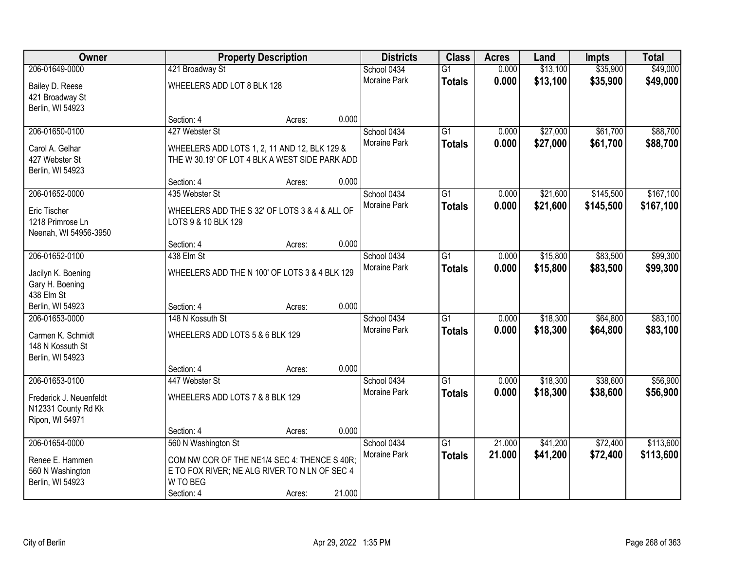| Owner                                          |                                                | <b>Property Description</b>                   |        | <b>Districts</b>            | <b>Class</b>    | <b>Acres</b> | Land     | <b>Impts</b> | <b>Total</b> |
|------------------------------------------------|------------------------------------------------|-----------------------------------------------|--------|-----------------------------|-----------------|--------------|----------|--------------|--------------|
| 206-01649-0000                                 | 421 Broadway St                                |                                               |        | School 0434                 | $\overline{G1}$ | 0.000        | \$13,100 | \$35,900     | \$49,000     |
| Bailey D. Reese                                | WHEELERS ADD LOT 8 BLK 128                     |                                               |        | Moraine Park                | <b>Totals</b>   | 0.000        | \$13,100 | \$35,900     | \$49,000     |
| 421 Broadway St                                |                                                |                                               |        |                             |                 |              |          |              |              |
| Berlin, WI 54923                               |                                                |                                               |        |                             |                 |              |          |              |              |
|                                                | Section: 4                                     | Acres:                                        | 0.000  |                             |                 |              |          |              |              |
| 206-01650-0100                                 | 427 Webster St                                 |                                               |        | School 0434                 | $\overline{G1}$ | 0.000        | \$27,000 | \$61,700     | \$88,700     |
| Carol A. Gelhar                                | WHEELERS ADD LOTS 1, 2, 11 AND 12, BLK 129 &   |                                               |        | <b>Moraine Park</b>         | <b>Totals</b>   | 0.000        | \$27,000 | \$61,700     | \$88,700     |
| 427 Webster St                                 | THE W 30.19' OF LOT 4 BLK A WEST SIDE PARK ADD |                                               |        |                             |                 |              |          |              |              |
| Berlin, WI 54923                               |                                                |                                               |        |                             |                 |              |          |              |              |
|                                                | Section: 4                                     | Acres:                                        | 0.000  |                             |                 |              |          |              |              |
| 206-01652-0000                                 | 435 Webster St                                 |                                               |        | School 0434                 | $\overline{G1}$ | 0.000        | \$21,600 | \$145,500    | \$167,100    |
| Eric Tischer                                   | WHEELERS ADD THE S 32' OF LOTS 3 & 4 & ALL OF  |                                               |        | Moraine Park                | <b>Totals</b>   | 0.000        | \$21,600 | \$145,500    | \$167,100    |
| 1218 Primrose Ln                               | LOTS 9 & 10 BLK 129                            |                                               |        |                             |                 |              |          |              |              |
| Neenah, WI 54956-3950                          |                                                |                                               |        |                             |                 |              |          |              |              |
|                                                | Section: 4                                     | Acres:                                        | 0.000  |                             |                 |              |          |              |              |
| 206-01652-0100                                 | 438 Elm St                                     |                                               |        | School 0434<br>Moraine Park | $\overline{G1}$ | 0.000        | \$15,800 | \$83,500     | \$99,300     |
| Jacilyn K. Boening                             |                                                | WHEELERS ADD THE N 100' OF LOTS 3 & 4 BLK 129 |        |                             | <b>Totals</b>   | 0.000        | \$15,800 | \$83,500     | \$99,300     |
| Gary H. Boening                                |                                                |                                               |        |                             |                 |              |          |              |              |
| 438 Elm St<br>Berlin, WI 54923                 |                                                |                                               | 0.000  |                             |                 |              |          |              |              |
| 206-01653-0000                                 | Section: 4<br>148 N Kossuth St                 | Acres:                                        |        | School 0434                 | $\overline{G1}$ | 0.000        | \$18,300 | \$64,800     | \$83,100     |
|                                                |                                                |                                               |        | <b>Moraine Park</b>         | <b>Totals</b>   | 0.000        | \$18,300 | \$64,800     | \$83,100     |
| Carmen K. Schmidt                              | WHEELERS ADD LOTS 5 & 6 BLK 129                |                                               |        |                             |                 |              |          |              |              |
| 148 N Kossuth St                               |                                                |                                               |        |                             |                 |              |          |              |              |
| Berlin, WI 54923                               | Section: 4                                     | Acres:                                        | 0.000  |                             |                 |              |          |              |              |
| 206-01653-0100                                 | 447 Webster St                                 |                                               |        | School 0434                 | $\overline{G1}$ | 0.000        | \$18,300 | \$38,600     | \$56,900     |
|                                                |                                                |                                               |        | Moraine Park                | <b>Totals</b>   | 0.000        | \$18,300 | \$38,600     | \$56,900     |
| Frederick J. Neuenfeldt<br>N12331 County Rd Kk | WHEELERS ADD LOTS 7 & 8 BLK 129                |                                               |        |                             |                 |              |          |              |              |
| Ripon, WI 54971                                |                                                |                                               |        |                             |                 |              |          |              |              |
|                                                | Section: 4                                     | Acres:                                        | 0.000  |                             |                 |              |          |              |              |
| 206-01654-0000                                 | 560 N Washington St                            |                                               |        | School 0434                 | $\overline{G1}$ | 21.000       | \$41,200 | \$72,400     | \$113,600    |
| Renee E. Hammen                                | COM NW COR OF THE NE1/4 SEC 4: THENCE S 40R;   |                                               |        | Moraine Park                | <b>Totals</b>   | 21.000       | \$41,200 | \$72,400     | \$113,600    |
| 560 N Washington                               | E TO FOX RIVER; NE ALG RIVER TO N LN OF SEC 4  |                                               |        |                             |                 |              |          |              |              |
| Berlin, WI 54923                               | W TO BEG                                       |                                               |        |                             |                 |              |          |              |              |
|                                                | Section: 4                                     | Acres:                                        | 21.000 |                             |                 |              |          |              |              |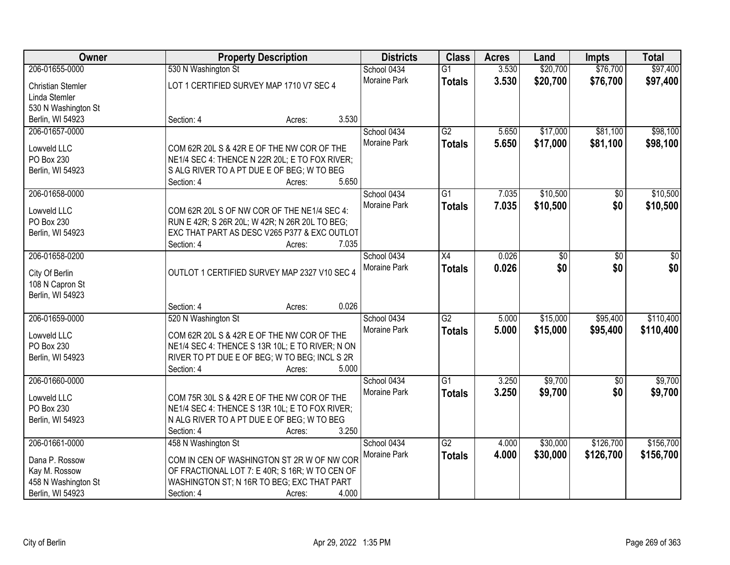| Owner                    | <b>Property Description</b>                     |       | <b>Districts</b>    | <b>Class</b>    | <b>Acres</b> | Land     | <b>Impts</b>    | <b>Total</b> |
|--------------------------|-------------------------------------------------|-------|---------------------|-----------------|--------------|----------|-----------------|--------------|
| 206-01655-0000           | 530 N Washington St                             |       | School 0434         | $\overline{G1}$ | 3.530        | \$20,700 | \$76,700        | \$97,400     |
| <b>Christian Stemler</b> | LOT 1 CERTIFIED SURVEY MAP 1710 V7 SEC 4        |       | Moraine Park        | <b>Totals</b>   | 3.530        | \$20,700 | \$76,700        | \$97,400     |
| Linda Stemler            |                                                 |       |                     |                 |              |          |                 |              |
| 530 N Washington St      |                                                 |       |                     |                 |              |          |                 |              |
| Berlin, WI 54923         | Section: 4<br>Acres:                            | 3.530 |                     |                 |              |          |                 |              |
| 206-01657-0000           |                                                 |       | School 0434         | $\overline{G2}$ | 5.650        | \$17,000 | \$81,100        | \$98,100     |
|                          |                                                 |       | Moraine Park        | <b>Totals</b>   | 5.650        | \$17,000 | \$81,100        | \$98,100     |
| Lowveld LLC              | COM 62R 20L S & 42R E OF THE NW COR OF THE      |       |                     |                 |              |          |                 |              |
| PO Box 230               | NE1/4 SEC 4: THENCE N 22R 20L; E TO FOX RIVER;  |       |                     |                 |              |          |                 |              |
| Berlin, WI 54923         | S ALG RIVER TO A PT DUE E OF BEG; W TO BEG      |       |                     |                 |              |          |                 |              |
|                          | Section: 4<br>Acres:                            | 5.650 |                     |                 |              |          |                 |              |
| 206-01658-0000           |                                                 |       | School 0434         | G1              | 7.035        | \$10,500 | \$0             | \$10,500     |
| Lowveld LLC              | COM 62R 20L S OF NW COR OF THE NE1/4 SEC 4:     |       | Moraine Park        | <b>Totals</b>   | 7.035        | \$10,500 | \$0             | \$10,500     |
| PO Box 230               | RUN E 42R; S 26R 20L; W 42R; N 26R 20L TO BEG;  |       |                     |                 |              |          |                 |              |
| Berlin, WI 54923         | EXC THAT PART AS DESC V265 P377 & EXC OUTLOT    |       |                     |                 |              |          |                 |              |
|                          | Section: 4<br>Acres:                            | 7.035 |                     |                 |              |          |                 |              |
| 206-01658-0200           |                                                 |       | School 0434         | X4              | 0.026        | \$0      | \$0             | \$0          |
|                          |                                                 |       | Moraine Park        | <b>Totals</b>   | 0.026        | \$0      | \$0             | \$0          |
| City Of Berlin           | OUTLOT 1 CERTIFIED SURVEY MAP 2327 V10 SEC 4    |       |                     |                 |              |          |                 |              |
| 108 N Capron St          |                                                 |       |                     |                 |              |          |                 |              |
| Berlin, WI 54923         |                                                 | 0.026 |                     |                 |              |          |                 |              |
|                          | Section: 4<br>Acres:                            |       |                     | $\overline{G2}$ |              |          |                 |              |
| 206-01659-0000           | 520 N Washington St                             |       | School 0434         |                 | 5.000        | \$15,000 | \$95,400        | \$110,400    |
| Lowveld LLC              | COM 62R 20L S & 42R E OF THE NW COR OF THE      |       | Moraine Park        | <b>Totals</b>   | 5.000        | \$15,000 | \$95,400        | \$110,400    |
| PO Box 230               | NE1/4 SEC 4: THENCE S 13R 10L; E TO RIVER; N ON |       |                     |                 |              |          |                 |              |
| Berlin, WI 54923         | RIVER TO PT DUE E OF BEG; W TO BEG; INCL S 2R   |       |                     |                 |              |          |                 |              |
|                          | Section: 4<br>Acres:                            | 5.000 |                     |                 |              |          |                 |              |
| 206-01660-0000           |                                                 |       | School 0434         | $\overline{G1}$ | 3.250        | \$9,700  | $\overline{50}$ | \$9,700      |
| Lowveld LLC              | COM 75R 30L S & 42R E OF THE NW COR OF THE      |       | Moraine Park        | <b>Totals</b>   | 3.250        | \$9,700  | \$0             | \$9,700      |
| PO Box 230               | NE1/4 SEC 4: THENCE S 13R 10L; E TO FOX RIVER;  |       |                     |                 |              |          |                 |              |
| Berlin, WI 54923         | N ALG RIVER TO A PT DUE E OF BEG; W TO BEG      |       |                     |                 |              |          |                 |              |
|                          | Section: 4<br>Acres:                            | 3.250 |                     |                 |              |          |                 |              |
| 206-01661-0000           | 458 N Washington St                             |       | School 0434         | $\overline{G2}$ | 4.000        | \$30,000 | \$126,700       | \$156,700    |
|                          |                                                 |       | <b>Moraine Park</b> |                 |              |          |                 |              |
| Dana P. Rossow           | COM IN CEN OF WASHINGTON ST 2R W OF NW COR      |       |                     | <b>Totals</b>   | 4.000        | \$30,000 | \$126,700       | \$156,700    |
| Kay M. Rossow            | OF FRACTIONAL LOT 7: E 40R; S 16R; W TO CEN OF  |       |                     |                 |              |          |                 |              |
| 458 N Washington St      | WASHINGTON ST; N 16R TO BEG; EXC THAT PART      |       |                     |                 |              |          |                 |              |
| Berlin, WI 54923         | Section: 4<br>Acres:                            | 4.000 |                     |                 |              |          |                 |              |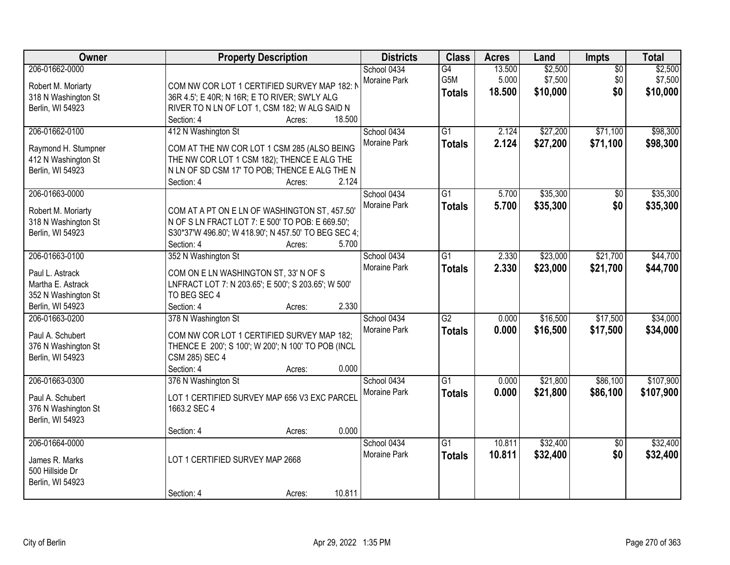| Owner               | <b>Property Description</b>                          | <b>Districts</b> | <b>Class</b>    | <b>Acres</b> | Land     | Impts           | <b>Total</b> |
|---------------------|------------------------------------------------------|------------------|-----------------|--------------|----------|-----------------|--------------|
| 206-01662-0000      |                                                      | School 0434      | G4              | 13.500       | \$2,500  | $\overline{50}$ | \$2,500      |
| Robert M. Moriarty  | COM NW COR LOT 1 CERTIFIED SURVEY MAP 182: N         | Moraine Park     | G5M             | 5.000        | \$7,500  | \$0             | \$7,500      |
| 318 N Washington St | 36R 4.5'; E 40R; N 16R; E TO RIVER; SW'LY ALG        |                  | <b>Totals</b>   | 18.500       | \$10,000 | \$0             | \$10,000     |
| Berlin, WI 54923    | RIVER TO N LN OF LOT 1, CSM 182; W ALG SAID N        |                  |                 |              |          |                 |              |
|                     | 18.500<br>Section: 4<br>Acres:                       |                  |                 |              |          |                 |              |
| 206-01662-0100      | 412 N Washington St                                  | School 0434      | $\overline{G1}$ | 2.124        | \$27,200 | \$71,100        | \$98,300     |
|                     |                                                      | Moraine Park     | <b>Totals</b>   | 2.124        | \$27,200 | \$71,100        | \$98,300     |
| Raymond H. Stumpner | COM AT THE NW COR LOT 1 CSM 285 (ALSO BEING          |                  |                 |              |          |                 |              |
| 412 N Washington St | THE NW COR LOT 1 CSM 182); THENCE E ALG THE          |                  |                 |              |          |                 |              |
| Berlin, WI 54923    | N LN OF SD CSM 17' TO POB; THENCE E ALG THE N        |                  |                 |              |          |                 |              |
|                     | 2.124<br>Section: 4<br>Acres:                        |                  |                 |              |          |                 |              |
| 206-01663-0000      |                                                      | School 0434      | $\overline{G1}$ | 5.700        | \$35,300 | $\overline{50}$ | \$35,300     |
| Robert M. Moriarty  | COM AT A PT ON E LN OF WASHINGTON ST, 457.50'        | Moraine Park     | <b>Totals</b>   | 5.700        | \$35,300 | \$0             | \$35,300     |
| 318 N Washington St | N OF S LN FRACT LOT 7: E 500' TO POB: E 669.50';     |                  |                 |              |          |                 |              |
| Berlin, WI 54923    | S30*37'W 496.80'; W 418.90'; N 457.50' TO BEG SEC 4; |                  |                 |              |          |                 |              |
|                     | 5.700<br>Section: 4<br>Acres:                        |                  |                 |              |          |                 |              |
| 206-01663-0100      | 352 N Washington St                                  | School 0434      | $\overline{G1}$ | 2.330        | \$23,000 | \$21,700        | \$44,700     |
|                     |                                                      | Moraine Park     | <b>Totals</b>   | 2.330        | \$23,000 | \$21,700        | \$44,700     |
| Paul L. Astrack     | COM ON E LN WASHINGTON ST, 33' N OF S                |                  |                 |              |          |                 |              |
| Martha E. Astrack   | LNFRACT LOT 7: N 203.65'; E 500'; S 203.65'; W 500'  |                  |                 |              |          |                 |              |
| 352 N Washington St | TO BEG SEC 4                                         |                  |                 |              |          |                 |              |
| Berlin, WI 54923    | 2.330<br>Section: 4<br>Acres:                        |                  |                 |              |          |                 |              |
| 206-01663-0200      | 378 N Washington St                                  | School 0434      | $\overline{G2}$ | 0.000        | \$16,500 | \$17,500        | \$34,000     |
| Paul A. Schubert    | COM NW COR LOT 1 CERTIFIED SURVEY MAP 182;           | Moraine Park     | <b>Totals</b>   | 0.000        | \$16,500 | \$17,500        | \$34,000     |
| 376 N Washington St | THENCE E 200'; S 100'; W 200'; N 100' TO POB (INCL   |                  |                 |              |          |                 |              |
| Berlin, WI 54923    | CSM 285) SEC 4                                       |                  |                 |              |          |                 |              |
|                     | 0.000<br>Section: 4<br>Acres:                        |                  |                 |              |          |                 |              |
| 206-01663-0300      | 376 N Washington St                                  | School 0434      | $\overline{G1}$ | 0.000        | \$21,800 | \$86,100        | \$107,900    |
|                     |                                                      | Moraine Park     | <b>Totals</b>   | 0.000        | \$21,800 | \$86,100        | \$107,900    |
| Paul A. Schubert    | LOT 1 CERTIFIED SURVEY MAP 656 V3 EXC PARCEL         |                  |                 |              |          |                 |              |
| 376 N Washington St | 1663.2 SEC 4                                         |                  |                 |              |          |                 |              |
| Berlin, WI 54923    |                                                      |                  |                 |              |          |                 |              |
|                     | 0.000<br>Section: 4<br>Acres:                        |                  |                 |              |          |                 |              |
| 206-01664-0000      |                                                      | School 0434      | $\overline{G1}$ | 10.811       | \$32,400 | $\overline{50}$ | \$32,400     |
| James R. Marks      | LOT 1 CERTIFIED SURVEY MAP 2668                      | Moraine Park     | <b>Totals</b>   | 10.811       | \$32,400 | \$0             | \$32,400     |
| 500 Hillside Dr     |                                                      |                  |                 |              |          |                 |              |
| Berlin, WI 54923    |                                                      |                  |                 |              |          |                 |              |
|                     | 10.811<br>Section: 4<br>Acres:                       |                  |                 |              |          |                 |              |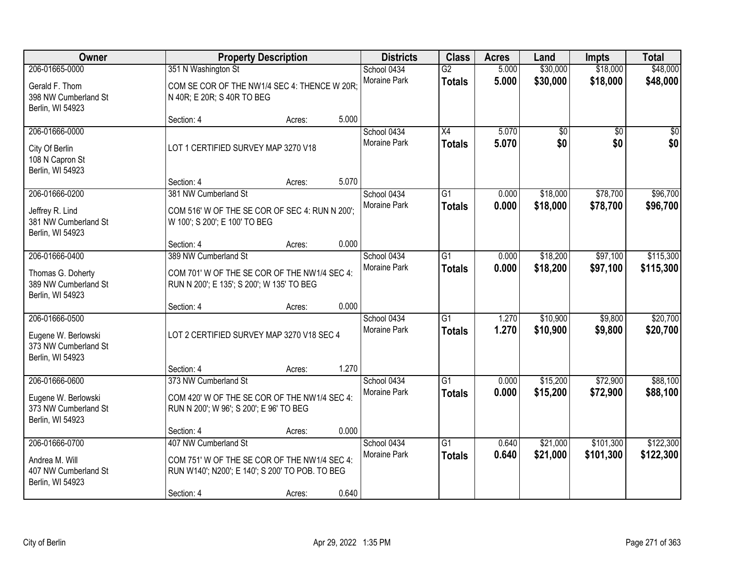| Owner                                                                             |                                                                                                                 | <b>Property Description</b> |       | <b>Districts</b>                   | <b>Class</b>                     | <b>Acres</b>   | Land                 | <b>Impts</b>         | <b>Total</b>         |
|-----------------------------------------------------------------------------------|-----------------------------------------------------------------------------------------------------------------|-----------------------------|-------|------------------------------------|----------------------------------|----------------|----------------------|----------------------|----------------------|
| 206-01665-0000                                                                    | 351 N Washington St                                                                                             |                             |       | School 0434                        | $\overline{G2}$                  | 5.000          | \$30,000             | \$18,000             | \$48,000             |
| Gerald F. Thom<br>398 NW Cumberland St<br>Berlin, WI 54923                        | COM SE COR OF THE NW1/4 SEC 4: THENCE W 20R;<br>N 40R; E 20R; S 40R TO BEG                                      |                             |       | Moraine Park                       | <b>Totals</b>                    | 5.000          | \$30,000             | \$18,000             | \$48,000             |
|                                                                                   | Section: 4                                                                                                      | Acres:                      | 5.000 |                                    |                                  |                |                      |                      |                      |
| 206-01666-0000<br>City Of Berlin<br>108 N Capron St<br>Berlin, WI 54923           | LOT 1 CERTIFIED SURVEY MAP 3270 V18                                                                             |                             |       | School 0434<br><b>Moraine Park</b> | $\overline{X4}$<br><b>Totals</b> | 5.070<br>5.070 | \$0<br>\$0           | \$0<br>\$0           | \$0<br>\$0           |
|                                                                                   | Section: 4                                                                                                      | Acres:                      | 5.070 |                                    |                                  |                |                      |                      |                      |
| 206-01666-0200<br>Jeffrey R. Lind<br>381 NW Cumberland St<br>Berlin, WI 54923     | 381 NW Cumberland St<br>COM 516' W OF THE SE COR OF SEC 4: RUN N 200';<br>W 100'; S 200'; E 100' TO BEG         |                             |       | School 0434<br>Moraine Park        | $\overline{G1}$<br><b>Totals</b> | 0.000<br>0.000 | \$18,000<br>\$18,000 | \$78,700<br>\$78,700 | \$96,700<br>\$96,700 |
|                                                                                   | Section: 4                                                                                                      | Acres:                      | 0.000 |                                    |                                  |                |                      |                      |                      |
| 206-01666-0400                                                                    | 389 NW Cumberland St                                                                                            |                             |       | School 0434                        | G1                               | 0.000          | \$18,200             | \$97,100             | \$115,300            |
| Thomas G. Doherty<br>389 NW Cumberland St<br>Berlin, WI 54923                     | COM 701' W OF THE SE COR OF THE NW1/4 SEC 4:<br>RUN N 200'; E 135'; S 200'; W 135' TO BEG                       |                             |       | <b>Moraine Park</b>                | <b>Totals</b>                    | 0.000          | \$18,200             | \$97,100             | \$115,300            |
|                                                                                   | Section: 4                                                                                                      | Acres:                      | 0.000 |                                    |                                  |                |                      |                      |                      |
| 206-01666-0500<br>Eugene W. Berlowski<br>373 NW Cumberland St<br>Berlin, WI 54923 | LOT 2 CERTIFIED SURVEY MAP 3270 V18 SEC 4                                                                       |                             |       | School 0434<br><b>Moraine Park</b> | $\overline{G1}$<br><b>Totals</b> | 1.270<br>1.270 | \$10,900<br>\$10,900 | \$9,800<br>\$9,800   | \$20,700<br>\$20,700 |
|                                                                                   | Section: 4                                                                                                      | Acres:                      | 1.270 |                                    |                                  |                |                      |                      |                      |
| 206-01666-0600<br>Eugene W. Berlowski<br>373 NW Cumberland St<br>Berlin, WI 54923 | 373 NW Cumberland St<br>COM 420' W OF THE SE COR OF THE NW1/4 SEC 4:<br>RUN N 200'; W 96'; S 200'; E 96' TO BEG |                             |       | School 0434<br>Moraine Park        | $\overline{G1}$<br><b>Totals</b> | 0.000<br>0.000 | \$15,200<br>\$15,200 | \$72,900<br>\$72,900 | \$88,100<br>\$88,100 |
|                                                                                   | Section: 4                                                                                                      | Acres:                      | 0.000 |                                    |                                  |                |                      |                      |                      |
| 206-01666-0700                                                                    | 407 NW Cumberland St                                                                                            |                             |       | School 0434                        | $\overline{G1}$                  | 0.640          | \$21,000             | \$101,300            | \$122,300            |
| Andrea M. Will<br>407 NW Cumberland St<br>Berlin, WI 54923                        | COM 751' W OF THE SE COR OF THE NW1/4 SEC 4:<br>RUN W140'; N200'; E 140'; S 200' TO POB. TO BEG                 |                             |       | Moraine Park                       | <b>Totals</b>                    | 0.640          | \$21,000             | \$101,300            | \$122,300            |
|                                                                                   | Section: 4                                                                                                      | Acres:                      | 0.640 |                                    |                                  |                |                      |                      |                      |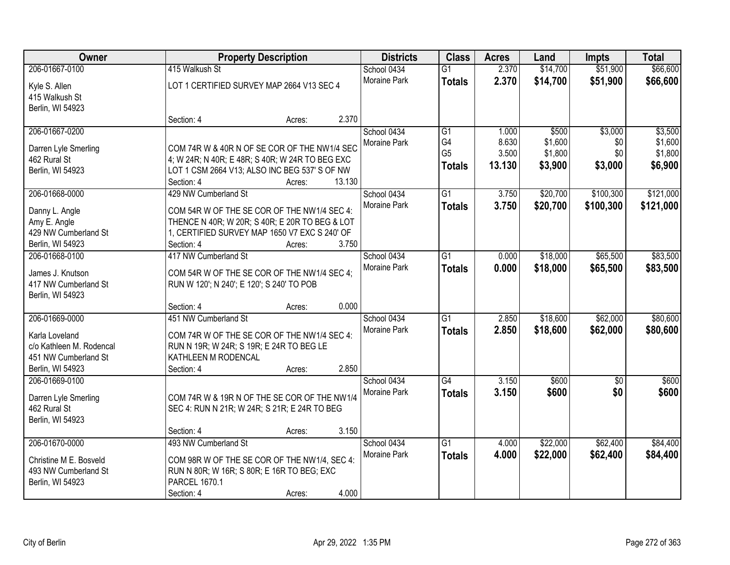| 206-01667-0100<br>415 Walkush St<br>2.370<br>\$14,700<br>\$51,900<br>\$66,600<br>School 0434<br>$\overline{G1}$<br>Moraine Park<br>2.370<br>\$14,700<br>\$51,900<br><b>Totals</b><br>LOT 1 CERTIFIED SURVEY MAP 2664 V13 SEC 4<br>Kyle S. Allen<br>415 Walkush St<br>Berlin, WI 54923<br>2.370<br>Section: 4<br>Acres:<br>\$3,000<br>206-01667-0200<br>School 0434<br>\$500<br>G1<br>1.000<br>G4<br>8.630<br>\$1,600<br>\$0<br>Moraine Park<br>COM 74R W & 40R N OF SE COR OF THE NW1/4 SEC<br>Darren Lyle Smerling<br>G <sub>5</sub><br>3.500<br>\$1,800<br>\$0<br>462 Rural St<br>4; W 24R; N 40R; E 48R; S 40R; W 24R TO BEG EXC<br>\$6,900<br>13.130<br>\$3,900<br>\$3,000<br><b>Totals</b><br>Berlin, WI 54923<br>LOT 1 CSM 2664 V13; ALSO INC BEG 537' S OF NW<br>13.130<br>Section: 4<br>Acres:<br>206-01668-0000<br>$\overline{G1}$<br>\$20,700<br>\$100,300<br>429 NW Cumberland St<br>School 0434<br>3.750<br>Moraine Park<br>\$20,700<br>3.750<br>\$100,300<br><b>Totals</b><br>COM 54R W OF THE SE COR OF THE NW1/4 SEC 4:<br>Danny L. Angle<br>THENCE N 40R; W 20R; S 40R; E 20R TO BEG & LOT<br>Amy E. Angle<br>429 NW Cumberland St<br>1, CERTIFIED SURVEY MAP 1650 V7 EXC S 240' OF<br>3.750<br>Berlin, WI 54923<br>Section: 4<br>Acres:<br>\$65,500<br>417 NW Cumberland St<br>\$18,000<br>206-01668-0100<br>School 0434<br>G1<br>0.000<br>Moraine Park<br>0.000<br>\$65,500<br>\$18,000<br><b>Totals</b><br>COM 54R W OF THE SE COR OF THE NW1/4 SEC 4;<br>James J. Knutson<br>417 NW Cumberland St<br>RUN W 120'; N 240'; E 120'; S 240' TO POB<br>Berlin, WI 54923<br>0.000<br>Section: 4<br>Acres:<br>206-01669-0000<br>451 NW Cumberland St<br>$\overline{G1}$<br>\$18,600<br>\$62,000<br>School 0434<br>2.850<br>2.850<br>\$18,600<br>\$62,000<br>Moraine Park<br><b>Totals</b><br>COM 74R W OF THE SE COR OF THE NW1/4 SEC 4:<br>Karla Loveland<br>c/o Kathleen M. Rodencal<br>RUN N 19R; W 24R; S 19R; E 24R TO BEG LE<br>451 NW Cumberland St<br>KATHLEEN M RODENCAL<br>2.850<br>Berlin, WI 54923<br>Section: 4<br>Acres:<br>206-01669-0100<br>School 0434<br>G4<br>3.150<br>\$600<br>$\overline{50}$<br>3.150<br>\$600<br>\$0<br>Moraine Park<br><b>Totals</b><br>COM 74R W & 19R N OF THE SE COR OF THE NW1/4<br>Darren Lyle Smerling<br>462 Rural St<br>SEC 4: RUN N 21R; W 24R; S 21R; E 24R TO BEG<br>Berlin, WI 54923<br>3.150<br>Section: 4<br>Acres:<br>\$22,000<br>\$62,400<br>206-01670-0000<br>493 NW Cumberland St<br>$\overline{G1}$<br>School 0434<br>4.000<br>Moraine Park<br>4.000<br>\$22,000<br>\$62,400<br><b>Totals</b><br>Christine M E. Bosveld<br>COM 98R W OF THE SE COR OF THE NW1/4, SEC 4:<br>493 NW Cumberland St<br>RUN N 80R; W 16R; S 80R; E 16R TO BEG; EXC<br><b>PARCEL 1670.1</b><br>Berlin, WI 54923 | Owner |            | <b>Property Description</b> |       | <b>Districts</b><br><b>Class</b> | <b>Acres</b> | Land | <b>Impts</b> | <b>Total</b> |
|-------------------------------------------------------------------------------------------------------------------------------------------------------------------------------------------------------------------------------------------------------------------------------------------------------------------------------------------------------------------------------------------------------------------------------------------------------------------------------------------------------------------------------------------------------------------------------------------------------------------------------------------------------------------------------------------------------------------------------------------------------------------------------------------------------------------------------------------------------------------------------------------------------------------------------------------------------------------------------------------------------------------------------------------------------------------------------------------------------------------------------------------------------------------------------------------------------------------------------------------------------------------------------------------------------------------------------------------------------------------------------------------------------------------------------------------------------------------------------------------------------------------------------------------------------------------------------------------------------------------------------------------------------------------------------------------------------------------------------------------------------------------------------------------------------------------------------------------------------------------------------------------------------------------------------------------------------------------------------------------------------------------------------------------------------------------------------------------------------------------------------------------------------------------------------------------------------------------------------------------------------------------------------------------------------------------------------------------------------------------------------------------------------------------------------------------------------------------------------------------------------------------------------------------------------------------------------------------------------------------------------------------------------------------------------------------------------------------------------------------------------------------|-------|------------|-----------------------------|-------|----------------------------------|--------------|------|--------------|--------------|
|                                                                                                                                                                                                                                                                                                                                                                                                                                                                                                                                                                                                                                                                                                                                                                                                                                                                                                                                                                                                                                                                                                                                                                                                                                                                                                                                                                                                                                                                                                                                                                                                                                                                                                                                                                                                                                                                                                                                                                                                                                                                                                                                                                                                                                                                                                                                                                                                                                                                                                                                                                                                                                                                                                                                                                   |       |            |                             |       |                                  |              |      |              |              |
|                                                                                                                                                                                                                                                                                                                                                                                                                                                                                                                                                                                                                                                                                                                                                                                                                                                                                                                                                                                                                                                                                                                                                                                                                                                                                                                                                                                                                                                                                                                                                                                                                                                                                                                                                                                                                                                                                                                                                                                                                                                                                                                                                                                                                                                                                                                                                                                                                                                                                                                                                                                                                                                                                                                                                                   |       |            |                             |       |                                  |              |      |              | \$66,600     |
|                                                                                                                                                                                                                                                                                                                                                                                                                                                                                                                                                                                                                                                                                                                                                                                                                                                                                                                                                                                                                                                                                                                                                                                                                                                                                                                                                                                                                                                                                                                                                                                                                                                                                                                                                                                                                                                                                                                                                                                                                                                                                                                                                                                                                                                                                                                                                                                                                                                                                                                                                                                                                                                                                                                                                                   |       |            |                             |       |                                  |              |      |              |              |
|                                                                                                                                                                                                                                                                                                                                                                                                                                                                                                                                                                                                                                                                                                                                                                                                                                                                                                                                                                                                                                                                                                                                                                                                                                                                                                                                                                                                                                                                                                                                                                                                                                                                                                                                                                                                                                                                                                                                                                                                                                                                                                                                                                                                                                                                                                                                                                                                                                                                                                                                                                                                                                                                                                                                                                   |       |            |                             |       |                                  |              |      |              |              |
| \$3,500<br>\$1,600<br>\$1,800<br>\$121,000<br>\$121,000<br>\$83,500<br>\$83,500<br>\$80,600<br>\$80,600<br>\$600<br>\$600<br>\$84,400<br>\$84,400                                                                                                                                                                                                                                                                                                                                                                                                                                                                                                                                                                                                                                                                                                                                                                                                                                                                                                                                                                                                                                                                                                                                                                                                                                                                                                                                                                                                                                                                                                                                                                                                                                                                                                                                                                                                                                                                                                                                                                                                                                                                                                                                                                                                                                                                                                                                                                                                                                                                                                                                                                                                                 |       |            |                             |       |                                  |              |      |              |              |
|                                                                                                                                                                                                                                                                                                                                                                                                                                                                                                                                                                                                                                                                                                                                                                                                                                                                                                                                                                                                                                                                                                                                                                                                                                                                                                                                                                                                                                                                                                                                                                                                                                                                                                                                                                                                                                                                                                                                                                                                                                                                                                                                                                                                                                                                                                                                                                                                                                                                                                                                                                                                                                                                                                                                                                   |       |            |                             |       |                                  |              |      |              |              |
|                                                                                                                                                                                                                                                                                                                                                                                                                                                                                                                                                                                                                                                                                                                                                                                                                                                                                                                                                                                                                                                                                                                                                                                                                                                                                                                                                                                                                                                                                                                                                                                                                                                                                                                                                                                                                                                                                                                                                                                                                                                                                                                                                                                                                                                                                                                                                                                                                                                                                                                                                                                                                                                                                                                                                                   |       |            |                             |       |                                  |              |      |              |              |
|                                                                                                                                                                                                                                                                                                                                                                                                                                                                                                                                                                                                                                                                                                                                                                                                                                                                                                                                                                                                                                                                                                                                                                                                                                                                                                                                                                                                                                                                                                                                                                                                                                                                                                                                                                                                                                                                                                                                                                                                                                                                                                                                                                                                                                                                                                                                                                                                                                                                                                                                                                                                                                                                                                                                                                   |       |            |                             |       |                                  |              |      |              |              |
|                                                                                                                                                                                                                                                                                                                                                                                                                                                                                                                                                                                                                                                                                                                                                                                                                                                                                                                                                                                                                                                                                                                                                                                                                                                                                                                                                                                                                                                                                                                                                                                                                                                                                                                                                                                                                                                                                                                                                                                                                                                                                                                                                                                                                                                                                                                                                                                                                                                                                                                                                                                                                                                                                                                                                                   |       |            |                             |       |                                  |              |      |              |              |
|                                                                                                                                                                                                                                                                                                                                                                                                                                                                                                                                                                                                                                                                                                                                                                                                                                                                                                                                                                                                                                                                                                                                                                                                                                                                                                                                                                                                                                                                                                                                                                                                                                                                                                                                                                                                                                                                                                                                                                                                                                                                                                                                                                                                                                                                                                                                                                                                                                                                                                                                                                                                                                                                                                                                                                   |       |            |                             |       |                                  |              |      |              |              |
|                                                                                                                                                                                                                                                                                                                                                                                                                                                                                                                                                                                                                                                                                                                                                                                                                                                                                                                                                                                                                                                                                                                                                                                                                                                                                                                                                                                                                                                                                                                                                                                                                                                                                                                                                                                                                                                                                                                                                                                                                                                                                                                                                                                                                                                                                                                                                                                                                                                                                                                                                                                                                                                                                                                                                                   |       |            |                             |       |                                  |              |      |              |              |
|                                                                                                                                                                                                                                                                                                                                                                                                                                                                                                                                                                                                                                                                                                                                                                                                                                                                                                                                                                                                                                                                                                                                                                                                                                                                                                                                                                                                                                                                                                                                                                                                                                                                                                                                                                                                                                                                                                                                                                                                                                                                                                                                                                                                                                                                                                                                                                                                                                                                                                                                                                                                                                                                                                                                                                   |       |            |                             |       |                                  |              |      |              |              |
|                                                                                                                                                                                                                                                                                                                                                                                                                                                                                                                                                                                                                                                                                                                                                                                                                                                                                                                                                                                                                                                                                                                                                                                                                                                                                                                                                                                                                                                                                                                                                                                                                                                                                                                                                                                                                                                                                                                                                                                                                                                                                                                                                                                                                                                                                                                                                                                                                                                                                                                                                                                                                                                                                                                                                                   |       |            |                             |       |                                  |              |      |              |              |
|                                                                                                                                                                                                                                                                                                                                                                                                                                                                                                                                                                                                                                                                                                                                                                                                                                                                                                                                                                                                                                                                                                                                                                                                                                                                                                                                                                                                                                                                                                                                                                                                                                                                                                                                                                                                                                                                                                                                                                                                                                                                                                                                                                                                                                                                                                                                                                                                                                                                                                                                                                                                                                                                                                                                                                   |       |            |                             |       |                                  |              |      |              |              |
|                                                                                                                                                                                                                                                                                                                                                                                                                                                                                                                                                                                                                                                                                                                                                                                                                                                                                                                                                                                                                                                                                                                                                                                                                                                                                                                                                                                                                                                                                                                                                                                                                                                                                                                                                                                                                                                                                                                                                                                                                                                                                                                                                                                                                                                                                                                                                                                                                                                                                                                                                                                                                                                                                                                                                                   |       |            |                             |       |                                  |              |      |              |              |
|                                                                                                                                                                                                                                                                                                                                                                                                                                                                                                                                                                                                                                                                                                                                                                                                                                                                                                                                                                                                                                                                                                                                                                                                                                                                                                                                                                                                                                                                                                                                                                                                                                                                                                                                                                                                                                                                                                                                                                                                                                                                                                                                                                                                                                                                                                                                                                                                                                                                                                                                                                                                                                                                                                                                                                   |       |            |                             |       |                                  |              |      |              |              |
|                                                                                                                                                                                                                                                                                                                                                                                                                                                                                                                                                                                                                                                                                                                                                                                                                                                                                                                                                                                                                                                                                                                                                                                                                                                                                                                                                                                                                                                                                                                                                                                                                                                                                                                                                                                                                                                                                                                                                                                                                                                                                                                                                                                                                                                                                                                                                                                                                                                                                                                                                                                                                                                                                                                                                                   |       |            |                             |       |                                  |              |      |              |              |
|                                                                                                                                                                                                                                                                                                                                                                                                                                                                                                                                                                                                                                                                                                                                                                                                                                                                                                                                                                                                                                                                                                                                                                                                                                                                                                                                                                                                                                                                                                                                                                                                                                                                                                                                                                                                                                                                                                                                                                                                                                                                                                                                                                                                                                                                                                                                                                                                                                                                                                                                                                                                                                                                                                                                                                   |       |            |                             |       |                                  |              |      |              |              |
|                                                                                                                                                                                                                                                                                                                                                                                                                                                                                                                                                                                                                                                                                                                                                                                                                                                                                                                                                                                                                                                                                                                                                                                                                                                                                                                                                                                                                                                                                                                                                                                                                                                                                                                                                                                                                                                                                                                                                                                                                                                                                                                                                                                                                                                                                                                                                                                                                                                                                                                                                                                                                                                                                                                                                                   |       |            |                             |       |                                  |              |      |              |              |
|                                                                                                                                                                                                                                                                                                                                                                                                                                                                                                                                                                                                                                                                                                                                                                                                                                                                                                                                                                                                                                                                                                                                                                                                                                                                                                                                                                                                                                                                                                                                                                                                                                                                                                                                                                                                                                                                                                                                                                                                                                                                                                                                                                                                                                                                                                                                                                                                                                                                                                                                                                                                                                                                                                                                                                   |       |            |                             |       |                                  |              |      |              |              |
|                                                                                                                                                                                                                                                                                                                                                                                                                                                                                                                                                                                                                                                                                                                                                                                                                                                                                                                                                                                                                                                                                                                                                                                                                                                                                                                                                                                                                                                                                                                                                                                                                                                                                                                                                                                                                                                                                                                                                                                                                                                                                                                                                                                                                                                                                                                                                                                                                                                                                                                                                                                                                                                                                                                                                                   |       |            |                             |       |                                  |              |      |              |              |
|                                                                                                                                                                                                                                                                                                                                                                                                                                                                                                                                                                                                                                                                                                                                                                                                                                                                                                                                                                                                                                                                                                                                                                                                                                                                                                                                                                                                                                                                                                                                                                                                                                                                                                                                                                                                                                                                                                                                                                                                                                                                                                                                                                                                                                                                                                                                                                                                                                                                                                                                                                                                                                                                                                                                                                   |       |            |                             |       |                                  |              |      |              |              |
|                                                                                                                                                                                                                                                                                                                                                                                                                                                                                                                                                                                                                                                                                                                                                                                                                                                                                                                                                                                                                                                                                                                                                                                                                                                                                                                                                                                                                                                                                                                                                                                                                                                                                                                                                                                                                                                                                                                                                                                                                                                                                                                                                                                                                                                                                                                                                                                                                                                                                                                                                                                                                                                                                                                                                                   |       |            |                             |       |                                  |              |      |              |              |
|                                                                                                                                                                                                                                                                                                                                                                                                                                                                                                                                                                                                                                                                                                                                                                                                                                                                                                                                                                                                                                                                                                                                                                                                                                                                                                                                                                                                                                                                                                                                                                                                                                                                                                                                                                                                                                                                                                                                                                                                                                                                                                                                                                                                                                                                                                                                                                                                                                                                                                                                                                                                                                                                                                                                                                   |       |            |                             |       |                                  |              |      |              |              |
|                                                                                                                                                                                                                                                                                                                                                                                                                                                                                                                                                                                                                                                                                                                                                                                                                                                                                                                                                                                                                                                                                                                                                                                                                                                                                                                                                                                                                                                                                                                                                                                                                                                                                                                                                                                                                                                                                                                                                                                                                                                                                                                                                                                                                                                                                                                                                                                                                                                                                                                                                                                                                                                                                                                                                                   |       |            |                             |       |                                  |              |      |              |              |
|                                                                                                                                                                                                                                                                                                                                                                                                                                                                                                                                                                                                                                                                                                                                                                                                                                                                                                                                                                                                                                                                                                                                                                                                                                                                                                                                                                                                                                                                                                                                                                                                                                                                                                                                                                                                                                                                                                                                                                                                                                                                                                                                                                                                                                                                                                                                                                                                                                                                                                                                                                                                                                                                                                                                                                   |       |            |                             |       |                                  |              |      |              |              |
|                                                                                                                                                                                                                                                                                                                                                                                                                                                                                                                                                                                                                                                                                                                                                                                                                                                                                                                                                                                                                                                                                                                                                                                                                                                                                                                                                                                                                                                                                                                                                                                                                                                                                                                                                                                                                                                                                                                                                                                                                                                                                                                                                                                                                                                                                                                                                                                                                                                                                                                                                                                                                                                                                                                                                                   |       |            |                             |       |                                  |              |      |              |              |
|                                                                                                                                                                                                                                                                                                                                                                                                                                                                                                                                                                                                                                                                                                                                                                                                                                                                                                                                                                                                                                                                                                                                                                                                                                                                                                                                                                                                                                                                                                                                                                                                                                                                                                                                                                                                                                                                                                                                                                                                                                                                                                                                                                                                                                                                                                                                                                                                                                                                                                                                                                                                                                                                                                                                                                   |       |            |                             |       |                                  |              |      |              |              |
|                                                                                                                                                                                                                                                                                                                                                                                                                                                                                                                                                                                                                                                                                                                                                                                                                                                                                                                                                                                                                                                                                                                                                                                                                                                                                                                                                                                                                                                                                                                                                                                                                                                                                                                                                                                                                                                                                                                                                                                                                                                                                                                                                                                                                                                                                                                                                                                                                                                                                                                                                                                                                                                                                                                                                                   |       |            |                             |       |                                  |              |      |              |              |
|                                                                                                                                                                                                                                                                                                                                                                                                                                                                                                                                                                                                                                                                                                                                                                                                                                                                                                                                                                                                                                                                                                                                                                                                                                                                                                                                                                                                                                                                                                                                                                                                                                                                                                                                                                                                                                                                                                                                                                                                                                                                                                                                                                                                                                                                                                                                                                                                                                                                                                                                                                                                                                                                                                                                                                   |       |            |                             |       |                                  |              |      |              |              |
|                                                                                                                                                                                                                                                                                                                                                                                                                                                                                                                                                                                                                                                                                                                                                                                                                                                                                                                                                                                                                                                                                                                                                                                                                                                                                                                                                                                                                                                                                                                                                                                                                                                                                                                                                                                                                                                                                                                                                                                                                                                                                                                                                                                                                                                                                                                                                                                                                                                                                                                                                                                                                                                                                                                                                                   |       |            |                             |       |                                  |              |      |              |              |
|                                                                                                                                                                                                                                                                                                                                                                                                                                                                                                                                                                                                                                                                                                                                                                                                                                                                                                                                                                                                                                                                                                                                                                                                                                                                                                                                                                                                                                                                                                                                                                                                                                                                                                                                                                                                                                                                                                                                                                                                                                                                                                                                                                                                                                                                                                                                                                                                                                                                                                                                                                                                                                                                                                                                                                   |       |            |                             |       |                                  |              |      |              |              |
|                                                                                                                                                                                                                                                                                                                                                                                                                                                                                                                                                                                                                                                                                                                                                                                                                                                                                                                                                                                                                                                                                                                                                                                                                                                                                                                                                                                                                                                                                                                                                                                                                                                                                                                                                                                                                                                                                                                                                                                                                                                                                                                                                                                                                                                                                                                                                                                                                                                                                                                                                                                                                                                                                                                                                                   |       |            |                             |       |                                  |              |      |              |              |
|                                                                                                                                                                                                                                                                                                                                                                                                                                                                                                                                                                                                                                                                                                                                                                                                                                                                                                                                                                                                                                                                                                                                                                                                                                                                                                                                                                                                                                                                                                                                                                                                                                                                                                                                                                                                                                                                                                                                                                                                                                                                                                                                                                                                                                                                                                                                                                                                                                                                                                                                                                                                                                                                                                                                                                   |       |            |                             |       |                                  |              |      |              |              |
|                                                                                                                                                                                                                                                                                                                                                                                                                                                                                                                                                                                                                                                                                                                                                                                                                                                                                                                                                                                                                                                                                                                                                                                                                                                                                                                                                                                                                                                                                                                                                                                                                                                                                                                                                                                                                                                                                                                                                                                                                                                                                                                                                                                                                                                                                                                                                                                                                                                                                                                                                                                                                                                                                                                                                                   |       | Section: 4 | Acres:                      | 4.000 |                                  |              |      |              |              |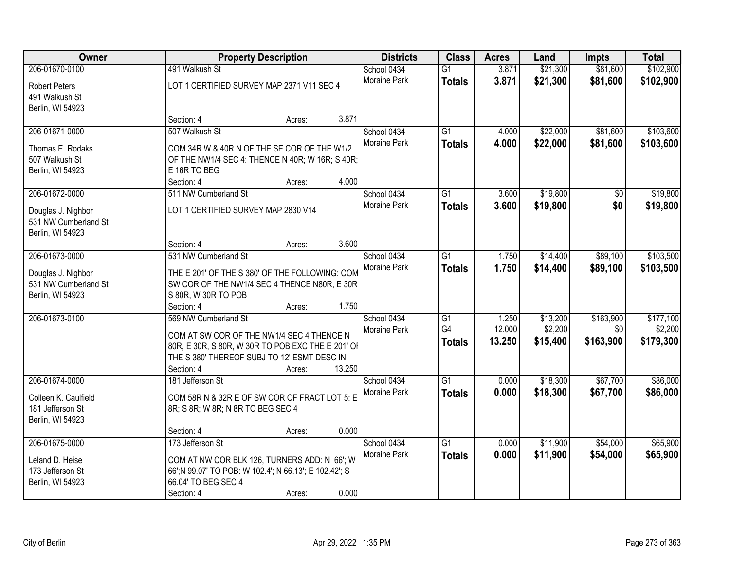| Owner                                                                            |                                                                                                                                                                                     | <b>Property Description</b> |        |                             | <b>Class</b>                           | <b>Acres</b>              | Land                            | <b>Impts</b>                  | <b>Total</b>                      |
|----------------------------------------------------------------------------------|-------------------------------------------------------------------------------------------------------------------------------------------------------------------------------------|-----------------------------|--------|-----------------------------|----------------------------------------|---------------------------|---------------------------------|-------------------------------|-----------------------------------|
| 206-01670-0100<br><b>Robert Peters</b><br>491 Walkush St<br>Berlin, WI 54923     | 491 Walkush St<br>LOT 1 CERTIFIED SURVEY MAP 2371 V11 SEC 4                                                                                                                         |                             |        | School 0434<br>Moraine Park | $\overline{G1}$<br><b>Totals</b>       | 3.871<br>3.871            | \$21,300<br>\$21,300            | \$81,600<br>\$81,600          | \$102,900<br>\$102,900            |
|                                                                                  | Section: 4                                                                                                                                                                          | Acres:                      | 3.871  |                             |                                        |                           |                                 |                               |                                   |
| 206-01671-0000<br>Thomas E. Rodaks<br>507 Walkush St<br>Berlin, WI 54923         | 507 Walkush St<br>COM 34R W & 40R N OF THE SE COR OF THE W1/2<br>OF THE NW1/4 SEC 4: THENCE N 40R; W 16R; S 40R;<br>E 16R TO BEG<br>Section: 4                                      | Acres:                      | 4.000  | School 0434<br>Moraine Park | $\overline{G1}$<br><b>Totals</b>       | 4.000<br>4.000            | \$22,000<br>\$22,000            | \$81,600<br>\$81,600          | \$103,600<br>\$103,600            |
| 206-01672-0000<br>Douglas J. Nighbor<br>531 NW Cumberland St<br>Berlin, WI 54923 | 511 NW Cumberland St<br>LOT 1 CERTIFIED SURVEY MAP 2830 V14<br>Section: 4                                                                                                           | Acres:                      | 3.600  | School 0434<br>Moraine Park | G1<br><b>Totals</b>                    | 3.600<br>3.600            | \$19,800<br>\$19,800            | \$0<br>\$0                    | \$19,800<br>\$19,800              |
| 206-01673-0000<br>Douglas J. Nighbor<br>531 NW Cumberland St<br>Berlin, WI 54923 | 531 NW Cumberland St<br>THE E 201' OF THE S 380' OF THE FOLLOWING: COM<br>SW COR OF THE NW1/4 SEC 4 THENCE N80R, E 30R<br>S 80R, W 30R TO POB<br>Section: 4                         | Acres:                      | 1.750  | School 0434<br>Moraine Park | G1<br><b>Totals</b>                    | 1.750<br>1.750            | \$14,400<br>\$14,400            | \$89,100<br>\$89,100          | \$103,500<br>\$103,500            |
| 206-01673-0100                                                                   | 569 NW Cumberland St<br>COM AT SW COR OF THE NW1/4 SEC 4 THENCE N<br>80R, E 30R, S 80R, W 30R TO POB EXC THE E 201' OF<br>THE S 380' THEREOF SUBJ TO 12' ESMT DESC IN<br>Section: 4 | Acres:                      | 13.250 | School 0434<br>Moraine Park | $\overline{G1}$<br>G4<br><b>Totals</b> | 1.250<br>12.000<br>13.250 | \$13,200<br>\$2,200<br>\$15,400 | \$163,900<br>\$0<br>\$163,900 | \$177,100<br>\$2,200<br>\$179,300 |
| 206-01674-0000<br>Colleen K. Caulfield<br>181 Jefferson St<br>Berlin, WI 54923   | 181 Jefferson St<br>COM 58R N & 32R E OF SW COR OF FRACT LOT 5: E<br>8R; S 8R; W 8R; N 8R TO BEG SEC 4<br>Section: 4                                                                |                             | 0.000  | School 0434<br>Moraine Park | $\overline{G1}$<br><b>Totals</b>       | 0.000<br>0.000            | \$18,300<br>\$18,300            | \$67,700<br>\$67,700          | \$86,000<br>\$86,000              |
| 206-01675-0000<br>Leland D. Heise<br>173 Jefferson St<br>Berlin, WI 54923        | 173 Jefferson St<br>COM AT NW COR BLK 126, TURNERS ADD: N 66'; W<br>66';N 99.07' TO POB: W 102.4'; N 66.13'; E 102.42'; S<br>66.04' TO BEG SEC 4<br>Section: 4                      | Acres:<br>Acres:            | 0.000  | School 0434<br>Moraine Park | $\overline{G1}$<br><b>Totals</b>       | 0.000<br>0.000            | \$11,900<br>\$11,900            | \$54,000<br>\$54,000          | \$65,900<br>\$65,900              |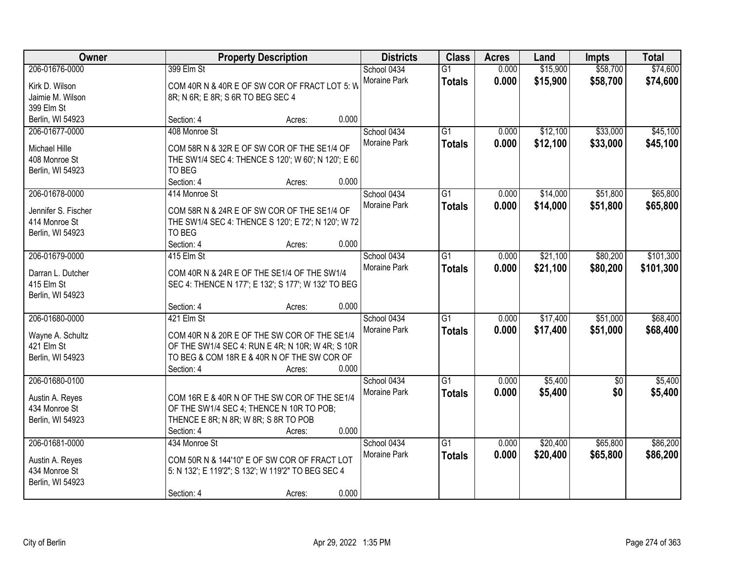| Owner                                                                      | <b>Property Description</b>                                                                                                                                                                    | <b>Districts</b>            | <b>Class</b>                     | <b>Acres</b>   | Land                 | <b>Impts</b>           | <b>Total</b>           |
|----------------------------------------------------------------------------|------------------------------------------------------------------------------------------------------------------------------------------------------------------------------------------------|-----------------------------|----------------------------------|----------------|----------------------|------------------------|------------------------|
| 206-01676-0000<br>Kirk D. Wilson<br>Jaimie M. Wilson                       | 399 Elm St<br>COM 40R N & 40R E OF SW COR OF FRACT LOT 5: W<br>8R; N 6R; E 8R; S 6R TO BEG SEC 4                                                                                               | School 0434<br>Moraine Park | $\overline{G1}$<br><b>Totals</b> | 0.000<br>0.000 | \$15,900<br>\$15,900 | \$58,700<br>\$58,700   | \$74,600<br>\$74,600   |
| 399 Elm St<br>Berlin, WI 54923                                             | 0.000<br>Section: 4<br>Acres:                                                                                                                                                                  |                             |                                  |                |                      |                        |                        |
| 206-01677-0000<br>Michael Hille<br>408 Monroe St<br>Berlin, WI 54923       | 408 Monroe St<br>COM 58R N & 32R E OF SW COR OF THE SE1/4 OF<br>THE SW1/4 SEC 4: THENCE S 120'; W 60'; N 120'; E 60<br>TO BEG<br>0.000<br>Section: 4<br>Acres:                                 | School 0434<br>Moraine Park | $\overline{G1}$<br><b>Totals</b> | 0.000<br>0.000 | \$12,100<br>\$12,100 | \$33,000<br>\$33,000   | \$45,100<br>\$45,100   |
| 206-01678-0000<br>Jennifer S. Fischer<br>414 Monroe St<br>Berlin, WI 54923 | 414 Monroe St<br>COM 58R N & 24R E OF SW COR OF THE SE1/4 OF<br>THE SW1/4 SEC 4: THENCE S 120'; E 72'; N 120'; W 72<br>TO BEG<br>Section: 4<br>0.000<br>Acres:                                 | School 0434<br>Moraine Park | G1<br><b>Totals</b>              | 0.000<br>0.000 | \$14,000<br>\$14,000 | \$51,800<br>\$51,800   | \$65,800<br>\$65,800   |
| 206-01679-0000<br>Darran L. Dutcher<br>415 Elm St<br>Berlin, WI 54923      | 415 Elm St<br>COM 40R N & 24R E OF THE SE1/4 OF THE SW1/4<br>SEC 4: THENCE N 177'; E 132'; S 177'; W 132' TO BEG<br>0.000<br>Section: 4<br>Acres:                                              | School 0434<br>Moraine Park | G1<br><b>Totals</b>              | 0.000<br>0.000 | \$21,100<br>\$21,100 | \$80,200<br>\$80,200   | \$101,300<br>\$101,300 |
| 206-01680-0000<br>Wayne A. Schultz<br>421 Elm St<br>Berlin, WI 54923       | 421 Elm St<br>COM 40R N & 20R E OF THE SW COR OF THE SE1/4<br>OF THE SW1/4 SEC 4: RUN E 4R; N 10R; W 4R; S 10R<br>TO BEG & COM 18R E & 40R N OF THE SW COR OF<br>Section: 4<br>0.000<br>Acres: | School 0434<br>Moraine Park | $\overline{G1}$<br><b>Totals</b> | 0.000<br>0.000 | \$17,400<br>\$17,400 | \$51,000<br>\$51,000   | \$68,400<br>\$68,400   |
| 206-01680-0100<br>Austin A. Reyes<br>434 Monroe St<br>Berlin, WI 54923     | COM 16R E & 40R N OF THE SW COR OF THE SE1/4<br>OF THE SW1/4 SEC 4; THENCE N 10R TO POB;<br>THENCE E 8R; N 8R; W 8R; S 8R TO POB<br>0.000<br>Section: 4<br>Acres:                              | School 0434<br>Moraine Park | $\overline{G1}$<br><b>Totals</b> | 0.000<br>0.000 | \$5,400<br>\$5,400   | $\overline{50}$<br>\$0 | \$5,400<br>\$5,400     |
| 206-01681-0000<br>Austin A. Reyes<br>434 Monroe St<br>Berlin, WI 54923     | 434 Monroe St<br>COM 50R N & 144'10" E OF SW COR OF FRACT LOT<br>5: N 132'; E 119'2"; S 132'; W 119'2" TO BEG SEC 4<br>0.000<br>Section: 4<br>Acres:                                           | School 0434<br>Moraine Park | $\overline{G1}$<br><b>Totals</b> | 0.000<br>0.000 | \$20,400<br>\$20,400 | \$65,800<br>\$65,800   | \$86,200<br>\$86,200   |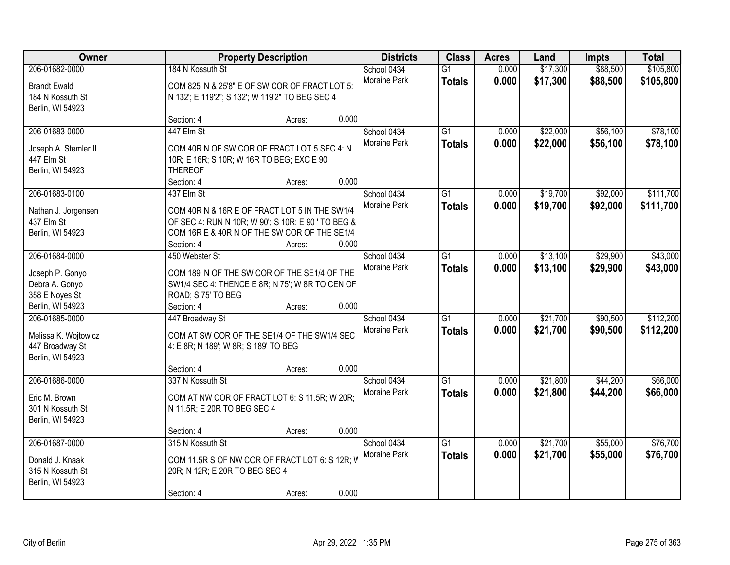| Owner                                                                                     | <b>Property Description</b>                                                              |                                                                                                                                                               | <b>Districts</b>                     | <b>Class</b>                     | <b>Acres</b>   | Land                 | <b>Impts</b>         | <b>Total</b>           |
|-------------------------------------------------------------------------------------------|------------------------------------------------------------------------------------------|---------------------------------------------------------------------------------------------------------------------------------------------------------------|--------------------------------------|----------------------------------|----------------|----------------------|----------------------|------------------------|
| 206-01682-0000<br><b>Brandt Ewald</b><br>184 N Kossuth St<br>Berlin, WI 54923             | 184 N Kossuth St                                                                         | COM 825' N & 25'8" E OF SW COR OF FRACT LOT 5:<br>N 132'; E 119'2"; S 132'; W 119'2" TO BEG SEC 4                                                             | School 0434<br>Moraine Park          | $\overline{G1}$<br><b>Totals</b> | 0.000<br>0.000 | \$17,300<br>\$17,300 | \$88,500<br>\$88,500 | \$105,800<br>\$105,800 |
|                                                                                           | Section: 4                                                                               | Acres:                                                                                                                                                        | 0.000                                |                                  |                |                      |                      |                        |
| 206-01683-0000<br>Joseph A. Stemler II<br>447 Elm St<br>Berlin, WI 54923                  | 447 Elm St<br>10R; E 16R; S 10R; W 16R TO BEG; EXC E 90'<br><b>THEREOF</b><br>Section: 4 | COM 40R N OF SW COR OF FRACT LOT 5 SEC 4: N<br>Acres:                                                                                                         | School 0434<br>Moraine Park<br>0.000 | $\overline{G1}$<br><b>Totals</b> | 0.000<br>0.000 | \$22,000<br>\$22,000 | \$56,100<br>\$56,100 | \$78,100<br>\$78,100   |
| 206-01683-0100<br>Nathan J. Jorgensen<br>437 Elm St<br>Berlin, WI 54923                   | 437 Elm St<br>Section: 4                                                                 | COM 40R N & 16R E OF FRACT LOT 5 IN THE SW1/4<br>OF SEC 4: RUN N 10R; W 90'; S 10R; E 90 ' TO BEG &<br>COM 16R E & 40R N OF THE SW COR OF THE SE1/4<br>Acres: | School 0434<br>Moraine Park<br>0.000 | $\overline{G1}$<br><b>Totals</b> | 0.000<br>0.000 | \$19,700<br>\$19,700 | \$92,000<br>\$92,000 | \$111,700<br>\$111,700 |
| 206-01684-0000<br>Joseph P. Gonyo<br>Debra A. Gonyo<br>358 E Noyes St<br>Berlin, WI 54923 | 450 Webster St<br>ROAD; S 75' TO BEG<br>Section: 4                                       | COM 189' N OF THE SW COR OF THE SE1/4 OF THE<br>SW1/4 SEC 4: THENCE E 8R; N 75'; W 8R TO CEN OF<br>Acres:                                                     | School 0434<br>Moraine Park<br>0.000 | $\overline{G1}$<br><b>Totals</b> | 0.000<br>0.000 | \$13,100<br>\$13,100 | \$29,900<br>\$29,900 | \$43,000<br>\$43,000   |
| 206-01685-0000<br>Melissa K. Wojtowicz<br>447 Broadway St<br>Berlin, WI 54923             | 447 Broadway St<br>4: E 8R; N 189'; W 8R; S 189' TO BEG<br>Section: 4                    | COM AT SW COR OF THE SE1/4 OF THE SW1/4 SEC<br>Acres:                                                                                                         | School 0434<br>Moraine Park<br>0.000 | $\overline{G1}$<br><b>Totals</b> | 0.000<br>0.000 | \$21,700<br>\$21,700 | \$90,500<br>\$90,500 | \$112,200<br>\$112,200 |
| 206-01686-0000<br>Eric M. Brown<br>301 N Kossuth St<br>Berlin, WI 54923                   | 337 N Kossuth St<br>N 11.5R; E 20R TO BEG SEC 4<br>Section: 4                            | COM AT NW COR OF FRACT LOT 6: S 11.5R; W 20R;<br>Acres:                                                                                                       | School 0434<br>Moraine Park<br>0.000 | $\overline{G1}$<br><b>Totals</b> | 0.000<br>0.000 | \$21,800<br>\$21,800 | \$44,200<br>\$44,200 | \$66,000<br>\$66,000   |
| 206-01687-0000<br>Donald J. Knaak<br>315 N Kossuth St<br>Berlin, WI 54923                 | 315 N Kossuth St<br>20R; N 12R; E 20R TO BEG SEC 4<br>Section: 4                         | COM 11.5R S OF NW COR OF FRACT LOT 6: S 12R; W<br>Acres:                                                                                                      | School 0434<br>Moraine Park<br>0.000 | $\overline{G1}$<br><b>Totals</b> | 0.000<br>0.000 | \$21,700<br>\$21,700 | \$55,000<br>\$55,000 | \$76,700<br>\$76,700   |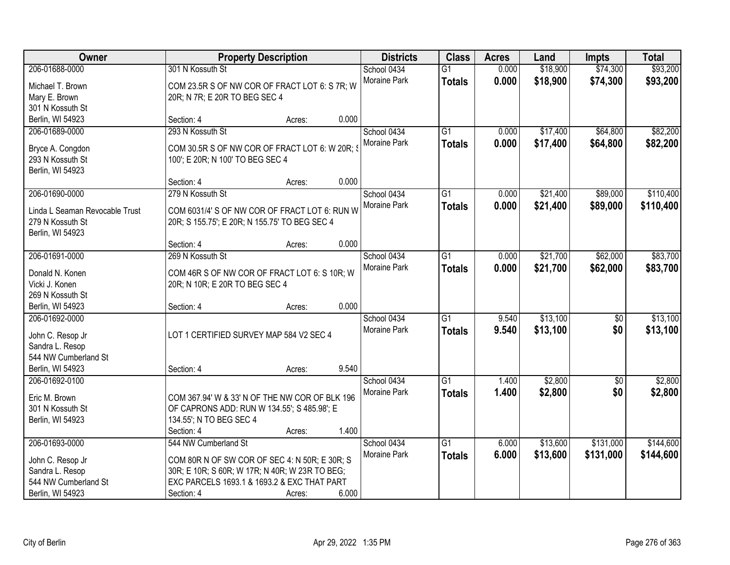| Owner                          |                                                 | <b>Property Description</b> |       | <b>Districts</b> | <b>Class</b>    | <b>Acres</b> | Land     | <b>Impts</b>    | <b>Total</b> |
|--------------------------------|-------------------------------------------------|-----------------------------|-------|------------------|-----------------|--------------|----------|-----------------|--------------|
| 206-01688-0000                 | 301 N Kossuth St                                |                             |       | School 0434      | $\overline{G1}$ | 0.000        | \$18,900 | \$74,300        | \$93,200     |
| Michael T. Brown               | COM 23.5R S OF NW COR OF FRACT LOT 6: S 7R; W   |                             |       | Moraine Park     | <b>Totals</b>   | 0.000        | \$18,900 | \$74,300        | \$93,200     |
| Mary E. Brown                  | 20R; N 7R; E 20R TO BEG SEC 4                   |                             |       |                  |                 |              |          |                 |              |
| 301 N Kossuth St               |                                                 |                             |       |                  |                 |              |          |                 |              |
| Berlin, WI 54923               | Section: 4                                      | Acres:                      | 0.000 |                  |                 |              |          |                 |              |
| 206-01689-0000                 | 293 N Kossuth St                                |                             |       | School 0434      | $\overline{G1}$ | 0.000        | \$17,400 | \$64,800        | \$82,200     |
|                                |                                                 |                             |       | Moraine Park     | <b>Totals</b>   | 0.000        | \$17,400 | \$64,800        | \$82,200     |
| Bryce A. Congdon               | COM 30.5R S OF NW COR OF FRACT LOT 6: W 20R; \$ |                             |       |                  |                 |              |          |                 |              |
| 293 N Kossuth St               | 100'; E 20R; N 100' TO BEG SEC 4                |                             |       |                  |                 |              |          |                 |              |
| Berlin, WI 54923               |                                                 |                             | 0.000 |                  |                 |              |          |                 |              |
|                                | Section: 4                                      | Acres:                      |       |                  |                 |              |          |                 |              |
| 206-01690-0000                 | 279 N Kossuth St                                |                             |       | School 0434      | G1              | 0.000        | \$21,400 | \$89,000        | \$110,400    |
| Linda L Seaman Revocable Trust | COM 6031/4' S OF NW COR OF FRACT LOT 6: RUN W   |                             |       | Moraine Park     | <b>Totals</b>   | 0.000        | \$21,400 | \$89,000        | \$110,400    |
| 279 N Kossuth St               | 20R; S 155.75'; E 20R; N 155.75' TO BEG SEC 4   |                             |       |                  |                 |              |          |                 |              |
| Berlin, WI 54923               |                                                 |                             |       |                  |                 |              |          |                 |              |
|                                | Section: 4                                      | Acres:                      | 0.000 |                  |                 |              |          |                 |              |
| 206-01691-0000                 | 269 N Kossuth St                                |                             |       | School 0434      | G1              | 0.000        | \$21,700 | \$62,000        | \$83,700     |
| Donald N. Konen                | COM 46R S OF NW COR OF FRACT LOT 6: S 10R; W    |                             |       | Moraine Park     | <b>Totals</b>   | 0.000        | \$21,700 | \$62,000        | \$83,700     |
| Vicki J. Konen                 | 20R; N 10R; E 20R TO BEG SEC 4                  |                             |       |                  |                 |              |          |                 |              |
| 269 N Kossuth St               |                                                 |                             |       |                  |                 |              |          |                 |              |
| Berlin, WI 54923               | Section: 4                                      | Acres:                      | 0.000 |                  |                 |              |          |                 |              |
| 206-01692-0000                 |                                                 |                             |       | School 0434      | $\overline{G1}$ | 9.540        | \$13,100 | $\overline{50}$ | \$13,100     |
|                                |                                                 |                             |       | Moraine Park     | <b>Totals</b>   | 9.540        | \$13,100 | \$0             | \$13,100     |
| John C. Resop Jr               | LOT 1 CERTIFIED SURVEY MAP 584 V2 SEC 4         |                             |       |                  |                 |              |          |                 |              |
| Sandra L. Resop                |                                                 |                             |       |                  |                 |              |          |                 |              |
| 544 NW Cumberland St           |                                                 |                             |       |                  |                 |              |          |                 |              |
| Berlin, WI 54923               | Section: 4                                      | Acres:                      | 9.540 |                  |                 |              |          |                 |              |
| 206-01692-0100                 |                                                 |                             |       | School 0434      | $\overline{G1}$ | 1.400        | \$2,800  | $\overline{50}$ | \$2,800      |
| Eric M. Brown                  | COM 367.94' W & 33' N OF THE NW COR OF BLK 196  |                             |       | Moraine Park     | <b>Totals</b>   | 1.400        | \$2,800  | \$0             | \$2,800      |
| 301 N Kossuth St               | OF CAPRONS ADD: RUN W 134.55'; S 485.98'; E     |                             |       |                  |                 |              |          |                 |              |
| Berlin, WI 54923               | 134.55'; N TO BEG SEC 4                         |                             |       |                  |                 |              |          |                 |              |
|                                | Section: 4                                      | Acres:                      | 1.400 |                  |                 |              |          |                 |              |
| 206-01693-0000                 | 544 NW Cumberland St                            |                             |       | School 0434      | $\overline{G1}$ | 6.000        | \$13,600 | \$131,000       | \$144,600    |
|                                |                                                 |                             |       | Moraine Park     | <b>Totals</b>   | 6.000        | \$13,600 | \$131,000       | \$144,600    |
| John C. Resop Jr               | COM 80R N OF SW COR OF SEC 4: N 50R; E 30R; S   |                             |       |                  |                 |              |          |                 |              |
| Sandra L. Resop                | 30R; E 10R; S 60R; W 17R; N 40R; W 23R TO BEG;  |                             |       |                  |                 |              |          |                 |              |
| 544 NW Cumberland St           | EXC PARCELS 1693.1 & 1693.2 & EXC THAT PART     |                             |       |                  |                 |              |          |                 |              |
| Berlin, WI 54923               | Section: 4                                      | Acres:                      | 6.000 |                  |                 |              |          |                 |              |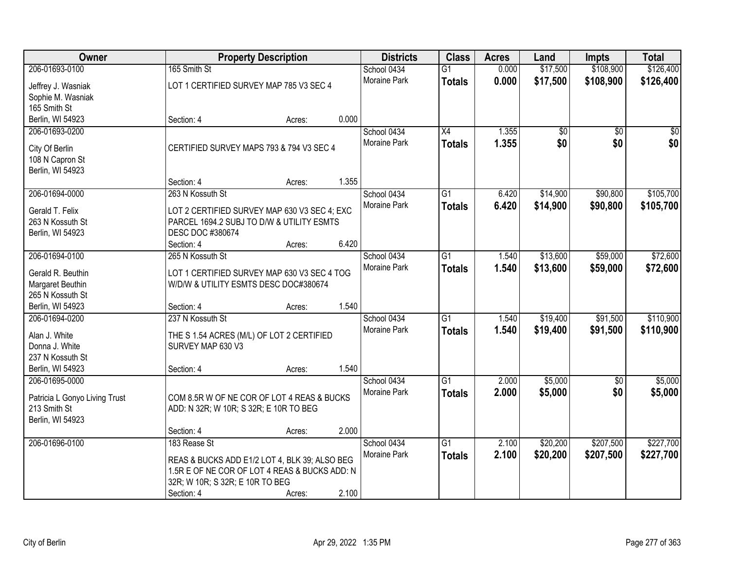| Owner                                |                                                                                           | <b>Property Description</b> |       | <b>Districts</b> | <b>Class</b>    | <b>Acres</b> | Land     | <b>Impts</b>    | <b>Total</b> |
|--------------------------------------|-------------------------------------------------------------------------------------------|-----------------------------|-------|------------------|-----------------|--------------|----------|-----------------|--------------|
| 206-01693-0100                       | 165 Smith St                                                                              |                             |       | School 0434      | $\overline{G1}$ | 0.000        | \$17,500 | \$108,900       | \$126,400    |
| Jeffrey J. Wasniak                   | LOT 1 CERTIFIED SURVEY MAP 785 V3 SEC 4                                                   |                             |       | Moraine Park     | <b>Totals</b>   | 0.000        | \$17,500 | \$108,900       | \$126,400    |
| Sophie M. Wasniak                    |                                                                                           |                             |       |                  |                 |              |          |                 |              |
| 165 Smith St                         |                                                                                           |                             |       |                  |                 |              |          |                 |              |
| Berlin, WI 54923                     | Section: 4                                                                                | Acres:                      | 0.000 |                  |                 |              |          |                 |              |
| 206-01693-0200                       |                                                                                           |                             |       | School 0434      | $\overline{X4}$ | 1.355        | \$0      | $\overline{50}$ | \$0          |
| City Of Berlin                       | CERTIFIED SURVEY MAPS 793 & 794 V3 SEC 4                                                  |                             |       | Moraine Park     | <b>Totals</b>   | 1.355        | \$0      | \$0             | \$0          |
| 108 N Capron St                      |                                                                                           |                             |       |                  |                 |              |          |                 |              |
| Berlin, WI 54923                     |                                                                                           |                             |       |                  |                 |              |          |                 |              |
|                                      | Section: 4                                                                                | Acres:                      | 1.355 |                  |                 |              |          |                 |              |
| 206-01694-0000                       | 263 N Kossuth St                                                                          |                             |       | School 0434      | $\overline{G1}$ | 6.420        | \$14,900 | \$90,800        | \$105,700    |
|                                      |                                                                                           |                             |       | Moraine Park     | <b>Totals</b>   | 6.420        | \$14,900 | \$90,800        | \$105,700    |
| Gerald T. Felix<br>263 N Kossuth St  | LOT 2 CERTIFIED SURVEY MAP 630 V3 SEC 4; EXC<br>PARCEL 1694.2 SUBJ TO D/W & UTILITY ESMTS |                             |       |                  |                 |              |          |                 |              |
| Berlin, WI 54923                     | DESC DOC #380674                                                                          |                             |       |                  |                 |              |          |                 |              |
|                                      | Section: 4                                                                                | Acres:                      | 6.420 |                  |                 |              |          |                 |              |
| 206-01694-0100                       | 265 N Kossuth St                                                                          |                             |       | School 0434      | $\overline{G1}$ | 1.540        | \$13,600 | \$59,000        | \$72,600     |
|                                      |                                                                                           |                             |       | Moraine Park     | <b>Totals</b>   | 1.540        | \$13,600 | \$59,000        | \$72,600     |
| Gerald R. Beuthin                    | LOT 1 CERTIFIED SURVEY MAP 630 V3 SEC 4 TOG                                               |                             |       |                  |                 |              |          |                 |              |
| Margaret Beuthin                     | W/D/W & UTILITY ESMTS DESC DOC#380674                                                     |                             |       |                  |                 |              |          |                 |              |
| 265 N Kossuth St<br>Berlin, WI 54923 | Section: 4                                                                                | Acres:                      | 1.540 |                  |                 |              |          |                 |              |
| 206-01694-0200                       | 237 N Kossuth St                                                                          |                             |       | School 0434      | $\overline{G1}$ | 1.540        | \$19,400 | \$91,500        | \$110,900    |
|                                      |                                                                                           |                             |       | Moraine Park     | <b>Totals</b>   | 1.540        | \$19,400 | \$91,500        | \$110,900    |
| Alan J. White                        | THE S 1.54 ACRES (M/L) OF LOT 2 CERTIFIED                                                 |                             |       |                  |                 |              |          |                 |              |
| Donna J. White                       | SURVEY MAP 630 V3                                                                         |                             |       |                  |                 |              |          |                 |              |
| 237 N Kossuth St                     |                                                                                           |                             |       |                  |                 |              |          |                 |              |
| Berlin, WI 54923                     | Section: 4                                                                                | Acres:                      | 1.540 |                  |                 |              |          |                 |              |
| 206-01695-0000                       |                                                                                           |                             |       | School 0434      | $\overline{G1}$ | 2.000        | \$5,000  | $\overline{50}$ | \$5,000      |
| Patricia L Gonyo Living Trust        | COM 8.5R W OF NE COR OF LOT 4 REAS & BUCKS                                                |                             |       | Moraine Park     | <b>Totals</b>   | 2.000        | \$5,000  | \$0             | \$5,000      |
| 213 Smith St                         | ADD: N 32R; W 10R; S 32R; E 10R TO BEG                                                    |                             |       |                  |                 |              |          |                 |              |
| Berlin, WI 54923                     |                                                                                           |                             |       |                  |                 |              |          |                 |              |
|                                      | Section: 4                                                                                | Acres:                      | 2.000 |                  |                 |              |          |                 |              |
| 206-01696-0100                       | 183 Rease St                                                                              |                             |       | School 0434      | $\overline{G1}$ | 2.100        | \$20,200 | \$207,500       | \$227,700    |
|                                      | REAS & BUCKS ADD E1/2 LOT 4, BLK 39; ALSO BEG                                             |                             |       | Moraine Park     | <b>Totals</b>   | 2.100        | \$20,200 | \$207,500       | \$227,700    |
|                                      | 1.5R E OF NE COR OF LOT 4 REAS & BUCKS ADD: N                                             |                             |       |                  |                 |              |          |                 |              |
|                                      | 32R; W 10R; S 32R; E 10R TO BEG                                                           |                             |       |                  |                 |              |          |                 |              |
|                                      | Section: 4                                                                                | Acres:                      | 2.100 |                  |                 |              |          |                 |              |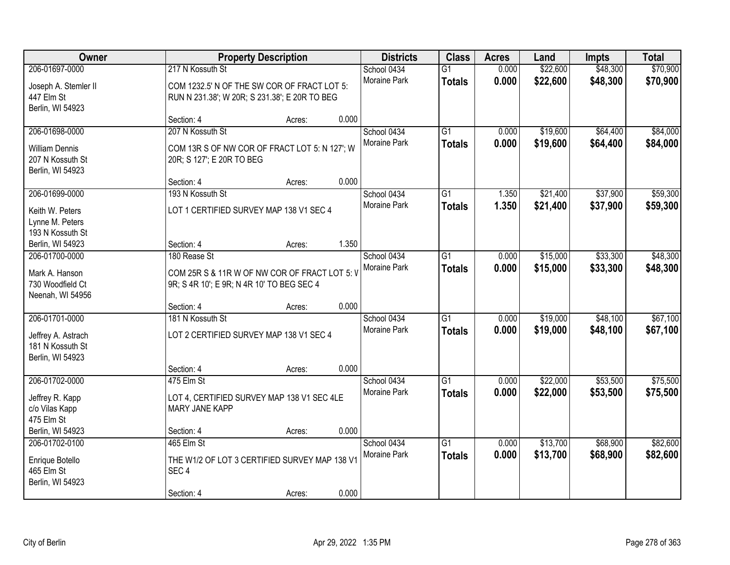| Owner                                                                           |                                                                                                                  | <b>Property Description</b> |       | <b>Districts</b>                   | <b>Class</b>                     | <b>Acres</b>   | Land                 | <b>Impts</b>         | <b>Total</b>         |
|---------------------------------------------------------------------------------|------------------------------------------------------------------------------------------------------------------|-----------------------------|-------|------------------------------------|----------------------------------|----------------|----------------------|----------------------|----------------------|
| 206-01697-0000<br>Joseph A. Stemler II<br>447 Elm St<br>Berlin, WI 54923        | 217 N Kossuth St<br>COM 1232.5' N OF THE SW COR OF FRACT LOT 5:<br>RUN N 231.38'; W 20R; S 231.38'; E 20R TO BEG |                             |       | School 0434<br>Moraine Park        | $\overline{G1}$<br><b>Totals</b> | 0.000<br>0.000 | \$22,600<br>\$22,600 | \$48,300<br>\$48,300 | \$70,900<br>\$70,900 |
|                                                                                 | Section: 4                                                                                                       | Acres:                      | 0.000 |                                    |                                  |                |                      |                      |                      |
| 206-01698-0000<br><b>William Dennis</b><br>207 N Kossuth St<br>Berlin, WI 54923 | 207 N Kossuth St<br>COM 13R S OF NW COR OF FRACT LOT 5: N 127'; W<br>20R; S 127'; E 20R TO BEG                   |                             |       | School 0434<br>Moraine Park        | $\overline{G1}$<br><b>Totals</b> | 0.000<br>0.000 | \$19,600<br>\$19,600 | \$64,400<br>\$64,400 | \$84,000<br>\$84,000 |
|                                                                                 | Section: 4                                                                                                       | Acres:                      | 0.000 |                                    |                                  |                |                      |                      |                      |
| 206-01699-0000<br>Keith W. Peters<br>Lynne M. Peters<br>193 N Kossuth St        | 193 N Kossuth St<br>LOT 1 CERTIFIED SURVEY MAP 138 V1 SEC 4                                                      |                             |       | School 0434<br>Moraine Park        | G1<br><b>Totals</b>              | 1.350<br>1.350 | \$21,400<br>\$21,400 | \$37,900<br>\$37,900 | \$59,300<br>\$59,300 |
| Berlin, WI 54923                                                                | Section: 4                                                                                                       | Acres:                      | 1.350 |                                    |                                  |                |                      |                      |                      |
| 206-01700-0000<br>Mark A. Hanson<br>730 Woodfield Ct<br>Neenah, WI 54956        | 180 Rease St<br>COM 25R S & 11R W OF NW COR OF FRACT LOT 5: V<br>9R; S 4R 10'; E 9R; N 4R 10' TO BEG SEC 4       |                             |       | School 0434<br>Moraine Park        | G1<br><b>Totals</b>              | 0.000<br>0.000 | \$15,000<br>\$15,000 | \$33,300<br>\$33,300 | \$48,300<br>\$48,300 |
|                                                                                 | Section: 4                                                                                                       | Acres:                      | 0.000 |                                    |                                  |                |                      |                      |                      |
| 206-01701-0000<br>Jeffrey A. Astrach<br>181 N Kossuth St<br>Berlin, WI 54923    | 181 N Kossuth St<br>LOT 2 CERTIFIED SURVEY MAP 138 V1 SEC 4                                                      |                             |       | School 0434<br><b>Moraine Park</b> | $\overline{G1}$<br><b>Totals</b> | 0.000<br>0.000 | \$19,000<br>\$19,000 | \$48,100<br>\$48,100 | \$67,100<br>\$67,100 |
|                                                                                 | Section: 4                                                                                                       | Acres:                      | 0.000 |                                    |                                  |                |                      |                      |                      |
| 206-01702-0000<br>Jeffrey R. Kapp<br>c/o Vilas Kapp<br>475 Elm St               | 475 Elm St<br>LOT 4, CERTIFIED SURVEY MAP 138 V1 SEC 4LE<br><b>MARY JANE KAPP</b>                                |                             |       | School 0434<br>Moraine Park        | $\overline{G1}$<br><b>Totals</b> | 0.000<br>0.000 | \$22,000<br>\$22,000 | \$53,500<br>\$53,500 | \$75,500<br>\$75,500 |
| Berlin, WI 54923                                                                | Section: 4                                                                                                       | Acres:                      | 0.000 |                                    |                                  |                |                      |                      |                      |
| 206-01702-0100<br>Enrique Botello<br>465 Elm St<br>Berlin, WI 54923             | 465 Elm St<br>THE W1/2 OF LOT 3 CERTIFIED SURVEY MAP 138 V1<br>SEC <sub>4</sub><br>Section: 4                    | Acres:                      | 0.000 | School 0434<br>Moraine Park        | $\overline{G1}$<br><b>Totals</b> | 0.000<br>0.000 | \$13,700<br>\$13,700 | \$68,900<br>\$68,900 | \$82,600<br>\$82,600 |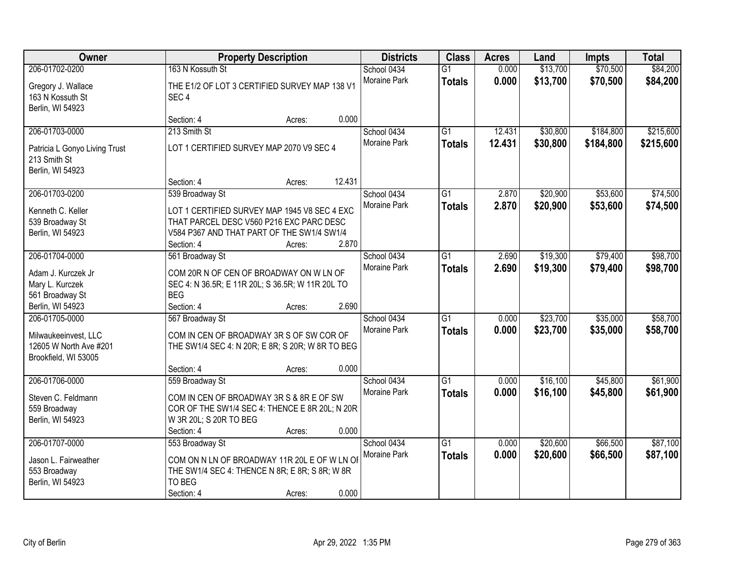| Owner                                                      |                                                                   | <b>Property Description</b> |        | <b>Districts</b>                   | <b>Class</b>                     | <b>Acres</b>     | Land                 | <b>Impts</b>           | <b>Total</b>           |
|------------------------------------------------------------|-------------------------------------------------------------------|-----------------------------|--------|------------------------------------|----------------------------------|------------------|----------------------|------------------------|------------------------|
| 206-01702-0200                                             | 163 N Kossuth St                                                  |                             |        | School 0434                        | $\overline{G1}$                  | 0.000            | \$13,700             | \$70,500               | \$84,200               |
| Gregory J. Wallace<br>163 N Kossuth St<br>Berlin, WI 54923 | THE E1/2 OF LOT 3 CERTIFIED SURVEY MAP 138 V1<br>SEC <sub>4</sub> |                             |        | Moraine Park                       | <b>Totals</b>                    | 0.000            | \$13,700             | \$70,500               | \$84,200               |
|                                                            | Section: 4                                                        | Acres:                      | 0.000  |                                    |                                  |                  |                      |                        |                        |
| 206-01703-0000<br>Patricia L Gonyo Living Trust            | 213 Smith St<br>LOT 1 CERTIFIED SURVEY MAP 2070 V9 SEC 4          |                             |        | School 0434<br><b>Moraine Park</b> | $\overline{G1}$<br><b>Totals</b> | 12.431<br>12.431 | \$30,800<br>\$30,800 | \$184,800<br>\$184,800 | \$215,600<br>\$215,600 |
| 213 Smith St<br>Berlin, WI 54923                           |                                                                   |                             |        |                                    |                                  |                  |                      |                        |                        |
|                                                            | Section: 4                                                        | Acres:                      | 12.431 |                                    |                                  |                  |                      |                        |                        |
| 206-01703-0200                                             | 539 Broadway St                                                   |                             |        | School 0434                        | $\overline{G1}$                  | 2.870            | \$20,900             | \$53,600               | \$74,500               |
| Kenneth C. Keller                                          | LOT 1 CERTIFIED SURVEY MAP 1945 V8 SEC 4 EXC                      |                             |        | Moraine Park                       | <b>Totals</b>                    | 2.870            | \$20,900             | \$53,600               | \$74,500               |
| 539 Broadway St                                            | THAT PARCEL DESC V560 P216 EXC PARC DESC                          |                             |        |                                    |                                  |                  |                      |                        |                        |
| Berlin, WI 54923                                           | V584 P367 AND THAT PART OF THE SW1/4 SW1/4                        |                             |        |                                    |                                  |                  |                      |                        |                        |
|                                                            | Section: 4                                                        | Acres:                      | 2.870  |                                    |                                  |                  |                      |                        |                        |
| 206-01704-0000                                             | 561 Broadway St                                                   |                             |        | School 0434<br><b>Moraine Park</b> | $\overline{G1}$                  | 2.690            | \$19,300             | \$79,400               | \$98,700               |
| Adam J. Kurczek Jr                                         | COM 20R N OF CEN OF BROADWAY ON W LN OF                           |                             |        |                                    | <b>Totals</b>                    | 2.690            | \$19,300             | \$79,400               | \$98,700               |
| Mary L. Kurczek                                            | SEC 4: N 36.5R; E 11R 20L; S 36.5R; W 11R 20L TO                  |                             |        |                                    |                                  |                  |                      |                        |                        |
| 561 Broadway St                                            | <b>BEG</b>                                                        |                             |        |                                    |                                  |                  |                      |                        |                        |
| Berlin, WI 54923                                           | Section: 4                                                        | Acres:                      | 2.690  |                                    |                                  |                  |                      |                        |                        |
| 206-01705-0000                                             | 567 Broadway St                                                   |                             |        | School 0434<br><b>Moraine Park</b> | $\overline{G1}$                  | 0.000            | \$23,700             | \$35,000               | \$58,700               |
| Milwaukeeinvest, LLC                                       | COM IN CEN OF BROADWAY 3R S OF SW COR OF                          |                             |        |                                    | <b>Totals</b>                    | 0.000            | \$23,700             | \$35,000               | \$58,700               |
| 12605 W North Ave #201                                     | THE SW1/4 SEC 4: N 20R; E 8R; S 20R; W 8R TO BEG                  |                             |        |                                    |                                  |                  |                      |                        |                        |
| Brookfield, WI 53005                                       |                                                                   |                             |        |                                    |                                  |                  |                      |                        |                        |
|                                                            | Section: 4                                                        | Acres:                      | 0.000  |                                    |                                  |                  |                      |                        |                        |
| 206-01706-0000                                             | 559 Broadway St                                                   |                             |        | School 0434<br><b>Moraine Park</b> | $\overline{G1}$                  | 0.000            | \$16,100             | \$45,800               | \$61,900               |
| Steven C. Feldmann                                         | COM IN CEN OF BROADWAY 3R S & 8R E OF SW                          |                             |        |                                    | <b>Totals</b>                    | 0.000            | \$16,100             | \$45,800               | \$61,900               |
| 559 Broadway                                               | COR OF THE SW1/4 SEC 4: THENCE E 8R 20L; N 20R                    |                             |        |                                    |                                  |                  |                      |                        |                        |
| Berlin, WI 54923                                           | W 3R 20L; S 20R TO BEG                                            |                             |        |                                    |                                  |                  |                      |                        |                        |
|                                                            | Section: 4                                                        | Acres:                      | 0.000  |                                    |                                  |                  |                      |                        |                        |
| 206-01707-0000                                             | 553 Broadway St                                                   |                             |        | School 0434<br><b>Moraine Park</b> | $\overline{G1}$                  | 0.000            | \$20,600             | \$66,500               | \$87,100               |
| Jason L. Fairweather                                       | COM ON N LN OF BROADWAY 11R 20L E OF W LN OF                      |                             |        |                                    | <b>Totals</b>                    | 0.000            | \$20,600             | \$66,500               | \$87,100               |
| 553 Broadway                                               | THE SW1/4 SEC 4: THENCE N 8R; E 8R; S 8R; W 8R                    |                             |        |                                    |                                  |                  |                      |                        |                        |
| Berlin, WI 54923                                           | TO BEG                                                            |                             |        |                                    |                                  |                  |                      |                        |                        |
|                                                            | Section: 4                                                        | Acres:                      | 0.000  |                                    |                                  |                  |                      |                        |                        |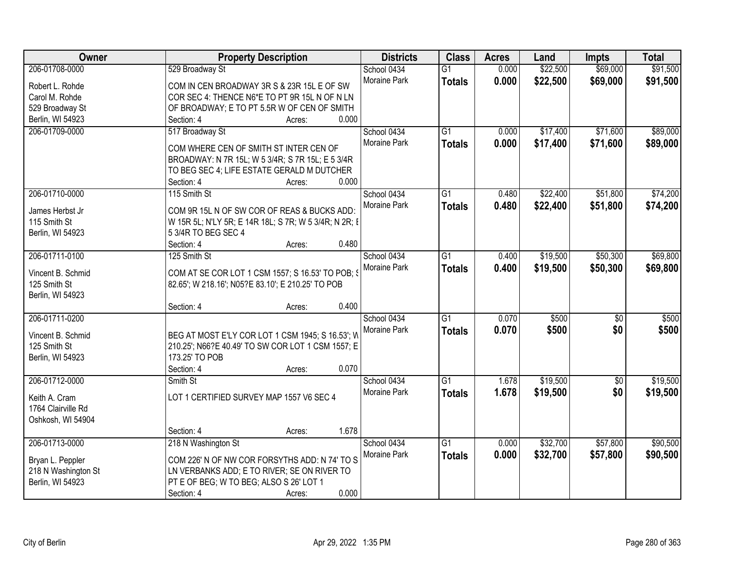| Owner               | <b>Property Description</b>                           |       | <b>Districts</b>    | <b>Class</b>    | <b>Acres</b> | Land     | <b>Impts</b>    | <b>Total</b> |
|---------------------|-------------------------------------------------------|-------|---------------------|-----------------|--------------|----------|-----------------|--------------|
| 206-01708-0000      | 529 Broadway St                                       |       | School 0434         | $\overline{G1}$ | 0.000        | \$22,500 | \$69,000        | \$91,500     |
| Robert L. Rohde     | COM IN CEN BROADWAY 3R S & 23R 15L E OF SW            |       | Moraine Park        | <b>Totals</b>   | 0.000        | \$22,500 | \$69,000        | \$91,500     |
| Carol M. Rohde      | COR SEC 4: THENCE N6*E TO PT 9R 15L N OF N LN         |       |                     |                 |              |          |                 |              |
| 529 Broadway St     | OF BROADWAY; E TO PT 5.5R W OF CEN OF SMITH           |       |                     |                 |              |          |                 |              |
| Berlin, WI 54923    | Section: 4<br>Acres:                                  | 0.000 |                     |                 |              |          |                 |              |
| 206-01709-0000      | 517 Broadway St                                       |       | School 0434         | $\overline{G1}$ | 0.000        | \$17,400 | \$71,600        | \$89,000     |
|                     |                                                       |       | <b>Moraine Park</b> | <b>Totals</b>   | 0.000        | \$17,400 | \$71,600        | \$89,000     |
|                     | COM WHERE CEN OF SMITH ST INTER CEN OF                |       |                     |                 |              |          |                 |              |
|                     | BROADWAY: N 7R 15L; W 5 3/4R; S 7R 15L; E 5 3/4R      |       |                     |                 |              |          |                 |              |
|                     | TO BEG SEC 4; LIFE ESTATE GERALD M DUTCHER            |       |                     |                 |              |          |                 |              |
|                     | Section: 4<br>Acres:                                  | 0.000 |                     |                 |              |          |                 |              |
| 206-01710-0000      | 115 Smith St                                          |       | School 0434         | G1              | 0.480        | \$22,400 | \$51,800        | \$74,200     |
| James Herbst Jr     | COM 9R 15L N OF SW COR OF REAS & BUCKS ADD:           |       | Moraine Park        | <b>Totals</b>   | 0.480        | \$22,400 | \$51,800        | \$74,200     |
| 115 Smith St        | W 15R 5L; N'LY 5R; E 14R 18L; S 7R; W 5 3/4R; N 2R; I |       |                     |                 |              |          |                 |              |
| Berlin, WI 54923    | 5 3/4R TO BEG SEC 4                                   |       |                     |                 |              |          |                 |              |
|                     | Section: 4<br>Acres:                                  | 0.480 |                     |                 |              |          |                 |              |
| 206-01711-0100      | 125 Smith St                                          |       | School 0434         | G1              | 0.400        | \$19,500 | \$50,300        | \$69,800     |
|                     |                                                       |       | Moraine Park        | <b>Totals</b>   | 0.400        | \$19,500 | \$50,300        | \$69,800     |
| Vincent B. Schmid   | COM AT SE COR LOT 1 CSM 1557; S 16.53' TO POB; S      |       |                     |                 |              |          |                 |              |
| 125 Smith St        | 82.65'; W 218.16'; N05?E 83.10'; E 210.25' TO POB     |       |                     |                 |              |          |                 |              |
| Berlin, WI 54923    |                                                       |       |                     |                 |              |          |                 |              |
|                     | Section: 4<br>Acres:                                  | 0.400 |                     |                 |              |          |                 |              |
| 206-01711-0200      |                                                       |       | School 0434         | $\overline{G1}$ | 0.070        | \$500    | $\overline{50}$ | \$500        |
| Vincent B. Schmid   | BEG AT MOST E'LY COR LOT 1 CSM 1945; S 16.53'; W      |       | Moraine Park        | <b>Totals</b>   | 0.070        | \$500    | \$0             | \$500        |
| 125 Smith St        | 210.25'; N66?E 40.49' TO SW COR LOT 1 CSM 1557; E     |       |                     |                 |              |          |                 |              |
| Berlin, WI 54923    | 173.25' TO POB                                        |       |                     |                 |              |          |                 |              |
|                     | Section: 4<br>Acres:                                  | 0.070 |                     |                 |              |          |                 |              |
| 206-01712-0000      | Smith St                                              |       | School 0434         | $\overline{G1}$ | 1.678        | \$19,500 | $\overline{50}$ | \$19,500     |
|                     |                                                       |       | Moraine Park        | <b>Totals</b>   | 1.678        | \$19,500 | \$0             | \$19,500     |
| Keith A. Cram       | LOT 1 CERTIFIED SURVEY MAP 1557 V6 SEC 4              |       |                     |                 |              |          |                 |              |
| 1764 Clairville Rd  |                                                       |       |                     |                 |              |          |                 |              |
| Oshkosh, WI 54904   |                                                       |       |                     |                 |              |          |                 |              |
|                     | Section: 4<br>Acres:                                  | 1.678 |                     |                 |              |          |                 |              |
| 206-01713-0000      | 218 N Washington St                                   |       | School 0434         | $\overline{G1}$ | 0.000        | \$32,700 | \$57,800        | \$90,500     |
| Bryan L. Peppler    | COM 226' N OF NW COR FORSYTHS ADD: N 74' TO S         |       | Moraine Park        | <b>Totals</b>   | 0.000        | \$32,700 | \$57,800        | \$90,500     |
| 218 N Washington St | LN VERBANKS ADD; E TO RIVER; SE ON RIVER TO           |       |                     |                 |              |          |                 |              |
| Berlin, WI 54923    | PT E OF BEG; W TO BEG; ALSO S 26' LOT 1               |       |                     |                 |              |          |                 |              |
|                     | Section: 4<br>Acres:                                  | 0.000 |                     |                 |              |          |                 |              |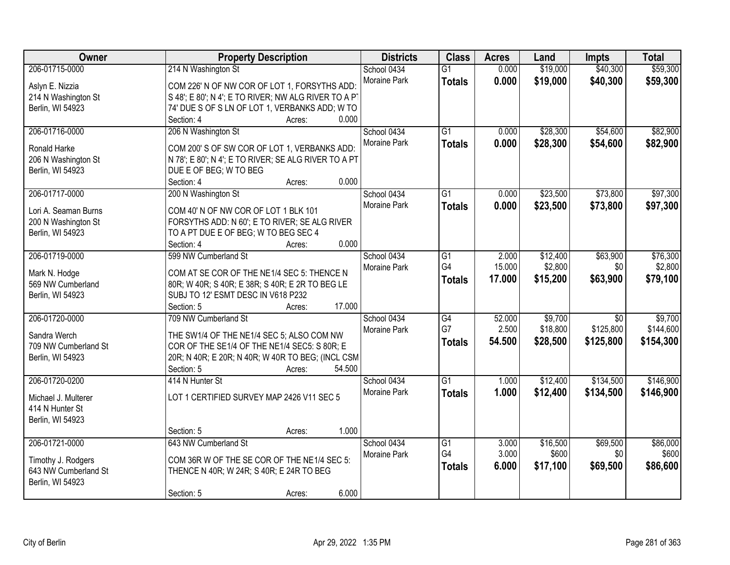| Owner                | <b>Property Description</b>                          | <b>Districts</b>            | <b>Class</b>    | <b>Acres</b> | Land     | <b>Impts</b>    | <b>Total</b> |
|----------------------|------------------------------------------------------|-----------------------------|-----------------|--------------|----------|-----------------|--------------|
| 206-01715-0000       | 214 N Washington St                                  | School 0434                 | $\overline{G1}$ | 0.000        | \$19,000 | \$40,300        | \$59,300     |
| Aslyn E. Nizzia      | COM 226' N OF NW COR OF LOT 1, FORSYTHS ADD:         | Moraine Park                | <b>Totals</b>   | 0.000        | \$19,000 | \$40,300        | \$59,300     |
| 214 N Washington St  | S 48'; E 80'; N 4'; E TO RIVER; NW ALG RIVER TO A PT |                             |                 |              |          |                 |              |
| Berlin, WI 54923     | 74' DUE S OF S LN OF LOT 1, VERBANKS ADD; W TO       |                             |                 |              |          |                 |              |
|                      | 0.000<br>Section: 4<br>Acres:                        |                             |                 |              |          |                 |              |
| 206-01716-0000       | 206 N Washington St                                  | School 0434                 | $\overline{G1}$ | 0.000        | \$28,300 | \$54,600        | \$82,900     |
|                      |                                                      | Moraine Park                | <b>Totals</b>   | 0.000        | \$28,300 | \$54,600        | \$82,900     |
| Ronald Harke         | COM 200'S OF SW COR OF LOT 1, VERBANKS ADD:          |                             |                 |              |          |                 |              |
| 206 N Washington St  | N 78'; E 80'; N 4'; E TO RIVER; SE ALG RIVER TO A PT |                             |                 |              |          |                 |              |
| Berlin, WI 54923     | DUE E OF BEG; W TO BEG<br>0.000<br>Acres:            |                             |                 |              |          |                 |              |
| 206-01717-0000       | Section: 4                                           |                             | G1              | 0.000        | \$23,500 | \$73,800        | \$97,300     |
|                      | 200 N Washington St                                  | School 0434<br>Moraine Park |                 |              |          |                 |              |
| Lori A. Seaman Burns | COM 40' N OF NW COR OF LOT 1 BLK 101                 |                             | <b>Totals</b>   | 0.000        | \$23,500 | \$73,800        | \$97,300     |
| 200 N Washington St  | FORSYTHS ADD: N 60'; E TO RIVER; SE ALG RIVER        |                             |                 |              |          |                 |              |
| Berlin, WI 54923     | TO A PT DUE E OF BEG; W TO BEG SEC 4                 |                             |                 |              |          |                 |              |
|                      | 0.000<br>Section: 4<br>Acres:                        |                             |                 |              |          |                 |              |
| 206-01719-0000       | 599 NW Cumberland St                                 | School 0434                 | G1              | 2.000        | \$12,400 | \$63,900        | \$76,300     |
| Mark N. Hodge        | COM AT SE COR OF THE NE1/4 SEC 5: THENCE N           | Moraine Park                | G4              | 15.000       | \$2,800  | \$0             | \$2,800      |
| 569 NW Cumberland    | 80R; W 40R; S 40R; E 38R; S 40R; E 2R TO BEG LE      |                             | <b>Totals</b>   | 17.000       | \$15,200 | \$63,900        | \$79,100     |
| Berlin, WI 54923     | SUBJ TO 12' ESMT DESC IN V618 P232                   |                             |                 |              |          |                 |              |
|                      | 17.000<br>Section: 5<br>Acres:                       |                             |                 |              |          |                 |              |
| 206-01720-0000       | 709 NW Cumberland St                                 | School 0434                 | $\overline{G4}$ | 52.000       | \$9,700  | $\overline{30}$ | \$9,700      |
|                      |                                                      | Moraine Park                | G7              | 2.500        | \$18,800 | \$125,800       | \$144,600    |
| Sandra Werch         | THE SW1/4 OF THE NE1/4 SEC 5; ALSO COM NW            |                             | <b>Totals</b>   | 54.500       | \$28,500 | \$125,800       | \$154,300    |
| 709 NW Cumberland St | COR OF THE SE1/4 OF THE NE1/4 SEC5: S 80R; E         |                             |                 |              |          |                 |              |
| Berlin, WI 54923     | 20R; N 40R; E 20R; N 40R; W 40R TO BEG; (INCL CSM    |                             |                 |              |          |                 |              |
|                      | 54.500<br>Section: 5<br>Acres:                       |                             |                 |              |          |                 |              |
| 206-01720-0200       | 414 N Hunter St                                      | School 0434                 | $\overline{G1}$ | 1.000        | \$12,400 | \$134,500       | \$146,900    |
| Michael J. Multerer  | LOT 1 CERTIFIED SURVEY MAP 2426 V11 SEC 5            | Moraine Park                | <b>Totals</b>   | 1.000        | \$12,400 | \$134,500       | \$146,900    |
| 414 N Hunter St      |                                                      |                             |                 |              |          |                 |              |
| Berlin, WI 54923     |                                                      |                             |                 |              |          |                 |              |
|                      | 1.000<br>Section: 5<br>Acres:                        |                             |                 |              |          |                 |              |
| 206-01721-0000       | 643 NW Cumberland St                                 | School 0434                 | $\overline{G1}$ | 3.000        | \$16,500 | \$69,500        | \$86,000     |
|                      |                                                      | Moraine Park                | G4              | 3.000        | \$600    | \$0             | \$600        |
| Timothy J. Rodgers   | COM 36R W OF THE SE COR OF THE NE1/4 SEC 5:          |                             | <b>Totals</b>   | 6.000        | \$17,100 | \$69,500        | \$86,600     |
| 643 NW Cumberland St | THENCE N 40R; W 24R; S 40R; E 24R TO BEG             |                             |                 |              |          |                 |              |
| Berlin, WI 54923     |                                                      |                             |                 |              |          |                 |              |
|                      | 6.000<br>Section: 5<br>Acres:                        |                             |                 |              |          |                 |              |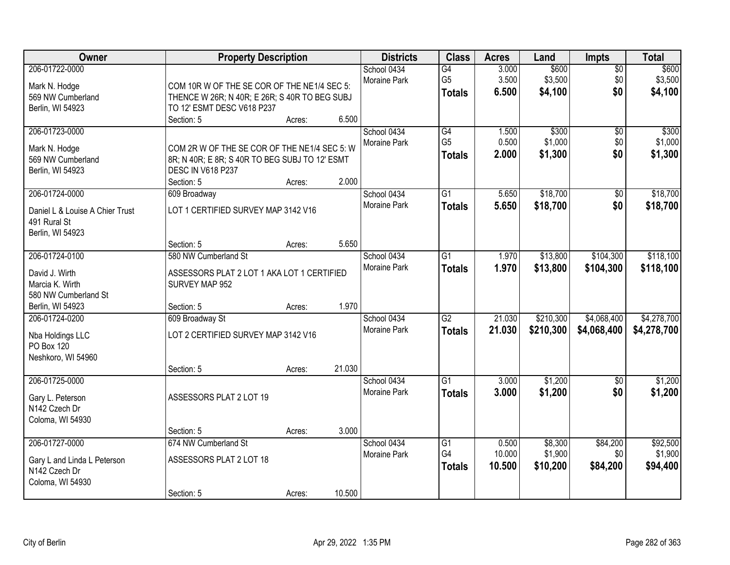| Owner                                                                                      |                                                                                                                                   | <b>Property Description</b> |                 | <b>Districts</b>            | <b>Class</b>                           | <b>Acres</b>              | Land                           | Impts                         | <b>Total</b>                    |
|--------------------------------------------------------------------------------------------|-----------------------------------------------------------------------------------------------------------------------------------|-----------------------------|-----------------|-----------------------------|----------------------------------------|---------------------------|--------------------------------|-------------------------------|---------------------------------|
| 206-01722-0000<br>Mark N. Hodge<br>569 NW Cumberland<br>Berlin, WI 54923                   | COM 10R W OF THE SE COR OF THE NE1/4 SEC 5:<br>THENCE W 26R; N 40R; E 26R; S 40R TO BEG SUBJ<br>TO 12' ESMT DESC V618 P237        |                             |                 | School 0434<br>Moraine Park | G4<br>G <sub>5</sub><br><b>Totals</b>  | 3.000<br>3.500<br>6.500   | \$600<br>\$3,500<br>\$4,100    | $\overline{50}$<br>\$0<br>\$0 | \$600<br>\$3,500<br>\$4,100     |
| 206-01723-0000<br>Mark N. Hodge<br>569 NW Cumberland<br>Berlin, WI 54923                   | Section: 5<br>COM 2R W OF THE SE COR OF THE NE1/4 SEC 5: W<br>8R; N 40R; E 8R; S 40R TO BEG SUBJ TO 12' ESMT<br>DESC IN V618 P237 | Acres:                      | 6.500           | School 0434<br>Moraine Park | G4<br>G <sub>5</sub><br><b>Totals</b>  | 1.500<br>0.500<br>2.000   | \$300<br>\$1,000<br>\$1,300    | $\overline{50}$<br>\$0<br>\$0 | \$300<br>\$1,000<br>\$1,300     |
| 206-01724-0000<br>Daniel L & Louise A Chier Trust<br>491 Rural St<br>Berlin, WI 54923      | Section: 5<br>609 Broadway<br>LOT 1 CERTIFIED SURVEY MAP 3142 V16                                                                 | Acres:                      | 2.000           | School 0434<br>Moraine Park | G1<br><b>Totals</b>                    | 5.650<br>5.650            | \$18,700<br>\$18,700           | \$0<br>\$0                    | \$18,700<br>\$18,700            |
| 206-01724-0100<br>David J. Wirth<br>Marcia K. Wirth<br>580 NW Cumberland St                | Section: 5<br>580 NW Cumberland St<br>ASSESSORS PLAT 2 LOT 1 AKA LOT 1 CERTIFIED<br>SURVEY MAP 952                                | Acres:                      | 5.650           | School 0434<br>Moraine Park | G1<br><b>Totals</b>                    | 1.970<br>1.970            | \$13,800<br>\$13,800           | \$104,300<br>\$104,300        | \$118,100<br>\$118,100          |
| Berlin, WI 54923<br>206-01724-0200<br>Nba Holdings LLC<br>PO Box 120<br>Neshkoro, WI 54960 | Section: 5<br>609 Broadway St<br>LOT 2 CERTIFIED SURVEY MAP 3142 V16<br>Section: 5                                                | Acres:<br>Acres:            | 1.970<br>21.030 | School 0434<br>Moraine Park | $\overline{G2}$<br><b>Totals</b>       | 21.030<br>21.030          | \$210,300<br>\$210,300         | \$4,068,400<br>\$4,068,400    | \$4,278,700<br>\$4,278,700      |
| 206-01725-0000<br>Gary L. Peterson<br>N142 Czech Dr<br>Coloma, WI 54930                    | ASSESSORS PLAT 2 LOT 19                                                                                                           |                             | 3.000           | School 0434<br>Moraine Park | $\overline{G1}$<br><b>Totals</b>       | 3.000<br>3.000            | \$1,200<br>\$1,200             | $\overline{50}$<br>\$0        | \$1,200<br>\$1,200              |
| 206-01727-0000<br>Gary L and Linda L Peterson<br>N142 Czech Dr<br>Coloma, WI 54930         | Section: 5<br>674 NW Cumberland St<br>ASSESSORS PLAT 2 LOT 18<br>Section: 5                                                       | Acres:<br>Acres:            | 10.500          | School 0434<br>Moraine Park | $\overline{G1}$<br>G4<br><b>Totals</b> | 0.500<br>10.000<br>10.500 | \$8,300<br>\$1,900<br>\$10,200 | \$84,200<br>\$0<br>\$84,200   | \$92,500<br>\$1,900<br>\$94,400 |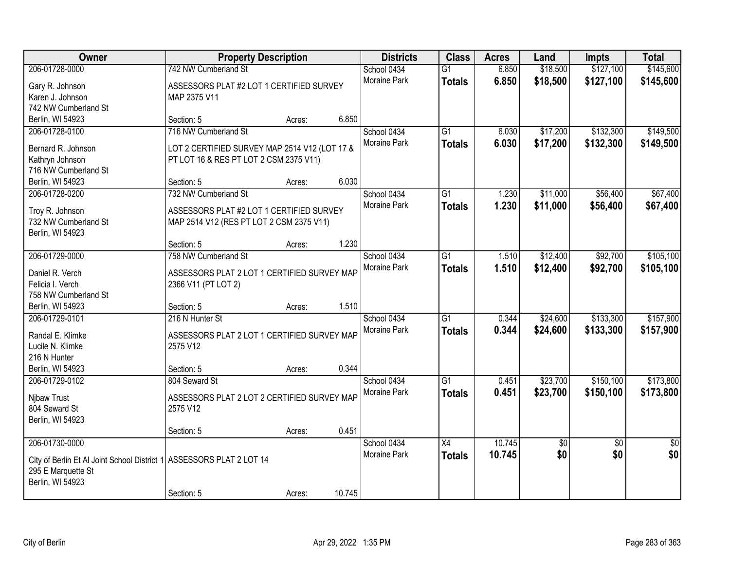| Owner                                                                  | <b>Property Description</b>                   |        |        | <b>Districts</b>    | <b>Class</b>    | <b>Acres</b> | Land            | <b>Impts</b>    | <b>Total</b> |
|------------------------------------------------------------------------|-----------------------------------------------|--------|--------|---------------------|-----------------|--------------|-----------------|-----------------|--------------|
| 206-01728-0000                                                         | 742 NW Cumberland St                          |        |        | School 0434         | $\overline{G1}$ | 6.850        | \$18,500        | \$127,100       | \$145,600    |
| Gary R. Johnson                                                        | ASSESSORS PLAT #2 LOT 1 CERTIFIED SURVEY      |        |        | Moraine Park        | <b>Totals</b>   | 6.850        | \$18,500        | \$127,100       | \$145,600    |
| Karen J. Johnson                                                       | MAP 2375 V11                                  |        |        |                     |                 |              |                 |                 |              |
| 742 NW Cumberland St                                                   |                                               |        |        |                     |                 |              |                 |                 |              |
| Berlin, WI 54923                                                       | Section: 5                                    | Acres: | 6.850  |                     |                 |              |                 |                 |              |
| 206-01728-0100                                                         | 716 NW Cumberland St                          |        |        | School 0434         | $\overline{G1}$ | 6.030        | \$17,200        | \$132,300       | \$149,500    |
|                                                                        |                                               |        |        | Moraine Park        | <b>Totals</b>   | 6.030        | \$17,200        | \$132,300       | \$149,500    |
| Bernard R. Johnson                                                     | LOT 2 CERTIFIED SURVEY MAP 2514 V12 (LOT 17 & |        |        |                     |                 |              |                 |                 |              |
| Kathryn Johnson                                                        | PT LOT 16 & RES PT LOT 2 CSM 2375 V11)        |        |        |                     |                 |              |                 |                 |              |
| 716 NW Cumberland St                                                   |                                               |        |        |                     |                 |              |                 |                 |              |
| Berlin, WI 54923                                                       | Section: 5                                    | Acres: | 6.030  |                     |                 |              |                 |                 |              |
| 206-01728-0200                                                         | 732 NW Cumberland St                          |        |        | School 0434         | G1              | 1.230        | \$11,000        | \$56,400        | \$67,400     |
| Troy R. Johnson                                                        | ASSESSORS PLAT #2 LOT 1 CERTIFIED SURVEY      |        |        | Moraine Park        | <b>Totals</b>   | 1.230        | \$11,000        | \$56,400        | \$67,400     |
| 732 NW Cumberland St                                                   | MAP 2514 V12 (RES PT LOT 2 CSM 2375 V11)      |        |        |                     |                 |              |                 |                 |              |
| Berlin, WI 54923                                                       |                                               |        |        |                     |                 |              |                 |                 |              |
|                                                                        | Section: 5                                    | Acres: | 1.230  |                     |                 |              |                 |                 |              |
| 206-01729-0000                                                         | 758 NW Cumberland St                          |        |        | School 0434         | G1              | 1.510        | \$12,400        | \$92,700        | \$105,100    |
|                                                                        |                                               |        |        | Moraine Park        | <b>Totals</b>   | 1.510        | \$12,400        | \$92,700        | \$105,100    |
| Daniel R. Verch                                                        | ASSESSORS PLAT 2 LOT 1 CERTIFIED SURVEY MAP   |        |        |                     |                 |              |                 |                 |              |
| Felicia I. Verch<br>758 NW Cumberland St                               | 2366 V11 (PT LOT 2)                           |        |        |                     |                 |              |                 |                 |              |
|                                                                        |                                               |        |        |                     |                 |              |                 |                 |              |
| Berlin, WI 54923                                                       | Section: 5<br>216 N Hunter St                 | Acres: | 1.510  |                     | $\overline{G1}$ |              |                 |                 |              |
| 206-01729-0101                                                         |                                               |        |        | School 0434         |                 | 0.344        | \$24,600        | \$133,300       | \$157,900    |
| Randal E. Klimke                                                       | ASSESSORS PLAT 2 LOT 1 CERTIFIED SURVEY MAP   |        |        | Moraine Park        | <b>Totals</b>   | 0.344        | \$24,600        | \$133,300       | \$157,900    |
| Lucile N. Klimke                                                       | 2575 V12                                      |        |        |                     |                 |              |                 |                 |              |
| 216 N Hunter                                                           |                                               |        |        |                     |                 |              |                 |                 |              |
| Berlin, WI 54923                                                       | Section: 5                                    | Acres: | 0.344  |                     |                 |              |                 |                 |              |
| 206-01729-0102                                                         | 804 Seward St                                 |        |        | School 0434         | $\overline{G1}$ | 0.451        | \$23,700        | \$150,100       | \$173,800    |
|                                                                        |                                               |        |        | Moraine Park        | <b>Totals</b>   | 0.451        | \$23,700        | \$150,100       | \$173,800    |
| Nibaw Trust                                                            | ASSESSORS PLAT 2 LOT 2 CERTIFIED SURVEY MAP   |        |        |                     |                 |              |                 |                 |              |
| 804 Seward St                                                          | 2575 V12                                      |        |        |                     |                 |              |                 |                 |              |
| Berlin, WI 54923                                                       | Section: 5                                    |        | 0.451  |                     |                 |              |                 |                 |              |
| 206-01730-0000                                                         |                                               | Acres: |        | School 0434         | $\overline{X4}$ | 10.745       | $\overline{60}$ | $\overline{50}$ | \$0          |
|                                                                        |                                               |        |        |                     |                 |              |                 |                 |              |
| City of Berlin Et Al Joint School District 1   ASSESSORS PLAT 2 LOT 14 |                                               |        |        | <b>Moraine Park</b> | <b>Totals</b>   | 10.745       | \$0             | \$0             | \$0          |
| 295 E Marquette St                                                     |                                               |        |        |                     |                 |              |                 |                 |              |
| Berlin, WI 54923                                                       |                                               |        |        |                     |                 |              |                 |                 |              |
|                                                                        | Section: 5                                    | Acres: | 10.745 |                     |                 |              |                 |                 |              |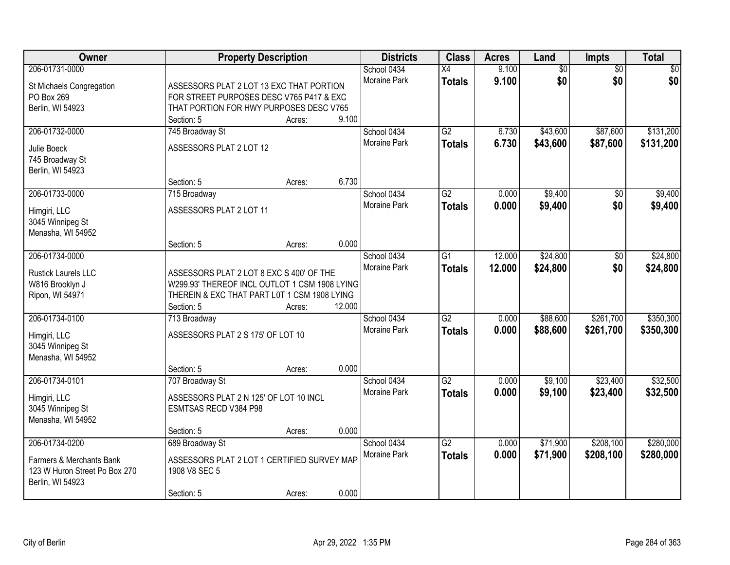| <b>Owner</b>                                                                  | <b>Property Description</b>                                                                                                                             |        |        | <b>Districts</b>                   | <b>Class</b>                     | <b>Acres</b>   | Land                   | Impts                  | <b>Total</b> |
|-------------------------------------------------------------------------------|---------------------------------------------------------------------------------------------------------------------------------------------------------|--------|--------|------------------------------------|----------------------------------|----------------|------------------------|------------------------|--------------|
| 206-01731-0000<br>St Michaels Congregation<br>PO Box 269                      | ASSESSORS PLAT 2 LOT 13 EXC THAT PORTION<br>FOR STREET PURPOSES DESC V765 P417 & EXC                                                                    |        |        | School 0434<br><b>Moraine Park</b> | $\overline{X4}$<br><b>Totals</b> | 9.100<br>9.100 | $\overline{50}$<br>\$0 | $\overline{50}$<br>\$0 | \$0<br>\$0   |
| Berlin, WI 54923                                                              | THAT PORTION FOR HWY PURPOSES DESC V765<br>Section: 5                                                                                                   | Acres: | 9.100  |                                    |                                  |                |                        |                        |              |
| 206-01732-0000                                                                | 745 Broadway St                                                                                                                                         |        |        | School 0434                        | G2                               | 6.730          | \$43,600               | \$87,600               | \$131,200    |
| Julie Boeck<br>745 Broadway St<br>Berlin, WI 54923                            | ASSESSORS PLAT 2 LOT 12                                                                                                                                 |        |        | <b>Moraine Park</b>                | <b>Totals</b>                    | 6.730          | \$43,600               | \$87,600               | \$131,200    |
|                                                                               | Section: 5                                                                                                                                              | Acres: | 6.730  |                                    |                                  |                |                        |                        |              |
| 206-01733-0000                                                                | 715 Broadway                                                                                                                                            |        |        | School 0434                        | $\overline{G2}$                  | 0.000          | \$9,400                | \$0                    | \$9,400      |
| Himgiri, LLC<br>3045 Winnipeg St<br>Menasha, WI 54952                         | ASSESSORS PLAT 2 LOT 11                                                                                                                                 |        |        | Moraine Park                       | <b>Totals</b>                    | 0.000          | \$9,400                | \$0                    | \$9,400      |
|                                                                               | Section: 5                                                                                                                                              | Acres: | 0.000  |                                    |                                  |                |                        |                        |              |
| 206-01734-0000                                                                |                                                                                                                                                         |        |        | School 0434                        | G1                               | 12.000         | \$24,800               | \$0                    | \$24,800     |
| <b>Rustick Laurels LLC</b><br>W816 Brooklyn J<br>Ripon, WI 54971              | ASSESSORS PLAT 2 LOT 8 EXC S 400' OF THE<br>W299.93' THEREOF INCL OUTLOT 1 CSM 1908 LYING<br>THEREIN & EXC THAT PART LOT 1 CSM 1908 LYING<br>Section: 5 | Acres: | 12.000 | <b>Moraine Park</b>                | <b>Totals</b>                    | 12.000         | \$24,800               | \$0                    | \$24,800     |
| 206-01734-0100                                                                | 713 Broadway                                                                                                                                            |        |        | School 0434                        | $\overline{G2}$                  | 0.000          | \$88,600               | \$261,700              | \$350,300    |
| Himgiri, LLC<br>3045 Winnipeg St<br>Menasha, WI 54952                         | ASSESSORS PLAT 2 S 175' OF LOT 10                                                                                                                       |        |        | <b>Moraine Park</b>                | <b>Totals</b>                    | 0.000          | \$88,600               | \$261,700              | \$350,300    |
|                                                                               | Section: 5                                                                                                                                              | Acres: | 0.000  |                                    |                                  |                |                        |                        |              |
| 206-01734-0101                                                                | 707 Broadway St                                                                                                                                         |        |        | School 0434                        | $\overline{G2}$                  | 0.000          | \$9,100                | \$23,400               | \$32,500     |
| Himgiri, LLC<br>3045 Winnipeg St<br>Menasha, WI 54952                         | ASSESSORS PLAT 2 N 125' OF LOT 10 INCL<br>ESMTSAS RECD V384 P98                                                                                         |        |        | Moraine Park                       | <b>Totals</b>                    | 0.000          | \$9,100                | \$23,400               | \$32,500     |
|                                                                               | Section: 5                                                                                                                                              | Acres: | 0.000  |                                    |                                  |                |                        |                        |              |
| 206-01734-0200                                                                | 689 Broadway St                                                                                                                                         |        |        | School 0434                        | $\overline{G2}$                  | 0.000          | \$71,900               | \$208,100              | \$280,000    |
| Farmers & Merchants Bank<br>123 W Huron Street Po Box 270<br>Berlin, WI 54923 | ASSESSORS PLAT 2 LOT 1 CERTIFIED SURVEY MAP<br>1908 V8 SEC 5                                                                                            |        |        | <b>Moraine Park</b>                | <b>Totals</b>                    | 0.000          | \$71,900               | \$208,100              | \$280,000    |
|                                                                               | Section: 5                                                                                                                                              | Acres: | 0.000  |                                    |                                  |                |                        |                        |              |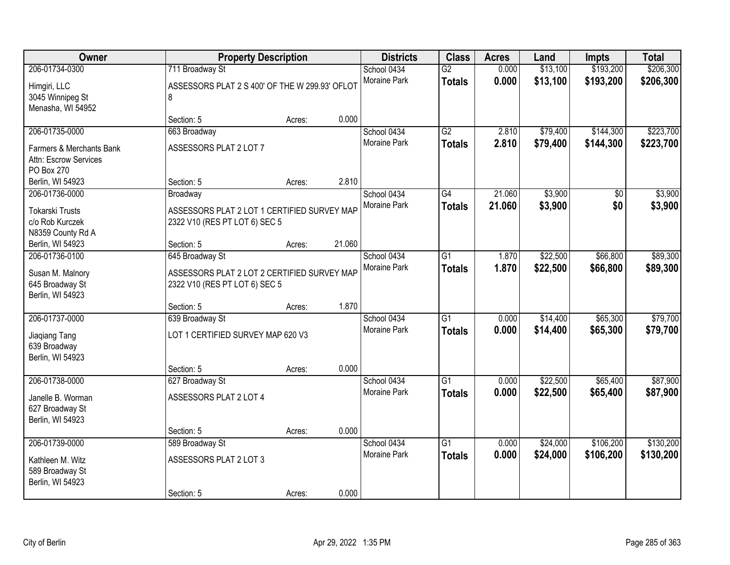| Owner                                                          | <b>Property Description</b>                                                  |        |        | <b>Districts</b>                   | <b>Class</b>                     | <b>Acres</b>   | Land                 | <b>Impts</b>           | <b>Total</b>           |
|----------------------------------------------------------------|------------------------------------------------------------------------------|--------|--------|------------------------------------|----------------------------------|----------------|----------------------|------------------------|------------------------|
| 206-01734-0300<br>Himgiri, LLC<br>3045 Winnipeg St             | 711 Broadway St<br>ASSESSORS PLAT 2 S 400' OF THE W 299.93' OFLOT<br>8       |        |        | School 0434<br>Moraine Park        | $\overline{G2}$<br><b>Totals</b> | 0.000<br>0.000 | \$13,100<br>\$13,100 | \$193,200<br>\$193,200 | \$206,300<br>\$206,300 |
| Menasha, WI 54952                                              | Section: 5                                                                   | Acres: | 0.000  |                                    |                                  |                |                      |                        |                        |
| 206-01735-0000<br>Farmers & Merchants Bank                     | 663 Broadway<br>ASSESSORS PLAT 2 LOT 7                                       |        |        | School 0434<br><b>Moraine Park</b> | $\overline{G2}$<br><b>Totals</b> | 2.810<br>2.810 | \$79,400<br>\$79,400 | \$144,300<br>\$144,300 | \$223,700<br>\$223,700 |
| Attn: Escrow Services<br>PO Box 270                            |                                                                              |        |        |                                    |                                  |                |                      |                        |                        |
| Berlin, WI 54923                                               | Section: 5                                                                   | Acres: | 2.810  |                                    |                                  |                |                      |                        |                        |
| 206-01736-0000                                                 | Broadway                                                                     |        |        | School 0434                        | G4                               | 21.060         | \$3,900              | \$0                    | \$3,900                |
| <b>Tokarski Trusts</b><br>c/o Rob Kurczek<br>N8359 County Rd A | ASSESSORS PLAT 2 LOT 1 CERTIFIED SURVEY MAP<br>2322 V10 (RES PT LOT 6) SEC 5 |        |        | <b>Moraine Park</b>                | <b>Totals</b>                    | 21.060         | \$3,900              | \$0                    | \$3,900                |
| Berlin, WI 54923                                               | Section: 5                                                                   | Acres: | 21.060 |                                    |                                  |                |                      |                        |                        |
| 206-01736-0100                                                 | 645 Broadway St                                                              |        |        | School 0434                        | $\overline{G1}$                  | 1.870          | \$22,500             | \$66,800               | \$89,300               |
| Susan M. Malnory<br>645 Broadway St<br>Berlin, WI 54923        | ASSESSORS PLAT 2 LOT 2 CERTIFIED SURVEY MAP<br>2322 V10 (RES PT LOT 6) SEC 5 |        |        | Moraine Park                       | <b>Totals</b>                    | 1.870          | \$22,500             | \$66,800               | \$89,300               |
|                                                                | Section: 5                                                                   | Acres: | 1.870  |                                    |                                  |                |                      |                        |                        |
| 206-01737-0000<br>Jiaqiang Tang<br>639 Broadway                | 639 Broadway St<br>LOT 1 CERTIFIED SURVEY MAP 620 V3                         |        |        | School 0434<br><b>Moraine Park</b> | $\overline{G1}$<br><b>Totals</b> | 0.000<br>0.000 | \$14,400<br>\$14,400 | \$65,300<br>\$65,300   | \$79,700<br>\$79,700   |
| Berlin, WI 54923                                               |                                                                              |        |        |                                    |                                  |                |                      |                        |                        |
|                                                                | Section: 5                                                                   | Acres: | 0.000  |                                    |                                  |                |                      |                        |                        |
| 206-01738-0000                                                 | 627 Broadway St                                                              |        |        | School 0434                        | G1                               | 0.000          | \$22,500             | \$65,400               | \$87,900               |
| Janelle B. Worman<br>627 Broadway St<br>Berlin, WI 54923       | ASSESSORS PLAT 2 LOT 4                                                       |        |        | Moraine Park                       | <b>Totals</b>                    | 0.000          | \$22,500             | \$65,400               | \$87,900               |
|                                                                | Section: 5                                                                   | Acres: | 0.000  |                                    |                                  |                |                      |                        |                        |
| 206-01739-0000                                                 | 589 Broadway St                                                              |        |        | School 0434                        | $\overline{G1}$                  | 0.000          | \$24,000             | \$106,200              | \$130,200              |
| Kathleen M. Witz<br>589 Broadway St<br>Berlin, WI 54923        | ASSESSORS PLAT 2 LOT 3                                                       |        |        | <b>Moraine Park</b>                | <b>Totals</b>                    | 0.000          | \$24,000             | \$106,200              | \$130,200              |
|                                                                | Section: 5                                                                   | Acres: | 0.000  |                                    |                                  |                |                      |                        |                        |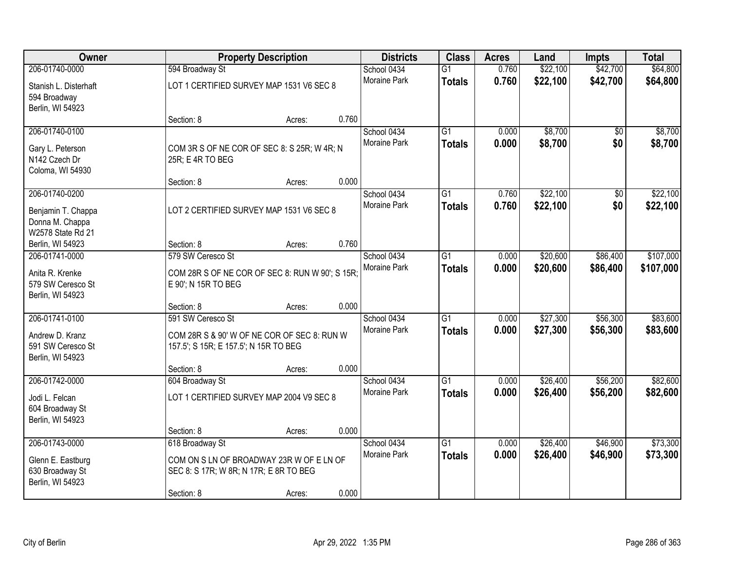| Owner                                                                      |                                                                                                           | <b>Property Description</b> |       | <b>Districts</b>            | <b>Class</b>                     | <b>Acres</b>   | Land                 | Impts                | <b>Total</b>         |
|----------------------------------------------------------------------------|-----------------------------------------------------------------------------------------------------------|-----------------------------|-------|-----------------------------|----------------------------------|----------------|----------------------|----------------------|----------------------|
| 206-01740-0000                                                             | 594 Broadway St                                                                                           |                             |       | School 0434                 | $\overline{G1}$                  | 0.760          | \$22,100             | \$42,700             | \$64,800             |
| Stanish L. Disterhaft<br>594 Broadway                                      | LOT 1 CERTIFIED SURVEY MAP 1531 V6 SEC 8                                                                  |                             |       | <b>Moraine Park</b>         | <b>Totals</b>                    | 0.760          | \$22,100             | \$42,700             | \$64,800             |
| Berlin, WI 54923                                                           | Section: 8                                                                                                | Acres:                      | 0.760 |                             |                                  |                |                      |                      |                      |
| 206-01740-0100<br>Gary L. Peterson                                         | COM 3R S OF NE COR OF SEC 8: S 25R; W 4R; N                                                               |                             |       | School 0434<br>Moraine Park | $\overline{G1}$<br><b>Totals</b> | 0.000<br>0.000 | \$8,700<br>\$8,700   | \$0<br>\$0           | \$8,700<br>\$8,700   |
| N142 Czech Dr<br>Coloma, WI 54930                                          | 25R; E 4R TO BEG                                                                                          |                             |       |                             |                                  |                |                      |                      |                      |
| 206-01740-0200                                                             | Section: 8                                                                                                | Acres:                      | 0.000 | School 0434                 | $\overline{G1}$                  | 0.760          | \$22,100             | $\overline{50}$      | \$22,100             |
| Benjamin T. Chappa<br>Donna M. Chappa<br>W2578 State Rd 21                 | LOT 2 CERTIFIED SURVEY MAP 1531 V6 SEC 8                                                                  |                             |       | Moraine Park                | <b>Totals</b>                    | 0.760          | \$22,100             | \$0                  | \$22,100             |
| Berlin, WI 54923                                                           | Section: 8                                                                                                | Acres:                      | 0.760 |                             |                                  |                |                      |                      |                      |
| 206-01741-0000                                                             | 579 SW Ceresco St                                                                                         |                             |       | School 0434                 | $\overline{G1}$                  | 0.000          | \$20,600             | \$86,400             | \$107,000            |
| Anita R. Krenke<br>579 SW Ceresco St<br>Berlin, WI 54923                   | COM 28R S OF NE COR OF SEC 8: RUN W 90'; S 15R;<br>E 90'; N 15R TO BEG                                    |                             |       | <b>Moraine Park</b>         | <b>Totals</b>                    | 0.000          | \$20,600             | \$86,400             | \$107,000            |
|                                                                            | Section: 8                                                                                                | Acres:                      | 0.000 |                             |                                  |                |                      |                      |                      |
| 206-01741-0100<br>Andrew D. Kranz<br>591 SW Ceresco St<br>Berlin, WI 54923 | 591 SW Ceresco St<br>COM 28R S & 90' W OF NE COR OF SEC 8: RUN W<br>157.5'; S 15R; E 157.5'; N 15R TO BEG |                             |       | School 0434<br>Moraine Park | $\overline{G1}$<br><b>Totals</b> | 0.000<br>0.000 | \$27,300<br>\$27,300 | \$56,300<br>\$56,300 | \$83,600<br>\$83,600 |
|                                                                            | Section: 8                                                                                                | Acres:                      | 0.000 |                             |                                  |                |                      |                      |                      |
| 206-01742-0000                                                             | 604 Broadway St                                                                                           |                             |       | School 0434                 | $\overline{G1}$                  | 0.000          | \$26,400             | \$56,200             | \$82,600             |
| Jodi L. Felcan<br>604 Broadway St<br>Berlin, WI 54923                      | LOT 1 CERTIFIED SURVEY MAP 2004 V9 SEC 8                                                                  |                             |       | Moraine Park                | <b>Totals</b>                    | 0.000          | \$26,400             | \$56,200             | \$82,600             |
|                                                                            | Section: 8                                                                                                | Acres:                      | 0.000 |                             |                                  |                |                      |                      |                      |
| 206-01743-0000                                                             | 618 Broadway St                                                                                           |                             |       | School 0434                 | $\overline{G1}$                  | 0.000          | \$26,400             | \$46,900             | \$73,300             |
| Glenn E. Eastburg<br>630 Broadway St<br>Berlin, WI 54923                   | COM ON S LN OF BROADWAY 23R W OF E LN OF<br>SEC 8: S 17R; W 8R; N 17R; E 8R TO BEG                        |                             |       | <b>Moraine Park</b>         | <b>Totals</b>                    | 0.000          | \$26,400             | \$46,900             | \$73,300             |
|                                                                            | Section: 8                                                                                                | Acres:                      | 0.000 |                             |                                  |                |                      |                      |                      |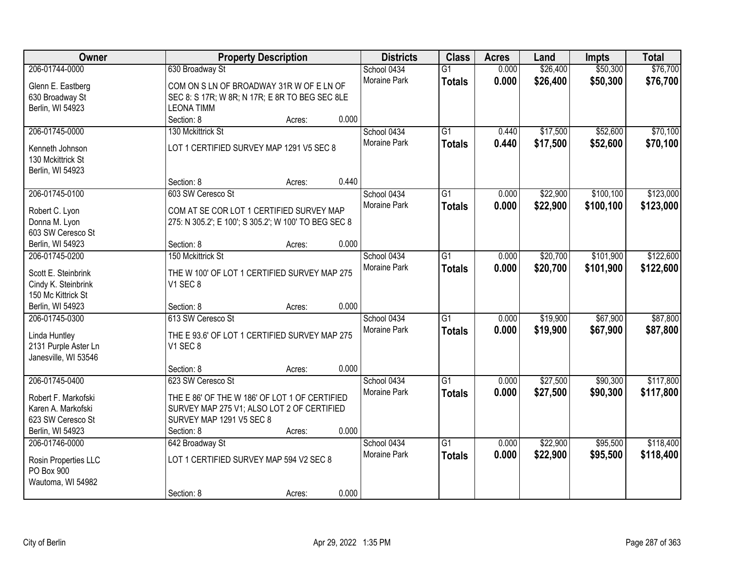| Owner                              | <b>Property Description</b>                          | <b>Districts</b>            | <b>Class</b>    | <b>Acres</b> | Land     | <b>Impts</b> | <b>Total</b> |
|------------------------------------|------------------------------------------------------|-----------------------------|-----------------|--------------|----------|--------------|--------------|
| 206-01744-0000                     | 630 Broadway St                                      | School 0434                 | $\overline{G1}$ | 0.000        | \$26,400 | \$50,300     | \$76,700     |
| Glenn E. Eastberg                  | COM ON S LN OF BROADWAY 31R W OF E LN OF             | Moraine Park                | <b>Totals</b>   | 0.000        | \$26,400 | \$50,300     | \$76,700     |
| 630 Broadway St                    | SEC 8: S 17R; W 8R; N 17R; E 8R TO BEG SEC 8LE       |                             |                 |              |          |              |              |
| Berlin, WI 54923                   | <b>LEONA TIMM</b>                                    |                             |                 |              |          |              |              |
|                                    | 0.000<br>Section: 8<br>Acres:                        |                             |                 |              |          |              |              |
| 206-01745-0000                     | 130 Mckittrick St                                    | School 0434                 | $\overline{G1}$ | 0.440        | \$17,500 | \$52,600     | \$70,100     |
|                                    |                                                      | <b>Moraine Park</b>         | <b>Totals</b>   | 0.440        | \$17,500 | \$52,600     | \$70,100     |
| Kenneth Johnson                    | LOT 1 CERTIFIED SURVEY MAP 1291 V5 SEC 8             |                             |                 |              |          |              |              |
| 130 Mckittrick St                  |                                                      |                             |                 |              |          |              |              |
| Berlin, WI 54923                   | 0.440<br>Section: 8                                  |                             |                 |              |          |              |              |
| 206-01745-0100                     | Acres:<br>603 SW Ceresco St                          |                             | $\overline{G1}$ | 0.000        | \$22,900 | \$100,100    | \$123,000    |
|                                    |                                                      | School 0434<br>Moraine Park |                 |              |          |              |              |
| Robert C. Lyon                     | COM AT SE COR LOT 1 CERTIFIED SURVEY MAP             |                             | <b>Totals</b>   | 0.000        | \$22,900 | \$100,100    | \$123,000    |
| Donna M. Lyon                      | 275: N 305.2'; E 100'; S 305.2'; W 100' TO BEG SEC 8 |                             |                 |              |          |              |              |
| 603 SW Ceresco St                  |                                                      |                             |                 |              |          |              |              |
| Berlin, WI 54923                   | 0.000<br>Section: 8<br>Acres:                        |                             |                 |              |          |              |              |
| 206-01745-0200                     | 150 Mckittrick St                                    | School 0434                 | $\overline{G1}$ | 0.000        | \$20,700 | \$101,900    | \$122,600    |
| Scott E. Steinbrink                | THE W 100' OF LOT 1 CERTIFIED SURVEY MAP 275         | <b>Moraine Park</b>         | <b>Totals</b>   | 0.000        | \$20,700 | \$101,900    | \$122,600    |
| Cindy K. Steinbrink                | V1 SEC 8                                             |                             |                 |              |          |              |              |
| 150 Mc Kittrick St                 |                                                      |                             |                 |              |          |              |              |
| Berlin, WI 54923                   | 0.000<br>Section: 8<br>Acres:                        |                             |                 |              |          |              |              |
| 206-01745-0300                     | 613 SW Ceresco St                                    | School 0434                 | $\overline{G1}$ | 0.000        | \$19,900 | \$67,900     | \$87,800     |
|                                    |                                                      | Moraine Park                | <b>Totals</b>   | 0.000        | \$19,900 | \$67,900     | \$87,800     |
| Linda Huntley                      | THE E 93.6' OF LOT 1 CERTIFIED SURVEY MAP 275        |                             |                 |              |          |              |              |
| 2131 Purple Aster Ln               | V1 SEC 8                                             |                             |                 |              |          |              |              |
| Janesville, WI 53546               |                                                      |                             |                 |              |          |              |              |
|                                    | 0.000<br>Section: 8<br>Acres:                        |                             |                 |              |          |              |              |
| 206-01745-0400                     | 623 SW Ceresco St                                    | School 0434                 | $\overline{G1}$ | 0.000        | \$27,500 | \$90,300     | \$117,800    |
| Robert F. Markofski                | THE E 86' OF THE W 186' OF LOT 1 OF CERTIFIED        | Moraine Park                | <b>Totals</b>   | 0.000        | \$27,500 | \$90,300     | \$117,800    |
| Karen A. Markofski                 | SURVEY MAP 275 V1; ALSO LOT 2 OF CERTIFIED           |                             |                 |              |          |              |              |
| 623 SW Ceresco St                  | SURVEY MAP 1291 V5 SEC 8                             |                             |                 |              |          |              |              |
| Berlin, WI 54923                   | 0.000<br>Section: 8<br>Acres:                        |                             |                 |              |          |              |              |
| 206-01746-0000                     | 642 Broadway St                                      | School 0434                 | $\overline{G1}$ | 0.000        | \$22,900 | \$95,500     | \$118,400    |
|                                    | LOT 1 CERTIFIED SURVEY MAP 594 V2 SEC 8              | <b>Moraine Park</b>         | <b>Totals</b>   | 0.000        | \$22,900 | \$95,500     | \$118,400    |
| Rosin Properties LLC<br>PO Box 900 |                                                      |                             |                 |              |          |              |              |
| Wautoma, WI 54982                  |                                                      |                             |                 |              |          |              |              |
|                                    | 0.000<br>Section: 8<br>Acres:                        |                             |                 |              |          |              |              |
|                                    |                                                      |                             |                 |              |          |              |              |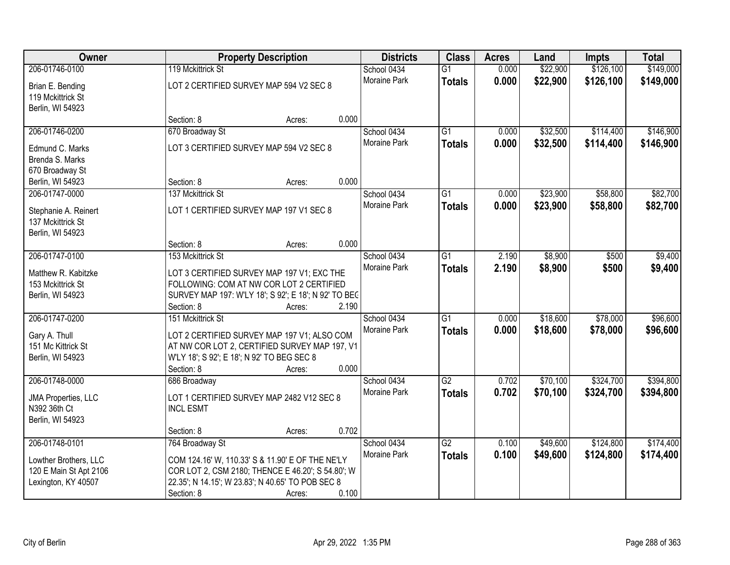| Owner                                     |                                                      | <b>Property Description</b>                       |       | <b>Districts</b>    | <b>Class</b>    | <b>Acres</b> | Land     | <b>Impts</b> | <b>Total</b> |
|-------------------------------------------|------------------------------------------------------|---------------------------------------------------|-------|---------------------|-----------------|--------------|----------|--------------|--------------|
| 206-01746-0100                            | 119 Mckittrick St                                    |                                                   |       | School 0434         | $\overline{G1}$ | 0.000        | \$22,900 | \$126,100    | \$149,000    |
| Brian E. Bending                          |                                                      | LOT 2 CERTIFIED SURVEY MAP 594 V2 SEC 8           |       | Moraine Park        | <b>Totals</b>   | 0.000        | \$22,900 | \$126,100    | \$149,000    |
| 119 Mckittrick St                         |                                                      |                                                   |       |                     |                 |              |          |              |              |
| Berlin, WI 54923                          |                                                      |                                                   |       |                     |                 |              |          |              |              |
|                                           | Section: 8                                           | Acres:                                            | 0.000 |                     |                 |              |          |              |              |
| 206-01746-0200                            | 670 Broadway St                                      |                                                   |       | School 0434         | $\overline{G1}$ | 0.000        | \$32,500 | \$114,400    | \$146,900    |
| Edmund C. Marks                           |                                                      | LOT 3 CERTIFIED SURVEY MAP 594 V2 SEC 8           |       | <b>Moraine Park</b> | <b>Totals</b>   | 0.000        | \$32,500 | \$114,400    | \$146,900    |
| Brenda S. Marks                           |                                                      |                                                   |       |                     |                 |              |          |              |              |
| 670 Broadway St                           |                                                      |                                                   |       |                     |                 |              |          |              |              |
| Berlin, WI 54923                          | Section: 8                                           | Acres:                                            | 0.000 |                     |                 |              |          |              |              |
| 206-01747-0000                            | 137 Mckittrick St                                    |                                                   |       | School 0434         | G1              | 0.000        | \$23,900 | \$58,800     | \$82,700     |
|                                           |                                                      |                                                   |       | Moraine Park        | <b>Totals</b>   | 0.000        | \$23,900 | \$58,800     | \$82,700     |
| Stephanie A. Reinert<br>137 Mckittrick St |                                                      | LOT 1 CERTIFIED SURVEY MAP 197 V1 SEC 8           |       |                     |                 |              |          |              |              |
| Berlin, WI 54923                          |                                                      |                                                   |       |                     |                 |              |          |              |              |
|                                           | Section: 8                                           | Acres:                                            | 0.000 |                     |                 |              |          |              |              |
| 206-01747-0100                            | 153 Mckittrick St                                    |                                                   |       | School 0434         | G1              | 2.190        | \$8,900  | \$500        | \$9,400      |
|                                           |                                                      |                                                   |       | <b>Moraine Park</b> | <b>Totals</b>   | 2.190        | \$8,900  | \$500        | \$9,400      |
| Matthew R. Kabitzke                       |                                                      | LOT 3 CERTIFIED SURVEY MAP 197 V1; EXC THE        |       |                     |                 |              |          |              |              |
| 153 Mckittrick St                         |                                                      | FOLLOWING: COM AT NW COR LOT 2 CERTIFIED          |       |                     |                 |              |          |              |              |
| Berlin, WI 54923                          | SURVEY MAP 197: W'LY 18'; S 92'; E 18'; N 92' TO BEC |                                                   |       |                     |                 |              |          |              |              |
|                                           | Section: 8                                           | Acres:                                            | 2.190 |                     |                 |              |          |              |              |
| 206-01747-0200                            | 151 Mckittrick St                                    |                                                   |       | School 0434         | $\overline{G1}$ | 0.000        | \$18,600 | \$78,000     | \$96,600     |
| Gary A. Thull                             |                                                      | LOT 2 CERTIFIED SURVEY MAP 197 V1; ALSO COM       |       | Moraine Park        | <b>Totals</b>   | 0.000        | \$18,600 | \$78,000     | \$96,600     |
| 151 Mc Kittrick St                        | AT NW COR LOT 2, CERTIFIED SURVEY MAP 197, V1        |                                                   |       |                     |                 |              |          |              |              |
| Berlin, WI 54923                          | W'LY 18'; S 92'; E 18'; N 92' TO BEG SEC 8           |                                                   |       |                     |                 |              |          |              |              |
|                                           | Section: 8                                           | Acres:                                            | 0.000 |                     |                 |              |          |              |              |
| 206-01748-0000                            | 686 Broadway                                         |                                                   |       | School 0434         | $\overline{G2}$ | 0.702        | \$70,100 | \$324,700    | \$394,800    |
| <b>JMA Properties, LLC</b>                |                                                      | LOT 1 CERTIFIED SURVEY MAP 2482 V12 SEC 8         |       | Moraine Park        | <b>Totals</b>   | 0.702        | \$70,100 | \$324,700    | \$394,800    |
| N392 36th Ct                              | <b>INCL ESMT</b>                                     |                                                   |       |                     |                 |              |          |              |              |
| Berlin, WI 54923                          |                                                      |                                                   |       |                     |                 |              |          |              |              |
|                                           | Section: 8                                           | Acres:                                            | 0.702 |                     |                 |              |          |              |              |
| 206-01748-0101                            | 764 Broadway St                                      |                                                   |       | School 0434         | $\overline{G2}$ | 0.100        | \$49,600 | \$124,800    | \$174,400    |
| Lowther Brothers, LLC                     | COM 124.16' W, 110.33' S & 11.90' E OF THE NE'LY     |                                                   |       | <b>Moraine Park</b> | <b>Totals</b>   | 0.100        | \$49,600 | \$124,800    | \$174,400    |
| 120 E Main St Apt 2106                    | COR LOT 2, CSM 2180; THENCE E 46.20'; S 54.80'; W    |                                                   |       |                     |                 |              |          |              |              |
| Lexington, KY 40507                       |                                                      | 22.35'; N 14.15'; W 23.83'; N 40.65' TO POB SEC 8 |       |                     |                 |              |          |              |              |
|                                           | Section: 8                                           | Acres:                                            | 0.100 |                     |                 |              |          |              |              |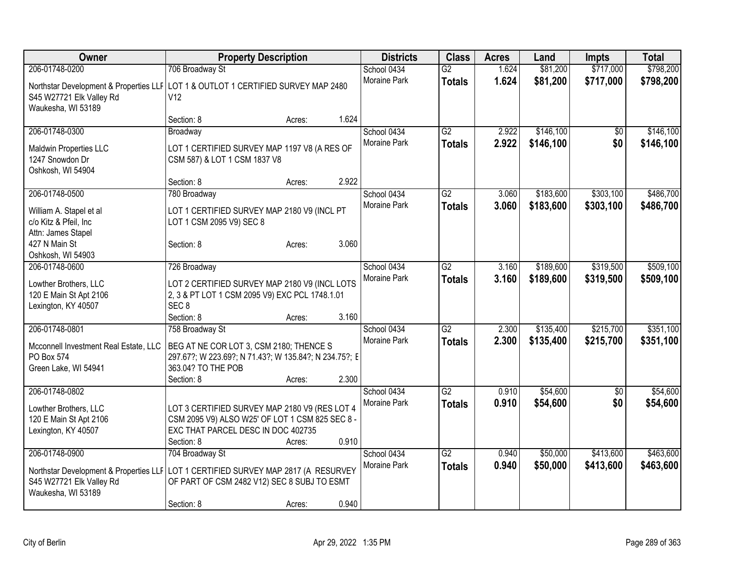| Owner                                                                                | <b>Property Description</b>                                                                     |        |       | <b>Districts</b>    | <b>Class</b>    | <b>Acres</b> | Land      | <b>Impts</b>    | <b>Total</b> |
|--------------------------------------------------------------------------------------|-------------------------------------------------------------------------------------------------|--------|-------|---------------------|-----------------|--------------|-----------|-----------------|--------------|
| 206-01748-0200                                                                       | 706 Broadway St                                                                                 |        |       | School 0434         | $\overline{G2}$ | 1.624        | \$81,200  | \$717,000       | \$798,200    |
| Northstar Development & Properties LLF LOT 1 & OUTLOT 1 CERTIFIED SURVEY MAP 2480    |                                                                                                 |        |       | Moraine Park        | <b>Totals</b>   | 1.624        | \$81,200  | \$717,000       | \$798,200    |
| S45 W27721 Elk Valley Rd                                                             | V12                                                                                             |        |       |                     |                 |              |           |                 |              |
| Waukesha, WI 53189                                                                   |                                                                                                 |        |       |                     |                 |              |           |                 |              |
|                                                                                      | Section: 8                                                                                      | Acres: | 1.624 |                     |                 |              |           |                 |              |
| 206-01748-0300                                                                       | Broadway                                                                                        |        |       | School 0434         | $\overline{G2}$ | 2.922        | \$146,100 | \$0             | \$146,100    |
| Maldwin Properties LLC                                                               | LOT 1 CERTIFIED SURVEY MAP 1197 V8 (A RES OF                                                    |        |       | Moraine Park        | <b>Totals</b>   | 2.922        | \$146,100 | \$0             | \$146,100    |
| 1247 Snowdon Dr                                                                      | CSM 587) & LOT 1 CSM 1837 V8                                                                    |        |       |                     |                 |              |           |                 |              |
| Oshkosh, WI 54904                                                                    |                                                                                                 |        |       |                     |                 |              |           |                 |              |
|                                                                                      | Section: 8                                                                                      | Acres: | 2.922 |                     |                 |              |           |                 |              |
| 206-01748-0500                                                                       | 780 Broadway                                                                                    |        |       | School 0434         | $\overline{G2}$ | 3.060        | \$183,600 | \$303,100       | \$486,700    |
| William A. Stapel et al                                                              | LOT 1 CERTIFIED SURVEY MAP 2180 V9 (INCL PT                                                     |        |       | <b>Moraine Park</b> | <b>Totals</b>   | 3.060        | \$183,600 | \$303,100       | \$486,700    |
| c/o Kitz & Pfeil, Inc                                                                | LOT 1 CSM 2095 V9) SEC 8                                                                        |        |       |                     |                 |              |           |                 |              |
| Attn: James Stapel                                                                   |                                                                                                 |        |       |                     |                 |              |           |                 |              |
| 427 N Main St                                                                        | Section: 8                                                                                      | Acres: | 3.060 |                     |                 |              |           |                 |              |
| Oshkosh, WI 54903                                                                    |                                                                                                 |        |       |                     |                 |              |           |                 |              |
| 206-01748-0600                                                                       | 726 Broadway                                                                                    |        |       | School 0434         | G2              | 3.160        | \$189,600 | \$319,500       | \$509,100    |
|                                                                                      |                                                                                                 |        |       | Moraine Park        | <b>Totals</b>   | 3.160        | \$189,600 | \$319,500       | \$509,100    |
| Lowther Brothers, LLC<br>120 E Main St Apt 2106                                      | LOT 2 CERTIFIED SURVEY MAP 2180 V9 (INCL LOTS<br>2, 3 & PT LOT 1 CSM 2095 V9) EXC PCL 1748.1.01 |        |       |                     |                 |              |           |                 |              |
| Lexington, KY 40507                                                                  | SEC <sub>8</sub>                                                                                |        |       |                     |                 |              |           |                 |              |
|                                                                                      | Section: 8                                                                                      | Acres: | 3.160 |                     |                 |              |           |                 |              |
| 206-01748-0801                                                                       | 758 Broadway St                                                                                 |        |       | School 0434         | $\overline{G2}$ | 2.300        | \$135,400 | \$215,700       | \$351,100    |
|                                                                                      |                                                                                                 |        |       | Moraine Park        | <b>Totals</b>   | 2.300        | \$135,400 | \$215,700       | \$351,100    |
| Mcconnell Investment Real Estate, LLC                                                | BEG AT NE COR LOT 3, CSM 2180; THENCE S                                                         |        |       |                     |                 |              |           |                 |              |
| PO Box 574                                                                           | 297.67?; W 223.69?; N 71.43?; W 135.84?; N 234.75?; E                                           |        |       |                     |                 |              |           |                 |              |
| Green Lake, WI 54941                                                                 | 363.04? TO THE POB                                                                              |        | 2.300 |                     |                 |              |           |                 |              |
| 206-01748-0802                                                                       | Section: 8                                                                                      | Acres: |       | School 0434         | $\overline{G2}$ | 0.910        | \$54,600  | $\overline{50}$ | \$54,600     |
|                                                                                      |                                                                                                 |        |       | <b>Moraine Park</b> |                 | 0.910        |           | \$0             |              |
| Lowther Brothers, LLC                                                                | LOT 3 CERTIFIED SURVEY MAP 2180 V9 (RES LOT 4                                                   |        |       |                     | <b>Totals</b>   |              | \$54,600  |                 | \$54,600     |
| 120 E Main St Apt 2106                                                               | CSM 2095 V9) ALSO W25' OF LOT 1 CSM 825 SEC 8 -                                                 |        |       |                     |                 |              |           |                 |              |
| Lexington, KY 40507                                                                  | EXC THAT PARCEL DESC IN DOC 402735                                                              |        |       |                     |                 |              |           |                 |              |
|                                                                                      | Section: 8                                                                                      | Acres: | 0.910 |                     |                 |              |           |                 |              |
| 206-01748-0900                                                                       | 704 Broadway St                                                                                 |        |       | School 0434         | $\overline{G2}$ | 0.940        | \$50,000  | \$413,600       | \$463,600    |
| Northstar Development & Properties LLF   LOT 1 CERTIFIED SURVEY MAP 2817 (A RESURVEY |                                                                                                 |        |       | Moraine Park        | <b>Totals</b>   | 0.940        | \$50,000  | \$413,600       | \$463,600    |
| S45 W27721 Elk Valley Rd                                                             | OF PART OF CSM 2482 V12) SEC 8 SUBJ TO ESMT                                                     |        |       |                     |                 |              |           |                 |              |
| Waukesha, WI 53189                                                                   |                                                                                                 |        |       |                     |                 |              |           |                 |              |
|                                                                                      | Section: 8                                                                                      | Acres: | 0.940 |                     |                 |              |           |                 |              |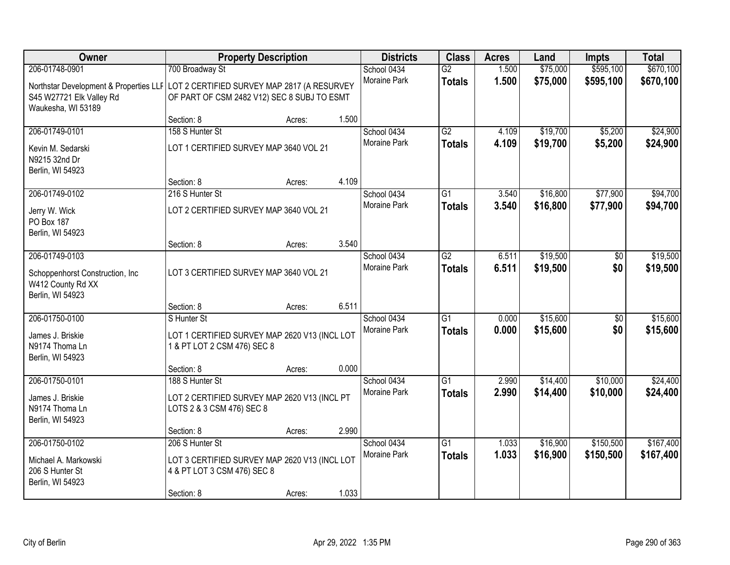| Owner                                                                                                | <b>Property Description</b>                                                  |        |       | <b>Districts</b>            | <b>Class</b>                     | <b>Acres</b>   | Land                 | <b>Impts</b>           | <b>Total</b>           |
|------------------------------------------------------------------------------------------------------|------------------------------------------------------------------------------|--------|-------|-----------------------------|----------------------------------|----------------|----------------------|------------------------|------------------------|
| 206-01748-0901<br>Northstar Development & Properties LLF LOT 2 CERTIFIED SURVEY MAP 2817 (A RESURVEY | 700 Broadway St                                                              |        |       | School 0434<br>Moraine Park | $\overline{G2}$<br><b>Totals</b> | 1.500<br>1.500 | \$75,000<br>\$75,000 | \$595,100<br>\$595,100 | \$670,100<br>\$670,100 |
| S45 W27721 Elk Valley Rd<br>Waukesha, WI 53189                                                       | OF PART OF CSM 2482 V12) SEC 8 SUBJ TO ESMT                                  |        |       |                             |                                  |                |                      |                        |                        |
|                                                                                                      | Section: 8                                                                   | Acres: | 1.500 |                             |                                  |                |                      |                        |                        |
| 206-01749-0101                                                                                       | 158 S Hunter St                                                              |        |       | School 0434                 | $\overline{G2}$                  | 4.109          | \$19,700             | \$5,200                | \$24,900               |
| Kevin M. Sedarski<br>N9215 32nd Dr<br>Berlin, WI 54923                                               | LOT 1 CERTIFIED SURVEY MAP 3640 VOL 21                                       |        |       | <b>Moraine Park</b>         | <b>Totals</b>                    | 4.109          | \$19,700             | \$5,200                | \$24,900               |
|                                                                                                      | Section: 8                                                                   | Acres: | 4.109 |                             |                                  |                |                      |                        |                        |
| 206-01749-0102                                                                                       | 216 S Hunter St                                                              |        |       | School 0434                 | $\overline{G1}$                  | 3.540          | \$16,800             | \$77,900               | \$94,700               |
| Jerry W. Wick<br>PO Box 187<br>Berlin, WI 54923                                                      | LOT 2 CERTIFIED SURVEY MAP 3640 VOL 21                                       |        |       | Moraine Park                | <b>Totals</b>                    | 3.540          | \$16,800             | \$77,900               | \$94,700               |
|                                                                                                      | Section: 8                                                                   | Acres: | 3.540 |                             |                                  |                |                      |                        |                        |
| 206-01749-0103                                                                                       |                                                                              |        |       | School 0434                 | $\overline{G2}$                  | 6.511          | \$19,500             | \$0                    | \$19,500               |
| Schoppenhorst Construction, Inc.<br>W412 County Rd XX<br>Berlin, WI 54923                            | LOT 3 CERTIFIED SURVEY MAP 3640 VOL 21                                       |        |       | <b>Moraine Park</b>         | <b>Totals</b>                    | 6.511          | \$19,500             | \$0                    | \$19,500               |
|                                                                                                      | Section: 8                                                                   | Acres: | 6.511 |                             |                                  |                |                      |                        |                        |
| 206-01750-0100                                                                                       | S Hunter St                                                                  |        |       | School 0434                 | $\overline{G1}$                  | 0.000          | \$15,600             | $\overline{60}$        | \$15,600               |
| James J. Briskie                                                                                     |                                                                              |        |       | Moraine Park                | <b>Totals</b>                    | 0.000          | \$15,600             | \$0                    | \$15,600               |
| N9174 Thoma Ln<br>Berlin, WI 54923                                                                   | LOT 1 CERTIFIED SURVEY MAP 2620 V13 (INCL LOT<br>1 & PT LOT 2 CSM 476) SEC 8 |        |       |                             |                                  |                |                      |                        |                        |
|                                                                                                      | Section: 8                                                                   | Acres: | 0.000 |                             |                                  |                |                      |                        |                        |
| 206-01750-0101                                                                                       | 188 S Hunter St                                                              |        |       | School 0434                 | $\overline{G1}$                  | 2.990          | \$14,400             | \$10,000               | \$24,400               |
| James J. Briskie<br>N9174 Thoma Ln<br>Berlin, WI 54923                                               | LOT 2 CERTIFIED SURVEY MAP 2620 V13 (INCL PT<br>LOTS 2 & 3 CSM 476) SEC 8    |        |       | <b>Moraine Park</b>         | <b>Totals</b>                    | 2.990          | \$14,400             | \$10,000               | \$24,400               |
|                                                                                                      | Section: 8                                                                   | Acres: | 2.990 |                             |                                  |                |                      |                        |                        |
| 206-01750-0102                                                                                       | 206 S Hunter St                                                              |        |       | School 0434                 | $\overline{G1}$                  | 1.033          | \$16,900             | \$150,500              | \$167,400              |
| Michael A. Markowski<br>206 S Hunter St<br>Berlin, WI 54923                                          | LOT 3 CERTIFIED SURVEY MAP 2620 V13 (INCL LOT<br>4 & PT LOT 3 CSM 476) SEC 8 |        |       | Moraine Park                | <b>Totals</b>                    | 1.033          | \$16,900             | \$150,500              | \$167,400              |
|                                                                                                      | Section: 8                                                                   | Acres: | 1.033 |                             |                                  |                |                      |                        |                        |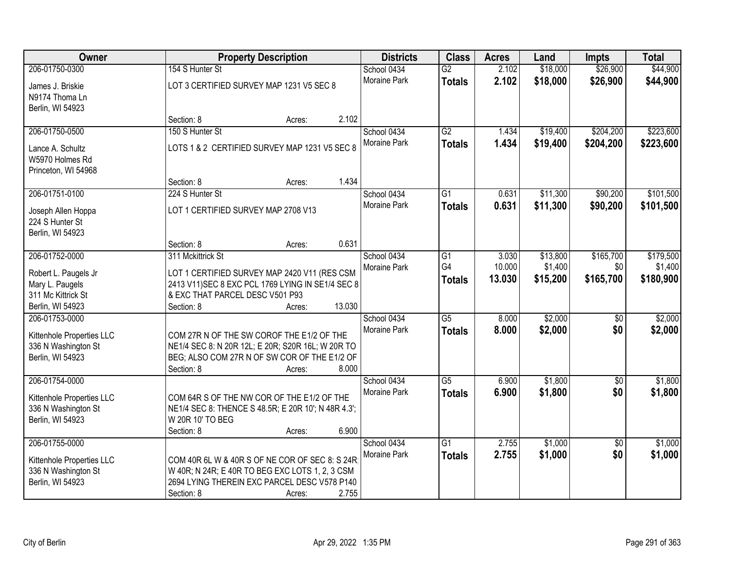| Owner                                            |                                                                                                   | <b>Property Description</b> |              |                 | <b>Acres</b> | Land     | <b>Impts</b>    | <b>Total</b> |
|--------------------------------------------------|---------------------------------------------------------------------------------------------------|-----------------------------|--------------|-----------------|--------------|----------|-----------------|--------------|
| 206-01750-0300                                   | 154 S Hunter St                                                                                   |                             | School 0434  | $\overline{G2}$ | 2.102        | \$18,000 | \$26,900        | \$44,900     |
| James J. Briskie                                 | LOT 3 CERTIFIED SURVEY MAP 1231 V5 SEC 8                                                          |                             | Moraine Park | <b>Totals</b>   | 2.102        | \$18,000 | \$26,900        | \$44,900     |
| N9174 Thoma Ln                                   |                                                                                                   |                             |              |                 |              |          |                 |              |
| Berlin, WI 54923                                 |                                                                                                   |                             |              |                 |              |          |                 |              |
|                                                  | Section: 8<br>Acres:                                                                              | 2.102                       |              |                 |              |          |                 |              |
| 206-01750-0500                                   | 150 S Hunter St                                                                                   |                             | School 0434  | $\overline{G2}$ | 1.434        | \$19,400 | \$204,200       | \$223,600    |
| Lance A. Schultz                                 | LOTS 1 & 2 CERTIFIED SURVEY MAP 1231 V5 SEC 8                                                     |                             | Moraine Park | <b>Totals</b>   | 1.434        | \$19,400 | \$204,200       | \$223,600    |
| W5970 Holmes Rd                                  |                                                                                                   |                             |              |                 |              |          |                 |              |
| Princeton, WI 54968                              |                                                                                                   |                             |              |                 |              |          |                 |              |
|                                                  | Section: 8<br>Acres:                                                                              | 1.434                       |              |                 |              |          |                 |              |
| 206-01751-0100                                   | 224 S Hunter St                                                                                   |                             | School 0434  | $\overline{G1}$ | 0.631        | \$11,300 | \$90,200        | \$101,500    |
|                                                  |                                                                                                   |                             | Moraine Park | <b>Totals</b>   | 0.631        | \$11,300 | \$90,200        | \$101,500    |
| Joseph Allen Hoppa                               | LOT 1 CERTIFIED SURVEY MAP 2708 V13                                                               |                             |              |                 |              |          |                 |              |
| 224 S Hunter St                                  |                                                                                                   |                             |              |                 |              |          |                 |              |
| Berlin, WI 54923                                 | Section: 8<br>Acres:                                                                              | 0.631                       |              |                 |              |          |                 |              |
| 206-01752-0000                                   | 311 Mckittrick St                                                                                 |                             | School 0434  | G1              | 3.030        | \$13,800 | \$165,700       | \$179,500    |
|                                                  |                                                                                                   |                             | Moraine Park | G4              | 10.000       | \$1,400  | \$0             | \$1,400      |
| Robert L. Paugels Jr                             | LOT 1 CERTIFIED SURVEY MAP 2420 V11 (RES CSM                                                      |                             |              | <b>Totals</b>   | 13.030       | \$15,200 | \$165,700       | \$180,900    |
| Mary L. Paugels                                  | 2413 V11) SEC 8 EXC PCL 1769 LYING IN SE1/4 SEC 8                                                 |                             |              |                 |              |          |                 |              |
| 311 Mc Kittrick St                               | & EXC THAT PARCEL DESC V501 P93                                                                   |                             |              |                 |              |          |                 |              |
| Berlin, WI 54923                                 | Section: 8<br>Acres:                                                                              | 13.030                      |              |                 |              |          |                 |              |
| 206-01753-0000                                   |                                                                                                   |                             | School 0434  | $\overline{G5}$ | 8.000        | \$2,000  | $\overline{50}$ | \$2,000      |
| Kittenhole Properties LLC                        | COM 27R N OF THE SW COROF THE E1/2 OF THE                                                         |                             | Moraine Park | <b>Totals</b>   | 8.000        | \$2,000  | \$0             | \$2,000      |
| 336 N Washington St                              | NE1/4 SEC 8: N 20R 12L; E 20R; S20R 16L; W 20R TO                                                 |                             |              |                 |              |          |                 |              |
| Berlin, WI 54923                                 | BEG; ALSO COM 27R N OF SW COR OF THE E1/2 OF                                                      |                             |              |                 |              |          |                 |              |
|                                                  | Section: 8<br>Acres:                                                                              | 8.000                       |              |                 |              |          |                 |              |
| 206-01754-0000                                   |                                                                                                   |                             | School 0434  | $\overline{G5}$ | 6.900        | \$1,800  | $\sqrt{6}$      | \$1,800      |
| Kittenhole Properties LLC                        | COM 64R S OF THE NW COR OF THE E1/2 OF THE                                                        |                             | Moraine Park | <b>Totals</b>   | 6.900        | \$1,800  | \$0             | \$1,800      |
| 336 N Washington St                              | NE1/4 SEC 8: THENCE S 48.5R; E 20R 10'; N 48R 4.3';                                               |                             |              |                 |              |          |                 |              |
| Berlin, WI 54923                                 | W 20R 10' TO BEG                                                                                  |                             |              |                 |              |          |                 |              |
|                                                  | Section: 8<br>Acres:                                                                              | 6.900                       |              |                 |              |          |                 |              |
| 206-01755-0000                                   |                                                                                                   |                             | School 0434  | $\overline{G1}$ | 2.755        | \$1,000  | $\overline{50}$ | \$1,000      |
|                                                  |                                                                                                   |                             | Moraine Park | <b>Totals</b>   | 2.755        | \$1,000  | \$0             | \$1,000      |
| Kittenhole Properties LLC<br>336 N Washington St | COM 40R 6L W & 40R S OF NE COR OF SEC 8: S 24R<br>W 40R; N 24R; E 40R TO BEG EXC LOTS 1, 2, 3 CSM |                             |              |                 |              |          |                 |              |
| Berlin, WI 54923                                 | 2694 LYING THEREIN EXC PARCEL DESC V578 P140                                                      |                             |              |                 |              |          |                 |              |
|                                                  | Section: 8<br>Acres:                                                                              | 2.755                       |              |                 |              |          |                 |              |
|                                                  |                                                                                                   |                             |              |                 |              |          |                 |              |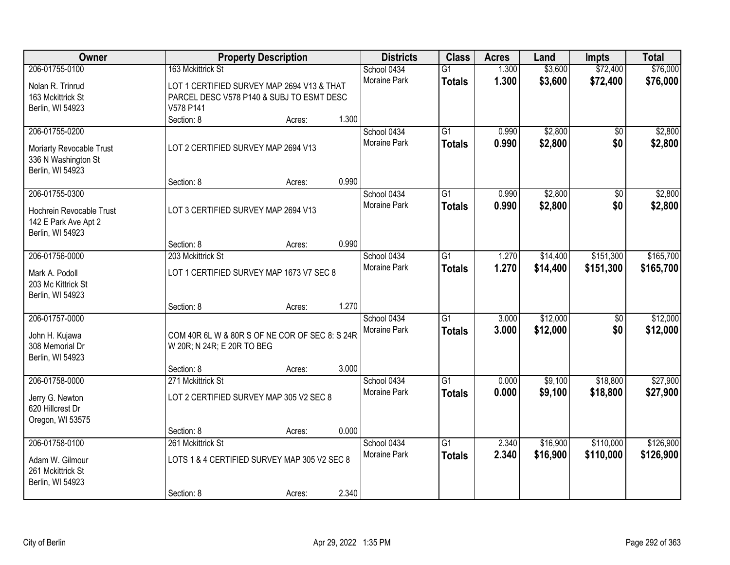| Owner                                                                                  |                                                                                                      | <b>Property Description</b> |              | <b>Districts</b>            | <b>Class</b>                     | <b>Acres</b>   | Land                 | Impts                  | <b>Total</b>         |
|----------------------------------------------------------------------------------------|------------------------------------------------------------------------------------------------------|-----------------------------|--------------|-----------------------------|----------------------------------|----------------|----------------------|------------------------|----------------------|
| 206-01755-0100                                                                         | 163 Mckittrick St                                                                                    |                             |              | School 0434                 | $\overline{G1}$                  | 1.300          | \$3,600              | \$72,400               | \$76,000             |
| Nolan R. Trinrud<br>163 Mckittrick St<br>Berlin, WI 54923                              | LOT 1 CERTIFIED SURVEY MAP 2694 V13 & THAT<br>PARCEL DESC V578 P140 & SUBJ TO ESMT DESC<br>V578 P141 |                             |              | <b>Moraine Park</b>         | <b>Totals</b>                    | 1.300          | \$3,600              | \$72,400               | \$76,000             |
|                                                                                        | Section: 8                                                                                           | Acres:                      | 1.300        |                             |                                  |                |                      |                        |                      |
| 206-01755-0200<br>Moriarty Revocable Trust<br>336 N Washington St<br>Berlin, WI 54923  | LOT 2 CERTIFIED SURVEY MAP 2694 V13                                                                  |                             |              | School 0434<br>Moraine Park | $\overline{G1}$<br><b>Totals</b> | 0.990<br>0.990 | \$2,800<br>\$2,800   | \$0<br>\$0             | \$2,800<br>\$2,800   |
|                                                                                        | Section: 8                                                                                           | Acres:                      | 0.990        |                             |                                  |                |                      |                        |                      |
| 206-01755-0300<br>Hochrein Revocable Trust<br>142 E Park Ave Apt 2<br>Berlin, WI 54923 | LOT 3 CERTIFIED SURVEY MAP 2694 V13                                                                  |                             |              | School 0434<br>Moraine Park | $\overline{G1}$<br><b>Totals</b> | 0.990<br>0.990 | \$2,800<br>\$2,800   | $\overline{50}$<br>\$0 | \$2,800<br>\$2,800   |
|                                                                                        | Section: 8                                                                                           | Acres:                      | 0.990        |                             |                                  |                |                      |                        |                      |
| 206-01756-0000                                                                         | 203 Mckittrick St                                                                                    |                             |              | School 0434                 | $\overline{G1}$                  | 1.270          | \$14,400             | \$151,300              | \$165,700            |
| Mark A. Podoll<br>203 Mc Kittrick St<br>Berlin, WI 54923                               | LOT 1 CERTIFIED SURVEY MAP 1673 V7 SEC 8                                                             |                             | Moraine Park | <b>Totals</b>               | 1.270                            | \$14,400       | \$151,300            | \$165,700              |                      |
|                                                                                        | Section: 8                                                                                           | Acres:                      | 1.270        |                             |                                  |                |                      |                        |                      |
| 206-01757-0000<br>John H. Kujawa<br>308 Memorial Dr<br>Berlin, WI 54923                | COM 40R 6L W & 80R S OF NE COR OF SEC 8: S 24R<br>W 20R; N 24R; E 20R TO BEG                         |                             |              | School 0434<br>Moraine Park | $\overline{G1}$<br><b>Totals</b> | 3.000<br>3.000 | \$12,000<br>\$12,000 | \$0<br>\$0             | \$12,000<br>\$12,000 |
|                                                                                        | Section: 8                                                                                           | Acres:                      | 3.000        |                             |                                  |                |                      |                        |                      |
| 206-01758-0000<br>Jerry G. Newton<br>620 Hillcrest Dr<br>Oregon, WI 53575              | 271 Mckittrick St<br>LOT 2 CERTIFIED SURVEY MAP 305 V2 SEC 8                                         |                             |              | School 0434<br>Moraine Park | $\overline{G1}$<br><b>Totals</b> | 0.000<br>0.000 | \$9,100<br>\$9,100   | \$18,800<br>\$18,800   | \$27,900<br>\$27,900 |
|                                                                                        | Section: 8                                                                                           | Acres:                      | 0.000        |                             |                                  |                |                      |                        |                      |
| 206-01758-0100                                                                         | 261 Mckittrick St                                                                                    |                             |              | School 0434                 | $\overline{G1}$                  | 2.340          | \$16,900             | \$110,000              | \$126,900            |
| Adam W. Gilmour<br>261 Mckittrick St<br>Berlin, WI 54923                               | LOTS 1 & 4 CERTIFIED SURVEY MAP 305 V2 SEC 8                                                         |                             |              | Moraine Park                | <b>Totals</b>                    | 2.340          | \$16,900             | \$110,000              | \$126,900            |
|                                                                                        | Section: 8                                                                                           | Acres:                      | 2.340        |                             |                                  |                |                      |                        |                      |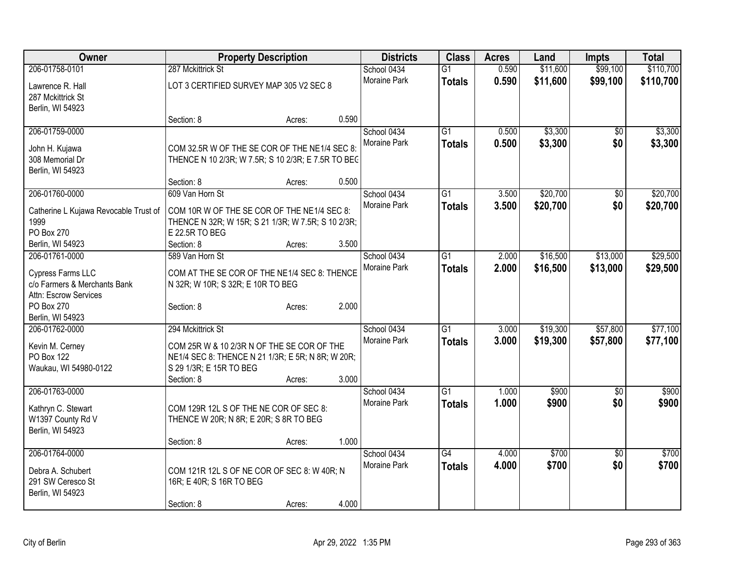| Owner                                 | <b>Property Description</b>                        |        |       | <b>Districts</b>    | <b>Class</b>    | <b>Acres</b> | Land     | <b>Impts</b>    | <b>Total</b> |
|---------------------------------------|----------------------------------------------------|--------|-------|---------------------|-----------------|--------------|----------|-----------------|--------------|
| 206-01758-0101                        | 287 Mckittrick St                                  |        |       | School 0434         | $\overline{G1}$ | 0.590        | \$11,600 | \$99,100        | \$110,700    |
| Lawrence R. Hall                      | LOT 3 CERTIFIED SURVEY MAP 305 V2 SEC 8            |        |       | Moraine Park        | <b>Totals</b>   | 0.590        | \$11,600 | \$99,100        | \$110,700    |
| 287 Mckittrick St                     |                                                    |        |       |                     |                 |              |          |                 |              |
| Berlin, WI 54923                      |                                                    |        |       |                     |                 |              |          |                 |              |
|                                       | Section: 8                                         | Acres: | 0.590 |                     |                 |              |          |                 |              |
| 206-01759-0000                        |                                                    |        |       | School 0434         | $\overline{G1}$ | 0.500        | \$3,300  | \$0             | \$3,300      |
|                                       | COM 32.5R W OF THE SE COR OF THE NE1/4 SEC 8:      |        |       | Moraine Park        | <b>Totals</b>   | 0.500        | \$3,300  | \$0             | \$3,300      |
| John H. Kujawa<br>308 Memorial Dr     | THENCE N 10 2/3R; W 7.5R; S 10 2/3R; E 7.5R TO BEG |        |       |                     |                 |              |          |                 |              |
| Berlin, WI 54923                      |                                                    |        |       |                     |                 |              |          |                 |              |
|                                       | Section: 8                                         | Acres: | 0.500 |                     |                 |              |          |                 |              |
| 206-01760-0000                        | 609 Van Horn St                                    |        |       | School 0434         | G1              | 3.500        | \$20,700 | \$0             | \$20,700     |
|                                       |                                                    |        |       | Moraine Park        | <b>Totals</b>   | 3.500        | \$20,700 | \$0             | \$20,700     |
| Catherine L Kujawa Revocable Trust of | COM 10R W OF THE SE COR OF THE NE1/4 SEC 8:        |        |       |                     |                 |              |          |                 |              |
| 1999                                  | THENCE N 32R; W 15R; S 21 1/3R; W 7.5R; S 10 2/3R; |        |       |                     |                 |              |          |                 |              |
| PO Box 270                            | E 22.5R TO BEG                                     |        |       |                     |                 |              |          |                 |              |
| Berlin, WI 54923                      | Section: 8                                         | Acres: | 3.500 |                     |                 |              |          |                 |              |
| 206-01761-0000                        | 589 Van Horn St                                    |        |       | School 0434         | $\overline{G1}$ | 2.000        | \$16,500 | \$13,000        | \$29,500     |
| Cypress Farms LLC                     | COM AT THE SE COR OF THE NE1/4 SEC 8: THENCE       |        |       | Moraine Park        | <b>Totals</b>   | 2.000        | \$16,500 | \$13,000        | \$29,500     |
| c/o Farmers & Merchants Bank          | N 32R; W 10R; S 32R; E 10R TO BEG                  |        |       |                     |                 |              |          |                 |              |
| Attn: Escrow Services                 |                                                    |        |       |                     |                 |              |          |                 |              |
| PO Box 270                            | Section: 8                                         | Acres: | 2.000 |                     |                 |              |          |                 |              |
| Berlin, WI 54923                      |                                                    |        |       |                     |                 |              |          |                 |              |
| 206-01762-0000                        | 294 Mckittrick St                                  |        |       | School 0434         | $\overline{G1}$ | 3.000        | \$19,300 | \$57,800        | \$77,100     |
|                                       | COM 25R W & 10 2/3R N OF THE SE COR OF THE         |        |       | Moraine Park        | <b>Totals</b>   | 3.000        | \$19,300 | \$57,800        | \$77,100     |
| Kevin M. Cerney<br>PO Box 122         | NE1/4 SEC 8: THENCE N 21 1/3R; E 5R; N 8R; W 20R;  |        |       |                     |                 |              |          |                 |              |
| Waukau, WI 54980-0122                 | S 29 1/3R; E 15R TO BEG                            |        |       |                     |                 |              |          |                 |              |
|                                       | Section: 8                                         | Acres: | 3.000 |                     |                 |              |          |                 |              |
| 206-01763-0000                        |                                                    |        |       | School 0434         | $\overline{G1}$ | 1.000        | \$900    | $\overline{50}$ | \$900        |
|                                       |                                                    |        |       | <b>Moraine Park</b> | <b>Totals</b>   | 1.000        | \$900    | \$0             | \$900        |
| Kathryn C. Stewart                    | COM 129R 12L S OF THE NE COR OF SEC 8:             |        |       |                     |                 |              |          |                 |              |
| W1397 County Rd V                     | THENCE W 20R; N 8R; E 20R; S 8R TO BEG             |        |       |                     |                 |              |          |                 |              |
| Berlin, WI 54923                      |                                                    |        |       |                     |                 |              |          |                 |              |
|                                       | Section: 8                                         | Acres: | 1.000 |                     |                 |              |          |                 |              |
| 206-01764-0000                        |                                                    |        |       | School 0434         | $\overline{G4}$ | 4.000        | \$700    | $\overline{50}$ | \$700        |
| Debra A. Schubert                     | COM 121R 12L S OF NE COR OF SEC 8: W 40R; N        |        |       | Moraine Park        | <b>Totals</b>   | 4.000        | \$700    | \$0             | \$700        |
| 291 SW Ceresco St                     | 16R; E 40R; S 16R TO BEG                           |        |       |                     |                 |              |          |                 |              |
| Berlin, WI 54923                      |                                                    |        |       |                     |                 |              |          |                 |              |
|                                       | Section: 8                                         | Acres: | 4.000 |                     |                 |              |          |                 |              |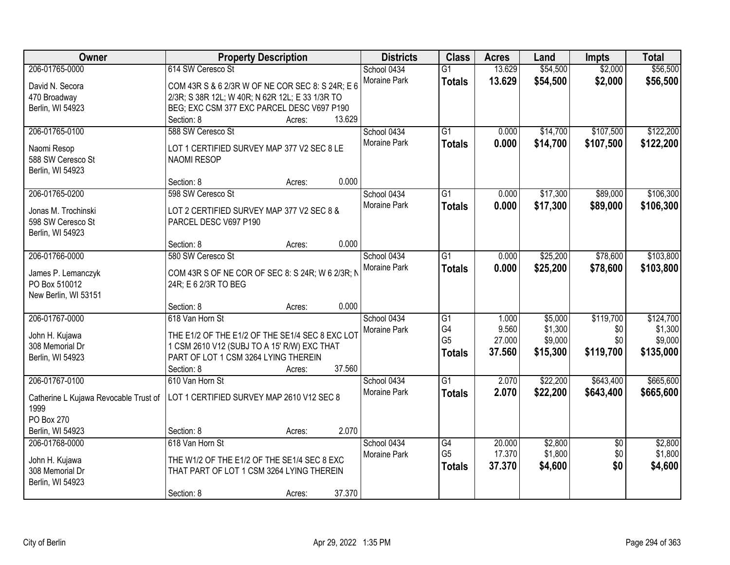| Owner                                 | <b>Property Description</b>                      | <b>Districts</b>    | <b>Class</b>    | <b>Acres</b> | Land     | <b>Impts</b>    | <b>Total</b> |
|---------------------------------------|--------------------------------------------------|---------------------|-----------------|--------------|----------|-----------------|--------------|
| 206-01765-0000                        | 614 SW Ceresco St                                | School 0434         | $\overline{G1}$ | 13.629       | \$54,500 | \$2,000         | \$56,500     |
| David N. Secora                       | COM 43R S & 6 2/3R W OF NE COR SEC 8: S 24R; E 6 | Moraine Park        | <b>Totals</b>   | 13.629       | \$54,500 | \$2,000         | \$56,500     |
| 470 Broadway                          | 2/3R; S 38R 12L; W 40R; N 62R 12L; E 33 1/3R TO  |                     |                 |              |          |                 |              |
| Berlin, WI 54923                      | BEG; EXC CSM 377 EXC PARCEL DESC V697 P190       |                     |                 |              |          |                 |              |
|                                       | 13.629<br>Section: 8<br>Acres:                   |                     |                 |              |          |                 |              |
| 206-01765-0100                        | 588 SW Ceresco St                                | School 0434         | $\overline{G1}$ | 0.000        | \$14,700 | \$107,500       | \$122,200    |
| Naomi Resop                           | LOT 1 CERTIFIED SURVEY MAP 377 V2 SEC 8 LE       | <b>Moraine Park</b> | <b>Totals</b>   | 0.000        | \$14,700 | \$107,500       | \$122,200    |
| 588 SW Ceresco St                     | <b>NAOMI RESOP</b>                               |                     |                 |              |          |                 |              |
| Berlin, WI 54923                      |                                                  |                     |                 |              |          |                 |              |
|                                       | 0.000<br>Section: 8<br>Acres:                    |                     |                 |              |          |                 |              |
| 206-01765-0200                        | 598 SW Ceresco St                                | School 0434         | G1              | 0.000        | \$17,300 | \$89,000        | \$106,300    |
|                                       |                                                  | Moraine Park        | <b>Totals</b>   | 0.000        | \$17,300 | \$89,000        | \$106,300    |
| Jonas M. Trochinski                   | LOT 2 CERTIFIED SURVEY MAP 377 V2 SEC 8 &        |                     |                 |              |          |                 |              |
| 598 SW Ceresco St                     | PARCEL DESC V697 P190                            |                     |                 |              |          |                 |              |
| Berlin, WI 54923                      | 0.000                                            |                     |                 |              |          |                 |              |
| 206-01766-0000                        | Section: 8<br>Acres:                             |                     |                 |              |          |                 |              |
|                                       | 580 SW Ceresco St                                | School 0434         | G1              | 0.000        | \$25,200 | \$78,600        | \$103,800    |
| James P. Lemanczyk                    | COM 43R S OF NE COR OF SEC 8: S 24R; W 6 2/3R; N | Moraine Park        | <b>Totals</b>   | 0.000        | \$25,200 | \$78,600        | \$103,800    |
| PO Box 510012                         | 24R; E 6 2/3R TO BEG                             |                     |                 |              |          |                 |              |
| New Berlin, WI 53151                  |                                                  |                     |                 |              |          |                 |              |
|                                       | 0.000<br>Section: 8<br>Acres:                    |                     |                 |              |          |                 |              |
| 206-01767-0000                        | 618 Van Horn St                                  | School 0434         | $\overline{G1}$ | 1.000        | \$5,000  | \$119,700       | \$124,700    |
| John H. Kujawa                        | THE E1/2 OF THE E1/2 OF THE SE1/4 SEC 8 EXC LOT  | Moraine Park        | G4              | 9.560        | \$1,300  | \$0             | \$1,300      |
| 308 Memorial Dr                       | 1 CSM 2610 V12 (SUBJ TO A 15' R/W) EXC THAT      |                     | G <sub>5</sub>  | 27.000       | \$9,000  | \$0             | \$9,000      |
| Berlin, WI 54923                      | PART OF LOT 1 CSM 3264 LYING THEREIN             |                     | <b>Totals</b>   | 37.560       | \$15,300 | \$119,700       | \$135,000    |
|                                       | 37.560<br>Section: 8<br>Acres:                   |                     |                 |              |          |                 |              |
| 206-01767-0100                        | 610 Van Horn St                                  | School 0434         | $\overline{G1}$ | 2.070        | \$22,200 | \$643,400       | \$665,600    |
|                                       | LOT 1 CERTIFIED SURVEY MAP 2610 V12 SEC 8        | Moraine Park        | <b>Totals</b>   | 2.070        | \$22,200 | \$643,400       | \$665,600    |
| Catherine L Kujawa Revocable Trust of |                                                  |                     |                 |              |          |                 |              |
| 1999<br>PO Box 270                    |                                                  |                     |                 |              |          |                 |              |
| Berlin, WI 54923                      | 2.070<br>Section: 8<br>Acres:                    |                     |                 |              |          |                 |              |
| 206-01768-0000                        | 618 Van Horn St                                  | School 0434         | G4              | 20.000       | \$2,800  | $\overline{50}$ | \$2,800      |
|                                       |                                                  | Moraine Park        | G <sub>5</sub>  | 17.370       | \$1,800  | \$0             | \$1,800      |
| John H. Kujawa                        | THE W1/2 OF THE E1/2 OF THE SE1/4 SEC 8 EXC      |                     | <b>Totals</b>   | 37.370       | \$4,600  | \$0             | \$4,600      |
| 308 Memorial Dr                       | THAT PART OF LOT 1 CSM 3264 LYING THEREIN        |                     |                 |              |          |                 |              |
| Berlin, WI 54923                      |                                                  |                     |                 |              |          |                 |              |
|                                       | 37.370<br>Section: 8<br>Acres:                   |                     |                 |              |          |                 |              |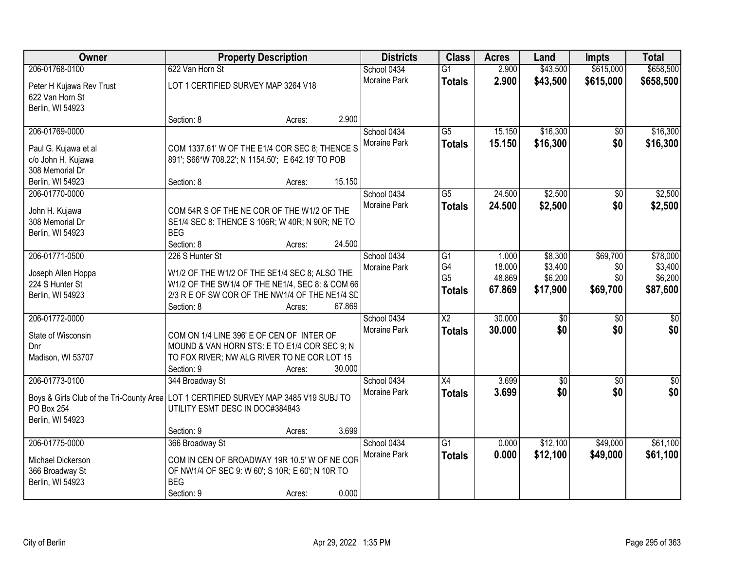| Owner                                    | <b>Property Description</b>                       |        |        | <b>Districts</b>    | <b>Class</b>         | <b>Acres</b>     | Land               | <b>Impts</b>    | <b>Total</b>       |
|------------------------------------------|---------------------------------------------------|--------|--------|---------------------|----------------------|------------------|--------------------|-----------------|--------------------|
| 206-01768-0100                           | 622 Van Horn St                                   |        |        | School 0434         | $\overline{G1}$      | 2.900            | \$43,500           | \$615,000       | \$658,500          |
| Peter H Kujawa Rev Trust                 | LOT 1 CERTIFIED SURVEY MAP 3264 V18               |        |        | <b>Moraine Park</b> | <b>Totals</b>        | 2.900            | \$43,500           | \$615,000       | \$658,500          |
| 622 Van Horn St                          |                                                   |        |        |                     |                      |                  |                    |                 |                    |
| Berlin, WI 54923                         |                                                   |        |        |                     |                      |                  |                    |                 |                    |
|                                          | Section: 8                                        | Acres: | 2.900  |                     |                      |                  |                    |                 |                    |
| 206-01769-0000                           |                                                   |        |        | School 0434         | $\overline{G5}$      | 15.150           | \$16,300           | $\overline{50}$ | \$16,300           |
| Paul G. Kujawa et al                     | COM 1337.61' W OF THE E1/4 COR SEC 8; THENCE S    |        |        | Moraine Park        | <b>Totals</b>        | 15.150           | \$16,300           | \$0             | \$16,300           |
| c/o John H. Kujawa                       | 891'; S66*W 708.22'; N 1154.50'; E 642.19' TO POB |        |        |                     |                      |                  |                    |                 |                    |
| 308 Memorial Dr                          |                                                   |        |        |                     |                      |                  |                    |                 |                    |
| Berlin, WI 54923                         | Section: 8                                        | Acres: | 15.150 |                     |                      |                  |                    |                 |                    |
| 206-01770-0000                           |                                                   |        |        | School 0434         | $\overline{G5}$      | 24.500           | \$2,500            | \$0             | \$2,500            |
| John H. Kujawa                           | COM 54R S OF THE NE COR OF THE W1/2 OF THE        |        |        | Moraine Park        | <b>Totals</b>        | 24.500           | \$2,500            | \$0             | \$2,500            |
| 308 Memorial Dr                          | SE1/4 SEC 8: THENCE S 106R; W 40R; N 90R; NE TO   |        |        |                     |                      |                  |                    |                 |                    |
| Berlin, WI 54923                         | <b>BEG</b>                                        |        |        |                     |                      |                  |                    |                 |                    |
|                                          | Section: 8                                        | Acres: | 24.500 |                     |                      |                  |                    |                 |                    |
| 206-01771-0500                           | 226 S Hunter St                                   |        |        | School 0434         | $\overline{G1}$      | 1.000            | \$8,300            | \$69,700        | \$78,000           |
| Joseph Allen Hoppa                       | W1/2 OF THE W1/2 OF THE SE1/4 SEC 8; ALSO THE     |        |        | Moraine Park        | G4<br>G <sub>5</sub> | 18.000<br>48.869 | \$3,400<br>\$6,200 | \$0<br>\$0      | \$3,400<br>\$6,200 |
| 224 S Hunter St                          | W1/2 OF THE SW1/4 OF THE NE1/4, SEC 8: & COM 66   |        |        |                     | <b>Totals</b>        | 67.869           | \$17,900           | \$69,700        | \$87,600           |
| Berlin, WI 54923                         | 2/3 R E OF SW COR OF THE NW1/4 OF THE NE1/4 SD    |        |        |                     |                      |                  |                    |                 |                    |
|                                          | Section: 8                                        | Acres: | 67.869 |                     |                      |                  |                    |                 |                    |
| 206-01772-0000                           |                                                   |        |        | School 0434         | $\overline{X2}$      | 30.000           | \$0                | \$0             | $\sqrt{50}$        |
| State of Wisconsin                       | COM ON 1/4 LINE 396' E OF CEN OF INTER OF         |        |        | Moraine Park        | <b>Totals</b>        | 30.000           | \$0                | \$0             | \$0                |
| Dnr                                      | MOUND & VAN HORN STS: E TO E1/4 COR SEC 9; N      |        |        |                     |                      |                  |                    |                 |                    |
| Madison, WI 53707                        | TO FOX RIVER; NW ALG RIVER TO NE COR LOT 15       |        |        |                     |                      |                  |                    |                 |                    |
|                                          | Section: 9                                        | Acres: | 30.000 |                     |                      |                  |                    |                 |                    |
| 206-01773-0100                           | 344 Broadway St                                   |        |        | School 0434         | X4                   | 3.699            | $\overline{50}$    | \$0             | $\frac{1}{2}$      |
| Boys & Girls Club of the Tri-County Area | LOT 1 CERTIFIED SURVEY MAP 3485 V19 SUBJ TO       |        |        | Moraine Park        | <b>Totals</b>        | 3.699            | \$0                | \$0             | \$0                |
| PO Box 254                               | UTILITY ESMT DESC IN DOC#384843                   |        |        |                     |                      |                  |                    |                 |                    |
| Berlin, WI 54923                         |                                                   |        |        |                     |                      |                  |                    |                 |                    |
|                                          | Section: 9                                        | Acres: | 3.699  |                     |                      |                  |                    |                 |                    |
| 206-01775-0000                           | 366 Broadway St                                   |        |        | School 0434         | $\overline{G1}$      | 0.000            | \$12,100           | \$49,000        | \$61,100           |
| Michael Dickerson                        | COM IN CEN OF BROADWAY 19R 10.5' W OF NE COR      |        |        | Moraine Park        | <b>Totals</b>        | 0.000            | \$12,100           | \$49,000        | \$61,100           |
| 366 Broadway St                          | OF NW1/4 OF SEC 9: W 60'; S 10R; E 60'; N 10R TO  |        |        |                     |                      |                  |                    |                 |                    |
| Berlin, WI 54923                         | <b>BEG</b>                                        |        |        |                     |                      |                  |                    |                 |                    |
|                                          | Section: 9                                        | Acres: | 0.000  |                     |                      |                  |                    |                 |                    |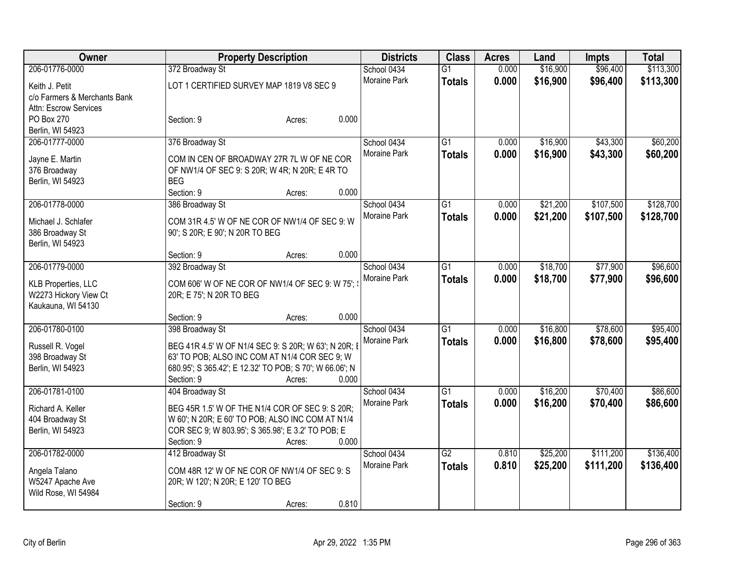| <b>Owner</b>                                                                         | <b>Property Description</b>                                                                                                                                                                                                                           | <b>Districts</b>            | <b>Class</b>                     | <b>Acres</b>   | Land                 | <b>Impts</b>           | <b>Total</b>           |
|--------------------------------------------------------------------------------------|-------------------------------------------------------------------------------------------------------------------------------------------------------------------------------------------------------------------------------------------------------|-----------------------------|----------------------------------|----------------|----------------------|------------------------|------------------------|
| 206-01776-0000<br>Keith J. Petit<br>c/o Farmers & Merchants Bank                     | 372 Broadway St<br>LOT 1 CERTIFIED SURVEY MAP 1819 V8 SEC 9                                                                                                                                                                                           | School 0434<br>Moraine Park | $\overline{G1}$<br><b>Totals</b> | 0.000<br>0.000 | \$16,900<br>\$16,900 | \$96,400<br>\$96,400   | \$113,300<br>\$113,300 |
| Attn: Escrow Services<br>PO Box 270<br>Berlin, WI 54923                              | 0.000<br>Section: 9<br>Acres:                                                                                                                                                                                                                         |                             |                                  |                |                      |                        |                        |
| 206-01777-0000<br>Jayne E. Martin<br>376 Broadway<br>Berlin, WI 54923                | 376 Broadway St<br>COM IN CEN OF BROADWAY 27R 7L W OF NE COR<br>OF NW1/4 OF SEC 9: S 20R; W 4R; N 20R; E 4R TO<br><b>BEG</b><br>0.000<br>Section: 9<br>Acres:                                                                                         | School 0434<br>Moraine Park | G1<br><b>Totals</b>              | 0.000<br>0.000 | \$16,900<br>\$16,900 | \$43,300<br>\$43,300   | \$60,200<br>\$60,200   |
| 206-01778-0000<br>Michael J. Schlafer<br>386 Broadway St<br>Berlin, WI 54923         | 386 Broadway St<br>COM 31R 4.5' W OF NE COR OF NW1/4 OF SEC 9: W<br>90'; S 20R; E 90'; N 20R TO BEG                                                                                                                                                   | School 0434<br>Moraine Park | $\overline{G1}$<br><b>Totals</b> | 0.000<br>0.000 | \$21,200<br>\$21,200 | \$107,500<br>\$107,500 | \$128,700<br>\$128,700 |
| 206-01779-0000<br>KLB Properties, LLC<br>W2273 Hickory View Ct<br>Kaukauna, WI 54130 | 0.000<br>Section: 9<br>Acres:<br>392 Broadway St<br>COM 606' W OF NE COR OF NW1/4 OF SEC 9: W 75';<br>20R; E 75'; N 20R TO BEG                                                                                                                        | School 0434<br>Moraine Park | G <sub>1</sub><br><b>Totals</b>  | 0.000<br>0.000 | \$18,700<br>\$18,700 | \$77,900<br>\$77,900   | \$96,600<br>\$96,600   |
| 206-01780-0100<br>Russell R. Vogel<br>398 Broadway St<br>Berlin, WI 54923            | 0.000<br>Section: 9<br>Acres:<br>398 Broadway St<br>BEG 41R 4.5' W OF N1/4 SEC 9: S 20R; W 63'; N 20R; I<br>63' TO POB; ALSO INC COM AT N1/4 COR SEC 9; W<br>680.95'; S 365.42'; E 12.32' TO POB; S 70'; W 66.06'; N<br>0.000<br>Section: 9<br>Acres: | School 0434<br>Moraine Park | G1<br><b>Totals</b>              | 0.000<br>0.000 | \$16,800<br>\$16,800 | \$78,600<br>\$78,600   | \$95,400<br>\$95,400   |
| 206-01781-0100<br>Richard A. Keller<br>404 Broadway St<br>Berlin, WI 54923           | 404 Broadway St<br>BEG 45R 1.5' W OF THE N1/4 COR OF SEC 9: S 20R;<br>W 60'; N 20R; E 60' TO POB; ALSO INC COM AT N1/4<br>COR SEC 9; W 803.95'; S 365.98'; E 3.2' TO POB; E<br>Section: 9<br>0.000<br>Acres:                                          | School 0434<br>Moraine Park | $\overline{G1}$<br><b>Totals</b> | 0.000<br>0.000 | \$16,200<br>\$16,200 | \$70,400<br>\$70,400   | \$86,600<br>\$86,600   |
| 206-01782-0000<br>Angela Talano<br>W5247 Apache Ave<br>Wild Rose, WI 54984           | 412 Broadway St<br>COM 48R 12' W OF NE COR OF NW1/4 OF SEC 9: S<br>20R; W 120'; N 20R; E 120' TO BEG<br>0.810<br>Section: 9<br>Acres:                                                                                                                 | School 0434<br>Moraine Park | $\overline{G2}$<br><b>Totals</b> | 0.810<br>0.810 | \$25,200<br>\$25,200 | \$111,200<br>\$111,200 | \$136,400<br>\$136,400 |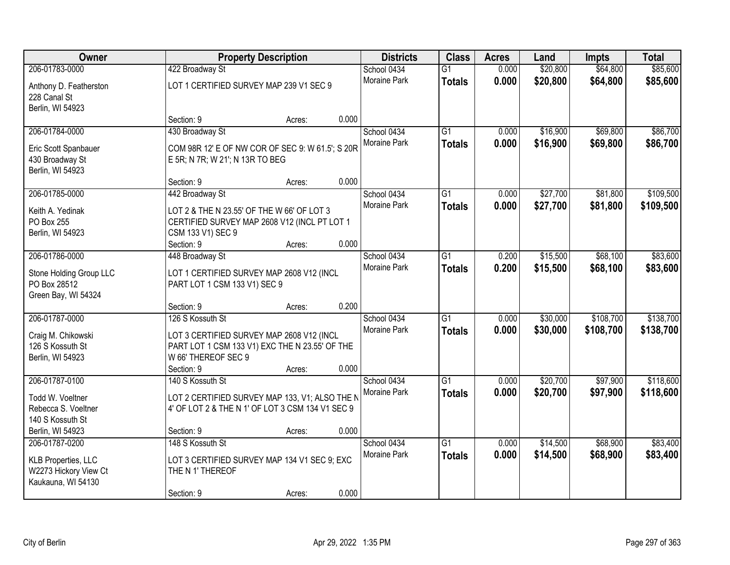| Owner                                                       |                                                                                                    | <b>Property Description</b> |       | <b>Districts</b>            | <b>Class</b>                     | <b>Acres</b>   | Land                 | <b>Impts</b>         | <b>Total</b>         |
|-------------------------------------------------------------|----------------------------------------------------------------------------------------------------|-----------------------------|-------|-----------------------------|----------------------------------|----------------|----------------------|----------------------|----------------------|
| 206-01783-0000<br>Anthony D. Featherston                    | 422 Broadway St<br>LOT 1 CERTIFIED SURVEY MAP 239 V1 SEC 9                                         |                             |       | School 0434<br>Moraine Park | $\overline{G1}$<br><b>Totals</b> | 0.000<br>0.000 | \$20,800<br>\$20,800 | \$64,800<br>\$64,800 | \$85,600<br>\$85,600 |
| 228 Canal St<br>Berlin, WI 54923                            |                                                                                                    |                             | 0.000 |                             |                                  |                |                      |                      |                      |
|                                                             | Section: 9                                                                                         | Acres:                      |       |                             |                                  |                |                      |                      |                      |
| 206-01784-0000                                              | 430 Broadway St                                                                                    |                             |       | School 0434                 | $\overline{G1}$                  | 0.000          | \$16,900             | \$69,800             | \$86,700             |
| Eric Scott Spanbauer<br>430 Broadway St<br>Berlin, WI 54923 | COM 98R 12' E OF NW COR OF SEC 9: W 61.5'; S 20R<br>E 5R; N 7R; W 21'; N 13R TO BEG                |                             |       | Moraine Park                | <b>Totals</b>                    | 0.000          | \$16,900             | \$69,800             | \$86,700             |
|                                                             | Section: 9                                                                                         | Acres:                      | 0.000 |                             |                                  |                |                      |                      |                      |
| 206-01785-0000                                              | 442 Broadway St                                                                                    |                             |       | School 0434                 | G1                               | 0.000          | \$27,700             | \$81,800             | \$109,500            |
| Keith A. Yedinak                                            | LOT 2 & THE N 23.55' OF THE W 66' OF LOT 3                                                         |                             |       | Moraine Park                | <b>Totals</b>                    | 0.000          | \$27,700             | \$81,800             | \$109,500            |
| PO Box 255                                                  | CERTIFIED SURVEY MAP 2608 V12 (INCL PT LOT 1                                                       |                             |       |                             |                                  |                |                      |                      |                      |
| Berlin, WI 54923                                            | CSM 133 V1) SEC 9                                                                                  |                             |       |                             |                                  |                |                      |                      |                      |
|                                                             | Section: 9                                                                                         | Acres:                      | 0.000 |                             |                                  |                |                      |                      |                      |
| 206-01786-0000                                              | 448 Broadway St                                                                                    |                             |       | School 0434                 | G1                               | 0.200          | \$15,500             | \$68,100             | \$83,600             |
|                                                             | LOT 1 CERTIFIED SURVEY MAP 2608 V12 (INCL                                                          |                             |       | <b>Moraine Park</b>         | <b>Totals</b>                    | 0.200          | \$15,500             | \$68,100             | \$83,600             |
| Stone Holding Group LLC<br>PO Box 28512                     | PART LOT 1 CSM 133 V1) SEC 9                                                                       |                             |       |                             |                                  |                |                      |                      |                      |
| Green Bay, WI 54324                                         |                                                                                                    |                             |       |                             |                                  |                |                      |                      |                      |
|                                                             | Section: 9                                                                                         | Acres:                      | 0.200 |                             |                                  |                |                      |                      |                      |
| 206-01787-0000                                              | 126 S Kossuth St                                                                                   |                             |       | School 0434                 | $\overline{G1}$                  | 0.000          | \$30,000             | \$108,700            | \$138,700            |
|                                                             |                                                                                                    |                             |       | <b>Moraine Park</b>         | <b>Totals</b>                    | 0.000          | \$30,000             | \$108,700            | \$138,700            |
| Craig M. Chikowski<br>126 S Kossuth St                      | LOT 3 CERTIFIED SURVEY MAP 2608 V12 (INCL<br>PART LOT 1 CSM 133 V1) EXC THE N 23.55' OF THE        |                             |       |                             |                                  |                |                      |                      |                      |
| Berlin, WI 54923                                            | W 66' THEREOF SEC 9                                                                                |                             |       |                             |                                  |                |                      |                      |                      |
|                                                             | Section: 9                                                                                         | Acres:                      | 0.000 |                             |                                  |                |                      |                      |                      |
| 206-01787-0100                                              | 140 S Kossuth St                                                                                   |                             |       | School 0434                 | $\overline{G1}$                  | 0.000          | \$20,700             | \$97,900             | \$118,600            |
|                                                             |                                                                                                    |                             |       | Moraine Park                | <b>Totals</b>                    | 0.000          | \$20,700             | \$97,900             | \$118,600            |
| Todd W. Voeltner<br>Rebecca S. Voeltner                     | LOT 2 CERTIFIED SURVEY MAP 133, V1; ALSO THE N<br>4' OF LOT 2 & THE N 1' OF LOT 3 CSM 134 V1 SEC 9 |                             |       |                             |                                  |                |                      |                      |                      |
| 140 S Kossuth St                                            |                                                                                                    |                             |       |                             |                                  |                |                      |                      |                      |
| Berlin, WI 54923                                            | Section: 9                                                                                         | Acres:                      | 0.000 |                             |                                  |                |                      |                      |                      |
| 206-01787-0200                                              | 148 S Kossuth St                                                                                   |                             |       | School 0434                 | $\overline{G1}$                  | 0.000          | \$14,500             | \$68,900             | \$83,400             |
|                                                             |                                                                                                    |                             |       | <b>Moraine Park</b>         | <b>Totals</b>                    | 0.000          | \$14,500             | \$68,900             | \$83,400             |
| KLB Properties, LLC                                         | LOT 3 CERTIFIED SURVEY MAP 134 V1 SEC 9; EXC                                                       |                             |       |                             |                                  |                |                      |                      |                      |
| W2273 Hickory View Ct<br>Kaukauna, WI 54130                 | THE N 1' THEREOF                                                                                   |                             |       |                             |                                  |                |                      |                      |                      |
|                                                             | Section: 9                                                                                         | Acres:                      | 0.000 |                             |                                  |                |                      |                      |                      |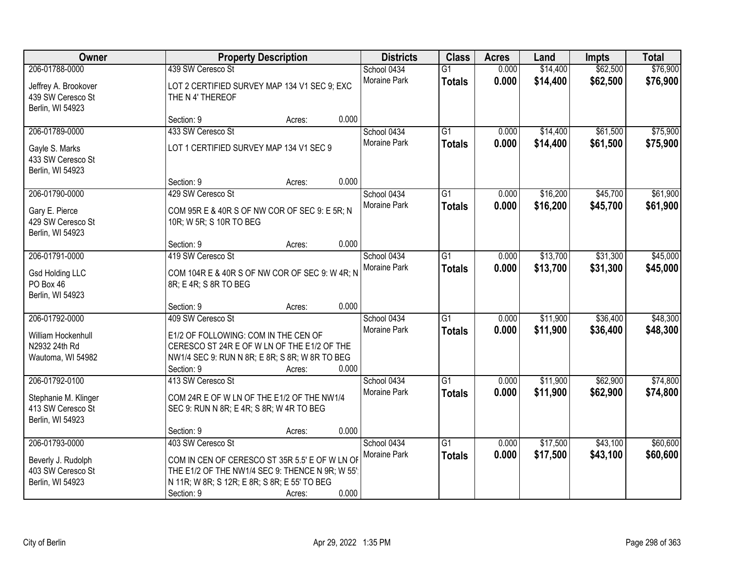| Owner                                                                           |                                                                                                                                                                                      | <b>Property Description</b> |       |                             | <b>Class</b>                     | <b>Acres</b>   | Land                 | <b>Impts</b>         | <b>Total</b>         |
|---------------------------------------------------------------------------------|--------------------------------------------------------------------------------------------------------------------------------------------------------------------------------------|-----------------------------|-------|-----------------------------|----------------------------------|----------------|----------------------|----------------------|----------------------|
| 206-01788-0000<br>Jeffrey A. Brookover<br>439 SW Ceresco St                     | 439 SW Ceresco St<br>LOT 2 CERTIFIED SURVEY MAP 134 V1 SEC 9; EXC<br>THE N 4' THEREOF                                                                                                |                             |       | School 0434<br>Moraine Park | $\overline{G1}$<br><b>Totals</b> | 0.000<br>0.000 | \$14,400<br>\$14,400 | \$62,500<br>\$62,500 | \$76,900<br>\$76,900 |
| Berlin, WI 54923                                                                | Section: 9                                                                                                                                                                           | Acres:                      | 0.000 |                             |                                  |                |                      |                      |                      |
| 206-01789-0000<br>Gayle S. Marks<br>433 SW Ceresco St<br>Berlin, WI 54923       | 433 SW Ceresco St<br>LOT 1 CERTIFIED SURVEY MAP 134 V1 SEC 9                                                                                                                         |                             |       | School 0434<br>Moraine Park | $\overline{G1}$<br><b>Totals</b> | 0.000<br>0.000 | \$14,400<br>\$14,400 | \$61,500<br>\$61,500 | \$75,900<br>\$75,900 |
| 206-01790-0000                                                                  | Section: 9<br>429 SW Ceresco St                                                                                                                                                      | Acres:                      | 0.000 | School 0434<br>Moraine Park | G1<br><b>Totals</b>              | 0.000<br>0.000 | \$16,200<br>\$16,200 | \$45,700<br>\$45,700 | \$61,900<br>\$61,900 |
| Gary E. Pierce<br>429 SW Ceresco St<br>Berlin, WI 54923                         | COM 95R E & 40R S OF NW COR OF SEC 9: E 5R; N<br>10R; W 5R; S 10R TO BEG                                                                                                             |                             |       |                             |                                  |                |                      |                      |                      |
| 206-01791-0000                                                                  | Section: 9<br>419 SW Ceresco St                                                                                                                                                      | Acres:                      | 0.000 | School 0434                 | G1                               | 0.000          | \$13,700             | \$31,300             | \$45,000             |
| <b>Gsd Holding LLC</b><br>PO Box 46<br>Berlin, WI 54923                         | COM 104R E & 40R S OF NW COR OF SEC 9: W 4R; N<br>8R; E 4R; S 8R TO BEG                                                                                                              |                             |       | Moraine Park                | <b>Totals</b>                    | 0.000          | \$13,700             | \$31,300             | \$45,000             |
|                                                                                 | Section: 9                                                                                                                                                                           | Acres:                      | 0.000 |                             |                                  |                |                      |                      |                      |
| 206-01792-0000<br>William Hockenhull<br>N2932 24th Rd<br>Wautoma, WI 54982      | 409 SW Ceresco St<br>E1/2 OF FOLLOWING: COM IN THE CEN OF<br>CERESCO ST 24R E OF W LN OF THE E1/2 OF THE<br>NW1/4 SEC 9: RUN N 8R; E 8R; S 8R; W 8R TO BEG<br>Section: 9             | Acres:                      | 0.000 | School 0434<br>Moraine Park | $\overline{G1}$<br><b>Totals</b> | 0.000<br>0.000 | \$11,900<br>\$11,900 | \$36,400<br>\$36,400 | \$48,300<br>\$48,300 |
| 206-01792-0100<br>Stephanie M. Klinger<br>413 SW Ceresco St<br>Berlin, WI 54923 | 413 SW Ceresco St<br>COM 24R E OF W LN OF THE E1/2 OF THE NW1/4<br>SEC 9: RUN N 8R; E 4R; S 8R; W 4R TO BEG                                                                          |                             |       | School 0434<br>Moraine Park | $\overline{G1}$<br><b>Totals</b> | 0.000<br>0.000 | \$11,900<br>\$11,900 | \$62,900<br>\$62,900 | \$74,800<br>\$74,800 |
|                                                                                 | Section: 9                                                                                                                                                                           | Acres:                      | 0.000 |                             |                                  |                |                      |                      |                      |
| 206-01793-0000<br>Beverly J. Rudolph<br>403 SW Ceresco St<br>Berlin, WI 54923   | 403 SW Ceresco St<br>COM IN CEN OF CERESCO ST 35R 5.5' E OF W LN OF<br>THE E1/2 OF THE NW1/4 SEC 9: THENCE N 9R; W 55'<br>N 11R; W 8R; S 12R; E 8R; S 8R; E 55' TO BEG<br>Section: 9 | Acres:                      | 0.000 | School 0434<br>Moraine Park | $\overline{G1}$<br><b>Totals</b> | 0.000<br>0.000 | \$17,500<br>\$17,500 | \$43,100<br>\$43,100 | \$60,600<br>\$60,600 |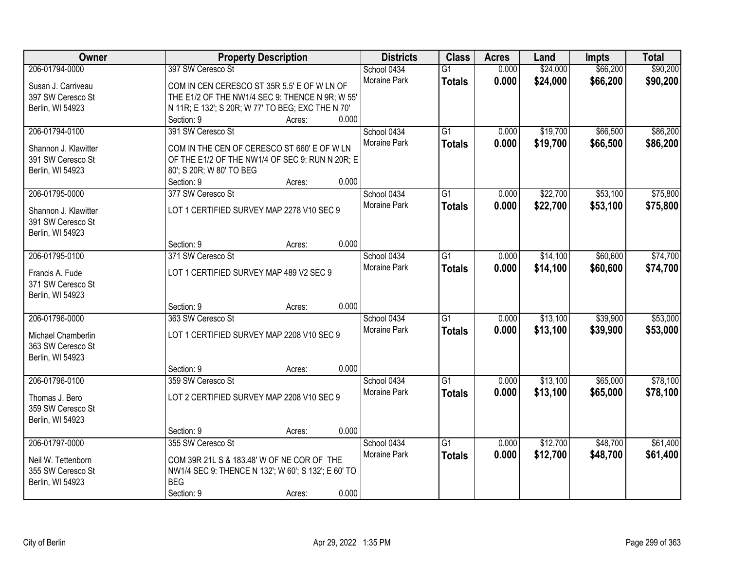| Owner                               | <b>Property Description</b>                         | <b>Districts</b> | <b>Class</b>    | <b>Acres</b> | Land     | <b>Impts</b> | <b>Total</b> |
|-------------------------------------|-----------------------------------------------------|------------------|-----------------|--------------|----------|--------------|--------------|
| 206-01794-0000                      | 397 SW Ceresco St                                   | School 0434      | $\overline{G1}$ | 0.000        | \$24,000 | \$66,200     | \$90,200     |
| Susan J. Carriveau                  | COM IN CEN CERESCO ST 35R 5.5' E OF W LN OF         | Moraine Park     | <b>Totals</b>   | 0.000        | \$24,000 | \$66,200     | \$90,200     |
| 397 SW Ceresco St                   | THE E1/2 OF THE NW1/4 SEC 9: THENCE N 9R; W 55'     |                  |                 |              |          |              |              |
| Berlin, WI 54923                    | N 11R; E 132'; S 20R; W 77' TO BEG; EXC THE N 70'   |                  |                 |              |          |              |              |
|                                     | 0.000<br>Section: 9<br>Acres:                       |                  |                 |              |          |              |              |
| 206-01794-0100                      | 391 SW Ceresco St                                   | School 0434      | $\overline{G1}$ | 0.000        | \$19,700 | \$66,500     | \$86,200     |
|                                     |                                                     | Moraine Park     | <b>Totals</b>   | 0.000        | \$19,700 | \$66,500     | \$86,200     |
| Shannon J. Klawitter                | COM IN THE CEN OF CERESCO ST 660' E OF W LN         |                  |                 |              |          |              |              |
| 391 SW Ceresco St                   | OF THE E1/2 OF THE NW1/4 OF SEC 9: RUN N 20R; E     |                  |                 |              |          |              |              |
| Berlin, WI 54923                    | 80'; S 20R; W 80' TO BEG                            |                  |                 |              |          |              |              |
|                                     | 0.000<br>Section: 9<br>Acres:                       |                  |                 |              |          |              |              |
| 206-01795-0000                      | 377 SW Ceresco St                                   | School 0434      | G1              | 0.000        | \$22,700 | \$53,100     | \$75,800     |
| Shannon J. Klawitter                | LOT 1 CERTIFIED SURVEY MAP 2278 V10 SEC 9           | Moraine Park     | <b>Totals</b>   | 0.000        | \$22,700 | \$53,100     | \$75,800     |
| 391 SW Ceresco St                   |                                                     |                  |                 |              |          |              |              |
| Berlin, WI 54923                    |                                                     |                  |                 |              |          |              |              |
|                                     | 0.000<br>Section: 9<br>Acres:                       |                  |                 |              |          |              |              |
| 206-01795-0100                      | 371 SW Ceresco St                                   | School 0434      | G1              | 0.000        | \$14,100 | \$60,600     | \$74,700     |
|                                     |                                                     | Moraine Park     | <b>Totals</b>   | 0.000        | \$14,100 | \$60,600     | \$74,700     |
| Francis A. Fude                     | LOT 1 CERTIFIED SURVEY MAP 489 V2 SEC 9             |                  |                 |              |          |              |              |
| 371 SW Ceresco St                   |                                                     |                  |                 |              |          |              |              |
| Berlin, WI 54923                    | 0.000                                               |                  |                 |              |          |              |              |
|                                     | Section: 9<br>Acres:                                |                  |                 |              |          |              |              |
| 206-01796-0000                      | 363 SW Ceresco St                                   | School 0434      | $\overline{G1}$ | 0.000        | \$13,100 | \$39,900     | \$53,000     |
| Michael Chamberlin                  | LOT 1 CERTIFIED SURVEY MAP 2208 V10 SEC 9           | Moraine Park     | <b>Totals</b>   | 0.000        | \$13,100 | \$39,900     | \$53,000     |
| 363 SW Ceresco St                   |                                                     |                  |                 |              |          |              |              |
| Berlin, WI 54923                    |                                                     |                  |                 |              |          |              |              |
|                                     | 0.000<br>Section: 9<br>Acres:                       |                  |                 |              |          |              |              |
| 206-01796-0100                      | 359 SW Ceresco St                                   | School 0434      | $\overline{G1}$ | 0.000        | \$13,100 | \$65,000     | \$78,100     |
|                                     | LOT 2 CERTIFIED SURVEY MAP 2208 V10 SEC 9           | Moraine Park     | <b>Totals</b>   | 0.000        | \$13,100 | \$65,000     | \$78,100     |
| Thomas J. Bero<br>359 SW Ceresco St |                                                     |                  |                 |              |          |              |              |
|                                     |                                                     |                  |                 |              |          |              |              |
| Berlin, WI 54923                    | 0.000<br>Section: 9                                 |                  |                 |              |          |              |              |
| 206-01797-0000                      | Acres:<br>355 SW Ceresco St                         | School 0434      | $\overline{G1}$ | 0.000        | \$12,700 | \$48,700     | \$61,400     |
|                                     |                                                     | Moraine Park     |                 |              |          |              |              |
| Neil W. Tettenborn                  | COM 39R 21L S & 183.48' W OF NE COR OF THE          |                  | <b>Totals</b>   | 0.000        | \$12,700 | \$48,700     | \$61,400     |
| 355 SW Ceresco St                   | NW1/4 SEC 9: THENCE N 132'; W 60'; S 132'; E 60' TO |                  |                 |              |          |              |              |
| Berlin, WI 54923                    | <b>BEG</b>                                          |                  |                 |              |          |              |              |
|                                     | 0.000<br>Section: 9<br>Acres:                       |                  |                 |              |          |              |              |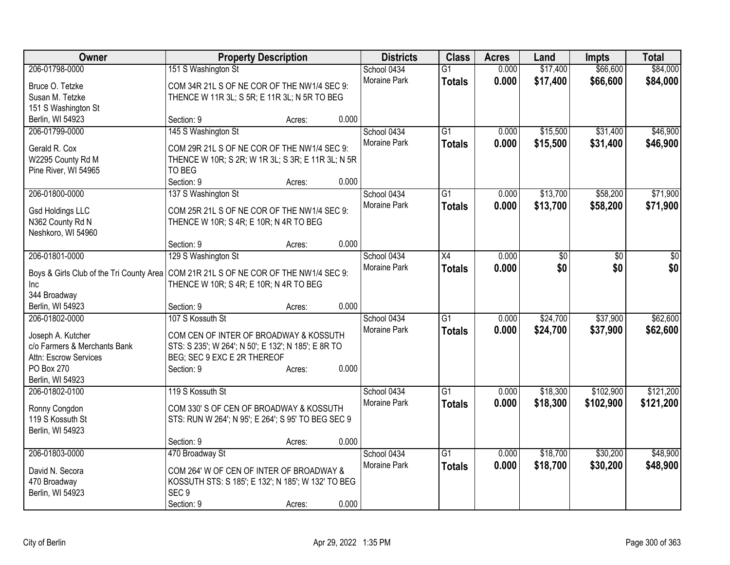| Owner                                                                                  | <b>Property Description</b>                         |        |       | <b>Districts</b>    | <b>Class</b>    | <b>Acres</b> | Land     | <b>Impts</b> | <b>Total</b> |
|----------------------------------------------------------------------------------------|-----------------------------------------------------|--------|-------|---------------------|-----------------|--------------|----------|--------------|--------------|
| 206-01798-0000                                                                         | 151 S Washington St                                 |        |       | School 0434         | $\overline{G1}$ | 0.000        | \$17,400 | \$66,600     | \$84,000     |
| Bruce O. Tetzke                                                                        | COM 34R 21L S OF NE COR OF THE NW1/4 SEC 9:         |        |       | Moraine Park        | <b>Totals</b>   | 0.000        | \$17,400 | \$66,600     | \$84,000     |
| Susan M. Tetzke                                                                        | THENCE W 11R 3L; S 5R; E 11R 3L; N 5R TO BEG        |        |       |                     |                 |              |          |              |              |
| 151 S Washington St                                                                    |                                                     |        |       |                     |                 |              |          |              |              |
| Berlin, WI 54923                                                                       | Section: 9                                          | Acres: | 0.000 |                     |                 |              |          |              |              |
| 206-01799-0000                                                                         | 145 S Washington St                                 |        |       | School 0434         | G1              | 0.000        | \$15,500 | \$31,400     | \$46,900     |
|                                                                                        | COM 29R 21L S OF NE COR OF THE NW1/4 SEC 9:         |        |       | Moraine Park        | <b>Totals</b>   | 0.000        | \$15,500 | \$31,400     | \$46,900     |
| Gerald R. Cox<br>W2295 County Rd M                                                     | THENCE W 10R; S 2R; W 1R 3L; S 3R; E 11R 3L; N 5R   |        |       |                     |                 |              |          |              |              |
| Pine River, WI 54965                                                                   | TO BEG                                              |        |       |                     |                 |              |          |              |              |
|                                                                                        | Section: 9                                          | Acres: | 0.000 |                     |                 |              |          |              |              |
| 206-01800-0000                                                                         | 137 S Washington St                                 |        |       | School 0434         | G1              | 0.000        | \$13,700 | \$58,200     | \$71,900     |
|                                                                                        |                                                     |        |       | <b>Moraine Park</b> | <b>Totals</b>   | 0.000        | \$13,700 | \$58,200     | \$71,900     |
| <b>Gsd Holdings LLC</b>                                                                | COM 25R 21L S OF NE COR OF THE NW1/4 SEC 9:         |        |       |                     |                 |              |          |              |              |
| N362 County Rd N                                                                       | THENCE W 10R; S 4R; E 10R; N 4R TO BEG              |        |       |                     |                 |              |          |              |              |
| Neshkoro, WI 54960                                                                     |                                                     |        |       |                     |                 |              |          |              |              |
|                                                                                        | Section: 9                                          | Acres: | 0.000 |                     |                 |              |          |              |              |
| 206-01801-0000                                                                         | 129 S Washington St                                 |        |       | School 0434         | $\overline{X4}$ | 0.000        | \$0      | \$0          | \$0          |
| Boys & Girls Club of the Tri County Area   COM 21R 21L S OF NE COR OF THE NW1/4 SEC 9: |                                                     |        |       | Moraine Park        | <b>Totals</b>   | 0.000        | \$0      | \$0          | \$0          |
| Inc                                                                                    | THENCE W 10R; S 4R; E 10R; N 4R TO BEG              |        |       |                     |                 |              |          |              |              |
| 344 Broadway                                                                           |                                                     |        |       |                     |                 |              |          |              |              |
| Berlin, WI 54923                                                                       | Section: 9                                          | Acres: | 0.000 |                     |                 |              |          |              |              |
| 206-01802-0000                                                                         | 107 S Kossuth St                                    |        |       | School 0434         | $\overline{G1}$ | 0.000        | \$24,700 | \$37,900     | \$62,600     |
| Joseph A. Kutcher                                                                      | COM CEN OF INTER OF BROADWAY & KOSSUTH              |        |       | <b>Moraine Park</b> | <b>Totals</b>   | 0.000        | \$24,700 | \$37,900     | \$62,600     |
| c/o Farmers & Merchants Bank                                                           | STS: S 235'; W 264'; N 50'; E 132'; N 185'; E 8R TO |        |       |                     |                 |              |          |              |              |
| Attn: Escrow Services                                                                  | BEG; SEC 9 EXC E 2R THEREOF                         |        |       |                     |                 |              |          |              |              |
| PO Box 270                                                                             | Section: 9                                          | Acres: | 0.000 |                     |                 |              |          |              |              |
| Berlin, WI 54923                                                                       |                                                     |        |       |                     |                 |              |          |              |              |
| 206-01802-0100                                                                         | 119 S Kossuth St                                    |        |       | School 0434         | $\overline{G1}$ | 0.000        | \$18,300 | \$102,900    | \$121,200    |
|                                                                                        |                                                     |        |       | Moraine Park        | <b>Totals</b>   | 0.000        | \$18,300 | \$102,900    | \$121,200    |
| Ronny Congdon                                                                          | COM 330' S OF CEN OF BROADWAY & KOSSUTH             |        |       |                     |                 |              |          |              |              |
| 119 S Kossuth St                                                                       | STS: RUN W 264'; N 95'; E 264'; S 95' TO BEG SEC 9  |        |       |                     |                 |              |          |              |              |
| Berlin, WI 54923                                                                       | Section: 9                                          |        | 0.000 |                     |                 |              |          |              |              |
| 206-01803-0000                                                                         | 470 Broadway St                                     | Acres: |       | School 0434         | $\overline{G1}$ | 0.000        | \$18,700 | \$30,200     | \$48,900     |
|                                                                                        |                                                     |        |       | Moraine Park        |                 | 0.000        | \$18,700 | \$30,200     | \$48,900     |
| David N. Secora                                                                        | COM 264' W OF CEN OF INTER OF BROADWAY &            |        |       |                     | <b>Totals</b>   |              |          |              |              |
| 470 Broadway                                                                           | KOSSUTH STS: S 185'; E 132'; N 185'; W 132' TO BEG  |        |       |                     |                 |              |          |              |              |
| Berlin, WI 54923                                                                       | SEC <sub>9</sub>                                    |        |       |                     |                 |              |          |              |              |
|                                                                                        | Section: 9                                          | Acres: | 0.000 |                     |                 |              |          |              |              |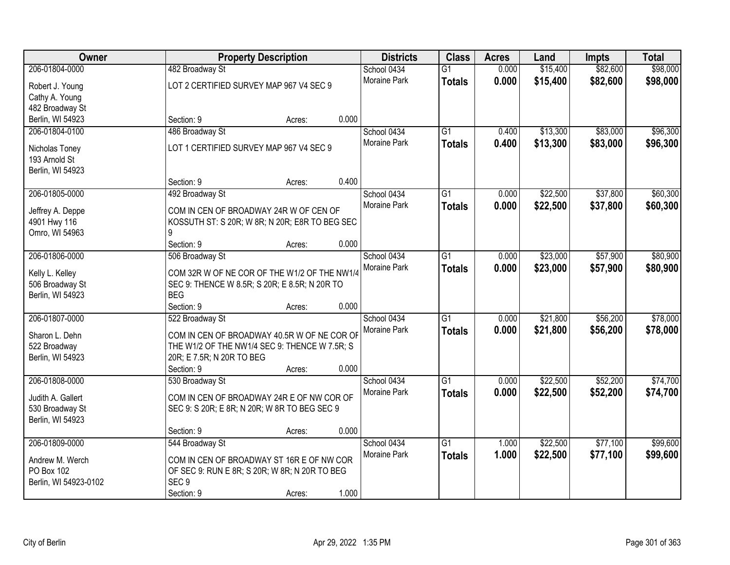| Owner                 |                                                | <b>Property Description</b> |       | <b>Districts</b>            | <b>Class</b>    | <b>Acres</b> | Land     | <b>Impts</b> | <b>Total</b> |
|-----------------------|------------------------------------------------|-----------------------------|-------|-----------------------------|-----------------|--------------|----------|--------------|--------------|
| 206-01804-0000        | 482 Broadway St                                |                             |       | School 0434                 | $\overline{G1}$ | 0.000        | \$15,400 | \$82,600     | \$98,000     |
| Robert J. Young       | LOT 2 CERTIFIED SURVEY MAP 967 V4 SEC 9        |                             |       | Moraine Park                | <b>Totals</b>   | 0.000        | \$15,400 | \$82,600     | \$98,000     |
| Cathy A. Young        |                                                |                             |       |                             |                 |              |          |              |              |
| 482 Broadway St       |                                                |                             |       |                             |                 |              |          |              |              |
| Berlin, WI 54923      | Section: 9                                     | Acres:                      | 0.000 |                             |                 |              |          |              |              |
| 206-01804-0100        | 486 Broadway St                                |                             |       | School 0434                 | $\overline{G1}$ | 0.400        | \$13,300 | \$83,000     | \$96,300     |
|                       |                                                |                             |       | Moraine Park                | <b>Totals</b>   | 0.400        | \$13,300 | \$83,000     | \$96,300     |
| Nicholas Toney        | LOT 1 CERTIFIED SURVEY MAP 967 V4 SEC 9        |                             |       |                             |                 |              |          |              |              |
| 193 Arnold St         |                                                |                             |       |                             |                 |              |          |              |              |
| Berlin, WI 54923      | Section: 9                                     |                             | 0.400 |                             |                 |              |          |              |              |
| 206-01805-0000        |                                                | Acres:                      |       |                             | $\overline{G1}$ | 0.000        | \$22,500 | \$37,800     | \$60,300     |
|                       | 492 Broadway St                                |                             |       | School 0434<br>Moraine Park |                 |              |          |              |              |
| Jeffrey A. Deppe      | COM IN CEN OF BROADWAY 24R W OF CEN OF         |                             |       |                             | <b>Totals</b>   | 0.000        | \$22,500 | \$37,800     | \$60,300     |
| 4901 Hwy 116          | KOSSUTH ST: S 20R; W 8R; N 20R; E8R TO BEG SEC |                             |       |                             |                 |              |          |              |              |
| Omro, WI 54963        | 9                                              |                             |       |                             |                 |              |          |              |              |
|                       | Section: 9                                     | Acres:                      | 0.000 |                             |                 |              |          |              |              |
| 206-01806-0000        | 506 Broadway St                                |                             |       | School 0434                 | $\overline{G1}$ | 0.000        | \$23,000 | \$57,900     | \$80,900     |
| Kelly L. Kelley       | COM 32R W OF NE COR OF THE W1/2 OF THE NW1/4   |                             |       | Moraine Park                | <b>Totals</b>   | 0.000        | \$23,000 | \$57,900     | \$80,900     |
| 506 Broadway St       | SEC 9: THENCE W 8.5R; S 20R; E 8.5R; N 20R TO  |                             |       |                             |                 |              |          |              |              |
| Berlin, WI 54923      | <b>BEG</b>                                     |                             |       |                             |                 |              |          |              |              |
|                       | Section: 9                                     | Acres:                      | 0.000 |                             |                 |              |          |              |              |
| 206-01807-0000        | 522 Broadway St                                |                             |       | School 0434                 | $\overline{G1}$ | 0.000        | \$21,800 | \$56,200     | \$78,000     |
|                       |                                                |                             |       | Moraine Park                | <b>Totals</b>   | 0.000        | \$21,800 | \$56,200     | \$78,000     |
| Sharon L. Dehn        | COM IN CEN OF BROADWAY 40.5R W OF NE COR OF    |                             |       |                             |                 |              |          |              |              |
| 522 Broadway          | THE W1/2 OF THE NW1/4 SEC 9: THENCE W 7.5R; S  |                             |       |                             |                 |              |          |              |              |
| Berlin, WI 54923      | 20R; E 7.5R; N 20R TO BEG                      |                             |       |                             |                 |              |          |              |              |
|                       | Section: 9                                     | Acres:                      | 0.000 |                             |                 |              |          |              |              |
| 206-01808-0000        | 530 Broadway St                                |                             |       | School 0434                 | $\overline{G1}$ | 0.000        | \$22,500 | \$52,200     | \$74,700     |
| Judith A. Gallert     | COM IN CEN OF BROADWAY 24R E OF NW COR OF      |                             |       | Moraine Park                | <b>Totals</b>   | 0.000        | \$22,500 | \$52,200     | \$74,700     |
| 530 Broadway St       | SEC 9: S 20R; E 8R; N 20R; W 8R TO BEG SEC 9   |                             |       |                             |                 |              |          |              |              |
| Berlin, WI 54923      |                                                |                             |       |                             |                 |              |          |              |              |
|                       | Section: 9                                     | Acres:                      | 0.000 |                             |                 |              |          |              |              |
| 206-01809-0000        | 544 Broadway St                                |                             |       | School 0434                 | $\overline{G1}$ | 1.000        | \$22,500 | \$77,100     | \$99,600     |
| Andrew M. Werch       | COM IN CEN OF BROADWAY ST 16R E OF NW COR      |                             |       | Moraine Park                | <b>Totals</b>   | 1.000        | \$22,500 | \$77,100     | \$99,600     |
| PO Box 102            | OF SEC 9: RUN E 8R; S 20R; W 8R; N 20R TO BEG  |                             |       |                             |                 |              |          |              |              |
| Berlin, WI 54923-0102 | SEC <sub>9</sub>                               |                             |       |                             |                 |              |          |              |              |
|                       | Section: 9                                     | Acres:                      | 1.000 |                             |                 |              |          |              |              |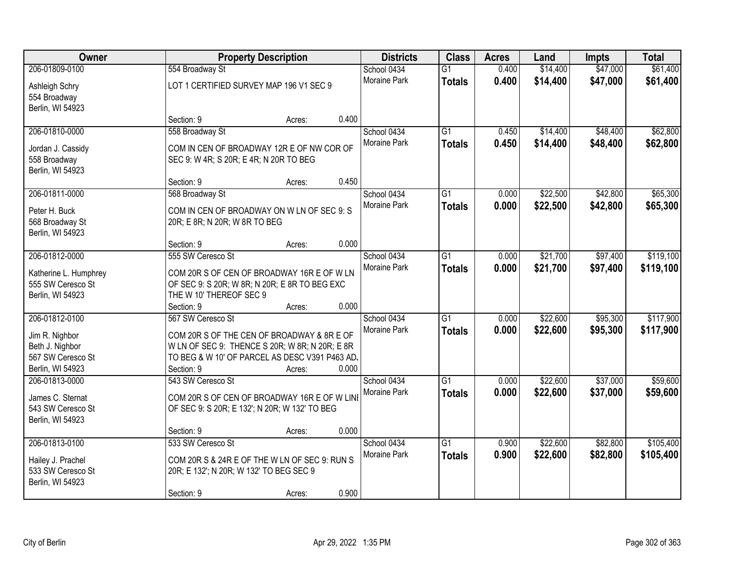| Owner                               |                                                | <b>Property Description</b> |       | <b>Districts</b>    | <b>Class</b>    | <b>Acres</b> | Land     | <b>Impts</b> | <b>Total</b> |
|-------------------------------------|------------------------------------------------|-----------------------------|-------|---------------------|-----------------|--------------|----------|--------------|--------------|
| 206-01809-0100                      | 554 Broadway St                                |                             |       | School 0434         | $\overline{G1}$ | 0.400        | \$14,400 | \$47,000     | \$61,400     |
| Ashleigh Schry                      | LOT 1 CERTIFIED SURVEY MAP 196 V1 SEC 9        |                             |       | <b>Moraine Park</b> | <b>Totals</b>   | 0.400        | \$14,400 | \$47,000     | \$61,400     |
| 554 Broadway                        |                                                |                             |       |                     |                 |              |          |              |              |
| Berlin, WI 54923                    |                                                |                             |       |                     |                 |              |          |              |              |
|                                     | Section: 9                                     | Acres:                      | 0.400 |                     |                 |              |          |              |              |
| 206-01810-0000                      | 558 Broadway St                                |                             |       | School 0434         | $\overline{G1}$ | 0.450        | \$14,400 | \$48,400     | \$62,800     |
| Jordan J. Cassidy                   | COM IN CEN OF BROADWAY 12R E OF NW COR OF      |                             |       | Moraine Park        | <b>Totals</b>   | 0.450        | \$14,400 | \$48,400     | \$62,800     |
| 558 Broadway                        | SEC 9: W 4R; S 20R; E 4R; N 20R TO BEG         |                             |       |                     |                 |              |          |              |              |
| Berlin, WI 54923                    |                                                |                             |       |                     |                 |              |          |              |              |
|                                     | Section: 9                                     | Acres:                      | 0.450 |                     |                 |              |          |              |              |
| 206-01811-0000                      | 568 Broadway St                                |                             |       | School 0434         | $\overline{G1}$ | 0.000        | \$22,500 | \$42,800     | \$65,300     |
|                                     |                                                |                             |       | Moraine Park        | <b>Totals</b>   | 0.000        | \$22,500 | \$42,800     | \$65,300     |
| Peter H. Buck                       | COM IN CEN OF BROADWAY ON W LN OF SEC 9: S     |                             |       |                     |                 |              |          |              |              |
| 568 Broadway St<br>Berlin, WI 54923 | 20R; E 8R; N 20R; W 8R TO BEG                  |                             |       |                     |                 |              |          |              |              |
|                                     | Section: 9                                     | Acres:                      | 0.000 |                     |                 |              |          |              |              |
| 206-01812-0000                      | 555 SW Ceresco St                              |                             |       | School 0434         | $\overline{G1}$ | 0.000        | \$21,700 | \$97,400     | \$119,100    |
|                                     |                                                |                             |       | Moraine Park        | <b>Totals</b>   | 0.000        | \$21,700 | \$97,400     | \$119,100    |
| Katherine L. Humphrey               | COM 20R S OF CEN OF BROADWAY 16R E OF W LN     |                             |       |                     |                 |              |          |              |              |
| 555 SW Ceresco St                   | OF SEC 9: S 20R; W 8R; N 20R; E 8R TO BEG EXC  |                             |       |                     |                 |              |          |              |              |
| Berlin, WI 54923                    | THE W 10' THEREOF SEC 9                        |                             |       |                     |                 |              |          |              |              |
|                                     | Section: 9                                     | Acres:                      | 0.000 |                     |                 |              |          |              |              |
| 206-01812-0100                      | 567 SW Ceresco St                              |                             |       | School 0434         | $\overline{G1}$ | 0.000        | \$22,600 | \$95,300     | \$117,900    |
| Jim R. Nighbor                      | COM 20R S OF THE CEN OF BROADWAY & 8R E OF     |                             |       | Moraine Park        | <b>Totals</b>   | 0.000        | \$22,600 | \$95,300     | \$117,900    |
| Beth J. Nighbor                     | W LN OF SEC 9: THENCE S 20R; W 8R; N 20R; E 8R |                             |       |                     |                 |              |          |              |              |
| 567 SW Ceresco St                   | TO BEG & W 10' OF PARCEL AS DESC V391 P463 AD. |                             |       |                     |                 |              |          |              |              |
| Berlin, WI 54923                    | Section: 9                                     | Acres:                      | 0.000 |                     |                 |              |          |              |              |
| 206-01813-0000                      | 543 SW Ceresco St                              |                             |       | School 0434         | $\overline{G1}$ | 0.000        | \$22,600 | \$37,000     | \$59,600     |
| James C. Sternat                    | COM 20R S OF CEN OF BROADWAY 16R E OF W LINI   |                             |       | Moraine Park        | <b>Totals</b>   | 0.000        | \$22,600 | \$37,000     | \$59,600     |
| 543 SW Ceresco St                   | OF SEC 9: S 20R; E 132'; N 20R; W 132' TO BEG  |                             |       |                     |                 |              |          |              |              |
| Berlin, WI 54923                    |                                                |                             |       |                     |                 |              |          |              |              |
|                                     | Section: 9                                     | Acres:                      | 0.000 |                     |                 |              |          |              |              |
| 206-01813-0100                      | 533 SW Ceresco St                              |                             |       | School 0434         | $\overline{G1}$ | 0.900        | \$22,600 | \$82,800     | \$105,400    |
| Hailey J. Prachel                   | COM 20R S & 24R E OF THE W LN OF SEC 9: RUN S  |                             |       | Moraine Park        | <b>Totals</b>   | 0.900        | \$22,600 | \$82,800     | \$105,400    |
| 533 SW Ceresco St                   | 20R; E 132'; N 20R; W 132' TO BEG SEC 9        |                             |       |                     |                 |              |          |              |              |
| Berlin, WI 54923                    |                                                |                             |       |                     |                 |              |          |              |              |
|                                     | Section: 9                                     | Acres:                      | 0.900 |                     |                 |              |          |              |              |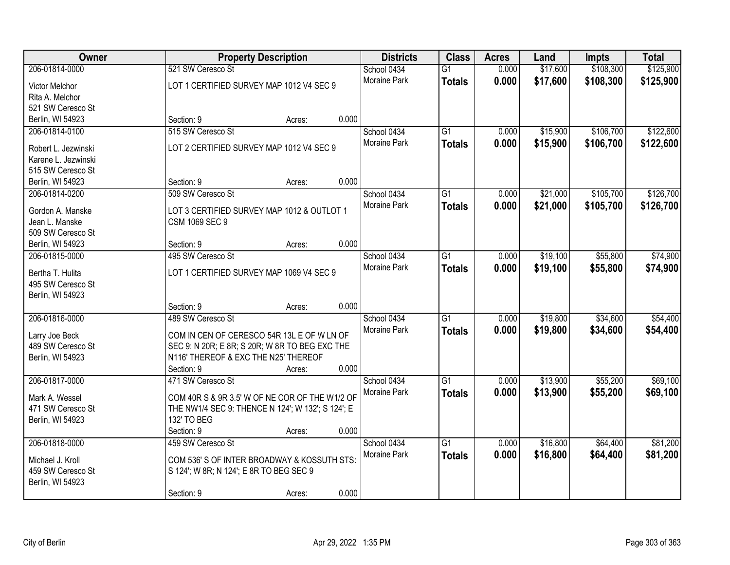| Owner                              |                                                   | <b>Property Description</b> |       | <b>Districts</b>            | <b>Class</b>    | <b>Acres</b> | Land     | <b>Impts</b> | <b>Total</b> |
|------------------------------------|---------------------------------------------------|-----------------------------|-------|-----------------------------|-----------------|--------------|----------|--------------|--------------|
| 206-01814-0000                     | 521 SW Ceresco St                                 |                             |       | School 0434                 | $\overline{G1}$ | 0.000        | \$17,600 | \$108,300    | \$125,900    |
| <b>Victor Melchor</b>              | LOT 1 CERTIFIED SURVEY MAP 1012 V4 SEC 9          |                             |       | Moraine Park                | <b>Totals</b>   | 0.000        | \$17,600 | \$108,300    | \$125,900    |
| Rita A. Melchor                    |                                                   |                             |       |                             |                 |              |          |              |              |
| 521 SW Ceresco St                  |                                                   |                             |       |                             |                 |              |          |              |              |
| Berlin, WI 54923                   | Section: 9                                        | Acres:                      | 0.000 |                             |                 |              |          |              |              |
| 206-01814-0100                     | 515 SW Ceresco St                                 |                             |       | School 0434                 | $\overline{G1}$ | 0.000        | \$15,900 | \$106,700    | \$122,600    |
|                                    | LOT 2 CERTIFIED SURVEY MAP 1012 V4 SEC 9          |                             |       | Moraine Park                | <b>Totals</b>   | 0.000        | \$15,900 | \$106,700    | \$122,600    |
| Robert L. Jezwinski                |                                                   |                             |       |                             |                 |              |          |              |              |
| Karene L. Jezwinski                |                                                   |                             |       |                             |                 |              |          |              |              |
| 515 SW Ceresco St                  | Section: 9                                        |                             | 0.000 |                             |                 |              |          |              |              |
| Berlin, WI 54923<br>206-01814-0200 | 509 SW Ceresco St                                 | Acres:                      |       |                             | G1              | 0.000        | \$21,000 | \$105,700    | \$126,700    |
|                                    |                                                   |                             |       | School 0434<br>Moraine Park |                 |              |          |              |              |
| Gordon A. Manske                   | LOT 3 CERTIFIED SURVEY MAP 1012 & OUTLOT 1        |                             |       |                             | <b>Totals</b>   | 0.000        | \$21,000 | \$105,700    | \$126,700    |
| Jean L. Manske                     | CSM 1069 SEC 9                                    |                             |       |                             |                 |              |          |              |              |
| 509 SW Ceresco St                  |                                                   |                             |       |                             |                 |              |          |              |              |
| Berlin, WI 54923                   | Section: 9                                        | Acres:                      | 0.000 |                             |                 |              |          |              |              |
| 206-01815-0000                     | 495 SW Ceresco St                                 |                             |       | School 0434                 | G1              | 0.000        | \$19,100 | \$55,800     | \$74,900     |
| Bertha T. Hulita                   | LOT 1 CERTIFIED SURVEY MAP 1069 V4 SEC 9          |                             |       | Moraine Park                | <b>Totals</b>   | 0.000        | \$19,100 | \$55,800     | \$74,900     |
| 495 SW Ceresco St                  |                                                   |                             |       |                             |                 |              |          |              |              |
| Berlin, WI 54923                   |                                                   |                             |       |                             |                 |              |          |              |              |
|                                    | Section: 9                                        | Acres:                      | 0.000 |                             |                 |              |          |              |              |
| 206-01816-0000                     | 489 SW Ceresco St                                 |                             |       | School 0434                 | $\overline{G1}$ | 0.000        | \$19,800 | \$34,600     | \$54,400     |
|                                    |                                                   |                             |       | Moraine Park                | <b>Totals</b>   | 0.000        | \$19,800 | \$34,600     | \$54,400     |
| Larry Joe Beck                     | COM IN CEN OF CERESCO 54R 13L E OF W LN OF        |                             |       |                             |                 |              |          |              |              |
| 489 SW Ceresco St                  | SEC 9: N 20R; E 8R; S 20R; W 8R TO BEG EXC THE    |                             |       |                             |                 |              |          |              |              |
| Berlin, WI 54923                   | N116' THEREOF & EXC THE N25' THEREOF              |                             |       |                             |                 |              |          |              |              |
|                                    | Section: 9                                        | Acres:                      | 0.000 |                             |                 |              |          |              |              |
| 206-01817-0000                     | 471 SW Ceresco St                                 |                             |       | School 0434                 | $\overline{G1}$ | 0.000        | \$13,900 | \$55,200     | \$69,100     |
| Mark A. Wessel                     | COM 40R S & 9R 3.5' W OF NE COR OF THE W1/2 OF    |                             |       | Moraine Park                | <b>Totals</b>   | 0.000        | \$13,900 | \$55,200     | \$69,100     |
| 471 SW Ceresco St                  | THE NW1/4 SEC 9: THENCE N 124'; W 132'; S 124'; E |                             |       |                             |                 |              |          |              |              |
| Berlin, WI 54923                   | 132' TO BEG                                       |                             |       |                             |                 |              |          |              |              |
|                                    | Section: 9                                        | Acres:                      | 0.000 |                             |                 |              |          |              |              |
| 206-01818-0000                     | 459 SW Ceresco St                                 |                             |       | School 0434                 | $\overline{G1}$ | 0.000        | \$16,800 | \$64,400     | \$81,200     |
|                                    |                                                   |                             |       | Moraine Park                | <b>Totals</b>   | 0.000        | \$16,800 | \$64,400     | \$81,200     |
| Michael J. Kroll                   | COM 536' S OF INTER BROADWAY & KOSSUTH STS:       |                             |       |                             |                 |              |          |              |              |
| 459 SW Ceresco St                  | S 124'; W 8R; N 124'; E 8R TO BEG SEC 9           |                             |       |                             |                 |              |          |              |              |
| Berlin, WI 54923                   |                                                   |                             |       |                             |                 |              |          |              |              |
|                                    | Section: 9                                        | Acres:                      | 0.000 |                             |                 |              |          |              |              |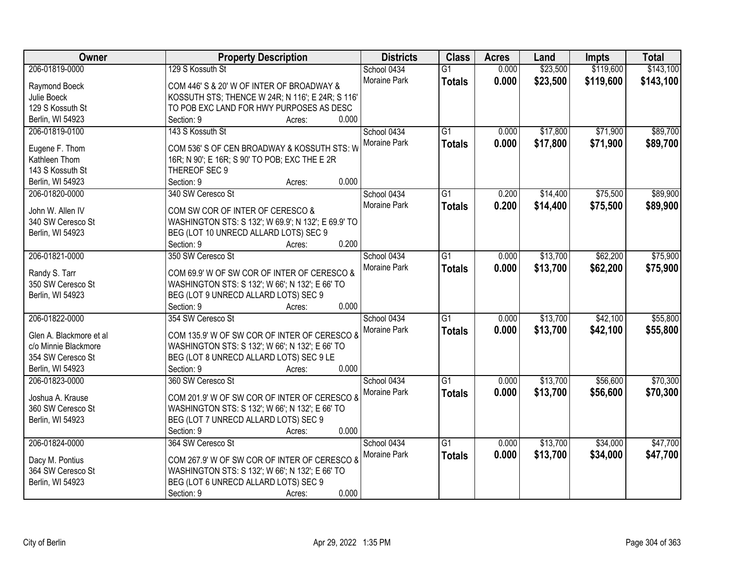| Owner                    | <b>Property Description</b>                         | <b>Districts</b> | <b>Class</b>    | <b>Acres</b> | Land     | <b>Impts</b> | <b>Total</b> |
|--------------------------|-----------------------------------------------------|------------------|-----------------|--------------|----------|--------------|--------------|
| 206-01819-0000           | 129 S Kossuth St                                    | School 0434      | $\overline{G1}$ | 0.000        | \$23,500 | \$119,600    | \$143,100    |
| Raymond Boeck            | COM 446' S & 20' W OF INTER OF BROADWAY &           | Moraine Park     | <b>Totals</b>   | 0.000        | \$23,500 | \$119,600    | \$143,100    |
| Julie Boeck              | KOSSUTH STS; THENCE W 24R; N 116'; E 24R; S 116'    |                  |                 |              |          |              |              |
| 129 S Kossuth St         | TO POB EXC LAND FOR HWY PURPOSES AS DESC            |                  |                 |              |          |              |              |
| Berlin, WI 54923         | 0.000<br>Section: 9<br>Acres:                       |                  |                 |              |          |              |              |
| 206-01819-0100           | 143 S Kossuth St                                    | School 0434      | $\overline{G1}$ | 0.000        | \$17,800 | \$71,900     | \$89,700     |
|                          |                                                     | Moraine Park     | <b>Totals</b>   | 0.000        | \$17,800 | \$71,900     | \$89,700     |
| Eugene F. Thom           | COM 536' S OF CEN BROADWAY & KOSSUTH STS: W         |                  |                 |              |          |              |              |
| Kathleen Thom            | 16R; N 90'; E 16R; S 90' TO POB; EXC THE E 2R       |                  |                 |              |          |              |              |
| 143 S Kossuth St         | THEREOF SEC 9                                       |                  |                 |              |          |              |              |
| Berlin, WI 54923         | 0.000<br>Section: 9<br>Acres:                       |                  |                 |              |          |              |              |
| 206-01820-0000           | 340 SW Ceresco St                                   | School 0434      | $\overline{G1}$ | 0.200        | \$14,400 | \$75,500     | \$89,900     |
| John W. Allen IV         | COM SW COR OF INTER OF CERESCO &                    | Moraine Park     | <b>Totals</b>   | 0.200        | \$14,400 | \$75,500     | \$89,900     |
| 340 SW Ceresco St        | WASHINGTON STS: S 132'; W 69.9'; N 132'; E 69.9' TO |                  |                 |              |          |              |              |
| Berlin, WI 54923         | BEG (LOT 10 UNRECD ALLARD LOTS) SEC 9               |                  |                 |              |          |              |              |
|                          | 0.200<br>Section: 9<br>Acres:                       |                  |                 |              |          |              |              |
| 206-01821-0000           | 350 SW Ceresco St                                   | School 0434      | $\overline{G1}$ | 0.000        | \$13,700 | \$62,200     | \$75,900     |
|                          |                                                     | Moraine Park     | <b>Totals</b>   | 0.000        | \$13,700 | \$62,200     | \$75,900     |
| Randy S. Tarr            | COM 69.9' W OF SW COR OF INTER OF CERESCO &         |                  |                 |              |          |              |              |
| 350 SW Ceresco St        | WASHINGTON STS: S 132'; W 66'; N 132'; E 66' TO     |                  |                 |              |          |              |              |
| Berlin, WI 54923         | BEG (LOT 9 UNRECD ALLARD LOTS) SEC 9                |                  |                 |              |          |              |              |
|                          | 0.000<br>Section: 9<br>Acres:                       |                  |                 |              |          |              |              |
| 206-01822-0000           | 354 SW Ceresco St                                   | School 0434      | $\overline{G1}$ | 0.000        | \$13,700 | \$42,100     | \$55,800     |
| Glen A. Blackmore et al. | COM 135.9' W OF SW COR OF INTER OF CERESCO 8        | Moraine Park     | <b>Totals</b>   | 0.000        | \$13,700 | \$42,100     | \$55,800     |
| c/o Minnie Blackmore     | WASHINGTON STS: S 132'; W 66'; N 132'; E 66' TO     |                  |                 |              |          |              |              |
| 354 SW Ceresco St        | BEG (LOT 8 UNRECD ALLARD LOTS) SEC 9 LE             |                  |                 |              |          |              |              |
| Berlin, WI 54923         | Section: 9<br>0.000<br>Acres:                       |                  |                 |              |          |              |              |
| 206-01823-0000           | 360 SW Ceresco St                                   | School 0434      | $\overline{G1}$ | 0.000        | \$13,700 | \$56,600     | \$70,300     |
|                          |                                                     |                  |                 |              |          |              |              |
| Joshua A. Krause         | COM 201.9' W OF SW COR OF INTER OF CERESCO &        | Moraine Park     | <b>Totals</b>   | 0.000        | \$13,700 | \$56,600     | \$70,300     |
| 360 SW Ceresco St        | WASHINGTON STS: S 132'; W 66'; N 132'; E 66' TO     |                  |                 |              |          |              |              |
| Berlin, WI 54923         | BEG (LOT 7 UNRECD ALLARD LOTS) SEC 9                |                  |                 |              |          |              |              |
|                          | 0.000<br>Section: 9<br>Acres:                       |                  |                 |              |          |              |              |
| 206-01824-0000           | 364 SW Ceresco St                                   | School 0434      | $\overline{G1}$ | 0.000        | \$13,700 | \$34,000     | \$47,700     |
|                          |                                                     | Moraine Park     | <b>Totals</b>   | 0.000        | \$13,700 | \$34,000     | \$47,700     |
| Dacy M. Pontius          | COM 267.9' W OF SW COR OF INTER OF CERESCO &        |                  |                 |              |          |              |              |
| 364 SW Ceresco St        | WASHINGTON STS: S 132'; W 66'; N 132'; E 66' TO     |                  |                 |              |          |              |              |
| Berlin, WI 54923         | BEG (LOT 6 UNRECD ALLARD LOTS) SEC 9                |                  |                 |              |          |              |              |
|                          | 0.000<br>Section: 9<br>Acres:                       |                  |                 |              |          |              |              |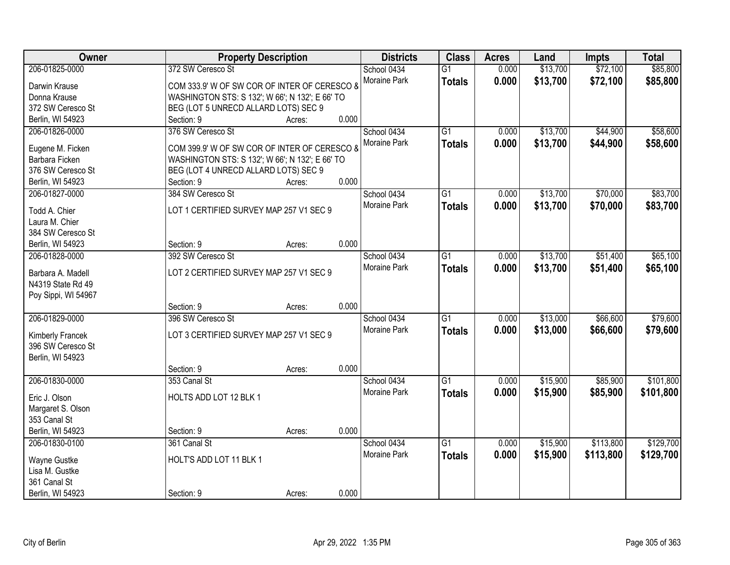| Owner                          | <b>Property Description</b>                     |        |       | <b>Districts</b> | <b>Class</b>    | <b>Acres</b> | Land     | <b>Impts</b> | <b>Total</b> |
|--------------------------------|-------------------------------------------------|--------|-------|------------------|-----------------|--------------|----------|--------------|--------------|
| 206-01825-0000                 | 372 SW Ceresco St                               |        |       | School 0434      | $\overline{G1}$ | 0.000        | \$13,700 | \$72,100     | \$85,800     |
| Darwin Krause                  | COM 333.9' W OF SW COR OF INTER OF CERESCO &    |        |       | Moraine Park     | <b>Totals</b>   | 0.000        | \$13,700 | \$72,100     | \$85,800     |
| Donna Krause                   | WASHINGTON STS: S 132'; W 66'; N 132'; E 66' TO |        |       |                  |                 |              |          |              |              |
| 372 SW Ceresco St              | BEG (LOT 5 UNRECD ALLARD LOTS) SEC 9            |        |       |                  |                 |              |          |              |              |
| Berlin, WI 54923               | Section: 9                                      | Acres: | 0.000 |                  |                 |              |          |              |              |
| 206-01826-0000                 | 376 SW Ceresco St                               |        |       | School 0434      | $\overline{G1}$ | 0.000        | \$13,700 | \$44,900     | \$58,600     |
|                                |                                                 |        |       | Moraine Park     | <b>Totals</b>   | 0.000        | \$13,700 | \$44,900     | \$58,600     |
| Eugene M. Ficken               | COM 399.9' W OF SW COR OF INTER OF CERESCO 8    |        |       |                  |                 |              |          |              |              |
| Barbara Ficken                 | WASHINGTON STS: S 132'; W 66'; N 132'; E 66' TO |        |       |                  |                 |              |          |              |              |
| 376 SW Ceresco St              | BEG (LOT 4 UNRECD ALLARD LOTS) SEC 9            |        |       |                  |                 |              |          |              |              |
| Berlin, WI 54923               | Section: 9                                      | Acres: | 0.000 |                  |                 |              |          |              |              |
| 206-01827-0000                 | 384 SW Ceresco St                               |        |       | School 0434      | G1              | 0.000        | \$13,700 | \$70,000     | \$83,700     |
| Todd A. Chier                  | LOT 1 CERTIFIED SURVEY MAP 257 V1 SEC 9         |        |       | Moraine Park     | <b>Totals</b>   | 0.000        | \$13,700 | \$70,000     | \$83,700     |
| Laura M. Chier                 |                                                 |        |       |                  |                 |              |          |              |              |
| 384 SW Ceresco St              |                                                 |        |       |                  |                 |              |          |              |              |
| Berlin, WI 54923               | Section: 9                                      | Acres: | 0.000 |                  |                 |              |          |              |              |
| 206-01828-0000                 | 392 SW Ceresco St                               |        |       | School 0434      | G1              | 0.000        | \$13,700 | \$51,400     | \$65,100     |
|                                |                                                 |        |       | Moraine Park     | <b>Totals</b>   | 0.000        | \$13,700 | \$51,400     | \$65,100     |
| Barbara A. Madell              | LOT 2 CERTIFIED SURVEY MAP 257 V1 SEC 9         |        |       |                  |                 |              |          |              |              |
| N4319 State Rd 49              |                                                 |        |       |                  |                 |              |          |              |              |
| Poy Sippi, WI 54967            |                                                 |        |       |                  |                 |              |          |              |              |
|                                | Section: 9                                      | Acres: | 0.000 |                  |                 |              |          |              |              |
| 206-01829-0000                 | 396 SW Ceresco St                               |        |       | School 0434      | $\overline{G1}$ | 0.000        | \$13,000 | \$66,600     | \$79,600     |
| Kimberly Francek               | LOT 3 CERTIFIED SURVEY MAP 257 V1 SEC 9         |        |       | Moraine Park     | <b>Totals</b>   | 0.000        | \$13,000 | \$66,600     | \$79,600     |
| 396 SW Ceresco St              |                                                 |        |       |                  |                 |              |          |              |              |
| Berlin, WI 54923               |                                                 |        |       |                  |                 |              |          |              |              |
|                                | Section: 9                                      | Acres: | 0.000 |                  |                 |              |          |              |              |
| 206-01830-0000                 | 353 Canal St                                    |        |       | School 0434      | $\overline{G1}$ | 0.000        | \$15,900 | \$85,900     | \$101,800    |
|                                |                                                 |        |       | Moraine Park     |                 |              |          |              |              |
| Eric J. Olson                  | HOLTS ADD LOT 12 BLK 1                          |        |       |                  | <b>Totals</b>   | 0.000        | \$15,900 | \$85,900     | \$101,800    |
| Margaret S. Olson              |                                                 |        |       |                  |                 |              |          |              |              |
| 353 Canal St                   |                                                 |        |       |                  |                 |              |          |              |              |
| Berlin, WI 54923               | Section: 9                                      | Acres: | 0.000 |                  |                 |              |          |              |              |
| 206-01830-0100                 | 361 Canal St                                    |        |       | School 0434      | $\overline{G1}$ | 0.000        | \$15,900 | \$113,800    | \$129,700    |
|                                |                                                 |        |       | Moraine Park     | <b>Totals</b>   | 0.000        | \$15,900 | \$113,800    | \$129,700    |
| Wayne Gustke<br>Lisa M. Gustke | HOLT'S ADD LOT 11 BLK 1                         |        |       |                  |                 |              |          |              |              |
|                                |                                                 |        |       |                  |                 |              |          |              |              |
| 361 Canal St                   |                                                 |        |       |                  |                 |              |          |              |              |
| Berlin, WI 54923               | Section: 9                                      | Acres: | 0.000 |                  |                 |              |          |              |              |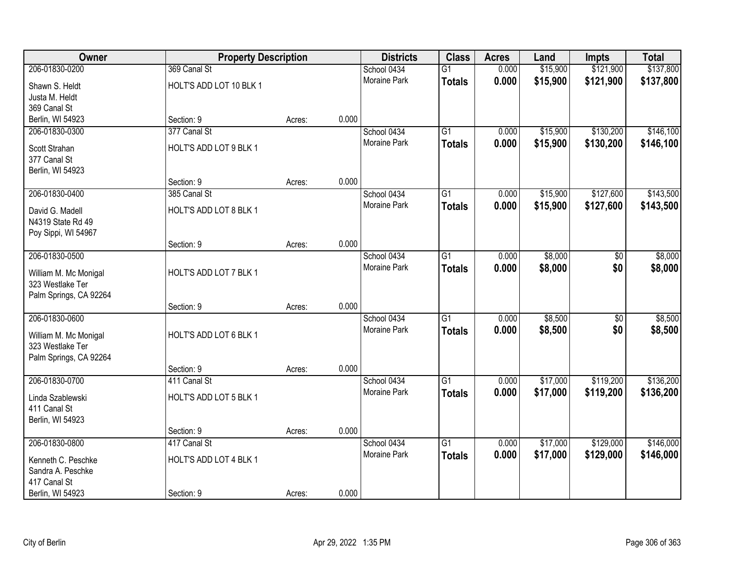| Owner                  | <b>Property Description</b> |        |       | <b>Districts</b>    | <b>Class</b>    | <b>Acres</b> | Land     | <b>Impts</b>    | <b>Total</b> |
|------------------------|-----------------------------|--------|-------|---------------------|-----------------|--------------|----------|-----------------|--------------|
| 206-01830-0200         | 369 Canal St                |        |       | School 0434         | $\overline{G1}$ | 0.000        | \$15,900 | \$121,900       | \$137,800    |
| Shawn S. Heldt         | HOLT'S ADD LOT 10 BLK 1     |        |       | Moraine Park        | <b>Totals</b>   | 0.000        | \$15,900 | \$121,900       | \$137,800    |
| Justa M. Heldt         |                             |        |       |                     |                 |              |          |                 |              |
| 369 Canal St           |                             |        |       |                     |                 |              |          |                 |              |
| Berlin, WI 54923       | Section: 9                  | Acres: | 0.000 |                     |                 |              |          |                 |              |
| 206-01830-0300         | 377 Canal St                |        |       | School 0434         | $\overline{G1}$ | 0.000        | \$15,900 | \$130,200       | \$146,100    |
| Scott Strahan          | HOLT'S ADD LOT 9 BLK 1      |        |       | <b>Moraine Park</b> | <b>Totals</b>   | 0.000        | \$15,900 | \$130,200       | \$146,100    |
| 377 Canal St           |                             |        |       |                     |                 |              |          |                 |              |
| Berlin, WI 54923       |                             |        |       |                     |                 |              |          |                 |              |
|                        | Section: 9                  | Acres: | 0.000 |                     |                 |              |          |                 |              |
| 206-01830-0400         | 385 Canal St                |        |       | School 0434         | $\overline{G1}$ | 0.000        | \$15,900 | \$127,600       | \$143,500    |
| David G. Madell        | HOLT'S ADD LOT 8 BLK 1      |        |       | Moraine Park        | <b>Totals</b>   | 0.000        | \$15,900 | \$127,600       | \$143,500    |
| N4319 State Rd 49      |                             |        |       |                     |                 |              |          |                 |              |
| Poy Sippi, WI 54967    |                             |        |       |                     |                 |              |          |                 |              |
|                        | Section: 9                  | Acres: | 0.000 |                     |                 |              |          |                 |              |
| 206-01830-0500         |                             |        |       | School 0434         | $\overline{G1}$ | 0.000        | \$8,000  | \$0             | \$8,000      |
| William M. Mc Monigal  | HOLT'S ADD LOT 7 BLK 1      |        |       | <b>Moraine Park</b> | <b>Totals</b>   | 0.000        | \$8,000  | \$0             | \$8,000      |
| 323 Westlake Ter       |                             |        |       |                     |                 |              |          |                 |              |
| Palm Springs, CA 92264 |                             |        |       |                     |                 |              |          |                 |              |
|                        | Section: 9                  | Acres: | 0.000 |                     |                 |              |          |                 |              |
| 206-01830-0600         |                             |        |       | School 0434         | $\overline{G1}$ | 0.000        | \$8,500  | $\overline{30}$ | \$8,500      |
| William M. Mc Monigal  | HOLT'S ADD LOT 6 BLK 1      |        |       | Moraine Park        | <b>Totals</b>   | 0.000        | \$8,500  | \$0             | \$8,500      |
| 323 Westlake Ter       |                             |        |       |                     |                 |              |          |                 |              |
| Palm Springs, CA 92264 |                             |        |       |                     |                 |              |          |                 |              |
|                        | Section: 9                  | Acres: | 0.000 |                     |                 |              |          |                 |              |
| 206-01830-0700         | 411 Canal St                |        |       | School 0434         | $\overline{G1}$ | 0.000        | \$17,000 | \$119,200       | \$136,200    |
| Linda Szablewski       | HOLT'S ADD LOT 5 BLK 1      |        |       | Moraine Park        | <b>Totals</b>   | 0.000        | \$17,000 | \$119,200       | \$136,200    |
| 411 Canal St           |                             |        |       |                     |                 |              |          |                 |              |
| Berlin, WI 54923       |                             |        |       |                     |                 |              |          |                 |              |
|                        | Section: 9                  | Acres: | 0.000 |                     |                 |              |          |                 |              |
| 206-01830-0800         | 417 Canal St                |        |       | School 0434         | $\overline{G1}$ | 0.000        | \$17,000 | \$129,000       | \$146,000    |
| Kenneth C. Peschke     | HOLT'S ADD LOT 4 BLK 1      |        |       | Moraine Park        | <b>Totals</b>   | 0.000        | \$17,000 | \$129,000       | \$146,000    |
| Sandra A. Peschke      |                             |        |       |                     |                 |              |          |                 |              |
| 417 Canal St           |                             |        |       |                     |                 |              |          |                 |              |
| Berlin, WI 54923       | Section: 9                  | Acres: | 0.000 |                     |                 |              |          |                 |              |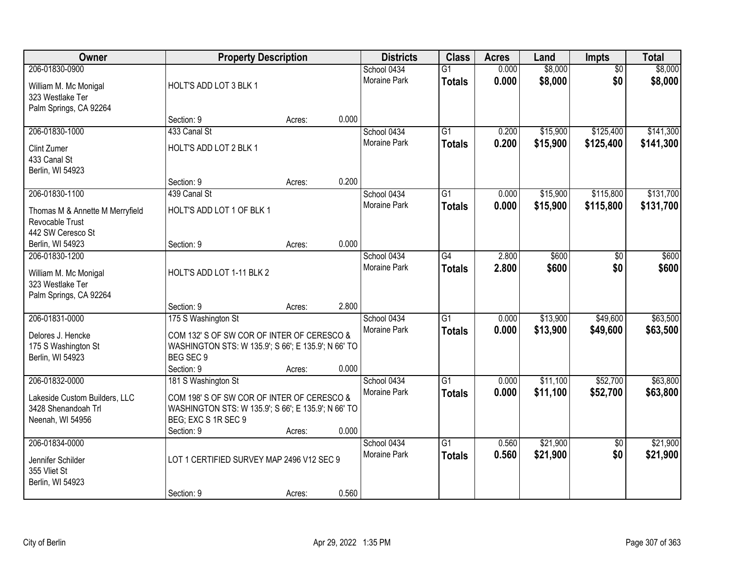| Owner                                                                   |                                                                            | <b>Property Description</b> |       | <b>Districts</b>                   | <b>Class</b>                     | <b>Acres</b>   | Land                 | Impts                  | <b>Total</b>           |
|-------------------------------------------------------------------------|----------------------------------------------------------------------------|-----------------------------|-------|------------------------------------|----------------------------------|----------------|----------------------|------------------------|------------------------|
| 206-01830-0900<br>William M. Mc Monigal<br>323 Westlake Ter             | HOLT'S ADD LOT 3 BLK 1                                                     |                             |       | School 0434<br>Moraine Park        | $\overline{G1}$<br><b>Totals</b> | 0.000<br>0.000 | \$8,000<br>\$8,000   | $\overline{50}$<br>\$0 | \$8,000<br>\$8,000     |
| Palm Springs, CA 92264                                                  | Section: 9                                                                 | Acres:                      | 0.000 |                                    |                                  |                |                      |                        |                        |
| 206-01830-1000                                                          | 433 Canal St                                                               |                             |       | School 0434<br><b>Moraine Park</b> | $\overline{G1}$<br><b>Totals</b> | 0.200<br>0.200 | \$15,900<br>\$15,900 | \$125,400<br>\$125,400 | \$141,300<br>\$141,300 |
| Clint Zumer<br>433 Canal St<br>Berlin, WI 54923                         | HOLT'S ADD LOT 2 BLK 1                                                     |                             |       |                                    |                                  |                |                      |                        |                        |
|                                                                         | Section: 9                                                                 | Acres:                      | 0.200 |                                    |                                  |                |                      |                        |                        |
| 206-01830-1100                                                          | 439 Canal St                                                               |                             |       | School 0434                        | $\overline{G1}$                  | 0.000          | \$15,900             | \$115,800              | \$131,700              |
| Thomas M & Annette M Merryfield<br>Revocable Trust<br>442 SW Ceresco St | HOLT'S ADD LOT 1 OF BLK 1                                                  |                             |       | Moraine Park                       | <b>Totals</b>                    | 0.000          | \$15,900             | \$115,800              | \$131,700              |
| Berlin, WI 54923                                                        | Section: 9                                                                 | Acres:                      | 0.000 |                                    |                                  |                |                      |                        |                        |
| 206-01830-1200                                                          |                                                                            |                             |       | School 0434<br>Moraine Park        | G4                               | 2.800          | \$600                | \$0                    | \$600                  |
| William M. Mc Monigal<br>323 Westlake Ter<br>Palm Springs, CA 92264     | HOLT'S ADD LOT 1-11 BLK 2                                                  |                             |       |                                    | <b>Totals</b>                    | 2.800          | \$600                | \$0                    | \$600                  |
|                                                                         | Section: 9                                                                 | Acres:                      | 2.800 |                                    |                                  |                |                      |                        |                        |
| 206-01831-0000                                                          | 175 S Washington St                                                        |                             |       | School 0434                        | $\overline{G1}$                  | 0.000          | \$13,900             | \$49,600               | \$63,500               |
| Delores J. Hencke                                                       | COM 132' S OF SW COR OF INTER OF CERESCO &                                 |                             |       | Moraine Park                       | <b>Totals</b>                    | 0.000          | \$13,900             | \$49,600               | \$63,500               |
| 175 S Washington St                                                     | WASHINGTON STS: W 135.9'; S 66'; E 135.9'; N 66' TO                        |                             |       |                                    |                                  |                |                      |                        |                        |
| Berlin, WI 54923                                                        | BEG SEC 9<br>Section: 9                                                    |                             | 0.000 |                                    |                                  |                |                      |                        |                        |
| 206-01832-0000                                                          | 181 S Washington St                                                        | Acres:                      |       | School 0434                        | $\overline{G1}$                  | 0.000          | \$11,100             | \$52,700               | \$63,800               |
|                                                                         |                                                                            |                             |       | Moraine Park                       | <b>Totals</b>                    | 0.000          | \$11,100             | \$52,700               | \$63,800               |
| Lakeside Custom Builders, LLC                                           | COM 198'S OF SW COR OF INTER OF CERESCO &                                  |                             |       |                                    |                                  |                |                      |                        |                        |
| 3428 Shenandoah Trl<br>Neenah, WI 54956                                 | WASHINGTON STS: W 135.9'; S 66'; E 135.9'; N 66' TO<br>BEG; EXC S 1R SEC 9 |                             |       |                                    |                                  |                |                      |                        |                        |
|                                                                         | Section: 9                                                                 | Acres:                      | 0.000 |                                    |                                  |                |                      |                        |                        |
| 206-01834-0000                                                          |                                                                            |                             |       | School 0434                        | $\overline{G1}$                  | 0.560          | \$21,900             | $\overline{50}$        | \$21,900               |
| Jennifer Schilder<br>355 Vliet St                                       | LOT 1 CERTIFIED SURVEY MAP 2496 V12 SEC 9                                  |                             |       | <b>Moraine Park</b>                | <b>Totals</b>                    | 0.560          | \$21,900             | \$0                    | \$21,900               |
| Berlin, WI 54923                                                        | Section: 9                                                                 | Acres:                      | 0.560 |                                    |                                  |                |                      |                        |                        |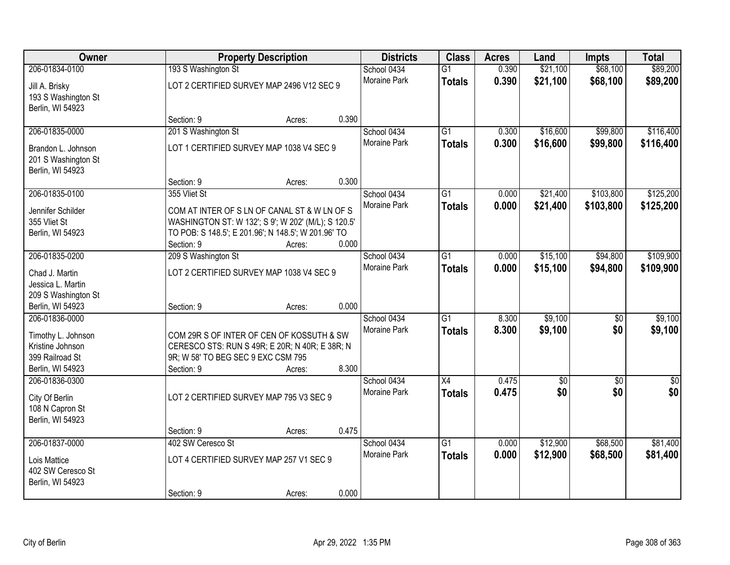| Owner                                                         |                                    | <b>Property Description</b>                         |       | <b>Districts</b>    | <b>Class</b>    | <b>Acres</b> | Land            | <b>Impts</b>    | <b>Total</b>    |
|---------------------------------------------------------------|------------------------------------|-----------------------------------------------------|-------|---------------------|-----------------|--------------|-----------------|-----------------|-----------------|
| 206-01834-0100                                                | 193 S Washington St                |                                                     |       | School 0434         | $\overline{G1}$ | 0.390        | \$21,100        | \$68,100        | \$89,200        |
| Jill A. Brisky<br>193 S Washington St                         |                                    | LOT 2 CERTIFIED SURVEY MAP 2496 V12 SEC 9           |       | Moraine Park        | <b>Totals</b>   | 0.390        | \$21,100        | \$68,100        | \$89,200        |
| Berlin, WI 54923                                              |                                    |                                                     |       |                     |                 |              |                 |                 |                 |
|                                                               | Section: 9                         | Acres:                                              | 0.390 |                     |                 |              |                 |                 |                 |
| 206-01835-0000                                                | 201 S Washington St                |                                                     |       | School 0434         | $\overline{G1}$ | 0.300        | \$16,600        | \$99,800        | \$116,400       |
| Brandon L. Johnson<br>201 S Washington St<br>Berlin, WI 54923 |                                    | LOT 1 CERTIFIED SURVEY MAP 1038 V4 SEC 9            |       | <b>Moraine Park</b> | <b>Totals</b>   | 0.300        | \$16,600        | \$99,800        | \$116,400       |
|                                                               | Section: 9                         | Acres:                                              | 0.300 |                     |                 |              |                 |                 |                 |
| 206-01835-0100                                                | 355 Vliet St                       |                                                     |       | School 0434         | G1              | 0.000        | \$21,400        | \$103,800       | \$125,200       |
| Jennifer Schilder                                             |                                    | COM AT INTER OF S LN OF CANAL ST & W LN OF S        |       | Moraine Park        | <b>Totals</b>   | 0.000        | \$21,400        | \$103,800       | \$125,200       |
| 355 Vliet St                                                  |                                    | WASHINGTON ST: W 132'; S 9'; W 202' (M/L); S 120.5' |       |                     |                 |              |                 |                 |                 |
| Berlin, WI 54923                                              |                                    | TO POB: S 148.5'; E 201.96'; N 148.5'; W 201.96' TO |       |                     |                 |              |                 |                 |                 |
|                                                               | Section: 9                         | Acres:                                              | 0.000 |                     |                 |              |                 |                 |                 |
| 206-01835-0200                                                | 209 S Washington St                |                                                     |       | School 0434         | G1              | 0.000        | \$15,100        | \$94,800        | \$109,900       |
| Chad J. Martin                                                |                                    | LOT 2 CERTIFIED SURVEY MAP 1038 V4 SEC 9            |       | Moraine Park        | <b>Totals</b>   | 0.000        | \$15,100        | \$94,800        | \$109,900       |
| Jessica L. Martin                                             |                                    |                                                     |       |                     |                 |              |                 |                 |                 |
| 209 S Washington St                                           |                                    |                                                     |       |                     |                 |              |                 |                 |                 |
| Berlin, WI 54923                                              | Section: 9                         | Acres:                                              | 0.000 |                     |                 |              |                 |                 |                 |
| 206-01836-0000                                                |                                    |                                                     |       | School 0434         | $\overline{G1}$ | 8.300        | \$9,100         | $\overline{50}$ | \$9,100         |
| Timothy L. Johnson                                            |                                    | COM 29R S OF INTER OF CEN OF KOSSUTH & SW           |       | Moraine Park        | <b>Totals</b>   | 8.300        | \$9,100         | \$0             | \$9,100         |
| Kristine Johnson                                              |                                    | CERESCO STS: RUN S 49R; E 20R; N 40R; E 38R; N      |       |                     |                 |              |                 |                 |                 |
| 399 Railroad St                                               | 9R; W 58' TO BEG SEC 9 EXC CSM 795 |                                                     |       |                     |                 |              |                 |                 |                 |
| Berlin, WI 54923                                              | Section: 9                         | Acres:                                              | 8.300 |                     |                 |              |                 |                 |                 |
| 206-01836-0300                                                |                                    |                                                     |       | School 0434         | $\overline{X4}$ | 0.475        | $\overline{60}$ | $\overline{50}$ | $\overline{50}$ |
| City Of Berlin                                                |                                    | LOT 2 CERTIFIED SURVEY MAP 795 V3 SEC 9             |       | Moraine Park        | <b>Totals</b>   | 0.475        | \$0             | \$0             | \$0             |
| 108 N Capron St                                               |                                    |                                                     |       |                     |                 |              |                 |                 |                 |
| Berlin, WI 54923                                              |                                    |                                                     |       |                     |                 |              |                 |                 |                 |
|                                                               | Section: 9                         | Acres:                                              | 0.475 |                     |                 |              |                 |                 |                 |
| 206-01837-0000                                                | 402 SW Ceresco St                  |                                                     |       | School 0434         | $\overline{G1}$ | 0.000        | \$12,900        | \$68,500        | \$81,400        |
| Lois Mattice<br>402 SW Ceresco St<br>Berlin, WI 54923         |                                    | LOT 4 CERTIFIED SURVEY MAP 257 V1 SEC 9             |       | <b>Moraine Park</b> | <b>Totals</b>   | 0.000        | \$12,900        | \$68,500        | \$81,400        |
|                                                               | Section: 9                         | Acres:                                              | 0.000 |                     |                 |              |                 |                 |                 |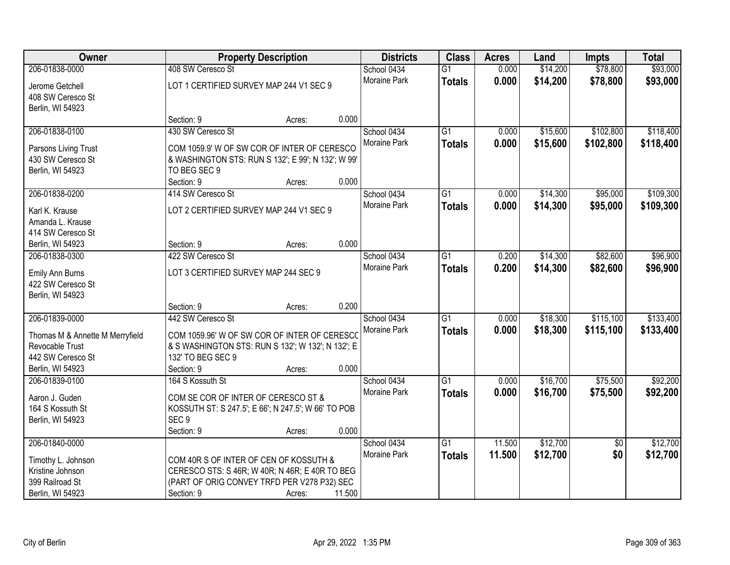| Owner                              |                                                     | <b>Property Description</b> |        | <b>Districts</b> | <b>Class</b>    | <b>Acres</b> | Land     | <b>Impts</b>    | <b>Total</b> |
|------------------------------------|-----------------------------------------------------|-----------------------------|--------|------------------|-----------------|--------------|----------|-----------------|--------------|
| 206-01838-0000                     | 408 SW Ceresco St                                   |                             |        | School 0434      | $\overline{G1}$ | 0.000        | \$14,200 | \$78,800        | \$93,000     |
| Jerome Getchell                    | LOT 1 CERTIFIED SURVEY MAP 244 V1 SEC 9             |                             |        | Moraine Park     | <b>Totals</b>   | 0.000        | \$14,200 | \$78,800        | \$93,000     |
| 408 SW Ceresco St                  |                                                     |                             |        |                  |                 |              |          |                 |              |
| Berlin, WI 54923                   |                                                     |                             |        |                  |                 |              |          |                 |              |
|                                    | Section: 9                                          | Acres:                      | 0.000  |                  |                 |              |          |                 |              |
| 206-01838-0100                     | 430 SW Ceresco St                                   |                             |        | School 0434      | $\overline{G1}$ | 0.000        | \$15,600 | \$102,800       | \$118,400    |
| Parsons Living Trust               | COM 1059.9' W OF SW COR OF INTER OF CERESCO         |                             |        | Moraine Park     | <b>Totals</b>   | 0.000        | \$15,600 | \$102,800       | \$118,400    |
| 430 SW Ceresco St                  | & WASHINGTON STS: RUN S 132'; E 99'; N 132'; W 99'  |                             |        |                  |                 |              |          |                 |              |
| Berlin, WI 54923                   | TO BEG SEC 9                                        |                             |        |                  |                 |              |          |                 |              |
|                                    | Section: 9                                          | Acres:                      | 0.000  |                  |                 |              |          |                 |              |
| 206-01838-0200                     | 414 SW Ceresco St                                   |                             |        | School 0434      | $\overline{G1}$ | 0.000        | \$14,300 | \$95,000        | \$109,300    |
|                                    |                                                     |                             |        | Moraine Park     | <b>Totals</b>   | 0.000        | \$14,300 | \$95,000        | \$109,300    |
| Karl K. Krause                     | LOT 2 CERTIFIED SURVEY MAP 244 V1 SEC 9             |                             |        |                  |                 |              |          |                 |              |
| Amanda L. Krause                   |                                                     |                             |        |                  |                 |              |          |                 |              |
| 414 SW Ceresco St                  |                                                     |                             | 0.000  |                  |                 |              |          |                 |              |
| Berlin, WI 54923<br>206-01838-0300 | Section: 9<br>422 SW Ceresco St                     | Acres:                      |        | School 0434      |                 |              |          |                 | \$96,900     |
|                                    |                                                     |                             |        | Moraine Park     | G1              | 0.200        | \$14,300 | \$82,600        |              |
| Emily Ann Burns                    | LOT 3 CERTIFIED SURVEY MAP 244 SEC 9                |                             |        |                  | <b>Totals</b>   | 0.200        | \$14,300 | \$82,600        | \$96,900     |
| 422 SW Ceresco St                  |                                                     |                             |        |                  |                 |              |          |                 |              |
| Berlin, WI 54923                   |                                                     |                             |        |                  |                 |              |          |                 |              |
|                                    | Section: 9                                          | Acres:                      | 0.200  |                  |                 |              |          |                 |              |
| 206-01839-0000                     | 442 SW Ceresco St                                   |                             |        | School 0434      | $\overline{G1}$ | 0.000        | \$18,300 | \$115,100       | \$133,400    |
| Thomas M & Annette M Merryfield    | COM 1059.96' W OF SW COR OF INTER OF CERESCO        |                             |        | Moraine Park     | <b>Totals</b>   | 0.000        | \$18,300 | \$115,100       | \$133,400    |
| Revocable Trust                    | & S WASHINGTON STS: RUN S 132'; W 132'; N 132'; E   |                             |        |                  |                 |              |          |                 |              |
| 442 SW Ceresco St                  | 132' TO BEG SEC 9                                   |                             |        |                  |                 |              |          |                 |              |
| Berlin, WI 54923                   | Section: 9                                          | Acres:                      | 0.000  |                  |                 |              |          |                 |              |
| 206-01839-0100                     | 164 S Kossuth St                                    |                             |        | School 0434      | $\overline{G1}$ | 0.000        | \$16,700 | \$75,500        | \$92,200     |
| Aaron J. Guden                     | COM SE COR OF INTER OF CERESCO ST &                 |                             |        | Moraine Park     | <b>Totals</b>   | 0.000        | \$16,700 | \$75,500        | \$92,200     |
| 164 S Kossuth St                   | KOSSUTH ST: S 247.5'; E 66'; N 247.5'; W 66' TO POB |                             |        |                  |                 |              |          |                 |              |
| Berlin, WI 54923                   | SEC <sub>9</sub>                                    |                             |        |                  |                 |              |          |                 |              |
|                                    | Section: 9                                          | Acres:                      | 0.000  |                  |                 |              |          |                 |              |
| 206-01840-0000                     |                                                     |                             |        | School 0434      | $\overline{G1}$ | 11.500       | \$12,700 | $\overline{50}$ | \$12,700     |
|                                    |                                                     |                             |        | Moraine Park     | <b>Totals</b>   | 11.500       | \$12,700 | \$0             | \$12,700     |
| Timothy L. Johnson                 | COM 40R S OF INTER OF CEN OF KOSSUTH &              |                             |        |                  |                 |              |          |                 |              |
| Kristine Johnson                   | CERESCO STS: S 46R; W 40R; N 46R; E 40R TO BEG      |                             |        |                  |                 |              |          |                 |              |
| 399 Railroad St                    | (PART OF ORIG CONVEY TRFD PER V278 P32) SEC         |                             |        |                  |                 |              |          |                 |              |
| Berlin, WI 54923                   | Section: 9                                          | Acres:                      | 11.500 |                  |                 |              |          |                 |              |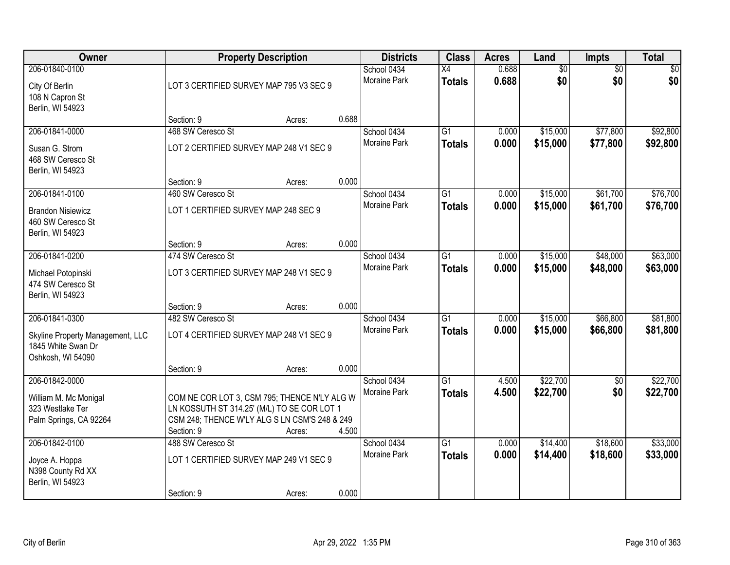| Owner                                                                                         |                                                                                                                                                            | <b>Property Description</b> |       | <b>Districts</b>                   | <b>Class</b>                     | <b>Acres</b>   | Land                   | Impts                  | <b>Total</b>         |
|-----------------------------------------------------------------------------------------------|------------------------------------------------------------------------------------------------------------------------------------------------------------|-----------------------------|-------|------------------------------------|----------------------------------|----------------|------------------------|------------------------|----------------------|
| 206-01840-0100<br>City Of Berlin<br>108 N Capron St<br>Berlin, WI 54923                       | LOT 3 CERTIFIED SURVEY MAP 795 V3 SEC 9                                                                                                                    |                             |       | School 0434<br>Moraine Park        | $\overline{X4}$<br><b>Totals</b> | 0.688<br>0.688 | $\overline{60}$<br>\$0 | $\overline{50}$<br>\$0 | \$0<br>\$0           |
|                                                                                               | Section: 9                                                                                                                                                 | Acres:                      | 0.688 |                                    |                                  |                |                        |                        |                      |
| 206-01841-0000<br>Susan G. Strom<br>468 SW Ceresco St<br>Berlin, WI 54923                     | 468 SW Ceresco St<br>LOT 2 CERTIFIED SURVEY MAP 248 V1 SEC 9                                                                                               |                             |       | School 0434<br><b>Moraine Park</b> | $\overline{G1}$<br><b>Totals</b> | 0.000<br>0.000 | \$15,000<br>\$15,000   | \$77,800<br>\$77,800   | \$92,800<br>\$92,800 |
|                                                                                               | Section: 9                                                                                                                                                 | Acres:                      | 0.000 |                                    |                                  |                |                        |                        |                      |
| 206-01841-0100<br><b>Brandon Nisiewicz</b><br>460 SW Ceresco St<br>Berlin, WI 54923           | 460 SW Ceresco St<br>LOT 1 CERTIFIED SURVEY MAP 248 SEC 9                                                                                                  |                             |       | School 0434<br>Moraine Park        | $\overline{G1}$<br><b>Totals</b> | 0.000<br>0.000 | \$15,000<br>\$15,000   | \$61,700<br>\$61,700   | \$76,700<br>\$76,700 |
|                                                                                               | Section: 9                                                                                                                                                 | Acres:                      | 0.000 |                                    |                                  |                |                        |                        |                      |
| 206-01841-0200<br>Michael Potopinski<br>474 SW Ceresco St<br>Berlin, WI 54923                 | 474 SW Ceresco St<br>LOT 3 CERTIFIED SURVEY MAP 248 V1 SEC 9                                                                                               |                             |       | School 0434<br>Moraine Park        | G1<br><b>Totals</b>              | 0.000<br>0.000 | \$15,000<br>\$15,000   | \$48,000<br>\$48,000   | \$63,000<br>\$63,000 |
|                                                                                               | Section: 9                                                                                                                                                 | Acres:                      | 0.000 |                                    |                                  |                |                        |                        |                      |
| 206-01841-0300<br>Skyline Property Management, LLC<br>1845 White Swan Dr<br>Oshkosh, WI 54090 | 482 SW Ceresco St<br>LOT 4 CERTIFIED SURVEY MAP 248 V1 SEC 9<br>Section: 9                                                                                 | Acres:                      | 0.000 | School 0434<br>Moraine Park        | $\overline{G1}$<br><b>Totals</b> | 0.000<br>0.000 | \$15,000<br>\$15,000   | \$66,800<br>\$66,800   | \$81,800<br>\$81,800 |
| 206-01842-0000                                                                                |                                                                                                                                                            |                             |       | School 0434                        | $\overline{G1}$                  | 4.500          | \$22,700               | $\sqrt{6}$             | \$22,700             |
| William M. Mc Monigal<br>323 Westlake Ter<br>Palm Springs, CA 92264                           | COM NE COR LOT 3, CSM 795; THENCE N'LY ALG W<br>LN KOSSUTH ST 314.25' (M/L) TO SE COR LOT 1<br>CSM 248; THENCE W'LY ALG S LN CSM'S 248 & 249<br>Section: 9 | Acres:                      | 4.500 | Moraine Park                       | <b>Totals</b>                    | 4.500          | \$22,700               | \$0                    | \$22,700             |
| 206-01842-0100                                                                                | 488 SW Ceresco St                                                                                                                                          |                             |       | School 0434                        | $\overline{G1}$                  | 0.000          | \$14,400               | \$18,600               | \$33,000             |
| Joyce A. Hoppa<br>N398 County Rd XX<br>Berlin, WI 54923                                       | LOT 1 CERTIFIED SURVEY MAP 249 V1 SEC 9                                                                                                                    |                             |       | <b>Moraine Park</b>                | <b>Totals</b>                    | 0.000          | \$14,400               | \$18,600               | \$33,000             |
|                                                                                               | Section: 9                                                                                                                                                 | Acres:                      | 0.000 |                                    |                                  |                |                        |                        |                      |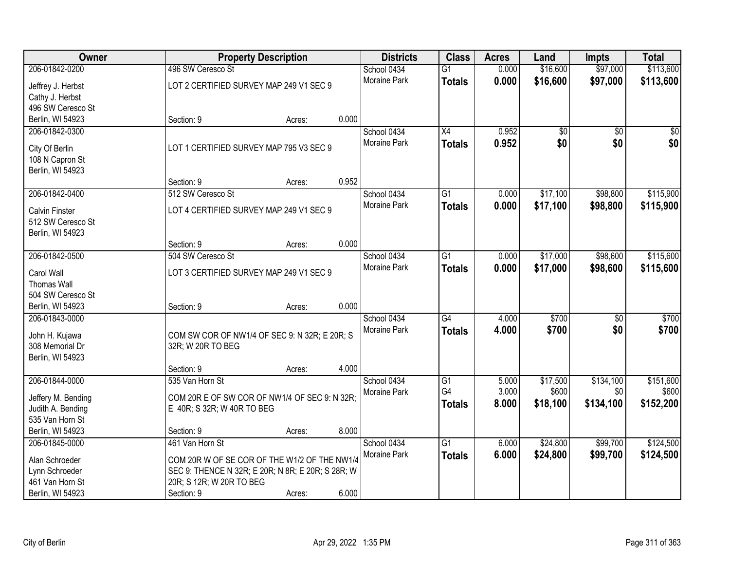| Owner                                      |                                                   | <b>Property Description</b> |       | <b>Districts</b>            | <b>Class</b>    | <b>Acres</b> | Land            | <b>Impts</b>    | <b>Total</b>    |
|--------------------------------------------|---------------------------------------------------|-----------------------------|-------|-----------------------------|-----------------|--------------|-----------------|-----------------|-----------------|
| 206-01842-0200                             | 496 SW Ceresco St                                 |                             |       | School 0434                 | $\overline{G1}$ | 0.000        | \$16,600        | \$97,000        | \$113,600       |
| Jeffrey J. Herbst                          | LOT 2 CERTIFIED SURVEY MAP 249 V1 SEC 9           |                             |       | Moraine Park                | <b>Totals</b>   | 0.000        | \$16,600        | \$97,000        | \$113,600       |
| Cathy J. Herbst                            |                                                   |                             |       |                             |                 |              |                 |                 |                 |
| 496 SW Ceresco St                          |                                                   |                             |       |                             |                 |              |                 |                 |                 |
| Berlin, WI 54923                           | Section: 9                                        | Acres:                      | 0.000 |                             |                 |              |                 |                 |                 |
| 206-01842-0300                             |                                                   |                             |       | School 0434                 | X4              | 0.952        | $\overline{50}$ | $\overline{50}$ | $\overline{50}$ |
| City Of Berlin                             | LOT 1 CERTIFIED SURVEY MAP 795 V3 SEC 9           |                             |       | Moraine Park                | <b>Totals</b>   | 0.952        | \$0             | \$0             | \$0             |
| 108 N Capron St                            |                                                   |                             |       |                             |                 |              |                 |                 |                 |
| Berlin, WI 54923                           |                                                   |                             |       |                             |                 |              |                 |                 |                 |
|                                            | Section: 9                                        | Acres:                      | 0.952 |                             |                 |              |                 |                 |                 |
| 206-01842-0400                             | 512 SW Ceresco St                                 |                             |       | School 0434                 | G1              | 0.000        | \$17,100        | \$98,800        | \$115,900       |
|                                            | LOT 4 CERTIFIED SURVEY MAP 249 V1 SEC 9           |                             |       | Moraine Park                | <b>Totals</b>   | 0.000        | \$17,100        | \$98,800        | \$115,900       |
| <b>Calvin Finster</b><br>512 SW Ceresco St |                                                   |                             |       |                             |                 |              |                 |                 |                 |
| Berlin, WI 54923                           |                                                   |                             |       |                             |                 |              |                 |                 |                 |
|                                            | Section: 9                                        | Acres:                      | 0.000 |                             |                 |              |                 |                 |                 |
| 206-01842-0500                             | 504 SW Ceresco St                                 |                             |       | School 0434                 | $\overline{G1}$ | 0.000        | \$17,000        | \$98,600        | \$115,600       |
|                                            |                                                   |                             |       | <b>Moraine Park</b>         | <b>Totals</b>   | 0.000        | \$17,000        | \$98,600        | \$115,600       |
| Carol Wall<br><b>Thomas Wall</b>           | LOT 3 CERTIFIED SURVEY MAP 249 V1 SEC 9           |                             |       |                             |                 |              |                 |                 |                 |
| 504 SW Ceresco St                          |                                                   |                             |       |                             |                 |              |                 |                 |                 |
| Berlin, WI 54923                           | Section: 9                                        | Acres:                      | 0.000 |                             |                 |              |                 |                 |                 |
| 206-01843-0000                             |                                                   |                             |       | School 0434                 | $\overline{G4}$ | 4.000        | \$700           | $\overline{50}$ | \$700           |
|                                            |                                                   |                             |       | Moraine Park                | <b>Totals</b>   | 4.000        | \$700           | \$0             | \$700           |
| John H. Kujawa                             | COM SW COR OF NW1/4 OF SEC 9: N 32R; E 20R; S     |                             |       |                             |                 |              |                 |                 |                 |
| 308 Memorial Dr                            | 32R; W 20R TO BEG                                 |                             |       |                             |                 |              |                 |                 |                 |
| Berlin, WI 54923                           | Section: 9                                        | Acres:                      | 4.000 |                             |                 |              |                 |                 |                 |
| 206-01844-0000                             | 535 Van Horn St                                   |                             |       | School 0434                 | $\overline{G1}$ | 5.000        | \$17,500        | \$134,100       | \$151,600       |
|                                            |                                                   |                             |       | Moraine Park                | G4              | 3.000        | \$600           | \$0             | \$600           |
| Jeffery M. Bending                         | COM 20R E OF SW COR OF NW1/4 OF SEC 9: N 32R;     |                             |       |                             | <b>Totals</b>   | 8.000        | \$18,100        | \$134,100       | \$152,200       |
| Judith A. Bending                          | E 40R; S 32R; W 40R TO BEG                        |                             |       |                             |                 |              |                 |                 |                 |
| 535 Van Horn St                            |                                                   |                             |       |                             |                 |              |                 |                 |                 |
| Berlin, WI 54923<br>206-01845-0000         | Section: 9<br>461 Van Horn St                     | Acres:                      | 8.000 |                             | $\overline{G1}$ | 6.000        | \$24,800        | \$99,700        | \$124,500       |
|                                            |                                                   |                             |       | School 0434<br>Moraine Park |                 | 6.000        |                 |                 |                 |
| Alan Schroeder                             | COM 20R W OF SE COR OF THE W1/2 OF THE NW1/4      |                             |       |                             | <b>Totals</b>   |              | \$24,800        | \$99,700        | \$124,500       |
| Lynn Schroeder                             | SEC 9: THENCE N 32R; E 20R; N 8R; E 20R; S 28R; W |                             |       |                             |                 |              |                 |                 |                 |
| 461 Van Horn St                            | 20R; S 12R; W 20R TO BEG                          |                             |       |                             |                 |              |                 |                 |                 |
| Berlin, WI 54923                           | Section: 9                                        | Acres:                      | 6.000 |                             |                 |              |                 |                 |                 |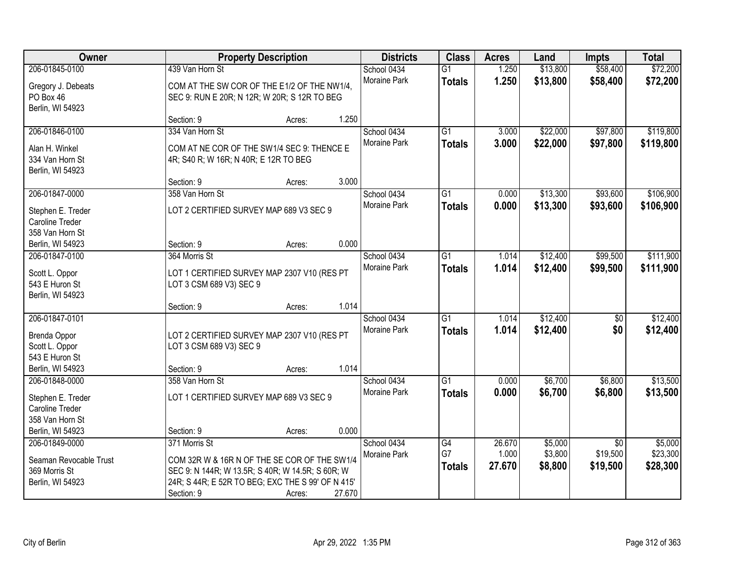| Owner                              |                                                                        | <b>Property Description</b> |        | <b>Districts</b> | <b>Class</b>    | <b>Acres</b> | Land     | <b>Impts</b>    | <b>Total</b> |
|------------------------------------|------------------------------------------------------------------------|-----------------------------|--------|------------------|-----------------|--------------|----------|-----------------|--------------|
| 206-01845-0100                     | 439 Van Horn St                                                        |                             |        | School 0434      | $\overline{G1}$ | 1.250        | \$13,800 | \$58,400        | \$72,200     |
| Gregory J. Debeats                 | COM AT THE SW COR OF THE E1/2 OF THE NW1/4,                            |                             |        | Moraine Park     | <b>Totals</b>   | 1.250        | \$13,800 | \$58,400        | \$72,200     |
| PO Box 46                          | SEC 9: RUN E 20R; N 12R; W 20R; S 12R TO BEG                           |                             |        |                  |                 |              |          |                 |              |
| Berlin, WI 54923                   |                                                                        |                             |        |                  |                 |              |          |                 |              |
|                                    | Section: 9                                                             | Acres:                      | 1.250  |                  |                 |              |          |                 |              |
| 206-01846-0100                     | 334 Van Horn St                                                        |                             |        | School 0434      | $\overline{G1}$ | 3.000        | \$22,000 | \$97,800        | \$119,800    |
| Alan H. Winkel                     | COM AT NE COR OF THE SW1/4 SEC 9: THENCE E                             |                             |        | Moraine Park     | <b>Totals</b>   | 3.000        | \$22,000 | \$97,800        | \$119,800    |
| 334 Van Horn St                    | 4R; S40 R; W 16R; N 40R; E 12R TO BEG                                  |                             |        |                  |                 |              |          |                 |              |
| Berlin, WI 54923                   |                                                                        |                             |        |                  |                 |              |          |                 |              |
|                                    | Section: 9                                                             | Acres:                      | 3.000  |                  |                 |              |          |                 |              |
| 206-01847-0000                     | 358 Van Horn St                                                        |                             |        | School 0434      | $\overline{G1}$ | 0.000        | \$13,300 | \$93,600        | \$106,900    |
| Stephen E. Treder                  | LOT 2 CERTIFIED SURVEY MAP 689 V3 SEC 9                                |                             |        | Moraine Park     | <b>Totals</b>   | 0.000        | \$13,300 | \$93,600        | \$106,900    |
| Caroline Treder                    |                                                                        |                             |        |                  |                 |              |          |                 |              |
| 358 Van Horn St                    |                                                                        |                             |        |                  |                 |              |          |                 |              |
| Berlin, WI 54923                   | Section: 9                                                             | Acres:                      | 0.000  |                  |                 |              |          |                 |              |
| 206-01847-0100                     | 364 Morris St                                                          |                             |        | School 0434      | G1              | 1.014        | \$12,400 | \$99,500        | \$111,900    |
| Scott L. Oppor                     | LOT 1 CERTIFIED SURVEY MAP 2307 V10 (RES PT                            |                             |        | Moraine Park     | <b>Totals</b>   | 1.014        | \$12,400 | \$99,500        | \$111,900    |
| 543 E Huron St                     | LOT 3 CSM 689 V3) SEC 9                                                |                             |        |                  |                 |              |          |                 |              |
| Berlin, WI 54923                   |                                                                        |                             |        |                  |                 |              |          |                 |              |
|                                    | Section: 9                                                             | Acres:                      | 1.014  |                  |                 |              |          |                 |              |
| 206-01847-0101                     |                                                                        |                             |        | School 0434      | $\overline{G1}$ | 1.014        | \$12,400 | $\overline{50}$ | \$12,400     |
|                                    |                                                                        |                             |        | Moraine Park     | <b>Totals</b>   | 1.014        | \$12,400 | \$0             | \$12,400     |
| Brenda Oppor<br>Scott L. Oppor     | LOT 2 CERTIFIED SURVEY MAP 2307 V10 (RES PT<br>LOT 3 CSM 689 V3) SEC 9 |                             |        |                  |                 |              |          |                 |              |
| 543 E Huron St                     |                                                                        |                             |        |                  |                 |              |          |                 |              |
| Berlin, WI 54923                   | Section: 9                                                             | Acres:                      | 1.014  |                  |                 |              |          |                 |              |
| 206-01848-0000                     | 358 Van Horn St                                                        |                             |        | School 0434      | $\overline{G1}$ | 0.000        | \$6,700  | \$6,800         | \$13,500     |
|                                    |                                                                        |                             |        | Moraine Park     | <b>Totals</b>   | 0.000        | \$6,700  | \$6,800         | \$13,500     |
| Stephen E. Treder                  | LOT 1 CERTIFIED SURVEY MAP 689 V3 SEC 9                                |                             |        |                  |                 |              |          |                 |              |
| Caroline Treder<br>358 Van Horn St |                                                                        |                             |        |                  |                 |              |          |                 |              |
| Berlin, WI 54923                   | Section: 9                                                             | Acres:                      | 0.000  |                  |                 |              |          |                 |              |
| 206-01849-0000                     | 371 Morris St                                                          |                             |        | School 0434      | G4              | 26.670       | \$5,000  | $\overline{50}$ | \$5,000      |
|                                    |                                                                        |                             |        | Moraine Park     | G7              | 1.000        | \$3,800  | \$19,500        | \$23,300     |
| Seaman Revocable Trust             | COM 32R W & 16R N OF THE SE COR OF THE SW1/4                           |                             |        |                  | <b>Totals</b>   | 27.670       | \$8,800  | \$19,500        | \$28,300     |
| 369 Morris St                      | SEC 9: N 144R; W 13.5R; S 40R; W 14.5R; S 60R; W                       |                             |        |                  |                 |              |          |                 |              |
| Berlin, WI 54923                   | 24R; S 44R; E 52R TO BEG; EXC THE S 99' OF N 415'                      |                             |        |                  |                 |              |          |                 |              |
|                                    | Section: 9                                                             | Acres:                      | 27.670 |                  |                 |              |          |                 |              |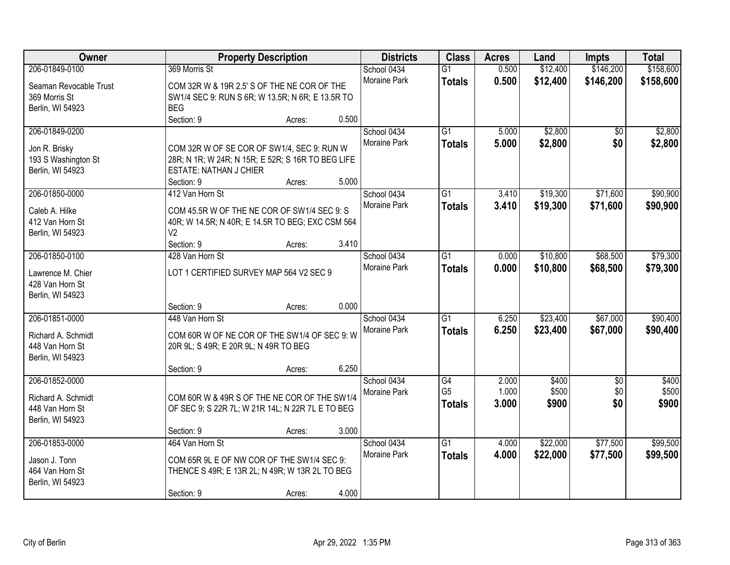| Owner                                   |                                                                                       | <b>Property Description</b> |       | <b>Districts</b>    | <b>Class</b>    | <b>Acres</b> | Land     | <b>Impts</b>    | <b>Total</b> |
|-----------------------------------------|---------------------------------------------------------------------------------------|-----------------------------|-------|---------------------|-----------------|--------------|----------|-----------------|--------------|
| 206-01849-0100                          | 369 Morris St                                                                         |                             |       | School 0434         | $\overline{G1}$ | 0.500        | \$12,400 | \$146,200       | \$158,600    |
| Seaman Revocable Trust                  | COM 32R W & 19R 2.5' S OF THE NE COR OF THE                                           |                             |       | Moraine Park        | <b>Totals</b>   | 0.500        | \$12,400 | \$146,200       | \$158,600    |
| 369 Morris St                           | SW1/4 SEC 9: RUN S 6R; W 13.5R; N 6R; E 13.5R TO                                      |                             |       |                     |                 |              |          |                 |              |
| Berlin, WI 54923                        | <b>BEG</b>                                                                            |                             |       |                     |                 |              |          |                 |              |
|                                         | Section: 9                                                                            | Acres:                      | 0.500 |                     |                 |              |          |                 |              |
| 206-01849-0200                          |                                                                                       |                             |       | School 0434         | $\overline{G1}$ | 5.000        | \$2,800  | \$0             | \$2,800      |
|                                         |                                                                                       |                             |       | Moraine Park        | <b>Totals</b>   | 5.000        | \$2,800  | \$0             | \$2,800      |
| Jon R. Brisky                           | COM 32R W OF SE COR OF SW1/4, SEC 9: RUN W                                            |                             |       |                     |                 |              |          |                 |              |
| 193 S Washington St<br>Berlin, WI 54923 | 28R; N 1R; W 24R; N 15R; E 52R; S 16R TO BEG LIFE<br><b>ESTATE: NATHAN J CHIER</b>    |                             |       |                     |                 |              |          |                 |              |
|                                         | Section: 9                                                                            | Acres:                      | 5.000 |                     |                 |              |          |                 |              |
| 206-01850-0000                          | 412 Van Horn St                                                                       |                             |       | School 0434         | G1              | 3.410        | \$19,300 | \$71,600        | \$90,900     |
|                                         |                                                                                       |                             |       | Moraine Park        | <b>Totals</b>   | 3.410        | \$19,300 | \$71,600        | \$90,900     |
| Caleb A. Hilke                          | COM 45.5R W OF THE NE COR OF SW1/4 SEC 9: S                                           |                             |       |                     |                 |              |          |                 |              |
| 412 Van Horn St                         | 40R; W 14.5R; N 40R; E 14.5R TO BEG; EXC CSM 564                                      |                             |       |                     |                 |              |          |                 |              |
| Berlin, WI 54923                        | V <sub>2</sub>                                                                        |                             |       |                     |                 |              |          |                 |              |
|                                         | Section: 9                                                                            | Acres:                      | 3.410 |                     |                 |              |          |                 |              |
| 206-01850-0100                          | 428 Van Horn St                                                                       |                             |       | School 0434         | G1              | 0.000        | \$10,800 | \$68,500        | \$79,300     |
| Lawrence M. Chier                       | LOT 1 CERTIFIED SURVEY MAP 564 V2 SEC 9                                               |                             |       | Moraine Park        | <b>Totals</b>   | 0.000        | \$10,800 | \$68,500        | \$79,300     |
| 428 Van Horn St                         |                                                                                       |                             |       |                     |                 |              |          |                 |              |
| Berlin, WI 54923                        |                                                                                       |                             |       |                     |                 |              |          |                 |              |
|                                         | Section: 9                                                                            | Acres:                      | 0.000 |                     |                 |              |          |                 |              |
| 206-01851-0000                          | 448 Van Horn St                                                                       |                             |       | School 0434         | $\overline{G1}$ | 6.250        | \$23,400 | \$67,000        | \$90,400     |
|                                         |                                                                                       |                             |       | Moraine Park        | <b>Totals</b>   | 6.250        | \$23,400 | \$67,000        | \$90,400     |
| Richard A. Schmidt<br>448 Van Horn St   | COM 60R W OF NE COR OF THE SW1/4 OF SEC 9: W<br>20R 9L; S 49R; E 20R 9L; N 49R TO BEG |                             |       |                     |                 |              |          |                 |              |
| Berlin, WI 54923                        |                                                                                       |                             |       |                     |                 |              |          |                 |              |
|                                         | Section: 9                                                                            | Acres:                      | 6.250 |                     |                 |              |          |                 |              |
| 206-01852-0000                          |                                                                                       |                             |       | School 0434         | G4              | 2.000        | \$400    | $\overline{50}$ | \$400        |
|                                         |                                                                                       |                             |       | Moraine Park        | G <sub>5</sub>  | 1.000        | \$500    | \$0             | \$500        |
| Richard A. Schmidt                      | COM 60R W & 49R S OF THE NE COR OF THE SW1/4                                          |                             |       |                     | <b>Totals</b>   | 3.000        | \$900    | \$0             | \$900        |
| 448 Van Horn St                         | OF SEC 9; S 22R 7L; W 21R 14L; N 22R 7L E TO BEG                                      |                             |       |                     |                 |              |          |                 |              |
| Berlin, WI 54923                        |                                                                                       |                             |       |                     |                 |              |          |                 |              |
|                                         | Section: 9                                                                            | Acres:                      | 3.000 |                     |                 |              |          |                 |              |
| 206-01853-0000                          | 464 Van Horn St                                                                       |                             |       | School 0434         | $\overline{G1}$ | 4.000        | \$22,000 | \$77,500        | \$99,500     |
| Jason J. Tonn                           | COM 65R 9L E OF NW COR OF THE SW1/4 SEC 9:                                            |                             |       | <b>Moraine Park</b> | <b>Totals</b>   | 4.000        | \$22,000 | \$77,500        | \$99,500     |
| 464 Van Horn St                         | THENCE S 49R; E 13R 2L; N 49R; W 13R 2L TO BEG                                        |                             |       |                     |                 |              |          |                 |              |
| Berlin, WI 54923                        |                                                                                       |                             |       |                     |                 |              |          |                 |              |
|                                         | Section: 9                                                                            | Acres:                      | 4.000 |                     |                 |              |          |                 |              |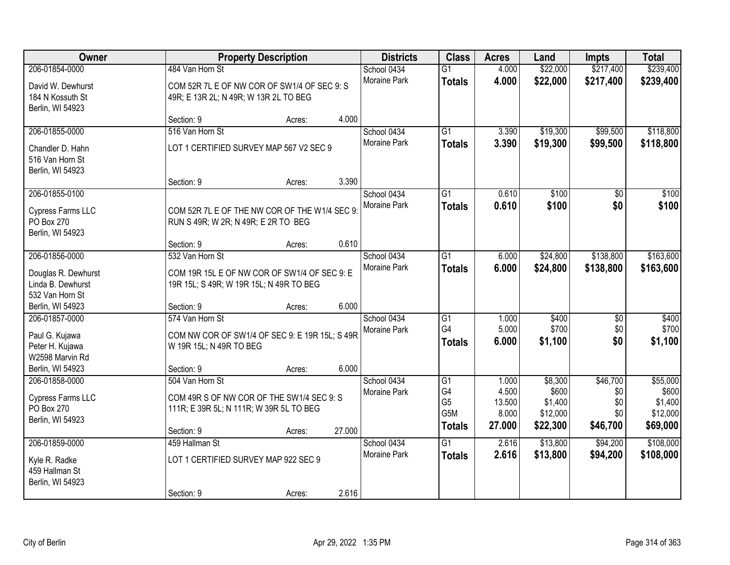| Owner                                                                  |                                                                                                                       | <b>Property Description</b> |        | <b>Districts</b>            | <b>Class</b>                                       | <b>Acres</b>                                | Land                                                | <b>Impts</b>                              | <b>Total</b>                                         |
|------------------------------------------------------------------------|-----------------------------------------------------------------------------------------------------------------------|-----------------------------|--------|-----------------------------|----------------------------------------------------|---------------------------------------------|-----------------------------------------------------|-------------------------------------------|------------------------------------------------------|
| 206-01854-0000                                                         | 484 Van Horn St                                                                                                       |                             |        | School 0434                 | $\overline{G1}$                                    | 4.000                                       | \$22,000                                            | \$217,400                                 | \$239,400                                            |
| David W. Dewhurst<br>184 N Kossuth St<br>Berlin, WI 54923              | COM 52R 7L E OF NW COR OF SW1/4 OF SEC 9: S<br>49R; E 13R 2L; N 49R; W 13R 2L TO BEG                                  |                             |        | <b>Moraine Park</b>         | <b>Totals</b>                                      | 4.000                                       | \$22,000                                            | \$217,400                                 | \$239,400                                            |
|                                                                        | Section: 9                                                                                                            | Acres:                      | 4.000  |                             |                                                    |                                             |                                                     |                                           |                                                      |
| 206-01855-0000                                                         | 516 Van Horn St                                                                                                       |                             |        | School 0434                 | $\overline{G1}$                                    | 3.390                                       | \$19,300                                            | \$99,500                                  | \$118,800                                            |
| Chandler D. Hahn<br>516 Van Horn St<br>Berlin, WI 54923                | LOT 1 CERTIFIED SURVEY MAP 567 V2 SEC 9                                                                               |                             |        | Moraine Park                | <b>Totals</b>                                      | 3.390                                       | \$19,300                                            | \$99,500                                  | \$118,800                                            |
|                                                                        | Section: 9                                                                                                            | Acres:                      | 3.390  |                             |                                                    |                                             |                                                     |                                           |                                                      |
| 206-01855-0100<br>Cypress Farms LLC<br>PO Box 270<br>Berlin, WI 54923  | COM 52R 7L E OF THE NW COR OF THE W1/4 SEC 9:<br>RUN S 49R; W 2R; N 49R; E 2R TO BEG                                  |                             |        | School 0434<br>Moraine Park | $\overline{G1}$<br><b>Totals</b>                   | 0.610<br>0.610                              | \$100<br>\$100                                      | \$0<br>\$0                                | \$100<br>\$100                                       |
|                                                                        | Section: 9                                                                                                            | Acres:                      | 0.610  |                             |                                                    |                                             |                                                     |                                           |                                                      |
| 206-01856-0000                                                         | 532 Van Horn St                                                                                                       |                             |        | School 0434                 | $\overline{G1}$                                    | 6.000                                       | \$24,800                                            | \$138,800                                 | \$163,600                                            |
| Douglas R. Dewhurst<br>Linda B. Dewhurst<br>532 Van Horn St            | COM 19R 15L E OF NW COR OF SW1/4 OF SEC 9: E<br>19R 15L; S 49R; W 19R 15L; N 49R TO BEG                               |                             |        | Moraine Park                | Totals                                             | 6.000                                       | \$24,800                                            | \$138,800                                 | \$163,600                                            |
| Berlin, WI 54923                                                       | Section: 9                                                                                                            | Acres:                      | 6.000  |                             |                                                    |                                             |                                                     |                                           |                                                      |
| 206-01857-0000<br>Paul G. Kujawa<br>Peter H. Kujawa<br>W2598 Marvin Rd | 574 Van Horn St<br>COM NW COR OF SW1/4 OF SEC 9: E 19R 15L; S 49R<br>W 19R 15L; N 49R TO BEG                          |                             |        | School 0434<br>Moraine Park | $\overline{G1}$<br>G4<br><b>Totals</b>             | 1.000<br>5.000<br>6.000                     | \$400<br>\$700<br>\$1,100                           | \$0<br>\$0<br>\$0                         | \$400<br>\$700<br>\$1,100                            |
| Berlin, WI 54923                                                       | Section: 9                                                                                                            | Acres:                      | 6.000  |                             |                                                    |                                             |                                                     |                                           |                                                      |
| 206-01858-0000<br>Cypress Farms LLC<br>PO Box 270<br>Berlin, WI 54923  | 504 Van Horn St<br>COM 49R S OF NW COR OF THE SW1/4 SEC 9: S<br>111R; E 39R 5L; N 111R; W 39R 5L TO BEG<br>Section: 9 | Acres:                      | 27.000 | School 0434<br>Moraine Park | G1<br>G4<br>G <sub>5</sub><br>G5M<br><b>Totals</b> | 1.000<br>4.500<br>13.500<br>8.000<br>27.000 | \$8,300<br>\$600<br>\$1,400<br>\$12,000<br>\$22,300 | \$46,700<br>\$0<br>\$0<br>\$0<br>\$46,700 | \$55,000<br>\$600<br>\$1,400<br>\$12,000<br>\$69,000 |
| 206-01859-0000                                                         | 459 Hallman St                                                                                                        |                             |        | School 0434                 | $\overline{G1}$                                    | 2.616                                       | \$13,800                                            | \$94,200                                  | \$108,000                                            |
| Kyle R. Radke<br>459 Hallman St<br>Berlin, WI 54923                    | LOT 1 CERTIFIED SURVEY MAP 922 SEC 9<br>Section: 9                                                                    | Acres:                      | 2.616  | Moraine Park                | <b>Totals</b>                                      | 2.616                                       | \$13,800                                            | \$94,200                                  | \$108,000                                            |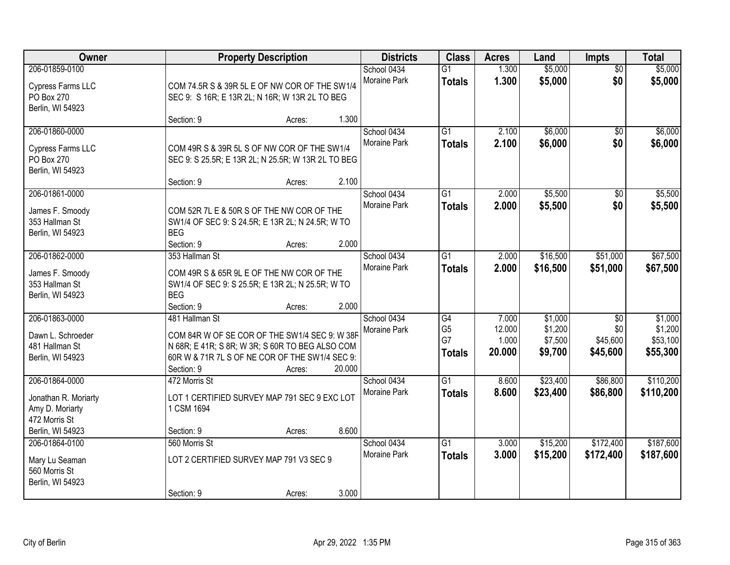| Owner                                                                 |                                                                                                                 | <b>Property Description</b>                                                                                                                                  |        | <b>Districts</b>            | <b>Class</b>                     | <b>Acres</b>              | Land                          | <b>Impts</b>                | <b>Total</b>                    |
|-----------------------------------------------------------------------|-----------------------------------------------------------------------------------------------------------------|--------------------------------------------------------------------------------------------------------------------------------------------------------------|--------|-----------------------------|----------------------------------|---------------------------|-------------------------------|-----------------------------|---------------------------------|
| 206-01859-0100<br>Cypress Farms LLC<br>PO Box 270<br>Berlin, WI 54923 | SEC 9: S 16R; E 13R 2L; N 16R; W 13R 2L TO BEG                                                                  | COM 74.5R S & 39R 5L E OF NW COR OF THE SW1/4                                                                                                                |        | School 0434<br>Moraine Park | G1<br><b>Totals</b>              | 1.300<br>1.300            | \$5,000<br>\$5,000            | $\overline{50}$<br>\$0      | \$5,000<br>\$5,000              |
|                                                                       | Section: 9                                                                                                      | Acres:                                                                                                                                                       | 1.300  |                             |                                  |                           |                               |                             |                                 |
| 206-01860-0000<br>Cypress Farms LLC<br>PO Box 270<br>Berlin, WI 54923 | COM 49R S & 39R 5L S OF NW COR OF THE SW1/4<br>SEC 9: S 25.5R; E 13R 2L; N 25.5R; W 13R 2L TO BEG<br>Section: 9 | Acres:                                                                                                                                                       | 2.100  | School 0434<br>Moraine Park | $\overline{G1}$<br><b>Totals</b> | 2.100<br>2.100            | \$6,000<br>\$6,000            | $\overline{50}$<br>\$0      | \$6,000<br>\$6,000              |
| 206-01861-0000                                                        |                                                                                                                 |                                                                                                                                                              |        | School 0434                 | G1                               | 2.000                     | \$5,500                       | $\sqrt[6]{30}$              | \$5,500                         |
| James F. Smoody<br>353 Hallman St<br>Berlin, WI 54923                 | <b>BEG</b><br>Section: 9                                                                                        | COM 52R 7L E & 50R S OF THE NW COR OF THE<br>SW1/4 OF SEC 9: S 24.5R; E 13R 2L; N 24.5R; W TO<br>Acres:                                                      | 2.000  | Moraine Park                | <b>Totals</b>                    | 2.000                     | \$5,500                       | \$0                         | \$5,500                         |
| 206-01862-0000                                                        | 353 Hallman St                                                                                                  |                                                                                                                                                              |        | School 0434                 | G1                               | 2.000                     | \$16,500                      | \$51,000                    | \$67,500                        |
| James F. Smoody<br>353 Hallman St<br>Berlin, WI 54923                 | <b>BEG</b><br>Section: 9                                                                                        | COM 49R S & 65R 9L E OF THE NW COR OF THE<br>SW1/4 OF SEC 9: S 25.5R; E 13R 2L; N 25.5R; W TO<br>Acres:                                                      | 2.000  | <b>Moraine Park</b>         | <b>Totals</b>                    | 2.000                     | \$16,500                      | \$51,000                    | \$67,500                        |
| 206-01863-0000                                                        | 481 Hallman St                                                                                                  |                                                                                                                                                              |        | School 0434                 | $\overline{G4}$                  | 7.000                     | \$1,000                       | $\overline{50}$             | \$1,000                         |
| Dawn L. Schroeder<br>481 Hallman St<br>Berlin, WI 54923               | Section: 9                                                                                                      | COM 84R W OF SE COR OF THE SW1/4 SEC 9: W 38F<br>N 68R; E 41R; S 8R; W 3R; S 60R TO BEG ALSO COM<br>60R W & 71R 7L S OF NE COR OF THE SW1/4 SEC 9:<br>Acres: | 20.000 | Moraine Park                | G <sub>5</sub><br>G7<br>Totals   | 12.000<br>1.000<br>20.000 | \$1,200<br>\$7,500<br>\$9,700 | \$0<br>\$45,600<br>\$45,600 | \$1,200<br>\$53,100<br>\$55,300 |
| 206-01864-0000                                                        | 472 Morris St                                                                                                   |                                                                                                                                                              |        | School 0434                 | $\overline{G1}$                  | 8.600                     | \$23,400                      | \$86,800                    | \$110,200                       |
| Jonathan R. Moriarty<br>Amy D. Moriarty<br>472 Morris St              | 1 CSM 1694                                                                                                      | LOT 1 CERTIFIED SURVEY MAP 791 SEC 9 EXC LOT                                                                                                                 |        | <b>Moraine Park</b>         | <b>Totals</b>                    | 8.600                     | \$23,400                      | \$86,800                    | \$110,200                       |
| Berlin, WI 54923<br>206-01864-0100                                    | Section: 9<br>560 Morris St                                                                                     | Acres:                                                                                                                                                       | 8.600  | School 0434                 | $\overline{G1}$                  | 3.000                     | \$15,200                      | \$172,400                   | \$187,600                       |
| Mary Lu Seaman<br>560 Morris St<br>Berlin, WI 54923                   | LOT 2 CERTIFIED SURVEY MAP 791 V3 SEC 9<br>Section: 9                                                           | Acres:                                                                                                                                                       | 3.000  | Moraine Park                | <b>Totals</b>                    | 3.000                     | \$15,200                      | \$172,400                   | \$187,600                       |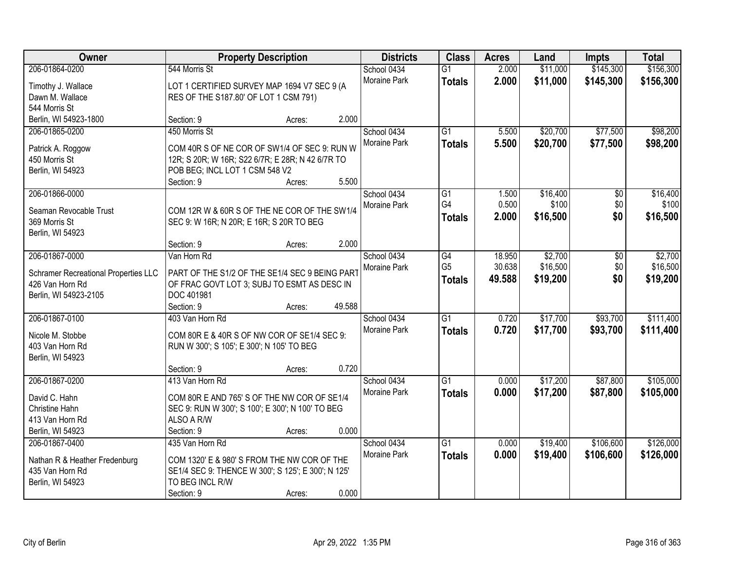| Owner                                | <b>Property Description</b>                                                        |                  | <b>Districts</b>    | <b>Class</b>    | <b>Acres</b> | Land     | <b>Impts</b> | <b>Total</b> |
|--------------------------------------|------------------------------------------------------------------------------------|------------------|---------------------|-----------------|--------------|----------|--------------|--------------|
| 206-01864-0200                       | 544 Morris St                                                                      |                  | School 0434         | $\overline{G1}$ | 2.000        | \$11,000 | \$145,300    | \$156,300    |
| Timothy J. Wallace                   | LOT 1 CERTIFIED SURVEY MAP 1694 V7 SEC 9 (A                                        |                  | Moraine Park        | <b>Totals</b>   | 2.000        | \$11,000 | \$145,300    | \$156,300    |
| Dawn M. Wallace                      | RES OF THE S187.80' OF LOT 1 CSM 791)                                              |                  |                     |                 |              |          |              |              |
| 544 Morris St                        |                                                                                    |                  |                     |                 |              |          |              |              |
| Berlin, WI 54923-1800                | Section: 9                                                                         | Acres:           | 2.000               |                 |              |          |              |              |
| 206-01865-0200                       | 450 Morris St                                                                      |                  | School 0434         | $\overline{G1}$ | 5.500        | \$20,700 | \$77,500     | \$98,200     |
|                                      |                                                                                    |                  | Moraine Park        | <b>Totals</b>   | 5.500        | \$20,700 | \$77,500     | \$98,200     |
| Patrick A. Roggow                    | COM 40R S OF NE COR OF SW1/4 OF SEC 9: RUN W                                       |                  |                     |                 |              |          |              |              |
| 450 Morris St<br>Berlin, WI 54923    | 12R; S 20R; W 16R; S22 6/7R; E 28R; N 42 6/7R TO<br>POB BEG; INCL LOT 1 CSM 548 V2 |                  |                     |                 |              |          |              |              |
|                                      | Section: 9                                                                         | Acres:           | 5.500               |                 |              |          |              |              |
| 206-01866-0000                       |                                                                                    |                  | School 0434         | G1              | 1.500        | \$16,400 | \$0          | \$16,400     |
|                                      |                                                                                    |                  | Moraine Park        | G4              | 0.500        | \$100    | \$0          | \$100        |
| Seaman Revocable Trust               | COM 12R W & 60R S OF THE NE COR OF THE SW1/4                                       |                  |                     | <b>Totals</b>   | 2.000        | \$16,500 | \$0          | \$16,500     |
| 369 Morris St                        | SEC 9: W 16R; N 20R; E 16R; S 20R TO BEG                                           |                  |                     |                 |              |          |              |              |
| Berlin, WI 54923                     |                                                                                    |                  |                     |                 |              |          |              |              |
|                                      | Section: 9                                                                         | Acres:           | 2.000               |                 |              |          |              |              |
| 206-01867-0000                       | Van Horn Rd                                                                        |                  | School 0434         | G4              | 18.950       | \$2,700  | \$0          | \$2,700      |
| Schramer Recreational Properties LLC | PART OF THE S1/2 OF THE SE1/4 SEC 9 BEING PART                                     |                  | Moraine Park        | G <sub>5</sub>  | 30.638       | \$16,500 | \$0          | \$16,500     |
| 426 Van Horn Rd                      | OF FRAC GOVT LOT 3; SUBJ TO ESMT AS DESC IN                                        |                  |                     | <b>Totals</b>   | 49.588       | \$19,200 | \$0          | \$19,200     |
| Berlin, WI 54923-2105                | DOC 401981                                                                         |                  |                     |                 |              |          |              |              |
|                                      | Section: 9                                                                         | 49.588<br>Acres: |                     |                 |              |          |              |              |
| 206-01867-0100                       | 403 Van Horn Rd                                                                    |                  | School 0434         | $\overline{G1}$ | 0.720        | \$17,700 | \$93,700     | \$111,400    |
| Nicole M. Stobbe                     | COM 80R E & 40R S OF NW COR OF SE1/4 SEC 9:                                        |                  | <b>Moraine Park</b> | <b>Totals</b>   | 0.720        | \$17,700 | \$93,700     | \$111,400    |
| 403 Van Horn Rd                      | RUN W 300'; S 105'; E 300'; N 105' TO BEG                                          |                  |                     |                 |              |          |              |              |
| Berlin, WI 54923                     |                                                                                    |                  |                     |                 |              |          |              |              |
|                                      | Section: 9                                                                         | Acres:           | 0.720               |                 |              |          |              |              |
| 206-01867-0200                       | 413 Van Horn Rd                                                                    |                  | School 0434         | $\overline{G1}$ | 0.000        | \$17,200 | \$87,800     | \$105,000    |
| David C. Hahn                        | COM 80R E AND 765' S OF THE NW COR OF SE1/4                                        |                  | Moraine Park        | <b>Totals</b>   | 0.000        | \$17,200 | \$87,800     | \$105,000    |
| Christine Hahn                       | SEC 9: RUN W 300'; S 100'; E 300'; N 100' TO BEG                                   |                  |                     |                 |              |          |              |              |
| 413 Van Horn Rd                      | ALSO A R/W                                                                         |                  |                     |                 |              |          |              |              |
| Berlin, WI 54923                     | Section: 9                                                                         | Acres:           | 0.000               |                 |              |          |              |              |
| 206-01867-0400                       | 435 Van Horn Rd                                                                    |                  | School 0434         | $\overline{G1}$ | 0.000        | \$19,400 | \$106,600    | \$126,000    |
|                                      |                                                                                    |                  | <b>Moraine Park</b> | <b>Totals</b>   | 0.000        | \$19,400 | \$106,600    | \$126,000    |
| Nathan R & Heather Fredenburg        | COM 1320' E & 980' S FROM THE NW COR OF THE                                        |                  |                     |                 |              |          |              |              |
| 435 Van Horn Rd                      | SE1/4 SEC 9: THENCE W 300'; S 125'; E 300'; N 125'                                 |                  |                     |                 |              |          |              |              |
| Berlin, WI 54923                     | TO BEG INCL R/W                                                                    |                  |                     |                 |              |          |              |              |
|                                      | Section: 9                                                                         | Acres:           | 0.000               |                 |              |          |              |              |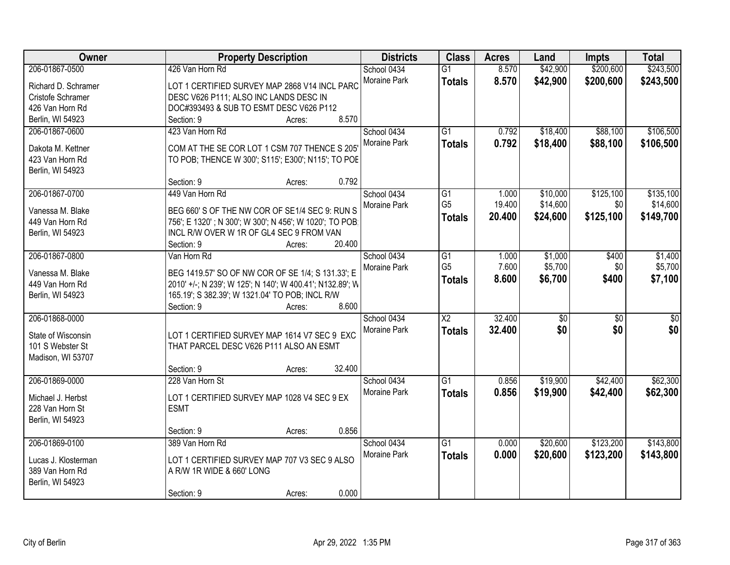| Owner               | <b>Property Description</b>                               | <b>Districts</b> | <b>Class</b>           | <b>Acres</b> | Land            | <b>Impts</b>    | <b>Total</b>    |
|---------------------|-----------------------------------------------------------|------------------|------------------------|--------------|-----------------|-----------------|-----------------|
| 206-01867-0500      | 426 Van Horn Rd                                           | School 0434      | $\overline{G1}$        | 8.570        | \$42,900        | \$200,600       | \$243,500       |
| Richard D. Schramer | LOT 1 CERTIFIED SURVEY MAP 2868 V14 INCL PARC             | Moraine Park     | <b>Totals</b>          | 8.570        | \$42,900        | \$200,600       | \$243,500       |
| Cristofe Schramer   | DESC V626 P111; ALSO INC LANDS DESC IN                    |                  |                        |              |                 |                 |                 |
| 426 Van Horn Rd     | DOC#393493 & SUB TO ESMT DESC V626 P112                   |                  |                        |              |                 |                 |                 |
| Berlin, WI 54923    | 8.570<br>Section: 9<br>Acres:                             |                  |                        |              |                 |                 |                 |
| 206-01867-0600      | 423 Van Horn Rd                                           | School 0434      | $\overline{G1}$        | 0.792        | \$18,400        | \$88,100        | \$106,500       |
|                     |                                                           | Moraine Park     | <b>Totals</b>          | 0.792        | \$18,400        | \$88,100        | \$106,500       |
| Dakota M. Kettner   | COM AT THE SE COR LOT 1 CSM 707 THENCE S 205              |                  |                        |              |                 |                 |                 |
| 423 Van Horn Rd     | TO POB; THENCE W 300'; S115'; E300'; N115'; TO POE        |                  |                        |              |                 |                 |                 |
| Berlin, WI 54923    |                                                           |                  |                        |              |                 |                 |                 |
|                     | 0.792<br>Section: 9<br>Acres:                             |                  |                        |              |                 |                 |                 |
| 206-01867-0700      | 449 Van Horn Rd                                           | School 0434      | G1                     | 1.000        | \$10,000        | \$125,100       | \$135,100       |
| Vanessa M. Blake    | BEG 660' S OF THE NW COR OF SE1/4 SEC 9: RUN S            | Moraine Park     | G <sub>5</sub>         | 19.400       | \$14,600        | \$0             | \$14,600        |
| 449 Van Horn Rd     | 756'; E 1320'; N 300'; W 300'; N 456'; W 1020'; TO POB.   |                  | <b>Totals</b>          | 20.400       | \$24,600        | \$125,100       | \$149,700       |
| Berlin, WI 54923    | INCL R/W OVER W 1R OF GL4 SEC 9 FROM VAN                  |                  |                        |              |                 |                 |                 |
|                     | 20.400<br>Section: 9<br>Acres:                            |                  |                        |              |                 |                 |                 |
| 206-01867-0800      | Van Horn Rd                                               | School 0434      | G1                     | 1.000        | \$1,000         | \$400           | \$1,400         |
|                     |                                                           | Moraine Park     | G <sub>5</sub>         | 7.600        | \$5,700         | \$0             | \$5,700         |
| Vanessa M. Blake    | BEG 1419.57' SO OF NW COR OF SE 1/4; S 131.33'; E         |                  | <b>Totals</b>          | 8.600        | \$6,700         | \$400           | \$7,100         |
| 449 Van Horn Rd     | 2010' +/-; N 239'; W 125'; N 140'; W 400.41'; N132.89'; W |                  |                        |              |                 |                 |                 |
| Berlin, WI 54923    | 165.19'; S 382.39'; W 1321.04' TO POB; INCL R/W           |                  |                        |              |                 |                 |                 |
|                     | 8.600<br>Section: 9<br>Acres:                             |                  |                        |              |                 |                 |                 |
| 206-01868-0000      |                                                           | School 0434      | $\overline{\text{X2}}$ | 32.400       | $\overline{50}$ | $\overline{50}$ | $\overline{50}$ |
| State of Wisconsin  | LOT 1 CERTIFIED SURVEY MAP 1614 V7 SEC 9 EXC              | Moraine Park     | <b>Totals</b>          | 32.400       | \$0             | \$0             | \$0             |
| 101 S Webster St    | THAT PARCEL DESC V626 P111 ALSO AN ESMT                   |                  |                        |              |                 |                 |                 |
| Madison, WI 53707   |                                                           |                  |                        |              |                 |                 |                 |
|                     | 32.400<br>Section: 9<br>Acres:                            |                  |                        |              |                 |                 |                 |
| 206-01869-0000      | 228 Van Horn St                                           | School 0434      | $\overline{G1}$        | 0.856        | \$19,900        | \$42,400        | \$62,300        |
|                     |                                                           | Moraine Park     | <b>Totals</b>          | 0.856        | \$19,900        | \$42,400        | \$62,300        |
| Michael J. Herbst   | LOT 1 CERTIFIED SURVEY MAP 1028 V4 SEC 9 EX               |                  |                        |              |                 |                 |                 |
| 228 Van Horn St     | <b>ESMT</b>                                               |                  |                        |              |                 |                 |                 |
| Berlin, WI 54923    |                                                           |                  |                        |              |                 |                 |                 |
|                     | 0.856<br>Section: 9<br>Acres:                             |                  |                        |              |                 |                 |                 |
| 206-01869-0100      | 389 Van Horn Rd                                           | School 0434      | $\overline{G1}$        | 0.000        | \$20,600        | \$123,200       | \$143,800       |
| Lucas J. Klosterman | LOT 1 CERTIFIED SURVEY MAP 707 V3 SEC 9 ALSO              | Moraine Park     | <b>Totals</b>          | 0.000        | \$20,600        | \$123,200       | \$143,800       |
| 389 Van Horn Rd     | A R/W 1R WIDE & 660' LONG                                 |                  |                        |              |                 |                 |                 |
| Berlin, WI 54923    |                                                           |                  |                        |              |                 |                 |                 |
|                     | 0.000<br>Section: 9<br>Acres:                             |                  |                        |              |                 |                 |                 |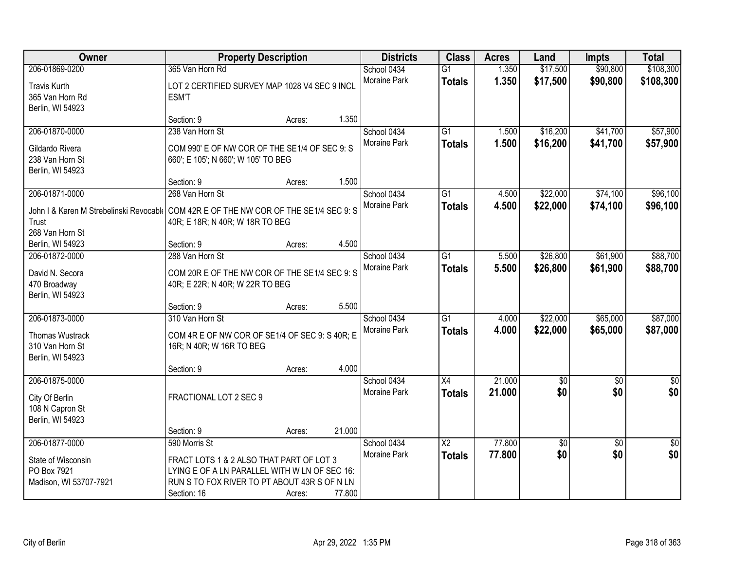| Owner                                                                                 | <b>Property Description</b>                    |        |        | <b>Districts</b> | <b>Class</b>           | <b>Acres</b> | Land       | <b>Impts</b>    | <b>Total</b>    |
|---------------------------------------------------------------------------------------|------------------------------------------------|--------|--------|------------------|------------------------|--------------|------------|-----------------|-----------------|
| 206-01869-0200                                                                        | 365 Van Horn Rd                                |        |        | School 0434      | $\overline{G1}$        | 1.350        | \$17,500   | \$90,800        | \$108,300       |
| <b>Travis Kurth</b>                                                                   | LOT 2 CERTIFIED SURVEY MAP 1028 V4 SEC 9 INCL  |        |        | Moraine Park     | <b>Totals</b>          | 1.350        | \$17,500   | \$90,800        | \$108,300       |
| 365 Van Horn Rd                                                                       | <b>ESM'T</b>                                   |        |        |                  |                        |              |            |                 |                 |
| Berlin, WI 54923                                                                      |                                                |        |        |                  |                        |              |            |                 |                 |
|                                                                                       | Section: 9                                     | Acres: | 1.350  |                  |                        |              |            |                 |                 |
| 206-01870-0000                                                                        | 238 Van Horn St                                |        |        | School 0434      | $\overline{G1}$        | 1.500        | \$16,200   | \$41,700        | \$57,900        |
| Gildardo Rivera                                                                       | COM 990' E OF NW COR OF THE SE1/4 OF SEC 9: S  |        |        | Moraine Park     | <b>Totals</b>          | 1.500        | \$16,200   | \$41,700        | \$57,900        |
| 238 Van Horn St                                                                       | 660'; E 105'; N 660'; W 105' TO BEG            |        |        |                  |                        |              |            |                 |                 |
| Berlin, WI 54923                                                                      |                                                |        |        |                  |                        |              |            |                 |                 |
|                                                                                       | Section: 9                                     | Acres: | 1.500  |                  |                        |              |            |                 |                 |
| 206-01871-0000                                                                        | 268 Van Horn St                                |        |        | School 0434      | $\overline{G1}$        | 4.500        | \$22,000   | \$74,100        | \$96,100        |
| John I & Karen M Strebelinski Revocabl( COM 42R E OF THE NW COR OF THE SE1/4 SEC 9: S |                                                |        |        | Moraine Park     | <b>Totals</b>          | 4.500        | \$22,000   | \$74,100        | \$96,100        |
| Trust                                                                                 | 40R; E 18R; N 40R; W 18R TO BEG                |        |        |                  |                        |              |            |                 |                 |
| 268 Van Horn St                                                                       |                                                |        |        |                  |                        |              |            |                 |                 |
| Berlin, WI 54923                                                                      | Section: 9                                     | Acres: | 4.500  |                  |                        |              |            |                 |                 |
| 206-01872-0000                                                                        | 288 Van Horn St                                |        |        | School 0434      | G1                     | 5.500        | \$26,800   | \$61,900        | \$88,700        |
|                                                                                       |                                                |        |        | Moraine Park     | <b>Totals</b>          | 5.500        | \$26,800   | \$61,900        | \$88,700        |
| David N. Secora                                                                       | COM 20R E OF THE NW COR OF THE SE1/4 SEC 9: S  |        |        |                  |                        |              |            |                 |                 |
| 470 Broadway                                                                          | 40R; E 22R; N 40R; W 22R TO BEG                |        |        |                  |                        |              |            |                 |                 |
| Berlin, WI 54923                                                                      | Section: 9                                     | Acres: | 5.500  |                  |                        |              |            |                 |                 |
| 206-01873-0000                                                                        | 310 Van Horn St                                |        |        | School 0434      | $\overline{G1}$        | 4.000        | \$22,000   | \$65,000        | \$87,000        |
|                                                                                       |                                                |        |        | Moraine Park     |                        | 4.000        | \$22,000   | \$65,000        |                 |
| Thomas Wustrack                                                                       | COM 4R E OF NW COR OF SE1/4 OF SEC 9: S 40R; E |        |        |                  | <b>Totals</b>          |              |            |                 | \$87,000        |
| 310 Van Horn St                                                                       | 16R; N 40R; W 16R TO BEG                       |        |        |                  |                        |              |            |                 |                 |
| Berlin, WI 54923                                                                      |                                                |        |        |                  |                        |              |            |                 |                 |
|                                                                                       | Section: 9                                     | Acres: | 4.000  |                  |                        |              |            |                 |                 |
| 206-01875-0000                                                                        |                                                |        |        | School 0434      | $\overline{X4}$        | 21.000       | $\sqrt{6}$ | $\sqrt{6}$      | $\frac{1}{6}$   |
| City Of Berlin                                                                        | FRACTIONAL LOT 2 SEC 9                         |        |        | Moraine Park     | <b>Totals</b>          | 21.000       | \$0        | \$0             | \$0             |
| 108 N Capron St                                                                       |                                                |        |        |                  |                        |              |            |                 |                 |
| Berlin, WI 54923                                                                      |                                                |        |        |                  |                        |              |            |                 |                 |
|                                                                                       | Section: 9                                     | Acres: | 21.000 |                  |                        |              |            |                 |                 |
| 206-01877-0000                                                                        | 590 Morris St                                  |        |        | School 0434      | $\overline{\text{X2}}$ | 77.800       | \$0        | $\overline{50}$ | $\overline{50}$ |
| State of Wisconsin                                                                    | FRACT LOTS 1 & 2 ALSO THAT PART OF LOT 3       |        |        | Moraine Park     | <b>Totals</b>          | 77.800       | \$0        | \$0             | \$0             |
| PO Box 7921                                                                           | LYING E OF A LN PARALLEL WITH W LN OF SEC 16:  |        |        |                  |                        |              |            |                 |                 |
| Madison, WI 53707-7921                                                                | RUN S TO FOX RIVER TO PT ABOUT 43R S OF N LN   |        |        |                  |                        |              |            |                 |                 |
|                                                                                       | Section: 16                                    | Acres: | 77.800 |                  |                        |              |            |                 |                 |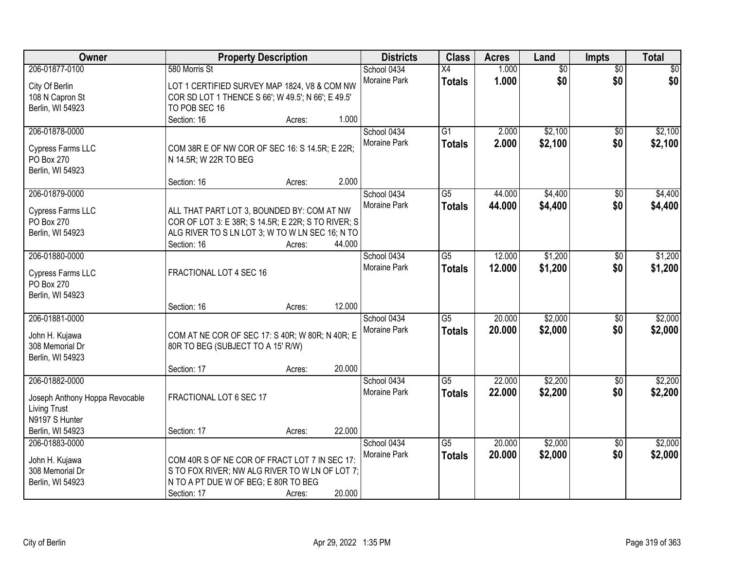| Owner                           | <b>Property Description</b>                                                                           |        |        | <b>Districts</b> | <b>Class</b>    | <b>Acres</b> | Land            | Impts           | <b>Total</b> |
|---------------------------------|-------------------------------------------------------------------------------------------------------|--------|--------|------------------|-----------------|--------------|-----------------|-----------------|--------------|
| 206-01877-0100                  | 580 Morris St                                                                                         |        |        | School 0434      | $\overline{X4}$ | 1.000        | $\overline{60}$ | $\overline{50}$ | \$0          |
| City Of Berlin                  | LOT 1 CERTIFIED SURVEY MAP 1824, V8 & COM NW                                                          |        |        | Moraine Park     | <b>Totals</b>   | 1.000        | \$0             | \$0             | \$0          |
| 108 N Capron St                 | COR SD LOT 1 THENCE S 66'; W 49.5'; N 66'; E 49.5'                                                    |        |        |                  |                 |              |                 |                 |              |
| Berlin, WI 54923                | TO POB SEC 16                                                                                         |        |        |                  |                 |              |                 |                 |              |
|                                 | Section: 16                                                                                           | Acres: | 1.000  |                  |                 |              |                 |                 |              |
| 206-01878-0000                  |                                                                                                       |        |        | School 0434      | $\overline{G1}$ | 2.000        | \$2,100         | \$0             | \$2,100      |
| Cypress Farms LLC               | COM 38R E OF NW COR OF SEC 16: S 14.5R; E 22R;                                                        |        |        | Moraine Park     | <b>Totals</b>   | 2.000        | \$2,100         | \$0             | \$2,100      |
| PO Box 270                      | N 14.5R; W 22R TO BEG                                                                                 |        |        |                  |                 |              |                 |                 |              |
| Berlin, WI 54923                |                                                                                                       |        |        |                  |                 |              |                 |                 |              |
|                                 | Section: 16                                                                                           | Acres: | 2.000  |                  |                 |              |                 |                 |              |
| 206-01879-0000                  |                                                                                                       |        |        | School 0434      | $\overline{G5}$ | 44.000       | \$4,400         | $\overline{50}$ | \$4,400      |
|                                 |                                                                                                       |        |        | Moraine Park     | <b>Totals</b>   | 44.000       | \$4,400         | \$0             | \$4,400      |
| Cypress Farms LLC<br>PO Box 270 | ALL THAT PART LOT 3, BOUNDED BY: COM AT NW                                                            |        |        |                  |                 |              |                 |                 |              |
| Berlin, WI 54923                | COR OF LOT 3: E 38R; S 14.5R; E 22R; S TO RIVER; S<br>ALG RIVER TO S LN LOT 3; W TO W LN SEC 16; N TO |        |        |                  |                 |              |                 |                 |              |
|                                 | Section: 16                                                                                           | Acres: | 44.000 |                  |                 |              |                 |                 |              |
| 206-01880-0000                  |                                                                                                       |        |        | School 0434      | G5              | 12.000       | \$1,200         | \$0             | \$1,200      |
|                                 |                                                                                                       |        |        | Moraine Park     | <b>Totals</b>   | 12.000       | \$1,200         | \$0             | \$1,200      |
| Cypress Farms LLC               | FRACTIONAL LOT 4 SEC 16                                                                               |        |        |                  |                 |              |                 |                 |              |
| PO Box 270                      |                                                                                                       |        |        |                  |                 |              |                 |                 |              |
| Berlin, WI 54923                |                                                                                                       |        | 12.000 |                  |                 |              |                 |                 |              |
| 206-01881-0000                  | Section: 16                                                                                           | Acres: |        | School 0434      | $\overline{G5}$ | 20.000       | \$2,000         | $\overline{50}$ | \$2,000      |
|                                 |                                                                                                       |        |        | Moraine Park     |                 | 20.000       |                 |                 |              |
| John H. Kujawa                  | COM AT NE COR OF SEC 17: S 40R; W 80R; N 40R; E                                                       |        |        |                  | <b>Totals</b>   |              | \$2,000         | \$0             | \$2,000      |
| 308 Memorial Dr                 | 80R TO BEG (SUBJECT TO A 15' R/W)                                                                     |        |        |                  |                 |              |                 |                 |              |
| Berlin, WI 54923                |                                                                                                       |        |        |                  |                 |              |                 |                 |              |
|                                 | Section: 17                                                                                           | Acres: | 20.000 |                  |                 |              |                 |                 |              |
| 206-01882-0000                  |                                                                                                       |        |        | School 0434      | $\overline{G5}$ | 22.000       | \$2,200         | $\sqrt{6}$      | \$2,200      |
| Joseph Anthony Hoppa Revocable  | FRACTIONAL LOT 6 SEC 17                                                                               |        |        | Moraine Park     | <b>Totals</b>   | 22.000       | \$2,200         | \$0             | \$2,200      |
| <b>Living Trust</b>             |                                                                                                       |        |        |                  |                 |              |                 |                 |              |
| N9197 S Hunter                  |                                                                                                       |        |        |                  |                 |              |                 |                 |              |
| Berlin, WI 54923                | Section: 17                                                                                           | Acres: | 22.000 |                  |                 |              |                 |                 |              |
| 206-01883-0000                  |                                                                                                       |        |        | School 0434      | $\overline{G5}$ | 20.000       | \$2,000         | $\overline{50}$ | \$2,000      |
| John H. Kujawa                  | COM 40R S OF NE COR OF FRACT LOT 7 IN SEC 17:                                                         |        |        | Moraine Park     | <b>Totals</b>   | 20.000       | \$2,000         | \$0             | \$2,000      |
| 308 Memorial Dr                 | S TO FOX RIVER; NW ALG RIVER TO W LN OF LOT 7;                                                        |        |        |                  |                 |              |                 |                 |              |
| Berlin, WI 54923                | N TO A PT DUE W OF BEG; E 80R TO BEG                                                                  |        |        |                  |                 |              |                 |                 |              |
|                                 | Section: 17                                                                                           | Acres: | 20.000 |                  |                 |              |                 |                 |              |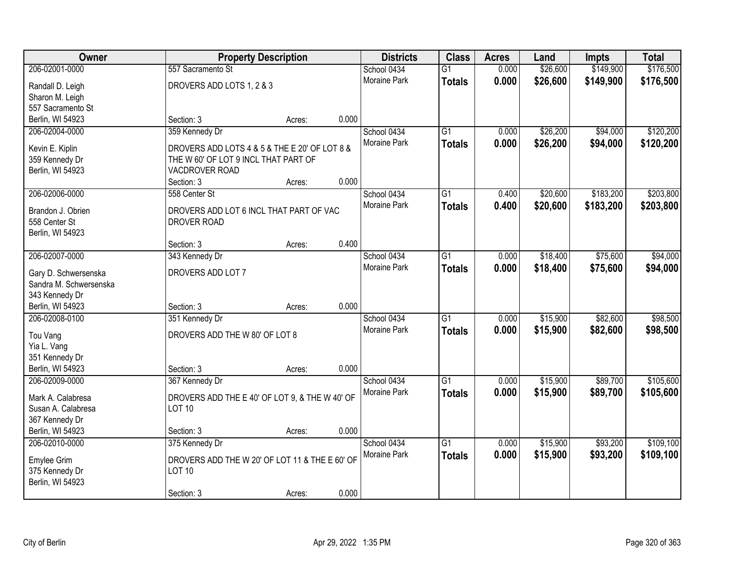| \$149,900<br>\$176,500<br>206-02001-0000<br>0.000<br>\$26,600<br>557 Sacramento St<br>School 0434<br>$\overline{G1}$<br>0.000<br>Moraine Park<br>\$26,600<br>\$149,900<br>\$176,500<br><b>Totals</b><br>DROVERS ADD LOTS 1, 2 & 3<br>Randall D. Leigh<br>Sharon M. Leigh<br>557 Sacramento St<br>0.000<br>Berlin, WI 54923<br>Section: 3<br>Acres:<br>\$26,200<br>\$94,000<br>206-02004-0000<br>359 Kennedy Dr<br>School 0434<br>$\overline{G1}$<br>0.000<br>Moraine Park<br>0.000<br>\$26,200<br>\$94,000<br><b>Totals</b><br>DROVERS ADD LOTS 4 & 5 & THE E 20' OF LOT 8 &<br>Kevin E. Kiplin<br>359 Kennedy Dr<br>THE W 60' OF LOT 9 INCL THAT PART OF<br>Berlin, WI 54923<br>VACDROVER ROAD<br>0.000<br>Section: 3<br>Acres:<br>\$183,200<br>206-02006-0000<br>$\overline{G1}$<br>\$20,600<br>558 Center St<br>School 0434<br>0.400<br>Moraine Park<br>0.400<br>\$20,600<br>\$183,200<br><b>Totals</b><br>Brandon J. Obrien<br>DROVERS ADD LOT 6 INCL THAT PART OF VAC<br>558 Center St<br><b>DROVER ROAD</b><br>Berlin, WI 54923<br>0.400<br>Section: 3<br>Acres:<br>206-02007-0000<br>\$18,400<br>\$75,600<br>343 Kennedy Dr<br>School 0434<br>$\overline{G1}$<br>0.000<br>Moraine Park<br>0.000<br>\$18,400<br>\$75,600<br><b>Totals</b><br>DROVERS ADD LOT 7<br>Gary D. Schwersenska<br>Sandra M. Schwersenska<br>343 Kennedy Dr<br>0.000<br>Berlin, WI 54923<br>Section: 3<br>Acres:<br>206-02008-0100<br>$\overline{G1}$<br>\$15,900<br>\$82,600<br>351 Kennedy Dr<br>School 0434<br>0.000<br>0.000<br>\$82,600<br>Moraine Park<br>\$15,900<br><b>Totals</b><br>DROVERS ADD THE W 80' OF LOT 8<br>Tou Vang<br>Yia L. Vang<br>351 Kennedy Dr<br>Berlin, WI 54923<br>0.000<br>Section: 3<br>Acres:<br>206-02009-0000<br>School 0434<br>$\overline{G1}$<br>\$15,900<br>\$89,700<br>367 Kennedy Dr<br>0.000<br>\$15,900<br>Moraine Park<br>0.000<br>\$89,700<br><b>Totals</b><br>DROVERS ADD THE E 40' OF LOT 9, & THE W 40' OF<br>Mark A. Calabresa<br>Susan A. Calabresa<br><b>LOT 10</b><br>367 Kennedy Dr<br>Berlin, WI 54923<br>0.000<br>Section: 3<br>Acres:<br>375 Kennedy Dr<br>$\overline{G1}$<br>\$15,900<br>\$93,200<br>206-02010-0000<br>School 0434<br>0.000<br>0.000<br>Moraine Park<br>\$15,900<br>\$93,200<br><b>Totals</b><br>DROVERS ADD THE W 20' OF LOT 11 & THE E 60' OF<br>Emylee Grim<br><b>LOT 10</b><br>375 Kennedy Dr<br>Berlin, WI 54923 | Owner |            | <b>Property Description</b> |       | <b>Districts</b> | <b>Class</b> | <b>Acres</b> | Land | <b>Impts</b> | <b>Total</b> |
|---------------------------------------------------------------------------------------------------------------------------------------------------------------------------------------------------------------------------------------------------------------------------------------------------------------------------------------------------------------------------------------------------------------------------------------------------------------------------------------------------------------------------------------------------------------------------------------------------------------------------------------------------------------------------------------------------------------------------------------------------------------------------------------------------------------------------------------------------------------------------------------------------------------------------------------------------------------------------------------------------------------------------------------------------------------------------------------------------------------------------------------------------------------------------------------------------------------------------------------------------------------------------------------------------------------------------------------------------------------------------------------------------------------------------------------------------------------------------------------------------------------------------------------------------------------------------------------------------------------------------------------------------------------------------------------------------------------------------------------------------------------------------------------------------------------------------------------------------------------------------------------------------------------------------------------------------------------------------------------------------------------------------------------------------------------------------------------------------------------------------------------------------------------------------------------------------------------------------------------------------------------------------------------------------------------------------------------------------------------------------|-------|------------|-----------------------------|-------|------------------|--------------|--------------|------|--------------|--------------|
|                                                                                                                                                                                                                                                                                                                                                                                                                                                                                                                                                                                                                                                                                                                                                                                                                                                                                                                                                                                                                                                                                                                                                                                                                                                                                                                                                                                                                                                                                                                                                                                                                                                                                                                                                                                                                                                                                                                                                                                                                                                                                                                                                                                                                                                                                                                                                                           |       |            |                             |       |                  |              |              |      |              |              |
|                                                                                                                                                                                                                                                                                                                                                                                                                                                                                                                                                                                                                                                                                                                                                                                                                                                                                                                                                                                                                                                                                                                                                                                                                                                                                                                                                                                                                                                                                                                                                                                                                                                                                                                                                                                                                                                                                                                                                                                                                                                                                                                                                                                                                                                                                                                                                                           |       |            |                             |       |                  |              |              |      |              |              |
| \$120,200<br>\$120,200                                                                                                                                                                                                                                                                                                                                                                                                                                                                                                                                                                                                                                                                                                                                                                                                                                                                                                                                                                                                                                                                                                                                                                                                                                                                                                                                                                                                                                                                                                                                                                                                                                                                                                                                                                                                                                                                                                                                                                                                                                                                                                                                                                                                                                                                                                                                                    |       |            |                             |       |                  |              |              |      |              |              |
|                                                                                                                                                                                                                                                                                                                                                                                                                                                                                                                                                                                                                                                                                                                                                                                                                                                                                                                                                                                                                                                                                                                                                                                                                                                                                                                                                                                                                                                                                                                                                                                                                                                                                                                                                                                                                                                                                                                                                                                                                                                                                                                                                                                                                                                                                                                                                                           |       |            |                             |       |                  |              |              |      |              |              |
|                                                                                                                                                                                                                                                                                                                                                                                                                                                                                                                                                                                                                                                                                                                                                                                                                                                                                                                                                                                                                                                                                                                                                                                                                                                                                                                                                                                                                                                                                                                                                                                                                                                                                                                                                                                                                                                                                                                                                                                                                                                                                                                                                                                                                                                                                                                                                                           |       |            |                             |       |                  |              |              |      |              |              |
|                                                                                                                                                                                                                                                                                                                                                                                                                                                                                                                                                                                                                                                                                                                                                                                                                                                                                                                                                                                                                                                                                                                                                                                                                                                                                                                                                                                                                                                                                                                                                                                                                                                                                                                                                                                                                                                                                                                                                                                                                                                                                                                                                                                                                                                                                                                                                                           |       |            |                             |       |                  |              |              |      |              |              |
|                                                                                                                                                                                                                                                                                                                                                                                                                                                                                                                                                                                                                                                                                                                                                                                                                                                                                                                                                                                                                                                                                                                                                                                                                                                                                                                                                                                                                                                                                                                                                                                                                                                                                                                                                                                                                                                                                                                                                                                                                                                                                                                                                                                                                                                                                                                                                                           |       |            |                             |       |                  |              |              |      |              |              |
|                                                                                                                                                                                                                                                                                                                                                                                                                                                                                                                                                                                                                                                                                                                                                                                                                                                                                                                                                                                                                                                                                                                                                                                                                                                                                                                                                                                                                                                                                                                                                                                                                                                                                                                                                                                                                                                                                                                                                                                                                                                                                                                                                                                                                                                                                                                                                                           |       |            |                             |       |                  |              |              |      |              |              |
| \$203,800<br>\$203,800<br>\$94,000<br>\$94,000<br>\$98,500<br>\$98,500<br>\$105,600<br>\$105,600<br>\$109,100<br>\$109,100                                                                                                                                                                                                                                                                                                                                                                                                                                                                                                                                                                                                                                                                                                                                                                                                                                                                                                                                                                                                                                                                                                                                                                                                                                                                                                                                                                                                                                                                                                                                                                                                                                                                                                                                                                                                                                                                                                                                                                                                                                                                                                                                                                                                                                                |       |            |                             |       |                  |              |              |      |              |              |
|                                                                                                                                                                                                                                                                                                                                                                                                                                                                                                                                                                                                                                                                                                                                                                                                                                                                                                                                                                                                                                                                                                                                                                                                                                                                                                                                                                                                                                                                                                                                                                                                                                                                                                                                                                                                                                                                                                                                                                                                                                                                                                                                                                                                                                                                                                                                                                           |       |            |                             |       |                  |              |              |      |              |              |
|                                                                                                                                                                                                                                                                                                                                                                                                                                                                                                                                                                                                                                                                                                                                                                                                                                                                                                                                                                                                                                                                                                                                                                                                                                                                                                                                                                                                                                                                                                                                                                                                                                                                                                                                                                                                                                                                                                                                                                                                                                                                                                                                                                                                                                                                                                                                                                           |       |            |                             |       |                  |              |              |      |              |              |
|                                                                                                                                                                                                                                                                                                                                                                                                                                                                                                                                                                                                                                                                                                                                                                                                                                                                                                                                                                                                                                                                                                                                                                                                                                                                                                                                                                                                                                                                                                                                                                                                                                                                                                                                                                                                                                                                                                                                                                                                                                                                                                                                                                                                                                                                                                                                                                           |       |            |                             |       |                  |              |              |      |              |              |
|                                                                                                                                                                                                                                                                                                                                                                                                                                                                                                                                                                                                                                                                                                                                                                                                                                                                                                                                                                                                                                                                                                                                                                                                                                                                                                                                                                                                                                                                                                                                                                                                                                                                                                                                                                                                                                                                                                                                                                                                                                                                                                                                                                                                                                                                                                                                                                           |       |            |                             |       |                  |              |              |      |              |              |
|                                                                                                                                                                                                                                                                                                                                                                                                                                                                                                                                                                                                                                                                                                                                                                                                                                                                                                                                                                                                                                                                                                                                                                                                                                                                                                                                                                                                                                                                                                                                                                                                                                                                                                                                                                                                                                                                                                                                                                                                                                                                                                                                                                                                                                                                                                                                                                           |       |            |                             |       |                  |              |              |      |              |              |
|                                                                                                                                                                                                                                                                                                                                                                                                                                                                                                                                                                                                                                                                                                                                                                                                                                                                                                                                                                                                                                                                                                                                                                                                                                                                                                                                                                                                                                                                                                                                                                                                                                                                                                                                                                                                                                                                                                                                                                                                                                                                                                                                                                                                                                                                                                                                                                           |       |            |                             |       |                  |              |              |      |              |              |
|                                                                                                                                                                                                                                                                                                                                                                                                                                                                                                                                                                                                                                                                                                                                                                                                                                                                                                                                                                                                                                                                                                                                                                                                                                                                                                                                                                                                                                                                                                                                                                                                                                                                                                                                                                                                                                                                                                                                                                                                                                                                                                                                                                                                                                                                                                                                                                           |       |            |                             |       |                  |              |              |      |              |              |
|                                                                                                                                                                                                                                                                                                                                                                                                                                                                                                                                                                                                                                                                                                                                                                                                                                                                                                                                                                                                                                                                                                                                                                                                                                                                                                                                                                                                                                                                                                                                                                                                                                                                                                                                                                                                                                                                                                                                                                                                                                                                                                                                                                                                                                                                                                                                                                           |       |            |                             |       |                  |              |              |      |              |              |
|                                                                                                                                                                                                                                                                                                                                                                                                                                                                                                                                                                                                                                                                                                                                                                                                                                                                                                                                                                                                                                                                                                                                                                                                                                                                                                                                                                                                                                                                                                                                                                                                                                                                                                                                                                                                                                                                                                                                                                                                                                                                                                                                                                                                                                                                                                                                                                           |       |            |                             |       |                  |              |              |      |              |              |
|                                                                                                                                                                                                                                                                                                                                                                                                                                                                                                                                                                                                                                                                                                                                                                                                                                                                                                                                                                                                                                                                                                                                                                                                                                                                                                                                                                                                                                                                                                                                                                                                                                                                                                                                                                                                                                                                                                                                                                                                                                                                                                                                                                                                                                                                                                                                                                           |       |            |                             |       |                  |              |              |      |              |              |
|                                                                                                                                                                                                                                                                                                                                                                                                                                                                                                                                                                                                                                                                                                                                                                                                                                                                                                                                                                                                                                                                                                                                                                                                                                                                                                                                                                                                                                                                                                                                                                                                                                                                                                                                                                                                                                                                                                                                                                                                                                                                                                                                                                                                                                                                                                                                                                           |       |            |                             |       |                  |              |              |      |              |              |
|                                                                                                                                                                                                                                                                                                                                                                                                                                                                                                                                                                                                                                                                                                                                                                                                                                                                                                                                                                                                                                                                                                                                                                                                                                                                                                                                                                                                                                                                                                                                                                                                                                                                                                                                                                                                                                                                                                                                                                                                                                                                                                                                                                                                                                                                                                                                                                           |       |            |                             |       |                  |              |              |      |              |              |
|                                                                                                                                                                                                                                                                                                                                                                                                                                                                                                                                                                                                                                                                                                                                                                                                                                                                                                                                                                                                                                                                                                                                                                                                                                                                                                                                                                                                                                                                                                                                                                                                                                                                                                                                                                                                                                                                                                                                                                                                                                                                                                                                                                                                                                                                                                                                                                           |       |            |                             |       |                  |              |              |      |              |              |
|                                                                                                                                                                                                                                                                                                                                                                                                                                                                                                                                                                                                                                                                                                                                                                                                                                                                                                                                                                                                                                                                                                                                                                                                                                                                                                                                                                                                                                                                                                                                                                                                                                                                                                                                                                                                                                                                                                                                                                                                                                                                                                                                                                                                                                                                                                                                                                           |       |            |                             |       |                  |              |              |      |              |              |
|                                                                                                                                                                                                                                                                                                                                                                                                                                                                                                                                                                                                                                                                                                                                                                                                                                                                                                                                                                                                                                                                                                                                                                                                                                                                                                                                                                                                                                                                                                                                                                                                                                                                                                                                                                                                                                                                                                                                                                                                                                                                                                                                                                                                                                                                                                                                                                           |       |            |                             |       |                  |              |              |      |              |              |
|                                                                                                                                                                                                                                                                                                                                                                                                                                                                                                                                                                                                                                                                                                                                                                                                                                                                                                                                                                                                                                                                                                                                                                                                                                                                                                                                                                                                                                                                                                                                                                                                                                                                                                                                                                                                                                                                                                                                                                                                                                                                                                                                                                                                                                                                                                                                                                           |       |            |                             |       |                  |              |              |      |              |              |
|                                                                                                                                                                                                                                                                                                                                                                                                                                                                                                                                                                                                                                                                                                                                                                                                                                                                                                                                                                                                                                                                                                                                                                                                                                                                                                                                                                                                                                                                                                                                                                                                                                                                                                                                                                                                                                                                                                                                                                                                                                                                                                                                                                                                                                                                                                                                                                           |       |            |                             |       |                  |              |              |      |              |              |
|                                                                                                                                                                                                                                                                                                                                                                                                                                                                                                                                                                                                                                                                                                                                                                                                                                                                                                                                                                                                                                                                                                                                                                                                                                                                                                                                                                                                                                                                                                                                                                                                                                                                                                                                                                                                                                                                                                                                                                                                                                                                                                                                                                                                                                                                                                                                                                           |       |            |                             |       |                  |              |              |      |              |              |
|                                                                                                                                                                                                                                                                                                                                                                                                                                                                                                                                                                                                                                                                                                                                                                                                                                                                                                                                                                                                                                                                                                                                                                                                                                                                                                                                                                                                                                                                                                                                                                                                                                                                                                                                                                                                                                                                                                                                                                                                                                                                                                                                                                                                                                                                                                                                                                           |       |            |                             |       |                  |              |              |      |              |              |
|                                                                                                                                                                                                                                                                                                                                                                                                                                                                                                                                                                                                                                                                                                                                                                                                                                                                                                                                                                                                                                                                                                                                                                                                                                                                                                                                                                                                                                                                                                                                                                                                                                                                                                                                                                                                                                                                                                                                                                                                                                                                                                                                                                                                                                                                                                                                                                           |       |            |                             |       |                  |              |              |      |              |              |
|                                                                                                                                                                                                                                                                                                                                                                                                                                                                                                                                                                                                                                                                                                                                                                                                                                                                                                                                                                                                                                                                                                                                                                                                                                                                                                                                                                                                                                                                                                                                                                                                                                                                                                                                                                                                                                                                                                                                                                                                                                                                                                                                                                                                                                                                                                                                                                           |       |            |                             |       |                  |              |              |      |              |              |
|                                                                                                                                                                                                                                                                                                                                                                                                                                                                                                                                                                                                                                                                                                                                                                                                                                                                                                                                                                                                                                                                                                                                                                                                                                                                                                                                                                                                                                                                                                                                                                                                                                                                                                                                                                                                                                                                                                                                                                                                                                                                                                                                                                                                                                                                                                                                                                           |       |            |                             |       |                  |              |              |      |              |              |
|                                                                                                                                                                                                                                                                                                                                                                                                                                                                                                                                                                                                                                                                                                                                                                                                                                                                                                                                                                                                                                                                                                                                                                                                                                                                                                                                                                                                                                                                                                                                                                                                                                                                                                                                                                                                                                                                                                                                                                                                                                                                                                                                                                                                                                                                                                                                                                           |       |            |                             |       |                  |              |              |      |              |              |
|                                                                                                                                                                                                                                                                                                                                                                                                                                                                                                                                                                                                                                                                                                                                                                                                                                                                                                                                                                                                                                                                                                                                                                                                                                                                                                                                                                                                                                                                                                                                                                                                                                                                                                                                                                                                                                                                                                                                                                                                                                                                                                                                                                                                                                                                                                                                                                           |       |            |                             |       |                  |              |              |      |              |              |
|                                                                                                                                                                                                                                                                                                                                                                                                                                                                                                                                                                                                                                                                                                                                                                                                                                                                                                                                                                                                                                                                                                                                                                                                                                                                                                                                                                                                                                                                                                                                                                                                                                                                                                                                                                                                                                                                                                                                                                                                                                                                                                                                                                                                                                                                                                                                                                           |       |            |                             |       |                  |              |              |      |              |              |
|                                                                                                                                                                                                                                                                                                                                                                                                                                                                                                                                                                                                                                                                                                                                                                                                                                                                                                                                                                                                                                                                                                                                                                                                                                                                                                                                                                                                                                                                                                                                                                                                                                                                                                                                                                                                                                                                                                                                                                                                                                                                                                                                                                                                                                                                                                                                                                           |       |            |                             |       |                  |              |              |      |              |              |
|                                                                                                                                                                                                                                                                                                                                                                                                                                                                                                                                                                                                                                                                                                                                                                                                                                                                                                                                                                                                                                                                                                                                                                                                                                                                                                                                                                                                                                                                                                                                                                                                                                                                                                                                                                                                                                                                                                                                                                                                                                                                                                                                                                                                                                                                                                                                                                           |       |            |                             |       |                  |              |              |      |              |              |
|                                                                                                                                                                                                                                                                                                                                                                                                                                                                                                                                                                                                                                                                                                                                                                                                                                                                                                                                                                                                                                                                                                                                                                                                                                                                                                                                                                                                                                                                                                                                                                                                                                                                                                                                                                                                                                                                                                                                                                                                                                                                                                                                                                                                                                                                                                                                                                           |       | Section: 3 | Acres:                      | 0.000 |                  |              |              |      |              |              |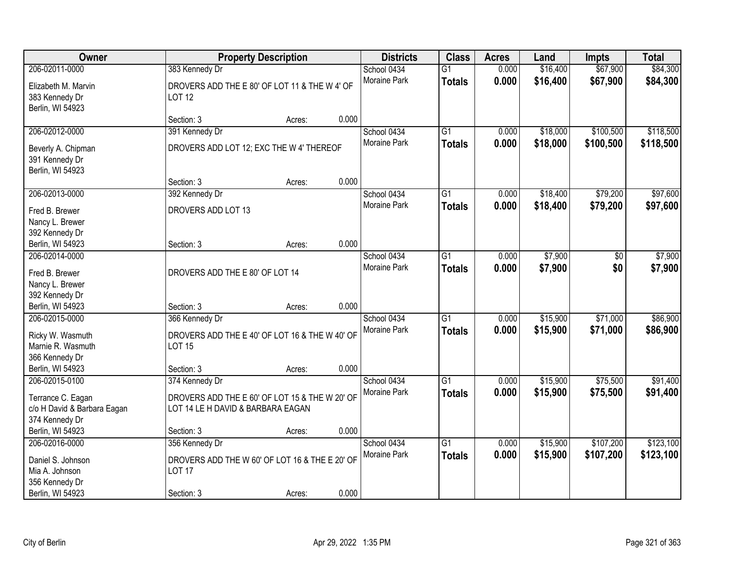| <b>Owner</b>                                              |                                                                | <b>Property Description</b> |       | <b>Districts</b>            | <b>Class</b>    | <b>Acres</b> | Land                 | <b>Impts</b> | <b>Total</b> |
|-----------------------------------------------------------|----------------------------------------------------------------|-----------------------------|-------|-----------------------------|-----------------|--------------|----------------------|--------------|--------------|
| 206-02011-0000                                            | 383 Kennedy Dr                                                 |                             |       | School 0434                 | $\overline{G1}$ | 0.000        | \$16,400             | \$67,900     | \$84,300     |
| Elizabeth M. Marvin<br>383 Kennedy Dr<br>Berlin, WI 54923 | DROVERS ADD THE E 80' OF LOT 11 & THE W 4' OF<br><b>LOT 12</b> |                             |       | Moraine Park                | <b>Totals</b>   | 0.000        | \$16,400             | \$67,900     | \$84,300     |
|                                                           | Section: 3                                                     | Acres:                      | 0.000 |                             |                 |              |                      |              |              |
| 206-02012-0000                                            | 391 Kennedy Dr                                                 |                             |       | School 0434                 | $\overline{G1}$ | 0.000        | \$18,000             | \$100,500    | \$118,500    |
| Beverly A. Chipman<br>391 Kennedy Dr<br>Berlin, WI 54923  | DROVERS ADD LOT 12; EXC THE W 4' THEREOF                       |                             |       | Moraine Park                | <b>Totals</b>   | 0.000        | \$18,000             | \$100,500    | \$118,500    |
|                                                           | Section: 3                                                     | Acres:                      | 0.000 |                             |                 |              |                      |              |              |
| 206-02013-0000                                            | 392 Kennedy Dr                                                 |                             |       | School 0434                 | $\overline{G1}$ | 0.000        | \$18,400             | \$79,200     | \$97,600     |
| Fred B. Brewer<br>Nancy L. Brewer<br>392 Kennedy Dr       | DROVERS ADD LOT 13                                             |                             |       | Moraine Park                | <b>Totals</b>   | 0.000        | \$18,400             | \$79,200     | \$97,600     |
| Berlin, WI 54923                                          | Section: 3                                                     | Acres:                      | 0.000 |                             |                 |              |                      |              |              |
| 206-02014-0000                                            |                                                                |                             |       | School 0434                 | G1              | 0.000        | \$7,900              | \$0          | \$7,900      |
| Fred B. Brewer                                            | DROVERS ADD THE E 80' OF LOT 14                                |                             |       | <b>Moraine Park</b>         | <b>Totals</b>   | 0.000        | \$7,900              | \$0          | \$7,900      |
| Nancy L. Brewer                                           |                                                                |                             |       |                             |                 |              |                      |              |              |
| 392 Kennedy Dr<br>Berlin, WI 54923                        | Section: 3                                                     | Acres:                      | 0.000 |                             |                 |              |                      |              |              |
| 206-02015-0000                                            | 366 Kennedy Dr                                                 |                             |       | School 0434                 | $\overline{G1}$ | 0.000        | \$15,900             | \$71,000     | \$86,900     |
|                                                           |                                                                |                             |       | Moraine Park                | <b>Totals</b>   | 0.000        | \$15,900             | \$71,000     | \$86,900     |
| Ricky W. Wasmuth                                          | DROVERS ADD THE E 40' OF LOT 16 & THE W 40' OF                 |                             |       |                             |                 |              |                      |              |              |
| Marnie R. Wasmuth                                         | <b>LOT 15</b>                                                  |                             |       |                             |                 |              |                      |              |              |
| 366 Kennedy Dr<br>Berlin, WI 54923                        | Section: 3                                                     | Acres:                      | 0.000 |                             |                 |              |                      |              |              |
| 206-02015-0100                                            | 374 Kennedy Dr                                                 |                             |       | School 0434                 | $\overline{G1}$ | 0.000        | \$15,900             | \$75,500     | \$91,400     |
|                                                           |                                                                |                             |       | Moraine Park                | <b>Totals</b>   | 0.000        | \$15,900             | \$75,500     | \$91,400     |
| Terrance C. Eagan                                         | DROVERS ADD THE E 60' OF LOT 15 & THE W 20' OF                 |                             |       |                             |                 |              |                      |              |              |
| c/o H David & Barbara Eagan                               | LOT 14 LE H DAVID & BARBARA EAGAN                              |                             |       |                             |                 |              |                      |              |              |
| 374 Kennedy Dr                                            |                                                                |                             |       |                             |                 |              |                      |              |              |
| Berlin, WI 54923                                          | Section: 3                                                     | Acres:                      | 0.000 |                             | $\overline{G1}$ | 0.000        |                      | \$107,200    | \$123,100    |
| 206-02016-0000                                            | 356 Kennedy Dr                                                 |                             |       | School 0434<br>Moraine Park |                 | 0.000        | \$15,900<br>\$15,900 | \$107,200    |              |
| Daniel S. Johnson                                         | DROVERS ADD THE W 60' OF LOT 16 & THE E 20' OF                 |                             |       |                             | <b>Totals</b>   |              |                      |              | \$123,100    |
| Mia A. Johnson                                            | <b>LOT 17</b>                                                  |                             |       |                             |                 |              |                      |              |              |
| 356 Kennedy Dr                                            |                                                                |                             |       |                             |                 |              |                      |              |              |
| Berlin, WI 54923                                          | Section: 3                                                     | Acres:                      | 0.000 |                             |                 |              |                      |              |              |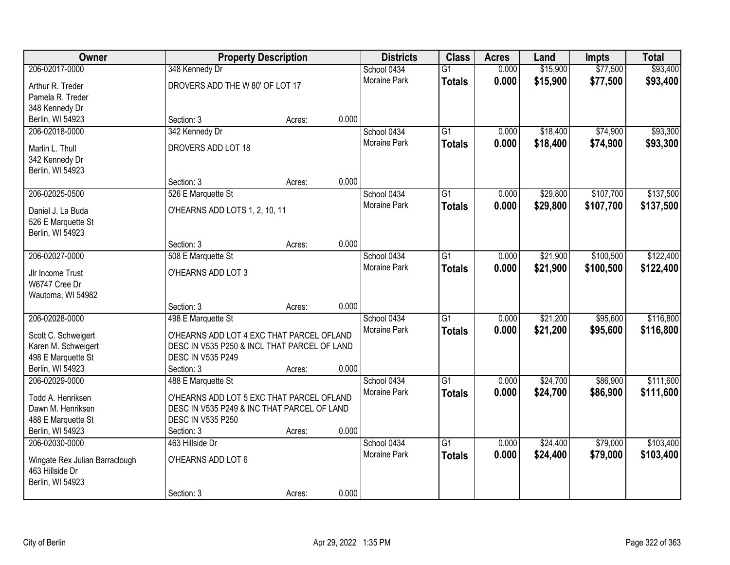| <b>Owner</b>                                      |                                              | <b>Property Description</b> |       | <b>Districts</b>    | <b>Class</b>    | <b>Acres</b> | Land     | Impts     | <b>Total</b> |
|---------------------------------------------------|----------------------------------------------|-----------------------------|-------|---------------------|-----------------|--------------|----------|-----------|--------------|
| 206-02017-0000                                    | 348 Kennedy Dr                               |                             |       | School 0434         | $\overline{G1}$ | 0.000        | \$15,900 | \$77,500  | \$93,400     |
| Arthur R. Treder                                  | DROVERS ADD THE W 80' OF LOT 17              |                             |       | <b>Moraine Park</b> | <b>Totals</b>   | 0.000        | \$15,900 | \$77,500  | \$93,400     |
| Pamela R. Treder                                  |                                              |                             |       |                     |                 |              |          |           |              |
| 348 Kennedy Dr                                    |                                              |                             |       |                     |                 |              |          |           |              |
| Berlin, WI 54923                                  | Section: 3                                   | Acres:                      | 0.000 |                     |                 |              |          |           |              |
| 206-02018-0000                                    | 342 Kennedy Dr                               |                             |       | School 0434         | $\overline{G1}$ | 0.000        | \$18,400 | \$74,900  | \$93,300     |
| Marlin L. Thull                                   | DROVERS ADD LOT 18                           |                             |       | Moraine Park        | <b>Totals</b>   | 0.000        | \$18,400 | \$74,900  | \$93,300     |
| 342 Kennedy Dr                                    |                                              |                             |       |                     |                 |              |          |           |              |
| Berlin, WI 54923                                  |                                              |                             |       |                     |                 |              |          |           |              |
|                                                   | Section: 3                                   | Acres:                      | 0.000 |                     |                 |              |          |           |              |
| 206-02025-0500                                    | 526 E Marquette St                           |                             |       | School 0434         | $\overline{G1}$ | 0.000        | \$29,800 | \$107,700 | \$137,500    |
| Daniel J. La Buda                                 | O'HEARNS ADD LOTS 1, 2, 10, 11               |                             |       | <b>Moraine Park</b> | <b>Totals</b>   | 0.000        | \$29,800 | \$107,700 | \$137,500    |
| 526 E Marquette St                                |                                              |                             |       |                     |                 |              |          |           |              |
| Berlin, WI 54923                                  |                                              |                             |       |                     |                 |              |          |           |              |
|                                                   | Section: 3                                   | Acres:                      | 0.000 |                     |                 |              |          |           |              |
| 206-02027-0000                                    | 508 E Marquette St                           |                             |       | School 0434         | $\overline{G1}$ | 0.000        | \$21,900 | \$100,500 | \$122,400    |
| Jlr Income Trust                                  | O'HEARNS ADD LOT 3                           |                             |       | Moraine Park        | <b>Totals</b>   | 0.000        | \$21,900 | \$100,500 | \$122,400    |
| W6747 Cree Dr                                     |                                              |                             |       |                     |                 |              |          |           |              |
| Wautoma, WI 54982                                 |                                              |                             |       |                     |                 |              |          |           |              |
|                                                   | Section: 3                                   | Acres:                      | 0.000 |                     |                 |              |          |           |              |
| 206-02028-0000                                    | 498 E Marquette St                           |                             |       | School 0434         | $\overline{G1}$ | 0.000        | \$21,200 | \$95,600  | \$116,800    |
| Scott C. Schweigert                               | O'HEARNS ADD LOT 4 EXC THAT PARCEL OFLAND    |                             |       | <b>Moraine Park</b> | <b>Totals</b>   | 0.000        | \$21,200 | \$95,600  | \$116,800    |
| Karen M. Schweigert                               | DESC IN V535 P250 & INCL THAT PARCEL OF LAND |                             |       |                     |                 |              |          |           |              |
| 498 E Marquette St                                | <b>DESC IN V535 P249</b>                     |                             |       |                     |                 |              |          |           |              |
| Berlin, WI 54923                                  | Section: 3                                   | Acres:                      | 0.000 |                     |                 |              |          |           |              |
| 206-02029-0000                                    | 488 E Marquette St                           |                             |       | School 0434         | $\overline{G1}$ | 0.000        | \$24,700 | \$86,900  | \$111,600    |
| Todd A. Henriksen                                 | O'HEARNS ADD LOT 5 EXC THAT PARCEL OFLAND    |                             |       | Moraine Park        | <b>Totals</b>   | 0.000        | \$24,700 | \$86,900  | \$111,600    |
| Dawn M. Henriksen                                 | DESC IN V535 P249 & INC THAT PARCEL OF LAND  |                             |       |                     |                 |              |          |           |              |
| 488 E Marquette St                                | <b>DESC IN V535 P250</b>                     |                             |       |                     |                 |              |          |           |              |
| Berlin, WI 54923                                  | Section: 3                                   | Acres:                      | 0.000 |                     |                 |              |          |           |              |
| 206-02030-0000                                    | 463 Hillside Dr                              |                             |       | School 0434         | $\overline{G1}$ | 0.000        | \$24,400 | \$79,000  | \$103,400    |
| Wingate Rex Julian Barraclough<br>463 Hillside Dr | O'HEARNS ADD LOT 6                           |                             |       | <b>Moraine Park</b> | <b>Totals</b>   | 0.000        | \$24,400 | \$79,000  | \$103,400    |
| Berlin, WI 54923                                  |                                              |                             |       |                     |                 |              |          |           |              |
|                                                   | Section: 3                                   | Acres:                      | 0.000 |                     |                 |              |          |           |              |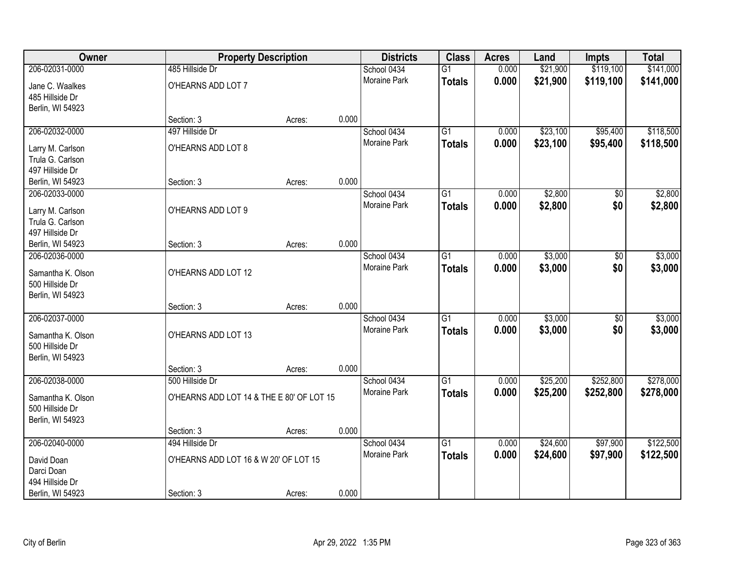| Owner                                | <b>Property Description</b>               |        |       | <b>Districts</b>    | <b>Class</b>    | <b>Acres</b> | Land     | Impts          | <b>Total</b> |
|--------------------------------------|-------------------------------------------|--------|-------|---------------------|-----------------|--------------|----------|----------------|--------------|
| 206-02031-0000                       | 485 Hillside Dr                           |        |       | School 0434         | $\overline{G1}$ | 0.000        | \$21,900 | \$119,100      | \$141,000    |
| Jane C. Waalkes                      | O'HEARNS ADD LOT 7                        |        |       | Moraine Park        | <b>Totals</b>   | 0.000        | \$21,900 | \$119,100      | \$141,000    |
| 485 Hillside Dr                      |                                           |        |       |                     |                 |              |          |                |              |
| Berlin, WI 54923                     |                                           |        |       |                     |                 |              |          |                |              |
|                                      | Section: 3                                | Acres: | 0.000 |                     |                 |              |          |                |              |
| 206-02032-0000                       | 497 Hillside Dr                           |        |       | School 0434         | $\overline{G1}$ | 0.000        | \$23,100 | \$95,400       | \$118,500    |
| Larry M. Carlson                     | O'HEARNS ADD LOT 8                        |        |       | Moraine Park        | <b>Totals</b>   | 0.000        | \$23,100 | \$95,400       | \$118,500    |
| Trula G. Carlson                     |                                           |        |       |                     |                 |              |          |                |              |
| 497 Hillside Dr                      |                                           |        |       |                     |                 |              |          |                |              |
| Berlin, WI 54923                     | Section: 3                                | Acres: | 0.000 |                     |                 |              |          |                |              |
| 206-02033-0000                       |                                           |        |       | School 0434         | G1              | 0.000        | \$2,800  | $\sqrt[6]{30}$ | \$2,800      |
| Larry M. Carlson                     | O'HEARNS ADD LOT 9                        |        |       | Moraine Park        | <b>Totals</b>   | 0.000        | \$2,800  | \$0            | \$2,800      |
| Trula G. Carlson                     |                                           |        |       |                     |                 |              |          |                |              |
| 497 Hillside Dr                      |                                           |        |       |                     |                 |              |          |                |              |
| Berlin, WI 54923                     | Section: 3                                | Acres: | 0.000 |                     |                 |              |          |                |              |
| 206-02036-0000                       |                                           |        |       | School 0434         | G1              | 0.000        | \$3,000  | \$0            | \$3,000      |
|                                      |                                           |        |       | <b>Moraine Park</b> | <b>Totals</b>   | 0.000        | \$3,000  | \$0            | \$3,000      |
| Samantha K. Olson<br>500 Hillside Dr | O'HEARNS ADD LOT 12                       |        |       |                     |                 |              |          |                |              |
| Berlin, WI 54923                     |                                           |        |       |                     |                 |              |          |                |              |
|                                      | Section: 3                                | Acres: | 0.000 |                     |                 |              |          |                |              |
| 206-02037-0000                       |                                           |        |       | School 0434         | $\overline{G1}$ | 0.000        | \$3,000  | \$0            | \$3,000      |
|                                      |                                           |        |       | Moraine Park        | <b>Totals</b>   | 0.000        | \$3,000  | \$0            | \$3,000      |
| Samantha K. Olson                    | O'HEARNS ADD LOT 13                       |        |       |                     |                 |              |          |                |              |
| 500 Hillside Dr<br>Berlin, WI 54923  |                                           |        |       |                     |                 |              |          |                |              |
|                                      | Section: 3                                | Acres: | 0.000 |                     |                 |              |          |                |              |
| 206-02038-0000                       | 500 Hillside Dr                           |        |       | School 0434         | $\overline{G1}$ | 0.000        | \$25,200 | \$252,800      | \$278,000    |
|                                      |                                           |        |       | Moraine Park        | <b>Totals</b>   | 0.000        | \$25,200 | \$252,800      | \$278,000    |
| Samantha K. Olson                    | O'HEARNS ADD LOT 14 & THE E 80' OF LOT 15 |        |       |                     |                 |              |          |                |              |
| 500 Hillside Dr                      |                                           |        |       |                     |                 |              |          |                |              |
| Berlin, WI 54923                     | Section: 3                                | Acres: | 0.000 |                     |                 |              |          |                |              |
| 206-02040-0000                       | 494 Hillside Dr                           |        |       | School 0434         | $\overline{G1}$ | 0.000        | \$24,600 | \$97,900       | \$122,500    |
|                                      |                                           |        |       | Moraine Park        | <b>Totals</b>   | 0.000        | \$24,600 | \$97,900       | \$122,500    |
| David Doan                           | O'HEARNS ADD LOT 16 & W 20' OF LOT 15     |        |       |                     |                 |              |          |                |              |
| Darci Doan                           |                                           |        |       |                     |                 |              |          |                |              |
| 494 Hillside Dr                      |                                           |        | 0.000 |                     |                 |              |          |                |              |
| Berlin, WI 54923                     | Section: 3                                | Acres: |       |                     |                 |              |          |                |              |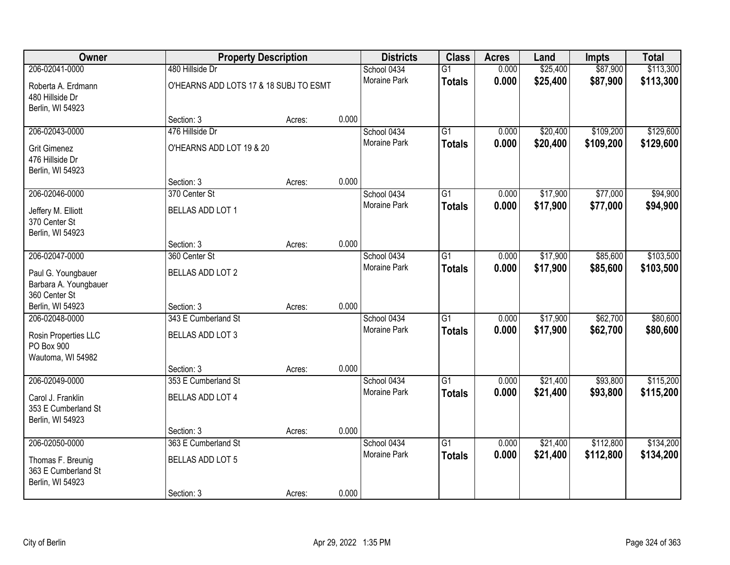| Owner                                                        | <b>Property Description</b>            |        |       | <b>Districts</b>    | <b>Class</b>    | <b>Acres</b> | Land     | Impts     | <b>Total</b> |
|--------------------------------------------------------------|----------------------------------------|--------|-------|---------------------|-----------------|--------------|----------|-----------|--------------|
| 206-02041-0000                                               | 480 Hillside Dr                        |        |       | School 0434         | $\overline{G1}$ | 0.000        | \$25,400 | \$87,900  | \$113,300    |
| Roberta A. Erdmann<br>480 Hillside Dr<br>Berlin, WI 54923    | O'HEARNS ADD LOTS 17 & 18 SUBJ TO ESMT |        |       | <b>Moraine Park</b> | <b>Totals</b>   | 0.000        | \$25,400 | \$87,900  | \$113,300    |
|                                                              | Section: 3                             | Acres: | 0.000 |                     |                 |              |          |           |              |
| 206-02043-0000                                               | 476 Hillside Dr                        |        |       | School 0434         | $\overline{G1}$ | 0.000        | \$20,400 | \$109,200 | \$129,600    |
| <b>Grit Gimenez</b><br>476 Hillside Dr<br>Berlin, WI 54923   | O'HEARNS ADD LOT 19 & 20               |        |       | Moraine Park        | <b>Totals</b>   | 0.000        | \$20,400 | \$109,200 | \$129,600    |
|                                                              | Section: 3                             | Acres: | 0.000 |                     |                 |              |          |           |              |
| 206-02046-0000                                               | 370 Center St                          |        |       | School 0434         | $\overline{G1}$ | 0.000        | \$17,900 | \$77,000  | \$94,900     |
| Jeffery M. Elliott<br>370 Center St<br>Berlin, WI 54923      | BELLAS ADD LOT 1                       |        |       | Moraine Park        | <b>Totals</b>   | 0.000        | \$17,900 | \$77,000  | \$94,900     |
|                                                              | Section: 3                             | Acres: | 0.000 |                     |                 |              |          |           |              |
| 206-02047-0000                                               | 360 Center St                          |        |       | School 0434         | $\overline{G1}$ | 0.000        | \$17,900 | \$85,600  | \$103,500    |
| Paul G. Youngbauer<br>Barbara A. Youngbauer<br>360 Center St | <b>BELLAS ADD LOT 2</b>                |        |       | Moraine Park        | <b>Totals</b>   | 0.000        | \$17,900 | \$85,600  | \$103,500    |
| Berlin, WI 54923                                             | Section: 3                             | Acres: | 0.000 |                     |                 |              |          |           |              |
| 206-02048-0000                                               | 343 E Cumberland St                    |        |       | School 0434         | $\overline{G1}$ | 0.000        | \$17,900 | \$62,700  | \$80,600     |
| Rosin Properties LLC                                         | BELLAS ADD LOT 3                       |        |       | Moraine Park        | <b>Totals</b>   | 0.000        | \$17,900 | \$62,700  | \$80,600     |
| PO Box 900                                                   |                                        |        |       |                     |                 |              |          |           |              |
| Wautoma, WI 54982                                            |                                        |        |       |                     |                 |              |          |           |              |
|                                                              | Section: 3                             | Acres: | 0.000 |                     |                 |              |          |           |              |
| 206-02049-0000                                               | 353 E Cumberland St                    |        |       | School 0434         | $\overline{G1}$ | 0.000        | \$21,400 | \$93,800  | \$115,200    |
| Carol J. Franklin<br>353 E Cumberland St<br>Berlin, WI 54923 | BELLAS ADD LOT 4                       |        |       | Moraine Park        | <b>Totals</b>   | 0.000        | \$21,400 | \$93,800  | \$115,200    |
|                                                              | Section: 3                             | Acres: | 0.000 |                     |                 |              |          |           |              |
| 206-02050-0000                                               | 363 E Cumberland St                    |        |       | School 0434         | $\overline{G1}$ | 0.000        | \$21,400 | \$112,800 | \$134,200    |
| Thomas F. Breunig<br>363 E Cumberland St<br>Berlin, WI 54923 | <b>BELLAS ADD LOT 5</b>                |        |       | Moraine Park        | <b>Totals</b>   | 0.000        | \$21,400 | \$112,800 | \$134,200    |
|                                                              | Section: 3                             | Acres: | 0.000 |                     |                 |              |          |           |              |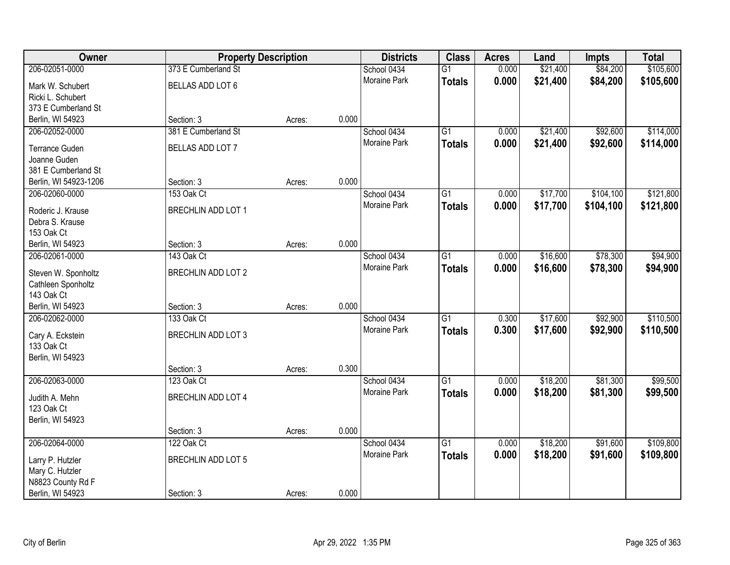| Owner                          | <b>Property Description</b> |        |       | <b>Districts</b>    | <b>Class</b>    | <b>Acres</b> | Land     | <b>Impts</b> | <b>Total</b> |
|--------------------------------|-----------------------------|--------|-------|---------------------|-----------------|--------------|----------|--------------|--------------|
| 206-02051-0000                 | 373 E Cumberland St         |        |       | School 0434         | $\overline{G1}$ | 0.000        | \$21,400 | \$84,200     | \$105,600    |
| Mark W. Schubert               | BELLAS ADD LOT 6            |        |       | Moraine Park        | <b>Totals</b>   | 0.000        | \$21,400 | \$84,200     | \$105,600    |
| Ricki L. Schubert              |                             |        |       |                     |                 |              |          |              |              |
| 373 E Cumberland St            |                             |        |       |                     |                 |              |          |              |              |
| Berlin, WI 54923               | Section: 3                  | Acres: | 0.000 |                     |                 |              |          |              |              |
| 206-02052-0000                 | 381 E Cumberland St         |        |       | School 0434         | $\overline{G1}$ | 0.000        | \$21,400 | \$92,600     | \$114,000    |
|                                |                             |        |       | Moraine Park        | <b>Totals</b>   | 0.000        | \$21,400 | \$92,600     | \$114,000    |
| <b>Terrance Guden</b>          | BELLAS ADD LOT 7            |        |       |                     |                 |              |          |              |              |
| Joanne Guden                   |                             |        |       |                     |                 |              |          |              |              |
| 381 E Cumberland St            |                             |        |       |                     |                 |              |          |              |              |
| Berlin, WI 54923-1206          | Section: 3                  | Acres: | 0.000 |                     |                 |              |          |              |              |
| 206-02060-0000                 | 153 Oak Ct                  |        |       | School 0434         | $\overline{G1}$ | 0.000        | \$17,700 | \$104,100    | \$121,800    |
| Roderic J. Krause              | <b>BRECHLIN ADD LOT 1</b>   |        |       | Moraine Park        | <b>Totals</b>   | 0.000        | \$17,700 | \$104,100    | \$121,800    |
| Debra S. Krause                |                             |        |       |                     |                 |              |          |              |              |
| 153 Oak Ct                     |                             |        |       |                     |                 |              |          |              |              |
| Berlin, WI 54923               | Section: 3                  | Acres: | 0.000 |                     |                 |              |          |              |              |
| 206-02061-0000                 | 143 Oak Ct                  |        |       | School 0434         | $\overline{G1}$ | 0.000        | \$16,600 | \$78,300     | \$94,900     |
|                                |                             |        |       | <b>Moraine Park</b> | <b>Totals</b>   | 0.000        | \$16,600 | \$78,300     | \$94,900     |
| Steven W. Sponholtz            | <b>BRECHLIN ADD LOT 2</b>   |        |       |                     |                 |              |          |              |              |
| Cathleen Sponholtz             |                             |        |       |                     |                 |              |          |              |              |
| 143 Oak Ct<br>Berlin, WI 54923 |                             |        | 0.000 |                     |                 |              |          |              |              |
|                                | Section: 3<br>133 Oak Ct    | Acres: |       |                     | $\overline{G1}$ |              |          |              |              |
| 206-02062-0000                 |                             |        |       | School 0434         |                 | 0.300        | \$17,600 | \$92,900     | \$110,500    |
| Cary A. Eckstein               | <b>BRECHLIN ADD LOT 3</b>   |        |       | Moraine Park        | <b>Totals</b>   | 0.300        | \$17,600 | \$92,900     | \$110,500    |
| 133 Oak Ct                     |                             |        |       |                     |                 |              |          |              |              |
| Berlin, WI 54923               |                             |        |       |                     |                 |              |          |              |              |
|                                | Section: 3                  | Acres: | 0.300 |                     |                 |              |          |              |              |
| 206-02063-0000                 | 123 Oak Ct                  |        |       | School 0434         | $\overline{G1}$ | 0.000        | \$18,200 | \$81,300     | \$99,500     |
| Judith A. Mehn                 | <b>BRECHLIN ADD LOT 4</b>   |        |       | Moraine Park        | <b>Totals</b>   | 0.000        | \$18,200 | \$81,300     | \$99,500     |
| 123 Oak Ct                     |                             |        |       |                     |                 |              |          |              |              |
| Berlin, WI 54923               |                             |        |       |                     |                 |              |          |              |              |
|                                | Section: 3                  | Acres: | 0.000 |                     |                 |              |          |              |              |
| 206-02064-0000                 | 122 Oak Ct                  |        |       | School 0434         | $\overline{G1}$ | 0.000        | \$18,200 | \$91,600     | \$109,800    |
|                                |                             |        |       | Moraine Park        |                 | 0.000        |          |              |              |
| Larry P. Hutzler               | <b>BRECHLIN ADD LOT 5</b>   |        |       |                     | <b>Totals</b>   |              | \$18,200 | \$91,600     | \$109,800    |
| Mary C. Hutzler                |                             |        |       |                     |                 |              |          |              |              |
| N8823 County Rd F              |                             |        |       |                     |                 |              |          |              |              |
| Berlin, WI 54923               | Section: 3                  | Acres: | 0.000 |                     |                 |              |          |              |              |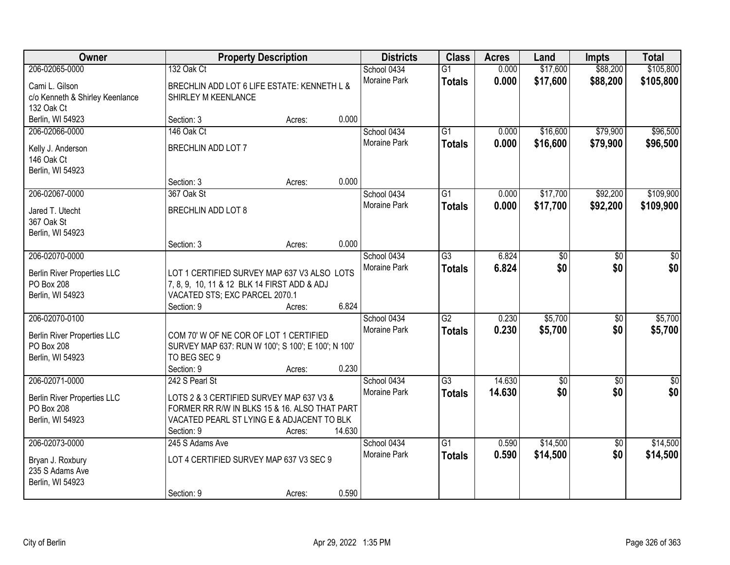| Owner                              | <b>Property Description</b>                        |        |        | <b>Districts</b>    | <b>Class</b>    | <b>Acres</b> | Land            | Impts           | <b>Total</b>    |
|------------------------------------|----------------------------------------------------|--------|--------|---------------------|-----------------|--------------|-----------------|-----------------|-----------------|
| 206-02065-0000                     | 132 Oak Ct                                         |        |        | School 0434         | $\overline{G1}$ | 0.000        | \$17,600        | \$88,200        | \$105,800       |
| Cami L. Gilson                     | BRECHLIN ADD LOT 6 LIFE ESTATE: KENNETH L &        |        |        | <b>Moraine Park</b> | <b>Totals</b>   | 0.000        | \$17,600        | \$88,200        | \$105,800       |
| c/o Kenneth & Shirley Keenlance    | SHIRLEY M KEENLANCE                                |        |        |                     |                 |              |                 |                 |                 |
| 132 Oak Ct                         |                                                    |        |        |                     |                 |              |                 |                 |                 |
| Berlin, WI 54923                   | Section: 3                                         | Acres: | 0.000  |                     |                 |              |                 |                 |                 |
| 206-02066-0000                     | 146 Oak Ct                                         |        |        | School 0434         | $\overline{G1}$ | 0.000        | \$16,600        | \$79,900        | \$96,500        |
| Kelly J. Anderson                  | BRECHLIN ADD LOT 7                                 |        |        | Moraine Park        | <b>Totals</b>   | 0.000        | \$16,600        | \$79,900        | \$96,500        |
| 146 Oak Ct                         |                                                    |        |        |                     |                 |              |                 |                 |                 |
| Berlin, WI 54923                   |                                                    |        |        |                     |                 |              |                 |                 |                 |
|                                    | Section: 3                                         | Acres: | 0.000  |                     |                 |              |                 |                 |                 |
| 206-02067-0000                     | 367 Oak St                                         |        |        | School 0434         | $\overline{G1}$ | 0.000        | \$17,700        | \$92,200        | \$109,900       |
| Jared T. Utecht                    | BRECHLIN ADD LOT 8                                 |        |        | Moraine Park        | <b>Totals</b>   | 0.000        | \$17,700        | \$92,200        | \$109,900       |
| 367 Oak St                         |                                                    |        |        |                     |                 |              |                 |                 |                 |
| Berlin, WI 54923                   |                                                    |        |        |                     |                 |              |                 |                 |                 |
|                                    | Section: 3                                         | Acres: | 0.000  |                     |                 |              |                 |                 |                 |
| 206-02070-0000                     |                                                    |        |        | School 0434         | $\overline{G3}$ | 6.824        | $\overline{50}$ | $\overline{30}$ | $\sqrt{6}$      |
| <b>Berlin River Properties LLC</b> | LOT 1 CERTIFIED SURVEY MAP 637 V3 ALSO LOTS        |        |        | Moraine Park        | <b>Totals</b>   | 6.824        | \$0             | \$0             | \$0             |
| PO Box 208                         | 7, 8, 9, 10, 11 & 12 BLK 14 FIRST ADD & ADJ        |        |        |                     |                 |              |                 |                 |                 |
| Berlin, WI 54923                   | VACATED STS; EXC PARCEL 2070.1                     |        |        |                     |                 |              |                 |                 |                 |
|                                    | Section: 9                                         | Acres: | 6.824  |                     |                 |              |                 |                 |                 |
| 206-02070-0100                     |                                                    |        |        | School 0434         | $\overline{G2}$ | 0.230        | \$5,700         | \$0             | \$5,700         |
| Berlin River Properties LLC        | COM 70' W OF NE COR OF LOT 1 CERTIFIED             |        |        | <b>Moraine Park</b> | <b>Totals</b>   | 0.230        | \$5,700         | \$0             | \$5,700         |
| PO Box 208                         | SURVEY MAP 637: RUN W 100'; S 100'; E 100'; N 100' |        |        |                     |                 |              |                 |                 |                 |
| Berlin, WI 54923                   | TO BEG SEC 9                                       |        |        |                     |                 |              |                 |                 |                 |
|                                    | Section: 9                                         | Acres: | 0.230  |                     |                 |              |                 |                 |                 |
| 206-02071-0000                     | 242 S Pearl St                                     |        |        | School 0434         | $\overline{G3}$ | 14.630       | \$0             | $\sqrt{6}$      | $\overline{50}$ |
| <b>Berlin River Properties LLC</b> | LOTS 2 & 3 CERTIFIED SURVEY MAP 637 V3 &           |        |        | Moraine Park        | <b>Totals</b>   | 14.630       | \$0             | \$0             | \$0             |
| PO Box 208                         | FORMER RR R/W IN BLKS 15 & 16. ALSO THAT PART      |        |        |                     |                 |              |                 |                 |                 |
| Berlin, WI 54923                   | VACATED PEARL ST LYING E & ADJACENT TO BLK         |        |        |                     |                 |              |                 |                 |                 |
|                                    | Section: 9                                         | Acres: | 14.630 |                     |                 |              |                 |                 |                 |
| 206-02073-0000                     | 245 S Adams Ave                                    |        |        | School 0434         | $\overline{G1}$ | 0.590        | \$14,500        | $\overline{50}$ | \$14,500        |
| Bryan J. Roxbury                   | LOT 4 CERTIFIED SURVEY MAP 637 V3 SEC 9            |        |        | Moraine Park        | <b>Totals</b>   | 0.590        | \$14,500        | \$0             | \$14,500        |
| 235 S Adams Ave                    |                                                    |        |        |                     |                 |              |                 |                 |                 |
| Berlin, WI 54923                   |                                                    |        |        |                     |                 |              |                 |                 |                 |
|                                    | Section: 9                                         | Acres: | 0.590  |                     |                 |              |                 |                 |                 |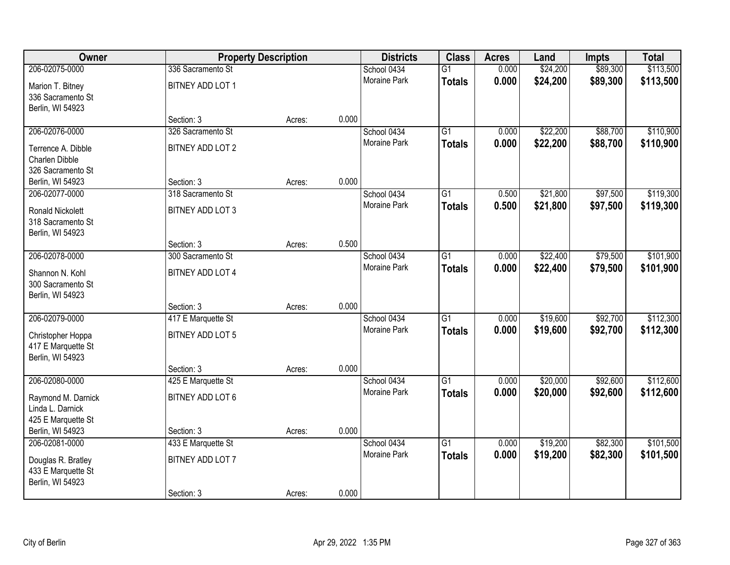| <b>Owner</b>                       |                                  | <b>Property Description</b> |       | <b>Districts</b>                   | <b>Class</b>    | <b>Acres</b>   | Land     | <b>Impts</b> | <b>Total</b> |
|------------------------------------|----------------------------------|-----------------------------|-------|------------------------------------|-----------------|----------------|----------|--------------|--------------|
| 206-02075-0000                     | 336 Sacramento St                |                             |       | School 0434                        | $\overline{G1}$ | 0.000          | \$24,200 | \$89,300     | \$113,500    |
| Marion T. Bitney                   | BITNEY ADD LOT 1                 |                             |       | Moraine Park                       | <b>Totals</b>   | 0.000          | \$24,200 | \$89,300     | \$113,500    |
| 336 Sacramento St                  |                                  |                             |       |                                    |                 |                |          |              |              |
| Berlin, WI 54923                   |                                  |                             |       |                                    |                 |                |          |              |              |
|                                    | Section: 3                       | Acres:                      | 0.000 |                                    |                 |                |          |              |              |
| 206-02076-0000                     | 326 Sacramento St                |                             |       | School 0434                        | $\overline{G1}$ | 0.000          | \$22,200 | \$88,700     | \$110,900    |
| Terrence A. Dibble                 | BITNEY ADD LOT 2                 |                             |       | <b>Moraine Park</b>                | <b>Totals</b>   | 0.000          | \$22,200 | \$88,700     | \$110,900    |
| Charlen Dibble                     |                                  |                             |       |                                    |                 |                |          |              |              |
| 326 Sacramento St                  |                                  |                             |       |                                    |                 |                |          |              |              |
| Berlin, WI 54923                   | Section: 3                       | Acres:                      | 0.000 |                                    |                 |                |          |              |              |
| 206-02077-0000                     | 318 Sacramento St                |                             |       | School 0434                        | G1              | 0.500          | \$21,800 | \$97,500     | \$119,300    |
| <b>Ronald Nickolett</b>            | BITNEY ADD LOT 3                 |                             |       | Moraine Park                       | <b>Totals</b>   | 0.500          | \$21,800 | \$97,500     | \$119,300    |
| 318 Sacramento St                  |                                  |                             |       |                                    |                 |                |          |              |              |
| Berlin, WI 54923                   |                                  |                             |       |                                    |                 |                |          |              |              |
|                                    | Section: 3                       | Acres:                      | 0.500 |                                    |                 |                |          |              |              |
| 206-02078-0000                     | 300 Sacramento St                |                             |       | School 0434                        | G1              | 0.000          | \$22,400 | \$79,500     | \$101,900    |
| Shannon N. Kohl                    | BITNEY ADD LOT 4                 |                             |       | <b>Moraine Park</b>                | <b>Totals</b>   | 0.000          | \$22,400 | \$79,500     | \$101,900    |
| 300 Sacramento St                  |                                  |                             |       |                                    |                 |                |          |              |              |
| Berlin, WI 54923                   |                                  |                             |       |                                    |                 |                |          |              |              |
|                                    | Section: 3                       | Acres:                      | 0.000 |                                    |                 |                |          |              |              |
| 206-02079-0000                     | 417 E Marquette St               |                             |       | School 0434<br><b>Moraine Park</b> | $\overline{G1}$ | 0.000          | \$19,600 | \$92,700     | \$112,300    |
| Christopher Hoppa                  | BITNEY ADD LOT 5                 |                             |       |                                    | <b>Totals</b>   | 0.000          | \$19,600 | \$92,700     | \$112,300    |
| 417 E Marquette St                 |                                  |                             |       |                                    |                 |                |          |              |              |
| Berlin, WI 54923                   |                                  |                             |       |                                    |                 |                |          |              |              |
|                                    | Section: 3                       | Acres:                      | 0.000 |                                    |                 |                |          |              |              |
| 206-02080-0000                     | 425 E Marquette St               |                             |       | School 0434<br>Moraine Park        | $\overline{G1}$ | 0.000<br>0.000 | \$20,000 | \$92,600     | \$112,600    |
| Raymond M. Darnick                 | BITNEY ADD LOT 6                 |                             |       |                                    | <b>Totals</b>   |                | \$20,000 | \$92,600     | \$112,600    |
| Linda L. Darnick                   |                                  |                             |       |                                    |                 |                |          |              |              |
| 425 E Marquette St                 |                                  |                             |       |                                    |                 |                |          |              |              |
| Berlin, WI 54923<br>206-02081-0000 | Section: 3<br>433 E Marquette St | Acres:                      | 0.000 | School 0434                        | $\overline{G1}$ | 0.000          | \$19,200 | \$82,300     | \$101,500    |
|                                    |                                  |                             |       | <b>Moraine Park</b>                | <b>Totals</b>   | 0.000          | \$19,200 | \$82,300     | \$101,500    |
| Douglas R. Bratley                 | BITNEY ADD LOT 7                 |                             |       |                                    |                 |                |          |              |              |
| 433 E Marquette St                 |                                  |                             |       |                                    |                 |                |          |              |              |
| Berlin, WI 54923                   |                                  |                             |       |                                    |                 |                |          |              |              |
|                                    | Section: 3                       | Acres:                      | 0.000 |                                    |                 |                |          |              |              |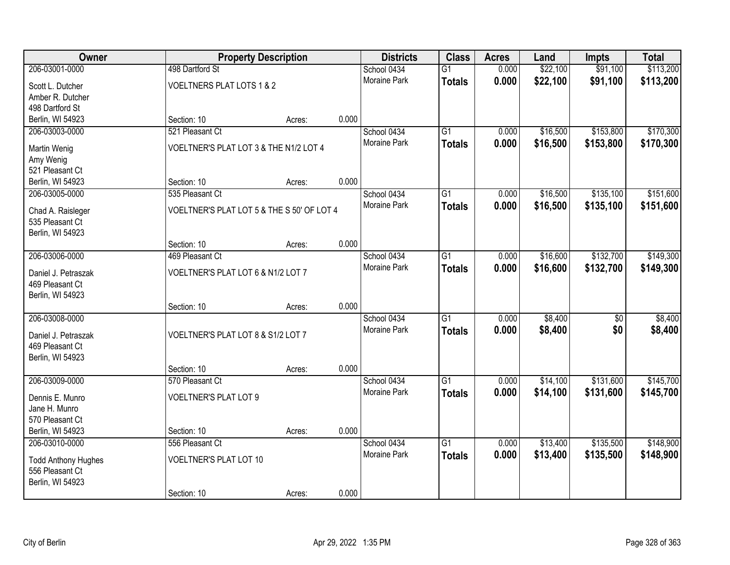| Owner                                |                                            | <b>Property Description</b> |       | <b>Districts</b>    | <b>Class</b>    | <b>Acres</b> | Land     | <b>Impts</b>    | <b>Total</b> |
|--------------------------------------|--------------------------------------------|-----------------------------|-------|---------------------|-----------------|--------------|----------|-----------------|--------------|
| 206-03001-0000                       | 498 Dartford St                            |                             |       | School 0434         | $\overline{G1}$ | 0.000        | \$22,100 | \$91,100        | \$113,200    |
| Scott L. Dutcher                     | VOELTNERS PLAT LOTS 1 & 2                  |                             |       | Moraine Park        | <b>Totals</b>   | 0.000        | \$22,100 | \$91,100        | \$113,200    |
| Amber R. Dutcher                     |                                            |                             |       |                     |                 |              |          |                 |              |
| 498 Dartford St                      |                                            |                             |       |                     |                 |              |          |                 |              |
| Berlin, WI 54923                     | Section: 10                                | Acres:                      | 0.000 |                     |                 |              |          |                 |              |
| 206-03003-0000                       | 521 Pleasant Ct                            |                             |       | School 0434         | $\overline{G1}$ | 0.000        | \$16,500 | \$153,800       | \$170,300    |
| Martin Wenig                         | VOELTNER'S PLAT LOT 3 & THE N1/2 LOT 4     |                             |       | <b>Moraine Park</b> | <b>Totals</b>   | 0.000        | \$16,500 | \$153,800       | \$170,300    |
| Amy Wenig                            |                                            |                             |       |                     |                 |              |          |                 |              |
| 521 Pleasant Ct                      |                                            |                             |       |                     |                 |              |          |                 |              |
| Berlin, WI 54923                     | Section: 10                                | Acres:                      | 0.000 |                     |                 |              |          |                 |              |
| 206-03005-0000                       | 535 Pleasant Ct                            |                             |       | School 0434         | $\overline{G1}$ | 0.000        | \$16,500 | \$135,100       | \$151,600    |
|                                      |                                            |                             |       | Moraine Park        | <b>Totals</b>   | 0.000        | \$16,500 | \$135,100       | \$151,600    |
| Chad A. Raisleger<br>535 Pleasant Ct | VOELTNER'S PLAT LOT 5 & THE S 50' OF LOT 4 |                             |       |                     |                 |              |          |                 |              |
| Berlin, WI 54923                     |                                            |                             |       |                     |                 |              |          |                 |              |
|                                      | Section: 10                                | Acres:                      | 0.000 |                     |                 |              |          |                 |              |
| 206-03006-0000                       | 469 Pleasant Ct                            |                             |       | School 0434         | $\overline{G1}$ | 0.000        | \$16,600 | \$132,700       | \$149,300    |
|                                      |                                            |                             |       | <b>Moraine Park</b> | <b>Totals</b>   | 0.000        | \$16,600 | \$132,700       | \$149,300    |
| Daniel J. Petraszak                  | VOELTNER'S PLAT LOT 6 & N1/2 LOT 7         |                             |       |                     |                 |              |          |                 |              |
| 469 Pleasant Ct<br>Berlin, WI 54923  |                                            |                             |       |                     |                 |              |          |                 |              |
|                                      | Section: 10                                | Acres:                      | 0.000 |                     |                 |              |          |                 |              |
| 206-03008-0000                       |                                            |                             |       | School 0434         | $\overline{G1}$ | 0.000        | \$8,400  | $\overline{50}$ | \$8,400      |
|                                      |                                            |                             |       | Moraine Park        | <b>Totals</b>   | 0.000        | \$8,400  | \$0             | \$8,400      |
| Daniel J. Petraszak                  | VOELTNER'S PLAT LOT 8 & S1/2 LOT 7         |                             |       |                     |                 |              |          |                 |              |
| 469 Pleasant Ct                      |                                            |                             |       |                     |                 |              |          |                 |              |
| Berlin, WI 54923                     | Section: 10                                |                             | 0.000 |                     |                 |              |          |                 |              |
| 206-03009-0000                       | 570 Pleasant Ct                            | Acres:                      |       | School 0434         | $\overline{G1}$ | 0.000        | \$14,100 | \$131,600       | \$145,700    |
|                                      |                                            |                             |       | Moraine Park        | <b>Totals</b>   | 0.000        | \$14,100 | \$131,600       | \$145,700    |
| Dennis E. Munro                      | <b>VOELTNER'S PLAT LOT 9</b>               |                             |       |                     |                 |              |          |                 |              |
| Jane H. Munro                        |                                            |                             |       |                     |                 |              |          |                 |              |
| 570 Pleasant Ct                      |                                            |                             |       |                     |                 |              |          |                 |              |
| Berlin, WI 54923                     | Section: 10                                | Acres:                      | 0.000 |                     |                 |              |          |                 |              |
| 206-03010-0000                       | 556 Pleasant Ct                            |                             |       | School 0434         | $\overline{G1}$ | 0.000        | \$13,400 | \$135,500       | \$148,900    |
| <b>Todd Anthony Hughes</b>           | <b>VOELTNER'S PLAT LOT 10</b>              |                             |       | Moraine Park        | <b>Totals</b>   | 0.000        | \$13,400 | \$135,500       | \$148,900    |
| 556 Pleasant Ct                      |                                            |                             |       |                     |                 |              |          |                 |              |
| Berlin, WI 54923                     |                                            |                             |       |                     |                 |              |          |                 |              |
|                                      | Section: 10                                | Acres:                      | 0.000 |                     |                 |              |          |                 |              |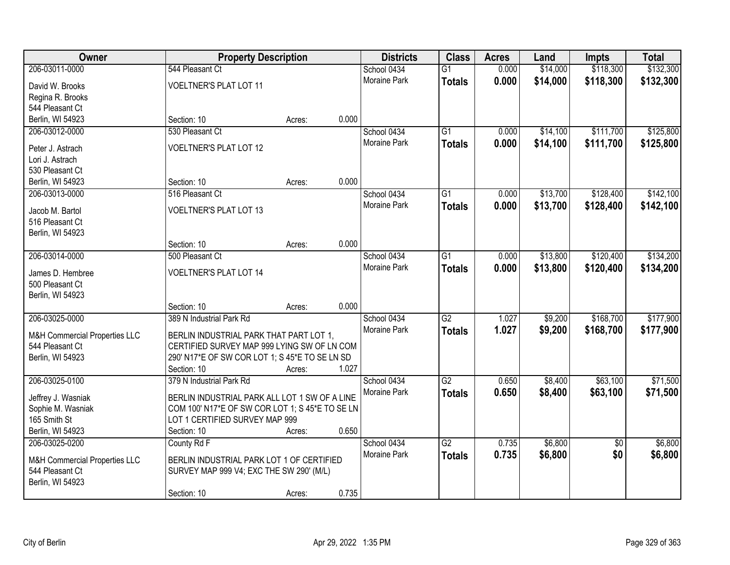| Owner                               |                                                 | <b>Property Description</b> |       | <b>Districts</b> | <b>Class</b>    | <b>Acres</b> | Land     | <b>Impts</b>    | <b>Total</b> |
|-------------------------------------|-------------------------------------------------|-----------------------------|-------|------------------|-----------------|--------------|----------|-----------------|--------------|
| 206-03011-0000                      | 544 Pleasant Ct                                 |                             |       | School 0434      | $\overline{G1}$ | 0.000        | \$14,000 | \$118,300       | \$132,300    |
| David W. Brooks                     | <b>VOELTNER'S PLAT LOT 11</b>                   |                             |       | Moraine Park     | <b>Totals</b>   | 0.000        | \$14,000 | \$118,300       | \$132,300    |
| Regina R. Brooks                    |                                                 |                             |       |                  |                 |              |          |                 |              |
| 544 Pleasant Ct                     |                                                 |                             |       |                  |                 |              |          |                 |              |
| Berlin, WI 54923                    | Section: 10                                     | Acres:                      | 0.000 |                  |                 |              |          |                 |              |
| 206-03012-0000                      | 530 Pleasant Ct                                 |                             |       | School 0434      | $\overline{G1}$ | 0.000        | \$14,100 | \$111,700       | \$125,800    |
| Peter J. Astrach                    | <b>VOELTNER'S PLAT LOT 12</b>                   |                             |       | Moraine Park     | <b>Totals</b>   | 0.000        | \$14,100 | \$111,700       | \$125,800    |
| Lori J. Astrach                     |                                                 |                             |       |                  |                 |              |          |                 |              |
| 530 Pleasant Ct                     |                                                 |                             |       |                  |                 |              |          |                 |              |
| Berlin, WI 54923                    | Section: 10                                     | Acres:                      | 0.000 |                  |                 |              |          |                 |              |
| 206-03013-0000                      | 516 Pleasant Ct                                 |                             |       | School 0434      | G1              | 0.000        | \$13,700 | \$128,400       | \$142,100    |
|                                     |                                                 |                             |       | Moraine Park     | <b>Totals</b>   | 0.000        | \$13,700 | \$128,400       | \$142,100    |
| Jacob M. Bartol                     | <b>VOELTNER'S PLAT LOT 13</b>                   |                             |       |                  |                 |              |          |                 |              |
| 516 Pleasant Ct<br>Berlin, WI 54923 |                                                 |                             |       |                  |                 |              |          |                 |              |
|                                     | Section: 10                                     | Acres:                      | 0.000 |                  |                 |              |          |                 |              |
| 206-03014-0000                      | 500 Pleasant Ct                                 |                             |       | School 0434      | G1              | 0.000        | \$13,800 | \$120,400       | \$134,200    |
|                                     |                                                 |                             |       | Moraine Park     | <b>Totals</b>   | 0.000        | \$13,800 | \$120,400       | \$134,200    |
| James D. Hembree                    | <b>VOELTNER'S PLAT LOT 14</b>                   |                             |       |                  |                 |              |          |                 |              |
| 500 Pleasant Ct                     |                                                 |                             |       |                  |                 |              |          |                 |              |
| Berlin, WI 54923                    |                                                 |                             |       |                  |                 |              |          |                 |              |
|                                     | Section: 10                                     | Acres:                      | 0.000 |                  |                 |              |          |                 |              |
| 206-03025-0000                      | 389 N Industrial Park Rd                        |                             |       | School 0434      | $\overline{G2}$ | 1.027        | \$9,200  | \$168,700       | \$177,900    |
| M&H Commercial Properties LLC       | BERLIN INDUSTRIAL PARK THAT PART LOT 1,         |                             |       | Moraine Park     | <b>Totals</b>   | 1.027        | \$9,200  | \$168,700       | \$177,900    |
| 544 Pleasant Ct                     | CERTIFIED SURVEY MAP 999 LYING SW OF LN COM     |                             |       |                  |                 |              |          |                 |              |
| Berlin, WI 54923                    | 290' N17*E OF SW COR LOT 1; S 45*E TO SE LN SD  |                             |       |                  |                 |              |          |                 |              |
|                                     | Section: 10                                     | Acres:                      | 1.027 |                  |                 |              |          |                 |              |
| 206-03025-0100                      | 379 N Industrial Park Rd                        |                             |       | School 0434      | $\overline{G2}$ | 0.650        | \$8,400  | \$63,100        | \$71,500     |
| Jeffrey J. Wasniak                  | BERLIN INDUSTRIAL PARK ALL LOT 1 SW OF A LINE   |                             |       | Moraine Park     | <b>Totals</b>   | 0.650        | \$8,400  | \$63,100        | \$71,500     |
| Sophie M. Wasniak                   | COM 100' N17*E OF SW COR LOT 1; S 45*E TO SE LN |                             |       |                  |                 |              |          |                 |              |
| 165 Smith St                        | LOT 1 CERTIFIED SURVEY MAP 999                  |                             |       |                  |                 |              |          |                 |              |
| Berlin, WI 54923                    | Section: 10                                     | Acres:                      | 0.650 |                  |                 |              |          |                 |              |
| 206-03025-0200                      | County Rd F                                     |                             |       | School 0434      | $\overline{G2}$ | 0.735        | \$6,800  | $\overline{50}$ | \$6,800      |
| M&H Commercial Properties LLC       | BERLIN INDUSTRIAL PARK LOT 1 OF CERTIFIED       |                             |       | Moraine Park     | <b>Totals</b>   | 0.735        | \$6,800  | \$0             | \$6,800      |
| 544 Pleasant Ct                     | SURVEY MAP 999 V4; EXC THE SW 290' (M/L)        |                             |       |                  |                 |              |          |                 |              |
| Berlin, WI 54923                    |                                                 |                             |       |                  |                 |              |          |                 |              |
|                                     | Section: 10                                     | Acres:                      | 0.735 |                  |                 |              |          |                 |              |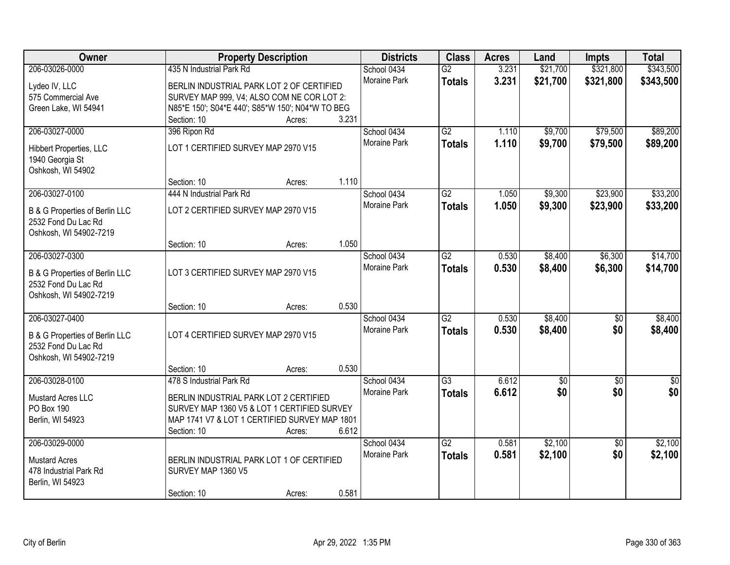| Owner                          |                                                  | <b>Property Description</b> |       | <b>Districts</b>            | <b>Class</b>    | <b>Acres</b> | Land     | <b>Impts</b>    | <b>Total</b>  |
|--------------------------------|--------------------------------------------------|-----------------------------|-------|-----------------------------|-----------------|--------------|----------|-----------------|---------------|
| 206-03026-0000                 | 435 N Industrial Park Rd                         |                             |       | School 0434                 | $\overline{G2}$ | 3.231        | \$21,700 | \$321,800       | \$343,500     |
| Lydeo IV, LLC                  | BERLIN INDUSTRIAL PARK LOT 2 OF CERTIFIED        |                             |       | Moraine Park                | <b>Totals</b>   | 3.231        | \$21,700 | \$321,800       | \$343,500     |
| 575 Commercial Ave             | SURVEY MAP 999, V4; ALSO COM NE COR LOT 2:       |                             |       |                             |                 |              |          |                 |               |
| Green Lake, WI 54941           | N85*E 150'; S04*E 440'; S85*W 150'; N04*W TO BEG |                             |       |                             |                 |              |          |                 |               |
|                                | Section: 10                                      | Acres:                      | 3.231 |                             |                 |              |          |                 |               |
| 206-03027-0000                 | 396 Ripon Rd                                     |                             |       | School 0434                 | G2              | 1.110        | \$9,700  | \$79,500        | \$89,200      |
| Hibbert Properties, LLC        | LOT 1 CERTIFIED SURVEY MAP 2970 V15              |                             |       | <b>Moraine Park</b>         | <b>Totals</b>   | 1.110        | \$9,700  | \$79,500        | \$89,200      |
| 1940 Georgia St                |                                                  |                             |       |                             |                 |              |          |                 |               |
| Oshkosh, WI 54902              |                                                  |                             |       |                             |                 |              |          |                 |               |
|                                | Section: 10                                      | Acres:                      | 1.110 |                             |                 |              |          |                 |               |
| 206-03027-0100                 | 444 N Industrial Park Rd                         |                             |       | School 0434                 | $\overline{G2}$ | 1.050        | \$9,300  | \$23,900        | \$33,200      |
|                                |                                                  |                             |       | Moraine Park                | <b>Totals</b>   | 1.050        | \$9,300  | \$23,900        | \$33,200      |
| B & G Properties of Berlin LLC | LOT 2 CERTIFIED SURVEY MAP 2970 V15              |                             |       |                             |                 |              |          |                 |               |
| 2532 Fond Du Lac Rd            |                                                  |                             |       |                             |                 |              |          |                 |               |
| Oshkosh, WI 54902-7219         |                                                  |                             | 1.050 |                             |                 |              |          |                 |               |
| 206-03027-0300                 | Section: 10                                      | Acres:                      |       |                             | $\overline{G2}$ | 0.530        | \$8,400  |                 | \$14,700      |
|                                |                                                  |                             |       | School 0434<br>Moraine Park |                 |              |          | \$6,300         |               |
| B & G Properties of Berlin LLC | LOT 3 CERTIFIED SURVEY MAP 2970 V15              |                             |       |                             | <b>Totals</b>   | 0.530        | \$8,400  | \$6,300         | \$14,700      |
| 2532 Fond Du Lac Rd            |                                                  |                             |       |                             |                 |              |          |                 |               |
| Oshkosh, WI 54902-7219         |                                                  |                             |       |                             |                 |              |          |                 |               |
|                                | Section: 10                                      | Acres:                      | 0.530 |                             |                 |              |          |                 |               |
| 206-03027-0400                 |                                                  |                             |       | School 0434                 | $\overline{G2}$ | 0.530        | \$8,400  | $\overline{50}$ | \$8,400       |
| B & G Properties of Berlin LLC | LOT 4 CERTIFIED SURVEY MAP 2970 V15              |                             |       | Moraine Park                | <b>Totals</b>   | 0.530        | \$8,400  | \$0             | \$8,400       |
| 2532 Fond Du Lac Rd            |                                                  |                             |       |                             |                 |              |          |                 |               |
| Oshkosh, WI 54902-7219         |                                                  |                             |       |                             |                 |              |          |                 |               |
|                                | Section: 10                                      | Acres:                      | 0.530 |                             |                 |              |          |                 |               |
| 206-03028-0100                 | 478 S Industrial Park Rd                         |                             |       | School 0434                 | $\overline{G3}$ | 6.612        | \$0      | $\sqrt{6}$      | $\frac{1}{6}$ |
| <b>Mustard Acres LLC</b>       | BERLIN INDUSTRIAL PARK LOT 2 CERTIFIED           |                             |       | Moraine Park                | <b>Totals</b>   | 6.612        | \$0      | \$0             | \$0           |
| PO Box 190                     | SURVEY MAP 1360 V5 & LOT 1 CERTIFIED SURVEY      |                             |       |                             |                 |              |          |                 |               |
| Berlin, WI 54923               | MAP 1741 V7 & LOT 1 CERTIFIED SURVEY MAP 1801    |                             |       |                             |                 |              |          |                 |               |
|                                | Section: 10                                      | Acres:                      | 6.612 |                             |                 |              |          |                 |               |
| 206-03029-0000                 |                                                  |                             |       | School 0434                 | $\overline{G2}$ | 0.581        | \$2,100  | $\overline{50}$ | \$2,100       |
|                                |                                                  |                             |       | Moraine Park                | <b>Totals</b>   | 0.581        | \$2,100  | \$0             | \$2,100       |
| <b>Mustard Acres</b>           | BERLIN INDUSTRIAL PARK LOT 1 OF CERTIFIED        |                             |       |                             |                 |              |          |                 |               |
| 478 Industrial Park Rd         | SURVEY MAP 1360 V5                               |                             |       |                             |                 |              |          |                 |               |
| Berlin, WI 54923               | Section: 10                                      |                             | 0.581 |                             |                 |              |          |                 |               |
|                                |                                                  | Acres:                      |       |                             |                 |              |          |                 |               |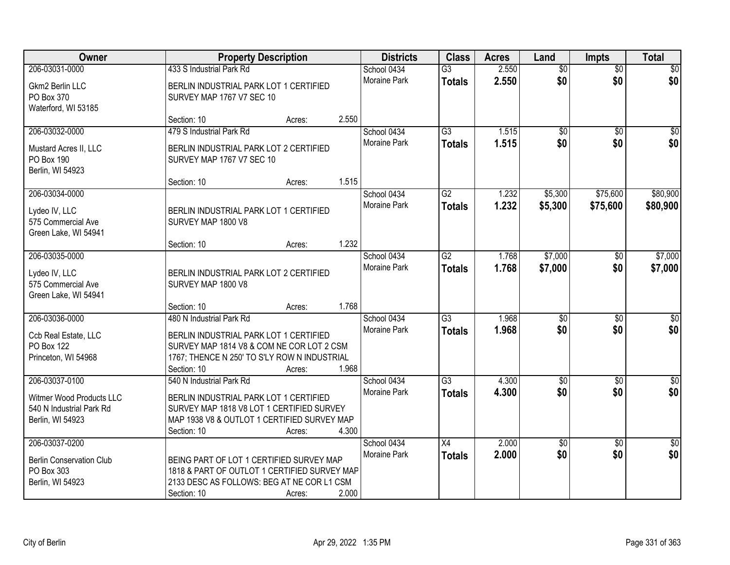| <b>Owner</b>                                                             |                                                                                                                                                       | <b>Property Description</b> |       | <b>Districts</b>    | <b>Class</b>    | <b>Acres</b> | Land            | <b>Impts</b>    | <b>Total</b>    |
|--------------------------------------------------------------------------|-------------------------------------------------------------------------------------------------------------------------------------------------------|-----------------------------|-------|---------------------|-----------------|--------------|-----------------|-----------------|-----------------|
| 206-03031-0000                                                           | 433 S Industrial Park Rd                                                                                                                              |                             |       | School 0434         | $\overline{G3}$ | 2.550        | $\overline{60}$ | $\overline{50}$ | \$0             |
| Gkm2 Berlin LLC<br>PO Box 370<br>Waterford, WI 53185                     | BERLIN INDUSTRIAL PARK LOT 1 CERTIFIED<br>SURVEY MAP 1767 V7 SEC 10                                                                                   |                             |       | Moraine Park        | <b>Totals</b>   | 2.550        | \$0             | \$0             | \$0             |
|                                                                          | Section: 10                                                                                                                                           | Acres:                      | 2.550 |                     |                 |              |                 |                 |                 |
| 206-03032-0000                                                           | 479 S Industrial Park Rd                                                                                                                              |                             |       | School 0434         | $\overline{G3}$ | 1.515        | \$0             | $\overline{50}$ | \$0             |
| Mustard Acres II, LLC<br><b>PO Box 190</b><br>Berlin, WI 54923           | BERLIN INDUSTRIAL PARK LOT 2 CERTIFIED<br>SURVEY MAP 1767 V7 SEC 10                                                                                   |                             |       | Moraine Park        | <b>Totals</b>   | 1.515        | \$0             | \$0             | \$0             |
|                                                                          | Section: 10                                                                                                                                           | Acres:                      | 1.515 |                     |                 |              |                 |                 |                 |
| 206-03034-0000                                                           |                                                                                                                                                       |                             |       | School 0434         | $\overline{G2}$ | 1.232        | \$5,300         | \$75,600        | \$80,900        |
| Lydeo IV, LLC<br>575 Commercial Ave<br>Green Lake, WI 54941              | BERLIN INDUSTRIAL PARK LOT 1 CERTIFIED<br>SURVEY MAP 1800 V8                                                                                          |                             |       | Moraine Park        | <b>Totals</b>   | 1.232        | \$5,300         | \$75,600        | \$80,900        |
|                                                                          | Section: 10                                                                                                                                           | Acres:                      | 1.232 |                     |                 |              |                 |                 |                 |
| 206-03035-0000                                                           |                                                                                                                                                       |                             |       | School 0434         | $\overline{G2}$ | 1.768        | \$7,000         | $\sqrt[6]{}$    | \$7,000         |
| Lydeo IV, LLC<br>575 Commercial Ave<br>Green Lake, WI 54941              | BERLIN INDUSTRIAL PARK LOT 2 CERTIFIED<br>SURVEY MAP 1800 V8                                                                                          |                             |       | <b>Moraine Park</b> | <b>Totals</b>   | 1.768        | \$7,000         | \$0             | \$7,000         |
|                                                                          | Section: 10                                                                                                                                           | Acres:                      | 1.768 |                     |                 |              |                 |                 |                 |
| 206-03036-0000                                                           | 480 N Industrial Park Rd                                                                                                                              |                             |       | School 0434         | $\overline{G3}$ | 1.968        | $\overline{50}$ | $\overline{50}$ | $\overline{50}$ |
| Ccb Real Estate, LLC                                                     | BERLIN INDUSTRIAL PARK LOT 1 CERTIFIED                                                                                                                |                             |       | Moraine Park        | <b>Totals</b>   | 1.968        | \$0             | \$0             | \$0             |
| PO Box 122                                                               | SURVEY MAP 1814 V8 & COM NE COR LOT 2 CSM                                                                                                             |                             |       |                     |                 |              |                 |                 |                 |
| Princeton, WI 54968                                                      | 1767; THENCE N 250' TO S'LY ROW N INDUSTRIAL                                                                                                          |                             |       |                     |                 |              |                 |                 |                 |
|                                                                          | Section: 10                                                                                                                                           | Acres:                      | 1.968 |                     |                 |              |                 |                 |                 |
| 206-03037-0100                                                           | 540 N Industrial Park Rd                                                                                                                              |                             |       | School 0434         | $\overline{G3}$ | 4.300        | $\overline{60}$ | $\overline{50}$ | $\sqrt{30}$     |
| Witmer Wood Products LLC<br>540 N Industrial Park Rd<br>Berlin, WI 54923 | BERLIN INDUSTRIAL PARK LOT 1 CERTIFIED<br>SURVEY MAP 1818 V8 LOT 1 CERTIFIED SURVEY<br>MAP 1938 V8 & OUTLOT 1 CERTIFIED SURVEY MAP<br>Section: 10     | Acres:                      | 4.300 | Moraine Park        | <b>Totals</b>   | 4.300        | \$0             | \$0             | \$0             |
| 206-03037-0200                                                           |                                                                                                                                                       |                             |       | School 0434         | $\overline{X4}$ | 2.000        | \$0             | $\overline{30}$ | $\overline{50}$ |
| <b>Berlin Conservation Club</b><br>PO Box 303<br>Berlin, WI 54923        | BEING PART OF LOT 1 CERTIFIED SURVEY MAP<br>1818 & PART OF OUTLOT 1 CERTIFIED SURVEY MAP<br>2133 DESC AS FOLLOWS: BEG AT NE COR L1 CSM<br>Section: 10 | Acres:                      | 2.000 | Moraine Park        | <b>Totals</b>   | 2.000        | \$0             | \$0             | \$0             |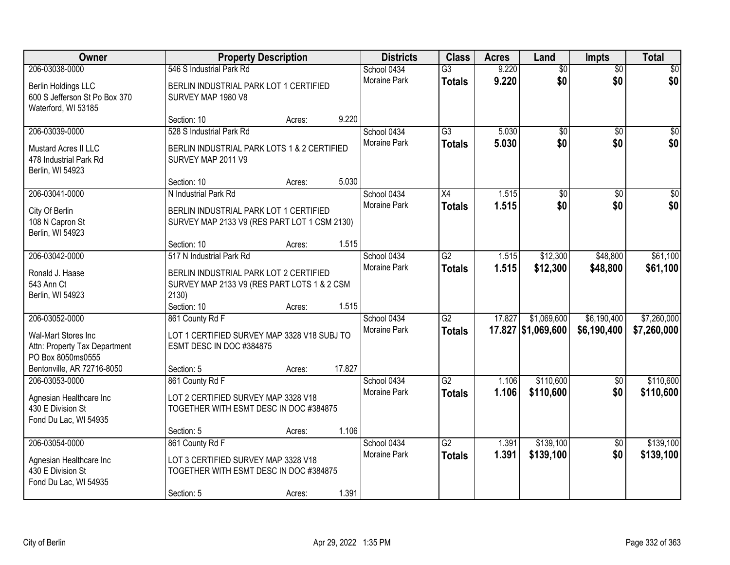| Owner                                                                                       |                                                                                                | <b>Property Description</b> |        | <b>Districts</b>                   | <b>Class</b>                     | <b>Acres</b> | Land                              | Impts                      | <b>Total</b>               |
|---------------------------------------------------------------------------------------------|------------------------------------------------------------------------------------------------|-----------------------------|--------|------------------------------------|----------------------------------|--------------|-----------------------------------|----------------------------|----------------------------|
| 206-03038-0000                                                                              | 546 S Industrial Park Rd                                                                       |                             |        | School 0434                        | $\overline{G3}$                  | 9.220        | $\overline{60}$                   | $\overline{50}$            | \$0                        |
| Berlin Holdings LLC<br>600 S Jefferson St Po Box 370<br>Waterford, WI 53185                 | BERLIN INDUSTRIAL PARK LOT 1 CERTIFIED<br>SURVEY MAP 1980 V8                                   |                             |        | Moraine Park                       | <b>Totals</b>                    | 9.220        | \$0                               | \$0                        | \$0                        |
|                                                                                             | Section: 10                                                                                    | Acres:                      | 9.220  |                                    |                                  |              |                                   |                            |                            |
| 206-03039-0000                                                                              | 528 S Industrial Park Rd                                                                       |                             |        | School 0434                        | $\overline{G3}$                  | 5.030        | \$0                               | $\overline{50}$            | \$0                        |
| Mustard Acres II LLC<br>478 Industrial Park Rd<br>Berlin, WI 54923                          | BERLIN INDUSTRIAL PARK LOTS 1 & 2 CERTIFIED<br>SURVEY MAP 2011 V9                              |                             |        | <b>Moraine Park</b>                | <b>Totals</b>                    | 5.030        | \$0                               | \$0                        | \$0                        |
|                                                                                             | Section: 10                                                                                    | Acres:                      | 5.030  |                                    |                                  |              |                                   |                            |                            |
| 206-03041-0000                                                                              | N Industrial Park Rd                                                                           |                             |        | School 0434                        | $\overline{X4}$                  | 1.515        | \$0                               | $\overline{50}$            | $\sqrt{50}$                |
| City Of Berlin<br>108 N Capron St<br>Berlin, WI 54923                                       | BERLIN INDUSTRIAL PARK LOT 1 CERTIFIED<br>SURVEY MAP 2133 V9 (RES PART LOT 1 CSM 2130)         |                             |        | Moraine Park                       | <b>Totals</b>                    | 1.515        | \$0                               | \$0                        | \$0                        |
|                                                                                             | Section: 10                                                                                    | Acres:                      | 1.515  |                                    |                                  |              |                                   |                            |                            |
| 206-03042-0000                                                                              | 517 N Industrial Park Rd                                                                       |                             |        | School 0434                        | $\overline{G2}$                  | 1.515        | \$12,300                          | \$48,800                   | \$61,100                   |
| Ronald J. Haase<br>543 Ann Ct<br>Berlin, WI 54923                                           | BERLIN INDUSTRIAL PARK LOT 2 CERTIFIED<br>SURVEY MAP 2133 V9 (RES PART LOTS 1 & 2 CSM<br>2130) |                             |        | <b>Moraine Park</b>                | <b>Totals</b>                    | 1.515        | \$12,300                          | \$48,800                   | \$61,100                   |
|                                                                                             | Section: 10                                                                                    | Acres:                      | 1.515  |                                    |                                  |              |                                   |                            |                            |
| 206-03052-0000<br>Wal-Mart Stores Inc<br>Attn: Property Tax Department<br>PO Box 8050ms0555 | 861 County Rd F<br>LOT 1 CERTIFIED SURVEY MAP 3328 V18 SUBJ TO<br>ESMT DESC IN DOC #384875     |                             |        | School 0434<br><b>Moraine Park</b> | $\overline{G2}$<br><b>Totals</b> | 17.827       | \$1,069,600<br>17.827 \$1,069,600 | \$6,190,400<br>\$6,190,400 | \$7,260,000<br>\$7,260,000 |
| Bentonville, AR 72716-8050                                                                  | Section: 5                                                                                     | Acres:                      | 17.827 |                                    |                                  |              |                                   |                            |                            |
| 206-03053-0000                                                                              | 861 County Rd F                                                                                |                             |        | School 0434                        | $\overline{G2}$                  | 1.106        | \$110,600                         | $\sqrt{6}$                 | \$110,600                  |
| Agnesian Healthcare Inc<br>430 E Division St<br>Fond Du Lac, WI 54935                       | LOT 2 CERTIFIED SURVEY MAP 3328 V18<br>TOGETHER WITH ESMT DESC IN DOC #384875                  |                             |        | Moraine Park                       | <b>Totals</b>                    | 1.106        | \$110,600                         | \$0                        | \$110,600                  |
|                                                                                             | Section: 5                                                                                     | Acres:                      | 1.106  |                                    |                                  |              |                                   |                            |                            |
| 206-03054-0000                                                                              | 861 County Rd F                                                                                |                             |        | School 0434                        | $\overline{G2}$                  | 1.391        | \$139,100                         | $\overline{50}$            | \$139,100                  |
| Agnesian Healthcare Inc<br>430 E Division St<br>Fond Du Lac, WI 54935                       | LOT 3 CERTIFIED SURVEY MAP 3328 V18<br>TOGETHER WITH ESMT DESC IN DOC #384875                  |                             |        | <b>Moraine Park</b>                | <b>Totals</b>                    | 1.391        | \$139,100                         | \$0                        | \$139,100                  |
|                                                                                             | Section: 5                                                                                     | Acres:                      | 1.391  |                                    |                                  |              |                                   |                            |                            |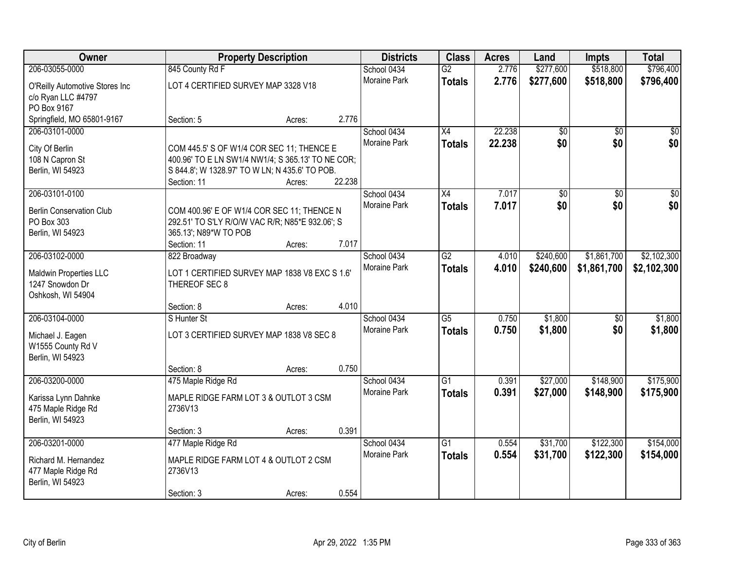| Owner                                                |                                                   | <b>Property Description</b> |        | <b>Districts</b>    | <b>Class</b>    | <b>Acres</b> | Land            | <b>Impts</b>    | <b>Total</b>    |
|------------------------------------------------------|---------------------------------------------------|-----------------------------|--------|---------------------|-----------------|--------------|-----------------|-----------------|-----------------|
| 206-03055-0000                                       | 845 County Rd F                                   |                             |        | School 0434         | $\overline{G2}$ | 2.776        | \$277,600       | \$518,800       | \$796,400       |
| O'Reilly Automotive Stores Inc<br>c/o Ryan LLC #4797 | LOT 4 CERTIFIED SURVEY MAP 3328 V18               |                             |        | Moraine Park        | <b>Totals</b>   | 2.776        | \$277,600       | \$518,800       | \$796,400       |
| PO Box 9167                                          |                                                   |                             |        |                     |                 |              |                 |                 |                 |
| Springfield, MO 65801-9167                           | Section: 5                                        | Acres:                      | 2.776  |                     |                 |              |                 |                 |                 |
| 206-03101-0000                                       |                                                   |                             |        | School 0434         | $\overline{X4}$ | 22.238       | $\overline{50}$ | $\overline{50}$ | $\sqrt{50}$     |
| City Of Berlin                                       | COM 445.5' S OF W1/4 COR SEC 11; THENCE E         |                             |        | <b>Moraine Park</b> | <b>Totals</b>   | 22.238       | \$0             | \$0             | \$0             |
| 108 N Capron St                                      | 400.96' TO E LN SW1/4 NW1/4; S 365.13' TO NE COR; |                             |        |                     |                 |              |                 |                 |                 |
| Berlin, WI 54923                                     | S 844.8'; W 1328.97' TO W LN; N 435.6' TO POB.    |                             |        |                     |                 |              |                 |                 |                 |
|                                                      | Section: 11                                       | Acres:                      | 22.238 |                     |                 |              |                 |                 |                 |
| 206-03101-0100                                       |                                                   |                             |        | School 0434         | X4              | 7.017        | \$0             | \$0             | $\overline{30}$ |
| <b>Berlin Conservation Club</b>                      | COM 400.96' E OF W1/4 COR SEC 11; THENCE N        |                             |        | Moraine Park        | <b>Totals</b>   | 7.017        | \$0             | \$0             | \$0             |
| PO Box 303                                           | 292.51' TO S'LY R/O/W VAC R/R; N85*E 932.06'; S   |                             |        |                     |                 |              |                 |                 |                 |
| Berlin, WI 54923                                     | 365.13'; N89*W TO POB                             |                             |        |                     |                 |              |                 |                 |                 |
|                                                      | Section: 11                                       | Acres:                      | 7.017  |                     |                 |              |                 |                 |                 |
| 206-03102-0000                                       | 822 Broadway                                      |                             |        | School 0434         | $\overline{G2}$ | 4.010        | \$240,600       | \$1,861,700     | \$2,102,300     |
|                                                      | LOT 1 CERTIFIED SURVEY MAP 1838 V8 EXC S 1.6'     |                             |        | <b>Moraine Park</b> | <b>Totals</b>   | 4.010        | \$240,600       | \$1,861,700     | \$2,102,300     |
| Maldwin Properties LLC<br>1247 Snowdon Dr            | THEREOF SEC 8                                     |                             |        |                     |                 |              |                 |                 |                 |
| Oshkosh, WI 54904                                    |                                                   |                             |        |                     |                 |              |                 |                 |                 |
|                                                      | Section: 8                                        | Acres:                      | 4.010  |                     |                 |              |                 |                 |                 |
| 206-03104-0000                                       | S Hunter St                                       |                             |        | School 0434         | $\overline{G5}$ | 0.750        | \$1,800         | \$0             | \$1,800         |
|                                                      | LOT 3 CERTIFIED SURVEY MAP 1838 V8 SEC 8          |                             |        | <b>Moraine Park</b> | <b>Totals</b>   | 0.750        | \$1,800         | \$0             | \$1,800         |
| Michael J. Eagen<br>W1555 County Rd V                |                                                   |                             |        |                     |                 |              |                 |                 |                 |
| Berlin, WI 54923                                     |                                                   |                             |        |                     |                 |              |                 |                 |                 |
|                                                      | Section: 8                                        | Acres:                      | 0.750  |                     |                 |              |                 |                 |                 |
| 206-03200-0000                                       | 475 Maple Ridge Rd                                |                             |        | School 0434         | $\overline{G1}$ | 0.391        | \$27,000        | \$148,900       | \$175,900       |
|                                                      | MAPLE RIDGE FARM LOT 3 & OUTLOT 3 CSM             |                             |        | Moraine Park        | <b>Totals</b>   | 0.391        | \$27,000        | \$148,900       | \$175,900       |
| Karissa Lynn Dahnke<br>475 Maple Ridge Rd            | 2736V13                                           |                             |        |                     |                 |              |                 |                 |                 |
| Berlin, WI 54923                                     |                                                   |                             |        |                     |                 |              |                 |                 |                 |
|                                                      | Section: 3                                        | Acres:                      | 0.391  |                     |                 |              |                 |                 |                 |
| 206-03201-0000                                       | 477 Maple Ridge Rd                                |                             |        | School 0434         | $\overline{G1}$ | 0.554        | \$31,700        | \$122,300       | \$154,000       |
|                                                      |                                                   |                             |        | <b>Moraine Park</b> | <b>Totals</b>   | 0.554        | \$31,700        | \$122,300       | \$154,000       |
| Richard M. Hernandez<br>477 Maple Ridge Rd           | MAPLE RIDGE FARM LOT 4 & OUTLOT 2 CSM<br>2736V13  |                             |        |                     |                 |              |                 |                 |                 |
| Berlin, WI 54923                                     |                                                   |                             |        |                     |                 |              |                 |                 |                 |
|                                                      | Section: 3                                        | Acres:                      | 0.554  |                     |                 |              |                 |                 |                 |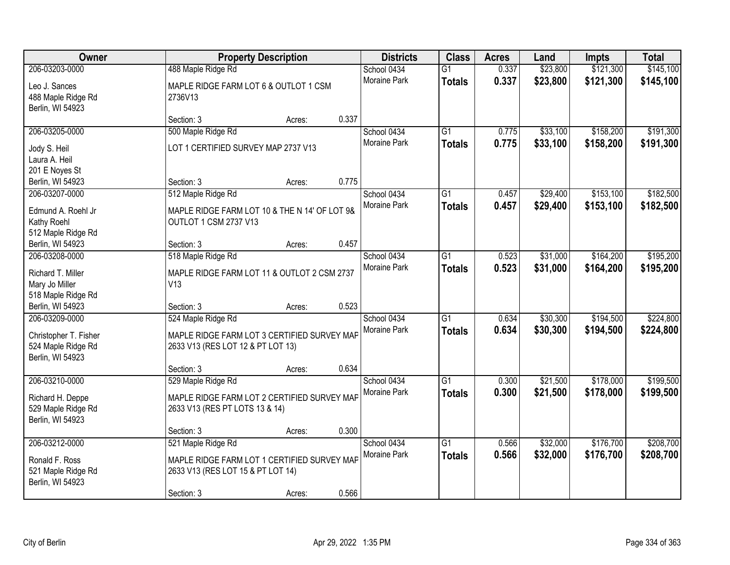| Owner                                  |                                                             | <b>Property Description</b> |       | <b>Districts</b>            | <b>Class</b>                     | <b>Acres</b>   | Land                 | <b>Impts</b>           | <b>Total</b>           |
|----------------------------------------|-------------------------------------------------------------|-----------------------------|-------|-----------------------------|----------------------------------|----------------|----------------------|------------------------|------------------------|
| 206-03203-0000<br>Leo J. Sances        | 488 Maple Ridge Rd<br>MAPLE RIDGE FARM LOT 6 & OUTLOT 1 CSM |                             |       | School 0434<br>Moraine Park | $\overline{G1}$<br><b>Totals</b> | 0.337<br>0.337 | \$23,800<br>\$23,800 | \$121,300<br>\$121,300 | \$145,100<br>\$145,100 |
| 488 Maple Ridge Rd<br>Berlin, WI 54923 | 2736V13                                                     |                             |       |                             |                                  |                |                      |                        |                        |
|                                        | Section: 3                                                  | Acres:                      | 0.337 |                             |                                  |                |                      |                        |                        |
| 206-03205-0000                         | 500 Maple Ridge Rd                                          |                             |       | School 0434                 | $\overline{G1}$                  | 0.775          | \$33,100             | \$158,200              | \$191,300              |
| Jody S. Heil                           | LOT 1 CERTIFIED SURVEY MAP 2737 V13                         |                             |       | <b>Moraine Park</b>         | <b>Totals</b>                    | 0.775          | \$33,100             | \$158,200              | \$191,300              |
| Laura A. Heil                          |                                                             |                             |       |                             |                                  |                |                      |                        |                        |
| 201 E Noyes St                         |                                                             |                             |       |                             |                                  |                |                      |                        |                        |
| Berlin, WI 54923                       | Section: 3                                                  | Acres:                      | 0.775 |                             |                                  |                |                      |                        |                        |
| 206-03207-0000                         | 512 Maple Ridge Rd                                          |                             |       | School 0434                 | G1                               | 0.457          | \$29,400             | \$153,100              | \$182,500              |
| Edmund A. Roehl Jr                     | MAPLE RIDGE FARM LOT 10 & THE N 14' OF LOT 9&               |                             |       | Moraine Park                | <b>Totals</b>                    | 0.457          | \$29,400             | \$153,100              | \$182,500              |
| Kathy Roehl                            | OUTLOT 1 CSM 2737 V13                                       |                             |       |                             |                                  |                |                      |                        |                        |
| 512 Maple Ridge Rd                     |                                                             |                             |       |                             |                                  |                |                      |                        |                        |
| Berlin, WI 54923                       | Section: 3                                                  | Acres:                      | 0.457 |                             |                                  |                |                      |                        |                        |
| 206-03208-0000                         | 518 Maple Ridge Rd                                          |                             |       | School 0434                 | G1                               | 0.523          | \$31,000             | \$164,200              | \$195,200              |
| Richard T. Miller                      | MAPLE RIDGE FARM LOT 11 & OUTLOT 2 CSM 2737                 |                             |       | Moraine Park                | <b>Totals</b>                    | 0.523          | \$31,000             | \$164,200              | \$195,200              |
| Mary Jo Miller                         | V13                                                         |                             |       |                             |                                  |                |                      |                        |                        |
| 518 Maple Ridge Rd                     |                                                             |                             |       |                             |                                  |                |                      |                        |                        |
| Berlin, WI 54923                       | Section: 3                                                  | Acres:                      | 0.523 |                             |                                  |                |                      |                        |                        |
| 206-03209-0000                         | 524 Maple Ridge Rd                                          |                             |       | School 0434                 | $\overline{G1}$                  | 0.634          | \$30,300             | \$194,500              | \$224,800              |
| Christopher T. Fisher                  | MAPLE RIDGE FARM LOT 3 CERTIFIED SURVEY MAP                 |                             |       | Moraine Park                | <b>Totals</b>                    | 0.634          | \$30,300             | \$194,500              | \$224,800              |
| 524 Maple Ridge Rd                     | 2633 V13 (RES LOT 12 & PT LOT 13)                           |                             |       |                             |                                  |                |                      |                        |                        |
| Berlin, WI 54923                       |                                                             |                             |       |                             |                                  |                |                      |                        |                        |
|                                        | Section: 3                                                  | Acres:                      | 0.634 |                             |                                  |                |                      |                        |                        |
| 206-03210-0000                         | 529 Maple Ridge Rd                                          |                             |       | School 0434                 | $\overline{G1}$                  | 0.300          | \$21,500             | \$178,000              | \$199,500              |
| Richard H. Deppe                       | MAPLE RIDGE FARM LOT 2 CERTIFIED SURVEY MAF                 |                             |       | Moraine Park                | <b>Totals</b>                    | 0.300          | \$21,500             | \$178,000              | \$199,500              |
| 529 Maple Ridge Rd                     | 2633 V13 (RES PT LOTS 13 & 14)                              |                             |       |                             |                                  |                |                      |                        |                        |
| Berlin, WI 54923                       |                                                             |                             |       |                             |                                  |                |                      |                        |                        |
|                                        | Section: 3                                                  | Acres:                      | 0.300 |                             |                                  |                |                      |                        |                        |
| 206-03212-0000                         | 521 Maple Ridge Rd                                          |                             |       | School 0434                 | $\overline{G1}$                  | 0.566          | \$32,000             | \$176,700              | \$208,700              |
| Ronald F. Ross                         | MAPLE RIDGE FARM LOT 1 CERTIFIED SURVEY MAP                 |                             |       | Moraine Park                | <b>Totals</b>                    | 0.566          | \$32,000             | \$176,700              | \$208,700              |
| 521 Maple Ridge Rd                     | 2633 V13 (RES LOT 15 & PT LOT 14)                           |                             |       |                             |                                  |                |                      |                        |                        |
| Berlin, WI 54923                       |                                                             |                             |       |                             |                                  |                |                      |                        |                        |
|                                        | Section: 3                                                  | Acres:                      | 0.566 |                             |                                  |                |                      |                        |                        |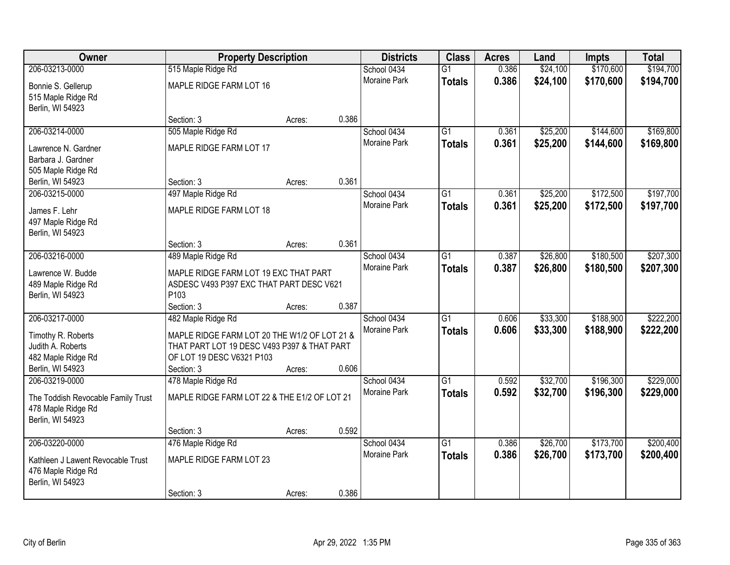| Owner                                                    | <b>Property Description</b>                  |        |       | <b>Districts</b>    | <b>Class</b>    | <b>Acres</b> | Land     | <b>Impts</b> | <b>Total</b> |
|----------------------------------------------------------|----------------------------------------------|--------|-------|---------------------|-----------------|--------------|----------|--------------|--------------|
| 206-03213-0000                                           | 515 Maple Ridge Rd                           |        |       | School 0434         | $\overline{G1}$ | 0.386        | \$24,100 | \$170,600    | \$194,700    |
| Bonnie S. Gellerup                                       | MAPLE RIDGE FARM LOT 16                      |        |       | <b>Moraine Park</b> | <b>Totals</b>   | 0.386        | \$24,100 | \$170,600    | \$194,700    |
| 515 Maple Ridge Rd                                       |                                              |        |       |                     |                 |              |          |              |              |
| Berlin, WI 54923                                         |                                              |        |       |                     |                 |              |          |              |              |
|                                                          | Section: 3                                   | Acres: | 0.386 |                     |                 |              |          |              |              |
| 206-03214-0000                                           | 505 Maple Ridge Rd                           |        |       | School 0434         | $\overline{G1}$ | 0.361        | \$25,200 | \$144,600    | \$169,800    |
| Lawrence N. Gardner                                      | MAPLE RIDGE FARM LOT 17                      |        |       | Moraine Park        | <b>Totals</b>   | 0.361        | \$25,200 | \$144,600    | \$169,800    |
| Barbara J. Gardner                                       |                                              |        |       |                     |                 |              |          |              |              |
| 505 Maple Ridge Rd                                       |                                              |        |       |                     |                 |              |          |              |              |
| Berlin, WI 54923                                         | Section: 3                                   | Acres: | 0.361 |                     |                 |              |          |              |              |
| 206-03215-0000                                           | 497 Maple Ridge Rd                           |        |       | School 0434         | $\overline{G1}$ | 0.361        | \$25,200 | \$172,500    | \$197,700    |
| James F. Lehr                                            | MAPLE RIDGE FARM LOT 18                      |        |       | Moraine Park        | <b>Totals</b>   | 0.361        | \$25,200 | \$172,500    | \$197,700    |
| 497 Maple Ridge Rd                                       |                                              |        |       |                     |                 |              |          |              |              |
| Berlin, WI 54923                                         |                                              |        |       |                     |                 |              |          |              |              |
|                                                          | Section: 3                                   | Acres: | 0.361 |                     |                 |              |          |              |              |
| 206-03216-0000                                           | 489 Maple Ridge Rd                           |        |       | School 0434         | $\overline{G1}$ | 0.387        | \$26,800 | \$180,500    | \$207,300    |
| Lawrence W. Budde                                        | MAPLE RIDGE FARM LOT 19 EXC THAT PART        |        |       | Moraine Park        | <b>Totals</b>   | 0.387        | \$26,800 | \$180,500    | \$207,300    |
| 489 Maple Ridge Rd                                       | ASDESC V493 P397 EXC THAT PART DESC V621     |        |       |                     |                 |              |          |              |              |
| Berlin, WI 54923                                         | P103                                         |        |       |                     |                 |              |          |              |              |
|                                                          | Section: 3                                   | Acres: | 0.387 |                     |                 |              |          |              |              |
| 206-03217-0000                                           | 482 Maple Ridge Rd                           |        |       | School 0434         | $\overline{G1}$ | 0.606        | \$33,300 | \$188,900    | \$222,200    |
| Timothy R. Roberts                                       | MAPLE RIDGE FARM LOT 20 THE W1/2 OF LOT 21 & |        |       | Moraine Park        | <b>Totals</b>   | 0.606        | \$33,300 | \$188,900    | \$222,200    |
| Judith A. Roberts                                        | THAT PART LOT 19 DESC V493 P397 & THAT PART  |        |       |                     |                 |              |          |              |              |
| 482 Maple Ridge Rd                                       | OF LOT 19 DESC V6321 P103                    |        |       |                     |                 |              |          |              |              |
| Berlin, WI 54923                                         | Section: 3                                   | Acres: | 0.606 |                     |                 |              |          |              |              |
| 206-03219-0000                                           | 478 Maple Ridge Rd                           |        |       | School 0434         | $\overline{G1}$ | 0.592        | \$32,700 | \$196,300    | \$229,000    |
|                                                          | MAPLE RIDGE FARM LOT 22 & THE E1/2 OF LOT 21 |        |       | Moraine Park        | <b>Totals</b>   | 0.592        | \$32,700 | \$196,300    | \$229,000    |
| The Toddish Revocable Family Trust<br>478 Maple Ridge Rd |                                              |        |       |                     |                 |              |          |              |              |
| Berlin, WI 54923                                         |                                              |        |       |                     |                 |              |          |              |              |
|                                                          | Section: 3                                   | Acres: | 0.592 |                     |                 |              |          |              |              |
| 206-03220-0000                                           | 476 Maple Ridge Rd                           |        |       | School 0434         | $\overline{G1}$ | 0.386        | \$26,700 | \$173,700    | \$200,400    |
|                                                          | MAPLE RIDGE FARM LOT 23                      |        |       | <b>Moraine Park</b> | <b>Totals</b>   | 0.386        | \$26,700 | \$173,700    | \$200,400    |
| Kathleen J Lawent Revocable Trust<br>476 Maple Ridge Rd  |                                              |        |       |                     |                 |              |          |              |              |
| Berlin, WI 54923                                         |                                              |        |       |                     |                 |              |          |              |              |
|                                                          | Section: 3                                   | Acres: | 0.386 |                     |                 |              |          |              |              |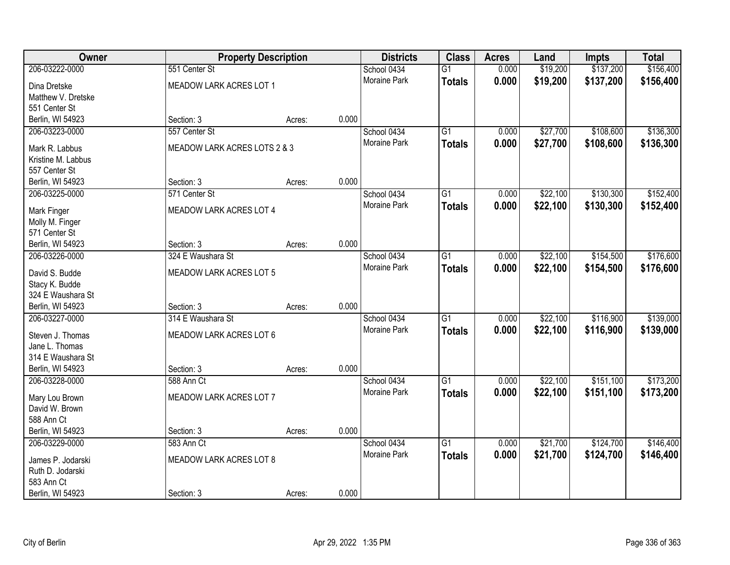| Owner                                 | <b>Property Description</b>  |        |       | <b>Districts</b>    | <b>Class</b>    | <b>Acres</b> | Land     | <b>Impts</b> | <b>Total</b> |
|---------------------------------------|------------------------------|--------|-------|---------------------|-----------------|--------------|----------|--------------|--------------|
| 206-03222-0000                        | 551 Center St                |        |       | School 0434         | $\overline{G1}$ | 0.000        | \$19,200 | \$137,200    | \$156,400    |
| Dina Dretske                          | MEADOW LARK ACRES LOT 1      |        |       | Moraine Park        | <b>Totals</b>   | 0.000        | \$19,200 | \$137,200    | \$156,400    |
| Matthew V. Dretske                    |                              |        |       |                     |                 |              |          |              |              |
| 551 Center St                         |                              |        |       |                     |                 |              |          |              |              |
| Berlin, WI 54923                      | Section: 3                   | Acres: | 0.000 |                     |                 |              |          |              |              |
| 206-03223-0000                        | 557 Center St                |        |       | School 0434         | $\overline{G1}$ | 0.000        | \$27,700 | \$108,600    | \$136,300    |
| Mark R. Labbus                        | MEADOW LARK ACRES LOTS 2 & 3 |        |       | Moraine Park        | <b>Totals</b>   | 0.000        | \$27,700 | \$108,600    | \$136,300    |
| Kristine M. Labbus                    |                              |        |       |                     |                 |              |          |              |              |
| 557 Center St                         |                              |        |       |                     |                 |              |          |              |              |
| Berlin, WI 54923                      | Section: 3                   | Acres: | 0.000 |                     |                 |              |          |              |              |
| 206-03225-0000                        | 571 Center St                |        |       | School 0434         | $\overline{G1}$ | 0.000        | \$22,100 | \$130,300    | \$152,400    |
|                                       |                              |        |       | Moraine Park        | <b>Totals</b>   | 0.000        | \$22,100 | \$130,300    | \$152,400    |
| Mark Finger                           | MEADOW LARK ACRES LOT 4      |        |       |                     |                 |              |          |              |              |
| Molly M. Finger<br>571 Center St      |                              |        |       |                     |                 |              |          |              |              |
| Berlin, WI 54923                      | Section: 3                   | Acres: | 0.000 |                     |                 |              |          |              |              |
| 206-03226-0000                        | 324 E Waushara St            |        |       | School 0434         | $\overline{G1}$ | 0.000        | \$22,100 | \$154,500    | \$176,600    |
|                                       |                              |        |       | <b>Moraine Park</b> | <b>Totals</b>   | 0.000        | \$22,100 | \$154,500    | \$176,600    |
| David S. Budde                        | MEADOW LARK ACRES LOT 5      |        |       |                     |                 |              |          |              |              |
| Stacy K. Budde                        |                              |        |       |                     |                 |              |          |              |              |
| 324 E Waushara St<br>Berlin, WI 54923 | Section: 3                   |        | 0.000 |                     |                 |              |          |              |              |
| 206-03227-0000                        | 314 E Waushara St            | Acres: |       | School 0434         | $\overline{G1}$ | 0.000        | \$22,100 | \$116,900    | \$139,000    |
|                                       |                              |        |       | Moraine Park        |                 |              |          |              |              |
| Steven J. Thomas                      | MEADOW LARK ACRES LOT 6      |        |       |                     | <b>Totals</b>   | 0.000        | \$22,100 | \$116,900    | \$139,000    |
| Jane L. Thomas                        |                              |        |       |                     |                 |              |          |              |              |
| 314 E Waushara St                     |                              |        |       |                     |                 |              |          |              |              |
| Berlin, WI 54923                      | Section: 3                   | Acres: | 0.000 |                     |                 |              |          |              |              |
| 206-03228-0000                        | 588 Ann Ct                   |        |       | School 0434         | $\overline{G1}$ | 0.000        | \$22,100 | \$151,100    | \$173,200    |
| Mary Lou Brown                        | MEADOW LARK ACRES LOT 7      |        |       | Moraine Park        | <b>Totals</b>   | 0.000        | \$22,100 | \$151,100    | \$173,200    |
| David W. Brown                        |                              |        |       |                     |                 |              |          |              |              |
| 588 Ann Ct                            |                              |        |       |                     |                 |              |          |              |              |
| Berlin, WI 54923                      | Section: 3                   | Acres: | 0.000 |                     |                 |              |          |              |              |
| 206-03229-0000                        | 583 Ann Ct                   |        |       | School 0434         | $\overline{G1}$ | 0.000        | \$21,700 | \$124,700    | \$146,400    |
| James P. Jodarski                     | MEADOW LARK ACRES LOT 8      |        |       | Moraine Park        | <b>Totals</b>   | 0.000        | \$21,700 | \$124,700    | \$146,400    |
| Ruth D. Jodarski                      |                              |        |       |                     |                 |              |          |              |              |
| 583 Ann Ct                            |                              |        |       |                     |                 |              |          |              |              |
| Berlin, WI 54923                      | Section: 3                   | Acres: | 0.000 |                     |                 |              |          |              |              |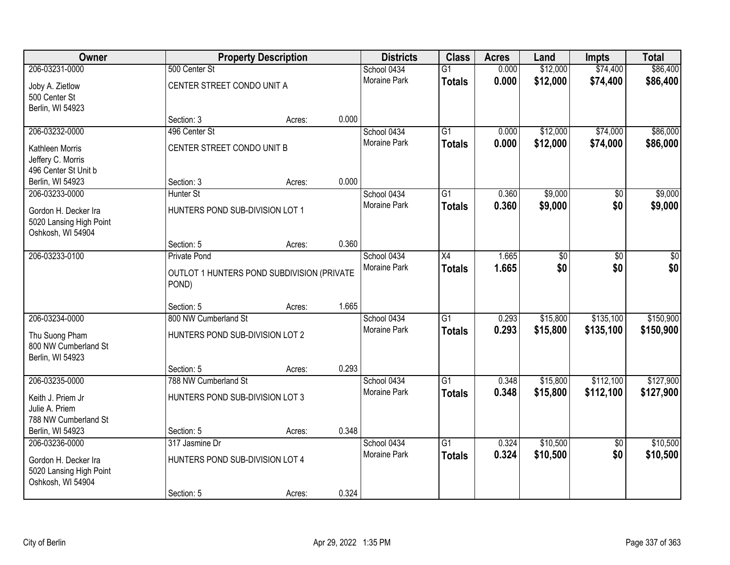| Owner                                                                |                                                     | <b>Property Description</b> |       | <b>Districts</b>    | <b>Class</b>    | <b>Acres</b> | Land            | <b>Impts</b>    | <b>Total</b>    |
|----------------------------------------------------------------------|-----------------------------------------------------|-----------------------------|-------|---------------------|-----------------|--------------|-----------------|-----------------|-----------------|
| 206-03231-0000                                                       | 500 Center St                                       |                             |       | School 0434         | $\overline{G1}$ | 0.000        | \$12,000        | \$74,400        | \$86,400        |
| Joby A. Zietlow<br>500 Center St<br>Berlin, WI 54923                 | CENTER STREET CONDO UNIT A                          |                             |       | <b>Moraine Park</b> | <b>Totals</b>   | 0.000        | \$12,000        | \$74,400        | \$86,400        |
|                                                                      | Section: 3                                          | Acres:                      | 0.000 |                     |                 |              |                 |                 |                 |
| 206-03232-0000                                                       | 496 Center St                                       |                             |       | School 0434         | $\overline{G1}$ | 0.000        | \$12,000        | \$74,000        | \$86,000        |
| Kathleen Morris<br>Jeffery C. Morris<br>496 Center St Unit b         | CENTER STREET CONDO UNIT B                          |                             |       | Moraine Park        | <b>Totals</b>   | 0.000        | \$12,000        | \$74,000        | \$86,000        |
| Berlin, WI 54923                                                     | Section: 3                                          | Acres:                      | 0.000 |                     |                 |              |                 |                 |                 |
| 206-03233-0000                                                       | <b>Hunter St</b>                                    |                             |       | School 0434         | G1              | 0.360        | \$9,000         | $\overline{50}$ | \$9,000         |
| Gordon H. Decker Ira<br>5020 Lansing High Point<br>Oshkosh, WI 54904 | HUNTERS POND SUB-DIVISION LOT 1                     |                             |       | Moraine Park        | <b>Totals</b>   | 0.360        | \$9,000         | \$0             | \$9,000         |
|                                                                      | Section: 5                                          | Acres:                      | 0.360 |                     |                 |              |                 |                 |                 |
| 206-03233-0100                                                       | <b>Private Pond</b>                                 |                             |       | School 0434         | $\overline{X4}$ | 1.665        | $\overline{60}$ | $\overline{30}$ | $\overline{50}$ |
|                                                                      | OUTLOT 1 HUNTERS POND SUBDIVISION (PRIVATE<br>POND) |                             |       | Moraine Park        | <b>Totals</b>   | 1.665        | \$0             | \$0             | \$0             |
|                                                                      | Section: 5                                          | Acres:                      | 1.665 |                     |                 |              |                 |                 |                 |
| 206-03234-0000                                                       | 800 NW Cumberland St                                |                             |       | School 0434         | $\overline{G1}$ | 0.293        | \$15,800        | \$135,100       | \$150,900       |
| Thu Suong Pham                                                       | HUNTERS POND SUB-DIVISION LOT 2                     |                             |       | Moraine Park        | <b>Totals</b>   | 0.293        | \$15,800        | \$135,100       | \$150,900       |
| 800 NW Cumberland St<br>Berlin, WI 54923                             |                                                     |                             |       |                     |                 |              |                 |                 |                 |
|                                                                      | Section: 5                                          | Acres:                      | 0.293 |                     |                 |              |                 |                 |                 |
| 206-03235-0000                                                       | 788 NW Cumberland St                                |                             |       | School 0434         | $\overline{G1}$ | 0.348        | \$15,800        | \$112,100       | \$127,900       |
| Keith J. Priem Jr<br>Julie A. Priem                                  | HUNTERS POND SUB-DIVISION LOT 3                     |                             |       | Moraine Park        | <b>Totals</b>   | 0.348        | \$15,800        | \$112,100       | \$127,900       |
| 788 NW Cumberland St<br>Berlin, WI 54923                             | Section: 5                                          | Acres:                      | 0.348 |                     |                 |              |                 |                 |                 |
| 206-03236-0000                                                       | 317 Jasmine Dr                                      |                             |       | School 0434         | $\overline{G1}$ | 0.324        | \$10,500        | $\overline{50}$ | \$10,500        |
| Gordon H. Decker Ira<br>5020 Lansing High Point<br>Oshkosh, WI 54904 | HUNTERS POND SUB-DIVISION LOT 4                     |                             |       | <b>Moraine Park</b> | <b>Totals</b>   | 0.324        | \$10,500        | \$0             | \$10,500        |
|                                                                      | Section: 5                                          | Acres:                      | 0.324 |                     |                 |              |                 |                 |                 |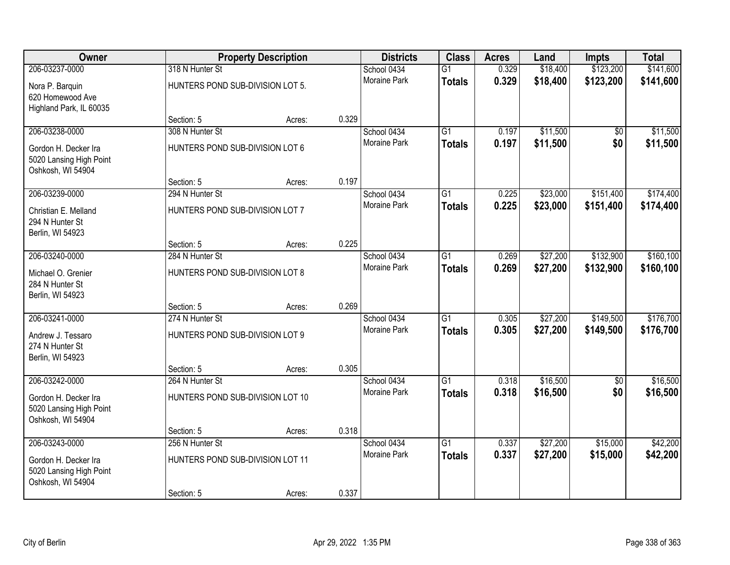| Owner                                                                |                                  | <b>Property Description</b> |       | <b>Districts</b>    | <b>Class</b>    | <b>Acres</b> | Land     | <b>Impts</b> | <b>Total</b> |
|----------------------------------------------------------------------|----------------------------------|-----------------------------|-------|---------------------|-----------------|--------------|----------|--------------|--------------|
| 206-03237-0000                                                       | 318 N Hunter St                  |                             |       | School 0434         | $\overline{G1}$ | 0.329        | \$18,400 | \$123,200    | \$141,600    |
| Nora P. Barquin<br>620 Homewood Ave<br>Highland Park, IL 60035       | HUNTERS POND SUB-DIVISION LOT 5. |                             |       | <b>Moraine Park</b> | <b>Totals</b>   | 0.329        | \$18,400 | \$123,200    | \$141,600    |
|                                                                      | Section: 5                       | Acres:                      | 0.329 |                     |                 |              |          |              |              |
| 206-03238-0000                                                       | 308 N Hunter St                  |                             |       | School 0434         | $\overline{G1}$ | 0.197        | \$11,500 | \$0          | \$11,500     |
| Gordon H. Decker Ira<br>5020 Lansing High Point<br>Oshkosh, WI 54904 | HUNTERS POND SUB-DIVISION LOT 6  |                             |       | <b>Moraine Park</b> | <b>Totals</b>   | 0.197        | \$11,500 | \$0          | \$11,500     |
|                                                                      | Section: 5                       | Acres:                      | 0.197 |                     |                 |              |          |              |              |
| 206-03239-0000                                                       | 294 N Hunter St                  |                             |       | School 0434         | $\overline{G1}$ | 0.225        | \$23,000 | \$151,400    | \$174,400    |
| Christian E. Melland<br>294 N Hunter St<br>Berlin, WI 54923          | HUNTERS POND SUB-DIVISION LOT 7  |                             |       | <b>Moraine Park</b> | <b>Totals</b>   | 0.225        | \$23,000 | \$151,400    | \$174,400    |
|                                                                      | Section: 5                       | Acres:                      | 0.225 |                     |                 |              |          |              |              |
| 206-03240-0000                                                       | 284 N Hunter St                  |                             |       | School 0434         | $\overline{G1}$ | 0.269        | \$27,200 | \$132,900    | \$160, 100   |
| Michael O. Grenier<br>284 N Hunter St<br>Berlin, WI 54923            | HUNTERS POND SUB-DIVISION LOT 8  |                             |       | <b>Moraine Park</b> | <b>Totals</b>   | 0.269        | \$27,200 | \$132,900    | \$160,100    |
|                                                                      | Section: 5                       | Acres:                      | 0.269 |                     |                 |              |          |              |              |
| 206-03241-0000                                                       | 274 N Hunter St                  |                             |       | School 0434         | $\overline{G1}$ | 0.305        | \$27,200 | \$149,500    | \$176,700    |
| Andrew J. Tessaro<br>274 N Hunter St<br>Berlin, WI 54923             | HUNTERS POND SUB-DIVISION LOT 9  |                             |       | <b>Moraine Park</b> | <b>Totals</b>   | 0.305        | \$27,200 | \$149,500    | \$176,700    |
|                                                                      | Section: 5                       | Acres:                      | 0.305 |                     |                 |              |          |              |              |
| 206-03242-0000                                                       | 264 N Hunter St                  |                             |       | School 0434         | G1              | 0.318        | \$16,500 | $\sqrt{6}$   | \$16,500     |
| Gordon H. Decker Ira<br>5020 Lansing High Point<br>Oshkosh, WI 54904 | HUNTERS POND SUB-DIVISION LOT 10 |                             |       | Moraine Park        | <b>Totals</b>   | 0.318        | \$16,500 | \$0          | \$16,500     |
|                                                                      | Section: 5                       | Acres:                      | 0.318 |                     |                 |              |          |              |              |
| 206-03243-0000                                                       | 256 N Hunter St                  |                             |       | School 0434         | $\overline{G1}$ | 0.337        | \$27,200 | \$15,000     | \$42,200     |
| Gordon H. Decker Ira<br>5020 Lansing High Point<br>Oshkosh, WI 54904 | HUNTERS POND SUB-DIVISION LOT 11 |                             |       | <b>Moraine Park</b> | <b>Totals</b>   | 0.337        | \$27,200 | \$15,000     | \$42,200     |
|                                                                      | Section: 5                       | Acres:                      | 0.337 |                     |                 |              |          |              |              |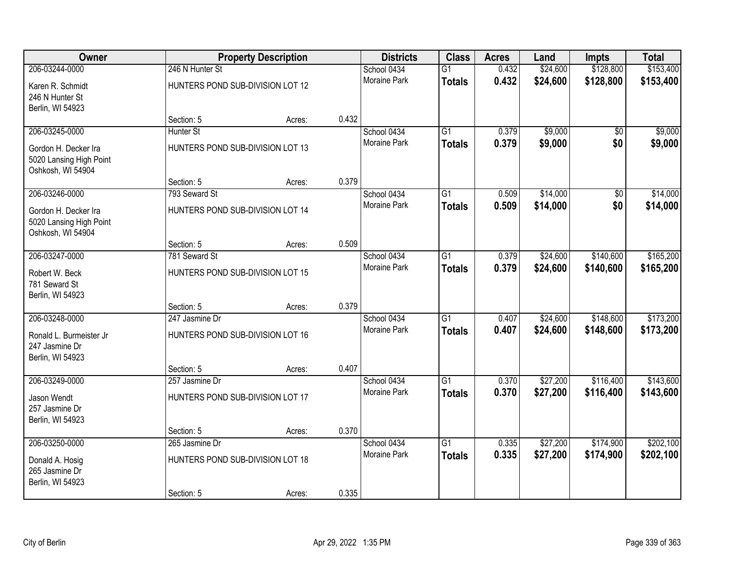| <b>Owner</b>                                                         |                                  | <b>Property Description</b> |       | <b>Districts</b>    | <b>Class</b>    | <b>Acres</b> | Land     | <b>Impts</b>    | <b>Total</b> |
|----------------------------------------------------------------------|----------------------------------|-----------------------------|-------|---------------------|-----------------|--------------|----------|-----------------|--------------|
| 206-03244-0000                                                       | 246 N Hunter St                  |                             |       | School 0434         | $\overline{G1}$ | 0.432        | \$24,600 | \$128,800       | \$153,400    |
| Karen R. Schmidt<br>246 N Hunter St<br>Berlin, WI 54923              | HUNTERS POND SUB-DIVISION LOT 12 |                             |       | <b>Moraine Park</b> | <b>Totals</b>   | 0.432        | \$24,600 | \$128,800       | \$153,400    |
|                                                                      | Section: 5                       | Acres:                      | 0.432 |                     |                 |              |          |                 |              |
| 206-03245-0000                                                       | Hunter St                        |                             |       | School 0434         | $\overline{G1}$ | 0.379        | \$9,000  | \$0             | \$9,000      |
| Gordon H. Decker Ira<br>5020 Lansing High Point<br>Oshkosh, WI 54904 | HUNTERS POND SUB-DIVISION LOT 13 |                             |       | Moraine Park        | <b>Totals</b>   | 0.379        | \$9,000  | \$0             | \$9,000      |
|                                                                      | Section: 5                       | Acres:                      | 0.379 |                     |                 |              |          |                 |              |
| 206-03246-0000                                                       | 793 Seward St                    |                             |       | School 0434         | $\overline{G1}$ | 0.509        | \$14,000 | $\overline{50}$ | \$14,000     |
| Gordon H. Decker Ira<br>5020 Lansing High Point<br>Oshkosh, WI 54904 | HUNTERS POND SUB-DIVISION LOT 14 |                             |       | Moraine Park        | <b>Totals</b>   | 0.509        | \$14,000 | \$0             | \$14,000     |
|                                                                      | Section: 5                       | Acres:                      | 0.509 |                     |                 |              |          |                 |              |
| 206-03247-0000                                                       | 781 Seward St                    |                             |       | School 0434         | $\overline{G1}$ | 0.379        | \$24,600 | \$140,600       | \$165,200    |
| Robert W. Beck<br>781 Seward St<br>Berlin, WI 54923                  | HUNTERS POND SUB-DIVISION LOT 15 |                             |       | Moraine Park        | <b>Totals</b>   | 0.379        | \$24,600 | \$140,600       | \$165,200    |
|                                                                      | Section: 5                       | Acres:                      | 0.379 |                     |                 |              |          |                 |              |
| 206-03248-0000                                                       | 247 Jasmine Dr                   |                             |       | School 0434         | $\overline{G1}$ | 0.407        | \$24,600 | \$148,600       | \$173,200    |
| Ronald L. Burmeister Jr                                              | HUNTERS POND SUB-DIVISION LOT 16 |                             |       | Moraine Park        | <b>Totals</b>   | 0.407        | \$24,600 | \$148,600       | \$173,200    |
| 247 Jasmine Dr<br>Berlin, WI 54923                                   |                                  |                             |       |                     |                 |              |          |                 |              |
|                                                                      | Section: 5                       | Acres:                      | 0.407 |                     |                 |              |          |                 |              |
| 206-03249-0000                                                       | 257 Jasmine Dr                   |                             |       | School 0434         | $\overline{G1}$ | 0.370        | \$27,200 | \$116,400       | \$143,600    |
| Jason Wendt<br>257 Jasmine Dr<br>Berlin, WI 54923                    | HUNTERS POND SUB-DIVISION LOT 17 |                             |       | Moraine Park        | <b>Totals</b>   | 0.370        | \$27,200 | \$116,400       | \$143,600    |
|                                                                      | Section: 5                       | Acres:                      | 0.370 |                     |                 |              |          |                 |              |
| 206-03250-0000                                                       | 265 Jasmine Dr                   |                             |       | School 0434         | $\overline{G1}$ | 0.335        | \$27,200 | \$174,900       | \$202,100    |
| Donald A. Hosig<br>265 Jasmine Dr<br>Berlin, WI 54923                | HUNTERS POND SUB-DIVISION LOT 18 |                             |       | <b>Moraine Park</b> | <b>Totals</b>   | 0.335        | \$27,200 | \$174,900       | \$202,100    |
|                                                                      | Section: 5                       | Acres:                      | 0.335 |                     |                 |              |          |                 |              |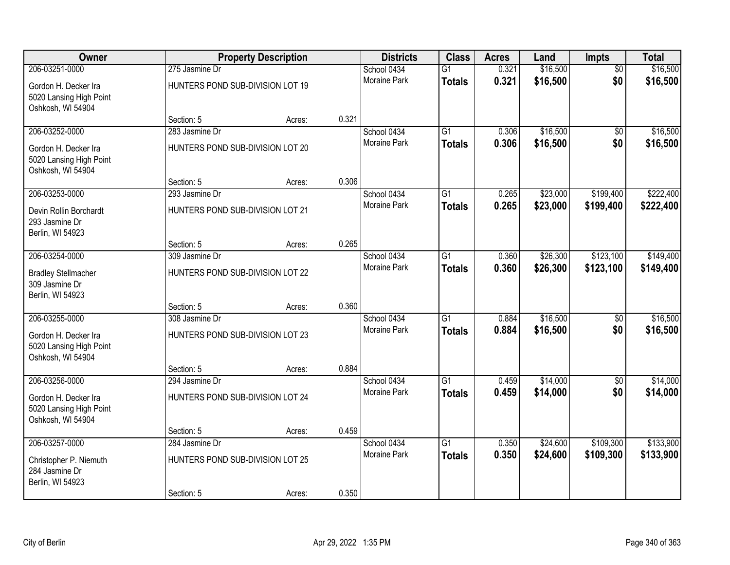| Owner                                                                |                                  | <b>Property Description</b> |       | <b>Districts</b>    | <b>Class</b>    | <b>Acres</b> | Land     | Impts           | <b>Total</b> |
|----------------------------------------------------------------------|----------------------------------|-----------------------------|-------|---------------------|-----------------|--------------|----------|-----------------|--------------|
| 206-03251-0000                                                       | 275 Jasmine Dr                   |                             |       | School 0434         | $\overline{G1}$ | 0.321        | \$16,500 | $\overline{50}$ | \$16,500     |
| Gordon H. Decker Ira<br>5020 Lansing High Point<br>Oshkosh, WI 54904 | HUNTERS POND SUB-DIVISION LOT 19 |                             |       | Moraine Park        | <b>Totals</b>   | 0.321        | \$16,500 | \$0             | \$16,500     |
|                                                                      | Section: 5                       | Acres:                      | 0.321 |                     |                 |              |          |                 |              |
| 206-03252-0000                                                       | 283 Jasmine Dr                   |                             |       | School 0434         | $\overline{G1}$ | 0.306        | \$16,500 | \$0             | \$16,500     |
| Gordon H. Decker Ira<br>5020 Lansing High Point<br>Oshkosh, WI 54904 | HUNTERS POND SUB-DIVISION LOT 20 |                             |       | <b>Moraine Park</b> | <b>Totals</b>   | 0.306        | \$16,500 | \$0             | \$16,500     |
|                                                                      | Section: 5                       | Acres:                      | 0.306 |                     |                 |              |          |                 |              |
| 206-03253-0000                                                       | 293 Jasmine Dr                   |                             |       | School 0434         | G1              | 0.265        | \$23,000 | \$199,400       | \$222,400    |
| Devin Rollin Borchardt<br>293 Jasmine Dr<br>Berlin, WI 54923         | HUNTERS POND SUB-DIVISION LOT 21 |                             |       | Moraine Park        | <b>Totals</b>   | 0.265        | \$23,000 | \$199,400       | \$222,400    |
|                                                                      | Section: 5                       | Acres:                      | 0.265 |                     |                 |              |          |                 |              |
| 206-03254-0000                                                       | 309 Jasmine Dr                   |                             |       | School 0434         | G1              | 0.360        | \$26,300 | \$123,100       | \$149,400    |
| <b>Bradley Stellmacher</b><br>309 Jasmine Dr<br>Berlin, WI 54923     | HUNTERS POND SUB-DIVISION LOT 22 |                             |       | Moraine Park        | <b>Totals</b>   | 0.360        | \$26,300 | \$123,100       | \$149,400    |
|                                                                      | Section: 5                       | Acres:                      | 0.360 |                     |                 |              |          |                 |              |
| 206-03255-0000                                                       | 308 Jasmine Dr                   |                             |       | School 0434         | $\overline{G1}$ | 0.884        | \$16,500 | $\overline{50}$ | \$16,500     |
| Gordon H. Decker Ira<br>5020 Lansing High Point<br>Oshkosh, WI 54904 | HUNTERS POND SUB-DIVISION LOT 23 |                             |       | Moraine Park        | <b>Totals</b>   | 0.884        | \$16,500 | \$0             | \$16,500     |
|                                                                      | Section: 5                       | Acres:                      | 0.884 |                     |                 |              |          |                 |              |
| 206-03256-0000                                                       | 294 Jasmine Dr                   |                             |       | School 0434         | $\overline{G1}$ | 0.459        | \$14,000 | $\overline{50}$ | \$14,000     |
| Gordon H. Decker Ira<br>5020 Lansing High Point<br>Oshkosh, WI 54904 | HUNTERS POND SUB-DIVISION LOT 24 |                             |       | Moraine Park        | <b>Totals</b>   | 0.459        | \$14,000 | \$0             | \$14,000     |
|                                                                      | Section: 5                       | Acres:                      | 0.459 |                     |                 |              |          |                 |              |
| 206-03257-0000                                                       | 284 Jasmine Dr                   |                             |       | School 0434         | $\overline{G1}$ | 0.350        | \$24,600 | \$109,300       | \$133,900    |
| Christopher P. Niemuth<br>284 Jasmine Dr<br>Berlin, WI 54923         | HUNTERS POND SUB-DIVISION LOT 25 |                             |       | <b>Moraine Park</b> | <b>Totals</b>   | 0.350        | \$24,600 | \$109,300       | \$133,900    |
|                                                                      | Section: 5                       | Acres:                      | 0.350 |                     |                 |              |          |                 |              |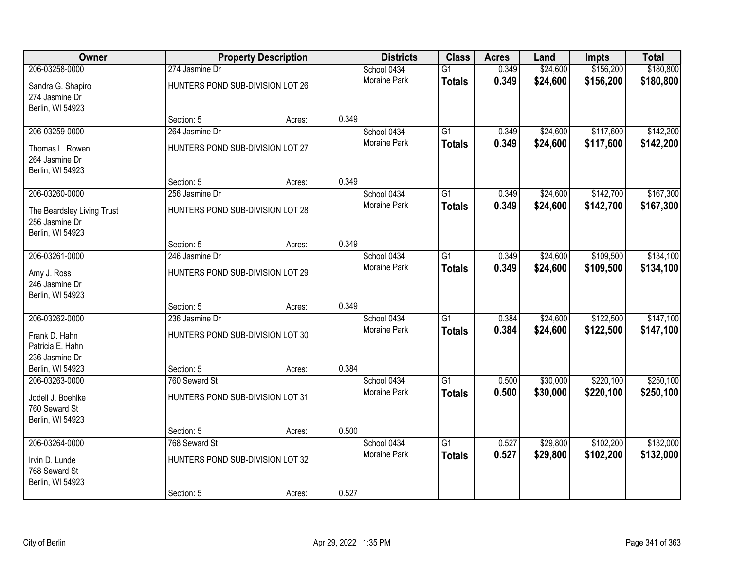| Owner                                                            |                                  | <b>Property Description</b> |       | <b>Districts</b>    | <b>Class</b>    | <b>Acres</b> | Land     | <b>Impts</b> | <b>Total</b> |
|------------------------------------------------------------------|----------------------------------|-----------------------------|-------|---------------------|-----------------|--------------|----------|--------------|--------------|
| 206-03258-0000                                                   | 274 Jasmine Dr                   |                             |       | School 0434         | $\overline{G1}$ | 0.349        | \$24,600 | \$156,200    | \$180,800    |
| Sandra G. Shapiro<br>274 Jasmine Dr<br>Berlin, WI 54923          | HUNTERS POND SUB-DIVISION LOT 26 |                             |       | <b>Moraine Park</b> | <b>Totals</b>   | 0.349        | \$24,600 | \$156,200    | \$180,800    |
|                                                                  | Section: 5                       | Acres:                      | 0.349 |                     |                 |              |          |              |              |
| 206-03259-0000                                                   | 264 Jasmine Dr                   |                             |       | School 0434         | $\overline{G1}$ | 0.349        | \$24,600 | \$117,600    | \$142,200    |
| Thomas L. Rowen<br>264 Jasmine Dr<br>Berlin, WI 54923            | HUNTERS POND SUB-DIVISION LOT 27 |                             |       | Moraine Park        | <b>Totals</b>   | 0.349        | \$24,600 | \$117,600    | \$142,200    |
|                                                                  | Section: 5                       | Acres:                      | 0.349 |                     |                 |              |          |              |              |
| 206-03260-0000                                                   | 256 Jasmine Dr                   |                             |       | School 0434         | $\overline{G1}$ | 0.349        | \$24,600 | \$142,700    | \$167,300    |
| The Beardsley Living Trust<br>256 Jasmine Dr<br>Berlin, WI 54923 | HUNTERS POND SUB-DIVISION LOT 28 |                             |       | Moraine Park        | <b>Totals</b>   | 0.349        | \$24,600 | \$142,700    | \$167,300    |
|                                                                  | Section: 5                       | Acres:                      | 0.349 |                     |                 |              |          |              |              |
| 206-03261-0000                                                   | 246 Jasmine Dr                   |                             |       | School 0434         | $\overline{G1}$ | 0.349        | \$24,600 | \$109,500    | \$134,100    |
| Amy J. Ross<br>246 Jasmine Dr<br>Berlin, WI 54923                | HUNTERS POND SUB-DIVISION LOT 29 |                             |       | Moraine Park        | <b>Totals</b>   | 0.349        | \$24,600 | \$109,500    | \$134,100    |
|                                                                  | Section: 5                       | Acres:                      | 0.349 |                     |                 |              |          |              |              |
| 206-03262-0000                                                   | 236 Jasmine Dr                   |                             |       | School 0434         | $\overline{G1}$ | 0.384        | \$24,600 | \$122,500    | \$147,100    |
| Frank D. Hahn                                                    | HUNTERS POND SUB-DIVISION LOT 30 |                             |       | Moraine Park        | <b>Totals</b>   | 0.384        | \$24,600 | \$122,500    | \$147,100    |
| Patricia E. Hahn                                                 |                                  |                             |       |                     |                 |              |          |              |              |
| 236 Jasmine Dr                                                   |                                  |                             |       |                     |                 |              |          |              |              |
| Berlin, WI 54923                                                 | Section: 5                       | Acres:                      | 0.384 |                     |                 |              |          |              |              |
| 206-03263-0000                                                   | 760 Seward St                    |                             |       | School 0434         | $\overline{G1}$ | 0.500        | \$30,000 | \$220,100    | \$250,100    |
| Jodell J. Boehlke<br>760 Seward St<br>Berlin, WI 54923           | HUNTERS POND SUB-DIVISION LOT 31 |                             |       | Moraine Park        | <b>Totals</b>   | 0.500        | \$30,000 | \$220,100    | \$250,100    |
|                                                                  | Section: 5                       | Acres:                      | 0.500 |                     |                 |              |          |              |              |
| 206-03264-0000                                                   | 768 Seward St                    |                             |       | School 0434         | $\overline{G1}$ | 0.527        | \$29,800 | \$102,200    | \$132,000    |
| Irvin D. Lunde<br>768 Seward St<br>Berlin, WI 54923              | HUNTERS POND SUB-DIVISION LOT 32 |                             |       | <b>Moraine Park</b> | <b>Totals</b>   | 0.527        | \$29,800 | \$102,200    | \$132,000    |
|                                                                  | Section: 5                       | Acres:                      | 0.527 |                     |                 |              |          |              |              |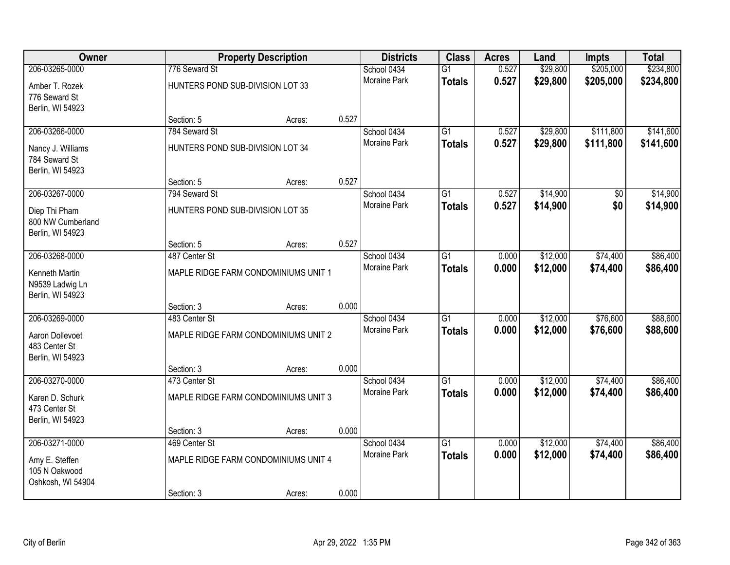| Owner             |                                  | <b>Property Description</b>          |       | <b>Districts</b>    | <b>Class</b>    | <b>Acres</b> | Land     | <b>Impts</b> | <b>Total</b> |
|-------------------|----------------------------------|--------------------------------------|-------|---------------------|-----------------|--------------|----------|--------------|--------------|
| 206-03265-0000    | 776 Seward St                    |                                      |       | School 0434         | $\overline{G1}$ | 0.527        | \$29,800 | \$205,000    | \$234,800    |
| Amber T. Rozek    | HUNTERS POND SUB-DIVISION LOT 33 |                                      |       | Moraine Park        | <b>Totals</b>   | 0.527        | \$29,800 | \$205,000    | \$234,800    |
| 776 Seward St     |                                  |                                      |       |                     |                 |              |          |              |              |
| Berlin, WI 54923  |                                  |                                      |       |                     |                 |              |          |              |              |
|                   | Section: 5                       | Acres:                               | 0.527 |                     |                 |              |          |              |              |
| 206-03266-0000    | 784 Seward St                    |                                      |       | School 0434         | $\overline{G1}$ | 0.527        | \$29,800 | \$111,800    | \$141,600    |
| Nancy J. Williams | HUNTERS POND SUB-DIVISION LOT 34 |                                      |       | Moraine Park        | <b>Totals</b>   | 0.527        | \$29,800 | \$111,800    | \$141,600    |
| 784 Seward St     |                                  |                                      |       |                     |                 |              |          |              |              |
| Berlin, WI 54923  |                                  |                                      |       |                     |                 |              |          |              |              |
|                   | Section: 5                       | Acres:                               | 0.527 |                     |                 |              |          |              |              |
| 206-03267-0000    | 794 Seward St                    |                                      |       | School 0434         | G1              | 0.527        | \$14,900 | \$0          | \$14,900     |
| Diep Thi Pham     | HUNTERS POND SUB-DIVISION LOT 35 |                                      |       | Moraine Park        | <b>Totals</b>   | 0.527        | \$14,900 | \$0          | \$14,900     |
| 800 NW Cumberland |                                  |                                      |       |                     |                 |              |          |              |              |
| Berlin, WI 54923  |                                  |                                      |       |                     |                 |              |          |              |              |
|                   | Section: 5                       | Acres:                               | 0.527 |                     |                 |              |          |              |              |
| 206-03268-0000    | 487 Center St                    |                                      |       | School 0434         | G1              | 0.000        | \$12,000 | \$74,400     | \$86,400     |
| Kenneth Martin    |                                  | MAPLE RIDGE FARM CONDOMINIUMS UNIT 1 |       | Moraine Park        | <b>Totals</b>   | 0.000        | \$12,000 | \$74,400     | \$86,400     |
| N9539 Ladwig Ln   |                                  |                                      |       |                     |                 |              |          |              |              |
| Berlin, WI 54923  |                                  |                                      |       |                     |                 |              |          |              |              |
|                   | Section: 3                       | Acres:                               | 0.000 |                     |                 |              |          |              |              |
| 206-03269-0000    | 483 Center St                    |                                      |       | School 0434         | $\overline{G1}$ | 0.000        | \$12,000 | \$76,600     | \$88,600     |
| Aaron Dollevoet   |                                  | MAPLE RIDGE FARM CONDOMINIUMS UNIT 2 |       | Moraine Park        | <b>Totals</b>   | 0.000        | \$12,000 | \$76,600     | \$88,600     |
| 483 Center St     |                                  |                                      |       |                     |                 |              |          |              |              |
| Berlin, WI 54923  |                                  |                                      |       |                     |                 |              |          |              |              |
|                   | Section: 3                       | Acres:                               | 0.000 |                     |                 |              |          |              |              |
| 206-03270-0000    | 473 Center St                    |                                      |       | School 0434         | $\overline{G1}$ | 0.000        | \$12,000 | \$74,400     | \$86,400     |
| Karen D. Schurk   |                                  | MAPLE RIDGE FARM CONDOMINIUMS UNIT 3 |       | Moraine Park        | <b>Totals</b>   | 0.000        | \$12,000 | \$74,400     | \$86,400     |
| 473 Center St     |                                  |                                      |       |                     |                 |              |          |              |              |
| Berlin, WI 54923  |                                  |                                      |       |                     |                 |              |          |              |              |
|                   | Section: 3                       | Acres:                               | 0.000 |                     |                 |              |          |              |              |
| 206-03271-0000    | 469 Center St                    |                                      |       | School 0434         | $\overline{G1}$ | 0.000        | \$12,000 | \$74,400     | \$86,400     |
| Amy E. Steffen    |                                  | MAPLE RIDGE FARM CONDOMINIUMS UNIT 4 |       | <b>Moraine Park</b> | <b>Totals</b>   | 0.000        | \$12,000 | \$74,400     | \$86,400     |
| 105 N Oakwood     |                                  |                                      |       |                     |                 |              |          |              |              |
| Oshkosh, WI 54904 |                                  |                                      |       |                     |                 |              |          |              |              |
|                   | Section: 3                       | Acres:                               | 0.000 |                     |                 |              |          |              |              |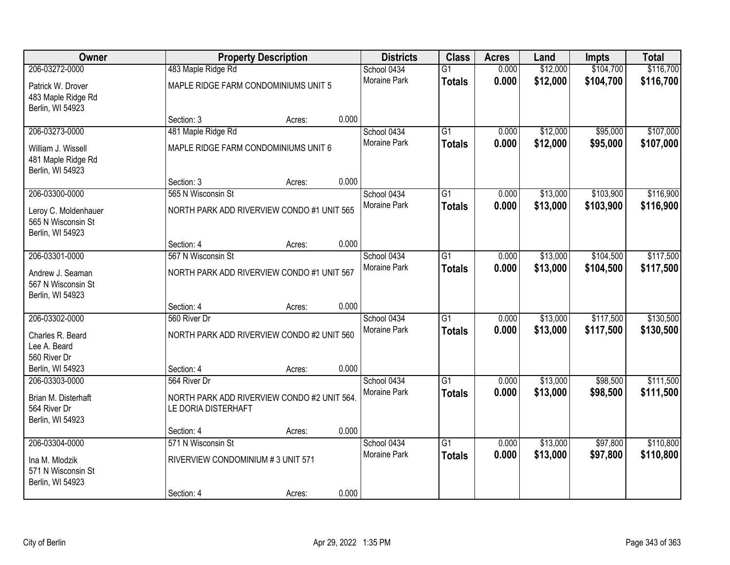| <b>Owner</b>                                                   |                                                                    | <b>Property Description</b> |       | <b>Districts</b>    | <b>Class</b>    | <b>Acres</b> | Land     | <b>Impts</b> | <b>Total</b> |
|----------------------------------------------------------------|--------------------------------------------------------------------|-----------------------------|-------|---------------------|-----------------|--------------|----------|--------------|--------------|
| 206-03272-0000                                                 | 483 Maple Ridge Rd                                                 |                             |       | School 0434         | $\overline{G1}$ | 0.000        | \$12,000 | \$104,700    | \$116,700    |
| Patrick W. Drover<br>483 Maple Ridge Rd<br>Berlin, WI 54923    | MAPLE RIDGE FARM CONDOMINIUMS UNIT 5                               |                             |       | Moraine Park        | <b>Totals</b>   | 0.000        | \$12,000 | \$104,700    | \$116,700    |
|                                                                | Section: 3                                                         | Acres:                      | 0.000 |                     |                 |              |          |              |              |
| 206-03273-0000                                                 | 481 Maple Ridge Rd                                                 |                             |       | School 0434         | $\overline{G1}$ | 0.000        | \$12,000 | \$95,000     | \$107,000    |
| William J. Wissell<br>481 Maple Ridge Rd<br>Berlin, WI 54923   | MAPLE RIDGE FARM CONDOMINIUMS UNIT 6                               |                             |       | <b>Moraine Park</b> | <b>Totals</b>   | 0.000        | \$12,000 | \$95,000     | \$107,000    |
|                                                                | Section: 3                                                         | Acres:                      | 0.000 |                     |                 |              |          |              |              |
| 206-03300-0000                                                 | 565 N Wisconsin St                                                 |                             |       | School 0434         | G1              | 0.000        | \$13,000 | \$103,900    | \$116,900    |
| Leroy C. Moldenhauer<br>565 N Wisconsin St<br>Berlin, WI 54923 | NORTH PARK ADD RIVERVIEW CONDO #1 UNIT 565                         |                             |       | Moraine Park        | <b>Totals</b>   | 0.000        | \$13,000 | \$103,900    | \$116,900    |
|                                                                | Section: 4                                                         | Acres:                      | 0.000 |                     |                 |              |          |              |              |
| 206-03301-0000                                                 | 567 N Wisconsin St                                                 |                             |       | School 0434         | G1              | 0.000        | \$13,000 | \$104,500    | \$117,500    |
| Andrew J. Seaman<br>567 N Wisconsin St<br>Berlin, WI 54923     | NORTH PARK ADD RIVERVIEW CONDO #1 UNIT 567                         |                             |       | Moraine Park        | <b>Totals</b>   | 0.000        | \$13,000 | \$104,500    | \$117,500    |
|                                                                | Section: 4                                                         | Acres:                      | 0.000 |                     |                 |              |          |              |              |
| 206-03302-0000                                                 | 560 River Dr                                                       |                             |       | School 0434         | $\overline{G1}$ | 0.000        | \$13,000 | \$117,500    | \$130,500    |
| Charles R. Beard<br>Lee A. Beard                               | NORTH PARK ADD RIVERVIEW CONDO #2 UNIT 560                         |                             |       | Moraine Park        | <b>Totals</b>   | 0.000        | \$13,000 | \$117,500    | \$130,500    |
| 560 River Dr                                                   |                                                                    |                             |       |                     |                 |              |          |              |              |
| Berlin, WI 54923                                               | Section: 4                                                         | Acres:                      | 0.000 |                     |                 |              |          |              |              |
| 206-03303-0000                                                 | 564 River Dr                                                       |                             |       | School 0434         | $\overline{G1}$ | 0.000        | \$13,000 | \$98,500     | \$111,500    |
| Brian M. Disterhaft<br>564 River Dr<br>Berlin, WI 54923        | NORTH PARK ADD RIVERVIEW CONDO #2 UNIT 564.<br>LE DORIA DISTERHAFT |                             |       | Moraine Park        | <b>Totals</b>   | 0.000        | \$13,000 | \$98,500     | \$111,500    |
|                                                                | Section: 4                                                         | Acres:                      | 0.000 |                     |                 |              |          |              |              |
| 206-03304-0000                                                 | 571 N Wisconsin St                                                 |                             |       | School 0434         | $\overline{G1}$ | 0.000        | \$13,000 | \$97,800     | \$110,800    |
| Ina M. Mlodzik<br>571 N Wisconsin St<br>Berlin, WI 54923       | RIVERVIEW CONDOMINIUM #3 UNIT 571                                  |                             |       | <b>Moraine Park</b> | <b>Totals</b>   | 0.000        | \$13,000 | \$97,800     | \$110,800    |
|                                                                | Section: 4                                                         | Acres:                      | 0.000 |                     |                 |              |          |              |              |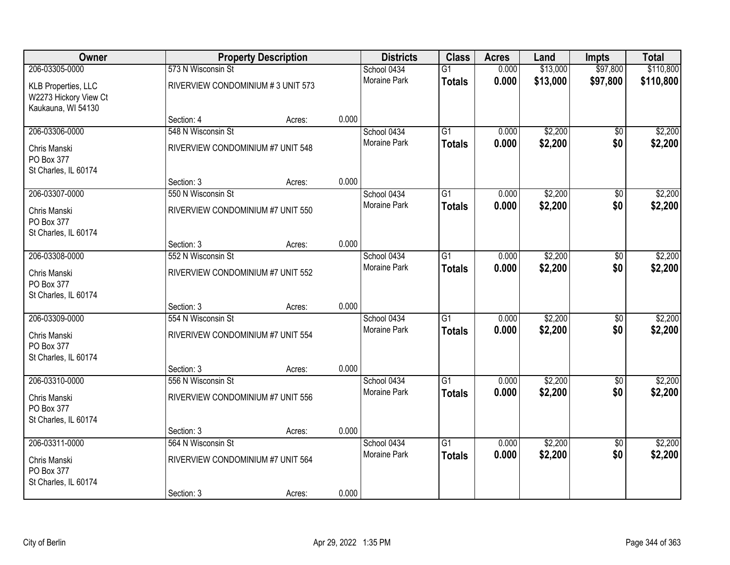| Owner                                                                     |                                   | <b>Property Description</b> |       | <b>Districts</b>    | <b>Class</b>    | <b>Acres</b> | Land     | <b>Impts</b>    | <b>Total</b> |
|---------------------------------------------------------------------------|-----------------------------------|-----------------------------|-------|---------------------|-----------------|--------------|----------|-----------------|--------------|
| 206-03305-0000                                                            | 573 N Wisconsin St                |                             |       | School 0434         | $\overline{G1}$ | 0.000        | \$13,000 | \$97,800        | \$110,800    |
| <b>KLB Properties, LLC</b><br>W2273 Hickory View Ct<br>Kaukauna, WI 54130 | RIVERVIEW CONDOMINIUM #3 UNIT 573 |                             |       | <b>Moraine Park</b> | <b>Totals</b>   | 0.000        | \$13,000 | \$97,800        | \$110,800    |
|                                                                           | Section: 4                        | Acres:                      | 0.000 |                     |                 |              |          |                 |              |
| 206-03306-0000                                                            | 548 N Wisconsin St                |                             |       | School 0434         | $\overline{G1}$ | 0.000        | \$2,200  | $\overline{50}$ | \$2,200      |
| Chris Manski<br>PO Box 377<br>St Charles, IL 60174                        | RIVERVIEW CONDOMINIUM #7 UNIT 548 |                             |       | Moraine Park        | <b>Totals</b>   | 0.000        | \$2,200  | \$0             | \$2,200      |
|                                                                           | Section: 3                        | Acres:                      | 0.000 |                     |                 |              |          |                 |              |
| 206-03307-0000                                                            | 550 N Wisconsin St                |                             |       | School 0434         | $\overline{G1}$ | 0.000        | \$2,200  | $\overline{50}$ | \$2,200      |
| Chris Manski<br>PO Box 377<br>St Charles, IL 60174                        | RIVERVIEW CONDOMINIUM #7 UNIT 550 |                             |       | Moraine Park        | <b>Totals</b>   | 0.000        | \$2,200  | \$0             | \$2,200      |
|                                                                           | Section: 3                        | Acres:                      | 0.000 |                     |                 |              |          |                 |              |
| 206-03308-0000                                                            | 552 N Wisconsin St                |                             |       | School 0434         | $\overline{G1}$ | 0.000        | \$2,200  | $\overline{30}$ | \$2,200      |
| Chris Manski<br>PO Box 377<br>St Charles, IL 60174                        | RIVERVIEW CONDOMINIUM #7 UNIT 552 |                             |       | Moraine Park        | <b>Totals</b>   | 0.000        | \$2,200  | \$0             | \$2,200      |
|                                                                           | Section: 3                        | Acres:                      | 0.000 |                     |                 |              |          |                 |              |
| 206-03309-0000                                                            | 554 N Wisconsin St                |                             |       | School 0434         | $\overline{G1}$ | 0.000        | \$2,200  | \$0             | \$2,200      |
| Chris Manski                                                              | RIVERIVEW CONDOMINIUM #7 UNIT 554 |                             |       | Moraine Park        | <b>Totals</b>   | 0.000        | \$2,200  | \$0             | \$2,200      |
| PO Box 377                                                                |                                   |                             |       |                     |                 |              |          |                 |              |
| St Charles, IL 60174                                                      |                                   |                             |       |                     |                 |              |          |                 |              |
|                                                                           | Section: 3                        | Acres:                      | 0.000 |                     |                 |              |          |                 |              |
| 206-03310-0000                                                            | 556 N Wisconsin St                |                             |       | School 0434         | $\overline{G1}$ | 0.000        | \$2,200  | $\sqrt{6}$      | \$2,200      |
| Chris Manski<br>PO Box 377                                                | RIVERVIEW CONDOMINIUM #7 UNIT 556 |                             |       | Moraine Park        | <b>Totals</b>   | 0.000        | \$2,200  | \$0             | \$2,200      |
| St Charles, IL 60174                                                      | Section: 3                        | Acres:                      | 0.000 |                     |                 |              |          |                 |              |
| 206-03311-0000                                                            | 564 N Wisconsin St                |                             |       | School 0434         | $\overline{G1}$ | 0.000        | \$2,200  | $\overline{50}$ | \$2,200      |
| Chris Manski<br>PO Box 377<br>St Charles, IL 60174                        | RIVERVIEW CONDOMINIUM #7 UNIT 564 |                             |       | Moraine Park        | <b>Totals</b>   | 0.000        | \$2,200  | \$0             | \$2,200      |
|                                                                           | Section: 3                        | Acres:                      | 0.000 |                     |                 |              |          |                 |              |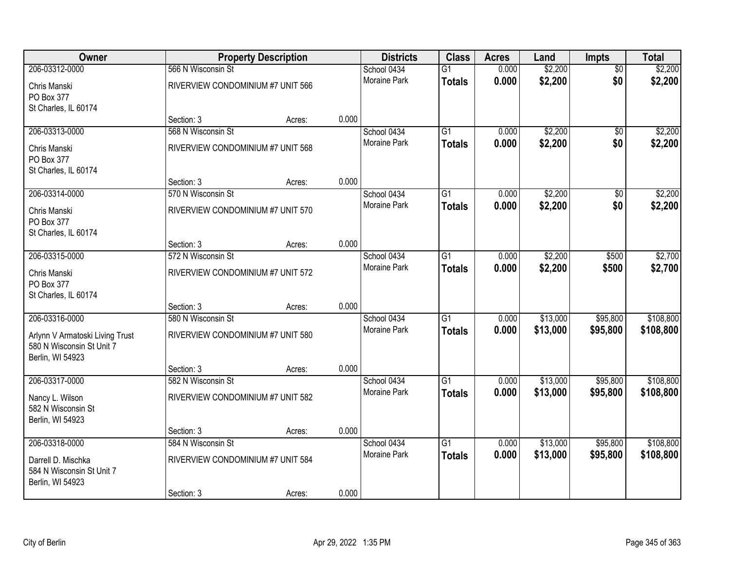| Owner                           | <b>Property Description</b>       |        |       | <b>Districts</b>    | <b>Class</b>    | <b>Acres</b> | Land     | Impts           | <b>Total</b> |
|---------------------------------|-----------------------------------|--------|-------|---------------------|-----------------|--------------|----------|-----------------|--------------|
| 206-03312-0000                  | 566 N Wisconsin St                |        |       | School 0434         | $\overline{G1}$ | 0.000        | \$2,200  | $\overline{50}$ | \$2,200      |
| Chris Manski                    | RIVERVIEW CONDOMINIUM #7 UNIT 566 |        |       | Moraine Park        | <b>Totals</b>   | 0.000        | \$2,200  | \$0             | \$2,200      |
| PO Box 377                      |                                   |        |       |                     |                 |              |          |                 |              |
| St Charles, IL 60174            |                                   |        |       |                     |                 |              |          |                 |              |
|                                 | Section: 3                        | Acres: | 0.000 |                     |                 |              |          |                 |              |
| 206-03313-0000                  | 568 N Wisconsin St                |        |       | School 0434         | $\overline{G1}$ | 0.000        | \$2,200  | \$0             | \$2,200      |
| Chris Manski                    | RIVERVIEW CONDOMINIUM #7 UNIT 568 |        |       | <b>Moraine Park</b> | <b>Totals</b>   | 0.000        | \$2,200  | \$0             | \$2,200      |
| PO Box 377                      |                                   |        |       |                     |                 |              |          |                 |              |
| St Charles, IL 60174            |                                   |        |       |                     |                 |              |          |                 |              |
|                                 | Section: 3                        | Acres: | 0.000 |                     |                 |              |          |                 |              |
| 206-03314-0000                  | 570 N Wisconsin St                |        |       | School 0434         | $\overline{G1}$ | 0.000        | \$2,200  | \$0             | \$2,200      |
| Chris Manski                    | RIVERVIEW CONDOMINIUM #7 UNIT 570 |        |       | Moraine Park        | <b>Totals</b>   | 0.000        | \$2,200  | \$0             | \$2,200      |
| PO Box 377                      |                                   |        |       |                     |                 |              |          |                 |              |
| St Charles, IL 60174            |                                   |        |       |                     |                 |              |          |                 |              |
|                                 | Section: 3                        | Acres: | 0.000 |                     |                 |              |          |                 |              |
| 206-03315-0000                  | 572 N Wisconsin St                |        |       | School 0434         | G1              | 0.000        | \$2,200  | \$500           | \$2,700      |
| Chris Manski                    | RIVERVIEW CONDOMINIUM #7 UNIT 572 |        |       | <b>Moraine Park</b> | <b>Totals</b>   | 0.000        | \$2,200  | \$500           | \$2,700      |
| PO Box 377                      |                                   |        |       |                     |                 |              |          |                 |              |
| St Charles, IL 60174            |                                   |        |       |                     |                 |              |          |                 |              |
|                                 | Section: 3                        | Acres: | 0.000 |                     |                 |              |          |                 |              |
| 206-03316-0000                  | 580 N Wisconsin St                |        |       | School 0434         | $\overline{G1}$ | 0.000        | \$13,000 | \$95,800        | \$108,800    |
| Arlynn V Armatoski Living Trust | RIVERVIEW CONDOMINIUM #7 UNIT 580 |        |       | Moraine Park        | <b>Totals</b>   | 0.000        | \$13,000 | \$95,800        | \$108,800    |
| 580 N Wisconsin St Unit 7       |                                   |        |       |                     |                 |              |          |                 |              |
| Berlin, WI 54923                |                                   |        |       |                     |                 |              |          |                 |              |
|                                 | Section: 3                        | Acres: | 0.000 |                     |                 |              |          |                 |              |
| 206-03317-0000                  | 582 N Wisconsin St                |        |       | School 0434         | $\overline{G1}$ | 0.000        | \$13,000 | \$95,800        | \$108,800    |
| Nancy L. Wilson                 | RIVERVIEW CONDOMINIUM #7 UNIT 582 |        |       | Moraine Park        | <b>Totals</b>   | 0.000        | \$13,000 | \$95,800        | \$108,800    |
| 582 N Wisconsin St              |                                   |        |       |                     |                 |              |          |                 |              |
| Berlin, WI 54923                |                                   |        |       |                     |                 |              |          |                 |              |
|                                 | Section: 3                        | Acres: | 0.000 |                     |                 |              |          |                 |              |
| 206-03318-0000                  | 584 N Wisconsin St                |        |       | School 0434         | $\overline{G1}$ | 0.000        | \$13,000 | \$95,800        | \$108,800    |
| Darrell D. Mischka              | RIVERVIEW CONDOMINIUM #7 UNIT 584 |        |       | <b>Moraine Park</b> | <b>Totals</b>   | 0.000        | \$13,000 | \$95,800        | \$108,800    |
| 584 N Wisconsin St Unit 7       |                                   |        |       |                     |                 |              |          |                 |              |
| Berlin, WI 54923                |                                   |        |       |                     |                 |              |          |                 |              |
|                                 | Section: 3                        | Acres: | 0.000 |                     |                 |              |          |                 |              |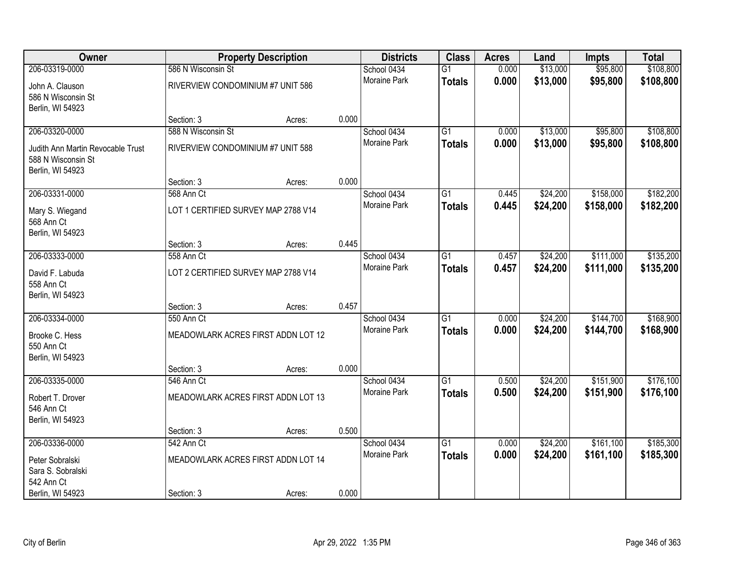| Owner                             |                                     | <b>Property Description</b> |       | <b>Districts</b>    | <b>Class</b>    | <b>Acres</b> | Land     | Impts     | <b>Total</b> |
|-----------------------------------|-------------------------------------|-----------------------------|-------|---------------------|-----------------|--------------|----------|-----------|--------------|
| 206-03319-0000                    | 586 N Wisconsin St                  |                             |       | School 0434         | $\overline{G1}$ | 0.000        | \$13,000 | \$95,800  | \$108,800    |
| John A. Clauson                   | RIVERVIEW CONDOMINIUM #7 UNIT 586   |                             |       | Moraine Park        | <b>Totals</b>   | 0.000        | \$13,000 | \$95,800  | \$108,800    |
| 586 N Wisconsin St                |                                     |                             |       |                     |                 |              |          |           |              |
| Berlin, WI 54923                  |                                     |                             |       |                     |                 |              |          |           |              |
|                                   | Section: 3                          | Acres:                      | 0.000 |                     |                 |              |          |           |              |
| 206-03320-0000                    | 588 N Wisconsin St                  |                             |       | School 0434         | $\overline{G1}$ | 0.000        | \$13,000 | \$95,800  | \$108,800    |
| Judith Ann Martin Revocable Trust | RIVERVIEW CONDOMINIUM #7 UNIT 588   |                             |       | Moraine Park        | <b>Totals</b>   | 0.000        | \$13,000 | \$95,800  | \$108,800    |
| 588 N Wisconsin St                |                                     |                             |       |                     |                 |              |          |           |              |
| Berlin, WI 54923                  | Section: 3                          | Acres:                      | 0.000 |                     |                 |              |          |           |              |
| 206-03331-0000                    | 568 Ann Ct                          |                             |       | School 0434         | G1              | 0.445        | \$24,200 | \$158,000 | \$182,200    |
|                                   |                                     |                             |       | Moraine Park        | <b>Totals</b>   | 0.445        | \$24,200 | \$158,000 | \$182,200    |
| Mary S. Wiegand<br>568 Ann Ct     | LOT 1 CERTIFIED SURVEY MAP 2788 V14 |                             |       |                     |                 |              |          |           |              |
| Berlin, WI 54923                  |                                     |                             |       |                     |                 |              |          |           |              |
|                                   | Section: 3                          | Acres:                      | 0.445 |                     |                 |              |          |           |              |
| 206-03333-0000                    | 558 Ann Ct                          |                             |       | School 0434         | G1              | 0.457        | \$24,200 | \$111,000 | \$135,200    |
| David F. Labuda                   | LOT 2 CERTIFIED SURVEY MAP 2788 V14 |                             |       | <b>Moraine Park</b> | <b>Totals</b>   | 0.457        | \$24,200 | \$111,000 | \$135,200    |
| 558 Ann Ct                        |                                     |                             |       |                     |                 |              |          |           |              |
| Berlin, WI 54923                  |                                     |                             |       |                     |                 |              |          |           |              |
|                                   | Section: 3                          | Acres:                      | 0.457 |                     |                 |              |          |           |              |
| 206-03334-0000                    | 550 Ann Ct                          |                             |       | School 0434         | $\overline{G1}$ | 0.000        | \$24,200 | \$144,700 | \$168,900    |
| Brooke C. Hess                    | MEADOWLARK ACRES FIRST ADDN LOT 12  |                             |       | Moraine Park        | <b>Totals</b>   | 0.000        | \$24,200 | \$144,700 | \$168,900    |
| 550 Ann Ct                        |                                     |                             |       |                     |                 |              |          |           |              |
| Berlin, WI 54923                  |                                     |                             |       |                     |                 |              |          |           |              |
| 206-03335-0000                    | Section: 3<br>546 Ann Ct            | Acres:                      | 0.000 | School 0434         | $\overline{G1}$ | 0.500        | \$24,200 | \$151,900 | \$176,100    |
|                                   |                                     |                             |       | Moraine Park        | <b>Totals</b>   | 0.500        | \$24,200 | \$151,900 | \$176,100    |
| Robert T. Drover                  | MEADOWLARK ACRES FIRST ADDN LOT 13  |                             |       |                     |                 |              |          |           |              |
| 546 Ann Ct<br>Berlin, WI 54923    |                                     |                             |       |                     |                 |              |          |           |              |
|                                   | Section: 3                          | Acres:                      | 0.500 |                     |                 |              |          |           |              |
| 206-03336-0000                    | 542 Ann Ct                          |                             |       | School 0434         | $\overline{G1}$ | 0.000        | \$24,200 | \$161,100 | \$185,300    |
| Peter Sobralski                   | MEADOWLARK ACRES FIRST ADDN LOT 14  |                             |       | Moraine Park        | <b>Totals</b>   | 0.000        | \$24,200 | \$161,100 | \$185,300    |
| Sara S. Sobralski                 |                                     |                             |       |                     |                 |              |          |           |              |
| 542 Ann Ct                        |                                     |                             |       |                     |                 |              |          |           |              |
| Berlin, WI 54923                  | Section: 3                          | Acres:                      | 0.000 |                     |                 |              |          |           |              |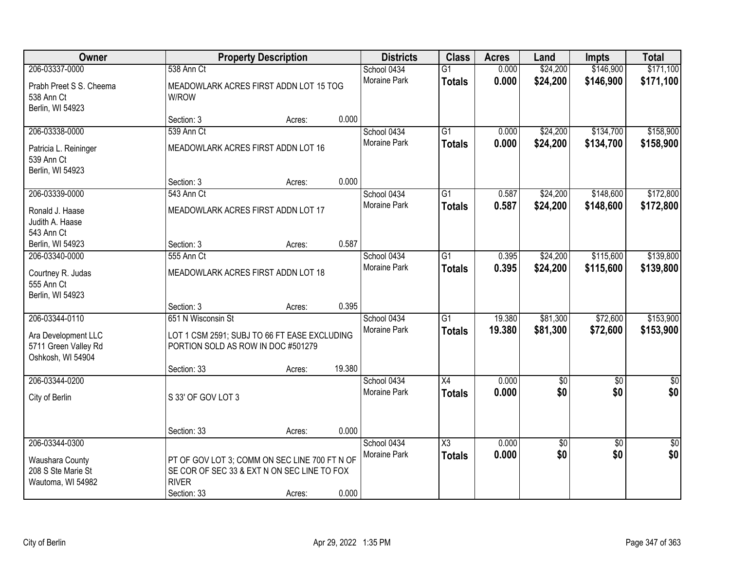| Owner                                                            |                                                                                                   | <b>Property Description</b> |        | <b>Districts</b>    | <b>Class</b>           | <b>Acres</b> | Land            | <b>Impts</b>    | <b>Total</b>    |
|------------------------------------------------------------------|---------------------------------------------------------------------------------------------------|-----------------------------|--------|---------------------|------------------------|--------------|-----------------|-----------------|-----------------|
| 206-03337-0000                                                   | 538 Ann Ct                                                                                        |                             |        | School 0434         | $\overline{G1}$        | 0.000        | \$24,200        | \$146,900       | \$171,100       |
| Prabh Preet S S. Cheema<br>538 Ann Ct<br>Berlin, WI 54923        | MEADOWLARK ACRES FIRST ADDN LOT 15 TOG<br>W/ROW                                                   |                             |        | Moraine Park        | <b>Totals</b>          | 0.000        | \$24,200        | \$146,900       | \$171,100       |
|                                                                  | Section: 3                                                                                        | Acres:                      | 0.000  |                     |                        |              |                 |                 |                 |
| 206-03338-0000                                                   | 539 Ann Ct                                                                                        |                             |        | School 0434         | G1                     | 0.000        | \$24,200        | \$134,700       | \$158,900       |
| Patricia L. Reininger<br>539 Ann Ct<br>Berlin, WI 54923          | MEADOWLARK ACRES FIRST ADDN LOT 16                                                                |                             |        | <b>Moraine Park</b> | <b>Totals</b>          | 0.000        | \$24,200        | \$134,700       | \$158,900       |
|                                                                  | Section: 3                                                                                        | Acres:                      | 0.000  |                     |                        |              |                 |                 |                 |
| 206-03339-0000                                                   | 543 Ann Ct                                                                                        |                             |        | School 0434         | $\overline{G1}$        | 0.587        | \$24,200        | \$148,600       | \$172,800       |
| Ronald J. Haase<br>Judith A. Haase<br>543 Ann Ct                 | MEADOWLARK ACRES FIRST ADDN LOT 17                                                                |                             |        | Moraine Park        | <b>Totals</b>          | 0.587        | \$24,200        | \$148,600       | \$172,800       |
| Berlin, WI 54923                                                 | Section: 3                                                                                        | Acres:                      | 0.587  |                     |                        |              |                 |                 |                 |
| 206-03340-0000                                                   | 555 Ann Ct                                                                                        |                             |        | School 0434         | $\overline{G1}$        | 0.395        | \$24,200        | \$115,600       | \$139,800       |
| Courtney R. Judas<br>555 Ann Ct<br>Berlin, WI 54923              | MEADOWLARK ACRES FIRST ADDN LOT 18                                                                |                             |        | Moraine Park        | <b>Totals</b>          | 0.395        | \$24,200        | \$115,600       | \$139,800       |
|                                                                  | Section: 3                                                                                        | Acres:                      | 0.395  |                     |                        |              |                 |                 |                 |
| 206-03344-0110                                                   | 651 N Wisconsin St                                                                                |                             |        | School 0434         | $\overline{G1}$        | 19.380       | \$81,300        | \$72,600        | \$153,900       |
| Ara Development LLC<br>5711 Green Valley Rd<br>Oshkosh, WI 54904 | LOT 1 CSM 2591; SUBJ TO 66 FT EASE EXCLUDING<br>PORTION SOLD AS ROW IN DOC #501279<br>Section: 33 | Acres:                      | 19.380 | Moraine Park        | <b>Totals</b>          | 19.380       | \$81,300        | \$72,600        | \$153,900       |
| 206-03344-0200                                                   |                                                                                                   |                             |        | School 0434         | $\overline{X4}$        | 0.000        | $\overline{50}$ | $\overline{50}$ | \$0             |
| City of Berlin                                                   | S 33' OF GOV LOT 3                                                                                |                             |        | Moraine Park        | <b>Totals</b>          | 0.000        | \$0             | \$0             | \$0             |
|                                                                  | Section: 33                                                                                       | Acres:                      | 0.000  |                     |                        |              |                 |                 |                 |
| 206-03344-0300                                                   |                                                                                                   |                             |        | School 0434         | $\overline{\text{X3}}$ | 0.000        | $\overline{60}$ | $\overline{30}$ | $\overline{30}$ |
| Waushara County                                                  | PT OF GOV LOT 3; COMM ON SEC LINE 700 FT N OF                                                     |                             |        | Moraine Park        | <b>Totals</b>          | 0.000        | \$0             | \$0             | \$0             |
| 208 S Ste Marie St                                               | SE COR OF SEC 33 & EXT N ON SEC LINE TO FOX                                                       |                             |        |                     |                        |              |                 |                 |                 |
| Wautoma, WI 54982                                                | <b>RIVER</b><br>Section: 33                                                                       | Acres:                      | 0.000  |                     |                        |              |                 |                 |                 |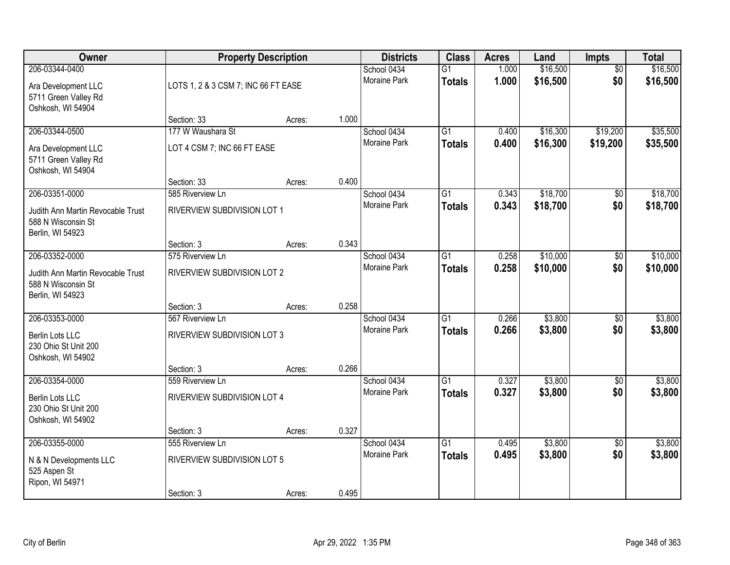| Owner                                                                                         |                                                               | <b>Property Description</b> |       | <b>Districts</b>                   | <b>Class</b>                     | <b>Acres</b>   | Land                 | Impts                  | <b>Total</b>         |
|-----------------------------------------------------------------------------------------------|---------------------------------------------------------------|-----------------------------|-------|------------------------------------|----------------------------------|----------------|----------------------|------------------------|----------------------|
| 206-03344-0400<br>Ara Development LLC<br>5711 Green Valley Rd<br>Oshkosh, WI 54904            | LOTS 1, 2 & 3 CSM 7; INC 66 FT EASE                           |                             |       | School 0434<br>Moraine Park        | $\overline{G1}$<br><b>Totals</b> | 1.000<br>1.000 | \$16,500<br>\$16,500 | $\overline{50}$<br>\$0 | \$16,500<br>\$16,500 |
|                                                                                               | Section: 33                                                   | Acres:                      | 1.000 |                                    |                                  |                |                      |                        |                      |
| 206-03344-0500<br>Ara Development LLC<br>5711 Green Valley Rd<br>Oshkosh, WI 54904            | 177 W Waushara St<br>LOT 4 CSM 7; INC 66 FT EASE              |                             |       | School 0434<br><b>Moraine Park</b> | $\overline{G1}$<br><b>Totals</b> | 0.400<br>0.400 | \$16,300<br>\$16,300 | \$19,200<br>\$19,200   | \$35,500<br>\$35,500 |
|                                                                                               | Section: 33                                                   | Acres:                      | 0.400 |                                    |                                  |                |                      |                        |                      |
| 206-03351-0000<br>Judith Ann Martin Revocable Trust<br>588 N Wisconsin St<br>Berlin, WI 54923 | 585 Riverview Ln<br>RIVERVIEW SUBDIVISION LOT 1               |                             |       | School 0434<br>Moraine Park        | $\overline{G1}$<br><b>Totals</b> | 0.343<br>0.343 | \$18,700<br>\$18,700 | \$0<br>\$0             | \$18,700<br>\$18,700 |
|                                                                                               | Section: 3                                                    | Acres:                      | 0.343 |                                    |                                  |                |                      |                        |                      |
| 206-03352-0000<br>Judith Ann Martin Revocable Trust<br>588 N Wisconsin St<br>Berlin, WI 54923 | 575 Riverview Ln<br>RIVERVIEW SUBDIVISION LOT 2               |                             |       | School 0434<br><b>Moraine Park</b> | G1<br><b>Totals</b>              | 0.258<br>0.258 | \$10,000<br>\$10,000 | \$0<br>\$0             | \$10,000<br>\$10,000 |
|                                                                                               | Section: 3                                                    | Acres:                      | 0.258 |                                    |                                  |                |                      |                        |                      |
| 206-03353-0000<br>Berlin Lots LLC<br>230 Ohio St Unit 200<br>Oshkosh, WI 54902                | 567 Riverview Ln<br>RIVERVIEW SUBDIVISION LOT 3               |                             | 0.266 | School 0434<br><b>Moraine Park</b> | $\overline{G1}$<br><b>Totals</b> | 0.266<br>0.266 | \$3,800<br>\$3,800   | $\overline{50}$<br>\$0 | \$3,800<br>\$3,800   |
| 206-03354-0000                                                                                | Section: 3<br>559 Riverview Ln                                | Acres:                      |       | School 0434                        | $\overline{G1}$                  | 0.327          | \$3,800              | $\sqrt{6}$             | \$3,800              |
| Berlin Lots LLC<br>230 Ohio St Unit 200<br>Oshkosh, WI 54902                                  | RIVERVIEW SUBDIVISION LOT 4                                   |                             |       | Moraine Park                       | <b>Totals</b>                    | 0.327          | \$3,800              | \$0                    | \$3,800              |
|                                                                                               | Section: 3                                                    | Acres:                      | 0.327 |                                    |                                  |                |                      |                        |                      |
| 206-03355-0000<br>N & N Developments LLC<br>525 Aspen St<br>Ripon, WI 54971                   | 555 Riverview Ln<br>RIVERVIEW SUBDIVISION LOT 5<br>Section: 3 | Acres:                      | 0.495 | School 0434<br><b>Moraine Park</b> | $\overline{G1}$<br><b>Totals</b> | 0.495<br>0.495 | \$3,800<br>\$3,800   | $\overline{50}$<br>\$0 | \$3,800<br>\$3,800   |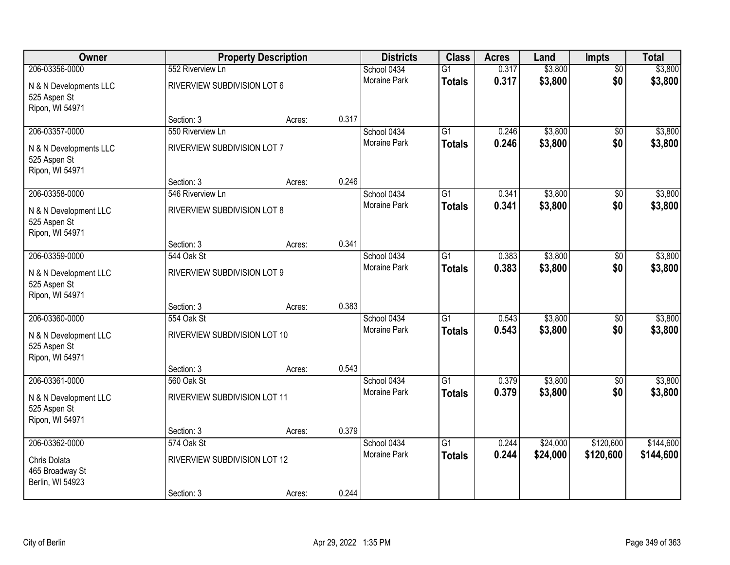| Owner                                                     |                              | <b>Property Description</b> |       | <b>Districts</b>    | <b>Class</b>    | <b>Acres</b> | Land     | Impts           | <b>Total</b> |
|-----------------------------------------------------------|------------------------------|-----------------------------|-------|---------------------|-----------------|--------------|----------|-----------------|--------------|
| 206-03356-0000                                            | 552 Riverview Ln             |                             |       | School 0434         | $\overline{G1}$ | 0.317        | \$3,800  | $\overline{50}$ | \$3,800      |
| N & N Developments LLC<br>525 Aspen St<br>Ripon, WI 54971 | RIVERVIEW SUBDIVISION LOT 6  |                             |       | Moraine Park        | <b>Totals</b>   | 0.317        | \$3,800  | \$0             | \$3,800      |
|                                                           | Section: 3                   | Acres:                      | 0.317 |                     |                 |              |          |                 |              |
| 206-03357-0000                                            | 550 Riverview Ln             |                             |       | School 0434         | $\overline{G1}$ | 0.246        | \$3,800  | $\overline{50}$ | \$3,800      |
| N & N Developments LLC<br>525 Aspen St<br>Ripon, WI 54971 | RIVERVIEW SUBDIVISION LOT 7  |                             |       | Moraine Park        | <b>Totals</b>   | 0.246        | \$3,800  | \$0             | \$3,800      |
|                                                           | Section: 3                   | Acres:                      | 0.246 |                     |                 |              |          |                 |              |
| 206-03358-0000                                            | 546 Riverview Ln             |                             |       | School 0434         | $\overline{G1}$ | 0.341        | \$3,800  | \$0             | \$3,800      |
| N & N Development LLC<br>525 Aspen St<br>Ripon, WI 54971  | RIVERVIEW SUBDIVISION LOT 8  |                             |       | Moraine Park        | <b>Totals</b>   | 0.341        | \$3,800  | \$0             | \$3,800      |
|                                                           | Section: 3                   | Acres:                      | 0.341 |                     |                 |              |          |                 |              |
| 206-03359-0000                                            | 544 Oak St                   |                             |       | School 0434         | G1              | 0.383        | \$3,800  | \$0             | \$3,800      |
| N & N Development LLC<br>525 Aspen St<br>Ripon, WI 54971  | RIVERVIEW SUBDIVISION LOT 9  |                             |       | Moraine Park        | <b>Totals</b>   | 0.383        | \$3,800  | \$0             | \$3,800      |
|                                                           | Section: 3                   | Acres:                      | 0.383 |                     |                 |              |          |                 |              |
| 206-03360-0000                                            | 554 Oak St                   |                             |       | School 0434         | $\overline{G1}$ | 0.543        | \$3,800  | $\overline{50}$ | \$3,800      |
| N & N Development LLC<br>525 Aspen St<br>Ripon, WI 54971  | RIVERVIEW SUBDIVISION LOT 10 |                             |       | Moraine Park        | <b>Totals</b>   | 0.543        | \$3,800  | \$0             | \$3,800      |
|                                                           | Section: 3                   | Acres:                      | 0.543 |                     |                 |              |          |                 |              |
| 206-03361-0000                                            | 560 Oak St                   |                             |       | School 0434         | $\overline{G1}$ | 0.379        | \$3,800  | $\overline{50}$ | \$3,800      |
| N & N Development LLC<br>525 Aspen St<br>Ripon, WI 54971  | RIVERVIEW SUBDIVISION LOT 11 |                             |       | Moraine Park        | <b>Totals</b>   | 0.379        | \$3,800  | \$0             | \$3,800      |
|                                                           | Section: 3                   | Acres:                      | 0.379 |                     |                 |              |          |                 |              |
| 206-03362-0000                                            | 574 Oak St                   |                             |       | School 0434         | $\overline{G1}$ | 0.244        | \$24,000 | \$120,600       | \$144,600    |
| Chris Dolata<br>465 Broadway St<br>Berlin, WI 54923       | RIVERVIEW SUBDIVISION LOT 12 |                             |       | <b>Moraine Park</b> | <b>Totals</b>   | 0.244        | \$24,000 | \$120,600       | \$144,600    |
|                                                           | Section: 3                   | Acres:                      | 0.244 |                     |                 |              |          |                 |              |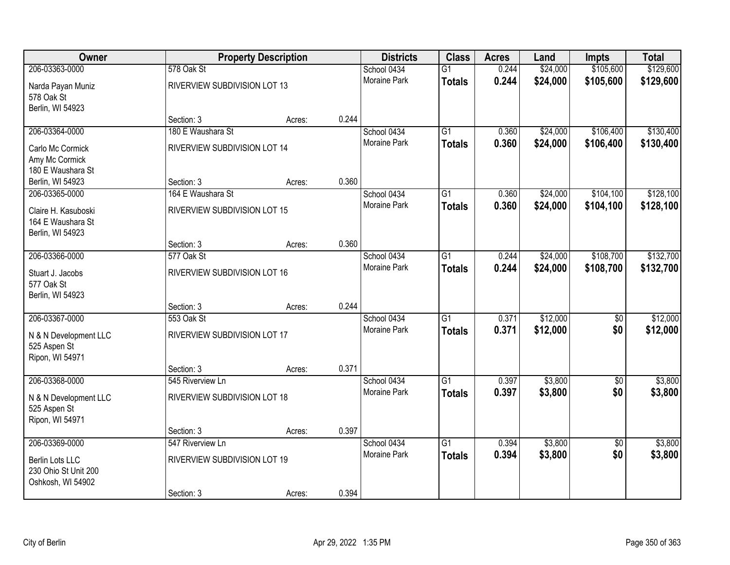| Owner                              |                                 | <b>Property Description</b> |       | <b>Districts</b>    | <b>Class</b>    | <b>Acres</b> | Land     | Impts           | <b>Total</b> |
|------------------------------------|---------------------------------|-----------------------------|-------|---------------------|-----------------|--------------|----------|-----------------|--------------|
| 206-03363-0000                     | 578 Oak St                      |                             |       | School 0434         | $\overline{G1}$ | 0.244        | \$24,000 | \$105,600       | \$129,600    |
| Narda Payan Muniz                  | RIVERVIEW SUBDIVISION LOT 13    |                             |       | <b>Moraine Park</b> | <b>Totals</b>   | 0.244        | \$24,000 | \$105,600       | \$129,600    |
| 578 Oak St                         |                                 |                             |       |                     |                 |              |          |                 |              |
| Berlin, WI 54923                   |                                 |                             |       |                     |                 |              |          |                 |              |
|                                    | Section: 3                      | Acres:                      | 0.244 |                     |                 |              |          |                 |              |
| 206-03364-0000                     | 180 E Waushara St               |                             |       | School 0434         | $\overline{G1}$ | 0.360        | \$24,000 | \$106,400       | \$130,400    |
| Carlo Mc Cormick                   | RIVERVIEW SUBDIVISION LOT 14    |                             |       | Moraine Park        | <b>Totals</b>   | 0.360        | \$24,000 | \$106,400       | \$130,400    |
| Amy Mc Cormick                     |                                 |                             |       |                     |                 |              |          |                 |              |
| 180 E Waushara St                  |                                 |                             | 0.360 |                     |                 |              |          |                 |              |
| Berlin, WI 54923<br>206-03365-0000 | Section: 3<br>164 E Waushara St | Acres:                      |       | School 0434         | G1              | 0.360        | \$24,000 | \$104,100       | \$128,100    |
|                                    |                                 |                             |       | Moraine Park        | <b>Totals</b>   | 0.360        | \$24,000 | \$104,100       | \$128,100    |
| Claire H. Kasuboski                | RIVERVIEW SUBDIVISION LOT 15    |                             |       |                     |                 |              |          |                 |              |
| 164 E Waushara St                  |                                 |                             |       |                     |                 |              |          |                 |              |
| Berlin, WI 54923                   | Section: 3                      | Acres:                      | 0.360 |                     |                 |              |          |                 |              |
| 206-03366-0000                     | 577 Oak St                      |                             |       | School 0434         | $\overline{G1}$ | 0.244        | \$24,000 | \$108,700       | \$132,700    |
|                                    |                                 |                             |       | Moraine Park        | <b>Totals</b>   | 0.244        | \$24,000 | \$108,700       | \$132,700    |
| Stuart J. Jacobs<br>577 Oak St     | RIVERVIEW SUBDIVISION LOT 16    |                             |       |                     |                 |              |          |                 |              |
| Berlin, WI 54923                   |                                 |                             |       |                     |                 |              |          |                 |              |
|                                    | Section: 3                      | Acres:                      | 0.244 |                     |                 |              |          |                 |              |
| 206-03367-0000                     | 553 Oak St                      |                             |       | School 0434         | $\overline{G1}$ | 0.371        | \$12,000 | $\overline{60}$ | \$12,000     |
| N & N Development LLC              | RIVERVIEW SUBDIVISION LOT 17    |                             |       | Moraine Park        | <b>Totals</b>   | 0.371        | \$12,000 | \$0             | \$12,000     |
| 525 Aspen St                       |                                 |                             |       |                     |                 |              |          |                 |              |
| Ripon, WI 54971                    |                                 |                             |       |                     |                 |              |          |                 |              |
|                                    | Section: 3                      | Acres:                      | 0.371 |                     |                 |              |          |                 |              |
| 206-03368-0000                     | 545 Riverview Ln                |                             |       | School 0434         | $\overline{G1}$ | 0.397        | \$3,800  | $\sqrt{6}$      | \$3,800      |
| N & N Development LLC              | RIVERVIEW SUBDIVISION LOT 18    |                             |       | Moraine Park        | <b>Totals</b>   | 0.397        | \$3,800  | \$0             | \$3,800      |
| 525 Aspen St                       |                                 |                             |       |                     |                 |              |          |                 |              |
| Ripon, WI 54971                    |                                 |                             |       |                     |                 |              |          |                 |              |
|                                    | Section: 3                      | Acres:                      | 0.397 |                     |                 |              |          |                 |              |
| 206-03369-0000                     | 547 Riverview Ln                |                             |       | School 0434         | $\overline{G1}$ | 0.394        | \$3,800  | $\overline{50}$ | \$3,800      |
| Berlin Lots LLC                    | RIVERVIEW SUBDIVISION LOT 19    |                             |       | Moraine Park        | <b>Totals</b>   | 0.394        | \$3,800  | \$0             | \$3,800      |
| 230 Ohio St Unit 200               |                                 |                             |       |                     |                 |              |          |                 |              |
| Oshkosh, WI 54902                  |                                 |                             |       |                     |                 |              |          |                 |              |
|                                    | Section: 3                      | Acres:                      | 0.394 |                     |                 |              |          |                 |              |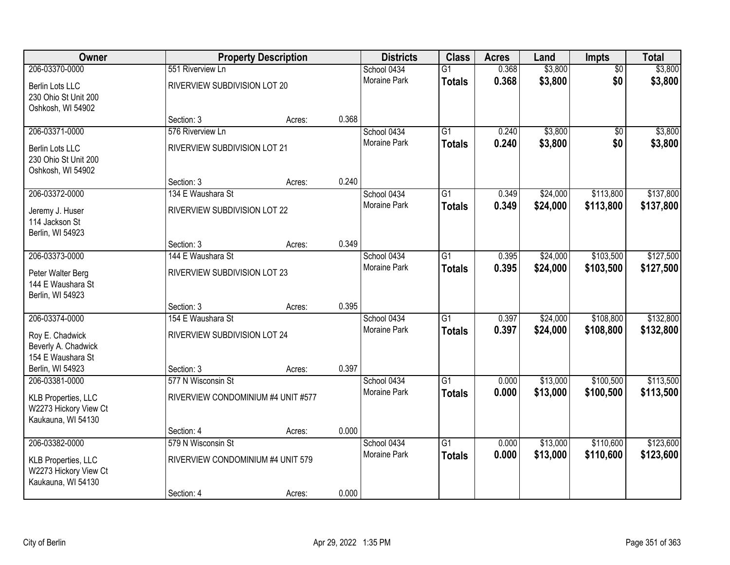| <b>Owner</b>                                                              |                                    | <b>Property Description</b> |       | <b>Districts</b>    | <b>Class</b>    | <b>Acres</b> | Land     | <b>Impts</b>    | <b>Total</b> |
|---------------------------------------------------------------------------|------------------------------------|-----------------------------|-------|---------------------|-----------------|--------------|----------|-----------------|--------------|
| 206-03370-0000                                                            | 551 Riverview Ln                   |                             |       | School 0434         | $\overline{G1}$ | 0.368        | \$3,800  | $\overline{50}$ | \$3,800      |
| Berlin Lots LLC<br>230 Ohio St Unit 200<br>Oshkosh, WI 54902              | RIVERVIEW SUBDIVISION LOT 20       |                             |       | <b>Moraine Park</b> | <b>Totals</b>   | 0.368        | \$3,800  | \$0             | \$3,800      |
|                                                                           | Section: 3                         | Acres:                      | 0.368 |                     |                 |              |          |                 |              |
| 206-03371-0000                                                            | 576 Riverview Ln                   |                             |       | School 0434         | $\overline{G1}$ | 0.240        | \$3,800  | $\overline{50}$ | \$3,800      |
| <b>Berlin Lots LLC</b><br>230 Ohio St Unit 200<br>Oshkosh, WI 54902       | RIVERVIEW SUBDIVISION LOT 21       |                             |       | Moraine Park        | <b>Totals</b>   | 0.240        | \$3,800  | \$0             | \$3,800      |
|                                                                           | Section: 3                         | Acres:                      | 0.240 |                     |                 |              |          |                 |              |
| 206-03372-0000                                                            | 134 E Waushara St                  |                             |       | School 0434         | $\overline{G1}$ | 0.349        | \$24,000 | \$113,800       | \$137,800    |
| Jeremy J. Huser<br>114 Jackson St<br>Berlin, WI 54923                     | RIVERVIEW SUBDIVISION LOT 22       |                             |       | Moraine Park        | <b>Totals</b>   | 0.349        | \$24,000 | \$113,800       | \$137,800    |
|                                                                           | Section: 3                         | Acres:                      | 0.349 |                     |                 |              |          |                 |              |
| 206-03373-0000                                                            | 144 E Waushara St                  |                             |       | School 0434         | $\overline{G1}$ | 0.395        | \$24,000 | \$103,500       | \$127,500    |
| Peter Walter Berg<br>144 E Waushara St<br>Berlin, WI 54923                | RIVERVIEW SUBDIVISION LOT 23       |                             |       | Moraine Park        | <b>Totals</b>   | 0.395        | \$24,000 | \$103,500       | \$127,500    |
|                                                                           | Section: 3                         | Acres:                      | 0.395 |                     |                 |              |          |                 |              |
| 206-03374-0000                                                            | 154 E Waushara St                  |                             |       | School 0434         | $\overline{G1}$ | 0.397        | \$24,000 | \$108,800       | \$132,800    |
| Roy E. Chadwick                                                           | RIVERVIEW SUBDIVISION LOT 24       |                             |       | Moraine Park        | <b>Totals</b>   | 0.397        | \$24,000 | \$108,800       | \$132,800    |
| Beverly A. Chadwick                                                       |                                    |                             |       |                     |                 |              |          |                 |              |
| 154 E Waushara St                                                         |                                    |                             |       |                     |                 |              |          |                 |              |
| Berlin, WI 54923<br>206-03381-0000                                        | Section: 3<br>577 N Wisconsin St   | Acres:                      | 0.397 | School 0434         | $\overline{G1}$ | 0.000        | \$13,000 | \$100,500       | \$113,500    |
|                                                                           |                                    |                             |       | Moraine Park        | <b>Totals</b>   | 0.000        | \$13,000 | \$100,500       | \$113,500    |
| <b>KLB Properties, LLC</b><br>W2273 Hickory View Ct<br>Kaukauna, WI 54130 | RIVERVIEW CONDOMINIUM #4 UNIT #577 |                             |       |                     |                 |              |          |                 |              |
|                                                                           | Section: 4                         | Acres:                      | 0.000 |                     |                 |              |          |                 |              |
| 206-03382-0000                                                            | 579 N Wisconsin St                 |                             |       | School 0434         | $\overline{G1}$ | 0.000        | \$13,000 | \$110,600       | \$123,600    |
| <b>KLB Properties, LLC</b><br>W2273 Hickory View Ct<br>Kaukauna, WI 54130 | RIVERVIEW CONDOMINIUM #4 UNIT 579  |                             |       | <b>Moraine Park</b> | <b>Totals</b>   | 0.000        | \$13,000 | \$110,600       | \$123,600    |
|                                                                           | Section: 4                         | Acres:                      | 0.000 |                     |                 |              |          |                 |              |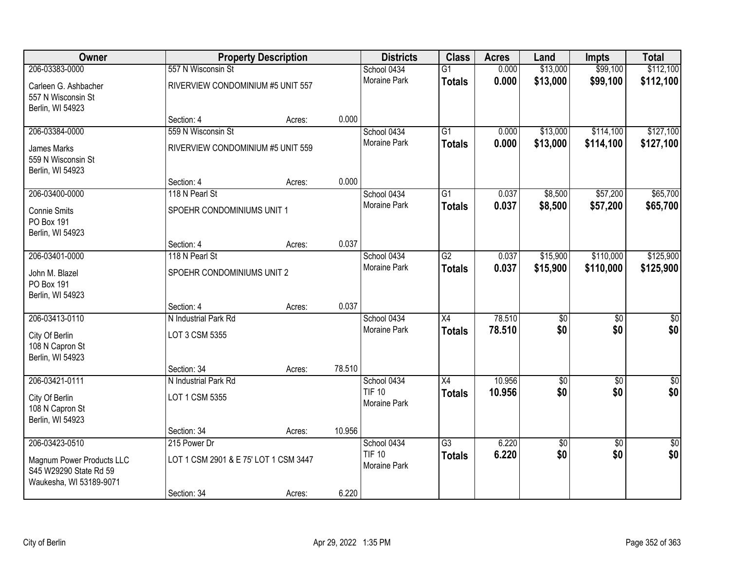| Owner                     |                                       | <b>Property Description</b> |        | <b>Districts</b>                   | <b>Class</b>    | <b>Acres</b> | Land             | <b>Impts</b>    | <b>Total</b>     |
|---------------------------|---------------------------------------|-----------------------------|--------|------------------------------------|-----------------|--------------|------------------|-----------------|------------------|
| 206-03383-0000            | 557 N Wisconsin St                    |                             |        | School 0434                        | $\overline{G1}$ | 0.000        | \$13,000         | \$99,100        | \$112,100        |
| Carleen G. Ashbacher      | RIVERVIEW CONDOMINIUM #5 UNIT 557     |                             |        | Moraine Park                       | <b>Totals</b>   | 0.000        | \$13,000         | \$99,100        | \$112,100        |
| 557 N Wisconsin St        |                                       |                             |        |                                    |                 |              |                  |                 |                  |
| Berlin, WI 54923          |                                       |                             |        |                                    |                 |              |                  |                 |                  |
|                           | Section: 4                            | Acres:                      | 0.000  |                                    |                 |              |                  |                 |                  |
| 206-03384-0000            | 559 N Wisconsin St                    |                             |        | School 0434<br><b>Moraine Park</b> | $\overline{G1}$ | 0.000        | \$13,000         | \$114,100       | \$127,100        |
| James Marks               | RIVERVIEW CONDOMINIUM #5 UNIT 559     |                             |        |                                    | <b>Totals</b>   | 0.000        | \$13,000         | \$114,100       | \$127,100        |
| 559 N Wisconsin St        |                                       |                             |        |                                    |                 |              |                  |                 |                  |
| Berlin, WI 54923          |                                       |                             |        |                                    |                 |              |                  |                 |                  |
|                           | Section: 4                            | Acres:                      | 0.000  |                                    |                 |              |                  |                 |                  |
| 206-03400-0000            | 118 N Pearl St                        |                             |        | School 0434                        | G1              | 0.037        | \$8,500          | \$57,200        | \$65,700         |
| <b>Connie Smits</b>       | SPOEHR CONDOMINIUMS UNIT 1            |                             |        | Moraine Park                       | <b>Totals</b>   | 0.037        | \$8,500          | \$57,200        | \$65,700         |
| PO Box 191                |                                       |                             |        |                                    |                 |              |                  |                 |                  |
| Berlin, WI 54923          |                                       |                             |        |                                    |                 |              |                  |                 |                  |
|                           | Section: 4                            | Acres:                      | 0.037  |                                    |                 |              |                  |                 |                  |
| 206-03401-0000            | 118 N Pearl St                        |                             |        | School 0434                        | $\overline{G2}$ | 0.037        | \$15,900         | \$110,000       | \$125,900        |
| John M. Blazel            | SPOEHR CONDOMINIUMS UNIT 2            |                             |        | Moraine Park                       | <b>Totals</b>   | 0.037        | \$15,900         | \$110,000       | \$125,900        |
| <b>PO Box 191</b>         |                                       |                             |        |                                    |                 |              |                  |                 |                  |
| Berlin, WI 54923          |                                       |                             |        |                                    |                 |              |                  |                 |                  |
|                           | Section: 4                            | Acres:                      | 0.037  |                                    |                 |              |                  |                 |                  |
| 206-03413-0110            | N Industrial Park Rd                  |                             |        | School 0434                        | $\overline{X4}$ | 78.510       | $\overline{50}$  | $\overline{50}$ | $\overline{50}$  |
| City Of Berlin            | LOT 3 CSM 5355                        |                             |        | Moraine Park                       | <b>Totals</b>   | 78.510       | \$0              | \$0             | \$0              |
| 108 N Capron St           |                                       |                             |        |                                    |                 |              |                  |                 |                  |
| Berlin, WI 54923          |                                       |                             |        |                                    |                 |              |                  |                 |                  |
|                           | Section: 34                           | Acres:                      | 78.510 |                                    |                 |              |                  |                 |                  |
| 206-03421-0111            | N Industrial Park Rd                  |                             |        | School 0434                        | $\overline{X4}$ | 10.956       | $\overline{\$0}$ | $\overline{50}$ | $\overline{\$0}$ |
| City Of Berlin            | LOT 1 CSM 5355                        |                             |        | <b>TIF 10</b>                      | <b>Totals</b>   | 10.956       | \$0              | \$0             | \$0              |
| 108 N Capron St           |                                       |                             |        | Moraine Park                       |                 |              |                  |                 |                  |
| Berlin, WI 54923          |                                       |                             |        |                                    |                 |              |                  |                 |                  |
|                           | Section: 34                           | Acres:                      | 10.956 |                                    |                 |              |                  |                 |                  |
| 206-03423-0510            | 215 Power Dr                          |                             |        | School 0434                        | $\overline{G3}$ | 6.220        | \$0              | $\overline{30}$ | $\overline{50}$  |
| Magnum Power Products LLC | LOT 1 CSM 2901 & E 75' LOT 1 CSM 3447 |                             |        | <b>TIF 10</b>                      | <b>Totals</b>   | 6.220        | \$0              | \$0             | \$0              |
| S45 W29290 State Rd 59    |                                       |                             |        | Moraine Park                       |                 |              |                  |                 |                  |
| Waukesha, WI 53189-9071   |                                       |                             |        |                                    |                 |              |                  |                 |                  |
|                           | Section: 34                           | Acres:                      | 6.220  |                                    |                 |              |                  |                 |                  |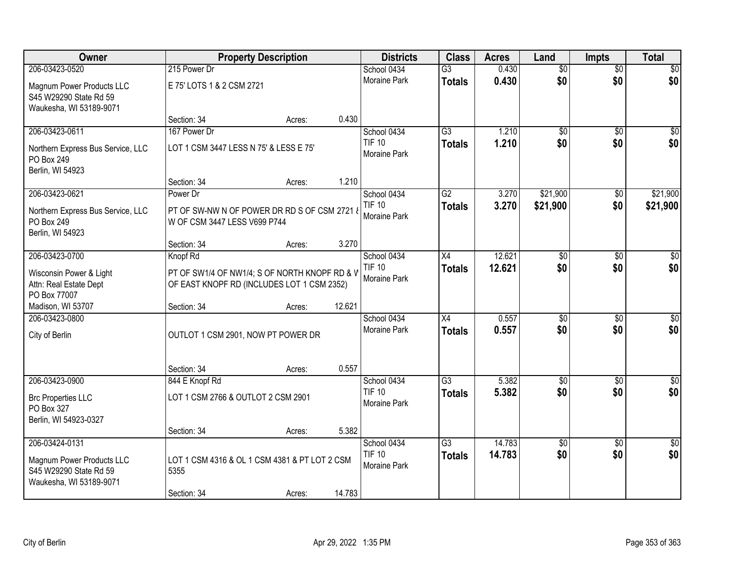| Owner                                                                                            |                                                                                             | <b>Property Description</b> |        | <b>Districts</b>                                    | <b>Class</b>                     | <b>Acres</b>     | Land               | Impts                  | <b>Total</b>           |
|--------------------------------------------------------------------------------------------------|---------------------------------------------------------------------------------------------|-----------------------------|--------|-----------------------------------------------------|----------------------------------|------------------|--------------------|------------------------|------------------------|
| 206-03423-0520                                                                                   | 215 Power Dr                                                                                |                             |        | School 0434                                         | $\overline{G3}$                  | 0.430            | $\overline{60}$    | $\overline{50}$        | \$0                    |
| Magnum Power Products LLC<br>S45 W29290 State Rd 59<br>Waukesha, WI 53189-9071                   | E 75' LOTS 1 & 2 CSM 2721                                                                   |                             |        | Moraine Park                                        | <b>Totals</b>                    | 0.430            | \$0                | \$0                    | \$0                    |
|                                                                                                  | Section: 34                                                                                 | Acres:                      | 0.430  |                                                     |                                  |                  |                    |                        |                        |
| 206-03423-0611                                                                                   | 167 Power Dr                                                                                |                             |        | School 0434                                         | $\overline{G3}$                  | 1.210            | $\overline{50}$    | $\overline{50}$        | $\sqrt{50}$            |
| Northern Express Bus Service, LLC<br>PO Box 249<br>Berlin, WI 54923                              | LOT 1 CSM 3447 LESS N 75' & LESS E 75'                                                      |                             |        | <b>TIF 10</b><br>Moraine Park                       | <b>Totals</b>                    | 1.210            | \$0                | \$0                    | \$0                    |
|                                                                                                  | Section: 34                                                                                 | Acres:                      | 1.210  |                                                     |                                  |                  |                    |                        |                        |
| 206-03423-0621                                                                                   | Power Dr                                                                                    |                             |        | School 0434                                         | $\overline{G2}$                  | 3.270            | \$21,900           | \$0                    | \$21,900               |
| Northern Express Bus Service, LLC<br>PO Box 249<br>Berlin, WI 54923                              | PT OF SW-NW N OF POWER DR RD S OF CSM 2721 &<br>W OF CSM 3447 LESS V699 P744                |                             |        | <b>TIF 10</b><br>Moraine Park                       | <b>Totals</b>                    | 3.270            | \$21,900           | \$0                    | \$21,900               |
|                                                                                                  | Section: 34                                                                                 | Acres:                      | 3.270  |                                                     |                                  |                  |                    |                        |                        |
| 206-03423-0700                                                                                   | Knopf Rd                                                                                    |                             |        | School 0434                                         | X4                               | 12.621           | \$0                | \$0                    | \$0                    |
| Wisconsin Power & Light<br>Attn: Real Estate Dept<br>PO Box 77007                                | PT OF SW1/4 OF NW1/4; S OF NORTH KNOPF RD & V<br>OF EAST KNOPF RD (INCLUDES LOT 1 CSM 2352) |                             |        | <b>TIF 10</b><br>Moraine Park                       | <b>Totals</b>                    | 12.621           | \$0                | \$0                    | \$0                    |
| Madison, WI 53707                                                                                | Section: 34                                                                                 | Acres:                      | 12.621 |                                                     |                                  |                  |                    |                        |                        |
| 206-03423-0800                                                                                   |                                                                                             |                             |        | School 0434                                         | $\overline{X4}$                  | 0.557            | $\overline{50}$    | $\overline{50}$        | $\overline{50}$        |
| City of Berlin                                                                                   | OUTLOT 1 CSM 2901, NOW PT POWER DR                                                          |                             |        | Moraine Park                                        | <b>Totals</b>                    | 0.557            | \$0                | \$0                    | \$0                    |
|                                                                                                  | Section: 34                                                                                 | Acres:                      | 0.557  |                                                     |                                  |                  |                    |                        |                        |
| 206-03423-0900                                                                                   | 844 E Knopf Rd                                                                              |                             |        | School 0434                                         | $\overline{G3}$                  | 5.382            | $\overline{50}$    | $\overline{50}$        | $\overline{\$0}$       |
| <b>Brc Properties LLC</b><br>PO Box 327<br>Berlin, WI 54923-0327                                 | LOT 1 CSM 2766 & OUTLOT 2 CSM 2901                                                          |                             |        | <b>TIF 10</b><br>Moraine Park                       | <b>Totals</b>                    | 5.382            | \$0                | \$0                    | \$0                    |
|                                                                                                  | Section: 34                                                                                 | Acres:                      | 5.382  |                                                     |                                  |                  |                    |                        |                        |
| 206-03424-0131<br>Magnum Power Products LLC<br>S45 W29290 State Rd 59<br>Waukesha, WI 53189-9071 | LOT 1 CSM 4316 & OL 1 CSM 4381 & PT LOT 2 CSM<br>5355                                       |                             |        | School 0434<br><b>TIF 10</b><br><b>Moraine Park</b> | $\overline{G3}$<br><b>Totals</b> | 14.783<br>14.783 | $\sqrt{50}$<br>\$0 | $\overline{50}$<br>\$0 | $\overline{50}$<br>\$0 |
|                                                                                                  | Section: 34                                                                                 | Acres:                      | 14.783 |                                                     |                                  |                  |                    |                        |                        |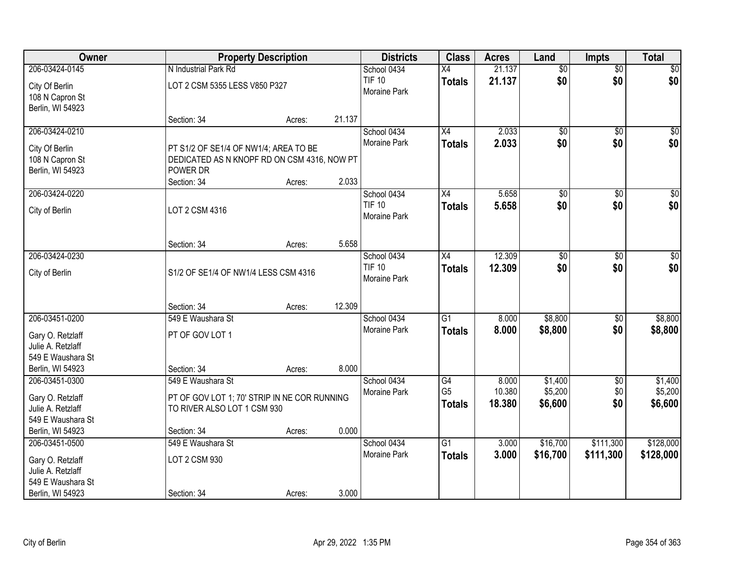| Owner             |                                              | <b>Property Description</b> |        | <b>Districts</b> | <b>Class</b>    | <b>Acres</b> | Land            | <b>Impts</b>    | <b>Total</b> |
|-------------------|----------------------------------------------|-----------------------------|--------|------------------|-----------------|--------------|-----------------|-----------------|--------------|
| 206-03424-0145    | N Industrial Park Rd                         |                             |        | School 0434      | X4              | 21.137       | $\overline{50}$ | $\overline{50}$ | \$0          |
| City Of Berlin    | LOT 2 CSM 5355 LESS V850 P327                |                             |        | <b>TIF 10</b>    | <b>Totals</b>   | 21.137       | \$0             | \$0             | \$0          |
| 108 N Capron St   |                                              |                             |        | Moraine Park     |                 |              |                 |                 |              |
| Berlin, WI 54923  |                                              |                             |        |                  |                 |              |                 |                 |              |
|                   | Section: 34                                  | Acres:                      | 21.137 |                  |                 |              |                 |                 |              |
| 206-03424-0210    |                                              |                             |        | School 0434      | $\overline{X4}$ | 2.033        | \$0             | \$0             | \$0          |
| City Of Berlin    | PT S1/2 OF SE1/4 OF NW1/4; AREA TO BE        |                             |        | Moraine Park     | Totals          | 2.033        | \$0             | \$0             | \$0          |
| 108 N Capron St   | DEDICATED AS N KNOPF RD ON CSM 4316, NOW PT  |                             |        |                  |                 |              |                 |                 |              |
| Berlin, WI 54923  | POWER DR                                     |                             |        |                  |                 |              |                 |                 |              |
|                   | Section: 34                                  | Acres:                      | 2.033  |                  |                 |              |                 |                 |              |
| 206-03424-0220    |                                              |                             |        | School 0434      | X4              | 5.658        | \$0             | \$0             | \$0          |
| City of Berlin    | LOT 2 CSM 4316                               |                             |        | <b>TIF 10</b>    | <b>Totals</b>   | 5.658        | \$0             | \$0             | \$0          |
|                   |                                              |                             |        | Moraine Park     |                 |              |                 |                 |              |
|                   |                                              |                             |        |                  |                 |              |                 |                 |              |
|                   | Section: 34                                  | Acres:                      | 5.658  |                  |                 |              |                 |                 |              |
| 206-03424-0230    |                                              |                             |        | School 0434      | X4              | 12.309       | \$0             | \$0             | $\sqrt{50}$  |
| City of Berlin    | S1/2 OF SE1/4 OF NW1/4 LESS CSM 4316         |                             |        | <b>TIF 10</b>    | <b>Totals</b>   | 12.309       | \$0             | \$0             | \$0          |
|                   |                                              |                             |        | Moraine Park     |                 |              |                 |                 |              |
|                   |                                              |                             |        |                  |                 |              |                 |                 |              |
|                   | Section: 34                                  | Acres:                      | 12.309 |                  |                 |              |                 |                 |              |
| 206-03451-0200    | 549 E Waushara St                            |                             |        | School 0434      | $\overline{G1}$ | 8.000        | \$8,800         | \$0             | \$8,800      |
| Gary O. Retzlaff  | PT OF GOV LOT 1                              |                             |        | Moraine Park     | <b>Totals</b>   | 8.000        | \$8,800         | \$0             | \$8,800      |
| Julie A. Retzlaff |                                              |                             |        |                  |                 |              |                 |                 |              |
| 549 E Waushara St |                                              |                             |        |                  |                 |              |                 |                 |              |
| Berlin, WI 54923  | Section: 34                                  | Acres:                      | 8.000  |                  |                 |              |                 |                 |              |
| 206-03451-0300    | 549 E Waushara St                            |                             |        | School 0434      | G4              | 8.000        | \$1,400         | $\sqrt{$0}$     | \$1,400      |
| Gary O. Retzlaff  | PT OF GOV LOT 1; 70' STRIP IN NE COR RUNNING |                             |        | Moraine Park     | G <sub>5</sub>  | 10.380       | \$5,200         | \$0             | \$5,200      |
| Julie A. Retzlaff | TO RIVER ALSO LOT 1 CSM 930                  |                             |        |                  | <b>Totals</b>   | 18.380       | \$6,600         | \$0             | \$6,600      |
| 549 E Waushara St |                                              |                             |        |                  |                 |              |                 |                 |              |
| Berlin, WI 54923  | Section: 34                                  | Acres:                      | 0.000  |                  |                 |              |                 |                 |              |
| 206-03451-0500    | 549 E Waushara St                            |                             |        | School 0434      | $\overline{G1}$ | 3.000        | \$16,700        | \$111,300       | \$128,000    |
| Gary O. Retzlaff  | LOT 2 CSM 930                                |                             |        | Moraine Park     | <b>Totals</b>   | 3.000        | \$16,700        | \$111,300       | \$128,000    |
| Julie A. Retzlaff |                                              |                             |        |                  |                 |              |                 |                 |              |
| 549 E Waushara St |                                              |                             |        |                  |                 |              |                 |                 |              |
| Berlin, WI 54923  | Section: 34                                  | Acres:                      | 3.000  |                  |                 |              |                 |                 |              |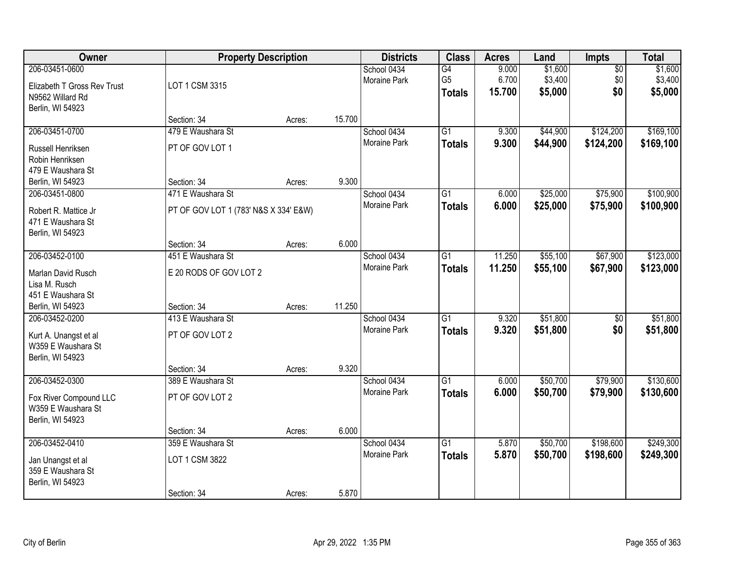| <b>Owner</b>                                                                          | <b>Property Description</b>                                |        |        | <b>Districts</b>                   | <b>Class</b>                          | <b>Acres</b>             | Land                          | Impts                         | <b>Total</b>                  |
|---------------------------------------------------------------------------------------|------------------------------------------------------------|--------|--------|------------------------------------|---------------------------------------|--------------------------|-------------------------------|-------------------------------|-------------------------------|
| 206-03451-0600<br>Elizabeth T Gross Rev Trust<br>N9562 Willard Rd<br>Berlin, WI 54923 | LOT 1 CSM 3315                                             |        |        | School 0434<br>Moraine Park        | G4<br>G <sub>5</sub><br><b>Totals</b> | 9.000<br>6.700<br>15.700 | \$1,600<br>\$3,400<br>\$5,000 | $\overline{50}$<br>\$0<br>\$0 | \$1,600<br>\$3,400<br>\$5,000 |
|                                                                                       | Section: 34                                                | Acres: | 15.700 |                                    |                                       |                          |                               |                               |                               |
| 206-03451-0700<br>Russell Henriksen<br>Robin Henriksen<br>479 E Waushara St           | 479 E Waushara St<br>PT OF GOV LOT 1                       |        |        | School 0434<br><b>Moraine Park</b> | G1<br><b>Totals</b>                   | 9.300<br>9.300           | \$44,900<br>\$44,900          | \$124,200<br>\$124,200        | \$169,100<br>\$169,100        |
| Berlin, WI 54923                                                                      | Section: 34                                                | Acres: | 9.300  |                                    |                                       |                          |                               |                               |                               |
| 206-03451-0800<br>Robert R. Mattice Jr<br>471 E Waushara St<br>Berlin, WI 54923       | 471 E Waushara St<br>PT OF GOV LOT 1 (783' N&S X 334' E&W) |        |        | School 0434<br>Moraine Park        | G1<br><b>Totals</b>                   | 6.000<br>6.000           | \$25,000<br>\$25,000          | \$75,900<br>\$75,900          | \$100,900<br>\$100,900        |
|                                                                                       | Section: 34                                                | Acres: | 6.000  |                                    |                                       |                          |                               |                               |                               |
| 206-03452-0100<br>Marlan David Rusch<br>Lisa M. Rusch<br>451 E Waushara St            | 451 E Waushara St<br>E 20 RODS OF GOV LOT 2                |        |        | School 0434<br>Moraine Park        | G1<br><b>Totals</b>                   | 11.250<br>11.250         | \$55,100<br>\$55,100          | \$67,900<br>\$67,900          | \$123,000<br>\$123,000        |
| Berlin, WI 54923                                                                      | Section: 34                                                | Acres: | 11.250 |                                    |                                       |                          |                               |                               |                               |
| 206-03452-0200<br>Kurt A. Unangst et al<br>W359 E Waushara St<br>Berlin, WI 54923     | 413 E Waushara St<br>PT OF GOV LOT 2                       |        | 9.320  | School 0434<br><b>Moraine Park</b> | $\overline{G1}$<br><b>Totals</b>      | 9.320<br>9.320           | \$51,800<br>\$51,800          | $\overline{50}$<br>\$0        | \$51,800<br>\$51,800          |
| 206-03452-0300                                                                        | Section: 34<br>389 E Waushara St                           | Acres: |        | School 0434                        | $\overline{G1}$                       | 6.000                    | \$50,700                      | \$79,900                      | \$130,600                     |
| Fox River Compound LLC<br>W359 E Waushara St<br>Berlin, WI 54923                      | PT OF GOV LOT 2                                            |        |        | Moraine Park                       | <b>Totals</b>                         | 6.000                    | \$50,700                      | \$79,900                      | \$130,600                     |
|                                                                                       | Section: 34                                                | Acres: | 6.000  |                                    |                                       |                          |                               |                               |                               |
| 206-03452-0410<br>Jan Unangst et al<br>359 E Waushara St<br>Berlin, WI 54923          | 359 E Waushara St<br>LOT 1 CSM 3822<br>Section: 34         | Acres: | 5.870  | School 0434<br><b>Moraine Park</b> | $\overline{G1}$<br><b>Totals</b>      | 5.870<br>5.870           | \$50,700<br>\$50,700          | \$198,600<br>\$198,600        | \$249,300<br>\$249,300        |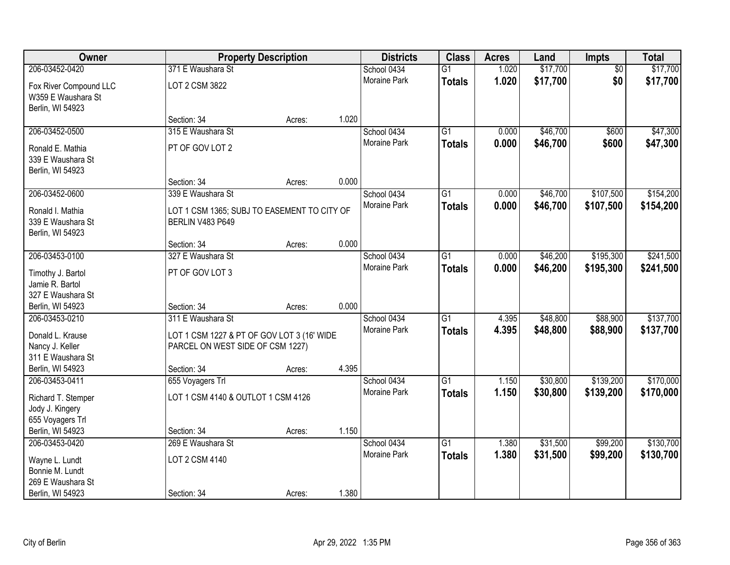| <b>Owner</b>                                                     |                                                                                | <b>Property Description</b> |       | <b>Districts</b>    | <b>Class</b>    | <b>Acres</b> | Land     | <b>Impts</b>    | <b>Total</b> |
|------------------------------------------------------------------|--------------------------------------------------------------------------------|-----------------------------|-------|---------------------|-----------------|--------------|----------|-----------------|--------------|
| 206-03452-0420                                                   | 371 E Waushara St                                                              |                             |       | School 0434         | $\overline{G1}$ | 1.020        | \$17,700 | $\overline{50}$ | \$17,700     |
| Fox River Compound LLC<br>W359 E Waushara St<br>Berlin, WI 54923 | LOT 2 CSM 3822                                                                 |                             |       | Moraine Park        | <b>Totals</b>   | 1.020        | \$17,700 | \$0             | \$17,700     |
|                                                                  | Section: 34                                                                    | Acres:                      | 1.020 |                     |                 |              |          |                 |              |
| 206-03452-0500                                                   | 315 E Waushara St                                                              |                             |       | School 0434         | $\overline{G1}$ | 0.000        | \$46,700 | \$600           | \$47,300     |
| Ronald E. Mathia<br>339 E Waushara St<br>Berlin, WI 54923        | PT OF GOV LOT 2                                                                |                             |       | Moraine Park        | <b>Totals</b>   | 0.000        | \$46,700 | \$600           | \$47,300     |
|                                                                  | Section: 34                                                                    | Acres:                      | 0.000 |                     |                 |              |          |                 |              |
| 206-03452-0600                                                   | 339 E Waushara St                                                              |                             |       | School 0434         | G1              | 0.000        | \$46,700 | \$107,500       | \$154,200    |
| Ronald I. Mathia<br>339 E Waushara St<br>Berlin, WI 54923        | LOT 1 CSM 1365; SUBJ TO EASEMENT TO CITY OF<br>BERLIN V483 P649                |                             |       | Moraine Park        | <b>Totals</b>   | 0.000        | \$46,700 | \$107,500       | \$154,200    |
|                                                                  | Section: 34                                                                    | Acres:                      | 0.000 |                     |                 |              |          |                 |              |
| 206-03453-0100                                                   | 327 E Waushara St                                                              |                             |       | School 0434         | G1              | 0.000        | \$46,200 | \$195,300       | \$241,500    |
| Timothy J. Bartol<br>Jamie R. Bartol<br>327 E Waushara St        | PT OF GOV LOT 3                                                                |                             |       | Moraine Park        | <b>Totals</b>   | 0.000        | \$46,200 | \$195,300       | \$241,500    |
| Berlin, WI 54923                                                 | Section: 34                                                                    | Acres:                      | 0.000 |                     |                 |              |          |                 |              |
| 206-03453-0210                                                   | 311 E Waushara St                                                              |                             |       | School 0434         | $\overline{G1}$ | 4.395        | \$48,800 | \$88,900        | \$137,700    |
| Donald L. Krause<br>Nancy J. Keller<br>311 E Waushara St         | LOT 1 CSM 1227 & PT OF GOV LOT 3 (16' WIDE<br>PARCEL ON WEST SIDE OF CSM 1227) |                             |       | Moraine Park        | <b>Totals</b>   | 4.395        | \$48,800 | \$88,900        | \$137,700    |
| Berlin, WI 54923                                                 | Section: 34                                                                    | Acres:                      | 4.395 |                     |                 |              |          |                 |              |
| 206-03453-0411                                                   | 655 Voyagers Trl                                                               |                             |       | School 0434         | $\overline{G1}$ | 1.150        | \$30,800 | \$139,200       | \$170,000    |
| Richard T. Stemper<br>Jody J. Kingery<br>655 Voyagers Trl        | LOT 1 CSM 4140 & OUTLOT 1 CSM 4126                                             |                             |       | Moraine Park        | <b>Totals</b>   | 1.150        | \$30,800 | \$139,200       | \$170,000    |
| Berlin, WI 54923                                                 | Section: 34                                                                    | Acres:                      | 1.150 |                     |                 |              |          |                 |              |
| 206-03453-0420                                                   | 269 E Waushara St                                                              |                             |       | School 0434         | $\overline{G1}$ | 1.380        | \$31,500 | \$99,200        | \$130,700    |
| Wayne L. Lundt<br>Bonnie M. Lundt<br>269 E Waushara St           | LOT 2 CSM 4140                                                                 |                             |       | <b>Moraine Park</b> | <b>Totals</b>   | 1.380        | \$31,500 | \$99,200        | \$130,700    |
| Berlin, WI 54923                                                 | Section: 34                                                                    | Acres:                      | 1.380 |                     |                 |              |          |                 |              |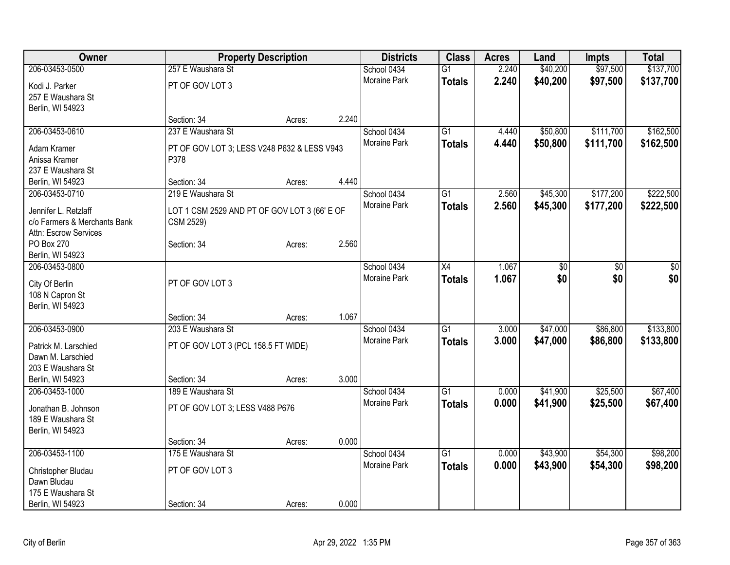| Owner                             |                                              | <b>Property Description</b> |       | <b>Districts</b> | <b>Class</b>    | <b>Acres</b> | Land     | <b>Impts</b> | <b>Total</b> |
|-----------------------------------|----------------------------------------------|-----------------------------|-------|------------------|-----------------|--------------|----------|--------------|--------------|
| 206-03453-0500                    | 257 E Waushara St                            |                             |       | School 0434      | $\overline{G1}$ | 2.240        | \$40,200 | \$97,500     | \$137,700    |
| Kodi J. Parker                    | PT OF GOV LOT 3                              |                             |       | Moraine Park     | <b>Totals</b>   | 2.240        | \$40,200 | \$97,500     | \$137,700    |
| 257 E Waushara St                 |                                              |                             |       |                  |                 |              |          |              |              |
| Berlin, WI 54923                  |                                              |                             |       |                  |                 |              |          |              |              |
|                                   | Section: 34                                  | Acres:                      | 2.240 |                  |                 |              |          |              |              |
| 206-03453-0610                    | 237 E Waushara St                            |                             |       | School 0434      | $\overline{G1}$ | 4.440        | \$50,800 | \$111,700    | \$162,500    |
| Adam Kramer                       | PT OF GOV LOT 3; LESS V248 P632 & LESS V943  |                             |       | Moraine Park     | <b>Totals</b>   | 4.440        | \$50,800 | \$111,700    | \$162,500    |
| Anissa Kramer                     | P378                                         |                             |       |                  |                 |              |          |              |              |
| 237 E Waushara St                 |                                              |                             |       |                  |                 |              |          |              |              |
| Berlin, WI 54923                  | Section: 34                                  | Acres:                      | 4.440 |                  |                 |              |          |              |              |
| 206-03453-0710                    | 219 E Waushara St                            |                             |       | School 0434      | G1              | 2.560        | \$45,300 | \$177,200    | \$222,500    |
|                                   |                                              |                             |       | Moraine Park     |                 | 2.560        | \$45,300 | \$177,200    | \$222,500    |
| Jennifer L. Retzlaff              | LOT 1 CSM 2529 AND PT OF GOV LOT 3 (66' E OF |                             |       |                  | <b>Totals</b>   |              |          |              |              |
| c/o Farmers & Merchants Bank      | CSM 2529)                                    |                             |       |                  |                 |              |          |              |              |
| Attn: Escrow Services             |                                              |                             |       |                  |                 |              |          |              |              |
| PO Box 270                        | Section: 34                                  | Acres:                      | 2.560 |                  |                 |              |          |              |              |
| Berlin, WI 54923                  |                                              |                             |       |                  |                 |              |          |              |              |
| 206-03453-0800                    |                                              |                             |       | School 0434      | X4              | 1.067        | \$0      | \$0          | \$0          |
| City Of Berlin                    | PT OF GOV LOT 3                              |                             |       | Moraine Park     | <b>Totals</b>   | 1.067        | \$0      | \$0          | \$0          |
| 108 N Capron St                   |                                              |                             |       |                  |                 |              |          |              |              |
| Berlin, WI 54923                  |                                              |                             |       |                  |                 |              |          |              |              |
|                                   | Section: 34                                  | Acres:                      | 1.067 |                  |                 |              |          |              |              |
| 206-03453-0900                    | 203 E Waushara St                            |                             |       | School 0434      | $\overline{G1}$ | 3.000        | \$47,000 | \$86,800     | \$133,800    |
|                                   |                                              |                             |       | Moraine Park     | <b>Totals</b>   | 3.000        | \$47,000 | \$86,800     | \$133,800    |
| Patrick M. Larschied              | PT OF GOV LOT 3 (PCL 158.5 FT WIDE)          |                             |       |                  |                 |              |          |              |              |
| Dawn M. Larschied                 |                                              |                             |       |                  |                 |              |          |              |              |
| 203 E Waushara St                 |                                              |                             |       |                  |                 |              |          |              |              |
| Berlin, WI 54923                  | Section: 34                                  | Acres:                      | 3.000 |                  |                 |              |          |              |              |
| 206-03453-1000                    | 189 E Waushara St                            |                             |       | School 0434      | $\overline{G1}$ | 0.000        | \$41,900 | \$25,500     | \$67,400     |
| Jonathan B. Johnson               | PT OF GOV LOT 3; LESS V488 P676              |                             |       | Moraine Park     | <b>Totals</b>   | 0.000        | \$41,900 | \$25,500     | \$67,400     |
| 189 E Waushara St                 |                                              |                             |       |                  |                 |              |          |              |              |
| Berlin, WI 54923                  |                                              |                             |       |                  |                 |              |          |              |              |
|                                   | Section: 34                                  | Acres:                      | 0.000 |                  |                 |              |          |              |              |
| 206-03453-1100                    | 175 E Waushara St                            |                             |       | School 0434      | $\overline{G1}$ | 0.000        | \$43,900 | \$54,300     | \$98,200     |
|                                   | PT OF GOV LOT 3                              |                             |       | Moraine Park     | <b>Totals</b>   | 0.000        | \$43,900 | \$54,300     | \$98,200     |
| Christopher Bludau<br>Dawn Bludau |                                              |                             |       |                  |                 |              |          |              |              |
| 175 E Waushara St                 |                                              |                             |       |                  |                 |              |          |              |              |
| Berlin, WI 54923                  | Section: 34                                  |                             | 0.000 |                  |                 |              |          |              |              |
|                                   |                                              | Acres:                      |       |                  |                 |              |          |              |              |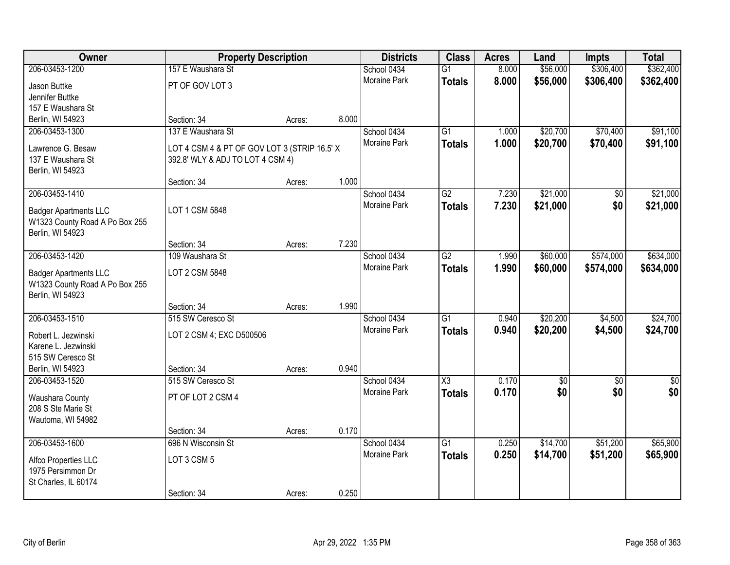| Owner                          | <b>Property Description</b>                  |        |       | <b>Districts</b>    | <b>Class</b>    | <b>Acres</b> | Land            | <b>Impts</b>    | <b>Total</b>    |
|--------------------------------|----------------------------------------------|--------|-------|---------------------|-----------------|--------------|-----------------|-----------------|-----------------|
| 206-03453-1200                 | 157 E Waushara St                            |        |       | School 0434         | $\overline{G1}$ | 8.000        | \$56,000        | \$306,400       | \$362,400       |
| Jason Buttke                   | PT OF GOV LOT 3                              |        |       | Moraine Park        | <b>Totals</b>   | 8.000        | \$56,000        | \$306,400       | \$362,400       |
| Jennifer Buttke                |                                              |        |       |                     |                 |              |                 |                 |                 |
| 157 E Waushara St              |                                              |        |       |                     |                 |              |                 |                 |                 |
| Berlin, WI 54923               | Section: 34                                  | Acres: | 8.000 |                     |                 |              |                 |                 |                 |
| 206-03453-1300                 | 137 E Waushara St                            |        |       | School 0434         | $\overline{G1}$ | 1.000        | \$20,700        | \$70,400        | \$91,100        |
| Lawrence G. Besaw              | LOT 4 CSM 4 & PT OF GOV LOT 3 (STRIP 16.5' X |        |       | Moraine Park        | <b>Totals</b>   | 1.000        | \$20,700        | \$70,400        | \$91,100        |
| 137 E Waushara St              | 392.8' WLY & ADJ TO LOT 4 CSM 4)             |        |       |                     |                 |              |                 |                 |                 |
| Berlin, WI 54923               |                                              |        |       |                     |                 |              |                 |                 |                 |
|                                | Section: 34                                  | Acres: | 1.000 |                     |                 |              |                 |                 |                 |
| 206-03453-1410                 |                                              |        |       | School 0434         | $\overline{G2}$ | 7.230        | \$21,000        | \$0             | \$21,000        |
| <b>Badger Apartments LLC</b>   | LOT 1 CSM 5848                               |        |       | Moraine Park        | <b>Totals</b>   | 7.230        | \$21,000        | \$0             | \$21,000        |
| W1323 County Road A Po Box 255 |                                              |        |       |                     |                 |              |                 |                 |                 |
| Berlin, WI 54923               |                                              |        |       |                     |                 |              |                 |                 |                 |
|                                | Section: 34                                  | Acres: | 7.230 |                     |                 |              |                 |                 |                 |
| 206-03453-1420                 | 109 Waushara St                              |        |       | School 0434         | $\overline{G2}$ | 1.990        | \$60,000        | \$574,000       | \$634,000       |
| <b>Badger Apartments LLC</b>   | LOT 2 CSM 5848                               |        |       | Moraine Park        | <b>Totals</b>   | 1.990        | \$60,000        | \$574,000       | \$634,000       |
| W1323 County Road A Po Box 255 |                                              |        |       |                     |                 |              |                 |                 |                 |
| Berlin, WI 54923               |                                              |        |       |                     |                 |              |                 |                 |                 |
|                                | Section: 34                                  | Acres: | 1.990 |                     |                 |              |                 |                 |                 |
| 206-03453-1510                 | 515 SW Ceresco St                            |        |       | School 0434         | $\overline{G1}$ | 0.940        | \$20,200        | \$4,500         | \$24,700        |
| Robert L. Jezwinski            | LOT 2 CSM 4; EXC D500506                     |        |       | Moraine Park        | <b>Totals</b>   | 0.940        | \$20,200        | \$4,500         | \$24,700        |
| Karene L. Jezwinski            |                                              |        |       |                     |                 |              |                 |                 |                 |
| 515 SW Ceresco St              |                                              |        |       |                     |                 |              |                 |                 |                 |
| Berlin, WI 54923               | Section: 34                                  | Acres: | 0.940 |                     |                 |              |                 |                 |                 |
| 206-03453-1520                 | 515 SW Ceresco St                            |        |       | School 0434         | X3              | 0.170        | $\overline{60}$ | $\overline{50}$ | $\overline{50}$ |
| Waushara County                | PT OF LOT 2 CSM 4                            |        |       | Moraine Park        | <b>Totals</b>   | 0.170        | \$0             | \$0             | \$0             |
| 208 S Ste Marie St             |                                              |        |       |                     |                 |              |                 |                 |                 |
| Wautoma, WI 54982              |                                              |        |       |                     |                 |              |                 |                 |                 |
|                                | Section: 34                                  | Acres: | 0.170 |                     |                 |              |                 |                 |                 |
| 206-03453-1600                 | 696 N Wisconsin St                           |        |       | School 0434         | $\overline{G1}$ | 0.250        | \$14,700        | \$51,200        | \$65,900        |
| Alfco Properties LLC           | LOT 3 CSM 5                                  |        |       | <b>Moraine Park</b> | <b>Totals</b>   | 0.250        | \$14,700        | \$51,200        | \$65,900        |
| 1975 Persimmon Dr              |                                              |        |       |                     |                 |              |                 |                 |                 |
| St Charles, IL 60174           |                                              |        |       |                     |                 |              |                 |                 |                 |
|                                | Section: 34                                  | Acres: | 0.250 |                     |                 |              |                 |                 |                 |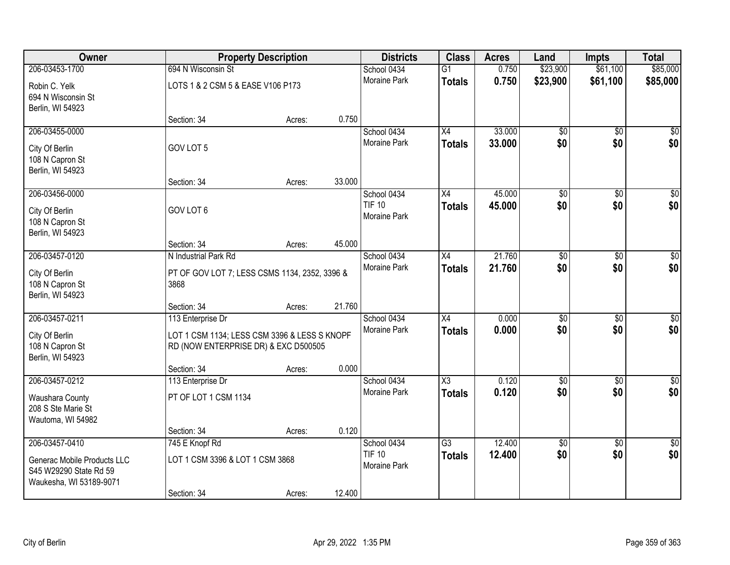| Owner                                                                                              |                                                                                                           | <b>Property Description</b> |        | <b>Districts</b>                             | <b>Class</b>                     | <b>Acres</b>     | Land                   | Impts                  | <b>Total</b>       |
|----------------------------------------------------------------------------------------------------|-----------------------------------------------------------------------------------------------------------|-----------------------------|--------|----------------------------------------------|----------------------------------|------------------|------------------------|------------------------|--------------------|
| 206-03453-1700                                                                                     | 694 N Wisconsin St                                                                                        |                             |        | School 0434                                  | $\overline{G1}$                  | 0.750            | \$23,900               | \$61,100               | \$85,000           |
| Robin C. Yelk<br>694 N Wisconsin St<br>Berlin, WI 54923                                            | LOTS 1 & 2 CSM 5 & EASE V106 P173                                                                         |                             |        | Moraine Park                                 | <b>Totals</b>                    | 0.750            | \$23,900               | \$61,100               | \$85,000           |
|                                                                                                    | Section: 34                                                                                               | Acres:                      | 0.750  |                                              |                                  |                  |                        |                        |                    |
| 206-03455-0000<br>City Of Berlin<br>108 N Capron St                                                | GOV LOT 5                                                                                                 |                             |        | School 0434<br><b>Moraine Park</b>           | $\overline{X4}$<br><b>Totals</b> | 33.000<br>33.000 | $\overline{50}$<br>\$0 | $\overline{50}$<br>\$0 | $\sqrt{50}$<br>\$0 |
| Berlin, WI 54923                                                                                   | Section: 34                                                                                               | Acres:                      | 33.000 |                                              |                                  |                  |                        |                        |                    |
| 206-03456-0000<br>City Of Berlin<br>108 N Capron St<br>Berlin, WI 54923                            | GOV LOT 6                                                                                                 |                             |        | School 0434<br><b>TIF 10</b><br>Moraine Park | X4<br><b>Totals</b>              | 45.000<br>45.000 | $\overline{60}$<br>\$0 | \$0<br>\$0             | $\sqrt{50}$<br>\$0 |
|                                                                                                    | Section: 34                                                                                               | Acres:                      | 45.000 |                                              |                                  |                  |                        |                        |                    |
| 206-03457-0120<br>City Of Berlin<br>108 N Capron St<br>Berlin, WI 54923                            | N Industrial Park Rd<br>PT OF GOV LOT 7; LESS CSMS 1134, 2352, 3396 &<br>3868                             |                             |        | School 0434<br><b>Moraine Park</b>           | X4<br><b>Totals</b>              | 21.760<br>21.760 | $\overline{50}$<br>\$0 | \$0<br>\$0             | \$0<br>\$0         |
|                                                                                                    | Section: 34                                                                                               | Acres:                      | 21.760 |                                              |                                  |                  |                        |                        |                    |
| 206-03457-0211<br>City Of Berlin<br>108 N Capron St<br>Berlin, WI 54923                            | 113 Enterprise Dr<br>LOT 1 CSM 1134; LESS CSM 3396 & LESS S KNOPF<br>RD (NOW ENTERPRISE DR) & EXC D500505 |                             |        | School 0434<br><b>Moraine Park</b>           | $\overline{X4}$<br><b>Totals</b> | 0.000<br>0.000   | $\overline{50}$<br>\$0 | $\overline{50}$<br>\$0 | $\sqrt{50}$<br>\$0 |
| 206-03457-0212                                                                                     | Section: 34<br>113 Enterprise Dr                                                                          | Acres:                      | 0.000  | School 0434                                  | $\overline{\text{X3}}$           | 0.120            | $\overline{50}$        | $\overline{50}$        | $\sqrt{50}$        |
| Waushara County<br>208 S Ste Marie St<br>Wautoma, WI 54982                                         | PT OF LOT 1 CSM 1134                                                                                      |                             |        | Moraine Park                                 | <b>Totals</b>                    | 0.120            | \$0                    | \$0                    | \$0                |
|                                                                                                    | Section: 34                                                                                               | Acres:                      | 0.120  |                                              |                                  |                  |                        |                        |                    |
| 206-03457-0410<br>Generac Mobile Products LLC<br>S45 W29290 State Rd 59<br>Waukesha, WI 53189-9071 | 745 E Knopf Rd<br>LOT 1 CSM 3396 & LOT 1 CSM 3868<br>Section: 34                                          | Acres:                      | 12.400 | School 0434<br><b>TIF 10</b><br>Moraine Park | $\overline{G3}$<br><b>Totals</b> | 12.400<br>12.400 | $\overline{60}$<br>\$0 | $\overline{30}$<br>\$0 | $\sqrt{50}$<br>\$0 |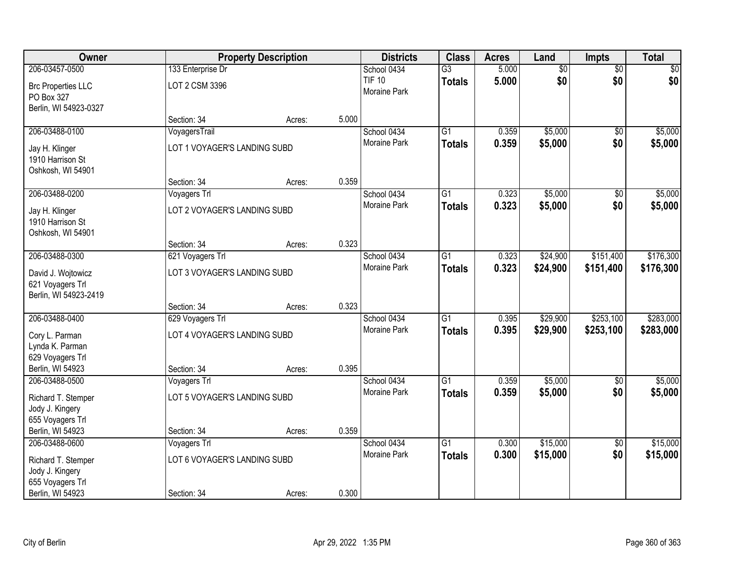| Owner                     |                              | <b>Property Description</b> |       | <b>Districts</b>    | <b>Class</b>    | <b>Acres</b> | Land            | Impts           | <b>Total</b> |
|---------------------------|------------------------------|-----------------------------|-------|---------------------|-----------------|--------------|-----------------|-----------------|--------------|
| 206-03457-0500            | 133 Enterprise Dr            |                             |       | School 0434         | $\overline{G3}$ | 5.000        | $\overline{60}$ | $\overline{50}$ | \$0          |
| <b>Brc Properties LLC</b> | LOT 2 CSM 3396               |                             |       | <b>TIF 10</b>       | <b>Totals</b>   | 5.000        | \$0             | \$0             | \$0          |
| PO Box 327                |                              |                             |       | Moraine Park        |                 |              |                 |                 |              |
| Berlin, WI 54923-0327     |                              |                             |       |                     |                 |              |                 |                 |              |
|                           | Section: 34                  | Acres:                      | 5.000 |                     |                 |              |                 |                 |              |
| 206-03488-0100            | VoyagersTrail                |                             |       | School 0434         | $\overline{G1}$ | 0.359        | \$5,000         | \$0             | \$5,000      |
| Jay H. Klinger            | LOT 1 VOYAGER'S LANDING SUBD |                             |       | Moraine Park        | <b>Totals</b>   | 0.359        | \$5,000         | \$0             | \$5,000      |
| 1910 Harrison St          |                              |                             |       |                     |                 |              |                 |                 |              |
| Oshkosh, WI 54901         |                              |                             |       |                     |                 |              |                 |                 |              |
|                           | Section: 34                  | Acres:                      | 0.359 |                     |                 |              |                 |                 |              |
| 206-03488-0200            | Voyagers Trl                 |                             |       | School 0434         | $\overline{G1}$ | 0.323        | \$5,000         | \$0             | \$5,000      |
| Jay H. Klinger            | LOT 2 VOYAGER'S LANDING SUBD |                             |       | Moraine Park        | <b>Totals</b>   | 0.323        | \$5,000         | \$0             | \$5,000      |
| 1910 Harrison St          |                              |                             |       |                     |                 |              |                 |                 |              |
| Oshkosh, WI 54901         |                              |                             |       |                     |                 |              |                 |                 |              |
|                           | Section: 34                  | Acres:                      | 0.323 |                     |                 |              |                 |                 |              |
| 206-03488-0300            | 621 Voyagers Trl             |                             |       | School 0434         | G1              | 0.323        | \$24,900        | \$151,400       | \$176,300    |
| David J. Wojtowicz        | LOT 3 VOYAGER'S LANDING SUBD |                             |       | Moraine Park        | <b>Totals</b>   | 0.323        | \$24,900        | \$151,400       | \$176,300    |
| 621 Voyagers Trl          |                              |                             |       |                     |                 |              |                 |                 |              |
| Berlin, WI 54923-2419     |                              |                             |       |                     |                 |              |                 |                 |              |
|                           | Section: 34                  | Acres:                      | 0.323 |                     |                 |              |                 |                 |              |
| 206-03488-0400            | 629 Voyagers Trl             |                             |       | School 0434         | $\overline{G1}$ | 0.395        | \$29,900        | \$253,100       | \$283,000    |
| Cory L. Parman            | LOT 4 VOYAGER'S LANDING SUBD |                             |       | Moraine Park        | <b>Totals</b>   | 0.395        | \$29,900        | \$253,100       | \$283,000    |
| Lynda K. Parman           |                              |                             |       |                     |                 |              |                 |                 |              |
| 629 Voyagers Trl          |                              |                             |       |                     |                 |              |                 |                 |              |
| Berlin, WI 54923          | Section: 34                  | Acres:                      | 0.395 |                     |                 |              |                 |                 |              |
| 206-03488-0500            | Voyagers Trl                 |                             |       | School 0434         | $\overline{G1}$ | 0.359        | \$5,000         | $\sqrt{6}$      | \$5,000      |
| Richard T. Stemper        | LOT 5 VOYAGER'S LANDING SUBD |                             |       | Moraine Park        | <b>Totals</b>   | 0.359        | \$5,000         | \$0             | \$5,000      |
| Jody J. Kingery           |                              |                             |       |                     |                 |              |                 |                 |              |
| 655 Voyagers Trl          |                              |                             |       |                     |                 |              |                 |                 |              |
| Berlin, WI 54923          | Section: 34                  | Acres:                      | 0.359 |                     |                 |              |                 |                 |              |
| 206-03488-0600            | Voyagers Trl                 |                             |       | School 0434         | $\overline{G1}$ | 0.300        | \$15,000        | $\overline{50}$ | \$15,000     |
| Richard T. Stemper        | LOT 6 VOYAGER'S LANDING SUBD |                             |       | <b>Moraine Park</b> | <b>Totals</b>   | 0.300        | \$15,000        | \$0             | \$15,000     |
| Jody J. Kingery           |                              |                             |       |                     |                 |              |                 |                 |              |
| 655 Voyagers Trl          |                              |                             |       |                     |                 |              |                 |                 |              |
| Berlin, WI 54923          | Section: 34                  | Acres:                      | 0.300 |                     |                 |              |                 |                 |              |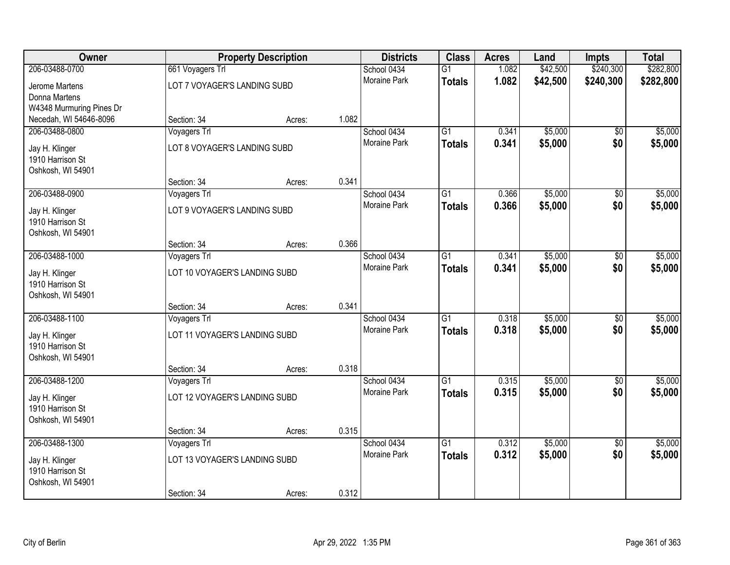| Owner                    | <b>Property Description</b>   |                              | <b>Districts</b> | <b>Class</b>                | <b>Acres</b>    | Land    | Impts    | <b>Total</b>    |           |
|--------------------------|-------------------------------|------------------------------|------------------|-----------------------------|-----------------|---------|----------|-----------------|-----------|
| 206-03488-0700           | 661 Voyagers Trl              |                              |                  | School 0434                 | $\overline{G1}$ | 1.082   | \$42,500 | \$240,300       | \$282,800 |
| Jerome Martens           | LOT 7 VOYAGER'S LANDING SUBD  |                              |                  | <b>Moraine Park</b>         | <b>Totals</b>   | 1.082   | \$42,500 | \$240,300       | \$282,800 |
| Donna Martens            |                               |                              |                  |                             |                 |         |          |                 |           |
| W4348 Murmuring Pines Dr |                               |                              |                  |                             |                 |         |          |                 |           |
| Necedah, WI 54646-8096   | Section: 34                   | Acres:                       | 1.082            |                             |                 |         |          |                 |           |
| 206-03488-0800           | Voyagers Trl                  |                              |                  | School 0434                 | $\overline{G1}$ | 0.341   | \$5,000  | \$0             | \$5,000   |
| Jay H. Klinger           | LOT 8 VOYAGER'S LANDING SUBD  |                              |                  | Moraine Park                | <b>Totals</b>   | 0.341   | \$5,000  | \$0             | \$5,000   |
| 1910 Harrison St         |                               |                              |                  |                             |                 |         |          |                 |           |
| Oshkosh, WI 54901        |                               |                              |                  |                             |                 |         |          |                 |           |
|                          | Section: 34                   | Acres:                       | 0.341            |                             |                 |         |          |                 |           |
| 206-03488-0900           | Voyagers Trl                  |                              |                  | School 0434<br>Moraine Park | G1              | 0.366   | \$5,000  | $\overline{50}$ | \$5,000   |
| Jay H. Klinger           |                               | LOT 9 VOYAGER'S LANDING SUBD |                  |                             | <b>Totals</b>   | 0.366   | \$5,000  | \$0             | \$5,000   |
| 1910 Harrison St         |                               |                              |                  |                             |                 |         |          |                 |           |
| Oshkosh, WI 54901        |                               |                              |                  |                             |                 |         |          |                 |           |
|                          | Section: 34                   | Acres:                       | 0.366            |                             |                 |         |          |                 |           |
| 206-03488-1000           | Voyagers Trl                  |                              |                  | School 0434                 | $\overline{G1}$ | 0.341   | \$5,000  | $\overline{30}$ | \$5,000   |
| Jay H. Klinger           | LOT 10 VOYAGER'S LANDING SUBD |                              | Moraine Park     | <b>Totals</b>               | 0.341           | \$5,000 | \$0      | \$5,000         |           |
| 1910 Harrison St         |                               |                              |                  |                             |                 |         |          |                 |           |
| Oshkosh, WI 54901        |                               |                              |                  |                             |                 |         |          |                 |           |
|                          | Section: 34                   | Acres:                       | 0.341            |                             |                 |         |          |                 |           |
| 206-03488-1100           | Voyagers Trl                  |                              |                  | School 0434                 | $\overline{G1}$ | 0.318   | \$5,000  | \$0             | \$5,000   |
| Jay H. Klinger           | LOT 11 VOYAGER'S LANDING SUBD |                              |                  | Moraine Park                | <b>Totals</b>   | 0.318   | \$5,000  | \$0             | \$5,000   |
| 1910 Harrison St         |                               |                              |                  |                             |                 |         |          |                 |           |
| Oshkosh, WI 54901        |                               |                              |                  |                             |                 |         |          |                 |           |
|                          | Section: 34                   | Acres:                       | 0.318            |                             |                 |         |          |                 |           |
| 206-03488-1200           | Voyagers Trl                  |                              |                  | School 0434                 | $\overline{G1}$ | 0.315   | \$5,000  | $\sqrt{6}$      | \$5,000   |
| Jay H. Klinger           | LOT 12 VOYAGER'S LANDING SUBD |                              | Moraine Park     | <b>Totals</b>               | 0.315           | \$5,000 | \$0      | \$5,000         |           |
| 1910 Harrison St         |                               |                              |                  |                             |                 |         |          |                 |           |
| Oshkosh, WI 54901        |                               |                              |                  |                             |                 |         |          |                 |           |
|                          | Section: 34                   | Acres:                       | 0.315            |                             |                 |         |          |                 |           |
| 206-03488-1300           | Voyagers Trl                  |                              |                  | School 0434                 | $\overline{G1}$ | 0.312   | \$5,000  | $\overline{50}$ | \$5,000   |
| Jay H. Klinger           | LOT 13 VOYAGER'S LANDING SUBD |                              |                  | <b>Moraine Park</b>         | <b>Totals</b>   | 0.312   | \$5,000  | \$0             | \$5,000   |
| 1910 Harrison St         |                               |                              |                  |                             |                 |         |          |                 |           |
| Oshkosh, WI 54901        |                               |                              |                  |                             |                 |         |          |                 |           |
|                          | Section: 34                   | Acres:                       | 0.312            |                             |                 |         |          |                 |           |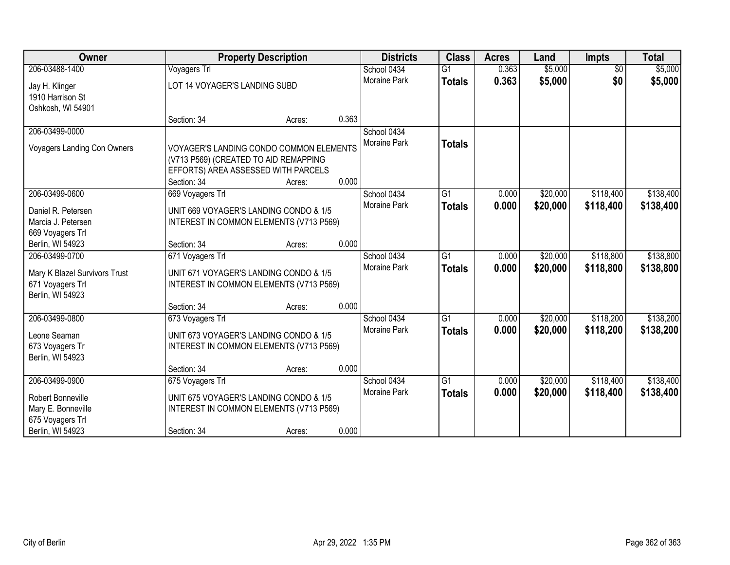| <b>Owner</b>                         | <b>Property Description</b>                          |                                                                                          |       | <b>Districts</b>    | <b>Class</b>    | <b>Acres</b> | Land     | <b>Impts</b>    | <b>Total</b> |
|--------------------------------------|------------------------------------------------------|------------------------------------------------------------------------------------------|-------|---------------------|-----------------|--------------|----------|-----------------|--------------|
| 206-03488-1400                       | Voyagers Trl                                         |                                                                                          |       | School 0434         | $\overline{G1}$ | 0.363        | \$5,000  | $\overline{60}$ | \$5,000      |
| Jay H. Klinger                       | LOT 14 VOYAGER'S LANDING SUBD                        |                                                                                          |       | Moraine Park        | <b>Totals</b>   | 0.363        | \$5,000  | \$0             | \$5,000      |
| 1910 Harrison St                     |                                                      |                                                                                          |       |                     |                 |              |          |                 |              |
| Oshkosh, WI 54901                    |                                                      |                                                                                          |       |                     |                 |              |          |                 |              |
|                                      | Section: 34                                          | Acres:                                                                                   | 0.363 |                     |                 |              |          |                 |              |
| 206-03499-0000                       |                                                      |                                                                                          |       | School 0434         |                 |              |          |                 |              |
| <b>Voyagers Landing Con Owners</b>   | (V713 P569) (CREATED TO AID REMAPPING<br>Section: 34 | VOYAGER'S LANDING CONDO COMMON ELEMENTS<br>EFFORTS) AREA ASSESSED WITH PARCELS<br>Acres: | 0.000 | Moraine Park        | <b>Totals</b>   |              |          |                 |              |
| 206-03499-0600                       | 669 Voyagers Trl                                     |                                                                                          |       | School 0434         | $\overline{G1}$ | 0.000        | \$20,000 | \$118,400       | \$138,400    |
|                                      |                                                      |                                                                                          |       | Moraine Park        | <b>Totals</b>   | 0.000        | \$20,000 | \$118,400       | \$138,400    |
| Daniel R. Petersen                   |                                                      | UNIT 669 VOYAGER'S LANDING CONDO & 1/5                                                   |       |                     |                 |              |          |                 |              |
| Marcia J. Petersen                   |                                                      | INTEREST IN COMMON ELEMENTS (V713 P569)                                                  |       |                     |                 |              |          |                 |              |
| 669 Voyagers Trl<br>Berlin, WI 54923 | Section: 34                                          | Acres:                                                                                   | 0.000 |                     |                 |              |          |                 |              |
| 206-03499-0700                       | 671 Voyagers Trl                                     |                                                                                          |       | School 0434         | $\overline{G1}$ | 0.000        | \$20,000 | \$118,800       | \$138,800    |
|                                      |                                                      |                                                                                          |       | <b>Moraine Park</b> | <b>Totals</b>   | 0.000        | \$20,000 | \$118,800       | \$138,800    |
| Mary K Blazel Survivors Trust        |                                                      | UNIT 671 VOYAGER'S LANDING CONDO & 1/5                                                   |       |                     |                 |              |          |                 |              |
| 671 Voyagers Trl                     |                                                      | INTEREST IN COMMON ELEMENTS (V713 P569)                                                  |       |                     |                 |              |          |                 |              |
| Berlin, WI 54923                     |                                                      |                                                                                          |       |                     |                 |              |          |                 |              |
|                                      | Section: 34                                          | Acres:                                                                                   | 0.000 |                     |                 |              |          |                 |              |
| 206-03499-0800                       | 673 Voyagers Trl                                     |                                                                                          |       | School 0434         | $\overline{G1}$ | 0.000        | \$20,000 | \$118,200       | \$138,200    |
| Leone Seaman                         |                                                      | UNIT 673 VOYAGER'S LANDING CONDO & 1/5                                                   |       | Moraine Park        | <b>Totals</b>   | 0.000        | \$20,000 | \$118,200       | \$138,200    |
| 673 Voyagers Tr                      |                                                      | INTEREST IN COMMON ELEMENTS (V713 P569)                                                  |       |                     |                 |              |          |                 |              |
| Berlin, WI 54923                     |                                                      |                                                                                          |       |                     |                 |              |          |                 |              |
|                                      | Section: 34                                          | Acres:                                                                                   | 0.000 |                     |                 |              |          |                 |              |
| 206-03499-0900                       | 675 Voyagers Trl                                     |                                                                                          |       | School 0434         | $\overline{G1}$ | 0.000        | \$20,000 | \$118,400       | \$138,400    |
| Robert Bonneville                    | UNIT 675 VOYAGER'S LANDING CONDO & 1/5               |                                                                                          |       | Moraine Park        | <b>Totals</b>   | 0.000        | \$20,000 | \$118,400       | \$138,400    |
| Mary E. Bonneville                   |                                                      | INTEREST IN COMMON ELEMENTS (V713 P569)                                                  |       |                     |                 |              |          |                 |              |
| 675 Voyagers Trl                     |                                                      |                                                                                          |       |                     |                 |              |          |                 |              |
| Berlin, WI 54923                     | Section: 34                                          | Acres:                                                                                   | 0.000 |                     |                 |              |          |                 |              |